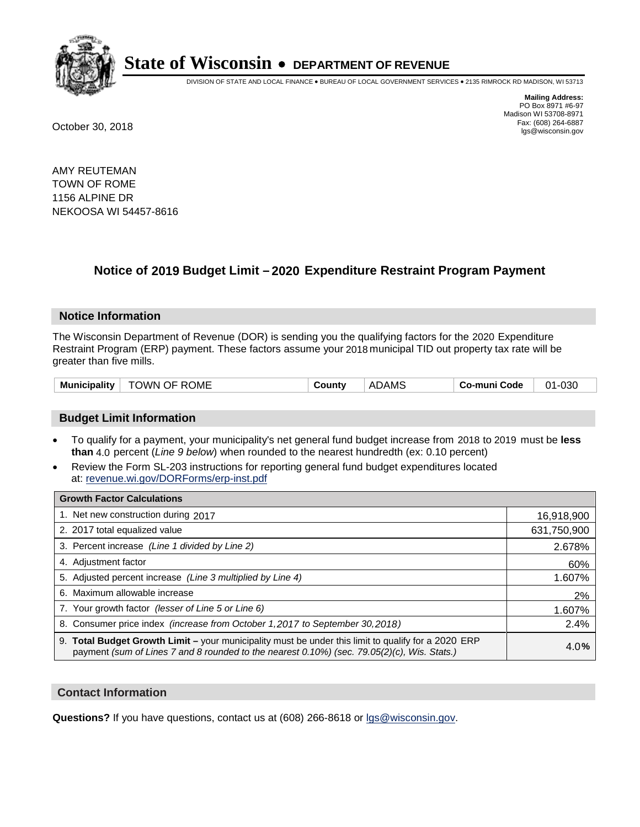

DIVISION OF STATE AND LOCAL FINANCE • BUREAU OF LOCAL GOVERNMENT SERVICES • 2135 RIMROCK RD MADISON, WI 53713

**Mailing Address:** PO Box 8971 #6-97 Madison WI 53708-8971<br>Fax: (608) 264-6887 Fax: (608) 264-6887 October 30, 2018 lgs@wisconsin.gov

AMY REUTEMAN TOWN OF ROME 1156 ALPINE DR NEKOOSA WI 54457-8616

### **Notice of 2019 Budget Limit - 2020 Expenditure Restraint Program Payment**

#### **Notice Information**

The Wisconsin Department of Revenue (DOR) is sending you the qualifying factors for the 2020 Expenditure Restraint Program (ERP) payment. These factors assume your 2018 municipal TID out property tax rate will be greater than five mills.

| <b>TOWN OF ROME</b><br><b>Municipality</b> | County | <b>ADAMS</b> | Co-muni Code | 01-030 |
|--------------------------------------------|--------|--------------|--------------|--------|
|--------------------------------------------|--------|--------------|--------------|--------|

#### **Budget Limit Information**

- To qualify for a payment, your municipality's net general fund budget increase from 2018 to 2019 must be less **than** 4.0 percent (*Line 9 below*) when rounded to the nearest hundredth (ex: 0.10 percent)
- Review the Form SL-203 instructions for reporting general fund budget expenditures located at: revenue.wi.gov/DORForms/erp-inst.pdf

| <b>Growth Factor Calculations</b>                                                                                                                                                                      |             |
|--------------------------------------------------------------------------------------------------------------------------------------------------------------------------------------------------------|-------------|
| 1. Net new construction during 2017                                                                                                                                                                    | 16,918,900  |
| 2. 2017 total equalized value                                                                                                                                                                          | 631,750,900 |
| 3. Percent increase (Line 1 divided by Line 2)                                                                                                                                                         | 2.678%      |
| 4. Adjustment factor                                                                                                                                                                                   | 60%         |
| 5. Adjusted percent increase (Line 3 multiplied by Line 4)                                                                                                                                             | 1.607%      |
| 6. Maximum allowable increase                                                                                                                                                                          | 2%          |
| 7. Your growth factor (lesser of Line 5 or Line 6)                                                                                                                                                     | 1.607%      |
| 8. Consumer price index (increase from October 1, 2017 to September 30, 2018)                                                                                                                          | 2.4%        |
| 9. Total Budget Growth Limit - your municipality must be under this limit to qualify for a 2020 ERP<br>payment (sum of Lines 7 and 8 rounded to the nearest $0.10\%$ ) (sec. 79.05(2)(c), Wis. Stats.) | 4.0%        |

#### **Contact Information**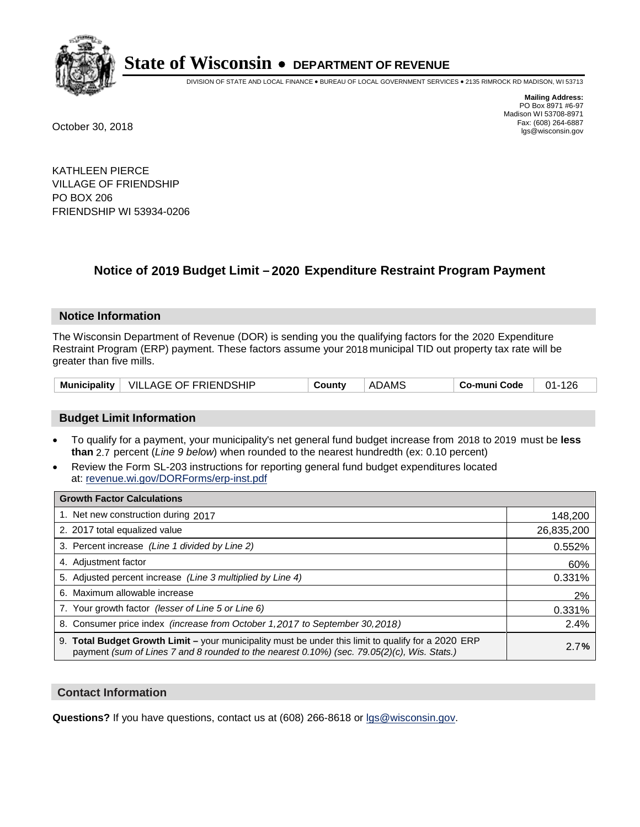

DIVISION OF STATE AND LOCAL FINANCE • BUREAU OF LOCAL GOVERNMENT SERVICES • 2135 RIMROCK RD MADISON, WI 53713

**Mailing Address:** PO Box 8971 #6-97 Madison WI 53708-8971<br>Fax: (608) 264-6887 Fax: (608) 264-6887 October 30, 2018 lgs@wisconsin.gov

KATHLEEN PIERCE VILLAGE OF FRIENDSHIP PO BOX 206 FRIENDSHIP WI 53934-0206

## **Notice of 2019 Budget Limit - 2020 Expenditure Restraint Program Payment**

#### **Notice Information**

The Wisconsin Department of Revenue (DOR) is sending you the qualifying factors for the 2020 Expenditure Restraint Program (ERP) payment. These factors assume your 2018 municipal TID out property tax rate will be greater than five mills.

| Municipality   VILLAGE OF FRIENDSHIP |  | County | ADAMS | Co-muni Code | $01 - 126$ |
|--------------------------------------|--|--------|-------|--------------|------------|
|--------------------------------------|--|--------|-------|--------------|------------|

#### **Budget Limit Information**

- To qualify for a payment, your municipality's net general fund budget increase from 2018 to 2019 must be less **than** 2.7 percent (*Line 9 below*) when rounded to the nearest hundredth (ex: 0.10 percent)
- Review the Form SL-203 instructions for reporting general fund budget expenditures located at: revenue.wi.gov/DORForms/erp-inst.pdf

| <b>Growth Factor Calculations</b>                                                                                                                                                                      |            |
|--------------------------------------------------------------------------------------------------------------------------------------------------------------------------------------------------------|------------|
| 1. Net new construction during 2017                                                                                                                                                                    | 148,200    |
| 2. 2017 total equalized value                                                                                                                                                                          | 26,835,200 |
| 3. Percent increase (Line 1 divided by Line 2)                                                                                                                                                         | 0.552%     |
| 4. Adjustment factor                                                                                                                                                                                   | 60%        |
| 5. Adjusted percent increase (Line 3 multiplied by Line 4)                                                                                                                                             | 0.331%     |
| 6. Maximum allowable increase                                                                                                                                                                          | 2%         |
| 7. Your growth factor (lesser of Line 5 or Line 6)                                                                                                                                                     | 0.331%     |
| 8. Consumer price index (increase from October 1,2017 to September 30,2018)                                                                                                                            | 2.4%       |
| 9. Total Budget Growth Limit - your municipality must be under this limit to qualify for a 2020 ERP<br>payment (sum of Lines 7 and 8 rounded to the nearest $0.10\%$ ) (sec. 79.05(2)(c), Wis. Stats.) | 2.7%       |

#### **Contact Information**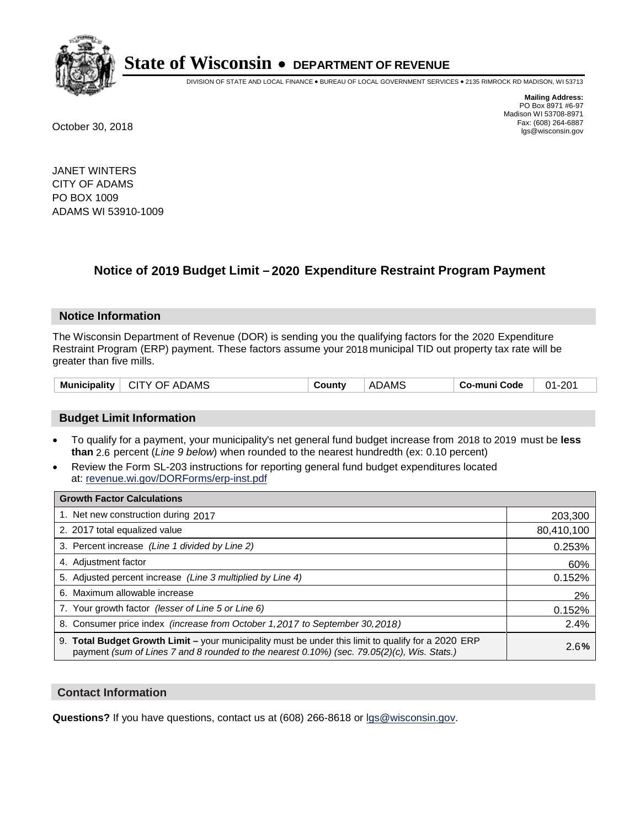

DIVISION OF STATE AND LOCAL FINANCE • BUREAU OF LOCAL GOVERNMENT SERVICES • 2135 RIMROCK RD MADISON, WI 53713

**Mailing Address:** PO Box 8971 #6-97 Madison WI 53708-8971<br>Fax: (608) 264-6887 Fax: (608) 264-6887 October 30, 2018 lgs@wisconsin.gov

JANET WINTERS CITY OF ADAMS PO BOX 1009 ADAMS WI 53910-1009

### **Notice of 2019 Budget Limit - 2020 Expenditure Restraint Program Payment**

#### **Notice Information**

The Wisconsin Department of Revenue (DOR) is sending you the qualifying factors for the 2020 Expenditure Restraint Program (ERP) payment. These factors assume your 2018 municipal TID out property tax rate will be greater than five mills.

| <b>Municipality</b><br>CITY OF ADAMS | County | <b>ADAMS</b> | Co-muni Code | $01 - 201$ |
|--------------------------------------|--------|--------------|--------------|------------|
|--------------------------------------|--------|--------------|--------------|------------|

#### **Budget Limit Information**

- To qualify for a payment, your municipality's net general fund budget increase from 2018 to 2019 must be less **than** 2.6 percent (*Line 9 below*) when rounded to the nearest hundredth (ex: 0.10 percent)
- Review the Form SL-203 instructions for reporting general fund budget expenditures located at: revenue.wi.gov/DORForms/erp-inst.pdf

| <b>Growth Factor Calculations</b>                                                                                                                                                                      |            |
|--------------------------------------------------------------------------------------------------------------------------------------------------------------------------------------------------------|------------|
| 1. Net new construction during 2017                                                                                                                                                                    | 203,300    |
| 2. 2017 total equalized value                                                                                                                                                                          | 80,410,100 |
| 3. Percent increase (Line 1 divided by Line 2)                                                                                                                                                         | 0.253%     |
| 4. Adjustment factor                                                                                                                                                                                   | 60%        |
| 5. Adjusted percent increase (Line 3 multiplied by Line 4)                                                                                                                                             | 0.152%     |
| 6. Maximum allowable increase                                                                                                                                                                          | 2%         |
| 7. Your growth factor (lesser of Line 5 or Line 6)                                                                                                                                                     | 0.152%     |
| 8. Consumer price index (increase from October 1, 2017 to September 30, 2018)                                                                                                                          | 2.4%       |
| 9. Total Budget Growth Limit - your municipality must be under this limit to qualify for a 2020 ERP<br>payment (sum of Lines 7 and 8 rounded to the nearest $0.10\%$ ) (sec. 79.05(2)(c), Wis. Stats.) | 2.6%       |

#### **Contact Information**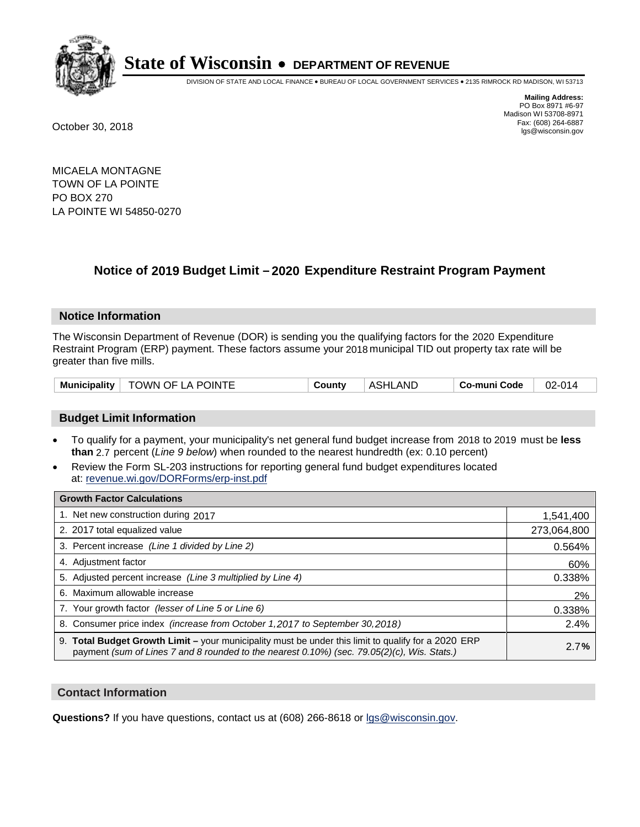

DIVISION OF STATE AND LOCAL FINANCE • BUREAU OF LOCAL GOVERNMENT SERVICES • 2135 RIMROCK RD MADISON, WI 53713

**Mailing Address:** PO Box 8971 #6-97 Madison WI 53708-8971<br>Fax: (608) 264-6887 Fax: (608) 264-6887 October 30, 2018 lgs@wisconsin.gov

MICAELA MONTAGNE TOWN OF LA POINTE PO BOX 270 LA POINTE WI 54850-0270

### **Notice of 2019 Budget Limit - 2020 Expenditure Restraint Program Payment**

#### **Notice Information**

The Wisconsin Department of Revenue (DOR) is sending you the qualifying factors for the 2020 Expenditure Restraint Program (ERP) payment. These factors assume your 2018 municipal TID out property tax rate will be greater than five mills.

| Municipality   TOWN OF LA POINTE | County | <b>ASHLAND</b> | Co-muni Code | $02 - 014$ |
|----------------------------------|--------|----------------|--------------|------------|
|----------------------------------|--------|----------------|--------------|------------|

#### **Budget Limit Information**

- To qualify for a payment, your municipality's net general fund budget increase from 2018 to 2019 must be less **than** 2.7 percent (*Line 9 below*) when rounded to the nearest hundredth (ex: 0.10 percent)
- Review the Form SL-203 instructions for reporting general fund budget expenditures located at: revenue.wi.gov/DORForms/erp-inst.pdf

| <b>Growth Factor Calculations</b>                                                                                                                                                                      |             |
|--------------------------------------------------------------------------------------------------------------------------------------------------------------------------------------------------------|-------------|
| 1. Net new construction during 2017                                                                                                                                                                    | 1,541,400   |
| 2. 2017 total equalized value                                                                                                                                                                          | 273,064,800 |
| 3. Percent increase (Line 1 divided by Line 2)                                                                                                                                                         | 0.564%      |
| 4. Adjustment factor                                                                                                                                                                                   | 60%         |
| 5. Adjusted percent increase (Line 3 multiplied by Line 4)                                                                                                                                             | 0.338%      |
| 6. Maximum allowable increase                                                                                                                                                                          | 2%          |
| 7. Your growth factor (lesser of Line 5 or Line 6)                                                                                                                                                     | 0.338%      |
| 8. Consumer price index (increase from October 1,2017 to September 30,2018)                                                                                                                            | 2.4%        |
| 9. Total Budget Growth Limit - your municipality must be under this limit to qualify for a 2020 ERP<br>payment (sum of Lines 7 and 8 rounded to the nearest $0.10\%$ ) (sec. 79.05(2)(c), Wis. Stats.) | 2.7%        |

#### **Contact Information**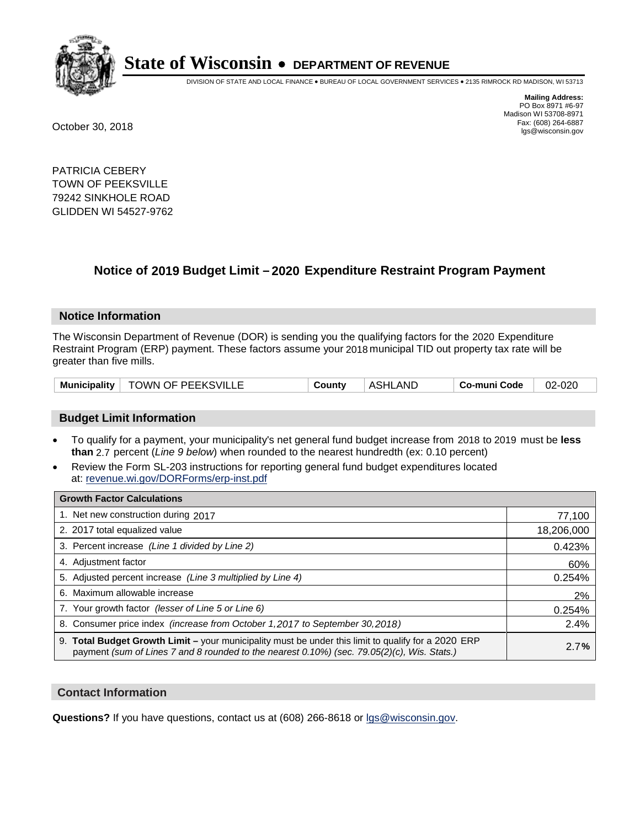

DIVISION OF STATE AND LOCAL FINANCE • BUREAU OF LOCAL GOVERNMENT SERVICES • 2135 RIMROCK RD MADISON, WI 53713

**Mailing Address:** PO Box 8971 #6-97 Madison WI 53708-8971<br>Fax: (608) 264-6887 Fax: (608) 264-6887 October 30, 2018 lgs@wisconsin.gov

PATRICIA CEBERY TOWN OF PEEKSVILLE 79242 SINKHOLE ROAD GLIDDEN WI 54527-9762

### **Notice of 2019 Budget Limit - 2020 Expenditure Restraint Program Payment**

#### **Notice Information**

The Wisconsin Department of Revenue (DOR) is sending you the qualifying factors for the 2020 Expenditure Restraint Program (ERP) payment. These factors assume your 2018 municipal TID out property tax rate will be greater than five mills.

|  | Municipality   TOWN OF PEEKSVILLE | County | <b>ASHLAND</b> | Co-muni Code | 02-020 |
|--|-----------------------------------|--------|----------------|--------------|--------|
|--|-----------------------------------|--------|----------------|--------------|--------|

#### **Budget Limit Information**

- To qualify for a payment, your municipality's net general fund budget increase from 2018 to 2019 must be less **than** 2.7 percent (*Line 9 below*) when rounded to the nearest hundredth (ex: 0.10 percent)
- Review the Form SL-203 instructions for reporting general fund budget expenditures located at: revenue.wi.gov/DORForms/erp-inst.pdf

| <b>Growth Factor Calculations</b>                                                                                                                                                                      |            |
|--------------------------------------------------------------------------------------------------------------------------------------------------------------------------------------------------------|------------|
| 1. Net new construction during 2017                                                                                                                                                                    | 77,100     |
| 2. 2017 total equalized value                                                                                                                                                                          | 18,206,000 |
| 3. Percent increase (Line 1 divided by Line 2)                                                                                                                                                         | 0.423%     |
| 4. Adjustment factor                                                                                                                                                                                   | 60%        |
| 5. Adjusted percent increase (Line 3 multiplied by Line 4)                                                                                                                                             | 0.254%     |
| 6. Maximum allowable increase                                                                                                                                                                          | 2%         |
| 7. Your growth factor (lesser of Line 5 or Line 6)                                                                                                                                                     | 0.254%     |
| 8. Consumer price index (increase from October 1,2017 to September 30,2018)                                                                                                                            | 2.4%       |
| 9. Total Budget Growth Limit - your municipality must be under this limit to qualify for a 2020 ERP<br>payment (sum of Lines 7 and 8 rounded to the nearest $0.10\%$ ) (sec. 79.05(2)(c), Wis. Stats.) | 2.7%       |

#### **Contact Information**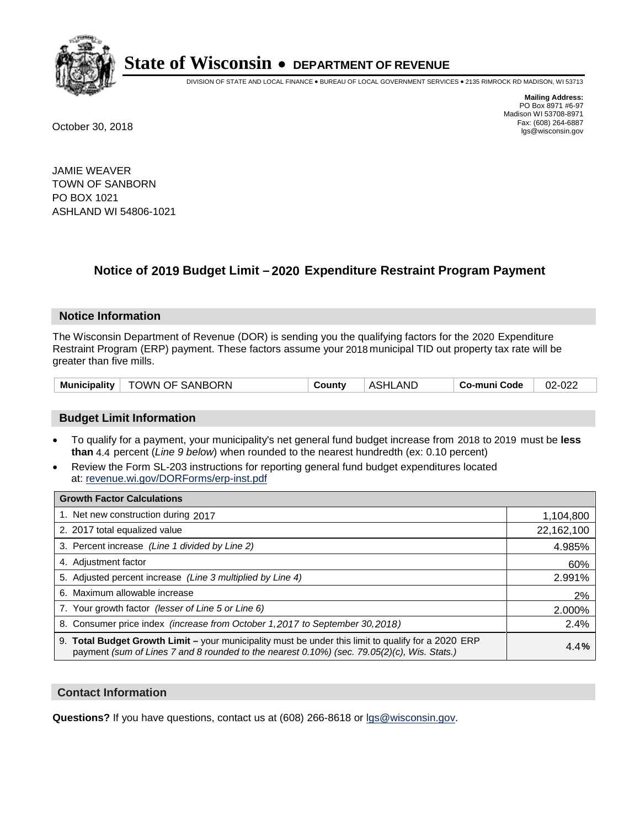

DIVISION OF STATE AND LOCAL FINANCE • BUREAU OF LOCAL GOVERNMENT SERVICES • 2135 RIMROCK RD MADISON, WI 53713

**Mailing Address:** PO Box 8971 #6-97 Madison WI 53708-8971<br>Fax: (608) 264-6887 Fax: (608) 264-6887 October 30, 2018 lgs@wisconsin.gov

JAMIE WEAVER TOWN OF SANBORN PO BOX 1021 ASHLAND WI 54806-1021

### **Notice of 2019 Budget Limit - 2020 Expenditure Restraint Program Payment**

#### **Notice Information**

The Wisconsin Department of Revenue (DOR) is sending you the qualifying factors for the 2020 Expenditure Restraint Program (ERP) payment. These factors assume your 2018 municipal TID out property tax rate will be greater than five mills.

#### **Budget Limit Information**

- To qualify for a payment, your municipality's net general fund budget increase from 2018 to 2019 must be less **than** 4.4 percent (*Line 9 below*) when rounded to the nearest hundredth (ex: 0.10 percent)
- Review the Form SL-203 instructions for reporting general fund budget expenditures located at: revenue.wi.gov/DORForms/erp-inst.pdf

| <b>Growth Factor Calculations</b>                                                                                                                                                                      |            |
|--------------------------------------------------------------------------------------------------------------------------------------------------------------------------------------------------------|------------|
| 1. Net new construction during 2017                                                                                                                                                                    | 1,104,800  |
| 2. 2017 total equalized value                                                                                                                                                                          | 22,162,100 |
| 3. Percent increase (Line 1 divided by Line 2)                                                                                                                                                         | 4.985%     |
| 4. Adjustment factor                                                                                                                                                                                   | 60%        |
| 5. Adjusted percent increase (Line 3 multiplied by Line 4)                                                                                                                                             | 2.991%     |
| 6. Maximum allowable increase                                                                                                                                                                          | 2%         |
| 7. Your growth factor (lesser of Line 5 or Line 6)                                                                                                                                                     | 2.000%     |
| 8. Consumer price index (increase from October 1,2017 to September 30,2018)                                                                                                                            | 2.4%       |
| 9. Total Budget Growth Limit - your municipality must be under this limit to qualify for a 2020 ERP<br>payment (sum of Lines 7 and 8 rounded to the nearest $0.10\%$ ) (sec. 79.05(2)(c), Wis. Stats.) | 4.4%       |

#### **Contact Information**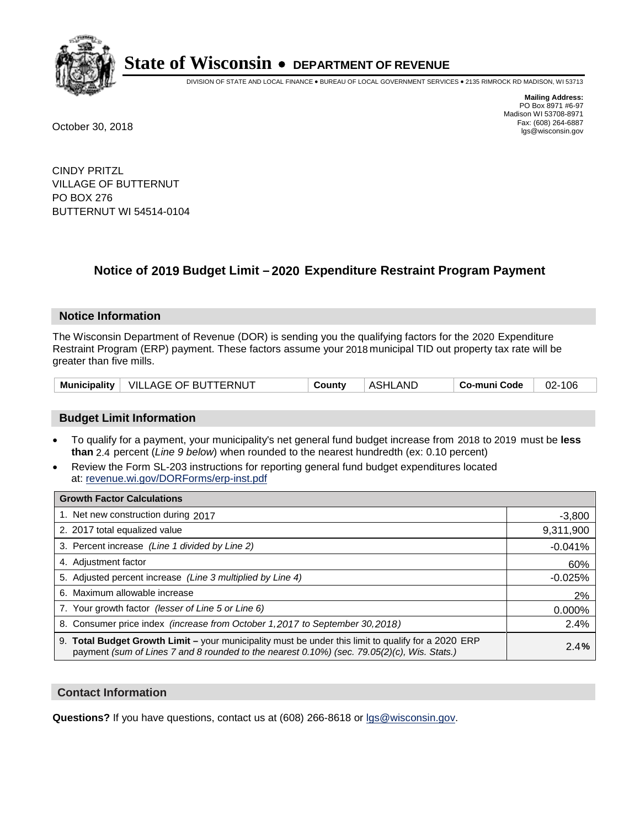

DIVISION OF STATE AND LOCAL FINANCE • BUREAU OF LOCAL GOVERNMENT SERVICES • 2135 RIMROCK RD MADISON, WI 53713

**Mailing Address:** PO Box 8971 #6-97 Madison WI 53708-8971<br>Fax: (608) 264-6887 Fax: (608) 264-6887 October 30, 2018 lgs@wisconsin.gov

CINDY PRITZL VILLAGE OF BUTTERNUT PO BOX 276 BUTTERNUT WI 54514-0104

## **Notice of 2019 Budget Limit - 2020 Expenditure Restraint Program Payment**

#### **Notice Information**

The Wisconsin Department of Revenue (DOR) is sending you the qualifying factors for the 2020 Expenditure Restraint Program (ERP) payment. These factors assume your 2018 municipal TID out property tax rate will be greater than five mills.

|  | Municipality   VILLAGE OF BUTTERNUT | County | ASHLAND | Co-muni Code | 02-106 |
|--|-------------------------------------|--------|---------|--------------|--------|
|--|-------------------------------------|--------|---------|--------------|--------|

#### **Budget Limit Information**

- To qualify for a payment, your municipality's net general fund budget increase from 2018 to 2019 must be less **than** 2.4 percent (*Line 9 below*) when rounded to the nearest hundredth (ex: 0.10 percent)
- Review the Form SL-203 instructions for reporting general fund budget expenditures located at: revenue.wi.gov/DORForms/erp-inst.pdf

| <b>Growth Factor Calculations</b>                                                                                                                                                                      |           |
|--------------------------------------------------------------------------------------------------------------------------------------------------------------------------------------------------------|-----------|
| 1. Net new construction during 2017                                                                                                                                                                    | $-3,800$  |
| 2. 2017 total equalized value                                                                                                                                                                          | 9,311,900 |
| 3. Percent increase (Line 1 divided by Line 2)                                                                                                                                                         | $-0.041%$ |
| 4. Adjustment factor                                                                                                                                                                                   | 60%       |
| 5. Adjusted percent increase (Line 3 multiplied by Line 4)                                                                                                                                             | $-0.025%$ |
| 6. Maximum allowable increase                                                                                                                                                                          | 2%        |
| 7. Your growth factor (lesser of Line 5 or Line 6)                                                                                                                                                     | 0.000%    |
| 8. Consumer price index (increase from October 1,2017 to September 30,2018)                                                                                                                            | 2.4%      |
| 9. Total Budget Growth Limit - your municipality must be under this limit to qualify for a 2020 ERP<br>payment (sum of Lines 7 and 8 rounded to the nearest $0.10\%$ ) (sec. 79.05(2)(c), Wis. Stats.) | 2.4%      |

#### **Contact Information**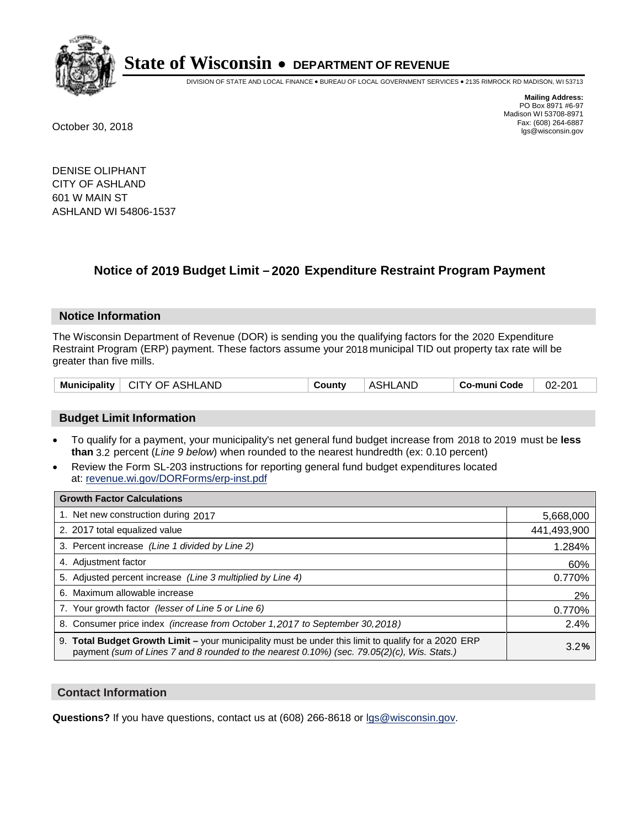

DIVISION OF STATE AND LOCAL FINANCE • BUREAU OF LOCAL GOVERNMENT SERVICES • 2135 RIMROCK RD MADISON, WI 53713

**Mailing Address:** PO Box 8971 #6-97 Madison WI 53708-8971<br>Fax: (608) 264-6887 Fax: (608) 264-6887 October 30, 2018 lgs@wisconsin.gov

DENISE OLIPHANT CITY OF ASHLAND 601 W MAIN ST ASHLAND WI 54806-1537

## **Notice of 2019 Budget Limit - 2020 Expenditure Restraint Program Payment**

#### **Notice Information**

The Wisconsin Department of Revenue (DOR) is sending you the qualifying factors for the 2020 Expenditure Restraint Program (ERP) payment. These factors assume your 2018 municipal TID out property tax rate will be greater than five mills.

| Municipality   CITY OF ASHLAND | County | ASHLAND | ∣ Co-muni Code | 02-201 |
|--------------------------------|--------|---------|----------------|--------|
|--------------------------------|--------|---------|----------------|--------|

#### **Budget Limit Information**

- To qualify for a payment, your municipality's net general fund budget increase from 2018 to 2019 must be less **than** 3.2 percent (*Line 9 below*) when rounded to the nearest hundredth (ex: 0.10 percent)
- Review the Form SL-203 instructions for reporting general fund budget expenditures located at: revenue.wi.gov/DORForms/erp-inst.pdf

| <b>Growth Factor Calculations</b>                                                                                                                                                                      |             |
|--------------------------------------------------------------------------------------------------------------------------------------------------------------------------------------------------------|-------------|
| 1. Net new construction during 2017                                                                                                                                                                    | 5,668,000   |
| 2. 2017 total equalized value                                                                                                                                                                          | 441,493,900 |
| 3. Percent increase (Line 1 divided by Line 2)                                                                                                                                                         | 1.284%      |
| 4. Adjustment factor                                                                                                                                                                                   | 60%         |
| 5. Adjusted percent increase (Line 3 multiplied by Line 4)                                                                                                                                             | 0.770%      |
| 6. Maximum allowable increase                                                                                                                                                                          | 2%          |
| 7. Your growth factor (lesser of Line 5 or Line 6)                                                                                                                                                     | 0.770%      |
| 8. Consumer price index (increase from October 1, 2017 to September 30, 2018)                                                                                                                          | 2.4%        |
| 9. Total Budget Growth Limit - your municipality must be under this limit to qualify for a 2020 ERP<br>payment (sum of Lines 7 and 8 rounded to the nearest $0.10\%$ ) (sec. 79.05(2)(c), Wis. Stats.) | 3.2%        |

#### **Contact Information**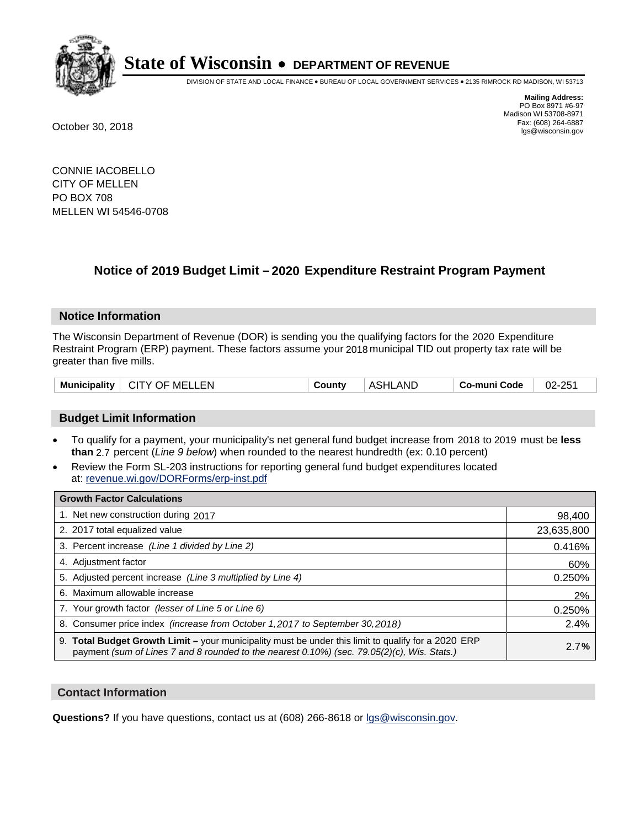

DIVISION OF STATE AND LOCAL FINANCE • BUREAU OF LOCAL GOVERNMENT SERVICES • 2135 RIMROCK RD MADISON, WI 53713

**Mailing Address:** PO Box 8971 #6-97 Madison WI 53708-8971<br>Fax: (608) 264-6887 Fax: (608) 264-6887 October 30, 2018 lgs@wisconsin.gov

CONNIE IACOBELLO CITY OF MELLEN PO BOX 708 MELLEN WI 54546-0708

## **Notice of 2019 Budget Limit - 2020 Expenditure Restraint Program Payment**

#### **Notice Information**

The Wisconsin Department of Revenue (DOR) is sending you the qualifying factors for the 2020 Expenditure Restraint Program (ERP) payment. These factors assume your 2018 municipal TID out property tax rate will be greater than five mills.

| Municipality  <br><b>CITY OF MELLEN</b> | County | ASHLAND | Co-muni Code | 02-251 |
|-----------------------------------------|--------|---------|--------------|--------|
|-----------------------------------------|--------|---------|--------------|--------|

#### **Budget Limit Information**

- To qualify for a payment, your municipality's net general fund budget increase from 2018 to 2019 must be less **than** 2.7 percent (*Line 9 below*) when rounded to the nearest hundredth (ex: 0.10 percent)
- Review the Form SL-203 instructions for reporting general fund budget expenditures located at: revenue.wi.gov/DORForms/erp-inst.pdf

| <b>Growth Factor Calculations</b>                                                                                                                                                                      |            |
|--------------------------------------------------------------------------------------------------------------------------------------------------------------------------------------------------------|------------|
| 1. Net new construction during 2017                                                                                                                                                                    | 98,400     |
| 2. 2017 total equalized value                                                                                                                                                                          | 23,635,800 |
| 3. Percent increase (Line 1 divided by Line 2)                                                                                                                                                         | 0.416%     |
| 4. Adjustment factor                                                                                                                                                                                   | 60%        |
| 5. Adjusted percent increase (Line 3 multiplied by Line 4)                                                                                                                                             | 0.250%     |
| 6. Maximum allowable increase                                                                                                                                                                          | 2%         |
| 7. Your growth factor (lesser of Line 5 or Line 6)                                                                                                                                                     | 0.250%     |
| 8. Consumer price index (increase from October 1, 2017 to September 30, 2018)                                                                                                                          | 2.4%       |
| 9. Total Budget Growth Limit - your municipality must be under this limit to qualify for a 2020 ERP<br>payment (sum of Lines 7 and 8 rounded to the nearest $0.10\%$ ) (sec. 79.05(2)(c), Wis. Stats.) | 2.7%       |

#### **Contact Information**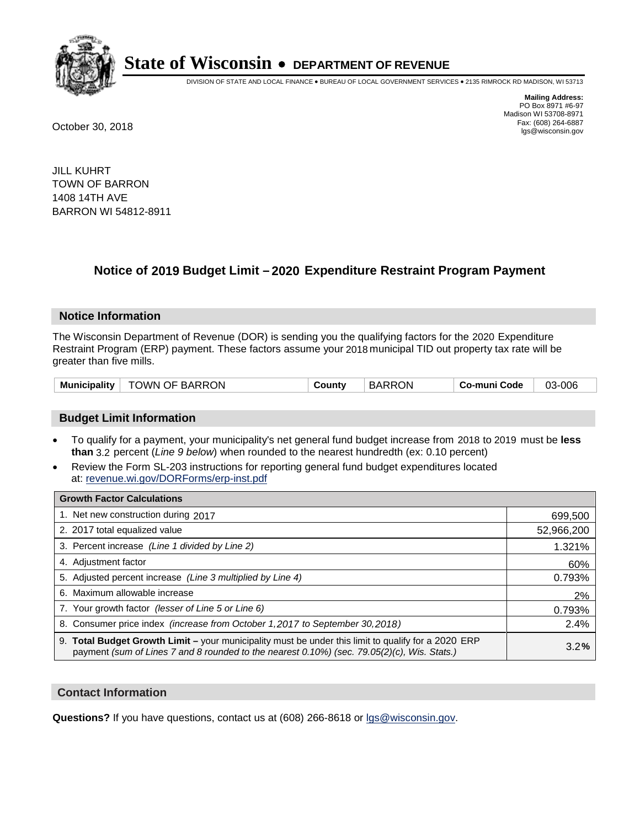

DIVISION OF STATE AND LOCAL FINANCE • BUREAU OF LOCAL GOVERNMENT SERVICES • 2135 RIMROCK RD MADISON, WI 53713

**Mailing Address:** PO Box 8971 #6-97 Madison WI 53708-8971<br>Fax: (608) 264-6887 Fax: (608) 264-6887 October 30, 2018 lgs@wisconsin.gov

JILL KUHRT TOWN OF BARRON 1408 14TH AVE BARRON WI 54812-8911

### **Notice of 2019 Budget Limit - 2020 Expenditure Restraint Program Payment**

#### **Notice Information**

The Wisconsin Department of Revenue (DOR) is sending you the qualifying factors for the 2020 Expenditure Restraint Program (ERP) payment. These factors assume your 2018 municipal TID out property tax rate will be greater than five mills.

#### **Budget Limit Information**

- To qualify for a payment, your municipality's net general fund budget increase from 2018 to 2019 must be less **than** 3.2 percent (*Line 9 below*) when rounded to the nearest hundredth (ex: 0.10 percent)
- Review the Form SL-203 instructions for reporting general fund budget expenditures located at: revenue.wi.gov/DORForms/erp-inst.pdf

| <b>Growth Factor Calculations</b>                                                                                                                                                                      |            |
|--------------------------------------------------------------------------------------------------------------------------------------------------------------------------------------------------------|------------|
| 1. Net new construction during 2017                                                                                                                                                                    | 699,500    |
| 2. 2017 total equalized value                                                                                                                                                                          | 52,966,200 |
| 3. Percent increase (Line 1 divided by Line 2)                                                                                                                                                         | 1.321%     |
| 4. Adjustment factor                                                                                                                                                                                   | 60%        |
| 5. Adjusted percent increase (Line 3 multiplied by Line 4)                                                                                                                                             | 0.793%     |
| 6. Maximum allowable increase                                                                                                                                                                          | 2%         |
| 7. Your growth factor (lesser of Line 5 or Line 6)                                                                                                                                                     | 0.793%     |
| 8. Consumer price index (increase from October 1, 2017 to September 30, 2018)                                                                                                                          | 2.4%       |
| 9. Total Budget Growth Limit - your municipality must be under this limit to qualify for a 2020 ERP<br>payment (sum of Lines 7 and 8 rounded to the nearest $0.10\%$ ) (sec. 79.05(2)(c), Wis. Stats.) | 3.2%       |

#### **Contact Information**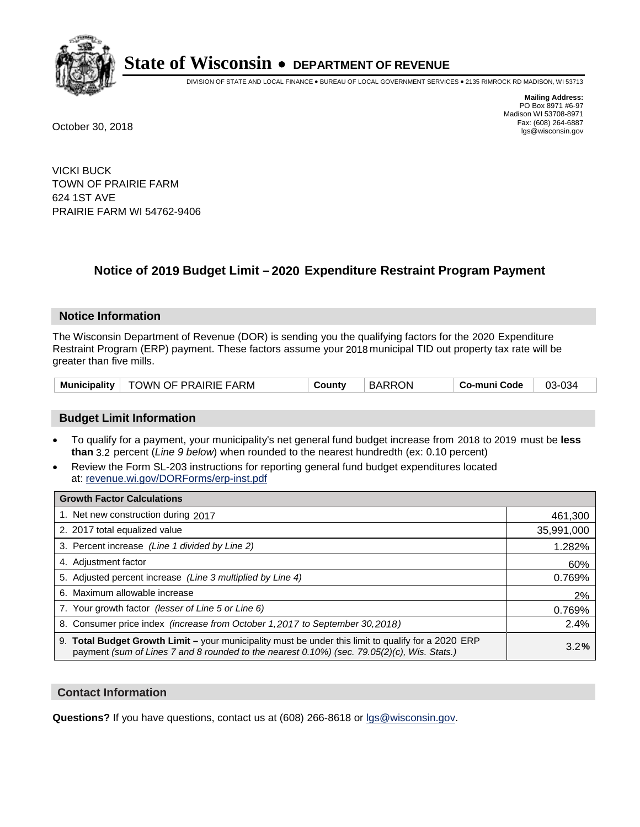

DIVISION OF STATE AND LOCAL FINANCE • BUREAU OF LOCAL GOVERNMENT SERVICES • 2135 RIMROCK RD MADISON, WI 53713

**Mailing Address:** PO Box 8971 #6-97 Madison WI 53708-8971<br>Fax: (608) 264-6887 Fax: (608) 264-6887 October 30, 2018 lgs@wisconsin.gov

VICKI BUCK TOWN OF PRAIRIE FARM 624 1ST AVE PRAIRIE FARM WI 54762-9406

## **Notice of 2019 Budget Limit - 2020 Expenditure Restraint Program Payment**

#### **Notice Information**

The Wisconsin Department of Revenue (DOR) is sending you the qualifying factors for the 2020 Expenditure Restraint Program (ERP) payment. These factors assume your 2018 municipal TID out property tax rate will be greater than five mills.

| TOWN OF PRAIRIE FARM<br>Municipality | Countv | <b>BARRON</b> | Co-muni Code | 03-034 |
|--------------------------------------|--------|---------------|--------------|--------|
|--------------------------------------|--------|---------------|--------------|--------|

#### **Budget Limit Information**

- To qualify for a payment, your municipality's net general fund budget increase from 2018 to 2019 must be less **than** 3.2 percent (*Line 9 below*) when rounded to the nearest hundredth (ex: 0.10 percent)
- Review the Form SL-203 instructions for reporting general fund budget expenditures located at: revenue.wi.gov/DORForms/erp-inst.pdf

| <b>Growth Factor Calculations</b>                                                                                                                                                                      |            |
|--------------------------------------------------------------------------------------------------------------------------------------------------------------------------------------------------------|------------|
| 1. Net new construction during 2017                                                                                                                                                                    | 461,300    |
| 2. 2017 total equalized value                                                                                                                                                                          | 35,991,000 |
| 3. Percent increase (Line 1 divided by Line 2)                                                                                                                                                         | 1.282%     |
| 4. Adjustment factor                                                                                                                                                                                   | 60%        |
| 5. Adjusted percent increase (Line 3 multiplied by Line 4)                                                                                                                                             | 0.769%     |
| 6. Maximum allowable increase                                                                                                                                                                          | 2%         |
| 7. Your growth factor (lesser of Line 5 or Line 6)                                                                                                                                                     | 0.769%     |
| 8. Consumer price index (increase from October 1,2017 to September 30,2018)                                                                                                                            | 2.4%       |
| 9. Total Budget Growth Limit - your municipality must be under this limit to qualify for a 2020 ERP<br>payment (sum of Lines 7 and 8 rounded to the nearest $0.10\%$ ) (sec. 79.05(2)(c), Wis. Stats.) | 3.2%       |

#### **Contact Information**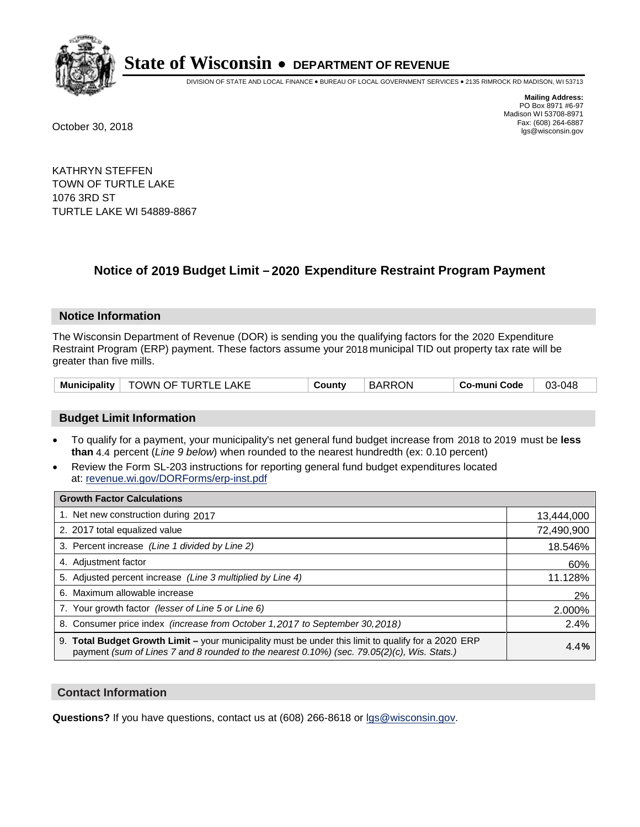

DIVISION OF STATE AND LOCAL FINANCE • BUREAU OF LOCAL GOVERNMENT SERVICES • 2135 RIMROCK RD MADISON, WI 53713

**Mailing Address:** PO Box 8971 #6-97 Madison WI 53708-8971<br>Fax: (608) 264-6887 Fax: (608) 264-6887 October 30, 2018 lgs@wisconsin.gov

KATHRYN STEFFEN TOWN OF TURTLE LAKE 1076 3RD ST TURTLE LAKE WI 54889-8867

### **Notice of 2019 Budget Limit - 2020 Expenditure Restraint Program Payment**

#### **Notice Information**

The Wisconsin Department of Revenue (DOR) is sending you the qualifying factors for the 2020 Expenditure Restraint Program (ERP) payment. These factors assume your 2018 municipal TID out property tax rate will be greater than five mills.

| Municipality | .AKE<br>TOWN OF T<br>TURTLE | ountvٽ | <b>BARRON</b> | ' o-muni Code | 3-048<br>03 |
|--------------|-----------------------------|--------|---------------|---------------|-------------|
|--------------|-----------------------------|--------|---------------|---------------|-------------|

#### **Budget Limit Information**

- To qualify for a payment, your municipality's net general fund budget increase from 2018 to 2019 must be less **than** 4.4 percent (*Line 9 below*) when rounded to the nearest hundredth (ex: 0.10 percent)
- Review the Form SL-203 instructions for reporting general fund budget expenditures located at: revenue.wi.gov/DORForms/erp-inst.pdf

| <b>Growth Factor Calculations</b>                                                                                                                                                                      |            |
|--------------------------------------------------------------------------------------------------------------------------------------------------------------------------------------------------------|------------|
| 1. Net new construction during 2017                                                                                                                                                                    | 13,444,000 |
| 2. 2017 total equalized value                                                                                                                                                                          | 72,490,900 |
| 3. Percent increase (Line 1 divided by Line 2)                                                                                                                                                         | 18.546%    |
| 4. Adjustment factor                                                                                                                                                                                   | 60%        |
| 5. Adjusted percent increase (Line 3 multiplied by Line 4)                                                                                                                                             | 11.128%    |
| 6. Maximum allowable increase                                                                                                                                                                          | 2%         |
| 7. Your growth factor (lesser of Line 5 or Line 6)                                                                                                                                                     | 2.000%     |
| 8. Consumer price index (increase from October 1,2017 to September 30,2018)                                                                                                                            | 2.4%       |
| 9. Total Budget Growth Limit - your municipality must be under this limit to qualify for a 2020 ERP<br>payment (sum of Lines 7 and 8 rounded to the nearest $0.10\%$ ) (sec. 79.05(2)(c), Wis. Stats.) | 4.4%       |

#### **Contact Information**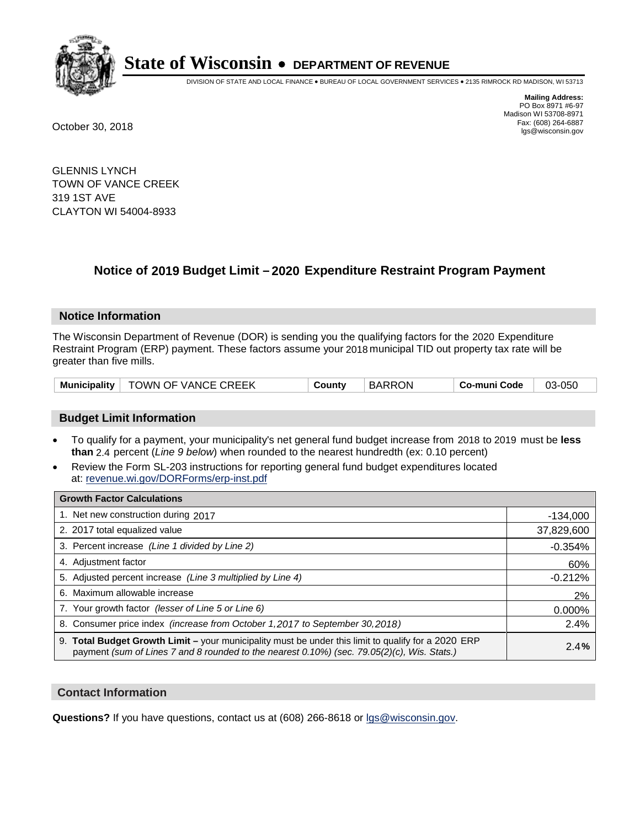

DIVISION OF STATE AND LOCAL FINANCE • BUREAU OF LOCAL GOVERNMENT SERVICES • 2135 RIMROCK RD MADISON, WI 53713

**Mailing Address:** PO Box 8971 #6-97 Madison WI 53708-8971<br>Fax: (608) 264-6887 Fax: (608) 264-6887 October 30, 2018 lgs@wisconsin.gov

GLENNIS LYNCH TOWN OF VANCE CREEK 319 1ST AVE CLAYTON WI 54004-8933

### **Notice of 2019 Budget Limit - 2020 Expenditure Restraint Program Payment**

#### **Notice Information**

The Wisconsin Department of Revenue (DOR) is sending you the qualifying factors for the 2020 Expenditure Restraint Program (ERP) payment. These factors assume your 2018 municipal TID out property tax rate will be greater than five mills.

|  | Municipality   TOWN OF VANCE CREEK | County | <b>BARRON</b> | Co-muni Code | 03-050 |
|--|------------------------------------|--------|---------------|--------------|--------|
|--|------------------------------------|--------|---------------|--------------|--------|

#### **Budget Limit Information**

- To qualify for a payment, your municipality's net general fund budget increase from 2018 to 2019 must be less **than** 2.4 percent (*Line 9 below*) when rounded to the nearest hundredth (ex: 0.10 percent)
- Review the Form SL-203 instructions for reporting general fund budget expenditures located at: revenue.wi.gov/DORForms/erp-inst.pdf

| <b>Growth Factor Calculations</b>                                                                                                                                                                      |            |
|--------------------------------------------------------------------------------------------------------------------------------------------------------------------------------------------------------|------------|
| 1. Net new construction during 2017                                                                                                                                                                    | $-134,000$ |
| 2. 2017 total equalized value                                                                                                                                                                          | 37,829,600 |
| 3. Percent increase (Line 1 divided by Line 2)                                                                                                                                                         | $-0.354%$  |
| 4. Adjustment factor                                                                                                                                                                                   | 60%        |
| 5. Adjusted percent increase (Line 3 multiplied by Line 4)                                                                                                                                             | $-0.212%$  |
| 6. Maximum allowable increase                                                                                                                                                                          | 2%         |
| 7. Your growth factor (lesser of Line 5 or Line 6)                                                                                                                                                     | 0.000%     |
| 8. Consumer price index (increase from October 1,2017 to September 30,2018)                                                                                                                            | 2.4%       |
| 9. Total Budget Growth Limit - your municipality must be under this limit to qualify for a 2020 ERP<br>payment (sum of Lines 7 and 8 rounded to the nearest $0.10\%$ ) (sec. 79.05(2)(c), Wis. Stats.) | 2.4%       |

#### **Contact Information**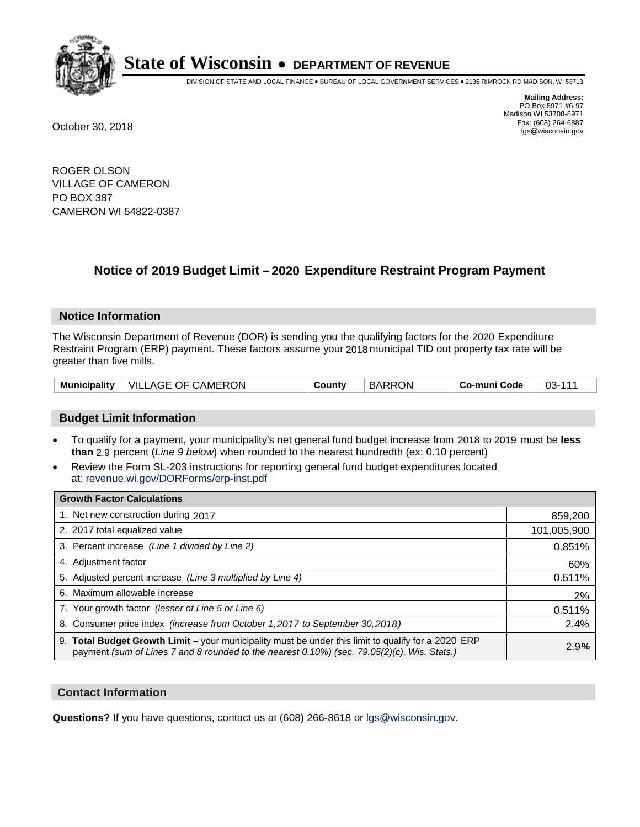

DIVISION OF STATE AND LOCAL FINANCE • BUREAU OF LOCAL GOVERNMENT SERVICES • 2135 RIMROCK RD MADISON, WI 53713

**Mailing Address:** PO Box 8971 #6-97 Madison WI 53708-8971<br>Fax: (608) 264-6887 Fax: (608) 264-6887 October 30, 2018 lgs@wisconsin.gov

ROGER OLSON VILLAGE OF CAMERON PO BOX 387 CAMERON WI 54822-0387

### **Notice of 2019 Budget Limit - 2020 Expenditure Restraint Program Payment**

#### **Notice Information**

The Wisconsin Department of Revenue (DOR) is sending you the qualifying factors for the 2020 Expenditure Restraint Program (ERP) payment. These factors assume your 2018 municipal TID out property tax rate will be greater than five mills.

| VILLAGE OF CAMERON<br><b>Municipality</b> | County | <b>BARRON</b> | Co-muni Code | $03 - 111$ |
|-------------------------------------------|--------|---------------|--------------|------------|
|-------------------------------------------|--------|---------------|--------------|------------|

#### **Budget Limit Information**

- To qualify for a payment, your municipality's net general fund budget increase from 2018 to 2019 must be less **than** 2.9 percent (*Line 9 below*) when rounded to the nearest hundredth (ex: 0.10 percent)
- Review the Form SL-203 instructions for reporting general fund budget expenditures located at: revenue.wi.gov/DORForms/erp-inst.pdf

| <b>Growth Factor Calculations</b>                                                                                                                                                                      |             |
|--------------------------------------------------------------------------------------------------------------------------------------------------------------------------------------------------------|-------------|
| 1. Net new construction during 2017                                                                                                                                                                    | 859,200     |
| 2. 2017 total equalized value                                                                                                                                                                          | 101,005,900 |
| 3. Percent increase (Line 1 divided by Line 2)                                                                                                                                                         | 0.851%      |
| 4. Adjustment factor                                                                                                                                                                                   | 60%         |
| 5. Adjusted percent increase (Line 3 multiplied by Line 4)                                                                                                                                             | 0.511%      |
| 6. Maximum allowable increase                                                                                                                                                                          | 2%          |
| 7. Your growth factor (lesser of Line 5 or Line 6)                                                                                                                                                     | 0.511%      |
| 8. Consumer price index (increase from October 1,2017 to September 30,2018)                                                                                                                            | 2.4%        |
| 9. Total Budget Growth Limit - your municipality must be under this limit to qualify for a 2020 ERP<br>payment (sum of Lines 7 and 8 rounded to the nearest $0.10\%$ ) (sec. 79.05(2)(c), Wis. Stats.) | 2.9%        |

#### **Contact Information**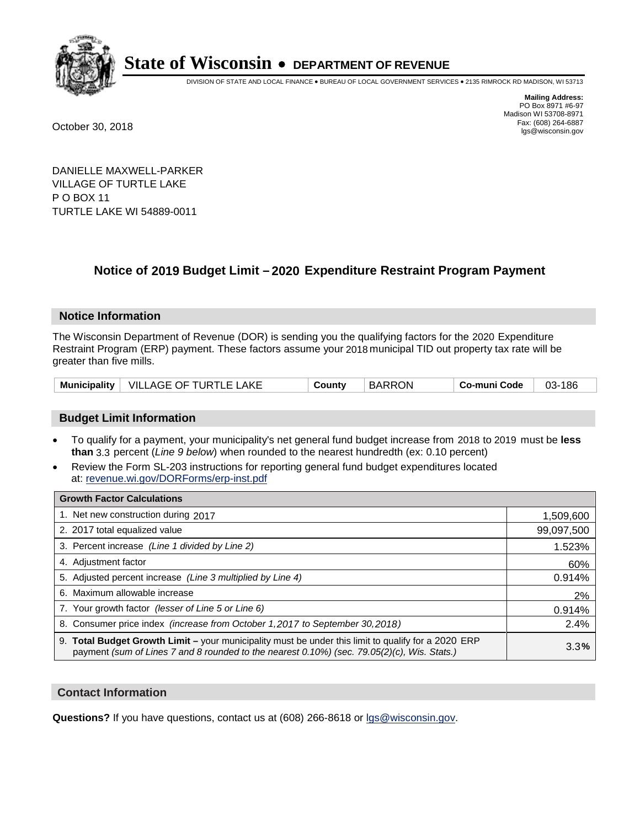

DIVISION OF STATE AND LOCAL FINANCE • BUREAU OF LOCAL GOVERNMENT SERVICES • 2135 RIMROCK RD MADISON, WI 53713

**Mailing Address:** PO Box 8971 #6-97 Madison WI 53708-8971<br>Fax: (608) 264-6887 Fax: (608) 264-6887 October 30, 2018 lgs@wisconsin.gov

DANIELLE MAXWELL-PARKER VILLAGE OF TURTLE LAKE P O BOX 11 TURTLE LAKE WI 54889-0011

### **Notice of 2019 Budget Limit - 2020 Expenditure Restraint Program Payment**

#### **Notice Information**

The Wisconsin Department of Revenue (DOR) is sending you the qualifying factors for the 2020 Expenditure Restraint Program (ERP) payment. These factors assume your 2018 municipal TID out property tax rate will be greater than five mills.

|  | Municipality   VILLAGE OF TURTLE LAKE | County | <b>BARRON</b> | Co-muni Code | 03-186 |
|--|---------------------------------------|--------|---------------|--------------|--------|
|--|---------------------------------------|--------|---------------|--------------|--------|

#### **Budget Limit Information**

- To qualify for a payment, your municipality's net general fund budget increase from 2018 to 2019 must be less **than** 3.3 percent (*Line 9 below*) when rounded to the nearest hundredth (ex: 0.10 percent)
- Review the Form SL-203 instructions for reporting general fund budget expenditures located at: revenue.wi.gov/DORForms/erp-inst.pdf

| <b>Growth Factor Calculations</b>                                                                                                                                                                  |            |
|----------------------------------------------------------------------------------------------------------------------------------------------------------------------------------------------------|------------|
| 1. Net new construction during 2017                                                                                                                                                                | 1,509,600  |
| 2. 2017 total equalized value                                                                                                                                                                      | 99,097,500 |
| 3. Percent increase (Line 1 divided by Line 2)                                                                                                                                                     | 1.523%     |
| 4. Adjustment factor                                                                                                                                                                               | 60%        |
| 5. Adjusted percent increase (Line 3 multiplied by Line 4)                                                                                                                                         | 0.914%     |
| 6. Maximum allowable increase                                                                                                                                                                      | 2%         |
| 7. Your growth factor (lesser of Line 5 or Line 6)                                                                                                                                                 | 0.914%     |
| 8. Consumer price index (increase from October 1, 2017 to September 30, 2018)                                                                                                                      | 2.4%       |
| 9. Total Budget Growth Limit - your municipality must be under this limit to qualify for a 2020 ERP<br>payment (sum of Lines 7 and 8 rounded to the nearest 0.10%) (sec. 79.05(2)(c), Wis. Stats.) | 3.3%       |

#### **Contact Information**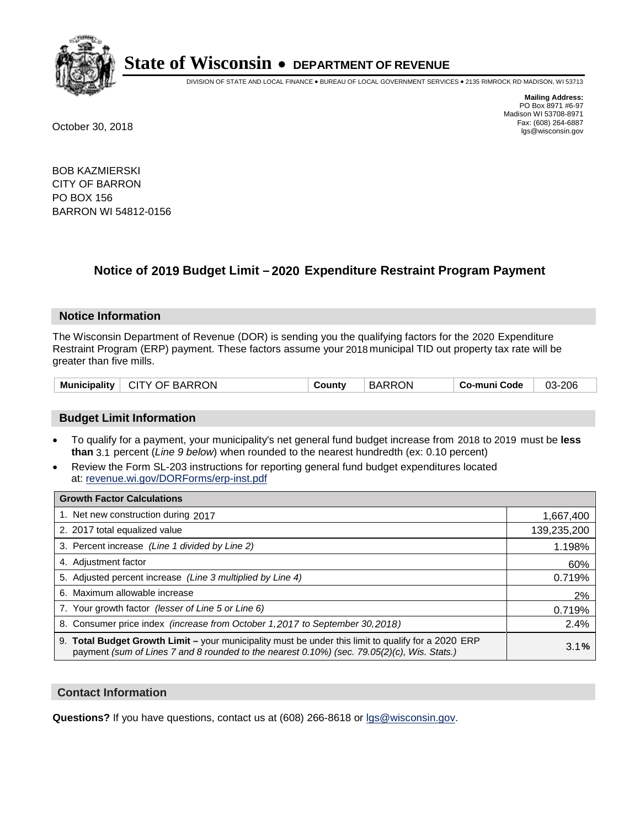

DIVISION OF STATE AND LOCAL FINANCE • BUREAU OF LOCAL GOVERNMENT SERVICES • 2135 RIMROCK RD MADISON, WI 53713

**Mailing Address:** PO Box 8971 #6-97 Madison WI 53708-8971<br>Fax: (608) 264-6887 Fax: (608) 264-6887 October 30, 2018 lgs@wisconsin.gov

BOB KAZMIERSKI CITY OF BARRON PO BOX 156 BARRON WI 54812-0156

### **Notice of 2019 Budget Limit - 2020 Expenditure Restraint Program Payment**

#### **Notice Information**

The Wisconsin Department of Revenue (DOR) is sending you the qualifying factors for the 2020 Expenditure Restraint Program (ERP) payment. These factors assume your 2018 municipal TID out property tax rate will be greater than five mills.

| Municipality   CITY OF BARRON | Countv | <b>BARRON</b> | ⊦ Co-muni Code | 03-206 |
|-------------------------------|--------|---------------|----------------|--------|
|-------------------------------|--------|---------------|----------------|--------|

#### **Budget Limit Information**

- To qualify for a payment, your municipality's net general fund budget increase from 2018 to 2019 must be less **than** 3.1 percent (*Line 9 below*) when rounded to the nearest hundredth (ex: 0.10 percent)
- Review the Form SL-203 instructions for reporting general fund budget expenditures located at: revenue.wi.gov/DORForms/erp-inst.pdf

| <b>Growth Factor Calculations</b>                                                                                                                                                                      |             |
|--------------------------------------------------------------------------------------------------------------------------------------------------------------------------------------------------------|-------------|
| 1. Net new construction during 2017                                                                                                                                                                    | 1,667,400   |
| 2. 2017 total equalized value                                                                                                                                                                          | 139,235,200 |
| 3. Percent increase (Line 1 divided by Line 2)                                                                                                                                                         | 1.198%      |
| 4. Adjustment factor                                                                                                                                                                                   | 60%         |
| 5. Adjusted percent increase (Line 3 multiplied by Line 4)                                                                                                                                             | 0.719%      |
| 6. Maximum allowable increase                                                                                                                                                                          | 2%          |
| 7. Your growth factor (lesser of Line 5 or Line 6)                                                                                                                                                     | 0.719%      |
| 8. Consumer price index (increase from October 1,2017 to September 30,2018)                                                                                                                            | 2.4%        |
| 9. Total Budget Growth Limit - your municipality must be under this limit to qualify for a 2020 ERP<br>payment (sum of Lines 7 and 8 rounded to the nearest $0.10\%$ ) (sec. 79.05(2)(c), Wis. Stats.) | 3.1%        |

#### **Contact Information**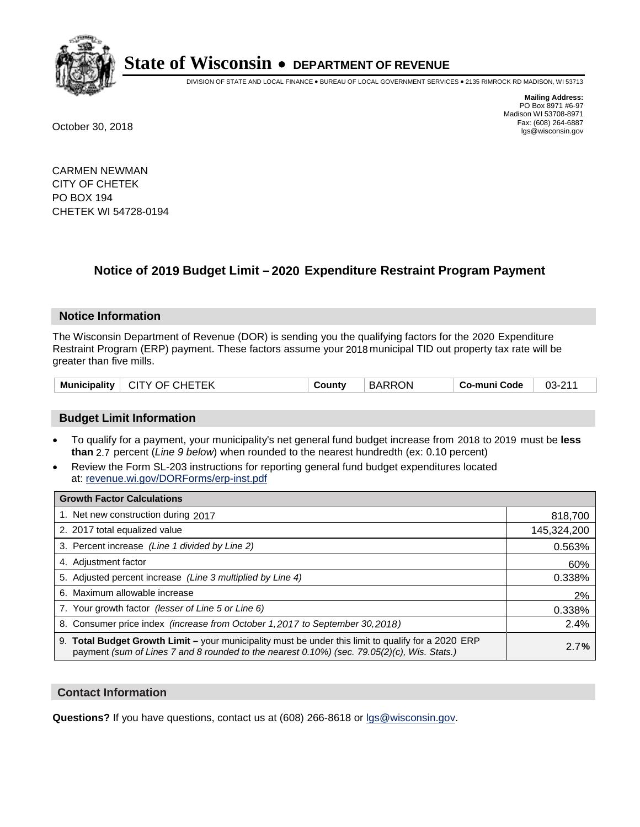

DIVISION OF STATE AND LOCAL FINANCE • BUREAU OF LOCAL GOVERNMENT SERVICES • 2135 RIMROCK RD MADISON, WI 53713

**Mailing Address:** PO Box 8971 #6-97 Madison WI 53708-8971<br>Fax: (608) 264-6887 Fax: (608) 264-6887 October 30, 2018 lgs@wisconsin.gov

CARMEN NEWMAN CITY OF CHETEK PO BOX 194 CHETEK WI 54728-0194

### **Notice of 2019 Budget Limit - 2020 Expenditure Restraint Program Payment**

#### **Notice Information**

The Wisconsin Department of Revenue (DOR) is sending you the qualifying factors for the 2020 Expenditure Restraint Program (ERP) payment. These factors assume your 2018 municipal TID out property tax rate will be greater than five mills.

| <b>CITY OF CHETEK</b><br>Municipality | County | <b>BARRON</b> | Co-muni Code | $03 - 211$ |
|---------------------------------------|--------|---------------|--------------|------------|
|---------------------------------------|--------|---------------|--------------|------------|

#### **Budget Limit Information**

- To qualify for a payment, your municipality's net general fund budget increase from 2018 to 2019 must be less **than** 2.7 percent (*Line 9 below*) when rounded to the nearest hundredth (ex: 0.10 percent)
- Review the Form SL-203 instructions for reporting general fund budget expenditures located at: revenue.wi.gov/DORForms/erp-inst.pdf

| <b>Growth Factor Calculations</b>                                                                                                                                                                      |             |
|--------------------------------------------------------------------------------------------------------------------------------------------------------------------------------------------------------|-------------|
| 1. Net new construction during 2017                                                                                                                                                                    | 818,700     |
| 2. 2017 total equalized value                                                                                                                                                                          | 145,324,200 |
| 3. Percent increase (Line 1 divided by Line 2)                                                                                                                                                         | 0.563%      |
| 4. Adjustment factor                                                                                                                                                                                   | 60%         |
| 5. Adjusted percent increase (Line 3 multiplied by Line 4)                                                                                                                                             | 0.338%      |
| 6. Maximum allowable increase                                                                                                                                                                          | 2%          |
| 7. Your growth factor (lesser of Line 5 or Line 6)                                                                                                                                                     | 0.338%      |
| 8. Consumer price index (increase from October 1,2017 to September 30,2018)                                                                                                                            | 2.4%        |
| 9. Total Budget Growth Limit - your municipality must be under this limit to qualify for a 2020 ERP<br>payment (sum of Lines 7 and 8 rounded to the nearest $0.10\%$ ) (sec. 79.05(2)(c), Wis. Stats.) | 2.7%        |

#### **Contact Information**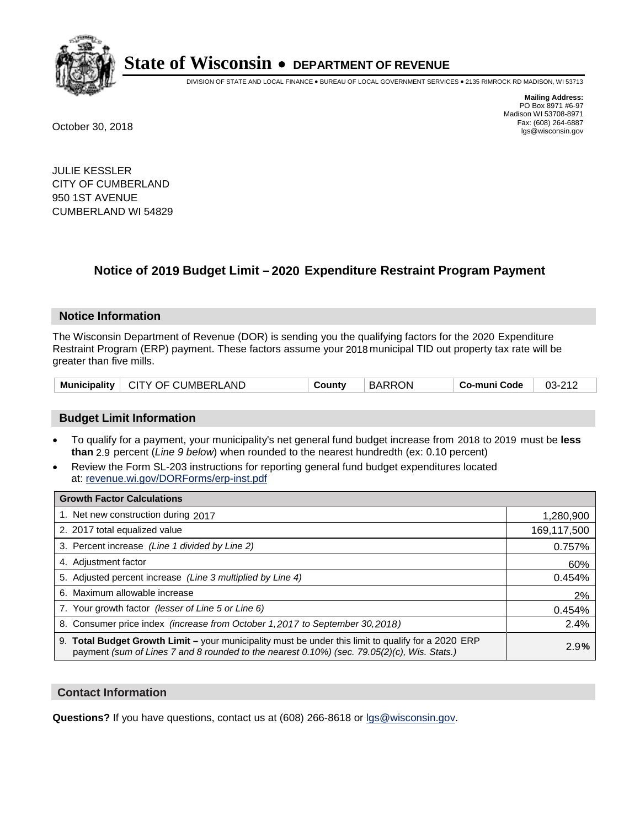

DIVISION OF STATE AND LOCAL FINANCE • BUREAU OF LOCAL GOVERNMENT SERVICES • 2135 RIMROCK RD MADISON, WI 53713

**Mailing Address:** PO Box 8971 #6-97 Madison WI 53708-8971<br>Fax: (608) 264-6887 Fax: (608) 264-6887 October 30, 2018 lgs@wisconsin.gov

JULIE KESSLER CITY OF CUMBERLAND 950 1ST AVENUE CUMBERLAND WI 54829

### **Notice of 2019 Budget Limit - 2020 Expenditure Restraint Program Payment**

#### **Notice Information**

The Wisconsin Department of Revenue (DOR) is sending you the qualifying factors for the 2020 Expenditure Restraint Program (ERP) payment. These factors assume your 2018 municipal TID out property tax rate will be greater than five mills.

| <b>Municipality</b> | <b>CITY OF CUMBERLAND</b> | ountvٽ | <b>BARRON</b> | co-muni Code، | $03 - 212$ |
|---------------------|---------------------------|--------|---------------|---------------|------------|
|---------------------|---------------------------|--------|---------------|---------------|------------|

#### **Budget Limit Information**

- To qualify for a payment, your municipality's net general fund budget increase from 2018 to 2019 must be less **than** 2.9 percent (*Line 9 below*) when rounded to the nearest hundredth (ex: 0.10 percent)
- Review the Form SL-203 instructions for reporting general fund budget expenditures located at: revenue.wi.gov/DORForms/erp-inst.pdf

| <b>Growth Factor Calculations</b>                                                                                                                                                                      |             |
|--------------------------------------------------------------------------------------------------------------------------------------------------------------------------------------------------------|-------------|
| 1. Net new construction during 2017                                                                                                                                                                    | 1,280,900   |
| 2. 2017 total equalized value                                                                                                                                                                          | 169,117,500 |
| 3. Percent increase (Line 1 divided by Line 2)                                                                                                                                                         | 0.757%      |
| 4. Adjustment factor                                                                                                                                                                                   | 60%         |
| 5. Adjusted percent increase (Line 3 multiplied by Line 4)                                                                                                                                             | 0.454%      |
| 6. Maximum allowable increase                                                                                                                                                                          | 2%          |
| 7. Your growth factor (lesser of Line 5 or Line 6)                                                                                                                                                     | 0.454%      |
| 8. Consumer price index (increase from October 1,2017 to September 30,2018)                                                                                                                            | 2.4%        |
| 9. Total Budget Growth Limit - your municipality must be under this limit to qualify for a 2020 ERP<br>payment (sum of Lines 7 and 8 rounded to the nearest $0.10\%$ ) (sec. 79.05(2)(c), Wis. Stats.) | 2.9%        |

#### **Contact Information**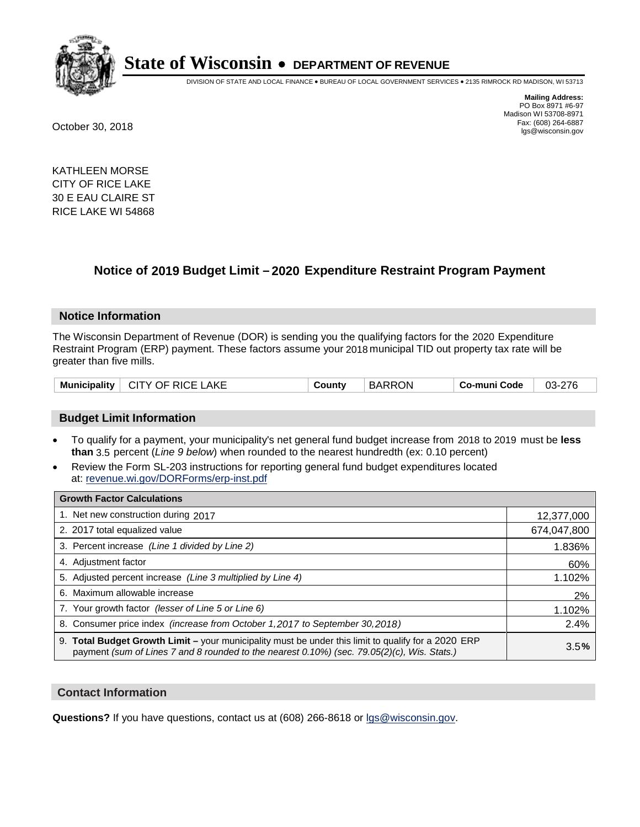

DIVISION OF STATE AND LOCAL FINANCE • BUREAU OF LOCAL GOVERNMENT SERVICES • 2135 RIMROCK RD MADISON, WI 53713

**Mailing Address:** PO Box 8971 #6-97 Madison WI 53708-8971<br>Fax: (608) 264-6887 Fax: (608) 264-6887 October 30, 2018 lgs@wisconsin.gov

KATHLEEN MORSE CITY OF RICE LAKE 30 E EAU CLAIRE ST RICE LAKE WI 54868

### **Notice of 2019 Budget Limit - 2020 Expenditure Restraint Program Payment**

#### **Notice Information**

The Wisconsin Department of Revenue (DOR) is sending you the qualifying factors for the 2020 Expenditure Restraint Program (ERP) payment. These factors assume your 2018 municipal TID out property tax rate will be greater than five mills.

| Municipality   CITY OF RICE LAKE | County | <b>BARRON</b> | Co-muni Code | 03-276 |
|----------------------------------|--------|---------------|--------------|--------|
|----------------------------------|--------|---------------|--------------|--------|

#### **Budget Limit Information**

- To qualify for a payment, your municipality's net general fund budget increase from 2018 to 2019 must be less **than** 3.5 percent (*Line 9 below*) when rounded to the nearest hundredth (ex: 0.10 percent)
- Review the Form SL-203 instructions for reporting general fund budget expenditures located at: revenue.wi.gov/DORForms/erp-inst.pdf

| <b>Growth Factor Calculations</b>                                                                                                                                                                      |             |
|--------------------------------------------------------------------------------------------------------------------------------------------------------------------------------------------------------|-------------|
| 1. Net new construction during 2017                                                                                                                                                                    | 12,377,000  |
| 2. 2017 total equalized value                                                                                                                                                                          | 674,047,800 |
| 3. Percent increase (Line 1 divided by Line 2)                                                                                                                                                         | 1.836%      |
| 4. Adjustment factor                                                                                                                                                                                   | 60%         |
| 5. Adjusted percent increase (Line 3 multiplied by Line 4)                                                                                                                                             | 1.102%      |
| 6. Maximum allowable increase                                                                                                                                                                          | 2%          |
| 7. Your growth factor (lesser of Line 5 or Line 6)                                                                                                                                                     | 1.102%      |
| 8. Consumer price index (increase from October 1,2017 to September 30,2018)                                                                                                                            | 2.4%        |
| 9. Total Budget Growth Limit - your municipality must be under this limit to qualify for a 2020 ERP<br>payment (sum of Lines 7 and 8 rounded to the nearest $0.10\%$ ) (sec. 79.05(2)(c), Wis. Stats.) | 3.5%        |

#### **Contact Information**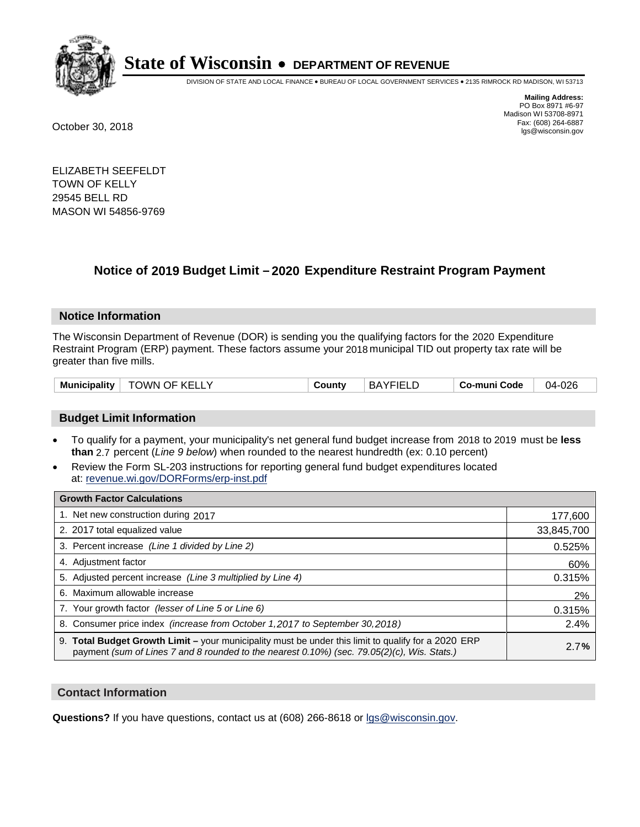

DIVISION OF STATE AND LOCAL FINANCE • BUREAU OF LOCAL GOVERNMENT SERVICES • 2135 RIMROCK RD MADISON, WI 53713

**Mailing Address:** PO Box 8971 #6-97 Madison WI 53708-8971<br>Fax: (608) 264-6887 Fax: (608) 264-6887 October 30, 2018 lgs@wisconsin.gov

ELIZABETH SEEFELDT TOWN OF KELLY 29545 BELL RD MASON WI 54856-9769

## **Notice of 2019 Budget Limit - 2020 Expenditure Restraint Program Payment**

#### **Notice Information**

The Wisconsin Department of Revenue (DOR) is sending you the qualifying factors for the 2020 Expenditure Restraint Program (ERP) payment. These factors assume your 2018 municipal TID out property tax rate will be greater than five mills.

| <b>Municipality</b><br><b>TOWN OF KELLY</b> | $J$ ount $V$ | <b>BAYFIELD</b> | Co-muni Code | 04-026 |
|---------------------------------------------|--------------|-----------------|--------------|--------|
|---------------------------------------------|--------------|-----------------|--------------|--------|

#### **Budget Limit Information**

- To qualify for a payment, your municipality's net general fund budget increase from 2018 to 2019 must be less **than** 2.7 percent (*Line 9 below*) when rounded to the nearest hundredth (ex: 0.10 percent)
- Review the Form SL-203 instructions for reporting general fund budget expenditures located at: revenue.wi.gov/DORForms/erp-inst.pdf

| <b>Growth Factor Calculations</b>                                                                                                                                                                      |            |
|--------------------------------------------------------------------------------------------------------------------------------------------------------------------------------------------------------|------------|
| 1. Net new construction during 2017                                                                                                                                                                    | 177,600    |
| 2. 2017 total equalized value                                                                                                                                                                          | 33,845,700 |
| 3. Percent increase (Line 1 divided by Line 2)                                                                                                                                                         | 0.525%     |
| 4. Adjustment factor                                                                                                                                                                                   | 60%        |
| 5. Adjusted percent increase (Line 3 multiplied by Line 4)                                                                                                                                             | 0.315%     |
| 6. Maximum allowable increase                                                                                                                                                                          | 2%         |
| 7. Your growth factor (lesser of Line 5 or Line 6)                                                                                                                                                     | 0.315%     |
| 8. Consumer price index (increase from October 1,2017 to September 30,2018)                                                                                                                            | 2.4%       |
| 9. Total Budget Growth Limit - your municipality must be under this limit to qualify for a 2020 ERP<br>payment (sum of Lines 7 and 8 rounded to the nearest $0.10\%$ ) (sec. 79.05(2)(c), Wis. Stats.) | 2.7%       |

#### **Contact Information**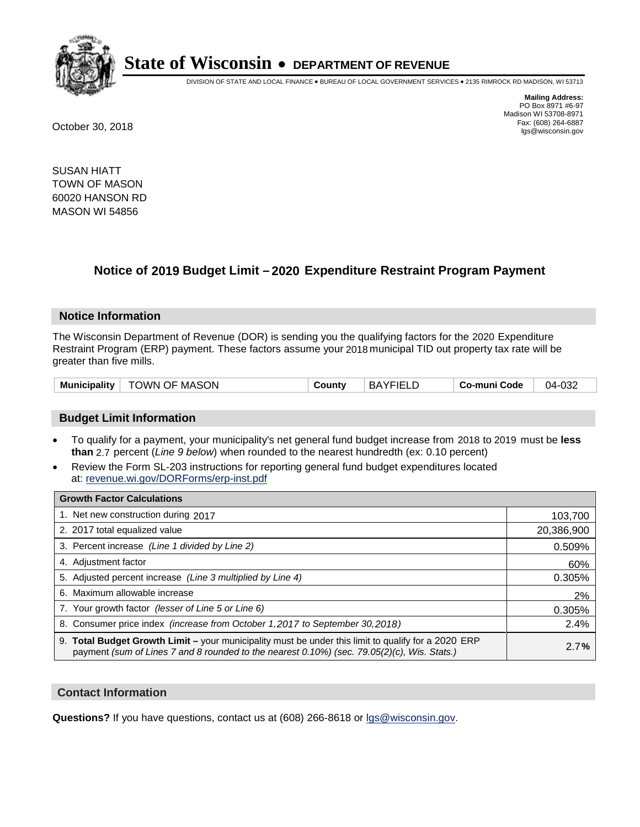

DIVISION OF STATE AND LOCAL FINANCE • BUREAU OF LOCAL GOVERNMENT SERVICES • 2135 RIMROCK RD MADISON, WI 53713

**Mailing Address:** PO Box 8971 #6-97 Madison WI 53708-8971<br>Fax: (608) 264-6887 Fax: (608) 264-6887 October 30, 2018 lgs@wisconsin.gov

SUSAN HIATT TOWN OF MASON 60020 HANSON RD MASON WI 54856

### **Notice of 2019 Budget Limit - 2020 Expenditure Restraint Program Payment**

#### **Notice Information**

The Wisconsin Department of Revenue (DOR) is sending you the qualifying factors for the 2020 Expenditure Restraint Program (ERP) payment. These factors assume your 2018 municipal TID out property tax rate will be greater than five mills.

| TOWN OF MASON<br>Municipality | County | <b>BAYFIELD</b> | <b>Co-muni Code</b> | 04-032 |
|-------------------------------|--------|-----------------|---------------------|--------|
|-------------------------------|--------|-----------------|---------------------|--------|

#### **Budget Limit Information**

- To qualify for a payment, your municipality's net general fund budget increase from 2018 to 2019 must be less **than** 2.7 percent (*Line 9 below*) when rounded to the nearest hundredth (ex: 0.10 percent)
- Review the Form SL-203 instructions for reporting general fund budget expenditures located at: revenue.wi.gov/DORForms/erp-inst.pdf

| <b>Growth Factor Calculations</b>                                                                                                                                                                      |            |
|--------------------------------------------------------------------------------------------------------------------------------------------------------------------------------------------------------|------------|
| 1. Net new construction during 2017                                                                                                                                                                    | 103,700    |
| 2. 2017 total equalized value                                                                                                                                                                          | 20,386,900 |
| 3. Percent increase (Line 1 divided by Line 2)                                                                                                                                                         | 0.509%     |
| 4. Adjustment factor                                                                                                                                                                                   | 60%        |
| 5. Adjusted percent increase (Line 3 multiplied by Line 4)                                                                                                                                             | 0.305%     |
| 6. Maximum allowable increase                                                                                                                                                                          | 2%         |
| 7. Your growth factor (lesser of Line 5 or Line 6)                                                                                                                                                     | 0.305%     |
| 8. Consumer price index (increase from October 1,2017 to September 30,2018)                                                                                                                            | 2.4%       |
| 9. Total Budget Growth Limit - your municipality must be under this limit to qualify for a 2020 ERP<br>payment (sum of Lines 7 and 8 rounded to the nearest $0.10\%$ ) (sec. 79.05(2)(c), Wis. Stats.) | 2.7%       |

#### **Contact Information**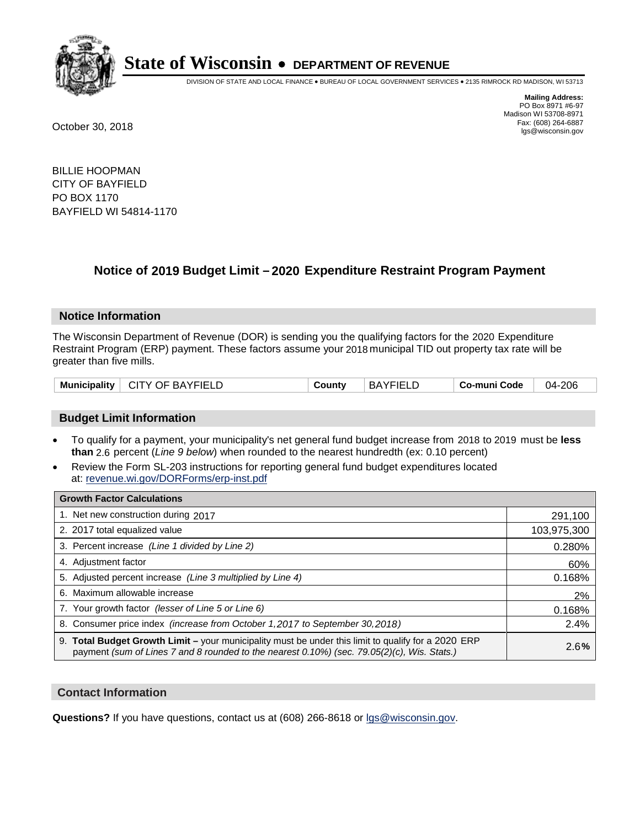

DIVISION OF STATE AND LOCAL FINANCE • BUREAU OF LOCAL GOVERNMENT SERVICES • 2135 RIMROCK RD MADISON, WI 53713

**Mailing Address:** PO Box 8971 #6-97 Madison WI 53708-8971<br>Fax: (608) 264-6887 Fax: (608) 264-6887 October 30, 2018 lgs@wisconsin.gov

BILLIE HOOPMAN CITY OF BAYFIELD PO BOX 1170 BAYFIELD WI 54814-1170

### **Notice of 2019 Budget Limit - 2020 Expenditure Restraint Program Payment**

#### **Notice Information**

The Wisconsin Department of Revenue (DOR) is sending you the qualifying factors for the 2020 Expenditure Restraint Program (ERP) payment. These factors assume your 2018 municipal TID out property tax rate will be greater than five mills.

#### **Budget Limit Information**

- To qualify for a payment, your municipality's net general fund budget increase from 2018 to 2019 must be less **than** 2.6 percent (*Line 9 below*) when rounded to the nearest hundredth (ex: 0.10 percent)
- Review the Form SL-203 instructions for reporting general fund budget expenditures located at: revenue.wi.gov/DORForms/erp-inst.pdf

| <b>Growth Factor Calculations</b>                                                                                                                                                                      |             |
|--------------------------------------------------------------------------------------------------------------------------------------------------------------------------------------------------------|-------------|
| 1. Net new construction during 2017                                                                                                                                                                    | 291,100     |
| 2. 2017 total equalized value                                                                                                                                                                          | 103,975,300 |
| 3. Percent increase (Line 1 divided by Line 2)                                                                                                                                                         | 0.280%      |
| 4. Adjustment factor                                                                                                                                                                                   | 60%         |
| 5. Adjusted percent increase (Line 3 multiplied by Line 4)                                                                                                                                             | 0.168%      |
| 6. Maximum allowable increase                                                                                                                                                                          | 2%          |
| 7. Your growth factor (lesser of Line 5 or Line 6)                                                                                                                                                     | 0.168%      |
| 8. Consumer price index (increase from October 1,2017 to September 30,2018)                                                                                                                            | 2.4%        |
| 9. Total Budget Growth Limit - your municipality must be under this limit to qualify for a 2020 ERP<br>payment (sum of Lines 7 and 8 rounded to the nearest $0.10\%$ ) (sec. 79.05(2)(c), Wis. Stats.) | 2.6%        |

#### **Contact Information**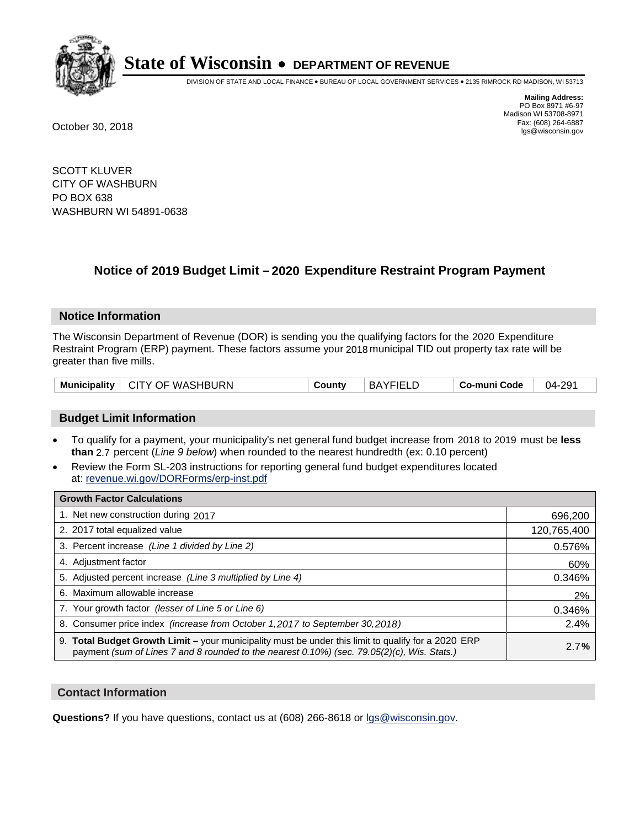

DIVISION OF STATE AND LOCAL FINANCE • BUREAU OF LOCAL GOVERNMENT SERVICES • 2135 RIMROCK RD MADISON, WI 53713

**Mailing Address:** PO Box 8971 #6-97 Madison WI 53708-8971<br>Fax: (608) 264-6887 Fax: (608) 264-6887 October 30, 2018 lgs@wisconsin.gov

SCOTT KLUVER CITY OF WASHBURN PO BOX 638 WASHBURN WI 54891-0638

### **Notice of 2019 Budget Limit - 2020 Expenditure Restraint Program Payment**

#### **Notice Information**

The Wisconsin Department of Revenue (DOR) is sending you the qualifying factors for the 2020 Expenditure Restraint Program (ERP) payment. These factors assume your 2018 municipal TID out property tax rate will be greater than five mills.

| <b>Municipality</b> | <b>□ CITY OF WASHBURN</b> | County | <b>BAYFIELD</b> | Co-muni Code | 04-291 |
|---------------------|---------------------------|--------|-----------------|--------------|--------|
|---------------------|---------------------------|--------|-----------------|--------------|--------|

#### **Budget Limit Information**

- To qualify for a payment, your municipality's net general fund budget increase from 2018 to 2019 must be less **than** 2.7 percent (*Line 9 below*) when rounded to the nearest hundredth (ex: 0.10 percent)
- Review the Form SL-203 instructions for reporting general fund budget expenditures located at: revenue.wi.gov/DORForms/erp-inst.pdf

| <b>Growth Factor Calculations</b>                                                                                                                                                                      |             |
|--------------------------------------------------------------------------------------------------------------------------------------------------------------------------------------------------------|-------------|
| 1. Net new construction during 2017                                                                                                                                                                    | 696,200     |
| 2. 2017 total equalized value                                                                                                                                                                          | 120,765,400 |
| 3. Percent increase (Line 1 divided by Line 2)                                                                                                                                                         | 0.576%      |
| 4. Adjustment factor                                                                                                                                                                                   | 60%         |
| 5. Adjusted percent increase (Line 3 multiplied by Line 4)                                                                                                                                             | 0.346%      |
| 6. Maximum allowable increase                                                                                                                                                                          | 2%          |
| 7. Your growth factor (lesser of Line 5 or Line 6)                                                                                                                                                     | 0.346%      |
| 8. Consumer price index (increase from October 1, 2017 to September 30, 2018)                                                                                                                          | 2.4%        |
| 9. Total Budget Growth Limit - your municipality must be under this limit to qualify for a 2020 ERP<br>payment (sum of Lines 7 and 8 rounded to the nearest $0.10\%$ ) (sec. 79.05(2)(c), Wis. Stats.) | 2.7%        |

#### **Contact Information**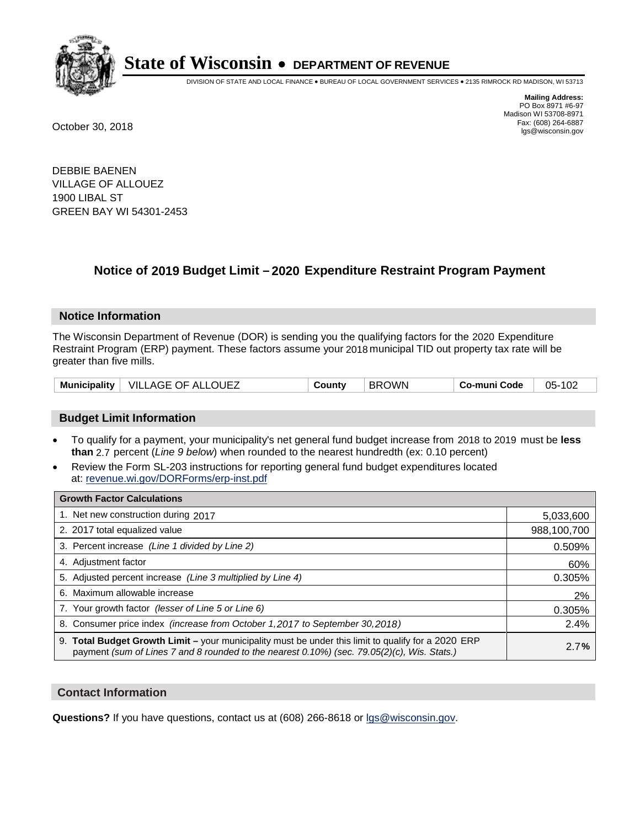

DIVISION OF STATE AND LOCAL FINANCE • BUREAU OF LOCAL GOVERNMENT SERVICES • 2135 RIMROCK RD MADISON, WI 53713

**Mailing Address:** PO Box 8971 #6-97 Madison WI 53708-8971<br>Fax: (608) 264-6887 Fax: (608) 264-6887 October 30, 2018 lgs@wisconsin.gov

DEBBIE BAENEN VILLAGE OF ALLOUEZ 1900 LIBAL ST GREEN BAY WI 54301-2453

### **Notice of 2019 Budget Limit - 2020 Expenditure Restraint Program Payment**

#### **Notice Information**

The Wisconsin Department of Revenue (DOR) is sending you the qualifying factors for the 2020 Expenditure Restraint Program (ERP) payment. These factors assume your 2018 municipal TID out property tax rate will be greater than five mills.

| VILLAGE OF ALLOUEZ<br><b>Municipality</b> | County | <b>BROWN</b> | Co-muni Code | 05-102 |
|-------------------------------------------|--------|--------------|--------------|--------|
|-------------------------------------------|--------|--------------|--------------|--------|

#### **Budget Limit Information**

- To qualify for a payment, your municipality's net general fund budget increase from 2018 to 2019 must be less **than** 2.7 percent (*Line 9 below*) when rounded to the nearest hundredth (ex: 0.10 percent)
- Review the Form SL-203 instructions for reporting general fund budget expenditures located at: revenue.wi.gov/DORForms/erp-inst.pdf

| <b>Growth Factor Calculations</b>                                                                                                                                                                      |             |
|--------------------------------------------------------------------------------------------------------------------------------------------------------------------------------------------------------|-------------|
| 1. Net new construction during 2017                                                                                                                                                                    | 5,033,600   |
| 2. 2017 total equalized value                                                                                                                                                                          | 988,100,700 |
| 3. Percent increase (Line 1 divided by Line 2)                                                                                                                                                         | 0.509%      |
| 4. Adjustment factor                                                                                                                                                                                   | 60%         |
| 5. Adjusted percent increase (Line 3 multiplied by Line 4)                                                                                                                                             | 0.305%      |
| 6. Maximum allowable increase                                                                                                                                                                          | 2%          |
| 7. Your growth factor (lesser of Line 5 or Line 6)                                                                                                                                                     | 0.305%      |
| 8. Consumer price index (increase from October 1,2017 to September 30,2018)                                                                                                                            | 2.4%        |
| 9. Total Budget Growth Limit - your municipality must be under this limit to qualify for a 2020 ERP<br>payment (sum of Lines 7 and 8 rounded to the nearest $0.10\%$ ) (sec. 79.05(2)(c), Wis. Stats.) | 2.7%        |

#### **Contact Information**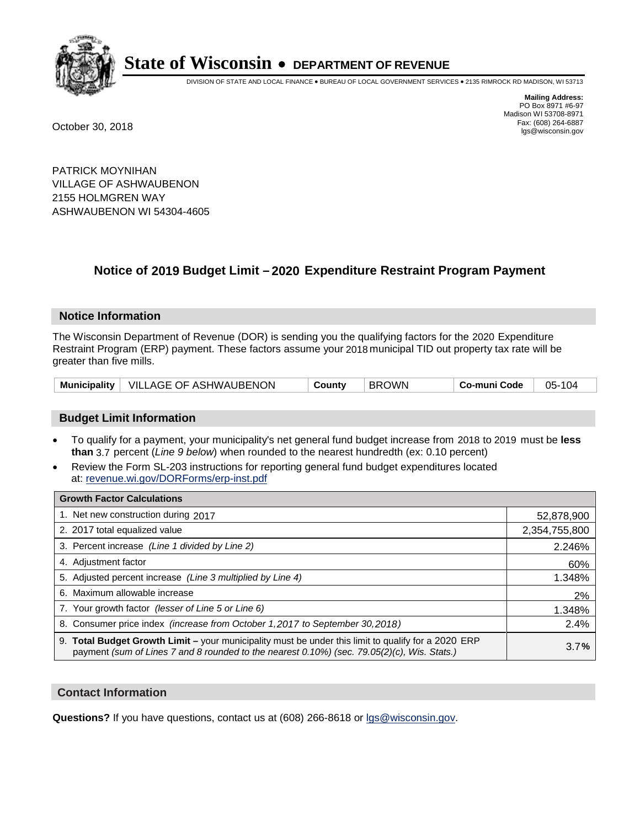

DIVISION OF STATE AND LOCAL FINANCE • BUREAU OF LOCAL GOVERNMENT SERVICES • 2135 RIMROCK RD MADISON, WI 53713

**Mailing Address:** PO Box 8971 #6-97 Madison WI 53708-8971<br>Fax: (608) 264-6887 Fax: (608) 264-6887 October 30, 2018 lgs@wisconsin.gov

PATRICK MOYNIHAN VILLAGE OF ASHWAUBENON 2155 HOLMGREN WAY ASHWAUBENON WI 54304-4605

### **Notice of 2019 Budget Limit - 2020 Expenditure Restraint Program Payment**

#### **Notice Information**

The Wisconsin Department of Revenue (DOR) is sending you the qualifying factors for the 2020 Expenditure Restraint Program (ERP) payment. These factors assume your 2018 municipal TID out property tax rate will be greater than five mills.

|  | Municipality   VILLAGE OF ASHWAUBENON | County | <b>BROWN</b> | Co-muni Code | 05-104 |
|--|---------------------------------------|--------|--------------|--------------|--------|
|--|---------------------------------------|--------|--------------|--------------|--------|

#### **Budget Limit Information**

- To qualify for a payment, your municipality's net general fund budget increase from 2018 to 2019 must be less **than** 3.7 percent (*Line 9 below*) when rounded to the nearest hundredth (ex: 0.10 percent)
- Review the Form SL-203 instructions for reporting general fund budget expenditures located at: revenue.wi.gov/DORForms/erp-inst.pdf

| <b>Growth Factor Calculations</b>                                                                                                                                                                  |               |
|----------------------------------------------------------------------------------------------------------------------------------------------------------------------------------------------------|---------------|
| 1. Net new construction during 2017                                                                                                                                                                | 52,878,900    |
| 2. 2017 total equalized value                                                                                                                                                                      | 2,354,755,800 |
| 3. Percent increase (Line 1 divided by Line 2)                                                                                                                                                     | 2.246%        |
| 4. Adjustment factor                                                                                                                                                                               | 60%           |
| 5. Adjusted percent increase (Line 3 multiplied by Line 4)                                                                                                                                         | 1.348%        |
| 6. Maximum allowable increase                                                                                                                                                                      | 2%            |
| 7. Your growth factor (lesser of Line 5 or Line 6)                                                                                                                                                 | 1.348%        |
| 8. Consumer price index (increase from October 1,2017 to September 30,2018)                                                                                                                        | 2.4%          |
| 9. Total Budget Growth Limit - your municipality must be under this limit to qualify for a 2020 ERP<br>payment (sum of Lines 7 and 8 rounded to the nearest 0.10%) (sec. 79.05(2)(c), Wis. Stats.) | 3.7%          |

#### **Contact Information**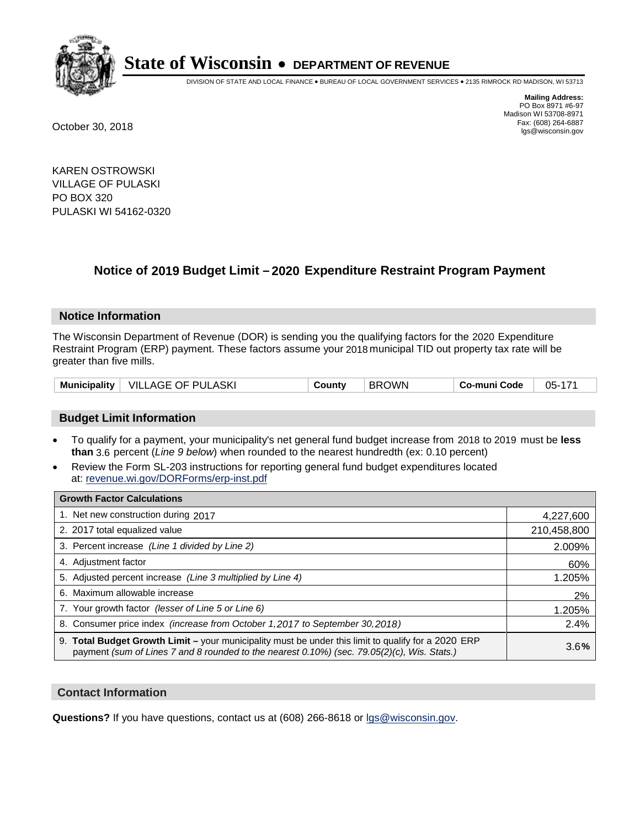

DIVISION OF STATE AND LOCAL FINANCE • BUREAU OF LOCAL GOVERNMENT SERVICES • 2135 RIMROCK RD MADISON, WI 53713

**Mailing Address:** PO Box 8971 #6-97 Madison WI 53708-8971<br>Fax: (608) 264-6887 Fax: (608) 264-6887 October 30, 2018 lgs@wisconsin.gov

KAREN OSTROWSKI VILLAGE OF PULASKI PO BOX 320 PULASKI WI 54162-0320

## **Notice of 2019 Budget Limit - 2020 Expenditure Restraint Program Payment**

#### **Notice Information**

The Wisconsin Department of Revenue (DOR) is sending you the qualifying factors for the 2020 Expenditure Restraint Program (ERP) payment. These factors assume your 2018 municipal TID out property tax rate will be greater than five mills.

| <b>Municipality</b> | VILLAGE OF PULASKI | County | <b>BROWN</b> | Co-muni Code | 05-171 |
|---------------------|--------------------|--------|--------------|--------------|--------|
|---------------------|--------------------|--------|--------------|--------------|--------|

#### **Budget Limit Information**

- To qualify for a payment, your municipality's net general fund budget increase from 2018 to 2019 must be less **than** 3.6 percent (*Line 9 below*) when rounded to the nearest hundredth (ex: 0.10 percent)
- Review the Form SL-203 instructions for reporting general fund budget expenditures located at: revenue.wi.gov/DORForms/erp-inst.pdf

| <b>Growth Factor Calculations</b>                                                                                                                                                                  |             |
|----------------------------------------------------------------------------------------------------------------------------------------------------------------------------------------------------|-------------|
| 1. Net new construction during 2017                                                                                                                                                                | 4,227,600   |
| 2. 2017 total equalized value                                                                                                                                                                      | 210,458,800 |
| 3. Percent increase (Line 1 divided by Line 2)                                                                                                                                                     | 2.009%      |
| 4. Adjustment factor                                                                                                                                                                               | 60%         |
| 5. Adjusted percent increase (Line 3 multiplied by Line 4)                                                                                                                                         | 1.205%      |
| 6. Maximum allowable increase                                                                                                                                                                      | 2%          |
| 7. Your growth factor (lesser of Line 5 or Line 6)                                                                                                                                                 | 1.205%      |
| 8. Consumer price index (increase from October 1, 2017 to September 30, 2018)                                                                                                                      | 2.4%        |
| 9. Total Budget Growth Limit - your municipality must be under this limit to qualify for a 2020 ERP<br>payment (sum of Lines 7 and 8 rounded to the nearest 0.10%) (sec. 79.05(2)(c), Wis. Stats.) | 3.6%        |

#### **Contact Information**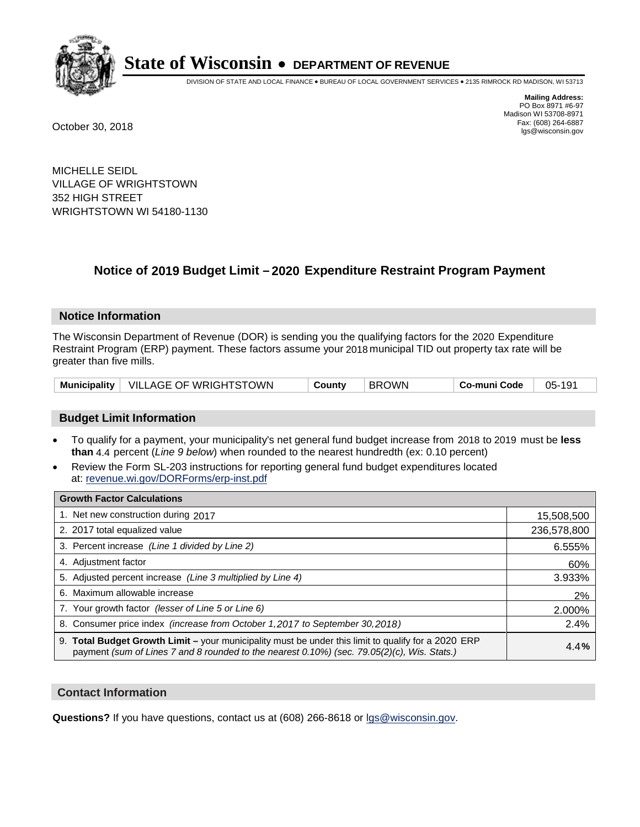

DIVISION OF STATE AND LOCAL FINANCE • BUREAU OF LOCAL GOVERNMENT SERVICES • 2135 RIMROCK RD MADISON, WI 53713

**Mailing Address:** PO Box 8971 #6-97 Madison WI 53708-8971<br>Fax: (608) 264-6887 Fax: (608) 264-6887 October 30, 2018 lgs@wisconsin.gov

MICHELLE SEIDL VILLAGE OF WRIGHTSTOWN 352 HIGH STREET WRIGHTSTOWN WI 54180-1130

### **Notice of 2019 Budget Limit - 2020 Expenditure Restraint Program Payment**

#### **Notice Information**

The Wisconsin Department of Revenue (DOR) is sending you the qualifying factors for the 2020 Expenditure Restraint Program (ERP) payment. These factors assume your 2018 municipal TID out property tax rate will be greater than five mills.

| Municipality   VILLAGE OF WRIGHTSTOWN | County | <b>BROWN</b> | Co-muni Code | 05-191 |
|---------------------------------------|--------|--------------|--------------|--------|
|---------------------------------------|--------|--------------|--------------|--------|

#### **Budget Limit Information**

- To qualify for a payment, your municipality's net general fund budget increase from 2018 to 2019 must be less **than** 4.4 percent (*Line 9 below*) when rounded to the nearest hundredth (ex: 0.10 percent)
- Review the Form SL-203 instructions for reporting general fund budget expenditures located at: revenue.wi.gov/DORForms/erp-inst.pdf

| <b>Growth Factor Calculations</b>                                                                                                                                                                  |             |
|----------------------------------------------------------------------------------------------------------------------------------------------------------------------------------------------------|-------------|
| 1. Net new construction during 2017                                                                                                                                                                | 15,508,500  |
| 2. 2017 total equalized value                                                                                                                                                                      | 236,578,800 |
| 3. Percent increase (Line 1 divided by Line 2)                                                                                                                                                     | 6.555%      |
| 4. Adjustment factor                                                                                                                                                                               | 60%         |
| 5. Adjusted percent increase (Line 3 multiplied by Line 4)                                                                                                                                         | 3.933%      |
| 6. Maximum allowable increase                                                                                                                                                                      | 2%          |
| 7. Your growth factor (lesser of Line 5 or Line 6)                                                                                                                                                 | 2.000%      |
| 8. Consumer price index (increase from October 1,2017 to September 30,2018)                                                                                                                        | 2.4%        |
| 9. Total Budget Growth Limit - your municipality must be under this limit to qualify for a 2020 ERP<br>payment (sum of Lines 7 and 8 rounded to the nearest 0.10%) (sec. 79.05(2)(c), Wis. Stats.) | 4.4%        |

#### **Contact Information**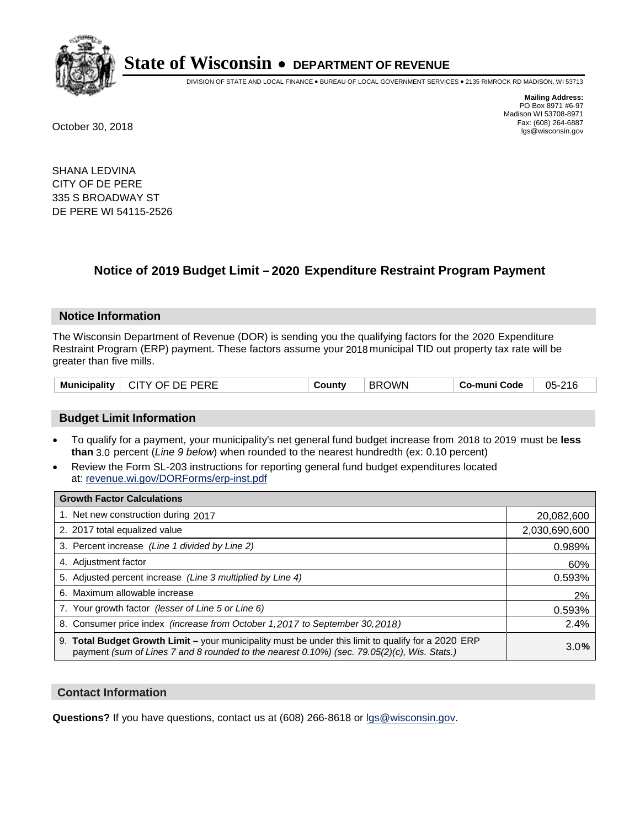

DIVISION OF STATE AND LOCAL FINANCE • BUREAU OF LOCAL GOVERNMENT SERVICES • 2135 RIMROCK RD MADISON, WI 53713

**Mailing Address:** PO Box 8971 #6-97 Madison WI 53708-8971<br>Fax: (608) 264-6887 Fax: (608) 264-6887 October 30, 2018 lgs@wisconsin.gov

SHANA LEDVINA CITY OF DE PERE 335 S BROADWAY ST DE PERE WI 54115-2526

## **Notice of 2019 Budget Limit - 2020 Expenditure Restraint Program Payment**

#### **Notice Information**

The Wisconsin Department of Revenue (DOR) is sending you the qualifying factors for the 2020 Expenditure Restraint Program (ERP) payment. These factors assume your 2018 municipal TID out property tax rate will be greater than five mills.

| Municipality | CITY OF DE PERE | County | <b>BROWN</b> | Co-muni Code | 05-216 |
|--------------|-----------------|--------|--------------|--------------|--------|
|--------------|-----------------|--------|--------------|--------------|--------|

#### **Budget Limit Information**

- To qualify for a payment, your municipality's net general fund budget increase from 2018 to 2019 must be less **than** 3.0 percent (*Line 9 below*) when rounded to the nearest hundredth (ex: 0.10 percent)
- Review the Form SL-203 instructions for reporting general fund budget expenditures located at: revenue.wi.gov/DORForms/erp-inst.pdf

| <b>Growth Factor Calculations</b>                                                                                                                                                                  |               |
|----------------------------------------------------------------------------------------------------------------------------------------------------------------------------------------------------|---------------|
| 1. Net new construction during 2017                                                                                                                                                                | 20,082,600    |
| 2. 2017 total equalized value                                                                                                                                                                      | 2,030,690,600 |
| 3. Percent increase (Line 1 divided by Line 2)                                                                                                                                                     | 0.989%        |
| 4. Adjustment factor                                                                                                                                                                               | 60%           |
| 5. Adjusted percent increase (Line 3 multiplied by Line 4)                                                                                                                                         | 0.593%        |
| 6. Maximum allowable increase                                                                                                                                                                      | 2%            |
| 7. Your growth factor (lesser of Line 5 or Line 6)                                                                                                                                                 | 0.593%        |
| 8. Consumer price index (increase from October 1, 2017 to September 30, 2018)                                                                                                                      | 2.4%          |
| 9. Total Budget Growth Limit - your municipality must be under this limit to qualify for a 2020 ERP<br>payment (sum of Lines 7 and 8 rounded to the nearest 0.10%) (sec. 79.05(2)(c), Wis. Stats.) | 3.0%          |

#### **Contact Information**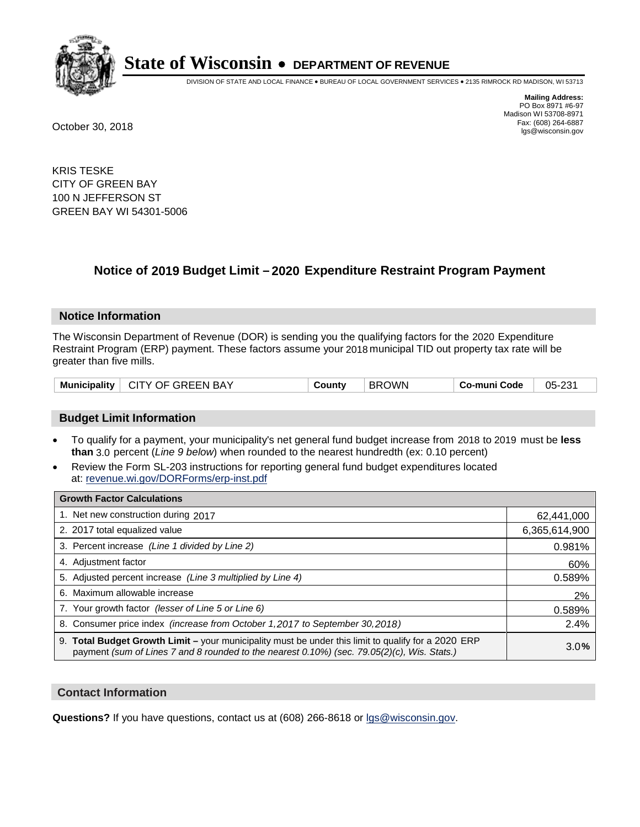

DIVISION OF STATE AND LOCAL FINANCE • BUREAU OF LOCAL GOVERNMENT SERVICES • 2135 RIMROCK RD MADISON, WI 53713

**Mailing Address:** PO Box 8971 #6-97 Madison WI 53708-8971<br>Fax: (608) 264-6887 Fax: (608) 264-6887 October 30, 2018 lgs@wisconsin.gov

KRIS TESKE CITY OF GREEN BAY 100 N JEFFERSON ST GREEN BAY WI 54301-5006

## **Notice of 2019 Budget Limit - 2020 Expenditure Restraint Program Payment**

#### **Notice Information**

The Wisconsin Department of Revenue (DOR) is sending you the qualifying factors for the 2020 Expenditure Restraint Program (ERP) payment. These factors assume your 2018 municipal TID out property tax rate will be greater than five mills.

#### **Budget Limit Information**

- To qualify for a payment, your municipality's net general fund budget increase from 2018 to 2019 must be less **than** 3.0 percent (*Line 9 below*) when rounded to the nearest hundredth (ex: 0.10 percent)
- Review the Form SL-203 instructions for reporting general fund budget expenditures located at: revenue.wi.gov/DORForms/erp-inst.pdf

| <b>Growth Factor Calculations</b>                                                                                                                                                                  |               |
|----------------------------------------------------------------------------------------------------------------------------------------------------------------------------------------------------|---------------|
| 1. Net new construction during 2017                                                                                                                                                                | 62,441,000    |
| 2. 2017 total equalized value                                                                                                                                                                      | 6,365,614,900 |
| 3. Percent increase (Line 1 divided by Line 2)                                                                                                                                                     | 0.981%        |
| 4. Adiustment factor                                                                                                                                                                               | 60%           |
| 5. Adjusted percent increase (Line 3 multiplied by Line 4)                                                                                                                                         | 0.589%        |
| 6. Maximum allowable increase                                                                                                                                                                      | 2%            |
| 7. Your growth factor (lesser of Line 5 or Line 6)                                                                                                                                                 | 0.589%        |
| 8. Consumer price index (increase from October 1,2017 to September 30,2018)                                                                                                                        | 2.4%          |
| 9. Total Budget Growth Limit - your municipality must be under this limit to qualify for a 2020 ERP<br>payment (sum of Lines 7 and 8 rounded to the nearest 0.10%) (sec. 79.05(2)(c), Wis. Stats.) | 3.0%          |

#### **Contact Information**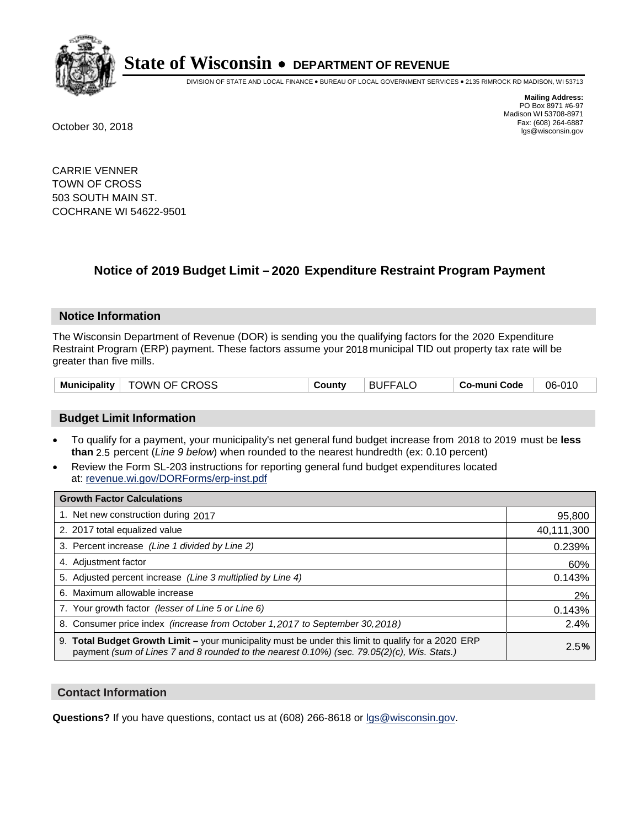

DIVISION OF STATE AND LOCAL FINANCE • BUREAU OF LOCAL GOVERNMENT SERVICES • 2135 RIMROCK RD MADISON, WI 53713

**Mailing Address:** PO Box 8971 #6-97 Madison WI 53708-8971<br>Fax: (608) 264-6887 Fax: (608) 264-6887 October 30, 2018 lgs@wisconsin.gov

CARRIE VENNER TOWN OF CROSS 503 SOUTH MAIN ST. COCHRANE WI 54622-9501

### **Notice of 2019 Budget Limit - 2020 Expenditure Restraint Program Payment**

#### **Notice Information**

The Wisconsin Department of Revenue (DOR) is sending you the qualifying factors for the 2020 Expenditure Restraint Program (ERP) payment. These factors assume your 2018 municipal TID out property tax rate will be greater than five mills.

|  | <b>Municipality</b> | <sup>⊦</sup> TOWN OF CROSS | County | <b>BUFFALO</b> | Co-muni Code | 06-010 |
|--|---------------------|----------------------------|--------|----------------|--------------|--------|
|--|---------------------|----------------------------|--------|----------------|--------------|--------|

#### **Budget Limit Information**

- To qualify for a payment, your municipality's net general fund budget increase from 2018 to 2019 must be less **than** 2.5 percent (*Line 9 below*) when rounded to the nearest hundredth (ex: 0.10 percent)
- Review the Form SL-203 instructions for reporting general fund budget expenditures located at: revenue.wi.gov/DORForms/erp-inst.pdf

| <b>Growth Factor Calculations</b>                                                                                                                                                                      |            |
|--------------------------------------------------------------------------------------------------------------------------------------------------------------------------------------------------------|------------|
| 1. Net new construction during 2017                                                                                                                                                                    | 95,800     |
| 2. 2017 total equalized value                                                                                                                                                                          | 40,111,300 |
| 3. Percent increase (Line 1 divided by Line 2)                                                                                                                                                         | 0.239%     |
| 4. Adjustment factor                                                                                                                                                                                   | 60%        |
| 5. Adjusted percent increase (Line 3 multiplied by Line 4)                                                                                                                                             | 0.143%     |
| 6. Maximum allowable increase                                                                                                                                                                          | 2%         |
| 7. Your growth factor (lesser of Line 5 or Line 6)                                                                                                                                                     | 0.143%     |
| 8. Consumer price index (increase from October 1, 2017 to September 30, 2018)                                                                                                                          | 2.4%       |
| 9. Total Budget Growth Limit - your municipality must be under this limit to qualify for a 2020 ERP<br>payment (sum of Lines 7 and 8 rounded to the nearest $0.10\%$ ) (sec. 79.05(2)(c), Wis. Stats.) | 2.5%       |

#### **Contact Information**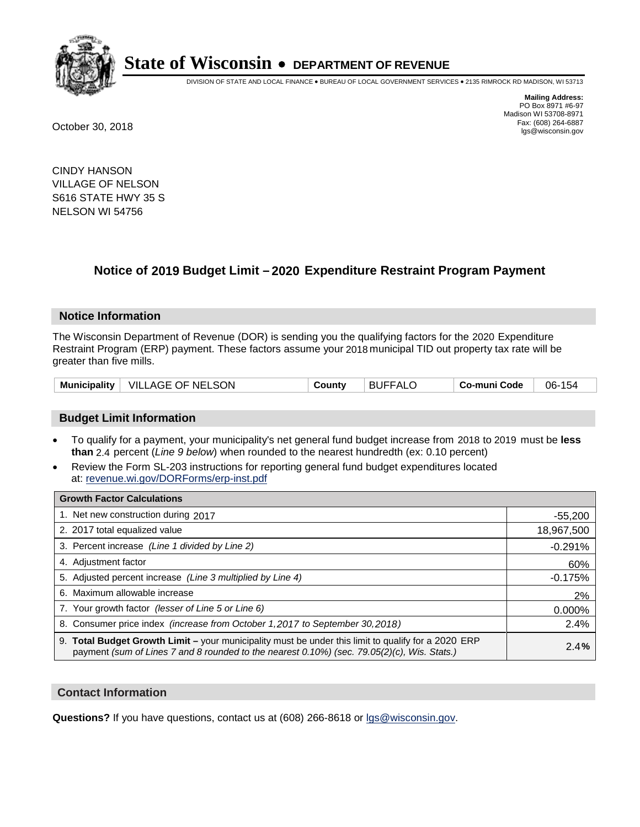

DIVISION OF STATE AND LOCAL FINANCE • BUREAU OF LOCAL GOVERNMENT SERVICES • 2135 RIMROCK RD MADISON, WI 53713

**Mailing Address:** PO Box 8971 #6-97 Madison WI 53708-8971<br>Fax: (608) 264-6887 Fax: (608) 264-6887 October 30, 2018 lgs@wisconsin.gov

CINDY HANSON VILLAGE OF NELSON S616 STATE HWY 35 S NELSON WI 54756

## **Notice of 2019 Budget Limit - 2020 Expenditure Restraint Program Payment**

#### **Notice Information**

The Wisconsin Department of Revenue (DOR) is sending you the qualifying factors for the 2020 Expenditure Restraint Program (ERP) payment. These factors assume your 2018 municipal TID out property tax rate will be greater than five mills.

| $\mid$ VILLAGE OF NELSON<br><b>Municipality</b> | County | <b>BUFFALO</b> | Co-muni Code | 06-154 |
|-------------------------------------------------|--------|----------------|--------------|--------|
|-------------------------------------------------|--------|----------------|--------------|--------|

#### **Budget Limit Information**

- To qualify for a payment, your municipality's net general fund budget increase from 2018 to 2019 must be less **than** 2.4 percent (*Line 9 below*) when rounded to the nearest hundredth (ex: 0.10 percent)
- Review the Form SL-203 instructions for reporting general fund budget expenditures located at: revenue.wi.gov/DORForms/erp-inst.pdf

| <b>Growth Factor Calculations</b>                                                                                                                                                                  |            |
|----------------------------------------------------------------------------------------------------------------------------------------------------------------------------------------------------|------------|
| 1. Net new construction during 2017                                                                                                                                                                | $-55,200$  |
| 2. 2017 total equalized value                                                                                                                                                                      | 18,967,500 |
| 3. Percent increase (Line 1 divided by Line 2)                                                                                                                                                     | $-0.291%$  |
| 4. Adjustment factor                                                                                                                                                                               | 60%        |
| 5. Adjusted percent increase (Line 3 multiplied by Line 4)                                                                                                                                         | $-0.175%$  |
| 6. Maximum allowable increase                                                                                                                                                                      | 2%         |
| 7. Your growth factor (lesser of Line 5 or Line 6)                                                                                                                                                 | 0.000%     |
| 8. Consumer price index (increase from October 1, 2017 to September 30, 2018)                                                                                                                      | 2.4%       |
| 9. Total Budget Growth Limit - your municipality must be under this limit to qualify for a 2020 ERP<br>payment (sum of Lines 7 and 8 rounded to the nearest 0.10%) (sec. 79.05(2)(c), Wis. Stats.) | 2.4%       |

#### **Contact Information**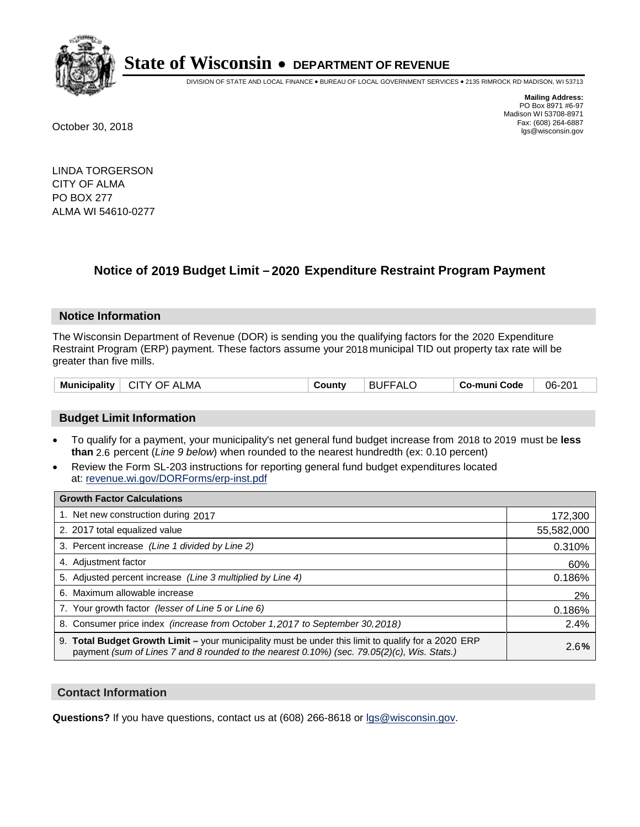

DIVISION OF STATE AND LOCAL FINANCE • BUREAU OF LOCAL GOVERNMENT SERVICES • 2135 RIMROCK RD MADISON, WI 53713

**Mailing Address:** PO Box 8971 #6-97 Madison WI 53708-8971<br>Fax: (608) 264-6887 Fax: (608) 264-6887 October 30, 2018 lgs@wisconsin.gov

LINDA TORGERSON CITY OF ALMA PO BOX 277 ALMA WI 54610-0277

## **Notice of 2019 Budget Limit - 2020 Expenditure Restraint Program Payment**

#### **Notice Information**

The Wisconsin Department of Revenue (DOR) is sending you the qualifying factors for the 2020 Expenditure Restraint Program (ERP) payment. These factors assume your 2018 municipal TID out property tax rate will be greater than five mills.

| Municipality  <br><b>CITY OF ALMA</b><br>County | <b>BUFFALC</b> | Co-muni Code | 06-201 |
|-------------------------------------------------|----------------|--------------|--------|
|-------------------------------------------------|----------------|--------------|--------|

#### **Budget Limit Information**

- To qualify for a payment, your municipality's net general fund budget increase from 2018 to 2019 must be less **than** 2.6 percent (*Line 9 below*) when rounded to the nearest hundredth (ex: 0.10 percent)
- Review the Form SL-203 instructions for reporting general fund budget expenditures located at: revenue.wi.gov/DORForms/erp-inst.pdf

| <b>Growth Factor Calculations</b>                                                                                                                                                                      |            |
|--------------------------------------------------------------------------------------------------------------------------------------------------------------------------------------------------------|------------|
| 1. Net new construction during 2017                                                                                                                                                                    | 172,300    |
| 2. 2017 total equalized value                                                                                                                                                                          | 55,582,000 |
| 3. Percent increase (Line 1 divided by Line 2)                                                                                                                                                         | 0.310%     |
| 4. Adjustment factor                                                                                                                                                                                   | 60%        |
| 5. Adjusted percent increase (Line 3 multiplied by Line 4)                                                                                                                                             | 0.186%     |
| 6. Maximum allowable increase                                                                                                                                                                          | 2%         |
| 7. Your growth factor (lesser of Line 5 or Line 6)                                                                                                                                                     | 0.186%     |
| 8. Consumer price index (increase from October 1,2017 to September 30,2018)                                                                                                                            | 2.4%       |
| 9. Total Budget Growth Limit - your municipality must be under this limit to qualify for a 2020 ERP<br>payment (sum of Lines 7 and 8 rounded to the nearest $0.10\%$ ) (sec. 79.05(2)(c), Wis. Stats.) | 2.6%       |

#### **Contact Information**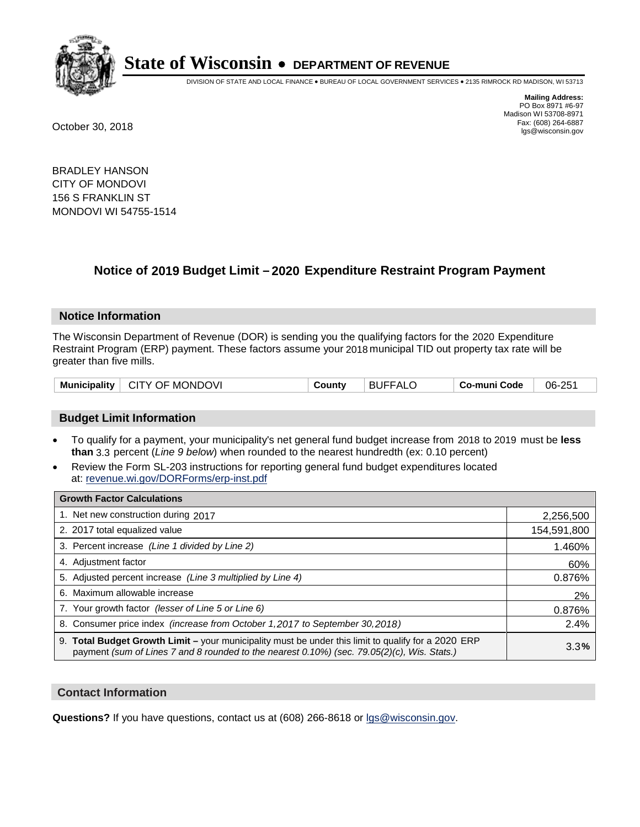

DIVISION OF STATE AND LOCAL FINANCE • BUREAU OF LOCAL GOVERNMENT SERVICES • 2135 RIMROCK RD MADISON, WI 53713

**Mailing Address:** PO Box 8971 #6-97 Madison WI 53708-8971<br>Fax: (608) 264-6887 Fax: (608) 264-6887 October 30, 2018 lgs@wisconsin.gov

BRADLEY HANSON CITY OF MONDOVI 156 S FRANKLIN ST MONDOVI WI 54755-1514

## **Notice of 2019 Budget Limit - 2020 Expenditure Restraint Program Payment**

#### **Notice Information**

The Wisconsin Department of Revenue (DOR) is sending you the qualifying factors for the 2020 Expenditure Restraint Program (ERP) payment. These factors assume your 2018 municipal TID out property tax rate will be greater than five mills.

| CITY OF MONDOVI<br><b>Municipality</b> | County | <b>BUFFALO</b> | Co-muni Code | 06-251 |
|----------------------------------------|--------|----------------|--------------|--------|
|----------------------------------------|--------|----------------|--------------|--------|

#### **Budget Limit Information**

- To qualify for a payment, your municipality's net general fund budget increase from 2018 to 2019 must be less **than** 3.3 percent (*Line 9 below*) when rounded to the nearest hundredth (ex: 0.10 percent)
- Review the Form SL-203 instructions for reporting general fund budget expenditures located at: revenue.wi.gov/DORForms/erp-inst.pdf

| <b>Growth Factor Calculations</b>                                                                                                                                                                      |             |
|--------------------------------------------------------------------------------------------------------------------------------------------------------------------------------------------------------|-------------|
| 1. Net new construction during 2017                                                                                                                                                                    | 2,256,500   |
| 2. 2017 total equalized value                                                                                                                                                                          | 154,591,800 |
| 3. Percent increase (Line 1 divided by Line 2)                                                                                                                                                         | 1.460%      |
| 4. Adjustment factor                                                                                                                                                                                   | 60%         |
| 5. Adjusted percent increase (Line 3 multiplied by Line 4)                                                                                                                                             | 0.876%      |
| 6. Maximum allowable increase                                                                                                                                                                          | 2%          |
| 7. Your growth factor (lesser of Line 5 or Line 6)                                                                                                                                                     | 0.876%      |
| 8. Consumer price index (increase from October 1,2017 to September 30,2018)                                                                                                                            | 2.4%        |
| 9. Total Budget Growth Limit - your municipality must be under this limit to qualify for a 2020 ERP<br>payment (sum of Lines 7 and 8 rounded to the nearest $0.10\%$ ) (sec. 79.05(2)(c), Wis. Stats.) | 3.3%        |

#### **Contact Information**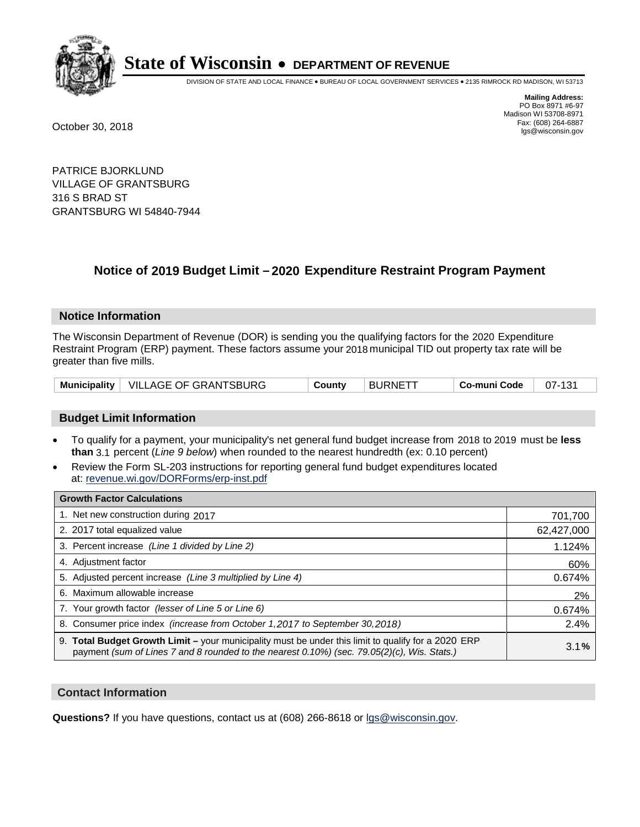

DIVISION OF STATE AND LOCAL FINANCE • BUREAU OF LOCAL GOVERNMENT SERVICES • 2135 RIMROCK RD MADISON, WI 53713

**Mailing Address:** PO Box 8971 #6-97 Madison WI 53708-8971<br>Fax: (608) 264-6887 Fax: (608) 264-6887 October 30, 2018 lgs@wisconsin.gov

PATRICE BJORKLUND VILLAGE OF GRANTSBURG 316 S BRAD ST GRANTSBURG WI 54840-7944

### **Notice of 2019 Budget Limit - 2020 Expenditure Restraint Program Payment**

#### **Notice Information**

The Wisconsin Department of Revenue (DOR) is sending you the qualifying factors for the 2020 Expenditure Restraint Program (ERP) payment. These factors assume your 2018 municipal TID out property tax rate will be greater than five mills.

|  | Municipality   VILLAGE OF GRANTSBURG | County | <b>BURNETT</b> | Co-muni Code | 07-131 |
|--|--------------------------------------|--------|----------------|--------------|--------|
|--|--------------------------------------|--------|----------------|--------------|--------|

#### **Budget Limit Information**

- To qualify for a payment, your municipality's net general fund budget increase from 2018 to 2019 must be less **than** 3.1 percent (*Line 9 below*) when rounded to the nearest hundredth (ex: 0.10 percent)
- Review the Form SL-203 instructions for reporting general fund budget expenditures located at: revenue.wi.gov/DORForms/erp-inst.pdf

| <b>Growth Factor Calculations</b>                                                                                                                                                                      |            |
|--------------------------------------------------------------------------------------------------------------------------------------------------------------------------------------------------------|------------|
| 1. Net new construction during 2017                                                                                                                                                                    | 701,700    |
| 2. 2017 total equalized value                                                                                                                                                                          | 62,427,000 |
| 3. Percent increase (Line 1 divided by Line 2)                                                                                                                                                         | 1.124%     |
| 4. Adjustment factor                                                                                                                                                                                   | 60%        |
| 5. Adjusted percent increase (Line 3 multiplied by Line 4)                                                                                                                                             | 0.674%     |
| 6. Maximum allowable increase                                                                                                                                                                          | 2%         |
| 7. Your growth factor (lesser of Line 5 or Line 6)                                                                                                                                                     | 0.674%     |
| 8. Consumer price index (increase from October 1,2017 to September 30,2018)                                                                                                                            | 2.4%       |
| 9. Total Budget Growth Limit - your municipality must be under this limit to qualify for a 2020 ERP<br>payment (sum of Lines 7 and 8 rounded to the nearest $0.10\%$ ) (sec. 79.05(2)(c), Wis. Stats.) | 3.1%       |

#### **Contact Information**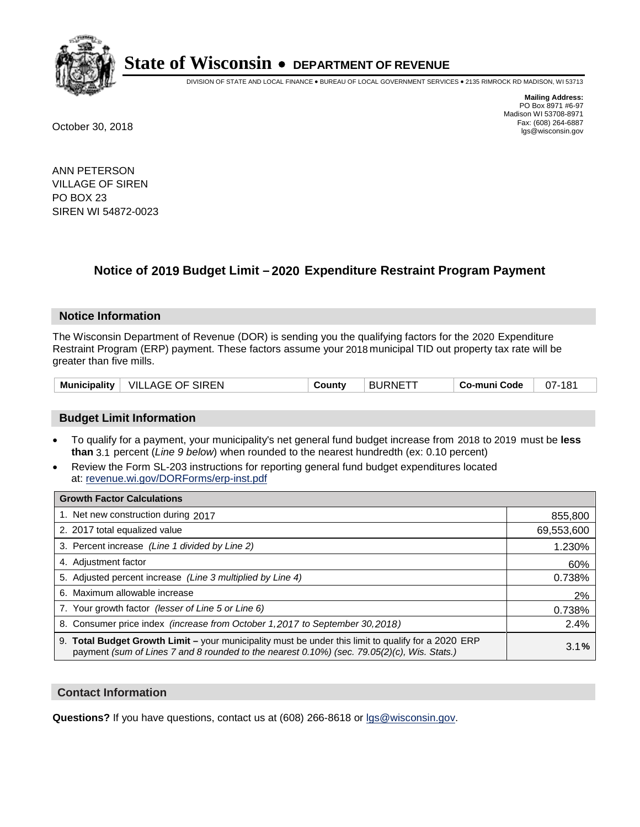

DIVISION OF STATE AND LOCAL FINANCE • BUREAU OF LOCAL GOVERNMENT SERVICES • 2135 RIMROCK RD MADISON, WI 53713

**Mailing Address:** PO Box 8971 #6-97 Madison WI 53708-8971<br>Fax: (608) 264-6887 Fax: (608) 264-6887 October 30, 2018 lgs@wisconsin.gov

ANN PETERSON VILLAGE OF SIREN PO BOX 23 SIREN WI 54872-0023

## **Notice of 2019 Budget Limit - 2020 Expenditure Restraint Program Payment**

#### **Notice Information**

The Wisconsin Department of Revenue (DOR) is sending you the qualifying factors for the 2020 Expenditure Restraint Program (ERP) payment. These factors assume your 2018 municipal TID out property tax rate will be greater than five mills.

| <b>VILLAGE OF SIREN</b><br>Municipality | County | ⊤ BURNETT | <b>Co-muni Code</b> | 07-181 |
|-----------------------------------------|--------|-----------|---------------------|--------|
|-----------------------------------------|--------|-----------|---------------------|--------|

#### **Budget Limit Information**

- To qualify for a payment, your municipality's net general fund budget increase from 2018 to 2019 must be less **than** 3.1 percent (*Line 9 below*) when rounded to the nearest hundredth (ex: 0.10 percent)
- Review the Form SL-203 instructions for reporting general fund budget expenditures located at: revenue.wi.gov/DORForms/erp-inst.pdf

| <b>Growth Factor Calculations</b>                                                                                                                                                                      |            |
|--------------------------------------------------------------------------------------------------------------------------------------------------------------------------------------------------------|------------|
| 1. Net new construction during 2017                                                                                                                                                                    | 855,800    |
| 2. 2017 total equalized value                                                                                                                                                                          | 69,553,600 |
| 3. Percent increase (Line 1 divided by Line 2)                                                                                                                                                         | 1.230%     |
| 4. Adjustment factor                                                                                                                                                                                   | 60%        |
| 5. Adjusted percent increase (Line 3 multiplied by Line 4)                                                                                                                                             | 0.738%     |
| 6. Maximum allowable increase                                                                                                                                                                          | 2%         |
| 7. Your growth factor (lesser of Line 5 or Line 6)                                                                                                                                                     | 0.738%     |
| 8. Consumer price index (increase from October 1,2017 to September 30,2018)                                                                                                                            | 2.4%       |
| 9. Total Budget Growth Limit - your municipality must be under this limit to qualify for a 2020 ERP<br>payment (sum of Lines 7 and 8 rounded to the nearest $0.10\%$ ) (sec. 79.05(2)(c), Wis. Stats.) | 3.1%       |

#### **Contact Information**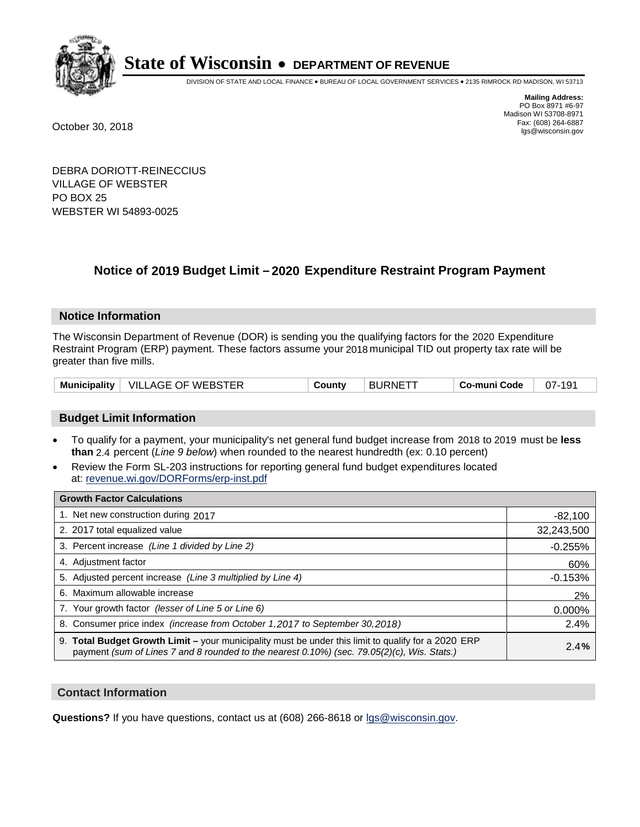

DIVISION OF STATE AND LOCAL FINANCE • BUREAU OF LOCAL GOVERNMENT SERVICES • 2135 RIMROCK RD MADISON, WI 53713

**Mailing Address:** PO Box 8971 #6-97 Madison WI 53708-8971<br>Fax: (608) 264-6887 Fax: (608) 264-6887 October 30, 2018 lgs@wisconsin.gov

DEBRA DORIOTT-REINECCIUS VILLAGE OF WEBSTER PO BOX 25 WEBSTER WI 54893-0025

### **Notice of 2019 Budget Limit - 2020 Expenditure Restraint Program Payment**

#### **Notice Information**

The Wisconsin Department of Revenue (DOR) is sending you the qualifying factors for the 2020 Expenditure Restraint Program (ERP) payment. These factors assume your 2018 municipal TID out property tax rate will be greater than five mills.

| Municipality | OF WEBSTER<br>VILL<br>AGE | ∟ount∨ | <b>BURNE</b> | o-muni Codeٽ | 07-<br>1 Q 1 |
|--------------|---------------------------|--------|--------------|--------------|--------------|
|--------------|---------------------------|--------|--------------|--------------|--------------|

#### **Budget Limit Information**

- To qualify for a payment, your municipality's net general fund budget increase from 2018 to 2019 must be less **than** 2.4 percent (*Line 9 below*) when rounded to the nearest hundredth (ex: 0.10 percent)
- Review the Form SL-203 instructions for reporting general fund budget expenditures located at: revenue.wi.gov/DORForms/erp-inst.pdf

| <b>Growth Factor Calculations</b>                                                                                                                                                                  |            |
|----------------------------------------------------------------------------------------------------------------------------------------------------------------------------------------------------|------------|
| 1. Net new construction during 2017                                                                                                                                                                | $-82,100$  |
| 2. 2017 total equalized value                                                                                                                                                                      | 32,243,500 |
| 3. Percent increase (Line 1 divided by Line 2)                                                                                                                                                     | $-0.255%$  |
| 4. Adjustment factor                                                                                                                                                                               | 60%        |
| 5. Adjusted percent increase (Line 3 multiplied by Line 4)                                                                                                                                         | $-0.153%$  |
| 6. Maximum allowable increase                                                                                                                                                                      | 2%         |
| 7. Your growth factor (lesser of Line 5 or Line 6)                                                                                                                                                 | 0.000%     |
| 8. Consumer price index (increase from October 1,2017 to September 30,2018)                                                                                                                        | 2.4%       |
| 9. Total Budget Growth Limit – your municipality must be under this limit to qualify for a 2020 ERP<br>payment (sum of Lines 7 and 8 rounded to the nearest 0.10%) (sec. 79.05(2)(c), Wis. Stats.) | 2.4%       |

#### **Contact Information**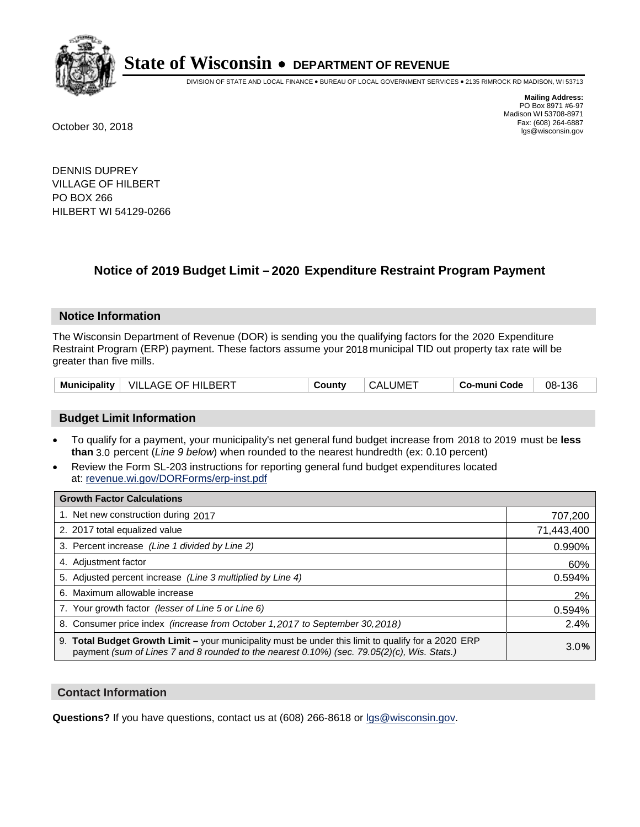

DIVISION OF STATE AND LOCAL FINANCE • BUREAU OF LOCAL GOVERNMENT SERVICES • 2135 RIMROCK RD MADISON, WI 53713

**Mailing Address:** PO Box 8971 #6-97 Madison WI 53708-8971<br>Fax: (608) 264-6887 Fax: (608) 264-6887 October 30, 2018 lgs@wisconsin.gov

DENNIS DUPREY VILLAGE OF HILBERT PO BOX 266 HILBERT WI 54129-0266

## **Notice of 2019 Budget Limit - 2020 Expenditure Restraint Program Payment**

#### **Notice Information**

The Wisconsin Department of Revenue (DOR) is sending you the qualifying factors for the 2020 Expenditure Restraint Program (ERP) payment. These factors assume your 2018 municipal TID out property tax rate will be greater than five mills.

| Municipality | VILLAGE OF HILBERT | County | CALUME <sup>-</sup> | Co-muni Code | -136<br>08- |
|--------------|--------------------|--------|---------------------|--------------|-------------|
|--------------|--------------------|--------|---------------------|--------------|-------------|

#### **Budget Limit Information**

- To qualify for a payment, your municipality's net general fund budget increase from 2018 to 2019 must be less **than** 3.0 percent (*Line 9 below*) when rounded to the nearest hundredth (ex: 0.10 percent)
- Review the Form SL-203 instructions for reporting general fund budget expenditures located at: revenue.wi.gov/DORForms/erp-inst.pdf

| <b>Growth Factor Calculations</b>                                                                                                                                                                      |            |
|--------------------------------------------------------------------------------------------------------------------------------------------------------------------------------------------------------|------------|
| 1. Net new construction during 2017                                                                                                                                                                    | 707,200    |
| 2. 2017 total equalized value                                                                                                                                                                          | 71,443,400 |
| 3. Percent increase (Line 1 divided by Line 2)                                                                                                                                                         | 0.990%     |
| 4. Adjustment factor                                                                                                                                                                                   | 60%        |
| 5. Adjusted percent increase (Line 3 multiplied by Line 4)                                                                                                                                             | 0.594%     |
| 6. Maximum allowable increase                                                                                                                                                                          | 2%         |
| 7. Your growth factor (lesser of Line 5 or Line 6)                                                                                                                                                     | 0.594%     |
| 8. Consumer price index (increase from October 1,2017 to September 30,2018)                                                                                                                            | 2.4%       |
| 9. Total Budget Growth Limit - your municipality must be under this limit to qualify for a 2020 ERP<br>payment (sum of Lines 7 and 8 rounded to the nearest $0.10\%$ ) (sec. 79.05(2)(c), Wis. Stats.) | 3.0%       |

#### **Contact Information**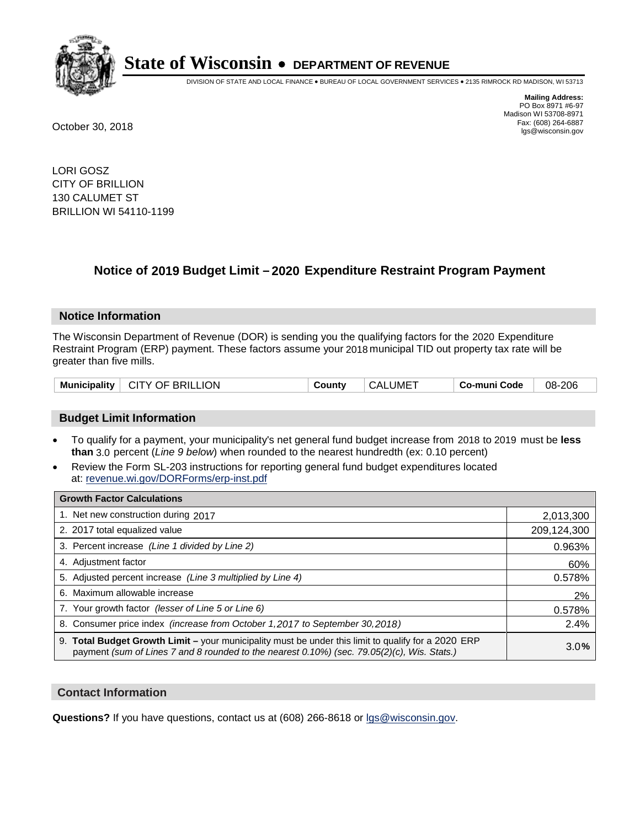

DIVISION OF STATE AND LOCAL FINANCE • BUREAU OF LOCAL GOVERNMENT SERVICES • 2135 RIMROCK RD MADISON, WI 53713

**Mailing Address:** PO Box 8971 #6-97 Madison WI 53708-8971<br>Fax: (608) 264-6887 Fax: (608) 264-6887 October 30, 2018 lgs@wisconsin.gov

LORI GOSZ CITY OF BRILLION 130 CALUMET ST BRILLION WI 54110-1199

## **Notice of 2019 Budget Limit - 2020 Expenditure Restraint Program Payment**

#### **Notice Information**

The Wisconsin Department of Revenue (DOR) is sending you the qualifying factors for the 2020 Expenditure Restraint Program (ERP) payment. These factors assume your 2018 municipal TID out property tax rate will be greater than five mills.

| <b>CITY OF BRILLION</b><br><b>Municipality</b> | County | ⊤ CALUME <sup>T</sup> | <b>Co-muni Code</b> | 08-206 |
|------------------------------------------------|--------|-----------------------|---------------------|--------|
|------------------------------------------------|--------|-----------------------|---------------------|--------|

#### **Budget Limit Information**

- To qualify for a payment, your municipality's net general fund budget increase from 2018 to 2019 must be less **than** 3.0 percent (*Line 9 below*) when rounded to the nearest hundredth (ex: 0.10 percent)
- Review the Form SL-203 instructions for reporting general fund budget expenditures located at: revenue.wi.gov/DORForms/erp-inst.pdf

| <b>Growth Factor Calculations</b>                                                                                                                                                                      |             |
|--------------------------------------------------------------------------------------------------------------------------------------------------------------------------------------------------------|-------------|
| 1. Net new construction during 2017                                                                                                                                                                    | 2,013,300   |
| 2. 2017 total equalized value                                                                                                                                                                          | 209,124,300 |
| 3. Percent increase (Line 1 divided by Line 2)                                                                                                                                                         | 0.963%      |
| 4. Adjustment factor                                                                                                                                                                                   | 60%         |
| 5. Adjusted percent increase (Line 3 multiplied by Line 4)                                                                                                                                             | 0.578%      |
| 6. Maximum allowable increase                                                                                                                                                                          | 2%          |
| 7. Your growth factor (lesser of Line 5 or Line 6)                                                                                                                                                     | 0.578%      |
| 8. Consumer price index (increase from October 1,2017 to September 30,2018)                                                                                                                            | 2.4%        |
| 9. Total Budget Growth Limit - your municipality must be under this limit to qualify for a 2020 ERP<br>payment (sum of Lines 7 and 8 rounded to the nearest $0.10\%$ ) (sec. 79.05(2)(c), Wis. Stats.) | 3.0%        |

#### **Contact Information**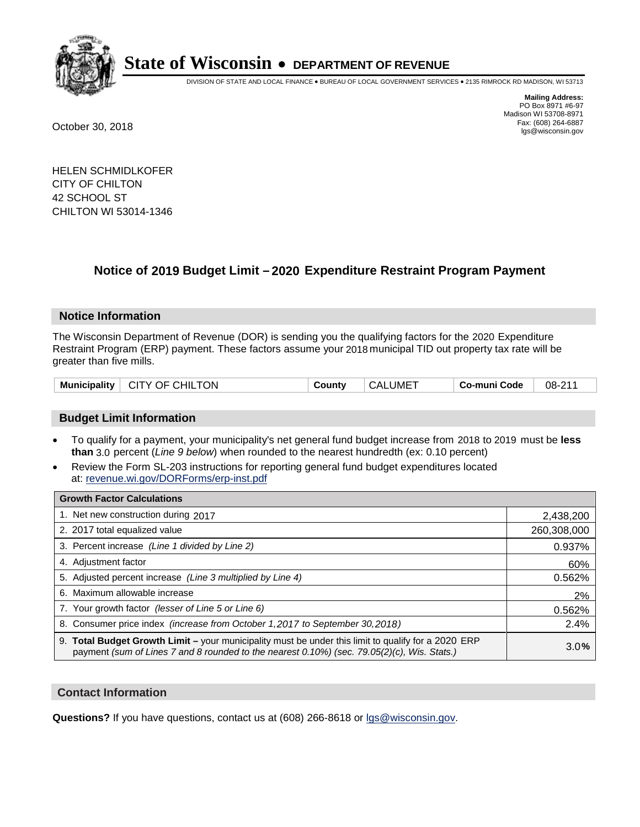

DIVISION OF STATE AND LOCAL FINANCE • BUREAU OF LOCAL GOVERNMENT SERVICES • 2135 RIMROCK RD MADISON, WI 53713

**Mailing Address:** PO Box 8971 #6-97 Madison WI 53708-8971<br>Fax: (608) 264-6887 Fax: (608) 264-6887 October 30, 2018 lgs@wisconsin.gov

HELEN SCHMIDLKOFER CITY OF CHILTON 42 SCHOOL ST CHILTON WI 53014-1346

## **Notice of 2019 Budget Limit - 2020 Expenditure Restraint Program Payment**

#### **Notice Information**

The Wisconsin Department of Revenue (DOR) is sending you the qualifying factors for the 2020 Expenditure Restraint Program (ERP) payment. These factors assume your 2018 municipal TID out property tax rate will be greater than five mills.

| CITY OF CHILTON<br>Municipality | County | ⊢CALUME <sup>⊤</sup> | Co-muni Code | 08-211 |
|---------------------------------|--------|----------------------|--------------|--------|
|---------------------------------|--------|----------------------|--------------|--------|

#### **Budget Limit Information**

- To qualify for a payment, your municipality's net general fund budget increase from 2018 to 2019 must be less **than** 3.0 percent (*Line 9 below*) when rounded to the nearest hundredth (ex: 0.10 percent)
- Review the Form SL-203 instructions for reporting general fund budget expenditures located at: revenue.wi.gov/DORForms/erp-inst.pdf

| <b>Growth Factor Calculations</b>                                                                                                                                                                  |             |
|----------------------------------------------------------------------------------------------------------------------------------------------------------------------------------------------------|-------------|
| 1. Net new construction during 2017                                                                                                                                                                | 2,438,200   |
| 2. 2017 total equalized value                                                                                                                                                                      | 260,308,000 |
| 3. Percent increase (Line 1 divided by Line 2)                                                                                                                                                     | 0.937%      |
| 4. Adjustment factor                                                                                                                                                                               | 60%         |
| 5. Adjusted percent increase (Line 3 multiplied by Line 4)                                                                                                                                         | 0.562%      |
| 6. Maximum allowable increase                                                                                                                                                                      | 2%          |
| 7. Your growth factor (lesser of Line 5 or Line 6)                                                                                                                                                 | 0.562%      |
| 8. Consumer price index (increase from October 1, 2017 to September 30, 2018)                                                                                                                      | 2.4%        |
| 9. Total Budget Growth Limit - your municipality must be under this limit to qualify for a 2020 ERP<br>payment (sum of Lines 7 and 8 rounded to the nearest 0.10%) (sec. 79.05(2)(c), Wis. Stats.) | 3.0%        |

#### **Contact Information**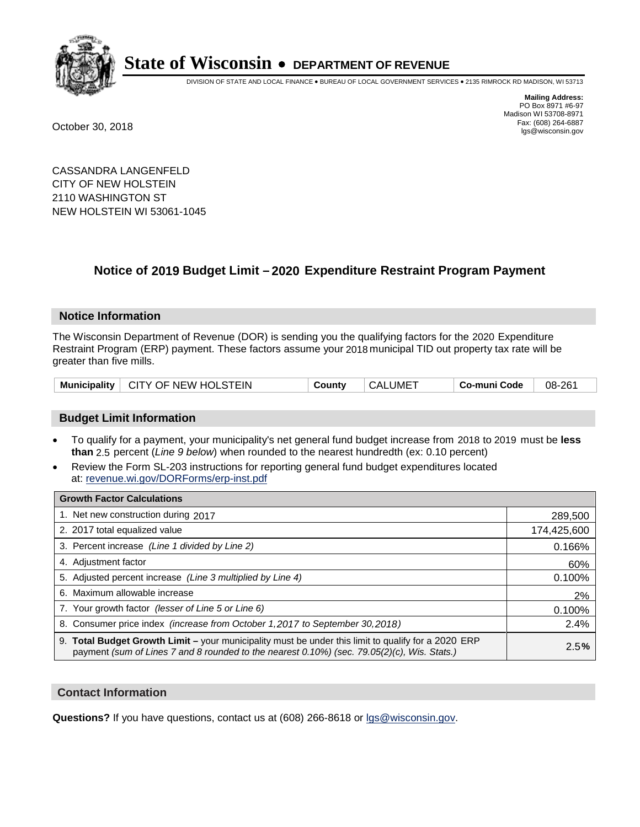

DIVISION OF STATE AND LOCAL FINANCE • BUREAU OF LOCAL GOVERNMENT SERVICES • 2135 RIMROCK RD MADISON, WI 53713

**Mailing Address:** PO Box 8971 #6-97 Madison WI 53708-8971<br>Fax: (608) 264-6887 Fax: (608) 264-6887 October 30, 2018 lgs@wisconsin.gov

CASSANDRA LANGENFELD CITY OF NEW HOLSTEIN 2110 WASHINGTON ST NEW HOLSTEIN WI 53061-1045

## **Notice of 2019 Budget Limit - 2020 Expenditure Restraint Program Payment**

#### **Notice Information**

The Wisconsin Department of Revenue (DOR) is sending you the qualifying factors for the 2020 Expenditure Restraint Program (ERP) payment. These factors assume your 2018 municipal TID out property tax rate will be greater than five mills.

#### **Budget Limit Information**

- To qualify for a payment, your municipality's net general fund budget increase from 2018 to 2019 must be less **than** 2.5 percent (*Line 9 below*) when rounded to the nearest hundredth (ex: 0.10 percent)
- Review the Form SL-203 instructions for reporting general fund budget expenditures located at: revenue.wi.gov/DORForms/erp-inst.pdf

| <b>Growth Factor Calculations</b>                                                                                                                                                                      |             |
|--------------------------------------------------------------------------------------------------------------------------------------------------------------------------------------------------------|-------------|
| 1. Net new construction during 2017                                                                                                                                                                    | 289,500     |
| 2. 2017 total equalized value                                                                                                                                                                          | 174,425,600 |
| 3. Percent increase (Line 1 divided by Line 2)                                                                                                                                                         | 0.166%      |
| 4. Adjustment factor                                                                                                                                                                                   | 60%         |
| 5. Adjusted percent increase (Line 3 multiplied by Line 4)                                                                                                                                             | 0.100%      |
| 6. Maximum allowable increase                                                                                                                                                                          | 2%          |
| 7. Your growth factor (lesser of Line 5 or Line 6)                                                                                                                                                     | 0.100%      |
| 8. Consumer price index (increase from October 1, 2017 to September 30, 2018)                                                                                                                          | 2.4%        |
| 9. Total Budget Growth Limit - your municipality must be under this limit to qualify for a 2020 ERP<br>payment (sum of Lines 7 and 8 rounded to the nearest $0.10\%$ ) (sec. 79.05(2)(c), Wis. Stats.) | 2.5%        |

#### **Contact Information**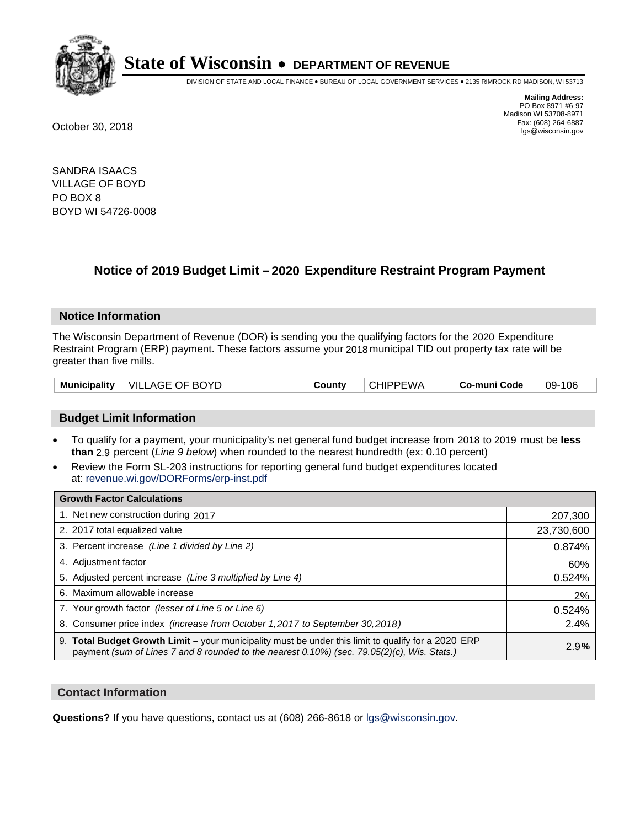

DIVISION OF STATE AND LOCAL FINANCE • BUREAU OF LOCAL GOVERNMENT SERVICES • 2135 RIMROCK RD MADISON, WI 53713

**Mailing Address:** PO Box 8971 #6-97 Madison WI 53708-8971<br>Fax: (608) 264-6887 Fax: (608) 264-6887 October 30, 2018 lgs@wisconsin.gov

SANDRA ISAACS VILLAGE OF BOYD PO BOX 8 BOYD WI 54726-0008

## **Notice of 2019 Budget Limit - 2020 Expenditure Restraint Program Payment**

#### **Notice Information**

The Wisconsin Department of Revenue (DOR) is sending you the qualifying factors for the 2020 Expenditure Restraint Program (ERP) payment. These factors assume your 2018 municipal TID out property tax rate will be greater than five mills.

| Municipality   VILLAGE OF BOYD | County | <b>CHIPPEWA</b> | ⊦ Co-muni Code | 09-106 |
|--------------------------------|--------|-----------------|----------------|--------|
|--------------------------------|--------|-----------------|----------------|--------|

#### **Budget Limit Information**

- To qualify for a payment, your municipality's net general fund budget increase from 2018 to 2019 must be less **than** 2.9 percent (*Line 9 below*) when rounded to the nearest hundredth (ex: 0.10 percent)
- Review the Form SL-203 instructions for reporting general fund budget expenditures located at: revenue.wi.gov/DORForms/erp-inst.pdf

| <b>Growth Factor Calculations</b>                                                                                                                                                                  |            |
|----------------------------------------------------------------------------------------------------------------------------------------------------------------------------------------------------|------------|
| 1. Net new construction during 2017                                                                                                                                                                | 207,300    |
| 2. 2017 total equalized value                                                                                                                                                                      | 23,730,600 |
| 3. Percent increase (Line 1 divided by Line 2)                                                                                                                                                     | 0.874%     |
| 4. Adjustment factor                                                                                                                                                                               | 60%        |
| 5. Adjusted percent increase (Line 3 multiplied by Line 4)                                                                                                                                         | 0.524%     |
| 6. Maximum allowable increase                                                                                                                                                                      | 2%         |
| 7. Your growth factor (lesser of Line 5 or Line 6)                                                                                                                                                 | 0.524%     |
| 8. Consumer price index (increase from October 1, 2017 to September 30, 2018)                                                                                                                      | 2.4%       |
| 9. Total Budget Growth Limit - your municipality must be under this limit to qualify for a 2020 ERP<br>payment (sum of Lines 7 and 8 rounded to the nearest 0.10%) (sec. 79.05(2)(c), Wis. Stats.) | 2.9%       |

#### **Contact Information**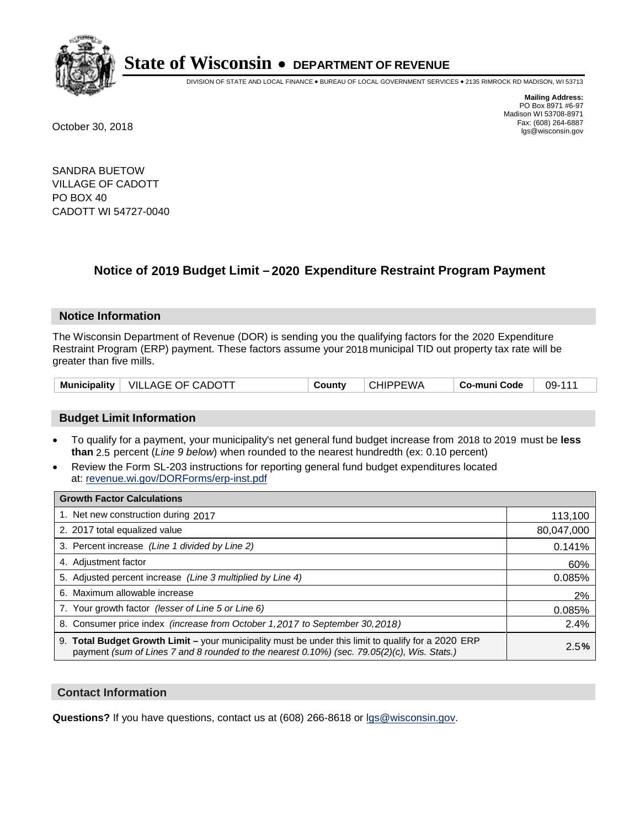

DIVISION OF STATE AND LOCAL FINANCE • BUREAU OF LOCAL GOVERNMENT SERVICES • 2135 RIMROCK RD MADISON, WI 53713

**Mailing Address:** PO Box 8971 #6-97 Madison WI 53708-8971<br>Fax: (608) 264-6887 Fax: (608) 264-6887 October 30, 2018 lgs@wisconsin.gov

SANDRA BUETOW VILLAGE OF CADOTT PO BOX 40 CADOTT WI 54727-0040

## **Notice of 2019 Budget Limit - 2020 Expenditure Restraint Program Payment**

#### **Notice Information**

The Wisconsin Department of Revenue (DOR) is sending you the qualifying factors for the 2020 Expenditure Restraint Program (ERP) payment. These factors assume your 2018 municipal TID out property tax rate will be greater than five mills.

|  | Municipality   VILLAGE OF CADOTT | County | <b>CHIPPEWA</b> | <b>Co-muni Code</b> | 09-111 |
|--|----------------------------------|--------|-----------------|---------------------|--------|
|--|----------------------------------|--------|-----------------|---------------------|--------|

#### **Budget Limit Information**

- To qualify for a payment, your municipality's net general fund budget increase from 2018 to 2019 must be less **than** 2.5 percent (*Line 9 below*) when rounded to the nearest hundredth (ex: 0.10 percent)
- Review the Form SL-203 instructions for reporting general fund budget expenditures located at: revenue.wi.gov/DORForms/erp-inst.pdf

| <b>Growth Factor Calculations</b>                                                                                                                                                                      |            |
|--------------------------------------------------------------------------------------------------------------------------------------------------------------------------------------------------------|------------|
| 1. Net new construction during 2017                                                                                                                                                                    | 113,100    |
| 2. 2017 total equalized value                                                                                                                                                                          | 80,047,000 |
| 3. Percent increase (Line 1 divided by Line 2)                                                                                                                                                         | 0.141%     |
| 4. Adjustment factor                                                                                                                                                                                   | 60%        |
| 5. Adjusted percent increase (Line 3 multiplied by Line 4)                                                                                                                                             | 0.085%     |
| 6. Maximum allowable increase                                                                                                                                                                          | 2%         |
| 7. Your growth factor (lesser of Line 5 or Line 6)                                                                                                                                                     | 0.085%     |
| 8. Consumer price index (increase from October 1,2017 to September 30,2018)                                                                                                                            | 2.4%       |
| 9. Total Budget Growth Limit - your municipality must be under this limit to qualify for a 2020 ERP<br>payment (sum of Lines 7 and 8 rounded to the nearest $0.10\%$ ) (sec. 79.05(2)(c), Wis. Stats.) | 2.5%       |

#### **Contact Information**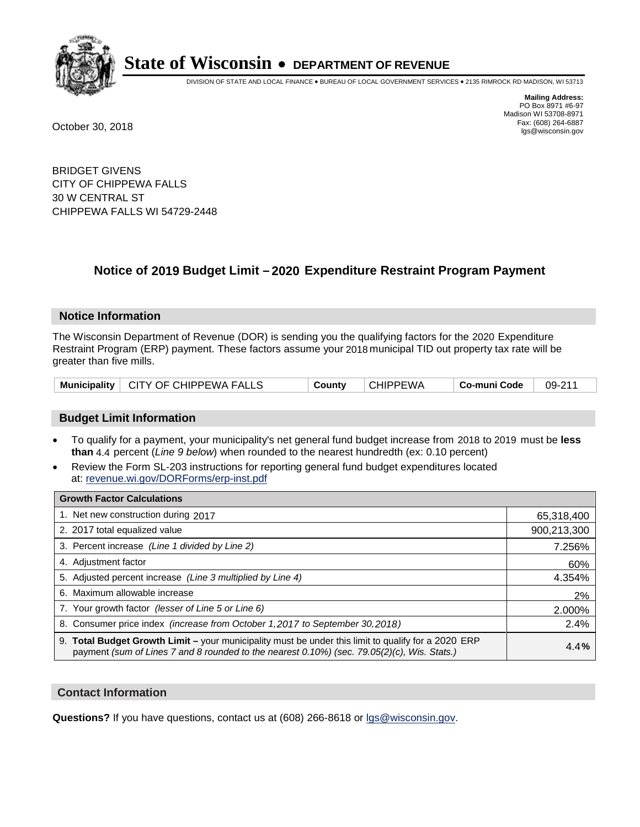

DIVISION OF STATE AND LOCAL FINANCE • BUREAU OF LOCAL GOVERNMENT SERVICES • 2135 RIMROCK RD MADISON, WI 53713

**Mailing Address:** PO Box 8971 #6-97 Madison WI 53708-8971<br>Fax: (608) 264-6887 Fax: (608) 264-6887 October 30, 2018 lgs@wisconsin.gov

BRIDGET GIVENS CITY OF CHIPPEWA FALLS 30 W CENTRAL ST CHIPPEWA FALLS WI 54729-2448

## **Notice of 2019 Budget Limit - 2020 Expenditure Restraint Program Payment**

#### **Notice Information**

The Wisconsin Department of Revenue (DOR) is sending you the qualifying factors for the 2020 Expenditure Restraint Program (ERP) payment. These factors assume your 2018 municipal TID out property tax rate will be greater than five mills.

|  | Municipality   CITY OF CHIPPEWA FALLS | County | <b>CHIPPEWA</b> | Co-muni Code | 09-211 |
|--|---------------------------------------|--------|-----------------|--------------|--------|
|--|---------------------------------------|--------|-----------------|--------------|--------|

#### **Budget Limit Information**

- To qualify for a payment, your municipality's net general fund budget increase from 2018 to 2019 must be less **than** 4.4 percent (*Line 9 below*) when rounded to the nearest hundredth (ex: 0.10 percent)
- Review the Form SL-203 instructions for reporting general fund budget expenditures located at: revenue.wi.gov/DORForms/erp-inst.pdf

| <b>Growth Factor Calculations</b>                                                                                                                                                                  |             |
|----------------------------------------------------------------------------------------------------------------------------------------------------------------------------------------------------|-------------|
| 1. Net new construction during 2017                                                                                                                                                                | 65,318,400  |
| 2. 2017 total equalized value                                                                                                                                                                      | 900,213,300 |
| 3. Percent increase (Line 1 divided by Line 2)                                                                                                                                                     | 7.256%      |
| 4. Adjustment factor                                                                                                                                                                               | 60%         |
| 5. Adjusted percent increase (Line 3 multiplied by Line 4)                                                                                                                                         | 4.354%      |
| 6. Maximum allowable increase                                                                                                                                                                      | 2%          |
| 7. Your growth factor (lesser of Line 5 or Line 6)                                                                                                                                                 | 2.000%      |
| 8. Consumer price index (increase from October 1,2017 to September 30,2018)                                                                                                                        | 2.4%        |
| 9. Total Budget Growth Limit - your municipality must be under this limit to qualify for a 2020 ERP<br>payment (sum of Lines 7 and 8 rounded to the nearest 0.10%) (sec. 79.05(2)(c), Wis. Stats.) | 4.4%        |

#### **Contact Information**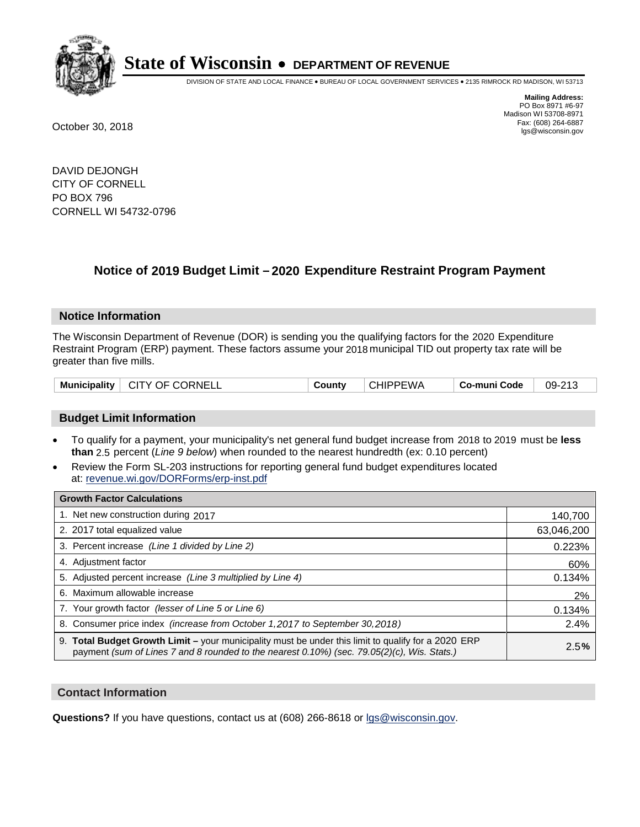

DIVISION OF STATE AND LOCAL FINANCE • BUREAU OF LOCAL GOVERNMENT SERVICES • 2135 RIMROCK RD MADISON, WI 53713

**Mailing Address:** PO Box 8971 #6-97 Madison WI 53708-8971<br>Fax: (608) 264-6887 Fax: (608) 264-6887 October 30, 2018 lgs@wisconsin.gov

DAVID DEJONGH CITY OF CORNELL PO BOX 796 CORNELL WI 54732-0796

## **Notice of 2019 Budget Limit - 2020 Expenditure Restraint Program Payment**

#### **Notice Information**

The Wisconsin Department of Revenue (DOR) is sending you the qualifying factors for the 2020 Expenditure Restraint Program (ERP) payment. These factors assume your 2018 municipal TID out property tax rate will be greater than five mills.

| Municipality   CITY OF CORNELL | County | <b>CHIPPEWA</b> | ⊩ Co-muni Code | 09-213 |
|--------------------------------|--------|-----------------|----------------|--------|
|--------------------------------|--------|-----------------|----------------|--------|

#### **Budget Limit Information**

- To qualify for a payment, your municipality's net general fund budget increase from 2018 to 2019 must be less **than** 2.5 percent (*Line 9 below*) when rounded to the nearest hundredth (ex: 0.10 percent)
- Review the Form SL-203 instructions for reporting general fund budget expenditures located at: revenue.wi.gov/DORForms/erp-inst.pdf

| <b>Growth Factor Calculations</b>                                                                                                                                                                      |            |
|--------------------------------------------------------------------------------------------------------------------------------------------------------------------------------------------------------|------------|
| 1. Net new construction during 2017                                                                                                                                                                    | 140,700    |
| 2. 2017 total equalized value                                                                                                                                                                          | 63,046,200 |
| 3. Percent increase (Line 1 divided by Line 2)                                                                                                                                                         | 0.223%     |
| 4. Adjustment factor                                                                                                                                                                                   | 60%        |
| 5. Adjusted percent increase (Line 3 multiplied by Line 4)                                                                                                                                             | 0.134%     |
| 6. Maximum allowable increase                                                                                                                                                                          | 2%         |
| 7. Your growth factor (lesser of Line 5 or Line 6)                                                                                                                                                     | 0.134%     |
| 8. Consumer price index (increase from October 1,2017 to September 30,2018)                                                                                                                            | 2.4%       |
| 9. Total Budget Growth Limit - your municipality must be under this limit to qualify for a 2020 ERP<br>payment (sum of Lines 7 and 8 rounded to the nearest $0.10\%$ ) (sec. 79.05(2)(c), Wis. Stats.) | 2.5%       |

#### **Contact Information**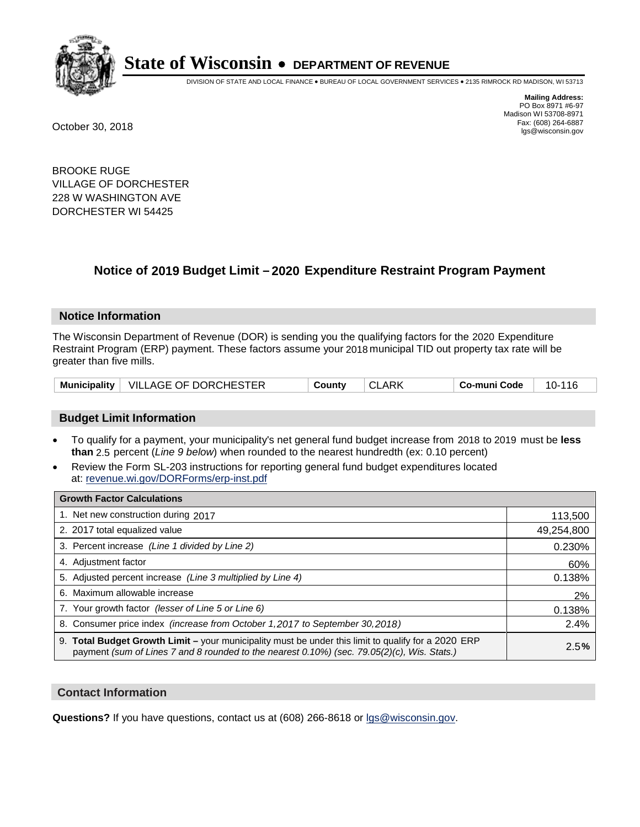

DIVISION OF STATE AND LOCAL FINANCE • BUREAU OF LOCAL GOVERNMENT SERVICES • 2135 RIMROCK RD MADISON, WI 53713

**Mailing Address:** PO Box 8971 #6-97 Madison WI 53708-8971<br>Fax: (608) 264-6887 Fax: (608) 264-6887 October 30, 2018 lgs@wisconsin.gov

BROOKE RUGE VILLAGE OF DORCHESTER 228 W WASHINGTON AVE DORCHESTER WI 54425

### **Notice of 2019 Budget Limit - 2020 Expenditure Restraint Program Payment**

#### **Notice Information**

The Wisconsin Department of Revenue (DOR) is sending you the qualifying factors for the 2020 Expenditure Restraint Program (ERP) payment. These factors assume your 2018 municipal TID out property tax rate will be greater than five mills.

|  | Municipality   VILLAGE OF DORCHESTER | County |  | Co-muni Code | 10-116 |
|--|--------------------------------------|--------|--|--------------|--------|
|--|--------------------------------------|--------|--|--------------|--------|

#### **Budget Limit Information**

- To qualify for a payment, your municipality's net general fund budget increase from 2018 to 2019 must be less **than** 2.5 percent (*Line 9 below*) when rounded to the nearest hundredth (ex: 0.10 percent)
- Review the Form SL-203 instructions for reporting general fund budget expenditures located at: revenue.wi.gov/DORForms/erp-inst.pdf

| <b>Growth Factor Calculations</b>                                                                                                                                                                      |            |
|--------------------------------------------------------------------------------------------------------------------------------------------------------------------------------------------------------|------------|
| 1. Net new construction during 2017                                                                                                                                                                    | 113,500    |
| 2. 2017 total equalized value                                                                                                                                                                          | 49,254,800 |
| 3. Percent increase (Line 1 divided by Line 2)                                                                                                                                                         | 0.230%     |
| 4. Adjustment factor                                                                                                                                                                                   | 60%        |
| 5. Adjusted percent increase (Line 3 multiplied by Line 4)                                                                                                                                             | 0.138%     |
| 6. Maximum allowable increase                                                                                                                                                                          | 2%         |
| 7. Your growth factor (lesser of Line 5 or Line 6)                                                                                                                                                     | 0.138%     |
| 8. Consumer price index (increase from October 1,2017 to September 30,2018)                                                                                                                            | 2.4%       |
| 9. Total Budget Growth Limit - your municipality must be under this limit to qualify for a 2020 ERP<br>payment (sum of Lines 7 and 8 rounded to the nearest $0.10\%$ ) (sec. 79.05(2)(c), Wis. Stats.) | 2.5%       |

#### **Contact Information**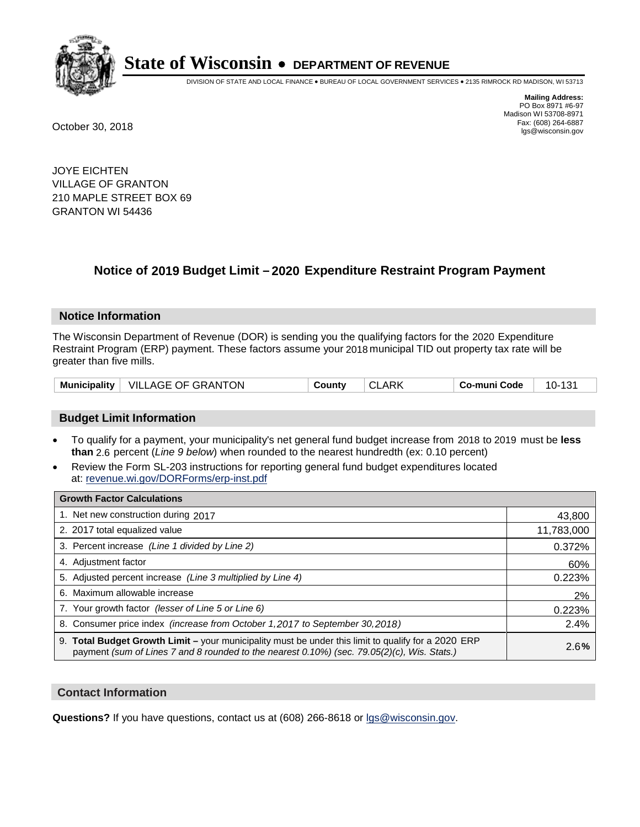

DIVISION OF STATE AND LOCAL FINANCE • BUREAU OF LOCAL GOVERNMENT SERVICES • 2135 RIMROCK RD MADISON, WI 53713

**Mailing Address:** PO Box 8971 #6-97 Madison WI 53708-8971<br>Fax: (608) 264-6887 Fax: (608) 264-6887 October 30, 2018 lgs@wisconsin.gov

JOYE EICHTEN VILLAGE OF GRANTON 210 MAPLE STREET BOX 69 GRANTON WI 54436

## **Notice of 2019 Budget Limit - 2020 Expenditure Restraint Program Payment**

#### **Notice Information**

The Wisconsin Department of Revenue (DOR) is sending you the qualifying factors for the 2020 Expenditure Restraint Program (ERP) payment. These factors assume your 2018 municipal TID out property tax rate will be greater than five mills.

#### **Budget Limit Information**

- To qualify for a payment, your municipality's net general fund budget increase from 2018 to 2019 must be less **than** 2.6 percent (*Line 9 below*) when rounded to the nearest hundredth (ex: 0.10 percent)
- Review the Form SL-203 instructions for reporting general fund budget expenditures located at: revenue.wi.gov/DORForms/erp-inst.pdf

| <b>Growth Factor Calculations</b>                                                                                                                                                                      |            |
|--------------------------------------------------------------------------------------------------------------------------------------------------------------------------------------------------------|------------|
| 1. Net new construction during 2017                                                                                                                                                                    | 43,800     |
| 2. 2017 total equalized value                                                                                                                                                                          | 11,783,000 |
| 3. Percent increase (Line 1 divided by Line 2)                                                                                                                                                         | 0.372%     |
| 4. Adjustment factor                                                                                                                                                                                   | 60%        |
| 5. Adjusted percent increase (Line 3 multiplied by Line 4)                                                                                                                                             | 0.223%     |
| 6. Maximum allowable increase                                                                                                                                                                          | 2%         |
| 7. Your growth factor (lesser of Line 5 or Line 6)                                                                                                                                                     | 0.223%     |
| 8. Consumer price index (increase from October 1, 2017 to September 30, 2018)                                                                                                                          | 2.4%       |
| 9. Total Budget Growth Limit - your municipality must be under this limit to qualify for a 2020 ERP<br>payment (sum of Lines 7 and 8 rounded to the nearest $0.10\%$ ) (sec. 79.05(2)(c), Wis. Stats.) | 2.6%       |

#### **Contact Information**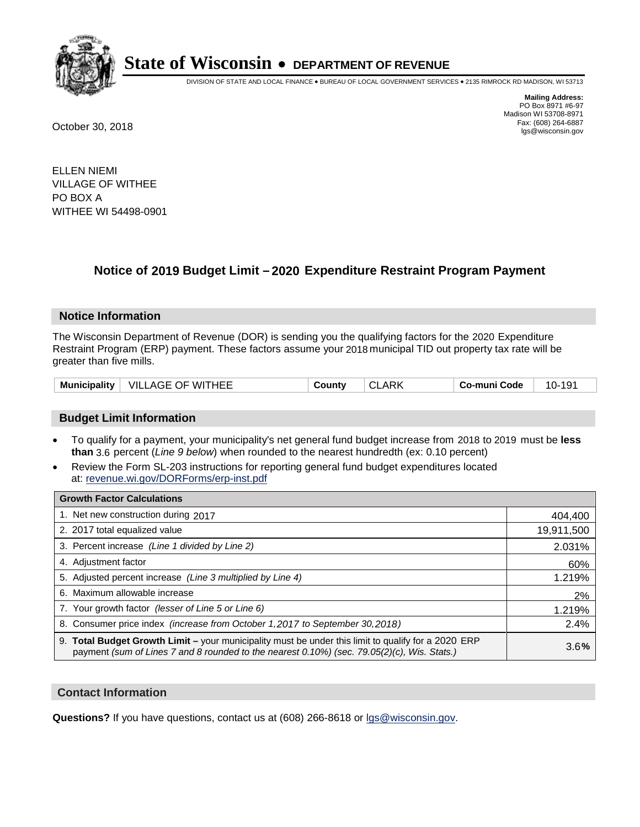

DIVISION OF STATE AND LOCAL FINANCE • BUREAU OF LOCAL GOVERNMENT SERVICES • 2135 RIMROCK RD MADISON, WI 53713

**Mailing Address:** PO Box 8971 #6-97 Madison WI 53708-8971<br>Fax: (608) 264-6887 Fax: (608) 264-6887 October 30, 2018 lgs@wisconsin.gov

ELLEN NIEMI VILLAGE OF WITHEE PO BOX A WITHEE WI 54498-0901

## **Notice of 2019 Budget Limit - 2020 Expenditure Restraint Program Payment**

#### **Notice Information**

The Wisconsin Department of Revenue (DOR) is sending you the qualifying factors for the 2020 Expenditure Restraint Program (ERP) payment. These factors assume your 2018 municipal TID out property tax rate will be greater than five mills.

#### **Budget Limit Information**

- To qualify for a payment, your municipality's net general fund budget increase from 2018 to 2019 must be less **than** 3.6 percent (*Line 9 below*) when rounded to the nearest hundredth (ex: 0.10 percent)
- Review the Form SL-203 instructions for reporting general fund budget expenditures located at: revenue.wi.gov/DORForms/erp-inst.pdf

| <b>Growth Factor Calculations</b>                                                                                                                                                                  |            |
|----------------------------------------------------------------------------------------------------------------------------------------------------------------------------------------------------|------------|
| 1. Net new construction during 2017                                                                                                                                                                | 404,400    |
| 2. 2017 total equalized value                                                                                                                                                                      | 19,911,500 |
| 3. Percent increase (Line 1 divided by Line 2)                                                                                                                                                     | 2.031%     |
| 4. Adjustment factor                                                                                                                                                                               | 60%        |
| 5. Adjusted percent increase (Line 3 multiplied by Line 4)                                                                                                                                         | 1.219%     |
| 6. Maximum allowable increase                                                                                                                                                                      | 2%         |
| 7. Your growth factor (lesser of Line 5 or Line 6)                                                                                                                                                 | 1.219%     |
| 8. Consumer price index (increase from October 1, 2017 to September 30, 2018)                                                                                                                      | 2.4%       |
| 9. Total Budget Growth Limit – your municipality must be under this limit to qualify for a 2020 ERP<br>payment (sum of Lines 7 and 8 rounded to the nearest 0.10%) (sec. 79.05(2)(c), Wis. Stats.) | 3.6%       |

#### **Contact Information**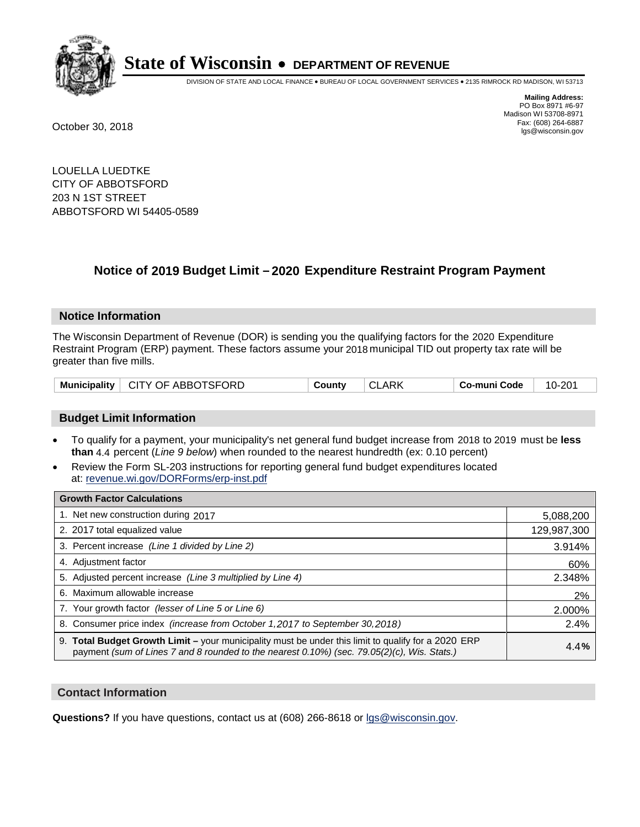

DIVISION OF STATE AND LOCAL FINANCE • BUREAU OF LOCAL GOVERNMENT SERVICES • 2135 RIMROCK RD MADISON, WI 53713

**Mailing Address:** PO Box 8971 #6-97 Madison WI 53708-8971<br>Fax: (608) 264-6887 Fax: (608) 264-6887 October 30, 2018 lgs@wisconsin.gov

LOUELLA LUEDTKE CITY OF ABBOTSFORD 203 N 1ST STREET ABBOTSFORD WI 54405-0589

## **Notice of 2019 Budget Limit - 2020 Expenditure Restraint Program Payment**

#### **Notice Information**

The Wisconsin Department of Revenue (DOR) is sending you the qualifying factors for the 2020 Expenditure Restraint Program (ERP) payment. These factors assume your 2018 municipal TID out property tax rate will be greater than five mills.

#### **Budget Limit Information**

- To qualify for a payment, your municipality's net general fund budget increase from 2018 to 2019 must be less **than** 4.4 percent (*Line 9 below*) when rounded to the nearest hundredth (ex: 0.10 percent)
- Review the Form SL-203 instructions for reporting general fund budget expenditures located at: revenue.wi.gov/DORForms/erp-inst.pdf

| <b>Growth Factor Calculations</b>                                                                                                                                                                      |             |
|--------------------------------------------------------------------------------------------------------------------------------------------------------------------------------------------------------|-------------|
| 1. Net new construction during 2017                                                                                                                                                                    | 5,088,200   |
| 2. 2017 total equalized value                                                                                                                                                                          | 129,987,300 |
| 3. Percent increase (Line 1 divided by Line 2)                                                                                                                                                         | 3.914%      |
| 4. Adjustment factor                                                                                                                                                                                   | 60%         |
| 5. Adjusted percent increase (Line 3 multiplied by Line 4)                                                                                                                                             | 2.348%      |
| 6. Maximum allowable increase                                                                                                                                                                          | 2%          |
| 7. Your growth factor (lesser of Line 5 or Line 6)                                                                                                                                                     | 2.000%      |
| 8. Consumer price index (increase from October 1, 2017 to September 30, 2018)                                                                                                                          | 2.4%        |
| 9. Total Budget Growth Limit - your municipality must be under this limit to qualify for a 2020 ERP<br>payment (sum of Lines 7 and 8 rounded to the nearest $0.10\%$ ) (sec. 79.05(2)(c), Wis. Stats.) | 4.4%        |

#### **Contact Information**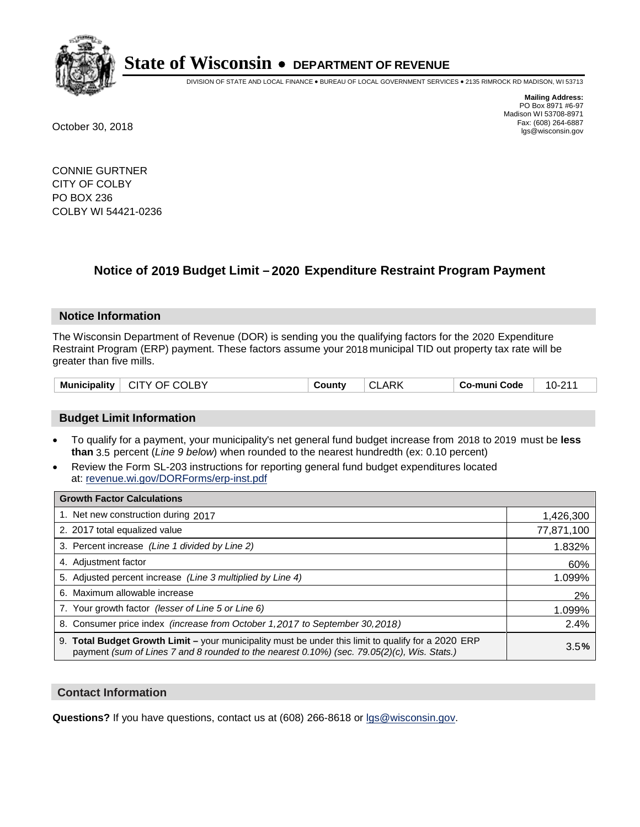

DIVISION OF STATE AND LOCAL FINANCE • BUREAU OF LOCAL GOVERNMENT SERVICES • 2135 RIMROCK RD MADISON, WI 53713

**Mailing Address:** PO Box 8971 #6-97 Madison WI 53708-8971<br>Fax: (608) 264-6887 Fax: (608) 264-6887 October 30, 2018 lgs@wisconsin.gov

CONNIE GURTNER CITY OF COLBY PO BOX 236 COLBY WI 54421-0236

## **Notice of 2019 Budget Limit - 2020 Expenditure Restraint Program Payment**

#### **Notice Information**

The Wisconsin Department of Revenue (DOR) is sending you the qualifying factors for the 2020 Expenditure Restraint Program (ERP) payment. These factors assume your 2018 municipal TID out property tax rate will be greater than five mills.

| <b>Municipality</b> | CITY OF COLBY | Countv | <b>CLARK</b> | Co-muni Code | 10-211 |
|---------------------|---------------|--------|--------------|--------------|--------|
|---------------------|---------------|--------|--------------|--------------|--------|

#### **Budget Limit Information**

- To qualify for a payment, your municipality's net general fund budget increase from 2018 to 2019 must be less **than** 3.5 percent (*Line 9 below*) when rounded to the nearest hundredth (ex: 0.10 percent)
- Review the Form SL-203 instructions for reporting general fund budget expenditures located at: revenue.wi.gov/DORForms/erp-inst.pdf

| <b>Growth Factor Calculations</b>                                                                                                                                                                      |            |
|--------------------------------------------------------------------------------------------------------------------------------------------------------------------------------------------------------|------------|
| 1. Net new construction during 2017                                                                                                                                                                    | 1,426,300  |
| 2. 2017 total equalized value                                                                                                                                                                          | 77,871,100 |
| 3. Percent increase (Line 1 divided by Line 2)                                                                                                                                                         | 1.832%     |
| 4. Adjustment factor                                                                                                                                                                                   | 60%        |
| 5. Adjusted percent increase (Line 3 multiplied by Line 4)                                                                                                                                             | 1.099%     |
| 6. Maximum allowable increase                                                                                                                                                                          | 2%         |
| 7. Your growth factor (lesser of Line 5 or Line 6)                                                                                                                                                     | 1.099%     |
| 8. Consumer price index (increase from October 1, 2017 to September 30, 2018)                                                                                                                          | 2.4%       |
| 9. Total Budget Growth Limit - your municipality must be under this limit to qualify for a 2020 ERP<br>payment (sum of Lines 7 and 8 rounded to the nearest $0.10\%$ ) (sec. 79.05(2)(c), Wis. Stats.) | 3.5%       |

#### **Contact Information**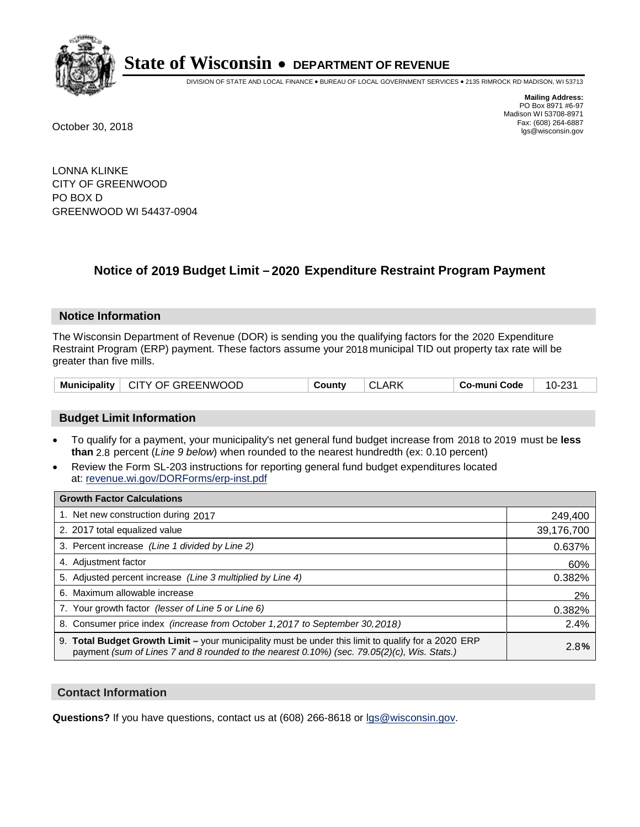

DIVISION OF STATE AND LOCAL FINANCE • BUREAU OF LOCAL GOVERNMENT SERVICES • 2135 RIMROCK RD MADISON, WI 53713

**Mailing Address:** PO Box 8971 #6-97 Madison WI 53708-8971<br>Fax: (608) 264-6887 Fax: (608) 264-6887 October 30, 2018 lgs@wisconsin.gov

LONNA KLINKE CITY OF GREENWOOD PO BOX D GREENWOOD WI 54437-0904

## **Notice of 2019 Budget Limit - 2020 Expenditure Restraint Program Payment**

#### **Notice Information**

The Wisconsin Department of Revenue (DOR) is sending you the qualifying factors for the 2020 Expenditure Restraint Program (ERP) payment. These factors assume your 2018 municipal TID out property tax rate will be greater than five mills.

| Municipality   CITY OF GREENWOOD | County | <b>CLARK</b> | Co-muni Code | 10-231 |
|----------------------------------|--------|--------------|--------------|--------|
|----------------------------------|--------|--------------|--------------|--------|

#### **Budget Limit Information**

- To qualify for a payment, your municipality's net general fund budget increase from 2018 to 2019 must be less **than** 2.8 percent (*Line 9 below*) when rounded to the nearest hundredth (ex: 0.10 percent)
- Review the Form SL-203 instructions for reporting general fund budget expenditures located at: revenue.wi.gov/DORForms/erp-inst.pdf

| <b>Growth Factor Calculations</b>                                                                                                                                                                      |            |
|--------------------------------------------------------------------------------------------------------------------------------------------------------------------------------------------------------|------------|
| 1. Net new construction during 2017                                                                                                                                                                    | 249,400    |
| 2. 2017 total equalized value                                                                                                                                                                          | 39,176,700 |
| 3. Percent increase (Line 1 divided by Line 2)                                                                                                                                                         | 0.637%     |
| 4. Adjustment factor                                                                                                                                                                                   | 60%        |
| 5. Adjusted percent increase (Line 3 multiplied by Line 4)                                                                                                                                             | 0.382%     |
| 6. Maximum allowable increase                                                                                                                                                                          | 2%         |
| 7. Your growth factor (lesser of Line 5 or Line 6)                                                                                                                                                     | 0.382%     |
| 8. Consumer price index (increase from October 1, 2017 to September 30, 2018)                                                                                                                          | 2.4%       |
| 9. Total Budget Growth Limit - your municipality must be under this limit to qualify for a 2020 ERP<br>payment (sum of Lines 7 and 8 rounded to the nearest $0.10\%$ ) (sec. 79.05(2)(c), Wis. Stats.) | 2.8%       |

#### **Contact Information**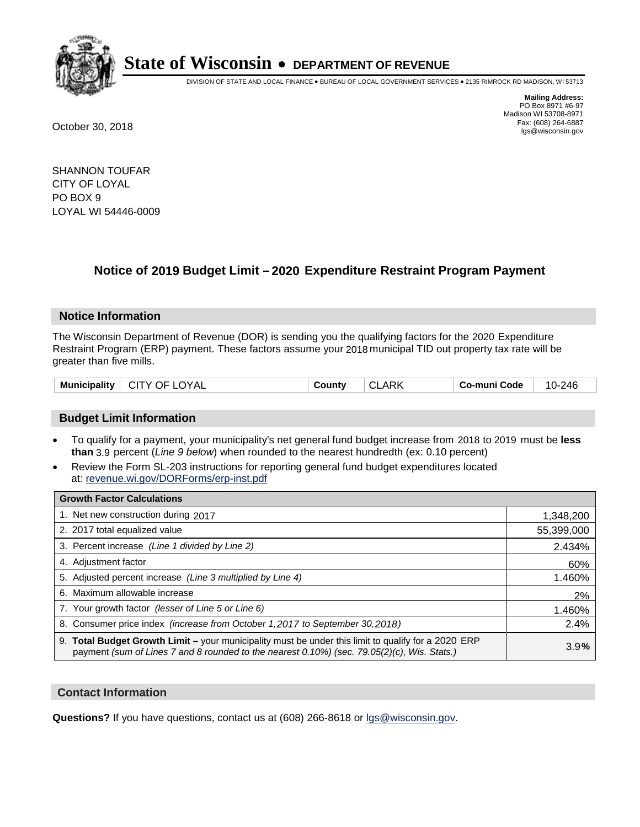

DIVISION OF STATE AND LOCAL FINANCE • BUREAU OF LOCAL GOVERNMENT SERVICES • 2135 RIMROCK RD MADISON, WI 53713

**Mailing Address:** PO Box 8971 #6-97 Madison WI 53708-8971<br>Fax: (608) 264-6887 Fax: (608) 264-6887 October 30, 2018 lgs@wisconsin.gov

SHANNON TOUFAR CITY OF LOYAL PO BOX 9 LOYAL WI 54446-0009

## **Notice of 2019 Budget Limit - 2020 Expenditure Restraint Program Payment**

#### **Notice Information**

The Wisconsin Department of Revenue (DOR) is sending you the qualifying factors for the 2020 Expenditure Restraint Program (ERP) payment. These factors assume your 2018 municipal TID out property tax rate will be greater than five mills.

| $\mid$ Municipality $\mid$<br>└ CITY OF LOYAL<br><b>CLARK</b><br>County | 10-246<br>Co-muni Code |
|-------------------------------------------------------------------------|------------------------|
|-------------------------------------------------------------------------|------------------------|

#### **Budget Limit Information**

- To qualify for a payment, your municipality's net general fund budget increase from 2018 to 2019 must be less **than** 3.9 percent (*Line 9 below*) when rounded to the nearest hundredth (ex: 0.10 percent)
- Review the Form SL-203 instructions for reporting general fund budget expenditures located at: revenue.wi.gov/DORForms/erp-inst.pdf

| <b>Growth Factor Calculations</b>                                                                                                                                                                  |            |
|----------------------------------------------------------------------------------------------------------------------------------------------------------------------------------------------------|------------|
| 1. Net new construction during 2017                                                                                                                                                                | 1,348,200  |
| 2. 2017 total equalized value                                                                                                                                                                      | 55,399,000 |
| 3. Percent increase (Line 1 divided by Line 2)                                                                                                                                                     | 2.434%     |
| 4. Adjustment factor                                                                                                                                                                               | 60%        |
| 5. Adjusted percent increase (Line 3 multiplied by Line 4)                                                                                                                                         | 1.460%     |
| 6. Maximum allowable increase                                                                                                                                                                      | 2%         |
| 7. Your growth factor (lesser of Line 5 or Line 6)                                                                                                                                                 | 1.460%     |
| 8. Consumer price index (increase from October 1, 2017 to September 30, 2018)                                                                                                                      | 2.4%       |
| 9. Total Budget Growth Limit - your municipality must be under this limit to qualify for a 2020 ERP<br>payment (sum of Lines 7 and 8 rounded to the nearest 0.10%) (sec. 79.05(2)(c), Wis. Stats.) | 3.9%       |

#### **Contact Information**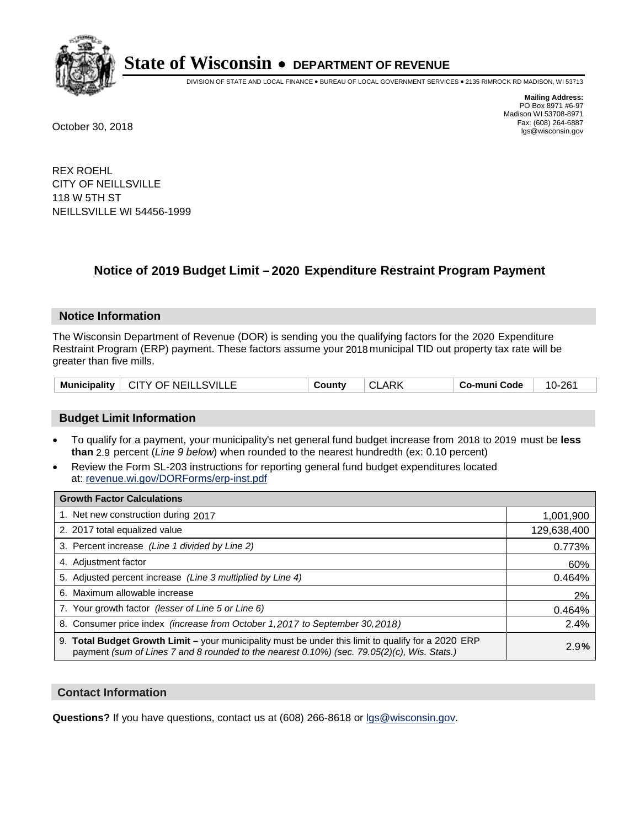

DIVISION OF STATE AND LOCAL FINANCE • BUREAU OF LOCAL GOVERNMENT SERVICES • 2135 RIMROCK RD MADISON, WI 53713

**Mailing Address:** PO Box 8971 #6-97 Madison WI 53708-8971<br>Fax: (608) 264-6887 Fax: (608) 264-6887 October 30, 2018 lgs@wisconsin.gov

REX ROEHL CITY OF NEILLSVILLE 118 W 5TH ST NEILLSVILLE WI 54456-1999

## **Notice of 2019 Budget Limit - 2020 Expenditure Restraint Program Payment**

#### **Notice Information**

The Wisconsin Department of Revenue (DOR) is sending you the qualifying factors for the 2020 Expenditure Restraint Program (ERP) payment. These factors assume your 2018 municipal TID out property tax rate will be greater than five mills.

| Municipality   CITY OF NEILLSVILLE | County | <b>CLARK</b> | Co-muni Code | 10-261 |
|------------------------------------|--------|--------------|--------------|--------|
|------------------------------------|--------|--------------|--------------|--------|

#### **Budget Limit Information**

- To qualify for a payment, your municipality's net general fund budget increase from 2018 to 2019 must be less **than** 2.9 percent (*Line 9 below*) when rounded to the nearest hundredth (ex: 0.10 percent)
- Review the Form SL-203 instructions for reporting general fund budget expenditures located at: revenue.wi.gov/DORForms/erp-inst.pdf

| <b>Growth Factor Calculations</b>                                                                                                                                                                      |             |
|--------------------------------------------------------------------------------------------------------------------------------------------------------------------------------------------------------|-------------|
| 1. Net new construction during 2017                                                                                                                                                                    | 1,001,900   |
| 2. 2017 total equalized value                                                                                                                                                                          | 129,638,400 |
| 3. Percent increase (Line 1 divided by Line 2)                                                                                                                                                         | 0.773%      |
| 4. Adjustment factor                                                                                                                                                                                   | 60%         |
| 5. Adjusted percent increase (Line 3 multiplied by Line 4)                                                                                                                                             | 0.464%      |
| 6. Maximum allowable increase                                                                                                                                                                          | 2%          |
| 7. Your growth factor (lesser of Line 5 or Line 6)                                                                                                                                                     | 0.464%      |
| 8. Consumer price index (increase from October 1,2017 to September 30,2018)                                                                                                                            | 2.4%        |
| 9. Total Budget Growth Limit - your municipality must be under this limit to qualify for a 2020 ERP<br>payment (sum of Lines 7 and 8 rounded to the nearest $0.10\%$ ) (sec. 79.05(2)(c), Wis. Stats.) | 2.9%        |

#### **Contact Information**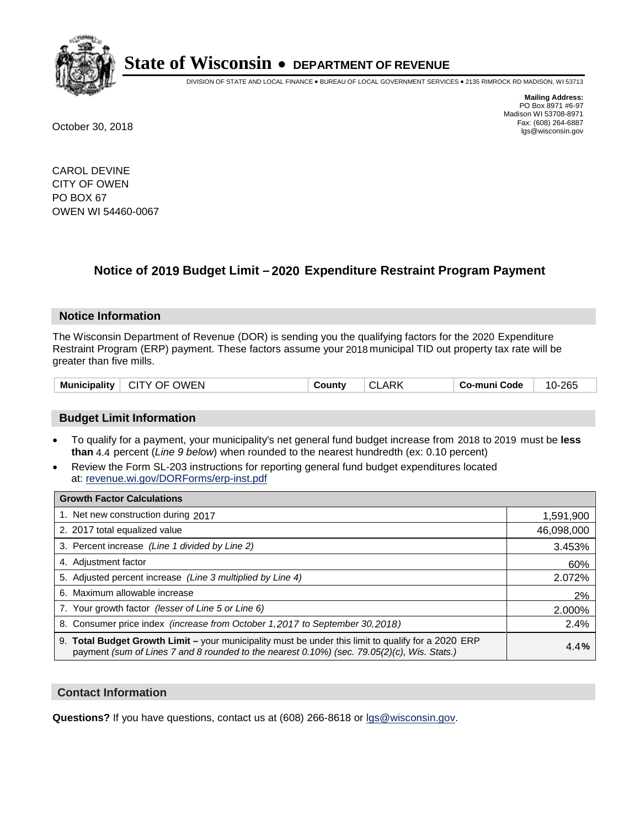

DIVISION OF STATE AND LOCAL FINANCE • BUREAU OF LOCAL GOVERNMENT SERVICES • 2135 RIMROCK RD MADISON, WI 53713

**Mailing Address:** PO Box 8971 #6-97 Madison WI 53708-8971<br>Fax: (608) 264-6887 Fax: (608) 264-6887 October 30, 2018 lgs@wisconsin.gov

CAROL DEVINE CITY OF OWEN PO BOX 67 OWEN WI 54460-0067

## **Notice of 2019 Budget Limit - 2020 Expenditure Restraint Program Payment**

#### **Notice Information**

The Wisconsin Department of Revenue (DOR) is sending you the qualifying factors for the 2020 Expenditure Restraint Program (ERP) payment. These factors assume your 2018 municipal TID out property tax rate will be greater than five mills.

| CITY OF OWEN<br><b>Municipality</b> | County | , CLARK | Co-muni Code | 10-265 |
|-------------------------------------|--------|---------|--------------|--------|
|-------------------------------------|--------|---------|--------------|--------|

#### **Budget Limit Information**

- To qualify for a payment, your municipality's net general fund budget increase from 2018 to 2019 must be less **than** 4.4 percent (*Line 9 below*) when rounded to the nearest hundredth (ex: 0.10 percent)
- Review the Form SL-203 instructions for reporting general fund budget expenditures located at: revenue.wi.gov/DORForms/erp-inst.pdf

| <b>Growth Factor Calculations</b>                                                                                                                                                                      |            |
|--------------------------------------------------------------------------------------------------------------------------------------------------------------------------------------------------------|------------|
| 1. Net new construction during 2017                                                                                                                                                                    | 1,591,900  |
| 2. 2017 total equalized value                                                                                                                                                                          | 46,098,000 |
| 3. Percent increase (Line 1 divided by Line 2)                                                                                                                                                         | 3.453%     |
| 4. Adjustment factor                                                                                                                                                                                   | 60%        |
| 5. Adjusted percent increase (Line 3 multiplied by Line 4)                                                                                                                                             | 2.072%     |
| 6. Maximum allowable increase                                                                                                                                                                          | 2%         |
| 7. Your growth factor (lesser of Line 5 or Line 6)                                                                                                                                                     | 2.000%     |
| 8. Consumer price index (increase from October 1,2017 to September 30,2018)                                                                                                                            | 2.4%       |
| 9. Total Budget Growth Limit - your municipality must be under this limit to qualify for a 2020 ERP<br>payment (sum of Lines 7 and 8 rounded to the nearest $0.10\%$ ) (sec. 79.05(2)(c), Wis. Stats.) | 4.4%       |

#### **Contact Information**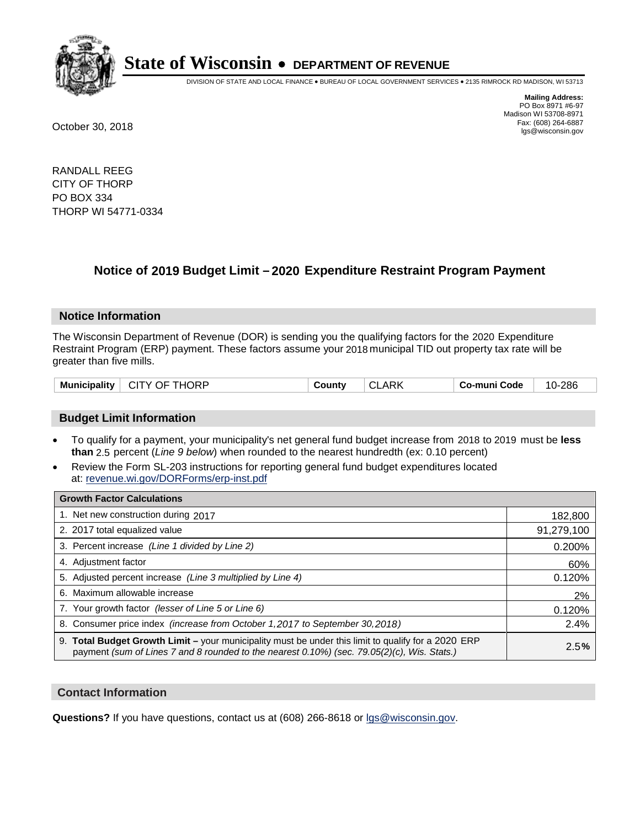

DIVISION OF STATE AND LOCAL FINANCE • BUREAU OF LOCAL GOVERNMENT SERVICES • 2135 RIMROCK RD MADISON, WI 53713

**Mailing Address:** PO Box 8971 #6-97 Madison WI 53708-8971<br>Fax: (608) 264-6887 Fax: (608) 264-6887 October 30, 2018 lgs@wisconsin.gov

RANDALL REEG CITY OF THORP PO BOX 334 THORP WI 54771-0334

## **Notice of 2019 Budget Limit - 2020 Expenditure Restraint Program Payment**

#### **Notice Information**

The Wisconsin Department of Revenue (DOR) is sending you the qualifying factors for the 2020 Expenditure Restraint Program (ERP) payment. These factors assume your 2018 municipal TID out property tax rate will be greater than five mills.

| <b>Municipality</b><br>CITY OF THORP | CLARK<br>County | Co-muni Code | 10-286 |
|--------------------------------------|-----------------|--------------|--------|
|--------------------------------------|-----------------|--------------|--------|

#### **Budget Limit Information**

- To qualify for a payment, your municipality's net general fund budget increase from 2018 to 2019 must be less **than** 2.5 percent (*Line 9 below*) when rounded to the nearest hundredth (ex: 0.10 percent)
- Review the Form SL-203 instructions for reporting general fund budget expenditures located at: revenue.wi.gov/DORForms/erp-inst.pdf

| <b>Growth Factor Calculations</b>                                                                                                                                                                      |            |
|--------------------------------------------------------------------------------------------------------------------------------------------------------------------------------------------------------|------------|
| 1. Net new construction during 2017                                                                                                                                                                    | 182,800    |
| 2. 2017 total equalized value                                                                                                                                                                          | 91,279,100 |
| 3. Percent increase (Line 1 divided by Line 2)                                                                                                                                                         | 0.200%     |
| 4. Adjustment factor                                                                                                                                                                                   | 60%        |
| 5. Adjusted percent increase (Line 3 multiplied by Line 4)                                                                                                                                             | 0.120%     |
| 6. Maximum allowable increase                                                                                                                                                                          | 2%         |
| 7. Your growth factor (lesser of Line 5 or Line 6)                                                                                                                                                     | 0.120%     |
| 8. Consumer price index (increase from October 1,2017 to September 30,2018)                                                                                                                            | 2.4%       |
| 9. Total Budget Growth Limit - your municipality must be under this limit to qualify for a 2020 ERP<br>payment (sum of Lines 7 and 8 rounded to the nearest $0.10\%$ ) (sec. 79.05(2)(c), Wis. Stats.) | 2.5%       |

#### **Contact Information**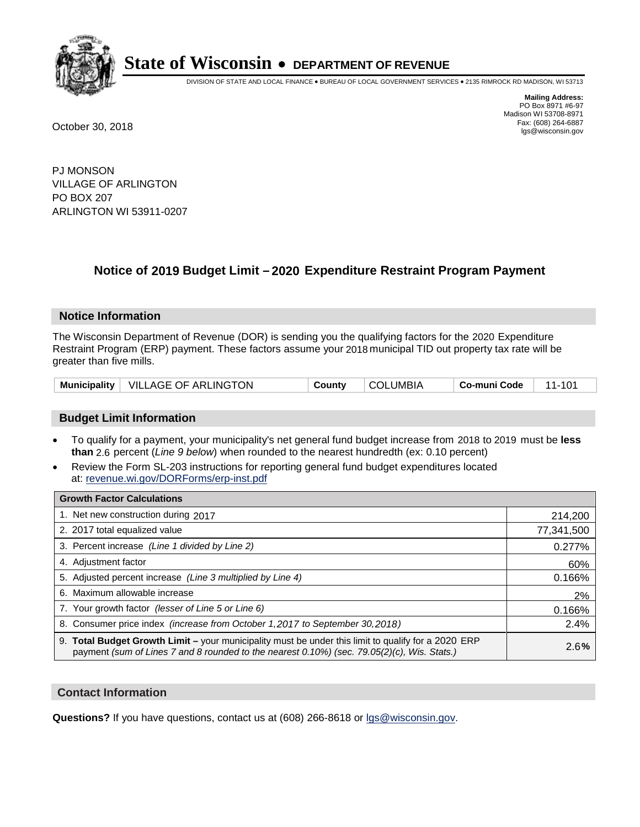

DIVISION OF STATE AND LOCAL FINANCE • BUREAU OF LOCAL GOVERNMENT SERVICES • 2135 RIMROCK RD MADISON, WI 53713

**Mailing Address:** PO Box 8971 #6-97 Madison WI 53708-8971<br>Fax: (608) 264-6887 Fax: (608) 264-6887 October 30, 2018 lgs@wisconsin.gov

PJ MONSON VILLAGE OF ARLINGTON PO BOX 207 ARLINGTON WI 53911-0207

## **Notice of 2019 Budget Limit - 2020 Expenditure Restraint Program Payment**

#### **Notice Information**

The Wisconsin Department of Revenue (DOR) is sending you the qualifying factors for the 2020 Expenditure Restraint Program (ERP) payment. These factors assume your 2018 municipal TID out property tax rate will be greater than five mills.

|  | Municipality   VILLAGE OF ARLINGTON | County | <b>COLUMBIA</b> | Co-muni Code |  |
|--|-------------------------------------|--------|-----------------|--------------|--|
|--|-------------------------------------|--------|-----------------|--------------|--|

#### **Budget Limit Information**

- To qualify for a payment, your municipality's net general fund budget increase from 2018 to 2019 must be less **than** 2.6 percent (*Line 9 below*) when rounded to the nearest hundredth (ex: 0.10 percent)
- Review the Form SL-203 instructions for reporting general fund budget expenditures located at: revenue.wi.gov/DORForms/erp-inst.pdf

| <b>Growth Factor Calculations</b>                                                                                                                                                                      |            |
|--------------------------------------------------------------------------------------------------------------------------------------------------------------------------------------------------------|------------|
| 1. Net new construction during 2017                                                                                                                                                                    | 214,200    |
| 2. 2017 total equalized value                                                                                                                                                                          | 77,341,500 |
| 3. Percent increase (Line 1 divided by Line 2)                                                                                                                                                         | 0.277%     |
| 4. Adjustment factor                                                                                                                                                                                   | 60%        |
| 5. Adjusted percent increase (Line 3 multiplied by Line 4)                                                                                                                                             | 0.166%     |
| 6. Maximum allowable increase                                                                                                                                                                          | 2%         |
| 7. Your growth factor (lesser of Line 5 or Line 6)                                                                                                                                                     | 0.166%     |
| 8. Consumer price index (increase from October 1, 2017 to September 30, 2018)                                                                                                                          | 2.4%       |
| 9. Total Budget Growth Limit - your municipality must be under this limit to qualify for a 2020 ERP<br>payment (sum of Lines 7 and 8 rounded to the nearest $0.10\%$ ) (sec. 79.05(2)(c), Wis. Stats.) | 2.6%       |

#### **Contact Information**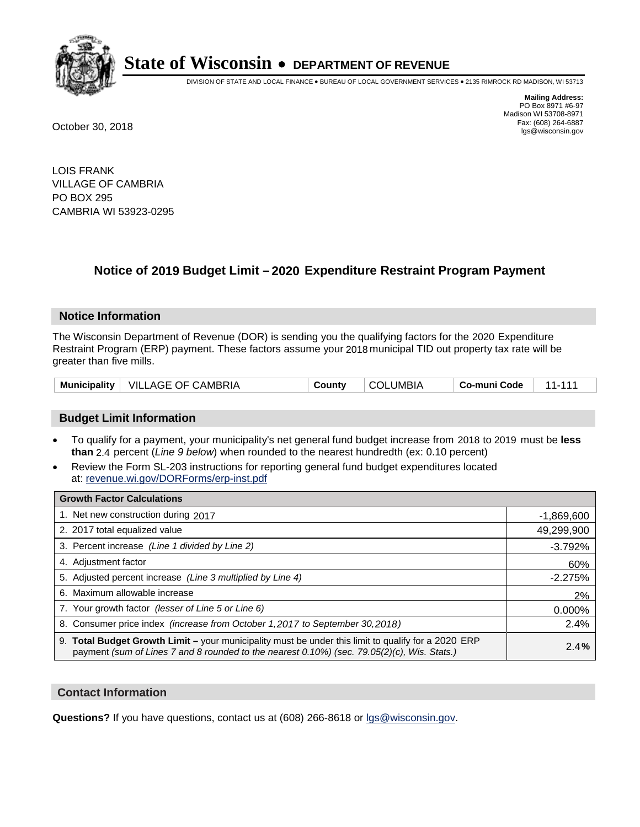

DIVISION OF STATE AND LOCAL FINANCE • BUREAU OF LOCAL GOVERNMENT SERVICES • 2135 RIMROCK RD MADISON, WI 53713

**Mailing Address:** PO Box 8971 #6-97 Madison WI 53708-8971<br>Fax: (608) 264-6887 Fax: (608) 264-6887 October 30, 2018 lgs@wisconsin.gov

LOIS FRANK VILLAGE OF CAMBRIA PO BOX 295 CAMBRIA WI 53923-0295

## **Notice of 2019 Budget Limit - 2020 Expenditure Restraint Program Payment**

#### **Notice Information**

The Wisconsin Department of Revenue (DOR) is sending you the qualifying factors for the 2020 Expenditure Restraint Program (ERP) payment. These factors assume your 2018 municipal TID out property tax rate will be greater than five mills.

| <b>Municipality</b> | VILLAGE OF CAMBRIA | Countv | ∠LUMBIA<br>∩∩ ⊂ | Co-muni Code |  |
|---------------------|--------------------|--------|-----------------|--------------|--|
|---------------------|--------------------|--------|-----------------|--------------|--|

#### **Budget Limit Information**

- To qualify for a payment, your municipality's net general fund budget increase from 2018 to 2019 must be less **than** 2.4 percent (*Line 9 below*) when rounded to the nearest hundredth (ex: 0.10 percent)
- Review the Form SL-203 instructions for reporting general fund budget expenditures located at: revenue.wi.gov/DORForms/erp-inst.pdf

| <b>Growth Factor Calculations</b>                                                                                                                                                                      |              |
|--------------------------------------------------------------------------------------------------------------------------------------------------------------------------------------------------------|--------------|
| 1. Net new construction during 2017                                                                                                                                                                    | $-1,869,600$ |
| 2. 2017 total equalized value                                                                                                                                                                          | 49,299,900   |
| 3. Percent increase (Line 1 divided by Line 2)                                                                                                                                                         | $-3.792%$    |
| 4. Adjustment factor                                                                                                                                                                                   | 60%          |
| 5. Adjusted percent increase (Line 3 multiplied by Line 4)                                                                                                                                             | $-2.275%$    |
| 6. Maximum allowable increase                                                                                                                                                                          | 2%           |
| 7. Your growth factor (lesser of Line 5 or Line 6)                                                                                                                                                     | 0.000%       |
| 8. Consumer price index (increase from October 1,2017 to September 30,2018)                                                                                                                            | 2.4%         |
| 9. Total Budget Growth Limit - your municipality must be under this limit to qualify for a 2020 ERP<br>payment (sum of Lines 7 and 8 rounded to the nearest $0.10\%$ ) (sec. 79.05(2)(c), Wis. Stats.) | 2.4%         |

#### **Contact Information**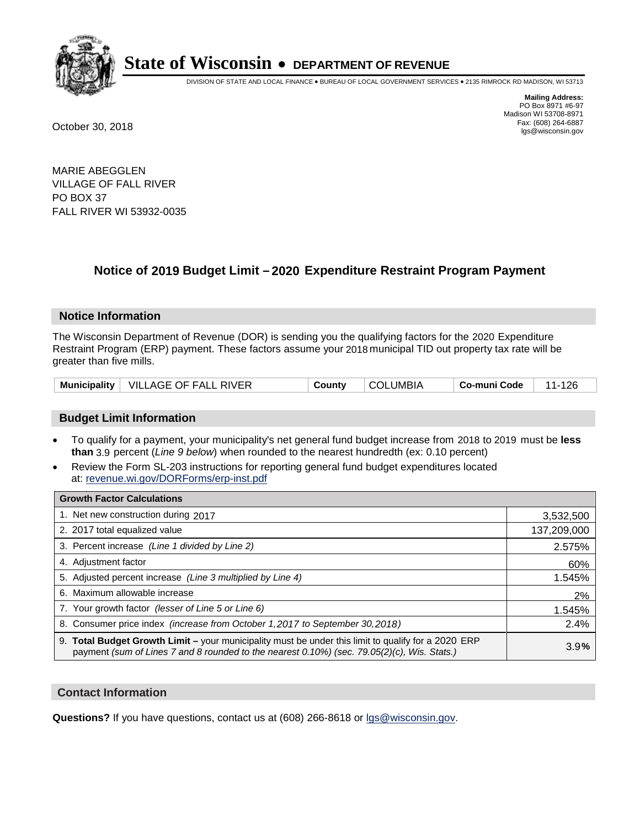

DIVISION OF STATE AND LOCAL FINANCE • BUREAU OF LOCAL GOVERNMENT SERVICES • 2135 RIMROCK RD MADISON, WI 53713

**Mailing Address:** PO Box 8971 #6-97 Madison WI 53708-8971<br>Fax: (608) 264-6887 Fax: (608) 264-6887 October 30, 2018 lgs@wisconsin.gov

MARIE ABEGGLEN VILLAGE OF FALL RIVER PO BOX 37 FALL RIVER WI 53932-0035

## **Notice of 2019 Budget Limit - 2020 Expenditure Restraint Program Payment**

#### **Notice Information**

The Wisconsin Department of Revenue (DOR) is sending you the qualifying factors for the 2020 Expenditure Restraint Program (ERP) payment. These factors assume your 2018 municipal TID out property tax rate will be greater than five mills.

|  | Municipality   VILLAGE OF FALL RIVER | County | <b>COLUMBIA</b> | Co-muni Code | 11-126 |
|--|--------------------------------------|--------|-----------------|--------------|--------|
|--|--------------------------------------|--------|-----------------|--------------|--------|

#### **Budget Limit Information**

- To qualify for a payment, your municipality's net general fund budget increase from 2018 to 2019 must be less **than** 3.9 percent (*Line 9 below*) when rounded to the nearest hundredth (ex: 0.10 percent)
- Review the Form SL-203 instructions for reporting general fund budget expenditures located at: revenue.wi.gov/DORForms/erp-inst.pdf

| <b>Growth Factor Calculations</b>                                                                                                                                                                      |             |
|--------------------------------------------------------------------------------------------------------------------------------------------------------------------------------------------------------|-------------|
| 1. Net new construction during 2017                                                                                                                                                                    | 3,532,500   |
| 2. 2017 total equalized value                                                                                                                                                                          | 137,209,000 |
| 3. Percent increase (Line 1 divided by Line 2)                                                                                                                                                         | 2.575%      |
| 4. Adjustment factor                                                                                                                                                                                   | 60%         |
| 5. Adjusted percent increase (Line 3 multiplied by Line 4)                                                                                                                                             | 1.545%      |
| 6. Maximum allowable increase                                                                                                                                                                          | 2%          |
| 7. Your growth factor (lesser of Line 5 or Line 6)                                                                                                                                                     | 1.545%      |
| 8. Consumer price index (increase from October 1,2017 to September 30,2018)                                                                                                                            | 2.4%        |
| 9. Total Budget Growth Limit - your municipality must be under this limit to qualify for a 2020 ERP<br>payment (sum of Lines 7 and 8 rounded to the nearest $0.10\%$ ) (sec. 79.05(2)(c), Wis. Stats.) | 3.9%        |

#### **Contact Information**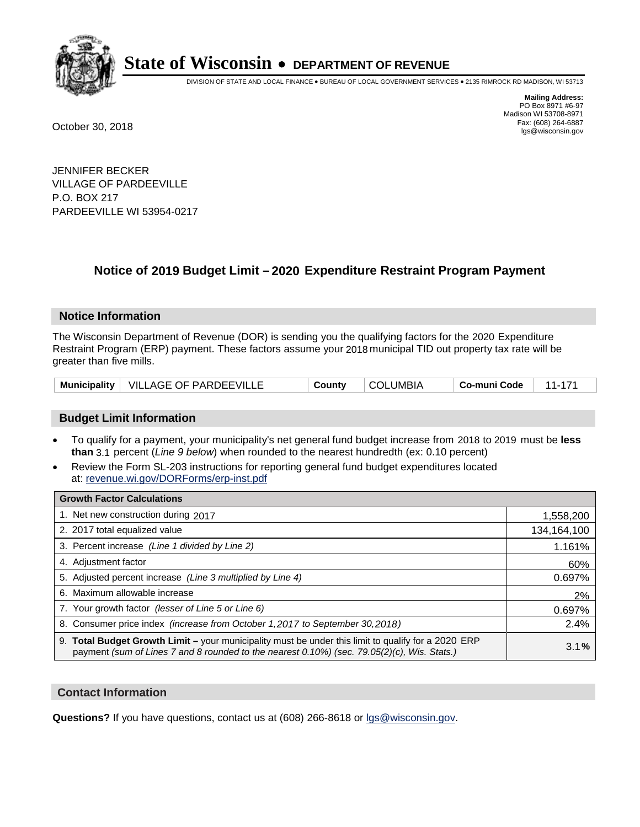

DIVISION OF STATE AND LOCAL FINANCE • BUREAU OF LOCAL GOVERNMENT SERVICES • 2135 RIMROCK RD MADISON, WI 53713

**Mailing Address:** PO Box 8971 #6-97 Madison WI 53708-8971<br>Fax: (608) 264-6887 Fax: (608) 264-6887 October 30, 2018 lgs@wisconsin.gov

JENNIFER BECKER VILLAGE OF PARDEEVILLE P.O. BOX 217 PARDEEVILLE WI 53954-0217

### **Notice of 2019 Budget Limit - 2020 Expenditure Restraint Program Payment**

#### **Notice Information**

The Wisconsin Department of Revenue (DOR) is sending you the qualifying factors for the 2020 Expenditure Restraint Program (ERP) payment. These factors assume your 2018 municipal TID out property tax rate will be greater than five mills.

| Municipality   VILLAGE OF PARDEEVILLE |  | County | <b>COLUMBIA</b> | Co-muni Code | $11 -$ |
|---------------------------------------|--|--------|-----------------|--------------|--------|
|---------------------------------------|--|--------|-----------------|--------------|--------|

#### **Budget Limit Information**

- To qualify for a payment, your municipality's net general fund budget increase from 2018 to 2019 must be less **than** 3.1 percent (*Line 9 below*) when rounded to the nearest hundredth (ex: 0.10 percent)
- Review the Form SL-203 instructions for reporting general fund budget expenditures located at: revenue.wi.gov/DORForms/erp-inst.pdf

| <b>Growth Factor Calculations</b>                                                                                                                                                                      |             |
|--------------------------------------------------------------------------------------------------------------------------------------------------------------------------------------------------------|-------------|
| 1. Net new construction during 2017                                                                                                                                                                    | 1,558,200   |
| 2. 2017 total equalized value                                                                                                                                                                          | 134,164,100 |
| 3. Percent increase (Line 1 divided by Line 2)                                                                                                                                                         | 1.161%      |
| 4. Adjustment factor                                                                                                                                                                                   | 60%         |
| 5. Adjusted percent increase (Line 3 multiplied by Line 4)                                                                                                                                             | 0.697%      |
| 6. Maximum allowable increase                                                                                                                                                                          | 2%          |
| 7. Your growth factor (lesser of Line 5 or Line 6)                                                                                                                                                     | 0.697%      |
| 8. Consumer price index (increase from October 1, 2017 to September 30, 2018)                                                                                                                          | 2.4%        |
| 9. Total Budget Growth Limit - your municipality must be under this limit to qualify for a 2020 ERP<br>payment (sum of Lines 7 and 8 rounded to the nearest $0.10\%$ ) (sec. 79.05(2)(c), Wis. Stats.) | 3.1%        |

#### **Contact Information**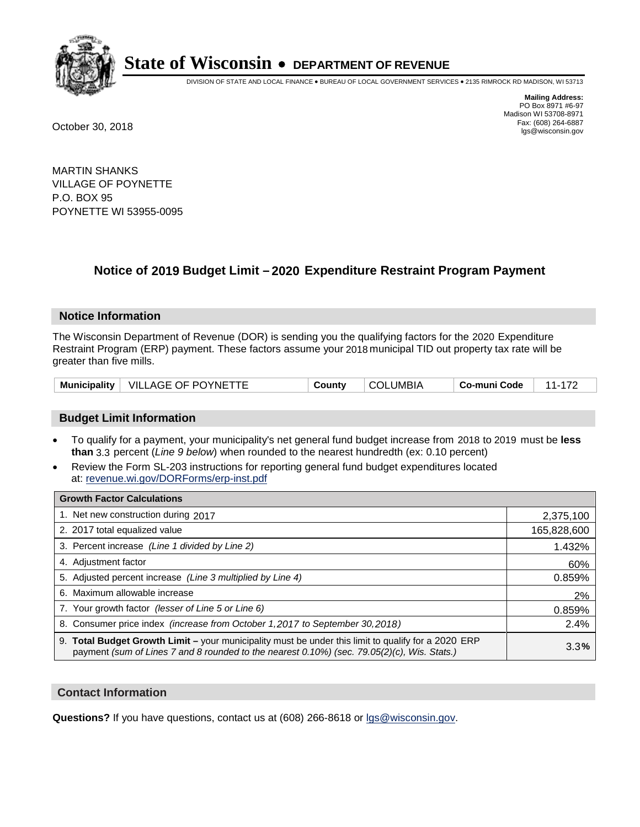

DIVISION OF STATE AND LOCAL FINANCE • BUREAU OF LOCAL GOVERNMENT SERVICES • 2135 RIMROCK RD MADISON, WI 53713

**Mailing Address:** PO Box 8971 #6-97 Madison WI 53708-8971<br>Fax: (608) 264-6887 Fax: (608) 264-6887 October 30, 2018 lgs@wisconsin.gov

MARTIN SHANKS VILLAGE OF POYNETTE P.O. BOX 95 POYNETTE WI 53955-0095

## **Notice of 2019 Budget Limit - 2020 Expenditure Restraint Program Payment**

#### **Notice Information**

The Wisconsin Department of Revenue (DOR) is sending you the qualifying factors for the 2020 Expenditure Restraint Program (ERP) payment. These factors assume your 2018 municipal TID out property tax rate will be greater than five mills.

| Municipality | VILLAGE OF POYNETTE | County | .UMBIA | o-muni Code، ت |  |
|--------------|---------------------|--------|--------|----------------|--|
|--------------|---------------------|--------|--------|----------------|--|

#### **Budget Limit Information**

- To qualify for a payment, your municipality's net general fund budget increase from 2018 to 2019 must be less **than** 3.3 percent (*Line 9 below*) when rounded to the nearest hundredth (ex: 0.10 percent)
- Review the Form SL-203 instructions for reporting general fund budget expenditures located at: revenue.wi.gov/DORForms/erp-inst.pdf

| <b>Growth Factor Calculations</b>                                                                                                                                                                      |             |
|--------------------------------------------------------------------------------------------------------------------------------------------------------------------------------------------------------|-------------|
| 1. Net new construction during 2017                                                                                                                                                                    | 2,375,100   |
| 2. 2017 total equalized value                                                                                                                                                                          | 165,828,600 |
| 3. Percent increase (Line 1 divided by Line 2)                                                                                                                                                         | 1.432%      |
| 4. Adjustment factor                                                                                                                                                                                   | 60%         |
| 5. Adjusted percent increase (Line 3 multiplied by Line 4)                                                                                                                                             | 0.859%      |
| 6. Maximum allowable increase                                                                                                                                                                          | 2%          |
| 7. Your growth factor (lesser of Line 5 or Line 6)                                                                                                                                                     | 0.859%      |
| 8. Consumer price index (increase from October 1, 2017 to September 30, 2018)                                                                                                                          | 2.4%        |
| 9. Total Budget Growth Limit - your municipality must be under this limit to qualify for a 2020 ERP<br>payment (sum of Lines 7 and 8 rounded to the nearest $0.10\%$ ) (sec. 79.05(2)(c), Wis. Stats.) | 3.3%        |

#### **Contact Information**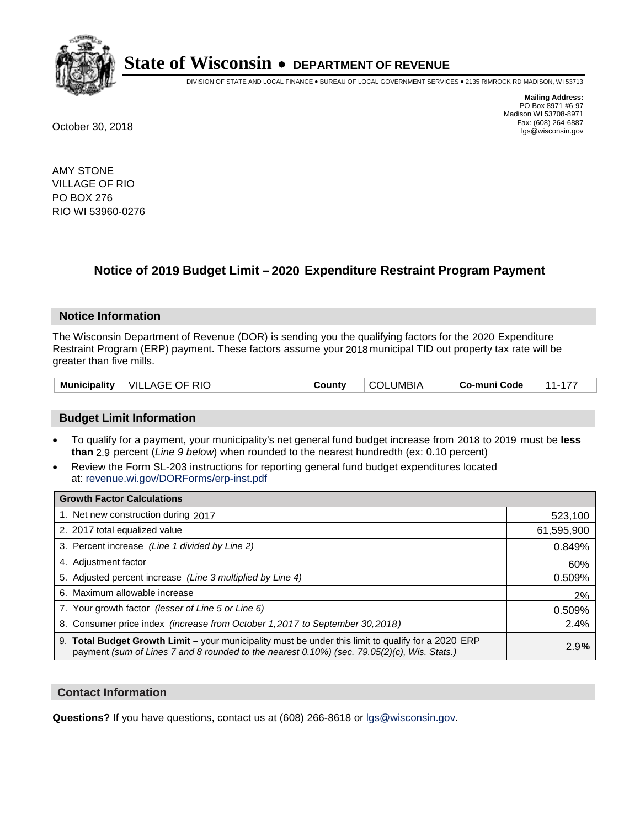

DIVISION OF STATE AND LOCAL FINANCE • BUREAU OF LOCAL GOVERNMENT SERVICES • 2135 RIMROCK RD MADISON, WI 53713

**Mailing Address:** PO Box 8971 #6-97 Madison WI 53708-8971<br>Fax: (608) 264-6887 Fax: (608) 264-6887 October 30, 2018 lgs@wisconsin.gov

AMY STONE VILLAGE OF RIO PO BOX 276 RIO WI 53960-0276

## **Notice of 2019 Budget Limit - 2020 Expenditure Restraint Program Payment**

#### **Notice Information**

The Wisconsin Department of Revenue (DOR) is sending you the qualifying factors for the 2020 Expenditure Restraint Program (ERP) payment. These factors assume your 2018 municipal TID out property tax rate will be greater than five mills.

| Municipality   VILLAGE OF RIO | County | <b>COLUMBIA</b> | Co-muni Code |  |
|-------------------------------|--------|-----------------|--------------|--|
|-------------------------------|--------|-----------------|--------------|--|

#### **Budget Limit Information**

- To qualify for a payment, your municipality's net general fund budget increase from 2018 to 2019 must be less **than** 2.9 percent (*Line 9 below*) when rounded to the nearest hundredth (ex: 0.10 percent)
- Review the Form SL-203 instructions for reporting general fund budget expenditures located at: revenue.wi.gov/DORForms/erp-inst.pdf

| <b>Growth Factor Calculations</b>                                                                                                                                                                  |            |
|----------------------------------------------------------------------------------------------------------------------------------------------------------------------------------------------------|------------|
| 1. Net new construction during 2017                                                                                                                                                                | 523,100    |
| 2. 2017 total equalized value                                                                                                                                                                      | 61,595,900 |
| 3. Percent increase (Line 1 divided by Line 2)                                                                                                                                                     | 0.849%     |
| 4. Adjustment factor                                                                                                                                                                               | 60%        |
| 5. Adjusted percent increase (Line 3 multiplied by Line 4)                                                                                                                                         | 0.509%     |
| 6. Maximum allowable increase                                                                                                                                                                      | 2%         |
| 7. Your growth factor (lesser of Line 5 or Line 6)                                                                                                                                                 | 0.509%     |
| 8. Consumer price index (increase from October 1, 2017 to September 30, 2018)                                                                                                                      | 2.4%       |
| 9. Total Budget Growth Limit – your municipality must be under this limit to qualify for a 2020 ERP<br>payment (sum of Lines 7 and 8 rounded to the nearest 0.10%) (sec. 79.05(2)(c), Wis. Stats.) | 2.9%       |

#### **Contact Information**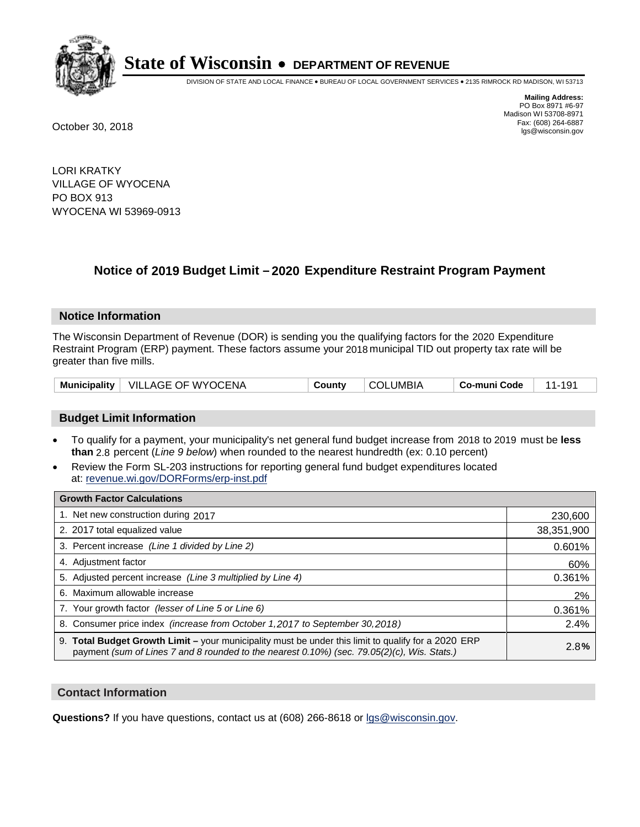

DIVISION OF STATE AND LOCAL FINANCE • BUREAU OF LOCAL GOVERNMENT SERVICES • 2135 RIMROCK RD MADISON, WI 53713

**Mailing Address:** PO Box 8971 #6-97 Madison WI 53708-8971<br>Fax: (608) 264-6887 Fax: (608) 264-6887 October 30, 2018 lgs@wisconsin.gov

LORI KRATKY VILLAGE OF WYOCENA PO BOX 913 WYOCENA WI 53969-0913

## **Notice of 2019 Budget Limit - 2020 Expenditure Restraint Program Payment**

#### **Notice Information**

The Wisconsin Department of Revenue (DOR) is sending you the qualifying factors for the 2020 Expenditure Restraint Program (ERP) payment. These factors assume your 2018 municipal TID out property tax rate will be greater than five mills.

| Municipality   VILLAGE OF WYOCENA | County | COLUMBIA | Co-muni Code | 11-191 |
|-----------------------------------|--------|----------|--------------|--------|
|-----------------------------------|--------|----------|--------------|--------|

#### **Budget Limit Information**

- To qualify for a payment, your municipality's net general fund budget increase from 2018 to 2019 must be less **than** 2.8 percent (*Line 9 below*) when rounded to the nearest hundredth (ex: 0.10 percent)
- Review the Form SL-203 instructions for reporting general fund budget expenditures located at: revenue.wi.gov/DORForms/erp-inst.pdf

| <b>Growth Factor Calculations</b>                                                                                                                                                                      |            |
|--------------------------------------------------------------------------------------------------------------------------------------------------------------------------------------------------------|------------|
| 1. Net new construction during 2017                                                                                                                                                                    | 230,600    |
| 2. 2017 total equalized value                                                                                                                                                                          | 38,351,900 |
| 3. Percent increase (Line 1 divided by Line 2)                                                                                                                                                         | 0.601%     |
| 4. Adjustment factor                                                                                                                                                                                   | 60%        |
| 5. Adjusted percent increase (Line 3 multiplied by Line 4)                                                                                                                                             | 0.361%     |
| 6. Maximum allowable increase                                                                                                                                                                          | 2%         |
| 7. Your growth factor (lesser of Line 5 or Line 6)                                                                                                                                                     | 0.361%     |
| 8. Consumer price index (increase from October 1,2017 to September 30,2018)                                                                                                                            | 2.4%       |
| 9. Total Budget Growth Limit - your municipality must be under this limit to qualify for a 2020 ERP<br>payment (sum of Lines 7 and 8 rounded to the nearest $0.10\%$ ) (sec. 79.05(2)(c), Wis. Stats.) | 2.8%       |

#### **Contact Information**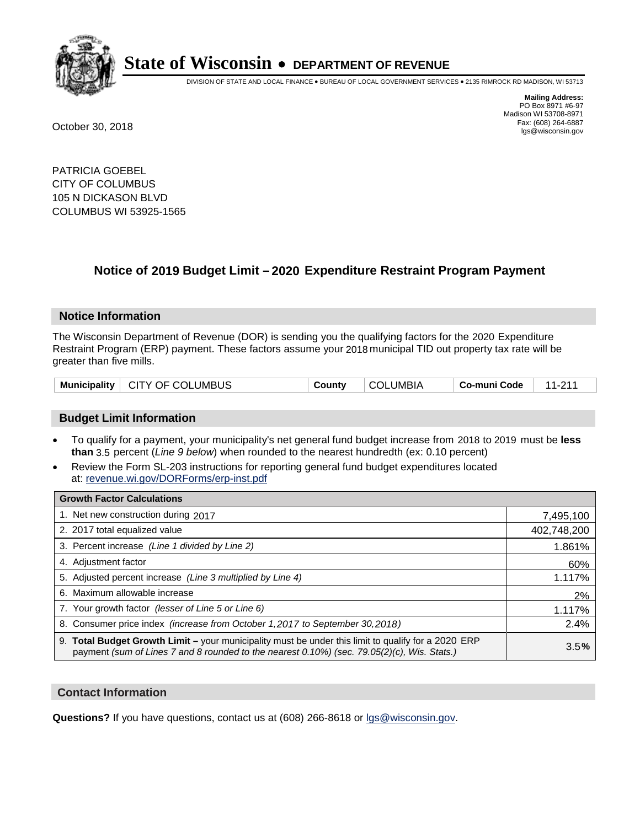

DIVISION OF STATE AND LOCAL FINANCE • BUREAU OF LOCAL GOVERNMENT SERVICES • 2135 RIMROCK RD MADISON, WI 53713

**Mailing Address:** PO Box 8971 #6-97 Madison WI 53708-8971<br>Fax: (608) 264-6887 Fax: (608) 264-6887 October 30, 2018 lgs@wisconsin.gov

PATRICIA GOEBEL CITY OF COLUMBUS 105 N DICKASON BLVD COLUMBUS WI 53925-1565

## **Notice of 2019 Budget Limit - 2020 Expenditure Restraint Program Payment**

#### **Notice Information**

The Wisconsin Department of Revenue (DOR) is sending you the qualifying factors for the 2020 Expenditure Restraint Program (ERP) payment. These factors assume your 2018 municipal TID out property tax rate will be greater than five mills.

| Municipality   CITY OF COLUMBUS | County | <b>COLUMBIA</b> | Co-muni Code | $\frac{1}{2}$ 11.011 |
|---------------------------------|--------|-----------------|--------------|----------------------|
|---------------------------------|--------|-----------------|--------------|----------------------|

#### **Budget Limit Information**

- To qualify for a payment, your municipality's net general fund budget increase from 2018 to 2019 must be less **than** 3.5 percent (*Line 9 below*) when rounded to the nearest hundredth (ex: 0.10 percent)
- Review the Form SL-203 instructions for reporting general fund budget expenditures located at: revenue.wi.gov/DORForms/erp-inst.pdf

| <b>Growth Factor Calculations</b>                                                                                                                                                                      |             |
|--------------------------------------------------------------------------------------------------------------------------------------------------------------------------------------------------------|-------------|
| 1. Net new construction during 2017                                                                                                                                                                    | 7,495,100   |
| 2. 2017 total equalized value                                                                                                                                                                          | 402,748,200 |
| 3. Percent increase (Line 1 divided by Line 2)                                                                                                                                                         | 1.861%      |
| 4. Adjustment factor                                                                                                                                                                                   | 60%         |
| 5. Adjusted percent increase (Line 3 multiplied by Line 4)                                                                                                                                             | 1.117%      |
| 6. Maximum allowable increase                                                                                                                                                                          | 2%          |
| 7. Your growth factor (lesser of Line 5 or Line 6)                                                                                                                                                     | 1.117%      |
| 8. Consumer price index (increase from October 1,2017 to September 30,2018)                                                                                                                            | 2.4%        |
| 9. Total Budget Growth Limit - your municipality must be under this limit to qualify for a 2020 ERP<br>payment (sum of Lines 7 and 8 rounded to the nearest $0.10\%$ ) (sec. 79.05(2)(c), Wis. Stats.) | 3.5%        |

#### **Contact Information**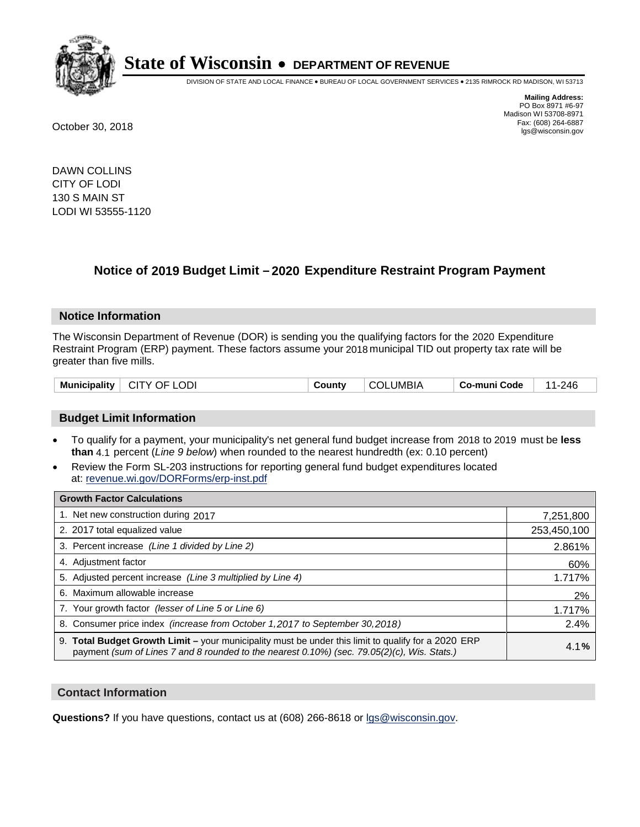

DIVISION OF STATE AND LOCAL FINANCE • BUREAU OF LOCAL GOVERNMENT SERVICES • 2135 RIMROCK RD MADISON, WI 53713

**Mailing Address:** PO Box 8971 #6-97 Madison WI 53708-8971<br>Fax: (608) 264-6887 Fax: (608) 264-6887 October 30, 2018 lgs@wisconsin.gov

DAWN COLLINS CITY OF LODI 130 S MAIN ST LODI WI 53555-1120

### **Notice of 2019 Budget Limit - 2020 Expenditure Restraint Program Payment**

#### **Notice Information**

The Wisconsin Department of Revenue (DOR) is sending you the qualifying factors for the 2020 Expenditure Restraint Program (ERP) payment. These factors assume your 2018 municipal TID out property tax rate will be greater than five mills.

| <b>Municipality</b> | .OD<br><b>CITY</b><br>DF.<br>' ان | ⊶ount∨ | UMBIA | co-muni Code، | .24F<br>- 1 |
|---------------------|-----------------------------------|--------|-------|---------------|-------------|
|---------------------|-----------------------------------|--------|-------|---------------|-------------|

#### **Budget Limit Information**

- To qualify for a payment, your municipality's net general fund budget increase from 2018 to 2019 must be less **than** 4.1 percent (*Line 9 below*) when rounded to the nearest hundredth (ex: 0.10 percent)
- Review the Form SL-203 instructions for reporting general fund budget expenditures located at: revenue.wi.gov/DORForms/erp-inst.pdf

| <b>Growth Factor Calculations</b>                                                                                                                                                                      |             |
|--------------------------------------------------------------------------------------------------------------------------------------------------------------------------------------------------------|-------------|
| 1. Net new construction during 2017                                                                                                                                                                    | 7,251,800   |
| 2. 2017 total equalized value                                                                                                                                                                          | 253,450,100 |
| 3. Percent increase (Line 1 divided by Line 2)                                                                                                                                                         | 2.861%      |
| 4. Adjustment factor                                                                                                                                                                                   | 60%         |
| 5. Adjusted percent increase (Line 3 multiplied by Line 4)                                                                                                                                             | 1.717%      |
| 6. Maximum allowable increase                                                                                                                                                                          | 2%          |
| 7. Your growth factor (lesser of Line 5 or Line 6)                                                                                                                                                     | 1.717%      |
| 8. Consumer price index (increase from October 1,2017 to September 30,2018)                                                                                                                            | 2.4%        |
| 9. Total Budget Growth Limit - your municipality must be under this limit to qualify for a 2020 ERP<br>payment (sum of Lines 7 and 8 rounded to the nearest $0.10\%$ ) (sec. 79.05(2)(c), Wis. Stats.) | 4.1%        |

#### **Contact Information**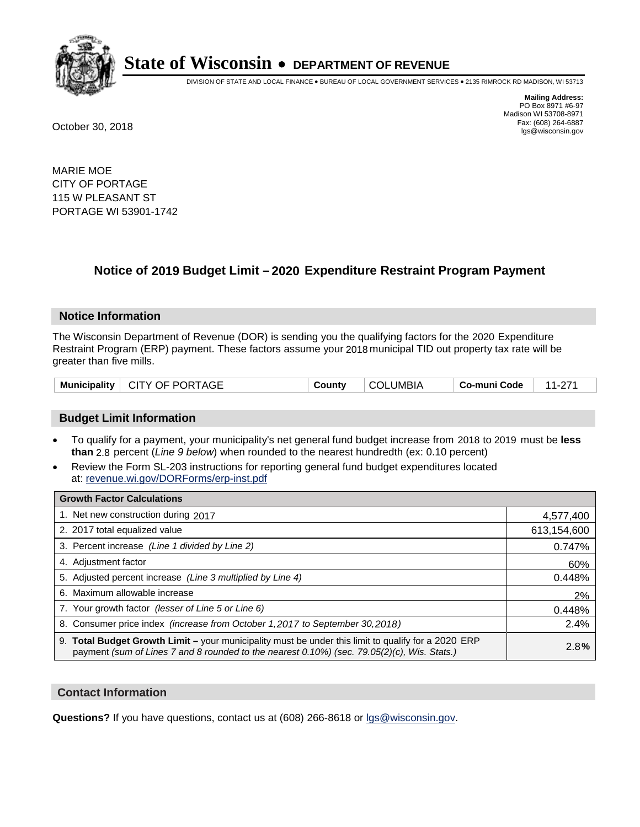

DIVISION OF STATE AND LOCAL FINANCE • BUREAU OF LOCAL GOVERNMENT SERVICES • 2135 RIMROCK RD MADISON, WI 53713

**Mailing Address:** PO Box 8971 #6-97 Madison WI 53708-8971<br>Fax: (608) 264-6887 Fax: (608) 264-6887 October 30, 2018 lgs@wisconsin.gov

MARIE MOE CITY OF PORTAGE 115 W PLEASANT ST PORTAGE WI 53901-1742

### **Notice of 2019 Budget Limit - 2020 Expenditure Restraint Program Payment**

#### **Notice Information**

The Wisconsin Department of Revenue (DOR) is sending you the qualifying factors for the 2020 Expenditure Restraint Program (ERP) payment. These factors assume your 2018 municipal TID out property tax rate will be greater than five mills.

| Municipality   CITY OF PORTAGE | County | <b>COLUMBIA</b> | $\,$ Co-muni Code $\,$   11-271 |  |
|--------------------------------|--------|-----------------|---------------------------------|--|
|--------------------------------|--------|-----------------|---------------------------------|--|

#### **Budget Limit Information**

- To qualify for a payment, your municipality's net general fund budget increase from 2018 to 2019 must be less **than** 2.8 percent (*Line 9 below*) when rounded to the nearest hundredth (ex: 0.10 percent)
- Review the Form SL-203 instructions for reporting general fund budget expenditures located at: revenue.wi.gov/DORForms/erp-inst.pdf

| <b>Growth Factor Calculations</b>                                                                                                                                                                      |             |
|--------------------------------------------------------------------------------------------------------------------------------------------------------------------------------------------------------|-------------|
| 1. Net new construction during 2017                                                                                                                                                                    | 4,577,400   |
| 2. 2017 total equalized value                                                                                                                                                                          | 613,154,600 |
| 3. Percent increase (Line 1 divided by Line 2)                                                                                                                                                         | 0.747%      |
| 4. Adjustment factor                                                                                                                                                                                   | 60%         |
| 5. Adjusted percent increase (Line 3 multiplied by Line 4)                                                                                                                                             | 0.448%      |
| 6. Maximum allowable increase                                                                                                                                                                          | 2%          |
| 7. Your growth factor (lesser of Line 5 or Line 6)                                                                                                                                                     | 0.448%      |
| 8. Consumer price index (increase from October 1, 2017 to September 30, 2018)                                                                                                                          | 2.4%        |
| 9. Total Budget Growth Limit - your municipality must be under this limit to qualify for a 2020 ERP<br>payment (sum of Lines 7 and 8 rounded to the nearest $0.10\%$ ) (sec. 79.05(2)(c), Wis. Stats.) | 2.8%        |

#### **Contact Information**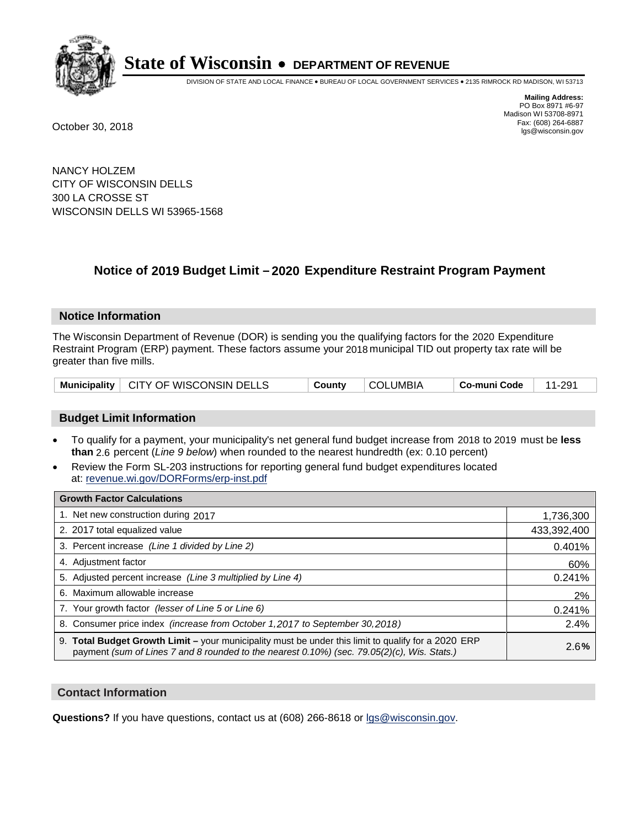

DIVISION OF STATE AND LOCAL FINANCE • BUREAU OF LOCAL GOVERNMENT SERVICES • 2135 RIMROCK RD MADISON, WI 53713

**Mailing Address:** PO Box 8971 #6-97 Madison WI 53708-8971<br>Fax: (608) 264-6887 Fax: (608) 264-6887 October 30, 2018 lgs@wisconsin.gov

NANCY HOLZEM CITY OF WISCONSIN DELLS 300 LA CROSSE ST WISCONSIN DELLS WI 53965-1568

## **Notice of 2019 Budget Limit - 2020 Expenditure Restraint Program Payment**

#### **Notice Information**

The Wisconsin Department of Revenue (DOR) is sending you the qualifying factors for the 2020 Expenditure Restraint Program (ERP) payment. These factors assume your 2018 municipal TID out property tax rate will be greater than five mills.

|  | Municipality   CITY OF WISCONSIN DELLS | County | COLUMBIA | ∣ Co-muni Code | 11-291 |
|--|----------------------------------------|--------|----------|----------------|--------|
|--|----------------------------------------|--------|----------|----------------|--------|

#### **Budget Limit Information**

- To qualify for a payment, your municipality's net general fund budget increase from 2018 to 2019 must be less **than** 2.6 percent (*Line 9 below*) when rounded to the nearest hundredth (ex: 0.10 percent)
- Review the Form SL-203 instructions for reporting general fund budget expenditures located at: revenue.wi.gov/DORForms/erp-inst.pdf

| <b>Growth Factor Calculations</b>                                                                                                                                                                      |             |
|--------------------------------------------------------------------------------------------------------------------------------------------------------------------------------------------------------|-------------|
| 1. Net new construction during 2017                                                                                                                                                                    | 1,736,300   |
| 2. 2017 total equalized value                                                                                                                                                                          | 433,392,400 |
| 3. Percent increase (Line 1 divided by Line 2)                                                                                                                                                         | 0.401%      |
| 4. Adjustment factor                                                                                                                                                                                   | 60%         |
| 5. Adjusted percent increase (Line 3 multiplied by Line 4)                                                                                                                                             | 0.241%      |
| 6. Maximum allowable increase                                                                                                                                                                          | 2%          |
| 7. Your growth factor (lesser of Line 5 or Line 6)                                                                                                                                                     | 0.241%      |
| 8. Consumer price index (increase from October 1,2017 to September 30,2018)                                                                                                                            | 2.4%        |
| 9. Total Budget Growth Limit - your municipality must be under this limit to qualify for a 2020 ERP<br>payment (sum of Lines 7 and 8 rounded to the nearest $0.10\%$ ) (sec. 79.05(2)(c), Wis. Stats.) | 2.6%        |

#### **Contact Information**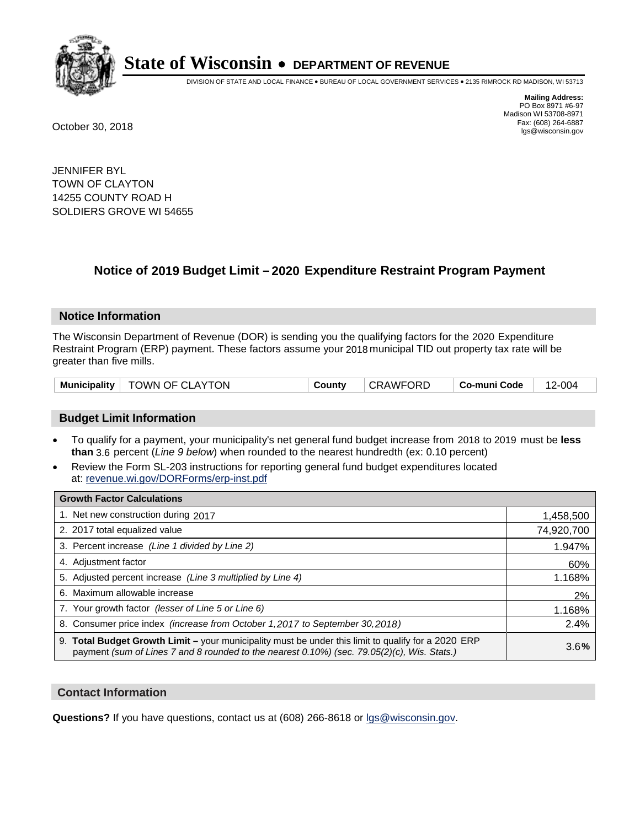

DIVISION OF STATE AND LOCAL FINANCE • BUREAU OF LOCAL GOVERNMENT SERVICES • 2135 RIMROCK RD MADISON, WI 53713

**Mailing Address:** PO Box 8971 #6-97 Madison WI 53708-8971<br>Fax: (608) 264-6887 Fax: (608) 264-6887 October 30, 2018 lgs@wisconsin.gov

JENNIFER BYL TOWN OF CLAYTON 14255 COUNTY ROAD H SOLDIERS GROVE WI 54655

### **Notice of 2019 Budget Limit - 2020 Expenditure Restraint Program Payment**

#### **Notice Information**

The Wisconsin Department of Revenue (DOR) is sending you the qualifying factors for the 2020 Expenditure Restraint Program (ERP) payment. These factors assume your 2018 municipal TID out property tax rate will be greater than five mills.

| Municipality   TOWN OF CLAYTON |  | County | CRAWFORD | ∣ Co-muni Code | 12-004 |
|--------------------------------|--|--------|----------|----------------|--------|
|--------------------------------|--|--------|----------|----------------|--------|

#### **Budget Limit Information**

- To qualify for a payment, your municipality's net general fund budget increase from 2018 to 2019 must be less **than** 3.6 percent (*Line 9 below*) when rounded to the nearest hundredth (ex: 0.10 percent)
- Review the Form SL-203 instructions for reporting general fund budget expenditures located at: revenue.wi.gov/DORForms/erp-inst.pdf

| <b>Growth Factor Calculations</b>                                                                                                                                                                      |            |
|--------------------------------------------------------------------------------------------------------------------------------------------------------------------------------------------------------|------------|
| 1. Net new construction during 2017                                                                                                                                                                    | 1,458,500  |
| 2. 2017 total equalized value                                                                                                                                                                          | 74,920,700 |
| 3. Percent increase (Line 1 divided by Line 2)                                                                                                                                                         | 1.947%     |
| 4. Adjustment factor                                                                                                                                                                                   | 60%        |
| 5. Adjusted percent increase (Line 3 multiplied by Line 4)                                                                                                                                             | 1.168%     |
| 6. Maximum allowable increase                                                                                                                                                                          | 2%         |
| 7. Your growth factor (lesser of Line 5 or Line 6)                                                                                                                                                     | 1.168%     |
| 8. Consumer price index (increase from October 1, 2017 to September 30, 2018)                                                                                                                          | 2.4%       |
| 9. Total Budget Growth Limit - your municipality must be under this limit to qualify for a 2020 ERP<br>payment (sum of Lines 7 and 8 rounded to the nearest $0.10\%$ ) (sec. 79.05(2)(c), Wis. Stats.) | 3.6%       |

#### **Contact Information**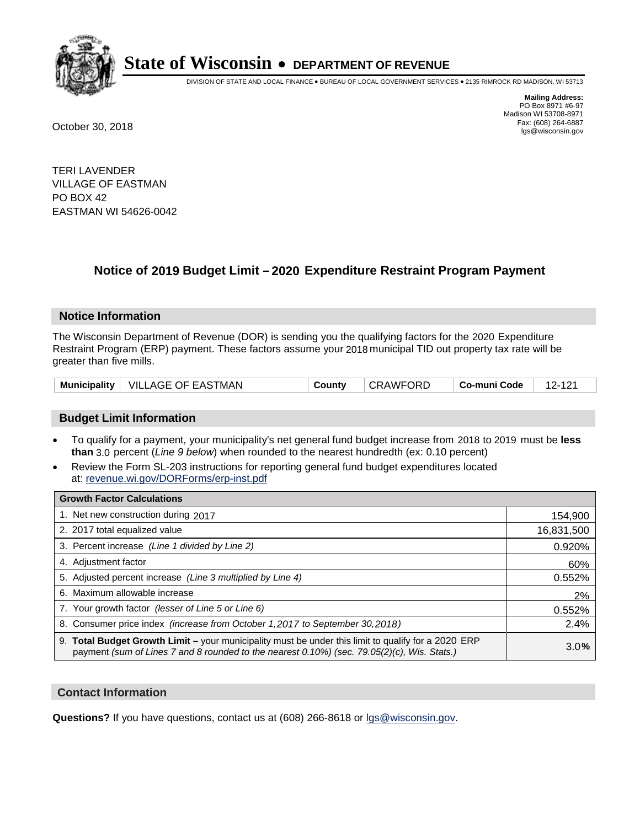

DIVISION OF STATE AND LOCAL FINANCE • BUREAU OF LOCAL GOVERNMENT SERVICES • 2135 RIMROCK RD MADISON, WI 53713

**Mailing Address:** PO Box 8971 #6-97 Madison WI 53708-8971<br>Fax: (608) 264-6887 Fax: (608) 264-6887 October 30, 2018 lgs@wisconsin.gov

TERI LAVENDER VILLAGE OF EASTMAN PO BOX 42 EASTMAN WI 54626-0042

## **Notice of 2019 Budget Limit - 2020 Expenditure Restraint Program Payment**

#### **Notice Information**

The Wisconsin Department of Revenue (DOR) is sending you the qualifying factors for the 2020 Expenditure Restraint Program (ERP) payment. These factors assume your 2018 municipal TID out property tax rate will be greater than five mills.

| <b>Municipality</b> | └ VILLAGE OF EASTMAN | County | <b>CRAWFORD</b> | Co-muni Code | $\sim$ |
|---------------------|----------------------|--------|-----------------|--------------|--------|
|---------------------|----------------------|--------|-----------------|--------------|--------|

#### **Budget Limit Information**

- To qualify for a payment, your municipality's net general fund budget increase from 2018 to 2019 must be less **than** 3.0 percent (*Line 9 below*) when rounded to the nearest hundredth (ex: 0.10 percent)
- Review the Form SL-203 instructions for reporting general fund budget expenditures located at: revenue.wi.gov/DORForms/erp-inst.pdf

| <b>Growth Factor Calculations</b>                                                                                                                                                                      |            |
|--------------------------------------------------------------------------------------------------------------------------------------------------------------------------------------------------------|------------|
| 1. Net new construction during 2017                                                                                                                                                                    | 154,900    |
| 2. 2017 total equalized value                                                                                                                                                                          | 16,831,500 |
| 3. Percent increase (Line 1 divided by Line 2)                                                                                                                                                         | 0.920%     |
| 4. Adjustment factor                                                                                                                                                                                   | 60%        |
| 5. Adjusted percent increase (Line 3 multiplied by Line 4)                                                                                                                                             | 0.552%     |
| 6. Maximum allowable increase                                                                                                                                                                          | 2%         |
| 7. Your growth factor (lesser of Line 5 or Line 6)                                                                                                                                                     | 0.552%     |
| 8. Consumer price index (increase from October 1,2017 to September 30,2018)                                                                                                                            | 2.4%       |
| 9. Total Budget Growth Limit - your municipality must be under this limit to qualify for a 2020 ERP<br>payment (sum of Lines 7 and 8 rounded to the nearest $0.10\%$ ) (sec. 79.05(2)(c), Wis. Stats.) | 3.0%       |

#### **Contact Information**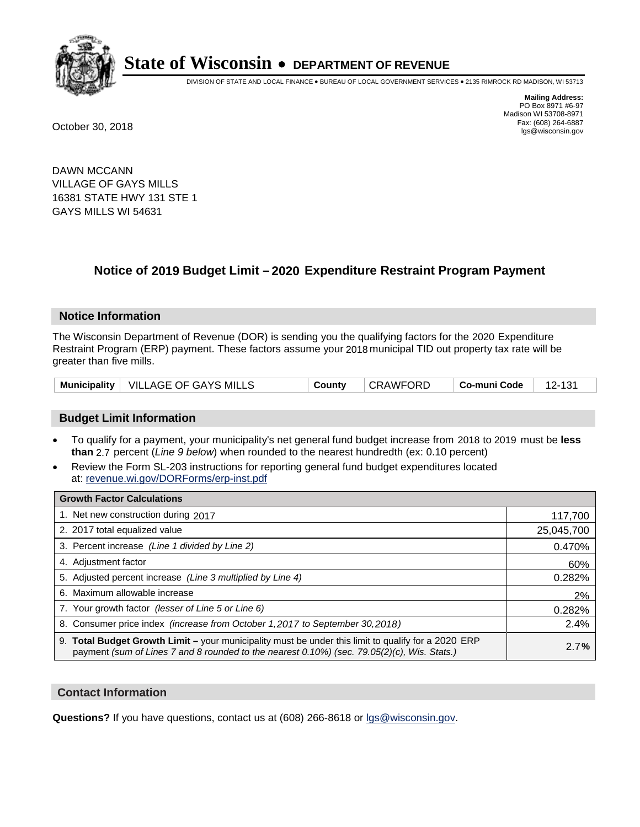

DIVISION OF STATE AND LOCAL FINANCE • BUREAU OF LOCAL GOVERNMENT SERVICES • 2135 RIMROCK RD MADISON, WI 53713

**Mailing Address:** PO Box 8971 #6-97 Madison WI 53708-8971<br>Fax: (608) 264-6887 Fax: (608) 264-6887 October 30, 2018 lgs@wisconsin.gov

DAWN MCCANN VILLAGE OF GAYS MILLS 16381 STATE HWY 131 STE 1 GAYS MILLS WI 54631

## **Notice of 2019 Budget Limit - 2020 Expenditure Restraint Program Payment**

#### **Notice Information**

The Wisconsin Department of Revenue (DOR) is sending you the qualifying factors for the 2020 Expenditure Restraint Program (ERP) payment. These factors assume your 2018 municipal TID out property tax rate will be greater than five mills.

|  | Municipality   VILLAGE OF GAYS MILLS | County | <b>CRAWFORD</b> | ∣ Co-muni Code | 12-131 |
|--|--------------------------------------|--------|-----------------|----------------|--------|
|--|--------------------------------------|--------|-----------------|----------------|--------|

#### **Budget Limit Information**

- To qualify for a payment, your municipality's net general fund budget increase from 2018 to 2019 must be less **than** 2.7 percent (*Line 9 below*) when rounded to the nearest hundredth (ex: 0.10 percent)
- Review the Form SL-203 instructions for reporting general fund budget expenditures located at: revenue.wi.gov/DORForms/erp-inst.pdf

| <b>Growth Factor Calculations</b>                                                                                                                                                                  |            |
|----------------------------------------------------------------------------------------------------------------------------------------------------------------------------------------------------|------------|
| 1. Net new construction during 2017                                                                                                                                                                | 117,700    |
| 2. 2017 total equalized value                                                                                                                                                                      | 25,045,700 |
| 3. Percent increase (Line 1 divided by Line 2)                                                                                                                                                     | 0.470%     |
| 4. Adjustment factor                                                                                                                                                                               | 60%        |
| 5. Adjusted percent increase (Line 3 multiplied by Line 4)                                                                                                                                         | 0.282%     |
| 6. Maximum allowable increase                                                                                                                                                                      | 2%         |
| 7. Your growth factor (lesser of Line 5 or Line 6)                                                                                                                                                 | 0.282%     |
| 8. Consumer price index (increase from October 1, 2017 to September 30, 2018)                                                                                                                      | 2.4%       |
| 9. Total Budget Growth Limit - your municipality must be under this limit to qualify for a 2020 ERP<br>payment (sum of Lines 7 and 8 rounded to the nearest 0.10%) (sec. 79.05(2)(c), Wis. Stats.) | 2.7%       |

#### **Contact Information**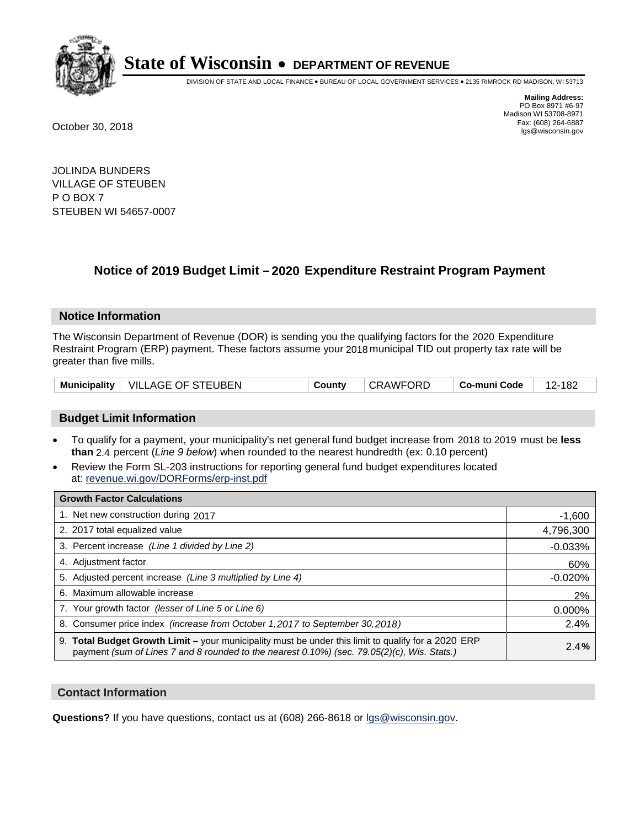

DIVISION OF STATE AND LOCAL FINANCE • BUREAU OF LOCAL GOVERNMENT SERVICES • 2135 RIMROCK RD MADISON, WI 53713

**Mailing Address:** PO Box 8971 #6-97 Madison WI 53708-8971<br>Fax: (608) 264-6887 Fax: (608) 264-6887 October 30, 2018 lgs@wisconsin.gov

JOLINDA BUNDERS VILLAGE OF STEUBEN P O BOX 7 STEUBEN WI 54657-0007

## **Notice of 2019 Budget Limit - 2020 Expenditure Restraint Program Payment**

#### **Notice Information**

The Wisconsin Department of Revenue (DOR) is sending you the qualifying factors for the 2020 Expenditure Restraint Program (ERP) payment. These factors assume your 2018 municipal TID out property tax rate will be greater than five mills.

|  | Municipality   VILLAGE OF STEUBEN | County | CRAWFORD | Co-muni Code | ·182 |
|--|-----------------------------------|--------|----------|--------------|------|
|--|-----------------------------------|--------|----------|--------------|------|

#### **Budget Limit Information**

- To qualify for a payment, your municipality's net general fund budget increase from 2018 to 2019 must be less **than** 2.4 percent (*Line 9 below*) when rounded to the nearest hundredth (ex: 0.10 percent)
- Review the Form SL-203 instructions for reporting general fund budget expenditures located at: revenue.wi.gov/DORForms/erp-inst.pdf

| <b>Growth Factor Calculations</b>                                                                                                                                                                      |           |
|--------------------------------------------------------------------------------------------------------------------------------------------------------------------------------------------------------|-----------|
| 1. Net new construction during 2017                                                                                                                                                                    | $-1,600$  |
| 2. 2017 total equalized value                                                                                                                                                                          | 4,796,300 |
| 3. Percent increase (Line 1 divided by Line 2)                                                                                                                                                         | $-0.033%$ |
| 4. Adjustment factor                                                                                                                                                                                   | 60%       |
| 5. Adjusted percent increase (Line 3 multiplied by Line 4)                                                                                                                                             | $-0.020%$ |
| 6. Maximum allowable increase                                                                                                                                                                          | 2%        |
| 7. Your growth factor (lesser of Line 5 or Line 6)                                                                                                                                                     | 0.000%    |
| 8. Consumer price index (increase from October 1,2017 to September 30,2018)                                                                                                                            | 2.4%      |
| 9. Total Budget Growth Limit - your municipality must be under this limit to qualify for a 2020 ERP<br>payment (sum of Lines 7 and 8 rounded to the nearest $0.10\%$ ) (sec. 79.05(2)(c), Wis. Stats.) | 2.4%      |

#### **Contact Information**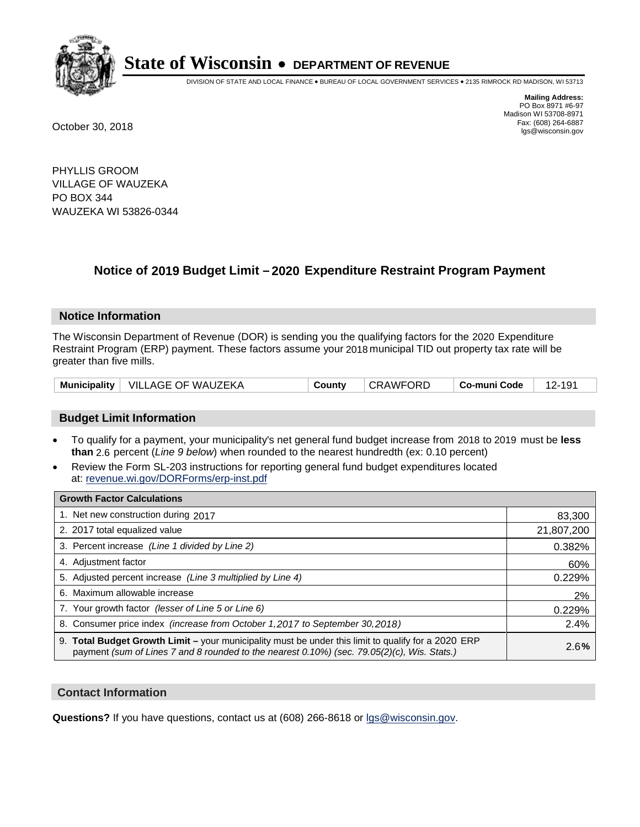

DIVISION OF STATE AND LOCAL FINANCE • BUREAU OF LOCAL GOVERNMENT SERVICES • 2135 RIMROCK RD MADISON, WI 53713

**Mailing Address:** PO Box 8971 #6-97 Madison WI 53708-8971<br>Fax: (608) 264-6887 Fax: (608) 264-6887 October 30, 2018 lgs@wisconsin.gov

PHYLLIS GROOM VILLAGE OF WAUZEKA PO BOX 344 WAUZEKA WI 53826-0344

## **Notice of 2019 Budget Limit - 2020 Expenditure Restraint Program Payment**

#### **Notice Information**

The Wisconsin Department of Revenue (DOR) is sending you the qualifying factors for the 2020 Expenditure Restraint Program (ERP) payment. These factors assume your 2018 municipal TID out property tax rate will be greater than five mills.

| <b>Municipality</b> | ∣ VILLAGE OF WAUZEKA | County | <b>CRAWFC</b><br>ORD. | Co-muni Code |  |
|---------------------|----------------------|--------|-----------------------|--------------|--|
|---------------------|----------------------|--------|-----------------------|--------------|--|

#### **Budget Limit Information**

- To qualify for a payment, your municipality's net general fund budget increase from 2018 to 2019 must be less **than** 2.6 percent (*Line 9 below*) when rounded to the nearest hundredth (ex: 0.10 percent)
- Review the Form SL-203 instructions for reporting general fund budget expenditures located at: revenue.wi.gov/DORForms/erp-inst.pdf

| <b>Growth Factor Calculations</b>                                                                                                                                                                      |            |
|--------------------------------------------------------------------------------------------------------------------------------------------------------------------------------------------------------|------------|
| 1. Net new construction during 2017                                                                                                                                                                    | 83,300     |
| 2. 2017 total equalized value                                                                                                                                                                          | 21,807,200 |
| 3. Percent increase (Line 1 divided by Line 2)                                                                                                                                                         | 0.382%     |
| 4. Adjustment factor                                                                                                                                                                                   | 60%        |
| 5. Adjusted percent increase (Line 3 multiplied by Line 4)                                                                                                                                             | 0.229%     |
| 6. Maximum allowable increase                                                                                                                                                                          | 2%         |
| 7. Your growth factor (lesser of Line 5 or Line 6)                                                                                                                                                     | 0.229%     |
| 8. Consumer price index (increase from October 1,2017 to September 30,2018)                                                                                                                            | 2.4%       |
| 9. Total Budget Growth Limit - your municipality must be under this limit to qualify for a 2020 ERP<br>payment (sum of Lines 7 and 8 rounded to the nearest $0.10\%$ ) (sec. 79.05(2)(c), Wis. Stats.) | 2.6%       |

#### **Contact Information**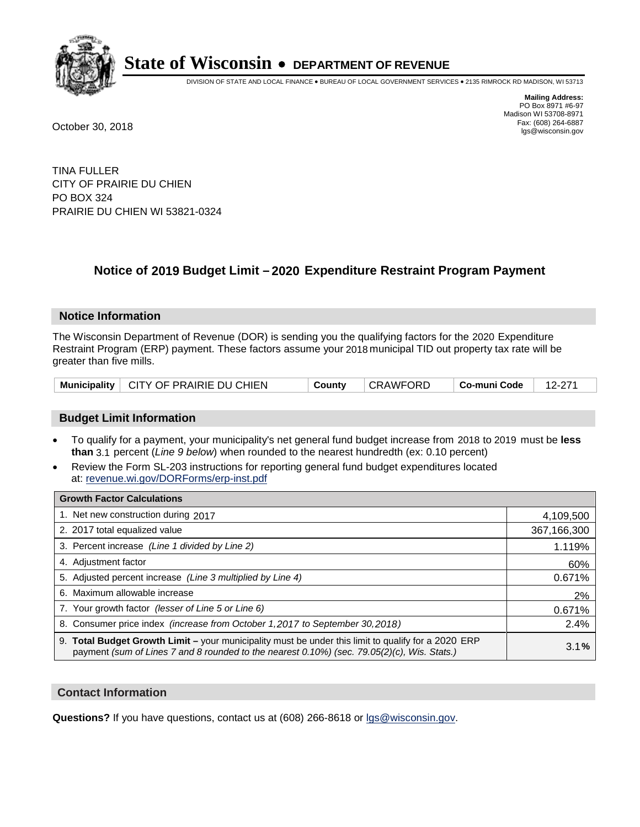

DIVISION OF STATE AND LOCAL FINANCE • BUREAU OF LOCAL GOVERNMENT SERVICES • 2135 RIMROCK RD MADISON, WI 53713

**Mailing Address:** PO Box 8971 #6-97 Madison WI 53708-8971<br>Fax: (608) 264-6887 Fax: (608) 264-6887 October 30, 2018 lgs@wisconsin.gov

TINA FULLER CITY OF PRAIRIE DU CHIEN PO BOX 324 PRAIRIE DU CHIEN WI 53821-0324

## **Notice of 2019 Budget Limit - 2020 Expenditure Restraint Program Payment**

#### **Notice Information**

The Wisconsin Department of Revenue (DOR) is sending you the qualifying factors for the 2020 Expenditure Restraint Program (ERP) payment. These factors assume your 2018 municipal TID out property tax rate will be greater than five mills.

|  | Municipality   CITY OF PRAIRIE DU CHIEN | County | CRAWFORD | ∣ Co-muni Code ∣ | 12-271 |
|--|-----------------------------------------|--------|----------|------------------|--------|
|--|-----------------------------------------|--------|----------|------------------|--------|

#### **Budget Limit Information**

- To qualify for a payment, your municipality's net general fund budget increase from 2018 to 2019 must be less **than** 3.1 percent (*Line 9 below*) when rounded to the nearest hundredth (ex: 0.10 percent)
- Review the Form SL-203 instructions for reporting general fund budget expenditures located at: revenue.wi.gov/DORForms/erp-inst.pdf

| <b>Growth Factor Calculations</b>                                                                                                                                                                      |             |
|--------------------------------------------------------------------------------------------------------------------------------------------------------------------------------------------------------|-------------|
| 1. Net new construction during 2017                                                                                                                                                                    | 4,109,500   |
| 2. 2017 total equalized value                                                                                                                                                                          | 367,166,300 |
| 3. Percent increase (Line 1 divided by Line 2)                                                                                                                                                         | 1.119%      |
| 4. Adjustment factor                                                                                                                                                                                   | 60%         |
| 5. Adjusted percent increase (Line 3 multiplied by Line 4)                                                                                                                                             | 0.671%      |
| 6. Maximum allowable increase                                                                                                                                                                          | 2%          |
| 7. Your growth factor (lesser of Line 5 or Line 6)                                                                                                                                                     | 0.671%      |
| 8. Consumer price index (increase from October 1, 2017 to September 30, 2018)                                                                                                                          | 2.4%        |
| 9. Total Budget Growth Limit - your municipality must be under this limit to qualify for a 2020 ERP<br>payment (sum of Lines 7 and 8 rounded to the nearest $0.10\%$ ) (sec. 79.05(2)(c), Wis. Stats.) | 3.1%        |

#### **Contact Information**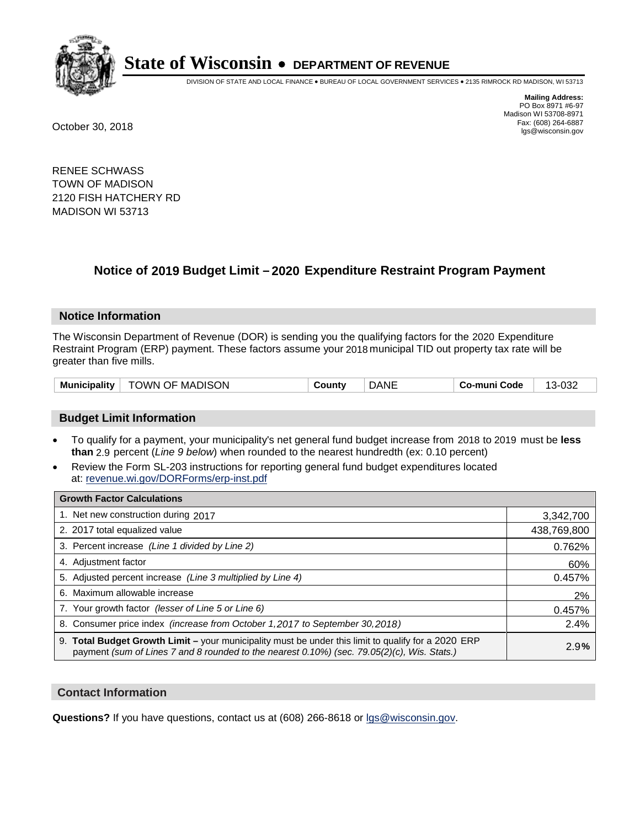

DIVISION OF STATE AND LOCAL FINANCE • BUREAU OF LOCAL GOVERNMENT SERVICES • 2135 RIMROCK RD MADISON, WI 53713

**Mailing Address:** PO Box 8971 #6-97 Madison WI 53708-8971<br>Fax: (608) 264-6887 Fax: (608) 264-6887 October 30, 2018 lgs@wisconsin.gov

RENEE SCHWASS TOWN OF MADISON 2120 FISH HATCHERY RD MADISON WI 53713

## **Notice of 2019 Budget Limit - 2020 Expenditure Restraint Program Payment**

#### **Notice Information**

The Wisconsin Department of Revenue (DOR) is sending you the qualifying factors for the 2020 Expenditure Restraint Program (ERP) payment. These factors assume your 2018 municipal TID out property tax rate will be greater than five mills.

| TOWN OF MADISON | <b>DANE</b> | 13-032       |
|-----------------|-------------|--------------|
| Municipality    | County      | Co-muni Code |

#### **Budget Limit Information**

- To qualify for a payment, your municipality's net general fund budget increase from 2018 to 2019 must be less **than** 2.9 percent (*Line 9 below*) when rounded to the nearest hundredth (ex: 0.10 percent)
- Review the Form SL-203 instructions for reporting general fund budget expenditures located at: revenue.wi.gov/DORForms/erp-inst.pdf

| <b>Growth Factor Calculations</b>                                                                                                                                                                      |             |
|--------------------------------------------------------------------------------------------------------------------------------------------------------------------------------------------------------|-------------|
| 1. Net new construction during 2017                                                                                                                                                                    | 3,342,700   |
| 2. 2017 total equalized value                                                                                                                                                                          | 438,769,800 |
| 3. Percent increase (Line 1 divided by Line 2)                                                                                                                                                         | 0.762%      |
| 4. Adjustment factor                                                                                                                                                                                   | 60%         |
| 5. Adjusted percent increase (Line 3 multiplied by Line 4)                                                                                                                                             | 0.457%      |
| 6. Maximum allowable increase                                                                                                                                                                          | 2%          |
| 7. Your growth factor (lesser of Line 5 or Line 6)                                                                                                                                                     | 0.457%      |
| 8. Consumer price index (increase from October 1,2017 to September 30,2018)                                                                                                                            | 2.4%        |
| 9. Total Budget Growth Limit - your municipality must be under this limit to qualify for a 2020 ERP<br>payment (sum of Lines 7 and 8 rounded to the nearest $0.10\%$ ) (sec. 79.05(2)(c), Wis. Stats.) | 2.9%        |

#### **Contact Information**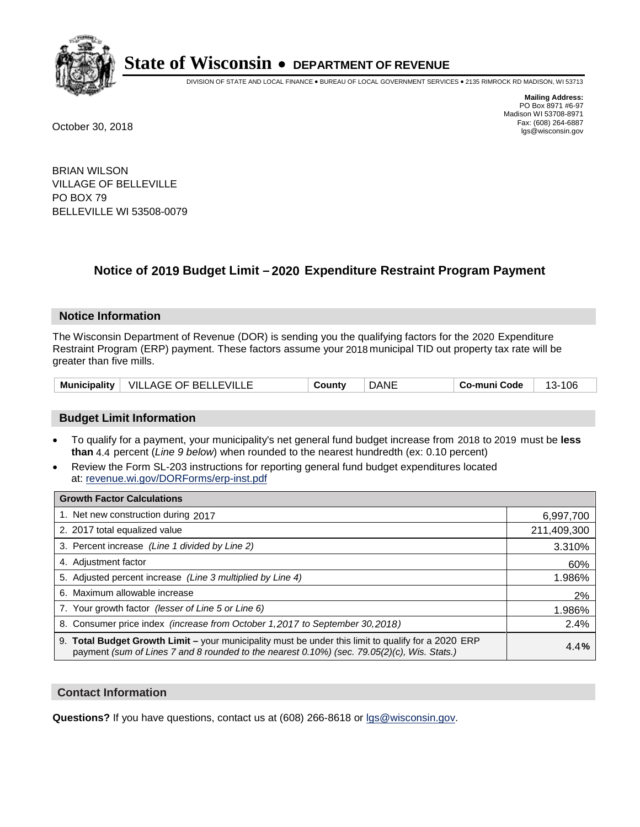

DIVISION OF STATE AND LOCAL FINANCE • BUREAU OF LOCAL GOVERNMENT SERVICES • 2135 RIMROCK RD MADISON, WI 53713

**Mailing Address:** PO Box 8971 #6-97 Madison WI 53708-8971<br>Fax: (608) 264-6887 Fax: (608) 264-6887 October 30, 2018 lgs@wisconsin.gov

BRIAN WILSON VILLAGE OF BELLEVILLE PO BOX 79 BELLEVILLE WI 53508-0079

### **Notice of 2019 Budget Limit - 2020 Expenditure Restraint Program Payment**

#### **Notice Information**

The Wisconsin Department of Revenue (DOR) is sending you the qualifying factors for the 2020 Expenditure Restraint Program (ERP) payment. These factors assume your 2018 municipal TID out property tax rate will be greater than five mills.

| Municipality | VILLAGE OF BELLEVILLE | ∟ount∨ | Dani | o-muni Codeٽ | 06<br>. . |
|--------------|-----------------------|--------|------|--------------|-----------|
|--------------|-----------------------|--------|------|--------------|-----------|

#### **Budget Limit Information**

- To qualify for a payment, your municipality's net general fund budget increase from 2018 to 2019 must be less **than** 4.4 percent (*Line 9 below*) when rounded to the nearest hundredth (ex: 0.10 percent)
- Review the Form SL-203 instructions for reporting general fund budget expenditures located at: revenue.wi.gov/DORForms/erp-inst.pdf

| <b>Growth Factor Calculations</b>                                                                                                                                                                      |             |
|--------------------------------------------------------------------------------------------------------------------------------------------------------------------------------------------------------|-------------|
| 1. Net new construction during 2017                                                                                                                                                                    | 6,997,700   |
| 2. 2017 total equalized value                                                                                                                                                                          | 211,409,300 |
| 3. Percent increase (Line 1 divided by Line 2)                                                                                                                                                         | 3.310%      |
| 4. Adjustment factor                                                                                                                                                                                   | 60%         |
| 5. Adjusted percent increase (Line 3 multiplied by Line 4)                                                                                                                                             | 1.986%      |
| 6. Maximum allowable increase                                                                                                                                                                          | 2%          |
| 7. Your growth factor (lesser of Line 5 or Line 6)                                                                                                                                                     | 1.986%      |
| 8. Consumer price index (increase from October 1,2017 to September 30,2018)                                                                                                                            | 2.4%        |
| 9. Total Budget Growth Limit - your municipality must be under this limit to qualify for a 2020 ERP<br>payment (sum of Lines 7 and 8 rounded to the nearest $0.10\%$ ) (sec. 79.05(2)(c), Wis. Stats.) | 4.4%        |

#### **Contact Information**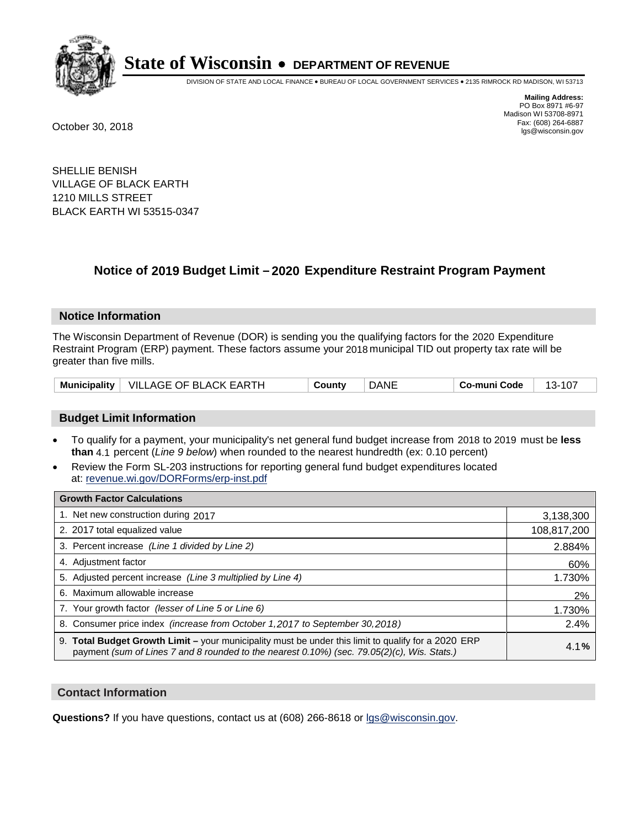

DIVISION OF STATE AND LOCAL FINANCE • BUREAU OF LOCAL GOVERNMENT SERVICES • 2135 RIMROCK RD MADISON, WI 53713

**Mailing Address:** PO Box 8971 #6-97 Madison WI 53708-8971<br>Fax: (608) 264-6887 Fax: (608) 264-6887 October 30, 2018 lgs@wisconsin.gov

SHELLIE BENISH VILLAGE OF BLACK EARTH 1210 MILLS STREET BLACK EARTH WI 53515-0347

## **Notice of 2019 Budget Limit - 2020 Expenditure Restraint Program Payment**

#### **Notice Information**

The Wisconsin Department of Revenue (DOR) is sending you the qualifying factors for the 2020 Expenditure Restraint Program (ERP) payment. These factors assume your 2018 municipal TID out property tax rate will be greater than five mills.

|  | Municipality   VILLAGE OF BLACK EARTH | County | DANE | Co-muni Code | $\cdot$ 107<br>$13-$ |
|--|---------------------------------------|--------|------|--------------|----------------------|
|--|---------------------------------------|--------|------|--------------|----------------------|

#### **Budget Limit Information**

- To qualify for a payment, your municipality's net general fund budget increase from 2018 to 2019 must be less **than** 4.1 percent (*Line 9 below*) when rounded to the nearest hundredth (ex: 0.10 percent)
- Review the Form SL-203 instructions for reporting general fund budget expenditures located at: revenue.wi.gov/DORForms/erp-inst.pdf

| <b>Growth Factor Calculations</b>                                                                                                                                                                      |             |
|--------------------------------------------------------------------------------------------------------------------------------------------------------------------------------------------------------|-------------|
| 1. Net new construction during 2017                                                                                                                                                                    | 3,138,300   |
| 2. 2017 total equalized value                                                                                                                                                                          | 108,817,200 |
| 3. Percent increase (Line 1 divided by Line 2)                                                                                                                                                         | 2.884%      |
| 4. Adjustment factor                                                                                                                                                                                   | 60%         |
| 5. Adjusted percent increase (Line 3 multiplied by Line 4)                                                                                                                                             | 1.730%      |
| 6. Maximum allowable increase                                                                                                                                                                          | 2%          |
| 7. Your growth factor (lesser of Line 5 or Line 6)                                                                                                                                                     | 1.730%      |
| 8. Consumer price index (increase from October 1,2017 to September 30,2018)                                                                                                                            | 2.4%        |
| 9. Total Budget Growth Limit - your municipality must be under this limit to qualify for a 2020 ERP<br>payment (sum of Lines 7 and 8 rounded to the nearest $0.10\%$ ) (sec. 79.05(2)(c), Wis. Stats.) | 4.1%        |

#### **Contact Information**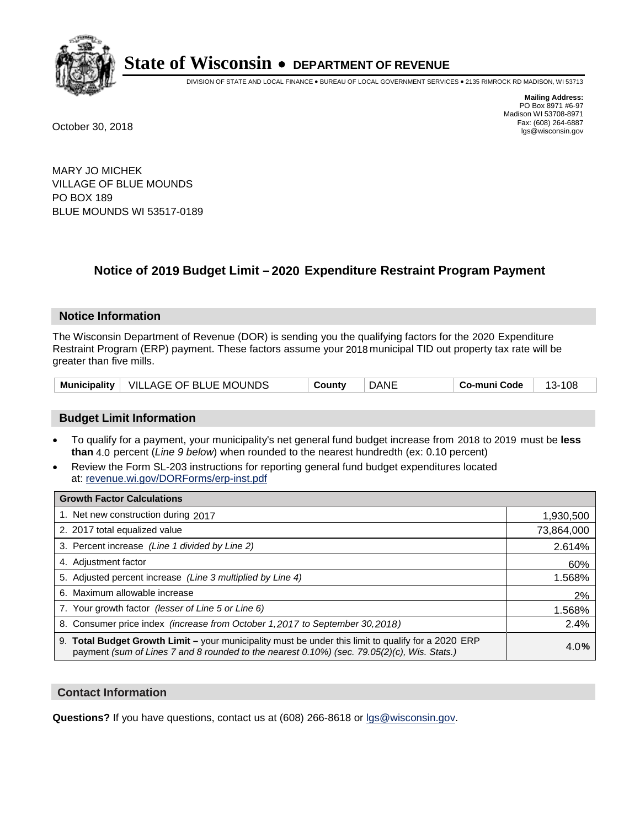

DIVISION OF STATE AND LOCAL FINANCE • BUREAU OF LOCAL GOVERNMENT SERVICES • 2135 RIMROCK RD MADISON, WI 53713

**Mailing Address:** PO Box 8971 #6-97 Madison WI 53708-8971<br>Fax: (608) 264-6887 Fax: (608) 264-6887 October 30, 2018 lgs@wisconsin.gov

MARY JO MICHEK VILLAGE OF BLUE MOUNDS PO BOX 189 BLUE MOUNDS WI 53517-0189

### **Notice of 2019 Budget Limit - 2020 Expenditure Restraint Program Payment**

#### **Notice Information**

The Wisconsin Department of Revenue (DOR) is sending you the qualifying factors for the 2020 Expenditure Restraint Program (ERP) payment. These factors assume your 2018 municipal TID out property tax rate will be greater than five mills.

|  | Municipality   VILLAGE OF BLUE MOUNDS | County | <b>DANE</b> | Co-muni Code | 108<br>-13- . |
|--|---------------------------------------|--------|-------------|--------------|---------------|
|--|---------------------------------------|--------|-------------|--------------|---------------|

#### **Budget Limit Information**

- To qualify for a payment, your municipality's net general fund budget increase from 2018 to 2019 must be less **than** 4.0 percent (*Line 9 below*) when rounded to the nearest hundredth (ex: 0.10 percent)
- Review the Form SL-203 instructions for reporting general fund budget expenditures located at: revenue.wi.gov/DORForms/erp-inst.pdf

| <b>Growth Factor Calculations</b>                                                                                                                                                                      |            |
|--------------------------------------------------------------------------------------------------------------------------------------------------------------------------------------------------------|------------|
| 1. Net new construction during 2017                                                                                                                                                                    | 1,930,500  |
| 2. 2017 total equalized value                                                                                                                                                                          | 73,864,000 |
| 3. Percent increase (Line 1 divided by Line 2)                                                                                                                                                         | 2.614%     |
| 4. Adjustment factor                                                                                                                                                                                   | 60%        |
| 5. Adjusted percent increase (Line 3 multiplied by Line 4)                                                                                                                                             | 1.568%     |
| 6. Maximum allowable increase                                                                                                                                                                          | 2%         |
| 7. Your growth factor (lesser of Line 5 or Line 6)                                                                                                                                                     | 1.568%     |
| 8. Consumer price index (increase from October 1,2017 to September 30,2018)                                                                                                                            | 2.4%       |
| 9. Total Budget Growth Limit - your municipality must be under this limit to qualify for a 2020 ERP<br>payment (sum of Lines 7 and 8 rounded to the nearest $0.10\%$ ) (sec. 79.05(2)(c), Wis. Stats.) | 4.0%       |

#### **Contact Information**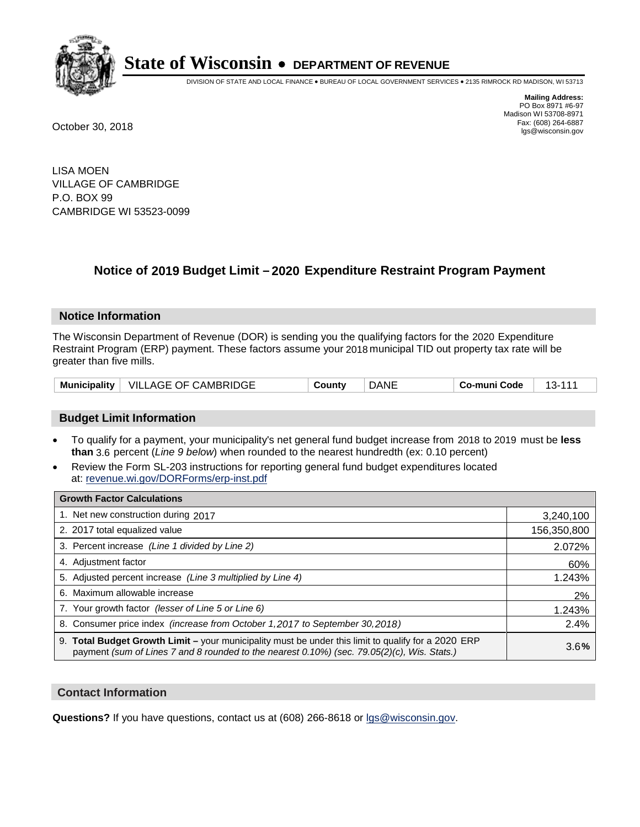

DIVISION OF STATE AND LOCAL FINANCE • BUREAU OF LOCAL GOVERNMENT SERVICES • 2135 RIMROCK RD MADISON, WI 53713

**Mailing Address:** PO Box 8971 #6-97 Madison WI 53708-8971<br>Fax: (608) 264-6887 Fax: (608) 264-6887 October 30, 2018 lgs@wisconsin.gov

LISA MOEN VILLAGE OF CAMBRIDGE P.O. BOX 99 CAMBRIDGE WI 53523-0099

### **Notice of 2019 Budget Limit - 2020 Expenditure Restraint Program Payment**

#### **Notice Information**

The Wisconsin Department of Revenue (DOR) is sending you the qualifying factors for the 2020 Expenditure Restraint Program (ERP) payment. These factors assume your 2018 municipal TID out property tax rate will be greater than five mills.

| Municipality $ $ | VILLAGE OF CAMBRIDGE | `ountv | DANE | Co-muni Code |  |
|------------------|----------------------|--------|------|--------------|--|
|------------------|----------------------|--------|------|--------------|--|

#### **Budget Limit Information**

- To qualify for a payment, your municipality's net general fund budget increase from 2018 to 2019 must be less **than** 3.6 percent (*Line 9 below*) when rounded to the nearest hundredth (ex: 0.10 percent)
- Review the Form SL-203 instructions for reporting general fund budget expenditures located at: revenue.wi.gov/DORForms/erp-inst.pdf

| <b>Growth Factor Calculations</b>                                                                                                                                                                      |             |
|--------------------------------------------------------------------------------------------------------------------------------------------------------------------------------------------------------|-------------|
| 1. Net new construction during 2017                                                                                                                                                                    | 3,240,100   |
| 2. 2017 total equalized value                                                                                                                                                                          | 156,350,800 |
| 3. Percent increase (Line 1 divided by Line 2)                                                                                                                                                         | 2.072%      |
| 4. Adjustment factor                                                                                                                                                                                   | 60%         |
| 5. Adjusted percent increase (Line 3 multiplied by Line 4)                                                                                                                                             | 1.243%      |
| 6. Maximum allowable increase                                                                                                                                                                          | 2%          |
| 7. Your growth factor (lesser of Line 5 or Line 6)                                                                                                                                                     | 1.243%      |
| 8. Consumer price index (increase from October 1,2017 to September 30,2018)                                                                                                                            | 2.4%        |
| 9. Total Budget Growth Limit - your municipality must be under this limit to qualify for a 2020 ERP<br>payment (sum of Lines 7 and 8 rounded to the nearest $0.10\%$ ) (sec. 79.05(2)(c), Wis. Stats.) | 3.6%        |

#### **Contact Information**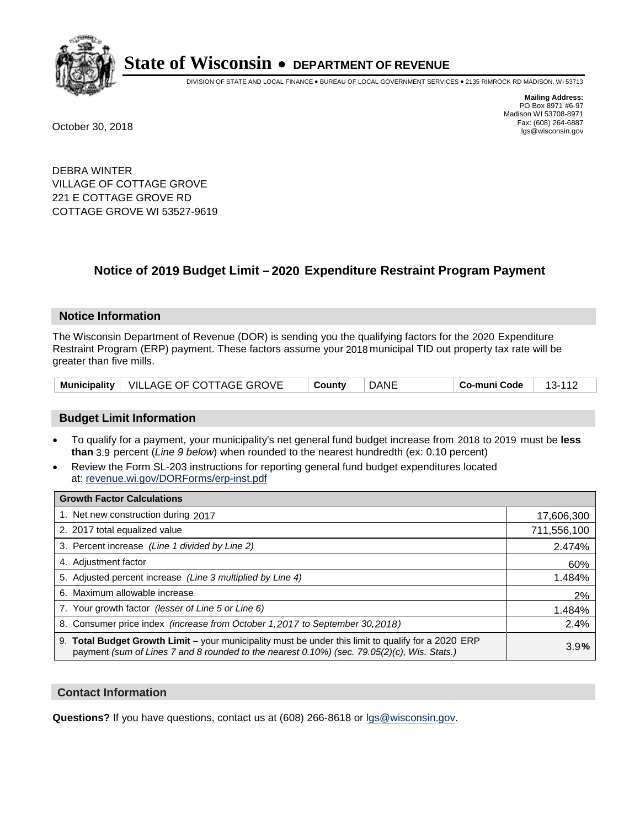

DIVISION OF STATE AND LOCAL FINANCE • BUREAU OF LOCAL GOVERNMENT SERVICES • 2135 RIMROCK RD MADISON, WI 53713

**Mailing Address:** PO Box 8971 #6-97 Madison WI 53708-8971<br>Fax: (608) 264-6887 Fax: (608) 264-6887 October 30, 2018 lgs@wisconsin.gov

DEBRA WINTER VILLAGE OF COTTAGE GROVE 221 E COTTAGE GROVE RD COTTAGE GROVE WI 53527-9619

### **Notice of 2019 Budget Limit - 2020 Expenditure Restraint Program Payment**

#### **Notice Information**

The Wisconsin Department of Revenue (DOR) is sending you the qualifying factors for the 2020 Expenditure Restraint Program (ERP) payment. These factors assume your 2018 municipal TID out property tax rate will be greater than five mills.

|  | Municipality   VILLAGE OF COTTAGE GROVE | County | <b>DANE</b> | Co-muni Code | 13-112 |
|--|-----------------------------------------|--------|-------------|--------------|--------|
|--|-----------------------------------------|--------|-------------|--------------|--------|

#### **Budget Limit Information**

- To qualify for a payment, your municipality's net general fund budget increase from 2018 to 2019 must be less **than** 3.9 percent (*Line 9 below*) when rounded to the nearest hundredth (ex: 0.10 percent)
- Review the Form SL-203 instructions for reporting general fund budget expenditures located at: revenue.wi.gov/DORForms/erp-inst.pdf

| <b>Growth Factor Calculations</b>                                                                                                                                                                  |             |
|----------------------------------------------------------------------------------------------------------------------------------------------------------------------------------------------------|-------------|
| 1. Net new construction during 2017                                                                                                                                                                | 17,606,300  |
| 2. 2017 total equalized value                                                                                                                                                                      | 711,556,100 |
| 3. Percent increase (Line 1 divided by Line 2)                                                                                                                                                     | 2.474%      |
| 4. Adjustment factor                                                                                                                                                                               | 60%         |
| 5. Adjusted percent increase (Line 3 multiplied by Line 4)                                                                                                                                         | 1.484%      |
| 6. Maximum allowable increase                                                                                                                                                                      | 2%          |
| 7. Your growth factor (lesser of Line 5 or Line 6)                                                                                                                                                 | 1.484%      |
| 8. Consumer price index (increase from October 1, 2017 to September 30, 2018)                                                                                                                      | 2.4%        |
| 9. Total Budget Growth Limit - your municipality must be under this limit to qualify for a 2020 ERP<br>payment (sum of Lines 7 and 8 rounded to the nearest 0.10%) (sec. 79.05(2)(c), Wis. Stats.) | 3.9%        |

#### **Contact Information**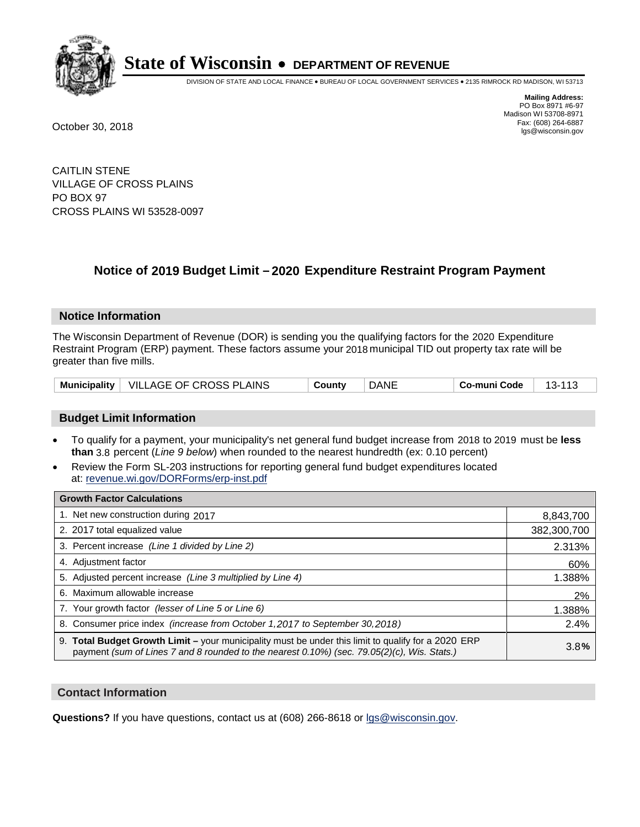

DIVISION OF STATE AND LOCAL FINANCE • BUREAU OF LOCAL GOVERNMENT SERVICES • 2135 RIMROCK RD MADISON, WI 53713

**Mailing Address:** PO Box 8971 #6-97 Madison WI 53708-8971<br>Fax: (608) 264-6887 Fax: (608) 264-6887 October 30, 2018 lgs@wisconsin.gov

CAITLIN STENE VILLAGE OF CROSS PLAINS PO BOX 97 CROSS PLAINS WI 53528-0097

### **Notice of 2019 Budget Limit - 2020 Expenditure Restraint Program Payment**

#### **Notice Information**

The Wisconsin Department of Revenue (DOR) is sending you the qualifying factors for the 2020 Expenditure Restraint Program (ERP) payment. These factors assume your 2018 municipal TID out property tax rate will be greater than five mills.

|  | Municipality   VILLAGE OF CROSS PLAINS | County | DANE | Co-muni Code | 110<br><u> າ ຕ</u><br>- 30 |
|--|----------------------------------------|--------|------|--------------|----------------------------|
|--|----------------------------------------|--------|------|--------------|----------------------------|

#### **Budget Limit Information**

- To qualify for a payment, your municipality's net general fund budget increase from 2018 to 2019 must be less **than** 3.8 percent (*Line 9 below*) when rounded to the nearest hundredth (ex: 0.10 percent)
- Review the Form SL-203 instructions for reporting general fund budget expenditures located at: revenue.wi.gov/DORForms/erp-inst.pdf

| <b>Growth Factor Calculations</b>                                                                                                                                                                      |             |
|--------------------------------------------------------------------------------------------------------------------------------------------------------------------------------------------------------|-------------|
| 1. Net new construction during 2017                                                                                                                                                                    | 8,843,700   |
| 2. 2017 total equalized value                                                                                                                                                                          | 382,300,700 |
| 3. Percent increase (Line 1 divided by Line 2)                                                                                                                                                         | 2.313%      |
| 4. Adjustment factor                                                                                                                                                                                   | 60%         |
| 5. Adjusted percent increase (Line 3 multiplied by Line 4)                                                                                                                                             | 1.388%      |
| 6. Maximum allowable increase                                                                                                                                                                          | 2%          |
| 7. Your growth factor (lesser of Line 5 or Line 6)                                                                                                                                                     | 1.388%      |
| 8. Consumer price index (increase from October 1,2017 to September 30,2018)                                                                                                                            | 2.4%        |
| 9. Total Budget Growth Limit - your municipality must be under this limit to qualify for a 2020 ERP<br>payment (sum of Lines 7 and 8 rounded to the nearest $0.10\%$ ) (sec. 79.05(2)(c), Wis. Stats.) | 3.8%        |

#### **Contact Information**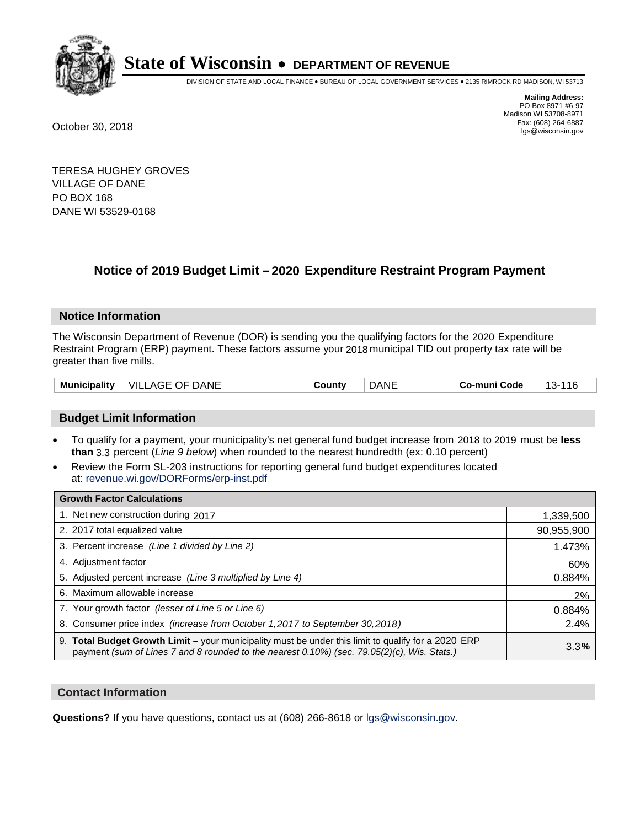

DIVISION OF STATE AND LOCAL FINANCE • BUREAU OF LOCAL GOVERNMENT SERVICES • 2135 RIMROCK RD MADISON, WI 53713

**Mailing Address:** PO Box 8971 #6-97 Madison WI 53708-8971<br>Fax: (608) 264-6887 Fax: (608) 264-6887 October 30, 2018 lgs@wisconsin.gov

TERESA HUGHEY GROVES VILLAGE OF DANE PO BOX 168 DANE WI 53529-0168

### **Notice of 2019 Budget Limit - 2020 Expenditure Restraint Program Payment**

#### **Notice Information**

The Wisconsin Department of Revenue (DOR) is sending you the qualifying factors for the 2020 Expenditure Restraint Program (ERP) payment. These factors assume your 2018 municipal TID out property tax rate will be greater than five mills.

| Municipality | DANE<br>- VILL<br>. OF.<br>AGE | ∵ountٽ | )ANE | Code<br>-mun | 14 G<br>~-<br>. . |
|--------------|--------------------------------|--------|------|--------------|-------------------|
|--------------|--------------------------------|--------|------|--------------|-------------------|

#### **Budget Limit Information**

- To qualify for a payment, your municipality's net general fund budget increase from 2018 to 2019 must be less **than** 3.3 percent (*Line 9 below*) when rounded to the nearest hundredth (ex: 0.10 percent)
- Review the Form SL-203 instructions for reporting general fund budget expenditures located at: revenue.wi.gov/DORForms/erp-inst.pdf

| <b>Growth Factor Calculations</b>                                                                                                                                                                      |            |
|--------------------------------------------------------------------------------------------------------------------------------------------------------------------------------------------------------|------------|
| 1. Net new construction during 2017                                                                                                                                                                    | 1,339,500  |
| 2. 2017 total equalized value                                                                                                                                                                          | 90,955,900 |
| 3. Percent increase (Line 1 divided by Line 2)                                                                                                                                                         | 1.473%     |
| 4. Adjustment factor                                                                                                                                                                                   | 60%        |
| 5. Adjusted percent increase (Line 3 multiplied by Line 4)                                                                                                                                             | 0.884%     |
| 6. Maximum allowable increase                                                                                                                                                                          | 2%         |
| 7. Your growth factor (lesser of Line 5 or Line 6)                                                                                                                                                     | 0.884%     |
| 8. Consumer price index (increase from October 1,2017 to September 30,2018)                                                                                                                            | 2.4%       |
| 9. Total Budget Growth Limit - your municipality must be under this limit to qualify for a 2020 ERP<br>payment (sum of Lines 7 and 8 rounded to the nearest $0.10\%$ ) (sec. 79.05(2)(c), Wis. Stats.) | 3.3%       |

#### **Contact Information**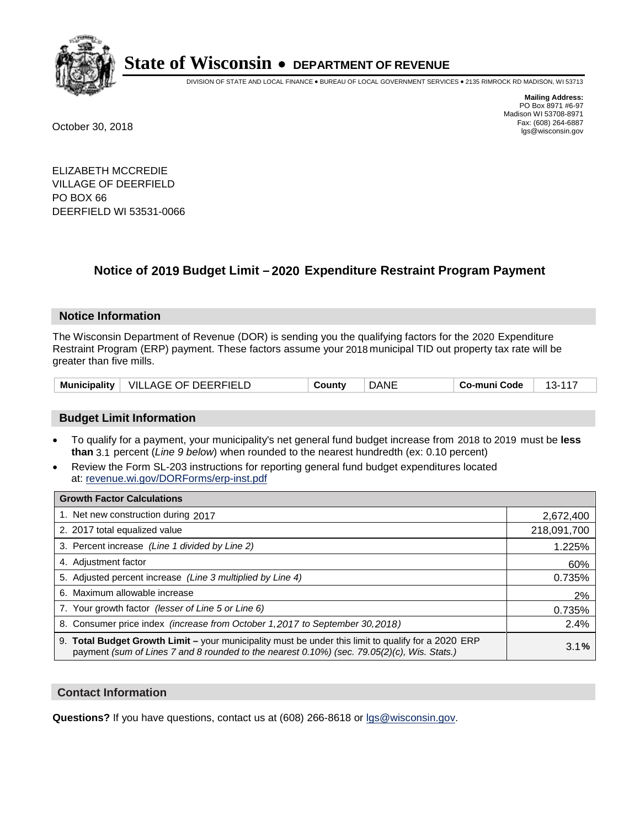

DIVISION OF STATE AND LOCAL FINANCE • BUREAU OF LOCAL GOVERNMENT SERVICES • 2135 RIMROCK RD MADISON, WI 53713

**Mailing Address:** PO Box 8971 #6-97 Madison WI 53708-8971<br>Fax: (608) 264-6887 Fax: (608) 264-6887 October 30, 2018 lgs@wisconsin.gov

ELIZABETH MCCREDIE VILLAGE OF DEERFIELD PO BOX 66 DEERFIELD WI 53531-0066

### **Notice of 2019 Budget Limit - 2020 Expenditure Restraint Program Payment**

#### **Notice Information**

The Wisconsin Department of Revenue (DOR) is sending you the qualifying factors for the 2020 Expenditure Restraint Program (ERP) payment. These factors assume your 2018 municipal TID out property tax rate will be greater than five mills.

| Municipality | <b>VILLAGE OF DEERFIELD</b> | County | DANE | Co-muni Code |  |
|--------------|-----------------------------|--------|------|--------------|--|
|--------------|-----------------------------|--------|------|--------------|--|

#### **Budget Limit Information**

- To qualify for a payment, your municipality's net general fund budget increase from 2018 to 2019 must be less **than** 3.1 percent (*Line 9 below*) when rounded to the nearest hundredth (ex: 0.10 percent)
- Review the Form SL-203 instructions for reporting general fund budget expenditures located at: revenue.wi.gov/DORForms/erp-inst.pdf

| <b>Growth Factor Calculations</b>                                                                                                                                                                      |             |
|--------------------------------------------------------------------------------------------------------------------------------------------------------------------------------------------------------|-------------|
| 1. Net new construction during 2017                                                                                                                                                                    | 2,672,400   |
| 2. 2017 total equalized value                                                                                                                                                                          | 218,091,700 |
| 3. Percent increase (Line 1 divided by Line 2)                                                                                                                                                         | 1.225%      |
| 4. Adjustment factor                                                                                                                                                                                   | 60%         |
| 5. Adjusted percent increase (Line 3 multiplied by Line 4)                                                                                                                                             | 0.735%      |
| 6. Maximum allowable increase                                                                                                                                                                          | 2%          |
| 7. Your growth factor (lesser of Line 5 or Line 6)                                                                                                                                                     | 0.735%      |
| 8. Consumer price index (increase from October 1, 2017 to September 30, 2018)                                                                                                                          | 2.4%        |
| 9. Total Budget Growth Limit - your municipality must be under this limit to qualify for a 2020 ERP<br>payment (sum of Lines 7 and 8 rounded to the nearest $0.10\%$ ) (sec. 79.05(2)(c), Wis. Stats.) | 3.1%        |

#### **Contact Information**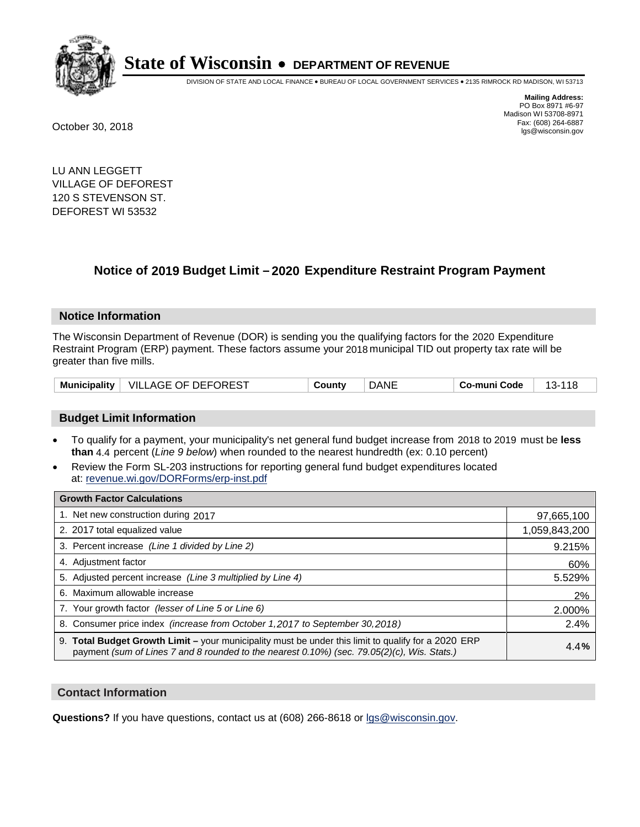

DIVISION OF STATE AND LOCAL FINANCE • BUREAU OF LOCAL GOVERNMENT SERVICES • 2135 RIMROCK RD MADISON, WI 53713

**Mailing Address:** PO Box 8971 #6-97 Madison WI 53708-8971<br>Fax: (608) 264-6887 Fax: (608) 264-6887 October 30, 2018 lgs@wisconsin.gov

LU ANN LEGGETT VILLAGE OF DEFOREST 120 S STEVENSON ST. DEFOREST WI 53532

### **Notice of 2019 Budget Limit - 2020 Expenditure Restraint Program Payment**

#### **Notice Information**

The Wisconsin Department of Revenue (DOR) is sending you the qualifying factors for the 2020 Expenditure Restraint Program (ERP) payment. These factors assume your 2018 municipal TID out property tax rate will be greater than five mills.

| <b>Municipality</b> | VILLAGE OF DEFOREST | County | <b>DANE</b> | Co-muni Code | $13 - 118$ |
|---------------------|---------------------|--------|-------------|--------------|------------|
|---------------------|---------------------|--------|-------------|--------------|------------|

#### **Budget Limit Information**

- To qualify for a payment, your municipality's net general fund budget increase from 2018 to 2019 must be less **than** 4.4 percent (*Line 9 below*) when rounded to the nearest hundredth (ex: 0.10 percent)
- Review the Form SL-203 instructions for reporting general fund budget expenditures located at: revenue.wi.gov/DORForms/erp-inst.pdf

| <b>Growth Factor Calculations</b>                                                                                                                                                                  |               |
|----------------------------------------------------------------------------------------------------------------------------------------------------------------------------------------------------|---------------|
| 1. Net new construction during 2017                                                                                                                                                                | 97,665,100    |
| 2. 2017 total equalized value                                                                                                                                                                      | 1,059,843,200 |
| 3. Percent increase (Line 1 divided by Line 2)                                                                                                                                                     | 9.215%        |
| 4. Adjustment factor                                                                                                                                                                               | 60%           |
| 5. Adjusted percent increase (Line 3 multiplied by Line 4)                                                                                                                                         | 5.529%        |
| 6. Maximum allowable increase                                                                                                                                                                      | 2%            |
| 7. Your growth factor (lesser of Line 5 or Line 6)                                                                                                                                                 | 2.000%        |
| 8. Consumer price index (increase from October 1,2017 to September 30,2018)                                                                                                                        | 2.4%          |
| 9. Total Budget Growth Limit - your municipality must be under this limit to qualify for a 2020 ERP<br>payment (sum of Lines 7 and 8 rounded to the nearest 0.10%) (sec. 79.05(2)(c), Wis. Stats.) | 4.4%          |

#### **Contact Information**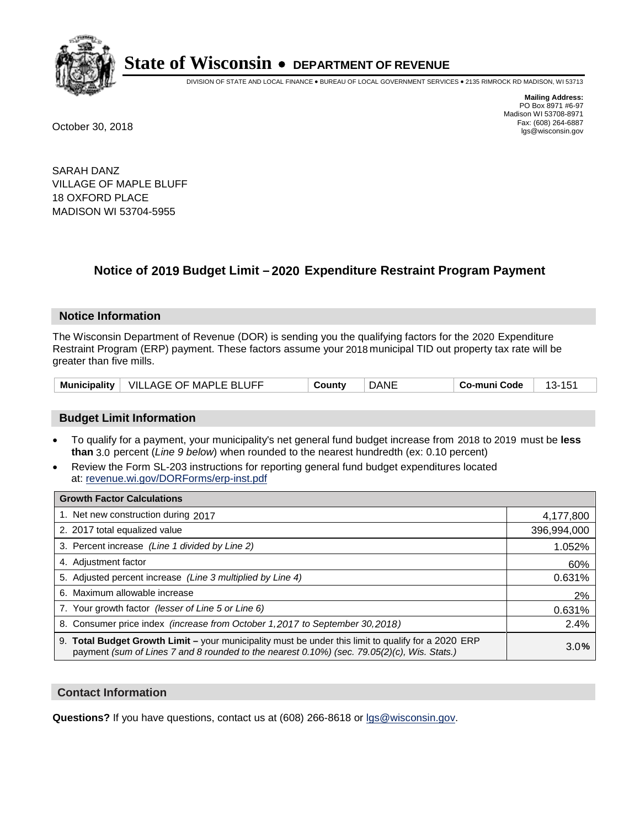

DIVISION OF STATE AND LOCAL FINANCE • BUREAU OF LOCAL GOVERNMENT SERVICES • 2135 RIMROCK RD MADISON, WI 53713

**Mailing Address:** PO Box 8971 #6-97 Madison WI 53708-8971<br>Fax: (608) 264-6887 Fax: (608) 264-6887 October 30, 2018 lgs@wisconsin.gov

SARAH DANZ VILLAGE OF MAPLE BLUFF 18 OXFORD PLACE MADISON WI 53704-5955

### **Notice of 2019 Budget Limit - 2020 Expenditure Restraint Program Payment**

#### **Notice Information**

The Wisconsin Department of Revenue (DOR) is sending you the qualifying factors for the 2020 Expenditure Restraint Program (ERP) payment. These factors assume your 2018 municipal TID out property tax rate will be greater than five mills.

|  | Municipality   VILLAGE OF MAPLE BLUFF | County | DANE | Co-muni Code |  |
|--|---------------------------------------|--------|------|--------------|--|
|--|---------------------------------------|--------|------|--------------|--|

#### **Budget Limit Information**

- To qualify for a payment, your municipality's net general fund budget increase from 2018 to 2019 must be less **than** 3.0 percent (*Line 9 below*) when rounded to the nearest hundredth (ex: 0.10 percent)
- Review the Form SL-203 instructions for reporting general fund budget expenditures located at: revenue.wi.gov/DORForms/erp-inst.pdf

| <b>Growth Factor Calculations</b>                                                                                                                                                                      |             |
|--------------------------------------------------------------------------------------------------------------------------------------------------------------------------------------------------------|-------------|
| 1. Net new construction during 2017                                                                                                                                                                    | 4,177,800   |
| 2. 2017 total equalized value                                                                                                                                                                          | 396,994,000 |
| 3. Percent increase (Line 1 divided by Line 2)                                                                                                                                                         | 1.052%      |
| 4. Adjustment factor                                                                                                                                                                                   | 60%         |
| 5. Adjusted percent increase (Line 3 multiplied by Line 4)                                                                                                                                             | 0.631%      |
| 6. Maximum allowable increase                                                                                                                                                                          | 2%          |
| 7. Your growth factor (lesser of Line 5 or Line 6)                                                                                                                                                     | 0.631%      |
| 8. Consumer price index (increase from October 1,2017 to September 30,2018)                                                                                                                            | 2.4%        |
| 9. Total Budget Growth Limit - your municipality must be under this limit to qualify for a 2020 ERP<br>payment (sum of Lines 7 and 8 rounded to the nearest $0.10\%$ ) (sec. 79.05(2)(c), Wis. Stats.) | 3.0%        |

#### **Contact Information**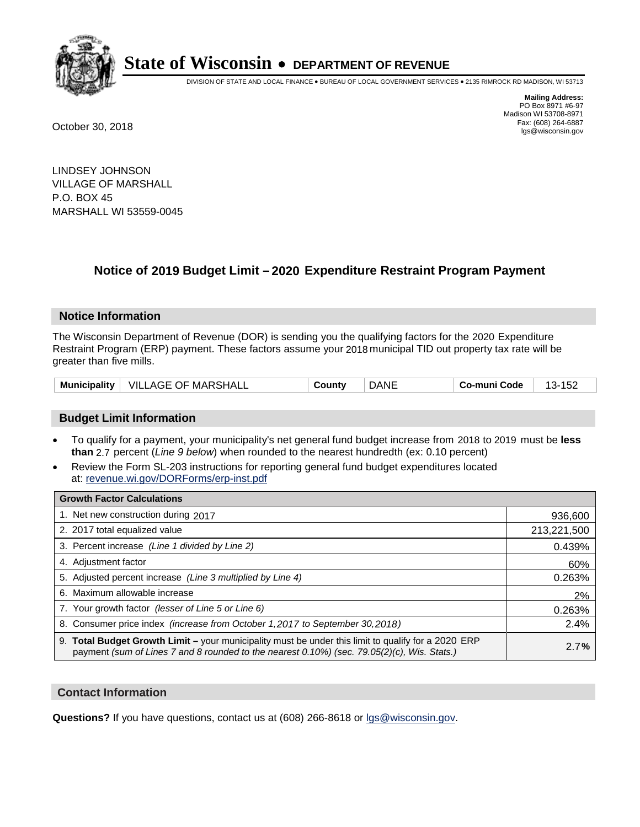

DIVISION OF STATE AND LOCAL FINANCE • BUREAU OF LOCAL GOVERNMENT SERVICES • 2135 RIMROCK RD MADISON, WI 53713

**Mailing Address:** PO Box 8971 #6-97 Madison WI 53708-8971<br>Fax: (608) 264-6887 Fax: (608) 264-6887 October 30, 2018 lgs@wisconsin.gov

LINDSEY JOHNSON VILLAGE OF MARSHALL P.O. BOX 45 MARSHALL WI 53559-0045

### **Notice of 2019 Budget Limit - 2020 Expenditure Restraint Program Payment**

#### **Notice Information**

The Wisconsin Department of Revenue (DOR) is sending you the qualifying factors for the 2020 Expenditure Restraint Program (ERP) payment. These factors assume your 2018 municipal TID out property tax rate will be greater than five mills.

| Municipality | VILLAGE OF MARSHALL | `ountv | DANE | Co-muni Code | ے ت<br>. . |
|--------------|---------------------|--------|------|--------------|------------|
|--------------|---------------------|--------|------|--------------|------------|

#### **Budget Limit Information**

- To qualify for a payment, your municipality's net general fund budget increase from 2018 to 2019 must be less **than** 2.7 percent (*Line 9 below*) when rounded to the nearest hundredth (ex: 0.10 percent)
- Review the Form SL-203 instructions for reporting general fund budget expenditures located at: revenue.wi.gov/DORForms/erp-inst.pdf

| <b>Growth Factor Calculations</b>                                                                                                                                                                      |             |
|--------------------------------------------------------------------------------------------------------------------------------------------------------------------------------------------------------|-------------|
| 1. Net new construction during 2017                                                                                                                                                                    | 936,600     |
| 2. 2017 total equalized value                                                                                                                                                                          | 213,221,500 |
| 3. Percent increase (Line 1 divided by Line 2)                                                                                                                                                         | 0.439%      |
| 4. Adjustment factor                                                                                                                                                                                   | 60%         |
| 5. Adjusted percent increase (Line 3 multiplied by Line 4)                                                                                                                                             | 0.263%      |
| 6. Maximum allowable increase                                                                                                                                                                          | 2%          |
| 7. Your growth factor (lesser of Line 5 or Line 6)                                                                                                                                                     | 0.263%      |
| 8. Consumer price index (increase from October 1,2017 to September 30,2018)                                                                                                                            | 2.4%        |
| 9. Total Budget Growth Limit - your municipality must be under this limit to qualify for a 2020 ERP<br>payment (sum of Lines 7 and 8 rounded to the nearest $0.10\%$ ) (sec. 79.05(2)(c), Wis. Stats.) | 2.7%        |

#### **Contact Information**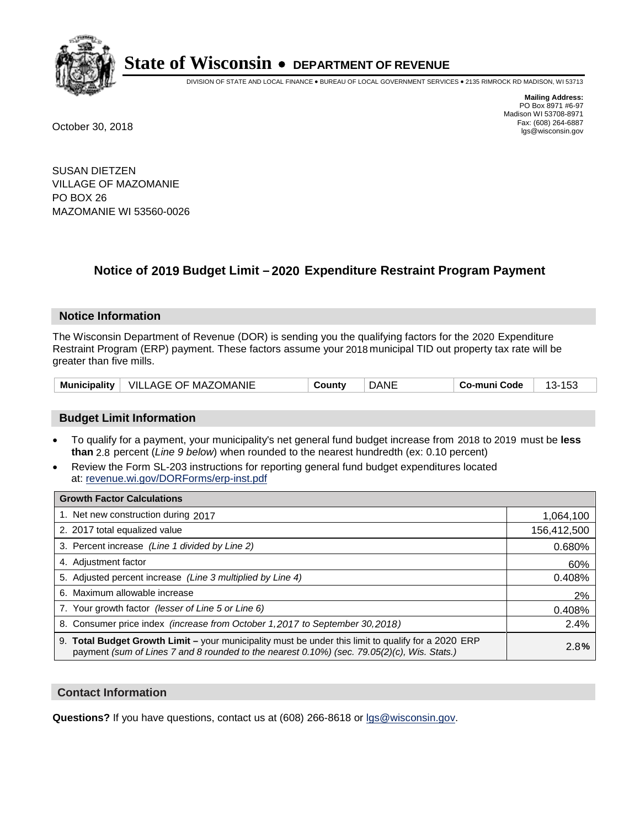

DIVISION OF STATE AND LOCAL FINANCE • BUREAU OF LOCAL GOVERNMENT SERVICES • 2135 RIMROCK RD MADISON, WI 53713

**Mailing Address:** PO Box 8971 #6-97 Madison WI 53708-8971<br>Fax: (608) 264-6887 Fax: (608) 264-6887 October 30, 2018 lgs@wisconsin.gov

SUSAN DIETZEN VILLAGE OF MAZOMANIE PO BOX 26 MAZOMANIE WI 53560-0026

## **Notice of 2019 Budget Limit - 2020 Expenditure Restraint Program Payment**

#### **Notice Information**

The Wisconsin Department of Revenue (DOR) is sending you the qualifying factors for the 2020 Expenditure Restraint Program (ERP) payment. These factors assume your 2018 municipal TID out property tax rate will be greater than five mills.

| <b>Municipality</b> | <b>VILLAGE OF MAZOMANIE</b> | ountvٽ | DANE | Co-muni Code | ט ו<br>⊶ |
|---------------------|-----------------------------|--------|------|--------------|----------|
|---------------------|-----------------------------|--------|------|--------------|----------|

#### **Budget Limit Information**

- To qualify for a payment, your municipality's net general fund budget increase from 2018 to 2019 must be less **than** 2.8 percent (*Line 9 below*) when rounded to the nearest hundredth (ex: 0.10 percent)
- Review the Form SL-203 instructions for reporting general fund budget expenditures located at: revenue.wi.gov/DORForms/erp-inst.pdf

| <b>Growth Factor Calculations</b>                                                                                                                                                                      |             |
|--------------------------------------------------------------------------------------------------------------------------------------------------------------------------------------------------------|-------------|
| 1. Net new construction during 2017                                                                                                                                                                    | 1,064,100   |
| 2. 2017 total equalized value                                                                                                                                                                          | 156,412,500 |
| 3. Percent increase (Line 1 divided by Line 2)                                                                                                                                                         | 0.680%      |
| 4. Adjustment factor                                                                                                                                                                                   | 60%         |
| 5. Adjusted percent increase (Line 3 multiplied by Line 4)                                                                                                                                             | 0.408%      |
| 6. Maximum allowable increase                                                                                                                                                                          | 2%          |
| 7. Your growth factor (lesser of Line 5 or Line 6)                                                                                                                                                     | 0.408%      |
| 8. Consumer price index (increase from October 1,2017 to September 30,2018)                                                                                                                            | 2.4%        |
| 9. Total Budget Growth Limit - your municipality must be under this limit to qualify for a 2020 ERP<br>payment (sum of Lines 7 and 8 rounded to the nearest $0.10\%$ ) (sec. 79.05(2)(c), Wis. Stats.) | 2.8%        |

#### **Contact Information**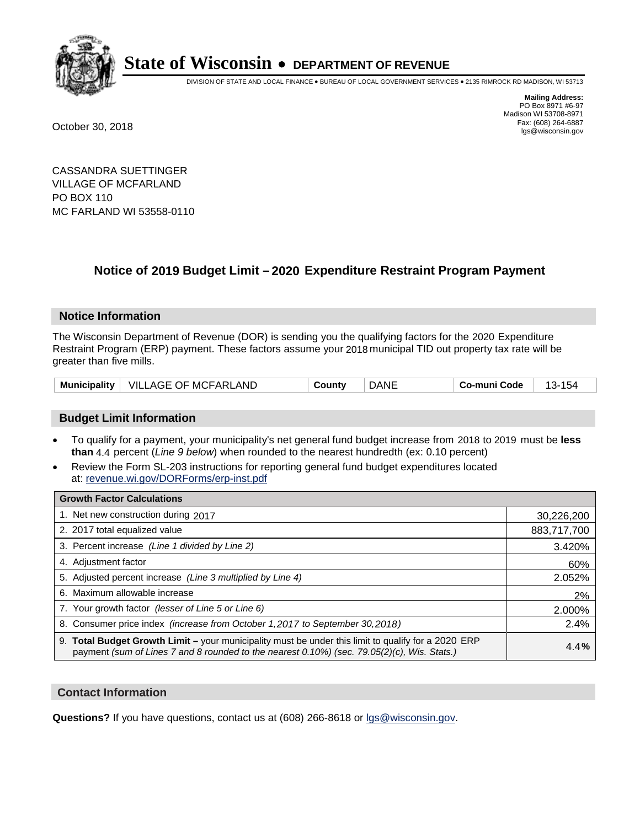

DIVISION OF STATE AND LOCAL FINANCE • BUREAU OF LOCAL GOVERNMENT SERVICES • 2135 RIMROCK RD MADISON, WI 53713

**Mailing Address:** PO Box 8971 #6-97 Madison WI 53708-8971<br>Fax: (608) 264-6887 Fax: (608) 264-6887 October 30, 2018 lgs@wisconsin.gov

CASSANDRA SUETTINGER VILLAGE OF MCFARLAND PO BOX 110 MC FARLAND WI 53558-0110

### **Notice of 2019 Budget Limit - 2020 Expenditure Restraint Program Payment**

#### **Notice Information**

The Wisconsin Department of Revenue (DOR) is sending you the qualifying factors for the 2020 Expenditure Restraint Program (ERP) payment. These factors assume your 2018 municipal TID out property tax rate will be greater than five mills.

| <b>Municipality</b> | VILLAGE OF MCFARLAND | County | DANE | o-muni Codeٽ | $\sim$ |
|---------------------|----------------------|--------|------|--------------|--------|
|---------------------|----------------------|--------|------|--------------|--------|

#### **Budget Limit Information**

- To qualify for a payment, your municipality's net general fund budget increase from 2018 to 2019 must be less **than** 4.4 percent (*Line 9 below*) when rounded to the nearest hundredth (ex: 0.10 percent)
- Review the Form SL-203 instructions for reporting general fund budget expenditures located at: revenue.wi.gov/DORForms/erp-inst.pdf

| <b>Growth Factor Calculations</b>                                                                                                                                                                      |             |
|--------------------------------------------------------------------------------------------------------------------------------------------------------------------------------------------------------|-------------|
| 1. Net new construction during 2017                                                                                                                                                                    | 30,226,200  |
| 2. 2017 total equalized value                                                                                                                                                                          | 883,717,700 |
| 3. Percent increase (Line 1 divided by Line 2)                                                                                                                                                         | 3.420%      |
| 4. Adjustment factor                                                                                                                                                                                   | 60%         |
| 5. Adjusted percent increase (Line 3 multiplied by Line 4)                                                                                                                                             | 2.052%      |
| 6. Maximum allowable increase                                                                                                                                                                          | 2%          |
| 7. Your growth factor (lesser of Line 5 or Line 6)                                                                                                                                                     | 2.000%      |
| 8. Consumer price index (increase from October 1,2017 to September 30,2018)                                                                                                                            | 2.4%        |
| 9. Total Budget Growth Limit - your municipality must be under this limit to qualify for a 2020 ERP<br>payment (sum of Lines 7 and 8 rounded to the nearest $0.10\%$ ) (sec. 79.05(2)(c), Wis. Stats.) | 4.4%        |

#### **Contact Information**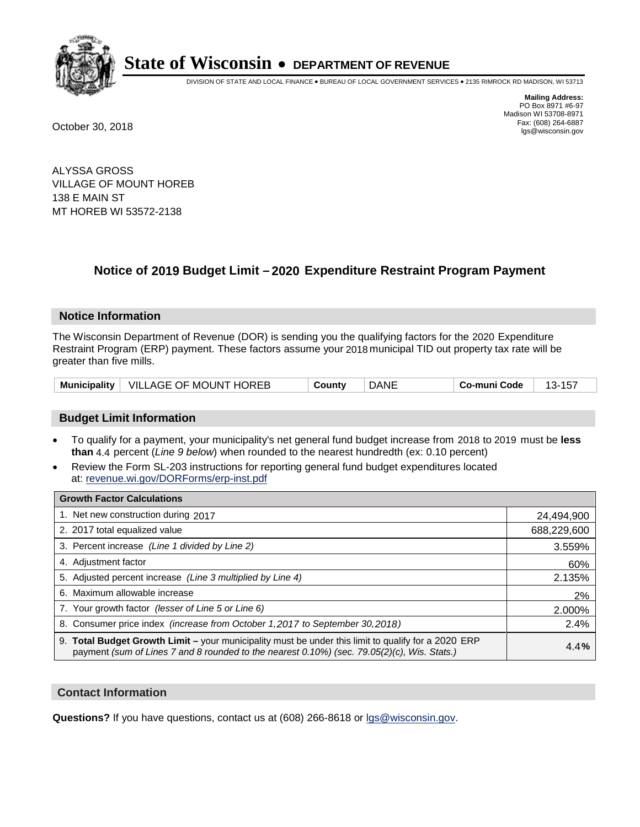

DIVISION OF STATE AND LOCAL FINANCE • BUREAU OF LOCAL GOVERNMENT SERVICES • 2135 RIMROCK RD MADISON, WI 53713

**Mailing Address:** PO Box 8971 #6-97 Madison WI 53708-8971<br>Fax: (608) 264-6887 Fax: (608) 264-6887 October 30, 2018 lgs@wisconsin.gov

ALYSSA GROSS VILLAGE OF MOUNT HOREB 138 E MAIN ST MT HOREB WI 53572-2138

## **Notice of 2019 Budget Limit - 2020 Expenditure Restraint Program Payment**

#### **Notice Information**

The Wisconsin Department of Revenue (DOR) is sending you the qualifying factors for the 2020 Expenditure Restraint Program (ERP) payment. These factors assume your 2018 municipal TID out property tax rate will be greater than five mills.

|  | Municipality   VILLAGE OF MOUNT HOREB | County | DANE | Co-muni Code |  |
|--|---------------------------------------|--------|------|--------------|--|
|--|---------------------------------------|--------|------|--------------|--|

#### **Budget Limit Information**

- To qualify for a payment, your municipality's net general fund budget increase from 2018 to 2019 must be less **than** 4.4 percent (*Line 9 below*) when rounded to the nearest hundredth (ex: 0.10 percent)
- Review the Form SL-203 instructions for reporting general fund budget expenditures located at: revenue.wi.gov/DORForms/erp-inst.pdf

| <b>Growth Factor Calculations</b>                                                                                                                                                                      |             |
|--------------------------------------------------------------------------------------------------------------------------------------------------------------------------------------------------------|-------------|
| 1. Net new construction during 2017                                                                                                                                                                    | 24,494,900  |
| 2. 2017 total equalized value                                                                                                                                                                          | 688,229,600 |
| 3. Percent increase (Line 1 divided by Line 2)                                                                                                                                                         | 3.559%      |
| 4. Adjustment factor                                                                                                                                                                                   | 60%         |
| 5. Adjusted percent increase (Line 3 multiplied by Line 4)                                                                                                                                             | 2.135%      |
| 6. Maximum allowable increase                                                                                                                                                                          | 2%          |
| 7. Your growth factor (lesser of Line 5 or Line 6)                                                                                                                                                     | 2.000%      |
| 8. Consumer price index (increase from October 1,2017 to September 30,2018)                                                                                                                            | 2.4%        |
| 9. Total Budget Growth Limit - your municipality must be under this limit to qualify for a 2020 ERP<br>payment (sum of Lines 7 and 8 rounded to the nearest $0.10\%$ ) (sec. 79.05(2)(c), Wis. Stats.) | 4.4%        |

#### **Contact Information**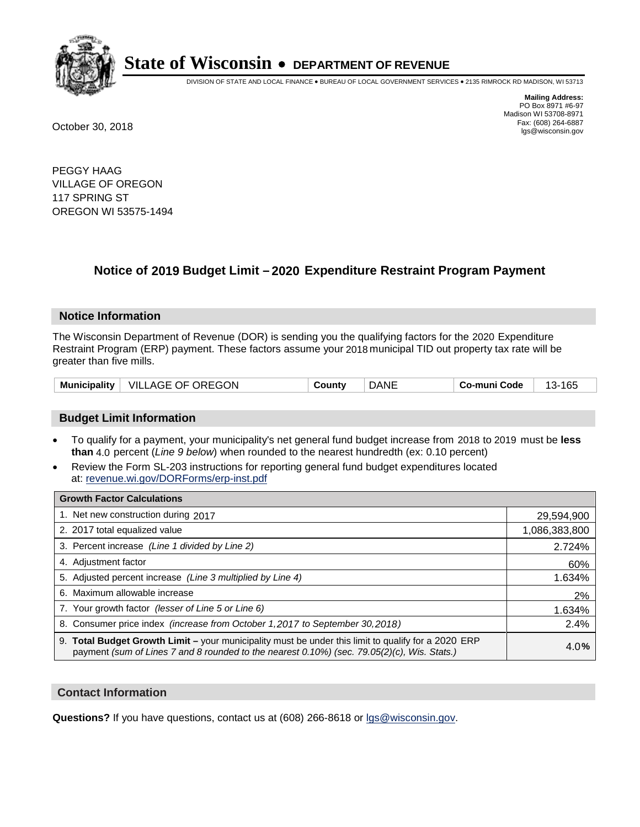

DIVISION OF STATE AND LOCAL FINANCE • BUREAU OF LOCAL GOVERNMENT SERVICES • 2135 RIMROCK RD MADISON, WI 53713

**Mailing Address:** PO Box 8971 #6-97 Madison WI 53708-8971<br>Fax: (608) 264-6887 Fax: (608) 264-6887 October 30, 2018 lgs@wisconsin.gov

PEGGY HAAG VILLAGE OF OREGON 117 SPRING ST OREGON WI 53575-1494

### **Notice of 2019 Budget Limit - 2020 Expenditure Restraint Program Payment**

#### **Notice Information**

The Wisconsin Department of Revenue (DOR) is sending you the qualifying factors for the 2020 Expenditure Restraint Program (ERP) payment. These factors assume your 2018 municipal TID out property tax rate will be greater than five mills.

#### **Budget Limit Information**

- To qualify for a payment, your municipality's net general fund budget increase from 2018 to 2019 must be less **than** 4.0 percent (*Line 9 below*) when rounded to the nearest hundredth (ex: 0.10 percent)
- Review the Form SL-203 instructions for reporting general fund budget expenditures located at: revenue.wi.gov/DORForms/erp-inst.pdf

| <b>Growth Factor Calculations</b>                                                                                                                                                                  |               |
|----------------------------------------------------------------------------------------------------------------------------------------------------------------------------------------------------|---------------|
| 1. Net new construction during 2017                                                                                                                                                                | 29,594,900    |
| 2. 2017 total equalized value                                                                                                                                                                      | 1,086,383,800 |
| 3. Percent increase (Line 1 divided by Line 2)                                                                                                                                                     | 2.724%        |
| 4. Adjustment factor                                                                                                                                                                               | 60%           |
| 5. Adjusted percent increase (Line 3 multiplied by Line 4)                                                                                                                                         | 1.634%        |
| 6. Maximum allowable increase                                                                                                                                                                      | 2%            |
| 7. Your growth factor (lesser of Line 5 or Line 6)                                                                                                                                                 | 1.634%        |
| 8. Consumer price index (increase from October 1,2017 to September 30,2018)                                                                                                                        | 2.4%          |
| 9. Total Budget Growth Limit - your municipality must be under this limit to qualify for a 2020 ERP<br>payment (sum of Lines 7 and 8 rounded to the nearest 0.10%) (sec. 79.05(2)(c), Wis. Stats.) | 4.0%          |

#### **Contact Information**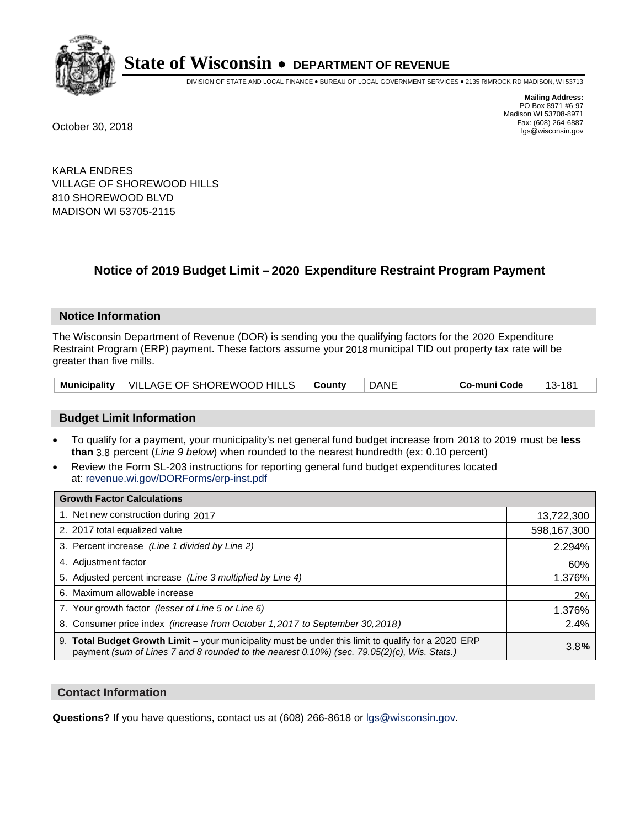

DIVISION OF STATE AND LOCAL FINANCE • BUREAU OF LOCAL GOVERNMENT SERVICES • 2135 RIMROCK RD MADISON, WI 53713

**Mailing Address:** PO Box 8971 #6-97 Madison WI 53708-8971<br>Fax: (608) 264-6887 Fax: (608) 264-6887 October 30, 2018 lgs@wisconsin.gov

KARLA ENDRES VILLAGE OF SHOREWOOD HILLS 810 SHOREWOOD BLVD MADISON WI 53705-2115

### **Notice of 2019 Budget Limit - 2020 Expenditure Restraint Program Payment**

#### **Notice Information**

The Wisconsin Department of Revenue (DOR) is sending you the qualifying factors for the 2020 Expenditure Restraint Program (ERP) payment. These factors assume your 2018 municipal TID out property tax rate will be greater than five mills.

| Municipality   VILLAGE OF SHOREWOOD HILLS   County |  | DANE | Co-muni Code | - 13-181 |
|----------------------------------------------------|--|------|--------------|----------|
|----------------------------------------------------|--|------|--------------|----------|

#### **Budget Limit Information**

- To qualify for a payment, your municipality's net general fund budget increase from 2018 to 2019 must be less **than** 3.8 percent (*Line 9 below*) when rounded to the nearest hundredth (ex: 0.10 percent)
- Review the Form SL-203 instructions for reporting general fund budget expenditures located at: revenue.wi.gov/DORForms/erp-inst.pdf

| <b>Growth Factor Calculations</b>                                                                                                                                                                  |             |
|----------------------------------------------------------------------------------------------------------------------------------------------------------------------------------------------------|-------------|
| 1. Net new construction during 2017                                                                                                                                                                | 13,722,300  |
| 2. 2017 total equalized value                                                                                                                                                                      | 598,167,300 |
| 3. Percent increase (Line 1 divided by Line 2)                                                                                                                                                     | 2.294%      |
| 4. Adjustment factor                                                                                                                                                                               | 60%         |
| 5. Adjusted percent increase (Line 3 multiplied by Line 4)                                                                                                                                         | 1.376%      |
| 6. Maximum allowable increase                                                                                                                                                                      | 2%          |
| 7. Your growth factor (lesser of Line 5 or Line 6)                                                                                                                                                 | 1.376%      |
| 8. Consumer price index (increase from October 1,2017 to September 30,2018)                                                                                                                        | 2.4%        |
| 9. Total Budget Growth Limit - your municipality must be under this limit to qualify for a 2020 ERP<br>payment (sum of Lines 7 and 8 rounded to the nearest 0.10%) (sec. 79.05(2)(c), Wis. Stats.) | 3.8%        |

#### **Contact Information**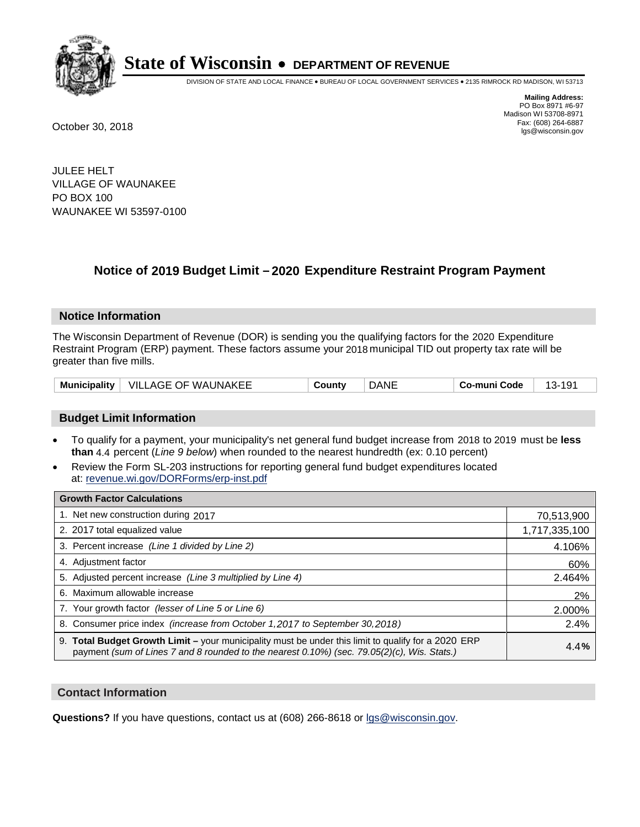

DIVISION OF STATE AND LOCAL FINANCE • BUREAU OF LOCAL GOVERNMENT SERVICES • 2135 RIMROCK RD MADISON, WI 53713

**Mailing Address:** PO Box 8971 #6-97 Madison WI 53708-8971<br>Fax: (608) 264-6887 Fax: (608) 264-6887 October 30, 2018 lgs@wisconsin.gov

JULEE HELT VILLAGE OF WAUNAKEE PO BOX 100 WAUNAKEE WI 53597-0100

### **Notice of 2019 Budget Limit - 2020 Expenditure Restraint Program Payment**

#### **Notice Information**

The Wisconsin Department of Revenue (DOR) is sending you the qualifying factors for the 2020 Expenditure Restraint Program (ERP) payment. These factors assume your 2018 municipal TID out property tax rate will be greater than five mills.

| <b>Municipality</b> | VILLAGE OF WAUNAKEE | Countv | DANE | -muni Code<br>Co- | <u>`</u><br>. . |
|---------------------|---------------------|--------|------|-------------------|-----------------|
|---------------------|---------------------|--------|------|-------------------|-----------------|

#### **Budget Limit Information**

- To qualify for a payment, your municipality's net general fund budget increase from 2018 to 2019 must be less **than** 4.4 percent (*Line 9 below*) when rounded to the nearest hundredth (ex: 0.10 percent)
- Review the Form SL-203 instructions for reporting general fund budget expenditures located at: revenue.wi.gov/DORForms/erp-inst.pdf

| <b>Growth Factor Calculations</b>                                                                                                                                                                      |               |
|--------------------------------------------------------------------------------------------------------------------------------------------------------------------------------------------------------|---------------|
| 1. Net new construction during 2017                                                                                                                                                                    | 70,513,900    |
| 2. 2017 total equalized value                                                                                                                                                                          | 1,717,335,100 |
| 3. Percent increase (Line 1 divided by Line 2)                                                                                                                                                         | 4.106%        |
| 4. Adjustment factor                                                                                                                                                                                   | 60%           |
| 5. Adjusted percent increase (Line 3 multiplied by Line 4)                                                                                                                                             | 2.464%        |
| 6. Maximum allowable increase                                                                                                                                                                          | 2%            |
| 7. Your growth factor (lesser of Line 5 or Line 6)                                                                                                                                                     | 2.000%        |
| 8. Consumer price index (increase from October 1,2017 to September 30,2018)                                                                                                                            | 2.4%          |
| 9. Total Budget Growth Limit - your municipality must be under this limit to qualify for a 2020 ERP<br>payment (sum of Lines 7 and 8 rounded to the nearest $0.10\%$ ) (sec. 79.05(2)(c), Wis. Stats.) | 4.4%          |

#### **Contact Information**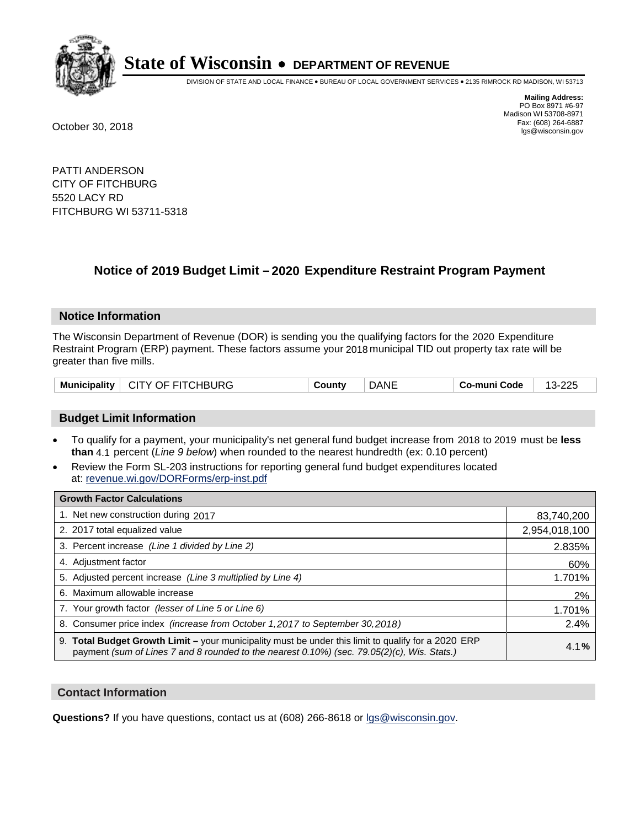

DIVISION OF STATE AND LOCAL FINANCE • BUREAU OF LOCAL GOVERNMENT SERVICES • 2135 RIMROCK RD MADISON, WI 53713

**Mailing Address:** PO Box 8971 #6-97 Madison WI 53708-8971<br>Fax: (608) 264-6887 Fax: (608) 264-6887 October 30, 2018 lgs@wisconsin.gov

PATTI ANDERSON CITY OF FITCHBURG 5520 LACY RD FITCHBURG WI 53711-5318

### **Notice of 2019 Budget Limit - 2020 Expenditure Restraint Program Payment**

#### **Notice Information**

The Wisconsin Department of Revenue (DOR) is sending you the qualifying factors for the 2020 Expenditure Restraint Program (ERP) payment. These factors assume your 2018 municipal TID out property tax rate will be greater than five mills.

|  | Municipality   CITY OF FITCHBURG | County | <b>DANE</b> | Co-muni Code | 13-225 |
|--|----------------------------------|--------|-------------|--------------|--------|
|--|----------------------------------|--------|-------------|--------------|--------|

#### **Budget Limit Information**

- To qualify for a payment, your municipality's net general fund budget increase from 2018 to 2019 must be less **than** 4.1 percent (*Line 9 below*) when rounded to the nearest hundredth (ex: 0.10 percent)
- Review the Form SL-203 instructions for reporting general fund budget expenditures located at: revenue.wi.gov/DORForms/erp-inst.pdf

| <b>Growth Factor Calculations</b>                                                                                                                                                                  |               |
|----------------------------------------------------------------------------------------------------------------------------------------------------------------------------------------------------|---------------|
| 1. Net new construction during 2017                                                                                                                                                                | 83,740,200    |
| 2. 2017 total equalized value                                                                                                                                                                      | 2,954,018,100 |
| 3. Percent increase (Line 1 divided by Line 2)                                                                                                                                                     | 2.835%        |
| 4. Adjustment factor                                                                                                                                                                               | 60%           |
| 5. Adjusted percent increase (Line 3 multiplied by Line 4)                                                                                                                                         | 1.701%        |
| 6. Maximum allowable increase                                                                                                                                                                      | 2%            |
| 7. Your growth factor (lesser of Line 5 or Line 6)                                                                                                                                                 | 1.701%        |
| 8. Consumer price index (increase from October 1, 2017 to September 30, 2018)                                                                                                                      | 2.4%          |
| 9. Total Budget Growth Limit - your municipality must be under this limit to qualify for a 2020 ERP<br>payment (sum of Lines 7 and 8 rounded to the nearest 0.10%) (sec. 79.05(2)(c), Wis. Stats.) | 4.1%          |

#### **Contact Information**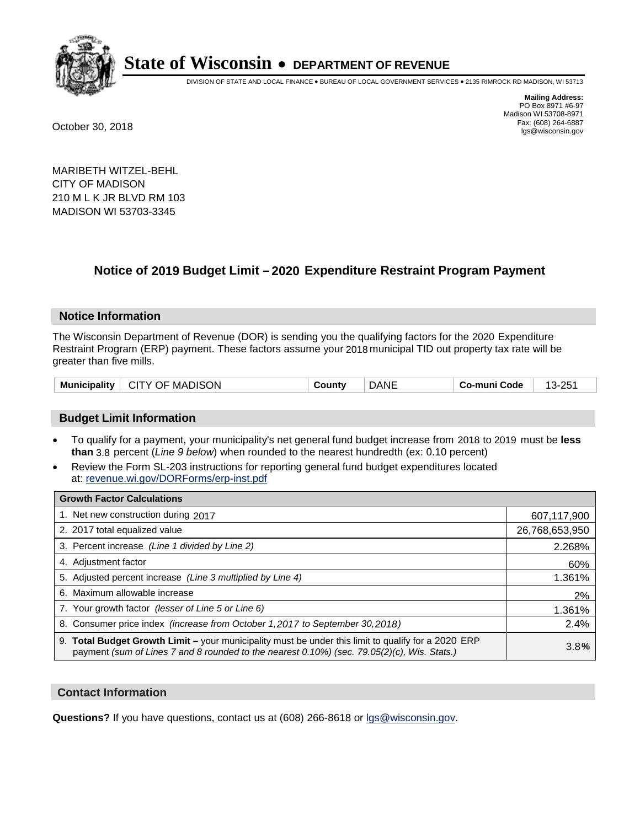

DIVISION OF STATE AND LOCAL FINANCE • BUREAU OF LOCAL GOVERNMENT SERVICES • 2135 RIMROCK RD MADISON, WI 53713

**Mailing Address:** PO Box 8971 #6-97 Madison WI 53708-8971<br>Fax: (608) 264-6887 Fax: (608) 264-6887 October 30, 2018 lgs@wisconsin.gov

MARIBETH WITZEL-BEHL CITY OF MADISON 210 M L K JR BLVD RM 103 MADISON WI 53703-3345

### **Notice of 2019 Budget Limit - 2020 Expenditure Restraint Program Payment**

#### **Notice Information**

The Wisconsin Department of Revenue (DOR) is sending you the qualifying factors for the 2020 Expenditure Restraint Program (ERP) payment. These factors assume your 2018 municipal TID out property tax rate will be greater than five mills.

| Municipality | CITY OF MADISON | ็ount\ | DANE | Co-muni Code | つにっ<br>1จ- |
|--------------|-----------------|--------|------|--------------|------------|
|--------------|-----------------|--------|------|--------------|------------|

#### **Budget Limit Information**

- To qualify for a payment, your municipality's net general fund budget increase from 2018 to 2019 must be less **than** 3.8 percent (*Line 9 below*) when rounded to the nearest hundredth (ex: 0.10 percent)
- Review the Form SL-203 instructions for reporting general fund budget expenditures located at: revenue.wi.gov/DORForms/erp-inst.pdf

| <b>Growth Factor Calculations</b>                                                                                                                                                                      |                |
|--------------------------------------------------------------------------------------------------------------------------------------------------------------------------------------------------------|----------------|
| 1. Net new construction during 2017                                                                                                                                                                    | 607,117,900    |
| 2. 2017 total equalized value                                                                                                                                                                          | 26,768,653,950 |
| 3. Percent increase (Line 1 divided by Line 2)                                                                                                                                                         | 2.268%         |
| 4. Adjustment factor                                                                                                                                                                                   | 60%            |
| 5. Adjusted percent increase (Line 3 multiplied by Line 4)                                                                                                                                             | 1.361%         |
| 6. Maximum allowable increase                                                                                                                                                                          | 2%             |
| 7. Your growth factor (lesser of Line 5 or Line 6)                                                                                                                                                     | 1.361%         |
| 8. Consumer price index (increase from October 1,2017 to September 30,2018)                                                                                                                            | 2.4%           |
| 9. Total Budget Growth Limit - your municipality must be under this limit to qualify for a 2020 ERP<br>payment (sum of Lines 7 and 8 rounded to the nearest $0.10\%$ ) (sec. 79.05(2)(c), Wis. Stats.) | 3.8%           |

#### **Contact Information**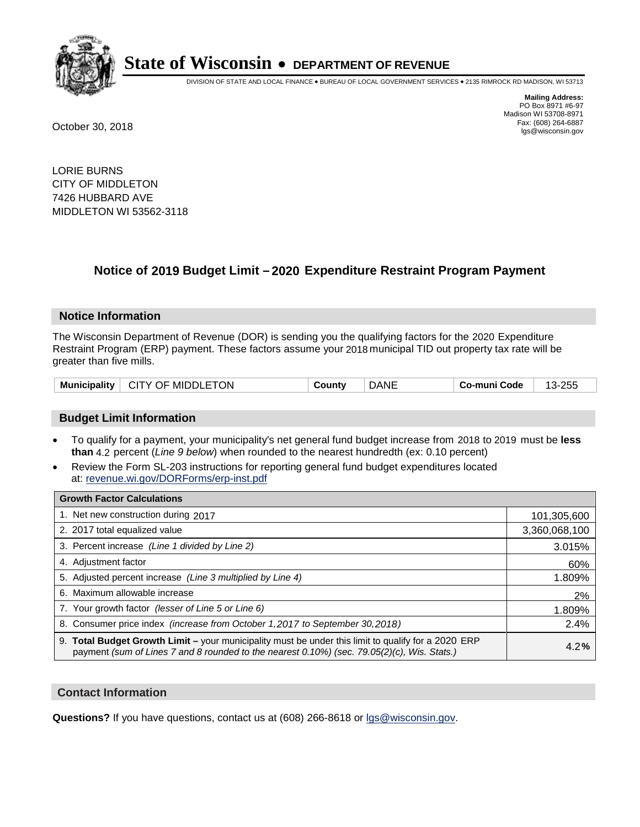

DIVISION OF STATE AND LOCAL FINANCE • BUREAU OF LOCAL GOVERNMENT SERVICES • 2135 RIMROCK RD MADISON, WI 53713

**Mailing Address:** PO Box 8971 #6-97 Madison WI 53708-8971<br>Fax: (608) 264-6887 Fax: (608) 264-6887 October 30, 2018 lgs@wisconsin.gov

LORIE BURNS CITY OF MIDDLETON 7426 HUBBARD AVE MIDDLETON WI 53562-3118

### **Notice of 2019 Budget Limit - 2020 Expenditure Restraint Program Payment**

#### **Notice Information**

The Wisconsin Department of Revenue (DOR) is sending you the qualifying factors for the 2020 Expenditure Restraint Program (ERP) payment. These factors assume your 2018 municipal TID out property tax rate will be greater than five mills.

| CITY OF MIDDLETON<br><b>Municipality</b> | County | <b>DANE</b> | Co-muni Code | 13-255<br>w. |
|------------------------------------------|--------|-------------|--------------|--------------|
|------------------------------------------|--------|-------------|--------------|--------------|

#### **Budget Limit Information**

- To qualify for a payment, your municipality's net general fund budget increase from 2018 to 2019 must be less **than** 4.2 percent (*Line 9 below*) when rounded to the nearest hundredth (ex: 0.10 percent)
- Review the Form SL-203 instructions for reporting general fund budget expenditures located at: revenue.wi.gov/DORForms/erp-inst.pdf

| <b>Growth Factor Calculations</b>                                                                                                                                                                  |               |
|----------------------------------------------------------------------------------------------------------------------------------------------------------------------------------------------------|---------------|
| 1. Net new construction during 2017                                                                                                                                                                | 101,305,600   |
| 2. 2017 total equalized value                                                                                                                                                                      | 3,360,068,100 |
| 3. Percent increase (Line 1 divided by Line 2)                                                                                                                                                     | 3.015%        |
| 4. Adjustment factor                                                                                                                                                                               | 60%           |
| 5. Adjusted percent increase (Line 3 multiplied by Line 4)                                                                                                                                         | 1.809%        |
| 6. Maximum allowable increase                                                                                                                                                                      | 2%            |
| 7. Your growth factor (lesser of Line 5 or Line 6)                                                                                                                                                 | 1.809%        |
| 8. Consumer price index (increase from October 1, 2017 to September 30, 2018)                                                                                                                      | 2.4%          |
| 9. Total Budget Growth Limit - your municipality must be under this limit to qualify for a 2020 ERP<br>payment (sum of Lines 7 and 8 rounded to the nearest 0.10%) (sec. 79.05(2)(c), Wis. Stats.) | 4.2%          |

#### **Contact Information**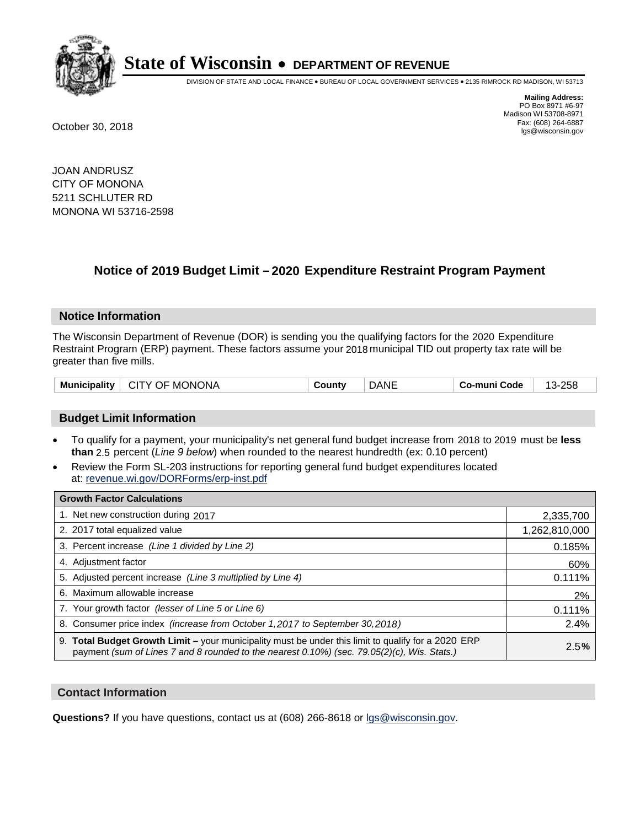

DIVISION OF STATE AND LOCAL FINANCE • BUREAU OF LOCAL GOVERNMENT SERVICES • 2135 RIMROCK RD MADISON, WI 53713

**Mailing Address:** PO Box 8971 #6-97 Madison WI 53708-8971<br>Fax: (608) 264-6887 Fax: (608) 264-6887 October 30, 2018 lgs@wisconsin.gov

JOAN ANDRUSZ CITY OF MONONA 5211 SCHLUTER RD MONONA WI 53716-2598

### **Notice of 2019 Budget Limit - 2020 Expenditure Restraint Program Payment**

#### **Notice Information**

The Wisconsin Department of Revenue (DOR) is sending you the qualifying factors for the 2020 Expenditure Restraint Program (ERP) payment. These factors assume your 2018 municipal TID out property tax rate will be greater than five mills.

| <b>Municipality</b> | <b>MONONA</b><br>CITY OF | ∵ountٽ | )ANE | Code<br>-mun<br>Co. | $-258$<br>$\sim$<br><u>`</u> |
|---------------------|--------------------------|--------|------|---------------------|------------------------------|
|---------------------|--------------------------|--------|------|---------------------|------------------------------|

#### **Budget Limit Information**

- To qualify for a payment, your municipality's net general fund budget increase from 2018 to 2019 must be less **than** 2.5 percent (*Line 9 below*) when rounded to the nearest hundredth (ex: 0.10 percent)
- Review the Form SL-203 instructions for reporting general fund budget expenditures located at: revenue.wi.gov/DORForms/erp-inst.pdf

| <b>Growth Factor Calculations</b>                                                                                                                                                                      |               |
|--------------------------------------------------------------------------------------------------------------------------------------------------------------------------------------------------------|---------------|
| 1. Net new construction during 2017                                                                                                                                                                    | 2,335,700     |
| 2. 2017 total equalized value                                                                                                                                                                          | 1,262,810,000 |
| 3. Percent increase (Line 1 divided by Line 2)                                                                                                                                                         | 0.185%        |
| 4. Adjustment factor                                                                                                                                                                                   | 60%           |
| 5. Adjusted percent increase (Line 3 multiplied by Line 4)                                                                                                                                             | 0.111%        |
| 6. Maximum allowable increase                                                                                                                                                                          | 2%            |
| 7. Your growth factor (lesser of Line 5 or Line 6)                                                                                                                                                     | 0.111%        |
| 8. Consumer price index (increase from October 1, 2017 to September 30, 2018)                                                                                                                          | 2.4%          |
| 9. Total Budget Growth Limit - your municipality must be under this limit to qualify for a 2020 ERP<br>payment (sum of Lines 7 and 8 rounded to the nearest $0.10\%$ ) (sec. 79.05(2)(c), Wis. Stats.) | 2.5%          |

#### **Contact Information**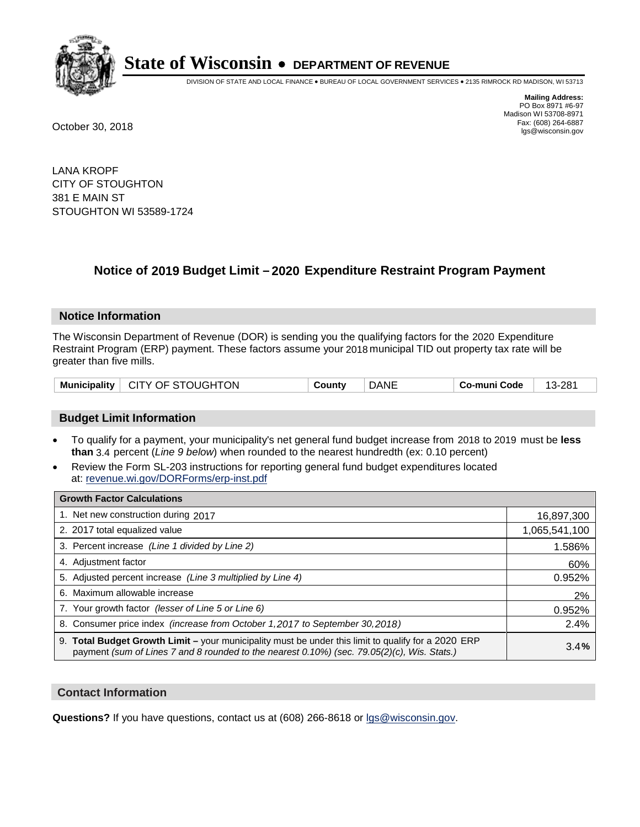

DIVISION OF STATE AND LOCAL FINANCE • BUREAU OF LOCAL GOVERNMENT SERVICES • 2135 RIMROCK RD MADISON, WI 53713

**Mailing Address:** PO Box 8971 #6-97 Madison WI 53708-8971<br>Fax: (608) 264-6887 Fax: (608) 264-6887 October 30, 2018 lgs@wisconsin.gov

LANA KROPF CITY OF STOUGHTON 381 E MAIN ST STOUGHTON WI 53589-1724

### **Notice of 2019 Budget Limit - 2020 Expenditure Restraint Program Payment**

#### **Notice Information**

The Wisconsin Department of Revenue (DOR) is sending you the qualifying factors for the 2020 Expenditure Restraint Program (ERP) payment. These factors assume your 2018 municipal TID out property tax rate will be greater than five mills.

| Municipality   CITY OF STOUGHTON | County | <b>DANE</b> | Co-muni Code | 13-281 |
|----------------------------------|--------|-------------|--------------|--------|
|----------------------------------|--------|-------------|--------------|--------|

#### **Budget Limit Information**

- To qualify for a payment, your municipality's net general fund budget increase from 2018 to 2019 must be less **than** 3.4 percent (*Line 9 below*) when rounded to the nearest hundredth (ex: 0.10 percent)
- Review the Form SL-203 instructions for reporting general fund budget expenditures located at: revenue.wi.gov/DORForms/erp-inst.pdf

| <b>Growth Factor Calculations</b>                                                                                                                                                                  |               |
|----------------------------------------------------------------------------------------------------------------------------------------------------------------------------------------------------|---------------|
| 1. Net new construction during 2017                                                                                                                                                                | 16,897,300    |
| 2. 2017 total equalized value                                                                                                                                                                      | 1,065,541,100 |
| 3. Percent increase (Line 1 divided by Line 2)                                                                                                                                                     | 1.586%        |
| 4. Adjustment factor                                                                                                                                                                               | 60%           |
| 5. Adjusted percent increase (Line 3 multiplied by Line 4)                                                                                                                                         | 0.952%        |
| 6. Maximum allowable increase                                                                                                                                                                      | 2%            |
| 7. Your growth factor (lesser of Line 5 or Line 6)                                                                                                                                                 | 0.952%        |
| 8. Consumer price index (increase from October 1,2017 to September 30,2018)                                                                                                                        | 2.4%          |
| 9. Total Budget Growth Limit - your municipality must be under this limit to qualify for a 2020 ERP<br>payment (sum of Lines 7 and 8 rounded to the nearest 0.10%) (sec. 79.05(2)(c), Wis. Stats.) | 3.4%          |

#### **Contact Information**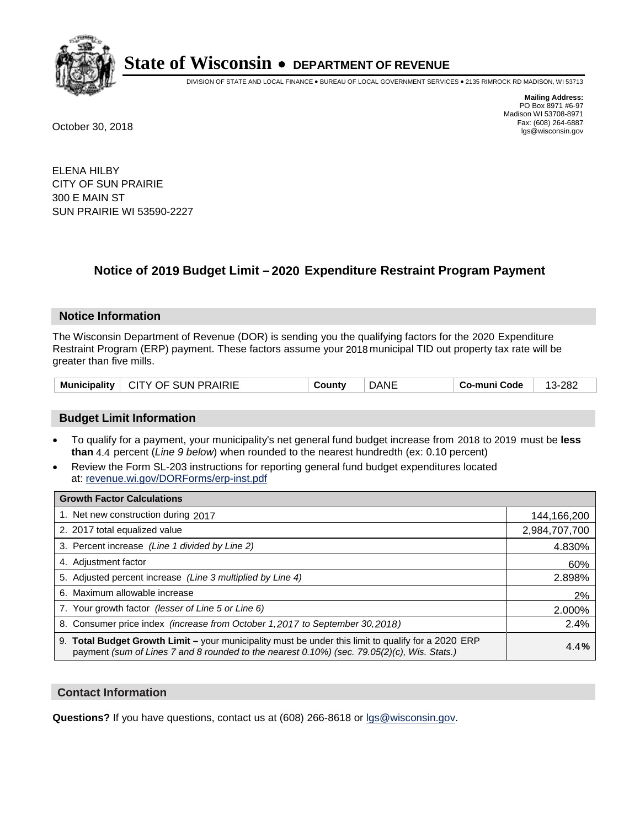

DIVISION OF STATE AND LOCAL FINANCE • BUREAU OF LOCAL GOVERNMENT SERVICES • 2135 RIMROCK RD MADISON, WI 53713

**Mailing Address:** PO Box 8971 #6-97 Madison WI 53708-8971<br>Fax: (608) 264-6887 Fax: (608) 264-6887 October 30, 2018 lgs@wisconsin.gov

ELENA HILBY CITY OF SUN PRAIRIE 300 E MAIN ST SUN PRAIRIE WI 53590-2227

### **Notice of 2019 Budget Limit - 2020 Expenditure Restraint Program Payment**

#### **Notice Information**

The Wisconsin Department of Revenue (DOR) is sending you the qualifying factors for the 2020 Expenditure Restraint Program (ERP) payment. These factors assume your 2018 municipal TID out property tax rate will be greater than five mills.

| <b>Municipality</b> | <b>CITY OF SUN PRAIRIE</b> | `ountv | DANE | Co-muni Code | -282<br>-13- |
|---------------------|----------------------------|--------|------|--------------|--------------|
|---------------------|----------------------------|--------|------|--------------|--------------|

#### **Budget Limit Information**

- To qualify for a payment, your municipality's net general fund budget increase from 2018 to 2019 must be less **than** 4.4 percent (*Line 9 below*) when rounded to the nearest hundredth (ex: 0.10 percent)
- Review the Form SL-203 instructions for reporting general fund budget expenditures located at: revenue.wi.gov/DORForms/erp-inst.pdf

| <b>Growth Factor Calculations</b>                                                                                                                                                                  |               |
|----------------------------------------------------------------------------------------------------------------------------------------------------------------------------------------------------|---------------|
| 1. Net new construction during 2017                                                                                                                                                                | 144,166,200   |
| 2. 2017 total equalized value                                                                                                                                                                      | 2,984,707,700 |
| 3. Percent increase (Line 1 divided by Line 2)                                                                                                                                                     | 4.830%        |
| 4. Adjustment factor                                                                                                                                                                               | 60%           |
| 5. Adjusted percent increase (Line 3 multiplied by Line 4)                                                                                                                                         | 2.898%        |
| 6. Maximum allowable increase                                                                                                                                                                      | 2%            |
| 7. Your growth factor (lesser of Line 5 or Line 6)                                                                                                                                                 | 2.000%        |
| 8. Consumer price index (increase from October 1,2017 to September 30,2018)                                                                                                                        | 2.4%          |
| 9. Total Budget Growth Limit - your municipality must be under this limit to qualify for a 2020 ERP<br>payment (sum of Lines 7 and 8 rounded to the nearest 0.10%) (sec. 79.05(2)(c), Wis. Stats.) | 4.4%          |

#### **Contact Information**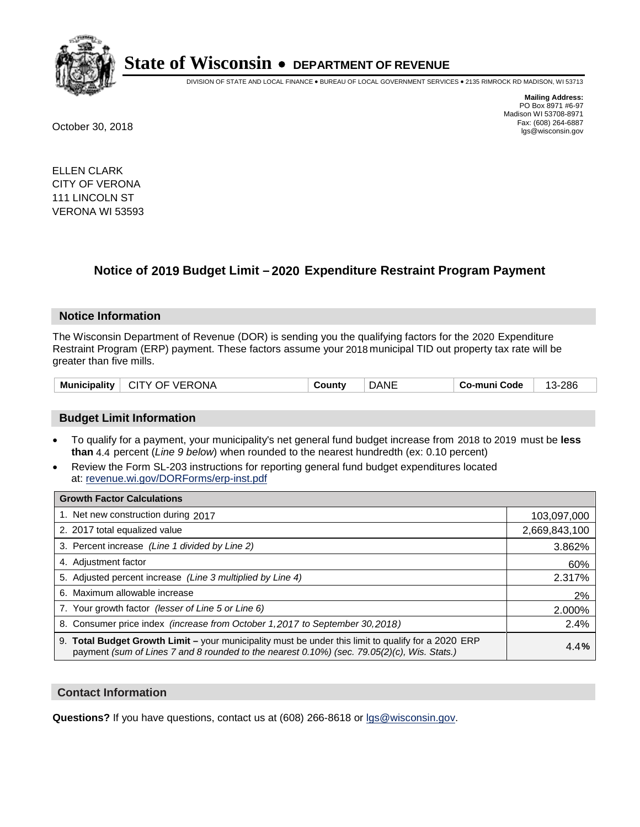

DIVISION OF STATE AND LOCAL FINANCE • BUREAU OF LOCAL GOVERNMENT SERVICES • 2135 RIMROCK RD MADISON, WI 53713

**Mailing Address:** PO Box 8971 #6-97 Madison WI 53708-8971<br>Fax: (608) 264-6887 Fax: (608) 264-6887 October 30, 2018 lgs@wisconsin.gov

ELLEN CLARK CITY OF VERONA 111 LINCOLN ST VERONA WI 53593

### **Notice of 2019 Budget Limit - 2020 Expenditure Restraint Program Payment**

#### **Notice Information**

The Wisconsin Department of Revenue (DOR) is sending you the qualifying factors for the 2020 Expenditure Restraint Program (ERP) payment. These factors assume your 2018 municipal TID out property tax rate will be greater than five mills.

| <b>Municipality</b> | VERONA<br>OF<br>- CITY - | صount∡ | JANI | Co-muni Code | 286<br>$\overline{ }$ |
|---------------------|--------------------------|--------|------|--------------|-----------------------|
|---------------------|--------------------------|--------|------|--------------|-----------------------|

#### **Budget Limit Information**

- To qualify for a payment, your municipality's net general fund budget increase from 2018 to 2019 must be less **than** 4.4 percent (*Line 9 below*) when rounded to the nearest hundredth (ex: 0.10 percent)
- Review the Form SL-203 instructions for reporting general fund budget expenditures located at: revenue.wi.gov/DORForms/erp-inst.pdf

| <b>Growth Factor Calculations</b>                                                                                                                                                                      |               |
|--------------------------------------------------------------------------------------------------------------------------------------------------------------------------------------------------------|---------------|
| 1. Net new construction during 2017                                                                                                                                                                    | 103,097,000   |
| 2. 2017 total equalized value                                                                                                                                                                          | 2,669,843,100 |
| 3. Percent increase (Line 1 divided by Line 2)                                                                                                                                                         | 3.862%        |
| 4. Adjustment factor                                                                                                                                                                                   | 60%           |
| 5. Adjusted percent increase (Line 3 multiplied by Line 4)                                                                                                                                             | 2.317%        |
| 6. Maximum allowable increase                                                                                                                                                                          | 2%            |
| 7. Your growth factor (lesser of Line 5 or Line 6)                                                                                                                                                     | 2.000%        |
| 8. Consumer price index (increase from October 1,2017 to September 30,2018)                                                                                                                            | 2.4%          |
| 9. Total Budget Growth Limit - your municipality must be under this limit to qualify for a 2020 ERP<br>payment (sum of Lines 7 and 8 rounded to the nearest $0.10\%$ ) (sec. 79.05(2)(c), Wis. Stats.) | 4.4%          |

#### **Contact Information**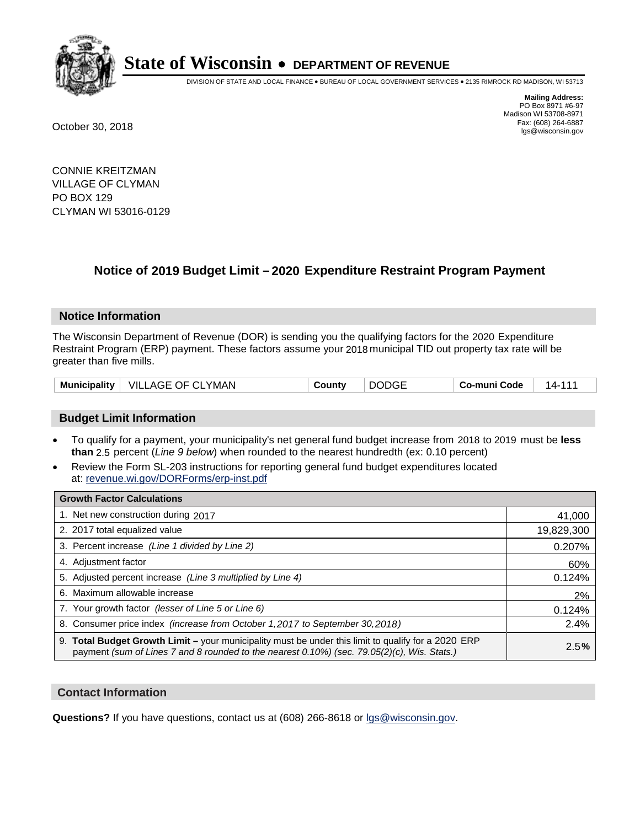

DIVISION OF STATE AND LOCAL FINANCE • BUREAU OF LOCAL GOVERNMENT SERVICES • 2135 RIMROCK RD MADISON, WI 53713

**Mailing Address:** PO Box 8971 #6-97 Madison WI 53708-8971<br>Fax: (608) 264-6887 Fax: (608) 264-6887 October 30, 2018 lgs@wisconsin.gov

CONNIE KREITZMAN VILLAGE OF CLYMAN PO BOX 129 CLYMAN WI 53016-0129

### **Notice of 2019 Budget Limit - 2020 Expenditure Restraint Program Payment**

#### **Notice Information**

The Wisconsin Department of Revenue (DOR) is sending you the qualifying factors for the 2020 Expenditure Restraint Program (ERP) payment. These factors assume your 2018 municipal TID out property tax rate will be greater than five mills.

| <b>Municipality</b> | VILLAGE OF CLYMAN | County | <b>DODGE</b> | Co-muni Code | 14- |
|---------------------|-------------------|--------|--------------|--------------|-----|
|---------------------|-------------------|--------|--------------|--------------|-----|

#### **Budget Limit Information**

- To qualify for a payment, your municipality's net general fund budget increase from 2018 to 2019 must be less **than** 2.5 percent (*Line 9 below*) when rounded to the nearest hundredth (ex: 0.10 percent)
- Review the Form SL-203 instructions for reporting general fund budget expenditures located at: revenue.wi.gov/DORForms/erp-inst.pdf

| <b>Growth Factor Calculations</b>                                                                                                                                                                      |            |
|--------------------------------------------------------------------------------------------------------------------------------------------------------------------------------------------------------|------------|
| 1. Net new construction during 2017                                                                                                                                                                    | 41,000     |
| 2. 2017 total equalized value                                                                                                                                                                          | 19,829,300 |
| 3. Percent increase (Line 1 divided by Line 2)                                                                                                                                                         | 0.207%     |
| 4. Adjustment factor                                                                                                                                                                                   | 60%        |
| 5. Adjusted percent increase (Line 3 multiplied by Line 4)                                                                                                                                             | 0.124%     |
| 6. Maximum allowable increase                                                                                                                                                                          | 2%         |
| 7. Your growth factor (lesser of Line 5 or Line 6)                                                                                                                                                     | 0.124%     |
| 8. Consumer price index (increase from October 1, 2017 to September 30, 2018)                                                                                                                          | 2.4%       |
| 9. Total Budget Growth Limit - your municipality must be under this limit to qualify for a 2020 ERP<br>payment (sum of Lines 7 and 8 rounded to the nearest $0.10\%$ ) (sec. 79.05(2)(c), Wis. Stats.) | 2.5%       |

#### **Contact Information**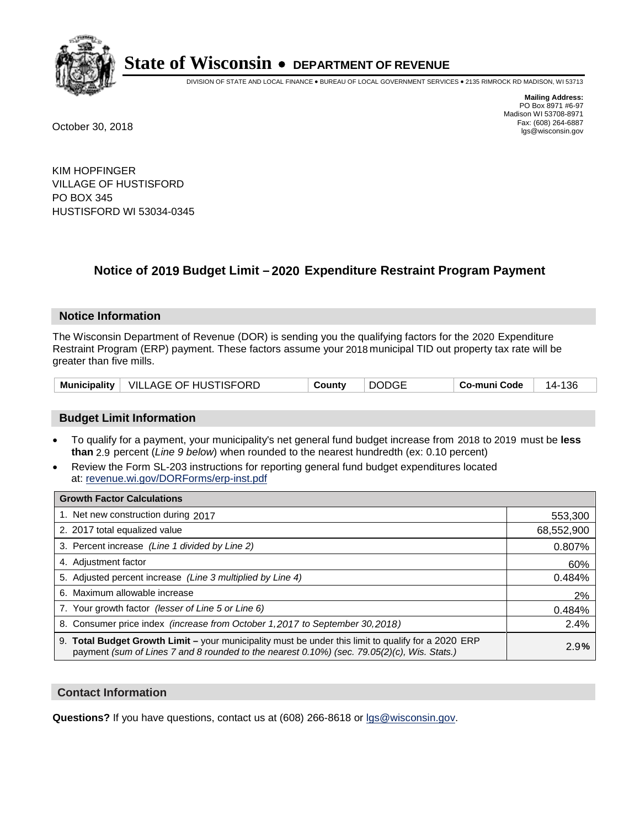

DIVISION OF STATE AND LOCAL FINANCE • BUREAU OF LOCAL GOVERNMENT SERVICES • 2135 RIMROCK RD MADISON, WI 53713

**Mailing Address:** PO Box 8971 #6-97 Madison WI 53708-8971<br>Fax: (608) 264-6887 Fax: (608) 264-6887 October 30, 2018 lgs@wisconsin.gov

KIM HOPFINGER VILLAGE OF HUSTISFORD PO BOX 345 HUSTISFORD WI 53034-0345

### **Notice of 2019 Budget Limit - 2020 Expenditure Restraint Program Payment**

#### **Notice Information**

The Wisconsin Department of Revenue (DOR) is sending you the qualifying factors for the 2020 Expenditure Restraint Program (ERP) payment. These factors assume your 2018 municipal TID out property tax rate will be greater than five mills.

|  | Municipality   VILLAGE OF HUSTISFORD | County | <b>DODGE</b> | Co-muni Code | 14-136 |
|--|--------------------------------------|--------|--------------|--------------|--------|
|--|--------------------------------------|--------|--------------|--------------|--------|

#### **Budget Limit Information**

- To qualify for a payment, your municipality's net general fund budget increase from 2018 to 2019 must be less **than** 2.9 percent (*Line 9 below*) when rounded to the nearest hundredth (ex: 0.10 percent)
- Review the Form SL-203 instructions for reporting general fund budget expenditures located at: revenue.wi.gov/DORForms/erp-inst.pdf

| <b>Growth Factor Calculations</b>                                                                                                                                                                      |            |
|--------------------------------------------------------------------------------------------------------------------------------------------------------------------------------------------------------|------------|
| 1. Net new construction during 2017                                                                                                                                                                    | 553,300    |
| 2. 2017 total equalized value                                                                                                                                                                          | 68,552,900 |
| 3. Percent increase (Line 1 divided by Line 2)                                                                                                                                                         | 0.807%     |
| 4. Adjustment factor                                                                                                                                                                                   | 60%        |
| 5. Adjusted percent increase (Line 3 multiplied by Line 4)                                                                                                                                             | 0.484%     |
| 6. Maximum allowable increase                                                                                                                                                                          | 2%         |
| 7. Your growth factor (lesser of Line 5 or Line 6)                                                                                                                                                     | 0.484%     |
| 8. Consumer price index (increase from October 1,2017 to September 30,2018)                                                                                                                            | 2.4%       |
| 9. Total Budget Growth Limit - your municipality must be under this limit to qualify for a 2020 ERP<br>payment (sum of Lines 7 and 8 rounded to the nearest $0.10\%$ ) (sec. 79.05(2)(c), Wis. Stats.) | 2.9%       |

#### **Contact Information**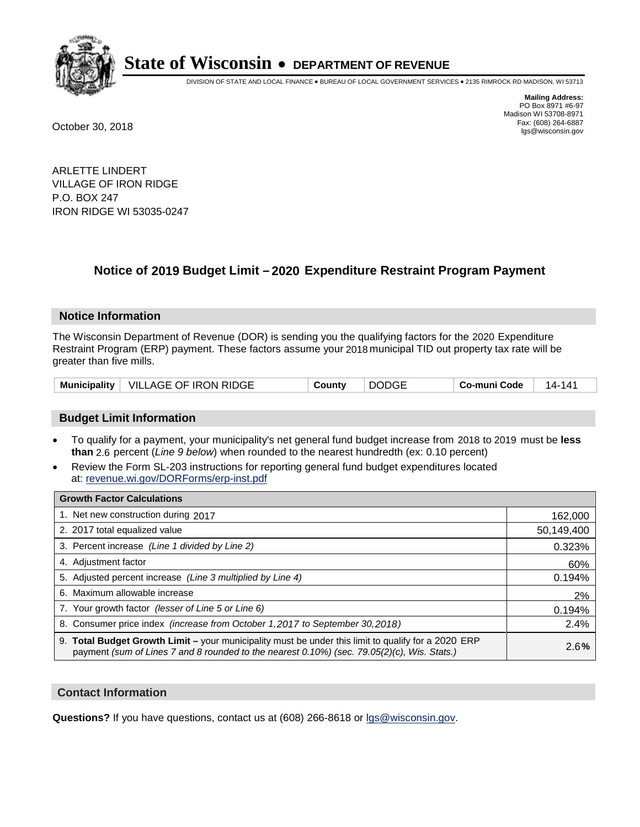

DIVISION OF STATE AND LOCAL FINANCE • BUREAU OF LOCAL GOVERNMENT SERVICES • 2135 RIMROCK RD MADISON, WI 53713

**Mailing Address:** PO Box 8971 #6-97 Madison WI 53708-8971<br>Fax: (608) 264-6887 Fax: (608) 264-6887 October 30, 2018 lgs@wisconsin.gov

ARLETTE LINDERT VILLAGE OF IRON RIDGE P.O. BOX 247 IRON RIDGE WI 53035-0247

### **Notice of 2019 Budget Limit - 2020 Expenditure Restraint Program Payment**

#### **Notice Information**

The Wisconsin Department of Revenue (DOR) is sending you the qualifying factors for the 2020 Expenditure Restraint Program (ERP) payment. These factors assume your 2018 municipal TID out property tax rate will be greater than five mills.

|  | Municipality   VILLAGE OF IRON RIDGE | County | <b>DODGE</b> | Co-muni Code | 14- . |
|--|--------------------------------------|--------|--------------|--------------|-------|
|--|--------------------------------------|--------|--------------|--------------|-------|

#### **Budget Limit Information**

- To qualify for a payment, your municipality's net general fund budget increase from 2018 to 2019 must be less **than** 2.6 percent (*Line 9 below*) when rounded to the nearest hundredth (ex: 0.10 percent)
- Review the Form SL-203 instructions for reporting general fund budget expenditures located at: revenue.wi.gov/DORForms/erp-inst.pdf

| <b>Growth Factor Calculations</b>                                                                                                                                                                      |            |
|--------------------------------------------------------------------------------------------------------------------------------------------------------------------------------------------------------|------------|
| 1. Net new construction during 2017                                                                                                                                                                    | 162,000    |
| 2. 2017 total equalized value                                                                                                                                                                          | 50,149,400 |
| 3. Percent increase (Line 1 divided by Line 2)                                                                                                                                                         | 0.323%     |
| 4. Adjustment factor                                                                                                                                                                                   | 60%        |
| 5. Adjusted percent increase (Line 3 multiplied by Line 4)                                                                                                                                             | 0.194%     |
| 6. Maximum allowable increase                                                                                                                                                                          | 2%         |
| 7. Your growth factor (lesser of Line 5 or Line 6)                                                                                                                                                     | 0.194%     |
| 8. Consumer price index (increase from October 1, 2017 to September 30, 2018)                                                                                                                          | 2.4%       |
| 9. Total Budget Growth Limit - your municipality must be under this limit to qualify for a 2020 ERP<br>payment (sum of Lines 7 and 8 rounded to the nearest $0.10\%$ ) (sec. 79.05(2)(c), Wis. Stats.) | 2.6%       |

#### **Contact Information**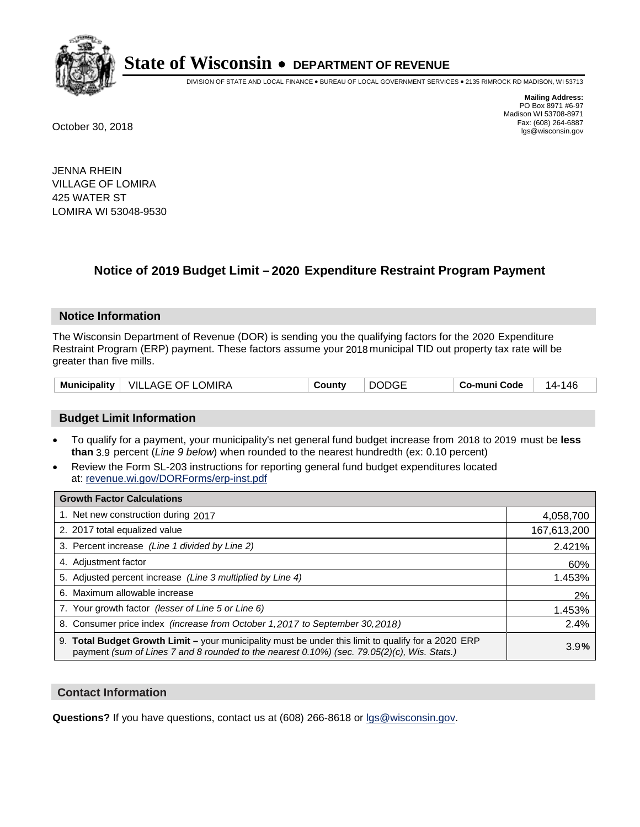

DIVISION OF STATE AND LOCAL FINANCE • BUREAU OF LOCAL GOVERNMENT SERVICES • 2135 RIMROCK RD MADISON, WI 53713

**Mailing Address:** PO Box 8971 #6-97 Madison WI 53708-8971<br>Fax: (608) 264-6887 Fax: (608) 264-6887 October 30, 2018 lgs@wisconsin.gov

JENNA RHEIN VILLAGE OF LOMIRA 425 WATER ST LOMIRA WI 53048-9530

## **Notice of 2019 Budget Limit - 2020 Expenditure Restraint Program Payment**

#### **Notice Information**

The Wisconsin Department of Revenue (DOR) is sending you the qualifying factors for the 2020 Expenditure Restraint Program (ERP) payment. These factors assume your 2018 municipal TID out property tax rate will be greater than five mills.

#### **Budget Limit Information**

- To qualify for a payment, your municipality's net general fund budget increase from 2018 to 2019 must be less **than** 3.9 percent (*Line 9 below*) when rounded to the nearest hundredth (ex: 0.10 percent)
- Review the Form SL-203 instructions for reporting general fund budget expenditures located at: revenue.wi.gov/DORForms/erp-inst.pdf

| <b>Growth Factor Calculations</b>                                                                                                                                                                      |             |
|--------------------------------------------------------------------------------------------------------------------------------------------------------------------------------------------------------|-------------|
| 1. Net new construction during 2017                                                                                                                                                                    | 4,058,700   |
| 2. 2017 total equalized value                                                                                                                                                                          | 167,613,200 |
| 3. Percent increase (Line 1 divided by Line 2)                                                                                                                                                         | 2.421%      |
| 4. Adjustment factor                                                                                                                                                                                   | 60%         |
| 5. Adjusted percent increase (Line 3 multiplied by Line 4)                                                                                                                                             | 1.453%      |
| 6. Maximum allowable increase                                                                                                                                                                          | 2%          |
| 7. Your growth factor (lesser of Line 5 or Line 6)                                                                                                                                                     | 1.453%      |
| 8. Consumer price index (increase from October 1,2017 to September 30,2018)                                                                                                                            | 2.4%        |
| 9. Total Budget Growth Limit - your municipality must be under this limit to qualify for a 2020 ERP<br>payment (sum of Lines 7 and 8 rounded to the nearest $0.10\%$ ) (sec. 79.05(2)(c), Wis. Stats.) | 3.9%        |

#### **Contact Information**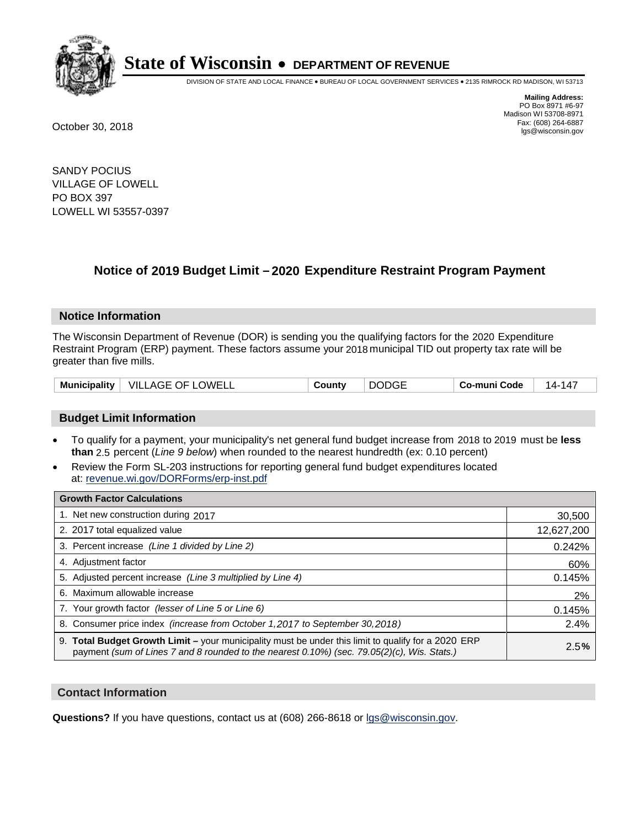

DIVISION OF STATE AND LOCAL FINANCE • BUREAU OF LOCAL GOVERNMENT SERVICES • 2135 RIMROCK RD MADISON, WI 53713

**Mailing Address:** PO Box 8971 #6-97 Madison WI 53708-8971<br>Fax: (608) 264-6887 Fax: (608) 264-6887 October 30, 2018 lgs@wisconsin.gov

SANDY POCIUS VILLAGE OF LOWELL PO BOX 397 LOWELL WI 53557-0397

### **Notice of 2019 Budget Limit - 2020 Expenditure Restraint Program Payment**

#### **Notice Information**

The Wisconsin Department of Revenue (DOR) is sending you the qualifying factors for the 2020 Expenditure Restraint Program (ERP) payment. These factors assume your 2018 municipal TID out property tax rate will be greater than five mills.

#### **Budget Limit Information**

- To qualify for a payment, your municipality's net general fund budget increase from 2018 to 2019 must be less **than** 2.5 percent (*Line 9 below*) when rounded to the nearest hundredth (ex: 0.10 percent)
- Review the Form SL-203 instructions for reporting general fund budget expenditures located at: revenue.wi.gov/DORForms/erp-inst.pdf

| <b>Growth Factor Calculations</b>                                                                                                                                                                      |            |
|--------------------------------------------------------------------------------------------------------------------------------------------------------------------------------------------------------|------------|
| 1. Net new construction during 2017                                                                                                                                                                    | 30,500     |
| 2. 2017 total equalized value                                                                                                                                                                          | 12,627,200 |
| 3. Percent increase (Line 1 divided by Line 2)                                                                                                                                                         | 0.242%     |
| 4. Adjustment factor                                                                                                                                                                                   | 60%        |
| 5. Adjusted percent increase (Line 3 multiplied by Line 4)                                                                                                                                             | 0.145%     |
| 6. Maximum allowable increase                                                                                                                                                                          | 2%         |
| 7. Your growth factor (lesser of Line 5 or Line 6)                                                                                                                                                     | 0.145%     |
| 8. Consumer price index (increase from October 1, 2017 to September 30, 2018)                                                                                                                          | 2.4%       |
| 9. Total Budget Growth Limit - your municipality must be under this limit to qualify for a 2020 ERP<br>payment (sum of Lines 7 and 8 rounded to the nearest $0.10\%$ ) (sec. 79.05(2)(c), Wis. Stats.) | 2.5%       |

#### **Contact Information**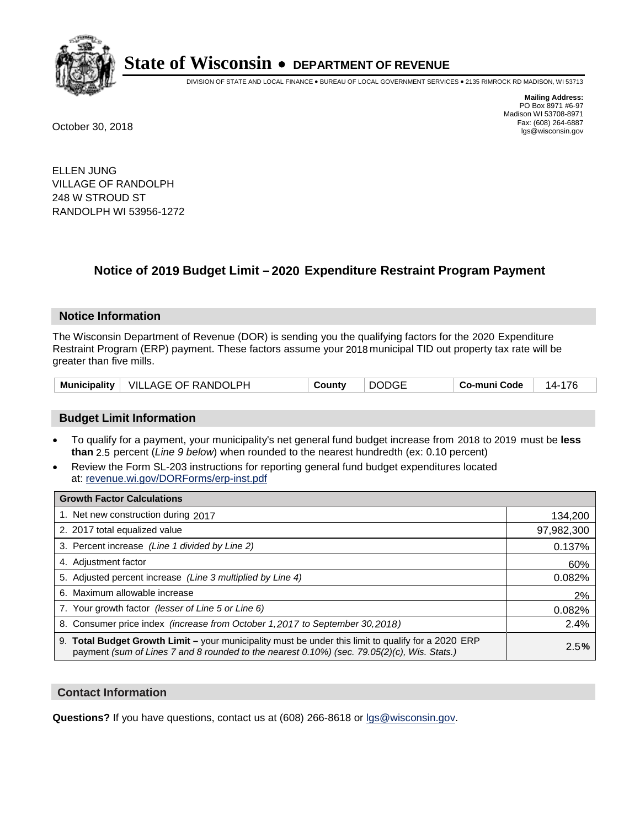

DIVISION OF STATE AND LOCAL FINANCE • BUREAU OF LOCAL GOVERNMENT SERVICES • 2135 RIMROCK RD MADISON, WI 53713

**Mailing Address:** PO Box 8971 #6-97 Madison WI 53708-8971<br>Fax: (608) 264-6887 Fax: (608) 264-6887 October 30, 2018 lgs@wisconsin.gov

ELLEN JUNG VILLAGE OF RANDOLPH 248 W STROUD ST RANDOLPH WI 53956-1272

### **Notice of 2019 Budget Limit - 2020 Expenditure Restraint Program Payment**

#### **Notice Information**

The Wisconsin Department of Revenue (DOR) is sending you the qualifying factors for the 2020 Expenditure Restraint Program (ERP) payment. These factors assume your 2018 municipal TID out property tax rate will be greater than five mills.

| Municipality   VILLAGE OF RANDOLPH | County | <b>DODGE</b> | Co-muni Code | 14-176 |
|------------------------------------|--------|--------------|--------------|--------|
|------------------------------------|--------|--------------|--------------|--------|

#### **Budget Limit Information**

- To qualify for a payment, your municipality's net general fund budget increase from 2018 to 2019 must be less **than** 2.5 percent (*Line 9 below*) when rounded to the nearest hundredth (ex: 0.10 percent)
- Review the Form SL-203 instructions for reporting general fund budget expenditures located at: revenue.wi.gov/DORForms/erp-inst.pdf

| <b>Growth Factor Calculations</b>                                                                                                                                                                      |            |
|--------------------------------------------------------------------------------------------------------------------------------------------------------------------------------------------------------|------------|
| 1. Net new construction during 2017                                                                                                                                                                    | 134,200    |
| 2. 2017 total equalized value                                                                                                                                                                          | 97,982,300 |
| 3. Percent increase (Line 1 divided by Line 2)                                                                                                                                                         | 0.137%     |
| 4. Adjustment factor                                                                                                                                                                                   | 60%        |
| 5. Adjusted percent increase (Line 3 multiplied by Line 4)                                                                                                                                             | 0.082%     |
| 6. Maximum allowable increase                                                                                                                                                                          | 2%         |
| 7. Your growth factor (lesser of Line 5 or Line 6)                                                                                                                                                     | 0.082%     |
| 8. Consumer price index (increase from October 1,2017 to September 30,2018)                                                                                                                            | 2.4%       |
| 9. Total Budget Growth Limit - your municipality must be under this limit to qualify for a 2020 ERP<br>payment (sum of Lines 7 and 8 rounded to the nearest $0.10\%$ ) (sec. 79.05(2)(c), Wis. Stats.) | 2.5%       |

#### **Contact Information**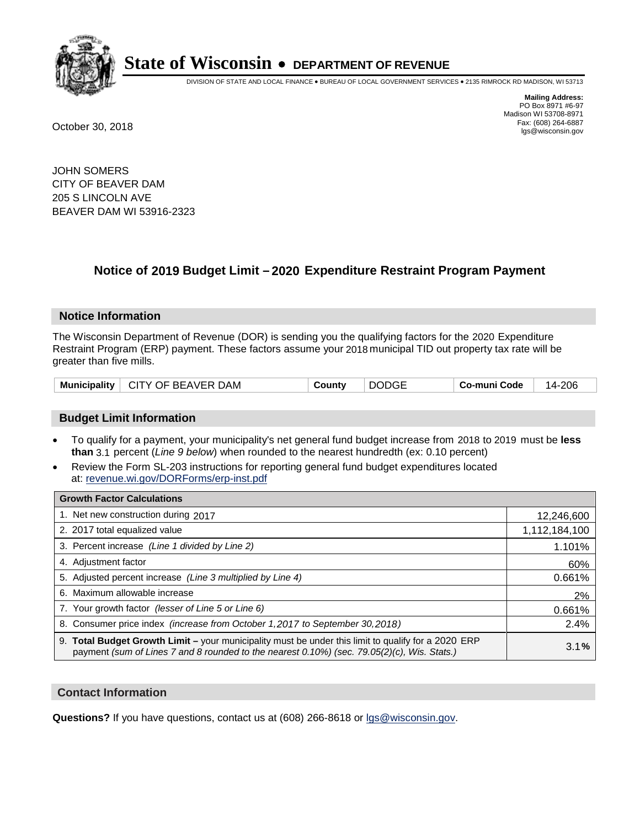

DIVISION OF STATE AND LOCAL FINANCE • BUREAU OF LOCAL GOVERNMENT SERVICES • 2135 RIMROCK RD MADISON, WI 53713

**Mailing Address:** PO Box 8971 #6-97 Madison WI 53708-8971<br>Fax: (608) 264-6887 Fax: (608) 264-6887 October 30, 2018 lgs@wisconsin.gov

JOHN SOMERS CITY OF BEAVER DAM 205 S LINCOLN AVE BEAVER DAM WI 53916-2323

## **Notice of 2019 Budget Limit - 2020 Expenditure Restraint Program Payment**

#### **Notice Information**

The Wisconsin Department of Revenue (DOR) is sending you the qualifying factors for the 2020 Expenditure Restraint Program (ERP) payment. These factors assume your 2018 municipal TID out property tax rate will be greater than five mills.

#### **Budget Limit Information**

- To qualify for a payment, your municipality's net general fund budget increase from 2018 to 2019 must be less **than** 3.1 percent (*Line 9 below*) when rounded to the nearest hundredth (ex: 0.10 percent)
- Review the Form SL-203 instructions for reporting general fund budget expenditures located at: revenue.wi.gov/DORForms/erp-inst.pdf

| <b>Growth Factor Calculations</b>                                                                                                                                                                  |               |
|----------------------------------------------------------------------------------------------------------------------------------------------------------------------------------------------------|---------------|
| 1. Net new construction during 2017                                                                                                                                                                | 12,246,600    |
| 2. 2017 total equalized value                                                                                                                                                                      | 1,112,184,100 |
| 3. Percent increase (Line 1 divided by Line 2)                                                                                                                                                     | 1.101%        |
| 4. Adjustment factor                                                                                                                                                                               | 60%           |
| 5. Adjusted percent increase (Line 3 multiplied by Line 4)                                                                                                                                         | 0.661%        |
| 6. Maximum allowable increase                                                                                                                                                                      | 2%            |
| 7. Your growth factor (lesser of Line 5 or Line 6)                                                                                                                                                 | 0.661%        |
| 8. Consumer price index (increase from October 1,2017 to September 30,2018)                                                                                                                        | 2.4%          |
| 9. Total Budget Growth Limit - your municipality must be under this limit to qualify for a 2020 ERP<br>payment (sum of Lines 7 and 8 rounded to the nearest 0.10%) (sec. 79.05(2)(c), Wis. Stats.) | 3.1%          |

#### **Contact Information**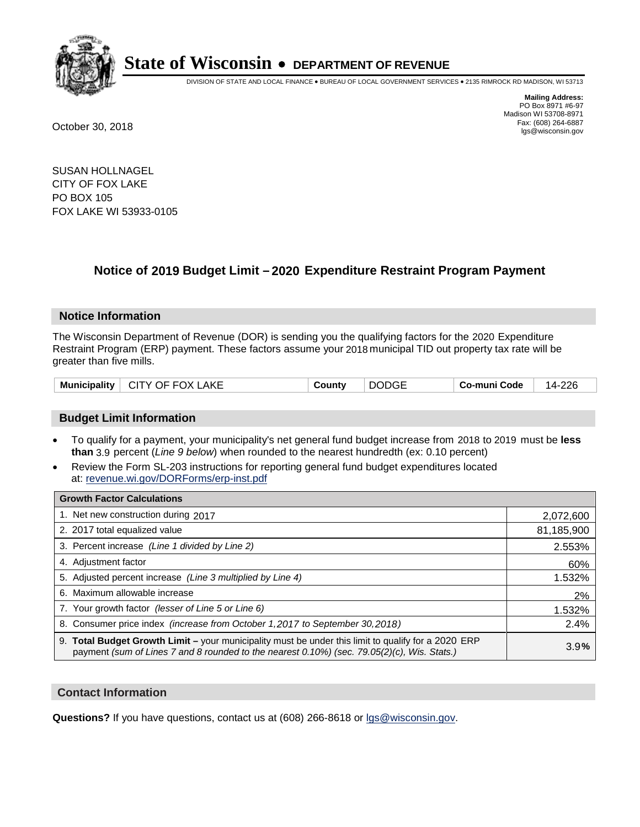

DIVISION OF STATE AND LOCAL FINANCE • BUREAU OF LOCAL GOVERNMENT SERVICES • 2135 RIMROCK RD MADISON, WI 53713

**Mailing Address:** PO Box 8971 #6-97 Madison WI 53708-8971<br>Fax: (608) 264-6887 Fax: (608) 264-6887 October 30, 2018 lgs@wisconsin.gov

SUSAN HOLLNAGEL CITY OF FOX LAKE PO BOX 105 FOX LAKE WI 53933-0105

### **Notice of 2019 Budget Limit - 2020 Expenditure Restraint Program Payment**

#### **Notice Information**

The Wisconsin Department of Revenue (DOR) is sending you the qualifying factors for the 2020 Expenditure Restraint Program (ERP) payment. These factors assume your 2018 municipal TID out property tax rate will be greater than five mills.

| $\vdash$ CITY OF FOX LAKE<br><b>Municipality</b> | County | <b>DODGE</b> | Co-muni Code | 14-226 |
|--------------------------------------------------|--------|--------------|--------------|--------|
|--------------------------------------------------|--------|--------------|--------------|--------|

#### **Budget Limit Information**

- To qualify for a payment, your municipality's net general fund budget increase from 2018 to 2019 must be less **than** 3.9 percent (*Line 9 below*) when rounded to the nearest hundredth (ex: 0.10 percent)
- Review the Form SL-203 instructions for reporting general fund budget expenditures located at: revenue.wi.gov/DORForms/erp-inst.pdf

| <b>Growth Factor Calculations</b>                                                                                                                                                                      |            |
|--------------------------------------------------------------------------------------------------------------------------------------------------------------------------------------------------------|------------|
| 1. Net new construction during 2017                                                                                                                                                                    | 2,072,600  |
| 2. 2017 total equalized value                                                                                                                                                                          | 81,185,900 |
| 3. Percent increase (Line 1 divided by Line 2)                                                                                                                                                         | 2.553%     |
| 4. Adjustment factor                                                                                                                                                                                   | 60%        |
| 5. Adjusted percent increase (Line 3 multiplied by Line 4)                                                                                                                                             | 1.532%     |
| 6. Maximum allowable increase                                                                                                                                                                          | 2%         |
| 7. Your growth factor (lesser of Line 5 or Line 6)                                                                                                                                                     | 1.532%     |
| 8. Consumer price index (increase from October 1, 2017 to September 30, 2018)                                                                                                                          | 2.4%       |
| 9. Total Budget Growth Limit - your municipality must be under this limit to qualify for a 2020 ERP<br>payment (sum of Lines 7 and 8 rounded to the nearest $0.10\%$ ) (sec. 79.05(2)(c), Wis. Stats.) | 3.9%       |

#### **Contact Information**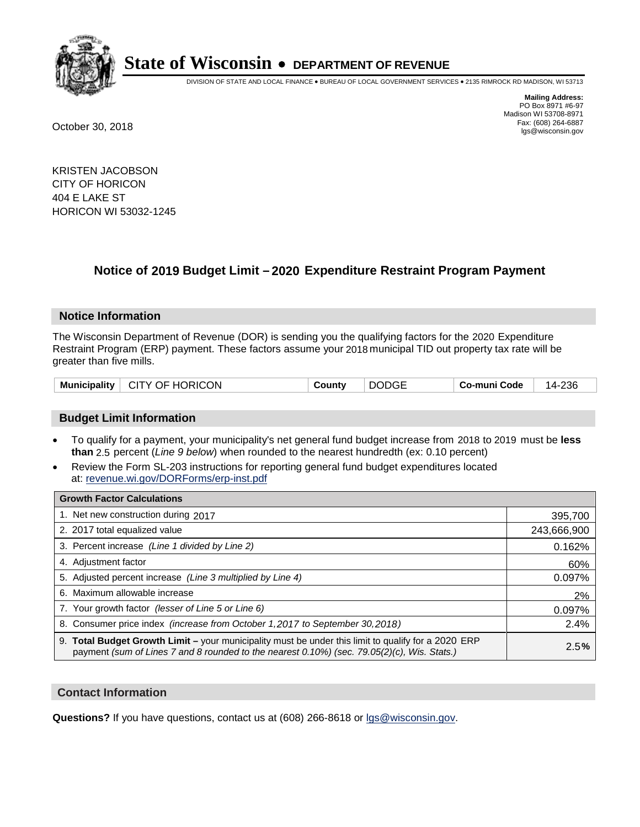

DIVISION OF STATE AND LOCAL FINANCE • BUREAU OF LOCAL GOVERNMENT SERVICES • 2135 RIMROCK RD MADISON, WI 53713

**Mailing Address:** PO Box 8971 #6-97 Madison WI 53708-8971<br>Fax: (608) 264-6887 Fax: (608) 264-6887 October 30, 2018 lgs@wisconsin.gov

KRISTEN JACOBSON CITY OF HORICON 404 E LAKE ST HORICON WI 53032-1245

### **Notice of 2019 Budget Limit - 2020 Expenditure Restraint Program Payment**

#### **Notice Information**

The Wisconsin Department of Revenue (DOR) is sending you the qualifying factors for the 2020 Expenditure Restraint Program (ERP) payment. These factors assume your 2018 municipal TID out property tax rate will be greater than five mills.

| Municipality   CITY OF HORICON | County | <b>DODGE</b> | Co-muni Code | 14-236 |
|--------------------------------|--------|--------------|--------------|--------|
|--------------------------------|--------|--------------|--------------|--------|

#### **Budget Limit Information**

- To qualify for a payment, your municipality's net general fund budget increase from 2018 to 2019 must be less **than** 2.5 percent (*Line 9 below*) when rounded to the nearest hundredth (ex: 0.10 percent)
- Review the Form SL-203 instructions for reporting general fund budget expenditures located at: revenue.wi.gov/DORForms/erp-inst.pdf

| <b>Growth Factor Calculations</b>                                                                                                                                                                      |             |
|--------------------------------------------------------------------------------------------------------------------------------------------------------------------------------------------------------|-------------|
| 1. Net new construction during 2017                                                                                                                                                                    | 395,700     |
| 2. 2017 total equalized value                                                                                                                                                                          | 243,666,900 |
| 3. Percent increase (Line 1 divided by Line 2)                                                                                                                                                         | 0.162%      |
| 4. Adjustment factor                                                                                                                                                                                   | 60%         |
| 5. Adjusted percent increase (Line 3 multiplied by Line 4)                                                                                                                                             | 0.097%      |
| 6. Maximum allowable increase                                                                                                                                                                          | 2%          |
| 7. Your growth factor (lesser of Line 5 or Line 6)                                                                                                                                                     | 0.097%      |
| 8. Consumer price index (increase from October 1, 2017 to September 30, 2018)                                                                                                                          | 2.4%        |
| 9. Total Budget Growth Limit - your municipality must be under this limit to qualify for a 2020 ERP<br>payment (sum of Lines 7 and 8 rounded to the nearest $0.10\%$ ) (sec. 79.05(2)(c), Wis. Stats.) | 2.5%        |

#### **Contact Information**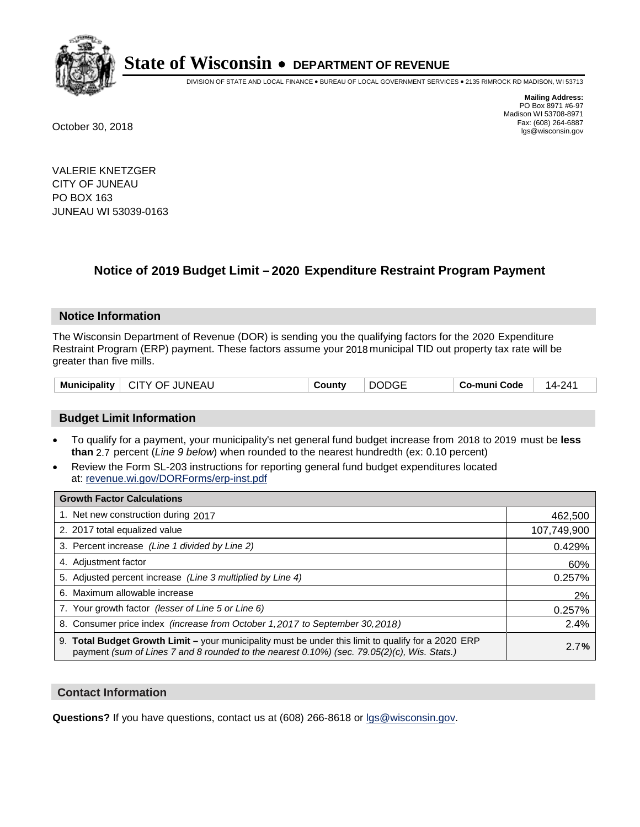

DIVISION OF STATE AND LOCAL FINANCE • BUREAU OF LOCAL GOVERNMENT SERVICES • 2135 RIMROCK RD MADISON, WI 53713

**Mailing Address:** PO Box 8971 #6-97 Madison WI 53708-8971<br>Fax: (608) 264-6887 Fax: (608) 264-6887 October 30, 2018 lgs@wisconsin.gov

VALERIE KNETZGER CITY OF JUNEAU PO BOX 163 JUNEAU WI 53039-0163

### **Notice of 2019 Budget Limit - 2020 Expenditure Restraint Program Payment**

#### **Notice Information**

The Wisconsin Department of Revenue (DOR) is sending you the qualifying factors for the 2020 Expenditure Restraint Program (ERP) payment. These factors assume your 2018 municipal TID out property tax rate will be greater than five mills.

| <b>Municipality</b><br>∣ CITY OF JUNEAU | County | <b>DODGE</b> | Co-muni Code | 14-241 |
|-----------------------------------------|--------|--------------|--------------|--------|
|-----------------------------------------|--------|--------------|--------------|--------|

#### **Budget Limit Information**

- To qualify for a payment, your municipality's net general fund budget increase from 2018 to 2019 must be less **than** 2.7 percent (*Line 9 below*) when rounded to the nearest hundredth (ex: 0.10 percent)
- Review the Form SL-203 instructions for reporting general fund budget expenditures located at: revenue.wi.gov/DORForms/erp-inst.pdf

| <b>Growth Factor Calculations</b>                                                                                                                                                                      |             |
|--------------------------------------------------------------------------------------------------------------------------------------------------------------------------------------------------------|-------------|
| 1. Net new construction during 2017                                                                                                                                                                    | 462,500     |
| 2. 2017 total equalized value                                                                                                                                                                          | 107,749,900 |
| 3. Percent increase (Line 1 divided by Line 2)                                                                                                                                                         | 0.429%      |
| 4. Adjustment factor                                                                                                                                                                                   | 60%         |
| 5. Adjusted percent increase (Line 3 multiplied by Line 4)                                                                                                                                             | 0.257%      |
| 6. Maximum allowable increase                                                                                                                                                                          | 2%          |
| 7. Your growth factor (lesser of Line 5 or Line 6)                                                                                                                                                     | 0.257%      |
| 8. Consumer price index (increase from October 1, 2017 to September 30, 2018)                                                                                                                          | 2.4%        |
| 9. Total Budget Growth Limit - your municipality must be under this limit to qualify for a 2020 ERP<br>payment (sum of Lines 7 and 8 rounded to the nearest $0.10\%$ ) (sec. 79.05(2)(c), Wis. Stats.) | 2.7%        |

#### **Contact Information**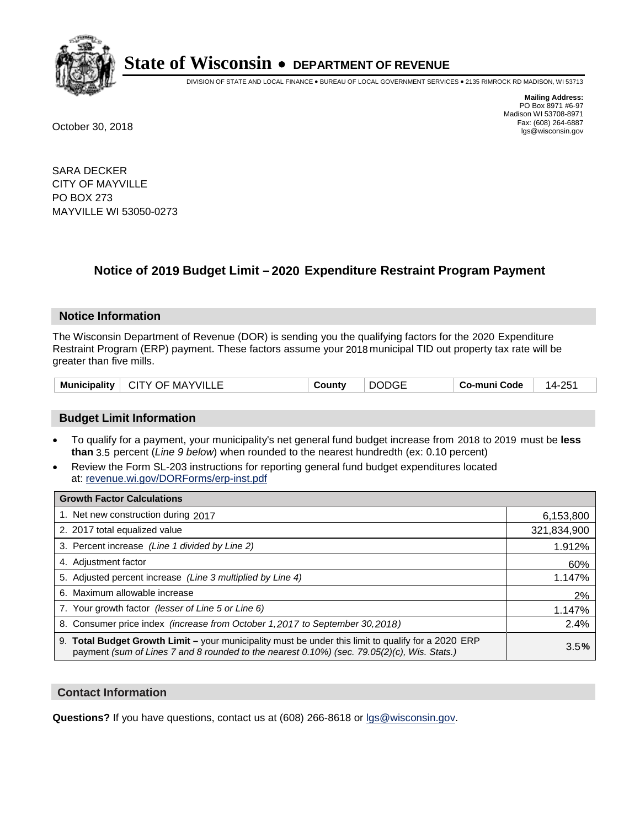

DIVISION OF STATE AND LOCAL FINANCE • BUREAU OF LOCAL GOVERNMENT SERVICES • 2135 RIMROCK RD MADISON, WI 53713

**Mailing Address:** PO Box 8971 #6-97 Madison WI 53708-8971<br>Fax: (608) 264-6887 Fax: (608) 264-6887 October 30, 2018 lgs@wisconsin.gov

SARA DECKER CITY OF MAYVILLE PO BOX 273 MAYVILLE WI 53050-0273

### **Notice of 2019 Budget Limit - 2020 Expenditure Restraint Program Payment**

#### **Notice Information**

The Wisconsin Department of Revenue (DOR) is sending you the qualifying factors for the 2020 Expenditure Restraint Program (ERP) payment. These factors assume your 2018 municipal TID out property tax rate will be greater than five mills.

#### **Budget Limit Information**

- To qualify for a payment, your municipality's net general fund budget increase from 2018 to 2019 must be less **than** 3.5 percent (*Line 9 below*) when rounded to the nearest hundredth (ex: 0.10 percent)
- Review the Form SL-203 instructions for reporting general fund budget expenditures located at: revenue.wi.gov/DORForms/erp-inst.pdf

| <b>Growth Factor Calculations</b>                                                                                                                                                                      |             |
|--------------------------------------------------------------------------------------------------------------------------------------------------------------------------------------------------------|-------------|
| 1. Net new construction during 2017                                                                                                                                                                    | 6,153,800   |
| 2. 2017 total equalized value                                                                                                                                                                          | 321,834,900 |
| 3. Percent increase (Line 1 divided by Line 2)                                                                                                                                                         | 1.912%      |
| 4. Adjustment factor                                                                                                                                                                                   | 60%         |
| 5. Adjusted percent increase (Line 3 multiplied by Line 4)                                                                                                                                             | 1.147%      |
| 6. Maximum allowable increase                                                                                                                                                                          | 2%          |
| 7. Your growth factor (lesser of Line 5 or Line 6)                                                                                                                                                     | 1.147%      |
| 8. Consumer price index (increase from October 1, 2017 to September 30, 2018)                                                                                                                          | 2.4%        |
| 9. Total Budget Growth Limit - your municipality must be under this limit to qualify for a 2020 ERP<br>payment (sum of Lines 7 and 8 rounded to the nearest $0.10\%$ ) (sec. 79.05(2)(c), Wis. Stats.) | 3.5%        |

#### **Contact Information**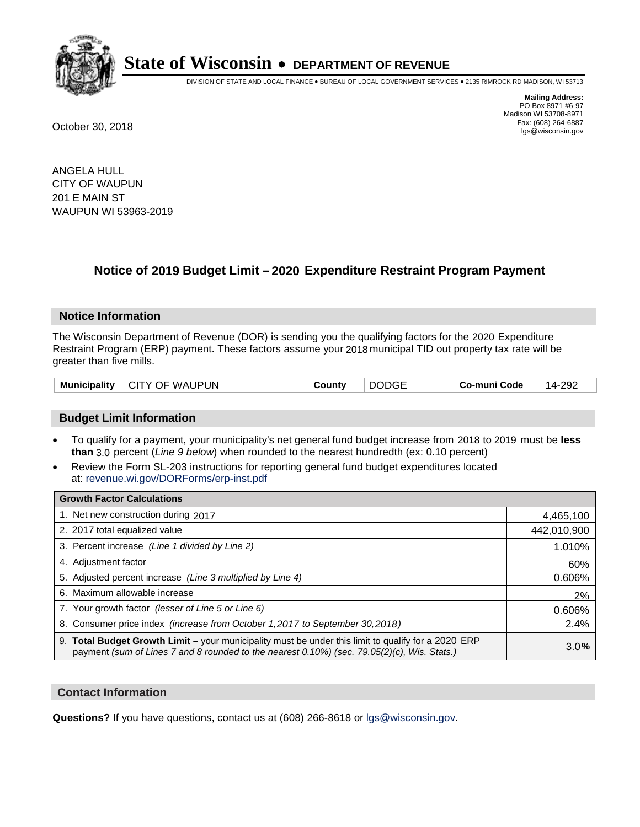

DIVISION OF STATE AND LOCAL FINANCE • BUREAU OF LOCAL GOVERNMENT SERVICES • 2135 RIMROCK RD MADISON, WI 53713

**Mailing Address:** PO Box 8971 #6-97 Madison WI 53708-8971<br>Fax: (608) 264-6887 Fax: (608) 264-6887 October 30, 2018 lgs@wisconsin.gov

ANGELA HULL CITY OF WAUPUN 201 E MAIN ST WAUPUN WI 53963-2019

### **Notice of 2019 Budget Limit - 2020 Expenditure Restraint Program Payment**

#### **Notice Information**

The Wisconsin Department of Revenue (DOR) is sending you the qualifying factors for the 2020 Expenditure Restraint Program (ERP) payment. These factors assume your 2018 municipal TID out property tax rate will be greater than five mills.

| Municipality   CITY OF WAUPUN | <b>DODGE</b><br>County | 14-292<br>⊤ Co-muni Code |
|-------------------------------|------------------------|--------------------------|
|-------------------------------|------------------------|--------------------------|

#### **Budget Limit Information**

- To qualify for a payment, your municipality's net general fund budget increase from 2018 to 2019 must be less **than** 3.0 percent (*Line 9 below*) when rounded to the nearest hundredth (ex: 0.10 percent)
- Review the Form SL-203 instructions for reporting general fund budget expenditures located at: revenue.wi.gov/DORForms/erp-inst.pdf

| <b>Growth Factor Calculations</b>                                                                                                                                                                  |             |
|----------------------------------------------------------------------------------------------------------------------------------------------------------------------------------------------------|-------------|
| 1. Net new construction during 2017                                                                                                                                                                | 4,465,100   |
| 2. 2017 total equalized value                                                                                                                                                                      | 442,010,900 |
| 3. Percent increase (Line 1 divided by Line 2)                                                                                                                                                     | 1.010%      |
| 4. Adjustment factor                                                                                                                                                                               | 60%         |
| 5. Adjusted percent increase (Line 3 multiplied by Line 4)                                                                                                                                         | 0.606%      |
| 6. Maximum allowable increase                                                                                                                                                                      | 2%          |
| 7. Your growth factor (lesser of Line 5 or Line 6)                                                                                                                                                 | 0.606%      |
| 8. Consumer price index (increase from October 1, 2017 to September 30, 2018)                                                                                                                      | 2.4%        |
| 9. Total Budget Growth Limit - your municipality must be under this limit to qualify for a 2020 ERP<br>payment (sum of Lines 7 and 8 rounded to the nearest 0.10%) (sec. 79.05(2)(c), Wis. Stats.) | 3.0%        |

#### **Contact Information**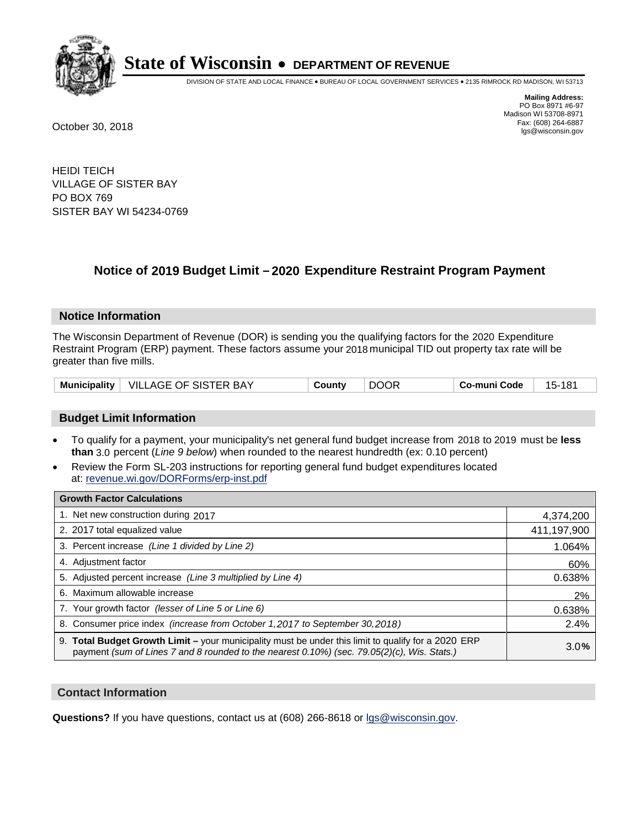

DIVISION OF STATE AND LOCAL FINANCE • BUREAU OF LOCAL GOVERNMENT SERVICES • 2135 RIMROCK RD MADISON, WI 53713

**Mailing Address:** PO Box 8971 #6-97 Madison WI 53708-8971<br>Fax: (608) 264-6887 Fax: (608) 264-6887 October 30, 2018 lgs@wisconsin.gov

HEIDI TEICH VILLAGE OF SISTER BAY PO BOX 769 SISTER BAY WI 54234-0769

### **Notice of 2019 Budget Limit - 2020 Expenditure Restraint Program Payment**

#### **Notice Information**

The Wisconsin Department of Revenue (DOR) is sending you the qualifying factors for the 2020 Expenditure Restraint Program (ERP) payment. These factors assume your 2018 municipal TID out property tax rate will be greater than five mills.

|  | Municipality   VILLAGE OF SISTER BAY | County | <b>DOOR</b> | Co-muni Code | 15-181 |
|--|--------------------------------------|--------|-------------|--------------|--------|
|--|--------------------------------------|--------|-------------|--------------|--------|

#### **Budget Limit Information**

- To qualify for a payment, your municipality's net general fund budget increase from 2018 to 2019 must be less **than** 3.0 percent (*Line 9 below*) when rounded to the nearest hundredth (ex: 0.10 percent)
- Review the Form SL-203 instructions for reporting general fund budget expenditures located at: revenue.wi.gov/DORForms/erp-inst.pdf

| <b>Growth Factor Calculations</b>                                                                                                                                                                      |             |
|--------------------------------------------------------------------------------------------------------------------------------------------------------------------------------------------------------|-------------|
| 1. Net new construction during 2017                                                                                                                                                                    | 4,374,200   |
| 2. 2017 total equalized value                                                                                                                                                                          | 411,197,900 |
| 3. Percent increase (Line 1 divided by Line 2)                                                                                                                                                         | 1.064%      |
| 4. Adjustment factor                                                                                                                                                                                   | 60%         |
| 5. Adjusted percent increase (Line 3 multiplied by Line 4)                                                                                                                                             | 0.638%      |
| 6. Maximum allowable increase                                                                                                                                                                          | 2%          |
| 7. Your growth factor (lesser of Line 5 or Line 6)                                                                                                                                                     | 0.638%      |
| 8. Consumer price index (increase from October 1,2017 to September 30,2018)                                                                                                                            | 2.4%        |
| 9. Total Budget Growth Limit - your municipality must be under this limit to qualify for a 2020 ERP<br>payment (sum of Lines 7 and 8 rounded to the nearest $0.10\%$ ) (sec. 79.05(2)(c), Wis. Stats.) | 3.0%        |

#### **Contact Information**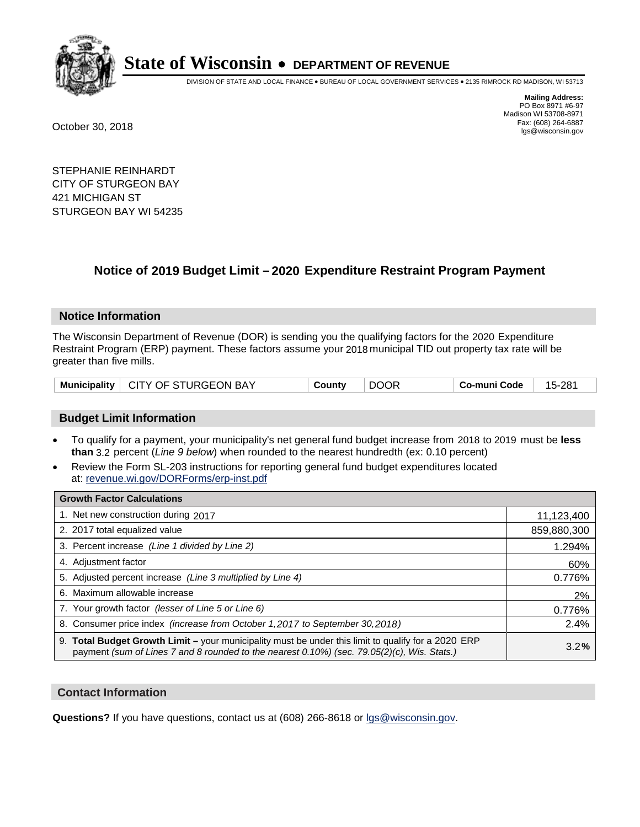

DIVISION OF STATE AND LOCAL FINANCE • BUREAU OF LOCAL GOVERNMENT SERVICES • 2135 RIMROCK RD MADISON, WI 53713

**Mailing Address:** PO Box 8971 #6-97 Madison WI 53708-8971<br>Fax: (608) 264-6887 Fax: (608) 264-6887 October 30, 2018 lgs@wisconsin.gov

STEPHANIE REINHARDT CITY OF STURGEON BAY 421 MICHIGAN ST STURGEON BAY WI 54235

### **Notice of 2019 Budget Limit - 2020 Expenditure Restraint Program Payment**

#### **Notice Information**

The Wisconsin Department of Revenue (DOR) is sending you the qualifying factors for the 2020 Expenditure Restraint Program (ERP) payment. These factors assume your 2018 municipal TID out property tax rate will be greater than five mills.

|  | Municipality   CITY OF STURGEON BAY | County |  | Co-muni Code | 15-281 |
|--|-------------------------------------|--------|--|--------------|--------|
|--|-------------------------------------|--------|--|--------------|--------|

#### **Budget Limit Information**

- To qualify for a payment, your municipality's net general fund budget increase from 2018 to 2019 must be less **than** 3.2 percent (*Line 9 below*) when rounded to the nearest hundredth (ex: 0.10 percent)
- Review the Form SL-203 instructions for reporting general fund budget expenditures located at: revenue.wi.gov/DORForms/erp-inst.pdf

| <b>Growth Factor Calculations</b>                                                                                                                                                                      |             |
|--------------------------------------------------------------------------------------------------------------------------------------------------------------------------------------------------------|-------------|
| 1. Net new construction during 2017                                                                                                                                                                    | 11,123,400  |
| 2. 2017 total equalized value                                                                                                                                                                          | 859,880,300 |
| 3. Percent increase (Line 1 divided by Line 2)                                                                                                                                                         | 1.294%      |
| 4. Adjustment factor                                                                                                                                                                                   | 60%         |
| 5. Adjusted percent increase (Line 3 multiplied by Line 4)                                                                                                                                             | 0.776%      |
| 6. Maximum allowable increase                                                                                                                                                                          | 2%          |
| 7. Your growth factor (lesser of Line 5 or Line 6)                                                                                                                                                     | 0.776%      |
| 8. Consumer price index (increase from October 1,2017 to September 30,2018)                                                                                                                            | 2.4%        |
| 9. Total Budget Growth Limit - your municipality must be under this limit to qualify for a 2020 ERP<br>payment (sum of Lines 7 and 8 rounded to the nearest $0.10\%$ ) (sec. 79.05(2)(c), Wis. Stats.) | 3.2%        |

#### **Contact Information**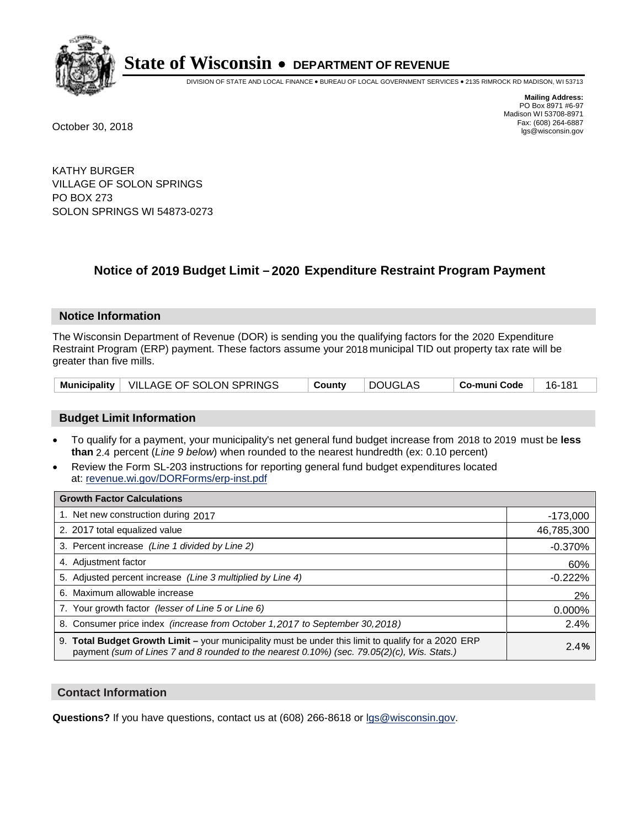

DIVISION OF STATE AND LOCAL FINANCE • BUREAU OF LOCAL GOVERNMENT SERVICES • 2135 RIMROCK RD MADISON, WI 53713

**Mailing Address:** PO Box 8971 #6-97 Madison WI 53708-8971<br>Fax: (608) 264-6887 Fax: (608) 264-6887 October 30, 2018 lgs@wisconsin.gov

KATHY BURGER VILLAGE OF SOLON SPRINGS PO BOX 273 SOLON SPRINGS WI 54873-0273

### **Notice of 2019 Budget Limit - 2020 Expenditure Restraint Program Payment**

#### **Notice Information**

The Wisconsin Department of Revenue (DOR) is sending you the qualifying factors for the 2020 Expenditure Restraint Program (ERP) payment. These factors assume your 2018 municipal TID out property tax rate will be greater than five mills.

|  | Municipality   VILLAGE OF SOLON SPRINGS | County | DOUGLAS | ⊤ Co-muni Code | 16-181 |
|--|-----------------------------------------|--------|---------|----------------|--------|
|--|-----------------------------------------|--------|---------|----------------|--------|

#### **Budget Limit Information**

- To qualify for a payment, your municipality's net general fund budget increase from 2018 to 2019 must be less **than** 2.4 percent (*Line 9 below*) when rounded to the nearest hundredth (ex: 0.10 percent)
- Review the Form SL-203 instructions for reporting general fund budget expenditures located at: revenue.wi.gov/DORForms/erp-inst.pdf

| <b>Growth Factor Calculations</b>                                                                                                                                                                      |            |
|--------------------------------------------------------------------------------------------------------------------------------------------------------------------------------------------------------|------------|
| 1. Net new construction during 2017                                                                                                                                                                    | $-173,000$ |
| 2. 2017 total equalized value                                                                                                                                                                          | 46,785,300 |
| 3. Percent increase (Line 1 divided by Line 2)                                                                                                                                                         | $-0.370%$  |
| 4. Adjustment factor                                                                                                                                                                                   | 60%        |
| 5. Adjusted percent increase (Line 3 multiplied by Line 4)                                                                                                                                             | $-0.222%$  |
| 6. Maximum allowable increase                                                                                                                                                                          | 2%         |
| 7. Your growth factor (lesser of Line 5 or Line 6)                                                                                                                                                     | 0.000%     |
| 8. Consumer price index (increase from October 1, 2017 to September 30, 2018)                                                                                                                          | 2.4%       |
| 9. Total Budget Growth Limit - your municipality must be under this limit to qualify for a 2020 ERP<br>payment (sum of Lines 7 and 8 rounded to the nearest $0.10\%$ ) (sec. 79.05(2)(c), Wis. Stats.) | 2.4%       |

#### **Contact Information**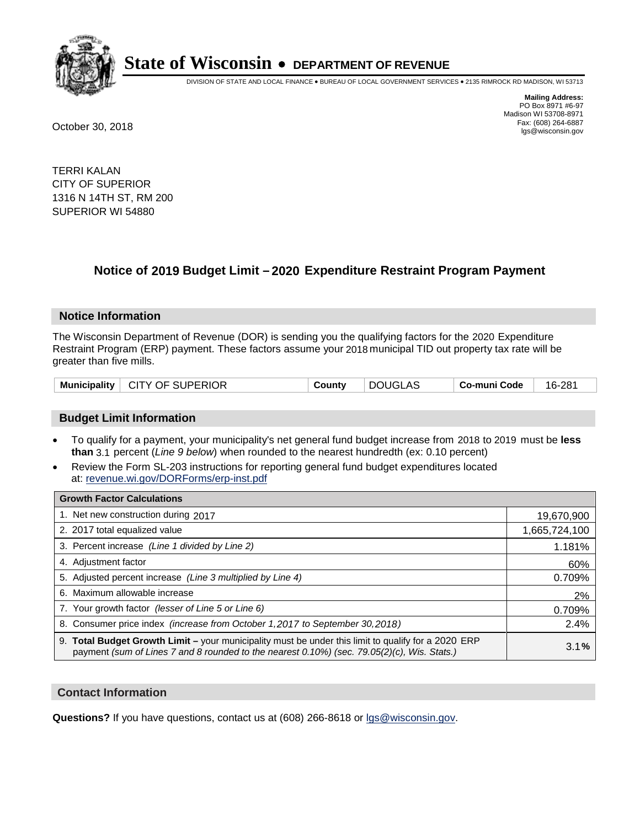

DIVISION OF STATE AND LOCAL FINANCE • BUREAU OF LOCAL GOVERNMENT SERVICES • 2135 RIMROCK RD MADISON, WI 53713

**Mailing Address:** PO Box 8971 #6-97 Madison WI 53708-8971<br>Fax: (608) 264-6887 Fax: (608) 264-6887 October 30, 2018 lgs@wisconsin.gov

TERRI KALAN CITY OF SUPERIOR 1316 N 14TH ST, RM 200 SUPERIOR WI 54880

### **Notice of 2019 Budget Limit - 2020 Expenditure Restraint Program Payment**

#### **Notice Information**

The Wisconsin Department of Revenue (DOR) is sending you the qualifying factors for the 2020 Expenditure Restraint Program (ERP) payment. These factors assume your 2018 municipal TID out property tax rate will be greater than five mills.

|  | Municipality   CITY OF SUPERIOR | County | ∣ DOUGLAS | ∣ Co-muni Code | 16-281 |
|--|---------------------------------|--------|-----------|----------------|--------|
|--|---------------------------------|--------|-----------|----------------|--------|

#### **Budget Limit Information**

- To qualify for a payment, your municipality's net general fund budget increase from 2018 to 2019 must be less **than** 3.1 percent (*Line 9 below*) when rounded to the nearest hundredth (ex: 0.10 percent)
- Review the Form SL-203 instructions for reporting general fund budget expenditures located at: revenue.wi.gov/DORForms/erp-inst.pdf

| <b>Growth Factor Calculations</b>                                                                                                                                                                      |               |
|--------------------------------------------------------------------------------------------------------------------------------------------------------------------------------------------------------|---------------|
| 1. Net new construction during 2017                                                                                                                                                                    | 19,670,900    |
| 2. 2017 total equalized value                                                                                                                                                                          | 1,665,724,100 |
| 3. Percent increase (Line 1 divided by Line 2)                                                                                                                                                         | 1.181%        |
| 4. Adjustment factor                                                                                                                                                                                   | 60%           |
| 5. Adjusted percent increase (Line 3 multiplied by Line 4)                                                                                                                                             | 0.709%        |
| 6. Maximum allowable increase                                                                                                                                                                          | 2%            |
| 7. Your growth factor (lesser of Line 5 or Line 6)                                                                                                                                                     | 0.709%        |
| 8. Consumer price index (increase from October 1,2017 to September 30,2018)                                                                                                                            | 2.4%          |
| 9. Total Budget Growth Limit - your municipality must be under this limit to qualify for a 2020 ERP<br>payment (sum of Lines 7 and 8 rounded to the nearest $0.10\%$ ) (sec. 79.05(2)(c), Wis. Stats.) | 3.1%          |

#### **Contact Information**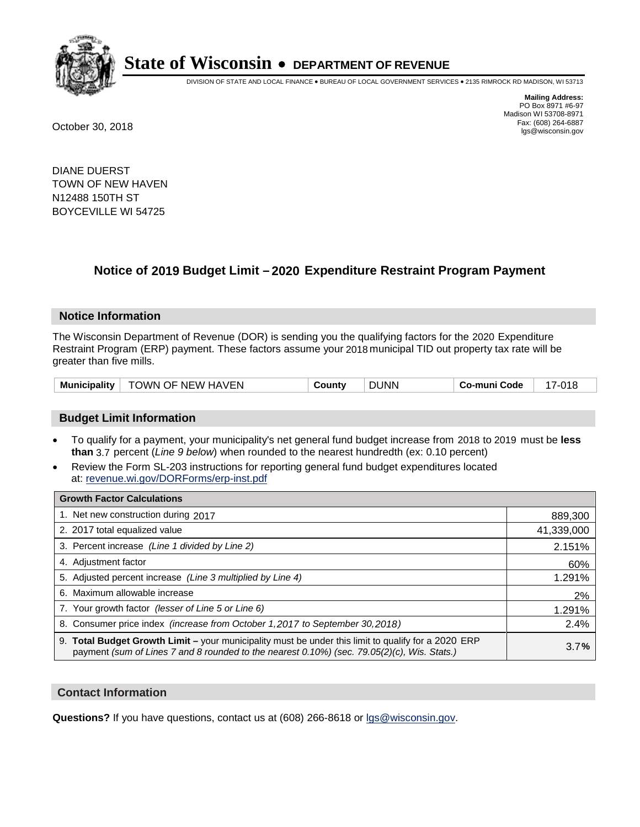

DIVISION OF STATE AND LOCAL FINANCE • BUREAU OF LOCAL GOVERNMENT SERVICES • 2135 RIMROCK RD MADISON, WI 53713

**Mailing Address:** PO Box 8971 #6-97 Madison WI 53708-8971<br>Fax: (608) 264-6887 Fax: (608) 264-6887 October 30, 2018 lgs@wisconsin.gov

DIANE DUERST TOWN OF NEW HAVEN N12488 150TH ST BOYCEVILLE WI 54725

### **Notice of 2019 Budget Limit - 2020 Expenditure Restraint Program Payment**

#### **Notice Information**

The Wisconsin Department of Revenue (DOR) is sending you the qualifying factors for the 2020 Expenditure Restraint Program (ERP) payment. These factors assume your 2018 municipal TID out property tax rate will be greater than five mills.

| Municipality | TOWN OF NEW HAVEN | ⊶ount∨ | <b>DUNN</b> | co-muni Code، | - $\cap$ 15 |
|--------------|-------------------|--------|-------------|---------------|-------------|
|--------------|-------------------|--------|-------------|---------------|-------------|

#### **Budget Limit Information**

- To qualify for a payment, your municipality's net general fund budget increase from 2018 to 2019 must be less **than** 3.7 percent (*Line 9 below*) when rounded to the nearest hundredth (ex: 0.10 percent)
- Review the Form SL-203 instructions for reporting general fund budget expenditures located at: revenue.wi.gov/DORForms/erp-inst.pdf

| <b>Growth Factor Calculations</b>                                                                                                                                                                      |            |
|--------------------------------------------------------------------------------------------------------------------------------------------------------------------------------------------------------|------------|
| 1. Net new construction during 2017                                                                                                                                                                    | 889,300    |
| 2. 2017 total equalized value                                                                                                                                                                          | 41,339,000 |
| 3. Percent increase (Line 1 divided by Line 2)                                                                                                                                                         | 2.151%     |
| 4. Adjustment factor                                                                                                                                                                                   | 60%        |
| 5. Adjusted percent increase (Line 3 multiplied by Line 4)                                                                                                                                             | 1.291%     |
| 6. Maximum allowable increase                                                                                                                                                                          | 2%         |
| 7. Your growth factor (lesser of Line 5 or Line 6)                                                                                                                                                     | 1.291%     |
| 8. Consumer price index (increase from October 1, 2017 to September 30, 2018)                                                                                                                          | 2.4%       |
| 9. Total Budget Growth Limit - your municipality must be under this limit to qualify for a 2020 ERP<br>payment (sum of Lines 7 and 8 rounded to the nearest $0.10\%$ ) (sec. 79.05(2)(c), Wis. Stats.) | 3.7%       |

#### **Contact Information**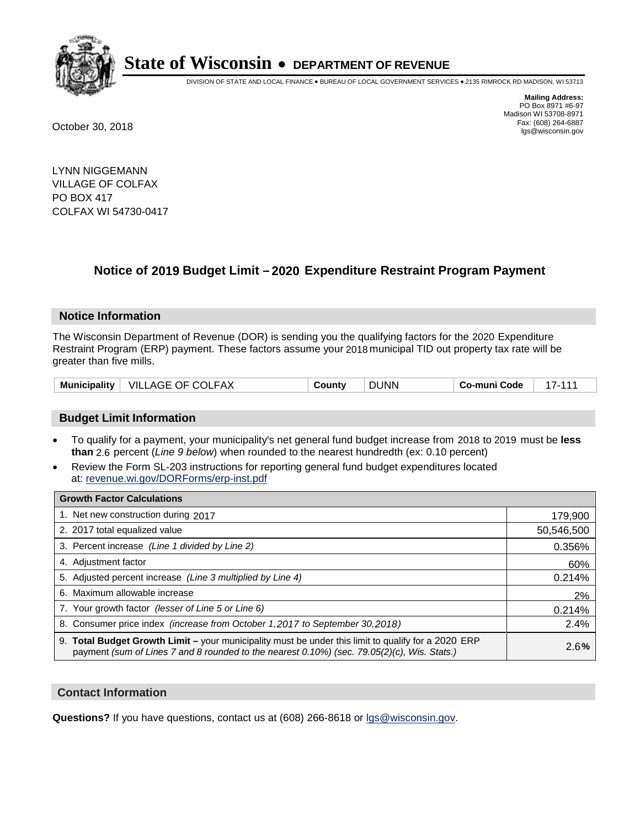

DIVISION OF STATE AND LOCAL FINANCE • BUREAU OF LOCAL GOVERNMENT SERVICES • 2135 RIMROCK RD MADISON, WI 53713

**Mailing Address:** PO Box 8971 #6-97 Madison WI 53708-8971<br>Fax: (608) 264-6887 Fax: (608) 264-6887 October 30, 2018 lgs@wisconsin.gov

LYNN NIGGEMANN VILLAGE OF COLFAX PO BOX 417 COLFAX WI 54730-0417

### **Notice of 2019 Budget Limit - 2020 Expenditure Restraint Program Payment**

#### **Notice Information**

The Wisconsin Department of Revenue (DOR) is sending you the qualifying factors for the 2020 Expenditure Restraint Program (ERP) payment. These factors assume your 2018 municipal TID out property tax rate will be greater than five mills.

| <b>Municipality</b> | VILLAGE OF COLFAX | County | <b>DUNN</b> | Co-muni Code |  |
|---------------------|-------------------|--------|-------------|--------------|--|
|---------------------|-------------------|--------|-------------|--------------|--|

#### **Budget Limit Information**

- To qualify for a payment, your municipality's net general fund budget increase from 2018 to 2019 must be less **than** 2.6 percent (*Line 9 below*) when rounded to the nearest hundredth (ex: 0.10 percent)
- Review the Form SL-203 instructions for reporting general fund budget expenditures located at: revenue.wi.gov/DORForms/erp-inst.pdf

| <b>Growth Factor Calculations</b>                                                                                                                                                                      |            |
|--------------------------------------------------------------------------------------------------------------------------------------------------------------------------------------------------------|------------|
| 1. Net new construction during 2017                                                                                                                                                                    | 179,900    |
| 2. 2017 total equalized value                                                                                                                                                                          | 50,546,500 |
| 3. Percent increase (Line 1 divided by Line 2)                                                                                                                                                         | 0.356%     |
| 4. Adjustment factor                                                                                                                                                                                   | 60%        |
| 5. Adjusted percent increase (Line 3 multiplied by Line 4)                                                                                                                                             | 0.214%     |
| 6. Maximum allowable increase                                                                                                                                                                          | 2%         |
| 7. Your growth factor (lesser of Line 5 or Line 6)                                                                                                                                                     | 0.214%     |
| 8. Consumer price index (increase from October 1,2017 to September 30,2018)                                                                                                                            | 2.4%       |
| 9. Total Budget Growth Limit - your municipality must be under this limit to qualify for a 2020 ERP<br>payment (sum of Lines 7 and 8 rounded to the nearest $0.10\%$ ) (sec. 79.05(2)(c), Wis. Stats.) | 2.6%       |

#### **Contact Information**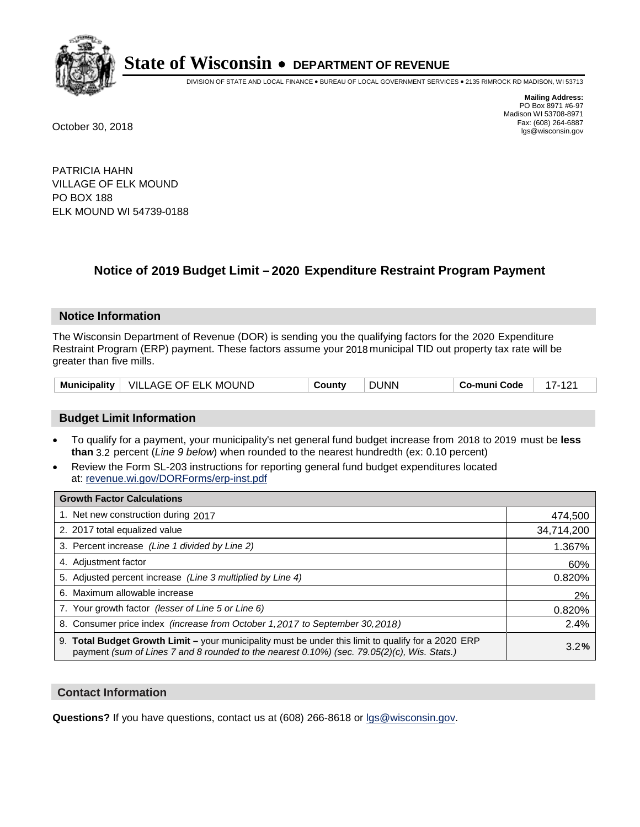

DIVISION OF STATE AND LOCAL FINANCE • BUREAU OF LOCAL GOVERNMENT SERVICES • 2135 RIMROCK RD MADISON, WI 53713

**Mailing Address:** PO Box 8971 #6-97 Madison WI 53708-8971<br>Fax: (608) 264-6887 Fax: (608) 264-6887 October 30, 2018 lgs@wisconsin.gov

PATRICIA HAHN VILLAGE OF ELK MOUND PO BOX 188 ELK MOUND WI 54739-0188

### **Notice of 2019 Budget Limit - 2020 Expenditure Restraint Program Payment**

#### **Notice Information**

The Wisconsin Department of Revenue (DOR) is sending you the qualifying factors for the 2020 Expenditure Restraint Program (ERP) payment. These factors assume your 2018 municipal TID out property tax rate will be greater than five mills.

|  | Municipality   VILLAGE OF ELK MOUND | County | <b>DUNN</b> | Co-muni Code |  |
|--|-------------------------------------|--------|-------------|--------------|--|
|--|-------------------------------------|--------|-------------|--------------|--|

#### **Budget Limit Information**

- To qualify for a payment, your municipality's net general fund budget increase from 2018 to 2019 must be less **than** 3.2 percent (*Line 9 below*) when rounded to the nearest hundredth (ex: 0.10 percent)
- Review the Form SL-203 instructions for reporting general fund budget expenditures located at: revenue.wi.gov/DORForms/erp-inst.pdf

| <b>Growth Factor Calculations</b>                                                                                                                                                                      |            |
|--------------------------------------------------------------------------------------------------------------------------------------------------------------------------------------------------------|------------|
| 1. Net new construction during 2017                                                                                                                                                                    | 474,500    |
| 2. 2017 total equalized value                                                                                                                                                                          | 34,714,200 |
| 3. Percent increase (Line 1 divided by Line 2)                                                                                                                                                         | 1.367%     |
| 4. Adjustment factor                                                                                                                                                                                   | 60%        |
| 5. Adjusted percent increase (Line 3 multiplied by Line 4)                                                                                                                                             | 0.820%     |
| 6. Maximum allowable increase                                                                                                                                                                          | 2%         |
| 7. Your growth factor (lesser of Line 5 or Line 6)                                                                                                                                                     | 0.820%     |
| 8. Consumer price index (increase from October 1, 2017 to September 30, 2018)                                                                                                                          | 2.4%       |
| 9. Total Budget Growth Limit - your municipality must be under this limit to qualify for a 2020 ERP<br>payment (sum of Lines 7 and 8 rounded to the nearest $0.10\%$ ) (sec. 79.05(2)(c), Wis. Stats.) | 3.2%       |

#### **Contact Information**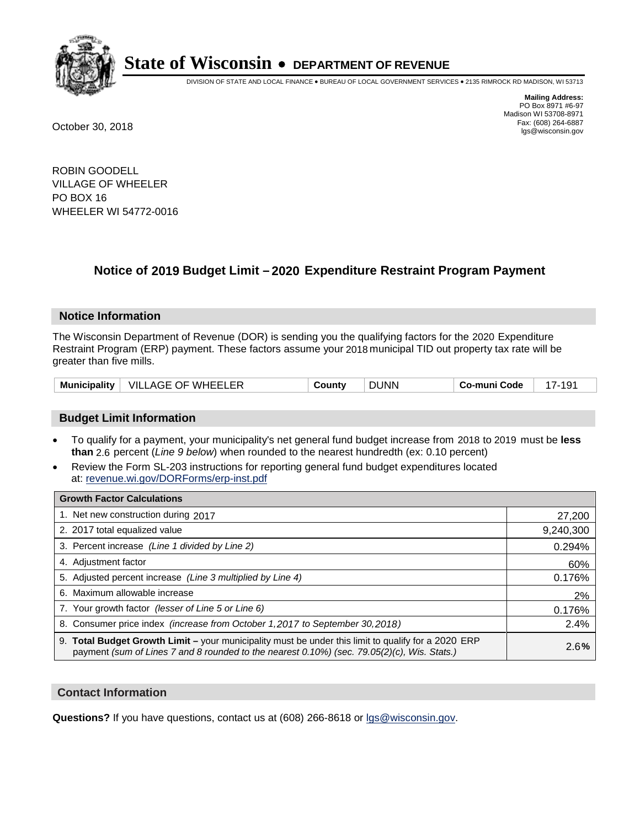

DIVISION OF STATE AND LOCAL FINANCE • BUREAU OF LOCAL GOVERNMENT SERVICES • 2135 RIMROCK RD MADISON, WI 53713

**Mailing Address:** PO Box 8971 #6-97 Madison WI 53708-8971<br>Fax: (608) 264-6887 Fax: (608) 264-6887 October 30, 2018 lgs@wisconsin.gov

ROBIN GOODELL VILLAGE OF WHEELER PO BOX 16 WHEELER WI 54772-0016

### **Notice of 2019 Budget Limit - 2020 Expenditure Restraint Program Payment**

#### **Notice Information**

The Wisconsin Department of Revenue (DOR) is sending you the qualifying factors for the 2020 Expenditure Restraint Program (ERP) payment. These factors assume your 2018 municipal TID out property tax rate will be greater than five mills.

#### **Budget Limit Information**

- To qualify for a payment, your municipality's net general fund budget increase from 2018 to 2019 must be less **than** 2.6 percent (*Line 9 below*) when rounded to the nearest hundredth (ex: 0.10 percent)
- Review the Form SL-203 instructions for reporting general fund budget expenditures located at: revenue.wi.gov/DORForms/erp-inst.pdf

| <b>Growth Factor Calculations</b>                                                                                                                                                                      |           |
|--------------------------------------------------------------------------------------------------------------------------------------------------------------------------------------------------------|-----------|
| 1. Net new construction during 2017                                                                                                                                                                    | 27,200    |
| 2. 2017 total equalized value                                                                                                                                                                          | 9,240,300 |
| 3. Percent increase (Line 1 divided by Line 2)                                                                                                                                                         | 0.294%    |
| 4. Adjustment factor                                                                                                                                                                                   | 60%       |
| 5. Adjusted percent increase (Line 3 multiplied by Line 4)                                                                                                                                             | 0.176%    |
| 6. Maximum allowable increase                                                                                                                                                                          | 2%        |
| 7. Your growth factor (lesser of Line 5 or Line 6)                                                                                                                                                     | 0.176%    |
| 8. Consumer price index (increase from October 1,2017 to September 30,2018)                                                                                                                            | 2.4%      |
| 9. Total Budget Growth Limit - your municipality must be under this limit to qualify for a 2020 ERP<br>payment (sum of Lines 7 and 8 rounded to the nearest $0.10\%$ ) (sec. 79.05(2)(c), Wis. Stats.) | 2.6%      |

#### **Contact Information**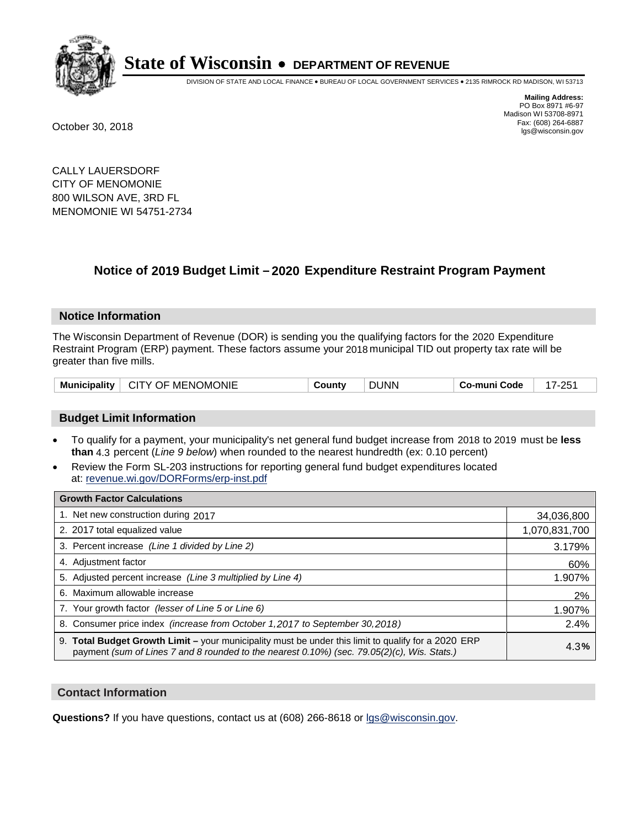

DIVISION OF STATE AND LOCAL FINANCE • BUREAU OF LOCAL GOVERNMENT SERVICES • 2135 RIMROCK RD MADISON, WI 53713

**Mailing Address:** PO Box 8971 #6-97 Madison WI 53708-8971<br>Fax: (608) 264-6887 Fax: (608) 264-6887 October 30, 2018 lgs@wisconsin.gov

CALLY LAUERSDORF CITY OF MENOMONIE 800 WILSON AVE, 3RD FL MENOMONIE WI 54751-2734

### **Notice of 2019 Budget Limit - 2020 Expenditure Restraint Program Payment**

#### **Notice Information**

The Wisconsin Department of Revenue (DOR) is sending you the qualifying factors for the 2020 Expenditure Restraint Program (ERP) payment. These factors assume your 2018 municipal TID out property tax rate will be greater than five mills.

| <b>Municipality</b> | T MENOMONIE<br>CITY OF | .ount' | JUNN | Code<br>ن o-muni $r$ | ດ⊏ |
|---------------------|------------------------|--------|------|----------------------|----|
|---------------------|------------------------|--------|------|----------------------|----|

#### **Budget Limit Information**

- To qualify for a payment, your municipality's net general fund budget increase from 2018 to 2019 must be less **than** 4.3 percent (*Line 9 below*) when rounded to the nearest hundredth (ex: 0.10 percent)
- Review the Form SL-203 instructions for reporting general fund budget expenditures located at: revenue.wi.gov/DORForms/erp-inst.pdf

| <b>Growth Factor Calculations</b>                                                                                                                                                                      |               |
|--------------------------------------------------------------------------------------------------------------------------------------------------------------------------------------------------------|---------------|
| 1. Net new construction during 2017                                                                                                                                                                    | 34,036,800    |
| 2. 2017 total equalized value                                                                                                                                                                          | 1,070,831,700 |
| 3. Percent increase (Line 1 divided by Line 2)                                                                                                                                                         | 3.179%        |
| 4. Adjustment factor                                                                                                                                                                                   | 60%           |
| 5. Adjusted percent increase (Line 3 multiplied by Line 4)                                                                                                                                             | 1.907%        |
| 6. Maximum allowable increase                                                                                                                                                                          | 2%            |
| 7. Your growth factor (lesser of Line 5 or Line 6)                                                                                                                                                     | 1.907%        |
| 8. Consumer price index (increase from October 1, 2017 to September 30, 2018)                                                                                                                          | 2.4%          |
| 9. Total Budget Growth Limit - your municipality must be under this limit to qualify for a 2020 ERP<br>payment (sum of Lines 7 and 8 rounded to the nearest $0.10\%$ ) (sec. 79.05(2)(c), Wis. Stats.) | 4.3%          |

#### **Contact Information**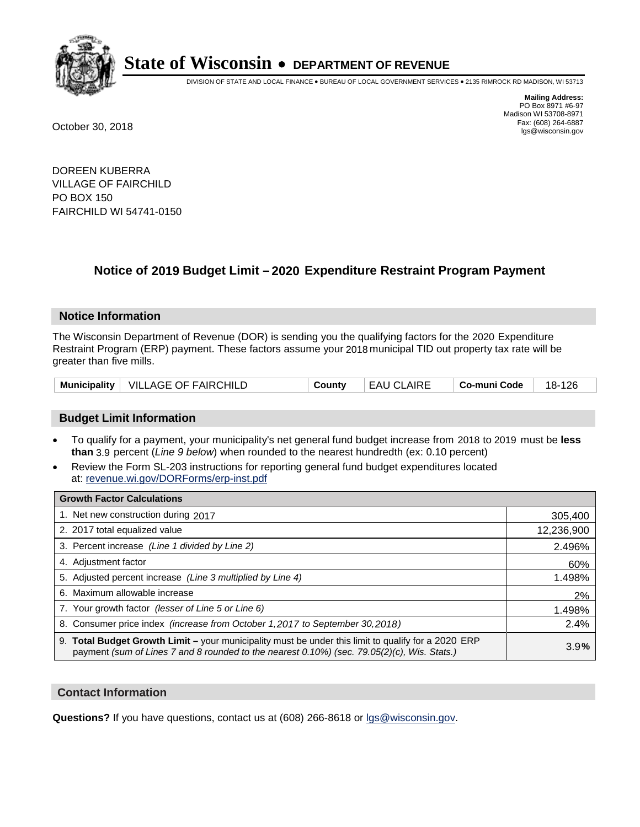

DIVISION OF STATE AND LOCAL FINANCE • BUREAU OF LOCAL GOVERNMENT SERVICES • 2135 RIMROCK RD MADISON, WI 53713

**Mailing Address:** PO Box 8971 #6-97 Madison WI 53708-8971<br>Fax: (608) 264-6887 Fax: (608) 264-6887 October 30, 2018 lgs@wisconsin.gov

DOREEN KUBERRA VILLAGE OF FAIRCHILD PO BOX 150 FAIRCHILD WI 54741-0150

### **Notice of 2019 Budget Limit - 2020 Expenditure Restraint Program Payment**

#### **Notice Information**

The Wisconsin Department of Revenue (DOR) is sending you the qualifying factors for the 2020 Expenditure Restraint Program (ERP) payment. These factors assume your 2018 municipal TID out property tax rate will be greater than five mills.

|  | Municipality   VILLAGE OF FAIRCHILD | Countv | <b>EAU CLAIRE</b> | ∣ Co-muni Code | 18-126 |
|--|-------------------------------------|--------|-------------------|----------------|--------|
|--|-------------------------------------|--------|-------------------|----------------|--------|

#### **Budget Limit Information**

- To qualify for a payment, your municipality's net general fund budget increase from 2018 to 2019 must be less **than** 3.9 percent (*Line 9 below*) when rounded to the nearest hundredth (ex: 0.10 percent)
- Review the Form SL-203 instructions for reporting general fund budget expenditures located at: revenue.wi.gov/DORForms/erp-inst.pdf

| <b>Growth Factor Calculations</b>                                                                                                                                                                      |            |
|--------------------------------------------------------------------------------------------------------------------------------------------------------------------------------------------------------|------------|
| 1. Net new construction during 2017                                                                                                                                                                    | 305,400    |
| 2. 2017 total equalized value                                                                                                                                                                          | 12,236,900 |
| 3. Percent increase (Line 1 divided by Line 2)                                                                                                                                                         | 2.496%     |
| 4. Adjustment factor                                                                                                                                                                                   | 60%        |
| 5. Adjusted percent increase (Line 3 multiplied by Line 4)                                                                                                                                             | 1.498%     |
| 6. Maximum allowable increase                                                                                                                                                                          | 2%         |
| 7. Your growth factor (lesser of Line 5 or Line 6)                                                                                                                                                     | 1.498%     |
| 8. Consumer price index (increase from October 1,2017 to September 30,2018)                                                                                                                            | 2.4%       |
| 9. Total Budget Growth Limit - your municipality must be under this limit to qualify for a 2020 ERP<br>payment (sum of Lines 7 and 8 rounded to the nearest $0.10\%$ ) (sec. 79.05(2)(c), Wis. Stats.) | 3.9%       |

#### **Contact Information**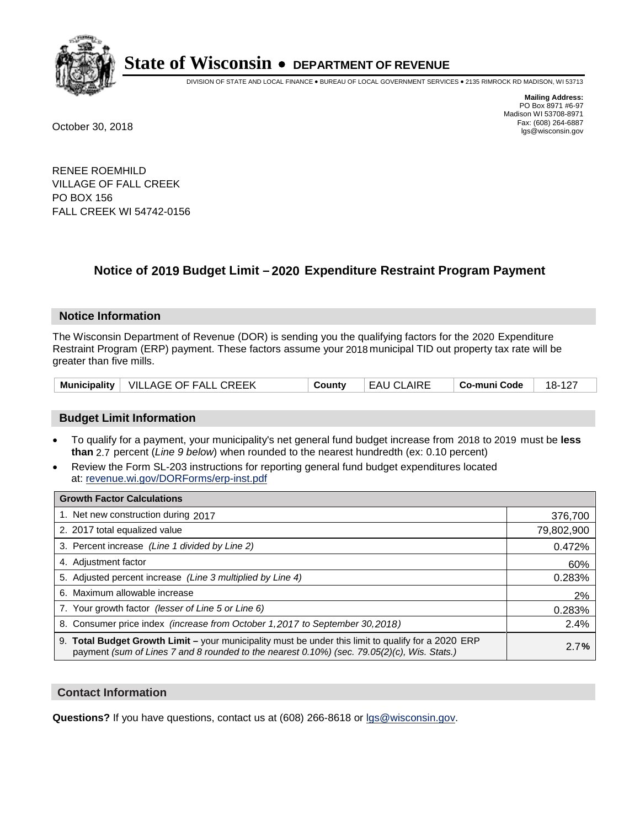

DIVISION OF STATE AND LOCAL FINANCE • BUREAU OF LOCAL GOVERNMENT SERVICES • 2135 RIMROCK RD MADISON, WI 53713

**Mailing Address:** PO Box 8971 #6-97 Madison WI 53708-8971<br>Fax: (608) 264-6887 Fax: (608) 264-6887 October 30, 2018 lgs@wisconsin.gov

RENEE ROEMHILD VILLAGE OF FALL CREEK PO BOX 156 FALL CREEK WI 54742-0156

### **Notice of 2019 Budget Limit - 2020 Expenditure Restraint Program Payment**

#### **Notice Information**

The Wisconsin Department of Revenue (DOR) is sending you the qualifying factors for the 2020 Expenditure Restraint Program (ERP) payment. These factors assume your 2018 municipal TID out property tax rate will be greater than five mills.

|  | Municipality   VILLAGE OF FALL CREEK | Countv | EAU CLAIRE | Co-muni Code | 18-127 |
|--|--------------------------------------|--------|------------|--------------|--------|
|--|--------------------------------------|--------|------------|--------------|--------|

#### **Budget Limit Information**

- To qualify for a payment, your municipality's net general fund budget increase from 2018 to 2019 must be less **than** 2.7 percent (*Line 9 below*) when rounded to the nearest hundredth (ex: 0.10 percent)
- Review the Form SL-203 instructions for reporting general fund budget expenditures located at: revenue.wi.gov/DORForms/erp-inst.pdf

| <b>Growth Factor Calculations</b>                                                                                                                                                                      |            |
|--------------------------------------------------------------------------------------------------------------------------------------------------------------------------------------------------------|------------|
| 1. Net new construction during 2017                                                                                                                                                                    | 376,700    |
| 2. 2017 total equalized value                                                                                                                                                                          | 79,802,900 |
| 3. Percent increase (Line 1 divided by Line 2)                                                                                                                                                         | 0.472%     |
| 4. Adjustment factor                                                                                                                                                                                   | 60%        |
| 5. Adjusted percent increase (Line 3 multiplied by Line 4)                                                                                                                                             | 0.283%     |
| 6. Maximum allowable increase                                                                                                                                                                          | 2%         |
| 7. Your growth factor (lesser of Line 5 or Line 6)                                                                                                                                                     | 0.283%     |
| 8. Consumer price index (increase from October 1,2017 to September 30,2018)                                                                                                                            | 2.4%       |
| 9. Total Budget Growth Limit - your municipality must be under this limit to qualify for a 2020 ERP<br>payment (sum of Lines 7 and 8 rounded to the nearest $0.10\%$ ) (sec. 79.05(2)(c), Wis. Stats.) | 2.7%       |

#### **Contact Information**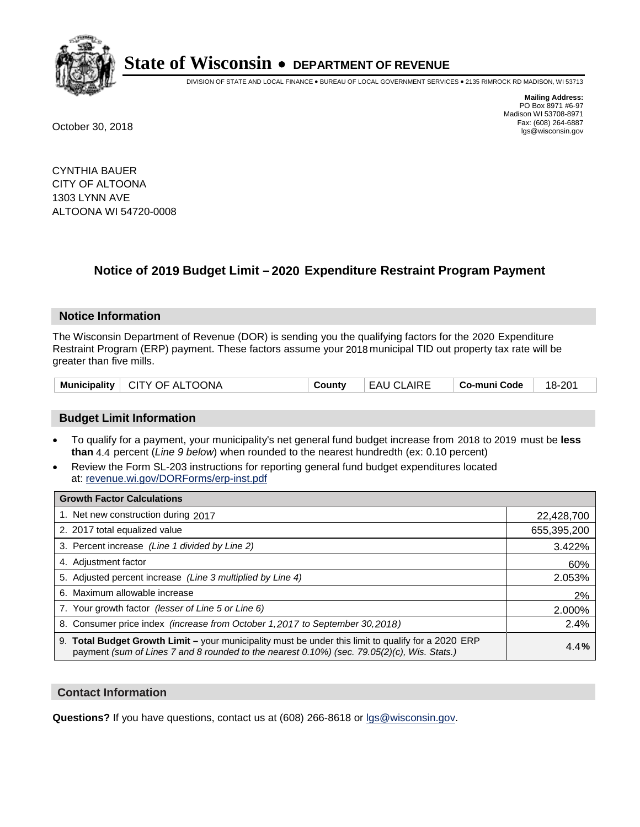

DIVISION OF STATE AND LOCAL FINANCE • BUREAU OF LOCAL GOVERNMENT SERVICES • 2135 RIMROCK RD MADISON, WI 53713

**Mailing Address:** PO Box 8971 #6-97 Madison WI 53708-8971<br>Fax: (608) 264-6887 Fax: (608) 264-6887 October 30, 2018 lgs@wisconsin.gov

CYNTHIA BAUER CITY OF ALTOONA 1303 LYNN AVE ALTOONA WI 54720-0008

## **Notice of 2019 Budget Limit - 2020 Expenditure Restraint Program Payment**

#### **Notice Information**

The Wisconsin Department of Revenue (DOR) is sending you the qualifying factors for the 2020 Expenditure Restraint Program (ERP) payment. These factors assume your 2018 municipal TID out property tax rate will be greater than five mills.

| Municipality   CITY OF ALTOONA | County | <b>EAU CLAIRE</b> | $\vert$ Co-muni Code $\vert$ 18-201 |  |
|--------------------------------|--------|-------------------|-------------------------------------|--|
|--------------------------------|--------|-------------------|-------------------------------------|--|

#### **Budget Limit Information**

- To qualify for a payment, your municipality's net general fund budget increase from 2018 to 2019 must be less **than** 4.4 percent (*Line 9 below*) when rounded to the nearest hundredth (ex: 0.10 percent)
- Review the Form SL-203 instructions for reporting general fund budget expenditures located at: revenue.wi.gov/DORForms/erp-inst.pdf

| <b>Growth Factor Calculations</b>                                                                                                                                                                      |             |
|--------------------------------------------------------------------------------------------------------------------------------------------------------------------------------------------------------|-------------|
| 1. Net new construction during 2017                                                                                                                                                                    | 22,428,700  |
| 2. 2017 total equalized value                                                                                                                                                                          | 655,395,200 |
| 3. Percent increase (Line 1 divided by Line 2)                                                                                                                                                         | 3.422%      |
| 4. Adjustment factor                                                                                                                                                                                   | 60%         |
| 5. Adjusted percent increase (Line 3 multiplied by Line 4)                                                                                                                                             | 2.053%      |
| 6. Maximum allowable increase                                                                                                                                                                          | 2%          |
| 7. Your growth factor (lesser of Line 5 or Line 6)                                                                                                                                                     | 2.000%      |
| 8. Consumer price index (increase from October 1,2017 to September 30,2018)                                                                                                                            | 2.4%        |
| 9. Total Budget Growth Limit - your municipality must be under this limit to qualify for a 2020 ERP<br>payment (sum of Lines 7 and 8 rounded to the nearest $0.10\%$ ) (sec. 79.05(2)(c), Wis. Stats.) | 4.4%        |

#### **Contact Information**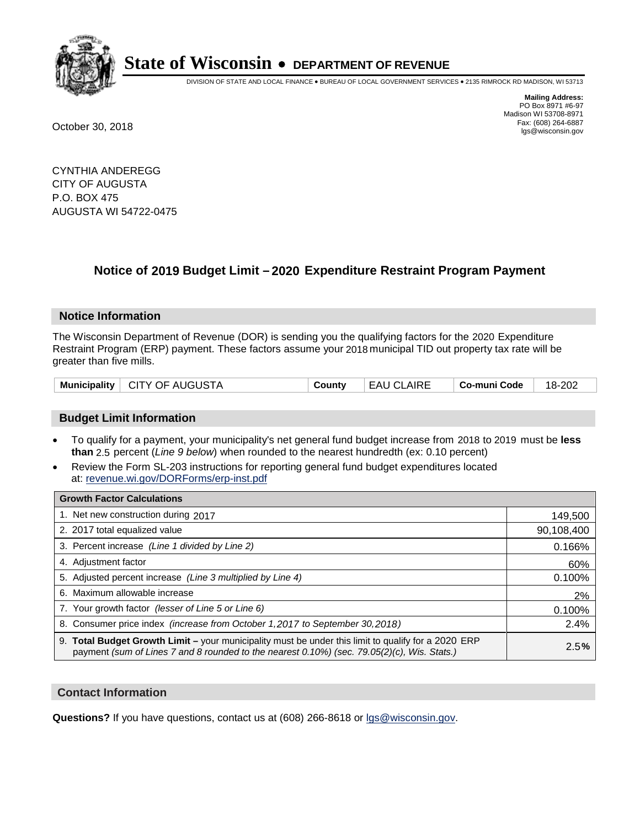

DIVISION OF STATE AND LOCAL FINANCE • BUREAU OF LOCAL GOVERNMENT SERVICES • 2135 RIMROCK RD MADISON, WI 53713

**Mailing Address:** PO Box 8971 #6-97 Madison WI 53708-8971<br>Fax: (608) 264-6887 Fax: (608) 264-6887 October 30, 2018 lgs@wisconsin.gov

CYNTHIA ANDEREGG CITY OF AUGUSTA P.O. BOX 475 AUGUSTA WI 54722-0475

### **Notice of 2019 Budget Limit - 2020 Expenditure Restraint Program Payment**

#### **Notice Information**

The Wisconsin Department of Revenue (DOR) is sending you the qualifying factors for the 2020 Expenditure Restraint Program (ERP) payment. These factors assume your 2018 municipal TID out property tax rate will be greater than five mills.

| Municipality   CITY OF AUGUSTA | County | EAU CLAIRE | $\vert$ Co-muni Code $\vert$ 18-202 |  |
|--------------------------------|--------|------------|-------------------------------------|--|
|--------------------------------|--------|------------|-------------------------------------|--|

#### **Budget Limit Information**

- To qualify for a payment, your municipality's net general fund budget increase from 2018 to 2019 must be less **than** 2.5 percent (*Line 9 below*) when rounded to the nearest hundredth (ex: 0.10 percent)
- Review the Form SL-203 instructions for reporting general fund budget expenditures located at: revenue.wi.gov/DORForms/erp-inst.pdf

| <b>Growth Factor Calculations</b>                                                                                                                                                                      |            |
|--------------------------------------------------------------------------------------------------------------------------------------------------------------------------------------------------------|------------|
| 1. Net new construction during 2017                                                                                                                                                                    | 149,500    |
| 2. 2017 total equalized value                                                                                                                                                                          | 90,108,400 |
| 3. Percent increase (Line 1 divided by Line 2)                                                                                                                                                         | 0.166%     |
| 4. Adjustment factor                                                                                                                                                                                   | 60%        |
| 5. Adjusted percent increase (Line 3 multiplied by Line 4)                                                                                                                                             | 0.100%     |
| 6. Maximum allowable increase                                                                                                                                                                          | 2%         |
| 7. Your growth factor (lesser of Line 5 or Line 6)                                                                                                                                                     | 0.100%     |
| 8. Consumer price index (increase from October 1, 2017 to September 30, 2018)                                                                                                                          | 2.4%       |
| 9. Total Budget Growth Limit - your municipality must be under this limit to qualify for a 2020 ERP<br>payment (sum of Lines 7 and 8 rounded to the nearest $0.10\%$ ) (sec. 79.05(2)(c), Wis. Stats.) | 2.5%       |

#### **Contact Information**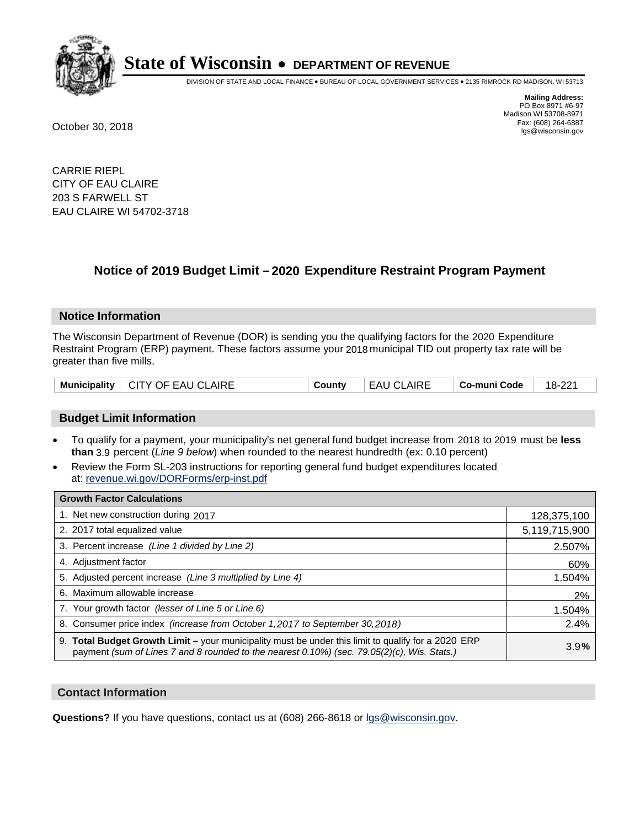

DIVISION OF STATE AND LOCAL FINANCE • BUREAU OF LOCAL GOVERNMENT SERVICES • 2135 RIMROCK RD MADISON, WI 53713

**Mailing Address:** PO Box 8971 #6-97 Madison WI 53708-8971<br>Fax: (608) 264-6887 Fax: (608) 264-6887 October 30, 2018 lgs@wisconsin.gov

CARRIE RIEPL CITY OF EAU CLAIRE 203 S FARWELL ST EAU CLAIRE WI 54702-3718

## **Notice of 2019 Budget Limit - 2020 Expenditure Restraint Program Payment**

#### **Notice Information**

The Wisconsin Department of Revenue (DOR) is sending you the qualifying factors for the 2020 Expenditure Restraint Program (ERP) payment. These factors assume your 2018 municipal TID out property tax rate will be greater than five mills.

| Municipality   CITY OF EAU CLAIRE | County | EAU CLAIRE | Co-muni Code | 18-221 |
|-----------------------------------|--------|------------|--------------|--------|
|-----------------------------------|--------|------------|--------------|--------|

#### **Budget Limit Information**

- To qualify for a payment, your municipality's net general fund budget increase from 2018 to 2019 must be less **than** 3.9 percent (*Line 9 below*) when rounded to the nearest hundredth (ex: 0.10 percent)
- Review the Form SL-203 instructions for reporting general fund budget expenditures located at: revenue.wi.gov/DORForms/erp-inst.pdf

| <b>Growth Factor Calculations</b>                                                                                                                                                                      |               |
|--------------------------------------------------------------------------------------------------------------------------------------------------------------------------------------------------------|---------------|
| 1. Net new construction during 2017                                                                                                                                                                    | 128,375,100   |
| 2. 2017 total equalized value                                                                                                                                                                          | 5,119,715,900 |
| 3. Percent increase (Line 1 divided by Line 2)                                                                                                                                                         | 2.507%        |
| 4. Adjustment factor                                                                                                                                                                                   | 60%           |
| 5. Adjusted percent increase (Line 3 multiplied by Line 4)                                                                                                                                             | 1.504%        |
| 6. Maximum allowable increase                                                                                                                                                                          | 2%            |
| 7. Your growth factor (lesser of Line 5 or Line 6)                                                                                                                                                     | 1.504%        |
| 8. Consumer price index (increase from October 1,2017 to September 30,2018)                                                                                                                            | 2.4%          |
| 9. Total Budget Growth Limit - your municipality must be under this limit to qualify for a 2020 ERP<br>payment (sum of Lines 7 and 8 rounded to the nearest $0.10\%$ ) (sec. 79.05(2)(c), Wis. Stats.) | 3.9%          |

#### **Contact Information**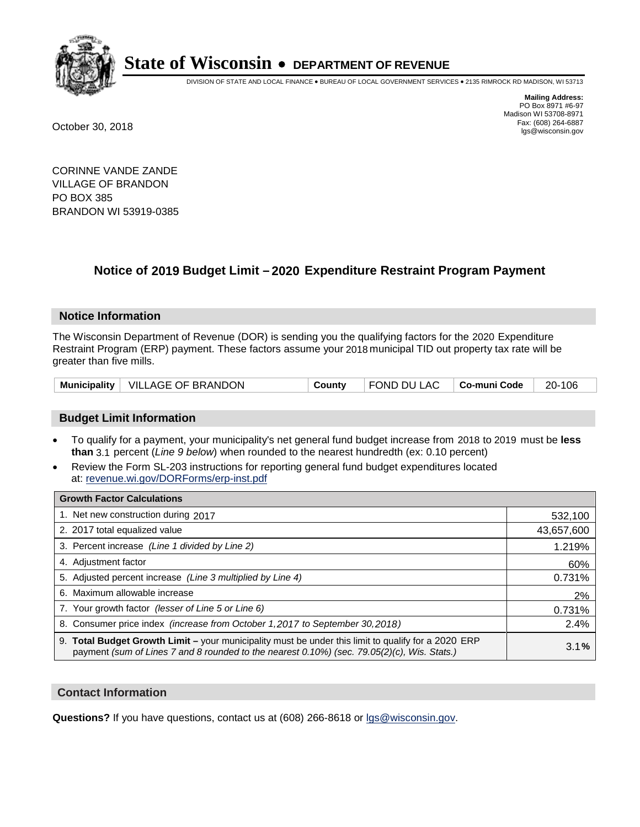

DIVISION OF STATE AND LOCAL FINANCE • BUREAU OF LOCAL GOVERNMENT SERVICES • 2135 RIMROCK RD MADISON, WI 53713

**Mailing Address:** PO Box 8971 #6-97 Madison WI 53708-8971<br>Fax: (608) 264-6887 Fax: (608) 264-6887 October 30, 2018 lgs@wisconsin.gov

CORINNE VANDE ZANDE VILLAGE OF BRANDON PO BOX 385 BRANDON WI 53919-0385

### **Notice of 2019 Budget Limit - 2020 Expenditure Restraint Program Payment**

#### **Notice Information**

The Wisconsin Department of Revenue (DOR) is sending you the qualifying factors for the 2020 Expenditure Restraint Program (ERP) payment. These factors assume your 2018 municipal TID out property tax rate will be greater than five mills.

|  | Municipality   VILLAGE OF BRANDON | Countv | FOND DU LAC   Co-muni Code |  | 20-106 |
|--|-----------------------------------|--------|----------------------------|--|--------|
|--|-----------------------------------|--------|----------------------------|--|--------|

#### **Budget Limit Information**

- To qualify for a payment, your municipality's net general fund budget increase from 2018 to 2019 must be less **than** 3.1 percent (*Line 9 below*) when rounded to the nearest hundredth (ex: 0.10 percent)
- Review the Form SL-203 instructions for reporting general fund budget expenditures located at: revenue.wi.gov/DORForms/erp-inst.pdf

| <b>Growth Factor Calculations</b>                                                                                                                                                                      |            |
|--------------------------------------------------------------------------------------------------------------------------------------------------------------------------------------------------------|------------|
| 1. Net new construction during 2017                                                                                                                                                                    | 532,100    |
| 2. 2017 total equalized value                                                                                                                                                                          | 43,657,600 |
| 3. Percent increase (Line 1 divided by Line 2)                                                                                                                                                         | 1.219%     |
| 4. Adjustment factor                                                                                                                                                                                   | 60%        |
| 5. Adjusted percent increase (Line 3 multiplied by Line 4)                                                                                                                                             | 0.731%     |
| 6. Maximum allowable increase                                                                                                                                                                          | 2%         |
| 7. Your growth factor (lesser of Line 5 or Line 6)                                                                                                                                                     | 0.731%     |
| 8. Consumer price index (increase from October 1,2017 to September 30,2018)                                                                                                                            | 2.4%       |
| 9. Total Budget Growth Limit - your municipality must be under this limit to qualify for a 2020 ERP<br>payment (sum of Lines 7 and 8 rounded to the nearest $0.10\%$ ) (sec. 79.05(2)(c), Wis. Stats.) | 3.1%       |

#### **Contact Information**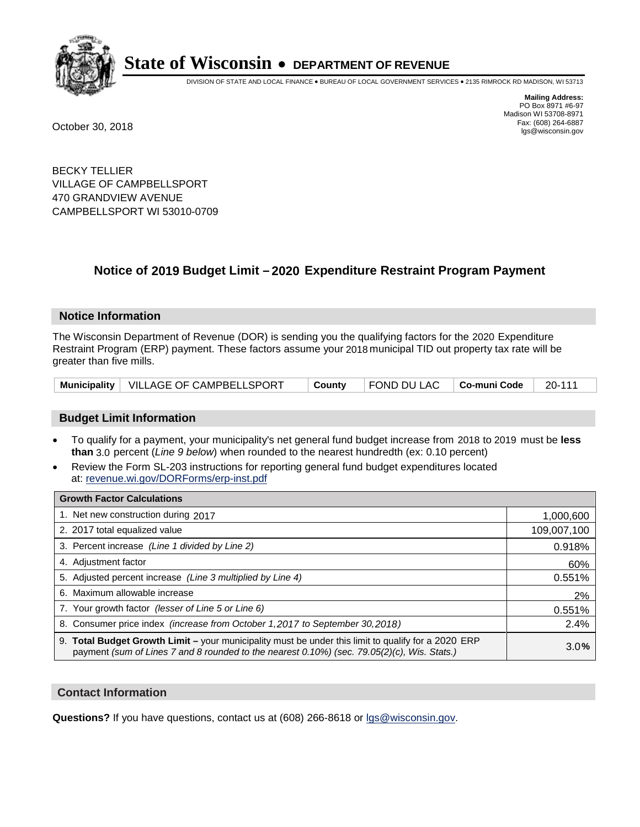

DIVISION OF STATE AND LOCAL FINANCE • BUREAU OF LOCAL GOVERNMENT SERVICES • 2135 RIMROCK RD MADISON, WI 53713

**Mailing Address:** PO Box 8971 #6-97 Madison WI 53708-8971<br>Fax: (608) 264-6887 Fax: (608) 264-6887 October 30, 2018 lgs@wisconsin.gov

BECKY TELLIER VILLAGE OF CAMPBELLSPORT 470 GRANDVIEW AVENUE CAMPBELLSPORT WI 53010-0709

## **Notice of 2019 Budget Limit - 2020 Expenditure Restraint Program Payment**

#### **Notice Information**

The Wisconsin Department of Revenue (DOR) is sending you the qualifying factors for the 2020 Expenditure Restraint Program (ERP) payment. These factors assume your 2018 municipal TID out property tax rate will be greater than five mills.

|  | Municipality   VILLAGE OF CAMPBELLSPORT | ∣ County | $\vert$ FOND DU LAC $\vert$ Co-muni Code $\vert$ 20-111 |  |  |
|--|-----------------------------------------|----------|---------------------------------------------------------|--|--|
|--|-----------------------------------------|----------|---------------------------------------------------------|--|--|

#### **Budget Limit Information**

- To qualify for a payment, your municipality's net general fund budget increase from 2018 to 2019 must be less **than** 3.0 percent (*Line 9 below*) when rounded to the nearest hundredth (ex: 0.10 percent)
- Review the Form SL-203 instructions for reporting general fund budget expenditures located at: revenue.wi.gov/DORForms/erp-inst.pdf

| <b>Growth Factor Calculations</b>                                                                                                                                                                      |             |
|--------------------------------------------------------------------------------------------------------------------------------------------------------------------------------------------------------|-------------|
| 1. Net new construction during 2017                                                                                                                                                                    | 1,000,600   |
| 2. 2017 total equalized value                                                                                                                                                                          | 109,007,100 |
| 3. Percent increase (Line 1 divided by Line 2)                                                                                                                                                         | 0.918%      |
| 4. Adjustment factor                                                                                                                                                                                   | 60%         |
| 5. Adjusted percent increase (Line 3 multiplied by Line 4)                                                                                                                                             | 0.551%      |
| 6. Maximum allowable increase                                                                                                                                                                          | 2%          |
| 7. Your growth factor (lesser of Line 5 or Line 6)                                                                                                                                                     | 0.551%      |
| 8. Consumer price index (increase from October 1,2017 to September 30,2018)                                                                                                                            | 2.4%        |
| 9. Total Budget Growth Limit - your municipality must be under this limit to qualify for a 2020 ERP<br>payment (sum of Lines 7 and 8 rounded to the nearest $0.10\%$ ) (sec. 79.05(2)(c), Wis. Stats.) | 3.0%        |

#### **Contact Information**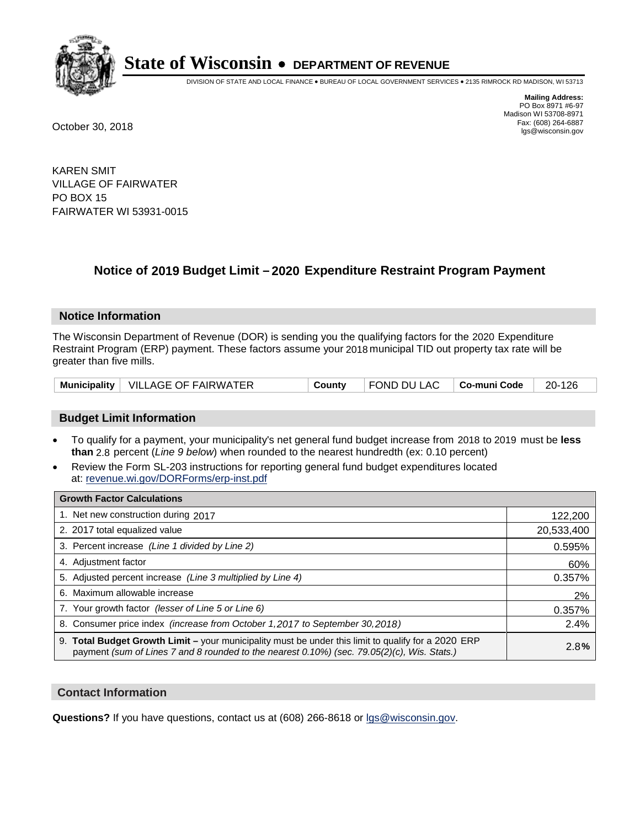

DIVISION OF STATE AND LOCAL FINANCE • BUREAU OF LOCAL GOVERNMENT SERVICES • 2135 RIMROCK RD MADISON, WI 53713

**Mailing Address:** PO Box 8971 #6-97 Madison WI 53708-8971<br>Fax: (608) 264-6887 Fax: (608) 264-6887 October 30, 2018 lgs@wisconsin.gov

KAREN SMIT VILLAGE OF FAIRWATER PO BOX 15 FAIRWATER WI 53931-0015

### **Notice of 2019 Budget Limit - 2020 Expenditure Restraint Program Payment**

#### **Notice Information**

The Wisconsin Department of Revenue (DOR) is sending you the qualifying factors for the 2020 Expenditure Restraint Program (ERP) payment. These factors assume your 2018 municipal TID out property tax rate will be greater than five mills.

|  | Municipality   VILLAGE OF FAIRWATER | County | FOND DU LAC   Co-muni Code |  | 20-126 |
|--|-------------------------------------|--------|----------------------------|--|--------|
|--|-------------------------------------|--------|----------------------------|--|--------|

#### **Budget Limit Information**

- To qualify for a payment, your municipality's net general fund budget increase from 2018 to 2019 must be less **than** 2.8 percent (*Line 9 below*) when rounded to the nearest hundredth (ex: 0.10 percent)
- Review the Form SL-203 instructions for reporting general fund budget expenditures located at: revenue.wi.gov/DORForms/erp-inst.pdf

| <b>Growth Factor Calculations</b>                                                                                                                                                                      |            |
|--------------------------------------------------------------------------------------------------------------------------------------------------------------------------------------------------------|------------|
| 1. Net new construction during 2017                                                                                                                                                                    | 122,200    |
| 2. 2017 total equalized value                                                                                                                                                                          | 20,533,400 |
| 3. Percent increase (Line 1 divided by Line 2)                                                                                                                                                         | 0.595%     |
| 4. Adjustment factor                                                                                                                                                                                   | 60%        |
| 5. Adjusted percent increase (Line 3 multiplied by Line 4)                                                                                                                                             | 0.357%     |
| 6. Maximum allowable increase                                                                                                                                                                          | 2%         |
| 7. Your growth factor (lesser of Line 5 or Line 6)                                                                                                                                                     | 0.357%     |
| 8. Consumer price index (increase from October 1,2017 to September 30,2018)                                                                                                                            | 2.4%       |
| 9. Total Budget Growth Limit - your municipality must be under this limit to qualify for a 2020 ERP<br>payment (sum of Lines 7 and 8 rounded to the nearest $0.10\%$ ) (sec. 79.05(2)(c), Wis. Stats.) | 2.8%       |

#### **Contact Information**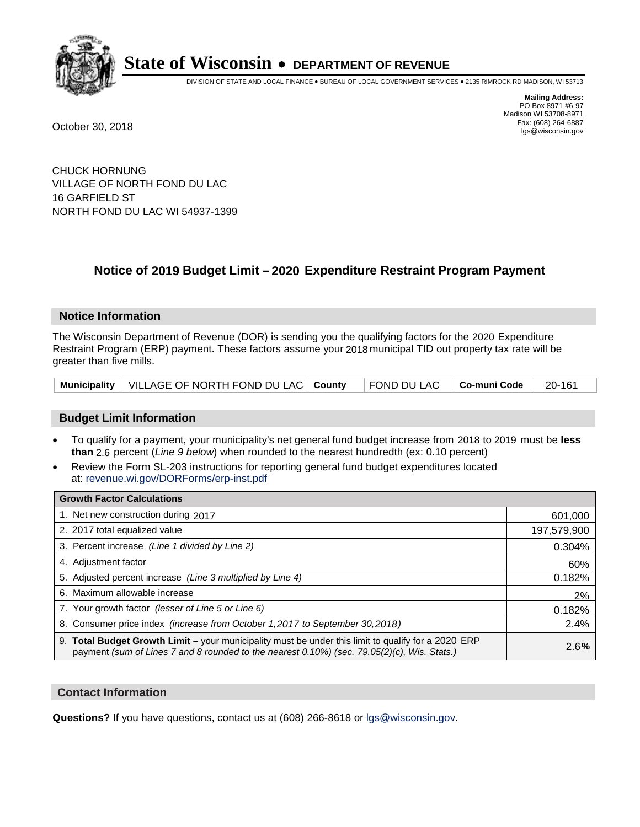

DIVISION OF STATE AND LOCAL FINANCE • BUREAU OF LOCAL GOVERNMENT SERVICES • 2135 RIMROCK RD MADISON, WI 53713

**Mailing Address:** PO Box 8971 #6-97 Madison WI 53708-8971<br>Fax: (608) 264-6887 Fax: (608) 264-6887 October 30, 2018 lgs@wisconsin.gov

CHUCK HORNUNG VILLAGE OF NORTH FOND DU LAC 16 GARFIELD ST NORTH FOND DU LAC WI 54937-1399

### **Notice of 2019 Budget Limit - 2020 Expenditure Restraint Program Payment**

#### **Notice Information**

The Wisconsin Department of Revenue (DOR) is sending you the qualifying factors for the 2020 Expenditure Restraint Program (ERP) payment. These factors assume your 2018 municipal TID out property tax rate will be greater than five mills.

|  | Municipality   VILLAGE OF NORTH FOND DU LAC   County   FOND DU LAC   Co-muni Code   20-161 |  |  |  |  |
|--|--------------------------------------------------------------------------------------------|--|--|--|--|
|--|--------------------------------------------------------------------------------------------|--|--|--|--|

#### **Budget Limit Information**

- To qualify for a payment, your municipality's net general fund budget increase from 2018 to 2019 must be less **than** 2.6 percent (*Line 9 below*) when rounded to the nearest hundredth (ex: 0.10 percent)
- Review the Form SL-203 instructions for reporting general fund budget expenditures located at: revenue.wi.gov/DORForms/erp-inst.pdf

| <b>Growth Factor Calculations</b>                                                                                                                                                                      |             |
|--------------------------------------------------------------------------------------------------------------------------------------------------------------------------------------------------------|-------------|
| 1. Net new construction during 2017                                                                                                                                                                    | 601,000     |
| 2. 2017 total equalized value                                                                                                                                                                          | 197,579,900 |
| 3. Percent increase (Line 1 divided by Line 2)                                                                                                                                                         | 0.304%      |
| 4. Adjustment factor                                                                                                                                                                                   | 60%         |
| 5. Adjusted percent increase (Line 3 multiplied by Line 4)                                                                                                                                             | 0.182%      |
| 6. Maximum allowable increase                                                                                                                                                                          | 2%          |
| 7. Your growth factor (lesser of Line 5 or Line 6)                                                                                                                                                     | 0.182%      |
| 8. Consumer price index (increase from October 1, 2017 to September 30, 2018)                                                                                                                          | 2.4%        |
| 9. Total Budget Growth Limit - your municipality must be under this limit to qualify for a 2020 ERP<br>payment (sum of Lines 7 and 8 rounded to the nearest $0.10\%$ ) (sec. 79.05(2)(c), Wis. Stats.) | 2.6%        |

#### **Contact Information**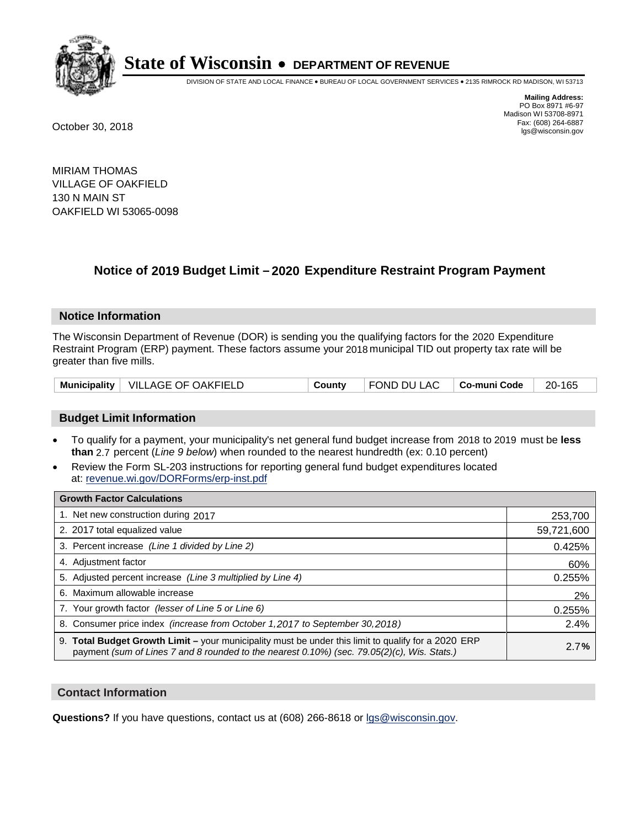

DIVISION OF STATE AND LOCAL FINANCE • BUREAU OF LOCAL GOVERNMENT SERVICES • 2135 RIMROCK RD MADISON, WI 53713

**Mailing Address:** PO Box 8971 #6-97 Madison WI 53708-8971<br>Fax: (608) 264-6887 Fax: (608) 264-6887 October 30, 2018 lgs@wisconsin.gov

MIRIAM THOMAS VILLAGE OF OAKFIELD 130 N MAIN ST OAKFIELD WI 53065-0098

## **Notice of 2019 Budget Limit - 2020 Expenditure Restraint Program Payment**

#### **Notice Information**

The Wisconsin Department of Revenue (DOR) is sending you the qualifying factors for the 2020 Expenditure Restraint Program (ERP) payment. These factors assume your 2018 municipal TID out property tax rate will be greater than five mills.

|  | Municipality   VILLAGE OF OAKFIELD | County | FOND DU LAC   Co-muni Code |  | 20-165 |
|--|------------------------------------|--------|----------------------------|--|--------|
|--|------------------------------------|--------|----------------------------|--|--------|

#### **Budget Limit Information**

- To qualify for a payment, your municipality's net general fund budget increase from 2018 to 2019 must be less **than** 2.7 percent (*Line 9 below*) when rounded to the nearest hundredth (ex: 0.10 percent)
- Review the Form SL-203 instructions for reporting general fund budget expenditures located at: revenue.wi.gov/DORForms/erp-inst.pdf

| <b>Growth Factor Calculations</b>                                                                                                                                                                      |            |
|--------------------------------------------------------------------------------------------------------------------------------------------------------------------------------------------------------|------------|
| 1. Net new construction during 2017                                                                                                                                                                    | 253,700    |
| 2. 2017 total equalized value                                                                                                                                                                          | 59,721,600 |
| 3. Percent increase (Line 1 divided by Line 2)                                                                                                                                                         | 0.425%     |
| 4. Adjustment factor                                                                                                                                                                                   | 60%        |
| 5. Adjusted percent increase (Line 3 multiplied by Line 4)                                                                                                                                             | 0.255%     |
| 6. Maximum allowable increase                                                                                                                                                                          | 2%         |
| 7. Your growth factor (lesser of Line 5 or Line 6)                                                                                                                                                     | 0.255%     |
| 8. Consumer price index (increase from October 1,2017 to September 30,2018)                                                                                                                            | 2.4%       |
| 9. Total Budget Growth Limit - your municipality must be under this limit to qualify for a 2020 ERP<br>payment (sum of Lines 7 and 8 rounded to the nearest $0.10\%$ ) (sec. 79.05(2)(c), Wis. Stats.) | 2.7%       |

#### **Contact Information**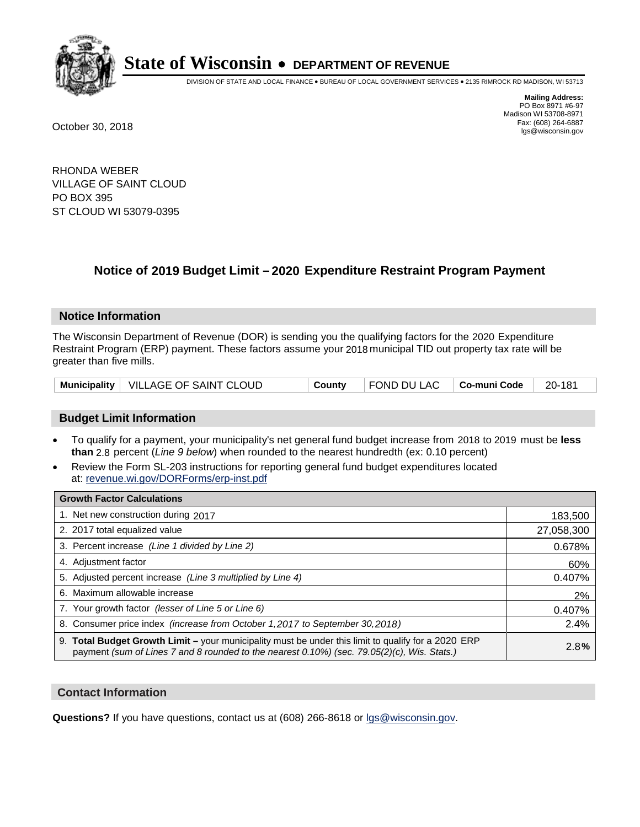

DIVISION OF STATE AND LOCAL FINANCE • BUREAU OF LOCAL GOVERNMENT SERVICES • 2135 RIMROCK RD MADISON, WI 53713

**Mailing Address:** PO Box 8971 #6-97 Madison WI 53708-8971<br>Fax: (608) 264-6887 Fax: (608) 264-6887 October 30, 2018 lgs@wisconsin.gov

RHONDA WEBER VILLAGE OF SAINT CLOUD PO BOX 395 ST CLOUD WI 53079-0395

## **Notice of 2019 Budget Limit - 2020 Expenditure Restraint Program Payment**

#### **Notice Information**

The Wisconsin Department of Revenue (DOR) is sending you the qualifying factors for the 2020 Expenditure Restraint Program (ERP) payment. These factors assume your 2018 municipal TID out property tax rate will be greater than five mills.

|  | Municipality   VILLAGE OF SAINT CLOUD | County | $\vert$ FOND DU LAC $\vert$ Co-muni Code $\vert$ 20-181 |  |  |
|--|---------------------------------------|--------|---------------------------------------------------------|--|--|
|--|---------------------------------------|--------|---------------------------------------------------------|--|--|

#### **Budget Limit Information**

- To qualify for a payment, your municipality's net general fund budget increase from 2018 to 2019 must be less **than** 2.8 percent (*Line 9 below*) when rounded to the nearest hundredth (ex: 0.10 percent)
- Review the Form SL-203 instructions for reporting general fund budget expenditures located at: revenue.wi.gov/DORForms/erp-inst.pdf

| <b>Growth Factor Calculations</b>                                                                                                                                                                      |            |
|--------------------------------------------------------------------------------------------------------------------------------------------------------------------------------------------------------|------------|
| 1. Net new construction during 2017                                                                                                                                                                    | 183,500    |
| 2. 2017 total equalized value                                                                                                                                                                          | 27,058,300 |
| 3. Percent increase (Line 1 divided by Line 2)                                                                                                                                                         | 0.678%     |
| 4. Adjustment factor                                                                                                                                                                                   | 60%        |
| 5. Adjusted percent increase (Line 3 multiplied by Line 4)                                                                                                                                             | 0.407%     |
| 6. Maximum allowable increase                                                                                                                                                                          | 2%         |
| 7. Your growth factor (lesser of Line 5 or Line 6)                                                                                                                                                     | 0.407%     |
| 8. Consumer price index (increase from October 1,2017 to September 30,2018)                                                                                                                            | 2.4%       |
| 9. Total Budget Growth Limit - your municipality must be under this limit to qualify for a 2020 ERP<br>payment (sum of Lines 7 and 8 rounded to the nearest $0.10\%$ ) (sec. 79.05(2)(c), Wis. Stats.) | 2.8%       |

#### **Contact Information**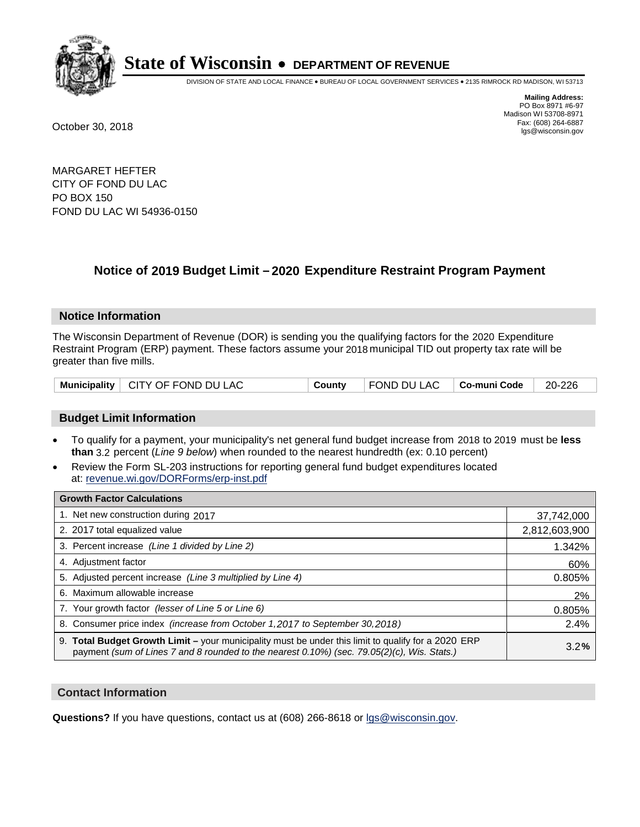

DIVISION OF STATE AND LOCAL FINANCE • BUREAU OF LOCAL GOVERNMENT SERVICES • 2135 RIMROCK RD MADISON, WI 53713

**Mailing Address:** PO Box 8971 #6-97 Madison WI 53708-8971<br>Fax: (608) 264-6887 Fax: (608) 264-6887 October 30, 2018 lgs@wisconsin.gov

MARGARET HEFTER CITY OF FOND DU LAC PO BOX 150 FOND DU LAC WI 54936-0150

### **Notice of 2019 Budget Limit - 2020 Expenditure Restraint Program Payment**

#### **Notice Information**

The Wisconsin Department of Revenue (DOR) is sending you the qualifying factors for the 2020 Expenditure Restraint Program (ERP) payment. These factors assume your 2018 municipal TID out property tax rate will be greater than five mills.

#### **Budget Limit Information**

- To qualify for a payment, your municipality's net general fund budget increase from 2018 to 2019 must be less **than** 3.2 percent (*Line 9 below*) when rounded to the nearest hundredth (ex: 0.10 percent)
- Review the Form SL-203 instructions for reporting general fund budget expenditures located at: revenue.wi.gov/DORForms/erp-inst.pdf

| <b>Growth Factor Calculations</b>                                                                                                                                                                      |               |
|--------------------------------------------------------------------------------------------------------------------------------------------------------------------------------------------------------|---------------|
| 1. Net new construction during 2017                                                                                                                                                                    | 37,742,000    |
| 2. 2017 total equalized value                                                                                                                                                                          | 2,812,603,900 |
| 3. Percent increase (Line 1 divided by Line 2)                                                                                                                                                         | 1.342%        |
| 4. Adjustment factor                                                                                                                                                                                   | 60%           |
| 5. Adjusted percent increase (Line 3 multiplied by Line 4)                                                                                                                                             | 0.805%        |
| 6. Maximum allowable increase                                                                                                                                                                          | 2%            |
| 7. Your growth factor (lesser of Line 5 or Line 6)                                                                                                                                                     | 0.805%        |
| 8. Consumer price index (increase from October 1,2017 to September 30,2018)                                                                                                                            | 2.4%          |
| 9. Total Budget Growth Limit - your municipality must be under this limit to qualify for a 2020 ERP<br>payment (sum of Lines 7 and 8 rounded to the nearest $0.10\%$ ) (sec. 79.05(2)(c), Wis. Stats.) | 3.2%          |

#### **Contact Information**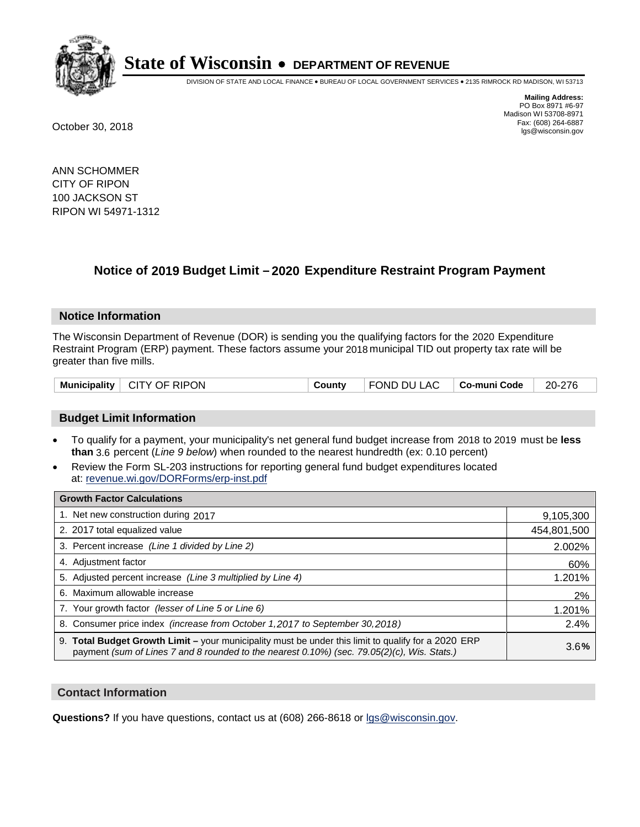

DIVISION OF STATE AND LOCAL FINANCE • BUREAU OF LOCAL GOVERNMENT SERVICES • 2135 RIMROCK RD MADISON, WI 53713

**Mailing Address:** PO Box 8971 #6-97 Madison WI 53708-8971<br>Fax: (608) 264-6887 Fax: (608) 264-6887 October 30, 2018 lgs@wisconsin.gov

ANN SCHOMMER CITY OF RIPON 100 JACKSON ST RIPON WI 54971-1312

### **Notice of 2019 Budget Limit - 2020 Expenditure Restraint Program Payment**

#### **Notice Information**

The Wisconsin Department of Revenue (DOR) is sending you the qualifying factors for the 2020 Expenditure Restraint Program (ERP) payment. These factors assume your 2018 municipal TID out property tax rate will be greater than five mills.

| Municipality | CITY OF RIPON | County | FOND DU LAC | ∣ Co-muni Code | 20-276 |
|--------------|---------------|--------|-------------|----------------|--------|
|--------------|---------------|--------|-------------|----------------|--------|

#### **Budget Limit Information**

- To qualify for a payment, your municipality's net general fund budget increase from 2018 to 2019 must be less **than** 3.6 percent (*Line 9 below*) when rounded to the nearest hundredth (ex: 0.10 percent)
- Review the Form SL-203 instructions for reporting general fund budget expenditures located at: revenue.wi.gov/DORForms/erp-inst.pdf

| <b>Growth Factor Calculations</b>                                                                                                                                                                      |             |
|--------------------------------------------------------------------------------------------------------------------------------------------------------------------------------------------------------|-------------|
| 1. Net new construction during 2017                                                                                                                                                                    | 9,105,300   |
| 2. 2017 total equalized value                                                                                                                                                                          | 454,801,500 |
| 3. Percent increase (Line 1 divided by Line 2)                                                                                                                                                         | 2.002%      |
| 4. Adjustment factor                                                                                                                                                                                   | 60%         |
| 5. Adjusted percent increase (Line 3 multiplied by Line 4)                                                                                                                                             | 1.201%      |
| 6. Maximum allowable increase                                                                                                                                                                          | 2%          |
| 7. Your growth factor (lesser of Line 5 or Line 6)                                                                                                                                                     | 1.201%      |
| 8. Consumer price index (increase from October 1,2017 to September 30,2018)                                                                                                                            | 2.4%        |
| 9. Total Budget Growth Limit - your municipality must be under this limit to qualify for a 2020 ERP<br>payment (sum of Lines 7 and 8 rounded to the nearest $0.10\%$ ) (sec. 79.05(2)(c), Wis. Stats.) | 3.6%        |

#### **Contact Information**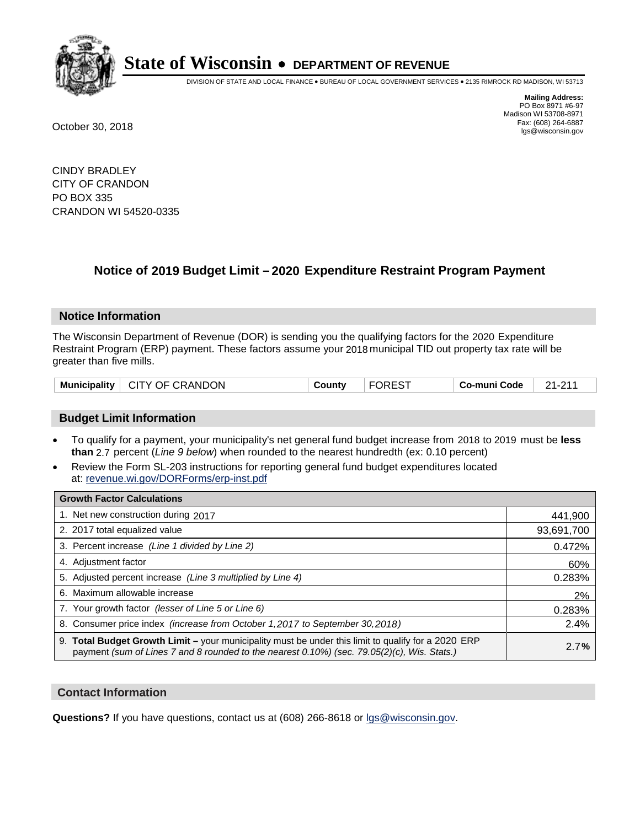

DIVISION OF STATE AND LOCAL FINANCE • BUREAU OF LOCAL GOVERNMENT SERVICES • 2135 RIMROCK RD MADISON, WI 53713

**Mailing Address:** PO Box 8971 #6-97 Madison WI 53708-8971<br>Fax: (608) 264-6887 Fax: (608) 264-6887 October 30, 2018 lgs@wisconsin.gov

CINDY BRADLEY CITY OF CRANDON PO BOX 335 CRANDON WI 54520-0335

### **Notice of 2019 Budget Limit - 2020 Expenditure Restraint Program Payment**

#### **Notice Information**

The Wisconsin Department of Revenue (DOR) is sending you the qualifying factors for the 2020 Expenditure Restraint Program (ERP) payment. These factors assume your 2018 municipal TID out property tax rate will be greater than five mills.

| Municipality   CITY OF CRANDON | Countv | <b>FOREST</b> | ∣ Co-muni Code | 21-211 |
|--------------------------------|--------|---------------|----------------|--------|
|--------------------------------|--------|---------------|----------------|--------|

#### **Budget Limit Information**

- To qualify for a payment, your municipality's net general fund budget increase from 2018 to 2019 must be less **than** 2.7 percent (*Line 9 below*) when rounded to the nearest hundredth (ex: 0.10 percent)
- Review the Form SL-203 instructions for reporting general fund budget expenditures located at: revenue.wi.gov/DORForms/erp-inst.pdf

| <b>Growth Factor Calculations</b>                                                                                                                                                                      |            |
|--------------------------------------------------------------------------------------------------------------------------------------------------------------------------------------------------------|------------|
| 1. Net new construction during 2017                                                                                                                                                                    | 441,900    |
| 2. 2017 total equalized value                                                                                                                                                                          | 93,691,700 |
| 3. Percent increase (Line 1 divided by Line 2)                                                                                                                                                         | 0.472%     |
| 4. Adjustment factor                                                                                                                                                                                   | 60%        |
| 5. Adjusted percent increase (Line 3 multiplied by Line 4)                                                                                                                                             | 0.283%     |
| 6. Maximum allowable increase                                                                                                                                                                          | 2%         |
| 7. Your growth factor (lesser of Line 5 or Line 6)                                                                                                                                                     | 0.283%     |
| 8. Consumer price index (increase from October 1, 2017 to September 30, 2018)                                                                                                                          | 2.4%       |
| 9. Total Budget Growth Limit - your municipality must be under this limit to qualify for a 2020 ERP<br>payment (sum of Lines 7 and 8 rounded to the nearest $0.10\%$ ) (sec. 79.05(2)(c), Wis. Stats.) | 2.7%       |

#### **Contact Information**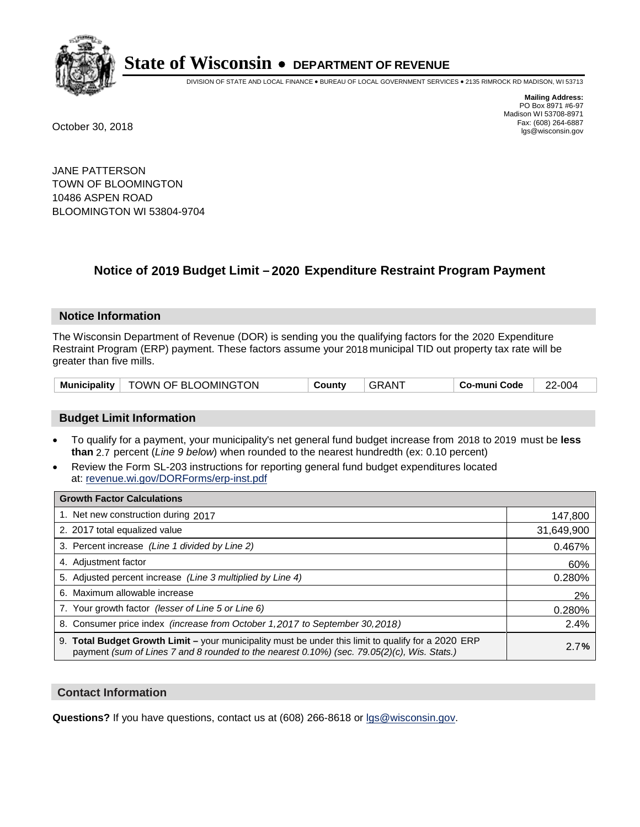

DIVISION OF STATE AND LOCAL FINANCE • BUREAU OF LOCAL GOVERNMENT SERVICES • 2135 RIMROCK RD MADISON, WI 53713

**Mailing Address:** PO Box 8971 #6-97 Madison WI 53708-8971<br>Fax: (608) 264-6887 Fax: (608) 264-6887 October 30, 2018 lgs@wisconsin.gov

JANE PATTERSON TOWN OF BLOOMINGTON 10486 ASPEN ROAD BLOOMINGTON WI 53804-9704

### **Notice of 2019 Budget Limit - 2020 Expenditure Restraint Program Payment**

#### **Notice Information**

The Wisconsin Department of Revenue (DOR) is sending you the qualifying factors for the 2020 Expenditure Restraint Program (ERP) payment. These factors assume your 2018 municipal TID out property tax rate will be greater than five mills.

| <b>Municipality</b> | <sup>↑</sup> TOWN OF BLOOMINGTON | County | . GRAN <sup>-</sup> | Co-muni Code | -004<br>ົ |
|---------------------|----------------------------------|--------|---------------------|--------------|-----------|
|---------------------|----------------------------------|--------|---------------------|--------------|-----------|

#### **Budget Limit Information**

- To qualify for a payment, your municipality's net general fund budget increase from 2018 to 2019 must be less **than** 2.7 percent (*Line 9 below*) when rounded to the nearest hundredth (ex: 0.10 percent)
- Review the Form SL-203 instructions for reporting general fund budget expenditures located at: revenue.wi.gov/DORForms/erp-inst.pdf

| <b>Growth Factor Calculations</b>                                                                                                                                                                      |            |
|--------------------------------------------------------------------------------------------------------------------------------------------------------------------------------------------------------|------------|
| 1. Net new construction during 2017                                                                                                                                                                    | 147,800    |
| 2. 2017 total equalized value                                                                                                                                                                          | 31,649,900 |
| 3. Percent increase (Line 1 divided by Line 2)                                                                                                                                                         | 0.467%     |
| 4. Adjustment factor                                                                                                                                                                                   | 60%        |
| 5. Adjusted percent increase (Line 3 multiplied by Line 4)                                                                                                                                             | 0.280%     |
| 6. Maximum allowable increase                                                                                                                                                                          | 2%         |
| 7. Your growth factor (lesser of Line 5 or Line 6)                                                                                                                                                     | 0.280%     |
| 8. Consumer price index (increase from October 1, 2017 to September 30, 2018)                                                                                                                          | 2.4%       |
| 9. Total Budget Growth Limit - your municipality must be under this limit to qualify for a 2020 ERP<br>payment (sum of Lines 7 and 8 rounded to the nearest $0.10\%$ ) (sec. 79.05(2)(c), Wis. Stats.) | 2.7%       |

#### **Contact Information**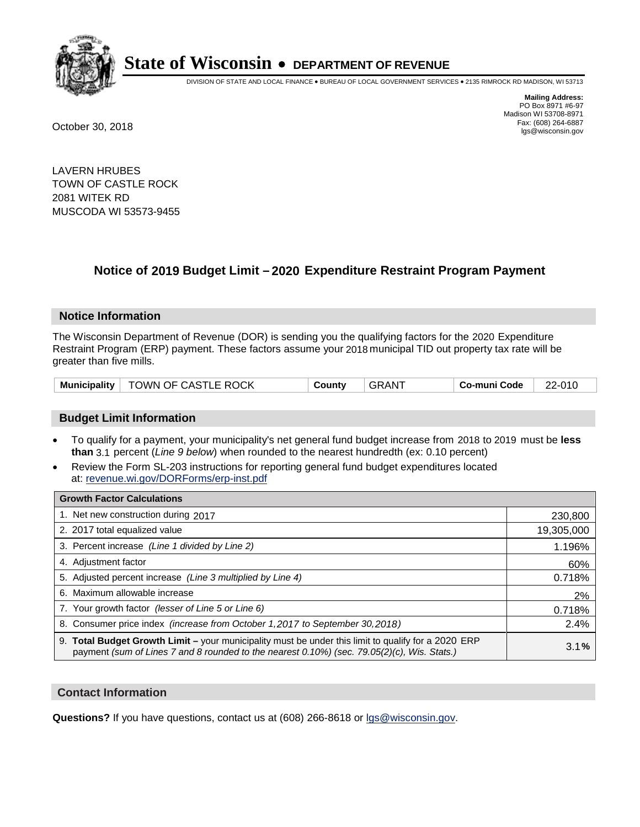

DIVISION OF STATE AND LOCAL FINANCE • BUREAU OF LOCAL GOVERNMENT SERVICES • 2135 RIMROCK RD MADISON, WI 53713

**Mailing Address:** PO Box 8971 #6-97 Madison WI 53708-8971<br>Fax: (608) 264-6887 Fax: (608) 264-6887 October 30, 2018 lgs@wisconsin.gov

LAVERN HRUBES TOWN OF CASTLE ROCK 2081 WITEK RD MUSCODA WI 53573-9455

### **Notice of 2019 Budget Limit - 2020 Expenditure Restraint Program Payment**

#### **Notice Information**

The Wisconsin Department of Revenue (DOR) is sending you the qualifying factors for the 2020 Expenditure Restraint Program (ERP) payment. These factors assume your 2018 municipal TID out property tax rate will be greater than five mills.

|  | Municipality   TOWN OF CASTLE ROCK | County | GRANT | Co-muni Code | 22-010 |
|--|------------------------------------|--------|-------|--------------|--------|
|--|------------------------------------|--------|-------|--------------|--------|

#### **Budget Limit Information**

- To qualify for a payment, your municipality's net general fund budget increase from 2018 to 2019 must be less **than** 3.1 percent (*Line 9 below*) when rounded to the nearest hundredth (ex: 0.10 percent)
- Review the Form SL-203 instructions for reporting general fund budget expenditures located at: revenue.wi.gov/DORForms/erp-inst.pdf

| <b>Growth Factor Calculations</b>                                                                                                                                                                      |            |
|--------------------------------------------------------------------------------------------------------------------------------------------------------------------------------------------------------|------------|
| 1. Net new construction during 2017                                                                                                                                                                    | 230,800    |
| 2. 2017 total equalized value                                                                                                                                                                          | 19,305,000 |
| 3. Percent increase (Line 1 divided by Line 2)                                                                                                                                                         | 1.196%     |
| 4. Adjustment factor                                                                                                                                                                                   | 60%        |
| 5. Adjusted percent increase (Line 3 multiplied by Line 4)                                                                                                                                             | 0.718%     |
| 6. Maximum allowable increase                                                                                                                                                                          | 2%         |
| 7. Your growth factor (lesser of Line 5 or Line 6)                                                                                                                                                     | 0.718%     |
| 8. Consumer price index (increase from October 1,2017 to September 30,2018)                                                                                                                            | 2.4%       |
| 9. Total Budget Growth Limit - your municipality must be under this limit to qualify for a 2020 ERP<br>payment (sum of Lines 7 and 8 rounded to the nearest $0.10\%$ ) (sec. 79.05(2)(c), Wis. Stats.) | 3.1%       |

#### **Contact Information**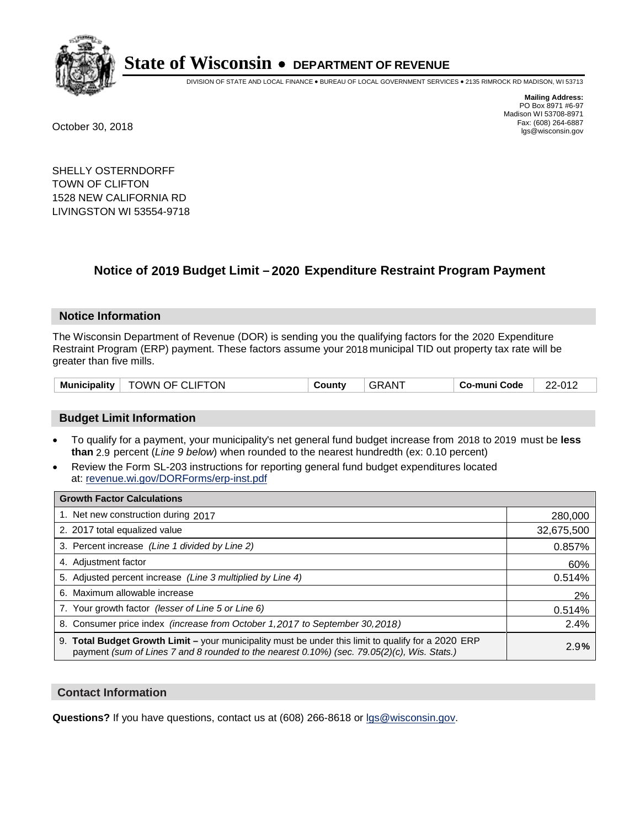

DIVISION OF STATE AND LOCAL FINANCE • BUREAU OF LOCAL GOVERNMENT SERVICES • 2135 RIMROCK RD MADISON, WI 53713

**Mailing Address:** PO Box 8971 #6-97 Madison WI 53708-8971<br>Fax: (608) 264-6887 Fax: (608) 264-6887 October 30, 2018 lgs@wisconsin.gov

SHELLY OSTERNDORFF TOWN OF CLIFTON 1528 NEW CALIFORNIA RD LIVINGSTON WI 53554-9718

### **Notice of 2019 Budget Limit - 2020 Expenditure Restraint Program Payment**

#### **Notice Information**

The Wisconsin Department of Revenue (DOR) is sending you the qualifying factors for the 2020 Expenditure Restraint Program (ERP) payment. These factors assume your 2018 municipal TID out property tax rate will be greater than five mills.

| $^{\circ}$ TOWN OF CLIFTON<br><b>Municipality</b> | County | GRAN <sup>T</sup> | Co-muni Code | 22-012 |
|---------------------------------------------------|--------|-------------------|--------------|--------|
|---------------------------------------------------|--------|-------------------|--------------|--------|

#### **Budget Limit Information**

- To qualify for a payment, your municipality's net general fund budget increase from 2018 to 2019 must be less **than** 2.9 percent (*Line 9 below*) when rounded to the nearest hundredth (ex: 0.10 percent)
- Review the Form SL-203 instructions for reporting general fund budget expenditures located at: revenue.wi.gov/DORForms/erp-inst.pdf

| <b>Growth Factor Calculations</b>                                                                                                                                                                  |            |
|----------------------------------------------------------------------------------------------------------------------------------------------------------------------------------------------------|------------|
| 1. Net new construction during 2017                                                                                                                                                                | 280,000    |
| 2. 2017 total equalized value                                                                                                                                                                      | 32,675,500 |
| 3. Percent increase (Line 1 divided by Line 2)                                                                                                                                                     | 0.857%     |
| 4. Adjustment factor                                                                                                                                                                               | 60%        |
| 5. Adjusted percent increase (Line 3 multiplied by Line 4)                                                                                                                                         | 0.514%     |
| 6. Maximum allowable increase                                                                                                                                                                      | 2%         |
| 7. Your growth factor (lesser of Line 5 or Line 6)                                                                                                                                                 | 0.514%     |
| 8. Consumer price index (increase from October 1, 2017 to September 30, 2018)                                                                                                                      | 2.4%       |
| 9. Total Budget Growth Limit – your municipality must be under this limit to qualify for a 2020 ERP<br>payment (sum of Lines 7 and 8 rounded to the nearest 0.10%) (sec. 79.05(2)(c), Wis. Stats.) | 2.9%       |

#### **Contact Information**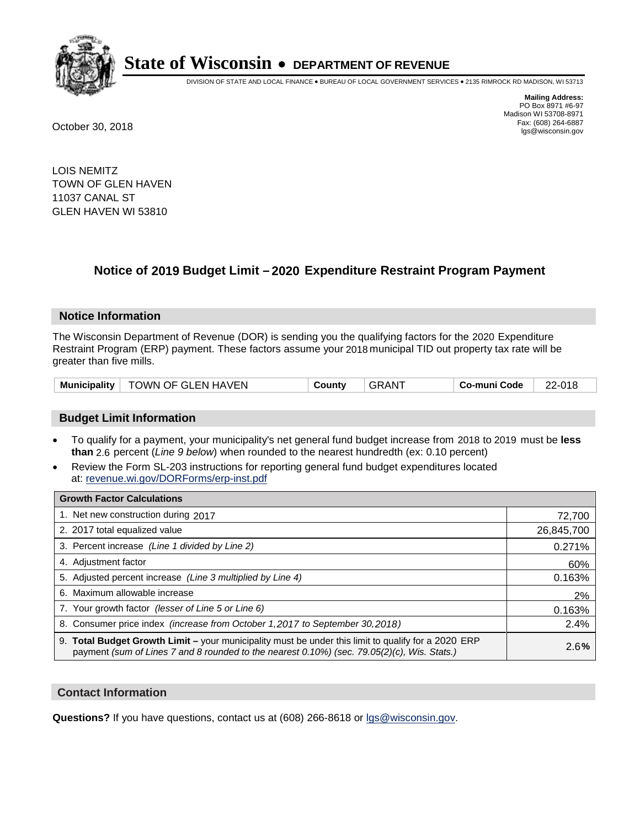

DIVISION OF STATE AND LOCAL FINANCE • BUREAU OF LOCAL GOVERNMENT SERVICES • 2135 RIMROCK RD MADISON, WI 53713

**Mailing Address:** PO Box 8971 #6-97 Madison WI 53708-8971<br>Fax: (608) 264-6887 Fax: (608) 264-6887 October 30, 2018 lgs@wisconsin.gov

LOIS NEMITZ TOWN OF GLEN HAVEN 11037 CANAL ST GLEN HAVEN WI 53810

## **Notice of 2019 Budget Limit - 2020 Expenditure Restraint Program Payment**

#### **Notice Information**

The Wisconsin Department of Revenue (DOR) is sending you the qualifying factors for the 2020 Expenditure Restraint Program (ERP) payment. These factors assume your 2018 municipal TID out property tax rate will be greater than five mills.

| <b>Municipality</b> | TOWN OF GLEN HAVEN | ∟ount∨ | AN. | o-muni Codeٽ | ∠-01£<br>ົດ |
|---------------------|--------------------|--------|-----|--------------|-------------|
|---------------------|--------------------|--------|-----|--------------|-------------|

#### **Budget Limit Information**

- To qualify for a payment, your municipality's net general fund budget increase from 2018 to 2019 must be less **than** 2.6 percent (*Line 9 below*) when rounded to the nearest hundredth (ex: 0.10 percent)
- Review the Form SL-203 instructions for reporting general fund budget expenditures located at: revenue.wi.gov/DORForms/erp-inst.pdf

| <b>Growth Factor Calculations</b>                                                                                                                                                                  |            |
|----------------------------------------------------------------------------------------------------------------------------------------------------------------------------------------------------|------------|
| 1. Net new construction during 2017                                                                                                                                                                | 72,700     |
| 2. 2017 total equalized value                                                                                                                                                                      | 26,845,700 |
| 3. Percent increase (Line 1 divided by Line 2)                                                                                                                                                     | 0.271%     |
| 4. Adjustment factor                                                                                                                                                                               | 60%        |
| 5. Adjusted percent increase (Line 3 multiplied by Line 4)                                                                                                                                         | 0.163%     |
| 6. Maximum allowable increase                                                                                                                                                                      | 2%         |
| 7. Your growth factor (lesser of Line 5 or Line 6)                                                                                                                                                 | 0.163%     |
| 8. Consumer price index (increase from October 1, 2017 to September 30, 2018)                                                                                                                      | 2.4%       |
| 9. Total Budget Growth Limit – your municipality must be under this limit to qualify for a 2020 ERP<br>payment (sum of Lines 7 and 8 rounded to the nearest 0.10%) (sec. 79.05(2)(c), Wis. Stats.) | 2.6%       |

#### **Contact Information**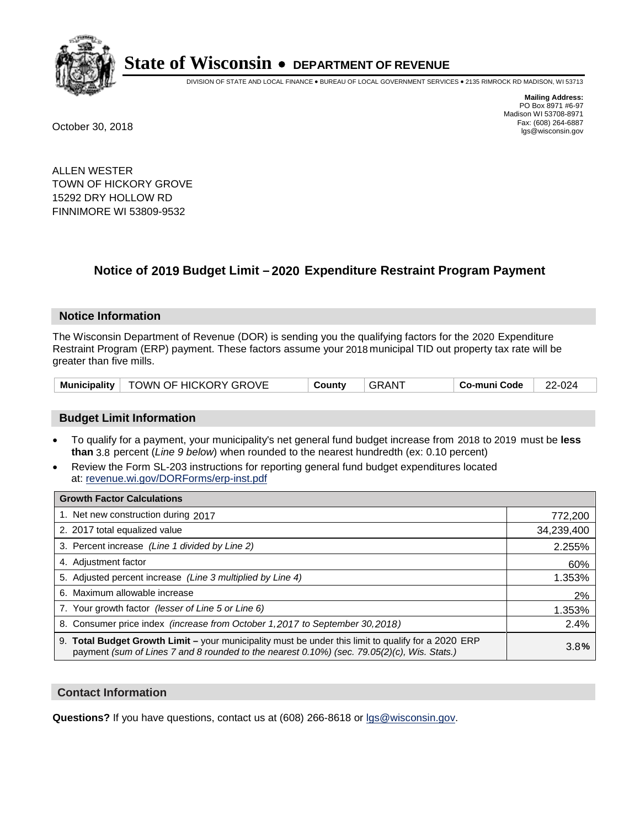

DIVISION OF STATE AND LOCAL FINANCE • BUREAU OF LOCAL GOVERNMENT SERVICES • 2135 RIMROCK RD MADISON, WI 53713

**Mailing Address:** PO Box 8971 #6-97 Madison WI 53708-8971<br>Fax: (608) 264-6887 Fax: (608) 264-6887 October 30, 2018 lgs@wisconsin.gov

ALLEN WESTER TOWN OF HICKORY GROVE 15292 DRY HOLLOW RD FINNIMORE WI 53809-9532

### **Notice of 2019 Budget Limit - 2020 Expenditure Restraint Program Payment**

#### **Notice Information**

The Wisconsin Department of Revenue (DOR) is sending you the qualifying factors for the 2020 Expenditure Restraint Program (ERP) payment. These factors assume your 2018 municipal TID out property tax rate will be greater than five mills.

|  | Municipality   TOWN OF HICKORY GROVE | County | GRANT | Co-muni Code | 22-024 |
|--|--------------------------------------|--------|-------|--------------|--------|
|--|--------------------------------------|--------|-------|--------------|--------|

#### **Budget Limit Information**

- To qualify for a payment, your municipality's net general fund budget increase from 2018 to 2019 must be less **than** 3.8 percent (*Line 9 below*) when rounded to the nearest hundredth (ex: 0.10 percent)
- Review the Form SL-203 instructions for reporting general fund budget expenditures located at: revenue.wi.gov/DORForms/erp-inst.pdf

| <b>Growth Factor Calculations</b>                                                                                                                                                                      |            |
|--------------------------------------------------------------------------------------------------------------------------------------------------------------------------------------------------------|------------|
| 1. Net new construction during 2017                                                                                                                                                                    | 772,200    |
| 2. 2017 total equalized value                                                                                                                                                                          | 34,239,400 |
| 3. Percent increase (Line 1 divided by Line 2)                                                                                                                                                         | 2.255%     |
| 4. Adjustment factor                                                                                                                                                                                   | 60%        |
| 5. Adjusted percent increase (Line 3 multiplied by Line 4)                                                                                                                                             | 1.353%     |
| 6. Maximum allowable increase                                                                                                                                                                          | 2%         |
| 7. Your growth factor (lesser of Line 5 or Line 6)                                                                                                                                                     | 1.353%     |
| 8. Consumer price index (increase from October 1,2017 to September 30,2018)                                                                                                                            | 2.4%       |
| 9. Total Budget Growth Limit - your municipality must be under this limit to qualify for a 2020 ERP<br>payment (sum of Lines 7 and 8 rounded to the nearest $0.10\%$ ) (sec. 79.05(2)(c), Wis. Stats.) | 3.8%       |

#### **Contact Information**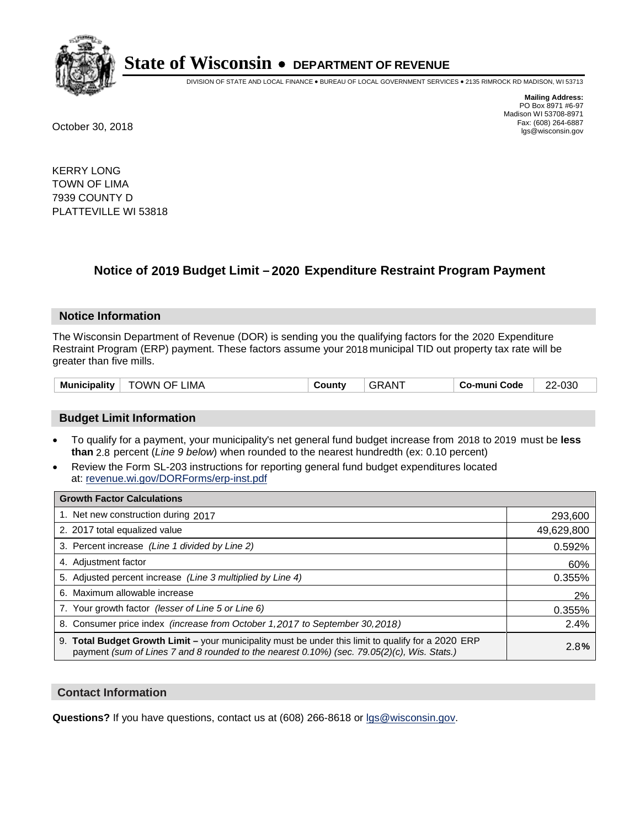

DIVISION OF STATE AND LOCAL FINANCE • BUREAU OF LOCAL GOVERNMENT SERVICES • 2135 RIMROCK RD MADISON, WI 53713

**Mailing Address:** PO Box 8971 #6-97 Madison WI 53708-8971<br>Fax: (608) 264-6887 Fax: (608) 264-6887 October 30, 2018 lgs@wisconsin.gov

KERRY LONG TOWN OF LIMA 7939 COUNTY D PLATTEVILLE WI 53818

### **Notice of 2019 Budget Limit - 2020 Expenditure Restraint Program Payment**

#### **Notice Information**

The Wisconsin Department of Revenue (DOR) is sending you the qualifying factors for the 2020 Expenditure Restraint Program (ERP) payment. These factors assume your 2018 municipal TID out property tax rate will be greater than five mills.

| <b>GRANT</b><br>TOWN OF LIMA<br>Municipality<br>Co-muni Code<br>County | 22-030 |
|------------------------------------------------------------------------|--------|
|------------------------------------------------------------------------|--------|

#### **Budget Limit Information**

- To qualify for a payment, your municipality's net general fund budget increase from 2018 to 2019 must be less **than** 2.8 percent (*Line 9 below*) when rounded to the nearest hundredth (ex: 0.10 percent)
- Review the Form SL-203 instructions for reporting general fund budget expenditures located at: revenue.wi.gov/DORForms/erp-inst.pdf

| <b>Growth Factor Calculations</b>                                                                                                                                                                      |            |
|--------------------------------------------------------------------------------------------------------------------------------------------------------------------------------------------------------|------------|
| 1. Net new construction during 2017                                                                                                                                                                    | 293,600    |
| 2. 2017 total equalized value                                                                                                                                                                          | 49,629,800 |
| 3. Percent increase (Line 1 divided by Line 2)                                                                                                                                                         | 0.592%     |
| 4. Adjustment factor                                                                                                                                                                                   | 60%        |
| 5. Adjusted percent increase (Line 3 multiplied by Line 4)                                                                                                                                             | 0.355%     |
| 6. Maximum allowable increase                                                                                                                                                                          | 2%         |
| 7. Your growth factor (lesser of Line 5 or Line 6)                                                                                                                                                     | 0.355%     |
| 8. Consumer price index (increase from October 1,2017 to September 30,2018)                                                                                                                            | 2.4%       |
| 9. Total Budget Growth Limit - your municipality must be under this limit to qualify for a 2020 ERP<br>payment (sum of Lines 7 and 8 rounded to the nearest $0.10\%$ ) (sec. 79.05(2)(c), Wis. Stats.) | 2.8%       |

#### **Contact Information**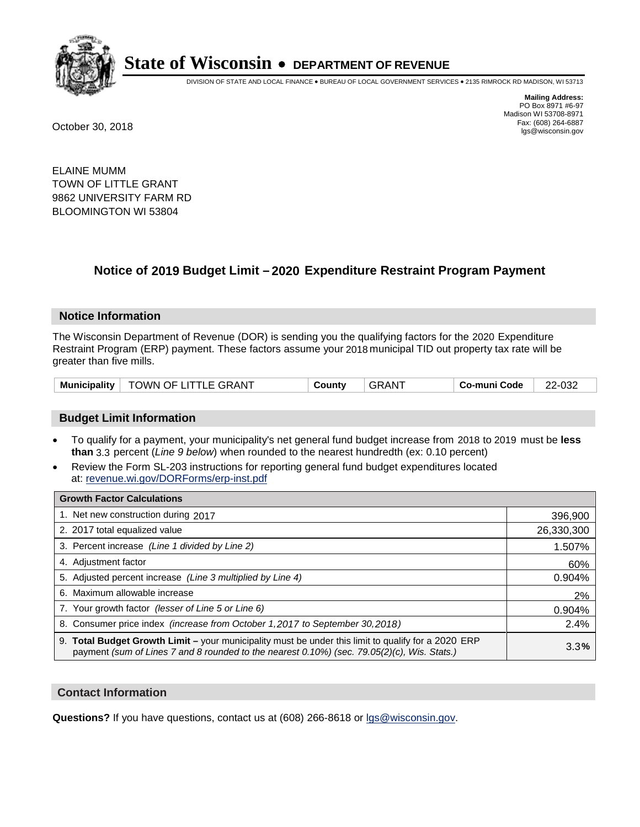

DIVISION OF STATE AND LOCAL FINANCE • BUREAU OF LOCAL GOVERNMENT SERVICES • 2135 RIMROCK RD MADISON, WI 53713

**Mailing Address:** PO Box 8971 #6-97 Madison WI 53708-8971<br>Fax: (608) 264-6887 Fax: (608) 264-6887 October 30, 2018 lgs@wisconsin.gov

ELAINE MUMM TOWN OF LITTLE GRANT 9862 UNIVERSITY FARM RD BLOOMINGTON WI 53804

### **Notice of 2019 Budget Limit - 2020 Expenditure Restraint Program Payment**

#### **Notice Information**

The Wisconsin Department of Revenue (DOR) is sending you the qualifying factors for the 2020 Expenditure Restraint Program (ERP) payment. These factors assume your 2018 municipal TID out property tax rate will be greater than five mills.

|  | Municipality   TOWN OF LITTLE GRANT | County | <b>GRANT</b> | Co-muni Code | 22-032 |
|--|-------------------------------------|--------|--------------|--------------|--------|
|--|-------------------------------------|--------|--------------|--------------|--------|

#### **Budget Limit Information**

- To qualify for a payment, your municipality's net general fund budget increase from 2018 to 2019 must be less **than** 3.3 percent (*Line 9 below*) when rounded to the nearest hundredth (ex: 0.10 percent)
- Review the Form SL-203 instructions for reporting general fund budget expenditures located at: revenue.wi.gov/DORForms/erp-inst.pdf

| <b>Growth Factor Calculations</b>                                                                                                                                                                      |            |
|--------------------------------------------------------------------------------------------------------------------------------------------------------------------------------------------------------|------------|
| 1. Net new construction during 2017                                                                                                                                                                    | 396,900    |
| 2. 2017 total equalized value                                                                                                                                                                          | 26,330,300 |
| 3. Percent increase (Line 1 divided by Line 2)                                                                                                                                                         | 1.507%     |
| 4. Adjustment factor                                                                                                                                                                                   | 60%        |
| 5. Adjusted percent increase (Line 3 multiplied by Line 4)                                                                                                                                             | 0.904%     |
| 6. Maximum allowable increase                                                                                                                                                                          | 2%         |
| 7. Your growth factor (lesser of Line 5 or Line 6)                                                                                                                                                     | 0.904%     |
| 8. Consumer price index (increase from October 1,2017 to September 30,2018)                                                                                                                            | 2.4%       |
| 9. Total Budget Growth Limit - your municipality must be under this limit to qualify for a 2020 ERP<br>payment (sum of Lines 7 and 8 rounded to the nearest $0.10\%$ ) (sec. 79.05(2)(c), Wis. Stats.) | 3.3%       |

#### **Contact Information**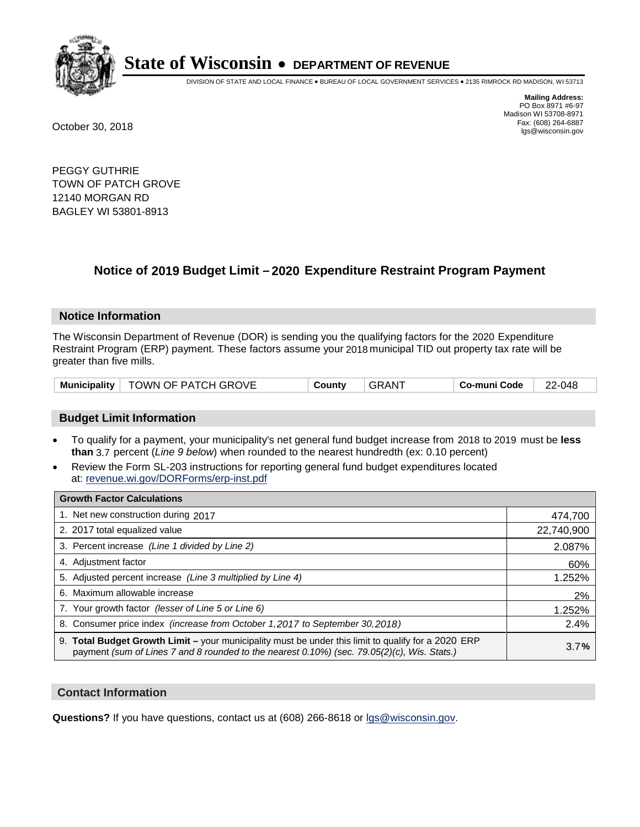

DIVISION OF STATE AND LOCAL FINANCE • BUREAU OF LOCAL GOVERNMENT SERVICES • 2135 RIMROCK RD MADISON, WI 53713

**Mailing Address:** PO Box 8971 #6-97 Madison WI 53708-8971<br>Fax: (608) 264-6887 Fax: (608) 264-6887 October 30, 2018 lgs@wisconsin.gov

PEGGY GUTHRIE TOWN OF PATCH GROVE 12140 MORGAN RD BAGLEY WI 53801-8913

## **Notice of 2019 Budget Limit - 2020 Expenditure Restraint Program Payment**

#### **Notice Information**

The Wisconsin Department of Revenue (DOR) is sending you the qualifying factors for the 2020 Expenditure Restraint Program (ERP) payment. These factors assume your 2018 municipal TID out property tax rate will be greater than five mills.

|  | Municipality   TOWN OF PATCH GROVE | County | <b>GRANT</b> | Co-muni Code | 22-048 |
|--|------------------------------------|--------|--------------|--------------|--------|
|--|------------------------------------|--------|--------------|--------------|--------|

#### **Budget Limit Information**

- To qualify for a payment, your municipality's net general fund budget increase from 2018 to 2019 must be less **than** 3.7 percent (*Line 9 below*) when rounded to the nearest hundredth (ex: 0.10 percent)
- Review the Form SL-203 instructions for reporting general fund budget expenditures located at: revenue.wi.gov/DORForms/erp-inst.pdf

| <b>Growth Factor Calculations</b>                                                                                                                                                                      |            |
|--------------------------------------------------------------------------------------------------------------------------------------------------------------------------------------------------------|------------|
| 1. Net new construction during 2017                                                                                                                                                                    | 474,700    |
| 2. 2017 total equalized value                                                                                                                                                                          | 22,740,900 |
| 3. Percent increase (Line 1 divided by Line 2)                                                                                                                                                         | 2.087%     |
| 4. Adjustment factor                                                                                                                                                                                   | 60%        |
| 5. Adjusted percent increase (Line 3 multiplied by Line 4)                                                                                                                                             | 1.252%     |
| 6. Maximum allowable increase                                                                                                                                                                          | 2%         |
| 7. Your growth factor (lesser of Line 5 or Line 6)                                                                                                                                                     | 1.252%     |
| 8. Consumer price index (increase from October 1,2017 to September 30,2018)                                                                                                                            | 2.4%       |
| 9. Total Budget Growth Limit - your municipality must be under this limit to qualify for a 2020 ERP<br>payment (sum of Lines 7 and 8 rounded to the nearest $0.10\%$ ) (sec. 79.05(2)(c), Wis. Stats.) | 3.7%       |

#### **Contact Information**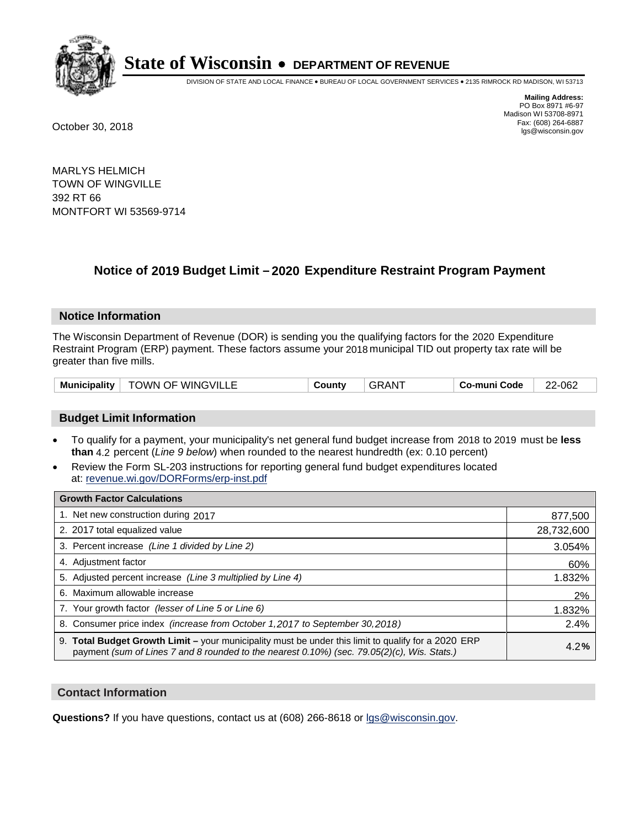

DIVISION OF STATE AND LOCAL FINANCE • BUREAU OF LOCAL GOVERNMENT SERVICES • 2135 RIMROCK RD MADISON, WI 53713

**Mailing Address:** PO Box 8971 #6-97 Madison WI 53708-8971<br>Fax: (608) 264-6887 Fax: (608) 264-6887 October 30, 2018 lgs@wisconsin.gov

MARLYS HELMICH TOWN OF WINGVILLE 392 RT 66 MONTFORT WI 53569-9714

### **Notice of 2019 Budget Limit - 2020 Expenditure Restraint Program Payment**

#### **Notice Information**

The Wisconsin Department of Revenue (DOR) is sending you the qualifying factors for the 2020 Expenditure Restraint Program (ERP) payment. These factors assume your 2018 municipal TID out property tax rate will be greater than five mills.

| <b>Municipality</b> | <b>TOWN OF WINGVILLE</b> | County | ⊦GRAN <sup>-</sup> | Co-muni Code | 22-062 |
|---------------------|--------------------------|--------|--------------------|--------------|--------|
|---------------------|--------------------------|--------|--------------------|--------------|--------|

#### **Budget Limit Information**

- To qualify for a payment, your municipality's net general fund budget increase from 2018 to 2019 must be less **than** 4.2 percent (*Line 9 below*) when rounded to the nearest hundredth (ex: 0.10 percent)
- Review the Form SL-203 instructions for reporting general fund budget expenditures located at: revenue.wi.gov/DORForms/erp-inst.pdf

| <b>Growth Factor Calculations</b>                                                                                                                                                                      |            |
|--------------------------------------------------------------------------------------------------------------------------------------------------------------------------------------------------------|------------|
| 1. Net new construction during 2017                                                                                                                                                                    | 877,500    |
| 2. 2017 total equalized value                                                                                                                                                                          | 28,732,600 |
| 3. Percent increase (Line 1 divided by Line 2)                                                                                                                                                         | 3.054%     |
| 4. Adjustment factor                                                                                                                                                                                   | 60%        |
| 5. Adjusted percent increase (Line 3 multiplied by Line 4)                                                                                                                                             | 1.832%     |
| 6. Maximum allowable increase                                                                                                                                                                          | 2%         |
| 7. Your growth factor (lesser of Line 5 or Line 6)                                                                                                                                                     | 1.832%     |
| 8. Consumer price index (increase from October 1,2017 to September 30,2018)                                                                                                                            | 2.4%       |
| 9. Total Budget Growth Limit - your municipality must be under this limit to qualify for a 2020 ERP<br>payment (sum of Lines 7 and 8 rounded to the nearest $0.10\%$ ) (sec. 79.05(2)(c), Wis. Stats.) | 4.2%       |

#### **Contact Information**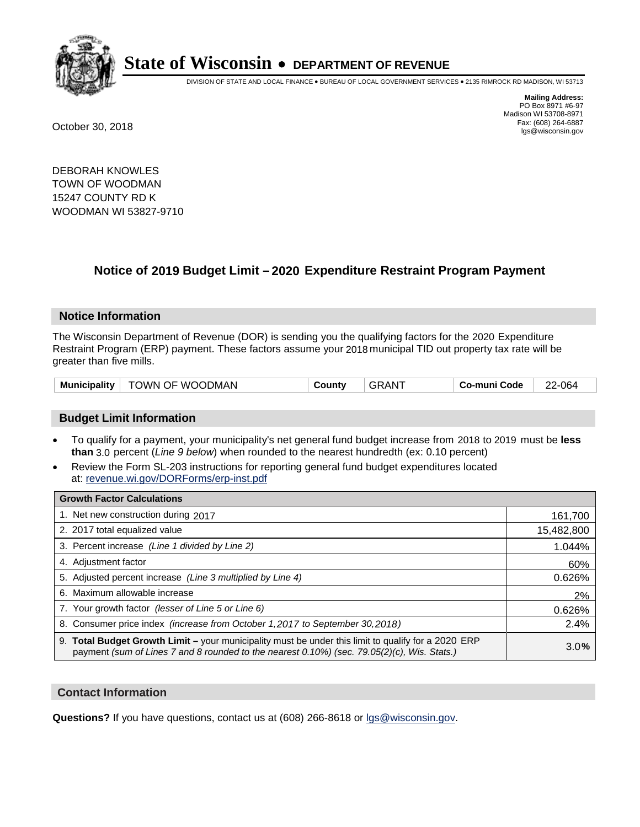

DIVISION OF STATE AND LOCAL FINANCE • BUREAU OF LOCAL GOVERNMENT SERVICES • 2135 RIMROCK RD MADISON, WI 53713

**Mailing Address:** PO Box 8971 #6-97 Madison WI 53708-8971<br>Fax: (608) 264-6887 Fax: (608) 264-6887 October 30, 2018 lgs@wisconsin.gov

DEBORAH KNOWLES TOWN OF WOODMAN 15247 COUNTY RD K WOODMAN WI 53827-9710

## **Notice of 2019 Budget Limit - 2020 Expenditure Restraint Program Payment**

#### **Notice Information**

The Wisconsin Department of Revenue (DOR) is sending you the qualifying factors for the 2020 Expenditure Restraint Program (ERP) payment. These factors assume your 2018 municipal TID out property tax rate will be greater than five mills.

| <b>Municipality</b> | TOWN OF WOODMAN | Countv | GRAN | Co-muni Code | 22-064 |
|---------------------|-----------------|--------|------|--------------|--------|
|---------------------|-----------------|--------|------|--------------|--------|

#### **Budget Limit Information**

- To qualify for a payment, your municipality's net general fund budget increase from 2018 to 2019 must be less **than** 3.0 percent (*Line 9 below*) when rounded to the nearest hundredth (ex: 0.10 percent)
- Review the Form SL-203 instructions for reporting general fund budget expenditures located at: revenue.wi.gov/DORForms/erp-inst.pdf

| <b>Growth Factor Calculations</b>                                                                                                                                                                      |            |
|--------------------------------------------------------------------------------------------------------------------------------------------------------------------------------------------------------|------------|
| 1. Net new construction during 2017                                                                                                                                                                    | 161,700    |
| 2. 2017 total equalized value                                                                                                                                                                          | 15,482,800 |
| 3. Percent increase (Line 1 divided by Line 2)                                                                                                                                                         | 1.044%     |
| 4. Adjustment factor                                                                                                                                                                                   | 60%        |
| 5. Adjusted percent increase (Line 3 multiplied by Line 4)                                                                                                                                             | 0.626%     |
| 6. Maximum allowable increase                                                                                                                                                                          | 2%         |
| 7. Your growth factor (lesser of Line 5 or Line 6)                                                                                                                                                     | 0.626%     |
| 8. Consumer price index (increase from October 1,2017 to September 30,2018)                                                                                                                            | 2.4%       |
| 9. Total Budget Growth Limit - your municipality must be under this limit to qualify for a 2020 ERP<br>payment (sum of Lines 7 and 8 rounded to the nearest $0.10\%$ ) (sec. 79.05(2)(c), Wis. Stats.) | 3.0%       |

#### **Contact Information**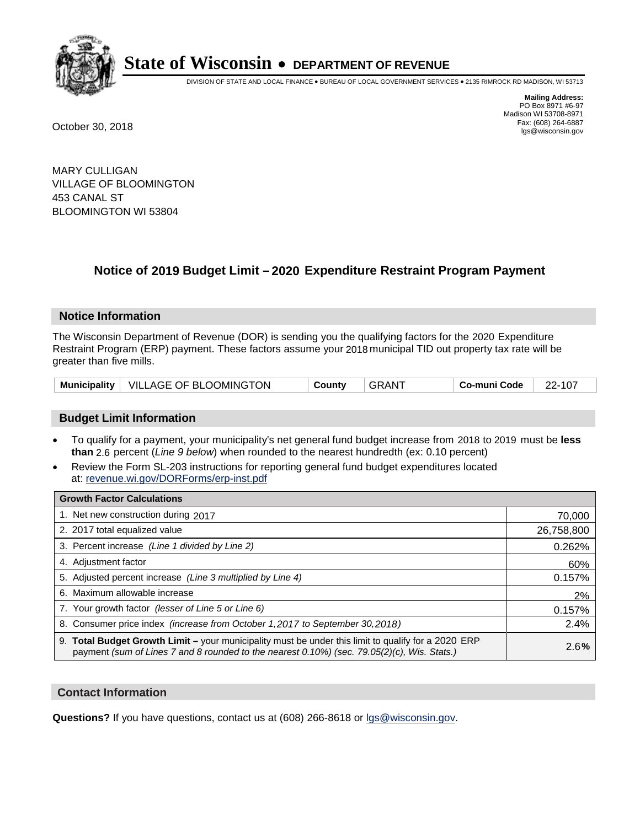

DIVISION OF STATE AND LOCAL FINANCE • BUREAU OF LOCAL GOVERNMENT SERVICES • 2135 RIMROCK RD MADISON, WI 53713

**Mailing Address:** PO Box 8971 #6-97 Madison WI 53708-8971<br>Fax: (608) 264-6887 Fax: (608) 264-6887 October 30, 2018 lgs@wisconsin.gov

MARY CULLIGAN VILLAGE OF BLOOMINGTON 453 CANAL ST BLOOMINGTON WI 53804

### **Notice of 2019 Budget Limit - 2020 Expenditure Restraint Program Payment**

#### **Notice Information**

The Wisconsin Department of Revenue (DOR) is sending you the qualifying factors for the 2020 Expenditure Restraint Program (ERP) payment. These factors assume your 2018 municipal TID out property tax rate will be greater than five mills.

|  | Municipality   VILLAGE OF BLOOMINGTON | County | . GRANT | Co-muni Code | 22-107 |
|--|---------------------------------------|--------|---------|--------------|--------|
|--|---------------------------------------|--------|---------|--------------|--------|

#### **Budget Limit Information**

- To qualify for a payment, your municipality's net general fund budget increase from 2018 to 2019 must be less **than** 2.6 percent (*Line 9 below*) when rounded to the nearest hundredth (ex: 0.10 percent)
- Review the Form SL-203 instructions for reporting general fund budget expenditures located at: revenue.wi.gov/DORForms/erp-inst.pdf

| <b>Growth Factor Calculations</b>                                                                                                                                                                  |            |
|----------------------------------------------------------------------------------------------------------------------------------------------------------------------------------------------------|------------|
| 1. Net new construction during 2017                                                                                                                                                                | 70,000     |
| 2. 2017 total equalized value                                                                                                                                                                      | 26,758,800 |
| 3. Percent increase (Line 1 divided by Line 2)                                                                                                                                                     | 0.262%     |
| 4. Adjustment factor                                                                                                                                                                               | 60%        |
| 5. Adjusted percent increase (Line 3 multiplied by Line 4)                                                                                                                                         | 0.157%     |
| 6. Maximum allowable increase                                                                                                                                                                      | 2%         |
| 7. Your growth factor (lesser of Line 5 or Line 6)                                                                                                                                                 | 0.157%     |
| 8. Consumer price index (increase from October 1, 2017 to September 30, 2018)                                                                                                                      | 2.4%       |
| 9. Total Budget Growth Limit – your municipality must be under this limit to qualify for a 2020 ERP<br>payment (sum of Lines 7 and 8 rounded to the nearest 0.10%) (sec. 79.05(2)(c), Wis. Stats.) | 2.6%       |

#### **Contact Information**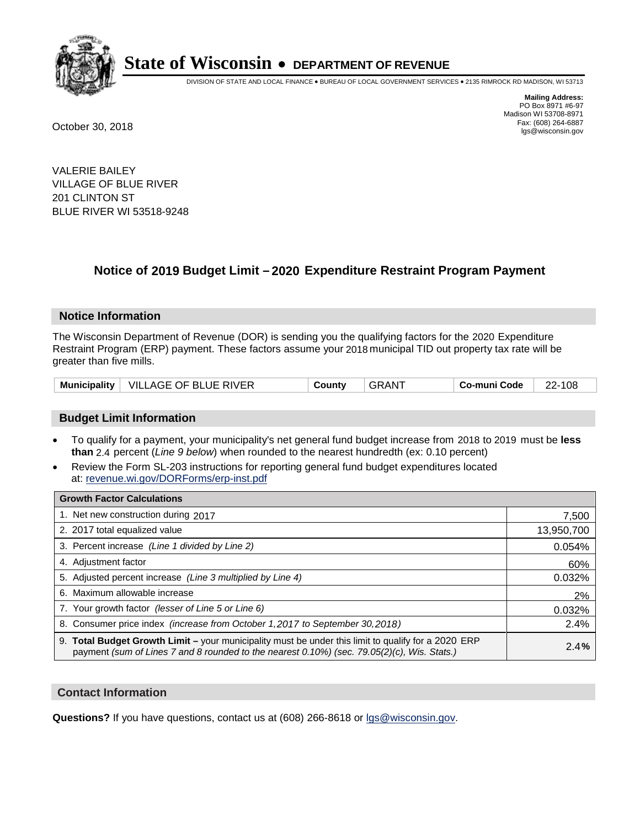

DIVISION OF STATE AND LOCAL FINANCE • BUREAU OF LOCAL GOVERNMENT SERVICES • 2135 RIMROCK RD MADISON, WI 53713

**Mailing Address:** PO Box 8971 #6-97 Madison WI 53708-8971<br>Fax: (608) 264-6887 Fax: (608) 264-6887 October 30, 2018 lgs@wisconsin.gov

VALERIE BAILEY VILLAGE OF BLUE RIVER 201 CLINTON ST BLUE RIVER WI 53518-9248

### **Notice of 2019 Budget Limit - 2020 Expenditure Restraint Program Payment**

#### **Notice Information**

The Wisconsin Department of Revenue (DOR) is sending you the qualifying factors for the 2020 Expenditure Restraint Program (ERP) payment. These factors assume your 2018 municipal TID out property tax rate will be greater than five mills.

| Municipality   VILLAGE OF BLUE RIVER | County | . GRANT | Co-muni Code | 22-108 |
|--------------------------------------|--------|---------|--------------|--------|
|--------------------------------------|--------|---------|--------------|--------|

#### **Budget Limit Information**

- To qualify for a payment, your municipality's net general fund budget increase from 2018 to 2019 must be less **than** 2.4 percent (*Line 9 below*) when rounded to the nearest hundredth (ex: 0.10 percent)
- Review the Form SL-203 instructions for reporting general fund budget expenditures located at: revenue.wi.gov/DORForms/erp-inst.pdf

| <b>Growth Factor Calculations</b>                                                                                                                                                                      |            |
|--------------------------------------------------------------------------------------------------------------------------------------------------------------------------------------------------------|------------|
| 1. Net new construction during 2017                                                                                                                                                                    | 7,500      |
| 2. 2017 total equalized value                                                                                                                                                                          | 13,950,700 |
| 3. Percent increase (Line 1 divided by Line 2)                                                                                                                                                         | 0.054%     |
| 4. Adjustment factor                                                                                                                                                                                   | 60%        |
| 5. Adjusted percent increase (Line 3 multiplied by Line 4)                                                                                                                                             | 0.032%     |
| 6. Maximum allowable increase                                                                                                                                                                          | 2%         |
| 7. Your growth factor (lesser of Line 5 or Line 6)                                                                                                                                                     | 0.032%     |
| 8. Consumer price index (increase from October 1,2017 to September 30,2018)                                                                                                                            | 2.4%       |
| 9. Total Budget Growth Limit - your municipality must be under this limit to qualify for a 2020 ERP<br>payment (sum of Lines 7 and 8 rounded to the nearest $0.10\%$ ) (sec. 79.05(2)(c), Wis. Stats.) | 2.4%       |

#### **Contact Information**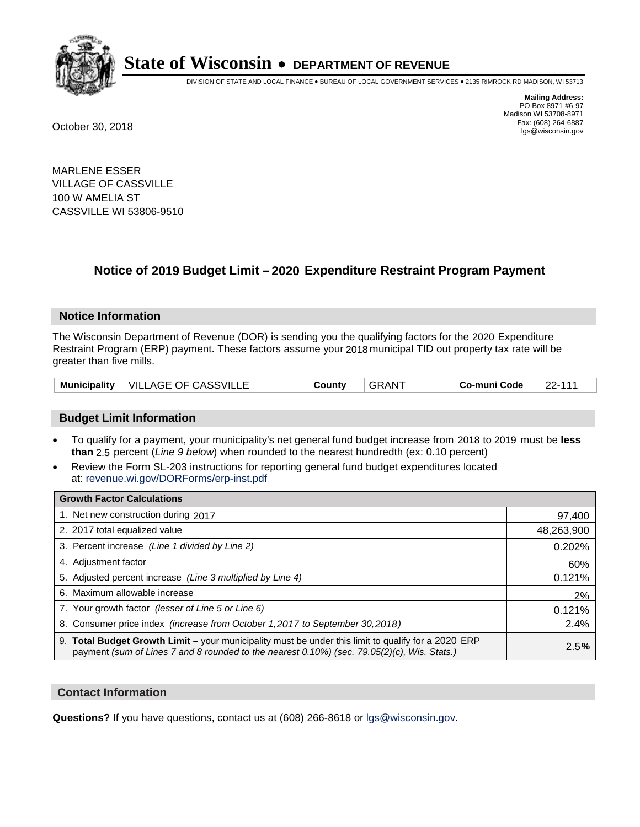

DIVISION OF STATE AND LOCAL FINANCE • BUREAU OF LOCAL GOVERNMENT SERVICES • 2135 RIMROCK RD MADISON, WI 53713

**Mailing Address:** PO Box 8971 #6-97 Madison WI 53708-8971<br>Fax: (608) 264-6887 Fax: (608) 264-6887 October 30, 2018 lgs@wisconsin.gov

MARLENE ESSER VILLAGE OF CASSVILLE 100 W AMELIA ST CASSVILLE WI 53806-9510

### **Notice of 2019 Budget Limit - 2020 Expenditure Restraint Program Payment**

#### **Notice Information**

The Wisconsin Department of Revenue (DOR) is sending you the qualifying factors for the 2020 Expenditure Restraint Program (ERP) payment. These factors assume your 2018 municipal TID out property tax rate will be greater than five mills.

| <b>Municipality</b> | VILLAGE OF CASSVILLE | County | ⊹GRAN <sup>+</sup> | Co-muni Code | $22 - 111$ |
|---------------------|----------------------|--------|--------------------|--------------|------------|
|---------------------|----------------------|--------|--------------------|--------------|------------|

#### **Budget Limit Information**

- To qualify for a payment, your municipality's net general fund budget increase from 2018 to 2019 must be less **than** 2.5 percent (*Line 9 below*) when rounded to the nearest hundredth (ex: 0.10 percent)
- Review the Form SL-203 instructions for reporting general fund budget expenditures located at: revenue.wi.gov/DORForms/erp-inst.pdf

| <b>Growth Factor Calculations</b>                                                                                                                                                                      |            |
|--------------------------------------------------------------------------------------------------------------------------------------------------------------------------------------------------------|------------|
| 1. Net new construction during 2017                                                                                                                                                                    | 97,400     |
| 2. 2017 total equalized value                                                                                                                                                                          | 48,263,900 |
| 3. Percent increase (Line 1 divided by Line 2)                                                                                                                                                         | 0.202%     |
| 4. Adjustment factor                                                                                                                                                                                   | 60%        |
| 5. Adjusted percent increase (Line 3 multiplied by Line 4)                                                                                                                                             | 0.121%     |
| 6. Maximum allowable increase                                                                                                                                                                          | 2%         |
| 7. Your growth factor (lesser of Line 5 or Line 6)                                                                                                                                                     | 0.121%     |
| 8. Consumer price index (increase from October 1,2017 to September 30,2018)                                                                                                                            | 2.4%       |
| 9. Total Budget Growth Limit - your municipality must be under this limit to qualify for a 2020 ERP<br>payment (sum of Lines 7 and 8 rounded to the nearest $0.10\%$ ) (sec. 79.05(2)(c), Wis. Stats.) | 2.5%       |

#### **Contact Information**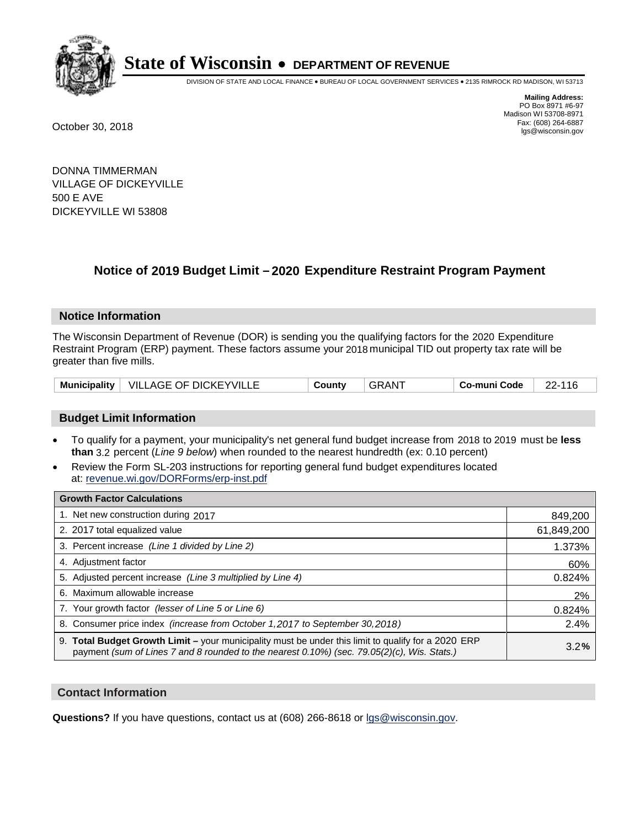

DIVISION OF STATE AND LOCAL FINANCE • BUREAU OF LOCAL GOVERNMENT SERVICES • 2135 RIMROCK RD MADISON, WI 53713

**Mailing Address:** PO Box 8971 #6-97 Madison WI 53708-8971<br>Fax: (608) 264-6887 Fax: (608) 264-6887 October 30, 2018 lgs@wisconsin.gov

DONNA TIMMERMAN VILLAGE OF DICKEYVILLE 500 E AVE DICKEYVILLE WI 53808

### **Notice of 2019 Budget Limit - 2020 Expenditure Restraint Program Payment**

#### **Notice Information**

The Wisconsin Department of Revenue (DOR) is sending you the qualifying factors for the 2020 Expenditure Restraint Program (ERP) payment. These factors assume your 2018 municipal TID out property tax rate will be greater than five mills.

| Municipality   VILLAGE OF DICKEYVILLE | County | ⊤GRAN <sup>≁</sup> | Co-muni Code | 22-116 |
|---------------------------------------|--------|--------------------|--------------|--------|
|---------------------------------------|--------|--------------------|--------------|--------|

#### **Budget Limit Information**

- To qualify for a payment, your municipality's net general fund budget increase from 2018 to 2019 must be less **than** 3.2 percent (*Line 9 below*) when rounded to the nearest hundredth (ex: 0.10 percent)
- Review the Form SL-203 instructions for reporting general fund budget expenditures located at: revenue.wi.gov/DORForms/erp-inst.pdf

| <b>Growth Factor Calculations</b>                                                                                                                                                                      |            |
|--------------------------------------------------------------------------------------------------------------------------------------------------------------------------------------------------------|------------|
| 1. Net new construction during 2017                                                                                                                                                                    | 849,200    |
| 2. 2017 total equalized value                                                                                                                                                                          | 61,849,200 |
| 3. Percent increase (Line 1 divided by Line 2)                                                                                                                                                         | 1.373%     |
| 4. Adjustment factor                                                                                                                                                                                   | 60%        |
| 5. Adjusted percent increase (Line 3 multiplied by Line 4)                                                                                                                                             | 0.824%     |
| 6. Maximum allowable increase                                                                                                                                                                          | 2%         |
| 7. Your growth factor (lesser of Line 5 or Line 6)                                                                                                                                                     | 0.824%     |
| 8. Consumer price index (increase from October 1,2017 to September 30,2018)                                                                                                                            | 2.4%       |
| 9. Total Budget Growth Limit - your municipality must be under this limit to qualify for a 2020 ERP<br>payment (sum of Lines 7 and 8 rounded to the nearest $0.10\%$ ) (sec. 79.05(2)(c), Wis. Stats.) | 3.2%       |

#### **Contact Information**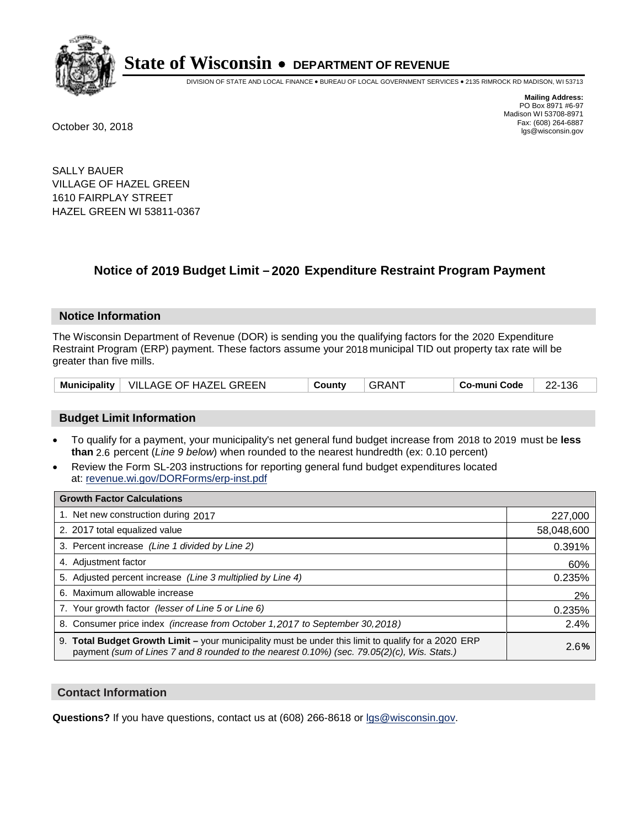

DIVISION OF STATE AND LOCAL FINANCE • BUREAU OF LOCAL GOVERNMENT SERVICES • 2135 RIMROCK RD MADISON, WI 53713

**Mailing Address:** PO Box 8971 #6-97 Madison WI 53708-8971<br>Fax: (608) 264-6887 Fax: (608) 264-6887 October 30, 2018 lgs@wisconsin.gov

SALLY BAUER VILLAGE OF HAZEL GREEN 1610 FAIRPLAY STREET HAZEL GREEN WI 53811-0367

## **Notice of 2019 Budget Limit - 2020 Expenditure Restraint Program Payment**

#### **Notice Information**

The Wisconsin Department of Revenue (DOR) is sending you the qualifying factors for the 2020 Expenditure Restraint Program (ERP) payment. These factors assume your 2018 municipal TID out property tax rate will be greater than five mills.

|  | Municipality   VILLAGE OF HAZEL GREEN | County | GRANT | Co-muni Code | 22-136 |
|--|---------------------------------------|--------|-------|--------------|--------|
|--|---------------------------------------|--------|-------|--------------|--------|

#### **Budget Limit Information**

- To qualify for a payment, your municipality's net general fund budget increase from 2018 to 2019 must be less **than** 2.6 percent (*Line 9 below*) when rounded to the nearest hundredth (ex: 0.10 percent)
- Review the Form SL-203 instructions for reporting general fund budget expenditures located at: revenue.wi.gov/DORForms/erp-inst.pdf

| <b>Growth Factor Calculations</b>                                                                                                                                                                      |            |
|--------------------------------------------------------------------------------------------------------------------------------------------------------------------------------------------------------|------------|
| 1. Net new construction during 2017                                                                                                                                                                    | 227,000    |
| 2. 2017 total equalized value                                                                                                                                                                          | 58,048,600 |
| 3. Percent increase (Line 1 divided by Line 2)                                                                                                                                                         | 0.391%     |
| 4. Adjustment factor                                                                                                                                                                                   | 60%        |
| 5. Adjusted percent increase (Line 3 multiplied by Line 4)                                                                                                                                             | 0.235%     |
| 6. Maximum allowable increase                                                                                                                                                                          | 2%         |
| 7. Your growth factor (lesser of Line 5 or Line 6)                                                                                                                                                     | 0.235%     |
| 8. Consumer price index (increase from October 1,2017 to September 30,2018)                                                                                                                            | 2.4%       |
| 9. Total Budget Growth Limit - your municipality must be under this limit to qualify for a 2020 ERP<br>payment (sum of Lines 7 and 8 rounded to the nearest $0.10\%$ ) (sec. 79.05(2)(c), Wis. Stats.) | 2.6%       |

#### **Contact Information**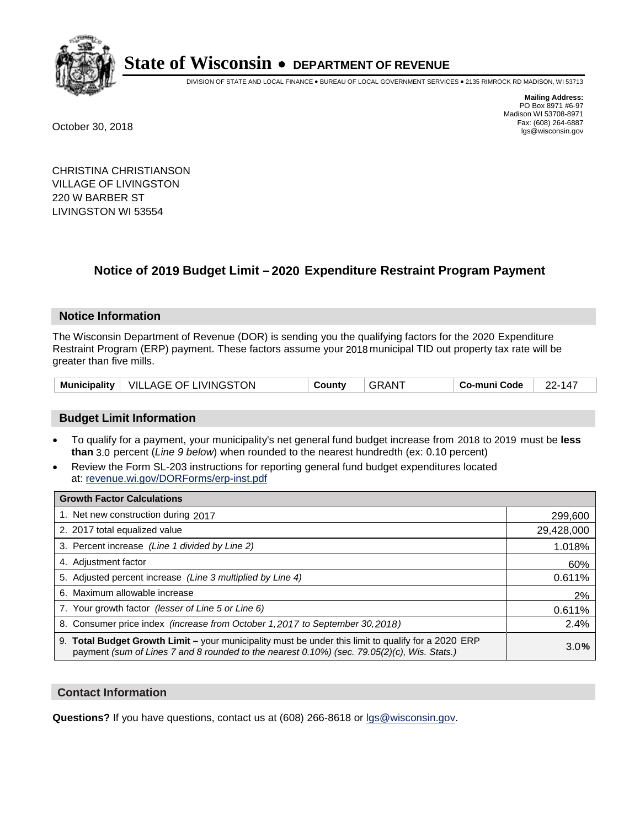

DIVISION OF STATE AND LOCAL FINANCE • BUREAU OF LOCAL GOVERNMENT SERVICES • 2135 RIMROCK RD MADISON, WI 53713

**Mailing Address:** PO Box 8971 #6-97 Madison WI 53708-8971<br>Fax: (608) 264-6887 Fax: (608) 264-6887 October 30, 2018 lgs@wisconsin.gov

CHRISTINA CHRISTIANSON VILLAGE OF LIVINGSTON 220 W BARBER ST LIVINGSTON WI 53554

## **Notice of 2019 Budget Limit - 2020 Expenditure Restraint Program Payment**

#### **Notice Information**

The Wisconsin Department of Revenue (DOR) is sending you the qualifying factors for the 2020 Expenditure Restraint Program (ERP) payment. These factors assume your 2018 municipal TID out property tax rate will be greater than five mills.

|  | Municipality   VILLAGE OF LIVINGSTON | County | <b>GRANT</b> | Co-muni Code | 22-147 |
|--|--------------------------------------|--------|--------------|--------------|--------|
|--|--------------------------------------|--------|--------------|--------------|--------|

#### **Budget Limit Information**

- To qualify for a payment, your municipality's net general fund budget increase from 2018 to 2019 must be less **than** 3.0 percent (*Line 9 below*) when rounded to the nearest hundredth (ex: 0.10 percent)
- Review the Form SL-203 instructions for reporting general fund budget expenditures located at: revenue.wi.gov/DORForms/erp-inst.pdf

| <b>Growth Factor Calculations</b>                                                                                                                                                                      |            |
|--------------------------------------------------------------------------------------------------------------------------------------------------------------------------------------------------------|------------|
| 1. Net new construction during 2017                                                                                                                                                                    | 299,600    |
| 2. 2017 total equalized value                                                                                                                                                                          | 29,428,000 |
| 3. Percent increase (Line 1 divided by Line 2)                                                                                                                                                         | 1.018%     |
| 4. Adjustment factor                                                                                                                                                                                   | 60%        |
| 5. Adjusted percent increase (Line 3 multiplied by Line 4)                                                                                                                                             | 0.611%     |
| 6. Maximum allowable increase                                                                                                                                                                          | 2%         |
| 7. Your growth factor (lesser of Line 5 or Line 6)                                                                                                                                                     | 0.611%     |
| 8. Consumer price index (increase from October 1,2017 to September 30,2018)                                                                                                                            | 2.4%       |
| 9. Total Budget Growth Limit - your municipality must be under this limit to qualify for a 2020 ERP<br>payment (sum of Lines 7 and 8 rounded to the nearest $0.10\%$ ) (sec. 79.05(2)(c), Wis. Stats.) | 3.0%       |

#### **Contact Information**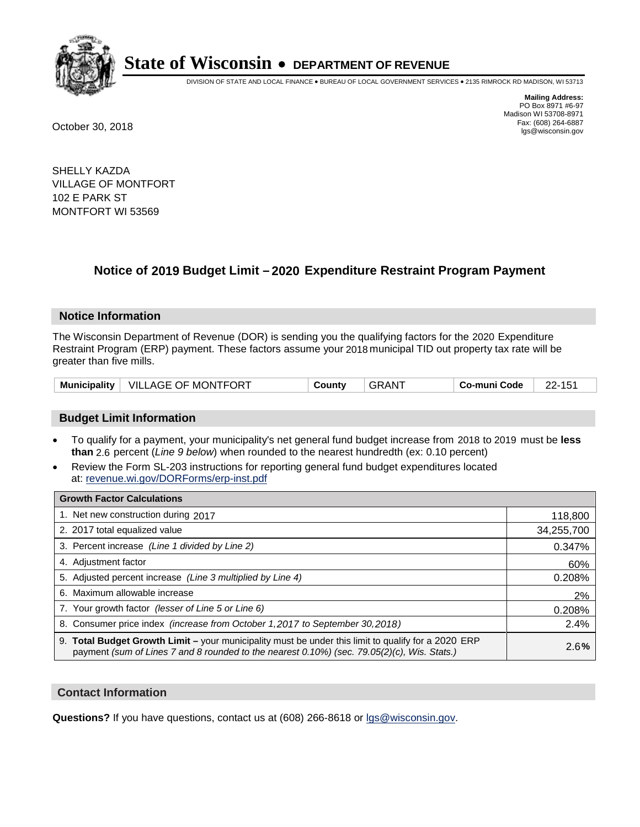

DIVISION OF STATE AND LOCAL FINANCE • BUREAU OF LOCAL GOVERNMENT SERVICES • 2135 RIMROCK RD MADISON, WI 53713

**Mailing Address:** PO Box 8971 #6-97 Madison WI 53708-8971<br>Fax: (608) 264-6887 Fax: (608) 264-6887 October 30, 2018 lgs@wisconsin.gov

SHELLY KAZDA VILLAGE OF MONTFORT 102 E PARK ST MONTFORT WI 53569

### **Notice of 2019 Budget Limit - 2020 Expenditure Restraint Program Payment**

#### **Notice Information**

The Wisconsin Department of Revenue (DOR) is sending you the qualifying factors for the 2020 Expenditure Restraint Program (ERP) payment. These factors assume your 2018 municipal TID out property tax rate will be greater than five mills.

|  | Municipality   VILLAGE OF MONTFORT | County | GRAN <sup>-</sup> | Co-muni Code |  |
|--|------------------------------------|--------|-------------------|--------------|--|
|--|------------------------------------|--------|-------------------|--------------|--|

#### **Budget Limit Information**

- To qualify for a payment, your municipality's net general fund budget increase from 2018 to 2019 must be less **than** 2.6 percent (*Line 9 below*) when rounded to the nearest hundredth (ex: 0.10 percent)
- Review the Form SL-203 instructions for reporting general fund budget expenditures located at: revenue.wi.gov/DORForms/erp-inst.pdf

| <b>Growth Factor Calculations</b>                                                                                                                                                                      |            |
|--------------------------------------------------------------------------------------------------------------------------------------------------------------------------------------------------------|------------|
| 1. Net new construction during 2017                                                                                                                                                                    | 118,800    |
| 2. 2017 total equalized value                                                                                                                                                                          | 34,255,700 |
| 3. Percent increase (Line 1 divided by Line 2)                                                                                                                                                         | 0.347%     |
| 4. Adjustment factor                                                                                                                                                                                   | 60%        |
| 5. Adjusted percent increase (Line 3 multiplied by Line 4)                                                                                                                                             | 0.208%     |
| 6. Maximum allowable increase                                                                                                                                                                          | 2%         |
| 7. Your growth factor (lesser of Line 5 or Line 6)                                                                                                                                                     | 0.208%     |
| 8. Consumer price index (increase from October 1,2017 to September 30,2018)                                                                                                                            | 2.4%       |
| 9. Total Budget Growth Limit - your municipality must be under this limit to qualify for a 2020 ERP<br>payment (sum of Lines 7 and 8 rounded to the nearest $0.10\%$ ) (sec. 79.05(2)(c), Wis. Stats.) | 2.6%       |

#### **Contact Information**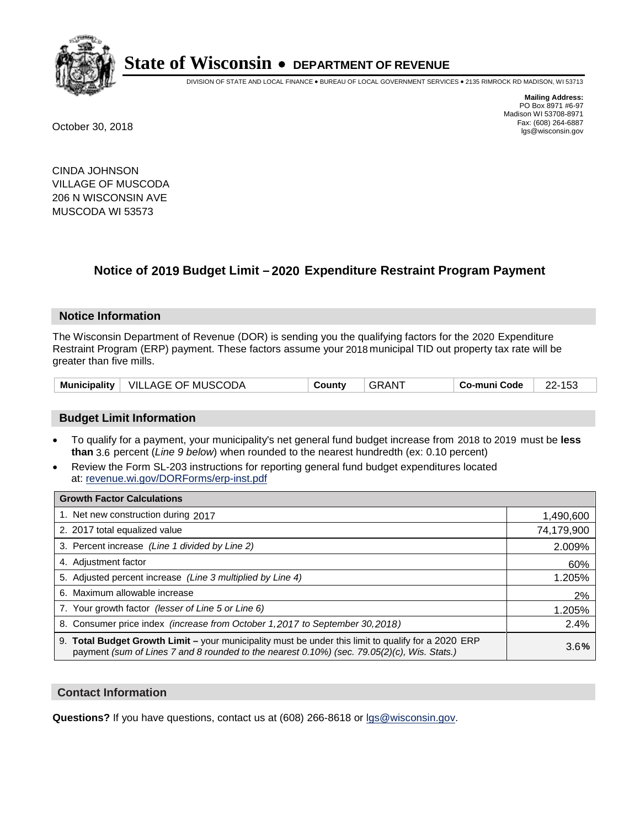

DIVISION OF STATE AND LOCAL FINANCE • BUREAU OF LOCAL GOVERNMENT SERVICES • 2135 RIMROCK RD MADISON, WI 53713

**Mailing Address:** PO Box 8971 #6-97 Madison WI 53708-8971<br>Fax: (608) 264-6887 Fax: (608) 264-6887 October 30, 2018 lgs@wisconsin.gov

CINDA JOHNSON VILLAGE OF MUSCODA 206 N WISCONSIN AVE MUSCODA WI 53573

## **Notice of 2019 Budget Limit - 2020 Expenditure Restraint Program Payment**

#### **Notice Information**

The Wisconsin Department of Revenue (DOR) is sending you the qualifying factors for the 2020 Expenditure Restraint Program (ERP) payment. These factors assume your 2018 municipal TID out property tax rate will be greater than five mills.

|  | Municipality   VILLAGE OF MUSCODA | County | . GRAN <sup>-</sup> | Co-muni Code | 22.452<br>100 |
|--|-----------------------------------|--------|---------------------|--------------|---------------|
|--|-----------------------------------|--------|---------------------|--------------|---------------|

#### **Budget Limit Information**

- To qualify for a payment, your municipality's net general fund budget increase from 2018 to 2019 must be less **than** 3.6 percent (*Line 9 below*) when rounded to the nearest hundredth (ex: 0.10 percent)
- Review the Form SL-203 instructions for reporting general fund budget expenditures located at: revenue.wi.gov/DORForms/erp-inst.pdf

| <b>Growth Factor Calculations</b>                                                                                                                                                                      |            |
|--------------------------------------------------------------------------------------------------------------------------------------------------------------------------------------------------------|------------|
| 1. Net new construction during 2017                                                                                                                                                                    | 1,490,600  |
| 2. 2017 total equalized value                                                                                                                                                                          | 74,179,900 |
| 3. Percent increase (Line 1 divided by Line 2)                                                                                                                                                         | 2.009%     |
| 4. Adjustment factor                                                                                                                                                                                   | 60%        |
| 5. Adjusted percent increase (Line 3 multiplied by Line 4)                                                                                                                                             | 1.205%     |
| 6. Maximum allowable increase                                                                                                                                                                          | 2%         |
| 7. Your growth factor (lesser of Line 5 or Line 6)                                                                                                                                                     | 1.205%     |
| 8. Consumer price index (increase from October 1, 2017 to September 30, 2018)                                                                                                                          | 2.4%       |
| 9. Total Budget Growth Limit - your municipality must be under this limit to qualify for a 2020 ERP<br>payment (sum of Lines 7 and 8 rounded to the nearest $0.10\%$ ) (sec. 79.05(2)(c), Wis. Stats.) | 3.6%       |

#### **Contact Information**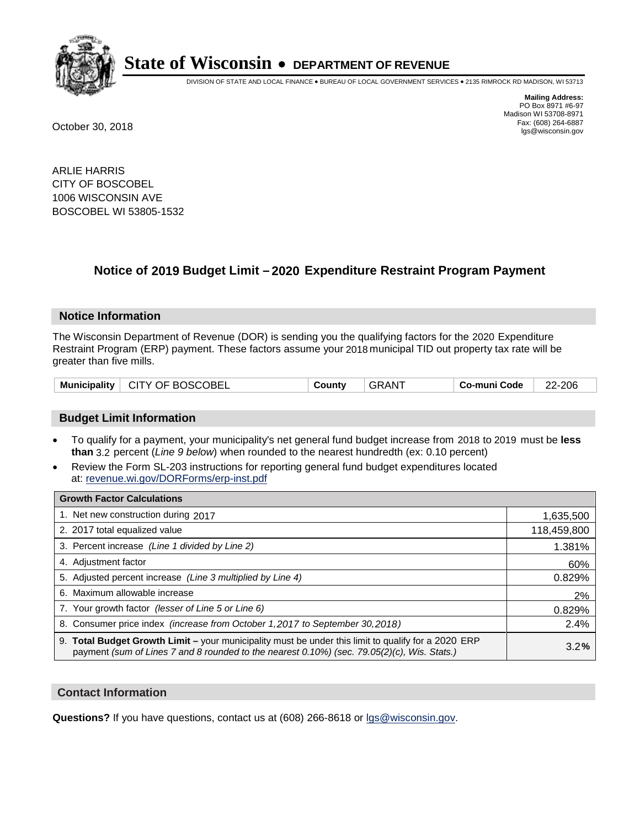

DIVISION OF STATE AND LOCAL FINANCE • BUREAU OF LOCAL GOVERNMENT SERVICES • 2135 RIMROCK RD MADISON, WI 53713

**Mailing Address:** PO Box 8971 #6-97 Madison WI 53708-8971<br>Fax: (608) 264-6887 Fax: (608) 264-6887 October 30, 2018 lgs@wisconsin.gov

ARLIE HARRIS CITY OF BOSCOBEL 1006 WISCONSIN AVE BOSCOBEL WI 53805-1532

### **Notice of 2019 Budget Limit - 2020 Expenditure Restraint Program Payment**

#### **Notice Information**

The Wisconsin Department of Revenue (DOR) is sending you the qualifying factors for the 2020 Expenditure Restraint Program (ERP) payment. These factors assume your 2018 municipal TID out property tax rate will be greater than five mills.

| Municipality   CITY OF BOSCOBEL |  | County | <b>GRANT</b> | Co-muni Code | 22-206 |
|---------------------------------|--|--------|--------------|--------------|--------|
|---------------------------------|--|--------|--------------|--------------|--------|

#### **Budget Limit Information**

- To qualify for a payment, your municipality's net general fund budget increase from 2018 to 2019 must be less **than** 3.2 percent (*Line 9 below*) when rounded to the nearest hundredth (ex: 0.10 percent)
- Review the Form SL-203 instructions for reporting general fund budget expenditures located at: revenue.wi.gov/DORForms/erp-inst.pdf

| <b>Growth Factor Calculations</b>                                                                                                                                                                      |             |
|--------------------------------------------------------------------------------------------------------------------------------------------------------------------------------------------------------|-------------|
| 1. Net new construction during 2017                                                                                                                                                                    | 1,635,500   |
| 2. 2017 total equalized value                                                                                                                                                                          | 118,459,800 |
| 3. Percent increase (Line 1 divided by Line 2)                                                                                                                                                         | 1.381%      |
| 4. Adjustment factor                                                                                                                                                                                   | 60%         |
| 5. Adjusted percent increase (Line 3 multiplied by Line 4)                                                                                                                                             | 0.829%      |
| 6. Maximum allowable increase                                                                                                                                                                          | 2%          |
| 7. Your growth factor (lesser of Line 5 or Line 6)                                                                                                                                                     | 0.829%      |
| 8. Consumer price index (increase from October 1, 2017 to September 30, 2018)                                                                                                                          | 2.4%        |
| 9. Total Budget Growth Limit - your municipality must be under this limit to qualify for a 2020 ERP<br>payment (sum of Lines 7 and 8 rounded to the nearest $0.10\%$ ) (sec. 79.05(2)(c), Wis. Stats.) | 3.2%        |

#### **Contact Information**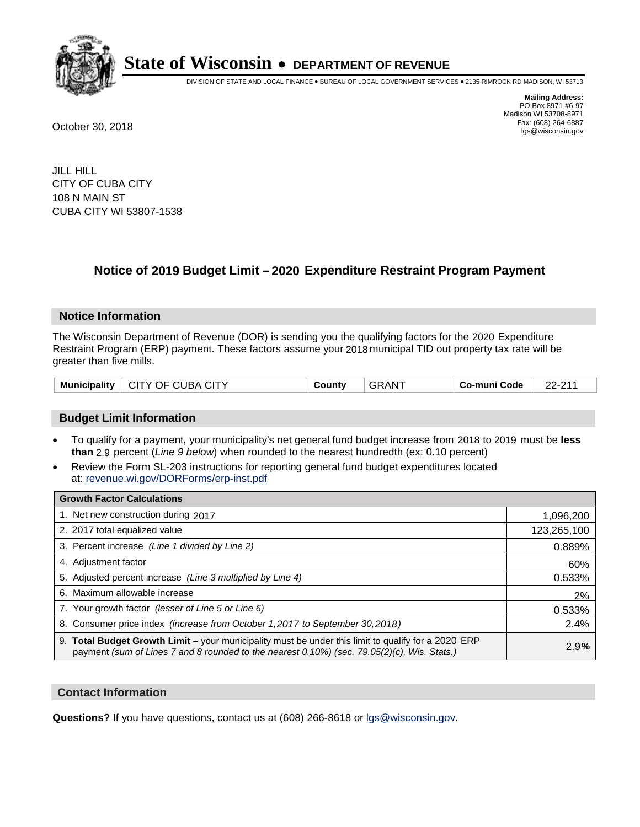

DIVISION OF STATE AND LOCAL FINANCE • BUREAU OF LOCAL GOVERNMENT SERVICES • 2135 RIMROCK RD MADISON, WI 53713

**Mailing Address:** PO Box 8971 #6-97 Madison WI 53708-8971<br>Fax: (608) 264-6887 Fax: (608) 264-6887 October 30, 2018 lgs@wisconsin.gov

JILL HILL CITY OF CUBA CITY 108 N MAIN ST CUBA CITY WI 53807-1538

### **Notice of 2019 Budget Limit - 2020 Expenditure Restraint Program Payment**

#### **Notice Information**

The Wisconsin Department of Revenue (DOR) is sending you the qualifying factors for the 2020 Expenditure Restraint Program (ERP) payment. These factors assume your 2018 municipal TID out property tax rate will be greater than five mills.

| <b>Municipality</b> | CITY OF CUBA CITY | County | . GRAN <sup>-</sup> | Co-muni Code | ດດ. ດ4.4 |
|---------------------|-------------------|--------|---------------------|--------------|----------|
|---------------------|-------------------|--------|---------------------|--------------|----------|

#### **Budget Limit Information**

- To qualify for a payment, your municipality's net general fund budget increase from 2018 to 2019 must be less **than** 2.9 percent (*Line 9 below*) when rounded to the nearest hundredth (ex: 0.10 percent)
- Review the Form SL-203 instructions for reporting general fund budget expenditures located at: revenue.wi.gov/DORForms/erp-inst.pdf

| <b>Growth Factor Calculations</b>                                                                                                                                                                      |             |
|--------------------------------------------------------------------------------------------------------------------------------------------------------------------------------------------------------|-------------|
| 1. Net new construction during 2017                                                                                                                                                                    | 1,096,200   |
| 2. 2017 total equalized value                                                                                                                                                                          | 123,265,100 |
| 3. Percent increase (Line 1 divided by Line 2)                                                                                                                                                         | 0.889%      |
| 4. Adiustment factor                                                                                                                                                                                   | 60%         |
| 5. Adjusted percent increase (Line 3 multiplied by Line 4)                                                                                                                                             | 0.533%      |
| 6. Maximum allowable increase                                                                                                                                                                          | 2%          |
| 7. Your growth factor (lesser of Line 5 or Line 6)                                                                                                                                                     | 0.533%      |
| 8. Consumer price index (increase from October 1,2017 to September 30,2018)                                                                                                                            | 2.4%        |
| 9. Total Budget Growth Limit - your municipality must be under this limit to qualify for a 2020 ERP<br>payment (sum of Lines 7 and 8 rounded to the nearest $0.10\%$ ) (sec. 79.05(2)(c), Wis. Stats.) | 2.9%        |

#### **Contact Information**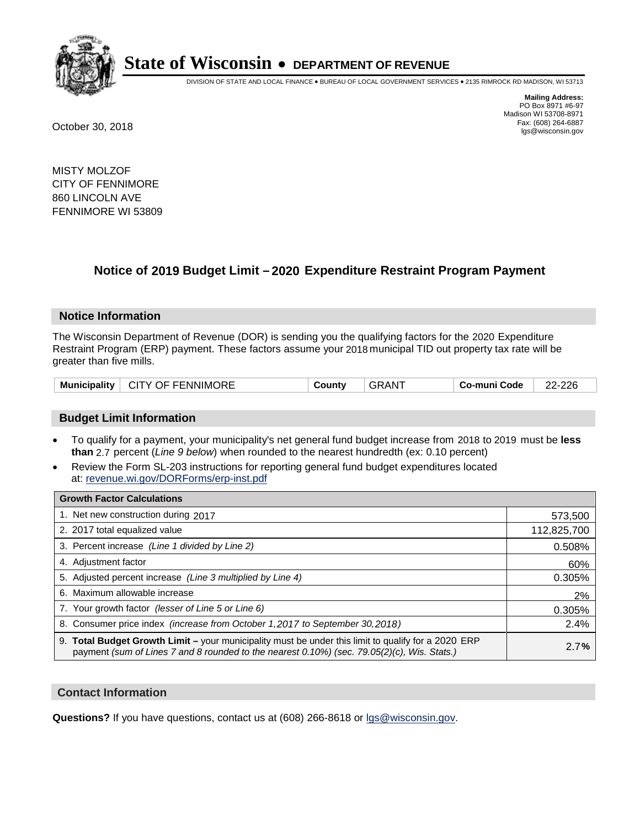

DIVISION OF STATE AND LOCAL FINANCE • BUREAU OF LOCAL GOVERNMENT SERVICES • 2135 RIMROCK RD MADISON, WI 53713

**Mailing Address:** PO Box 8971 #6-97 Madison WI 53708-8971<br>Fax: (608) 264-6887 Fax: (608) 264-6887 October 30, 2018 lgs@wisconsin.gov

MISTY MOLZOF CITY OF FENNIMORE 860 LINCOLN AVE FENNIMORE WI 53809

## **Notice of 2019 Budget Limit - 2020 Expenditure Restraint Program Payment**

#### **Notice Information**

The Wisconsin Department of Revenue (DOR) is sending you the qualifying factors for the 2020 Expenditure Restraint Program (ERP) payment. These factors assume your 2018 municipal TID out property tax rate will be greater than five mills.

| <b>Municipality</b> | <b>CITY OF FENNIMORE</b> | ⊶ount∨ | `AN . | Co-muni Code | 226<br>ົດ |
|---------------------|--------------------------|--------|-------|--------------|-----------|
|---------------------|--------------------------|--------|-------|--------------|-----------|

#### **Budget Limit Information**

- To qualify for a payment, your municipality's net general fund budget increase from 2018 to 2019 must be less **than** 2.7 percent (*Line 9 below*) when rounded to the nearest hundredth (ex: 0.10 percent)
- Review the Form SL-203 instructions for reporting general fund budget expenditures located at: revenue.wi.gov/DORForms/erp-inst.pdf

| <b>Growth Factor Calculations</b>                                                                                                                                                                      |             |
|--------------------------------------------------------------------------------------------------------------------------------------------------------------------------------------------------------|-------------|
| 1. Net new construction during 2017                                                                                                                                                                    | 573,500     |
| 2. 2017 total equalized value                                                                                                                                                                          | 112,825,700 |
| 3. Percent increase (Line 1 divided by Line 2)                                                                                                                                                         | 0.508%      |
| 4. Adiustment factor                                                                                                                                                                                   | 60%         |
| 5. Adjusted percent increase (Line 3 multiplied by Line 4)                                                                                                                                             | 0.305%      |
| 6. Maximum allowable increase                                                                                                                                                                          | 2%          |
| 7. Your growth factor (lesser of Line 5 or Line 6)                                                                                                                                                     | 0.305%      |
| 8. Consumer price index (increase from October 1,2017 to September 30,2018)                                                                                                                            | 2.4%        |
| 9. Total Budget Growth Limit - your municipality must be under this limit to qualify for a 2020 ERP<br>payment (sum of Lines 7 and 8 rounded to the nearest $0.10\%$ ) (sec. 79.05(2)(c), Wis. Stats.) | 2.7%        |

#### **Contact Information**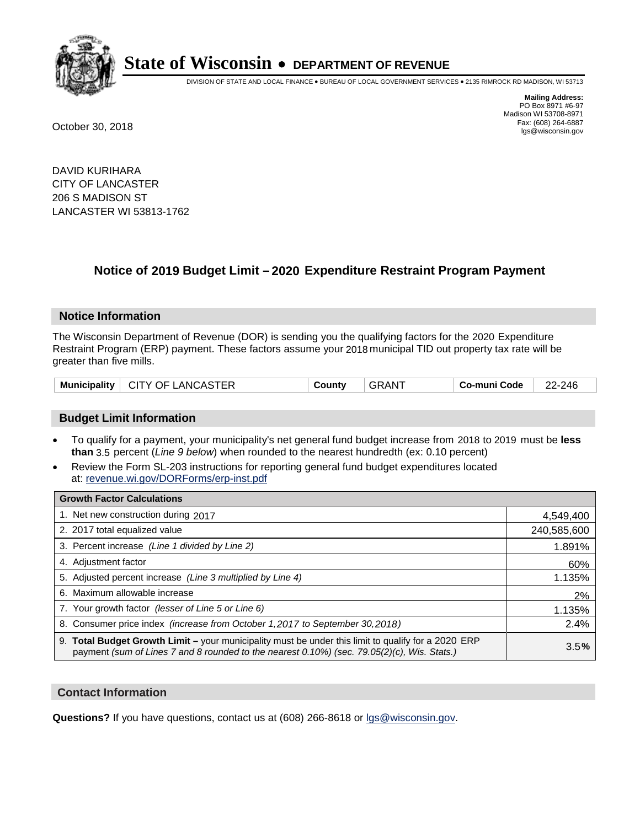

DIVISION OF STATE AND LOCAL FINANCE • BUREAU OF LOCAL GOVERNMENT SERVICES • 2135 RIMROCK RD MADISON, WI 53713

**Mailing Address:** PO Box 8971 #6-97 Madison WI 53708-8971<br>Fax: (608) 264-6887 Fax: (608) 264-6887 October 30, 2018 lgs@wisconsin.gov

DAVID KURIHARA CITY OF LANCASTER 206 S MADISON ST LANCASTER WI 53813-1762

### **Notice of 2019 Budget Limit - 2020 Expenditure Restraint Program Payment**

#### **Notice Information**

The Wisconsin Department of Revenue (DOR) is sending you the qualifying factors for the 2020 Expenditure Restraint Program (ERP) payment. These factors assume your 2018 municipal TID out property tax rate will be greater than five mills.

#### **Budget Limit Information**

- To qualify for a payment, your municipality's net general fund budget increase from 2018 to 2019 must be less **than** 3.5 percent (*Line 9 below*) when rounded to the nearest hundredth (ex: 0.10 percent)
- Review the Form SL-203 instructions for reporting general fund budget expenditures located at: revenue.wi.gov/DORForms/erp-inst.pdf

| <b>Growth Factor Calculations</b>                                                                                                                                                                      |             |
|--------------------------------------------------------------------------------------------------------------------------------------------------------------------------------------------------------|-------------|
| 1. Net new construction during 2017                                                                                                                                                                    | 4,549,400   |
| 2. 2017 total equalized value                                                                                                                                                                          | 240,585,600 |
| 3. Percent increase (Line 1 divided by Line 2)                                                                                                                                                         | 1.891%      |
| 4. Adjustment factor                                                                                                                                                                                   | 60%         |
| 5. Adjusted percent increase (Line 3 multiplied by Line 4)                                                                                                                                             | 1.135%      |
| 6. Maximum allowable increase                                                                                                                                                                          | 2%          |
| 7. Your growth factor (lesser of Line 5 or Line 6)                                                                                                                                                     | 1.135%      |
| 8. Consumer price index (increase from October 1,2017 to September 30,2018)                                                                                                                            | 2.4%        |
| 9. Total Budget Growth Limit - your municipality must be under this limit to qualify for a 2020 ERP<br>payment (sum of Lines 7 and 8 rounded to the nearest $0.10\%$ ) (sec. 79.05(2)(c), Wis. Stats.) | 3.5%        |

#### **Contact Information**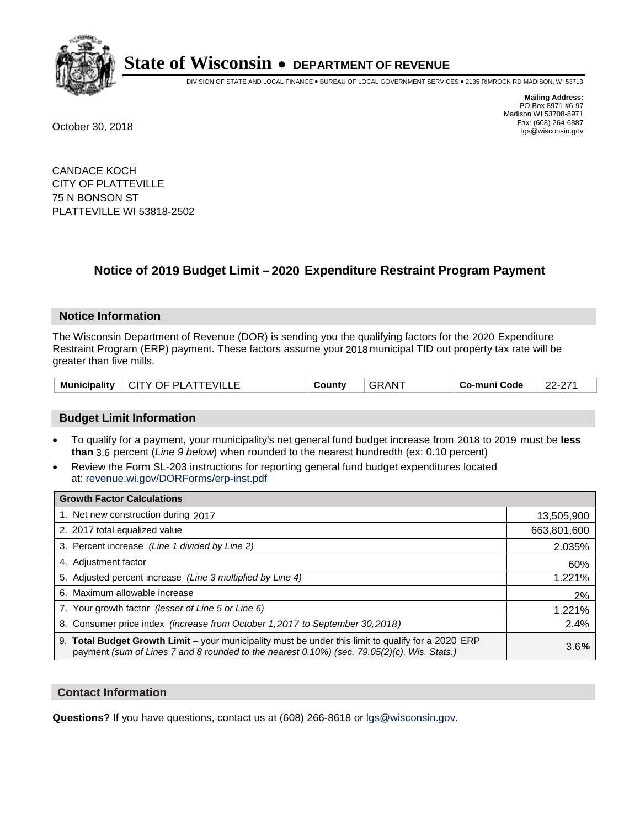

DIVISION OF STATE AND LOCAL FINANCE • BUREAU OF LOCAL GOVERNMENT SERVICES • 2135 RIMROCK RD MADISON, WI 53713

**Mailing Address:** PO Box 8971 #6-97 Madison WI 53708-8971<br>Fax: (608) 264-6887 Fax: (608) 264-6887 October 30, 2018 lgs@wisconsin.gov

CANDACE KOCH CITY OF PLATTEVILLE 75 N BONSON ST PLATTEVILLE WI 53818-2502

### **Notice of 2019 Budget Limit - 2020 Expenditure Restraint Program Payment**

#### **Notice Information**

The Wisconsin Department of Revenue (DOR) is sending you the qualifying factors for the 2020 Expenditure Restraint Program (ERP) payment. These factors assume your 2018 municipal TID out property tax rate will be greater than five mills.

#### **Budget Limit Information**

- To qualify for a payment, your municipality's net general fund budget increase from 2018 to 2019 must be less **than** 3.6 percent (*Line 9 below*) when rounded to the nearest hundredth (ex: 0.10 percent)
- Review the Form SL-203 instructions for reporting general fund budget expenditures located at: revenue.wi.gov/DORForms/erp-inst.pdf

| <b>Growth Factor Calculations</b>                                                                                                                                                                  |             |
|----------------------------------------------------------------------------------------------------------------------------------------------------------------------------------------------------|-------------|
| 1. Net new construction during 2017                                                                                                                                                                | 13,505,900  |
| 2. 2017 total equalized value                                                                                                                                                                      | 663,801,600 |
| 3. Percent increase (Line 1 divided by Line 2)                                                                                                                                                     | 2.035%      |
| 4. Adjustment factor                                                                                                                                                                               | 60%         |
| 5. Adjusted percent increase (Line 3 multiplied by Line 4)                                                                                                                                         | 1.221%      |
| 6. Maximum allowable increase                                                                                                                                                                      | 2%          |
| 7. Your growth factor (lesser of Line 5 or Line 6)                                                                                                                                                 | 1.221%      |
| 8. Consumer price index (increase from October 1, 2017 to September 30, 2018)                                                                                                                      | 2.4%        |
| 9. Total Budget Growth Limit - your municipality must be under this limit to qualify for a 2020 ERP<br>payment (sum of Lines 7 and 8 rounded to the nearest 0.10%) (sec. 79.05(2)(c), Wis. Stats.) | 3.6%        |

#### **Contact Information**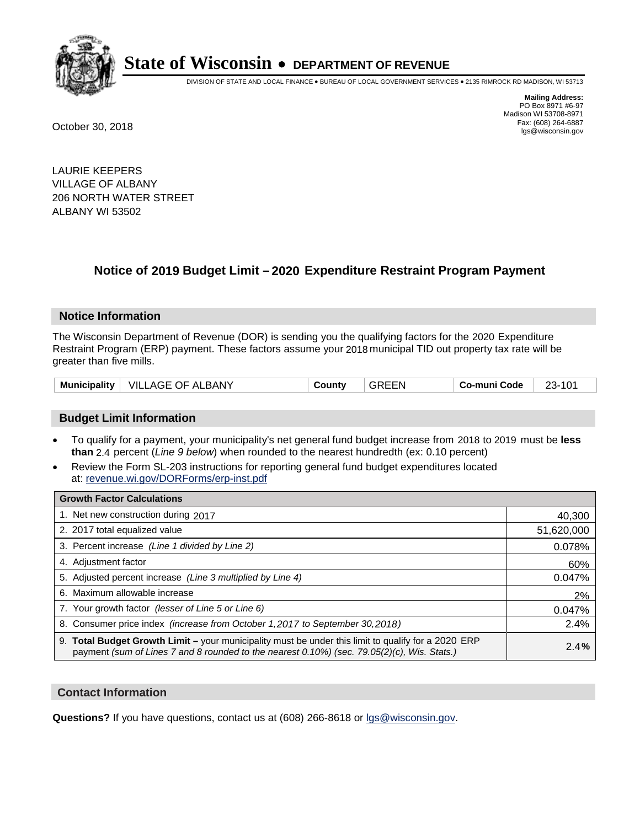

DIVISION OF STATE AND LOCAL FINANCE • BUREAU OF LOCAL GOVERNMENT SERVICES • 2135 RIMROCK RD MADISON, WI 53713

**Mailing Address:** PO Box 8971 #6-97 Madison WI 53708-8971<br>Fax: (608) 264-6887 Fax: (608) 264-6887 October 30, 2018 lgs@wisconsin.gov

LAURIE KEEPERS VILLAGE OF ALBANY 206 NORTH WATER STREET ALBANY WI 53502

### **Notice of 2019 Budget Limit - 2020 Expenditure Restraint Program Payment**

#### **Notice Information**

The Wisconsin Department of Revenue (DOR) is sending you the qualifying factors for the 2020 Expenditure Restraint Program (ERP) payment. These factors assume your 2018 municipal TID out property tax rate will be greater than five mills.

#### **Budget Limit Information**

- To qualify for a payment, your municipality's net general fund budget increase from 2018 to 2019 must be less **than** 2.4 percent (*Line 9 below*) when rounded to the nearest hundredth (ex: 0.10 percent)
- Review the Form SL-203 instructions for reporting general fund budget expenditures located at: revenue.wi.gov/DORForms/erp-inst.pdf

| <b>Growth Factor Calculations</b>                                                                                                                                                                      |            |
|--------------------------------------------------------------------------------------------------------------------------------------------------------------------------------------------------------|------------|
| 1. Net new construction during 2017                                                                                                                                                                    | 40,300     |
| 2. 2017 total equalized value                                                                                                                                                                          | 51,620,000 |
| 3. Percent increase (Line 1 divided by Line 2)                                                                                                                                                         | 0.078%     |
| 4. Adjustment factor                                                                                                                                                                                   | 60%        |
| 5. Adjusted percent increase (Line 3 multiplied by Line 4)                                                                                                                                             | 0.047%     |
| 6. Maximum allowable increase                                                                                                                                                                          | 2%         |
| 7. Your growth factor (lesser of Line 5 or Line 6)                                                                                                                                                     | 0.047%     |
| 8. Consumer price index (increase from October 1,2017 to September 30,2018)                                                                                                                            | 2.4%       |
| 9. Total Budget Growth Limit - your municipality must be under this limit to qualify for a 2020 ERP<br>payment (sum of Lines 7 and 8 rounded to the nearest $0.10\%$ ) (sec. 79.05(2)(c), Wis. Stats.) | 2.4%       |

#### **Contact Information**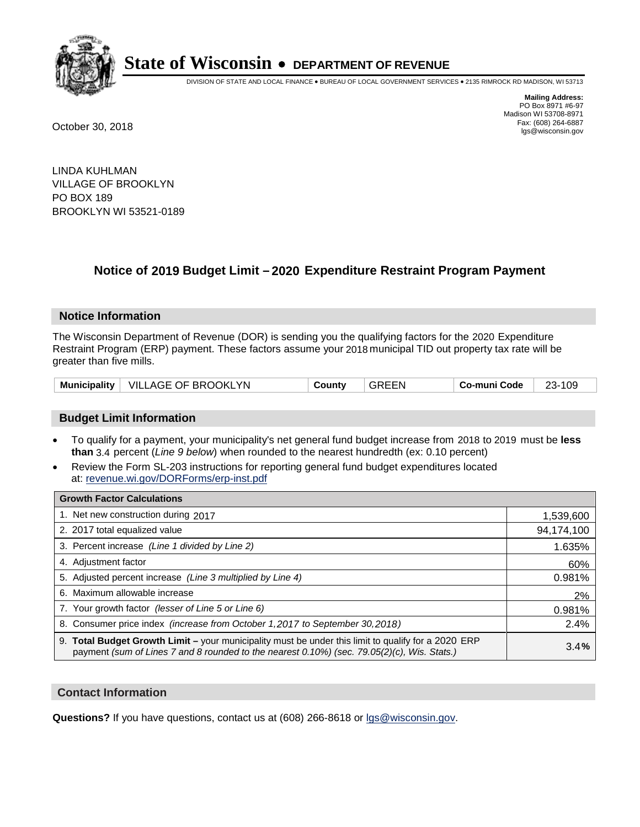

DIVISION OF STATE AND LOCAL FINANCE • BUREAU OF LOCAL GOVERNMENT SERVICES • 2135 RIMROCK RD MADISON, WI 53713

**Mailing Address:** PO Box 8971 #6-97 Madison WI 53708-8971<br>Fax: (608) 264-6887 Fax: (608) 264-6887 October 30, 2018 lgs@wisconsin.gov

LINDA KUHLMAN VILLAGE OF BROOKLYN PO BOX 189 BROOKLYN WI 53521-0189

### **Notice of 2019 Budget Limit - 2020 Expenditure Restraint Program Payment**

#### **Notice Information**

The Wisconsin Department of Revenue (DOR) is sending you the qualifying factors for the 2020 Expenditure Restraint Program (ERP) payment. These factors assume your 2018 municipal TID out property tax rate will be greater than five mills.

| Municipality   VILLAGE OF BROOKLYN | County | <b>GREEN</b> | Co-muni Code | 23-109 |
|------------------------------------|--------|--------------|--------------|--------|
|------------------------------------|--------|--------------|--------------|--------|

#### **Budget Limit Information**

- To qualify for a payment, your municipality's net general fund budget increase from 2018 to 2019 must be less **than** 3.4 percent (*Line 9 below*) when rounded to the nearest hundredth (ex: 0.10 percent)
- Review the Form SL-203 instructions for reporting general fund budget expenditures located at: revenue.wi.gov/DORForms/erp-inst.pdf

| <b>Growth Factor Calculations</b>                                                                                                                                                                      |            |
|--------------------------------------------------------------------------------------------------------------------------------------------------------------------------------------------------------|------------|
| 1. Net new construction during 2017                                                                                                                                                                    | 1,539,600  |
| 2. 2017 total equalized value                                                                                                                                                                          | 94,174,100 |
| 3. Percent increase (Line 1 divided by Line 2)                                                                                                                                                         | 1.635%     |
| 4. Adjustment factor                                                                                                                                                                                   | 60%        |
| 5. Adjusted percent increase (Line 3 multiplied by Line 4)                                                                                                                                             | 0.981%     |
| 6. Maximum allowable increase                                                                                                                                                                          | 2%         |
| 7. Your growth factor (lesser of Line 5 or Line 6)                                                                                                                                                     | 0.981%     |
| 8. Consumer price index (increase from October 1,2017 to September 30,2018)                                                                                                                            | 2.4%       |
| 9. Total Budget Growth Limit - your municipality must be under this limit to qualify for a 2020 ERP<br>payment (sum of Lines 7 and 8 rounded to the nearest $0.10\%$ ) (sec. 79.05(2)(c), Wis. Stats.) | 3.4%       |

#### **Contact Information**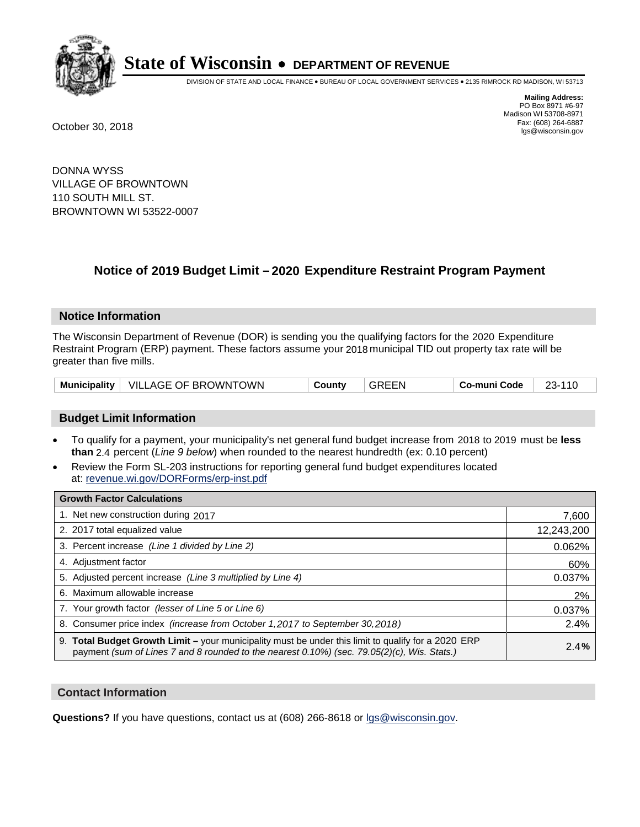

DIVISION OF STATE AND LOCAL FINANCE • BUREAU OF LOCAL GOVERNMENT SERVICES • 2135 RIMROCK RD MADISON, WI 53713

**Mailing Address:** PO Box 8971 #6-97 Madison WI 53708-8971<br>Fax: (608) 264-6887 Fax: (608) 264-6887 October 30, 2018 lgs@wisconsin.gov

DONNA WYSS VILLAGE OF BROWNTOWN 110 SOUTH MILL ST. BROWNTOWN WI 53522-0007

### **Notice of 2019 Budget Limit - 2020 Expenditure Restraint Program Payment**

#### **Notice Information**

The Wisconsin Department of Revenue (DOR) is sending you the qualifying factors for the 2020 Expenditure Restraint Program (ERP) payment. These factors assume your 2018 municipal TID out property tax rate will be greater than five mills.

|  | Municipality   VILLAGE OF BROWNTOWN | County | GREEN | Co-muni Code | 23-110 |
|--|-------------------------------------|--------|-------|--------------|--------|
|--|-------------------------------------|--------|-------|--------------|--------|

#### **Budget Limit Information**

- To qualify for a payment, your municipality's net general fund budget increase from 2018 to 2019 must be less **than** 2.4 percent (*Line 9 below*) when rounded to the nearest hundredth (ex: 0.10 percent)
- Review the Form SL-203 instructions for reporting general fund budget expenditures located at: revenue.wi.gov/DORForms/erp-inst.pdf

| <b>Growth Factor Calculations</b>                                                                                                                                                                  |            |
|----------------------------------------------------------------------------------------------------------------------------------------------------------------------------------------------------|------------|
| 1. Net new construction during 2017                                                                                                                                                                | 7,600      |
| 2. 2017 total equalized value                                                                                                                                                                      | 12,243,200 |
| 3. Percent increase (Line 1 divided by Line 2)                                                                                                                                                     | 0.062%     |
| 4. Adiustment factor                                                                                                                                                                               | 60%        |
| 5. Adjusted percent increase (Line 3 multiplied by Line 4)                                                                                                                                         | 0.037%     |
| 6. Maximum allowable increase                                                                                                                                                                      | 2%         |
| 7. Your growth factor (lesser of Line 5 or Line 6)                                                                                                                                                 | 0.037%     |
| 8. Consumer price index (increase from October 1,2017 to September 30,2018)                                                                                                                        | 2.4%       |
| 9. Total Budget Growth Limit - your municipality must be under this limit to qualify for a 2020 ERP<br>payment (sum of Lines 7 and 8 rounded to the nearest 0.10%) (sec. 79.05(2)(c), Wis. Stats.) | 2.4%       |

#### **Contact Information**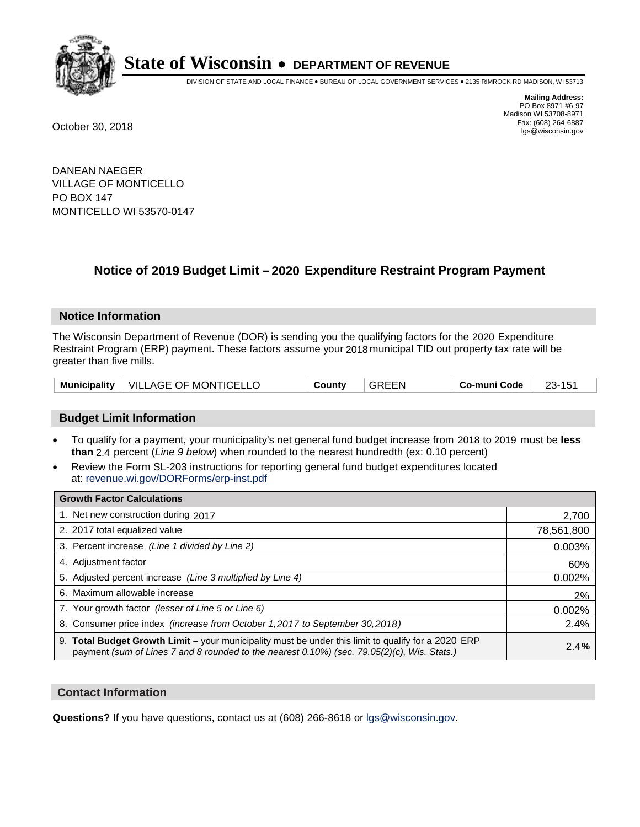

DIVISION OF STATE AND LOCAL FINANCE • BUREAU OF LOCAL GOVERNMENT SERVICES • 2135 RIMROCK RD MADISON, WI 53713

**Mailing Address:** PO Box 8971 #6-97 Madison WI 53708-8971<br>Fax: (608) 264-6887 Fax: (608) 264-6887 October 30, 2018 lgs@wisconsin.gov

DANEAN NAEGER VILLAGE OF MONTICELLO PO BOX 147 MONTICELLO WI 53570-0147

### **Notice of 2019 Budget Limit - 2020 Expenditure Restraint Program Payment**

#### **Notice Information**

The Wisconsin Department of Revenue (DOR) is sending you the qualifying factors for the 2020 Expenditure Restraint Program (ERP) payment. These factors assume your 2018 municipal TID out property tax rate will be greater than five mills.

|  | Municipality   VILLAGE OF MONTICELLO | County | <b>GREEN</b> | Co-muni Code |  |
|--|--------------------------------------|--------|--------------|--------------|--|
|--|--------------------------------------|--------|--------------|--------------|--|

#### **Budget Limit Information**

- To qualify for a payment, your municipality's net general fund budget increase from 2018 to 2019 must be less **than** 2.4 percent (*Line 9 below*) when rounded to the nearest hundredth (ex: 0.10 percent)
- Review the Form SL-203 instructions for reporting general fund budget expenditures located at: revenue.wi.gov/DORForms/erp-inst.pdf

| <b>Growth Factor Calculations</b>                                                                                                                                                                      |            |
|--------------------------------------------------------------------------------------------------------------------------------------------------------------------------------------------------------|------------|
| 1. Net new construction during 2017                                                                                                                                                                    | 2,700      |
| 2. 2017 total equalized value                                                                                                                                                                          | 78,561,800 |
| 3. Percent increase (Line 1 divided by Line 2)                                                                                                                                                         | 0.003%     |
| 4. Adjustment factor                                                                                                                                                                                   | 60%        |
| 5. Adjusted percent increase (Line 3 multiplied by Line 4)                                                                                                                                             | 0.002%     |
| 6. Maximum allowable increase                                                                                                                                                                          | 2%         |
| 7. Your growth factor (lesser of Line 5 or Line 6)                                                                                                                                                     | 0.002%     |
| 8. Consumer price index (increase from October 1,2017 to September 30,2018)                                                                                                                            | 2.4%       |
| 9. Total Budget Growth Limit - your municipality must be under this limit to qualify for a 2020 ERP<br>payment (sum of Lines 7 and 8 rounded to the nearest $0.10\%$ ) (sec. 79.05(2)(c), Wis. Stats.) | 2.4%       |

#### **Contact Information**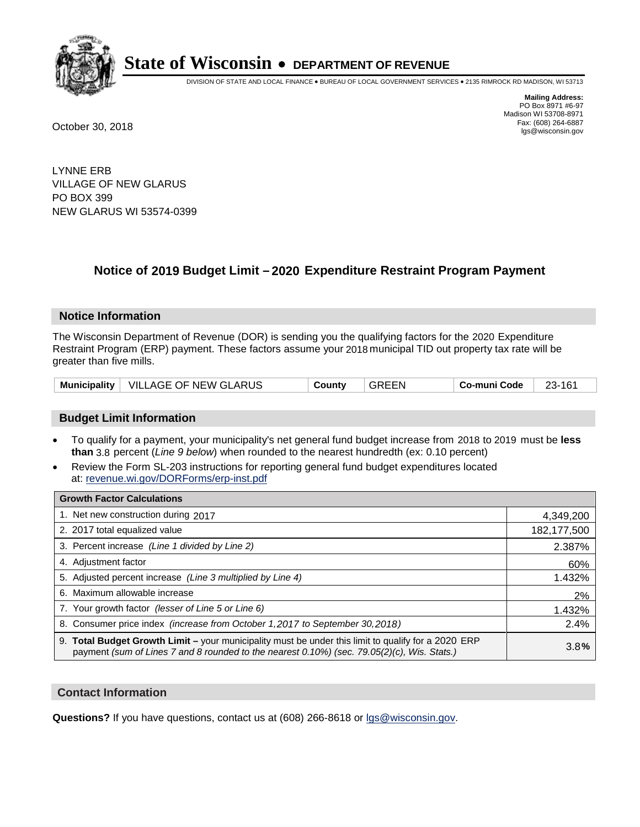

DIVISION OF STATE AND LOCAL FINANCE • BUREAU OF LOCAL GOVERNMENT SERVICES • 2135 RIMROCK RD MADISON, WI 53713

**Mailing Address:** PO Box 8971 #6-97 Madison WI 53708-8971<br>Fax: (608) 264-6887 Fax: (608) 264-6887 October 30, 2018 lgs@wisconsin.gov

LYNNE ERB VILLAGE OF NEW GLARUS PO BOX 399 NEW GLARUS WI 53574-0399

### **Notice of 2019 Budget Limit - 2020 Expenditure Restraint Program Payment**

#### **Notice Information**

The Wisconsin Department of Revenue (DOR) is sending you the qualifying factors for the 2020 Expenditure Restraint Program (ERP) payment. These factors assume your 2018 municipal TID out property tax rate will be greater than five mills.

|  | Municipality   VILLAGE OF NEW GLARUS | County | <b>GREEN</b> | Co-muni Code | 23-161 |
|--|--------------------------------------|--------|--------------|--------------|--------|
|--|--------------------------------------|--------|--------------|--------------|--------|

#### **Budget Limit Information**

- To qualify for a payment, your municipality's net general fund budget increase from 2018 to 2019 must be less **than** 3.8 percent (*Line 9 below*) when rounded to the nearest hundredth (ex: 0.10 percent)
- Review the Form SL-203 instructions for reporting general fund budget expenditures located at: revenue.wi.gov/DORForms/erp-inst.pdf

| <b>Growth Factor Calculations</b>                                                                                                                                                                      |             |
|--------------------------------------------------------------------------------------------------------------------------------------------------------------------------------------------------------|-------------|
| 1. Net new construction during 2017                                                                                                                                                                    | 4,349,200   |
| 2. 2017 total equalized value                                                                                                                                                                          | 182,177,500 |
| 3. Percent increase (Line 1 divided by Line 2)                                                                                                                                                         | 2.387%      |
| 4. Adjustment factor                                                                                                                                                                                   | 60%         |
| 5. Adjusted percent increase (Line 3 multiplied by Line 4)                                                                                                                                             | 1.432%      |
| 6. Maximum allowable increase                                                                                                                                                                          | 2%          |
| 7. Your growth factor (lesser of Line 5 or Line 6)                                                                                                                                                     | 1.432%      |
| 8. Consumer price index (increase from October 1,2017 to September 30,2018)                                                                                                                            | 2.4%        |
| 9. Total Budget Growth Limit - your municipality must be under this limit to qualify for a 2020 ERP<br>payment (sum of Lines 7 and 8 rounded to the nearest $0.10\%$ ) (sec. 79.05(2)(c), Wis. Stats.) | 3.8%        |

#### **Contact Information**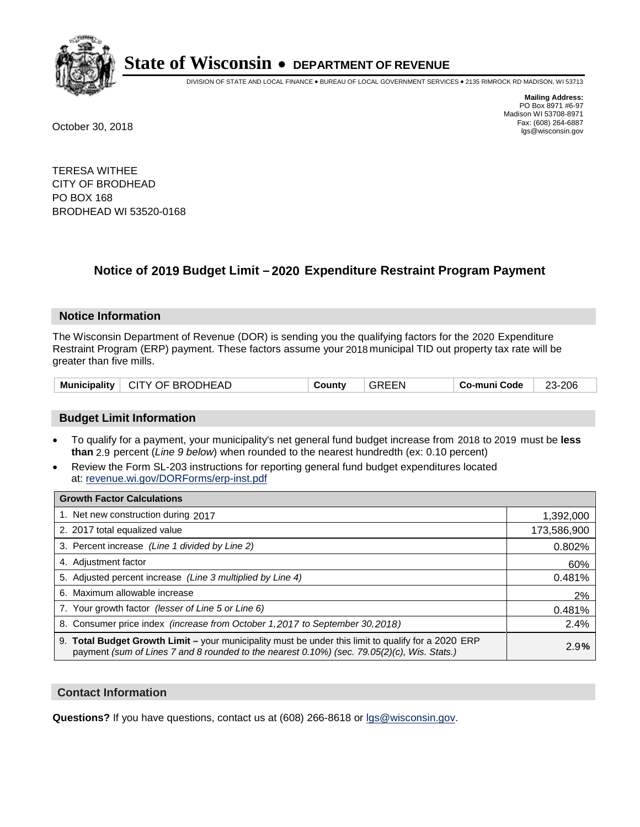

DIVISION OF STATE AND LOCAL FINANCE • BUREAU OF LOCAL GOVERNMENT SERVICES • 2135 RIMROCK RD MADISON, WI 53713

**Mailing Address:** PO Box 8971 #6-97 Madison WI 53708-8971<br>Fax: (608) 264-6887 Fax: (608) 264-6887 October 30, 2018 lgs@wisconsin.gov

TERESA WITHEE CITY OF BRODHEAD PO BOX 168 BRODHEAD WI 53520-0168

### **Notice of 2019 Budget Limit - 2020 Expenditure Restraint Program Payment**

#### **Notice Information**

The Wisconsin Department of Revenue (DOR) is sending you the qualifying factors for the 2020 Expenditure Restraint Program (ERP) payment. These factors assume your 2018 municipal TID out property tax rate will be greater than five mills.

|  | Municipality   CITY OF BRODHEAD | Countv | <b>GREEN</b> | Co-muni Code | 23-206 |
|--|---------------------------------|--------|--------------|--------------|--------|
|--|---------------------------------|--------|--------------|--------------|--------|

#### **Budget Limit Information**

- To qualify for a payment, your municipality's net general fund budget increase from 2018 to 2019 must be less **than** 2.9 percent (*Line 9 below*) when rounded to the nearest hundredth (ex: 0.10 percent)
- Review the Form SL-203 instructions for reporting general fund budget expenditures located at: revenue.wi.gov/DORForms/erp-inst.pdf

| <b>Growth Factor Calculations</b>                                                                                                                                                                      |             |
|--------------------------------------------------------------------------------------------------------------------------------------------------------------------------------------------------------|-------------|
| 1. Net new construction during 2017                                                                                                                                                                    | 1,392,000   |
| 2. 2017 total equalized value                                                                                                                                                                          | 173,586,900 |
| 3. Percent increase (Line 1 divided by Line 2)                                                                                                                                                         | 0.802%      |
| 4. Adjustment factor                                                                                                                                                                                   | 60%         |
| 5. Adjusted percent increase (Line 3 multiplied by Line 4)                                                                                                                                             | 0.481%      |
| 6. Maximum allowable increase                                                                                                                                                                          | 2%          |
| 7. Your growth factor (lesser of Line 5 or Line 6)                                                                                                                                                     | 0.481%      |
| 8. Consumer price index (increase from October 1, 2017 to September 30, 2018)                                                                                                                          | 2.4%        |
| 9. Total Budget Growth Limit - your municipality must be under this limit to qualify for a 2020 ERP<br>payment (sum of Lines 7 and 8 rounded to the nearest $0.10\%$ ) (sec. 79.05(2)(c), Wis. Stats.) | 2.9%        |

#### **Contact Information**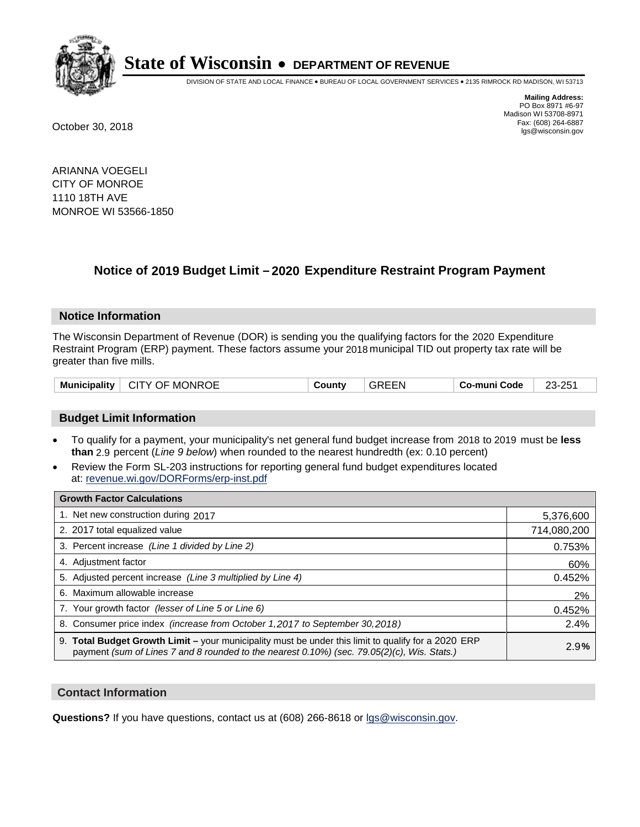

DIVISION OF STATE AND LOCAL FINANCE • BUREAU OF LOCAL GOVERNMENT SERVICES • 2135 RIMROCK RD MADISON, WI 53713

**Mailing Address:** PO Box 8971 #6-97 Madison WI 53708-8971<br>Fax: (608) 264-6887 Fax: (608) 264-6887 October 30, 2018 lgs@wisconsin.gov

ARIANNA VOEGELI CITY OF MONROE 1110 18TH AVE MONROE WI 53566-1850

### **Notice of 2019 Budget Limit - 2020 Expenditure Restraint Program Payment**

#### **Notice Information**

The Wisconsin Department of Revenue (DOR) is sending you the qualifying factors for the 2020 Expenditure Restraint Program (ERP) payment. These factors assume your 2018 municipal TID out property tax rate will be greater than five mills.

| ∣ CITY OF MONROE<br><b>Municipality</b> | County | <b>GREEN</b> | ⊤ Co-muni Code | 23-251 |
|-----------------------------------------|--------|--------------|----------------|--------|
|-----------------------------------------|--------|--------------|----------------|--------|

#### **Budget Limit Information**

- To qualify for a payment, your municipality's net general fund budget increase from 2018 to 2019 must be less **than** 2.9 percent (*Line 9 below*) when rounded to the nearest hundredth (ex: 0.10 percent)
- Review the Form SL-203 instructions for reporting general fund budget expenditures located at: revenue.wi.gov/DORForms/erp-inst.pdf

| <b>Growth Factor Calculations</b>                                                                                                                                                                      |             |
|--------------------------------------------------------------------------------------------------------------------------------------------------------------------------------------------------------|-------------|
| 1. Net new construction during 2017                                                                                                                                                                    | 5,376,600   |
| 2. 2017 total equalized value                                                                                                                                                                          | 714,080,200 |
| 3. Percent increase (Line 1 divided by Line 2)                                                                                                                                                         | 0.753%      |
| 4. Adjustment factor                                                                                                                                                                                   | 60%         |
| 5. Adjusted percent increase (Line 3 multiplied by Line 4)                                                                                                                                             | 0.452%      |
| 6. Maximum allowable increase                                                                                                                                                                          | 2%          |
| 7. Your growth factor (lesser of Line 5 or Line 6)                                                                                                                                                     | 0.452%      |
| 8. Consumer price index (increase from October 1, 2017 to September 30, 2018)                                                                                                                          | 2.4%        |
| 9. Total Budget Growth Limit - your municipality must be under this limit to qualify for a 2020 ERP<br>payment (sum of Lines 7 and 8 rounded to the nearest $0.10\%$ ) (sec. 79.05(2)(c), Wis. Stats.) | 2.9%        |

#### **Contact Information**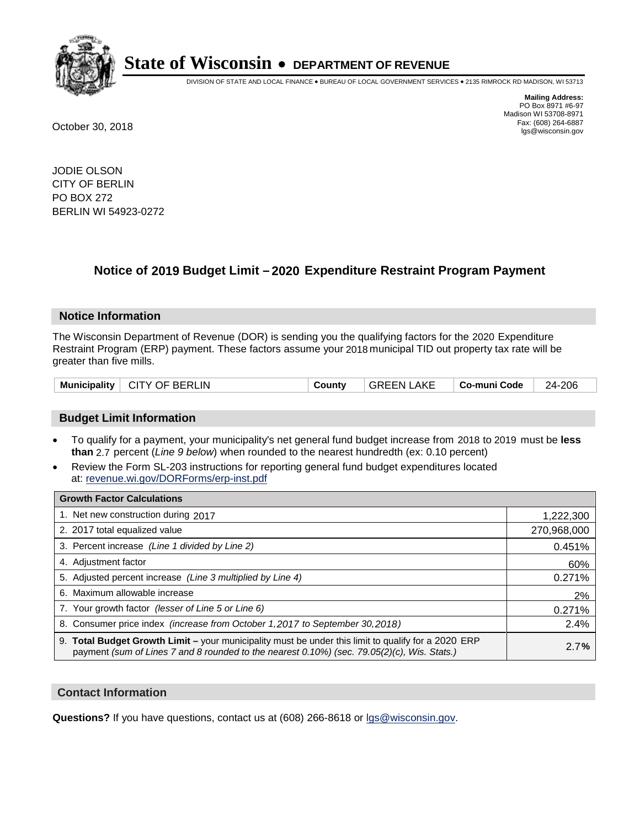

DIVISION OF STATE AND LOCAL FINANCE • BUREAU OF LOCAL GOVERNMENT SERVICES • 2135 RIMROCK RD MADISON, WI 53713

**Mailing Address:** PO Box 8971 #6-97 Madison WI 53708-8971<br>Fax: (608) 264-6887 Fax: (608) 264-6887 October 30, 2018 lgs@wisconsin.gov

JODIE OLSON CITY OF BERLIN PO BOX 272 BERLIN WI 54923-0272

### **Notice of 2019 Budget Limit - 2020 Expenditure Restraint Program Payment**

#### **Notice Information**

The Wisconsin Department of Revenue (DOR) is sending you the qualifying factors for the 2020 Expenditure Restraint Program (ERP) payment. These factors assume your 2018 municipal TID out property tax rate will be greater than five mills.

| Municipality   CITY OF BERLIN | County | <b>GREEN LAKE</b> | ∣ Co-muni Code | 24-206 |
|-------------------------------|--------|-------------------|----------------|--------|
|-------------------------------|--------|-------------------|----------------|--------|

#### **Budget Limit Information**

- To qualify for a payment, your municipality's net general fund budget increase from 2018 to 2019 must be less **than** 2.7 percent (*Line 9 below*) when rounded to the nearest hundredth (ex: 0.10 percent)
- Review the Form SL-203 instructions for reporting general fund budget expenditures located at: revenue.wi.gov/DORForms/erp-inst.pdf

| <b>Growth Factor Calculations</b>                                                                                                                                                                      |             |
|--------------------------------------------------------------------------------------------------------------------------------------------------------------------------------------------------------|-------------|
| 1. Net new construction during 2017                                                                                                                                                                    | 1,222,300   |
| 2. 2017 total equalized value                                                                                                                                                                          | 270,968,000 |
| 3. Percent increase (Line 1 divided by Line 2)                                                                                                                                                         | 0.451%      |
| 4. Adjustment factor                                                                                                                                                                                   | 60%         |
| 5. Adjusted percent increase (Line 3 multiplied by Line 4)                                                                                                                                             | 0.271%      |
| 6. Maximum allowable increase                                                                                                                                                                          | 2%          |
| 7. Your growth factor (lesser of Line 5 or Line 6)                                                                                                                                                     | 0.271%      |
| 8. Consumer price index (increase from October 1,2017 to September 30,2018)                                                                                                                            | 2.4%        |
| 9. Total Budget Growth Limit - your municipality must be under this limit to qualify for a 2020 ERP<br>payment (sum of Lines 7 and 8 rounded to the nearest $0.10\%$ ) (sec. 79.05(2)(c), Wis. Stats.) | 2.7%        |

#### **Contact Information**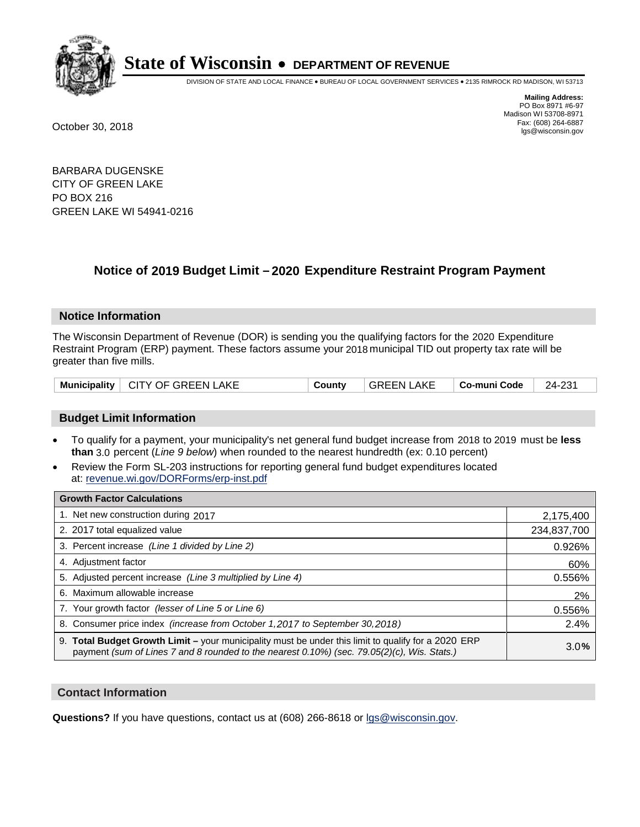

DIVISION OF STATE AND LOCAL FINANCE • BUREAU OF LOCAL GOVERNMENT SERVICES • 2135 RIMROCK RD MADISON, WI 53713

**Mailing Address:** PO Box 8971 #6-97 Madison WI 53708-8971<br>Fax: (608) 264-6887 Fax: (608) 264-6887 October 30, 2018 lgs@wisconsin.gov

BARBARA DUGENSKE CITY OF GREEN LAKE PO BOX 216 GREEN LAKE WI 54941-0216

### **Notice of 2019 Budget Limit - 2020 Expenditure Restraint Program Payment**

#### **Notice Information**

The Wisconsin Department of Revenue (DOR) is sending you the qualifying factors for the 2020 Expenditure Restraint Program (ERP) payment. These factors assume your 2018 municipal TID out property tax rate will be greater than five mills.

#### **Budget Limit Information**

- To qualify for a payment, your municipality's net general fund budget increase from 2018 to 2019 must be less **than** 3.0 percent (*Line 9 below*) when rounded to the nearest hundredth (ex: 0.10 percent)
- Review the Form SL-203 instructions for reporting general fund budget expenditures located at: revenue.wi.gov/DORForms/erp-inst.pdf

| <b>Growth Factor Calculations</b>                                                                                                                                                                      |             |
|--------------------------------------------------------------------------------------------------------------------------------------------------------------------------------------------------------|-------------|
| 1. Net new construction during 2017                                                                                                                                                                    | 2,175,400   |
| 2. 2017 total equalized value                                                                                                                                                                          | 234,837,700 |
| 3. Percent increase (Line 1 divided by Line 2)                                                                                                                                                         | 0.926%      |
| 4. Adjustment factor                                                                                                                                                                                   | 60%         |
| 5. Adjusted percent increase (Line 3 multiplied by Line 4)                                                                                                                                             | 0.556%      |
| 6. Maximum allowable increase                                                                                                                                                                          | 2%          |
| 7. Your growth factor (lesser of Line 5 or Line 6)                                                                                                                                                     | 0.556%      |
| 8. Consumer price index (increase from October 1,2017 to September 30,2018)                                                                                                                            | 2.4%        |
| 9. Total Budget Growth Limit - your municipality must be under this limit to qualify for a 2020 ERP<br>payment (sum of Lines 7 and 8 rounded to the nearest $0.10\%$ ) (sec. 79.05(2)(c), Wis. Stats.) | 3.0%        |

#### **Contact Information**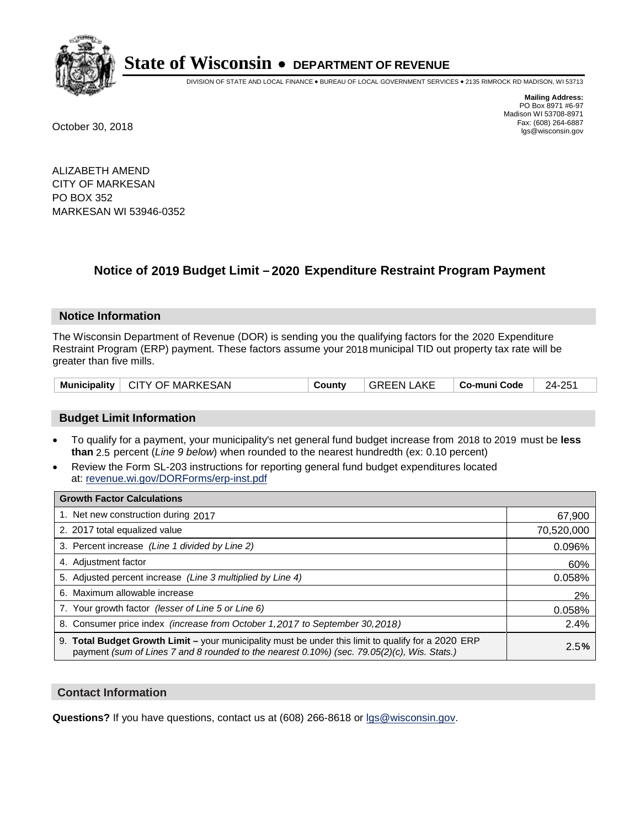

DIVISION OF STATE AND LOCAL FINANCE • BUREAU OF LOCAL GOVERNMENT SERVICES • 2135 RIMROCK RD MADISON, WI 53713

**Mailing Address:** PO Box 8971 #6-97 Madison WI 53708-8971<br>Fax: (608) 264-6887 Fax: (608) 264-6887 October 30, 2018 lgs@wisconsin.gov

ALIZABETH AMEND CITY OF MARKESAN PO BOX 352 MARKESAN WI 53946-0352

### **Notice of 2019 Budget Limit - 2020 Expenditure Restraint Program Payment**

#### **Notice Information**

The Wisconsin Department of Revenue (DOR) is sending you the qualifying factors for the 2020 Expenditure Restraint Program (ERP) payment. These factors assume your 2018 municipal TID out property tax rate will be greater than five mills.

| <b>Municipality</b> | $\vdash$ CITY OF MARKESAN | County | <b>GREEN LAKE</b> | ∣ Co-muni Code | 24-251 |
|---------------------|---------------------------|--------|-------------------|----------------|--------|
|---------------------|---------------------------|--------|-------------------|----------------|--------|

#### **Budget Limit Information**

- To qualify for a payment, your municipality's net general fund budget increase from 2018 to 2019 must be less **than** 2.5 percent (*Line 9 below*) when rounded to the nearest hundredth (ex: 0.10 percent)
- Review the Form SL-203 instructions for reporting general fund budget expenditures located at: revenue.wi.gov/DORForms/erp-inst.pdf

| <b>Growth Factor Calculations</b>                                                                                                                                                                      |            |
|--------------------------------------------------------------------------------------------------------------------------------------------------------------------------------------------------------|------------|
| 1. Net new construction during 2017                                                                                                                                                                    | 67,900     |
| 2. 2017 total equalized value                                                                                                                                                                          | 70,520,000 |
| 3. Percent increase (Line 1 divided by Line 2)                                                                                                                                                         | 0.096%     |
| 4. Adjustment factor                                                                                                                                                                                   | 60%        |
| 5. Adjusted percent increase (Line 3 multiplied by Line 4)                                                                                                                                             | 0.058%     |
| 6. Maximum allowable increase                                                                                                                                                                          | 2%         |
| 7. Your growth factor (lesser of Line 5 or Line 6)                                                                                                                                                     | 0.058%     |
| 8. Consumer price index (increase from October 1, 2017 to September 30, 2018)                                                                                                                          | 2.4%       |
| 9. Total Budget Growth Limit - your municipality must be under this limit to qualify for a 2020 ERP<br>payment (sum of Lines 7 and 8 rounded to the nearest $0.10\%$ ) (sec. 79.05(2)(c), Wis. Stats.) | 2.5%       |

#### **Contact Information**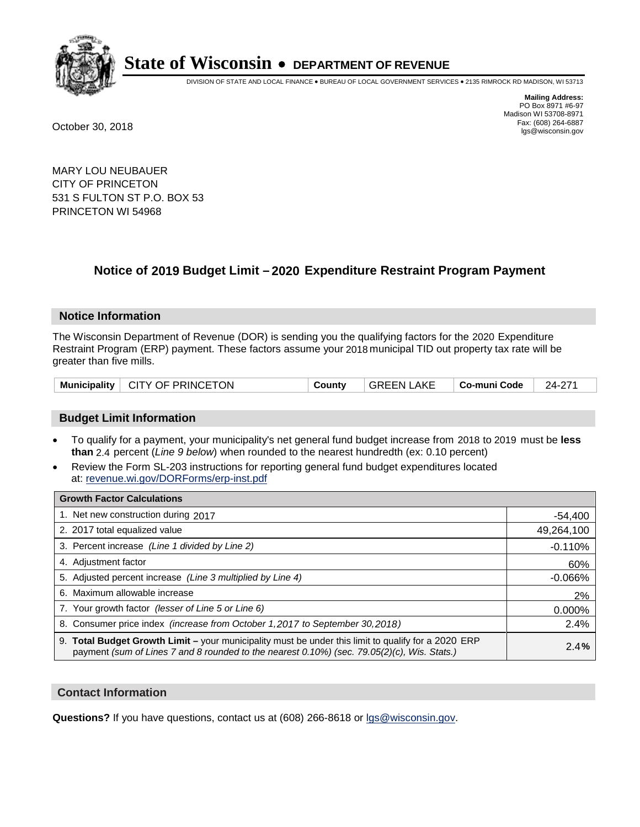

DIVISION OF STATE AND LOCAL FINANCE • BUREAU OF LOCAL GOVERNMENT SERVICES • 2135 RIMROCK RD MADISON, WI 53713

**Mailing Address:** PO Box 8971 #6-97 Madison WI 53708-8971<br>Fax: (608) 264-6887 Fax: (608) 264-6887 October 30, 2018 lgs@wisconsin.gov

MARY LOU NEUBAUER CITY OF PRINCETON 531 S FULTON ST P.O. BOX 53 PRINCETON WI 54968

### **Notice of 2019 Budget Limit - 2020 Expenditure Restraint Program Payment**

#### **Notice Information**

The Wisconsin Department of Revenue (DOR) is sending you the qualifying factors for the 2020 Expenditure Restraint Program (ERP) payment. These factors assume your 2018 municipal TID out property tax rate will be greater than five mills.

| <b>Municipality</b> | $^{\circ}$ CITY OF PRINCETON | County | <b>GREEN LAKE</b> | Co-muni Code | 24-271 |
|---------------------|------------------------------|--------|-------------------|--------------|--------|
|---------------------|------------------------------|--------|-------------------|--------------|--------|

#### **Budget Limit Information**

- To qualify for a payment, your municipality's net general fund budget increase from 2018 to 2019 must be less **than** 2.4 percent (*Line 9 below*) when rounded to the nearest hundredth (ex: 0.10 percent)
- Review the Form SL-203 instructions for reporting general fund budget expenditures located at: revenue.wi.gov/DORForms/erp-inst.pdf

| <b>Growth Factor Calculations</b>                                                                                                                                                                      |            |
|--------------------------------------------------------------------------------------------------------------------------------------------------------------------------------------------------------|------------|
| 1. Net new construction during 2017                                                                                                                                                                    | $-54,400$  |
| 2. 2017 total equalized value                                                                                                                                                                          | 49,264,100 |
| 3. Percent increase (Line 1 divided by Line 2)                                                                                                                                                         | $-0.110%$  |
| 4. Adjustment factor                                                                                                                                                                                   | 60%        |
| 5. Adjusted percent increase (Line 3 multiplied by Line 4)                                                                                                                                             | $-0.066%$  |
| 6. Maximum allowable increase                                                                                                                                                                          | 2%         |
| 7. Your growth factor (lesser of Line 5 or Line 6)                                                                                                                                                     | 0.000%     |
| 8. Consumer price index (increase from October 1,2017 to September 30,2018)                                                                                                                            | 2.4%       |
| 9. Total Budget Growth Limit - your municipality must be under this limit to qualify for a 2020 ERP<br>payment (sum of Lines 7 and 8 rounded to the nearest $0.10\%$ ) (sec. 79.05(2)(c), Wis. Stats.) | 2.4%       |

#### **Contact Information**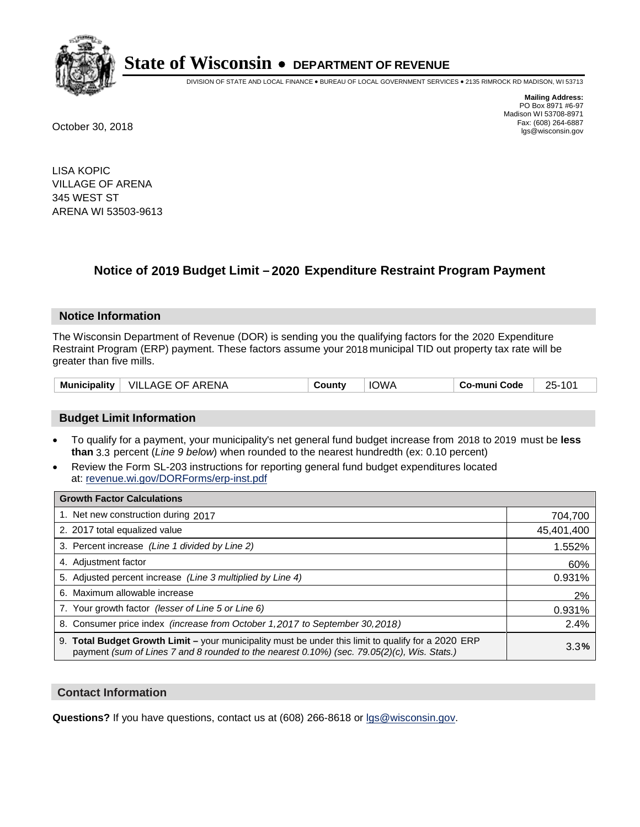

DIVISION OF STATE AND LOCAL FINANCE • BUREAU OF LOCAL GOVERNMENT SERVICES • 2135 RIMROCK RD MADISON, WI 53713

**Mailing Address:** PO Box 8971 #6-97 Madison WI 53708-8971<br>Fax: (608) 264-6887 Fax: (608) 264-6887 October 30, 2018 lgs@wisconsin.gov

LISA KOPIC VILLAGE OF ARENA 345 WEST ST ARENA WI 53503-9613

### **Notice of 2019 Budget Limit - 2020 Expenditure Restraint Program Payment**

#### **Notice Information**

The Wisconsin Department of Revenue (DOR) is sending you the qualifying factors for the 2020 Expenditure Restraint Program (ERP) payment. These factors assume your 2018 municipal TID out property tax rate will be greater than five mills.

| Municipality | <b>VILLAGE OF ARENA</b> | County | <b>IOWA</b> | Co-muni Code | $25-$ |
|--------------|-------------------------|--------|-------------|--------------|-------|
|--------------|-------------------------|--------|-------------|--------------|-------|

#### **Budget Limit Information**

- To qualify for a payment, your municipality's net general fund budget increase from 2018 to 2019 must be less **than** 3.3 percent (*Line 9 below*) when rounded to the nearest hundredth (ex: 0.10 percent)
- Review the Form SL-203 instructions for reporting general fund budget expenditures located at: revenue.wi.gov/DORForms/erp-inst.pdf

| <b>Growth Factor Calculations</b>                                                                                                                                                                      |            |
|--------------------------------------------------------------------------------------------------------------------------------------------------------------------------------------------------------|------------|
| 1. Net new construction during 2017                                                                                                                                                                    | 704,700    |
| 2. 2017 total equalized value                                                                                                                                                                          | 45,401,400 |
| 3. Percent increase (Line 1 divided by Line 2)                                                                                                                                                         | 1.552%     |
| 4. Adjustment factor                                                                                                                                                                                   | 60%        |
| 5. Adjusted percent increase (Line 3 multiplied by Line 4)                                                                                                                                             | 0.931%     |
| 6. Maximum allowable increase                                                                                                                                                                          | 2%         |
| 7. Your growth factor (lesser of Line 5 or Line 6)                                                                                                                                                     | 0.931%     |
| 8. Consumer price index (increase from October 1,2017 to September 30,2018)                                                                                                                            | 2.4%       |
| 9. Total Budget Growth Limit - your municipality must be under this limit to qualify for a 2020 ERP<br>payment (sum of Lines 7 and 8 rounded to the nearest $0.10\%$ ) (sec. 79.05(2)(c), Wis. Stats.) | 3.3%       |

#### **Contact Information**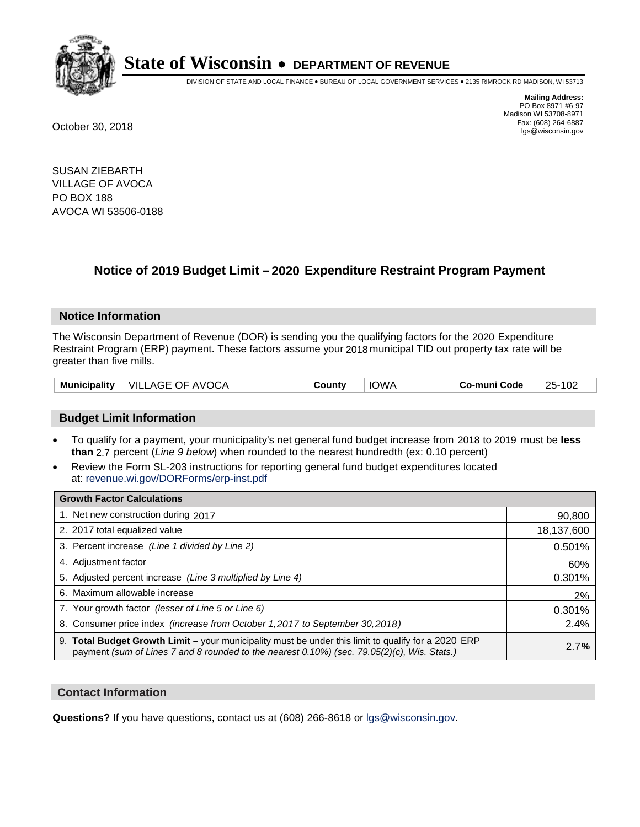

DIVISION OF STATE AND LOCAL FINANCE • BUREAU OF LOCAL GOVERNMENT SERVICES • 2135 RIMROCK RD MADISON, WI 53713

**Mailing Address:** PO Box 8971 #6-97 Madison WI 53708-8971<br>Fax: (608) 264-6887 Fax: (608) 264-6887 October 30, 2018 lgs@wisconsin.gov

SUSAN ZIEBARTH VILLAGE OF AVOCA PO BOX 188 AVOCA WI 53506-0188

### **Notice of 2019 Budget Limit - 2020 Expenditure Restraint Program Payment**

#### **Notice Information**

The Wisconsin Department of Revenue (DOR) is sending you the qualifying factors for the 2020 Expenditure Restraint Program (ERP) payment. These factors assume your 2018 municipal TID out property tax rate will be greater than five mills.

|  | Municipality   VILLAGE OF AVOCA | Countv | <b>IOWA</b> | Co-muni Code | 25-102 |
|--|---------------------------------|--------|-------------|--------------|--------|
|--|---------------------------------|--------|-------------|--------------|--------|

#### **Budget Limit Information**

- To qualify for a payment, your municipality's net general fund budget increase from 2018 to 2019 must be less **than** 2.7 percent (*Line 9 below*) when rounded to the nearest hundredth (ex: 0.10 percent)
- Review the Form SL-203 instructions for reporting general fund budget expenditures located at: revenue.wi.gov/DORForms/erp-inst.pdf

| <b>Growth Factor Calculations</b>                                                                                                                                                                  |            |
|----------------------------------------------------------------------------------------------------------------------------------------------------------------------------------------------------|------------|
| 1. Net new construction during 2017                                                                                                                                                                | 90,800     |
| 2. 2017 total equalized value                                                                                                                                                                      | 18,137,600 |
| 3. Percent increase (Line 1 divided by Line 2)                                                                                                                                                     | 0.501%     |
| 4. Adjustment factor                                                                                                                                                                               | 60%        |
| 5. Adjusted percent increase (Line 3 multiplied by Line 4)                                                                                                                                         | 0.301%     |
| 6. Maximum allowable increase                                                                                                                                                                      | 2%         |
| 7. Your growth factor (lesser of Line 5 or Line 6)                                                                                                                                                 | 0.301%     |
| 8. Consumer price index (increase from October 1, 2017 to September 30, 2018)                                                                                                                      | 2.4%       |
| 9. Total Budget Growth Limit – your municipality must be under this limit to qualify for a 2020 ERP<br>payment (sum of Lines 7 and 8 rounded to the nearest 0.10%) (sec. 79.05(2)(c), Wis. Stats.) | 2.7%       |

#### **Contact Information**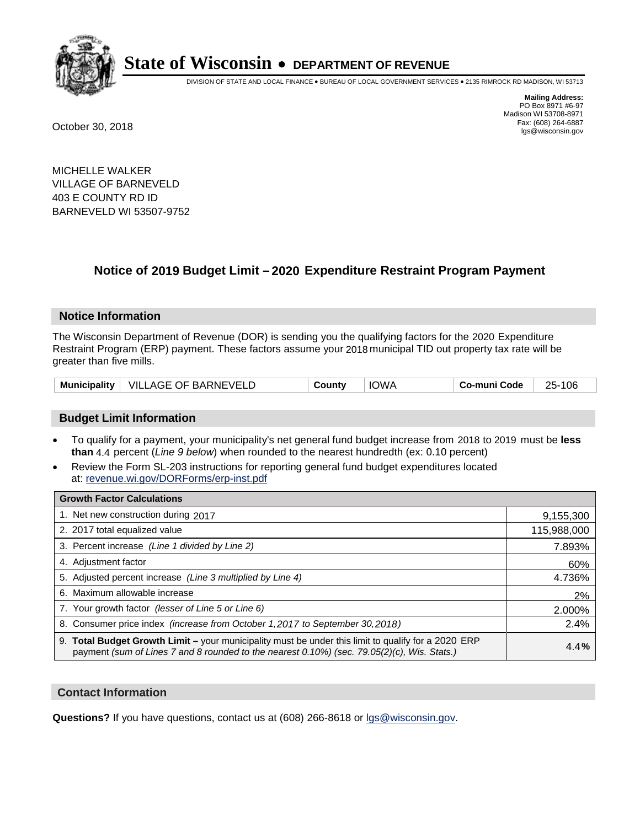

DIVISION OF STATE AND LOCAL FINANCE • BUREAU OF LOCAL GOVERNMENT SERVICES • 2135 RIMROCK RD MADISON, WI 53713

**Mailing Address:** PO Box 8971 #6-97 Madison WI 53708-8971<br>Fax: (608) 264-6887 Fax: (608) 264-6887 October 30, 2018 lgs@wisconsin.gov

MICHELLE WALKER VILLAGE OF BARNEVELD 403 E COUNTY RD ID BARNEVELD WI 53507-9752

### **Notice of 2019 Budget Limit - 2020 Expenditure Restraint Program Payment**

#### **Notice Information**

The Wisconsin Department of Revenue (DOR) is sending you the qualifying factors for the 2020 Expenditure Restraint Program (ERP) payment. These factors assume your 2018 municipal TID out property tax rate will be greater than five mills.

|  | Municipality   VILLAGE OF BARNEVELD | County | IOWA | Co-muni Code | 106<br>$25 -$ |
|--|-------------------------------------|--------|------|--------------|---------------|
|--|-------------------------------------|--------|------|--------------|---------------|

#### **Budget Limit Information**

- To qualify for a payment, your municipality's net general fund budget increase from 2018 to 2019 must be less **than** 4.4 percent (*Line 9 below*) when rounded to the nearest hundredth (ex: 0.10 percent)
- Review the Form SL-203 instructions for reporting general fund budget expenditures located at: revenue.wi.gov/DORForms/erp-inst.pdf

| <b>Growth Factor Calculations</b>                                                                                                                                                                      |             |
|--------------------------------------------------------------------------------------------------------------------------------------------------------------------------------------------------------|-------------|
| 1. Net new construction during 2017                                                                                                                                                                    | 9,155,300   |
| 2. 2017 total equalized value                                                                                                                                                                          | 115,988,000 |
| 3. Percent increase (Line 1 divided by Line 2)                                                                                                                                                         | 7.893%      |
| 4. Adjustment factor                                                                                                                                                                                   | 60%         |
| 5. Adjusted percent increase (Line 3 multiplied by Line 4)                                                                                                                                             | 4.736%      |
| 6. Maximum allowable increase                                                                                                                                                                          | 2%          |
| 7. Your growth factor (lesser of Line 5 or Line 6)                                                                                                                                                     | 2.000%      |
| 8. Consumer price index (increase from October 1,2017 to September 30,2018)                                                                                                                            | 2.4%        |
| 9. Total Budget Growth Limit - your municipality must be under this limit to qualify for a 2020 ERP<br>payment (sum of Lines 7 and 8 rounded to the nearest $0.10\%$ ) (sec. 79.05(2)(c), Wis. Stats.) | 4.4%        |

#### **Contact Information**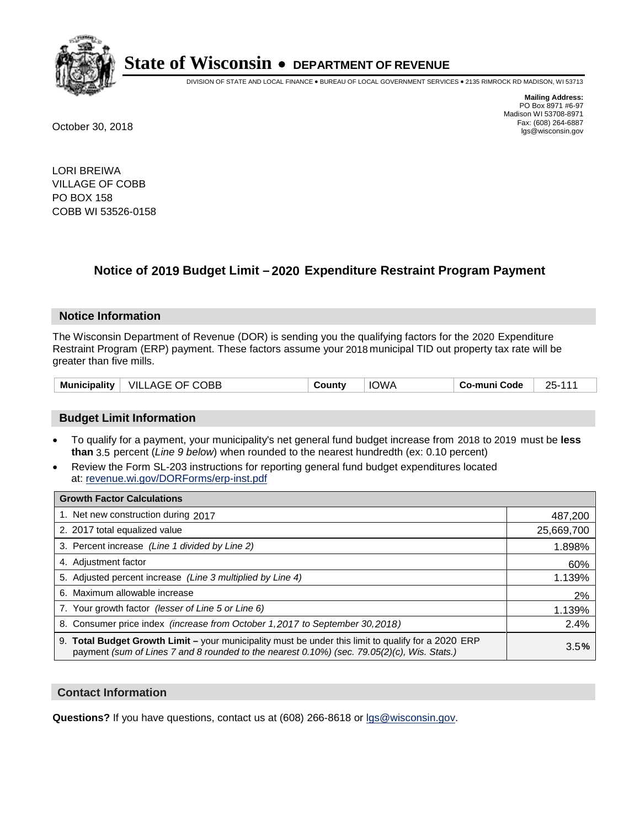

DIVISION OF STATE AND LOCAL FINANCE • BUREAU OF LOCAL GOVERNMENT SERVICES • 2135 RIMROCK RD MADISON, WI 53713

**Mailing Address:** PO Box 8971 #6-97 Madison WI 53708-8971<br>Fax: (608) 264-6887 Fax: (608) 264-6887 October 30, 2018 lgs@wisconsin.gov

LORI BREIWA VILLAGE OF COBB PO BOX 158 COBB WI 53526-0158

### **Notice of 2019 Budget Limit - 2020 Expenditure Restraint Program Payment**

#### **Notice Information**

The Wisconsin Department of Revenue (DOR) is sending you the qualifying factors for the 2020 Expenditure Restraint Program (ERP) payment. These factors assume your 2018 municipal TID out property tax rate will be greater than five mills.

| <b>Municipality</b> | $\mid$ VILLAGE OF COBB | County | <b>IOWA</b> | ⊤ Co-muni Code | 25-111 |
|---------------------|------------------------|--------|-------------|----------------|--------|
|---------------------|------------------------|--------|-------------|----------------|--------|

#### **Budget Limit Information**

- To qualify for a payment, your municipality's net general fund budget increase from 2018 to 2019 must be less **than** 3.5 percent (*Line 9 below*) when rounded to the nearest hundredth (ex: 0.10 percent)
- Review the Form SL-203 instructions for reporting general fund budget expenditures located at: revenue.wi.gov/DORForms/erp-inst.pdf

| <b>Growth Factor Calculations</b>                                                                                                                                                                      |            |
|--------------------------------------------------------------------------------------------------------------------------------------------------------------------------------------------------------|------------|
| 1. Net new construction during 2017                                                                                                                                                                    | 487,200    |
| 2. 2017 total equalized value                                                                                                                                                                          | 25,669,700 |
| 3. Percent increase (Line 1 divided by Line 2)                                                                                                                                                         | 1.898%     |
| 4. Adjustment factor                                                                                                                                                                                   | 60%        |
| 5. Adjusted percent increase (Line 3 multiplied by Line 4)                                                                                                                                             | 1.139%     |
| 6. Maximum allowable increase                                                                                                                                                                          | 2%         |
| 7. Your growth factor (lesser of Line 5 or Line 6)                                                                                                                                                     | 1.139%     |
| 8. Consumer price index (increase from October 1,2017 to September 30,2018)                                                                                                                            | 2.4%       |
| 9. Total Budget Growth Limit - your municipality must be under this limit to qualify for a 2020 ERP<br>payment (sum of Lines 7 and 8 rounded to the nearest $0.10\%$ ) (sec. 79.05(2)(c), Wis. Stats.) | 3.5%       |

#### **Contact Information**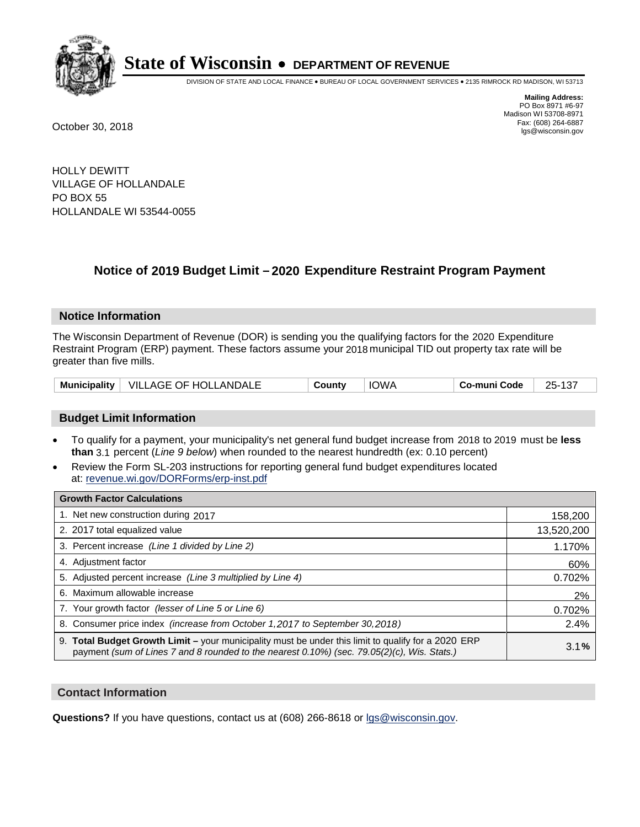

DIVISION OF STATE AND LOCAL FINANCE • BUREAU OF LOCAL GOVERNMENT SERVICES • 2135 RIMROCK RD MADISON, WI 53713

**Mailing Address:** PO Box 8971 #6-97 Madison WI 53708-8971<br>Fax: (608) 264-6887 Fax: (608) 264-6887 October 30, 2018 lgs@wisconsin.gov

HOLLY DEWITT VILLAGE OF HOLLANDALE PO BOX 55 HOLLANDALE WI 53544-0055

### **Notice of 2019 Budget Limit - 2020 Expenditure Restraint Program Payment**

#### **Notice Information**

The Wisconsin Department of Revenue (DOR) is sending you the qualifying factors for the 2020 Expenditure Restraint Program (ERP) payment. These factors assume your 2018 municipal TID out property tax rate will be greater than five mills.

|  | Municipality   VILLAGE OF HOLLANDALE | County | IOWA | <b>Co-muni Code</b> | $\sim$<br>$25-1$<br>. د ۱ |
|--|--------------------------------------|--------|------|---------------------|---------------------------|
|--|--------------------------------------|--------|------|---------------------|---------------------------|

#### **Budget Limit Information**

- To qualify for a payment, your municipality's net general fund budget increase from 2018 to 2019 must be less **than** 3.1 percent (*Line 9 below*) when rounded to the nearest hundredth (ex: 0.10 percent)
- Review the Form SL-203 instructions for reporting general fund budget expenditures located at: revenue.wi.gov/DORForms/erp-inst.pdf

| <b>Growth Factor Calculations</b>                                                                                                                                                                      |            |
|--------------------------------------------------------------------------------------------------------------------------------------------------------------------------------------------------------|------------|
| 1. Net new construction during 2017                                                                                                                                                                    | 158,200    |
| 2. 2017 total equalized value                                                                                                                                                                          | 13,520,200 |
| 3. Percent increase (Line 1 divided by Line 2)                                                                                                                                                         | 1.170%     |
| 4. Adjustment factor                                                                                                                                                                                   | 60%        |
| 5. Adjusted percent increase (Line 3 multiplied by Line 4)                                                                                                                                             | 0.702%     |
| 6. Maximum allowable increase                                                                                                                                                                          | 2%         |
| 7. Your growth factor (lesser of Line 5 or Line 6)                                                                                                                                                     | 0.702%     |
| 8. Consumer price index (increase from October 1, 2017 to September 30, 2018)                                                                                                                          | 2.4%       |
| 9. Total Budget Growth Limit - your municipality must be under this limit to qualify for a 2020 ERP<br>payment (sum of Lines 7 and 8 rounded to the nearest $0.10\%$ ) (sec. 79.05(2)(c), Wis. Stats.) | 3.1%       |

#### **Contact Information**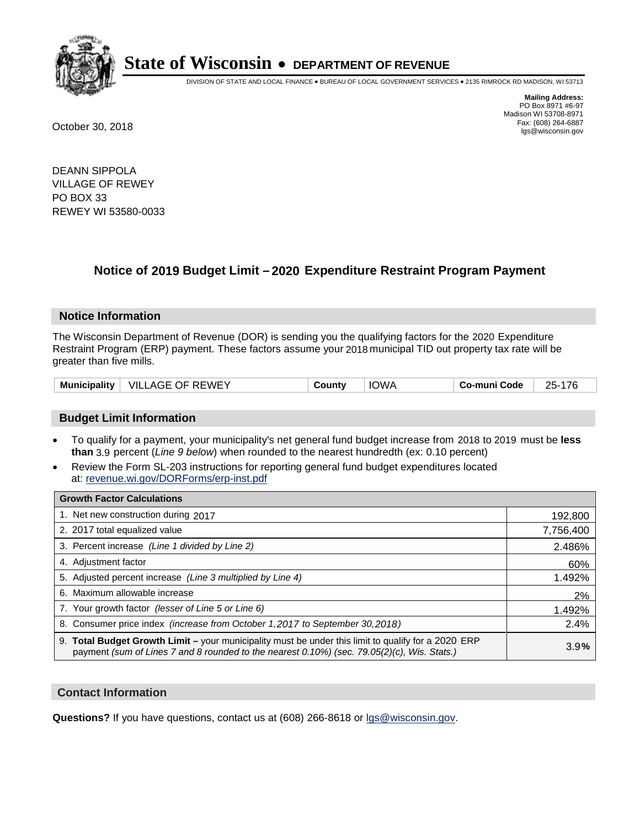

DIVISION OF STATE AND LOCAL FINANCE • BUREAU OF LOCAL GOVERNMENT SERVICES • 2135 RIMROCK RD MADISON, WI 53713

**Mailing Address:** PO Box 8971 #6-97 Madison WI 53708-8971<br>Fax: (608) 264-6887 Fax: (608) 264-6887 October 30, 2018 lgs@wisconsin.gov

DEANN SIPPOLA VILLAGE OF REWEY PO BOX 33 REWEY WI 53580-0033

### **Notice of 2019 Budget Limit - 2020 Expenditure Restraint Program Payment**

#### **Notice Information**

The Wisconsin Department of Revenue (DOR) is sending you the qualifying factors for the 2020 Expenditure Restraint Program (ERP) payment. These factors assume your 2018 municipal TID out property tax rate will be greater than five mills.

|  | Municipality   VILLAGE OF REWEY | County | <b>IOWA</b> | Co-muni Code | 25-176 |
|--|---------------------------------|--------|-------------|--------------|--------|
|--|---------------------------------|--------|-------------|--------------|--------|

#### **Budget Limit Information**

- To qualify for a payment, your municipality's net general fund budget increase from 2018 to 2019 must be less **than** 3.9 percent (*Line 9 below*) when rounded to the nearest hundredth (ex: 0.10 percent)
- Review the Form SL-203 instructions for reporting general fund budget expenditures located at: revenue.wi.gov/DORForms/erp-inst.pdf

| <b>Growth Factor Calculations</b>                                                                                                                                                                      |           |
|--------------------------------------------------------------------------------------------------------------------------------------------------------------------------------------------------------|-----------|
| 1. Net new construction during 2017                                                                                                                                                                    | 192,800   |
| 2. 2017 total equalized value                                                                                                                                                                          | 7,756,400 |
| 3. Percent increase (Line 1 divided by Line 2)                                                                                                                                                         | 2.486%    |
| 4. Adjustment factor                                                                                                                                                                                   | 60%       |
| 5. Adjusted percent increase (Line 3 multiplied by Line 4)                                                                                                                                             | 1.492%    |
| 6. Maximum allowable increase                                                                                                                                                                          | 2%        |
| 7. Your growth factor (lesser of Line 5 or Line 6)                                                                                                                                                     | 1.492%    |
| 8. Consumer price index (increase from October 1, 2017 to September 30, 2018)                                                                                                                          | 2.4%      |
| 9. Total Budget Growth Limit - your municipality must be under this limit to qualify for a 2020 ERP<br>payment (sum of Lines 7 and 8 rounded to the nearest $0.10\%$ ) (sec. 79.05(2)(c), Wis. Stats.) | 3.9%      |

#### **Contact Information**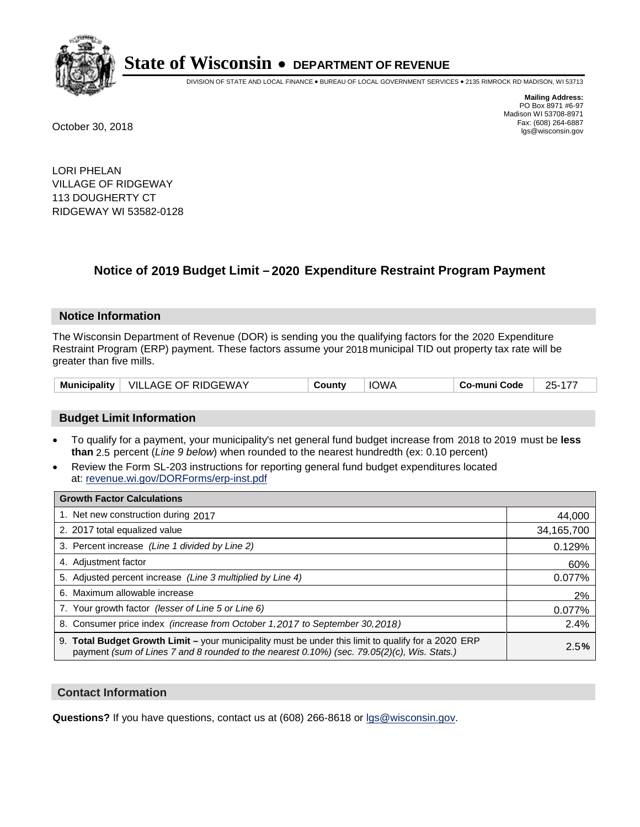

DIVISION OF STATE AND LOCAL FINANCE • BUREAU OF LOCAL GOVERNMENT SERVICES • 2135 RIMROCK RD MADISON, WI 53713

**Mailing Address:** PO Box 8971 #6-97 Madison WI 53708-8971<br>Fax: (608) 264-6887 Fax: (608) 264-6887 October 30, 2018 lgs@wisconsin.gov

LORI PHELAN VILLAGE OF RIDGEWAY 113 DOUGHERTY CT RIDGEWAY WI 53582-0128

### **Notice of 2019 Budget Limit - 2020 Expenditure Restraint Program Payment**

#### **Notice Information**

The Wisconsin Department of Revenue (DOR) is sending you the qualifying factors for the 2020 Expenditure Restraint Program (ERP) payment. These factors assume your 2018 municipal TID out property tax rate will be greater than five mills.

| VILLAGE OF RIDGEWAY<br><b>Municipality</b> | County | <b>IOWA</b> | Co-muni Code | 25-177 |
|--------------------------------------------|--------|-------------|--------------|--------|
|--------------------------------------------|--------|-------------|--------------|--------|

#### **Budget Limit Information**

- To qualify for a payment, your municipality's net general fund budget increase from 2018 to 2019 must be less **than** 2.5 percent (*Line 9 below*) when rounded to the nearest hundredth (ex: 0.10 percent)
- Review the Form SL-203 instructions for reporting general fund budget expenditures located at: revenue.wi.gov/DORForms/erp-inst.pdf

| <b>Growth Factor Calculations</b>                                                                                                                                                                      |            |
|--------------------------------------------------------------------------------------------------------------------------------------------------------------------------------------------------------|------------|
| 1. Net new construction during 2017                                                                                                                                                                    | 44,000     |
| 2. 2017 total equalized value                                                                                                                                                                          | 34,165,700 |
| 3. Percent increase (Line 1 divided by Line 2)                                                                                                                                                         | 0.129%     |
| 4. Adjustment factor                                                                                                                                                                                   | 60%        |
| 5. Adjusted percent increase (Line 3 multiplied by Line 4)                                                                                                                                             | 0.077%     |
| 6. Maximum allowable increase                                                                                                                                                                          | 2%         |
| 7. Your growth factor (lesser of Line 5 or Line 6)                                                                                                                                                     | 0.077%     |
| 8. Consumer price index (increase from October 1, 2017 to September 30, 2018)                                                                                                                          | 2.4%       |
| 9. Total Budget Growth Limit - your municipality must be under this limit to qualify for a 2020 ERP<br>payment (sum of Lines 7 and 8 rounded to the nearest $0.10\%$ ) (sec. 79.05(2)(c), Wis. Stats.) | 2.5%       |

#### **Contact Information**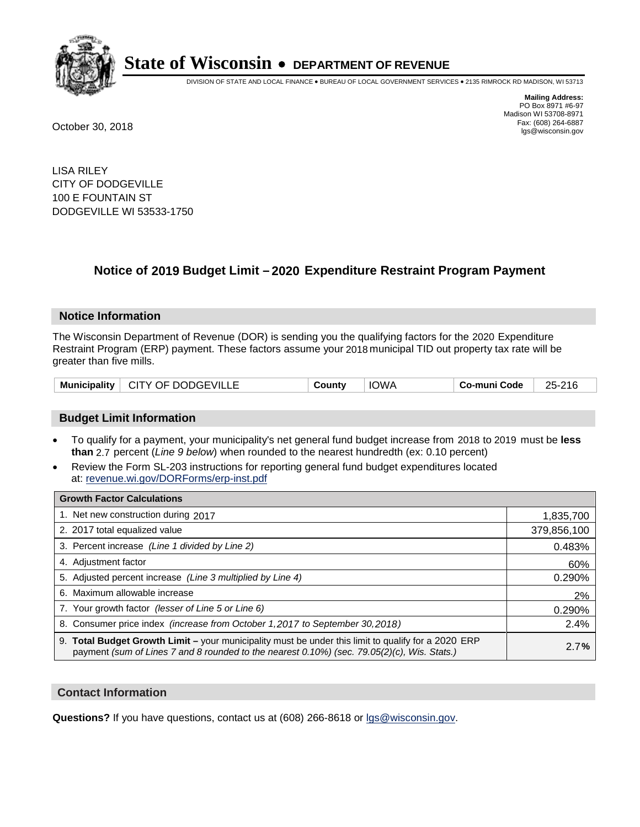

DIVISION OF STATE AND LOCAL FINANCE • BUREAU OF LOCAL GOVERNMENT SERVICES • 2135 RIMROCK RD MADISON, WI 53713

**Mailing Address:** PO Box 8971 #6-97 Madison WI 53708-8971<br>Fax: (608) 264-6887 Fax: (608) 264-6887 October 30, 2018 lgs@wisconsin.gov

LISA RILEY CITY OF DODGEVILLE 100 E FOUNTAIN ST DODGEVILLE WI 53533-1750

### **Notice of 2019 Budget Limit - 2020 Expenditure Restraint Program Payment**

#### **Notice Information**

The Wisconsin Department of Revenue (DOR) is sending you the qualifying factors for the 2020 Expenditure Restraint Program (ERP) payment. These factors assume your 2018 municipal TID out property tax rate will be greater than five mills.

| Municipality   CITY OF DODGEVILLE | County | <b>IOWA</b> | Co-muni Code | 25-216 |
|-----------------------------------|--------|-------------|--------------|--------|
|-----------------------------------|--------|-------------|--------------|--------|

#### **Budget Limit Information**

- To qualify for a payment, your municipality's net general fund budget increase from 2018 to 2019 must be less **than** 2.7 percent (*Line 9 below*) when rounded to the nearest hundredth (ex: 0.10 percent)
- Review the Form SL-203 instructions for reporting general fund budget expenditures located at: revenue.wi.gov/DORForms/erp-inst.pdf

| <b>Growth Factor Calculations</b>                                                                                                                                                                      |             |
|--------------------------------------------------------------------------------------------------------------------------------------------------------------------------------------------------------|-------------|
| 1. Net new construction during 2017                                                                                                                                                                    | 1,835,700   |
| 2. 2017 total equalized value                                                                                                                                                                          | 379,856,100 |
| 3. Percent increase (Line 1 divided by Line 2)                                                                                                                                                         | 0.483%      |
| 4. Adjustment factor                                                                                                                                                                                   | 60%         |
| 5. Adjusted percent increase (Line 3 multiplied by Line 4)                                                                                                                                             | 0.290%      |
| 6. Maximum allowable increase                                                                                                                                                                          | 2%          |
| 7. Your growth factor (lesser of Line 5 or Line 6)                                                                                                                                                     | 0.290%      |
| 8. Consumer price index (increase from October 1, 2017 to September 30, 2018)                                                                                                                          | 2.4%        |
| 9. Total Budget Growth Limit - your municipality must be under this limit to qualify for a 2020 ERP<br>payment (sum of Lines 7 and 8 rounded to the nearest $0.10\%$ ) (sec. 79.05(2)(c), Wis. Stats.) | 2.7%        |

#### **Contact Information**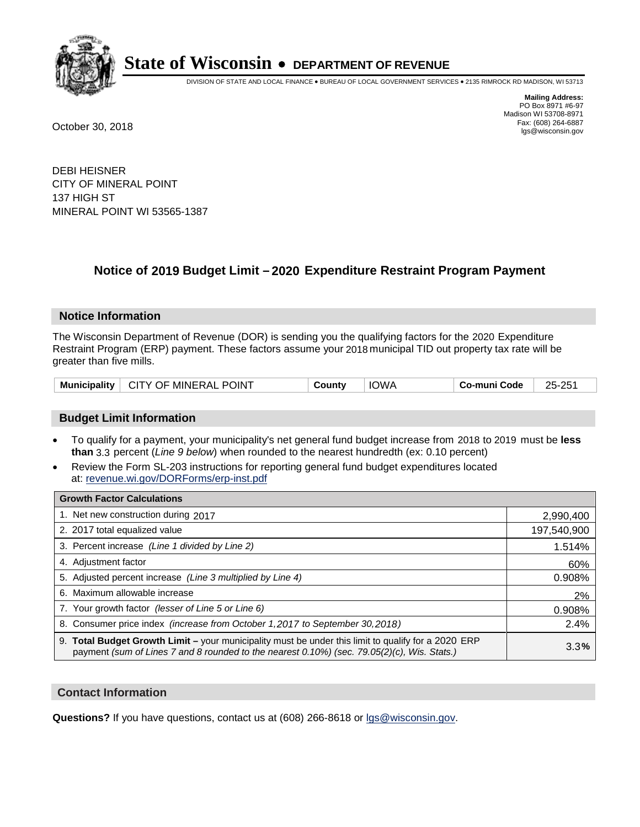

DIVISION OF STATE AND LOCAL FINANCE • BUREAU OF LOCAL GOVERNMENT SERVICES • 2135 RIMROCK RD MADISON, WI 53713

**Mailing Address:** PO Box 8971 #6-97 Madison WI 53708-8971<br>Fax: (608) 264-6887 Fax: (608) 264-6887 October 30, 2018 lgs@wisconsin.gov

DEBI HEISNER CITY OF MINERAL POINT 137 HIGH ST MINERAL POINT WI 53565-1387

## **Notice of 2019 Budget Limit - 2020 Expenditure Restraint Program Payment**

#### **Notice Information**

The Wisconsin Department of Revenue (DOR) is sending you the qualifying factors for the 2020 Expenditure Restraint Program (ERP) payment. These factors assume your 2018 municipal TID out property tax rate will be greater than five mills.

|  | Municipality   CITY OF MINERAL POINT | County | <b>IOWA</b> | Co-muni Code | 25-251 |
|--|--------------------------------------|--------|-------------|--------------|--------|
|--|--------------------------------------|--------|-------------|--------------|--------|

#### **Budget Limit Information**

- To qualify for a payment, your municipality's net general fund budget increase from 2018 to 2019 must be less **than** 3.3 percent (*Line 9 below*) when rounded to the nearest hundredth (ex: 0.10 percent)
- Review the Form SL-203 instructions for reporting general fund budget expenditures located at: revenue.wi.gov/DORForms/erp-inst.pdf

| <b>Growth Factor Calculations</b>                                                                                                                                                                  |             |
|----------------------------------------------------------------------------------------------------------------------------------------------------------------------------------------------------|-------------|
| 1. Net new construction during 2017                                                                                                                                                                | 2,990,400   |
| 2. 2017 total equalized value                                                                                                                                                                      | 197,540,900 |
| 3. Percent increase (Line 1 divided by Line 2)                                                                                                                                                     | 1.514%      |
| 4. Adjustment factor                                                                                                                                                                               | 60%         |
| 5. Adjusted percent increase (Line 3 multiplied by Line 4)                                                                                                                                         | 0.908%      |
| 6. Maximum allowable increase                                                                                                                                                                      | 2%          |
| 7. Your growth factor (lesser of Line 5 or Line 6)                                                                                                                                                 | 0.908%      |
| 8. Consumer price index (increase from October 1,2017 to September 30,2018)                                                                                                                        | 2.4%        |
| 9. Total Budget Growth Limit - your municipality must be under this limit to qualify for a 2020 ERP<br>payment (sum of Lines 7 and 8 rounded to the nearest 0.10%) (sec. 79.05(2)(c), Wis. Stats.) | 3.3%        |

#### **Contact Information**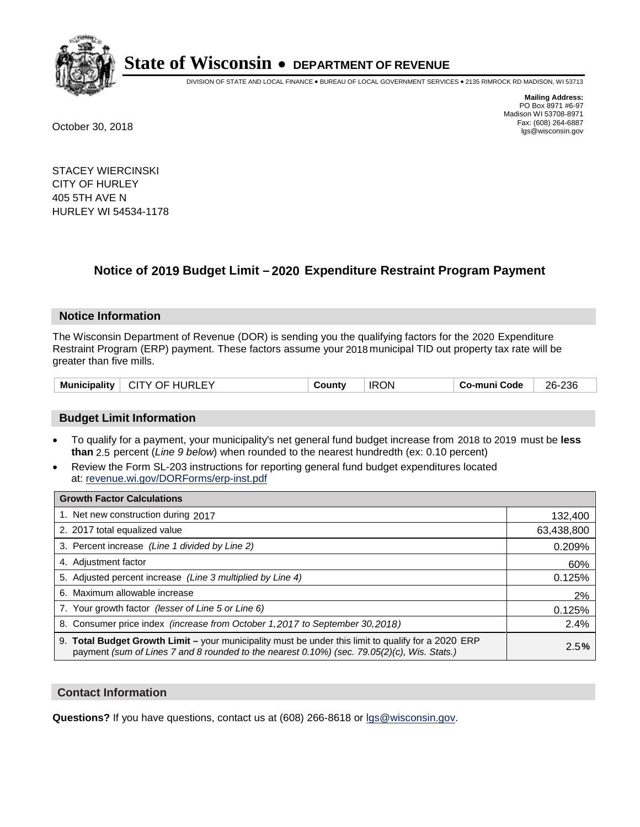

DIVISION OF STATE AND LOCAL FINANCE • BUREAU OF LOCAL GOVERNMENT SERVICES • 2135 RIMROCK RD MADISON, WI 53713

**Mailing Address:** PO Box 8971 #6-97 Madison WI 53708-8971<br>Fax: (608) 264-6887 Fax: (608) 264-6887 October 30, 2018 lgs@wisconsin.gov

STACEY WIERCINSKI CITY OF HURLEY 405 5TH AVE N HURLEY WI 54534-1178

### **Notice of 2019 Budget Limit - 2020 Expenditure Restraint Program Payment**

#### **Notice Information**

The Wisconsin Department of Revenue (DOR) is sending you the qualifying factors for the 2020 Expenditure Restraint Program (ERP) payment. These factors assume your 2018 municipal TID out property tax rate will be greater than five mills.

| <b>Municipality</b><br>CITY OF HURLEY | County | <b>IRON</b> | Co-muni Code | 26-236 |
|---------------------------------------|--------|-------------|--------------|--------|
|---------------------------------------|--------|-------------|--------------|--------|

#### **Budget Limit Information**

- To qualify for a payment, your municipality's net general fund budget increase from 2018 to 2019 must be less **than** 2.5 percent (*Line 9 below*) when rounded to the nearest hundredth (ex: 0.10 percent)
- Review the Form SL-203 instructions for reporting general fund budget expenditures located at: revenue.wi.gov/DORForms/erp-inst.pdf

| <b>Growth Factor Calculations</b>                                                                                                                                                                  |            |
|----------------------------------------------------------------------------------------------------------------------------------------------------------------------------------------------------|------------|
| 1. Net new construction during 2017                                                                                                                                                                | 132,400    |
| 2. 2017 total equalized value                                                                                                                                                                      | 63,438,800 |
| 3. Percent increase (Line 1 divided by Line 2)                                                                                                                                                     | 0.209%     |
| 4. Adjustment factor                                                                                                                                                                               | 60%        |
| 5. Adjusted percent increase (Line 3 multiplied by Line 4)                                                                                                                                         | 0.125%     |
| 6. Maximum allowable increase                                                                                                                                                                      | 2%         |
| 7. Your growth factor (lesser of Line 5 or Line 6)                                                                                                                                                 | 0.125%     |
| 8. Consumer price index (increase from October 1, 2017 to September 30, 2018)                                                                                                                      | 2.4%       |
| 9. Total Budget Growth Limit - your municipality must be under this limit to qualify for a 2020 ERP<br>payment (sum of Lines 7 and 8 rounded to the nearest 0.10%) (sec. 79.05(2)(c), Wis. Stats.) | 2.5%       |

#### **Contact Information**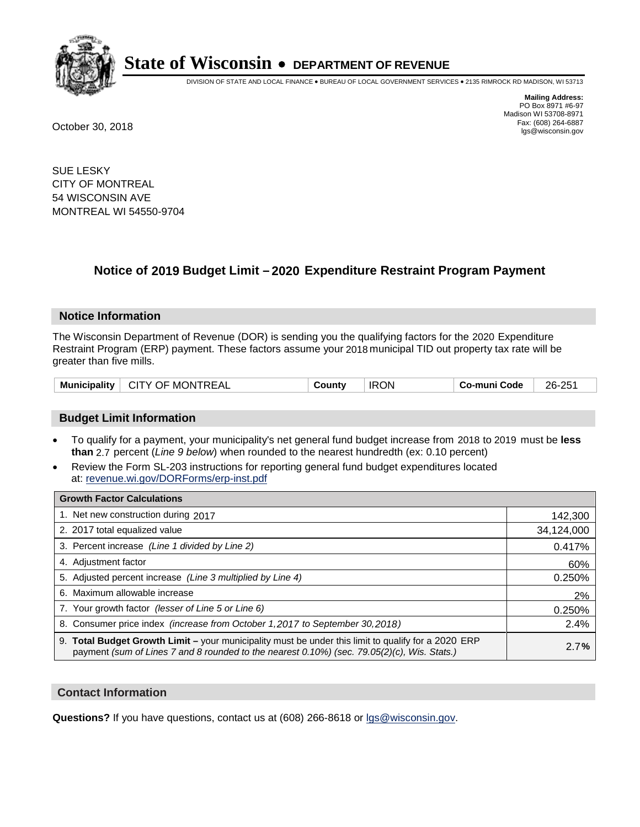

DIVISION OF STATE AND LOCAL FINANCE • BUREAU OF LOCAL GOVERNMENT SERVICES • 2135 RIMROCK RD MADISON, WI 53713

**Mailing Address:** PO Box 8971 #6-97 Madison WI 53708-8971<br>Fax: (608) 264-6887 Fax: (608) 264-6887 October 30, 2018 lgs@wisconsin.gov

SUE LESKY CITY OF MONTREAL 54 WISCONSIN AVE MONTREAL WI 54550-9704

## **Notice of 2019 Budget Limit - 2020 Expenditure Restraint Program Payment**

#### **Notice Information**

The Wisconsin Department of Revenue (DOR) is sending you the qualifying factors for the 2020 Expenditure Restraint Program (ERP) payment. These factors assume your 2018 municipal TID out property tax rate will be greater than five mills.

| <b>Municipality</b> | └ CITY OF MONTREAL | County | <b>IRON</b> | Co-muni Code | 26-251 |
|---------------------|--------------------|--------|-------------|--------------|--------|
|---------------------|--------------------|--------|-------------|--------------|--------|

#### **Budget Limit Information**

- To qualify for a payment, your municipality's net general fund budget increase from 2018 to 2019 must be less **than** 2.7 percent (*Line 9 below*) when rounded to the nearest hundredth (ex: 0.10 percent)
- Review the Form SL-203 instructions for reporting general fund budget expenditures located at: revenue.wi.gov/DORForms/erp-inst.pdf

| <b>Growth Factor Calculations</b>                                                                                                                                                                      |            |
|--------------------------------------------------------------------------------------------------------------------------------------------------------------------------------------------------------|------------|
| 1. Net new construction during 2017                                                                                                                                                                    | 142,300    |
| 2. 2017 total equalized value                                                                                                                                                                          | 34,124,000 |
| 3. Percent increase (Line 1 divided by Line 2)                                                                                                                                                         | 0.417%     |
| 4. Adjustment factor                                                                                                                                                                                   | 60%        |
| 5. Adjusted percent increase (Line 3 multiplied by Line 4)                                                                                                                                             | 0.250%     |
| 6. Maximum allowable increase                                                                                                                                                                          | 2%         |
| 7. Your growth factor (lesser of Line 5 or Line 6)                                                                                                                                                     | 0.250%     |
| 8. Consumer price index (increase from October 1,2017 to September 30,2018)                                                                                                                            | 2.4%       |
| 9. Total Budget Growth Limit - your municipality must be under this limit to qualify for a 2020 ERP<br>payment (sum of Lines 7 and 8 rounded to the nearest $0.10\%$ ) (sec. 79.05(2)(c), Wis. Stats.) | 2.7%       |

#### **Contact Information**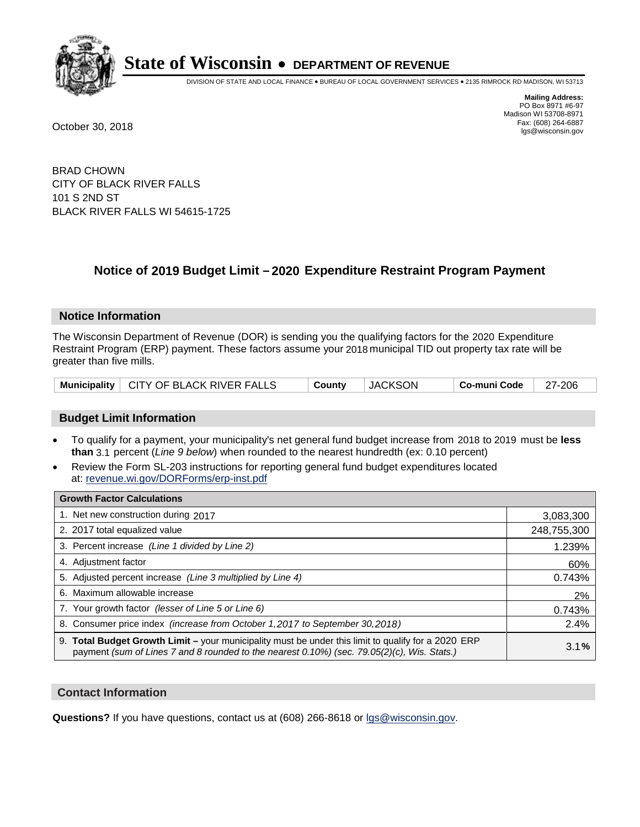

DIVISION OF STATE AND LOCAL FINANCE • BUREAU OF LOCAL GOVERNMENT SERVICES • 2135 RIMROCK RD MADISON, WI 53713

**Mailing Address:** PO Box 8971 #6-97 Madison WI 53708-8971<br>Fax: (608) 264-6887 Fax: (608) 264-6887 October 30, 2018 lgs@wisconsin.gov

BRAD CHOWN CITY OF BLACK RIVER FALLS 101 S 2ND ST BLACK RIVER FALLS WI 54615-1725

### **Notice of 2019 Budget Limit - 2020 Expenditure Restraint Program Payment**

#### **Notice Information**

The Wisconsin Department of Revenue (DOR) is sending you the qualifying factors for the 2020 Expenditure Restraint Program (ERP) payment. These factors assume your 2018 municipal TID out property tax rate will be greater than five mills.

|  | Municipality   CITY OF BLACK RIVER FALLS | Countv | JACKSON | $\vert$ Co-muni Code $\vert$ 27-206 |  |
|--|------------------------------------------|--------|---------|-------------------------------------|--|
|--|------------------------------------------|--------|---------|-------------------------------------|--|

#### **Budget Limit Information**

- To qualify for a payment, your municipality's net general fund budget increase from 2018 to 2019 must be less **than** 3.1 percent (*Line 9 below*) when rounded to the nearest hundredth (ex: 0.10 percent)
- Review the Form SL-203 instructions for reporting general fund budget expenditures located at: revenue.wi.gov/DORForms/erp-inst.pdf

| <b>Growth Factor Calculations</b>                                                                                                                                                                      |             |
|--------------------------------------------------------------------------------------------------------------------------------------------------------------------------------------------------------|-------------|
| 1. Net new construction during 2017                                                                                                                                                                    | 3,083,300   |
| 2. 2017 total equalized value                                                                                                                                                                          | 248,755,300 |
| 3. Percent increase (Line 1 divided by Line 2)                                                                                                                                                         | 1.239%      |
| 4. Adjustment factor                                                                                                                                                                                   | 60%         |
| 5. Adjusted percent increase (Line 3 multiplied by Line 4)                                                                                                                                             | 0.743%      |
| 6. Maximum allowable increase                                                                                                                                                                          | 2%          |
| 7. Your growth factor (lesser of Line 5 or Line 6)                                                                                                                                                     | 0.743%      |
| 8. Consumer price index (increase from October 1,2017 to September 30,2018)                                                                                                                            | 2.4%        |
| 9. Total Budget Growth Limit - your municipality must be under this limit to qualify for a 2020 ERP<br>payment (sum of Lines 7 and 8 rounded to the nearest $0.10\%$ ) (sec. 79.05(2)(c), Wis. Stats.) | 3.1%        |

#### **Contact Information**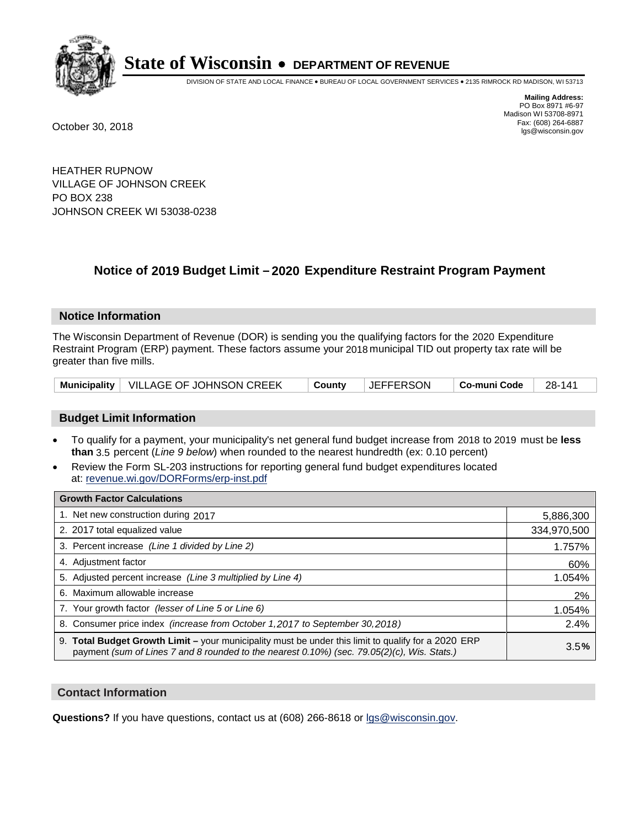

DIVISION OF STATE AND LOCAL FINANCE • BUREAU OF LOCAL GOVERNMENT SERVICES • 2135 RIMROCK RD MADISON, WI 53713

**Mailing Address:** PO Box 8971 #6-97 Madison WI 53708-8971<br>Fax: (608) 264-6887 Fax: (608) 264-6887 October 30, 2018 lgs@wisconsin.gov

HEATHER RUPNOW VILLAGE OF JOHNSON CREEK PO BOX 238 JOHNSON CREEK WI 53038-0238

### **Notice of 2019 Budget Limit - 2020 Expenditure Restraint Program Payment**

#### **Notice Information**

The Wisconsin Department of Revenue (DOR) is sending you the qualifying factors for the 2020 Expenditure Restraint Program (ERP) payment. These factors assume your 2018 municipal TID out property tax rate will be greater than five mills.

| Municipality   VILLAGE OF JOHNSON CREEK<br>∣ County | <b>JEFFERSON</b><br>$\vert$ Co-muni Code $\vert$ 28-141 |  |
|-----------------------------------------------------|---------------------------------------------------------|--|
|-----------------------------------------------------|---------------------------------------------------------|--|

#### **Budget Limit Information**

- To qualify for a payment, your municipality's net general fund budget increase from 2018 to 2019 must be less **than** 3.5 percent (*Line 9 below*) when rounded to the nearest hundredth (ex: 0.10 percent)
- Review the Form SL-203 instructions for reporting general fund budget expenditures located at: revenue.wi.gov/DORForms/erp-inst.pdf

| <b>Growth Factor Calculations</b>                                                                                                                                                                      |             |
|--------------------------------------------------------------------------------------------------------------------------------------------------------------------------------------------------------|-------------|
| 1. Net new construction during 2017                                                                                                                                                                    | 5,886,300   |
| 2. 2017 total equalized value                                                                                                                                                                          | 334,970,500 |
| 3. Percent increase (Line 1 divided by Line 2)                                                                                                                                                         | 1.757%      |
| 4. Adjustment factor                                                                                                                                                                                   | 60%         |
| 5. Adjusted percent increase (Line 3 multiplied by Line 4)                                                                                                                                             | 1.054%      |
| 6. Maximum allowable increase                                                                                                                                                                          | 2%          |
| 7. Your growth factor (lesser of Line 5 or Line 6)                                                                                                                                                     | 1.054%      |
| 8. Consumer price index (increase from October 1,2017 to September 30,2018)                                                                                                                            | 2.4%        |
| 9. Total Budget Growth Limit - your municipality must be under this limit to qualify for a 2020 ERP<br>payment (sum of Lines 7 and 8 rounded to the nearest $0.10\%$ ) (sec. 79.05(2)(c), Wis. Stats.) | 3.5%        |

#### **Contact Information**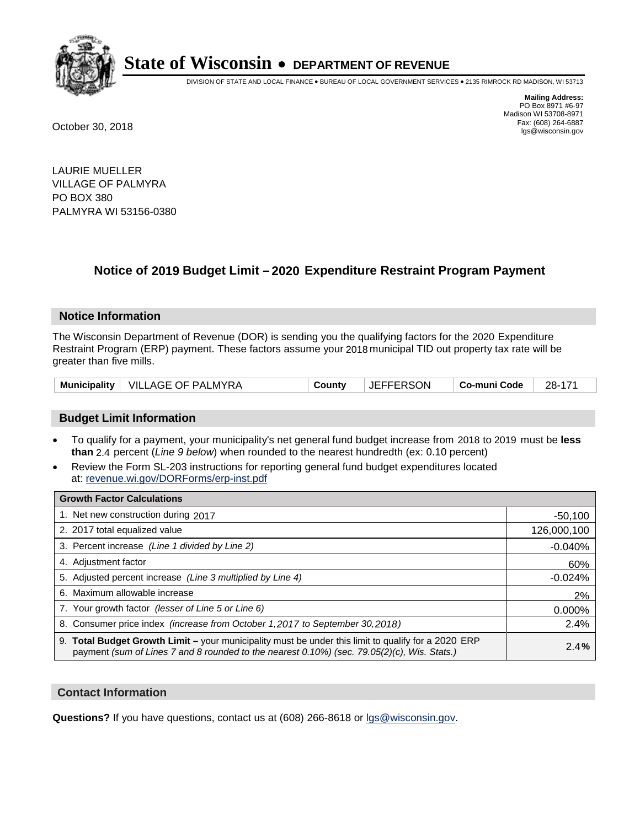

DIVISION OF STATE AND LOCAL FINANCE • BUREAU OF LOCAL GOVERNMENT SERVICES • 2135 RIMROCK RD MADISON, WI 53713

**Mailing Address:** PO Box 8971 #6-97 Madison WI 53708-8971<br>Fax: (608) 264-6887 Fax: (608) 264-6887 October 30, 2018 lgs@wisconsin.gov

LAURIE MUELLER VILLAGE OF PALMYRA PO BOX 380 PALMYRA WI 53156-0380

## **Notice of 2019 Budget Limit - 2020 Expenditure Restraint Program Payment**

#### **Notice Information**

The Wisconsin Department of Revenue (DOR) is sending you the qualifying factors for the 2020 Expenditure Restraint Program (ERP) payment. These factors assume your 2018 municipal TID out property tax rate will be greater than five mills.

|  | Municipality   VILLAGE OF PALMYRA | Countv | <b>JEFFERSON</b> | ∣ Co-muni Code | 28-171 |
|--|-----------------------------------|--------|------------------|----------------|--------|
|--|-----------------------------------|--------|------------------|----------------|--------|

#### **Budget Limit Information**

- To qualify for a payment, your municipality's net general fund budget increase from 2018 to 2019 must be less **than** 2.4 percent (*Line 9 below*) when rounded to the nearest hundredth (ex: 0.10 percent)
- Review the Form SL-203 instructions for reporting general fund budget expenditures located at: revenue.wi.gov/DORForms/erp-inst.pdf

| <b>Growth Factor Calculations</b>                                                                                                                                                                      |             |
|--------------------------------------------------------------------------------------------------------------------------------------------------------------------------------------------------------|-------------|
| 1. Net new construction during 2017                                                                                                                                                                    | $-50,100$   |
| 2. 2017 total equalized value                                                                                                                                                                          | 126,000,100 |
| 3. Percent increase (Line 1 divided by Line 2)                                                                                                                                                         | $-0.040%$   |
| 4. Adjustment factor                                                                                                                                                                                   | 60%         |
| 5. Adjusted percent increase (Line 3 multiplied by Line 4)                                                                                                                                             | $-0.024%$   |
| 6. Maximum allowable increase                                                                                                                                                                          | 2%          |
| 7. Your growth factor (lesser of Line 5 or Line 6)                                                                                                                                                     | 0.000%      |
| 8. Consumer price index (increase from October 1,2017 to September 30,2018)                                                                                                                            | 2.4%        |
| 9. Total Budget Growth Limit - your municipality must be under this limit to qualify for a 2020 ERP<br>payment (sum of Lines 7 and 8 rounded to the nearest $0.10\%$ ) (sec. 79.05(2)(c), Wis. Stats.) | 2.4%        |

#### **Contact Information**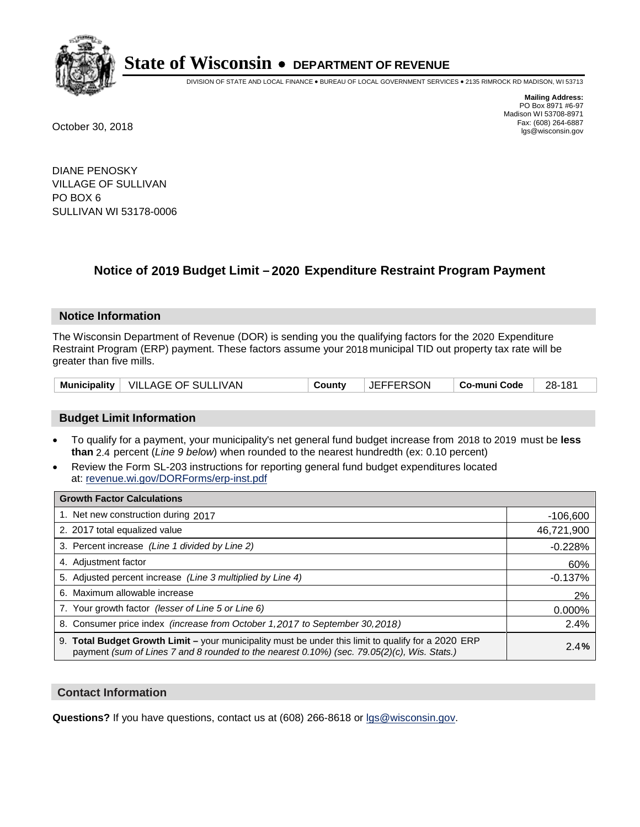

DIVISION OF STATE AND LOCAL FINANCE • BUREAU OF LOCAL GOVERNMENT SERVICES • 2135 RIMROCK RD MADISON, WI 53713

**Mailing Address:** PO Box 8971 #6-97 Madison WI 53708-8971<br>Fax: (608) 264-6887 Fax: (608) 264-6887 October 30, 2018 lgs@wisconsin.gov

DIANE PENOSKY VILLAGE OF SULLIVAN PO BOX 6 SULLIVAN WI 53178-0006

### **Notice of 2019 Budget Limit - 2020 Expenditure Restraint Program Payment**

#### **Notice Information**

The Wisconsin Department of Revenue (DOR) is sending you the qualifying factors for the 2020 Expenditure Restraint Program (ERP) payment. These factors assume your 2018 municipal TID out property tax rate will be greater than five mills.

|  | Municipality   VILLAGE OF SULLIVAN | Countv | <b>JEFFERSON</b> | Co-muni Code | 28-181 |
|--|------------------------------------|--------|------------------|--------------|--------|
|--|------------------------------------|--------|------------------|--------------|--------|

#### **Budget Limit Information**

- To qualify for a payment, your municipality's net general fund budget increase from 2018 to 2019 must be less **than** 2.4 percent (*Line 9 below*) when rounded to the nearest hundredth (ex: 0.10 percent)
- Review the Form SL-203 instructions for reporting general fund budget expenditures located at: revenue.wi.gov/DORForms/erp-inst.pdf

| <b>Growth Factor Calculations</b>                                                                                                                                                                      |            |
|--------------------------------------------------------------------------------------------------------------------------------------------------------------------------------------------------------|------------|
| 1. Net new construction during 2017                                                                                                                                                                    | $-106,600$ |
| 2. 2017 total equalized value                                                                                                                                                                          | 46,721,900 |
| 3. Percent increase (Line 1 divided by Line 2)                                                                                                                                                         | $-0.228%$  |
| 4. Adjustment factor                                                                                                                                                                                   | 60%        |
| 5. Adjusted percent increase (Line 3 multiplied by Line 4)                                                                                                                                             | $-0.137%$  |
| 6. Maximum allowable increase                                                                                                                                                                          | 2%         |
| 7. Your growth factor (lesser of Line 5 or Line 6)                                                                                                                                                     | 0.000%     |
| 8. Consumer price index (increase from October 1,2017 to September 30,2018)                                                                                                                            | 2.4%       |
| 9. Total Budget Growth Limit - your municipality must be under this limit to qualify for a 2020 ERP<br>payment (sum of Lines 7 and 8 rounded to the nearest $0.10\%$ ) (sec. 79.05(2)(c), Wis. Stats.) | 2.4%       |

#### **Contact Information**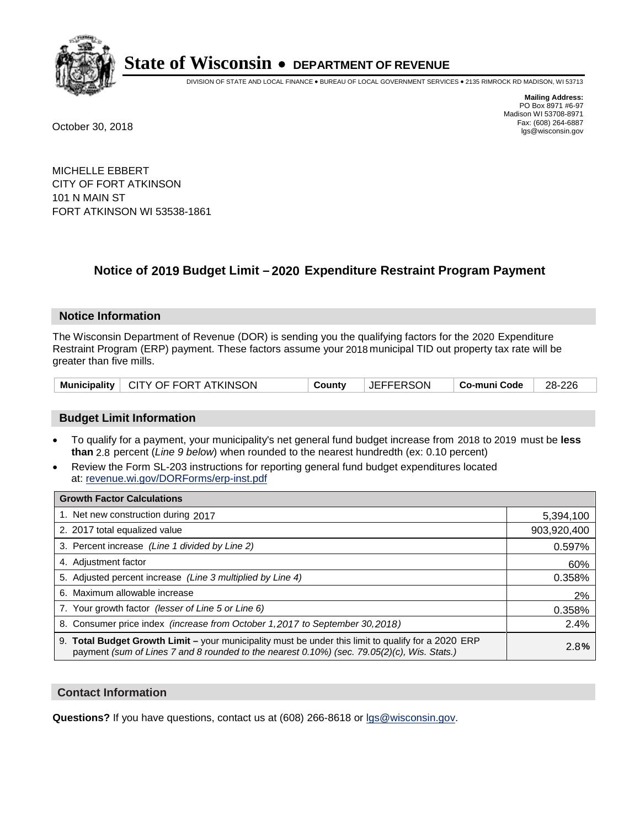

DIVISION OF STATE AND LOCAL FINANCE • BUREAU OF LOCAL GOVERNMENT SERVICES • 2135 RIMROCK RD MADISON, WI 53713

**Mailing Address:** PO Box 8971 #6-97 Madison WI 53708-8971<br>Fax: (608) 264-6887 Fax: (608) 264-6887 October 30, 2018 lgs@wisconsin.gov

MICHELLE EBBERT CITY OF FORT ATKINSON 101 N MAIN ST FORT ATKINSON WI 53538-1861

## **Notice of 2019 Budget Limit - 2020 Expenditure Restraint Program Payment**

#### **Notice Information**

The Wisconsin Department of Revenue (DOR) is sending you the qualifying factors for the 2020 Expenditure Restraint Program (ERP) payment. These factors assume your 2018 municipal TID out property tax rate will be greater than five mills.

|  | Municipality   CITY OF FORT ATKINSON | County | <b>JEFFERSON</b> | │ Co-muni Code │ | $\vert$ 28-226 |
|--|--------------------------------------|--------|------------------|------------------|----------------|
|--|--------------------------------------|--------|------------------|------------------|----------------|

#### **Budget Limit Information**

- To qualify for a payment, your municipality's net general fund budget increase from 2018 to 2019 must be less **than** 2.8 percent (*Line 9 below*) when rounded to the nearest hundredth (ex: 0.10 percent)
- Review the Form SL-203 instructions for reporting general fund budget expenditures located at: revenue.wi.gov/DORForms/erp-inst.pdf

| <b>Growth Factor Calculations</b>                                                                                                                                                                      |             |
|--------------------------------------------------------------------------------------------------------------------------------------------------------------------------------------------------------|-------------|
| 1. Net new construction during 2017                                                                                                                                                                    | 5,394,100   |
| 2. 2017 total equalized value                                                                                                                                                                          | 903,920,400 |
| 3. Percent increase (Line 1 divided by Line 2)                                                                                                                                                         | 0.597%      |
| 4. Adjustment factor                                                                                                                                                                                   | 60%         |
| 5. Adjusted percent increase (Line 3 multiplied by Line 4)                                                                                                                                             | 0.358%      |
| 6. Maximum allowable increase                                                                                                                                                                          | 2%          |
| 7. Your growth factor (lesser of Line 5 or Line 6)                                                                                                                                                     | 0.358%      |
| 8. Consumer price index (increase from October 1,2017 to September 30,2018)                                                                                                                            | 2.4%        |
| 9. Total Budget Growth Limit - your municipality must be under this limit to qualify for a 2020 ERP<br>payment (sum of Lines 7 and 8 rounded to the nearest $0.10\%$ ) (sec. 79.05(2)(c), Wis. Stats.) | 2.8%        |

#### **Contact Information**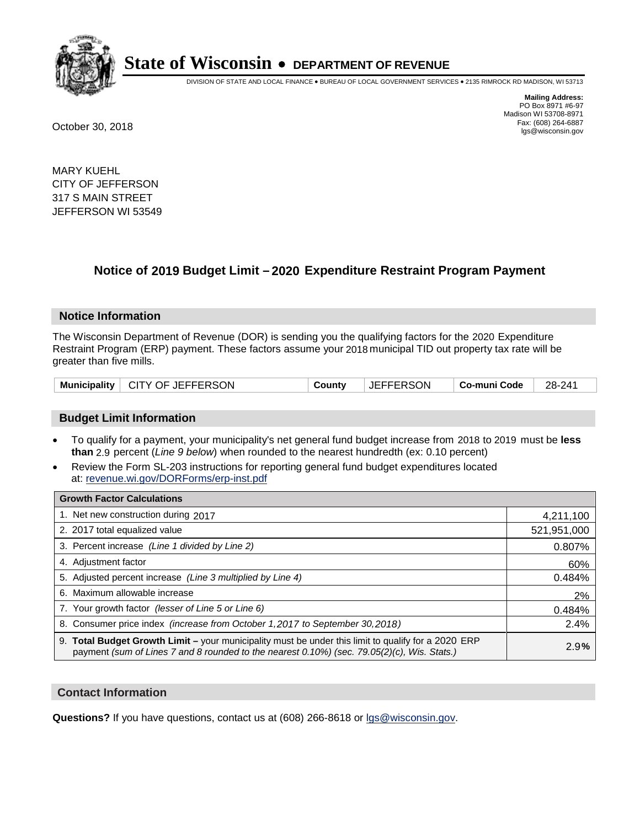

DIVISION OF STATE AND LOCAL FINANCE • BUREAU OF LOCAL GOVERNMENT SERVICES • 2135 RIMROCK RD MADISON, WI 53713

**Mailing Address:** PO Box 8971 #6-97 Madison WI 53708-8971<br>Fax: (608) 264-6887 Fax: (608) 264-6887 October 30, 2018 lgs@wisconsin.gov

MARY KUEHL CITY OF JEFFERSON 317 S MAIN STREET JEFFERSON WI 53549

### **Notice of 2019 Budget Limit - 2020 Expenditure Restraint Program Payment**

#### **Notice Information**

The Wisconsin Department of Revenue (DOR) is sending you the qualifying factors for the 2020 Expenditure Restraint Program (ERP) payment. These factors assume your 2018 municipal TID out property tax rate will be greater than five mills.

#### **Budget Limit Information**

- To qualify for a payment, your municipality's net general fund budget increase from 2018 to 2019 must be less **than** 2.9 percent (*Line 9 below*) when rounded to the nearest hundredth (ex: 0.10 percent)
- Review the Form SL-203 instructions for reporting general fund budget expenditures located at: revenue.wi.gov/DORForms/erp-inst.pdf

| <b>Growth Factor Calculations</b>                                                                                                                                                                      |             |
|--------------------------------------------------------------------------------------------------------------------------------------------------------------------------------------------------------|-------------|
| 1. Net new construction during 2017                                                                                                                                                                    | 4,211,100   |
| 2. 2017 total equalized value                                                                                                                                                                          | 521,951,000 |
| 3. Percent increase (Line 1 divided by Line 2)                                                                                                                                                         | 0.807%      |
| 4. Adjustment factor                                                                                                                                                                                   | 60%         |
| 5. Adjusted percent increase (Line 3 multiplied by Line 4)                                                                                                                                             | 0.484%      |
| 6. Maximum allowable increase                                                                                                                                                                          | 2%          |
| 7. Your growth factor (lesser of Line 5 or Line 6)                                                                                                                                                     | 0.484%      |
| 8. Consumer price index (increase from October 1,2017 to September 30,2018)                                                                                                                            | 2.4%        |
| 9. Total Budget Growth Limit - your municipality must be under this limit to qualify for a 2020 ERP<br>payment (sum of Lines 7 and 8 rounded to the nearest $0.10\%$ ) (sec. 79.05(2)(c), Wis. Stats.) | 2.9%        |

#### **Contact Information**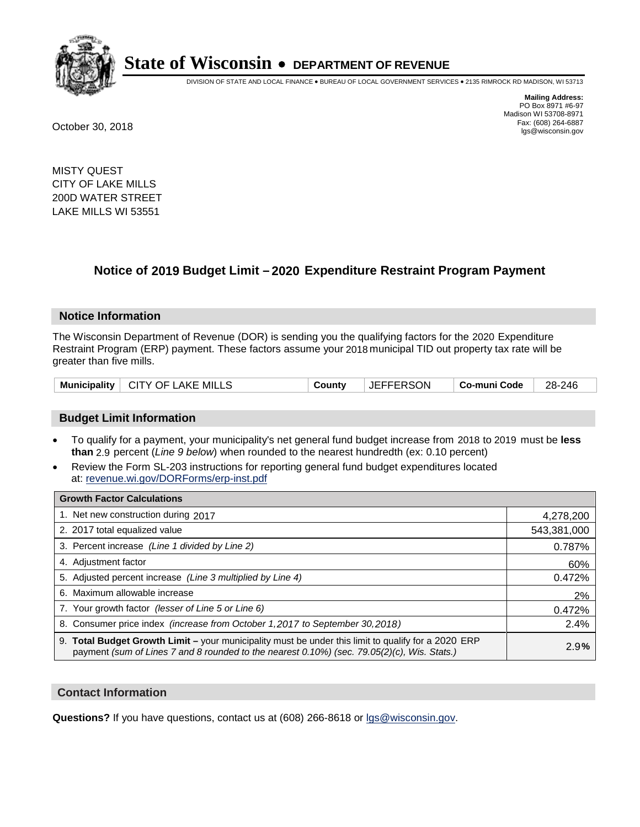

DIVISION OF STATE AND LOCAL FINANCE • BUREAU OF LOCAL GOVERNMENT SERVICES • 2135 RIMROCK RD MADISON, WI 53713

**Mailing Address:** PO Box 8971 #6-97 Madison WI 53708-8971<br>Fax: (608) 264-6887 Fax: (608) 264-6887 October 30, 2018 lgs@wisconsin.gov

MISTY QUEST CITY OF LAKE MILLS 200D WATER STREET LAKE MILLS WI 53551

### **Notice of 2019 Budget Limit - 2020 Expenditure Restraint Program Payment**

#### **Notice Information**

The Wisconsin Department of Revenue (DOR) is sending you the qualifying factors for the 2020 Expenditure Restraint Program (ERP) payment. These factors assume your 2018 municipal TID out property tax rate will be greater than five mills.

| Municipality   CITY OF LAKE MILLS | County | <b>JEFFERSON</b> | ∣ Co-muni Code | 28-246 |
|-----------------------------------|--------|------------------|----------------|--------|
|-----------------------------------|--------|------------------|----------------|--------|

#### **Budget Limit Information**

- To qualify for a payment, your municipality's net general fund budget increase from 2018 to 2019 must be less **than** 2.9 percent (*Line 9 below*) when rounded to the nearest hundredth (ex: 0.10 percent)
- Review the Form SL-203 instructions for reporting general fund budget expenditures located at: revenue.wi.gov/DORForms/erp-inst.pdf

| <b>Growth Factor Calculations</b>                                                                                                                                                                      |             |
|--------------------------------------------------------------------------------------------------------------------------------------------------------------------------------------------------------|-------------|
| 1. Net new construction during 2017                                                                                                                                                                    | 4,278,200   |
| 2. 2017 total equalized value                                                                                                                                                                          | 543,381,000 |
| 3. Percent increase (Line 1 divided by Line 2)                                                                                                                                                         | 0.787%      |
| 4. Adjustment factor                                                                                                                                                                                   | 60%         |
| 5. Adjusted percent increase (Line 3 multiplied by Line 4)                                                                                                                                             | 0.472%      |
| 6. Maximum allowable increase                                                                                                                                                                          | 2%          |
| 7. Your growth factor (lesser of Line 5 or Line 6)                                                                                                                                                     | 0.472%      |
| 8. Consumer price index (increase from October 1,2017 to September 30,2018)                                                                                                                            | 2.4%        |
| 9. Total Budget Growth Limit - your municipality must be under this limit to qualify for a 2020 ERP<br>payment (sum of Lines 7 and 8 rounded to the nearest $0.10\%$ ) (sec. 79.05(2)(c), Wis. Stats.) | 2.9%        |

#### **Contact Information**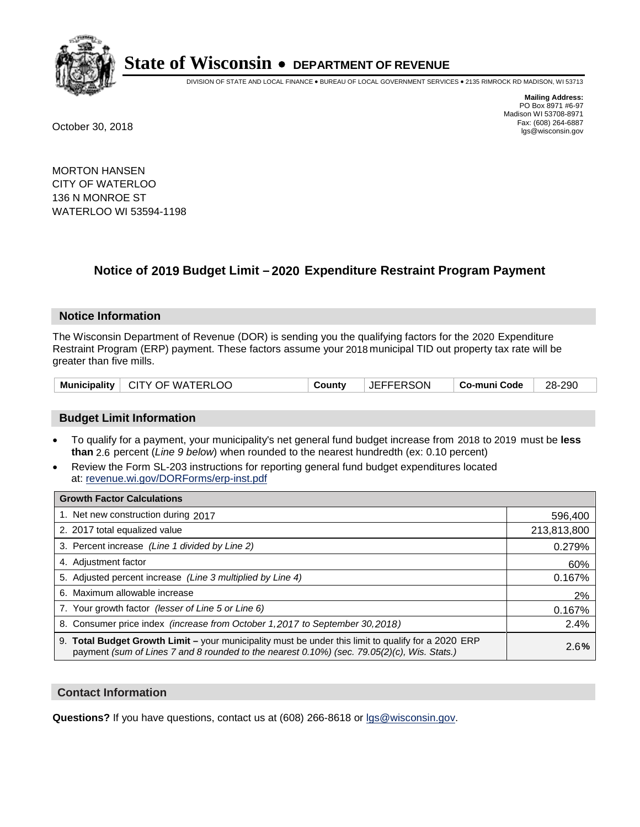

DIVISION OF STATE AND LOCAL FINANCE • BUREAU OF LOCAL GOVERNMENT SERVICES • 2135 RIMROCK RD MADISON, WI 53713

**Mailing Address:** PO Box 8971 #6-97 Madison WI 53708-8971<br>Fax: (608) 264-6887 Fax: (608) 264-6887 October 30, 2018 lgs@wisconsin.gov

MORTON HANSEN CITY OF WATERLOO 136 N MONROE ST WATERLOO WI 53594-1198

## **Notice of 2019 Budget Limit - 2020 Expenditure Restraint Program Payment**

#### **Notice Information**

The Wisconsin Department of Revenue (DOR) is sending you the qualifying factors for the 2020 Expenditure Restraint Program (ERP) payment. These factors assume your 2018 municipal TID out property tax rate will be greater than five mills.

| Municipality   CITY OF WATERLOO | County | <b>JEFFERSON</b> | Co-muni Code | 28-290 |
|---------------------------------|--------|------------------|--------------|--------|
|---------------------------------|--------|------------------|--------------|--------|

#### **Budget Limit Information**

- To qualify for a payment, your municipality's net general fund budget increase from 2018 to 2019 must be less **than** 2.6 percent (*Line 9 below*) when rounded to the nearest hundredth (ex: 0.10 percent)
- Review the Form SL-203 instructions for reporting general fund budget expenditures located at: revenue.wi.gov/DORForms/erp-inst.pdf

| <b>Growth Factor Calculations</b>                                                                                                                                                                      |             |
|--------------------------------------------------------------------------------------------------------------------------------------------------------------------------------------------------------|-------------|
| 1. Net new construction during 2017                                                                                                                                                                    | 596,400     |
| 2. 2017 total equalized value                                                                                                                                                                          | 213,813,800 |
| 3. Percent increase (Line 1 divided by Line 2)                                                                                                                                                         | 0.279%      |
| 4. Adjustment factor                                                                                                                                                                                   | 60%         |
| 5. Adjusted percent increase (Line 3 multiplied by Line 4)                                                                                                                                             | 0.167%      |
| 6. Maximum allowable increase                                                                                                                                                                          | 2%          |
| 7. Your growth factor (lesser of Line 5 or Line 6)                                                                                                                                                     | 0.167%      |
| 8. Consumer price index (increase from October 1,2017 to September 30,2018)                                                                                                                            | 2.4%        |
| 9. Total Budget Growth Limit - your municipality must be under this limit to qualify for a 2020 ERP<br>payment (sum of Lines 7 and 8 rounded to the nearest $0.10\%$ ) (sec. 79.05(2)(c), Wis. Stats.) | 2.6%        |

#### **Contact Information**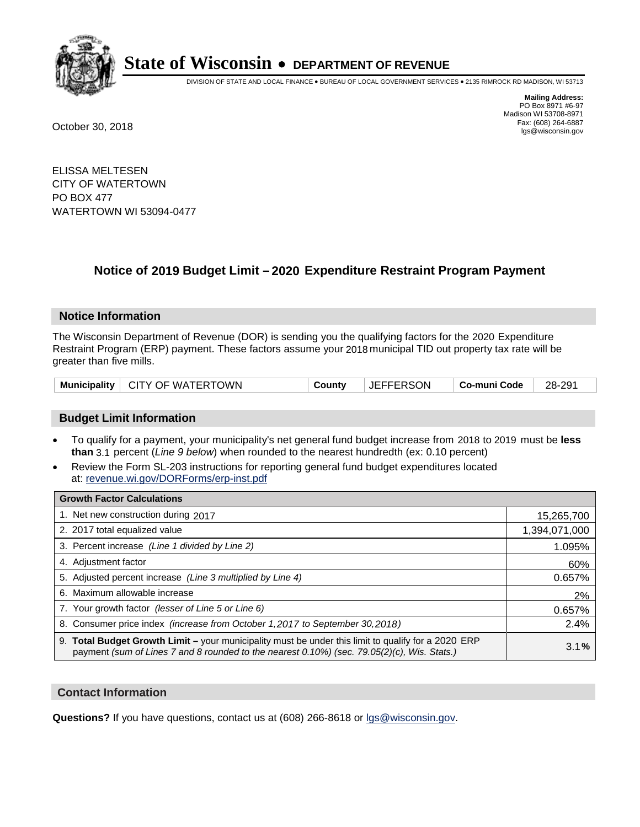

DIVISION OF STATE AND LOCAL FINANCE • BUREAU OF LOCAL GOVERNMENT SERVICES • 2135 RIMROCK RD MADISON, WI 53713

**Mailing Address:** PO Box 8971 #6-97 Madison WI 53708-8971<br>Fax: (608) 264-6887 Fax: (608) 264-6887 October 30, 2018 lgs@wisconsin.gov

ELISSA MELTESEN CITY OF WATERTOWN PO BOX 477 WATERTOWN WI 53094-0477

## **Notice of 2019 Budget Limit - 2020 Expenditure Restraint Program Payment**

#### **Notice Information**

The Wisconsin Department of Revenue (DOR) is sending you the qualifying factors for the 2020 Expenditure Restraint Program (ERP) payment. These factors assume your 2018 municipal TID out property tax rate will be greater than five mills.

|  | Municipality   CITY OF WATERTOWN | Countv | <b>JEFFERSON</b> | ⊺ Co-muni Code | 28-291 |
|--|----------------------------------|--------|------------------|----------------|--------|
|--|----------------------------------|--------|------------------|----------------|--------|

#### **Budget Limit Information**

- To qualify for a payment, your municipality's net general fund budget increase from 2018 to 2019 must be less **than** 3.1 percent (*Line 9 below*) when rounded to the nearest hundredth (ex: 0.10 percent)
- Review the Form SL-203 instructions for reporting general fund budget expenditures located at: revenue.wi.gov/DORForms/erp-inst.pdf

| <b>Growth Factor Calculations</b>                                                                                                                                                                      |               |
|--------------------------------------------------------------------------------------------------------------------------------------------------------------------------------------------------------|---------------|
| 1. Net new construction during 2017                                                                                                                                                                    | 15,265,700    |
| 2. 2017 total equalized value                                                                                                                                                                          | 1,394,071,000 |
| 3. Percent increase (Line 1 divided by Line 2)                                                                                                                                                         | 1.095%        |
| 4. Adjustment factor                                                                                                                                                                                   | 60%           |
| 5. Adjusted percent increase (Line 3 multiplied by Line 4)                                                                                                                                             | 0.657%        |
| 6. Maximum allowable increase                                                                                                                                                                          | 2%            |
| 7. Your growth factor (lesser of Line 5 or Line 6)                                                                                                                                                     | 0.657%        |
| 8. Consumer price index (increase from October 1,2017 to September 30,2018)                                                                                                                            | 2.4%          |
| 9. Total Budget Growth Limit - your municipality must be under this limit to qualify for a 2020 ERP<br>payment (sum of Lines 7 and 8 rounded to the nearest $0.10\%$ ) (sec. 79.05(2)(c), Wis. Stats.) | 3.1%          |

#### **Contact Information**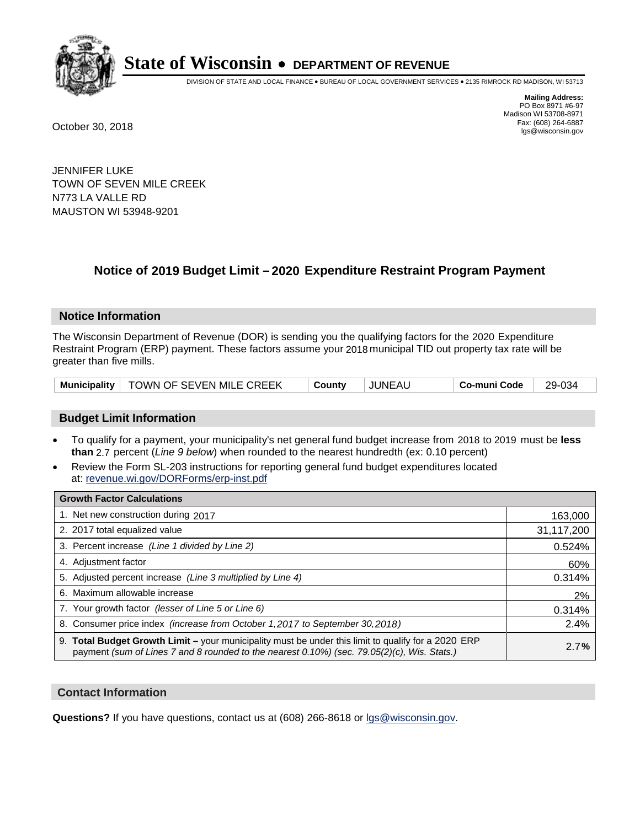

DIVISION OF STATE AND LOCAL FINANCE • BUREAU OF LOCAL GOVERNMENT SERVICES • 2135 RIMROCK RD MADISON, WI 53713

**Mailing Address:** PO Box 8971 #6-97 Madison WI 53708-8971<br>Fax: (608) 264-6887 Fax: (608) 264-6887 October 30, 2018 lgs@wisconsin.gov

JENNIFER LUKE TOWN OF SEVEN MILE CREEK N773 LA VALLE RD MAUSTON WI 53948-9201

## **Notice of 2019 Budget Limit - 2020 Expenditure Restraint Program Payment**

#### **Notice Information**

The Wisconsin Department of Revenue (DOR) is sending you the qualifying factors for the 2020 Expenditure Restraint Program (ERP) payment. These factors assume your 2018 municipal TID out property tax rate will be greater than five mills.

|  | Municipality   TOWN OF SEVEN MILE CREEK | Countv | <b>JUNEAU</b> | Co-muni Code | 29-034 |
|--|-----------------------------------------|--------|---------------|--------------|--------|
|--|-----------------------------------------|--------|---------------|--------------|--------|

#### **Budget Limit Information**

- To qualify for a payment, your municipality's net general fund budget increase from 2018 to 2019 must be less **than** 2.7 percent (*Line 9 below*) when rounded to the nearest hundredth (ex: 0.10 percent)
- Review the Form SL-203 instructions for reporting general fund budget expenditures located at: revenue.wi.gov/DORForms/erp-inst.pdf

| <b>Growth Factor Calculations</b>                                                                                                                                                                      |            |
|--------------------------------------------------------------------------------------------------------------------------------------------------------------------------------------------------------|------------|
| 1. Net new construction during 2017                                                                                                                                                                    | 163,000    |
| 2. 2017 total equalized value                                                                                                                                                                          | 31,117,200 |
| 3. Percent increase (Line 1 divided by Line 2)                                                                                                                                                         | 0.524%     |
| 4. Adjustment factor                                                                                                                                                                                   | 60%        |
| 5. Adjusted percent increase (Line 3 multiplied by Line 4)                                                                                                                                             | 0.314%     |
| 6. Maximum allowable increase                                                                                                                                                                          | 2%         |
| 7. Your growth factor (lesser of Line 5 or Line 6)                                                                                                                                                     | 0.314%     |
| 8. Consumer price index (increase from October 1, 2017 to September 30, 2018)                                                                                                                          | 2.4%       |
| 9. Total Budget Growth Limit - your municipality must be under this limit to qualify for a 2020 ERP<br>payment (sum of Lines 7 and 8 rounded to the nearest $0.10\%$ ) (sec. 79.05(2)(c), Wis. Stats.) | 2.7%       |

#### **Contact Information**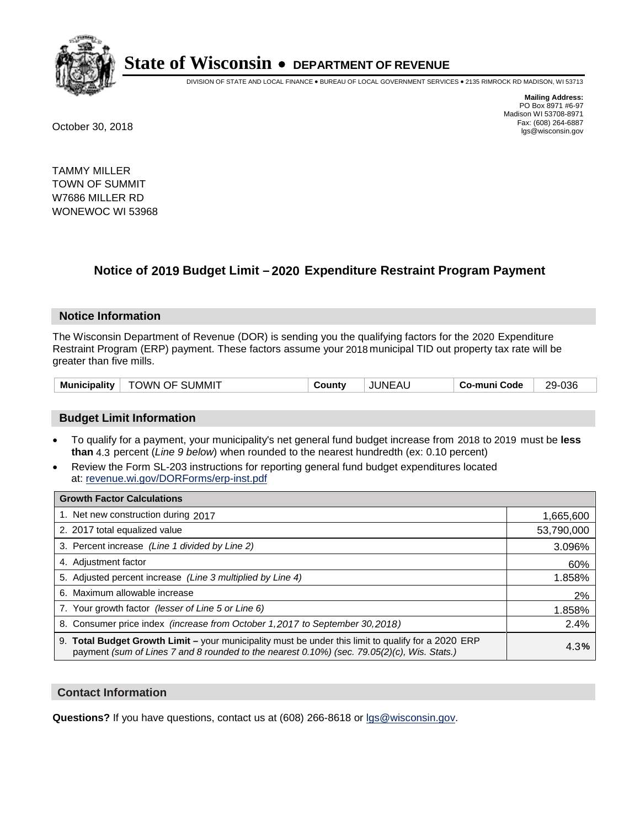

DIVISION OF STATE AND LOCAL FINANCE • BUREAU OF LOCAL GOVERNMENT SERVICES • 2135 RIMROCK RD MADISON, WI 53713

**Mailing Address:** PO Box 8971 #6-97 Madison WI 53708-8971<br>Fax: (608) 264-6887 Fax: (608) 264-6887 October 30, 2018 lgs@wisconsin.gov

TAMMY MILLER TOWN OF SUMMIT W7686 MILLER RD WONEWOC WI 53968

## **Notice of 2019 Budget Limit - 2020 Expenditure Restraint Program Payment**

#### **Notice Information**

The Wisconsin Department of Revenue (DOR) is sending you the qualifying factors for the 2020 Expenditure Restraint Program (ERP) payment. These factors assume your 2018 municipal TID out property tax rate will be greater than five mills.

| <b>TOWN OF SUMMIT</b><br>Municipality | County | <b>JUNEAU</b> | Co-muni Code | 29-036 |
|---------------------------------------|--------|---------------|--------------|--------|
|---------------------------------------|--------|---------------|--------------|--------|

#### **Budget Limit Information**

- To qualify for a payment, your municipality's net general fund budget increase from 2018 to 2019 must be less **than** 4.3 percent (*Line 9 below*) when rounded to the nearest hundredth (ex: 0.10 percent)
- Review the Form SL-203 instructions for reporting general fund budget expenditures located at: revenue.wi.gov/DORForms/erp-inst.pdf

| <b>Growth Factor Calculations</b>                                                                                                                                                                      |            |
|--------------------------------------------------------------------------------------------------------------------------------------------------------------------------------------------------------|------------|
| 1. Net new construction during 2017                                                                                                                                                                    | 1,665,600  |
| 2. 2017 total equalized value                                                                                                                                                                          | 53,790,000 |
| 3. Percent increase (Line 1 divided by Line 2)                                                                                                                                                         | 3.096%     |
| 4. Adjustment factor                                                                                                                                                                                   | 60%        |
| 5. Adjusted percent increase (Line 3 multiplied by Line 4)                                                                                                                                             | 1.858%     |
| 6. Maximum allowable increase                                                                                                                                                                          | 2%         |
| 7. Your growth factor (lesser of Line 5 or Line 6)                                                                                                                                                     | 1.858%     |
| 8. Consumer price index (increase from October 1,2017 to September 30,2018)                                                                                                                            | 2.4%       |
| 9. Total Budget Growth Limit - your municipality must be under this limit to qualify for a 2020 ERP<br>payment (sum of Lines 7 and 8 rounded to the nearest $0.10\%$ ) (sec. 79.05(2)(c), Wis. Stats.) | 4.3%       |

#### **Contact Information**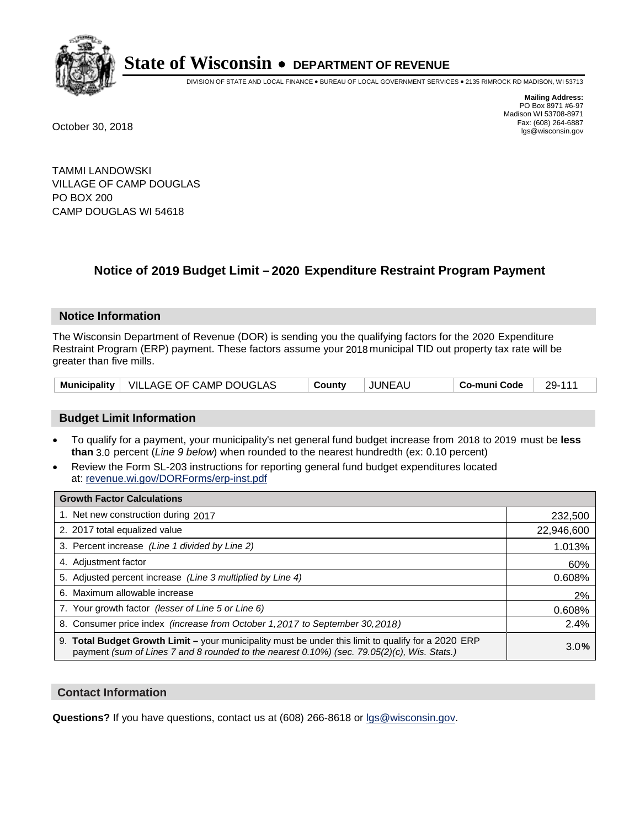

DIVISION OF STATE AND LOCAL FINANCE • BUREAU OF LOCAL GOVERNMENT SERVICES • 2135 RIMROCK RD MADISON, WI 53713

**Mailing Address:** PO Box 8971 #6-97 Madison WI 53708-8971<br>Fax: (608) 264-6887 Fax: (608) 264-6887 October 30, 2018 lgs@wisconsin.gov

TAMMI LANDOWSKI VILLAGE OF CAMP DOUGLAS PO BOX 200 CAMP DOUGLAS WI 54618

## **Notice of 2019 Budget Limit - 2020 Expenditure Restraint Program Payment**

#### **Notice Information**

The Wisconsin Department of Revenue (DOR) is sending you the qualifying factors for the 2020 Expenditure Restraint Program (ERP) payment. These factors assume your 2018 municipal TID out property tax rate will be greater than five mills.

| Municipality   VILLAGE OF CAMP DOUGLAS | Countv | <b>JUNEAU</b> | Co-muni Code | 29-111 |
|----------------------------------------|--------|---------------|--------------|--------|
|----------------------------------------|--------|---------------|--------------|--------|

#### **Budget Limit Information**

- To qualify for a payment, your municipality's net general fund budget increase from 2018 to 2019 must be less **than** 3.0 percent (*Line 9 below*) when rounded to the nearest hundredth (ex: 0.10 percent)
- Review the Form SL-203 instructions for reporting general fund budget expenditures located at: revenue.wi.gov/DORForms/erp-inst.pdf

| <b>Growth Factor Calculations</b>                                                                                                                                                                      |            |
|--------------------------------------------------------------------------------------------------------------------------------------------------------------------------------------------------------|------------|
| 1. Net new construction during 2017                                                                                                                                                                    | 232,500    |
| 2. 2017 total equalized value                                                                                                                                                                          | 22,946,600 |
| 3. Percent increase (Line 1 divided by Line 2)                                                                                                                                                         | 1.013%     |
| 4. Adjustment factor                                                                                                                                                                                   | 60%        |
| 5. Adjusted percent increase (Line 3 multiplied by Line 4)                                                                                                                                             | 0.608%     |
| 6. Maximum allowable increase                                                                                                                                                                          | 2%         |
| 7. Your growth factor (lesser of Line 5 or Line 6)                                                                                                                                                     | 0.608%     |
| 8. Consumer price index (increase from October 1,2017 to September 30,2018)                                                                                                                            | 2.4%       |
| 9. Total Budget Growth Limit - your municipality must be under this limit to qualify for a 2020 ERP<br>payment (sum of Lines 7 and 8 rounded to the nearest $0.10\%$ ) (sec. 79.05(2)(c), Wis. Stats.) | 3.0%       |

#### **Contact Information**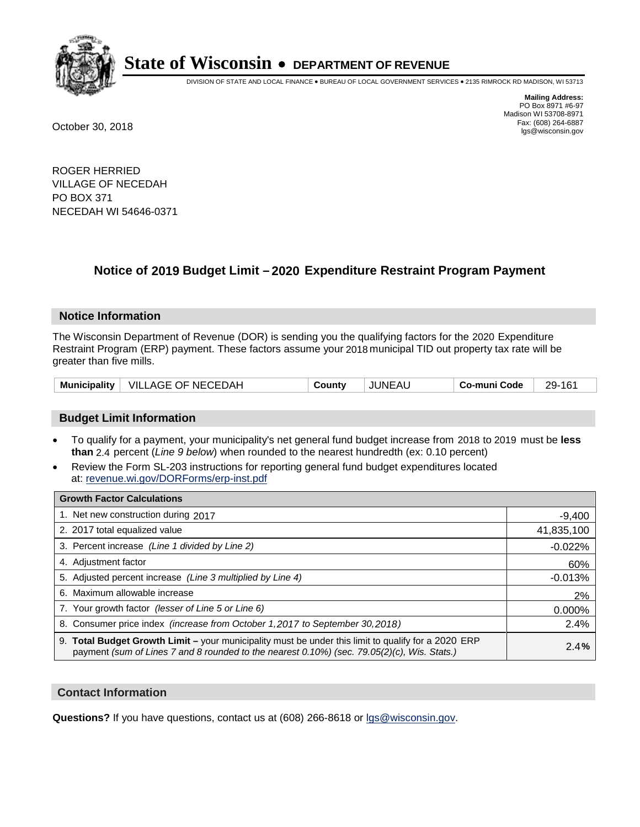

DIVISION OF STATE AND LOCAL FINANCE • BUREAU OF LOCAL GOVERNMENT SERVICES • 2135 RIMROCK RD MADISON, WI 53713

**Mailing Address:** PO Box 8971 #6-97 Madison WI 53708-8971<br>Fax: (608) 264-6887 Fax: (608) 264-6887 October 30, 2018 lgs@wisconsin.gov

ROGER HERRIED VILLAGE OF NECEDAH PO BOX 371 NECEDAH WI 54646-0371

### **Notice of 2019 Budget Limit - 2020 Expenditure Restraint Program Payment**

#### **Notice Information**

The Wisconsin Department of Revenue (DOR) is sending you the qualifying factors for the 2020 Expenditure Restraint Program (ERP) payment. These factors assume your 2018 municipal TID out property tax rate will be greater than five mills.

| <b>Municipality</b> | VILLAGE OF NECEDAH | County | JUNEAU | Co-muni Code | 29-161 |
|---------------------|--------------------|--------|--------|--------------|--------|
|---------------------|--------------------|--------|--------|--------------|--------|

#### **Budget Limit Information**

- To qualify for a payment, your municipality's net general fund budget increase from 2018 to 2019 must be less **than** 2.4 percent (*Line 9 below*) when rounded to the nearest hundredth (ex: 0.10 percent)
- Review the Form SL-203 instructions for reporting general fund budget expenditures located at: revenue.wi.gov/DORForms/erp-inst.pdf

| <b>Growth Factor Calculations</b>                                                                                                                                                                  |            |
|----------------------------------------------------------------------------------------------------------------------------------------------------------------------------------------------------|------------|
| 1. Net new construction during 2017                                                                                                                                                                | $-9,400$   |
| 2. 2017 total equalized value                                                                                                                                                                      | 41,835,100 |
| 3. Percent increase (Line 1 divided by Line 2)                                                                                                                                                     | $-0.022%$  |
| 4. Adjustment factor                                                                                                                                                                               | 60%        |
| 5. Adjusted percent increase (Line 3 multiplied by Line 4)                                                                                                                                         | $-0.013%$  |
| 6. Maximum allowable increase                                                                                                                                                                      | 2%         |
| 7. Your growth factor (lesser of Line 5 or Line 6)                                                                                                                                                 | 0.000%     |
| 8. Consumer price index (increase from October 1, 2017 to September 30, 2018)                                                                                                                      | 2.4%       |
| 9. Total Budget Growth Limit - your municipality must be under this limit to qualify for a 2020 ERP<br>payment (sum of Lines 7 and 8 rounded to the nearest 0.10%) (sec. 79.05(2)(c), Wis. Stats.) | 2.4%       |

#### **Contact Information**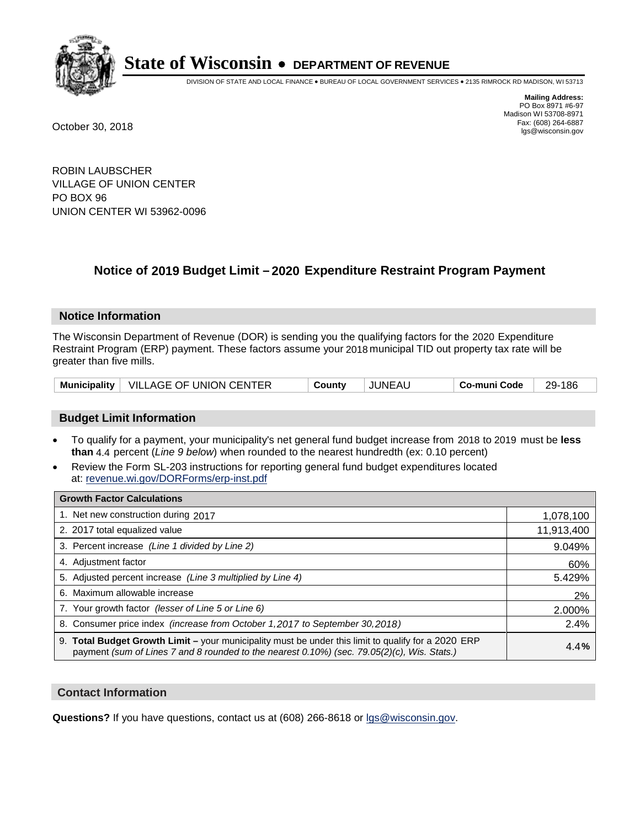

DIVISION OF STATE AND LOCAL FINANCE • BUREAU OF LOCAL GOVERNMENT SERVICES • 2135 RIMROCK RD MADISON, WI 53713

**Mailing Address:** PO Box 8971 #6-97 Madison WI 53708-8971<br>Fax: (608) 264-6887 Fax: (608) 264-6887 October 30, 2018 lgs@wisconsin.gov

ROBIN LAUBSCHER VILLAGE OF UNION CENTER PO BOX 96 UNION CENTER WI 53962-0096

## **Notice of 2019 Budget Limit - 2020 Expenditure Restraint Program Payment**

#### **Notice Information**

The Wisconsin Department of Revenue (DOR) is sending you the qualifying factors for the 2020 Expenditure Restraint Program (ERP) payment. These factors assume your 2018 municipal TID out property tax rate will be greater than five mills.

| Municipality   VILLAGE OF UNION CENTER |  | County | JUNEAU | Co-muni Code | 29-186 |
|----------------------------------------|--|--------|--------|--------------|--------|
|----------------------------------------|--|--------|--------|--------------|--------|

#### **Budget Limit Information**

- To qualify for a payment, your municipality's net general fund budget increase from 2018 to 2019 must be less **than** 4.4 percent (*Line 9 below*) when rounded to the nearest hundredth (ex: 0.10 percent)
- Review the Form SL-203 instructions for reporting general fund budget expenditures located at: revenue.wi.gov/DORForms/erp-inst.pdf

| <b>Growth Factor Calculations</b>                                                                                                                                                                      |            |
|--------------------------------------------------------------------------------------------------------------------------------------------------------------------------------------------------------|------------|
| 1. Net new construction during 2017                                                                                                                                                                    | 1,078,100  |
| 2. 2017 total equalized value                                                                                                                                                                          | 11,913,400 |
| 3. Percent increase (Line 1 divided by Line 2)                                                                                                                                                         | 9.049%     |
| 4. Adjustment factor                                                                                                                                                                                   | 60%        |
| 5. Adjusted percent increase (Line 3 multiplied by Line 4)                                                                                                                                             | 5.429%     |
| 6. Maximum allowable increase                                                                                                                                                                          | 2%         |
| 7. Your growth factor (lesser of Line 5 or Line 6)                                                                                                                                                     | 2.000%     |
| 8. Consumer price index (increase from October 1,2017 to September 30,2018)                                                                                                                            | 2.4%       |
| 9. Total Budget Growth Limit - your municipality must be under this limit to qualify for a 2020 ERP<br>payment (sum of Lines 7 and 8 rounded to the nearest $0.10\%$ ) (sec. 79.05(2)(c), Wis. Stats.) | 4.4%       |

#### **Contact Information**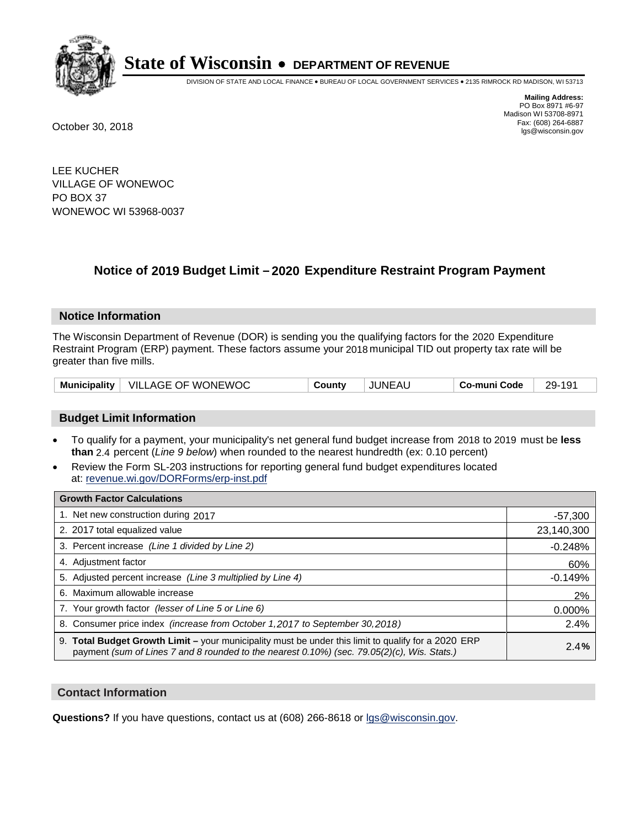

DIVISION OF STATE AND LOCAL FINANCE • BUREAU OF LOCAL GOVERNMENT SERVICES • 2135 RIMROCK RD MADISON, WI 53713

**Mailing Address:** PO Box 8971 #6-97 Madison WI 53708-8971<br>Fax: (608) 264-6887 Fax: (608) 264-6887 October 30, 2018 lgs@wisconsin.gov

LEE KUCHER VILLAGE OF WONEWOC PO BOX 37 WONEWOC WI 53968-0037

## **Notice of 2019 Budget Limit - 2020 Expenditure Restraint Program Payment**

#### **Notice Information**

The Wisconsin Department of Revenue (DOR) is sending you the qualifying factors for the 2020 Expenditure Restraint Program (ERP) payment. These factors assume your 2018 municipal TID out property tax rate will be greater than five mills.

| VILLAGE OF WONEWOC<br><b>Municipality</b> | County | <b>JUNEAU</b> | Co-muni Code | 29-191 |
|-------------------------------------------|--------|---------------|--------------|--------|
|-------------------------------------------|--------|---------------|--------------|--------|

#### **Budget Limit Information**

- To qualify for a payment, your municipality's net general fund budget increase from 2018 to 2019 must be less **than** 2.4 percent (*Line 9 below*) when rounded to the nearest hundredth (ex: 0.10 percent)
- Review the Form SL-203 instructions for reporting general fund budget expenditures located at: revenue.wi.gov/DORForms/erp-inst.pdf

| <b>Growth Factor Calculations</b>                                                                                                                                                                      |            |
|--------------------------------------------------------------------------------------------------------------------------------------------------------------------------------------------------------|------------|
| 1. Net new construction during 2017                                                                                                                                                                    | $-57,300$  |
| 2. 2017 total equalized value                                                                                                                                                                          | 23,140,300 |
| 3. Percent increase (Line 1 divided by Line 2)                                                                                                                                                         | $-0.248%$  |
| 4. Adjustment factor                                                                                                                                                                                   | 60%        |
| 5. Adjusted percent increase (Line 3 multiplied by Line 4)                                                                                                                                             | $-0.149%$  |
| 6. Maximum allowable increase                                                                                                                                                                          | 2%         |
| 7. Your growth factor (lesser of Line 5 or Line 6)                                                                                                                                                     | 0.000%     |
| 8. Consumer price index (increase from October 1,2017 to September 30,2018)                                                                                                                            | 2.4%       |
| 9. Total Budget Growth Limit - your municipality must be under this limit to qualify for a 2020 ERP<br>payment (sum of Lines 7 and 8 rounded to the nearest $0.10\%$ ) (sec. 79.05(2)(c), Wis. Stats.) | 2.4%       |

#### **Contact Information**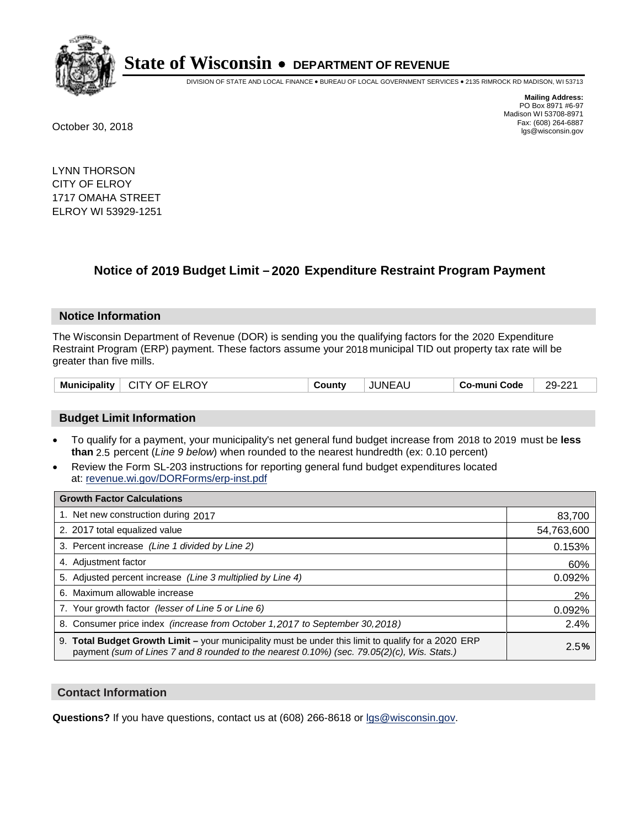

DIVISION OF STATE AND LOCAL FINANCE • BUREAU OF LOCAL GOVERNMENT SERVICES • 2135 RIMROCK RD MADISON, WI 53713

**Mailing Address:** PO Box 8971 #6-97 Madison WI 53708-8971<br>Fax: (608) 264-6887 Fax: (608) 264-6887 October 30, 2018 lgs@wisconsin.gov

LYNN THORSON CITY OF ELROY 1717 OMAHA STREET ELROY WI 53929-1251

## **Notice of 2019 Budget Limit - 2020 Expenditure Restraint Program Payment**

#### **Notice Information**

The Wisconsin Department of Revenue (DOR) is sending you the qualifying factors for the 2020 Expenditure Restraint Program (ERP) payment. These factors assume your 2018 municipal TID out property tax rate will be greater than five mills.

| Municipality   CITY OF ELROY | County | JUNEAU | Co-muni Code | 29-221 |
|------------------------------|--------|--------|--------------|--------|
|                              |        |        |              |        |

#### **Budget Limit Information**

- To qualify for a payment, your municipality's net general fund budget increase from 2018 to 2019 must be less **than** 2.5 percent (*Line 9 below*) when rounded to the nearest hundredth (ex: 0.10 percent)
- Review the Form SL-203 instructions for reporting general fund budget expenditures located at: revenue.wi.gov/DORForms/erp-inst.pdf

| <b>Growth Factor Calculations</b>                                                                                                                                                                  |            |
|----------------------------------------------------------------------------------------------------------------------------------------------------------------------------------------------------|------------|
| 1. Net new construction during 2017                                                                                                                                                                | 83,700     |
| 2. 2017 total equalized value                                                                                                                                                                      | 54,763,600 |
| 3. Percent increase (Line 1 divided by Line 2)                                                                                                                                                     | 0.153%     |
| 4. Adjustment factor                                                                                                                                                                               | 60%        |
| 5. Adjusted percent increase (Line 3 multiplied by Line 4)                                                                                                                                         | 0.092%     |
| 6. Maximum allowable increase                                                                                                                                                                      | 2%         |
| 7. Your growth factor (lesser of Line 5 or Line 6)                                                                                                                                                 | 0.092%     |
| 8. Consumer price index (increase from October 1, 2017 to September 30, 2018)                                                                                                                      | 2.4%       |
| 9. Total Budget Growth Limit – your municipality must be under this limit to qualify for a 2020 ERP<br>payment (sum of Lines 7 and 8 rounded to the nearest 0.10%) (sec. 79.05(2)(c), Wis. Stats.) | 2.5%       |

#### **Contact Information**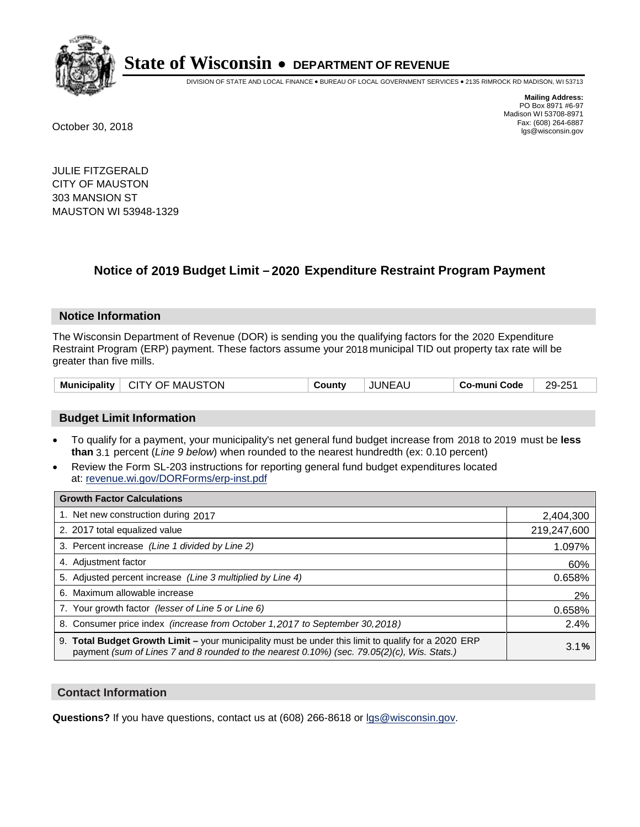

DIVISION OF STATE AND LOCAL FINANCE • BUREAU OF LOCAL GOVERNMENT SERVICES • 2135 RIMROCK RD MADISON, WI 53713

**Mailing Address:** PO Box 8971 #6-97 Madison WI 53708-8971<br>Fax: (608) 264-6887 Fax: (608) 264-6887 October 30, 2018 lgs@wisconsin.gov

JULIE FITZGERALD CITY OF MAUSTON 303 MANSION ST MAUSTON WI 53948-1329

## **Notice of 2019 Budget Limit - 2020 Expenditure Restraint Program Payment**

#### **Notice Information**

The Wisconsin Department of Revenue (DOR) is sending you the qualifying factors for the 2020 Expenditure Restraint Program (ERP) payment. These factors assume your 2018 municipal TID out property tax rate will be greater than five mills.

#### **Budget Limit Information**

- To qualify for a payment, your municipality's net general fund budget increase from 2018 to 2019 must be less **than** 3.1 percent (*Line 9 below*) when rounded to the nearest hundredth (ex: 0.10 percent)
- Review the Form SL-203 instructions for reporting general fund budget expenditures located at: revenue.wi.gov/DORForms/erp-inst.pdf

| <b>Growth Factor Calculations</b>                                                                                                                                                                      |             |
|--------------------------------------------------------------------------------------------------------------------------------------------------------------------------------------------------------|-------------|
| 1. Net new construction during 2017                                                                                                                                                                    | 2,404,300   |
| 2. 2017 total equalized value                                                                                                                                                                          | 219,247,600 |
| 3. Percent increase (Line 1 divided by Line 2)                                                                                                                                                         | 1.097%      |
| 4. Adjustment factor                                                                                                                                                                                   | 60%         |
| 5. Adjusted percent increase (Line 3 multiplied by Line 4)                                                                                                                                             | 0.658%      |
| 6. Maximum allowable increase                                                                                                                                                                          | 2%          |
| 7. Your growth factor (lesser of Line 5 or Line 6)                                                                                                                                                     | 0.658%      |
| 8. Consumer price index (increase from October 1, 2017 to September 30, 2018)                                                                                                                          | 2.4%        |
| 9. Total Budget Growth Limit - your municipality must be under this limit to qualify for a 2020 ERP<br>payment (sum of Lines 7 and 8 rounded to the nearest $0.10\%$ ) (sec. 79.05(2)(c), Wis. Stats.) | 3.1%        |

#### **Contact Information**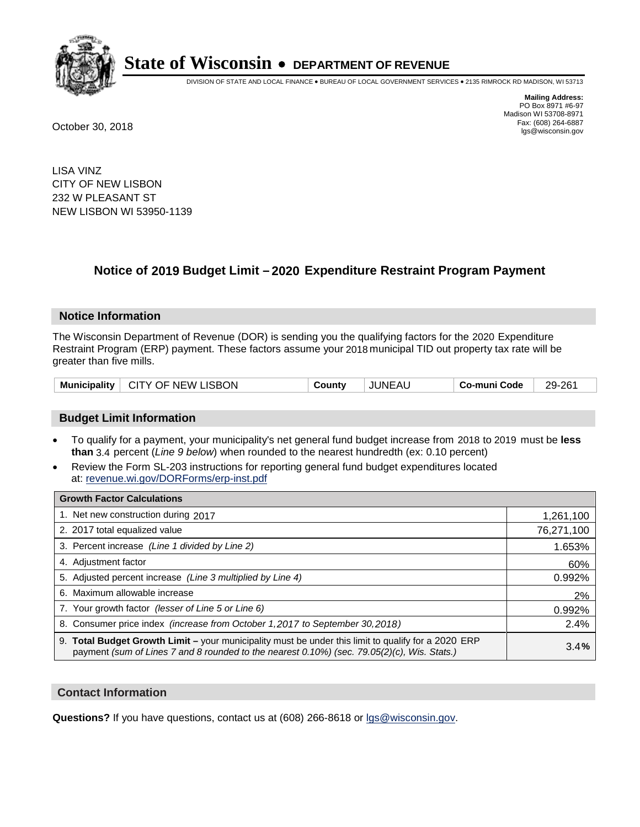

DIVISION OF STATE AND LOCAL FINANCE • BUREAU OF LOCAL GOVERNMENT SERVICES • 2135 RIMROCK RD MADISON, WI 53713

**Mailing Address:** PO Box 8971 #6-97 Madison WI 53708-8971<br>Fax: (608) 264-6887 Fax: (608) 264-6887 October 30, 2018 lgs@wisconsin.gov

LISA VINZ CITY OF NEW LISBON 232 W PLEASANT ST NEW LISBON WI 53950-1139

## **Notice of 2019 Budget Limit - 2020 Expenditure Restraint Program Payment**

#### **Notice Information**

The Wisconsin Department of Revenue (DOR) is sending you the qualifying factors for the 2020 Expenditure Restraint Program (ERP) payment. These factors assume your 2018 municipal TID out property tax rate will be greater than five mills.

| Municipality   CITY OF NEW LISBON | County | JUNEAL | Co-muni Code | 29-261 |
|-----------------------------------|--------|--------|--------------|--------|
|-----------------------------------|--------|--------|--------------|--------|

#### **Budget Limit Information**

- To qualify for a payment, your municipality's net general fund budget increase from 2018 to 2019 must be less **than** 3.4 percent (*Line 9 below*) when rounded to the nearest hundredth (ex: 0.10 percent)
- Review the Form SL-203 instructions for reporting general fund budget expenditures located at: revenue.wi.gov/DORForms/erp-inst.pdf

| <b>Growth Factor Calculations</b>                                                                                                                                                                      |            |
|--------------------------------------------------------------------------------------------------------------------------------------------------------------------------------------------------------|------------|
| 1. Net new construction during 2017                                                                                                                                                                    | 1,261,100  |
| 2. 2017 total equalized value                                                                                                                                                                          | 76,271,100 |
| 3. Percent increase (Line 1 divided by Line 2)                                                                                                                                                         | 1.653%     |
| 4. Adjustment factor                                                                                                                                                                                   | 60%        |
| 5. Adjusted percent increase (Line 3 multiplied by Line 4)                                                                                                                                             | 0.992%     |
| 6. Maximum allowable increase                                                                                                                                                                          | 2%         |
| 7. Your growth factor (lesser of Line 5 or Line 6)                                                                                                                                                     | 0.992%     |
| 8. Consumer price index (increase from October 1,2017 to September 30,2018)                                                                                                                            | 2.4%       |
| 9. Total Budget Growth Limit - your municipality must be under this limit to qualify for a 2020 ERP<br>payment (sum of Lines 7 and 8 rounded to the nearest $0.10\%$ ) (sec. 79.05(2)(c), Wis. Stats.) | 3.4%       |

#### **Contact Information**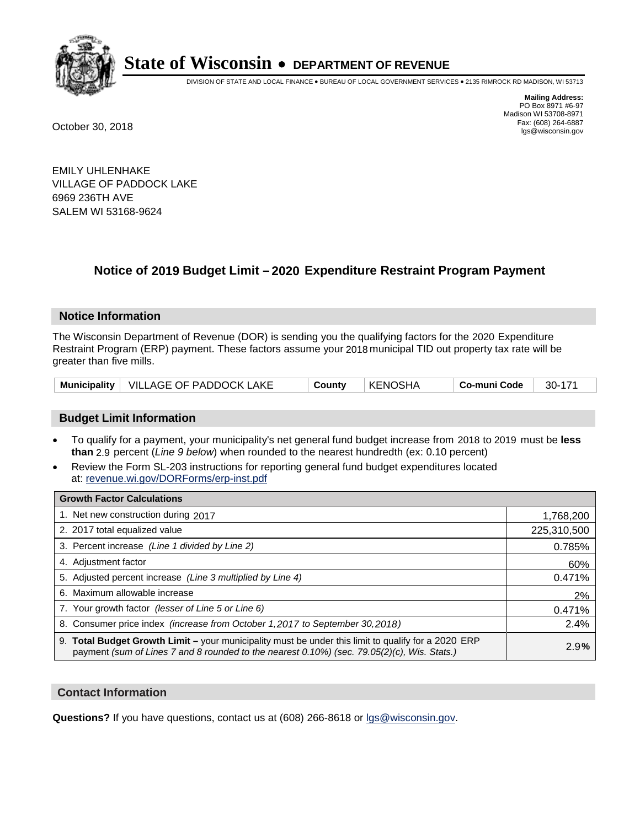

DIVISION OF STATE AND LOCAL FINANCE • BUREAU OF LOCAL GOVERNMENT SERVICES • 2135 RIMROCK RD MADISON, WI 53713

**Mailing Address:** PO Box 8971 #6-97 Madison WI 53708-8971<br>Fax: (608) 264-6887 Fax: (608) 264-6887 October 30, 2018 lgs@wisconsin.gov

EMILY UHLENHAKE VILLAGE OF PADDOCK LAKE 6969 236TH AVE SALEM WI 53168-9624

## **Notice of 2019 Budget Limit - 2020 Expenditure Restraint Program Payment**

#### **Notice Information**

The Wisconsin Department of Revenue (DOR) is sending you the qualifying factors for the 2020 Expenditure Restraint Program (ERP) payment. These factors assume your 2018 municipal TID out property tax rate will be greater than five mills.

|  | Municipality   VILLAGE OF PADDOCK LAKE | County | KENOSHA | ∣ Co-muni Code | - 30-171 |
|--|----------------------------------------|--------|---------|----------------|----------|
|--|----------------------------------------|--------|---------|----------------|----------|

#### **Budget Limit Information**

- To qualify for a payment, your municipality's net general fund budget increase from 2018 to 2019 must be less **than** 2.9 percent (*Line 9 below*) when rounded to the nearest hundredth (ex: 0.10 percent)
- Review the Form SL-203 instructions for reporting general fund budget expenditures located at: revenue.wi.gov/DORForms/erp-inst.pdf

| <b>Growth Factor Calculations</b>                                                                                                                                                                      |             |
|--------------------------------------------------------------------------------------------------------------------------------------------------------------------------------------------------------|-------------|
| 1. Net new construction during 2017                                                                                                                                                                    | 1,768,200   |
| 2. 2017 total equalized value                                                                                                                                                                          | 225,310,500 |
| 3. Percent increase (Line 1 divided by Line 2)                                                                                                                                                         | 0.785%      |
| 4. Adjustment factor                                                                                                                                                                                   | 60%         |
| 5. Adjusted percent increase (Line 3 multiplied by Line 4)                                                                                                                                             | 0.471%      |
| 6. Maximum allowable increase                                                                                                                                                                          | 2%          |
| 7. Your growth factor (lesser of Line 5 or Line 6)                                                                                                                                                     | 0.471%      |
| 8. Consumer price index (increase from October 1,2017 to September 30,2018)                                                                                                                            | 2.4%        |
| 9. Total Budget Growth Limit - your municipality must be under this limit to qualify for a 2020 ERP<br>payment (sum of Lines 7 and 8 rounded to the nearest $0.10\%$ ) (sec. 79.05(2)(c), Wis. Stats.) | 2.9%        |

#### **Contact Information**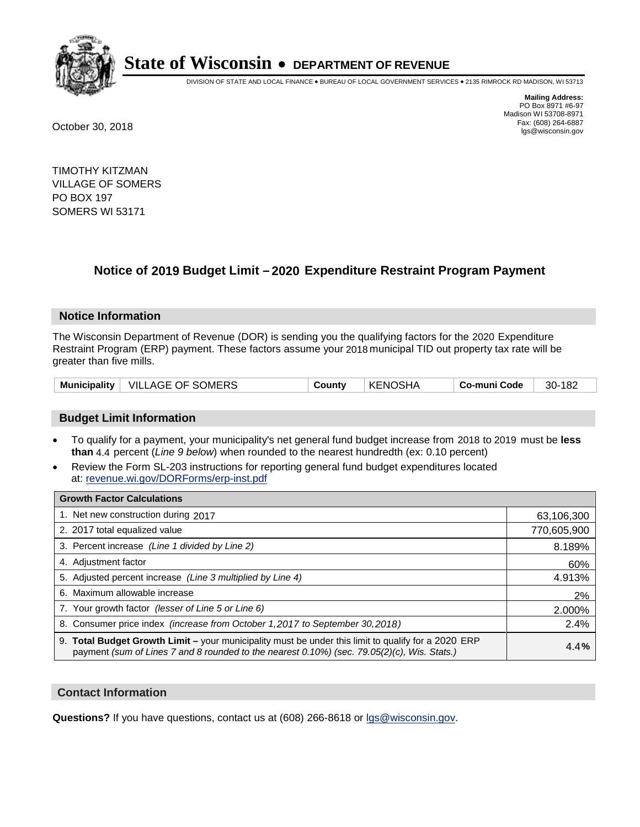

DIVISION OF STATE AND LOCAL FINANCE • BUREAU OF LOCAL GOVERNMENT SERVICES • 2135 RIMROCK RD MADISON, WI 53713

**Mailing Address:** PO Box 8971 #6-97 Madison WI 53708-8971<br>Fax: (608) 264-6887 Fax: (608) 264-6887 October 30, 2018 lgs@wisconsin.gov

TIMOTHY KITZMAN VILLAGE OF SOMERS PO BOX 197 SOMERS WI 53171

## **Notice of 2019 Budget Limit - 2020 Expenditure Restraint Program Payment**

#### **Notice Information**

The Wisconsin Department of Revenue (DOR) is sending you the qualifying factors for the 2020 Expenditure Restraint Program (ERP) payment. These factors assume your 2018 municipal TID out property tax rate will be greater than five mills.

| Municipality   VILLAGE OF SOMERS | County | <b>KENOSHA</b> | Co-muni Code | 30-182 |
|----------------------------------|--------|----------------|--------------|--------|
|----------------------------------|--------|----------------|--------------|--------|

#### **Budget Limit Information**

- To qualify for a payment, your municipality's net general fund budget increase from 2018 to 2019 must be less **than** 4.4 percent (*Line 9 below*) when rounded to the nearest hundredth (ex: 0.10 percent)
- Review the Form SL-203 instructions for reporting general fund budget expenditures located at: revenue.wi.gov/DORForms/erp-inst.pdf

| <b>Growth Factor Calculations</b>                                                                                                                                                                  |             |
|----------------------------------------------------------------------------------------------------------------------------------------------------------------------------------------------------|-------------|
| 1. Net new construction during 2017                                                                                                                                                                | 63,106,300  |
| 2. 2017 total equalized value                                                                                                                                                                      | 770,605,900 |
| 3. Percent increase (Line 1 divided by Line 2)                                                                                                                                                     | 8.189%      |
| 4. Adjustment factor                                                                                                                                                                               | 60%         |
| 5. Adjusted percent increase (Line 3 multiplied by Line 4)                                                                                                                                         | 4.913%      |
| 6. Maximum allowable increase                                                                                                                                                                      | 2%          |
| 7. Your growth factor (lesser of Line 5 or Line 6)                                                                                                                                                 | 2.000%      |
| 8. Consumer price index (increase from October 1, 2017 to September 30, 2018)                                                                                                                      | 2.4%        |
| 9. Total Budget Growth Limit - your municipality must be under this limit to qualify for a 2020 ERP<br>payment (sum of Lines 7 and 8 rounded to the nearest 0.10%) (sec. 79.05(2)(c), Wis. Stats.) | 4.4%        |

#### **Contact Information**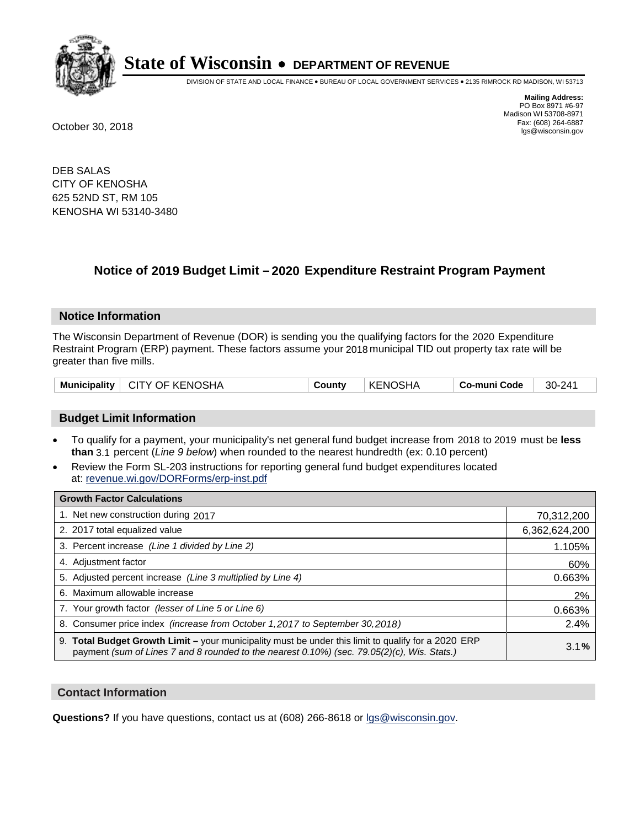

DIVISION OF STATE AND LOCAL FINANCE • BUREAU OF LOCAL GOVERNMENT SERVICES • 2135 RIMROCK RD MADISON, WI 53713

**Mailing Address:** PO Box 8971 #6-97 Madison WI 53708-8971<br>Fax: (608) 264-6887 Fax: (608) 264-6887 October 30, 2018 lgs@wisconsin.gov

DEB SALAS CITY OF KENOSHA 625 52ND ST, RM 105 KENOSHA WI 53140-3480

## **Notice of 2019 Budget Limit - 2020 Expenditure Restraint Program Payment**

#### **Notice Information**

The Wisconsin Department of Revenue (DOR) is sending you the qualifying factors for the 2020 Expenditure Restraint Program (ERP) payment. These factors assume your 2018 municipal TID out property tax rate will be greater than five mills.

|  |  | Municipality   CITY OF KENOSHA | County | ∣ KENOSHA | ∣ Co-muni Code | 30-241 |
|--|--|--------------------------------|--------|-----------|----------------|--------|
|--|--|--------------------------------|--------|-----------|----------------|--------|

#### **Budget Limit Information**

- To qualify for a payment, your municipality's net general fund budget increase from 2018 to 2019 must be less **than** 3.1 percent (*Line 9 below*) when rounded to the nearest hundredth (ex: 0.10 percent)
- Review the Form SL-203 instructions for reporting general fund budget expenditures located at: revenue.wi.gov/DORForms/erp-inst.pdf

| <b>Growth Factor Calculations</b>                                                                                                                                                                  |               |
|----------------------------------------------------------------------------------------------------------------------------------------------------------------------------------------------------|---------------|
| 1. Net new construction during 2017                                                                                                                                                                | 70,312,200    |
| 2. 2017 total equalized value                                                                                                                                                                      | 6,362,624,200 |
| 3. Percent increase (Line 1 divided by Line 2)                                                                                                                                                     | 1.105%        |
| 4. Adjustment factor                                                                                                                                                                               | 60%           |
| 5. Adjusted percent increase (Line 3 multiplied by Line 4)                                                                                                                                         | 0.663%        |
| 6. Maximum allowable increase                                                                                                                                                                      | 2%            |
| 7. Your growth factor (lesser of Line 5 or Line 6)                                                                                                                                                 | 0.663%        |
| 8. Consumer price index (increase from October 1,2017 to September 30,2018)                                                                                                                        | 2.4%          |
| 9. Total Budget Growth Limit - your municipality must be under this limit to qualify for a 2020 ERP<br>payment (sum of Lines 7 and 8 rounded to the nearest 0.10%) (sec. 79.05(2)(c), Wis. Stats.) | 3.1%          |

#### **Contact Information**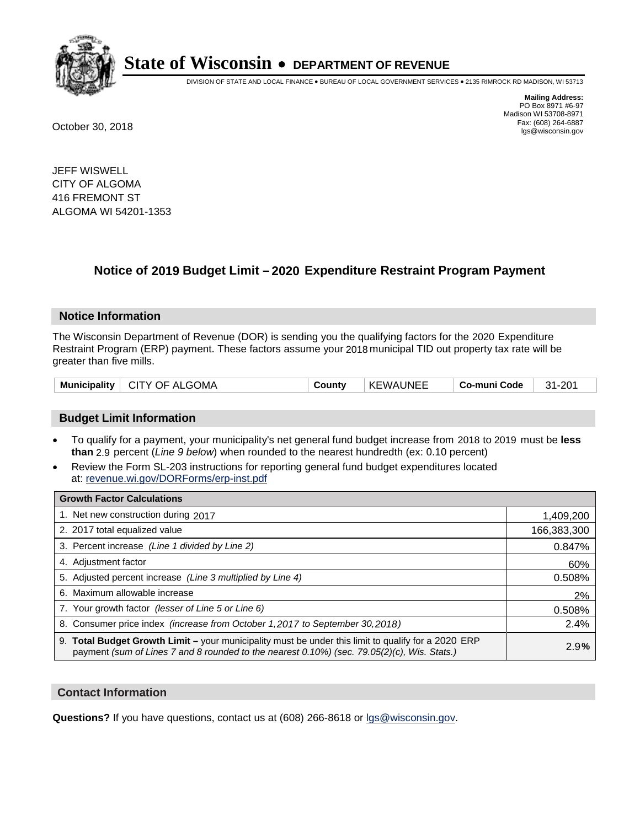

DIVISION OF STATE AND LOCAL FINANCE • BUREAU OF LOCAL GOVERNMENT SERVICES • 2135 RIMROCK RD MADISON, WI 53713

**Mailing Address:** PO Box 8971 #6-97 Madison WI 53708-8971<br>Fax: (608) 264-6887 Fax: (608) 264-6887 October 30, 2018 lgs@wisconsin.gov

JEFF WISWELL CITY OF ALGOMA 416 FREMONT ST ALGOMA WI 54201-1353

## **Notice of 2019 Budget Limit - 2020 Expenditure Restraint Program Payment**

#### **Notice Information**

The Wisconsin Department of Revenue (DOR) is sending you the qualifying factors for the 2020 Expenditure Restraint Program (ERP) payment. These factors assume your 2018 municipal TID out property tax rate will be greater than five mills.

| Municipality   CITY OF ALGOMA | County | KEWAUNEE | Co-muni Code | 31-201 |
|-------------------------------|--------|----------|--------------|--------|
|-------------------------------|--------|----------|--------------|--------|

#### **Budget Limit Information**

- To qualify for a payment, your municipality's net general fund budget increase from 2018 to 2019 must be less **than** 2.9 percent (*Line 9 below*) when rounded to the nearest hundredth (ex: 0.10 percent)
- Review the Form SL-203 instructions for reporting general fund budget expenditures located at: revenue.wi.gov/DORForms/erp-inst.pdf

| <b>Growth Factor Calculations</b>                                                                                                                                                                  |             |
|----------------------------------------------------------------------------------------------------------------------------------------------------------------------------------------------------|-------------|
| 1. Net new construction during 2017                                                                                                                                                                | 1,409,200   |
| 2. 2017 total equalized value                                                                                                                                                                      | 166,383,300 |
| 3. Percent increase (Line 1 divided by Line 2)                                                                                                                                                     | 0.847%      |
| 4. Adjustment factor                                                                                                                                                                               | 60%         |
| 5. Adjusted percent increase (Line 3 multiplied by Line 4)                                                                                                                                         | 0.508%      |
| 6. Maximum allowable increase                                                                                                                                                                      | 2%          |
| 7. Your growth factor (lesser of Line 5 or Line 6)                                                                                                                                                 | 0.508%      |
| 8. Consumer price index (increase from October 1, 2017 to September 30, 2018)                                                                                                                      | 2.4%        |
| 9. Total Budget Growth Limit - your municipality must be under this limit to qualify for a 2020 ERP<br>payment (sum of Lines 7 and 8 rounded to the nearest 0.10%) (sec. 79.05(2)(c), Wis. Stats.) | 2.9%        |

#### **Contact Information**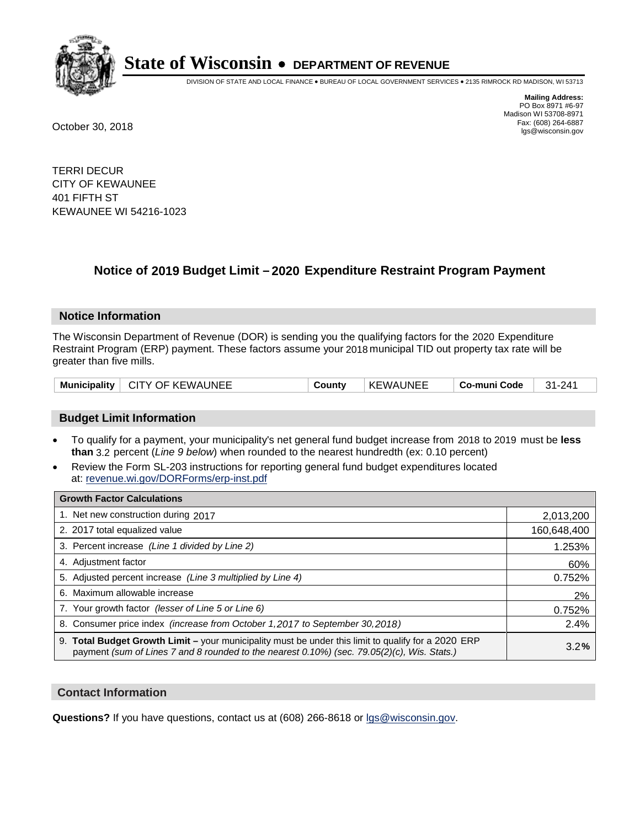

DIVISION OF STATE AND LOCAL FINANCE • BUREAU OF LOCAL GOVERNMENT SERVICES • 2135 RIMROCK RD MADISON, WI 53713

**Mailing Address:** PO Box 8971 #6-97 Madison WI 53708-8971<br>Fax: (608) 264-6887 Fax: (608) 264-6887 October 30, 2018 lgs@wisconsin.gov

TERRI DECUR CITY OF KEWAUNEE 401 FIFTH ST KEWAUNEE WI 54216-1023

### **Notice of 2019 Budget Limit - 2020 Expenditure Restraint Program Payment**

#### **Notice Information**

The Wisconsin Department of Revenue (DOR) is sending you the qualifying factors for the 2020 Expenditure Restraint Program (ERP) payment. These factors assume your 2018 municipal TID out property tax rate will be greater than five mills.

| Municipality   CITY OF KEWAUNEE | County | <b>KEWAUNEE</b> | Co-muni Code | $31 - 241$ |
|---------------------------------|--------|-----------------|--------------|------------|
|---------------------------------|--------|-----------------|--------------|------------|

#### **Budget Limit Information**

- To qualify for a payment, your municipality's net general fund budget increase from 2018 to 2019 must be less **than** 3.2 percent (*Line 9 below*) when rounded to the nearest hundredth (ex: 0.10 percent)
- Review the Form SL-203 instructions for reporting general fund budget expenditures located at: revenue.wi.gov/DORForms/erp-inst.pdf

| <b>Growth Factor Calculations</b>                                                                                                                                                                      |             |
|--------------------------------------------------------------------------------------------------------------------------------------------------------------------------------------------------------|-------------|
| 1. Net new construction during 2017                                                                                                                                                                    | 2,013,200   |
| 2. 2017 total equalized value                                                                                                                                                                          | 160,648,400 |
| 3. Percent increase (Line 1 divided by Line 2)                                                                                                                                                         | 1.253%      |
| 4. Adjustment factor                                                                                                                                                                                   | 60%         |
| 5. Adjusted percent increase (Line 3 multiplied by Line 4)                                                                                                                                             | 0.752%      |
| 6. Maximum allowable increase                                                                                                                                                                          | 2%          |
| 7. Your growth factor (lesser of Line 5 or Line 6)                                                                                                                                                     | 0.752%      |
| 8. Consumer price index (increase from October 1, 2017 to September 30, 2018)                                                                                                                          | 2.4%        |
| 9. Total Budget Growth Limit - your municipality must be under this limit to qualify for a 2020 ERP<br>payment (sum of Lines 7 and 8 rounded to the nearest $0.10\%$ ) (sec. 79.05(2)(c), Wis. Stats.) | 3.2%        |

#### **Contact Information**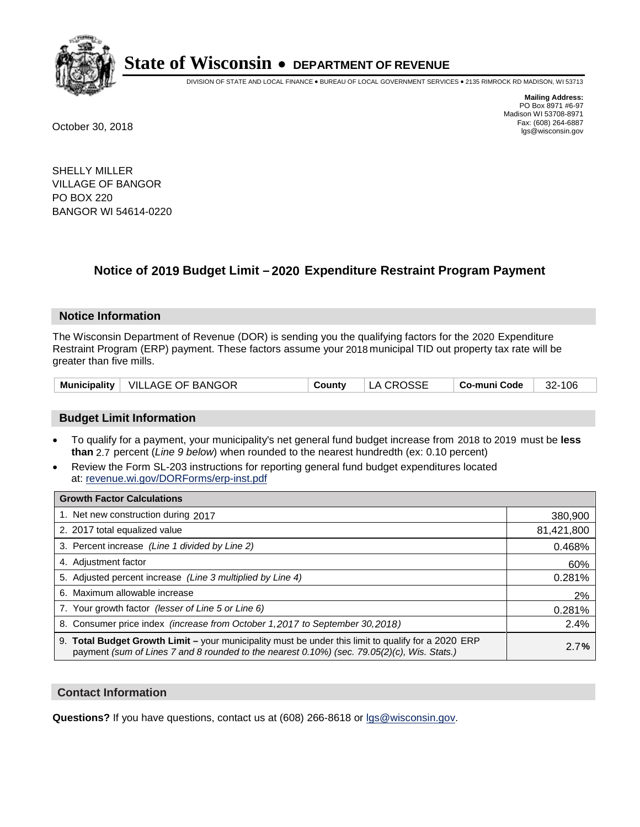

DIVISION OF STATE AND LOCAL FINANCE • BUREAU OF LOCAL GOVERNMENT SERVICES • 2135 RIMROCK RD MADISON, WI 53713

**Mailing Address:** PO Box 8971 #6-97 Madison WI 53708-8971<br>Fax: (608) 264-6887 Fax: (608) 264-6887 October 30, 2018 lgs@wisconsin.gov

SHELLY MILLER VILLAGE OF BANGOR PO BOX 220 BANGOR WI 54614-0220

## **Notice of 2019 Budget Limit - 2020 Expenditure Restraint Program Payment**

#### **Notice Information**

The Wisconsin Department of Revenue (DOR) is sending you the qualifying factors for the 2020 Expenditure Restraint Program (ERP) payment. These factors assume your 2018 municipal TID out property tax rate will be greater than five mills.

#### **Budget Limit Information**

- To qualify for a payment, your municipality's net general fund budget increase from 2018 to 2019 must be less **than** 2.7 percent (*Line 9 below*) when rounded to the nearest hundredth (ex: 0.10 percent)
- Review the Form SL-203 instructions for reporting general fund budget expenditures located at: revenue.wi.gov/DORForms/erp-inst.pdf

| <b>Growth Factor Calculations</b>                                                                                                                                                                      |            |
|--------------------------------------------------------------------------------------------------------------------------------------------------------------------------------------------------------|------------|
| 1. Net new construction during 2017                                                                                                                                                                    | 380,900    |
| 2. 2017 total equalized value                                                                                                                                                                          | 81,421,800 |
| 3. Percent increase (Line 1 divided by Line 2)                                                                                                                                                         | 0.468%     |
| 4. Adjustment factor                                                                                                                                                                                   | 60%        |
| 5. Adjusted percent increase (Line 3 multiplied by Line 4)                                                                                                                                             | 0.281%     |
| 6. Maximum allowable increase                                                                                                                                                                          | 2%         |
| 7. Your growth factor (lesser of Line 5 or Line 6)                                                                                                                                                     | 0.281%     |
| 8. Consumer price index (increase from October 1,2017 to September 30,2018)                                                                                                                            | 2.4%       |
| 9. Total Budget Growth Limit - your municipality must be under this limit to qualify for a 2020 ERP<br>payment (sum of Lines 7 and 8 rounded to the nearest $0.10\%$ ) (sec. 79.05(2)(c), Wis. Stats.) | 2.7%       |

#### **Contact Information**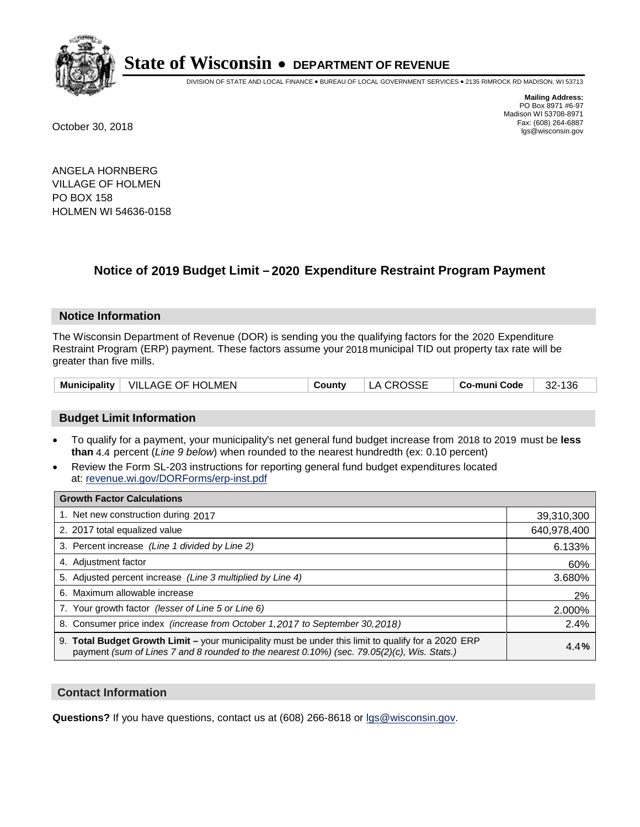

DIVISION OF STATE AND LOCAL FINANCE • BUREAU OF LOCAL GOVERNMENT SERVICES • 2135 RIMROCK RD MADISON, WI 53713

**Mailing Address:** PO Box 8971 #6-97 Madison WI 53708-8971<br>Fax: (608) 264-6887 Fax: (608) 264-6887 October 30, 2018 lgs@wisconsin.gov

ANGELA HORNBERG VILLAGE OF HOLMEN PO BOX 158 HOLMEN WI 54636-0158

## **Notice of 2019 Budget Limit - 2020 Expenditure Restraint Program Payment**

#### **Notice Information**

The Wisconsin Department of Revenue (DOR) is sending you the qualifying factors for the 2020 Expenditure Restraint Program (ERP) payment. These factors assume your 2018 municipal TID out property tax rate will be greater than five mills.

| Municipality   VILLAGE OF HOLMEN<br>County | LA CROSSE | 32-136<br>∣ Co-muni Code ∣ |
|--------------------------------------------|-----------|----------------------------|
|--------------------------------------------|-----------|----------------------------|

#### **Budget Limit Information**

- To qualify for a payment, your municipality's net general fund budget increase from 2018 to 2019 must be less **than** 4.4 percent (*Line 9 below*) when rounded to the nearest hundredth (ex: 0.10 percent)
- Review the Form SL-203 instructions for reporting general fund budget expenditures located at: revenue.wi.gov/DORForms/erp-inst.pdf

| <b>Growth Factor Calculations</b>                                                                                                                                                                      |             |
|--------------------------------------------------------------------------------------------------------------------------------------------------------------------------------------------------------|-------------|
| 1. Net new construction during 2017                                                                                                                                                                    | 39,310,300  |
| 2. 2017 total equalized value                                                                                                                                                                          | 640,978,400 |
| 3. Percent increase (Line 1 divided by Line 2)                                                                                                                                                         | 6.133%      |
| 4. Adjustment factor                                                                                                                                                                                   | 60%         |
| 5. Adjusted percent increase (Line 3 multiplied by Line 4)                                                                                                                                             | 3.680%      |
| 6. Maximum allowable increase                                                                                                                                                                          | 2%          |
| 7. Your growth factor (lesser of Line 5 or Line 6)                                                                                                                                                     | 2.000%      |
| 8. Consumer price index (increase from October 1,2017 to September 30,2018)                                                                                                                            | 2.4%        |
| 9. Total Budget Growth Limit - your municipality must be under this limit to qualify for a 2020 ERP<br>payment (sum of Lines 7 and 8 rounded to the nearest $0.10\%$ ) (sec. 79.05(2)(c), Wis. Stats.) | 4.4%        |

#### **Contact Information**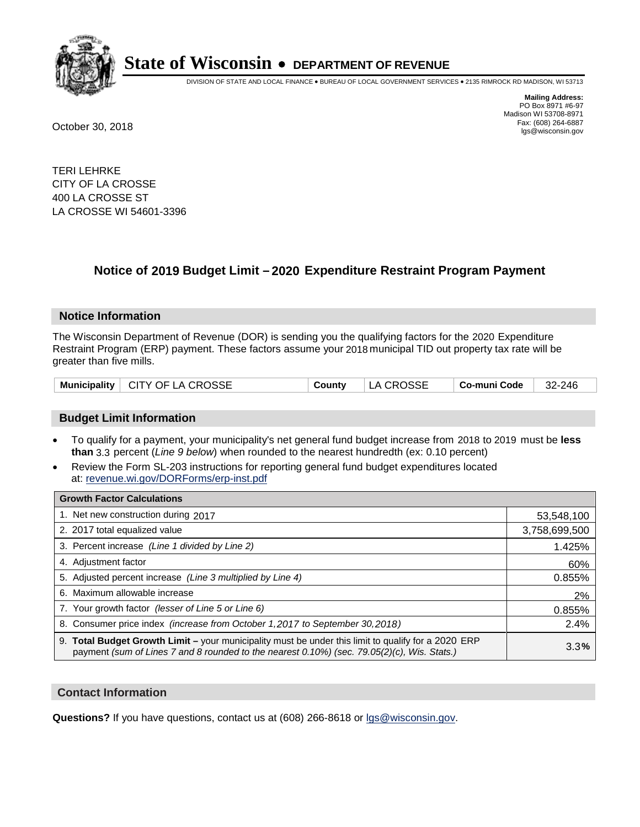

DIVISION OF STATE AND LOCAL FINANCE • BUREAU OF LOCAL GOVERNMENT SERVICES • 2135 RIMROCK RD MADISON, WI 53713

**Mailing Address:** PO Box 8971 #6-97 Madison WI 53708-8971<br>Fax: (608) 264-6887 Fax: (608) 264-6887 October 30, 2018 lgs@wisconsin.gov

TERI LEHRKE CITY OF LA CROSSE 400 LA CROSSE ST LA CROSSE WI 54601-3396

## **Notice of 2019 Budget Limit - 2020 Expenditure Restraint Program Payment**

#### **Notice Information**

The Wisconsin Department of Revenue (DOR) is sending you the qualifying factors for the 2020 Expenditure Restraint Program (ERP) payment. These factors assume your 2018 municipal TID out property tax rate will be greater than five mills.

| Municipality   CITY OF LA CROSSE | County | LA CROSSE | $\vert$ Co-muni Code $\vert$ 32-246 |  |
|----------------------------------|--------|-----------|-------------------------------------|--|
|----------------------------------|--------|-----------|-------------------------------------|--|

#### **Budget Limit Information**

- To qualify for a payment, your municipality's net general fund budget increase from 2018 to 2019 must be less **than** 3.3 percent (*Line 9 below*) when rounded to the nearest hundredth (ex: 0.10 percent)
- Review the Form SL-203 instructions for reporting general fund budget expenditures located at: revenue.wi.gov/DORForms/erp-inst.pdf

| <b>Growth Factor Calculations</b>                                                                                                                                                                      |               |
|--------------------------------------------------------------------------------------------------------------------------------------------------------------------------------------------------------|---------------|
| 1. Net new construction during 2017                                                                                                                                                                    | 53,548,100    |
| 2. 2017 total equalized value                                                                                                                                                                          | 3,758,699,500 |
| 3. Percent increase (Line 1 divided by Line 2)                                                                                                                                                         | 1.425%        |
| 4. Adjustment factor                                                                                                                                                                                   | 60%           |
| 5. Adjusted percent increase (Line 3 multiplied by Line 4)                                                                                                                                             | 0.855%        |
| 6. Maximum allowable increase                                                                                                                                                                          | 2%            |
| 7. Your growth factor (lesser of Line 5 or Line 6)                                                                                                                                                     | 0.855%        |
| 8. Consumer price index (increase from October 1, 2017 to September 30, 2018)                                                                                                                          | 2.4%          |
| 9. Total Budget Growth Limit - your municipality must be under this limit to qualify for a 2020 ERP<br>payment (sum of Lines 7 and 8 rounded to the nearest $0.10\%$ ) (sec. 79.05(2)(c), Wis. Stats.) | 3.3%          |

#### **Contact Information**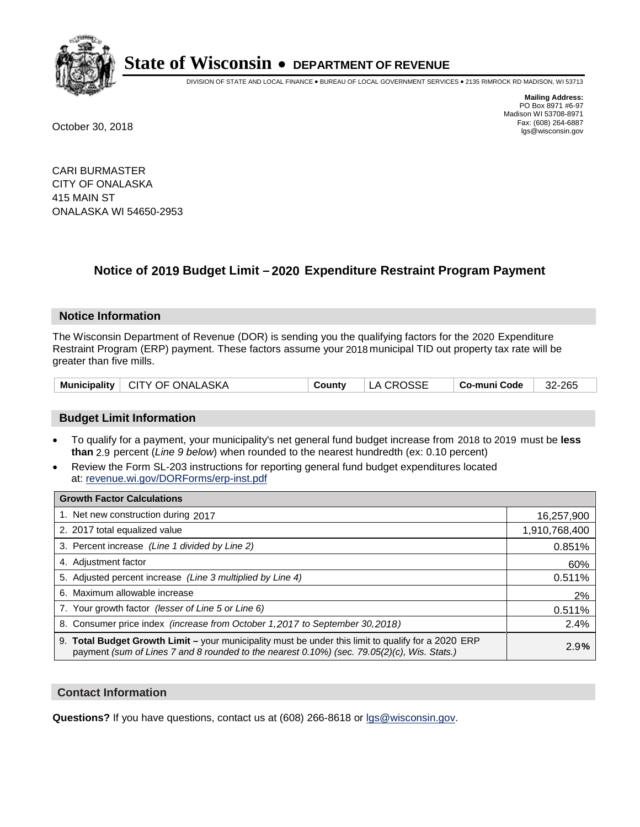

DIVISION OF STATE AND LOCAL FINANCE • BUREAU OF LOCAL GOVERNMENT SERVICES • 2135 RIMROCK RD MADISON, WI 53713

**Mailing Address:** PO Box 8971 #6-97 Madison WI 53708-8971<br>Fax: (608) 264-6887 Fax: (608) 264-6887 October 30, 2018 lgs@wisconsin.gov

CARI BURMASTER CITY OF ONALASKA 415 MAIN ST ONALASKA WI 54650-2953

### **Notice of 2019 Budget Limit - 2020 Expenditure Restraint Program Payment**

#### **Notice Information**

The Wisconsin Department of Revenue (DOR) is sending you the qualifying factors for the 2020 Expenditure Restraint Program (ERP) payment. These factors assume your 2018 municipal TID out property tax rate will be greater than five mills.

| Municipality   CITY OF ONALASKA | County | LA CROSSE | $\vert$ Co-muni Code $\vert$ 32-265 |  |
|---------------------------------|--------|-----------|-------------------------------------|--|
|---------------------------------|--------|-----------|-------------------------------------|--|

#### **Budget Limit Information**

- To qualify for a payment, your municipality's net general fund budget increase from 2018 to 2019 must be less **than** 2.9 percent (*Line 9 below*) when rounded to the nearest hundredth (ex: 0.10 percent)
- Review the Form SL-203 instructions for reporting general fund budget expenditures located at: revenue.wi.gov/DORForms/erp-inst.pdf

| <b>Growth Factor Calculations</b>                                                                                                                                                                      |               |
|--------------------------------------------------------------------------------------------------------------------------------------------------------------------------------------------------------|---------------|
| 1. Net new construction during 2017                                                                                                                                                                    | 16,257,900    |
| 2. 2017 total equalized value                                                                                                                                                                          | 1,910,768,400 |
| 3. Percent increase (Line 1 divided by Line 2)                                                                                                                                                         | 0.851%        |
| 4. Adjustment factor                                                                                                                                                                                   | 60%           |
| 5. Adjusted percent increase (Line 3 multiplied by Line 4)                                                                                                                                             | 0.511%        |
| 6. Maximum allowable increase                                                                                                                                                                          | 2%            |
| 7. Your growth factor (lesser of Line 5 or Line 6)                                                                                                                                                     | 0.511%        |
| 8. Consumer price index (increase from October 1,2017 to September 30,2018)                                                                                                                            | 2.4%          |
| 9. Total Budget Growth Limit - your municipality must be under this limit to qualify for a 2020 ERP<br>payment (sum of Lines 7 and 8 rounded to the nearest $0.10\%$ ) (sec. 79.05(2)(c), Wis. Stats.) | 2.9%          |

#### **Contact Information**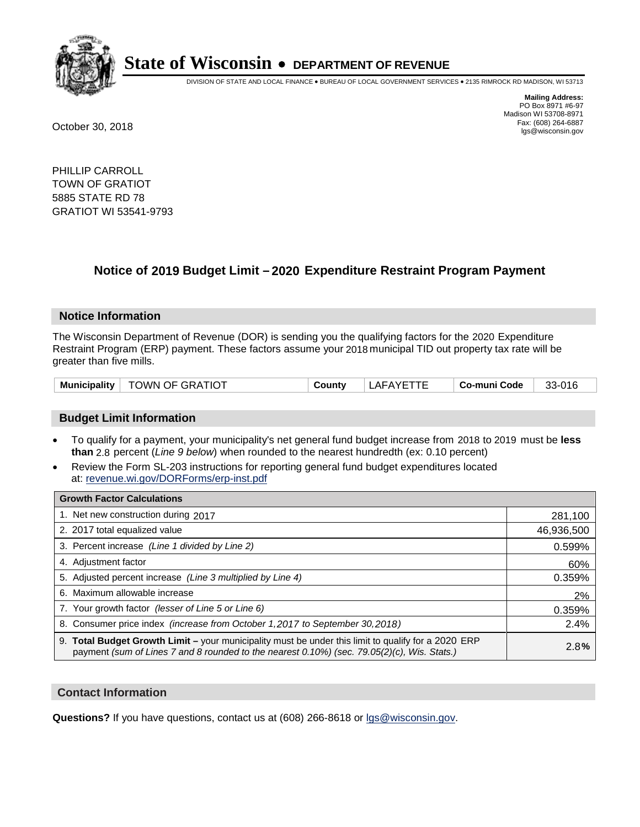

DIVISION OF STATE AND LOCAL FINANCE • BUREAU OF LOCAL GOVERNMENT SERVICES • 2135 RIMROCK RD MADISON, WI 53713

**Mailing Address:** PO Box 8971 #6-97 Madison WI 53708-8971<br>Fax: (608) 264-6887 Fax: (608) 264-6887 October 30, 2018 lgs@wisconsin.gov

PHILLIP CARROLL TOWN OF GRATIOT 5885 STATE RD 78 GRATIOT WI 53541-9793

## **Notice of 2019 Budget Limit - 2020 Expenditure Restraint Program Payment**

#### **Notice Information**

The Wisconsin Department of Revenue (DOR) is sending you the qualifying factors for the 2020 Expenditure Restraint Program (ERP) payment. These factors assume your 2018 municipal TID out property tax rate will be greater than five mills.

| Municipality | TOWN OF GRATIOT | County | LAFAYETTE | Co-muni Code | 33-016 |
|--------------|-----------------|--------|-----------|--------------|--------|
|--------------|-----------------|--------|-----------|--------------|--------|

#### **Budget Limit Information**

- To qualify for a payment, your municipality's net general fund budget increase from 2018 to 2019 must be less **than** 2.8 percent (*Line 9 below*) when rounded to the nearest hundredth (ex: 0.10 percent)
- Review the Form SL-203 instructions for reporting general fund budget expenditures located at: revenue.wi.gov/DORForms/erp-inst.pdf

| <b>Growth Factor Calculations</b>                                                                                                                                                                      |            |
|--------------------------------------------------------------------------------------------------------------------------------------------------------------------------------------------------------|------------|
| 1. Net new construction during 2017                                                                                                                                                                    | 281,100    |
| 2. 2017 total equalized value                                                                                                                                                                          | 46,936,500 |
| 3. Percent increase (Line 1 divided by Line 2)                                                                                                                                                         | 0.599%     |
| 4. Adjustment factor                                                                                                                                                                                   | 60%        |
| 5. Adjusted percent increase (Line 3 multiplied by Line 4)                                                                                                                                             | 0.359%     |
| 6. Maximum allowable increase                                                                                                                                                                          | 2%         |
| 7. Your growth factor (lesser of Line 5 or Line 6)                                                                                                                                                     | 0.359%     |
| 8. Consumer price index (increase from October 1,2017 to September 30,2018)                                                                                                                            | 2.4%       |
| 9. Total Budget Growth Limit - your municipality must be under this limit to qualify for a 2020 ERP<br>payment (sum of Lines 7 and 8 rounded to the nearest $0.10\%$ ) (sec. 79.05(2)(c), Wis. Stats.) | 2.8%       |

#### **Contact Information**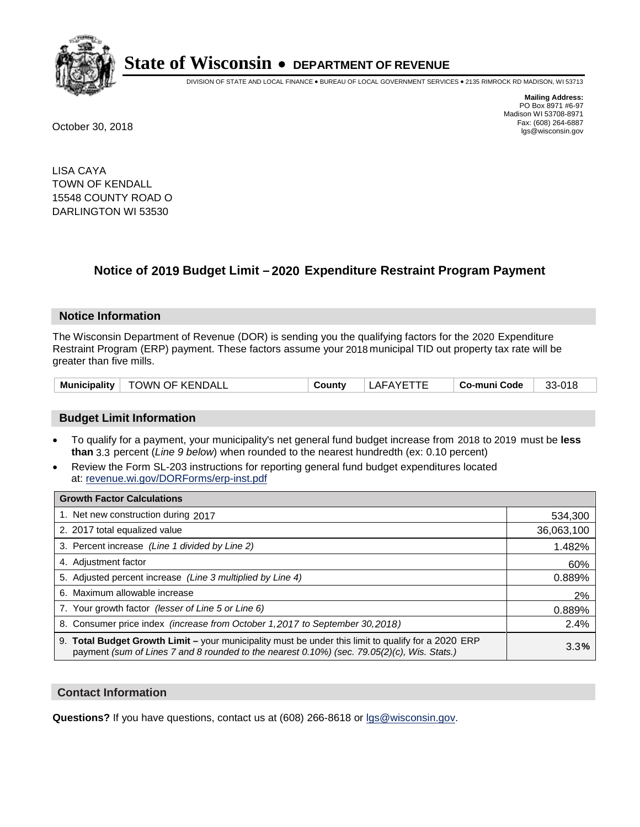

DIVISION OF STATE AND LOCAL FINANCE • BUREAU OF LOCAL GOVERNMENT SERVICES • 2135 RIMROCK RD MADISON, WI 53713

**Mailing Address:** PO Box 8971 #6-97 Madison WI 53708-8971<br>Fax: (608) 264-6887 Fax: (608) 264-6887 October 30, 2018 lgs@wisconsin.gov

LISA CAYA TOWN OF KENDALL 15548 COUNTY ROAD O DARLINGTON WI 53530

## **Notice of 2019 Budget Limit - 2020 Expenditure Restraint Program Payment**

#### **Notice Information**

The Wisconsin Department of Revenue (DOR) is sending you the qualifying factors for the 2020 Expenditure Restraint Program (ERP) payment. These factors assume your 2018 municipal TID out property tax rate will be greater than five mills.

| <b>TOWN OF KENDALL</b><br>Municipality | √Count | 'AFAYF L | Co-muni Code | $33-018$ |
|----------------------------------------|--------|----------|--------------|----------|
|----------------------------------------|--------|----------|--------------|----------|

#### **Budget Limit Information**

- To qualify for a payment, your municipality's net general fund budget increase from 2018 to 2019 must be less **than** 3.3 percent (*Line 9 below*) when rounded to the nearest hundredth (ex: 0.10 percent)
- Review the Form SL-203 instructions for reporting general fund budget expenditures located at: revenue.wi.gov/DORForms/erp-inst.pdf

| <b>Growth Factor Calculations</b>                                                                                                                                                                      |            |
|--------------------------------------------------------------------------------------------------------------------------------------------------------------------------------------------------------|------------|
| 1. Net new construction during 2017                                                                                                                                                                    | 534,300    |
| 2. 2017 total equalized value                                                                                                                                                                          | 36,063,100 |
| 3. Percent increase (Line 1 divided by Line 2)                                                                                                                                                         | 1.482%     |
| 4. Adjustment factor                                                                                                                                                                                   | 60%        |
| 5. Adjusted percent increase (Line 3 multiplied by Line 4)                                                                                                                                             | 0.889%     |
| 6. Maximum allowable increase                                                                                                                                                                          | 2%         |
| 7. Your growth factor (lesser of Line 5 or Line 6)                                                                                                                                                     | 0.889%     |
| 8. Consumer price index (increase from October 1, 2017 to September 30, 2018)                                                                                                                          | 2.4%       |
| 9. Total Budget Growth Limit - your municipality must be under this limit to qualify for a 2020 ERP<br>payment (sum of Lines 7 and 8 rounded to the nearest $0.10\%$ ) (sec. 79.05(2)(c), Wis. Stats.) | 3.3%       |

#### **Contact Information**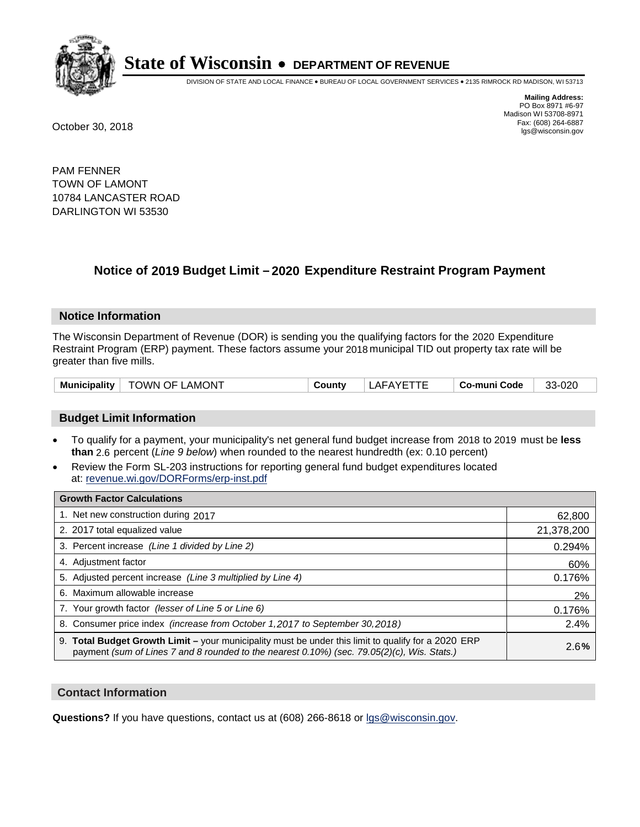

DIVISION OF STATE AND LOCAL FINANCE • BUREAU OF LOCAL GOVERNMENT SERVICES • 2135 RIMROCK RD MADISON, WI 53713

**Mailing Address:** PO Box 8971 #6-97 Madison WI 53708-8971<br>Fax: (608) 264-6887 Fax: (608) 264-6887 October 30, 2018 lgs@wisconsin.gov

PAM FENNER TOWN OF LAMONT 10784 LANCASTER ROAD DARLINGTON WI 53530

## **Notice of 2019 Budget Limit - 2020 Expenditure Restraint Program Payment**

#### **Notice Information**

The Wisconsin Department of Revenue (DOR) is sending you the qualifying factors for the 2020 Expenditure Restraint Program (ERP) payment. These factors assume your 2018 municipal TID out property tax rate will be greater than five mills.

| Municipality | <b>TOWN OF LAMONT</b> | County | LAFAYETTE | ⊩ Co-muni Code | 33-020 |
|--------------|-----------------------|--------|-----------|----------------|--------|
|--------------|-----------------------|--------|-----------|----------------|--------|

#### **Budget Limit Information**

- To qualify for a payment, your municipality's net general fund budget increase from 2018 to 2019 must be less **than** 2.6 percent (*Line 9 below*) when rounded to the nearest hundredth (ex: 0.10 percent)
- Review the Form SL-203 instructions for reporting general fund budget expenditures located at: revenue.wi.gov/DORForms/erp-inst.pdf

| <b>Growth Factor Calculations</b>                                                                                                                                                                      |            |
|--------------------------------------------------------------------------------------------------------------------------------------------------------------------------------------------------------|------------|
| 1. Net new construction during 2017                                                                                                                                                                    | 62,800     |
| 2. 2017 total equalized value                                                                                                                                                                          | 21,378,200 |
| 3. Percent increase (Line 1 divided by Line 2)                                                                                                                                                         | 0.294%     |
| 4. Adjustment factor                                                                                                                                                                                   | 60%        |
| 5. Adjusted percent increase (Line 3 multiplied by Line 4)                                                                                                                                             | 0.176%     |
| 6. Maximum allowable increase                                                                                                                                                                          | 2%         |
| 7. Your growth factor (lesser of Line 5 or Line 6)                                                                                                                                                     | 0.176%     |
| 8. Consumer price index (increase from October 1,2017 to September 30,2018)                                                                                                                            | 2.4%       |
| 9. Total Budget Growth Limit - your municipality must be under this limit to qualify for a 2020 ERP<br>payment (sum of Lines 7 and 8 rounded to the nearest $0.10\%$ ) (sec. 79.05(2)(c), Wis. Stats.) | 2.6%       |

#### **Contact Information**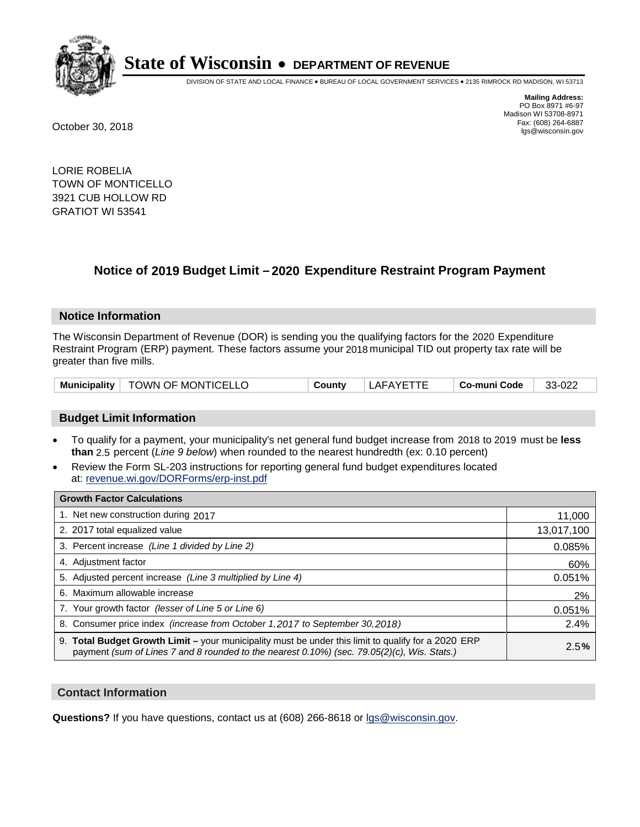

DIVISION OF STATE AND LOCAL FINANCE • BUREAU OF LOCAL GOVERNMENT SERVICES • 2135 RIMROCK RD MADISON, WI 53713

**Mailing Address:** PO Box 8971 #6-97 Madison WI 53708-8971<br>Fax: (608) 264-6887 Fax: (608) 264-6887 October 30, 2018 lgs@wisconsin.gov

LORIE ROBELIA TOWN OF MONTICELLO 3921 CUB HOLLOW RD GRATIOT WI 53541

## **Notice of 2019 Budget Limit - 2020 Expenditure Restraint Program Payment**

#### **Notice Information**

The Wisconsin Department of Revenue (DOR) is sending you the qualifying factors for the 2020 Expenditure Restraint Program (ERP) payment. These factors assume your 2018 municipal TID out property tax rate will be greater than five mills.

| Municipality | TOWN OF MONTICELLO | County | こハびに<br>AF. | <b>Co-muni Code</b> | nne<br>ົ<br>ے∠∪-י ^<br>ື |
|--------------|--------------------|--------|-------------|---------------------|--------------------------|
|--------------|--------------------|--------|-------------|---------------------|--------------------------|

#### **Budget Limit Information**

- To qualify for a payment, your municipality's net general fund budget increase from 2018 to 2019 must be less **than** 2.5 percent (*Line 9 below*) when rounded to the nearest hundredth (ex: 0.10 percent)
- Review the Form SL-203 instructions for reporting general fund budget expenditures located at: revenue.wi.gov/DORForms/erp-inst.pdf

| <b>Growth Factor Calculations</b>                                                                                                                                                                  |            |
|----------------------------------------------------------------------------------------------------------------------------------------------------------------------------------------------------|------------|
| 1. Net new construction during 2017                                                                                                                                                                | 11,000     |
| 2. 2017 total equalized value                                                                                                                                                                      | 13,017,100 |
| 3. Percent increase (Line 1 divided by Line 2)                                                                                                                                                     | 0.085%     |
| 4. Adjustment factor                                                                                                                                                                               | 60%        |
| 5. Adjusted percent increase (Line 3 multiplied by Line 4)                                                                                                                                         | 0.051%     |
| 6. Maximum allowable increase                                                                                                                                                                      | 2%         |
| 7. Your growth factor (lesser of Line 5 or Line 6)                                                                                                                                                 | 0.051%     |
| 8. Consumer price index (increase from October 1, 2017 to September 30, 2018)                                                                                                                      | 2.4%       |
| 9. Total Budget Growth Limit – your municipality must be under this limit to qualify for a 2020 ERP<br>payment (sum of Lines 7 and 8 rounded to the nearest 0.10%) (sec. 79.05(2)(c), Wis. Stats.) | 2.5%       |

#### **Contact Information**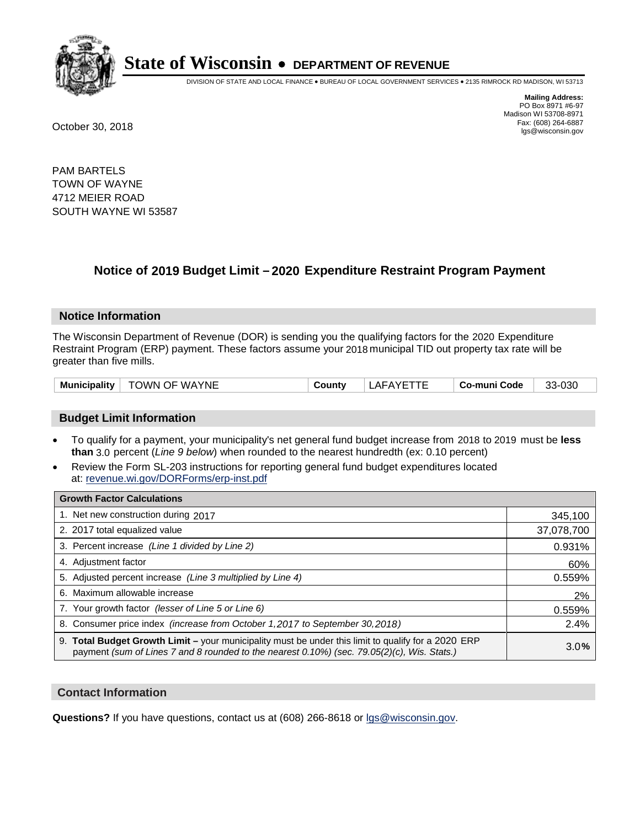

DIVISION OF STATE AND LOCAL FINANCE • BUREAU OF LOCAL GOVERNMENT SERVICES • 2135 RIMROCK RD MADISON, WI 53713

**Mailing Address:** PO Box 8971 #6-97 Madison WI 53708-8971<br>Fax: (608) 264-6887 Fax: (608) 264-6887 October 30, 2018 lgs@wisconsin.gov

PAM BARTELS TOWN OF WAYNE 4712 MEIER ROAD SOUTH WAYNE WI 53587

### **Notice of 2019 Budget Limit - 2020 Expenditure Restraint Program Payment**

#### **Notice Information**

The Wisconsin Department of Revenue (DOR) is sending you the qualifying factors for the 2020 Expenditure Restraint Program (ERP) payment. These factors assume your 2018 municipal TID out property tax rate will be greater than five mills.

#### **Budget Limit Information**

- To qualify for a payment, your municipality's net general fund budget increase from 2018 to 2019 must be less **than** 3.0 percent (*Line 9 below*) when rounded to the nearest hundredth (ex: 0.10 percent)
- Review the Form SL-203 instructions for reporting general fund budget expenditures located at: revenue.wi.gov/DORForms/erp-inst.pdf

| <b>Growth Factor Calculations</b>                                                                                                                                                                      |            |
|--------------------------------------------------------------------------------------------------------------------------------------------------------------------------------------------------------|------------|
| 1. Net new construction during 2017                                                                                                                                                                    | 345,100    |
| 2. 2017 total equalized value                                                                                                                                                                          | 37,078,700 |
| 3. Percent increase (Line 1 divided by Line 2)                                                                                                                                                         | 0.931%     |
| 4. Adjustment factor                                                                                                                                                                                   | 60%        |
| 5. Adjusted percent increase (Line 3 multiplied by Line 4)                                                                                                                                             | 0.559%     |
| 6. Maximum allowable increase                                                                                                                                                                          | 2%         |
| 7. Your growth factor (lesser of Line 5 or Line 6)                                                                                                                                                     | 0.559%     |
| 8. Consumer price index (increase from October 1,2017 to September 30,2018)                                                                                                                            | 2.4%       |
| 9. Total Budget Growth Limit - your municipality must be under this limit to qualify for a 2020 ERP<br>payment (sum of Lines 7 and 8 rounded to the nearest $0.10\%$ ) (sec. 79.05(2)(c), Wis. Stats.) | 3.0%       |

#### **Contact Information**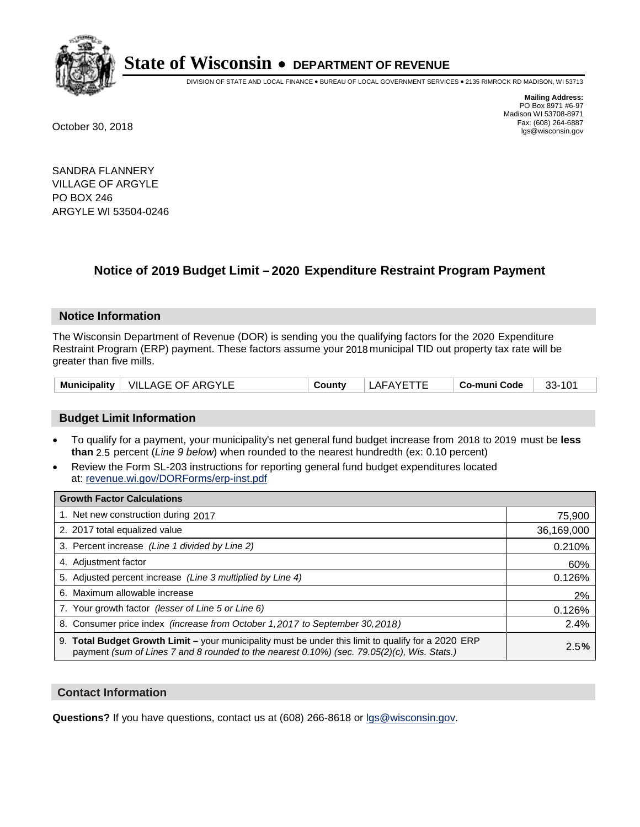

DIVISION OF STATE AND LOCAL FINANCE • BUREAU OF LOCAL GOVERNMENT SERVICES • 2135 RIMROCK RD MADISON, WI 53713

**Mailing Address:** PO Box 8971 #6-97 Madison WI 53708-8971<br>Fax: (608) 264-6887 Fax: (608) 264-6887 October 30, 2018 lgs@wisconsin.gov

SANDRA FLANNERY VILLAGE OF ARGYLE PO BOX 246 ARGYLE WI 53504-0246

## **Notice of 2019 Budget Limit - 2020 Expenditure Restraint Program Payment**

#### **Notice Information**

The Wisconsin Department of Revenue (DOR) is sending you the qualifying factors for the 2020 Expenditure Restraint Program (ERP) payment. These factors assume your 2018 municipal TID out property tax rate will be greater than five mills.

|  | Municipality   VILLAGE OF ARGYLE | County | LAFAYETTE | ⊦ Co-muni Code | $33 - 101$ |
|--|----------------------------------|--------|-----------|----------------|------------|
|--|----------------------------------|--------|-----------|----------------|------------|

#### **Budget Limit Information**

- To qualify for a payment, your municipality's net general fund budget increase from 2018 to 2019 must be less **than** 2.5 percent (*Line 9 below*) when rounded to the nearest hundredth (ex: 0.10 percent)
- Review the Form SL-203 instructions for reporting general fund budget expenditures located at: revenue.wi.gov/DORForms/erp-inst.pdf

| <b>Growth Factor Calculations</b>                                                                                                                                                                      |            |
|--------------------------------------------------------------------------------------------------------------------------------------------------------------------------------------------------------|------------|
| 1. Net new construction during 2017                                                                                                                                                                    | 75,900     |
| 2. 2017 total equalized value                                                                                                                                                                          | 36,169,000 |
| 3. Percent increase (Line 1 divided by Line 2)                                                                                                                                                         | 0.210%     |
| 4. Adjustment factor                                                                                                                                                                                   | 60%        |
| 5. Adjusted percent increase (Line 3 multiplied by Line 4)                                                                                                                                             | 0.126%     |
| 6. Maximum allowable increase                                                                                                                                                                          | 2%         |
| 7. Your growth factor (lesser of Line 5 or Line 6)                                                                                                                                                     | 0.126%     |
| 8. Consumer price index (increase from October 1, 2017 to September 30, 2018)                                                                                                                          | 2.4%       |
| 9. Total Budget Growth Limit - your municipality must be under this limit to qualify for a 2020 ERP<br>payment (sum of Lines 7 and 8 rounded to the nearest $0.10\%$ ) (sec. 79.05(2)(c), Wis. Stats.) | 2.5%       |

#### **Contact Information**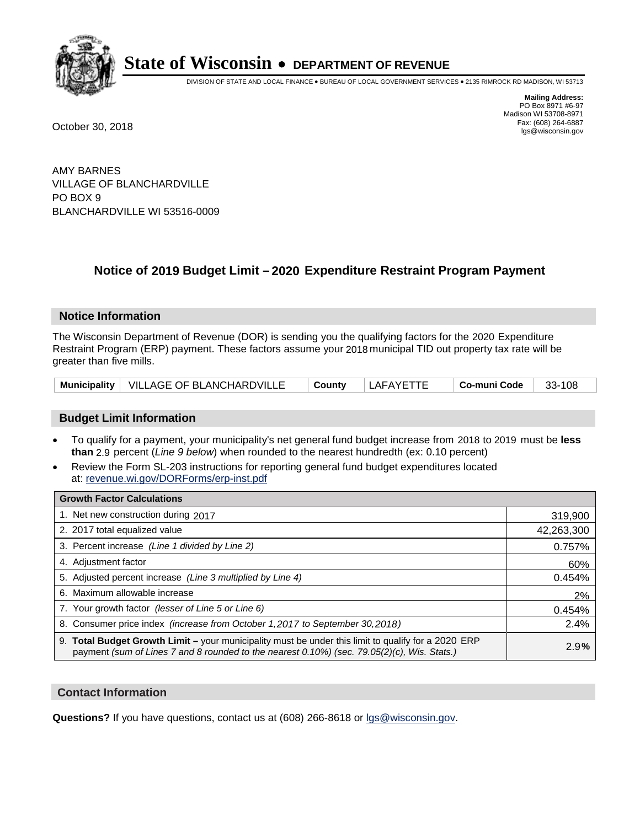

DIVISION OF STATE AND LOCAL FINANCE • BUREAU OF LOCAL GOVERNMENT SERVICES • 2135 RIMROCK RD MADISON, WI 53713

**Mailing Address:** PO Box 8971 #6-97 Madison WI 53708-8971<br>Fax: (608) 264-6887 Fax: (608) 264-6887 October 30, 2018 lgs@wisconsin.gov

AMY BARNES VILLAGE OF BLANCHARDVILLE PO BOX 9 BLANCHARDVILLE WI 53516-0009

### **Notice of 2019 Budget Limit - 2020 Expenditure Restraint Program Payment**

#### **Notice Information**

The Wisconsin Department of Revenue (DOR) is sending you the qualifying factors for the 2020 Expenditure Restraint Program (ERP) payment. These factors assume your 2018 municipal TID out property tax rate will be greater than five mills.

|  | Municipality   VILLAGE OF BLANCHARDVILLE | <sup>⊥</sup> Countv | LAFAYETTE | ∣ Co-muni Code | 33-108 |
|--|------------------------------------------|---------------------|-----------|----------------|--------|
|--|------------------------------------------|---------------------|-----------|----------------|--------|

#### **Budget Limit Information**

- To qualify for a payment, your municipality's net general fund budget increase from 2018 to 2019 must be less **than** 2.9 percent (*Line 9 below*) when rounded to the nearest hundredth (ex: 0.10 percent)
- Review the Form SL-203 instructions for reporting general fund budget expenditures located at: revenue.wi.gov/DORForms/erp-inst.pdf

| <b>Growth Factor Calculations</b>                                                                                                                                                                      |            |
|--------------------------------------------------------------------------------------------------------------------------------------------------------------------------------------------------------|------------|
| 1. Net new construction during 2017                                                                                                                                                                    | 319,900    |
| 2. 2017 total equalized value                                                                                                                                                                          | 42,263,300 |
| 3. Percent increase (Line 1 divided by Line 2)                                                                                                                                                         | 0.757%     |
| 4. Adjustment factor                                                                                                                                                                                   | 60%        |
| 5. Adjusted percent increase (Line 3 multiplied by Line 4)                                                                                                                                             | 0.454%     |
| 6. Maximum allowable increase                                                                                                                                                                          | 2%         |
| 7. Your growth factor (lesser of Line 5 or Line 6)                                                                                                                                                     | 0.454%     |
| 8. Consumer price index (increase from October 1,2017 to September 30,2018)                                                                                                                            | 2.4%       |
| 9. Total Budget Growth Limit - your municipality must be under this limit to qualify for a 2020 ERP<br>payment (sum of Lines 7 and 8 rounded to the nearest $0.10\%$ ) (sec. 79.05(2)(c), Wis. Stats.) | 2.9%       |

#### **Contact Information**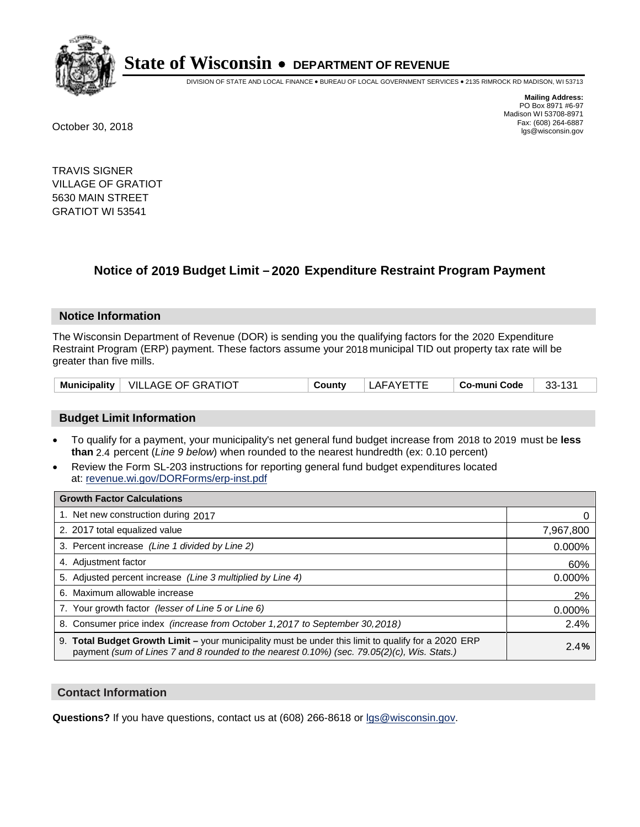

DIVISION OF STATE AND LOCAL FINANCE • BUREAU OF LOCAL GOVERNMENT SERVICES • 2135 RIMROCK RD MADISON, WI 53713

**Mailing Address:** PO Box 8971 #6-97 Madison WI 53708-8971<br>Fax: (608) 264-6887 Fax: (608) 264-6887 October 30, 2018 lgs@wisconsin.gov

TRAVIS SIGNER VILLAGE OF GRATIOT 5630 MAIN STREET GRATIOT WI 53541

## **Notice of 2019 Budget Limit - 2020 Expenditure Restraint Program Payment**

#### **Notice Information**

The Wisconsin Department of Revenue (DOR) is sending you the qualifying factors for the 2020 Expenditure Restraint Program (ERP) payment. These factors assume your 2018 municipal TID out property tax rate will be greater than five mills.

| Municipality | <b>VILLAGE OF GRATIOT</b> | ີດuntv | LAFAYETTE | . Co-muni Code | 33-131 |
|--------------|---------------------------|--------|-----------|----------------|--------|
|--------------|---------------------------|--------|-----------|----------------|--------|

#### **Budget Limit Information**

- To qualify for a payment, your municipality's net general fund budget increase from 2018 to 2019 must be less **than** 2.4 percent (*Line 9 below*) when rounded to the nearest hundredth (ex: 0.10 percent)
- Review the Form SL-203 instructions for reporting general fund budget expenditures located at: revenue.wi.gov/DORForms/erp-inst.pdf

| <b>Growth Factor Calculations</b>                                                                                                                                                                  |           |
|----------------------------------------------------------------------------------------------------------------------------------------------------------------------------------------------------|-----------|
| 1. Net new construction during 2017                                                                                                                                                                |           |
| 2. 2017 total equalized value                                                                                                                                                                      | 7,967,800 |
| 3. Percent increase (Line 1 divided by Line 2)                                                                                                                                                     | 0.000%    |
| 4. Adjustment factor                                                                                                                                                                               | 60%       |
| 5. Adjusted percent increase (Line 3 multiplied by Line 4)                                                                                                                                         | 0.000%    |
| 6. Maximum allowable increase                                                                                                                                                                      | 2%        |
| 7. Your growth factor (lesser of Line 5 or Line 6)                                                                                                                                                 | 0.000%    |
| 8. Consumer price index (increase from October 1, 2017 to September 30, 2018)                                                                                                                      | 2.4%      |
| 9. Total Budget Growth Limit - your municipality must be under this limit to qualify for a 2020 ERP<br>payment (sum of Lines 7 and 8 rounded to the nearest 0.10%) (sec. 79.05(2)(c), Wis. Stats.) | 2.4%      |

#### **Contact Information**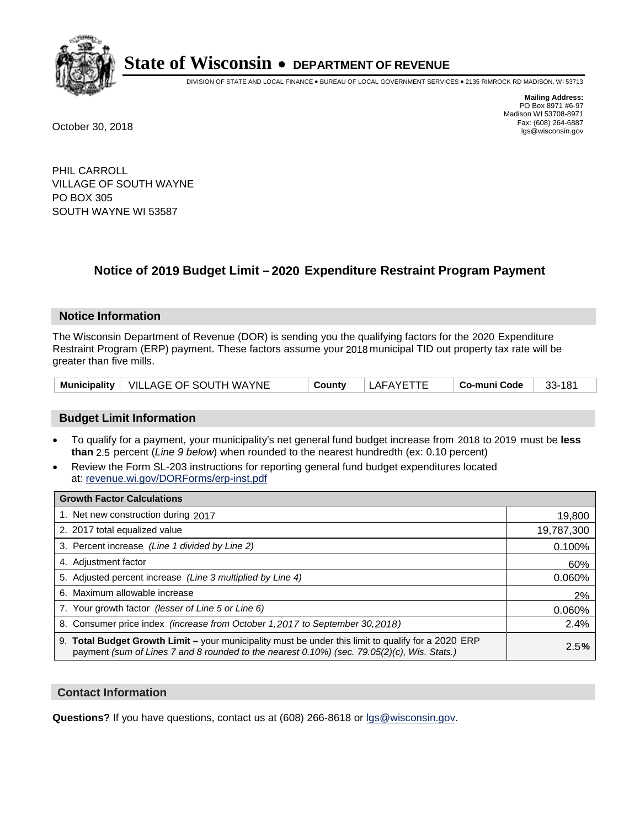

DIVISION OF STATE AND LOCAL FINANCE • BUREAU OF LOCAL GOVERNMENT SERVICES • 2135 RIMROCK RD MADISON, WI 53713

**Mailing Address:** PO Box 8971 #6-97 Madison WI 53708-8971<br>Fax: (608) 264-6887 Fax: (608) 264-6887 October 30, 2018 lgs@wisconsin.gov

PHIL CARROLL VILLAGE OF SOUTH WAYNE PO BOX 305 SOUTH WAYNE WI 53587

## **Notice of 2019 Budget Limit - 2020 Expenditure Restraint Program Payment**

#### **Notice Information**

The Wisconsin Department of Revenue (DOR) is sending you the qualifying factors for the 2020 Expenditure Restraint Program (ERP) payment. These factors assume your 2018 municipal TID out property tax rate will be greater than five mills.

|  | Municipality   VILLAGE OF SOUTH WAYNE | County | LAFAYETTE | ⊤ Co-muni Code | 181<br>33- |
|--|---------------------------------------|--------|-----------|----------------|------------|
|--|---------------------------------------|--------|-----------|----------------|------------|

#### **Budget Limit Information**

- To qualify for a payment, your municipality's net general fund budget increase from 2018 to 2019 must be less **than** 2.5 percent (*Line 9 below*) when rounded to the nearest hundredth (ex: 0.10 percent)
- Review the Form SL-203 instructions for reporting general fund budget expenditures located at: revenue.wi.gov/DORForms/erp-inst.pdf

| <b>Growth Factor Calculations</b>                                                                                                                                                                      |            |
|--------------------------------------------------------------------------------------------------------------------------------------------------------------------------------------------------------|------------|
| 1. Net new construction during 2017                                                                                                                                                                    | 19,800     |
| 2. 2017 total equalized value                                                                                                                                                                          | 19,787,300 |
| 3. Percent increase (Line 1 divided by Line 2)                                                                                                                                                         | 0.100%     |
| 4. Adjustment factor                                                                                                                                                                                   | 60%        |
| 5. Adjusted percent increase (Line 3 multiplied by Line 4)                                                                                                                                             | 0.060%     |
| 6. Maximum allowable increase                                                                                                                                                                          | 2%         |
| 7. Your growth factor (lesser of Line 5 or Line 6)                                                                                                                                                     | 0.060%     |
| 8. Consumer price index (increase from October 1, 2017 to September 30, 2018)                                                                                                                          | 2.4%       |
| 9. Total Budget Growth Limit - your municipality must be under this limit to qualify for a 2020 ERP<br>payment (sum of Lines 7 and 8 rounded to the nearest $0.10\%$ ) (sec. 79.05(2)(c), Wis. Stats.) | 2.5%       |

#### **Contact Information**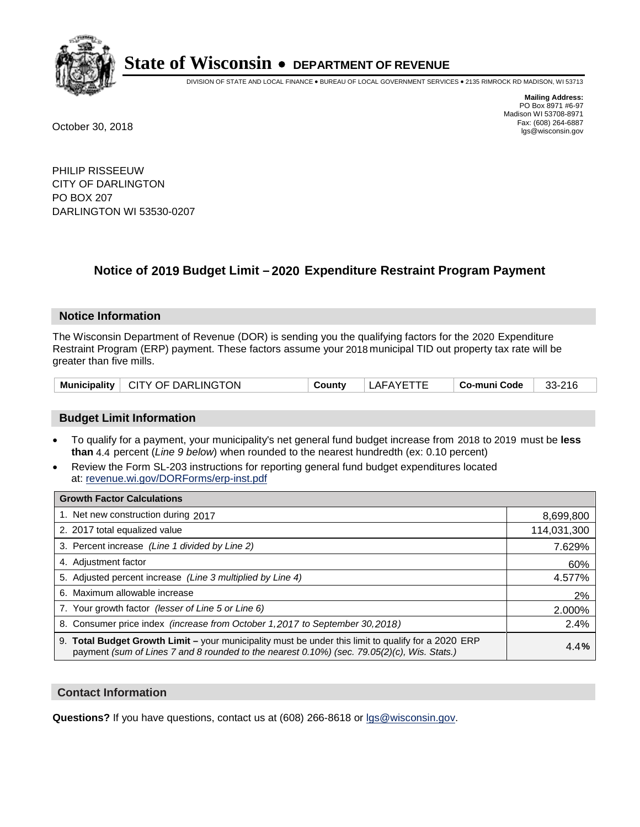

DIVISION OF STATE AND LOCAL FINANCE • BUREAU OF LOCAL GOVERNMENT SERVICES • 2135 RIMROCK RD MADISON, WI 53713

**Mailing Address:** PO Box 8971 #6-97 Madison WI 53708-8971<br>Fax: (608) 264-6887 Fax: (608) 264-6887 October 30, 2018 lgs@wisconsin.gov

PHILIP RISSEEUW CITY OF DARLINGTON PO BOX 207 DARLINGTON WI 53530-0207

## **Notice of 2019 Budget Limit - 2020 Expenditure Restraint Program Payment**

#### **Notice Information**

The Wisconsin Department of Revenue (DOR) is sending you the qualifying factors for the 2020 Expenditure Restraint Program (ERP) payment. These factors assume your 2018 municipal TID out property tax rate will be greater than five mills.

| Municipality | CITY OF DARLINGTON | ∴ount∨ | 'NVE<br>AFA | Co-muni Code | 33-216 |
|--------------|--------------------|--------|-------------|--------------|--------|
|--------------|--------------------|--------|-------------|--------------|--------|

#### **Budget Limit Information**

- To qualify for a payment, your municipality's net general fund budget increase from 2018 to 2019 must be less **than** 4.4 percent (*Line 9 below*) when rounded to the nearest hundredth (ex: 0.10 percent)
- Review the Form SL-203 instructions for reporting general fund budget expenditures located at: revenue.wi.gov/DORForms/erp-inst.pdf

| <b>Growth Factor Calculations</b>                                                                                                                                                                      |             |
|--------------------------------------------------------------------------------------------------------------------------------------------------------------------------------------------------------|-------------|
| 1. Net new construction during 2017                                                                                                                                                                    | 8,699,800   |
| 2. 2017 total equalized value                                                                                                                                                                          | 114,031,300 |
| 3. Percent increase (Line 1 divided by Line 2)                                                                                                                                                         | 7.629%      |
| 4. Adjustment factor                                                                                                                                                                                   | 60%         |
| 5. Adjusted percent increase (Line 3 multiplied by Line 4)                                                                                                                                             | 4.577%      |
| 6. Maximum allowable increase                                                                                                                                                                          | 2%          |
| 7. Your growth factor (lesser of Line 5 or Line 6)                                                                                                                                                     | 2.000%      |
| 8. Consumer price index (increase from October 1,2017 to September 30,2018)                                                                                                                            | 2.4%        |
| 9. Total Budget Growth Limit - your municipality must be under this limit to qualify for a 2020 ERP<br>payment (sum of Lines 7 and 8 rounded to the nearest $0.10\%$ ) (sec. 79.05(2)(c), Wis. Stats.) | 4.4%        |

#### **Contact Information**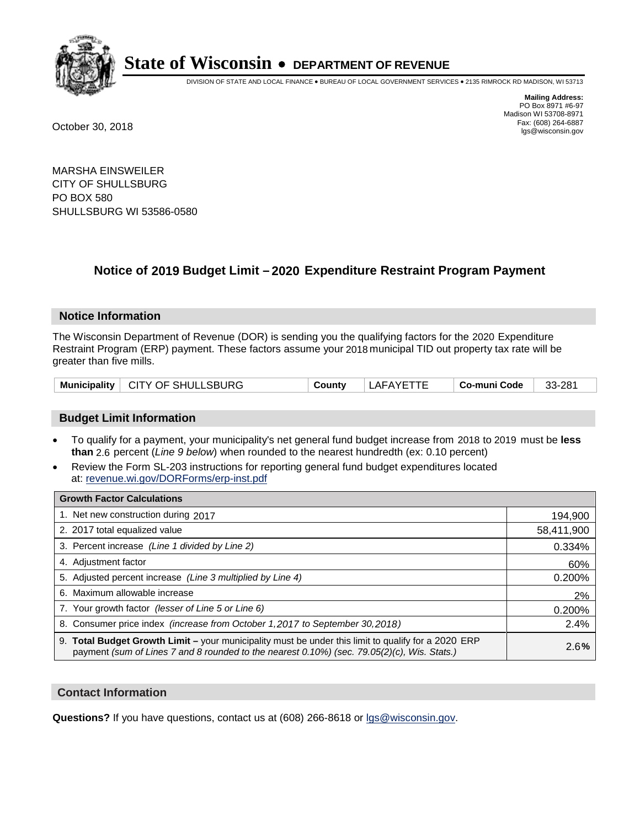

DIVISION OF STATE AND LOCAL FINANCE • BUREAU OF LOCAL GOVERNMENT SERVICES • 2135 RIMROCK RD MADISON, WI 53713

**Mailing Address:** PO Box 8971 #6-97 Madison WI 53708-8971<br>Fax: (608) 264-6887 Fax: (608) 264-6887 October 30, 2018 lgs@wisconsin.gov

MARSHA EINSWEILER CITY OF SHULLSBURG PO BOX 580 SHULLSBURG WI 53586-0580

## **Notice of 2019 Budget Limit - 2020 Expenditure Restraint Program Payment**

#### **Notice Information**

The Wisconsin Department of Revenue (DOR) is sending you the qualifying factors for the 2020 Expenditure Restraint Program (ERP) payment. These factors assume your 2018 municipal TID out property tax rate will be greater than five mills.

|  | Municipality   CITY OF SHULLSBURG | County | LAFAYETTE | Co-muni Code | 33-281 |
|--|-----------------------------------|--------|-----------|--------------|--------|
|--|-----------------------------------|--------|-----------|--------------|--------|

#### **Budget Limit Information**

- To qualify for a payment, your municipality's net general fund budget increase from 2018 to 2019 must be less **than** 2.6 percent (*Line 9 below*) when rounded to the nearest hundredth (ex: 0.10 percent)
- Review the Form SL-203 instructions for reporting general fund budget expenditures located at: revenue.wi.gov/DORForms/erp-inst.pdf

| <b>Growth Factor Calculations</b>                                                                                                                                                                      |            |
|--------------------------------------------------------------------------------------------------------------------------------------------------------------------------------------------------------|------------|
| 1. Net new construction during 2017                                                                                                                                                                    | 194,900    |
| 2. 2017 total equalized value                                                                                                                                                                          | 58,411,900 |
| 3. Percent increase (Line 1 divided by Line 2)                                                                                                                                                         | 0.334%     |
| 4. Adjustment factor                                                                                                                                                                                   | 60%        |
| 5. Adjusted percent increase (Line 3 multiplied by Line 4)                                                                                                                                             | 0.200%     |
| 6. Maximum allowable increase                                                                                                                                                                          | 2%         |
| 7. Your growth factor (lesser of Line 5 or Line 6)                                                                                                                                                     | 0.200%     |
| 8. Consumer price index (increase from October 1,2017 to September 30,2018)                                                                                                                            | 2.4%       |
| 9. Total Budget Growth Limit - your municipality must be under this limit to qualify for a 2020 ERP<br>payment (sum of Lines 7 and 8 rounded to the nearest $0.10\%$ ) (sec. 79.05(2)(c), Wis. Stats.) | 2.6%       |

#### **Contact Information**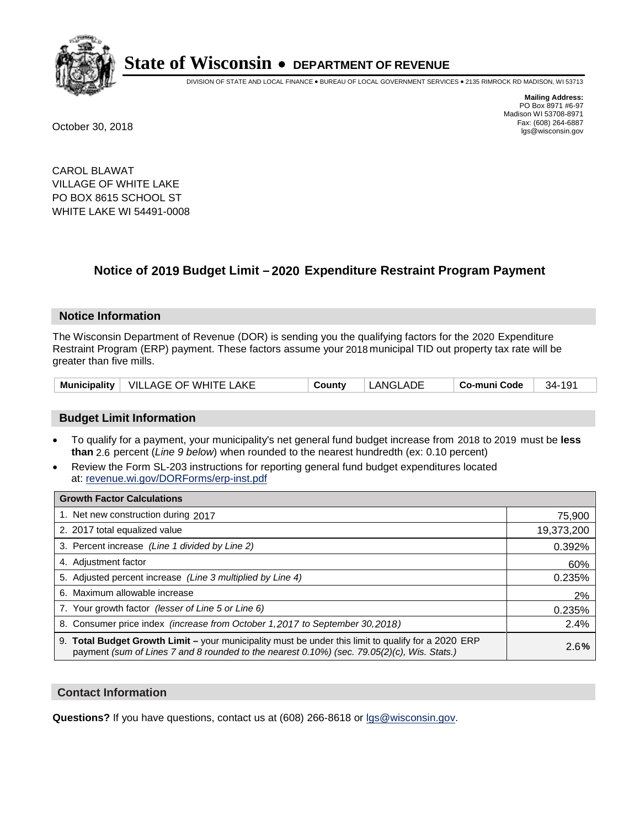

DIVISION OF STATE AND LOCAL FINANCE • BUREAU OF LOCAL GOVERNMENT SERVICES • 2135 RIMROCK RD MADISON, WI 53713

**Mailing Address:** PO Box 8971 #6-97 Madison WI 53708-8971<br>Fax: (608) 264-6887 Fax: (608) 264-6887 October 30, 2018 lgs@wisconsin.gov

CAROL BLAWAT VILLAGE OF WHITE LAKE PO BOX 8615 SCHOOL ST WHITE LAKE WI 54491-0008

## **Notice of 2019 Budget Limit - 2020 Expenditure Restraint Program Payment**

#### **Notice Information**

The Wisconsin Department of Revenue (DOR) is sending you the qualifying factors for the 2020 Expenditure Restraint Program (ERP) payment. These factors assume your 2018 municipal TID out property tax rate will be greater than five mills.

|  | Municipality   VILLAGE OF WHITE LAKE | Countv | LANGLADE | Co-muni Code | $34 - 191$ |
|--|--------------------------------------|--------|----------|--------------|------------|
|--|--------------------------------------|--------|----------|--------------|------------|

#### **Budget Limit Information**

- To qualify for a payment, your municipality's net general fund budget increase from 2018 to 2019 must be less **than** 2.6 percent (*Line 9 below*) when rounded to the nearest hundredth (ex: 0.10 percent)
- Review the Form SL-203 instructions for reporting general fund budget expenditures located at: revenue.wi.gov/DORForms/erp-inst.pdf

| <b>Growth Factor Calculations</b>                                                                                                                                                                      |            |
|--------------------------------------------------------------------------------------------------------------------------------------------------------------------------------------------------------|------------|
| 1. Net new construction during 2017                                                                                                                                                                    | 75,900     |
| 2. 2017 total equalized value                                                                                                                                                                          | 19,373,200 |
| 3. Percent increase (Line 1 divided by Line 2)                                                                                                                                                         | 0.392%     |
| 4. Adjustment factor                                                                                                                                                                                   | 60%        |
| 5. Adjusted percent increase (Line 3 multiplied by Line 4)                                                                                                                                             | 0.235%     |
| 6. Maximum allowable increase                                                                                                                                                                          | 2%         |
| 7. Your growth factor (lesser of Line 5 or Line 6)                                                                                                                                                     | 0.235%     |
| 8. Consumer price index (increase from October 1, 2017 to September 30, 2018)                                                                                                                          | 2.4%       |
| 9. Total Budget Growth Limit - your municipality must be under this limit to qualify for a 2020 ERP<br>payment (sum of Lines 7 and 8 rounded to the nearest $0.10\%$ ) (sec. 79.05(2)(c), Wis. Stats.) | 2.6%       |

#### **Contact Information**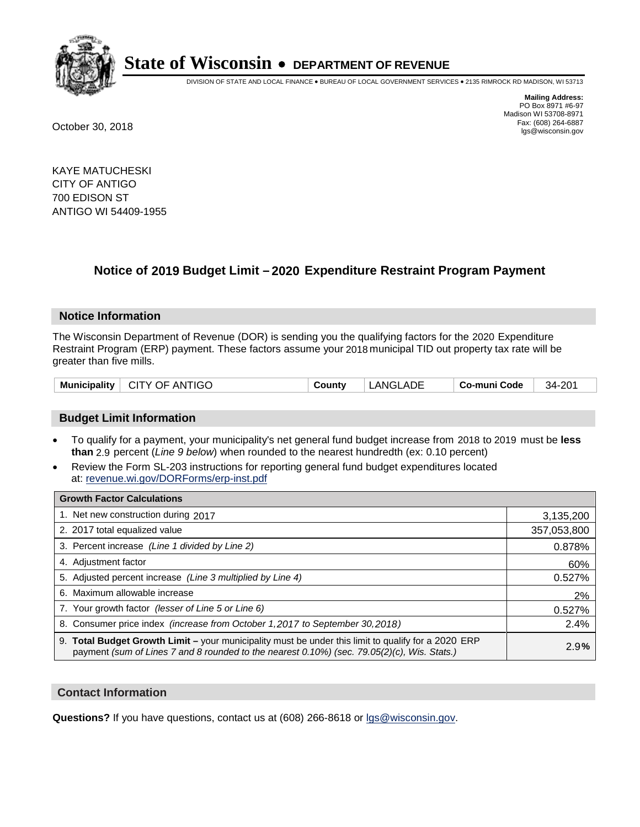

DIVISION OF STATE AND LOCAL FINANCE • BUREAU OF LOCAL GOVERNMENT SERVICES • 2135 RIMROCK RD MADISON, WI 53713

**Mailing Address:** PO Box 8971 #6-97 Madison WI 53708-8971<br>Fax: (608) 264-6887 Fax: (608) 264-6887 October 30, 2018 lgs@wisconsin.gov

KAYE MATUCHESKI CITY OF ANTIGO 700 EDISON ST ANTIGO WI 54409-1955

## **Notice of 2019 Budget Limit - 2020 Expenditure Restraint Program Payment**

#### **Notice Information**

The Wisconsin Department of Revenue (DOR) is sending you the qualifying factors for the 2020 Expenditure Restraint Program (ERP) payment. These factors assume your 2018 municipal TID out property tax rate will be greater than five mills.

| Municipality   CITY OF ANTIGO | County | LANGLADE | Co-muni Code | 34-201 |
|-------------------------------|--------|----------|--------------|--------|
|-------------------------------|--------|----------|--------------|--------|

#### **Budget Limit Information**

- To qualify for a payment, your municipality's net general fund budget increase from 2018 to 2019 must be less **than** 2.9 percent (*Line 9 below*) when rounded to the nearest hundredth (ex: 0.10 percent)
- Review the Form SL-203 instructions for reporting general fund budget expenditures located at: revenue.wi.gov/DORForms/erp-inst.pdf

| <b>Growth Factor Calculations</b>                                                                                                                                                                  |             |
|----------------------------------------------------------------------------------------------------------------------------------------------------------------------------------------------------|-------------|
| 1. Net new construction during 2017                                                                                                                                                                | 3,135,200   |
| 2. 2017 total equalized value                                                                                                                                                                      | 357,053,800 |
| 3. Percent increase (Line 1 divided by Line 2)                                                                                                                                                     | 0.878%      |
| 4. Adiustment factor                                                                                                                                                                               | 60%         |
| 5. Adjusted percent increase (Line 3 multiplied by Line 4)                                                                                                                                         | 0.527%      |
| 6. Maximum allowable increase                                                                                                                                                                      | 2%          |
| 7. Your growth factor (lesser of Line 5 or Line 6)                                                                                                                                                 | 0.527%      |
| 8. Consumer price index (increase from October 1,2017 to September 30,2018)                                                                                                                        | 2.4%        |
| 9. Total Budget Growth Limit - your municipality must be under this limit to qualify for a 2020 ERP<br>payment (sum of Lines 7 and 8 rounded to the nearest 0.10%) (sec. 79.05(2)(c), Wis. Stats.) | 2.9%        |

#### **Contact Information**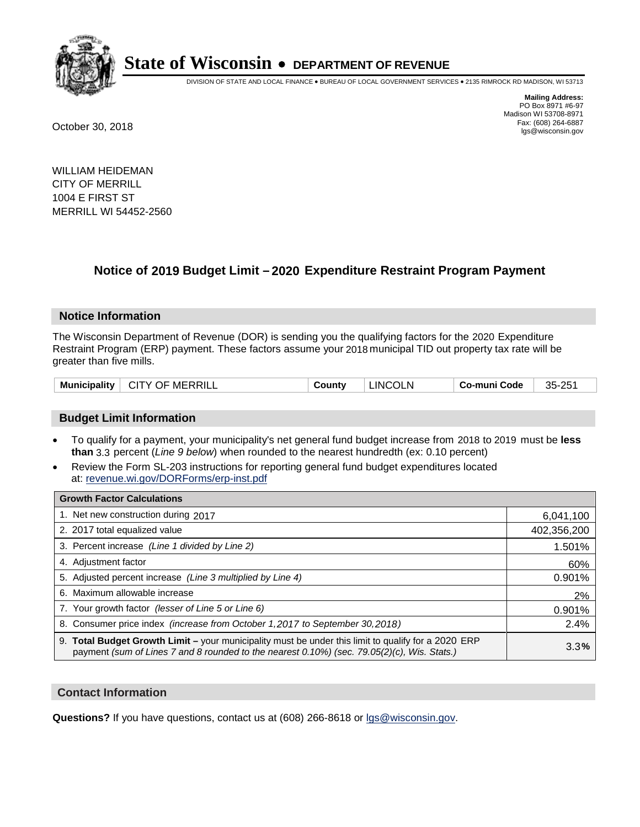

DIVISION OF STATE AND LOCAL FINANCE • BUREAU OF LOCAL GOVERNMENT SERVICES • 2135 RIMROCK RD MADISON, WI 53713

**Mailing Address:** PO Box 8971 #6-97 Madison WI 53708-8971<br>Fax: (608) 264-6887 Fax: (608) 264-6887 October 30, 2018 lgs@wisconsin.gov

WILLIAM HEIDEMAN CITY OF MERRILL 1004 E FIRST ST MERRILL WI 54452-2560

## **Notice of 2019 Budget Limit - 2020 Expenditure Restraint Program Payment**

#### **Notice Information**

The Wisconsin Department of Revenue (DOR) is sending you the qualifying factors for the 2020 Expenditure Restraint Program (ERP) payment. These factors assume your 2018 municipal TID out property tax rate will be greater than five mills.

|  | <b>Municipality</b> | $\perp$ CITY OF MERRILL | County | <b>LINCOLN</b> | Co-muni Code | 35-251 |
|--|---------------------|-------------------------|--------|----------------|--------------|--------|
|--|---------------------|-------------------------|--------|----------------|--------------|--------|

#### **Budget Limit Information**

- To qualify for a payment, your municipality's net general fund budget increase from 2018 to 2019 must be less **than** 3.3 percent (*Line 9 below*) when rounded to the nearest hundredth (ex: 0.10 percent)
- Review the Form SL-203 instructions for reporting general fund budget expenditures located at: revenue.wi.gov/DORForms/erp-inst.pdf

| <b>Growth Factor Calculations</b>                                                                                                                                                                      |             |
|--------------------------------------------------------------------------------------------------------------------------------------------------------------------------------------------------------|-------------|
| 1. Net new construction during 2017                                                                                                                                                                    | 6,041,100   |
| 2. 2017 total equalized value                                                                                                                                                                          | 402,356,200 |
| 3. Percent increase (Line 1 divided by Line 2)                                                                                                                                                         | 1.501%      |
| 4. Adjustment factor                                                                                                                                                                                   | 60%         |
| 5. Adjusted percent increase (Line 3 multiplied by Line 4)                                                                                                                                             | 0.901%      |
| 6. Maximum allowable increase                                                                                                                                                                          | 2%          |
| 7. Your growth factor (lesser of Line 5 or Line 6)                                                                                                                                                     | 0.901%      |
| 8. Consumer price index (increase from October 1,2017 to September 30,2018)                                                                                                                            | 2.4%        |
| 9. Total Budget Growth Limit - your municipality must be under this limit to qualify for a 2020 ERP<br>payment (sum of Lines 7 and 8 rounded to the nearest $0.10\%$ ) (sec. 79.05(2)(c), Wis. Stats.) | 3.3%        |

#### **Contact Information**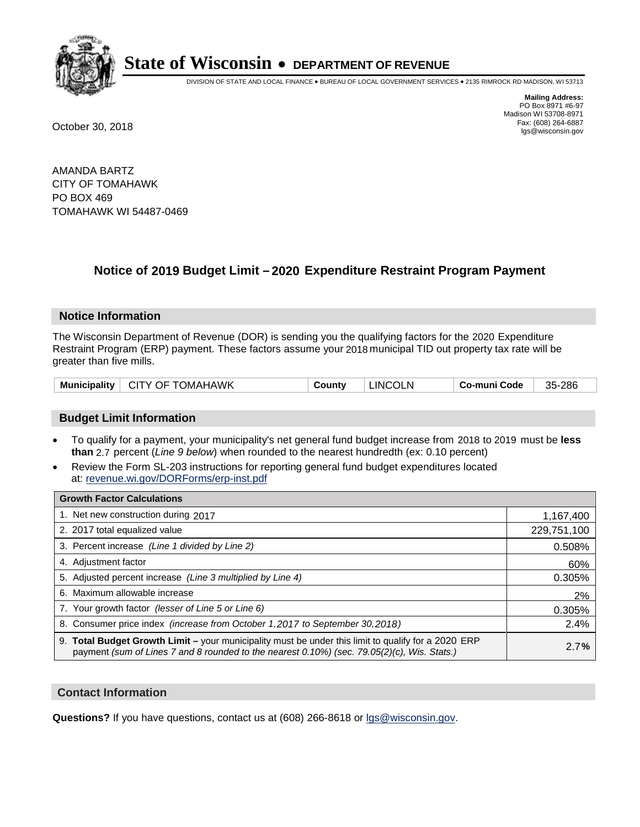

DIVISION OF STATE AND LOCAL FINANCE • BUREAU OF LOCAL GOVERNMENT SERVICES • 2135 RIMROCK RD MADISON, WI 53713

**Mailing Address:** PO Box 8971 #6-97 Madison WI 53708-8971<br>Fax: (608) 264-6887 Fax: (608) 264-6887 October 30, 2018 lgs@wisconsin.gov

AMANDA BARTZ CITY OF TOMAHAWK PO BOX 469 TOMAHAWK WI 54487-0469

## **Notice of 2019 Budget Limit - 2020 Expenditure Restraint Program Payment**

#### **Notice Information**

The Wisconsin Department of Revenue (DOR) is sending you the qualifying factors for the 2020 Expenditure Restraint Program (ERP) payment. These factors assume your 2018 municipal TID out property tax rate will be greater than five mills.

| Municipality   CITY OF TOMAHAWK |  | County | <b>LINCOLN</b> | Co-muni Code | 35-286 |
|---------------------------------|--|--------|----------------|--------------|--------|
|---------------------------------|--|--------|----------------|--------------|--------|

#### **Budget Limit Information**

- To qualify for a payment, your municipality's net general fund budget increase from 2018 to 2019 must be less **than** 2.7 percent (*Line 9 below*) when rounded to the nearest hundredth (ex: 0.10 percent)
- Review the Form SL-203 instructions for reporting general fund budget expenditures located at: revenue.wi.gov/DORForms/erp-inst.pdf

| <b>Growth Factor Calculations</b>                                                                                                                                                                      |             |
|--------------------------------------------------------------------------------------------------------------------------------------------------------------------------------------------------------|-------------|
| 1. Net new construction during 2017                                                                                                                                                                    | 1,167,400   |
| 2. 2017 total equalized value                                                                                                                                                                          | 229,751,100 |
| 3. Percent increase (Line 1 divided by Line 2)                                                                                                                                                         | 0.508%      |
| 4. Adjustment factor                                                                                                                                                                                   | 60%         |
| 5. Adjusted percent increase (Line 3 multiplied by Line 4)                                                                                                                                             | 0.305%      |
| 6. Maximum allowable increase                                                                                                                                                                          | 2%          |
| 7. Your growth factor (lesser of Line 5 or Line 6)                                                                                                                                                     | 0.305%      |
| 8. Consumer price index (increase from October 1,2017 to September 30,2018)                                                                                                                            | 2.4%        |
| 9. Total Budget Growth Limit - your municipality must be under this limit to qualify for a 2020 ERP<br>payment (sum of Lines 7 and 8 rounded to the nearest $0.10\%$ ) (sec. 79.05(2)(c), Wis. Stats.) | 2.7%        |

#### **Contact Information**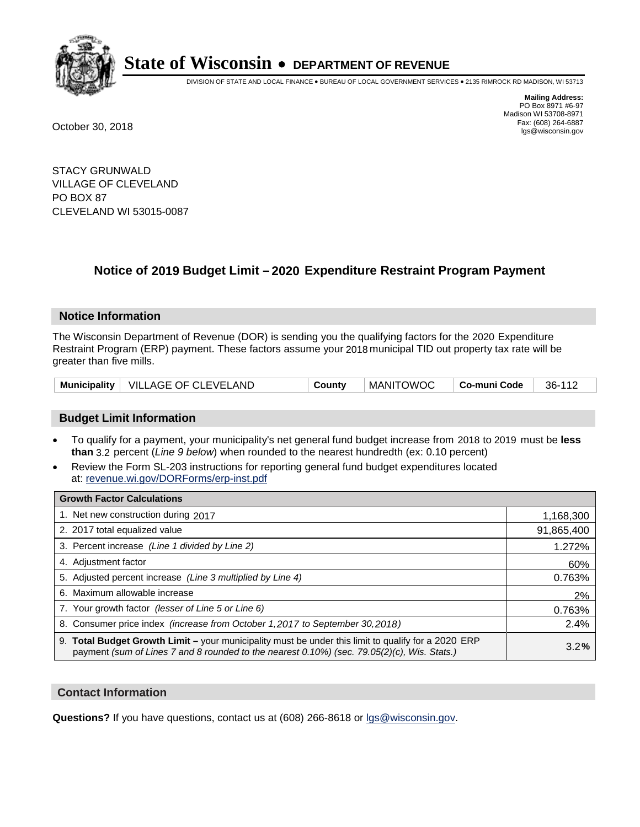

DIVISION OF STATE AND LOCAL FINANCE • BUREAU OF LOCAL GOVERNMENT SERVICES • 2135 RIMROCK RD MADISON, WI 53713

**Mailing Address:** PO Box 8971 #6-97 Madison WI 53708-8971<br>Fax: (608) 264-6887 Fax: (608) 264-6887 October 30, 2018 lgs@wisconsin.gov

STACY GRUNWALD VILLAGE OF CLEVELAND PO BOX 87 CLEVELAND WI 53015-0087

### **Notice of 2019 Budget Limit - 2020 Expenditure Restraint Program Payment**

#### **Notice Information**

The Wisconsin Department of Revenue (DOR) is sending you the qualifying factors for the 2020 Expenditure Restraint Program (ERP) payment. These factors assume your 2018 municipal TID out property tax rate will be greater than five mills.

|  | Municipality   VILLAGE OF CLEVELAND | County | <b>MANITOWOC</b> | Co-muni Code | 36-112 |
|--|-------------------------------------|--------|------------------|--------------|--------|
|--|-------------------------------------|--------|------------------|--------------|--------|

#### **Budget Limit Information**

- To qualify for a payment, your municipality's net general fund budget increase from 2018 to 2019 must be less **than** 3.2 percent (*Line 9 below*) when rounded to the nearest hundredth (ex: 0.10 percent)
- Review the Form SL-203 instructions for reporting general fund budget expenditures located at: revenue.wi.gov/DORForms/erp-inst.pdf

| <b>Growth Factor Calculations</b>                                                                                                                                                                      |            |
|--------------------------------------------------------------------------------------------------------------------------------------------------------------------------------------------------------|------------|
| 1. Net new construction during 2017                                                                                                                                                                    | 1,168,300  |
| 2. 2017 total equalized value                                                                                                                                                                          | 91,865,400 |
| 3. Percent increase (Line 1 divided by Line 2)                                                                                                                                                         | 1.272%     |
| 4. Adjustment factor                                                                                                                                                                                   | 60%        |
| 5. Adjusted percent increase (Line 3 multiplied by Line 4)                                                                                                                                             | 0.763%     |
| 6. Maximum allowable increase                                                                                                                                                                          | 2%         |
| 7. Your growth factor (lesser of Line 5 or Line 6)                                                                                                                                                     | 0.763%     |
| 8. Consumer price index (increase from October 1,2017 to September 30,2018)                                                                                                                            | 2.4%       |
| 9. Total Budget Growth Limit - your municipality must be under this limit to qualify for a 2020 ERP<br>payment (sum of Lines 7 and 8 rounded to the nearest $0.10\%$ ) (sec. 79.05(2)(c), Wis. Stats.) | 3.2%       |

#### **Contact Information**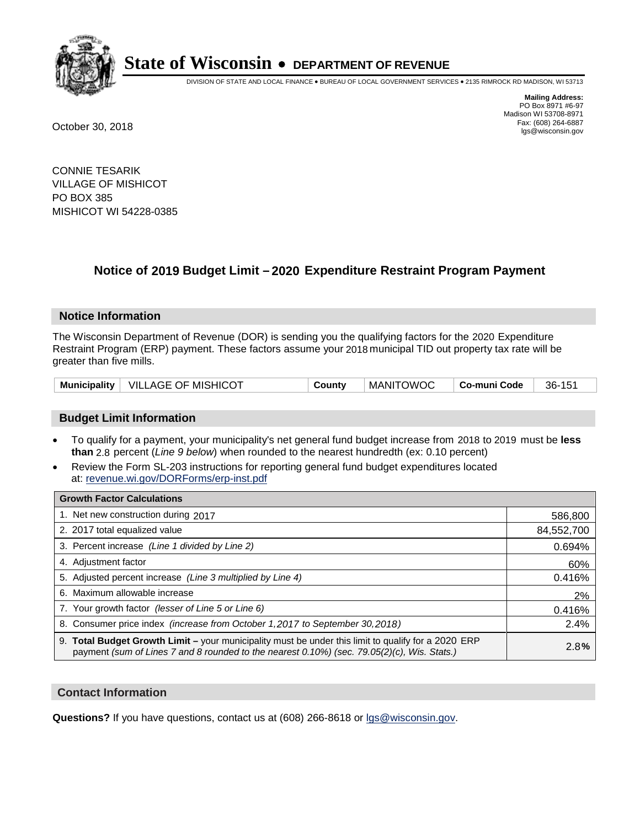

DIVISION OF STATE AND LOCAL FINANCE • BUREAU OF LOCAL GOVERNMENT SERVICES • 2135 RIMROCK RD MADISON, WI 53713

**Mailing Address:** PO Box 8971 #6-97 Madison WI 53708-8971<br>Fax: (608) 264-6887 Fax: (608) 264-6887 October 30, 2018 lgs@wisconsin.gov

CONNIE TESARIK VILLAGE OF MISHICOT PO BOX 385 MISHICOT WI 54228-0385

## **Notice of 2019 Budget Limit - 2020 Expenditure Restraint Program Payment**

#### **Notice Information**

The Wisconsin Department of Revenue (DOR) is sending you the qualifying factors for the 2020 Expenditure Restraint Program (ERP) payment. These factors assume your 2018 municipal TID out property tax rate will be greater than five mills.

|  | Municipality   VILLAGE OF MISHICOT | County | <b>MANITOWOC</b> | Co-muni Code | 36-151 |
|--|------------------------------------|--------|------------------|--------------|--------|
|--|------------------------------------|--------|------------------|--------------|--------|

#### **Budget Limit Information**

- To qualify for a payment, your municipality's net general fund budget increase from 2018 to 2019 must be less **than** 2.8 percent (*Line 9 below*) when rounded to the nearest hundredth (ex: 0.10 percent)
- Review the Form SL-203 instructions for reporting general fund budget expenditures located at: revenue.wi.gov/DORForms/erp-inst.pdf

| <b>Growth Factor Calculations</b>                                                                                                                                                                      |            |
|--------------------------------------------------------------------------------------------------------------------------------------------------------------------------------------------------------|------------|
| 1. Net new construction during 2017                                                                                                                                                                    | 586,800    |
| 2. 2017 total equalized value                                                                                                                                                                          | 84,552,700 |
| 3. Percent increase (Line 1 divided by Line 2)                                                                                                                                                         | 0.694%     |
| 4. Adjustment factor                                                                                                                                                                                   | 60%        |
| 5. Adjusted percent increase (Line 3 multiplied by Line 4)                                                                                                                                             | 0.416%     |
| 6. Maximum allowable increase                                                                                                                                                                          | 2%         |
| 7. Your growth factor (lesser of Line 5 or Line 6)                                                                                                                                                     | 0.416%     |
| 8. Consumer price index (increase from October 1,2017 to September 30,2018)                                                                                                                            | 2.4%       |
| 9. Total Budget Growth Limit - your municipality must be under this limit to qualify for a 2020 ERP<br>payment (sum of Lines 7 and 8 rounded to the nearest $0.10\%$ ) (sec. 79.05(2)(c), Wis. Stats.) | 2.8%       |

#### **Contact Information**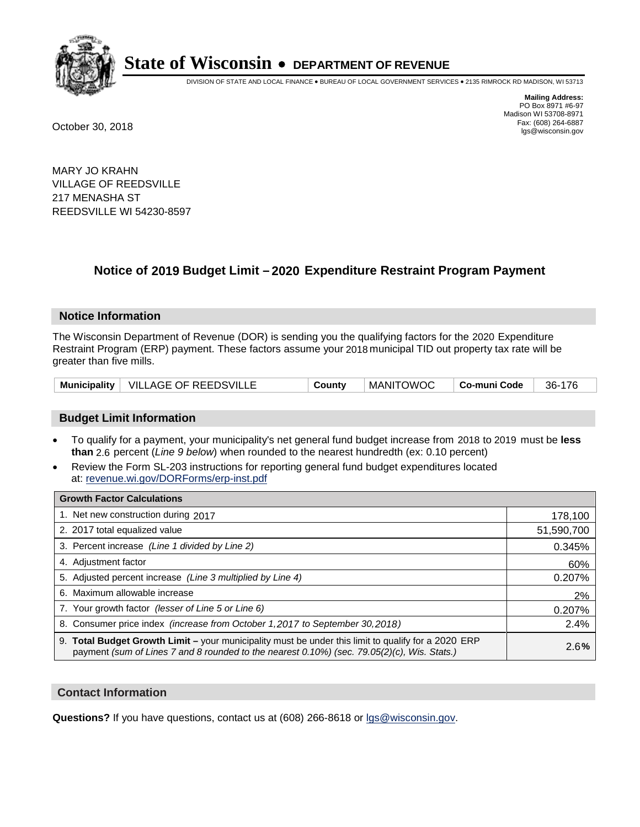

DIVISION OF STATE AND LOCAL FINANCE • BUREAU OF LOCAL GOVERNMENT SERVICES • 2135 RIMROCK RD MADISON, WI 53713

**Mailing Address:** PO Box 8971 #6-97 Madison WI 53708-8971<br>Fax: (608) 264-6887 Fax: (608) 264-6887 October 30, 2018 lgs@wisconsin.gov

MARY JO KRAHN VILLAGE OF REEDSVILLE 217 MENASHA ST REEDSVILLE WI 54230-8597

## **Notice of 2019 Budget Limit - 2020 Expenditure Restraint Program Payment**

#### **Notice Information**

The Wisconsin Department of Revenue (DOR) is sending you the qualifying factors for the 2020 Expenditure Restraint Program (ERP) payment. These factors assume your 2018 municipal TID out property tax rate will be greater than five mills.

|  | Municipality   VILLAGE OF REEDSVILLE | County | MANITOWOC | ∣ Co-muni Code | 36-176 |
|--|--------------------------------------|--------|-----------|----------------|--------|
|--|--------------------------------------|--------|-----------|----------------|--------|

#### **Budget Limit Information**

- To qualify for a payment, your municipality's net general fund budget increase from 2018 to 2019 must be less **than** 2.6 percent (*Line 9 below*) when rounded to the nearest hundredth (ex: 0.10 percent)
- Review the Form SL-203 instructions for reporting general fund budget expenditures located at: revenue.wi.gov/DORForms/erp-inst.pdf

| <b>Growth Factor Calculations</b>                                                                                                                                                                      |            |
|--------------------------------------------------------------------------------------------------------------------------------------------------------------------------------------------------------|------------|
| 1. Net new construction during 2017                                                                                                                                                                    | 178,100    |
| 2. 2017 total equalized value                                                                                                                                                                          | 51,590,700 |
| 3. Percent increase (Line 1 divided by Line 2)                                                                                                                                                         | 0.345%     |
| 4. Adjustment factor                                                                                                                                                                                   | 60%        |
| 5. Adjusted percent increase (Line 3 multiplied by Line 4)                                                                                                                                             | 0.207%     |
| 6. Maximum allowable increase                                                                                                                                                                          | 2%         |
| 7. Your growth factor (lesser of Line 5 or Line 6)                                                                                                                                                     | 0.207%     |
| 8. Consumer price index (increase from October 1,2017 to September 30,2018)                                                                                                                            | 2.4%       |
| 9. Total Budget Growth Limit - your municipality must be under this limit to qualify for a 2020 ERP<br>payment (sum of Lines 7 and 8 rounded to the nearest $0.10\%$ ) (sec. 79.05(2)(c), Wis. Stats.) | 2.6%       |

#### **Contact Information**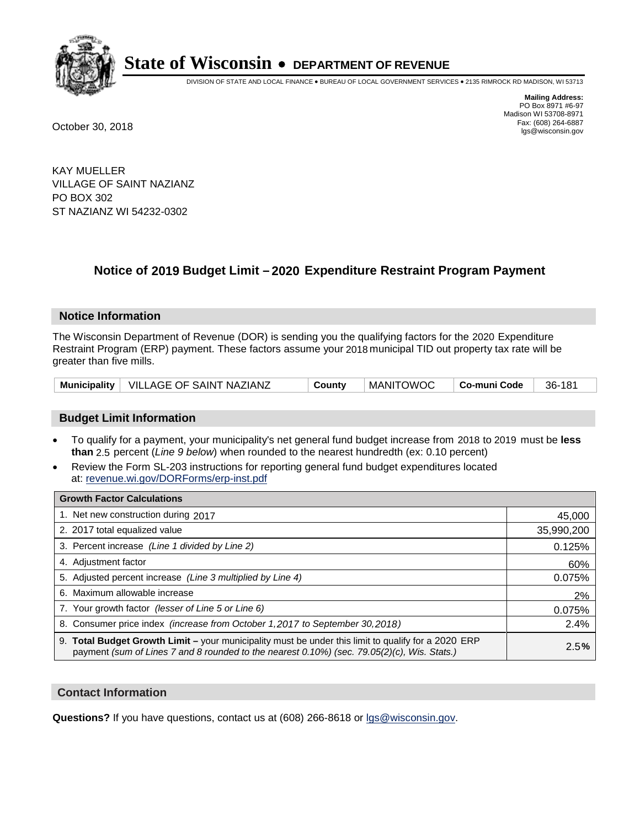

DIVISION OF STATE AND LOCAL FINANCE • BUREAU OF LOCAL GOVERNMENT SERVICES • 2135 RIMROCK RD MADISON, WI 53713

**Mailing Address:** PO Box 8971 #6-97 Madison WI 53708-8971<br>Fax: (608) 264-6887 Fax: (608) 264-6887 October 30, 2018 lgs@wisconsin.gov

KAY MUELLER VILLAGE OF SAINT NAZIANZ PO BOX 302 ST NAZIANZ WI 54232-0302

## **Notice of 2019 Budget Limit - 2020 Expenditure Restraint Program Payment**

#### **Notice Information**

The Wisconsin Department of Revenue (DOR) is sending you the qualifying factors for the 2020 Expenditure Restraint Program (ERP) payment. These factors assume your 2018 municipal TID out property tax rate will be greater than five mills.

|  | Municipality   VILLAGE OF SAINT NAZIANZ | Countv | MANITOWOC | ∣ Co-muni Code | 36-181 |
|--|-----------------------------------------|--------|-----------|----------------|--------|
|--|-----------------------------------------|--------|-----------|----------------|--------|

#### **Budget Limit Information**

- To qualify for a payment, your municipality's net general fund budget increase from 2018 to 2019 must be less **than** 2.5 percent (*Line 9 below*) when rounded to the nearest hundredth (ex: 0.10 percent)
- Review the Form SL-203 instructions for reporting general fund budget expenditures located at: revenue.wi.gov/DORForms/erp-inst.pdf

| <b>Growth Factor Calculations</b>                                                                                                                                                                      |            |
|--------------------------------------------------------------------------------------------------------------------------------------------------------------------------------------------------------|------------|
| 1. Net new construction during 2017                                                                                                                                                                    | 45,000     |
| 2. 2017 total equalized value                                                                                                                                                                          | 35,990,200 |
| 3. Percent increase (Line 1 divided by Line 2)                                                                                                                                                         | 0.125%     |
| 4. Adjustment factor                                                                                                                                                                                   | 60%        |
| 5. Adjusted percent increase (Line 3 multiplied by Line 4)                                                                                                                                             | 0.075%     |
| 6. Maximum allowable increase                                                                                                                                                                          | 2%         |
| 7. Your growth factor (lesser of Line 5 or Line 6)                                                                                                                                                     | 0.075%     |
| 8. Consumer price index (increase from October 1, 2017 to September 30, 2018)                                                                                                                          | 2.4%       |
| 9. Total Budget Growth Limit - your municipality must be under this limit to qualify for a 2020 ERP<br>payment (sum of Lines 7 and 8 rounded to the nearest $0.10\%$ ) (sec. 79.05(2)(c), Wis. Stats.) | 2.5%       |

#### **Contact Information**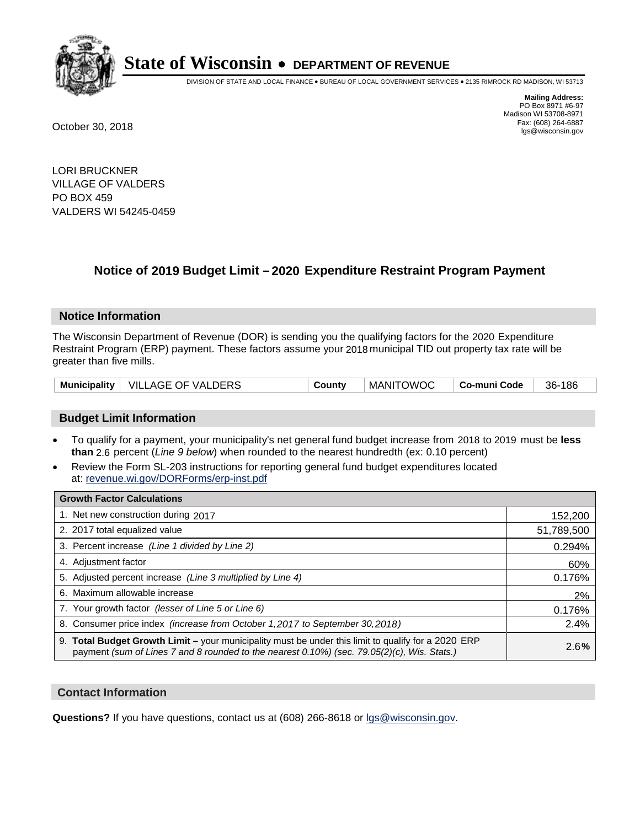

DIVISION OF STATE AND LOCAL FINANCE • BUREAU OF LOCAL GOVERNMENT SERVICES • 2135 RIMROCK RD MADISON, WI 53713

**Mailing Address:** PO Box 8971 #6-97 Madison WI 53708-8971<br>Fax: (608) 264-6887 Fax: (608) 264-6887 October 30, 2018 lgs@wisconsin.gov

LORI BRUCKNER VILLAGE OF VALDERS PO BOX 459 VALDERS WI 54245-0459

## **Notice of 2019 Budget Limit - 2020 Expenditure Restraint Program Payment**

#### **Notice Information**

The Wisconsin Department of Revenue (DOR) is sending you the qualifying factors for the 2020 Expenditure Restraint Program (ERP) payment. These factors assume your 2018 municipal TID out property tax rate will be greater than five mills.

|  | Municipality   VILLAGE OF VALDERS | County | <b>MANITOWOC</b> | ⊓ Co-muni Code | 36-186 |
|--|-----------------------------------|--------|------------------|----------------|--------|
|--|-----------------------------------|--------|------------------|----------------|--------|

#### **Budget Limit Information**

- To qualify for a payment, your municipality's net general fund budget increase from 2018 to 2019 must be less **than** 2.6 percent (*Line 9 below*) when rounded to the nearest hundredth (ex: 0.10 percent)
- Review the Form SL-203 instructions for reporting general fund budget expenditures located at: revenue.wi.gov/DORForms/erp-inst.pdf

| <b>Growth Factor Calculations</b>                                                                                                                                                                      |            |
|--------------------------------------------------------------------------------------------------------------------------------------------------------------------------------------------------------|------------|
| 1. Net new construction during 2017                                                                                                                                                                    | 152,200    |
| 2. 2017 total equalized value                                                                                                                                                                          | 51,789,500 |
| 3. Percent increase (Line 1 divided by Line 2)                                                                                                                                                         | 0.294%     |
| 4. Adjustment factor                                                                                                                                                                                   | 60%        |
| 5. Adjusted percent increase (Line 3 multiplied by Line 4)                                                                                                                                             | 0.176%     |
| 6. Maximum allowable increase                                                                                                                                                                          | 2%         |
| 7. Your growth factor (lesser of Line 5 or Line 6)                                                                                                                                                     | 0.176%     |
| 8. Consumer price index (increase from October 1,2017 to September 30,2018)                                                                                                                            | 2.4%       |
| 9. Total Budget Growth Limit - your municipality must be under this limit to qualify for a 2020 ERP<br>payment (sum of Lines 7 and 8 rounded to the nearest $0.10\%$ ) (sec. 79.05(2)(c), Wis. Stats.) | 2.6%       |

#### **Contact Information**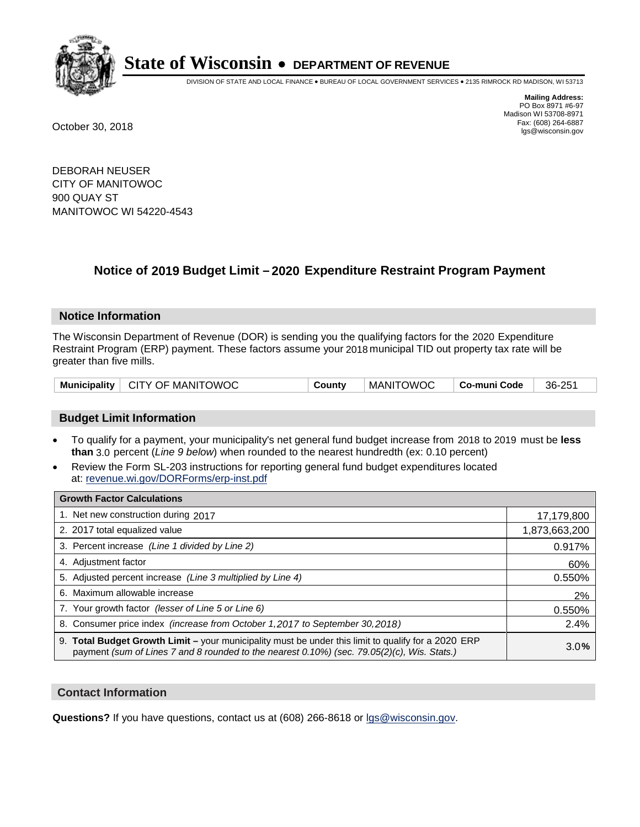

DIVISION OF STATE AND LOCAL FINANCE • BUREAU OF LOCAL GOVERNMENT SERVICES • 2135 RIMROCK RD MADISON, WI 53713

**Mailing Address:** PO Box 8971 #6-97 Madison WI 53708-8971<br>Fax: (608) 264-6887 Fax: (608) 264-6887 October 30, 2018 lgs@wisconsin.gov

DEBORAH NEUSER CITY OF MANITOWOC 900 QUAY ST MANITOWOC WI 54220-4543

## **Notice of 2019 Budget Limit - 2020 Expenditure Restraint Program Payment**

#### **Notice Information**

The Wisconsin Department of Revenue (DOR) is sending you the qualifying factors for the 2020 Expenditure Restraint Program (ERP) payment. These factors assume your 2018 municipal TID out property tax rate will be greater than five mills.

|  | Municipality   CITY OF MANITOWOC | County | <b>MANITOWOC</b> | Co-muni Code | 36-251 |
|--|----------------------------------|--------|------------------|--------------|--------|
|--|----------------------------------|--------|------------------|--------------|--------|

#### **Budget Limit Information**

- To qualify for a payment, your municipality's net general fund budget increase from 2018 to 2019 must be less **than** 3.0 percent (*Line 9 below*) when rounded to the nearest hundredth (ex: 0.10 percent)
- Review the Form SL-203 instructions for reporting general fund budget expenditures located at: revenue.wi.gov/DORForms/erp-inst.pdf

| <b>Growth Factor Calculations</b>                                                                                                                                                                      |               |
|--------------------------------------------------------------------------------------------------------------------------------------------------------------------------------------------------------|---------------|
| 1. Net new construction during 2017                                                                                                                                                                    | 17,179,800    |
| 2. 2017 total equalized value                                                                                                                                                                          | 1,873,663,200 |
| 3. Percent increase (Line 1 divided by Line 2)                                                                                                                                                         | 0.917%        |
| 4. Adjustment factor                                                                                                                                                                                   | 60%           |
| 5. Adjusted percent increase (Line 3 multiplied by Line 4)                                                                                                                                             | 0.550%        |
| 6. Maximum allowable increase                                                                                                                                                                          | 2%            |
| 7. Your growth factor (lesser of Line 5 or Line 6)                                                                                                                                                     | 0.550%        |
| 8. Consumer price index (increase from October 1,2017 to September 30,2018)                                                                                                                            | 2.4%          |
| 9. Total Budget Growth Limit - your municipality must be under this limit to qualify for a 2020 ERP<br>payment (sum of Lines 7 and 8 rounded to the nearest $0.10\%$ ) (sec. 79.05(2)(c), Wis. Stats.) | 3.0%          |

#### **Contact Information**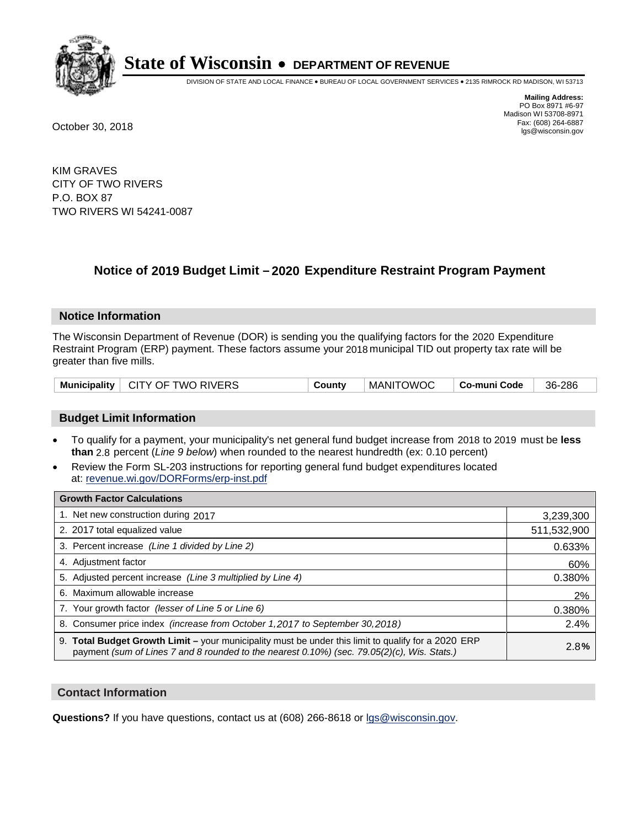

DIVISION OF STATE AND LOCAL FINANCE • BUREAU OF LOCAL GOVERNMENT SERVICES • 2135 RIMROCK RD MADISON, WI 53713

**Mailing Address:** PO Box 8971 #6-97 Madison WI 53708-8971<br>Fax: (608) 264-6887 Fax: (608) 264-6887 October 30, 2018 lgs@wisconsin.gov

KIM GRAVES CITY OF TWO RIVERS P.O. BOX 87 TWO RIVERS WI 54241-0087

## **Notice of 2019 Budget Limit - 2020 Expenditure Restraint Program Payment**

#### **Notice Information**

The Wisconsin Department of Revenue (DOR) is sending you the qualifying factors for the 2020 Expenditure Restraint Program (ERP) payment. These factors assume your 2018 municipal TID out property tax rate will be greater than five mills.

| Municipality   CITY OF TWO RIVERS | County | MANITOWOC | ∣ Co-muni Code | 36-286 |
|-----------------------------------|--------|-----------|----------------|--------|
|-----------------------------------|--------|-----------|----------------|--------|

#### **Budget Limit Information**

- To qualify for a payment, your municipality's net general fund budget increase from 2018 to 2019 must be less **than** 2.8 percent (*Line 9 below*) when rounded to the nearest hundredth (ex: 0.10 percent)
- Review the Form SL-203 instructions for reporting general fund budget expenditures located at: revenue.wi.gov/DORForms/erp-inst.pdf

| <b>Growth Factor Calculations</b>                                                                                                                                                                      |             |
|--------------------------------------------------------------------------------------------------------------------------------------------------------------------------------------------------------|-------------|
| 1. Net new construction during 2017                                                                                                                                                                    | 3,239,300   |
| 2. 2017 total equalized value                                                                                                                                                                          | 511,532,900 |
| 3. Percent increase (Line 1 divided by Line 2)                                                                                                                                                         | 0.633%      |
| 4. Adjustment factor                                                                                                                                                                                   | 60%         |
| 5. Adjusted percent increase (Line 3 multiplied by Line 4)                                                                                                                                             | 0.380%      |
| 6. Maximum allowable increase                                                                                                                                                                          | 2%          |
| 7. Your growth factor (lesser of Line 5 or Line 6)                                                                                                                                                     | 0.380%      |
| 8. Consumer price index (increase from October 1,2017 to September 30,2018)                                                                                                                            | 2.4%        |
| 9. Total Budget Growth Limit - your municipality must be under this limit to qualify for a 2020 ERP<br>payment (sum of Lines 7 and 8 rounded to the nearest $0.10\%$ ) (sec. 79.05(2)(c), Wis. Stats.) | 2.8%        |

#### **Contact Information**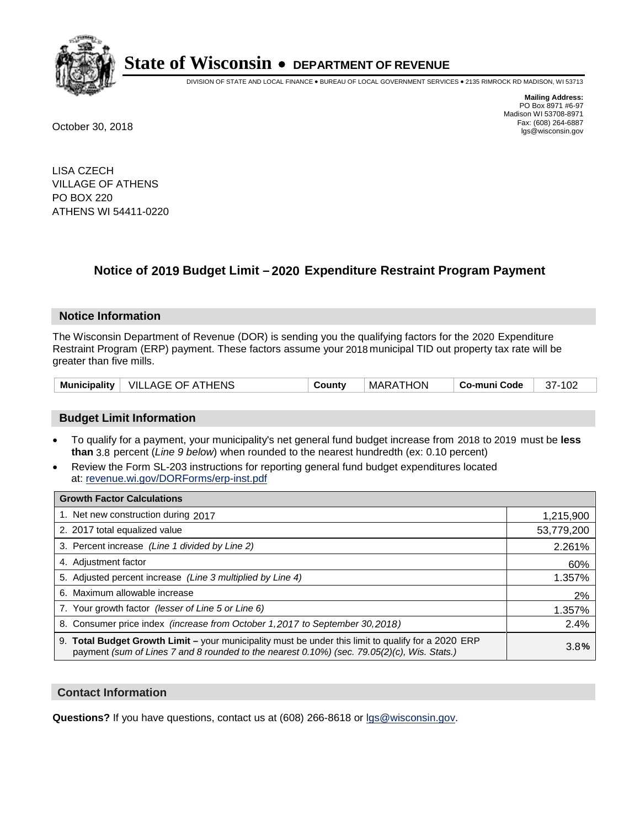

DIVISION OF STATE AND LOCAL FINANCE • BUREAU OF LOCAL GOVERNMENT SERVICES • 2135 RIMROCK RD MADISON, WI 53713

**Mailing Address:** PO Box 8971 #6-97 Madison WI 53708-8971<br>Fax: (608) 264-6887 Fax: (608) 264-6887 October 30, 2018 lgs@wisconsin.gov

LISA CZECH VILLAGE OF ATHENS PO BOX 220 ATHENS WI 54411-0220

## **Notice of 2019 Budget Limit - 2020 Expenditure Restraint Program Payment**

#### **Notice Information**

The Wisconsin Department of Revenue (DOR) is sending you the qualifying factors for the 2020 Expenditure Restraint Program (ERP) payment. These factors assume your 2018 municipal TID out property tax rate will be greater than five mills.

|  | Municipality   VILLAGE OF ATHENS | County | MARATHON | ⊢Co-muni Code | 37-102 |
|--|----------------------------------|--------|----------|---------------|--------|
|--|----------------------------------|--------|----------|---------------|--------|

#### **Budget Limit Information**

- To qualify for a payment, your municipality's net general fund budget increase from 2018 to 2019 must be less **than** 3.8 percent (*Line 9 below*) when rounded to the nearest hundredth (ex: 0.10 percent)
- Review the Form SL-203 instructions for reporting general fund budget expenditures located at: revenue.wi.gov/DORForms/erp-inst.pdf

| <b>Growth Factor Calculations</b>                                                                                                                                                                  |            |
|----------------------------------------------------------------------------------------------------------------------------------------------------------------------------------------------------|------------|
| 1. Net new construction during 2017                                                                                                                                                                | 1,215,900  |
| 2. 2017 total equalized value                                                                                                                                                                      | 53,779,200 |
| 3. Percent increase (Line 1 divided by Line 2)                                                                                                                                                     | 2.261%     |
| 4. Adjustment factor                                                                                                                                                                               | 60%        |
| 5. Adjusted percent increase (Line 3 multiplied by Line 4)                                                                                                                                         | 1.357%     |
| 6. Maximum allowable increase                                                                                                                                                                      | 2%         |
| 7. Your growth factor (lesser of Line 5 or Line 6)                                                                                                                                                 | 1.357%     |
| 8. Consumer price index (increase from October 1,2017 to September 30,2018)                                                                                                                        | 2.4%       |
| 9. Total Budget Growth Limit - your municipality must be under this limit to qualify for a 2020 ERP<br>payment (sum of Lines 7 and 8 rounded to the nearest 0.10%) (sec. 79.05(2)(c), Wis. Stats.) | 3.8%       |

#### **Contact Information**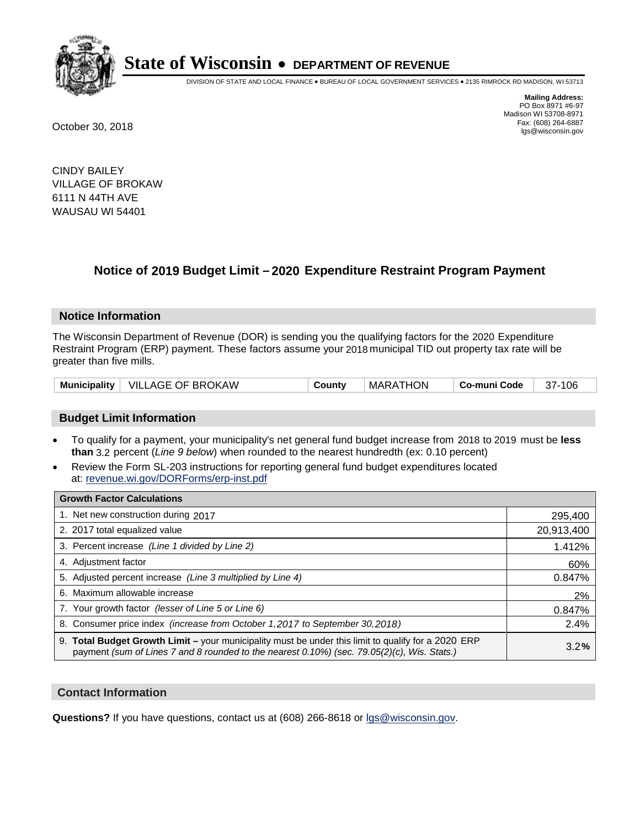

DIVISION OF STATE AND LOCAL FINANCE • BUREAU OF LOCAL GOVERNMENT SERVICES • 2135 RIMROCK RD MADISON, WI 53713

**Mailing Address:** PO Box 8971 #6-97 Madison WI 53708-8971<br>Fax: (608) 264-6887 Fax: (608) 264-6887 October 30, 2018 lgs@wisconsin.gov

CINDY BAILEY VILLAGE OF BROKAW 6111 N 44TH AVE WAUSAU WI 54401

## **Notice of 2019 Budget Limit - 2020 Expenditure Restraint Program Payment**

#### **Notice Information**

The Wisconsin Department of Revenue (DOR) is sending you the qualifying factors for the 2020 Expenditure Restraint Program (ERP) payment. These factors assume your 2018 municipal TID out property tax rate will be greater than five mills.

| Municipality   VILLAGE OF BROKAW | County | MARATHON | ∣ Co-muni Code ∣ | 37-106 |
|----------------------------------|--------|----------|------------------|--------|
|----------------------------------|--------|----------|------------------|--------|

#### **Budget Limit Information**

- To qualify for a payment, your municipality's net general fund budget increase from 2018 to 2019 must be less **than** 3.2 percent (*Line 9 below*) when rounded to the nearest hundredth (ex: 0.10 percent)
- Review the Form SL-203 instructions for reporting general fund budget expenditures located at: revenue.wi.gov/DORForms/erp-inst.pdf

| <b>Growth Factor Calculations</b>                                                                                                                                                                  |            |
|----------------------------------------------------------------------------------------------------------------------------------------------------------------------------------------------------|------------|
| 1. Net new construction during 2017                                                                                                                                                                | 295,400    |
| 2. 2017 total equalized value                                                                                                                                                                      | 20,913,400 |
| 3. Percent increase (Line 1 divided by Line 2)                                                                                                                                                     | 1.412%     |
| 4. Adjustment factor                                                                                                                                                                               | 60%        |
| 5. Adjusted percent increase (Line 3 multiplied by Line 4)                                                                                                                                         | 0.847%     |
| 6. Maximum allowable increase                                                                                                                                                                      | 2%         |
| 7. Your growth factor (lesser of Line 5 or Line 6)                                                                                                                                                 | 0.847%     |
| 8. Consumer price index (increase from October 1, 2017 to September 30, 2018)                                                                                                                      | 2.4%       |
| 9. Total Budget Growth Limit - your municipality must be under this limit to qualify for a 2020 ERP<br>payment (sum of Lines 7 and 8 rounded to the nearest 0.10%) (sec. 79.05(2)(c), Wis. Stats.) | 3.2%       |

#### **Contact Information**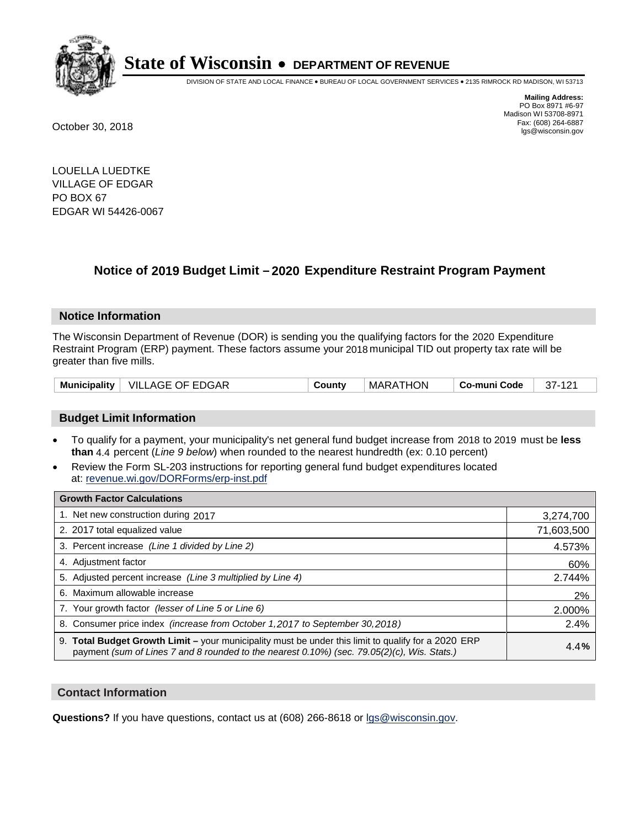

DIVISION OF STATE AND LOCAL FINANCE • BUREAU OF LOCAL GOVERNMENT SERVICES • 2135 RIMROCK RD MADISON, WI 53713

**Mailing Address:** PO Box 8971 #6-97 Madison WI 53708-8971<br>Fax: (608) 264-6887 Fax: (608) 264-6887 October 30, 2018 lgs@wisconsin.gov

LOUELLA LUEDTKE VILLAGE OF EDGAR PO BOX 67 EDGAR WI 54426-0067

### **Notice of 2019 Budget Limit - 2020 Expenditure Restraint Program Payment**

#### **Notice Information**

The Wisconsin Department of Revenue (DOR) is sending you the qualifying factors for the 2020 Expenditure Restraint Program (ERP) payment. These factors assume your 2018 municipal TID out property tax rate will be greater than five mills.

| Municipality   VILLAGE OF EDGAR | County | MARATHON | Co-muni Code | $37-121$ |
|---------------------------------|--------|----------|--------------|----------|
|---------------------------------|--------|----------|--------------|----------|

#### **Budget Limit Information**

- To qualify for a payment, your municipality's net general fund budget increase from 2018 to 2019 must be less **than** 4.4 percent (*Line 9 below*) when rounded to the nearest hundredth (ex: 0.10 percent)
- Review the Form SL-203 instructions for reporting general fund budget expenditures located at: revenue.wi.gov/DORForms/erp-inst.pdf

| <b>Growth Factor Calculations</b>                                                                                                                                                                      |            |
|--------------------------------------------------------------------------------------------------------------------------------------------------------------------------------------------------------|------------|
| 1. Net new construction during 2017                                                                                                                                                                    | 3,274,700  |
| 2. 2017 total equalized value                                                                                                                                                                          | 71,603,500 |
| 3. Percent increase (Line 1 divided by Line 2)                                                                                                                                                         | 4.573%     |
| 4. Adjustment factor                                                                                                                                                                                   | 60%        |
| 5. Adjusted percent increase (Line 3 multiplied by Line 4)                                                                                                                                             | 2.744%     |
| 6. Maximum allowable increase                                                                                                                                                                          | 2%         |
| 7. Your growth factor (lesser of Line 5 or Line 6)                                                                                                                                                     | 2.000%     |
| 8. Consumer price index (increase from October 1,2017 to September 30,2018)                                                                                                                            | 2.4%       |
| 9. Total Budget Growth Limit - your municipality must be under this limit to qualify for a 2020 ERP<br>payment (sum of Lines 7 and 8 rounded to the nearest $0.10\%$ ) (sec. 79.05(2)(c), Wis. Stats.) | 4.4%       |

#### **Contact Information**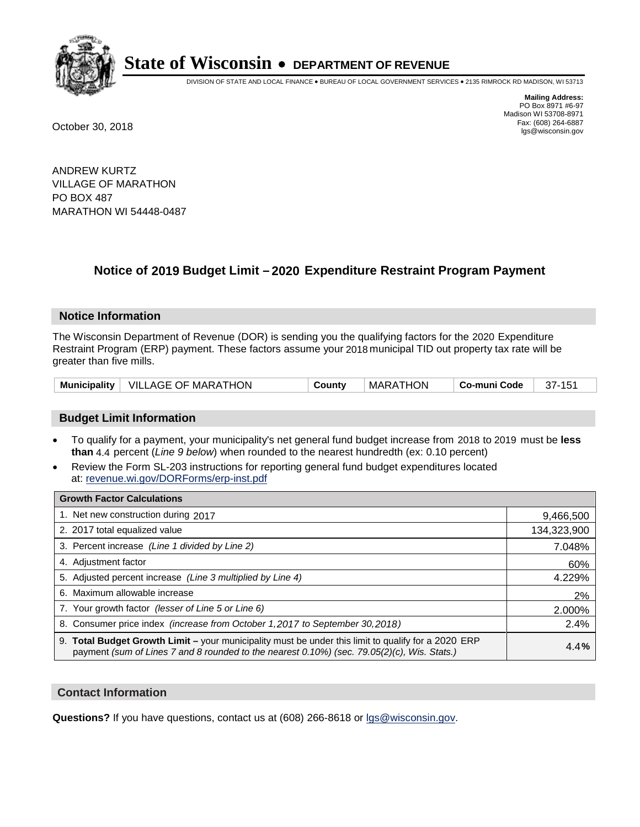

DIVISION OF STATE AND LOCAL FINANCE • BUREAU OF LOCAL GOVERNMENT SERVICES • 2135 RIMROCK RD MADISON, WI 53713

**Mailing Address:** PO Box 8971 #6-97 Madison WI 53708-8971<br>Fax: (608) 264-6887 Fax: (608) 264-6887 October 30, 2018 lgs@wisconsin.gov

ANDREW KURTZ VILLAGE OF MARATHON PO BOX 487 MARATHON WI 54448-0487

## **Notice of 2019 Budget Limit - 2020 Expenditure Restraint Program Payment**

#### **Notice Information**

The Wisconsin Department of Revenue (DOR) is sending you the qualifying factors for the 2020 Expenditure Restraint Program (ERP) payment. These factors assume your 2018 municipal TID out property tax rate will be greater than five mills.

|  | Municipality   VILLAGE OF MARATHON | Countv | MARATHON | ∣ Co-muni Code | 37-151 |
|--|------------------------------------|--------|----------|----------------|--------|
|--|------------------------------------|--------|----------|----------------|--------|

#### **Budget Limit Information**

- To qualify for a payment, your municipality's net general fund budget increase from 2018 to 2019 must be less **than** 4.4 percent (*Line 9 below*) when rounded to the nearest hundredth (ex: 0.10 percent)
- Review the Form SL-203 instructions for reporting general fund budget expenditures located at: revenue.wi.gov/DORForms/erp-inst.pdf

| <b>Growth Factor Calculations</b>                                                                                                                                                                      |             |
|--------------------------------------------------------------------------------------------------------------------------------------------------------------------------------------------------------|-------------|
| 1. Net new construction during 2017                                                                                                                                                                    | 9,466,500   |
| 2. 2017 total equalized value                                                                                                                                                                          | 134,323,900 |
| 3. Percent increase (Line 1 divided by Line 2)                                                                                                                                                         | 7.048%      |
| 4. Adjustment factor                                                                                                                                                                                   | 60%         |
| 5. Adjusted percent increase (Line 3 multiplied by Line 4)                                                                                                                                             | 4.229%      |
| 6. Maximum allowable increase                                                                                                                                                                          | 2%          |
| 7. Your growth factor (lesser of Line 5 or Line 6)                                                                                                                                                     | 2.000%      |
| 8. Consumer price index (increase from October 1, 2017 to September 30, 2018)                                                                                                                          | 2.4%        |
| 9. Total Budget Growth Limit - your municipality must be under this limit to qualify for a 2020 ERP<br>payment (sum of Lines 7 and 8 rounded to the nearest $0.10\%$ ) (sec. 79.05(2)(c), Wis. Stats.) | 4.4%        |

#### **Contact Information**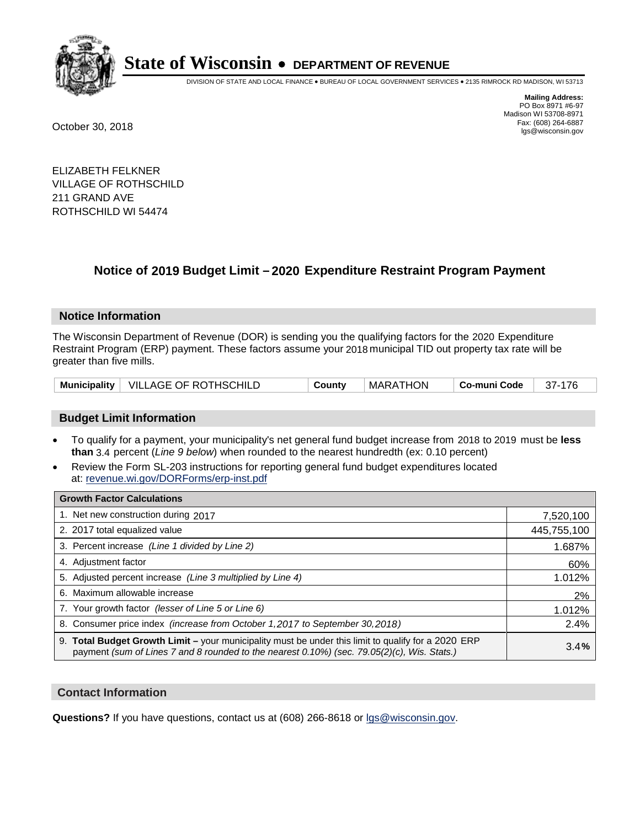

DIVISION OF STATE AND LOCAL FINANCE • BUREAU OF LOCAL GOVERNMENT SERVICES • 2135 RIMROCK RD MADISON, WI 53713

**Mailing Address:** PO Box 8971 #6-97 Madison WI 53708-8971<br>Fax: (608) 264-6887 Fax: (608) 264-6887 October 30, 2018 lgs@wisconsin.gov

ELIZABETH FELKNER VILLAGE OF ROTHSCHILD 211 GRAND AVE ROTHSCHILD WI 54474

### **Notice of 2019 Budget Limit - 2020 Expenditure Restraint Program Payment**

#### **Notice Information**

The Wisconsin Department of Revenue (DOR) is sending you the qualifying factors for the 2020 Expenditure Restraint Program (ERP) payment. These factors assume your 2018 municipal TID out property tax rate will be greater than five mills.

|  | Municipality   VILLAGE OF ROTHSCHILD | County | MARATHON | Co-muni Code | 37-176 |
|--|--------------------------------------|--------|----------|--------------|--------|
|--|--------------------------------------|--------|----------|--------------|--------|

#### **Budget Limit Information**

- To qualify for a payment, your municipality's net general fund budget increase from 2018 to 2019 must be less **than** 3.4 percent (*Line 9 below*) when rounded to the nearest hundredth (ex: 0.10 percent)
- Review the Form SL-203 instructions for reporting general fund budget expenditures located at: revenue.wi.gov/DORForms/erp-inst.pdf

| <b>Growth Factor Calculations</b>                                                                                                                                                                      |             |
|--------------------------------------------------------------------------------------------------------------------------------------------------------------------------------------------------------|-------------|
| 1. Net new construction during 2017                                                                                                                                                                    | 7,520,100   |
| 2. 2017 total equalized value                                                                                                                                                                          | 445,755,100 |
| 3. Percent increase (Line 1 divided by Line 2)                                                                                                                                                         | 1.687%      |
| 4. Adjustment factor                                                                                                                                                                                   | 60%         |
| 5. Adjusted percent increase (Line 3 multiplied by Line 4)                                                                                                                                             | 1.012%      |
| 6. Maximum allowable increase                                                                                                                                                                          | 2%          |
| 7. Your growth factor (lesser of Line 5 or Line 6)                                                                                                                                                     | 1.012%      |
| 8. Consumer price index (increase from October 1,2017 to September 30,2018)                                                                                                                            | 2.4%        |
| 9. Total Budget Growth Limit - your municipality must be under this limit to qualify for a 2020 ERP<br>payment (sum of Lines 7 and 8 rounded to the nearest $0.10\%$ ) (sec. 79.05(2)(c), Wis. Stats.) | 3.4%        |

#### **Contact Information**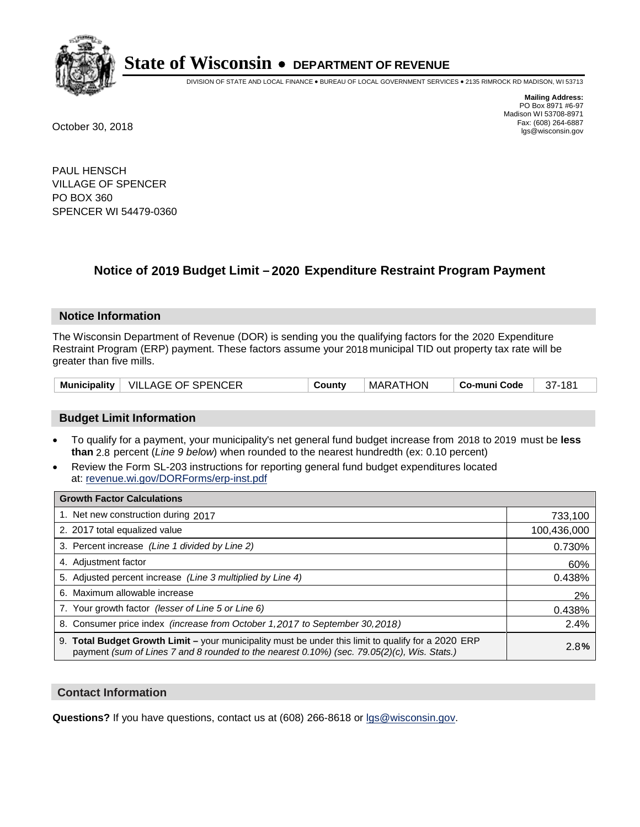

DIVISION OF STATE AND LOCAL FINANCE • BUREAU OF LOCAL GOVERNMENT SERVICES • 2135 RIMROCK RD MADISON, WI 53713

**Mailing Address:** PO Box 8971 #6-97 Madison WI 53708-8971<br>Fax: (608) 264-6887 Fax: (608) 264-6887 October 30, 2018 lgs@wisconsin.gov

PAUL HENSCH VILLAGE OF SPENCER PO BOX 360 SPENCER WI 54479-0360

## **Notice of 2019 Budget Limit - 2020 Expenditure Restraint Program Payment**

#### **Notice Information**

The Wisconsin Department of Revenue (DOR) is sending you the qualifying factors for the 2020 Expenditure Restraint Program (ERP) payment. These factors assume your 2018 municipal TID out property tax rate will be greater than five mills.

| <b>Municipality</b> | $\mid$ VILLAGE OF SPENCER | County | MARATHON | Co-muni Code | 37-181 |
|---------------------|---------------------------|--------|----------|--------------|--------|
|---------------------|---------------------------|--------|----------|--------------|--------|

#### **Budget Limit Information**

- To qualify for a payment, your municipality's net general fund budget increase from 2018 to 2019 must be less **than** 2.8 percent (*Line 9 below*) when rounded to the nearest hundredth (ex: 0.10 percent)
- Review the Form SL-203 instructions for reporting general fund budget expenditures located at: revenue.wi.gov/DORForms/erp-inst.pdf

| <b>Growth Factor Calculations</b>                                                                                                                                                                      |             |
|--------------------------------------------------------------------------------------------------------------------------------------------------------------------------------------------------------|-------------|
| 1. Net new construction during 2017                                                                                                                                                                    | 733,100     |
| 2. 2017 total equalized value                                                                                                                                                                          | 100,436,000 |
| 3. Percent increase (Line 1 divided by Line 2)                                                                                                                                                         | 0.730%      |
| 4. Adjustment factor                                                                                                                                                                                   | 60%         |
| 5. Adjusted percent increase (Line 3 multiplied by Line 4)                                                                                                                                             | 0.438%      |
| 6. Maximum allowable increase                                                                                                                                                                          | 2%          |
| 7. Your growth factor (lesser of Line 5 or Line 6)                                                                                                                                                     | 0.438%      |
| 8. Consumer price index (increase from October 1,2017 to September 30,2018)                                                                                                                            | 2.4%        |
| 9. Total Budget Growth Limit - your municipality must be under this limit to qualify for a 2020 ERP<br>payment (sum of Lines 7 and 8 rounded to the nearest $0.10\%$ ) (sec. 79.05(2)(c), Wis. Stats.) | 2.8%        |

#### **Contact Information**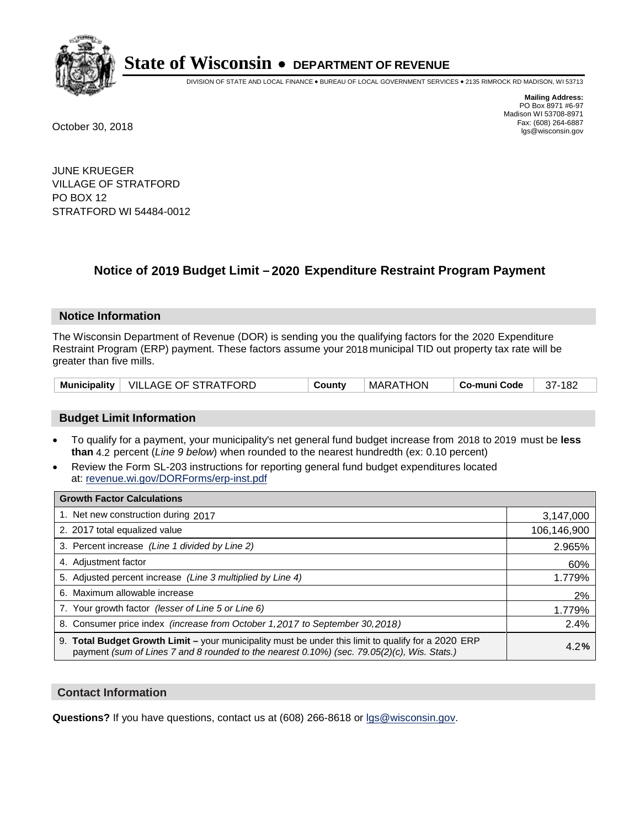

DIVISION OF STATE AND LOCAL FINANCE • BUREAU OF LOCAL GOVERNMENT SERVICES • 2135 RIMROCK RD MADISON, WI 53713

**Mailing Address:** PO Box 8971 #6-97 Madison WI 53708-8971<br>Fax: (608) 264-6887 Fax: (608) 264-6887 October 30, 2018 lgs@wisconsin.gov

JUNE KRUEGER VILLAGE OF STRATFORD PO BOX 12 STRATFORD WI 54484-0012

## **Notice of 2019 Budget Limit - 2020 Expenditure Restraint Program Payment**

#### **Notice Information**

The Wisconsin Department of Revenue (DOR) is sending you the qualifying factors for the 2020 Expenditure Restraint Program (ERP) payment. These factors assume your 2018 municipal TID out property tax rate will be greater than five mills.

|  | Municipality   VILLAGE OF STRATFORD | County | MARATHON | Co-muni Code | 37-182 |
|--|-------------------------------------|--------|----------|--------------|--------|
|--|-------------------------------------|--------|----------|--------------|--------|

#### **Budget Limit Information**

- To qualify for a payment, your municipality's net general fund budget increase from 2018 to 2019 must be less **than** 4.2 percent (*Line 9 below*) when rounded to the nearest hundredth (ex: 0.10 percent)
- Review the Form SL-203 instructions for reporting general fund budget expenditures located at: revenue.wi.gov/DORForms/erp-inst.pdf

| <b>Growth Factor Calculations</b>                                                                                                                                                                      |             |
|--------------------------------------------------------------------------------------------------------------------------------------------------------------------------------------------------------|-------------|
| 1. Net new construction during 2017                                                                                                                                                                    | 3,147,000   |
| 2. 2017 total equalized value                                                                                                                                                                          | 106,146,900 |
| 3. Percent increase (Line 1 divided by Line 2)                                                                                                                                                         | 2.965%      |
| 4. Adjustment factor                                                                                                                                                                                   | 60%         |
| 5. Adjusted percent increase (Line 3 multiplied by Line 4)                                                                                                                                             | 1.779%      |
| 6. Maximum allowable increase                                                                                                                                                                          | 2%          |
| 7. Your growth factor (lesser of Line 5 or Line 6)                                                                                                                                                     | 1.779%      |
| 8. Consumer price index (increase from October 1,2017 to September 30,2018)                                                                                                                            | 2.4%        |
| 9. Total Budget Growth Limit - your municipality must be under this limit to qualify for a 2020 ERP<br>payment (sum of Lines 7 and 8 rounded to the nearest $0.10\%$ ) (sec. 79.05(2)(c), Wis. Stats.) | 4.2%        |

#### **Contact Information**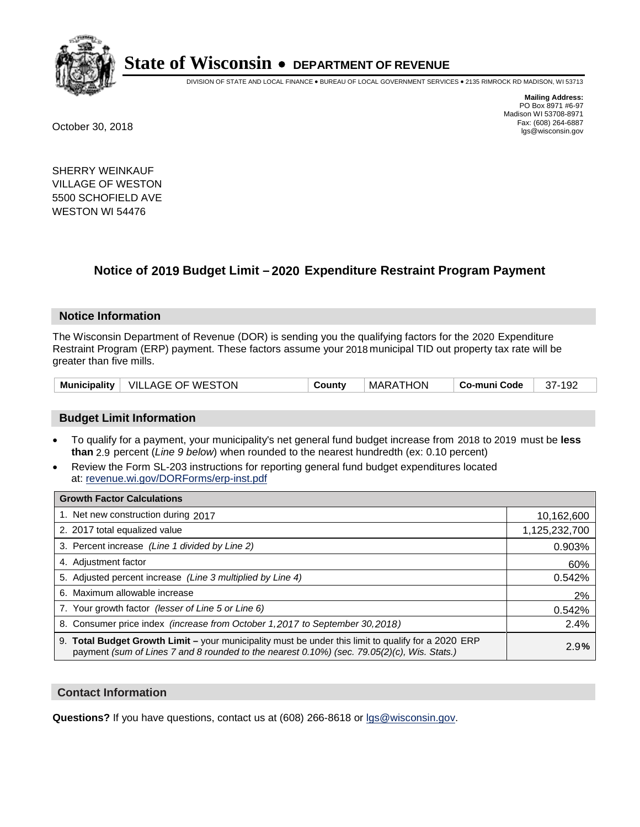

DIVISION OF STATE AND LOCAL FINANCE • BUREAU OF LOCAL GOVERNMENT SERVICES • 2135 RIMROCK RD MADISON, WI 53713

**Mailing Address:** PO Box 8971 #6-97 Madison WI 53708-8971<br>Fax: (608) 264-6887 Fax: (608) 264-6887 October 30, 2018 lgs@wisconsin.gov

SHERRY WEINKAUF VILLAGE OF WESTON 5500 SCHOFIELD AVE WESTON WI 54476

## **Notice of 2019 Budget Limit - 2020 Expenditure Restraint Program Payment**

#### **Notice Information**

The Wisconsin Department of Revenue (DOR) is sending you the qualifying factors for the 2020 Expenditure Restraint Program (ERP) payment. These factors assume your 2018 municipal TID out property tax rate will be greater than five mills.

| Municipality   VILLAGE OF WESTON | County | MARATHON | ∣ Co-muni Code | 37-192 |
|----------------------------------|--------|----------|----------------|--------|
|----------------------------------|--------|----------|----------------|--------|

#### **Budget Limit Information**

- To qualify for a payment, your municipality's net general fund budget increase from 2018 to 2019 must be less **than** 2.9 percent (*Line 9 below*) when rounded to the nearest hundredth (ex: 0.10 percent)
- Review the Form SL-203 instructions for reporting general fund budget expenditures located at: revenue.wi.gov/DORForms/erp-inst.pdf

| <b>Growth Factor Calculations</b>                                                                                                                                                                  |               |
|----------------------------------------------------------------------------------------------------------------------------------------------------------------------------------------------------|---------------|
| 1. Net new construction during 2017                                                                                                                                                                | 10,162,600    |
| 2. 2017 total equalized value                                                                                                                                                                      | 1,125,232,700 |
| 3. Percent increase (Line 1 divided by Line 2)                                                                                                                                                     | 0.903%        |
| 4. Adjustment factor                                                                                                                                                                               | 60%           |
| 5. Adjusted percent increase (Line 3 multiplied by Line 4)                                                                                                                                         | 0.542%        |
| 6. Maximum allowable increase                                                                                                                                                                      | 2%            |
| 7. Your growth factor (lesser of Line 5 or Line 6)                                                                                                                                                 | 0.542%        |
| 8. Consumer price index (increase from October 1,2017 to September 30,2018)                                                                                                                        | 2.4%          |
| 9. Total Budget Growth Limit - your municipality must be under this limit to qualify for a 2020 ERP<br>payment (sum of Lines 7 and 8 rounded to the nearest 0.10%) (sec. 79.05(2)(c), Wis. Stats.) | 2.9%          |

#### **Contact Information**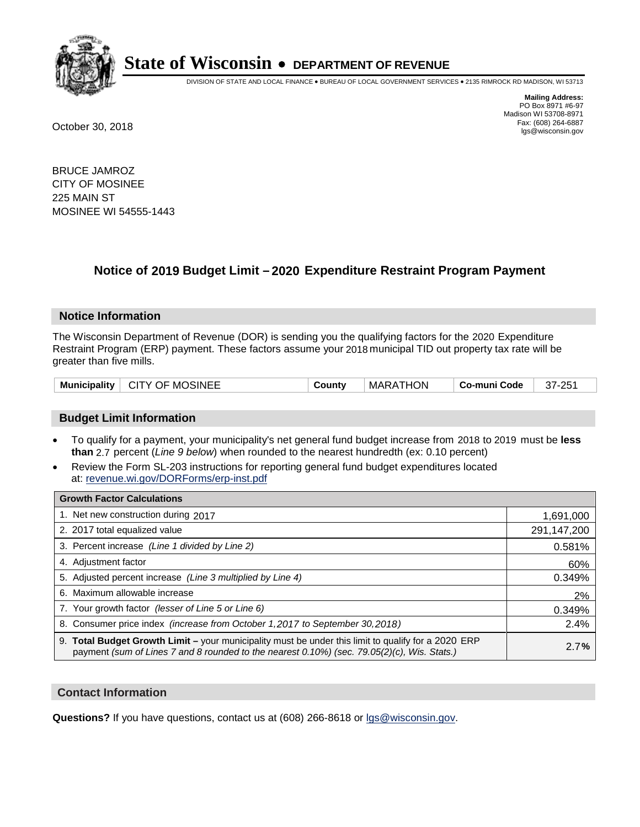

DIVISION OF STATE AND LOCAL FINANCE • BUREAU OF LOCAL GOVERNMENT SERVICES • 2135 RIMROCK RD MADISON, WI 53713

**Mailing Address:** PO Box 8971 #6-97 Madison WI 53708-8971<br>Fax: (608) 264-6887 Fax: (608) 264-6887 October 30, 2018 lgs@wisconsin.gov

BRUCE JAMROZ CITY OF MOSINEE 225 MAIN ST MOSINEE WI 54555-1443

## **Notice of 2019 Budget Limit - 2020 Expenditure Restraint Program Payment**

#### **Notice Information**

The Wisconsin Department of Revenue (DOR) is sending you the qualifying factors for the 2020 Expenditure Restraint Program (ERP) payment. These factors assume your 2018 municipal TID out property tax rate will be greater than five mills.

| Municipality   CITY OF MOSINEE | County | MARATHON | ∣ Co-muni Code | 37-251 |
|--------------------------------|--------|----------|----------------|--------|
|--------------------------------|--------|----------|----------------|--------|

#### **Budget Limit Information**

- To qualify for a payment, your municipality's net general fund budget increase from 2018 to 2019 must be less **than** 2.7 percent (*Line 9 below*) when rounded to the nearest hundredth (ex: 0.10 percent)
- Review the Form SL-203 instructions for reporting general fund budget expenditures located at: revenue.wi.gov/DORForms/erp-inst.pdf

| <b>Growth Factor Calculations</b>                                                                                                                                                                      |             |
|--------------------------------------------------------------------------------------------------------------------------------------------------------------------------------------------------------|-------------|
| 1. Net new construction during 2017                                                                                                                                                                    | 1,691,000   |
| 2. 2017 total equalized value                                                                                                                                                                          | 291,147,200 |
| 3. Percent increase (Line 1 divided by Line 2)                                                                                                                                                         | 0.581%      |
| 4. Adjustment factor                                                                                                                                                                                   | 60%         |
| 5. Adjusted percent increase (Line 3 multiplied by Line 4)                                                                                                                                             | 0.349%      |
| 6. Maximum allowable increase                                                                                                                                                                          | 2%          |
| 7. Your growth factor (lesser of Line 5 or Line 6)                                                                                                                                                     | 0.349%      |
| 8. Consumer price index (increase from October 1, 2017 to September 30, 2018)                                                                                                                          | 2.4%        |
| 9. Total Budget Growth Limit - your municipality must be under this limit to qualify for a 2020 ERP<br>payment (sum of Lines 7 and 8 rounded to the nearest $0.10\%$ ) (sec. 79.05(2)(c), Wis. Stats.) | 2.7%        |

#### **Contact Information**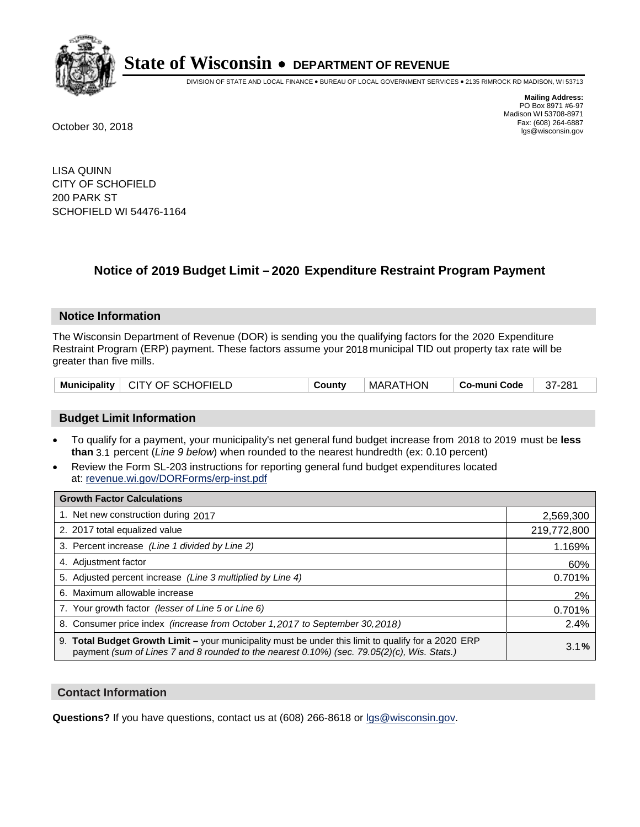

DIVISION OF STATE AND LOCAL FINANCE • BUREAU OF LOCAL GOVERNMENT SERVICES • 2135 RIMROCK RD MADISON, WI 53713

**Mailing Address:** PO Box 8971 #6-97 Madison WI 53708-8971<br>Fax: (608) 264-6887 Fax: (608) 264-6887 October 30, 2018 lgs@wisconsin.gov

LISA QUINN CITY OF SCHOFIELD 200 PARK ST SCHOFIELD WI 54476-1164

### **Notice of 2019 Budget Limit - 2020 Expenditure Restraint Program Payment**

#### **Notice Information**

The Wisconsin Department of Revenue (DOR) is sending you the qualifying factors for the 2020 Expenditure Restraint Program (ERP) payment. These factors assume your 2018 municipal TID out property tax rate will be greater than five mills.

| Municipality   CITY OF SCHOFIELD | County | MARATHON | Co-muni Code | 37-281 |
|----------------------------------|--------|----------|--------------|--------|
|----------------------------------|--------|----------|--------------|--------|

#### **Budget Limit Information**

- To qualify for a payment, your municipality's net general fund budget increase from 2018 to 2019 must be less **than** 3.1 percent (*Line 9 below*) when rounded to the nearest hundredth (ex: 0.10 percent)
- Review the Form SL-203 instructions for reporting general fund budget expenditures located at: revenue.wi.gov/DORForms/erp-inst.pdf

| <b>Growth Factor Calculations</b>                                                                                                                                                                      |             |
|--------------------------------------------------------------------------------------------------------------------------------------------------------------------------------------------------------|-------------|
| 1. Net new construction during 2017                                                                                                                                                                    | 2,569,300   |
| 2. 2017 total equalized value                                                                                                                                                                          | 219,772,800 |
| 3. Percent increase (Line 1 divided by Line 2)                                                                                                                                                         | 1.169%      |
| 4. Adjustment factor                                                                                                                                                                                   | 60%         |
| 5. Adjusted percent increase (Line 3 multiplied by Line 4)                                                                                                                                             | 0.701%      |
| 6. Maximum allowable increase                                                                                                                                                                          | 2%          |
| 7. Your growth factor (lesser of Line 5 or Line 6)                                                                                                                                                     | 0.701%      |
| 8. Consumer price index (increase from October 1, 2017 to September 30, 2018)                                                                                                                          | 2.4%        |
| 9. Total Budget Growth Limit - your municipality must be under this limit to qualify for a 2020 ERP<br>payment (sum of Lines 7 and 8 rounded to the nearest $0.10\%$ ) (sec. 79.05(2)(c), Wis. Stats.) | 3.1%        |

#### **Contact Information**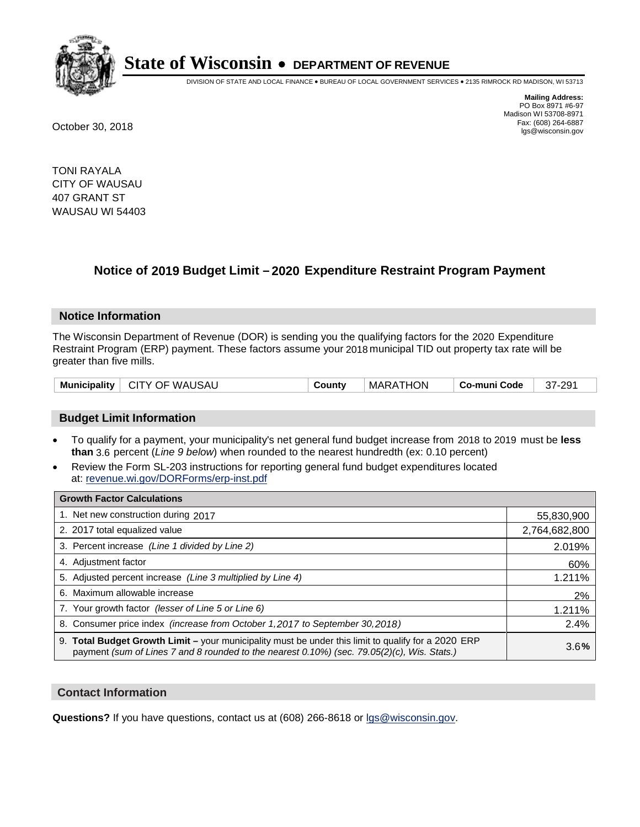

DIVISION OF STATE AND LOCAL FINANCE • BUREAU OF LOCAL GOVERNMENT SERVICES • 2135 RIMROCK RD MADISON, WI 53713

**Mailing Address:** PO Box 8971 #6-97 Madison WI 53708-8971<br>Fax: (608) 264-6887 Fax: (608) 264-6887 October 30, 2018 lgs@wisconsin.gov

TONI RAYALA CITY OF WAUSAU 407 GRANT ST WAUSAU WI 54403

## **Notice of 2019 Budget Limit - 2020 Expenditure Restraint Program Payment**

#### **Notice Information**

The Wisconsin Department of Revenue (DOR) is sending you the qualifying factors for the 2020 Expenditure Restraint Program (ERP) payment. These factors assume your 2018 municipal TID out property tax rate will be greater than five mills.

| Municipality   CITY OF WAUSAU | County | MARATHON | ∣ Co-muni Code ∣ | 37-291 |
|-------------------------------|--------|----------|------------------|--------|
|-------------------------------|--------|----------|------------------|--------|

#### **Budget Limit Information**

- To qualify for a payment, your municipality's net general fund budget increase from 2018 to 2019 must be less **than** 3.6 percent (*Line 9 below*) when rounded to the nearest hundredth (ex: 0.10 percent)
- Review the Form SL-203 instructions for reporting general fund budget expenditures located at: revenue.wi.gov/DORForms/erp-inst.pdf

| <b>Growth Factor Calculations</b>                                                                                                                                                                      |               |
|--------------------------------------------------------------------------------------------------------------------------------------------------------------------------------------------------------|---------------|
| 1. Net new construction during 2017                                                                                                                                                                    | 55,830,900    |
| 2. 2017 total equalized value                                                                                                                                                                          | 2,764,682,800 |
| 3. Percent increase (Line 1 divided by Line 2)                                                                                                                                                         | 2.019%        |
| 4. Adjustment factor                                                                                                                                                                                   | 60%           |
| 5. Adjusted percent increase (Line 3 multiplied by Line 4)                                                                                                                                             | 1.211%        |
| 6. Maximum allowable increase                                                                                                                                                                          | 2%            |
| 7. Your growth factor (lesser of Line 5 or Line 6)                                                                                                                                                     | 1.211%        |
| 8. Consumer price index (increase from October 1, 2017 to September 30, 2018)                                                                                                                          | 2.4%          |
| 9. Total Budget Growth Limit - your municipality must be under this limit to qualify for a 2020 ERP<br>payment (sum of Lines 7 and 8 rounded to the nearest $0.10\%$ ) (sec. 79.05(2)(c), Wis. Stats.) | 3.6%          |

#### **Contact Information**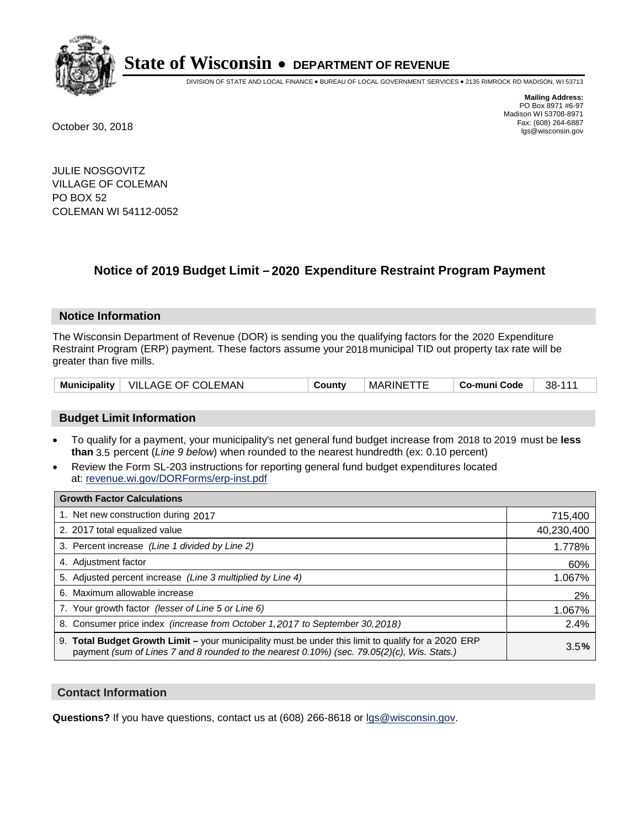

DIVISION OF STATE AND LOCAL FINANCE • BUREAU OF LOCAL GOVERNMENT SERVICES • 2135 RIMROCK RD MADISON, WI 53713

**Mailing Address:** PO Box 8971 #6-97 Madison WI 53708-8971<br>Fax: (608) 264-6887 Fax: (608) 264-6887 October 30, 2018 lgs@wisconsin.gov

JULIE NOSGOVITZ VILLAGE OF COLEMAN PO BOX 52 COLEMAN WI 54112-0052

## **Notice of 2019 Budget Limit - 2020 Expenditure Restraint Program Payment**

#### **Notice Information**

The Wisconsin Department of Revenue (DOR) is sending you the qualifying factors for the 2020 Expenditure Restraint Program (ERP) payment. These factors assume your 2018 municipal TID out property tax rate will be greater than five mills.

| <b>Municipality</b> | <b>VILLAGE OF COLEMAN</b> | County | MARINE <sup>-</sup> | Co-muni Code | 38-111 |
|---------------------|---------------------------|--------|---------------------|--------------|--------|
|---------------------|---------------------------|--------|---------------------|--------------|--------|

#### **Budget Limit Information**

- To qualify for a payment, your municipality's net general fund budget increase from 2018 to 2019 must be less **than** 3.5 percent (*Line 9 below*) when rounded to the nearest hundredth (ex: 0.10 percent)
- Review the Form SL-203 instructions for reporting general fund budget expenditures located at: revenue.wi.gov/DORForms/erp-inst.pdf

| <b>Growth Factor Calculations</b>                                                                                                                                                                      |            |
|--------------------------------------------------------------------------------------------------------------------------------------------------------------------------------------------------------|------------|
| 1. Net new construction during 2017                                                                                                                                                                    | 715,400    |
| 2. 2017 total equalized value                                                                                                                                                                          | 40,230,400 |
| 3. Percent increase (Line 1 divided by Line 2)                                                                                                                                                         | 1.778%     |
| 4. Adjustment factor                                                                                                                                                                                   | 60%        |
| 5. Adjusted percent increase (Line 3 multiplied by Line 4)                                                                                                                                             | 1.067%     |
| 6. Maximum allowable increase                                                                                                                                                                          | 2%         |
| 7. Your growth factor (lesser of Line 5 or Line 6)                                                                                                                                                     | 1.067%     |
| 8. Consumer price index (increase from October 1,2017 to September 30,2018)                                                                                                                            | 2.4%       |
| 9. Total Budget Growth Limit - your municipality must be under this limit to qualify for a 2020 ERP<br>payment (sum of Lines 7 and 8 rounded to the nearest $0.10\%$ ) (sec. 79.05(2)(c), Wis. Stats.) | 3.5%       |

#### **Contact Information**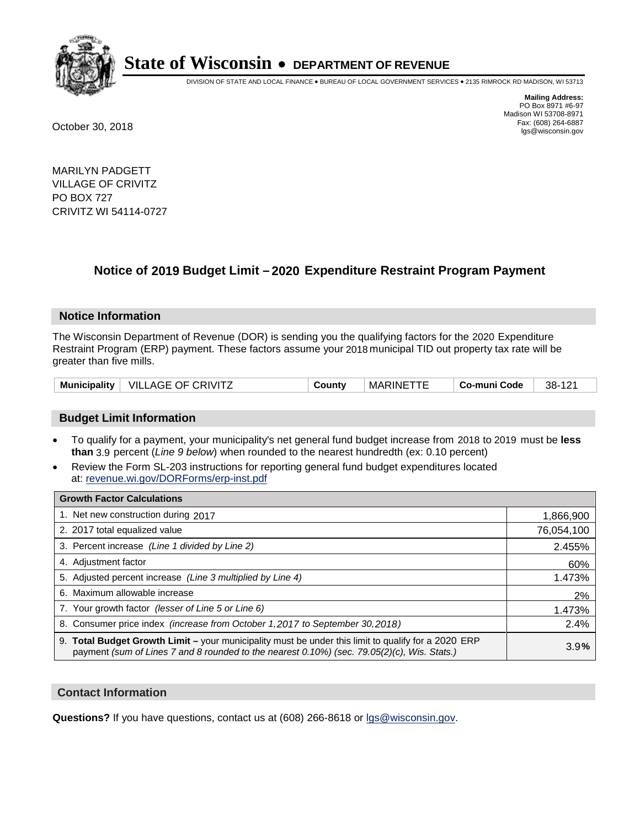

DIVISION OF STATE AND LOCAL FINANCE • BUREAU OF LOCAL GOVERNMENT SERVICES • 2135 RIMROCK RD MADISON, WI 53713

**Mailing Address:** PO Box 8971 #6-97 Madison WI 53708-8971<br>Fax: (608) 264-6887 Fax: (608) 264-6887 October 30, 2018 lgs@wisconsin.gov

MARILYN PADGETT VILLAGE OF CRIVITZ PO BOX 727 CRIVITZ WI 54114-0727

## **Notice of 2019 Budget Limit - 2020 Expenditure Restraint Program Payment**

#### **Notice Information**

The Wisconsin Department of Revenue (DOR) is sending you the qualifying factors for the 2020 Expenditure Restraint Program (ERP) payment. These factors assume your 2018 municipal TID out property tax rate will be greater than five mills.

| <b>Municipality</b> | <b>VILLAGE OF CRIVITZ</b> | `ountv | <b>MARINE</b> | Co-muni Code | 38-<br>121<br>`I∠. |
|---------------------|---------------------------|--------|---------------|--------------|--------------------|
|---------------------|---------------------------|--------|---------------|--------------|--------------------|

#### **Budget Limit Information**

- To qualify for a payment, your municipality's net general fund budget increase from 2018 to 2019 must be less **than** 3.9 percent (*Line 9 below*) when rounded to the nearest hundredth (ex: 0.10 percent)
- Review the Form SL-203 instructions for reporting general fund budget expenditures located at: revenue.wi.gov/DORForms/erp-inst.pdf

| <b>Growth Factor Calculations</b>                                                                                                                                                                      |            |
|--------------------------------------------------------------------------------------------------------------------------------------------------------------------------------------------------------|------------|
| 1. Net new construction during 2017                                                                                                                                                                    | 1,866,900  |
| 2. 2017 total equalized value                                                                                                                                                                          | 76,054,100 |
| 3. Percent increase (Line 1 divided by Line 2)                                                                                                                                                         | 2.455%     |
| 4. Adjustment factor                                                                                                                                                                                   | 60%        |
| 5. Adjusted percent increase (Line 3 multiplied by Line 4)                                                                                                                                             | 1.473%     |
| 6. Maximum allowable increase                                                                                                                                                                          | 2%         |
| 7. Your growth factor (lesser of Line 5 or Line 6)                                                                                                                                                     | 1.473%     |
| 8. Consumer price index (increase from October 1,2017 to September 30,2018)                                                                                                                            | 2.4%       |
| 9. Total Budget Growth Limit - your municipality must be under this limit to qualify for a 2020 ERP<br>payment (sum of Lines 7 and 8 rounded to the nearest $0.10\%$ ) (sec. 79.05(2)(c), Wis. Stats.) | 3.9%       |

#### **Contact Information**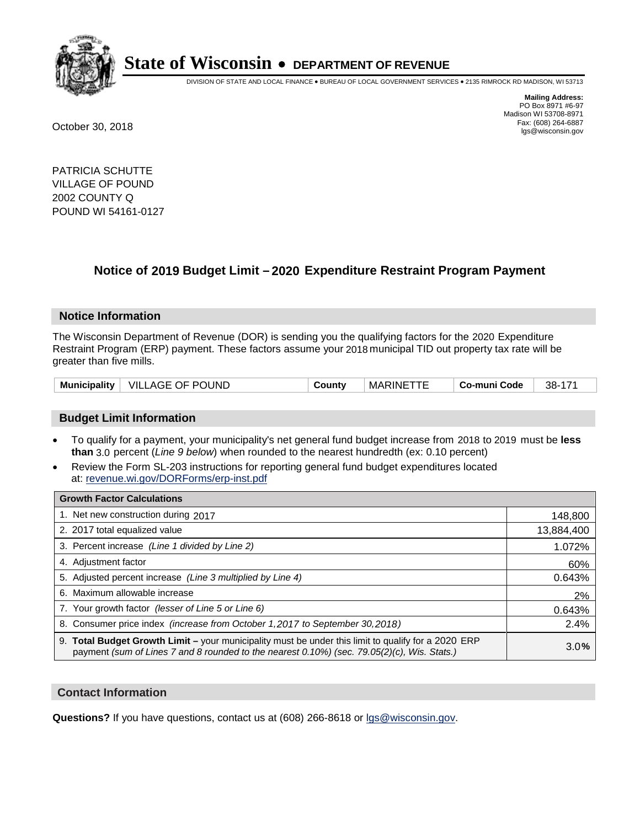

DIVISION OF STATE AND LOCAL FINANCE • BUREAU OF LOCAL GOVERNMENT SERVICES • 2135 RIMROCK RD MADISON, WI 53713

**Mailing Address:** PO Box 8971 #6-97 Madison WI 53708-8971<br>Fax: (608) 264-6887 Fax: (608) 264-6887 October 30, 2018 lgs@wisconsin.gov

PATRICIA SCHUTTE VILLAGE OF POUND 2002 COUNTY Q POUND WI 54161-0127

## **Notice of 2019 Budget Limit - 2020 Expenditure Restraint Program Payment**

#### **Notice Information**

The Wisconsin Department of Revenue (DOR) is sending you the qualifying factors for the 2020 Expenditure Restraint Program (ERP) payment. These factors assume your 2018 municipal TID out property tax rate will be greater than five mills.

| <b>Municipality</b> | <b>VILLAGE OF POUND</b> | County | MARINE <sup>-</sup> | Co-muni Code | 38- |
|---------------------|-------------------------|--------|---------------------|--------------|-----|
|---------------------|-------------------------|--------|---------------------|--------------|-----|

#### **Budget Limit Information**

- To qualify for a payment, your municipality's net general fund budget increase from 2018 to 2019 must be less **than** 3.0 percent (*Line 9 below*) when rounded to the nearest hundredth (ex: 0.10 percent)
- Review the Form SL-203 instructions for reporting general fund budget expenditures located at: revenue.wi.gov/DORForms/erp-inst.pdf

| <b>Growth Factor Calculations</b>                                                                                                                                                                      |            |
|--------------------------------------------------------------------------------------------------------------------------------------------------------------------------------------------------------|------------|
| 1. Net new construction during 2017                                                                                                                                                                    | 148,800    |
| 2. 2017 total equalized value                                                                                                                                                                          | 13,884,400 |
| 3. Percent increase (Line 1 divided by Line 2)                                                                                                                                                         | 1.072%     |
| 4. Adjustment factor                                                                                                                                                                                   | 60%        |
| 5. Adjusted percent increase (Line 3 multiplied by Line 4)                                                                                                                                             | 0.643%     |
| 6. Maximum allowable increase                                                                                                                                                                          | 2%         |
| 7. Your growth factor (lesser of Line 5 or Line 6)                                                                                                                                                     | 0.643%     |
| 8. Consumer price index (increase from October 1,2017 to September 30,2018)                                                                                                                            | 2.4%       |
| 9. Total Budget Growth Limit - your municipality must be under this limit to qualify for a 2020 ERP<br>payment (sum of Lines 7 and 8 rounded to the nearest $0.10\%$ ) (sec. 79.05(2)(c), Wis. Stats.) | 3.0%       |

#### **Contact Information**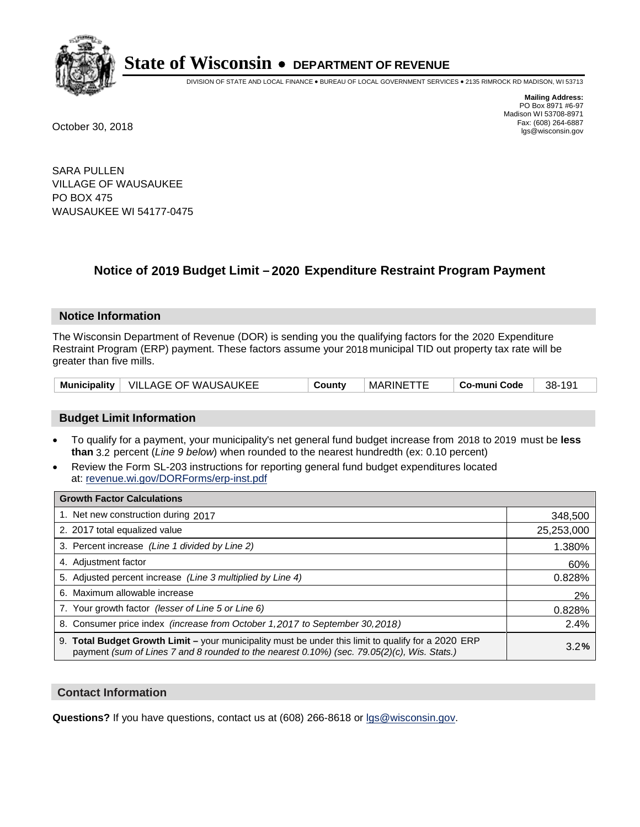

DIVISION OF STATE AND LOCAL FINANCE • BUREAU OF LOCAL GOVERNMENT SERVICES • 2135 RIMROCK RD MADISON, WI 53713

**Mailing Address:** PO Box 8971 #6-97 Madison WI 53708-8971<br>Fax: (608) 264-6887 Fax: (608) 264-6887 October 30, 2018 lgs@wisconsin.gov

SARA PULLEN VILLAGE OF WAUSAUKEE PO BOX 475 WAUSAUKEE WI 54177-0475

## **Notice of 2019 Budget Limit - 2020 Expenditure Restraint Program Payment**

#### **Notice Information**

The Wisconsin Department of Revenue (DOR) is sending you the qualifying factors for the 2020 Expenditure Restraint Program (ERP) payment. These factors assume your 2018 municipal TID out property tax rate will be greater than five mills.

|  | Municipality   VILLAGE OF WAUSAUKEE | County | <b>MARINETTE</b> | Co-muni Code | 38-191 |
|--|-------------------------------------|--------|------------------|--------------|--------|
|--|-------------------------------------|--------|------------------|--------------|--------|

#### **Budget Limit Information**

- To qualify for a payment, your municipality's net general fund budget increase from 2018 to 2019 must be less **than** 3.2 percent (*Line 9 below*) when rounded to the nearest hundredth (ex: 0.10 percent)
- Review the Form SL-203 instructions for reporting general fund budget expenditures located at: revenue.wi.gov/DORForms/erp-inst.pdf

| <b>Growth Factor Calculations</b>                                                                                                                                                                      |            |
|--------------------------------------------------------------------------------------------------------------------------------------------------------------------------------------------------------|------------|
| 1. Net new construction during 2017                                                                                                                                                                    | 348,500    |
| 2. 2017 total equalized value                                                                                                                                                                          | 25,253,000 |
| 3. Percent increase (Line 1 divided by Line 2)                                                                                                                                                         | 1.380%     |
| 4. Adjustment factor                                                                                                                                                                                   | 60%        |
| 5. Adjusted percent increase (Line 3 multiplied by Line 4)                                                                                                                                             | 0.828%     |
| 6. Maximum allowable increase                                                                                                                                                                          | 2%         |
| 7. Your growth factor (lesser of Line 5 or Line 6)                                                                                                                                                     | 0.828%     |
| 8. Consumer price index (increase from October 1,2017 to September 30,2018)                                                                                                                            | 2.4%       |
| 9. Total Budget Growth Limit - your municipality must be under this limit to qualify for a 2020 ERP<br>payment (sum of Lines 7 and 8 rounded to the nearest $0.10\%$ ) (sec. 79.05(2)(c), Wis. Stats.) | 3.2%       |

#### **Contact Information**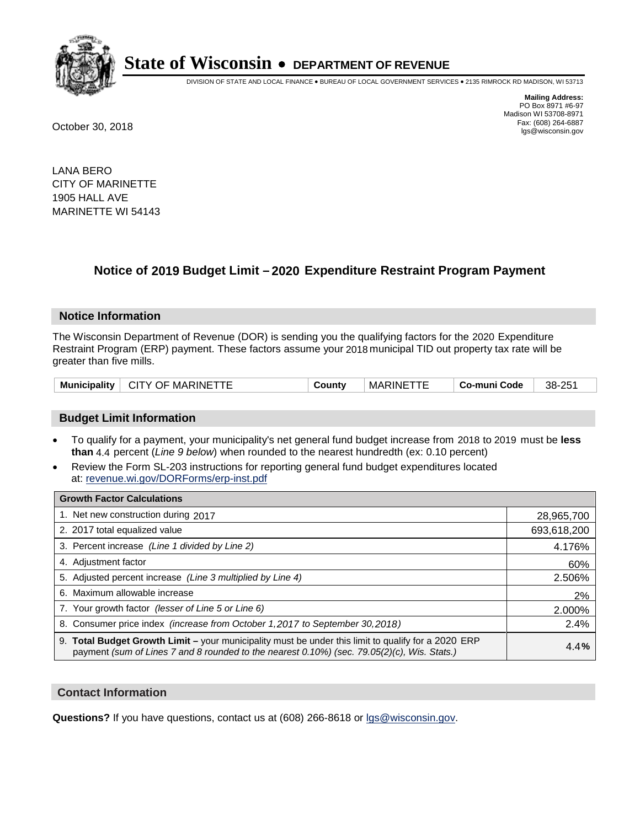

DIVISION OF STATE AND LOCAL FINANCE • BUREAU OF LOCAL GOVERNMENT SERVICES • 2135 RIMROCK RD MADISON, WI 53713

**Mailing Address:** PO Box 8971 #6-97 Madison WI 53708-8971<br>Fax: (608) 264-6887 Fax: (608) 264-6887 October 30, 2018 lgs@wisconsin.gov

LANA BERO CITY OF MARINETTE 1905 HALL AVE MARINETTE WI 54143

## **Notice of 2019 Budget Limit - 2020 Expenditure Restraint Program Payment**

#### **Notice Information**

The Wisconsin Department of Revenue (DOR) is sending you the qualifying factors for the 2020 Expenditure Restraint Program (ERP) payment. These factors assume your 2018 municipal TID out property tax rate will be greater than five mills.

| <b>Municipality</b> | <b>CITY OF MARINETTF</b> | Countv | <b>MARINE</b> | Co-muni Code | 38-251 |
|---------------------|--------------------------|--------|---------------|--------------|--------|
|---------------------|--------------------------|--------|---------------|--------------|--------|

#### **Budget Limit Information**

- To qualify for a payment, your municipality's net general fund budget increase from 2018 to 2019 must be less **than** 4.4 percent (*Line 9 below*) when rounded to the nearest hundredth (ex: 0.10 percent)
- Review the Form SL-203 instructions for reporting general fund budget expenditures located at: revenue.wi.gov/DORForms/erp-inst.pdf

| <b>Growth Factor Calculations</b>                                                                                                                                                                      |             |
|--------------------------------------------------------------------------------------------------------------------------------------------------------------------------------------------------------|-------------|
| 1. Net new construction during 2017                                                                                                                                                                    | 28,965,700  |
| 2. 2017 total equalized value                                                                                                                                                                          | 693,618,200 |
| 3. Percent increase (Line 1 divided by Line 2)                                                                                                                                                         | 4.176%      |
| 4. Adjustment factor                                                                                                                                                                                   | 60%         |
| 5. Adjusted percent increase (Line 3 multiplied by Line 4)                                                                                                                                             | 2.506%      |
| 6. Maximum allowable increase                                                                                                                                                                          | 2%          |
| 7. Your growth factor (lesser of Line 5 or Line 6)                                                                                                                                                     | 2.000%      |
| 8. Consumer price index (increase from October 1,2017 to September 30,2018)                                                                                                                            | 2.4%        |
| 9. Total Budget Growth Limit - your municipality must be under this limit to qualify for a 2020 ERP<br>payment (sum of Lines 7 and 8 rounded to the nearest $0.10\%$ ) (sec. 79.05(2)(c), Wis. Stats.) | 4.4%        |

#### **Contact Information**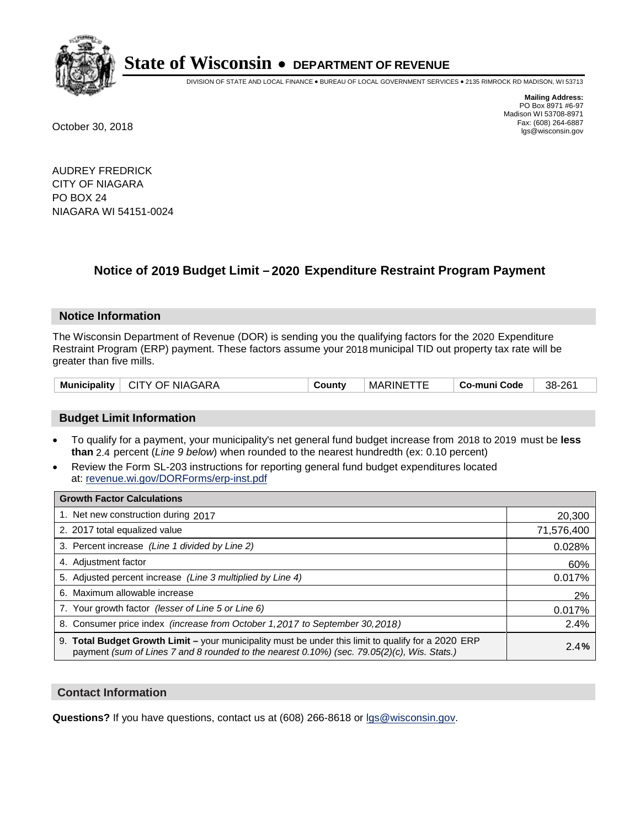

DIVISION OF STATE AND LOCAL FINANCE • BUREAU OF LOCAL GOVERNMENT SERVICES • 2135 RIMROCK RD MADISON, WI 53713

**Mailing Address:** PO Box 8971 #6-97 Madison WI 53708-8971<br>Fax: (608) 264-6887 Fax: (608) 264-6887 October 30, 2018 lgs@wisconsin.gov

AUDREY FREDRICK CITY OF NIAGARA PO BOX 24 NIAGARA WI 54151-0024

## **Notice of 2019 Budget Limit - 2020 Expenditure Restraint Program Payment**

#### **Notice Information**

The Wisconsin Department of Revenue (DOR) is sending you the qualifying factors for the 2020 Expenditure Restraint Program (ERP) payment. These factors assume your 2018 municipal TID out property tax rate will be greater than five mills.

| <b>Municipality</b> | <b>CITY OF NIAGARA</b> | `ountv | <b>MARINE</b> | Co-muni Code | 38-261 |
|---------------------|------------------------|--------|---------------|--------------|--------|
|---------------------|------------------------|--------|---------------|--------------|--------|

#### **Budget Limit Information**

- To qualify for a payment, your municipality's net general fund budget increase from 2018 to 2019 must be less **than** 2.4 percent (*Line 9 below*) when rounded to the nearest hundredth (ex: 0.10 percent)
- Review the Form SL-203 instructions for reporting general fund budget expenditures located at: revenue.wi.gov/DORForms/erp-inst.pdf

| <b>Growth Factor Calculations</b>                                                                                                                                                                  |            |
|----------------------------------------------------------------------------------------------------------------------------------------------------------------------------------------------------|------------|
| 1. Net new construction during 2017                                                                                                                                                                | 20,300     |
| 2. 2017 total equalized value                                                                                                                                                                      | 71,576,400 |
| 3. Percent increase (Line 1 divided by Line 2)                                                                                                                                                     | 0.028%     |
| 4. Adjustment factor                                                                                                                                                                               | 60%        |
| 5. Adjusted percent increase (Line 3 multiplied by Line 4)                                                                                                                                         | 0.017%     |
| 6. Maximum allowable increase                                                                                                                                                                      | 2%         |
| 7. Your growth factor (lesser of Line 5 or Line 6)                                                                                                                                                 | 0.017%     |
| 8. Consumer price index (increase from October 1, 2017 to September 30, 2018)                                                                                                                      | 2.4%       |
| 9. Total Budget Growth Limit – your municipality must be under this limit to qualify for a 2020 ERP<br>payment (sum of Lines 7 and 8 rounded to the nearest 0.10%) (sec. 79.05(2)(c), Wis. Stats.) | 2.4%       |

#### **Contact Information**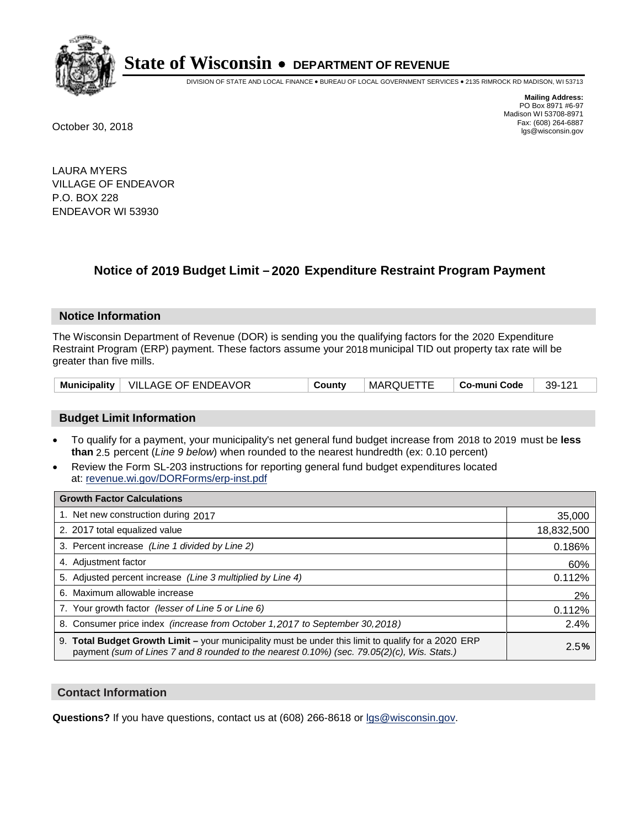

DIVISION OF STATE AND LOCAL FINANCE • BUREAU OF LOCAL GOVERNMENT SERVICES • 2135 RIMROCK RD MADISON, WI 53713

**Mailing Address:** PO Box 8971 #6-97 Madison WI 53708-8971<br>Fax: (608) 264-6887 Fax: (608) 264-6887 October 30, 2018 lgs@wisconsin.gov

LAURA MYERS VILLAGE OF ENDEAVOR P.O. BOX 228 ENDEAVOR WI 53930

## **Notice of 2019 Budget Limit - 2020 Expenditure Restraint Program Payment**

#### **Notice Information**

The Wisconsin Department of Revenue (DOR) is sending you the qualifying factors for the 2020 Expenditure Restraint Program (ERP) payment. These factors assume your 2018 municipal TID out property tax rate will be greater than five mills.

|  | Municipality   VILLAGE OF ENDEAVOR | County | MARQUETTE | ∣ Co-muni Code | 39-121 |
|--|------------------------------------|--------|-----------|----------------|--------|
|--|------------------------------------|--------|-----------|----------------|--------|

#### **Budget Limit Information**

- To qualify for a payment, your municipality's net general fund budget increase from 2018 to 2019 must be less **than** 2.5 percent (*Line 9 below*) when rounded to the nearest hundredth (ex: 0.10 percent)
- Review the Form SL-203 instructions for reporting general fund budget expenditures located at: revenue.wi.gov/DORForms/erp-inst.pdf

| <b>Growth Factor Calculations</b>                                                                                                                                                                      |            |
|--------------------------------------------------------------------------------------------------------------------------------------------------------------------------------------------------------|------------|
| 1. Net new construction during 2017                                                                                                                                                                    | 35,000     |
| 2. 2017 total equalized value                                                                                                                                                                          | 18,832,500 |
| 3. Percent increase (Line 1 divided by Line 2)                                                                                                                                                         | 0.186%     |
| 4. Adjustment factor                                                                                                                                                                                   | 60%        |
| 5. Adjusted percent increase (Line 3 multiplied by Line 4)                                                                                                                                             | 0.112%     |
| 6. Maximum allowable increase                                                                                                                                                                          | 2%         |
| 7. Your growth factor (lesser of Line 5 or Line 6)                                                                                                                                                     | 0.112%     |
| 8. Consumer price index (increase from October 1, 2017 to September 30, 2018)                                                                                                                          | 2.4%       |
| 9. Total Budget Growth Limit - your municipality must be under this limit to qualify for a 2020 ERP<br>payment (sum of Lines 7 and 8 rounded to the nearest $0.10\%$ ) (sec. 79.05(2)(c), Wis. Stats.) | 2.5%       |

#### **Contact Information**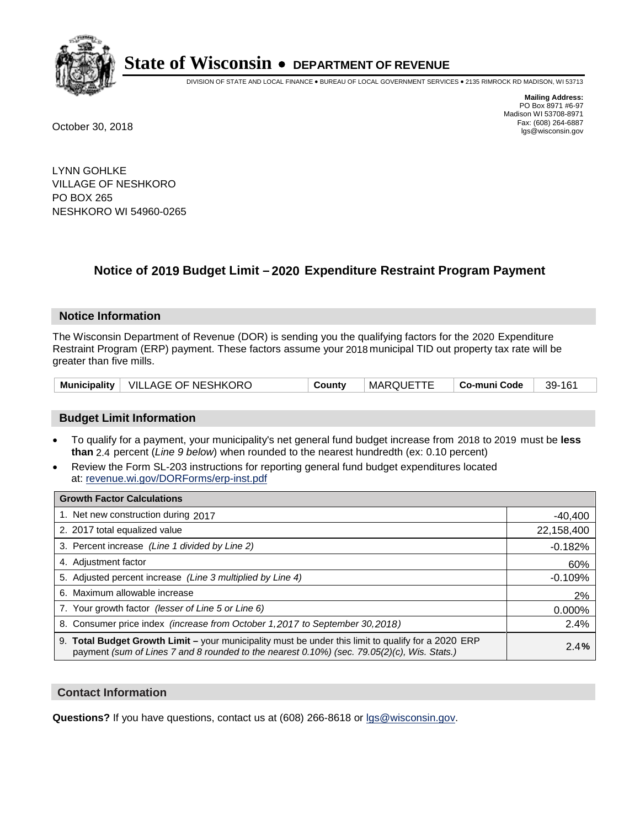

DIVISION OF STATE AND LOCAL FINANCE • BUREAU OF LOCAL GOVERNMENT SERVICES • 2135 RIMROCK RD MADISON, WI 53713

**Mailing Address:** PO Box 8971 #6-97 Madison WI 53708-8971<br>Fax: (608) 264-6887 Fax: (608) 264-6887 October 30, 2018 lgs@wisconsin.gov

LYNN GOHLKE VILLAGE OF NESHKORO PO BOX 265 NESHKORO WI 54960-0265

### **Notice of 2019 Budget Limit - 2020 Expenditure Restraint Program Payment**

#### **Notice Information**

The Wisconsin Department of Revenue (DOR) is sending you the qualifying factors for the 2020 Expenditure Restraint Program (ERP) payment. These factors assume your 2018 municipal TID out property tax rate will be greater than five mills.

|  | Municipality   VILLAGE OF NESHKORO | County | <b>MARQUETTE</b> | ∣ Co-muni Code | 39-161 |
|--|------------------------------------|--------|------------------|----------------|--------|
|--|------------------------------------|--------|------------------|----------------|--------|

#### **Budget Limit Information**

- To qualify for a payment, your municipality's net general fund budget increase from 2018 to 2019 must be less **than** 2.4 percent (*Line 9 below*) when rounded to the nearest hundredth (ex: 0.10 percent)
- Review the Form SL-203 instructions for reporting general fund budget expenditures located at: revenue.wi.gov/DORForms/erp-inst.pdf

| <b>Growth Factor Calculations</b>                                                                                                                                                                      |            |
|--------------------------------------------------------------------------------------------------------------------------------------------------------------------------------------------------------|------------|
| 1. Net new construction during 2017                                                                                                                                                                    | $-40,400$  |
| 2. 2017 total equalized value                                                                                                                                                                          | 22,158,400 |
| 3. Percent increase (Line 1 divided by Line 2)                                                                                                                                                         | $-0.182%$  |
| 4. Adjustment factor                                                                                                                                                                                   | 60%        |
| 5. Adjusted percent increase (Line 3 multiplied by Line 4)                                                                                                                                             | $-0.109%$  |
| 6. Maximum allowable increase                                                                                                                                                                          | 2%         |
| 7. Your growth factor (lesser of Line 5 or Line 6)                                                                                                                                                     | 0.000%     |
| 8. Consumer price index (increase from October 1,2017 to September 30,2018)                                                                                                                            | 2.4%       |
| 9. Total Budget Growth Limit - your municipality must be under this limit to qualify for a 2020 ERP<br>payment (sum of Lines 7 and 8 rounded to the nearest $0.10\%$ ) (sec. 79.05(2)(c), Wis. Stats.) | 2.4%       |

#### **Contact Information**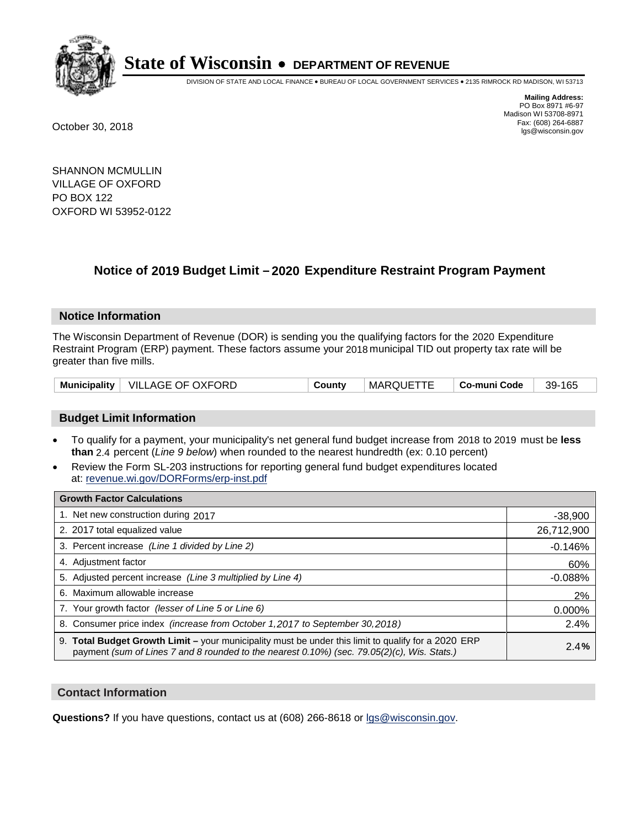

DIVISION OF STATE AND LOCAL FINANCE • BUREAU OF LOCAL GOVERNMENT SERVICES • 2135 RIMROCK RD MADISON, WI 53713

**Mailing Address:** PO Box 8971 #6-97 Madison WI 53708-8971<br>Fax: (608) 264-6887 Fax: (608) 264-6887 October 30, 2018 lgs@wisconsin.gov

SHANNON MCMULLIN VILLAGE OF OXFORD PO BOX 122 OXFORD WI 53952-0122

## **Notice of 2019 Budget Limit - 2020 Expenditure Restraint Program Payment**

#### **Notice Information**

The Wisconsin Department of Revenue (DOR) is sending you the qualifying factors for the 2020 Expenditure Restraint Program (ERP) payment. These factors assume your 2018 municipal TID out property tax rate will be greater than five mills.

| Municipality   VILLAGE OF OXFORD | County | MARQUETTE | ∣ Co-muni Code | 39-165 |
|----------------------------------|--------|-----------|----------------|--------|
|----------------------------------|--------|-----------|----------------|--------|

#### **Budget Limit Information**

- To qualify for a payment, your municipality's net general fund budget increase from 2018 to 2019 must be less **than** 2.4 percent (*Line 9 below*) when rounded to the nearest hundredth (ex: 0.10 percent)
- Review the Form SL-203 instructions for reporting general fund budget expenditures located at: revenue.wi.gov/DORForms/erp-inst.pdf

| <b>Growth Factor Calculations</b>                                                                                                                                                                      |            |
|--------------------------------------------------------------------------------------------------------------------------------------------------------------------------------------------------------|------------|
| 1. Net new construction during 2017                                                                                                                                                                    | $-38,900$  |
| 2. 2017 total equalized value                                                                                                                                                                          | 26,712,900 |
| 3. Percent increase (Line 1 divided by Line 2)                                                                                                                                                         | $-0.146%$  |
| 4. Adjustment factor                                                                                                                                                                                   | 60%        |
| 5. Adjusted percent increase (Line 3 multiplied by Line 4)                                                                                                                                             | $-0.088%$  |
| 6. Maximum allowable increase                                                                                                                                                                          | 2%         |
| 7. Your growth factor (lesser of Line 5 or Line 6)                                                                                                                                                     | 0.000%     |
| 8. Consumer price index (increase from October 1,2017 to September 30,2018)                                                                                                                            | 2.4%       |
| 9. Total Budget Growth Limit - your municipality must be under this limit to qualify for a 2020 ERP<br>payment (sum of Lines 7 and 8 rounded to the nearest $0.10\%$ ) (sec. 79.05(2)(c), Wis. Stats.) | 2.4%       |

#### **Contact Information**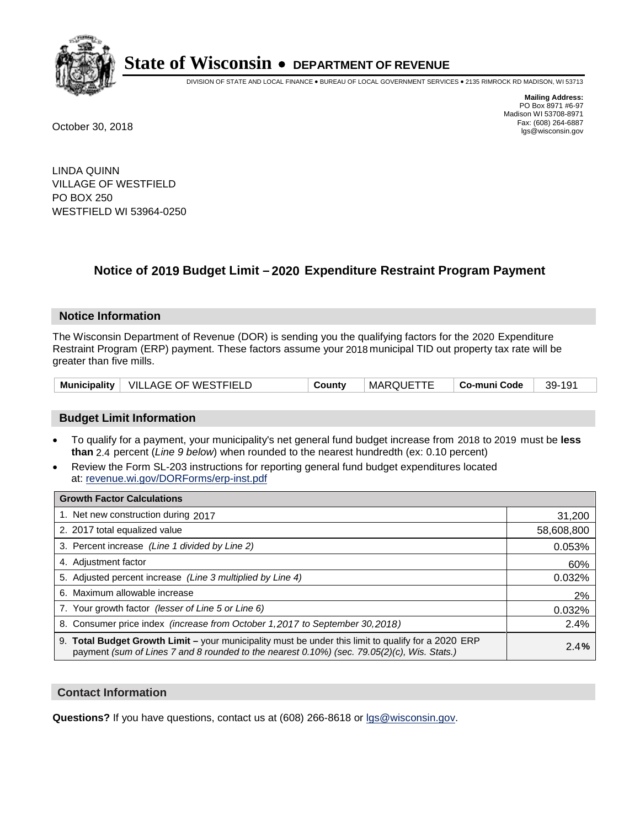

DIVISION OF STATE AND LOCAL FINANCE • BUREAU OF LOCAL GOVERNMENT SERVICES • 2135 RIMROCK RD MADISON, WI 53713

**Mailing Address:** PO Box 8971 #6-97 Madison WI 53708-8971<br>Fax: (608) 264-6887 Fax: (608) 264-6887 October 30, 2018 lgs@wisconsin.gov

LINDA QUINN VILLAGE OF WESTFIELD PO BOX 250 WESTFIELD WI 53964-0250

### **Notice of 2019 Budget Limit - 2020 Expenditure Restraint Program Payment**

#### **Notice Information**

The Wisconsin Department of Revenue (DOR) is sending you the qualifying factors for the 2020 Expenditure Restraint Program (ERP) payment. These factors assume your 2018 municipal TID out property tax rate will be greater than five mills.

|  | Municipality   VILLAGE OF WESTFIELD | County | <b>MARQUETTE</b> | ∣ Co-muni Code | 39-191 |
|--|-------------------------------------|--------|------------------|----------------|--------|
|--|-------------------------------------|--------|------------------|----------------|--------|

#### **Budget Limit Information**

- To qualify for a payment, your municipality's net general fund budget increase from 2018 to 2019 must be less **than** 2.4 percent (*Line 9 below*) when rounded to the nearest hundredth (ex: 0.10 percent)
- Review the Form SL-203 instructions for reporting general fund budget expenditures located at: revenue.wi.gov/DORForms/erp-inst.pdf

| <b>Growth Factor Calculations</b>                                                                                                                                                                      |            |
|--------------------------------------------------------------------------------------------------------------------------------------------------------------------------------------------------------|------------|
| 1. Net new construction during 2017                                                                                                                                                                    | 31,200     |
| 2. 2017 total equalized value                                                                                                                                                                          | 58,608,800 |
| 3. Percent increase (Line 1 divided by Line 2)                                                                                                                                                         | 0.053%     |
| 4. Adjustment factor                                                                                                                                                                                   | 60%        |
| 5. Adjusted percent increase (Line 3 multiplied by Line 4)                                                                                                                                             | 0.032%     |
| 6. Maximum allowable increase                                                                                                                                                                          | 2%         |
| 7. Your growth factor (lesser of Line 5 or Line 6)                                                                                                                                                     | 0.032%     |
| 8. Consumer price index (increase from October 1,2017 to September 30,2018)                                                                                                                            | 2.4%       |
| 9. Total Budget Growth Limit - your municipality must be under this limit to qualify for a 2020 ERP<br>payment (sum of Lines 7 and 8 rounded to the nearest $0.10\%$ ) (sec. 79.05(2)(c), Wis. Stats.) | 2.4%       |

#### **Contact Information**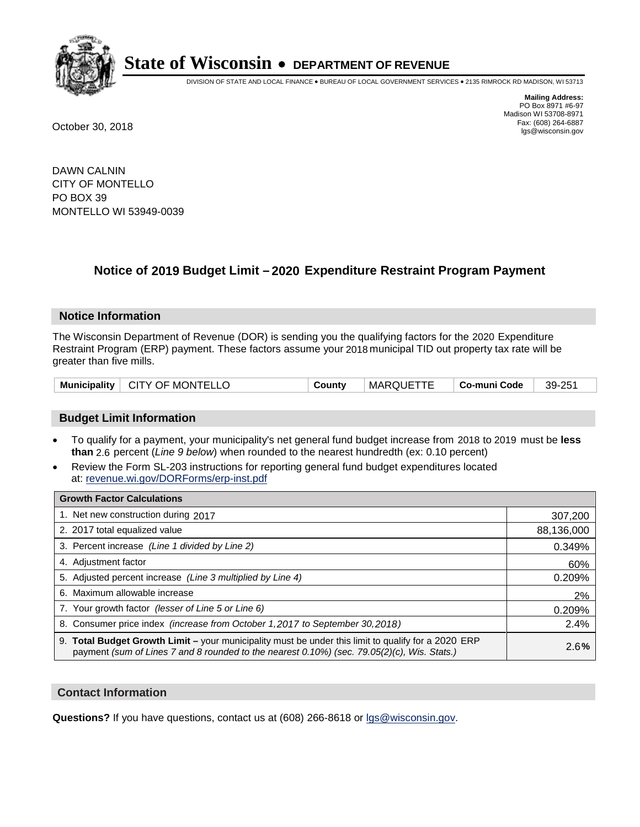

DIVISION OF STATE AND LOCAL FINANCE • BUREAU OF LOCAL GOVERNMENT SERVICES • 2135 RIMROCK RD MADISON, WI 53713

**Mailing Address:** PO Box 8971 #6-97 Madison WI 53708-8971<br>Fax: (608) 264-6887 Fax: (608) 264-6887 October 30, 2018 lgs@wisconsin.gov

DAWN CALNIN CITY OF MONTELLO PO BOX 39 MONTELLO WI 53949-0039

### **Notice of 2019 Budget Limit - 2020 Expenditure Restraint Program Payment**

#### **Notice Information**

The Wisconsin Department of Revenue (DOR) is sending you the qualifying factors for the 2020 Expenditure Restraint Program (ERP) payment. These factors assume your 2018 municipal TID out property tax rate will be greater than five mills.

| Municipality   CITY OF MONTELLO | County | <b>MARQUETTE</b> | ∣ Co-muni Code | 39-251 |
|---------------------------------|--------|------------------|----------------|--------|
|---------------------------------|--------|------------------|----------------|--------|

#### **Budget Limit Information**

- To qualify for a payment, your municipality's net general fund budget increase from 2018 to 2019 must be less **than** 2.6 percent (*Line 9 below*) when rounded to the nearest hundredth (ex: 0.10 percent)
- Review the Form SL-203 instructions for reporting general fund budget expenditures located at: revenue.wi.gov/DORForms/erp-inst.pdf

| <b>Growth Factor Calculations</b>                                                                                                                                                                      |            |
|--------------------------------------------------------------------------------------------------------------------------------------------------------------------------------------------------------|------------|
| 1. Net new construction during 2017                                                                                                                                                                    | 307,200    |
| 2. 2017 total equalized value                                                                                                                                                                          | 88,136,000 |
| 3. Percent increase (Line 1 divided by Line 2)                                                                                                                                                         | 0.349%     |
| 4. Adjustment factor                                                                                                                                                                                   | 60%        |
| 5. Adjusted percent increase (Line 3 multiplied by Line 4)                                                                                                                                             | 0.209%     |
| 6. Maximum allowable increase                                                                                                                                                                          | 2%         |
| 7. Your growth factor (lesser of Line 5 or Line 6)                                                                                                                                                     | 0.209%     |
| 8. Consumer price index (increase from October 1,2017 to September 30,2018)                                                                                                                            | 2.4%       |
| 9. Total Budget Growth Limit - your municipality must be under this limit to qualify for a 2020 ERP<br>payment (sum of Lines 7 and 8 rounded to the nearest $0.10\%$ ) (sec. 79.05(2)(c), Wis. Stats.) | 2.6%       |

#### **Contact Information**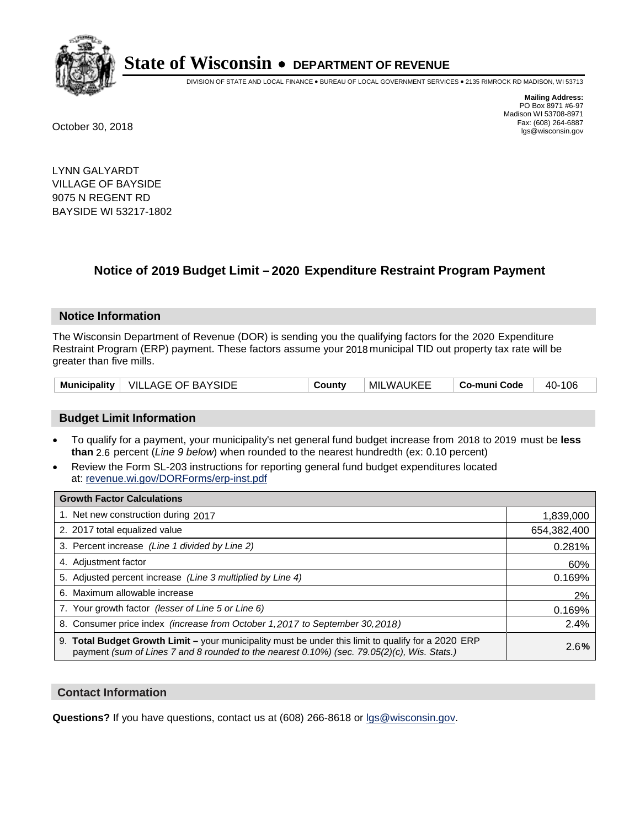

DIVISION OF STATE AND LOCAL FINANCE • BUREAU OF LOCAL GOVERNMENT SERVICES • 2135 RIMROCK RD MADISON, WI 53713

**Mailing Address:** PO Box 8971 #6-97 Madison WI 53708-8971<br>Fax: (608) 264-6887 Fax: (608) 264-6887 October 30, 2018 lgs@wisconsin.gov

LYNN GALYARDT VILLAGE OF BAYSIDE 9075 N REGENT RD BAYSIDE WI 53217-1802

## **Notice of 2019 Budget Limit - 2020 Expenditure Restraint Program Payment**

#### **Notice Information**

The Wisconsin Department of Revenue (DOR) is sending you the qualifying factors for the 2020 Expenditure Restraint Program (ERP) payment. These factors assume your 2018 municipal TID out property tax rate will be greater than five mills.

|  | Municipality   VILLAGE OF BAYSIDE | County | MILWAUKEE | Co-muni Code | 40-106 |
|--|-----------------------------------|--------|-----------|--------------|--------|
|--|-----------------------------------|--------|-----------|--------------|--------|

#### **Budget Limit Information**

- To qualify for a payment, your municipality's net general fund budget increase from 2018 to 2019 must be less **than** 2.6 percent (*Line 9 below*) when rounded to the nearest hundredth (ex: 0.10 percent)
- Review the Form SL-203 instructions for reporting general fund budget expenditures located at: revenue.wi.gov/DORForms/erp-inst.pdf

| <b>Growth Factor Calculations</b>                                                                                                                                                                      |             |
|--------------------------------------------------------------------------------------------------------------------------------------------------------------------------------------------------------|-------------|
| 1. Net new construction during 2017                                                                                                                                                                    | 1,839,000   |
| 2. 2017 total equalized value                                                                                                                                                                          | 654,382,400 |
| 3. Percent increase (Line 1 divided by Line 2)                                                                                                                                                         | 0.281%      |
| 4. Adjustment factor                                                                                                                                                                                   | 60%         |
| 5. Adjusted percent increase (Line 3 multiplied by Line 4)                                                                                                                                             | 0.169%      |
| 6. Maximum allowable increase                                                                                                                                                                          | 2%          |
| 7. Your growth factor (lesser of Line 5 or Line 6)                                                                                                                                                     | 0.169%      |
| 8. Consumer price index (increase from October 1,2017 to September 30,2018)                                                                                                                            | 2.4%        |
| 9. Total Budget Growth Limit - your municipality must be under this limit to qualify for a 2020 ERP<br>payment (sum of Lines 7 and 8 rounded to the nearest $0.10\%$ ) (sec. 79.05(2)(c), Wis. Stats.) | 2.6%        |

#### **Contact Information**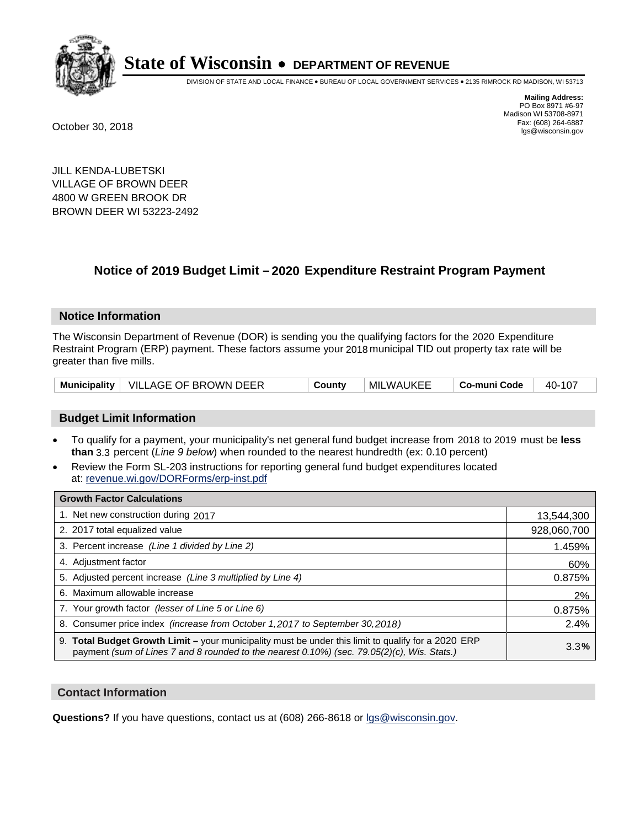

DIVISION OF STATE AND LOCAL FINANCE • BUREAU OF LOCAL GOVERNMENT SERVICES • 2135 RIMROCK RD MADISON, WI 53713

**Mailing Address:** PO Box 8971 #6-97 Madison WI 53708-8971<br>Fax: (608) 264-6887 Fax: (608) 264-6887 October 30, 2018 lgs@wisconsin.gov

JILL KENDA-LUBETSKI VILLAGE OF BROWN DEER 4800 W GREEN BROOK DR BROWN DEER WI 53223-2492

### **Notice of 2019 Budget Limit - 2020 Expenditure Restraint Program Payment**

#### **Notice Information**

The Wisconsin Department of Revenue (DOR) is sending you the qualifying factors for the 2020 Expenditure Restraint Program (ERP) payment. These factors assume your 2018 municipal TID out property tax rate will be greater than five mills.

|  | Municipality   VILLAGE OF BROWN DEER | County | MILWAUKEE | Co-muni Code | 40-107 |
|--|--------------------------------------|--------|-----------|--------------|--------|
|--|--------------------------------------|--------|-----------|--------------|--------|

#### **Budget Limit Information**

- To qualify for a payment, your municipality's net general fund budget increase from 2018 to 2019 must be less **than** 3.3 percent (*Line 9 below*) when rounded to the nearest hundredth (ex: 0.10 percent)
- Review the Form SL-203 instructions for reporting general fund budget expenditures located at: revenue.wi.gov/DORForms/erp-inst.pdf

| <b>Growth Factor Calculations</b>                                                                                                                                                                      |             |
|--------------------------------------------------------------------------------------------------------------------------------------------------------------------------------------------------------|-------------|
| 1. Net new construction during 2017                                                                                                                                                                    | 13,544,300  |
| 2. 2017 total equalized value                                                                                                                                                                          | 928,060,700 |
| 3. Percent increase (Line 1 divided by Line 2)                                                                                                                                                         | 1.459%      |
| 4. Adjustment factor                                                                                                                                                                                   | 60%         |
| 5. Adjusted percent increase (Line 3 multiplied by Line 4)                                                                                                                                             | 0.875%      |
| 6. Maximum allowable increase                                                                                                                                                                          | 2%          |
| 7. Your growth factor (lesser of Line 5 or Line 6)                                                                                                                                                     | 0.875%      |
| 8. Consumer price index (increase from October 1,2017 to September 30,2018)                                                                                                                            | 2.4%        |
| 9. Total Budget Growth Limit - your municipality must be under this limit to qualify for a 2020 ERP<br>payment (sum of Lines 7 and 8 rounded to the nearest $0.10\%$ ) (sec. 79.05(2)(c), Wis. Stats.) | 3.3%        |

#### **Contact Information**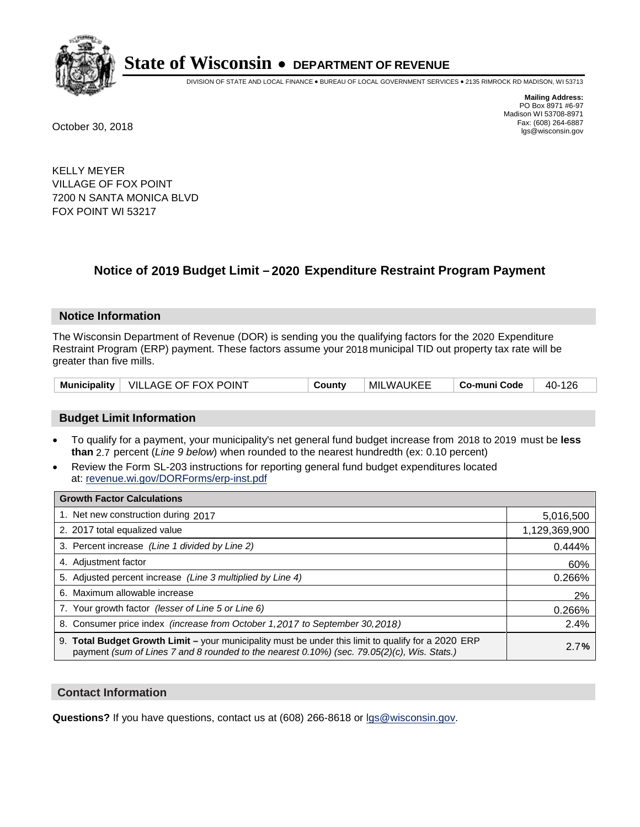

DIVISION OF STATE AND LOCAL FINANCE • BUREAU OF LOCAL GOVERNMENT SERVICES • 2135 RIMROCK RD MADISON, WI 53713

**Mailing Address:** PO Box 8971 #6-97 Madison WI 53708-8971<br>Fax: (608) 264-6887 Fax: (608) 264-6887 October 30, 2018 lgs@wisconsin.gov

KELLY MEYER VILLAGE OF FOX POINT 7200 N SANTA MONICA BLVD FOX POINT WI 53217

## **Notice of 2019 Budget Limit - 2020 Expenditure Restraint Program Payment**

#### **Notice Information**

The Wisconsin Department of Revenue (DOR) is sending you the qualifying factors for the 2020 Expenditure Restraint Program (ERP) payment. These factors assume your 2018 municipal TID out property tax rate will be greater than five mills.

|  | Municipality   VILLAGE OF FOX POINT | Countv | MILWAUKEE | Co-muni Code | 40-126 |
|--|-------------------------------------|--------|-----------|--------------|--------|
|--|-------------------------------------|--------|-----------|--------------|--------|

#### **Budget Limit Information**

- To qualify for a payment, your municipality's net general fund budget increase from 2018 to 2019 must be less **than** 2.7 percent (*Line 9 below*) when rounded to the nearest hundredth (ex: 0.10 percent)
- Review the Form SL-203 instructions for reporting general fund budget expenditures located at: revenue.wi.gov/DORForms/erp-inst.pdf

| <b>Growth Factor Calculations</b>                                                                                                                                                                      |               |
|--------------------------------------------------------------------------------------------------------------------------------------------------------------------------------------------------------|---------------|
| 1. Net new construction during 2017                                                                                                                                                                    | 5,016,500     |
| 2. 2017 total equalized value                                                                                                                                                                          | 1,129,369,900 |
| 3. Percent increase (Line 1 divided by Line 2)                                                                                                                                                         | 0.444%        |
| 4. Adjustment factor                                                                                                                                                                                   | 60%           |
| 5. Adjusted percent increase (Line 3 multiplied by Line 4)                                                                                                                                             | 0.266%        |
| 6. Maximum allowable increase                                                                                                                                                                          | 2%            |
| 7. Your growth factor (lesser of Line 5 or Line 6)                                                                                                                                                     | 0.266%        |
| 8. Consumer price index (increase from October 1,2017 to September 30,2018)                                                                                                                            | 2.4%          |
| 9. Total Budget Growth Limit - your municipality must be under this limit to qualify for a 2020 ERP<br>payment (sum of Lines 7 and 8 rounded to the nearest $0.10\%$ ) (sec. 79.05(2)(c), Wis. Stats.) | 2.7%          |

#### **Contact Information**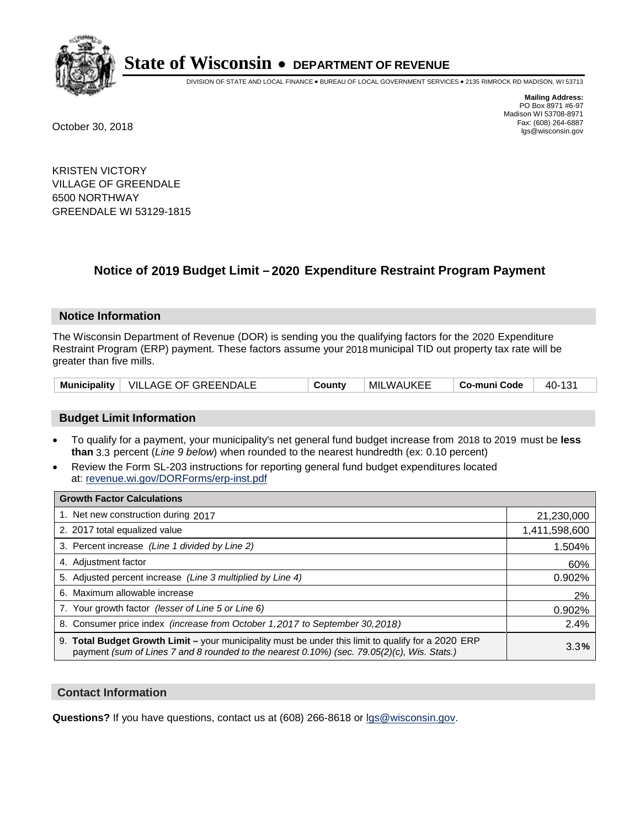

DIVISION OF STATE AND LOCAL FINANCE • BUREAU OF LOCAL GOVERNMENT SERVICES • 2135 RIMROCK RD MADISON, WI 53713

**Mailing Address:** PO Box 8971 #6-97 Madison WI 53708-8971<br>Fax: (608) 264-6887 Fax: (608) 264-6887 October 30, 2018 lgs@wisconsin.gov

KRISTEN VICTORY VILLAGE OF GREENDALE 6500 NORTHWAY GREENDALE WI 53129-1815

## **Notice of 2019 Budget Limit - 2020 Expenditure Restraint Program Payment**

#### **Notice Information**

The Wisconsin Department of Revenue (DOR) is sending you the qualifying factors for the 2020 Expenditure Restraint Program (ERP) payment. These factors assume your 2018 municipal TID out property tax rate will be greater than five mills.

| Municipality   VILLAGE OF GREENDALE | County | MILWAUKEE | Co-muni Code | 40-131 |
|-------------------------------------|--------|-----------|--------------|--------|
|-------------------------------------|--------|-----------|--------------|--------|

#### **Budget Limit Information**

- To qualify for a payment, your municipality's net general fund budget increase from 2018 to 2019 must be less **than** 3.3 percent (*Line 9 below*) when rounded to the nearest hundredth (ex: 0.10 percent)
- Review the Form SL-203 instructions for reporting general fund budget expenditures located at: revenue.wi.gov/DORForms/erp-inst.pdf

| <b>Growth Factor Calculations</b>                                                                                                                                                                      |               |
|--------------------------------------------------------------------------------------------------------------------------------------------------------------------------------------------------------|---------------|
| 1. Net new construction during 2017                                                                                                                                                                    | 21,230,000    |
| 2. 2017 total equalized value                                                                                                                                                                          | 1,411,598,600 |
| 3. Percent increase (Line 1 divided by Line 2)                                                                                                                                                         | 1.504%        |
| 4. Adjustment factor                                                                                                                                                                                   | 60%           |
| 5. Adjusted percent increase (Line 3 multiplied by Line 4)                                                                                                                                             | 0.902%        |
| 6. Maximum allowable increase                                                                                                                                                                          | 2%            |
| 7. Your growth factor (lesser of Line 5 or Line 6)                                                                                                                                                     | 0.902%        |
| 8. Consumer price index (increase from October 1,2017 to September 30,2018)                                                                                                                            | 2.4%          |
| 9. Total Budget Growth Limit - your municipality must be under this limit to qualify for a 2020 ERP<br>payment (sum of Lines 7 and 8 rounded to the nearest $0.10\%$ ) (sec. 79.05(2)(c), Wis. Stats.) | 3.3%          |

#### **Contact Information**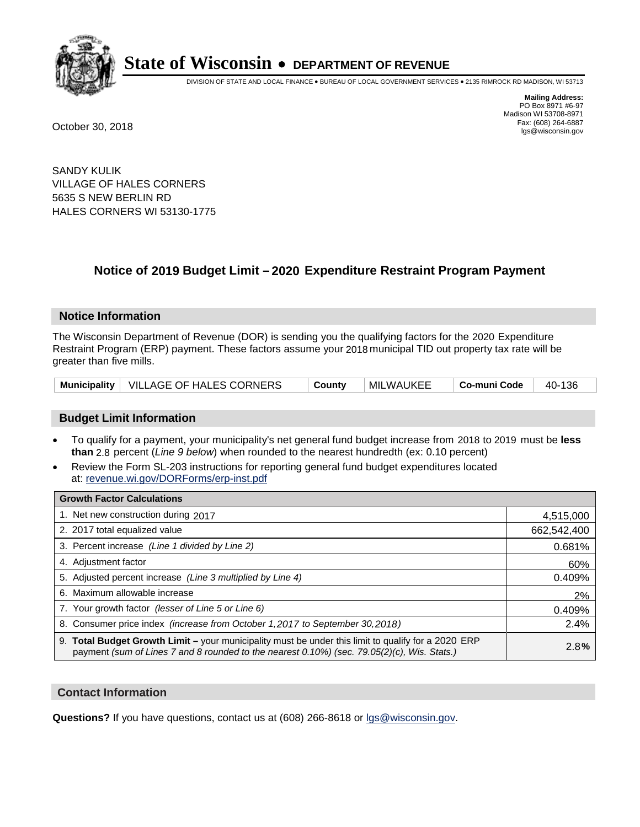

DIVISION OF STATE AND LOCAL FINANCE • BUREAU OF LOCAL GOVERNMENT SERVICES • 2135 RIMROCK RD MADISON, WI 53713

**Mailing Address:** PO Box 8971 #6-97 Madison WI 53708-8971<br>Fax: (608) 264-6887 Fax: (608) 264-6887 October 30, 2018 lgs@wisconsin.gov

SANDY KULIK VILLAGE OF HALES CORNERS 5635 S NEW BERLIN RD HALES CORNERS WI 53130-1775

## **Notice of 2019 Budget Limit - 2020 Expenditure Restraint Program Payment**

#### **Notice Information**

The Wisconsin Department of Revenue (DOR) is sending you the qualifying factors for the 2020 Expenditure Restraint Program (ERP) payment. These factors assume your 2018 municipal TID out property tax rate will be greater than five mills.

| Municipality   VILLAGE OF HALES CORNERS | County | MILWAUKEE | ∣ Co-muni Code | 40-136 |
|-----------------------------------------|--------|-----------|----------------|--------|
|-----------------------------------------|--------|-----------|----------------|--------|

#### **Budget Limit Information**

- To qualify for a payment, your municipality's net general fund budget increase from 2018 to 2019 must be less **than** 2.8 percent (*Line 9 below*) when rounded to the nearest hundredth (ex: 0.10 percent)
- Review the Form SL-203 instructions for reporting general fund budget expenditures located at: revenue.wi.gov/DORForms/erp-inst.pdf

| <b>Growth Factor Calculations</b>                                                                                                                                                                  |             |
|----------------------------------------------------------------------------------------------------------------------------------------------------------------------------------------------------|-------------|
| 1. Net new construction during 2017                                                                                                                                                                | 4,515,000   |
| 2. 2017 total equalized value                                                                                                                                                                      | 662,542,400 |
| 3. Percent increase (Line 1 divided by Line 2)                                                                                                                                                     | 0.681%      |
| 4. Adjustment factor                                                                                                                                                                               | 60%         |
| 5. Adjusted percent increase (Line 3 multiplied by Line 4)                                                                                                                                         | 0.409%      |
| 6. Maximum allowable increase                                                                                                                                                                      | 2%          |
| 7. Your growth factor (lesser of Line 5 or Line 6)                                                                                                                                                 | 0.409%      |
| 8. Consumer price index (increase from October 1,2017 to September 30,2018)                                                                                                                        | 2.4%        |
| 9. Total Budget Growth Limit - your municipality must be under this limit to qualify for a 2020 ERP<br>payment (sum of Lines 7 and 8 rounded to the nearest 0.10%) (sec. 79.05(2)(c), Wis. Stats.) | 2.8%        |

#### **Contact Information**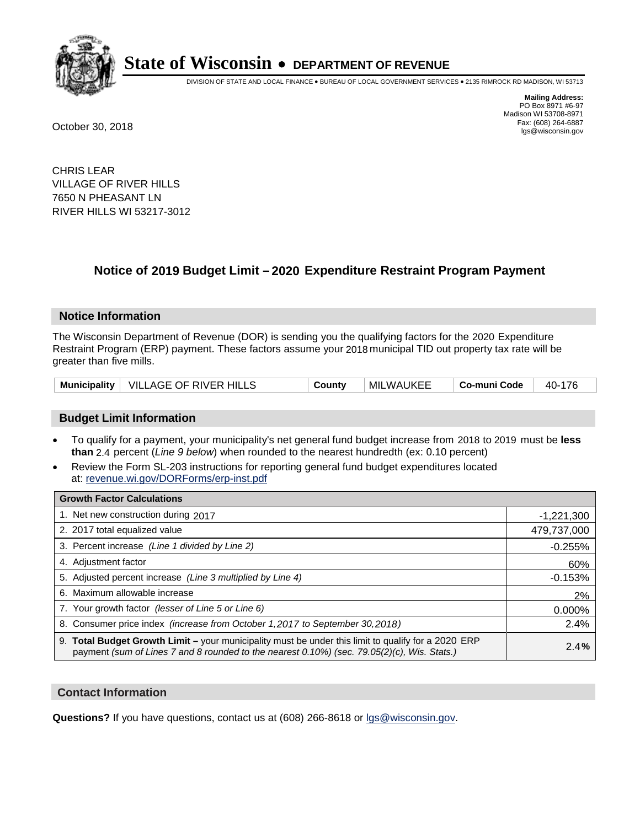

DIVISION OF STATE AND LOCAL FINANCE • BUREAU OF LOCAL GOVERNMENT SERVICES • 2135 RIMROCK RD MADISON, WI 53713

**Mailing Address:** PO Box 8971 #6-97 Madison WI 53708-8971<br>Fax: (608) 264-6887 Fax: (608) 264-6887 October 30, 2018 lgs@wisconsin.gov

CHRIS LEAR VILLAGE OF RIVER HILLS 7650 N PHEASANT LN RIVER HILLS WI 53217-3012

## **Notice of 2019 Budget Limit - 2020 Expenditure Restraint Program Payment**

#### **Notice Information**

The Wisconsin Department of Revenue (DOR) is sending you the qualifying factors for the 2020 Expenditure Restraint Program (ERP) payment. These factors assume your 2018 municipal TID out property tax rate will be greater than five mills.

|  | Municipality   VILLAGE OF RIVER HILLS | County | MILWAUKEE | Co-muni Code | 40-176 |
|--|---------------------------------------|--------|-----------|--------------|--------|
|--|---------------------------------------|--------|-----------|--------------|--------|

#### **Budget Limit Information**

- To qualify for a payment, your municipality's net general fund budget increase from 2018 to 2019 must be less **than** 2.4 percent (*Line 9 below*) when rounded to the nearest hundredth (ex: 0.10 percent)
- Review the Form SL-203 instructions for reporting general fund budget expenditures located at: revenue.wi.gov/DORForms/erp-inst.pdf

| <b>Growth Factor Calculations</b>                                                                                                                                                                      |              |
|--------------------------------------------------------------------------------------------------------------------------------------------------------------------------------------------------------|--------------|
| 1. Net new construction during 2017                                                                                                                                                                    | $-1,221,300$ |
| 2. 2017 total equalized value                                                                                                                                                                          | 479,737,000  |
| 3. Percent increase (Line 1 divided by Line 2)                                                                                                                                                         | $-0.255%$    |
| 4. Adjustment factor                                                                                                                                                                                   | 60%          |
| 5. Adjusted percent increase (Line 3 multiplied by Line 4)                                                                                                                                             | $-0.153%$    |
| 6. Maximum allowable increase                                                                                                                                                                          | 2%           |
| 7. Your growth factor (lesser of Line 5 or Line 6)                                                                                                                                                     | 0.000%       |
| 8. Consumer price index (increase from October 1,2017 to September 30,2018)                                                                                                                            | 2.4%         |
| 9. Total Budget Growth Limit - your municipality must be under this limit to qualify for a 2020 ERP<br>payment (sum of Lines 7 and 8 rounded to the nearest $0.10\%$ ) (sec. 79.05(2)(c), Wis. Stats.) | 2.4%         |

#### **Contact Information**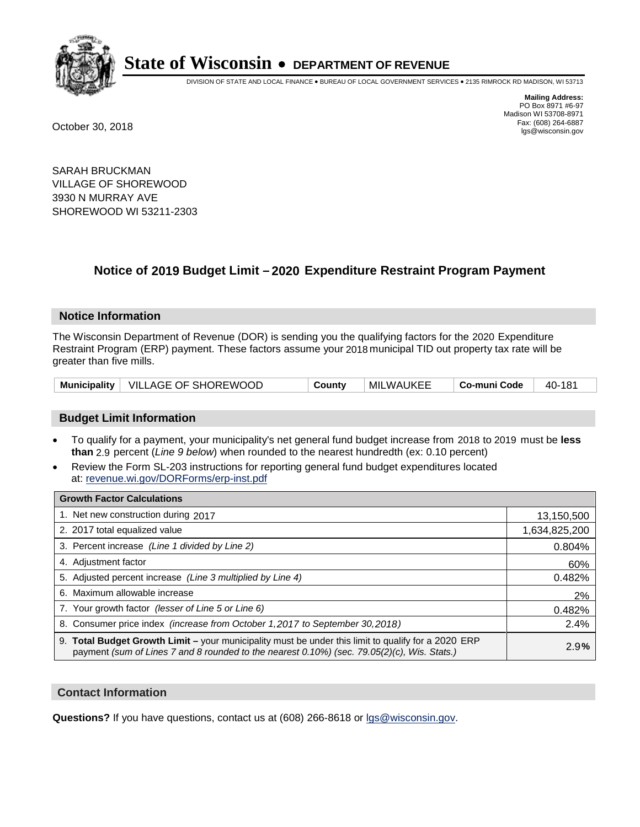

DIVISION OF STATE AND LOCAL FINANCE • BUREAU OF LOCAL GOVERNMENT SERVICES • 2135 RIMROCK RD MADISON, WI 53713

**Mailing Address:** PO Box 8971 #6-97 Madison WI 53708-8971<br>Fax: (608) 264-6887 Fax: (608) 264-6887 October 30, 2018 lgs@wisconsin.gov

SARAH BRUCKMAN VILLAGE OF SHOREWOOD 3930 N MURRAY AVE SHOREWOOD WI 53211-2303

### **Notice of 2019 Budget Limit - 2020 Expenditure Restraint Program Payment**

#### **Notice Information**

The Wisconsin Department of Revenue (DOR) is sending you the qualifying factors for the 2020 Expenditure Restraint Program (ERP) payment. These factors assume your 2018 municipal TID out property tax rate will be greater than five mills.

|  | Municipality   VILLAGE OF SHOREWOOD | Countv | MILWAUKEE | Co-muni Code | 40-181 |
|--|-------------------------------------|--------|-----------|--------------|--------|
|--|-------------------------------------|--------|-----------|--------------|--------|

#### **Budget Limit Information**

- To qualify for a payment, your municipality's net general fund budget increase from 2018 to 2019 must be less **than** 2.9 percent (*Line 9 below*) when rounded to the nearest hundredth (ex: 0.10 percent)
- Review the Form SL-203 instructions for reporting general fund budget expenditures located at: revenue.wi.gov/DORForms/erp-inst.pdf

| <b>Growth Factor Calculations</b>                                                                                                                                                                  |               |
|----------------------------------------------------------------------------------------------------------------------------------------------------------------------------------------------------|---------------|
| 1. Net new construction during 2017                                                                                                                                                                | 13,150,500    |
| 2. 2017 total equalized value                                                                                                                                                                      | 1,634,825,200 |
| 3. Percent increase (Line 1 divided by Line 2)                                                                                                                                                     | 0.804%        |
| 4. Adjustment factor                                                                                                                                                                               | 60%           |
| 5. Adjusted percent increase (Line 3 multiplied by Line 4)                                                                                                                                         | 0.482%        |
| 6. Maximum allowable increase                                                                                                                                                                      | 2%            |
| 7. Your growth factor (lesser of Line 5 or Line 6)                                                                                                                                                 | 0.482%        |
| 8. Consumer price index (increase from October 1, 2017 to September 30, 2018)                                                                                                                      | 2.4%          |
| 9. Total Budget Growth Limit - your municipality must be under this limit to qualify for a 2020 ERP<br>payment (sum of Lines 7 and 8 rounded to the nearest 0.10%) (sec. 79.05(2)(c), Wis. Stats.) | 2.9%          |

#### **Contact Information**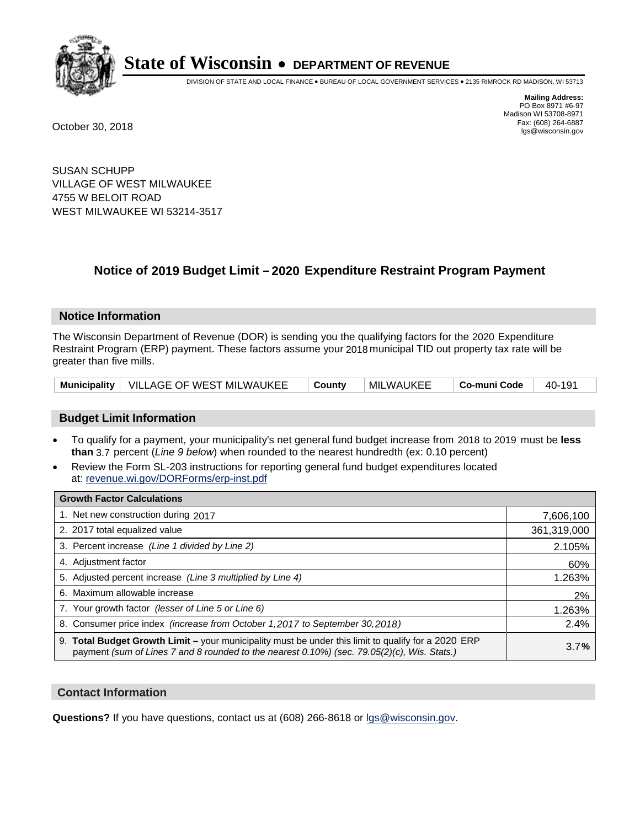

DIVISION OF STATE AND LOCAL FINANCE • BUREAU OF LOCAL GOVERNMENT SERVICES • 2135 RIMROCK RD MADISON, WI 53713

**Mailing Address:** PO Box 8971 #6-97 Madison WI 53708-8971<br>Fax: (608) 264-6887 Fax: (608) 264-6887 October 30, 2018 lgs@wisconsin.gov

SUSAN SCHUPP VILLAGE OF WEST MILWAUKEE 4755 W BELOIT ROAD WEST MILWAUKEE WI 53214-3517

### **Notice of 2019 Budget Limit - 2020 Expenditure Restraint Program Payment**

#### **Notice Information**

The Wisconsin Department of Revenue (DOR) is sending you the qualifying factors for the 2020 Expenditure Restraint Program (ERP) payment. These factors assume your 2018 municipal TID out property tax rate will be greater than five mills.

|  | Municipality   VILLAGE OF WEST MILWAUKEE   County |  | ∣MILWAUKEE | $\vert$ Co-muni Code $\vert$ 40-191 |  |
|--|---------------------------------------------------|--|------------|-------------------------------------|--|
|--|---------------------------------------------------|--|------------|-------------------------------------|--|

#### **Budget Limit Information**

- To qualify for a payment, your municipality's net general fund budget increase from 2018 to 2019 must be less **than** 3.7 percent (*Line 9 below*) when rounded to the nearest hundredth (ex: 0.10 percent)
- Review the Form SL-203 instructions for reporting general fund budget expenditures located at: revenue.wi.gov/DORForms/erp-inst.pdf

| <b>Growth Factor Calculations</b>                                                                                                                                                                      |             |
|--------------------------------------------------------------------------------------------------------------------------------------------------------------------------------------------------------|-------------|
| 1. Net new construction during 2017                                                                                                                                                                    | 7,606,100   |
| 2. 2017 total equalized value                                                                                                                                                                          | 361,319,000 |
| 3. Percent increase (Line 1 divided by Line 2)                                                                                                                                                         | 2.105%      |
| 4. Adjustment factor                                                                                                                                                                                   | 60%         |
| 5. Adjusted percent increase (Line 3 multiplied by Line 4)                                                                                                                                             | 1.263%      |
| 6. Maximum allowable increase                                                                                                                                                                          | 2%          |
| 7. Your growth factor (lesser of Line 5 or Line 6)                                                                                                                                                     | 1.263%      |
| 8. Consumer price index (increase from October 1, 2017 to September 30, 2018)                                                                                                                          | 2.4%        |
| 9. Total Budget Growth Limit - your municipality must be under this limit to qualify for a 2020 ERP<br>payment (sum of Lines 7 and 8 rounded to the nearest $0.10\%$ ) (sec. 79.05(2)(c), Wis. Stats.) | 3.7%        |

#### **Contact Information**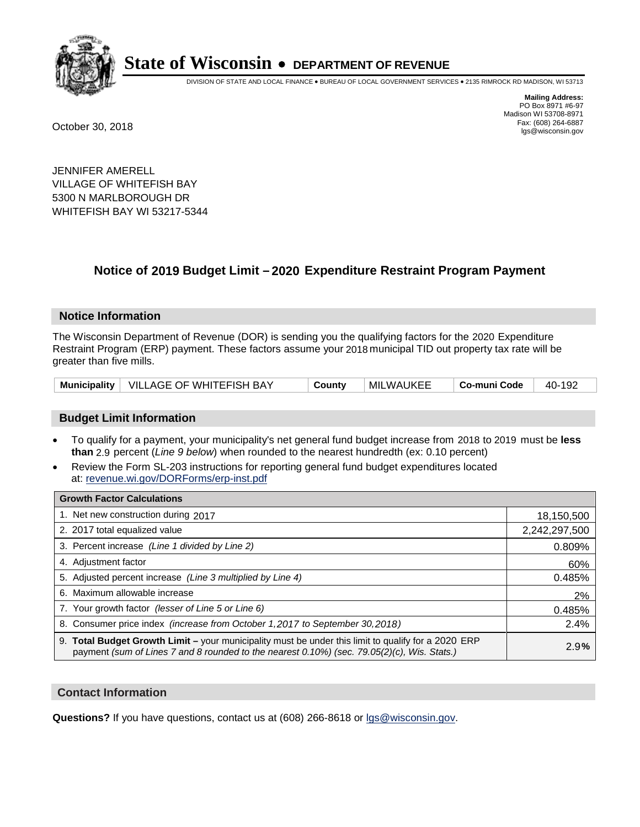

DIVISION OF STATE AND LOCAL FINANCE • BUREAU OF LOCAL GOVERNMENT SERVICES • 2135 RIMROCK RD MADISON, WI 53713

**Mailing Address:** PO Box 8971 #6-97 Madison WI 53708-8971<br>Fax: (608) 264-6887 Fax: (608) 264-6887 October 30, 2018 lgs@wisconsin.gov

JENNIFER AMERELL VILLAGE OF WHITEFISH BAY 5300 N MARLBOROUGH DR WHITEFISH BAY WI 53217-5344

### **Notice of 2019 Budget Limit - 2020 Expenditure Restraint Program Payment**

#### **Notice Information**

The Wisconsin Department of Revenue (DOR) is sending you the qualifying factors for the 2020 Expenditure Restraint Program (ERP) payment. These factors assume your 2018 municipal TID out property tax rate will be greater than five mills.

|  | Municipality   VILLAGE OF WHITEFISH BAY | County | MILWAUKEE | Co-muni Code | 40-192 |
|--|-----------------------------------------|--------|-----------|--------------|--------|
|--|-----------------------------------------|--------|-----------|--------------|--------|

#### **Budget Limit Information**

- To qualify for a payment, your municipality's net general fund budget increase from 2018 to 2019 must be less **than** 2.9 percent (*Line 9 below*) when rounded to the nearest hundredth (ex: 0.10 percent)
- Review the Form SL-203 instructions for reporting general fund budget expenditures located at: revenue.wi.gov/DORForms/erp-inst.pdf

| <b>Growth Factor Calculations</b>                                                                                                                                                                  |               |
|----------------------------------------------------------------------------------------------------------------------------------------------------------------------------------------------------|---------------|
| 1. Net new construction during 2017                                                                                                                                                                | 18,150,500    |
| 2. 2017 total equalized value                                                                                                                                                                      | 2,242,297,500 |
| 3. Percent increase (Line 1 divided by Line 2)                                                                                                                                                     | 0.809%        |
| 4. Adjustment factor                                                                                                                                                                               | 60%           |
| 5. Adjusted percent increase (Line 3 multiplied by Line 4)                                                                                                                                         | 0.485%        |
| 6. Maximum allowable increase                                                                                                                                                                      | 2%            |
| 7. Your growth factor (lesser of Line 5 or Line 6)                                                                                                                                                 | 0.485%        |
| 8. Consumer price index (increase from October 1,2017 to September 30,2018)                                                                                                                        | 2.4%          |
| 9. Total Budget Growth Limit - your municipality must be under this limit to qualify for a 2020 ERP<br>payment (sum of Lines 7 and 8 rounded to the nearest 0.10%) (sec. 79.05(2)(c), Wis. Stats.) | 2.9%          |

#### **Contact Information**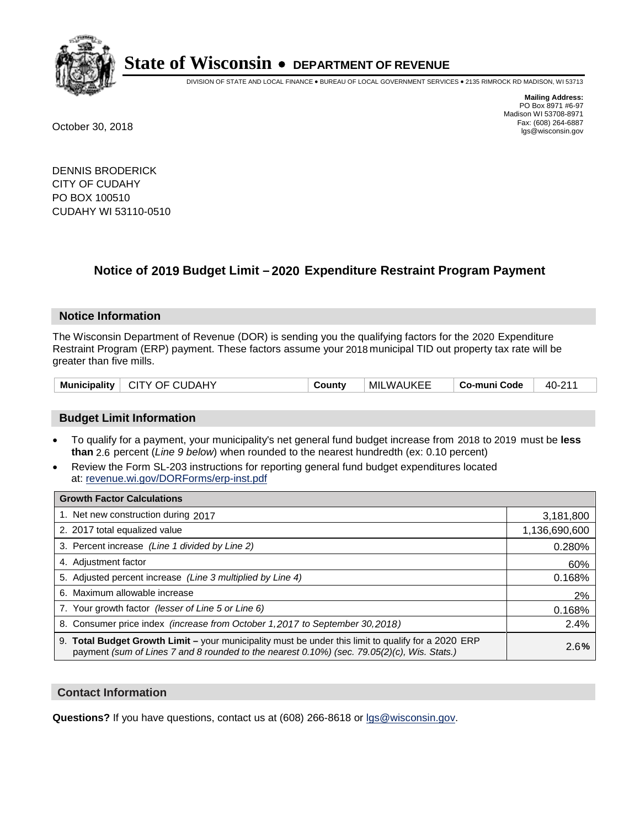

DIVISION OF STATE AND LOCAL FINANCE • BUREAU OF LOCAL GOVERNMENT SERVICES • 2135 RIMROCK RD MADISON, WI 53713

**Mailing Address:** PO Box 8971 #6-97 Madison WI 53708-8971<br>Fax: (608) 264-6887 Fax: (608) 264-6887 October 30, 2018 lgs@wisconsin.gov

DENNIS BRODERICK CITY OF CUDAHY PO BOX 100510 CUDAHY WI 53110-0510

### **Notice of 2019 Budget Limit - 2020 Expenditure Restraint Program Payment**

#### **Notice Information**

The Wisconsin Department of Revenue (DOR) is sending you the qualifying factors for the 2020 Expenditure Restraint Program (ERP) payment. These factors assume your 2018 municipal TID out property tax rate will be greater than five mills.

| CITY OF CUDAHY<br>Municipality | County | <b>MILWAUKEE</b> | Co-muni Code | 40-211 |
|--------------------------------|--------|------------------|--------------|--------|
|--------------------------------|--------|------------------|--------------|--------|

#### **Budget Limit Information**

- To qualify for a payment, your municipality's net general fund budget increase from 2018 to 2019 must be less **than** 2.6 percent (*Line 9 below*) when rounded to the nearest hundredth (ex: 0.10 percent)
- Review the Form SL-203 instructions for reporting general fund budget expenditures located at: revenue.wi.gov/DORForms/erp-inst.pdf

| <b>Growth Factor Calculations</b>                                                                                                                                                                  |               |
|----------------------------------------------------------------------------------------------------------------------------------------------------------------------------------------------------|---------------|
| 1. Net new construction during 2017                                                                                                                                                                | 3,181,800     |
| 2. 2017 total equalized value                                                                                                                                                                      | 1,136,690,600 |
| 3. Percent increase (Line 1 divided by Line 2)                                                                                                                                                     | 0.280%        |
| 4. Adjustment factor                                                                                                                                                                               | 60%           |
| 5. Adjusted percent increase (Line 3 multiplied by Line 4)                                                                                                                                         | 0.168%        |
| 6. Maximum allowable increase                                                                                                                                                                      | 2%            |
| 7. Your growth factor (lesser of Line 5 or Line 6)                                                                                                                                                 | 0.168%        |
| 8. Consumer price index (increase from October 1, 2017 to September 30, 2018)                                                                                                                      | 2.4%          |
| 9. Total Budget Growth Limit - your municipality must be under this limit to qualify for a 2020 ERP<br>payment (sum of Lines 7 and 8 rounded to the nearest 0.10%) (sec. 79.05(2)(c), Wis. Stats.) | 2.6%          |

#### **Contact Information**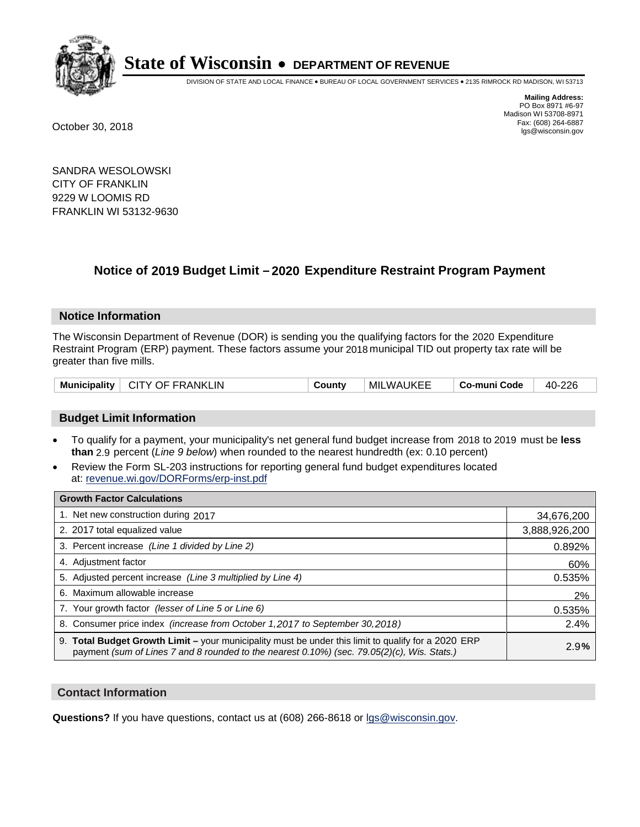

DIVISION OF STATE AND LOCAL FINANCE • BUREAU OF LOCAL GOVERNMENT SERVICES • 2135 RIMROCK RD MADISON, WI 53713

**Mailing Address:** PO Box 8971 #6-97 Madison WI 53708-8971<br>Fax: (608) 264-6887 Fax: (608) 264-6887 October 30, 2018 lgs@wisconsin.gov

SANDRA WESOLOWSKI CITY OF FRANKLIN 9229 W LOOMIS RD FRANKLIN WI 53132-9630

## **Notice of 2019 Budget Limit - 2020 Expenditure Restraint Program Payment**

#### **Notice Information**

The Wisconsin Department of Revenue (DOR) is sending you the qualifying factors for the 2020 Expenditure Restraint Program (ERP) payment. These factors assume your 2018 municipal TID out property tax rate will be greater than five mills.

| <b>Municipality</b> | $^+$ CITY OF FRANKLIN | <b>∍ount</b> ∨ | <b>MILWAUKEE</b> | Co-muni Code | 40-226 |
|---------------------|-----------------------|----------------|------------------|--------------|--------|
|---------------------|-----------------------|----------------|------------------|--------------|--------|

#### **Budget Limit Information**

- To qualify for a payment, your municipality's net general fund budget increase from 2018 to 2019 must be less **than** 2.9 percent (*Line 9 below*) when rounded to the nearest hundredth (ex: 0.10 percent)
- Review the Form SL-203 instructions for reporting general fund budget expenditures located at: revenue.wi.gov/DORForms/erp-inst.pdf

| <b>Growth Factor Calculations</b>                                                                                                                                                                  |               |
|----------------------------------------------------------------------------------------------------------------------------------------------------------------------------------------------------|---------------|
| 1. Net new construction during 2017                                                                                                                                                                | 34,676,200    |
| 2. 2017 total equalized value                                                                                                                                                                      | 3,888,926,200 |
| 3. Percent increase (Line 1 divided by Line 2)                                                                                                                                                     | 0.892%        |
| 4. Adiustment factor                                                                                                                                                                               | 60%           |
| 5. Adjusted percent increase (Line 3 multiplied by Line 4)                                                                                                                                         | 0.535%        |
| 6. Maximum allowable increase                                                                                                                                                                      | 2%            |
| 7. Your growth factor (lesser of Line 5 or Line 6)                                                                                                                                                 | 0.535%        |
| 8. Consumer price index (increase from October 1,2017 to September 30,2018)                                                                                                                        | 2.4%          |
| 9. Total Budget Growth Limit - your municipality must be under this limit to qualify for a 2020 ERP<br>payment (sum of Lines 7 and 8 rounded to the nearest 0.10%) (sec. 79.05(2)(c), Wis. Stats.) | 2.9%          |

#### **Contact Information**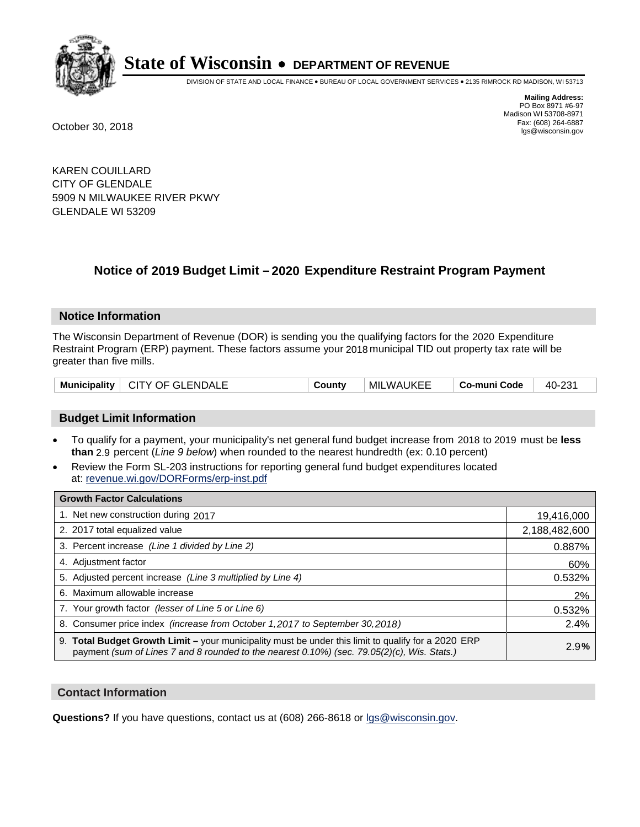

DIVISION OF STATE AND LOCAL FINANCE • BUREAU OF LOCAL GOVERNMENT SERVICES • 2135 RIMROCK RD MADISON, WI 53713

**Mailing Address:** PO Box 8971 #6-97 Madison WI 53708-8971<br>Fax: (608) 264-6887 Fax: (608) 264-6887 October 30, 2018 lgs@wisconsin.gov

KAREN COUILLARD CITY OF GLENDALE 5909 N MILWAUKEE RIVER PKWY GLENDALE WI 53209

### **Notice of 2019 Budget Limit - 2020 Expenditure Restraint Program Payment**

#### **Notice Information**

The Wisconsin Department of Revenue (DOR) is sending you the qualifying factors for the 2020 Expenditure Restraint Program (ERP) payment. These factors assume your 2018 municipal TID out property tax rate will be greater than five mills.

| Municipality   CITY OF GLENDALE | County | <b>MILWAUKEE</b> | Co-muni Code | 40-231 |
|---------------------------------|--------|------------------|--------------|--------|
|---------------------------------|--------|------------------|--------------|--------|

#### **Budget Limit Information**

- To qualify for a payment, your municipality's net general fund budget increase from 2018 to 2019 must be less **than** 2.9 percent (*Line 9 below*) when rounded to the nearest hundredth (ex: 0.10 percent)
- Review the Form SL-203 instructions for reporting general fund budget expenditures located at: revenue.wi.gov/DORForms/erp-inst.pdf

| <b>Growth Factor Calculations</b>                                                                                                                                                                      |               |
|--------------------------------------------------------------------------------------------------------------------------------------------------------------------------------------------------------|---------------|
| 1. Net new construction during 2017                                                                                                                                                                    | 19,416,000    |
| 2. 2017 total equalized value                                                                                                                                                                          | 2,188,482,600 |
| 3. Percent increase (Line 1 divided by Line 2)                                                                                                                                                         | 0.887%        |
| 4. Adjustment factor                                                                                                                                                                                   | 60%           |
| 5. Adjusted percent increase (Line 3 multiplied by Line 4)                                                                                                                                             | 0.532%        |
| 6. Maximum allowable increase                                                                                                                                                                          | 2%            |
| 7. Your growth factor (lesser of Line 5 or Line 6)                                                                                                                                                     | 0.532%        |
| 8. Consumer price index (increase from October 1, 2017 to September 30, 2018)                                                                                                                          | 2.4%          |
| 9. Total Budget Growth Limit - your municipality must be under this limit to qualify for a 2020 ERP<br>payment (sum of Lines 7 and 8 rounded to the nearest $0.10\%$ ) (sec. 79.05(2)(c), Wis. Stats.) | 2.9%          |

#### **Contact Information**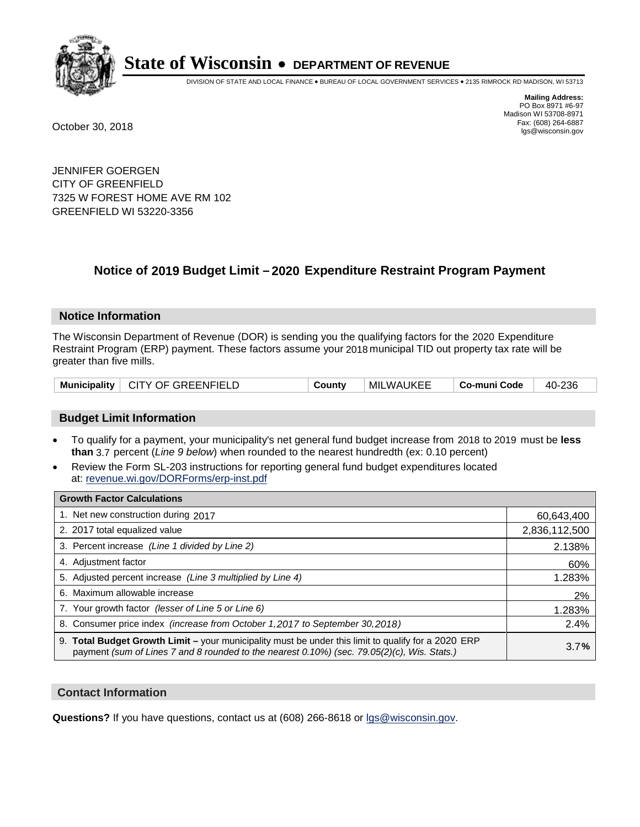

DIVISION OF STATE AND LOCAL FINANCE • BUREAU OF LOCAL GOVERNMENT SERVICES • 2135 RIMROCK RD MADISON, WI 53713

**Mailing Address:** PO Box 8971 #6-97 Madison WI 53708-8971<br>Fax: (608) 264-6887 Fax: (608) 264-6887 October 30, 2018 lgs@wisconsin.gov

JENNIFER GOERGEN CITY OF GREENFIELD 7325 W FOREST HOME AVE RM 102 GREENFIELD WI 53220-3356

### **Notice of 2019 Budget Limit - 2020 Expenditure Restraint Program Payment**

#### **Notice Information**

The Wisconsin Department of Revenue (DOR) is sending you the qualifying factors for the 2020 Expenditure Restraint Program (ERP) payment. These factors assume your 2018 municipal TID out property tax rate will be greater than five mills.

|  | Municipality   CITY OF GREENFIELD | County | MILWAUKEE | Co-muni Code | 40-236 |
|--|-----------------------------------|--------|-----------|--------------|--------|
|--|-----------------------------------|--------|-----------|--------------|--------|

#### **Budget Limit Information**

- To qualify for a payment, your municipality's net general fund budget increase from 2018 to 2019 must be less **than** 3.7 percent (*Line 9 below*) when rounded to the nearest hundredth (ex: 0.10 percent)
- Review the Form SL-203 instructions for reporting general fund budget expenditures located at: revenue.wi.gov/DORForms/erp-inst.pdf

| <b>Growth Factor Calculations</b>                                                                                                                                                                      |               |
|--------------------------------------------------------------------------------------------------------------------------------------------------------------------------------------------------------|---------------|
| 1. Net new construction during 2017                                                                                                                                                                    | 60,643,400    |
| 2. 2017 total equalized value                                                                                                                                                                          | 2,836,112,500 |
| 3. Percent increase (Line 1 divided by Line 2)                                                                                                                                                         | 2.138%        |
| 4. Adjustment factor                                                                                                                                                                                   | 60%           |
| 5. Adjusted percent increase (Line 3 multiplied by Line 4)                                                                                                                                             | 1.283%        |
| 6. Maximum allowable increase                                                                                                                                                                          | 2%            |
| 7. Your growth factor (lesser of Line 5 or Line 6)                                                                                                                                                     | 1.283%        |
| 8. Consumer price index (increase from October 1, 2017 to September 30, 2018)                                                                                                                          | 2.4%          |
| 9. Total Budget Growth Limit - your municipality must be under this limit to qualify for a 2020 ERP<br>payment (sum of Lines 7 and 8 rounded to the nearest $0.10\%$ ) (sec. 79.05(2)(c), Wis. Stats.) | 3.7%          |

#### **Contact Information**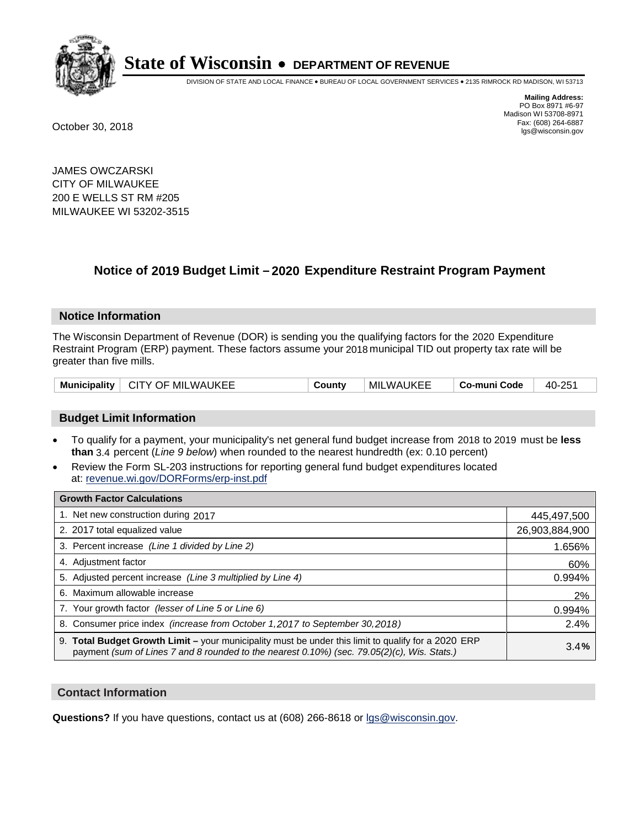

DIVISION OF STATE AND LOCAL FINANCE • BUREAU OF LOCAL GOVERNMENT SERVICES • 2135 RIMROCK RD MADISON, WI 53713

**Mailing Address:** PO Box 8971 #6-97 Madison WI 53708-8971<br>Fax: (608) 264-6887 Fax: (608) 264-6887 October 30, 2018 lgs@wisconsin.gov

JAMES OWCZARSKI CITY OF MILWAUKEE 200 E WELLS ST RM #205 MILWAUKEE WI 53202-3515

### **Notice of 2019 Budget Limit - 2020 Expenditure Restraint Program Payment**

#### **Notice Information**

The Wisconsin Department of Revenue (DOR) is sending you the qualifying factors for the 2020 Expenditure Restraint Program (ERP) payment. These factors assume your 2018 municipal TID out property tax rate will be greater than five mills.

| CITY OF MILWAUKEE<br><b>Municipality</b> | Countv | <b>MILWAUKEE</b> | Co-muni Code | 40-251 |
|------------------------------------------|--------|------------------|--------------|--------|
|------------------------------------------|--------|------------------|--------------|--------|

#### **Budget Limit Information**

- To qualify for a payment, your municipality's net general fund budget increase from 2018 to 2019 must be less **than** 3.4 percent (*Line 9 below*) when rounded to the nearest hundredth (ex: 0.10 percent)
- Review the Form SL-203 instructions for reporting general fund budget expenditures located at: revenue.wi.gov/DORForms/erp-inst.pdf

| <b>Growth Factor Calculations</b>                                                                                                                                                                  |                |
|----------------------------------------------------------------------------------------------------------------------------------------------------------------------------------------------------|----------------|
| 1. Net new construction during 2017                                                                                                                                                                | 445,497,500    |
| 2. 2017 total equalized value                                                                                                                                                                      | 26,903,884,900 |
| 3. Percent increase (Line 1 divided by Line 2)                                                                                                                                                     | 1.656%         |
| 4. Adjustment factor                                                                                                                                                                               | 60%            |
| 5. Adjusted percent increase (Line 3 multiplied by Line 4)                                                                                                                                         | 0.994%         |
| 6. Maximum allowable increase                                                                                                                                                                      | 2%             |
| 7. Your growth factor (lesser of Line 5 or Line 6)                                                                                                                                                 | 0.994%         |
| 8. Consumer price index (increase from October 1,2017 to September 30,2018)                                                                                                                        | 2.4%           |
| 9. Total Budget Growth Limit - your municipality must be under this limit to qualify for a 2020 ERP<br>payment (sum of Lines 7 and 8 rounded to the nearest 0.10%) (sec. 79.05(2)(c), Wis. Stats.) | 3.4%           |

#### **Contact Information**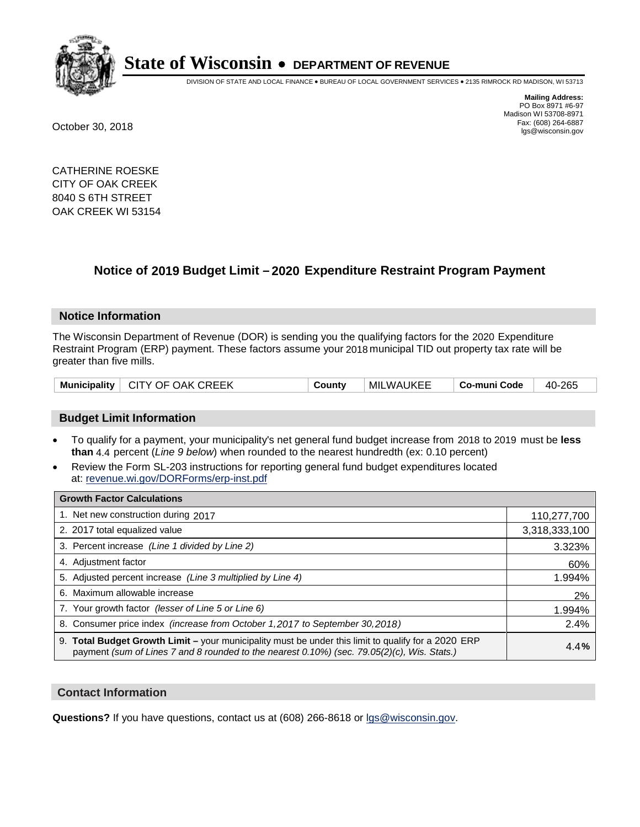

DIVISION OF STATE AND LOCAL FINANCE • BUREAU OF LOCAL GOVERNMENT SERVICES • 2135 RIMROCK RD MADISON, WI 53713

**Mailing Address:** PO Box 8971 #6-97 Madison WI 53708-8971<br>Fax: (608) 264-6887 Fax: (608) 264-6887 October 30, 2018 lgs@wisconsin.gov

CATHERINE ROESKE CITY OF OAK CREEK 8040 S 6TH STREET OAK CREEK WI 53154

### **Notice of 2019 Budget Limit - 2020 Expenditure Restraint Program Payment**

#### **Notice Information**

The Wisconsin Department of Revenue (DOR) is sending you the qualifying factors for the 2020 Expenditure Restraint Program (ERP) payment. These factors assume your 2018 municipal TID out property tax rate will be greater than five mills.

| Municipality   CITY OF OAK CREEK | County | MILWAUKEE | Co-muni Code | 40-265 |
|----------------------------------|--------|-----------|--------------|--------|
|----------------------------------|--------|-----------|--------------|--------|

#### **Budget Limit Information**

- To qualify for a payment, your municipality's net general fund budget increase from 2018 to 2019 must be less **than** 4.4 percent (*Line 9 below*) when rounded to the nearest hundredth (ex: 0.10 percent)
- Review the Form SL-203 instructions for reporting general fund budget expenditures located at: revenue.wi.gov/DORForms/erp-inst.pdf

| <b>Growth Factor Calculations</b>                                                                                                                                                                  |               |
|----------------------------------------------------------------------------------------------------------------------------------------------------------------------------------------------------|---------------|
| 1. Net new construction during 2017                                                                                                                                                                | 110,277,700   |
| 2. 2017 total equalized value                                                                                                                                                                      | 3,318,333,100 |
| 3. Percent increase (Line 1 divided by Line 2)                                                                                                                                                     | 3.323%        |
| 4. Adjustment factor                                                                                                                                                                               | 60%           |
| 5. Adjusted percent increase (Line 3 multiplied by Line 4)                                                                                                                                         | 1.994%        |
| 6. Maximum allowable increase                                                                                                                                                                      | 2%            |
| 7. Your growth factor (lesser of Line 5 or Line 6)                                                                                                                                                 | 1.994%        |
| 8. Consumer price index (increase from October 1,2017 to September 30,2018)                                                                                                                        | 2.4%          |
| 9. Total Budget Growth Limit - your municipality must be under this limit to qualify for a 2020 ERP<br>payment (sum of Lines 7 and 8 rounded to the nearest 0.10%) (sec. 79.05(2)(c), Wis. Stats.) | 4.4%          |

#### **Contact Information**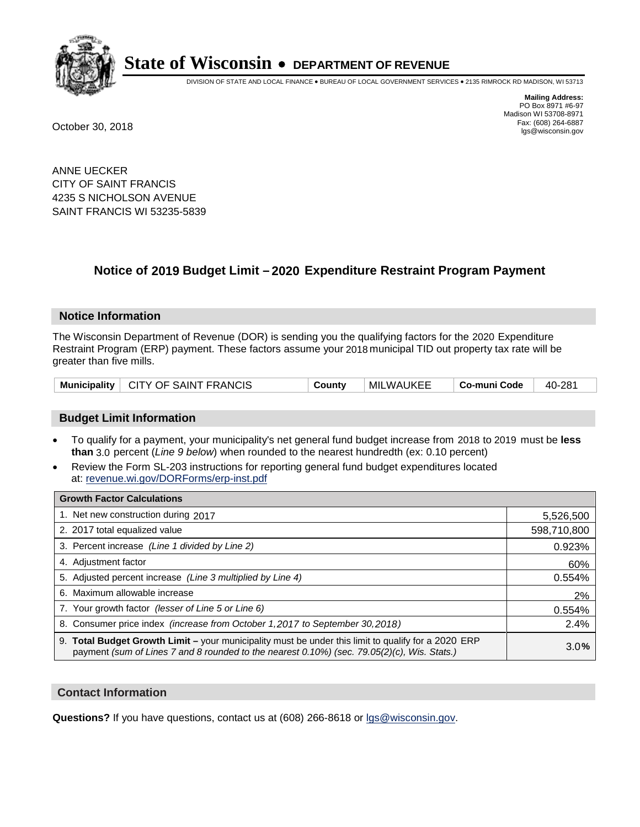

DIVISION OF STATE AND LOCAL FINANCE • BUREAU OF LOCAL GOVERNMENT SERVICES • 2135 RIMROCK RD MADISON, WI 53713

**Mailing Address:** PO Box 8971 #6-97 Madison WI 53708-8971<br>Fax: (608) 264-6887 Fax: (608) 264-6887 October 30, 2018 lgs@wisconsin.gov

ANNE UECKER CITY OF SAINT FRANCIS 4235 S NICHOLSON AVENUE SAINT FRANCIS WI 53235-5839

### **Notice of 2019 Budget Limit - 2020 Expenditure Restraint Program Payment**

#### **Notice Information**

The Wisconsin Department of Revenue (DOR) is sending you the qualifying factors for the 2020 Expenditure Restraint Program (ERP) payment. These factors assume your 2018 municipal TID out property tax rate will be greater than five mills.

|  | Municipality   CITY OF SAINT FRANCIS | County | MILWAUKEE | ⊦ Co-muni Code | 40-281 |
|--|--------------------------------------|--------|-----------|----------------|--------|
|--|--------------------------------------|--------|-----------|----------------|--------|

#### **Budget Limit Information**

- To qualify for a payment, your municipality's net general fund budget increase from 2018 to 2019 must be less **than** 3.0 percent (*Line 9 below*) when rounded to the nearest hundredth (ex: 0.10 percent)
- Review the Form SL-203 instructions for reporting general fund budget expenditures located at: revenue.wi.gov/DORForms/erp-inst.pdf

| <b>Growth Factor Calculations</b>                                                                                                                                                                      |             |
|--------------------------------------------------------------------------------------------------------------------------------------------------------------------------------------------------------|-------------|
| 1. Net new construction during 2017                                                                                                                                                                    | 5,526,500   |
| 2. 2017 total equalized value                                                                                                                                                                          | 598,710,800 |
| 3. Percent increase (Line 1 divided by Line 2)                                                                                                                                                         | 0.923%      |
| 4. Adjustment factor                                                                                                                                                                                   | 60%         |
| 5. Adjusted percent increase (Line 3 multiplied by Line 4)                                                                                                                                             | 0.554%      |
| 6. Maximum allowable increase                                                                                                                                                                          | 2%          |
| 7. Your growth factor (lesser of Line 5 or Line 6)                                                                                                                                                     | 0.554%      |
| 8. Consumer price index (increase from October 1,2017 to September 30,2018)                                                                                                                            | 2.4%        |
| 9. Total Budget Growth Limit - your municipality must be under this limit to qualify for a 2020 ERP<br>payment (sum of Lines 7 and 8 rounded to the nearest $0.10\%$ ) (sec. 79.05(2)(c), Wis. Stats.) | 3.0%        |

#### **Contact Information**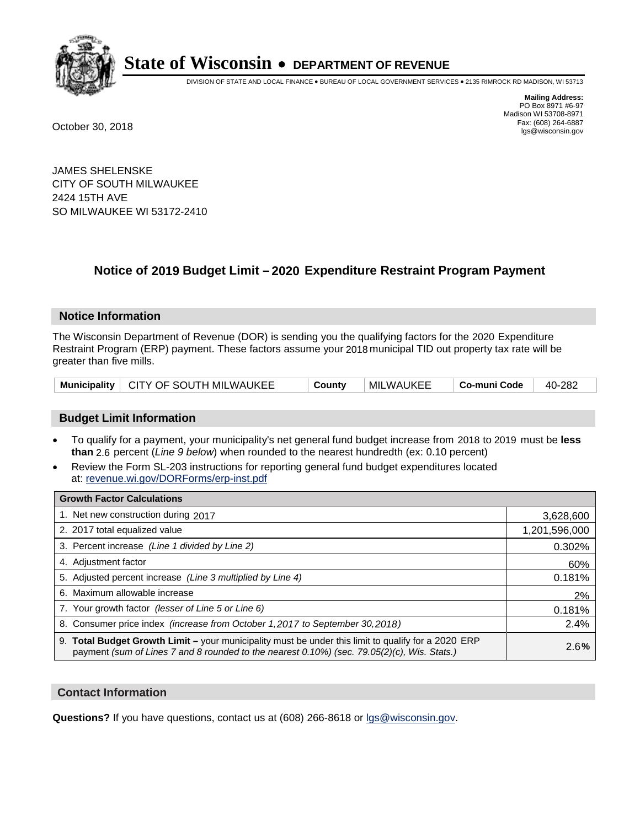

DIVISION OF STATE AND LOCAL FINANCE • BUREAU OF LOCAL GOVERNMENT SERVICES • 2135 RIMROCK RD MADISON, WI 53713

**Mailing Address:** PO Box 8971 #6-97 Madison WI 53708-8971<br>Fax: (608) 264-6887 Fax: (608) 264-6887 October 30, 2018 lgs@wisconsin.gov

JAMES SHELENSKE CITY OF SOUTH MILWAUKEE 2424 15TH AVE SO MILWAUKEE WI 53172-2410

## **Notice of 2019 Budget Limit - 2020 Expenditure Restraint Program Payment**

#### **Notice Information**

The Wisconsin Department of Revenue (DOR) is sending you the qualifying factors for the 2020 Expenditure Restraint Program (ERP) payment. These factors assume your 2018 municipal TID out property tax rate will be greater than five mills.

| Municipality   CITY OF SOUTH MILWAUKEE | County | <b>MILWAUKEE</b> | ∣ Co-muni Code | 40-282 |
|----------------------------------------|--------|------------------|----------------|--------|
|----------------------------------------|--------|------------------|----------------|--------|

#### **Budget Limit Information**

- To qualify for a payment, your municipality's net general fund budget increase from 2018 to 2019 must be less **than** 2.6 percent (*Line 9 below*) when rounded to the nearest hundredth (ex: 0.10 percent)
- Review the Form SL-203 instructions for reporting general fund budget expenditures located at: revenue.wi.gov/DORForms/erp-inst.pdf

| <b>Growth Factor Calculations</b>                                                                                                                                                                  |               |
|----------------------------------------------------------------------------------------------------------------------------------------------------------------------------------------------------|---------------|
| 1. Net new construction during 2017                                                                                                                                                                | 3,628,600     |
| 2. 2017 total equalized value                                                                                                                                                                      | 1,201,596,000 |
| 3. Percent increase (Line 1 divided by Line 2)                                                                                                                                                     | 0.302%        |
| 4. Adjustment factor                                                                                                                                                                               | 60%           |
| 5. Adjusted percent increase (Line 3 multiplied by Line 4)                                                                                                                                         | 0.181%        |
| 6. Maximum allowable increase                                                                                                                                                                      | 2%            |
| 7. Your growth factor (lesser of Line 5 or Line 6)                                                                                                                                                 | 0.181%        |
| 8. Consumer price index (increase from October 1, 2017 to September 30, 2018)                                                                                                                      | 2.4%          |
| 9. Total Budget Growth Limit - your municipality must be under this limit to qualify for a 2020 ERP<br>payment (sum of Lines 7 and 8 rounded to the nearest 0.10%) (sec. 79.05(2)(c), Wis. Stats.) | 2.6%          |

#### **Contact Information**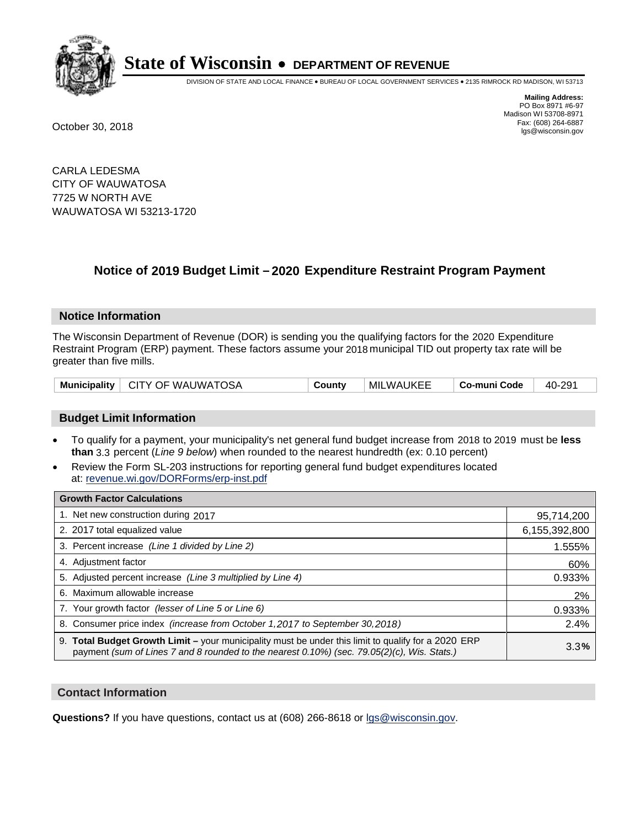

DIVISION OF STATE AND LOCAL FINANCE • BUREAU OF LOCAL GOVERNMENT SERVICES • 2135 RIMROCK RD MADISON, WI 53713

**Mailing Address:** PO Box 8971 #6-97 Madison WI 53708-8971<br>Fax: (608) 264-6887 Fax: (608) 264-6887 October 30, 2018 lgs@wisconsin.gov

CARLA LEDESMA CITY OF WAUWATOSA 7725 W NORTH AVE WAUWATOSA WI 53213-1720

### **Notice of 2019 Budget Limit - 2020 Expenditure Restraint Program Payment**

#### **Notice Information**

The Wisconsin Department of Revenue (DOR) is sending you the qualifying factors for the 2020 Expenditure Restraint Program (ERP) payment. These factors assume your 2018 municipal TID out property tax rate will be greater than five mills.

|  | Municipality   CITY OF WAUWATOSA | County | MILWAUKEE | Co-muni Code | 40-291 |
|--|----------------------------------|--------|-----------|--------------|--------|
|--|----------------------------------|--------|-----------|--------------|--------|

#### **Budget Limit Information**

- To qualify for a payment, your municipality's net general fund budget increase from 2018 to 2019 must be less **than** 3.3 percent (*Line 9 below*) when rounded to the nearest hundredth (ex: 0.10 percent)
- Review the Form SL-203 instructions for reporting general fund budget expenditures located at: revenue.wi.gov/DORForms/erp-inst.pdf

| <b>Growth Factor Calculations</b>                                                                                                                                                                      |               |
|--------------------------------------------------------------------------------------------------------------------------------------------------------------------------------------------------------|---------------|
| 1. Net new construction during 2017                                                                                                                                                                    | 95,714,200    |
| 2. 2017 total equalized value                                                                                                                                                                          | 6,155,392,800 |
| 3. Percent increase (Line 1 divided by Line 2)                                                                                                                                                         | 1.555%        |
| 4. Adjustment factor                                                                                                                                                                                   | 60%           |
| 5. Adjusted percent increase (Line 3 multiplied by Line 4)                                                                                                                                             | 0.933%        |
| 6. Maximum allowable increase                                                                                                                                                                          | 2%            |
| 7. Your growth factor (lesser of Line 5 or Line 6)                                                                                                                                                     | 0.933%        |
| 8. Consumer price index (increase from October 1,2017 to September 30,2018)                                                                                                                            | 2.4%          |
| 9. Total Budget Growth Limit - your municipality must be under this limit to qualify for a 2020 ERP<br>payment (sum of Lines 7 and 8 rounded to the nearest $0.10\%$ ) (sec. 79.05(2)(c), Wis. Stats.) | 3.3%          |

#### **Contact Information**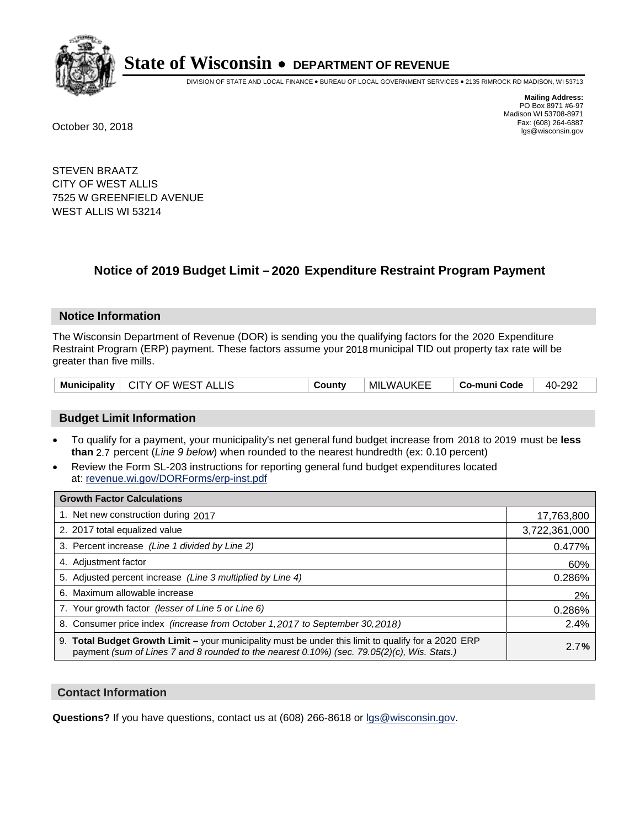

DIVISION OF STATE AND LOCAL FINANCE • BUREAU OF LOCAL GOVERNMENT SERVICES • 2135 RIMROCK RD MADISON, WI 53713

**Mailing Address:** PO Box 8971 #6-97 Madison WI 53708-8971<br>Fax: (608) 264-6887 Fax: (608) 264-6887 October 30, 2018 lgs@wisconsin.gov

STEVEN BRAATZ CITY OF WEST ALLIS 7525 W GREENFIELD AVENUE WEST ALLIS WI 53214

## **Notice of 2019 Budget Limit - 2020 Expenditure Restraint Program Payment**

#### **Notice Information**

The Wisconsin Department of Revenue (DOR) is sending you the qualifying factors for the 2020 Expenditure Restraint Program (ERP) payment. These factors assume your 2018 municipal TID out property tax rate will be greater than five mills.

| Municipality   CITY OF WEST ALLIS | County | MILWAUKEE | ∣ Co-muni Code | 40-292 |
|-----------------------------------|--------|-----------|----------------|--------|
|-----------------------------------|--------|-----------|----------------|--------|

#### **Budget Limit Information**

- To qualify for a payment, your municipality's net general fund budget increase from 2018 to 2019 must be less **than** 2.7 percent (*Line 9 below*) when rounded to the nearest hundredth (ex: 0.10 percent)
- Review the Form SL-203 instructions for reporting general fund budget expenditures located at: revenue.wi.gov/DORForms/erp-inst.pdf

| <b>Growth Factor Calculations</b>                                                                                                                                                                      |               |
|--------------------------------------------------------------------------------------------------------------------------------------------------------------------------------------------------------|---------------|
| 1. Net new construction during 2017                                                                                                                                                                    | 17,763,800    |
| 2. 2017 total equalized value                                                                                                                                                                          | 3,722,361,000 |
| 3. Percent increase (Line 1 divided by Line 2)                                                                                                                                                         | 0.477%        |
| 4. Adjustment factor                                                                                                                                                                                   | 60%           |
| 5. Adjusted percent increase (Line 3 multiplied by Line 4)                                                                                                                                             | 0.286%        |
| 6. Maximum allowable increase                                                                                                                                                                          | 2%            |
| 7. Your growth factor (lesser of Line 5 or Line 6)                                                                                                                                                     | 0.286%        |
| 8. Consumer price index (increase from October 1,2017 to September 30,2018)                                                                                                                            | 2.4%          |
| 9. Total Budget Growth Limit - your municipality must be under this limit to qualify for a 2020 ERP<br>payment (sum of Lines 7 and 8 rounded to the nearest $0.10\%$ ) (sec. 79.05(2)(c), Wis. Stats.) | 2.7%          |

#### **Contact Information**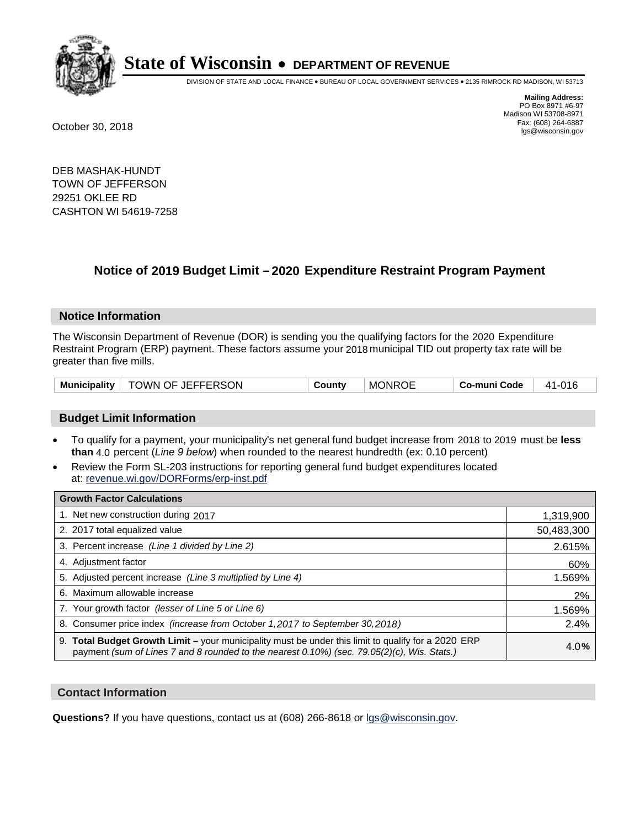

DIVISION OF STATE AND LOCAL FINANCE • BUREAU OF LOCAL GOVERNMENT SERVICES • 2135 RIMROCK RD MADISON, WI 53713

**Mailing Address:** PO Box 8971 #6-97 Madison WI 53708-8971<br>Fax: (608) 264-6887 Fax: (608) 264-6887 October 30, 2018 lgs@wisconsin.gov

DEB MASHAK-HUNDT TOWN OF JEFFERSON 29251 OKLEE RD CASHTON WI 54619-7258

## **Notice of 2019 Budget Limit - 2020 Expenditure Restraint Program Payment**

#### **Notice Information**

The Wisconsin Department of Revenue (DOR) is sending you the qualifying factors for the 2020 Expenditure Restraint Program (ERP) payment. These factors assume your 2018 municipal TID out property tax rate will be greater than five mills.

| Municipality | TOWN OF JEFFERSON | County | <b>MONROE</b> | Co-muni Code | 41-016 |
|--------------|-------------------|--------|---------------|--------------|--------|
|--------------|-------------------|--------|---------------|--------------|--------|

#### **Budget Limit Information**

- To qualify for a payment, your municipality's net general fund budget increase from 2018 to 2019 must be less **than** 4.0 percent (*Line 9 below*) when rounded to the nearest hundredth (ex: 0.10 percent)
- Review the Form SL-203 instructions for reporting general fund budget expenditures located at: revenue.wi.gov/DORForms/erp-inst.pdf

| <b>Growth Factor Calculations</b>                                                                                                                                                                      |            |
|--------------------------------------------------------------------------------------------------------------------------------------------------------------------------------------------------------|------------|
| 1. Net new construction during 2017                                                                                                                                                                    | 1,319,900  |
| 2. 2017 total equalized value                                                                                                                                                                          | 50,483,300 |
| 3. Percent increase (Line 1 divided by Line 2)                                                                                                                                                         | 2.615%     |
| 4. Adjustment factor                                                                                                                                                                                   | 60%        |
| 5. Adjusted percent increase (Line 3 multiplied by Line 4)                                                                                                                                             | 1.569%     |
| 6. Maximum allowable increase                                                                                                                                                                          | 2%         |
| 7. Your growth factor (lesser of Line 5 or Line 6)                                                                                                                                                     | 1.569%     |
| 8. Consumer price index (increase from October 1, 2017 to September 30, 2018)                                                                                                                          | 2.4%       |
| 9. Total Budget Growth Limit - your municipality must be under this limit to qualify for a 2020 ERP<br>payment (sum of Lines 7 and 8 rounded to the nearest $0.10\%$ ) (sec. 79.05(2)(c), Wis. Stats.) | 4.0%       |

#### **Contact Information**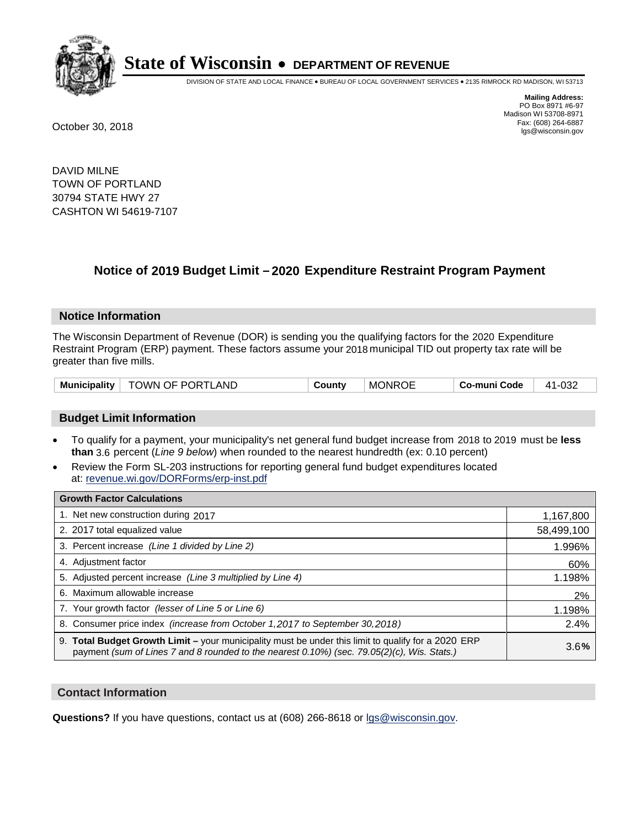

DIVISION OF STATE AND LOCAL FINANCE • BUREAU OF LOCAL GOVERNMENT SERVICES • 2135 RIMROCK RD MADISON, WI 53713

**Mailing Address:** PO Box 8971 #6-97 Madison WI 53708-8971<br>Fax: (608) 264-6887 Fax: (608) 264-6887 October 30, 2018 lgs@wisconsin.gov

DAVID MILNE TOWN OF PORTLAND 30794 STATE HWY 27 CASHTON WI 54619-7107

### **Notice of 2019 Budget Limit - 2020 Expenditure Restraint Program Payment**

#### **Notice Information**

The Wisconsin Department of Revenue (DOR) is sending you the qualifying factors for the 2020 Expenditure Restraint Program (ERP) payment. These factors assume your 2018 municipal TID out property tax rate will be greater than five mills.

| Municipality   TOWN OF PORTLAND |  | County | <b>MONROE</b> | Co-muni Code | 41-032 |
|---------------------------------|--|--------|---------------|--------------|--------|
|---------------------------------|--|--------|---------------|--------------|--------|

#### **Budget Limit Information**

- To qualify for a payment, your municipality's net general fund budget increase from 2018 to 2019 must be less **than** 3.6 percent (*Line 9 below*) when rounded to the nearest hundredth (ex: 0.10 percent)
- Review the Form SL-203 instructions for reporting general fund budget expenditures located at: revenue.wi.gov/DORForms/erp-inst.pdf

| <b>Growth Factor Calculations</b>                                                                                                                                                                      |            |
|--------------------------------------------------------------------------------------------------------------------------------------------------------------------------------------------------------|------------|
| 1. Net new construction during 2017                                                                                                                                                                    | 1,167,800  |
| 2. 2017 total equalized value                                                                                                                                                                          | 58,499,100 |
| 3. Percent increase (Line 1 divided by Line 2)                                                                                                                                                         | 1.996%     |
| 4. Adjustment factor                                                                                                                                                                                   | 60%        |
| 5. Adjusted percent increase (Line 3 multiplied by Line 4)                                                                                                                                             | 1.198%     |
| 6. Maximum allowable increase                                                                                                                                                                          | 2%         |
| 7. Your growth factor (lesser of Line 5 or Line 6)                                                                                                                                                     | 1.198%     |
| 8. Consumer price index (increase from October 1,2017 to September 30,2018)                                                                                                                            | 2.4%       |
| 9. Total Budget Growth Limit - your municipality must be under this limit to qualify for a 2020 ERP<br>payment (sum of Lines 7 and 8 rounded to the nearest $0.10\%$ ) (sec. 79.05(2)(c), Wis. Stats.) | 3.6%       |

#### **Contact Information**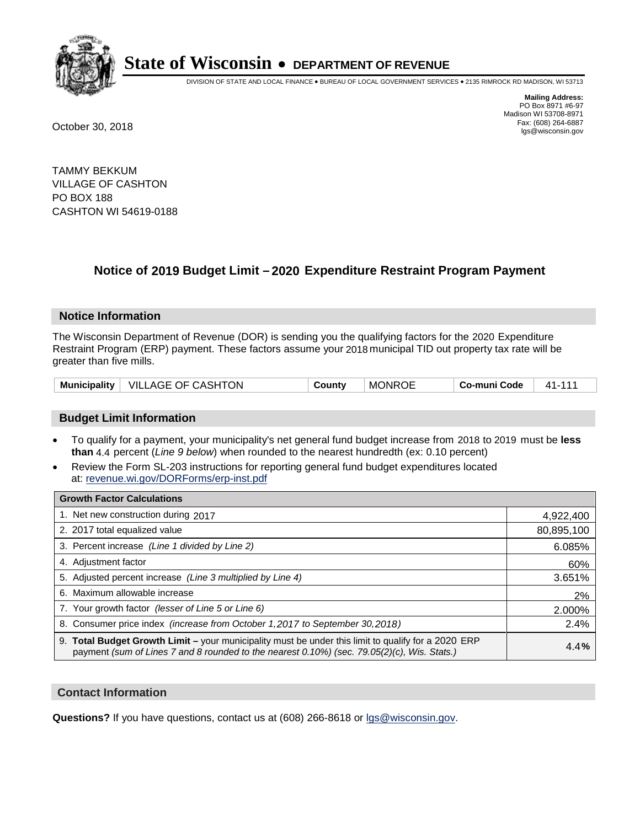

DIVISION OF STATE AND LOCAL FINANCE • BUREAU OF LOCAL GOVERNMENT SERVICES • 2135 RIMROCK RD MADISON, WI 53713

**Mailing Address:** PO Box 8971 #6-97 Madison WI 53708-8971<br>Fax: (608) 264-6887 Fax: (608) 264-6887 October 30, 2018 lgs@wisconsin.gov

TAMMY BEKKUM VILLAGE OF CASHTON PO BOX 188 CASHTON WI 54619-0188

### **Notice of 2019 Budget Limit - 2020 Expenditure Restraint Program Payment**

#### **Notice Information**

The Wisconsin Department of Revenue (DOR) is sending you the qualifying factors for the 2020 Expenditure Restraint Program (ERP) payment. These factors assume your 2018 municipal TID out property tax rate will be greater than five mills.

#### **Budget Limit Information**

- To qualify for a payment, your municipality's net general fund budget increase from 2018 to 2019 must be less **than** 4.4 percent (*Line 9 below*) when rounded to the nearest hundredth (ex: 0.10 percent)
- Review the Form SL-203 instructions for reporting general fund budget expenditures located at: revenue.wi.gov/DORForms/erp-inst.pdf

| <b>Growth Factor Calculations</b>                                                                                                                                                                      |            |
|--------------------------------------------------------------------------------------------------------------------------------------------------------------------------------------------------------|------------|
| 1. Net new construction during 2017                                                                                                                                                                    | 4,922,400  |
| 2. 2017 total equalized value                                                                                                                                                                          | 80,895,100 |
| 3. Percent increase (Line 1 divided by Line 2)                                                                                                                                                         | 6.085%     |
| 4. Adjustment factor                                                                                                                                                                                   | 60%        |
| 5. Adjusted percent increase (Line 3 multiplied by Line 4)                                                                                                                                             | 3.651%     |
| 6. Maximum allowable increase                                                                                                                                                                          | 2%         |
| 7. Your growth factor (lesser of Line 5 or Line 6)                                                                                                                                                     | 2.000%     |
| 8. Consumer price index (increase from October 1,2017 to September 30,2018)                                                                                                                            | 2.4%       |
| 9. Total Budget Growth Limit - your municipality must be under this limit to qualify for a 2020 ERP<br>payment (sum of Lines 7 and 8 rounded to the nearest $0.10\%$ ) (sec. 79.05(2)(c), Wis. Stats.) | 4.4%       |

#### **Contact Information**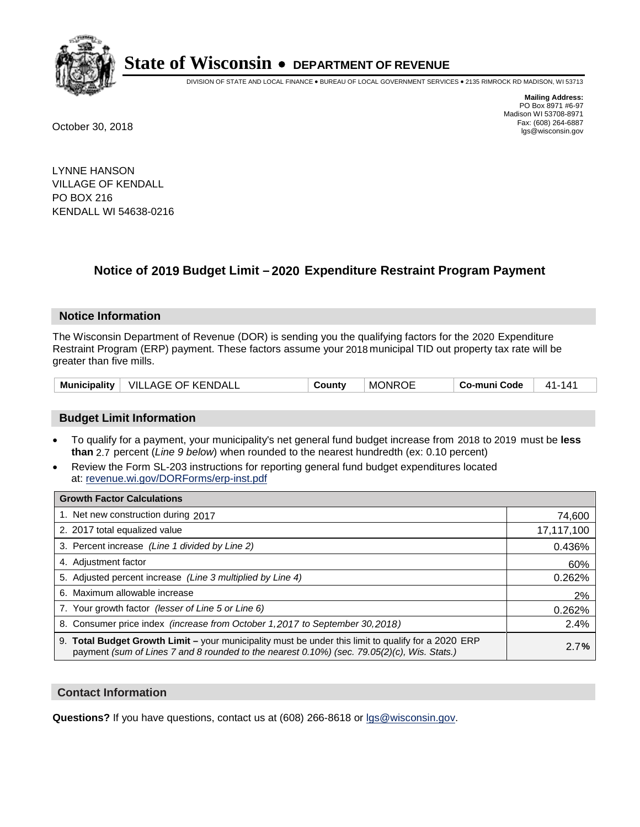

DIVISION OF STATE AND LOCAL FINANCE • BUREAU OF LOCAL GOVERNMENT SERVICES • 2135 RIMROCK RD MADISON, WI 53713

**Mailing Address:** PO Box 8971 #6-97 Madison WI 53708-8971<br>Fax: (608) 264-6887 Fax: (608) 264-6887 October 30, 2018 lgs@wisconsin.gov

LYNNE HANSON VILLAGE OF KENDALL PO BOX 216 KENDALL WI 54638-0216

### **Notice of 2019 Budget Limit - 2020 Expenditure Restraint Program Payment**

#### **Notice Information**

The Wisconsin Department of Revenue (DOR) is sending you the qualifying factors for the 2020 Expenditure Restraint Program (ERP) payment. These factors assume your 2018 municipal TID out property tax rate will be greater than five mills.

| <b>Municipality</b> | <b>VILLAGE OF KENDALL</b> | County | <b>MONROE</b> | Co-muni Code | 141<br>41- |
|---------------------|---------------------------|--------|---------------|--------------|------------|
|---------------------|---------------------------|--------|---------------|--------------|------------|

#### **Budget Limit Information**

- To qualify for a payment, your municipality's net general fund budget increase from 2018 to 2019 must be less **than** 2.7 percent (*Line 9 below*) when rounded to the nearest hundredth (ex: 0.10 percent)
- Review the Form SL-203 instructions for reporting general fund budget expenditures located at: revenue.wi.gov/DORForms/erp-inst.pdf

| <b>Growth Factor Calculations</b>                                                                                                                                                                      |            |
|--------------------------------------------------------------------------------------------------------------------------------------------------------------------------------------------------------|------------|
| 1. Net new construction during 2017                                                                                                                                                                    | 74,600     |
| 2. 2017 total equalized value                                                                                                                                                                          | 17,117,100 |
| 3. Percent increase (Line 1 divided by Line 2)                                                                                                                                                         | 0.436%     |
| 4. Adjustment factor                                                                                                                                                                                   | 60%        |
| 5. Adjusted percent increase (Line 3 multiplied by Line 4)                                                                                                                                             | 0.262%     |
| 6. Maximum allowable increase                                                                                                                                                                          | 2%         |
| 7. Your growth factor (lesser of Line 5 or Line 6)                                                                                                                                                     | 0.262%     |
| 8. Consumer price index (increase from October 1, 2017 to September 30, 2018)                                                                                                                          | 2.4%       |
| 9. Total Budget Growth Limit - your municipality must be under this limit to qualify for a 2020 ERP<br>payment (sum of Lines 7 and 8 rounded to the nearest $0.10\%$ ) (sec. 79.05(2)(c), Wis. Stats.) | 2.7%       |

#### **Contact Information**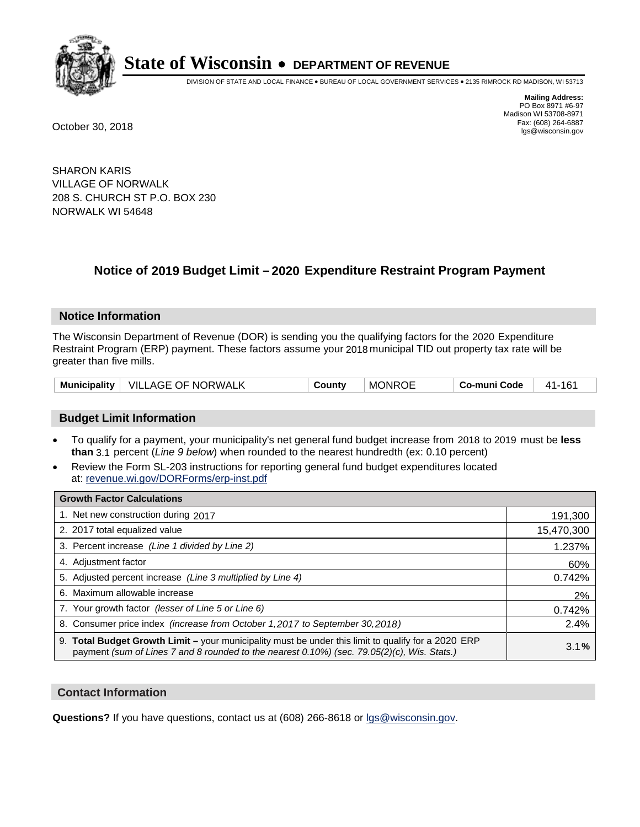

DIVISION OF STATE AND LOCAL FINANCE • BUREAU OF LOCAL GOVERNMENT SERVICES • 2135 RIMROCK RD MADISON, WI 53713

**Mailing Address:** PO Box 8971 #6-97 Madison WI 53708-8971<br>Fax: (608) 264-6887 Fax: (608) 264-6887 October 30, 2018 lgs@wisconsin.gov

SHARON KARIS VILLAGE OF NORWALK 208 S. CHURCH ST P.O. BOX 230 NORWALK WI 54648

## **Notice of 2019 Budget Limit - 2020 Expenditure Restraint Program Payment**

#### **Notice Information**

The Wisconsin Department of Revenue (DOR) is sending you the qualifying factors for the 2020 Expenditure Restraint Program (ERP) payment. These factors assume your 2018 municipal TID out property tax rate will be greater than five mills.

#### **Budget Limit Information**

- To qualify for a payment, your municipality's net general fund budget increase from 2018 to 2019 must be less **than** 3.1 percent (*Line 9 below*) when rounded to the nearest hundredth (ex: 0.10 percent)
- Review the Form SL-203 instructions for reporting general fund budget expenditures located at: revenue.wi.gov/DORForms/erp-inst.pdf

| <b>Growth Factor Calculations</b>                                                                                                                                                                      |            |
|--------------------------------------------------------------------------------------------------------------------------------------------------------------------------------------------------------|------------|
| 1. Net new construction during 2017                                                                                                                                                                    | 191,300    |
| 2. 2017 total equalized value                                                                                                                                                                          | 15,470,300 |
| 3. Percent increase (Line 1 divided by Line 2)                                                                                                                                                         | 1.237%     |
| 4. Adjustment factor                                                                                                                                                                                   | 60%        |
| 5. Adjusted percent increase (Line 3 multiplied by Line 4)                                                                                                                                             | 0.742%     |
| 6. Maximum allowable increase                                                                                                                                                                          | 2%         |
| 7. Your growth factor (lesser of Line 5 or Line 6)                                                                                                                                                     | 0.742%     |
| 8. Consumer price index (increase from October 1,2017 to September 30,2018)                                                                                                                            | 2.4%       |
| 9. Total Budget Growth Limit - your municipality must be under this limit to qualify for a 2020 ERP<br>payment (sum of Lines 7 and 8 rounded to the nearest $0.10\%$ ) (sec. 79.05(2)(c), Wis. Stats.) | 3.1%       |

#### **Contact Information**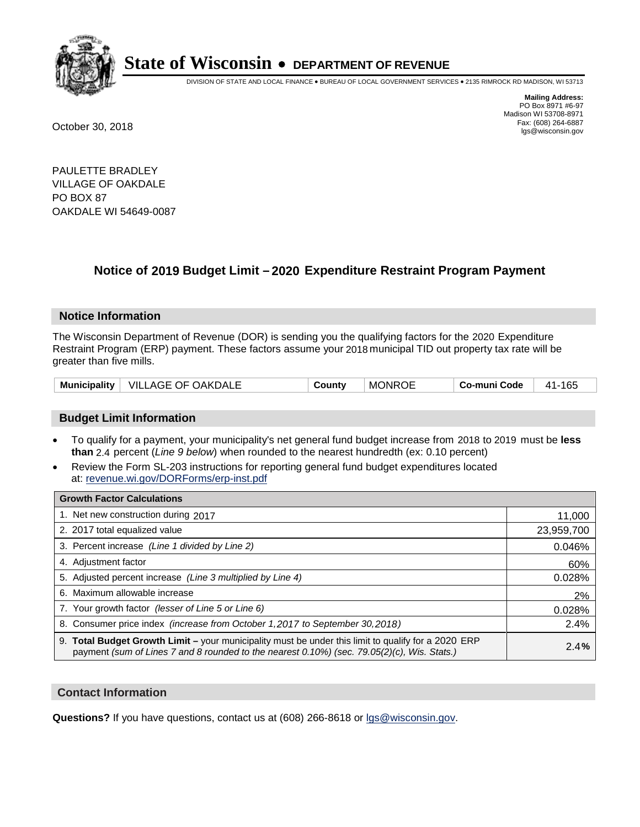

DIVISION OF STATE AND LOCAL FINANCE • BUREAU OF LOCAL GOVERNMENT SERVICES • 2135 RIMROCK RD MADISON, WI 53713

**Mailing Address:** PO Box 8971 #6-97 Madison WI 53708-8971<br>Fax: (608) 264-6887 Fax: (608) 264-6887 October 30, 2018 lgs@wisconsin.gov

PAULETTE BRADLEY VILLAGE OF OAKDALE PO BOX 87 OAKDALE WI 54649-0087

### **Notice of 2019 Budget Limit - 2020 Expenditure Restraint Program Payment**

#### **Notice Information**

The Wisconsin Department of Revenue (DOR) is sending you the qualifying factors for the 2020 Expenditure Restraint Program (ERP) payment. These factors assume your 2018 municipal TID out property tax rate will be greater than five mills.

| Municipality | VILLAGE OF OAKDALE | County | <b>MONROE</b> | Co-muni Code | 165<br>41- |
|--------------|--------------------|--------|---------------|--------------|------------|
|--------------|--------------------|--------|---------------|--------------|------------|

#### **Budget Limit Information**

- To qualify for a payment, your municipality's net general fund budget increase from 2018 to 2019 must be less **than** 2.4 percent (*Line 9 below*) when rounded to the nearest hundredth (ex: 0.10 percent)
- Review the Form SL-203 instructions for reporting general fund budget expenditures located at: revenue.wi.gov/DORForms/erp-inst.pdf

| <b>Growth Factor Calculations</b>                                                                                                                                                                      |            |
|--------------------------------------------------------------------------------------------------------------------------------------------------------------------------------------------------------|------------|
| 1. Net new construction during 2017                                                                                                                                                                    | 11,000     |
| 2. 2017 total equalized value                                                                                                                                                                          | 23,959,700 |
| 3. Percent increase (Line 1 divided by Line 2)                                                                                                                                                         | 0.046%     |
| 4. Adjustment factor                                                                                                                                                                                   | 60%        |
| 5. Adjusted percent increase (Line 3 multiplied by Line 4)                                                                                                                                             | 0.028%     |
| 6. Maximum allowable increase                                                                                                                                                                          | 2%         |
| 7. Your growth factor (lesser of Line 5 or Line 6)                                                                                                                                                     | 0.028%     |
| 8. Consumer price index (increase from October 1, 2017 to September 30, 2018)                                                                                                                          | 2.4%       |
| 9. Total Budget Growth Limit - your municipality must be under this limit to qualify for a 2020 ERP<br>payment (sum of Lines 7 and 8 rounded to the nearest $0.10\%$ ) (sec. 79.05(2)(c), Wis. Stats.) | 2.4%       |

#### **Contact Information**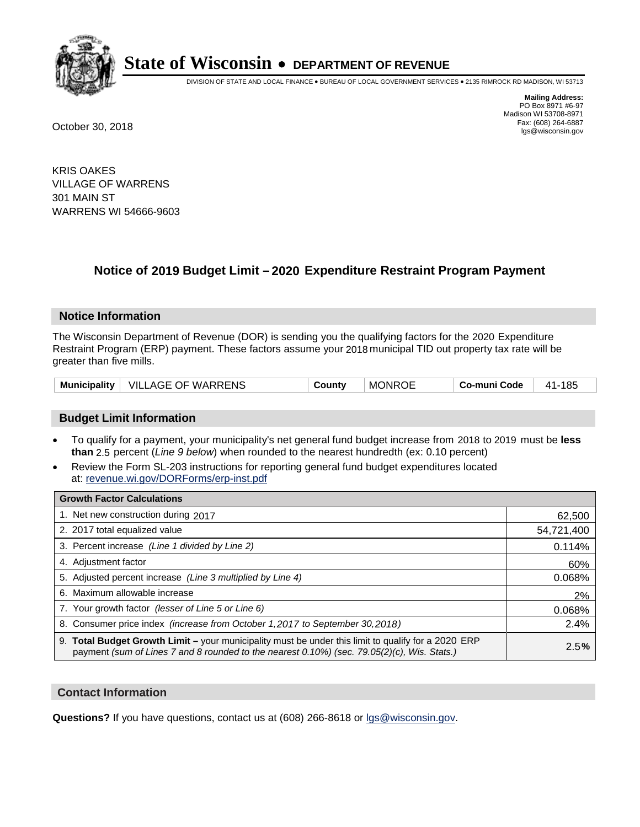

DIVISION OF STATE AND LOCAL FINANCE • BUREAU OF LOCAL GOVERNMENT SERVICES • 2135 RIMROCK RD MADISON, WI 53713

**Mailing Address:** PO Box 8971 #6-97 Madison WI 53708-8971<br>Fax: (608) 264-6887 Fax: (608) 264-6887 October 30, 2018 lgs@wisconsin.gov

KRIS OAKES VILLAGE OF WARRENS 301 MAIN ST WARRENS WI 54666-9603

### **Notice of 2019 Budget Limit - 2020 Expenditure Restraint Program Payment**

#### **Notice Information**

The Wisconsin Department of Revenue (DOR) is sending you the qualifying factors for the 2020 Expenditure Restraint Program (ERP) payment. These factors assume your 2018 municipal TID out property tax rate will be greater than five mills.

| <b>Municipality</b> | OF WARRENS<br>VILLAGE <b>\</b> | ountyٽ | <b>MONROE</b> | o-muni Codeٽ | 185<br>A 1 |
|---------------------|--------------------------------|--------|---------------|--------------|------------|
|---------------------|--------------------------------|--------|---------------|--------------|------------|

#### **Budget Limit Information**

- To qualify for a payment, your municipality's net general fund budget increase from 2018 to 2019 must be less **than** 2.5 percent (*Line 9 below*) when rounded to the nearest hundredth (ex: 0.10 percent)
- Review the Form SL-203 instructions for reporting general fund budget expenditures located at: revenue.wi.gov/DORForms/erp-inst.pdf

| <b>Growth Factor Calculations</b>                                                                                                                                                                      |            |
|--------------------------------------------------------------------------------------------------------------------------------------------------------------------------------------------------------|------------|
| 1. Net new construction during 2017                                                                                                                                                                    | 62,500     |
| 2. 2017 total equalized value                                                                                                                                                                          | 54,721,400 |
| 3. Percent increase (Line 1 divided by Line 2)                                                                                                                                                         | 0.114%     |
| 4. Adjustment factor                                                                                                                                                                                   | 60%        |
| 5. Adjusted percent increase (Line 3 multiplied by Line 4)                                                                                                                                             | 0.068%     |
| 6. Maximum allowable increase                                                                                                                                                                          | 2%         |
| 7. Your growth factor (lesser of Line 5 or Line 6)                                                                                                                                                     | 0.068%     |
| 8. Consumer price index (increase from October 1, 2017 to September 30, 2018)                                                                                                                          | 2.4%       |
| 9. Total Budget Growth Limit - your municipality must be under this limit to qualify for a 2020 ERP<br>payment (sum of Lines 7 and 8 rounded to the nearest $0.10\%$ ) (sec. 79.05(2)(c), Wis. Stats.) | 2.5%       |

#### **Contact Information**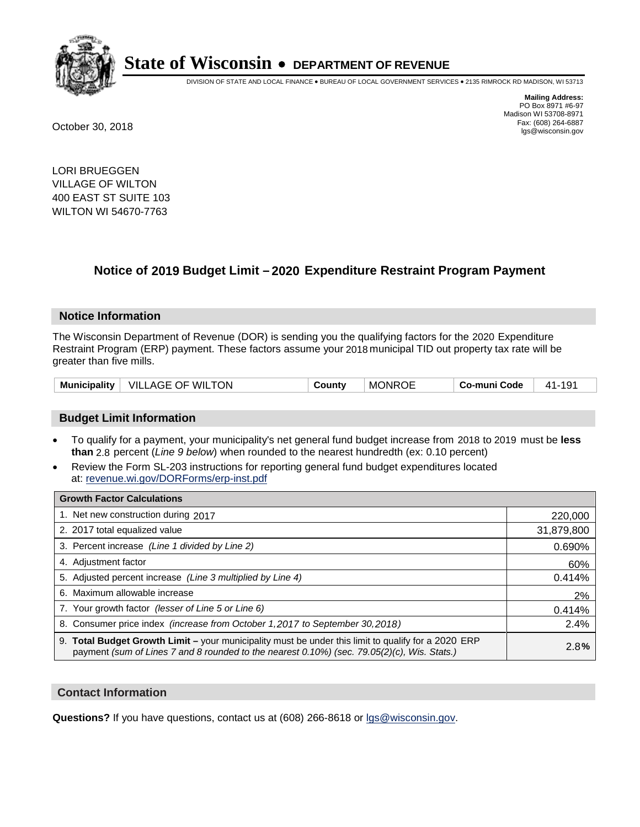

DIVISION OF STATE AND LOCAL FINANCE • BUREAU OF LOCAL GOVERNMENT SERVICES • 2135 RIMROCK RD MADISON, WI 53713

**Mailing Address:** PO Box 8971 #6-97 Madison WI 53708-8971<br>Fax: (608) 264-6887 Fax: (608) 264-6887 October 30, 2018 lgs@wisconsin.gov

LORI BRUEGGEN VILLAGE OF WILTON 400 EAST ST SUITE 103 WILTON WI 54670-7763

### **Notice of 2019 Budget Limit - 2020 Expenditure Restraint Program Payment**

#### **Notice Information**

The Wisconsin Department of Revenue (DOR) is sending you the qualifying factors for the 2020 Expenditure Restraint Program (ERP) payment. These factors assume your 2018 municipal TID out property tax rate will be greater than five mills.

|  | Municipality   VILLAGE OF WILTON | County | <b>MONROE</b> | Co-muni Code | 41-191 |
|--|----------------------------------|--------|---------------|--------------|--------|
|--|----------------------------------|--------|---------------|--------------|--------|

#### **Budget Limit Information**

- To qualify for a payment, your municipality's net general fund budget increase from 2018 to 2019 must be less **than** 2.8 percent (*Line 9 below*) when rounded to the nearest hundredth (ex: 0.10 percent)
- Review the Form SL-203 instructions for reporting general fund budget expenditures located at: revenue.wi.gov/DORForms/erp-inst.pdf

| <b>Growth Factor Calculations</b>                                                                                                                                                                      |            |
|--------------------------------------------------------------------------------------------------------------------------------------------------------------------------------------------------------|------------|
| 1. Net new construction during 2017                                                                                                                                                                    | 220,000    |
| 2. 2017 total equalized value                                                                                                                                                                          | 31,879,800 |
| 3. Percent increase (Line 1 divided by Line 2)                                                                                                                                                         | 0.690%     |
| 4. Adjustment factor                                                                                                                                                                                   | 60%        |
| 5. Adjusted percent increase (Line 3 multiplied by Line 4)                                                                                                                                             | 0.414%     |
| 6. Maximum allowable increase                                                                                                                                                                          | 2%         |
| 7. Your growth factor (lesser of Line 5 or Line 6)                                                                                                                                                     | 0.414%     |
| 8. Consumer price index (increase from October 1, 2017 to September 30, 2018)                                                                                                                          | 2.4%       |
| 9. Total Budget Growth Limit - your municipality must be under this limit to qualify for a 2020 ERP<br>payment (sum of Lines 7 and 8 rounded to the nearest $0.10\%$ ) (sec. 79.05(2)(c), Wis. Stats.) | 2.8%       |

#### **Contact Information**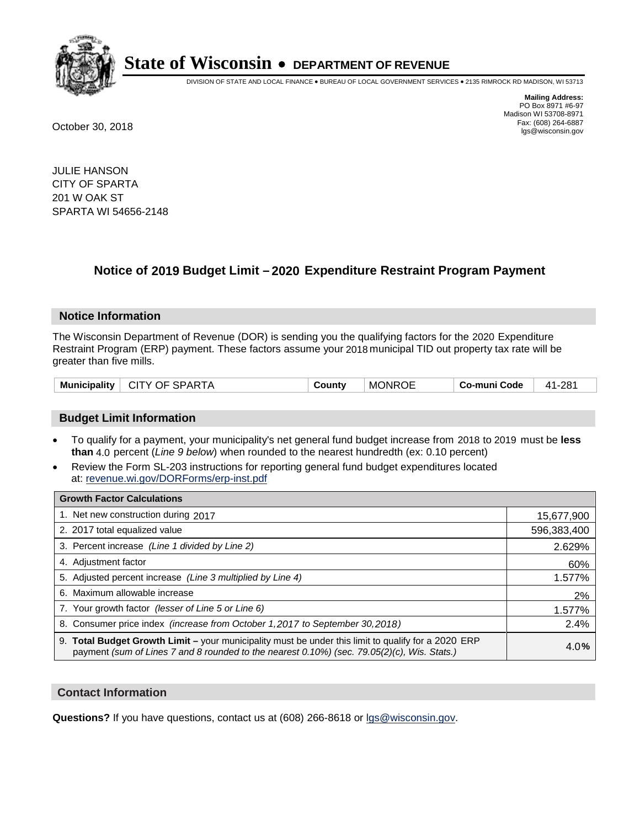

DIVISION OF STATE AND LOCAL FINANCE • BUREAU OF LOCAL GOVERNMENT SERVICES • 2135 RIMROCK RD MADISON, WI 53713

**Mailing Address:** PO Box 8971 #6-97 Madison WI 53708-8971<br>Fax: (608) 264-6887 Fax: (608) 264-6887 October 30, 2018 lgs@wisconsin.gov

JULIE HANSON CITY OF SPARTA 201 W OAK ST SPARTA WI 54656-2148

### **Notice of 2019 Budget Limit - 2020 Expenditure Restraint Program Payment**

#### **Notice Information**

The Wisconsin Department of Revenue (DOR) is sending you the qualifying factors for the 2020 Expenditure Restraint Program (ERP) payment. These factors assume your 2018 municipal TID out property tax rate will be greater than five mills.

| Municipality | <b>CITY OF SPARTA</b> | Countv | <b>MONROE</b> | Co-muni Code | 41-281 |
|--------------|-----------------------|--------|---------------|--------------|--------|
|--------------|-----------------------|--------|---------------|--------------|--------|

#### **Budget Limit Information**

- To qualify for a payment, your municipality's net general fund budget increase from 2018 to 2019 must be less **than** 4.0 percent (*Line 9 below*) when rounded to the nearest hundredth (ex: 0.10 percent)
- Review the Form SL-203 instructions for reporting general fund budget expenditures located at: revenue.wi.gov/DORForms/erp-inst.pdf

| <b>Growth Factor Calculations</b>                                                                                                                                                                  |             |
|----------------------------------------------------------------------------------------------------------------------------------------------------------------------------------------------------|-------------|
| 1. Net new construction during 2017                                                                                                                                                                | 15,677,900  |
| 2. 2017 total equalized value                                                                                                                                                                      | 596,383,400 |
| 3. Percent increase (Line 1 divided by Line 2)                                                                                                                                                     | 2.629%      |
| 4. Adjustment factor                                                                                                                                                                               | 60%         |
| 5. Adjusted percent increase (Line 3 multiplied by Line 4)                                                                                                                                         | 1.577%      |
| 6. Maximum allowable increase                                                                                                                                                                      | 2%          |
| 7. Your growth factor (lesser of Line 5 or Line 6)                                                                                                                                                 | 1.577%      |
| 8. Consumer price index (increase from October 1, 2017 to September 30, 2018)                                                                                                                      | 2.4%        |
| 9. Total Budget Growth Limit - your municipality must be under this limit to qualify for a 2020 ERP<br>payment (sum of Lines 7 and 8 rounded to the nearest 0.10%) (sec. 79.05(2)(c), Wis. Stats.) | 4.0%        |

#### **Contact Information**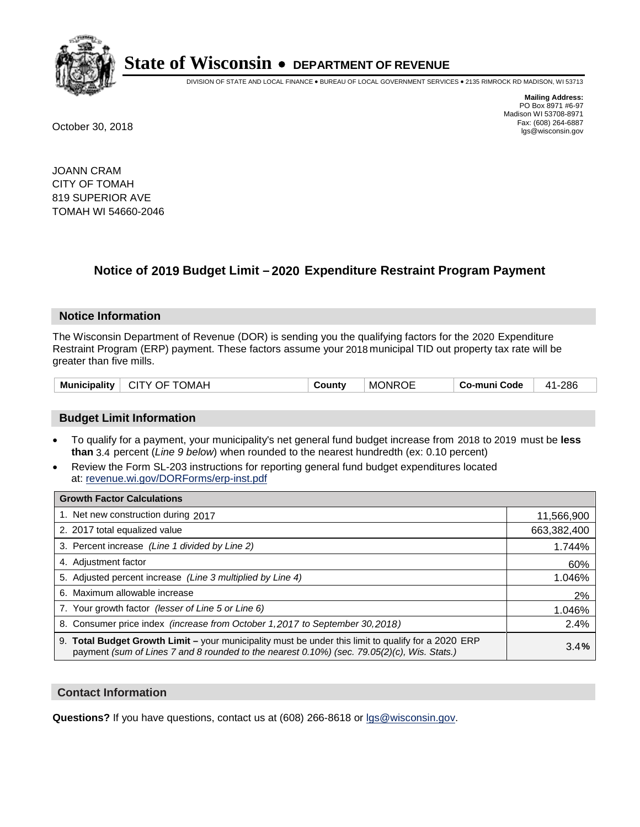

DIVISION OF STATE AND LOCAL FINANCE • BUREAU OF LOCAL GOVERNMENT SERVICES • 2135 RIMROCK RD MADISON, WI 53713

**Mailing Address:** PO Box 8971 #6-97 Madison WI 53708-8971<br>Fax: (608) 264-6887 Fax: (608) 264-6887 October 30, 2018 lgs@wisconsin.gov

JOANN CRAM CITY OF TOMAH 819 SUPERIOR AVE TOMAH WI 54660-2046

### **Notice of 2019 Budget Limit - 2020 Expenditure Restraint Program Payment**

#### **Notice Information**

The Wisconsin Department of Revenue (DOR) is sending you the qualifying factors for the 2020 Expenditure Restraint Program (ERP) payment. These factors assume your 2018 municipal TID out property tax rate will be greater than five mills.

| <b>Municipality</b> | CITY OF TOMAH | County | <b>MONROE</b> | Co-muni Code | 41-286 |
|---------------------|---------------|--------|---------------|--------------|--------|
|---------------------|---------------|--------|---------------|--------------|--------|

#### **Budget Limit Information**

- To qualify for a payment, your municipality's net general fund budget increase from 2018 to 2019 must be less **than** 3.4 percent (*Line 9 below*) when rounded to the nearest hundredth (ex: 0.10 percent)
- Review the Form SL-203 instructions for reporting general fund budget expenditures located at: revenue.wi.gov/DORForms/erp-inst.pdf

| <b>Growth Factor Calculations</b>                                                                                                                                                                  |             |
|----------------------------------------------------------------------------------------------------------------------------------------------------------------------------------------------------|-------------|
| 1. Net new construction during 2017                                                                                                                                                                | 11,566,900  |
| 2. 2017 total equalized value                                                                                                                                                                      | 663,382,400 |
| 3. Percent increase (Line 1 divided by Line 2)                                                                                                                                                     | 1.744%      |
| 4. Adjustment factor                                                                                                                                                                               | 60%         |
| 5. Adjusted percent increase (Line 3 multiplied by Line 4)                                                                                                                                         | 1.046%      |
| 6. Maximum allowable increase                                                                                                                                                                      | 2%          |
| 7. Your growth factor (lesser of Line 5 or Line 6)                                                                                                                                                 | 1.046%      |
| 8. Consumer price index (increase from October 1,2017 to September 30,2018)                                                                                                                        | 2.4%        |
| 9. Total Budget Growth Limit - your municipality must be under this limit to qualify for a 2020 ERP<br>payment (sum of Lines 7 and 8 rounded to the nearest 0.10%) (sec. 79.05(2)(c), Wis. Stats.) | 3.4%        |

#### **Contact Information**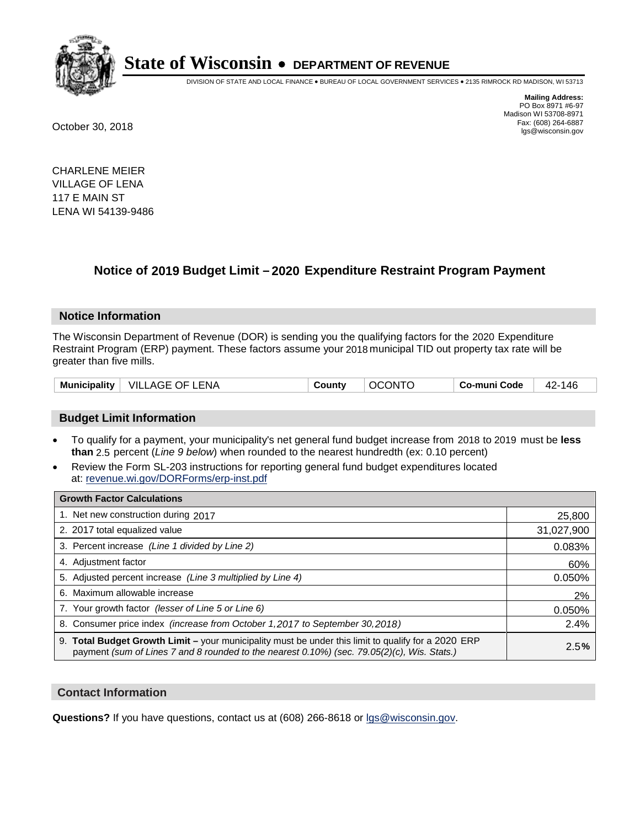

DIVISION OF STATE AND LOCAL FINANCE • BUREAU OF LOCAL GOVERNMENT SERVICES • 2135 RIMROCK RD MADISON, WI 53713

**Mailing Address:** PO Box 8971 #6-97 Madison WI 53708-8971<br>Fax: (608) 264-6887 Fax: (608) 264-6887 October 30, 2018 lgs@wisconsin.gov

CHARLENE MEIER VILLAGE OF LENA 117 E MAIN ST LENA WI 54139-9486

### **Notice of 2019 Budget Limit - 2020 Expenditure Restraint Program Payment**

#### **Notice Information**

The Wisconsin Department of Revenue (DOR) is sending you the qualifying factors for the 2020 Expenditure Restraint Program (ERP) payment. These factors assume your 2018 municipal TID out property tax rate will be greater than five mills.

| VILLAGE OF LENA<br>Municipality | County | <b>OCONTO</b> | Co-muni Code | -146<br>42. |
|---------------------------------|--------|---------------|--------------|-------------|
|---------------------------------|--------|---------------|--------------|-------------|

#### **Budget Limit Information**

- To qualify for a payment, your municipality's net general fund budget increase from 2018 to 2019 must be less **than** 2.5 percent (*Line 9 below*) when rounded to the nearest hundredth (ex: 0.10 percent)
- Review the Form SL-203 instructions for reporting general fund budget expenditures located at: revenue.wi.gov/DORForms/erp-inst.pdf

| <b>Growth Factor Calculations</b>                                                                                                                                                                      |            |
|--------------------------------------------------------------------------------------------------------------------------------------------------------------------------------------------------------|------------|
| 1. Net new construction during 2017                                                                                                                                                                    | 25,800     |
| 2. 2017 total equalized value                                                                                                                                                                          | 31,027,900 |
| 3. Percent increase (Line 1 divided by Line 2)                                                                                                                                                         | 0.083%     |
| 4. Adjustment factor                                                                                                                                                                                   | 60%        |
| 5. Adjusted percent increase (Line 3 multiplied by Line 4)                                                                                                                                             | 0.050%     |
| 6. Maximum allowable increase                                                                                                                                                                          | 2%         |
| 7. Your growth factor (lesser of Line 5 or Line 6)                                                                                                                                                     | 0.050%     |
| 8. Consumer price index (increase from October 1,2017 to September 30,2018)                                                                                                                            | 2.4%       |
| 9. Total Budget Growth Limit - your municipality must be under this limit to qualify for a 2020 ERP<br>payment (sum of Lines 7 and 8 rounded to the nearest $0.10\%$ ) (sec. 79.05(2)(c), Wis. Stats.) | 2.5%       |

#### **Contact Information**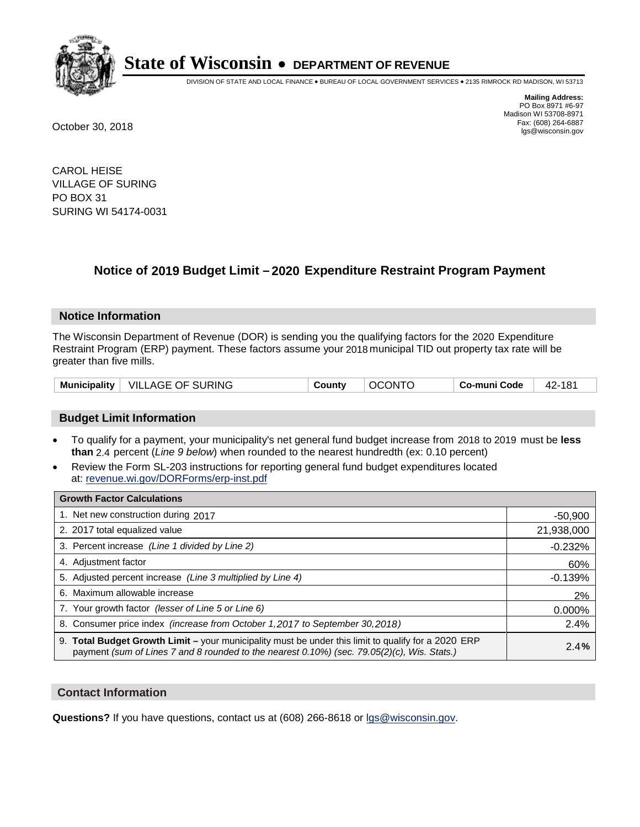

DIVISION OF STATE AND LOCAL FINANCE • BUREAU OF LOCAL GOVERNMENT SERVICES • 2135 RIMROCK RD MADISON, WI 53713

**Mailing Address:** PO Box 8971 #6-97 Madison WI 53708-8971<br>Fax: (608) 264-6887 Fax: (608) 264-6887 October 30, 2018 lgs@wisconsin.gov

CAROL HEISE VILLAGE OF SURING PO BOX 31 SURING WI 54174-0031

### **Notice of 2019 Budget Limit - 2020 Expenditure Restraint Program Payment**

#### **Notice Information**

The Wisconsin Department of Revenue (DOR) is sending you the qualifying factors for the 2020 Expenditure Restraint Program (ERP) payment. These factors assume your 2018 municipal TID out property tax rate will be greater than five mills.

| Municipality   VILLAGE OF SURING | County | <b>OCONTO</b> | Co-muni Code | 42-181 |
|----------------------------------|--------|---------------|--------------|--------|
|----------------------------------|--------|---------------|--------------|--------|

#### **Budget Limit Information**

- To qualify for a payment, your municipality's net general fund budget increase from 2018 to 2019 must be less **than** 2.4 percent (*Line 9 below*) when rounded to the nearest hundredth (ex: 0.10 percent)
- Review the Form SL-203 instructions for reporting general fund budget expenditures located at: revenue.wi.gov/DORForms/erp-inst.pdf

| <b>Growth Factor Calculations</b>                                                                                                                                                                  |            |
|----------------------------------------------------------------------------------------------------------------------------------------------------------------------------------------------------|------------|
| 1. Net new construction during 2017                                                                                                                                                                | $-50,900$  |
| 2. 2017 total equalized value                                                                                                                                                                      | 21,938,000 |
| 3. Percent increase (Line 1 divided by Line 2)                                                                                                                                                     | $-0.232%$  |
| 4. Adjustment factor                                                                                                                                                                               | 60%        |
| 5. Adjusted percent increase (Line 3 multiplied by Line 4)                                                                                                                                         | $-0.139%$  |
| 6. Maximum allowable increase                                                                                                                                                                      | 2%         |
| 7. Your growth factor (lesser of Line 5 or Line 6)                                                                                                                                                 | 0.000%     |
| 8. Consumer price index (increase from October 1, 2017 to September 30, 2018)                                                                                                                      | 2.4%       |
| 9. Total Budget Growth Limit - your municipality must be under this limit to qualify for a 2020 ERP<br>payment (sum of Lines 7 and 8 rounded to the nearest 0.10%) (sec. 79.05(2)(c), Wis. Stats.) | 2.4%       |

#### **Contact Information**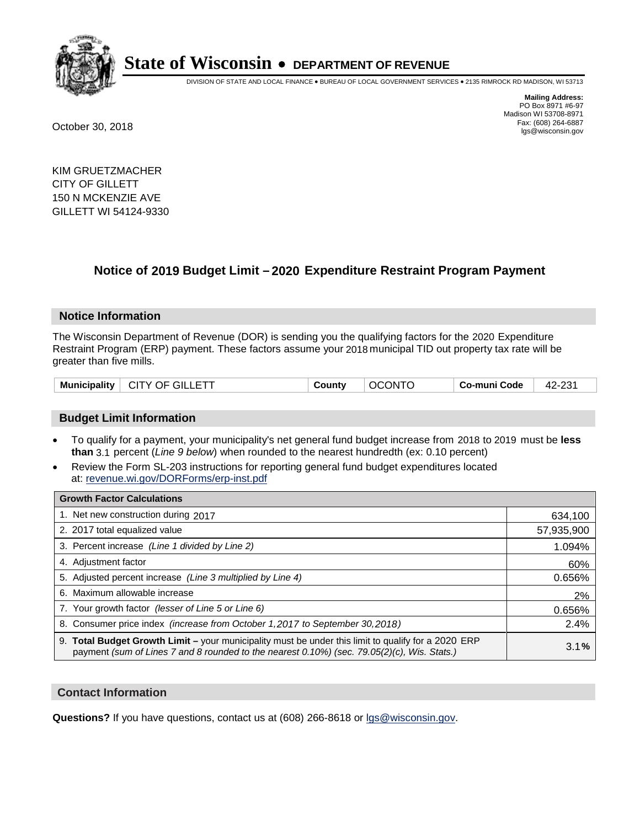

DIVISION OF STATE AND LOCAL FINANCE • BUREAU OF LOCAL GOVERNMENT SERVICES • 2135 RIMROCK RD MADISON, WI 53713

**Mailing Address:** PO Box 8971 #6-97 Madison WI 53708-8971<br>Fax: (608) 264-6887 Fax: (608) 264-6887 October 30, 2018 lgs@wisconsin.gov

KIM GRUETZMACHER CITY OF GILLETT 150 N MCKENZIE AVE GILLETT WI 54124-9330

### **Notice of 2019 Budget Limit - 2020 Expenditure Restraint Program Payment**

#### **Notice Information**

The Wisconsin Department of Revenue (DOR) is sending you the qualifying factors for the 2020 Expenditure Restraint Program (ERP) payment. These factors assume your 2018 municipal TID out property tax rate will be greater than five mills.

|  | <b>Municipality</b> | $\mid$ CITY OF GILLETT | County | <b>OCONTO</b> | Co-muni Code | 42-231 |
|--|---------------------|------------------------|--------|---------------|--------------|--------|
|--|---------------------|------------------------|--------|---------------|--------------|--------|

#### **Budget Limit Information**

- To qualify for a payment, your municipality's net general fund budget increase from 2018 to 2019 must be less **than** 3.1 percent (*Line 9 below*) when rounded to the nearest hundredth (ex: 0.10 percent)
- Review the Form SL-203 instructions for reporting general fund budget expenditures located at: revenue.wi.gov/DORForms/erp-inst.pdf

| <b>Growth Factor Calculations</b>                                                                                                                                                                      |            |
|--------------------------------------------------------------------------------------------------------------------------------------------------------------------------------------------------------|------------|
| 1. Net new construction during 2017                                                                                                                                                                    | 634,100    |
| 2. 2017 total equalized value                                                                                                                                                                          | 57,935,900 |
| 3. Percent increase (Line 1 divided by Line 2)                                                                                                                                                         | 1.094%     |
| 4. Adjustment factor                                                                                                                                                                                   | 60%        |
| 5. Adjusted percent increase (Line 3 multiplied by Line 4)                                                                                                                                             | 0.656%     |
| 6. Maximum allowable increase                                                                                                                                                                          | 2%         |
| 7. Your growth factor (lesser of Line 5 or Line 6)                                                                                                                                                     | 0.656%     |
| 8. Consumer price index (increase from October 1, 2017 to September 30, 2018)                                                                                                                          | 2.4%       |
| 9. Total Budget Growth Limit - your municipality must be under this limit to qualify for a 2020 ERP<br>payment (sum of Lines 7 and 8 rounded to the nearest $0.10\%$ ) (sec. 79.05(2)(c), Wis. Stats.) | 3.1%       |

#### **Contact Information**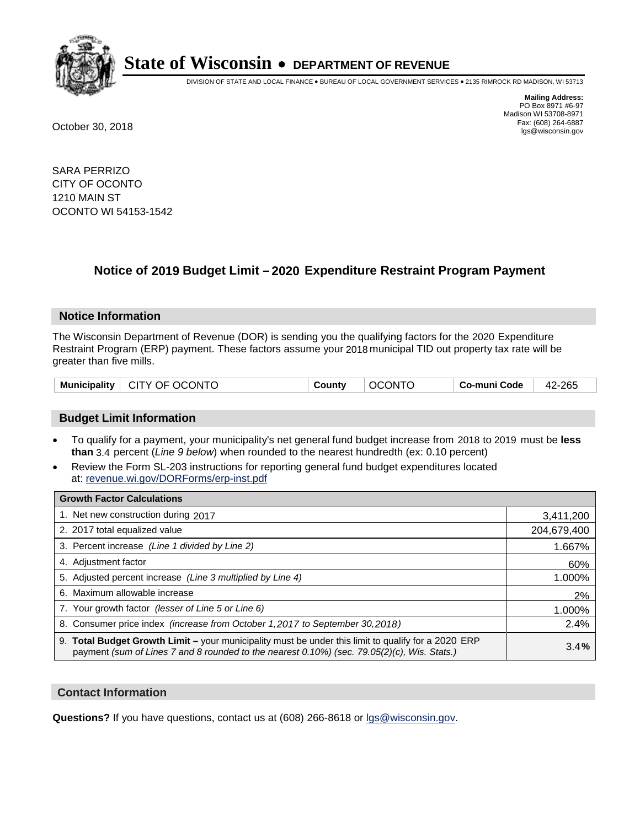

DIVISION OF STATE AND LOCAL FINANCE • BUREAU OF LOCAL GOVERNMENT SERVICES • 2135 RIMROCK RD MADISON, WI 53713

**Mailing Address:** PO Box 8971 #6-97 Madison WI 53708-8971<br>Fax: (608) 264-6887 Fax: (608) 264-6887 October 30, 2018 lgs@wisconsin.gov

SARA PERRIZO CITY OF OCONTO 1210 MAIN ST OCONTO WI 54153-1542

### **Notice of 2019 Budget Limit - 2020 Expenditure Restraint Program Payment**

#### **Notice Information**

The Wisconsin Department of Revenue (DOR) is sending you the qualifying factors for the 2020 Expenditure Restraint Program (ERP) payment. These factors assume your 2018 municipal TID out property tax rate will be greater than five mills.

| Municipality   CITY OF OCONTO | County | <b>OCONTO</b> | ∣ Co-muni Code | 42-265 |
|-------------------------------|--------|---------------|----------------|--------|
|-------------------------------|--------|---------------|----------------|--------|

#### **Budget Limit Information**

- To qualify for a payment, your municipality's net general fund budget increase from 2018 to 2019 must be less **than** 3.4 percent (*Line 9 below*) when rounded to the nearest hundredth (ex: 0.10 percent)
- Review the Form SL-203 instructions for reporting general fund budget expenditures located at: revenue.wi.gov/DORForms/erp-inst.pdf

| <b>Growth Factor Calculations</b>                                                                                                                                                                      |             |
|--------------------------------------------------------------------------------------------------------------------------------------------------------------------------------------------------------|-------------|
| 1. Net new construction during 2017                                                                                                                                                                    | 3,411,200   |
| 2. 2017 total equalized value                                                                                                                                                                          | 204,679,400 |
| 3. Percent increase (Line 1 divided by Line 2)                                                                                                                                                         | 1.667%      |
| 4. Adjustment factor                                                                                                                                                                                   | 60%         |
| 5. Adjusted percent increase (Line 3 multiplied by Line 4)                                                                                                                                             | 1.000%      |
| 6. Maximum allowable increase                                                                                                                                                                          | 2%          |
| 7. Your growth factor (lesser of Line 5 or Line 6)                                                                                                                                                     | 1.000%      |
| 8. Consumer price index (increase from October 1,2017 to September 30,2018)                                                                                                                            | 2.4%        |
| 9. Total Budget Growth Limit - your municipality must be under this limit to qualify for a 2020 ERP<br>payment (sum of Lines 7 and 8 rounded to the nearest $0.10\%$ ) (sec. 79.05(2)(c), Wis. Stats.) | 3.4%        |

#### **Contact Information**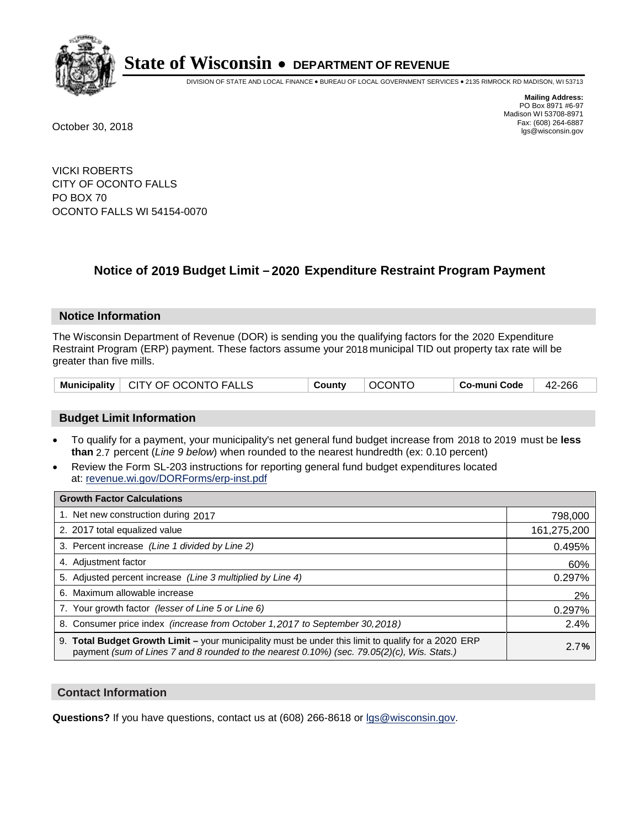

DIVISION OF STATE AND LOCAL FINANCE • BUREAU OF LOCAL GOVERNMENT SERVICES • 2135 RIMROCK RD MADISON, WI 53713

**Mailing Address:** PO Box 8971 #6-97 Madison WI 53708-8971<br>Fax: (608) 264-6887 Fax: (608) 264-6887 October 30, 2018 lgs@wisconsin.gov

VICKI ROBERTS CITY OF OCONTO FALLS PO BOX 70 OCONTO FALLS WI 54154-0070

### **Notice of 2019 Budget Limit - 2020 Expenditure Restraint Program Payment**

#### **Notice Information**

The Wisconsin Department of Revenue (DOR) is sending you the qualifying factors for the 2020 Expenditure Restraint Program (ERP) payment. These factors assume your 2018 municipal TID out property tax rate will be greater than five mills.

#### **Budget Limit Information**

- To qualify for a payment, your municipality's net general fund budget increase from 2018 to 2019 must be less **than** 2.7 percent (*Line 9 below*) when rounded to the nearest hundredth (ex: 0.10 percent)
- Review the Form SL-203 instructions for reporting general fund budget expenditures located at: revenue.wi.gov/DORForms/erp-inst.pdf

| <b>Growth Factor Calculations</b>                                                                                                                                                                  |             |
|----------------------------------------------------------------------------------------------------------------------------------------------------------------------------------------------------|-------------|
| 1. Net new construction during 2017                                                                                                                                                                | 798,000     |
| 2. 2017 total equalized value                                                                                                                                                                      | 161,275,200 |
| 3. Percent increase (Line 1 divided by Line 2)                                                                                                                                                     | 0.495%      |
| 4. Adjustment factor                                                                                                                                                                               | 60%         |
| 5. Adjusted percent increase (Line 3 multiplied by Line 4)                                                                                                                                         | 0.297%      |
| 6. Maximum allowable increase                                                                                                                                                                      | 2%          |
| 7. Your growth factor (lesser of Line 5 or Line 6)                                                                                                                                                 | 0.297%      |
| 8. Consumer price index (increase from October 1,2017 to September 30,2018)                                                                                                                        | 2.4%        |
| 9. Total Budget Growth Limit - your municipality must be under this limit to qualify for a 2020 ERP<br>payment (sum of Lines 7 and 8 rounded to the nearest 0.10%) (sec. 79.05(2)(c), Wis. Stats.) | 2.7%        |

#### **Contact Information**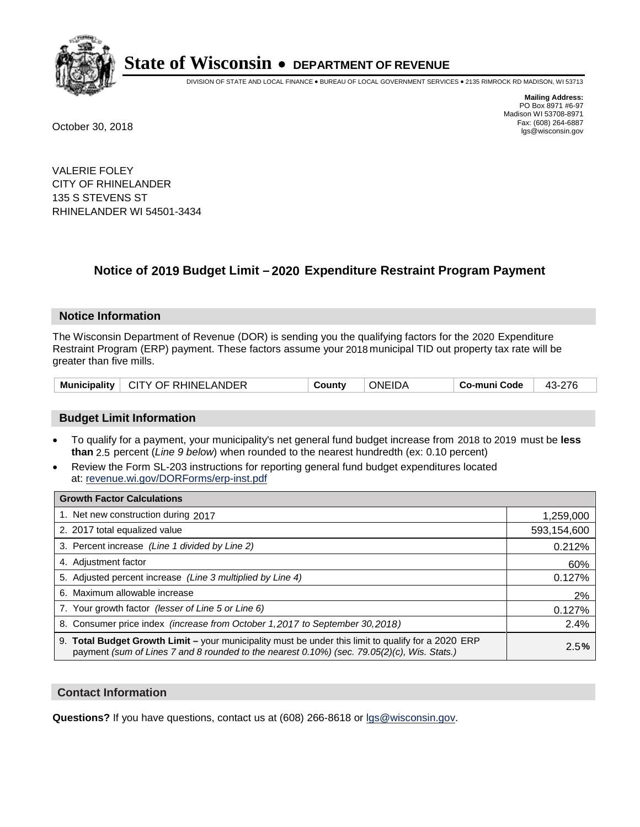

DIVISION OF STATE AND LOCAL FINANCE • BUREAU OF LOCAL GOVERNMENT SERVICES • 2135 RIMROCK RD MADISON, WI 53713

**Mailing Address:** PO Box 8971 #6-97 Madison WI 53708-8971<br>Fax: (608) 264-6887 Fax: (608) 264-6887 October 30, 2018 lgs@wisconsin.gov

VALERIE FOLEY CITY OF RHINELANDER 135 S STEVENS ST RHINELANDER WI 54501-3434

### **Notice of 2019 Budget Limit - 2020 Expenditure Restraint Program Payment**

#### **Notice Information**

The Wisconsin Department of Revenue (DOR) is sending you the qualifying factors for the 2020 Expenditure Restraint Program (ERP) payment. These factors assume your 2018 municipal TID out property tax rate will be greater than five mills.

| <b>Municipality</b><br>CITY OF RHINELANDER | Countv | <b>ONEIDA</b> | Co-muni Code |  |
|--------------------------------------------|--------|---------------|--------------|--|
|--------------------------------------------|--------|---------------|--------------|--|

#### **Budget Limit Information**

- To qualify for a payment, your municipality's net general fund budget increase from 2018 to 2019 must be less **than** 2.5 percent (*Line 9 below*) when rounded to the nearest hundredth (ex: 0.10 percent)
- Review the Form SL-203 instructions for reporting general fund budget expenditures located at: revenue.wi.gov/DORForms/erp-inst.pdf

| <b>Growth Factor Calculations</b>                                                                                                                                                                      |             |
|--------------------------------------------------------------------------------------------------------------------------------------------------------------------------------------------------------|-------------|
| 1. Net new construction during 2017                                                                                                                                                                    | 1,259,000   |
| 2. 2017 total equalized value                                                                                                                                                                          | 593,154,600 |
| 3. Percent increase (Line 1 divided by Line 2)                                                                                                                                                         | 0.212%      |
| 4. Adjustment factor                                                                                                                                                                                   | 60%         |
| 5. Adjusted percent increase (Line 3 multiplied by Line 4)                                                                                                                                             | 0.127%      |
| 6. Maximum allowable increase                                                                                                                                                                          | 2%          |
| 7. Your growth factor (lesser of Line 5 or Line 6)                                                                                                                                                     | 0.127%      |
| 8. Consumer price index (increase from October 1, 2017 to September 30, 2018)                                                                                                                          | 2.4%        |
| 9. Total Budget Growth Limit - your municipality must be under this limit to qualify for a 2020 ERP<br>payment (sum of Lines 7 and 8 rounded to the nearest $0.10\%$ ) (sec. 79.05(2)(c), Wis. Stats.) | 2.5%        |

#### **Contact Information**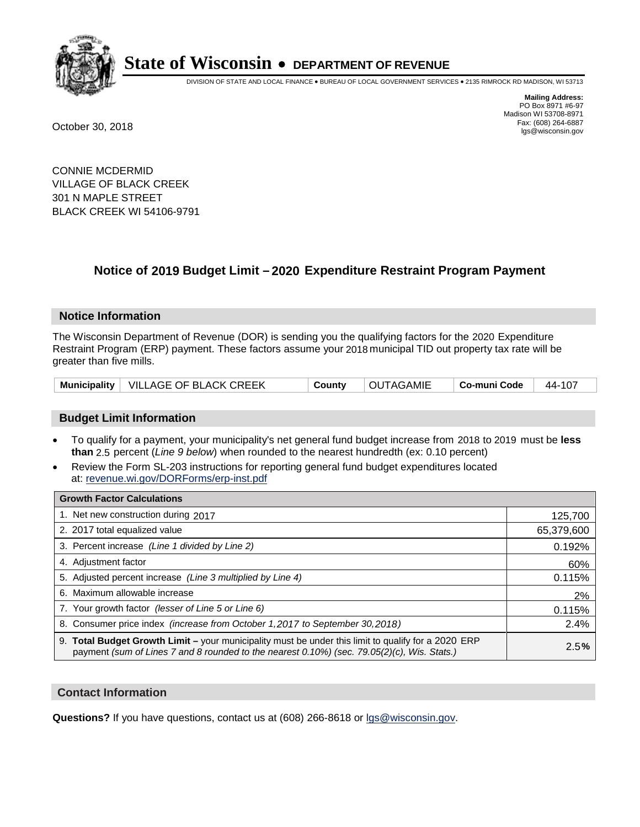

DIVISION OF STATE AND LOCAL FINANCE • BUREAU OF LOCAL GOVERNMENT SERVICES • 2135 RIMROCK RD MADISON, WI 53713

**Mailing Address:** PO Box 8971 #6-97 Madison WI 53708-8971<br>Fax: (608) 264-6887 Fax: (608) 264-6887 October 30, 2018 lgs@wisconsin.gov

CONNIE MCDERMID VILLAGE OF BLACK CREEK 301 N MAPLE STREET BLACK CREEK WI 54106-9791

## **Notice of 2019 Budget Limit - 2020 Expenditure Restraint Program Payment**

#### **Notice Information**

The Wisconsin Department of Revenue (DOR) is sending you the qualifying factors for the 2020 Expenditure Restraint Program (ERP) payment. These factors assume your 2018 municipal TID out property tax rate will be greater than five mills.

|  | Municipality   VILLAGE OF BLACK CREEK | County | <b>OUTAGAMIE</b> | $\vert$ Co-muni Code $\vert$ 44-107 |  |
|--|---------------------------------------|--------|------------------|-------------------------------------|--|
|--|---------------------------------------|--------|------------------|-------------------------------------|--|

#### **Budget Limit Information**

- To qualify for a payment, your municipality's net general fund budget increase from 2018 to 2019 must be less **than** 2.5 percent (*Line 9 below*) when rounded to the nearest hundredth (ex: 0.10 percent)
- Review the Form SL-203 instructions for reporting general fund budget expenditures located at: revenue.wi.gov/DORForms/erp-inst.pdf

| <b>Growth Factor Calculations</b>                                                                                                                                                                      |            |
|--------------------------------------------------------------------------------------------------------------------------------------------------------------------------------------------------------|------------|
| 1. Net new construction during 2017                                                                                                                                                                    | 125,700    |
| 2. 2017 total equalized value                                                                                                                                                                          | 65,379,600 |
| 3. Percent increase (Line 1 divided by Line 2)                                                                                                                                                         | 0.192%     |
| 4. Adjustment factor                                                                                                                                                                                   | 60%        |
| 5. Adjusted percent increase (Line 3 multiplied by Line 4)                                                                                                                                             | 0.115%     |
| 6. Maximum allowable increase                                                                                                                                                                          | 2%         |
| 7. Your growth factor (lesser of Line 5 or Line 6)                                                                                                                                                     | 0.115%     |
| 8. Consumer price index (increase from October 1, 2017 to September 30, 2018)                                                                                                                          | 2.4%       |
| 9. Total Budget Growth Limit - your municipality must be under this limit to qualify for a 2020 ERP<br>payment (sum of Lines 7 and 8 rounded to the nearest $0.10\%$ ) (sec. 79.05(2)(c), Wis. Stats.) | 2.5%       |

#### **Contact Information**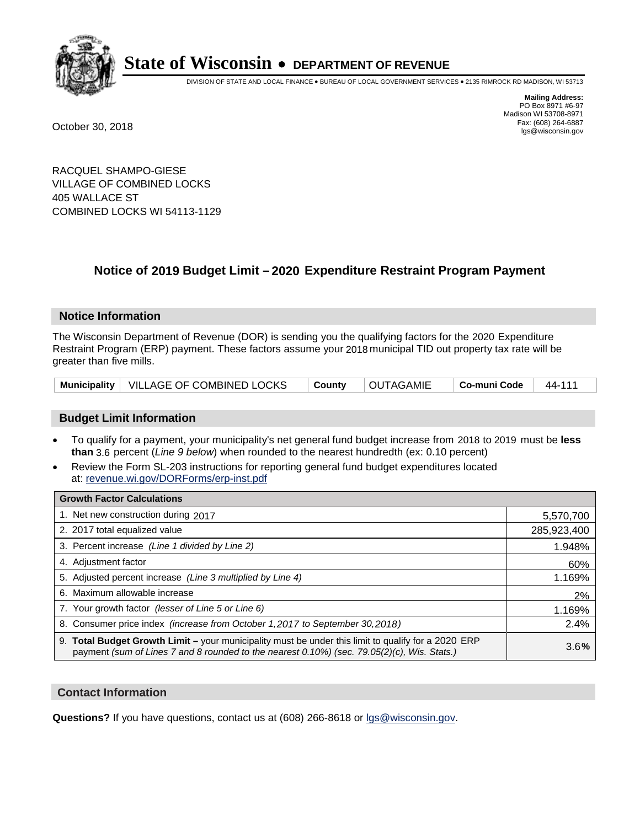

DIVISION OF STATE AND LOCAL FINANCE • BUREAU OF LOCAL GOVERNMENT SERVICES • 2135 RIMROCK RD MADISON, WI 53713

**Mailing Address:** PO Box 8971 #6-97 Madison WI 53708-8971<br>Fax: (608) 264-6887 Fax: (608) 264-6887 October 30, 2018 lgs@wisconsin.gov

RACQUEL SHAMPO-GIESE VILLAGE OF COMBINED LOCKS 405 WALLACE ST COMBINED LOCKS WI 54113-1129

### **Notice of 2019 Budget Limit - 2020 Expenditure Restraint Program Payment**

#### **Notice Information**

The Wisconsin Department of Revenue (DOR) is sending you the qualifying factors for the 2020 Expenditure Restraint Program (ERP) payment. These factors assume your 2018 municipal TID out property tax rate will be greater than five mills.

|  | Municipality   VILLAGE OF COMBINED LOCKS | County | <b>OUTAGAMIE</b> | $\mid$ Co-muni Code $\mid$ 44-111 |  |
|--|------------------------------------------|--------|------------------|-----------------------------------|--|
|--|------------------------------------------|--------|------------------|-----------------------------------|--|

#### **Budget Limit Information**

- To qualify for a payment, your municipality's net general fund budget increase from 2018 to 2019 must be less **than** 3.6 percent (*Line 9 below*) when rounded to the nearest hundredth (ex: 0.10 percent)
- Review the Form SL-203 instructions for reporting general fund budget expenditures located at: revenue.wi.gov/DORForms/erp-inst.pdf

| <b>Growth Factor Calculations</b>                                                                                                                                                                      |             |
|--------------------------------------------------------------------------------------------------------------------------------------------------------------------------------------------------------|-------------|
| 1. Net new construction during 2017                                                                                                                                                                    | 5,570,700   |
| 2. 2017 total equalized value                                                                                                                                                                          | 285,923,400 |
| 3. Percent increase (Line 1 divided by Line 2)                                                                                                                                                         | 1.948%      |
| 4. Adjustment factor                                                                                                                                                                                   | 60%         |
| 5. Adjusted percent increase (Line 3 multiplied by Line 4)                                                                                                                                             | 1.169%      |
| 6. Maximum allowable increase                                                                                                                                                                          | 2%          |
| 7. Your growth factor (lesser of Line 5 or Line 6)                                                                                                                                                     | 1.169%      |
| 8. Consumer price index (increase from October 1,2017 to September 30,2018)                                                                                                                            | 2.4%        |
| 9. Total Budget Growth Limit - your municipality must be under this limit to qualify for a 2020 ERP<br>payment (sum of Lines 7 and 8 rounded to the nearest $0.10\%$ ) (sec. 79.05(2)(c), Wis. Stats.) | 3.6%        |

#### **Contact Information**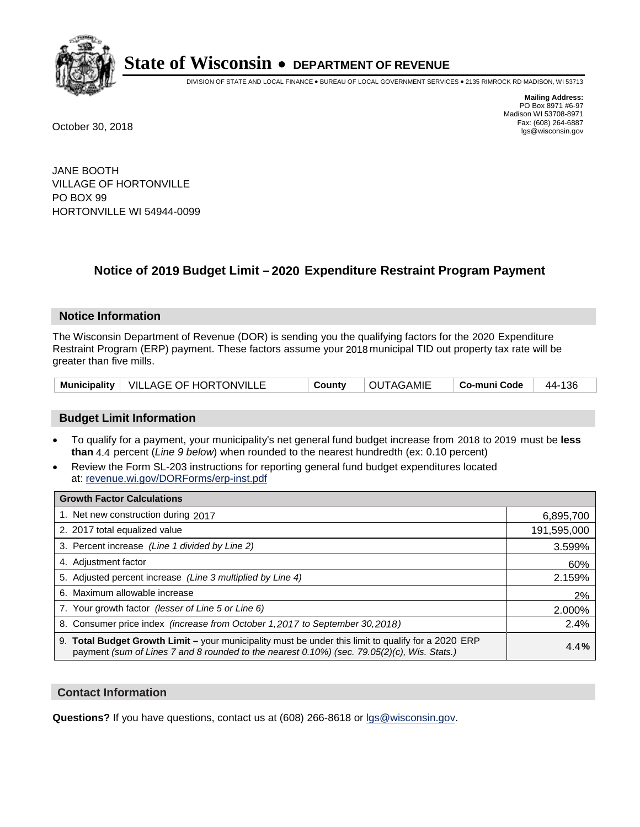

DIVISION OF STATE AND LOCAL FINANCE • BUREAU OF LOCAL GOVERNMENT SERVICES • 2135 RIMROCK RD MADISON, WI 53713

**Mailing Address:** PO Box 8971 #6-97 Madison WI 53708-8971<br>Fax: (608) 264-6887 Fax: (608) 264-6887 October 30, 2018 lgs@wisconsin.gov

JANE BOOTH VILLAGE OF HORTONVILLE PO BOX 99 HORTONVILLE WI 54944-0099

## **Notice of 2019 Budget Limit - 2020 Expenditure Restraint Program Payment**

#### **Notice Information**

The Wisconsin Department of Revenue (DOR) is sending you the qualifying factors for the 2020 Expenditure Restraint Program (ERP) payment. These factors assume your 2018 municipal TID out property tax rate will be greater than five mills.

|  | Municipality   VILLAGE OF HORTONVILLE | County | <b>OUTAGAMIE</b> | Co-muni Code   44-136 |  |
|--|---------------------------------------|--------|------------------|-----------------------|--|
|--|---------------------------------------|--------|------------------|-----------------------|--|

#### **Budget Limit Information**

- To qualify for a payment, your municipality's net general fund budget increase from 2018 to 2019 must be less **than** 4.4 percent (*Line 9 below*) when rounded to the nearest hundredth (ex: 0.10 percent)
- Review the Form SL-203 instructions for reporting general fund budget expenditures located at: revenue.wi.gov/DORForms/erp-inst.pdf

| <b>Growth Factor Calculations</b>                                                                                                                                                                      |             |
|--------------------------------------------------------------------------------------------------------------------------------------------------------------------------------------------------------|-------------|
| 1. Net new construction during 2017                                                                                                                                                                    | 6,895,700   |
| 2. 2017 total equalized value                                                                                                                                                                          | 191,595,000 |
| 3. Percent increase (Line 1 divided by Line 2)                                                                                                                                                         | 3.599%      |
| 4. Adjustment factor                                                                                                                                                                                   | 60%         |
| 5. Adjusted percent increase (Line 3 multiplied by Line 4)                                                                                                                                             | 2.159%      |
| 6. Maximum allowable increase                                                                                                                                                                          | 2%          |
| 7. Your growth factor (lesser of Line 5 or Line 6)                                                                                                                                                     | 2.000%      |
| 8. Consumer price index (increase from October 1,2017 to September 30,2018)                                                                                                                            | 2.4%        |
| 9. Total Budget Growth Limit - your municipality must be under this limit to qualify for a 2020 ERP<br>payment (sum of Lines 7 and 8 rounded to the nearest $0.10\%$ ) (sec. 79.05(2)(c), Wis. Stats.) | 4.4%        |

#### **Contact Information**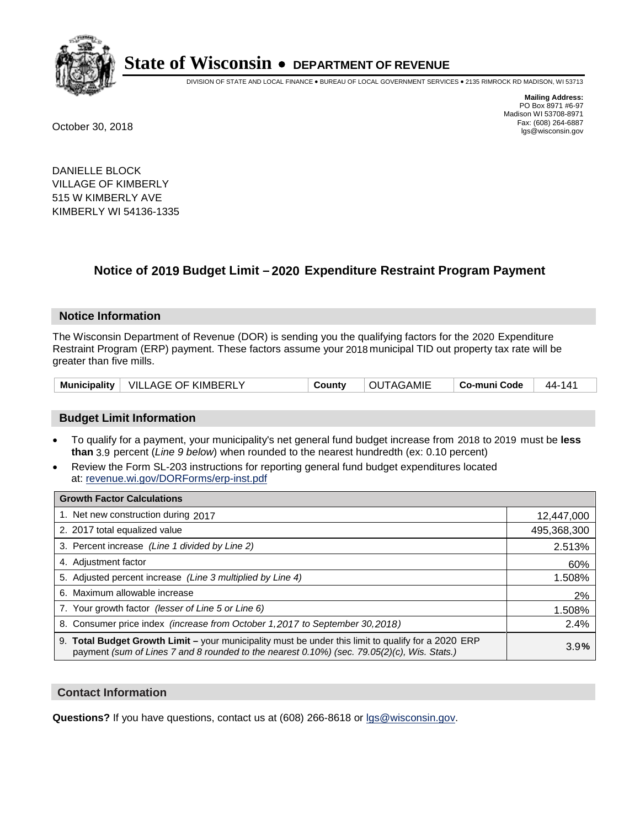

DIVISION OF STATE AND LOCAL FINANCE • BUREAU OF LOCAL GOVERNMENT SERVICES • 2135 RIMROCK RD MADISON, WI 53713

**Mailing Address:** PO Box 8971 #6-97 Madison WI 53708-8971<br>Fax: (608) 264-6887 Fax: (608) 264-6887 October 30, 2018 lgs@wisconsin.gov

DANIELLE BLOCK VILLAGE OF KIMBERLY 515 W KIMBERLY AVE KIMBERLY WI 54136-1335

### **Notice of 2019 Budget Limit - 2020 Expenditure Restraint Program Payment**

#### **Notice Information**

The Wisconsin Department of Revenue (DOR) is sending you the qualifying factors for the 2020 Expenditure Restraint Program (ERP) payment. These factors assume your 2018 municipal TID out property tax rate will be greater than five mills.

|  | Municipality   VILLAGE OF KIMBERLY | County | OUTAGAMIE | Co-muni Code | 44-141 |
|--|------------------------------------|--------|-----------|--------------|--------|
|--|------------------------------------|--------|-----------|--------------|--------|

#### **Budget Limit Information**

- To qualify for a payment, your municipality's net general fund budget increase from 2018 to 2019 must be less **than** 3.9 percent (*Line 9 below*) when rounded to the nearest hundredth (ex: 0.10 percent)
- Review the Form SL-203 instructions for reporting general fund budget expenditures located at: revenue.wi.gov/DORForms/erp-inst.pdf

| <b>Growth Factor Calculations</b>                                                                                                                                                                  |             |
|----------------------------------------------------------------------------------------------------------------------------------------------------------------------------------------------------|-------------|
| 1. Net new construction during 2017                                                                                                                                                                | 12,447,000  |
| 2. 2017 total equalized value                                                                                                                                                                      | 495,368,300 |
| 3. Percent increase (Line 1 divided by Line 2)                                                                                                                                                     | 2.513%      |
| 4. Adjustment factor                                                                                                                                                                               | 60%         |
| 5. Adjusted percent increase (Line 3 multiplied by Line 4)                                                                                                                                         | 1.508%      |
| 6. Maximum allowable increase                                                                                                                                                                      | 2%          |
| 7. Your growth factor (lesser of Line 5 or Line 6)                                                                                                                                                 | 1.508%      |
| 8. Consumer price index (increase from October 1,2017 to September 30,2018)                                                                                                                        | 2.4%        |
| 9. Total Budget Growth Limit - your municipality must be under this limit to qualify for a 2020 ERP<br>payment (sum of Lines 7 and 8 rounded to the nearest 0.10%) (sec. 79.05(2)(c), Wis. Stats.) | 3.9%        |

#### **Contact Information**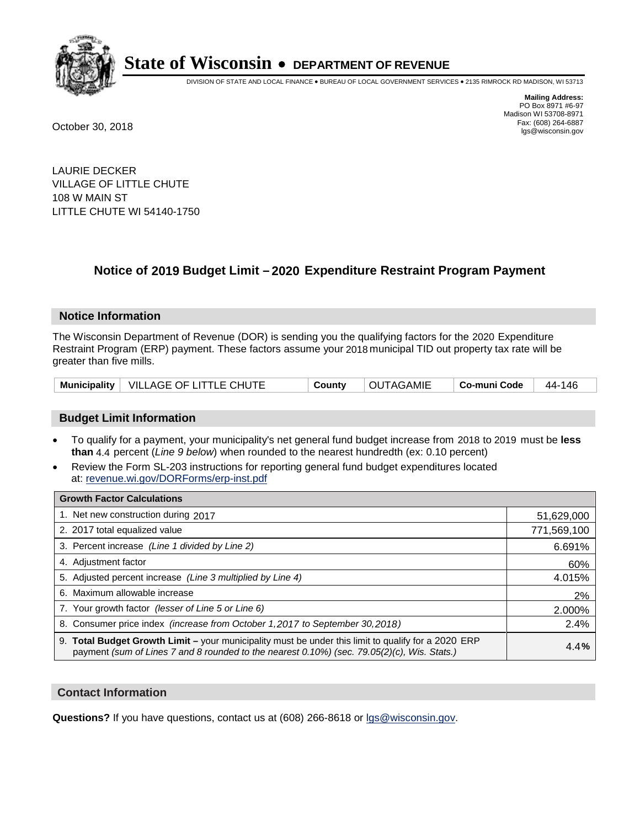

DIVISION OF STATE AND LOCAL FINANCE • BUREAU OF LOCAL GOVERNMENT SERVICES • 2135 RIMROCK RD MADISON, WI 53713

**Mailing Address:** PO Box 8971 #6-97 Madison WI 53708-8971<br>Fax: (608) 264-6887 Fax: (608) 264-6887 October 30, 2018 lgs@wisconsin.gov

LAURIE DECKER VILLAGE OF LITTLE CHUTE 108 W MAIN ST LITTLE CHUTE WI 54140-1750

### **Notice of 2019 Budget Limit - 2020 Expenditure Restraint Program Payment**

#### **Notice Information**

The Wisconsin Department of Revenue (DOR) is sending you the qualifying factors for the 2020 Expenditure Restraint Program (ERP) payment. These factors assume your 2018 municipal TID out property tax rate will be greater than five mills.

|  | Municipality   VILLAGE OF LITTLE CHUTE | County | <b>OUTAGAMIE</b> | │ Co-muni Code │ 44-146 |  |
|--|----------------------------------------|--------|------------------|-------------------------|--|
|--|----------------------------------------|--------|------------------|-------------------------|--|

#### **Budget Limit Information**

- To qualify for a payment, your municipality's net general fund budget increase from 2018 to 2019 must be less **than** 4.4 percent (*Line 9 below*) when rounded to the nearest hundredth (ex: 0.10 percent)
- Review the Form SL-203 instructions for reporting general fund budget expenditures located at: revenue.wi.gov/DORForms/erp-inst.pdf

| <b>Growth Factor Calculations</b>                                                                                                                                                                      |             |
|--------------------------------------------------------------------------------------------------------------------------------------------------------------------------------------------------------|-------------|
| 1. Net new construction during 2017                                                                                                                                                                    | 51,629,000  |
| 2. 2017 total equalized value                                                                                                                                                                          | 771,569,100 |
| 3. Percent increase (Line 1 divided by Line 2)                                                                                                                                                         | 6.691%      |
| 4. Adjustment factor                                                                                                                                                                                   | 60%         |
| 5. Adjusted percent increase (Line 3 multiplied by Line 4)                                                                                                                                             | 4.015%      |
| 6. Maximum allowable increase                                                                                                                                                                          | 2%          |
| 7. Your growth factor (lesser of Line 5 or Line 6)                                                                                                                                                     | 2.000%      |
| 8. Consumer price index (increase from October 1, 2017 to September 30, 2018)                                                                                                                          | 2.4%        |
| 9. Total Budget Growth Limit - your municipality must be under this limit to qualify for a 2020 ERP<br>payment (sum of Lines 7 and 8 rounded to the nearest $0.10\%$ ) (sec. 79.05(2)(c), Wis. Stats.) | 4.4%        |

#### **Contact Information**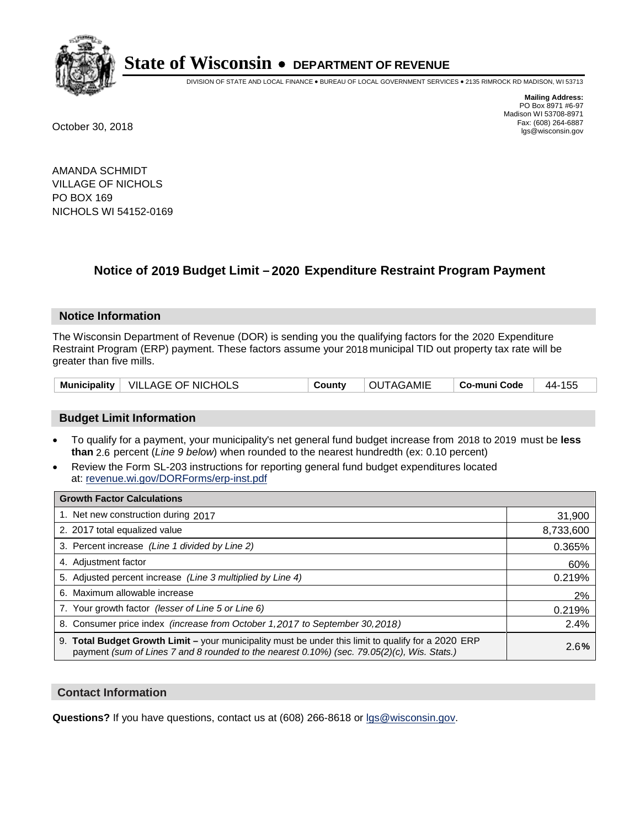

DIVISION OF STATE AND LOCAL FINANCE • BUREAU OF LOCAL GOVERNMENT SERVICES • 2135 RIMROCK RD MADISON, WI 53713

**Mailing Address:** PO Box 8971 #6-97 Madison WI 53708-8971<br>Fax: (608) 264-6887 Fax: (608) 264-6887 October 30, 2018 lgs@wisconsin.gov

AMANDA SCHMIDT VILLAGE OF NICHOLS PO BOX 169 NICHOLS WI 54152-0169

### **Notice of 2019 Budget Limit - 2020 Expenditure Restraint Program Payment**

#### **Notice Information**

The Wisconsin Department of Revenue (DOR) is sending you the qualifying factors for the 2020 Expenditure Restraint Program (ERP) payment. These factors assume your 2018 municipal TID out property tax rate will be greater than five mills.

|  | Municipality   VILLAGE OF NICHOLS | County | <b>OUTAGAMIE</b> | ∣ Co-muni Code | 44-155 |
|--|-----------------------------------|--------|------------------|----------------|--------|
|--|-----------------------------------|--------|------------------|----------------|--------|

#### **Budget Limit Information**

- To qualify for a payment, your municipality's net general fund budget increase from 2018 to 2019 must be less **than** 2.6 percent (*Line 9 below*) when rounded to the nearest hundredth (ex: 0.10 percent)
- Review the Form SL-203 instructions for reporting general fund budget expenditures located at: revenue.wi.gov/DORForms/erp-inst.pdf

| <b>Growth Factor Calculations</b>                                                                                                                                                                      |           |
|--------------------------------------------------------------------------------------------------------------------------------------------------------------------------------------------------------|-----------|
| 1. Net new construction during 2017                                                                                                                                                                    | 31,900    |
| 2. 2017 total equalized value                                                                                                                                                                          | 8,733,600 |
| 3. Percent increase (Line 1 divided by Line 2)                                                                                                                                                         | 0.365%    |
| 4. Adjustment factor                                                                                                                                                                                   | 60%       |
| 5. Adjusted percent increase (Line 3 multiplied by Line 4)                                                                                                                                             | 0.219%    |
| 6. Maximum allowable increase                                                                                                                                                                          | 2%        |
| 7. Your growth factor (lesser of Line 5 or Line 6)                                                                                                                                                     | 0.219%    |
| 8. Consumer price index (increase from October 1, 2017 to September 30, 2018)                                                                                                                          | 2.4%      |
| 9. Total Budget Growth Limit - your municipality must be under this limit to qualify for a 2020 ERP<br>payment (sum of Lines 7 and 8 rounded to the nearest $0.10\%$ ) (sec. 79.05(2)(c), Wis. Stats.) | 2.6%      |

#### **Contact Information**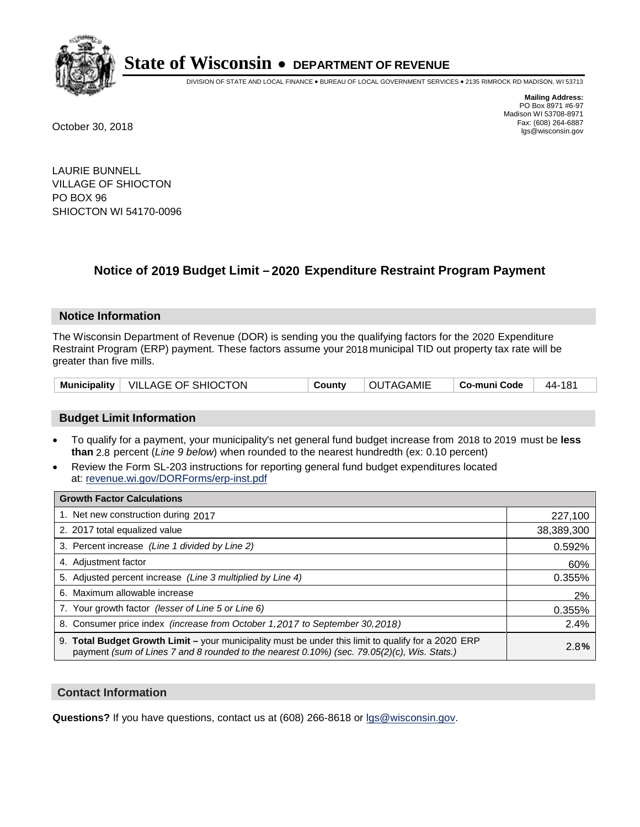

DIVISION OF STATE AND LOCAL FINANCE • BUREAU OF LOCAL GOVERNMENT SERVICES • 2135 RIMROCK RD MADISON, WI 53713

**Mailing Address:** PO Box 8971 #6-97 Madison WI 53708-8971<br>Fax: (608) 264-6887 Fax: (608) 264-6887 October 30, 2018 lgs@wisconsin.gov

LAURIE BUNNELL VILLAGE OF SHIOCTON PO BOX 96 SHIOCTON WI 54170-0096

### **Notice of 2019 Budget Limit - 2020 Expenditure Restraint Program Payment**

#### **Notice Information**

The Wisconsin Department of Revenue (DOR) is sending you the qualifying factors for the 2020 Expenditure Restraint Program (ERP) payment. These factors assume your 2018 municipal TID out property tax rate will be greater than five mills.

| Municipality   VILLAGE OF SHIOCTON<br>County | OUTAGAMIE | ∣ Co-muni Code ⊥ | $^+$ 44-181 |
|----------------------------------------------|-----------|------------------|-------------|
|----------------------------------------------|-----------|------------------|-------------|

#### **Budget Limit Information**

- To qualify for a payment, your municipality's net general fund budget increase from 2018 to 2019 must be less **than** 2.8 percent (*Line 9 below*) when rounded to the nearest hundredth (ex: 0.10 percent)
- Review the Form SL-203 instructions for reporting general fund budget expenditures located at: revenue.wi.gov/DORForms/erp-inst.pdf

| <b>Growth Factor Calculations</b>                                                                                                                                                                      |            |
|--------------------------------------------------------------------------------------------------------------------------------------------------------------------------------------------------------|------------|
| 1. Net new construction during 2017                                                                                                                                                                    | 227,100    |
| 2. 2017 total equalized value                                                                                                                                                                          | 38,389,300 |
| 3. Percent increase (Line 1 divided by Line 2)                                                                                                                                                         | 0.592%     |
| 4. Adjustment factor                                                                                                                                                                                   | 60%        |
| 5. Adjusted percent increase (Line 3 multiplied by Line 4)                                                                                                                                             | 0.355%     |
| 6. Maximum allowable increase                                                                                                                                                                          | 2%         |
| 7. Your growth factor (lesser of Line 5 or Line 6)                                                                                                                                                     | 0.355%     |
| 8. Consumer price index (increase from October 1,2017 to September 30,2018)                                                                                                                            | 2.4%       |
| 9. Total Budget Growth Limit - your municipality must be under this limit to qualify for a 2020 ERP<br>payment (sum of Lines 7 and 8 rounded to the nearest $0.10\%$ ) (sec. 79.05(2)(c), Wis. Stats.) | 2.8%       |

#### **Contact Information**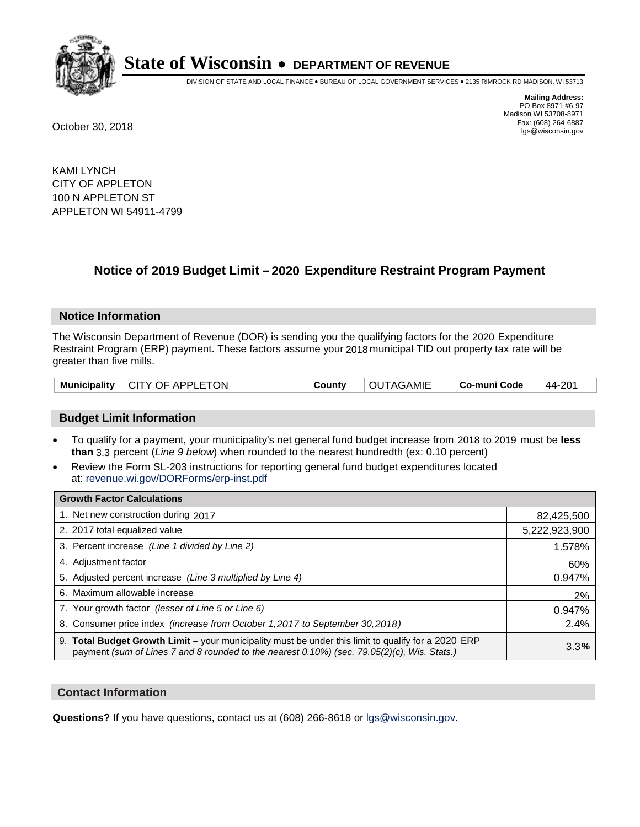

DIVISION OF STATE AND LOCAL FINANCE • BUREAU OF LOCAL GOVERNMENT SERVICES • 2135 RIMROCK RD MADISON, WI 53713

**Mailing Address:** PO Box 8971 #6-97 Madison WI 53708-8971<br>Fax: (608) 264-6887 Fax: (608) 264-6887 October 30, 2018 lgs@wisconsin.gov

KAMI LYNCH CITY OF APPLETON 100 N APPLETON ST APPLETON WI 54911-4799

## **Notice of 2019 Budget Limit - 2020 Expenditure Restraint Program Payment**

#### **Notice Information**

The Wisconsin Department of Revenue (DOR) is sending you the qualifying factors for the 2020 Expenditure Restraint Program (ERP) payment. These factors assume your 2018 municipal TID out property tax rate will be greater than five mills.

|  | Municipality   CITY OF APPLETON | County | OUTAGAMIE | ∣ Co-muni Code | 44-201 |
|--|---------------------------------|--------|-----------|----------------|--------|
|--|---------------------------------|--------|-----------|----------------|--------|

#### **Budget Limit Information**

- To qualify for a payment, your municipality's net general fund budget increase from 2018 to 2019 must be less **than** 3.3 percent (*Line 9 below*) when rounded to the nearest hundredth (ex: 0.10 percent)
- Review the Form SL-203 instructions for reporting general fund budget expenditures located at: revenue.wi.gov/DORForms/erp-inst.pdf

| <b>Growth Factor Calculations</b>                                                                                                                                                                  |               |
|----------------------------------------------------------------------------------------------------------------------------------------------------------------------------------------------------|---------------|
| 1. Net new construction during 2017                                                                                                                                                                | 82,425,500    |
| 2. 2017 total equalized value                                                                                                                                                                      | 5,222,923,900 |
| 3. Percent increase (Line 1 divided by Line 2)                                                                                                                                                     | 1.578%        |
| 4. Adjustment factor                                                                                                                                                                               | 60%           |
| 5. Adjusted percent increase (Line 3 multiplied by Line 4)                                                                                                                                         | 0.947%        |
| 6. Maximum allowable increase                                                                                                                                                                      | 2%            |
| 7. Your growth factor (lesser of Line 5 or Line 6)                                                                                                                                                 | 0.947%        |
| 8. Consumer price index (increase from October 1,2017 to September 30,2018)                                                                                                                        | 2.4%          |
| 9. Total Budget Growth Limit - your municipality must be under this limit to qualify for a 2020 ERP<br>payment (sum of Lines 7 and 8 rounded to the nearest 0.10%) (sec. 79.05(2)(c), Wis. Stats.) | 3.3%          |

#### **Contact Information**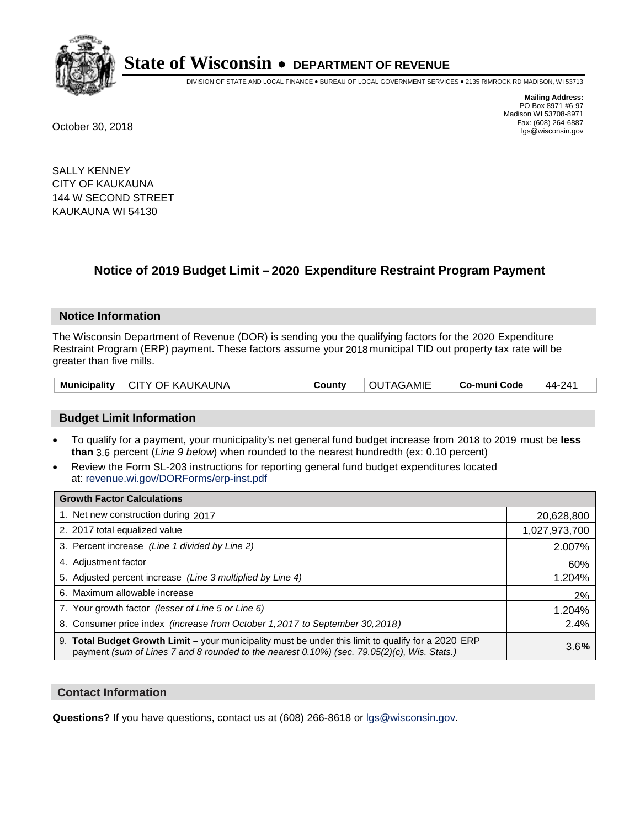

DIVISION OF STATE AND LOCAL FINANCE • BUREAU OF LOCAL GOVERNMENT SERVICES • 2135 RIMROCK RD MADISON, WI 53713

**Mailing Address:** PO Box 8971 #6-97 Madison WI 53708-8971<br>Fax: (608) 264-6887 Fax: (608) 264-6887 October 30, 2018 lgs@wisconsin.gov

SALLY KENNEY CITY OF KAUKAUNA 144 W SECOND STREET KAUKAUNA WI 54130

### **Notice of 2019 Budget Limit - 2020 Expenditure Restraint Program Payment**

#### **Notice Information**

The Wisconsin Department of Revenue (DOR) is sending you the qualifying factors for the 2020 Expenditure Restraint Program (ERP) payment. These factors assume your 2018 municipal TID out property tax rate will be greater than five mills.

| Municipality | ∣ CITY OF KAUKAUNA | County | OUTAGAMIE | Co-muni Code | 44-241 |
|--------------|--------------------|--------|-----------|--------------|--------|
|--------------|--------------------|--------|-----------|--------------|--------|

#### **Budget Limit Information**

- To qualify for a payment, your municipality's net general fund budget increase from 2018 to 2019 must be less **than** 3.6 percent (*Line 9 below*) when rounded to the nearest hundredth (ex: 0.10 percent)
- Review the Form SL-203 instructions for reporting general fund budget expenditures located at: revenue.wi.gov/DORForms/erp-inst.pdf

| <b>Growth Factor Calculations</b>                                                                                                                                                                  |               |
|----------------------------------------------------------------------------------------------------------------------------------------------------------------------------------------------------|---------------|
| 1. Net new construction during 2017                                                                                                                                                                | 20,628,800    |
| 2. 2017 total equalized value                                                                                                                                                                      | 1,027,973,700 |
| 3. Percent increase (Line 1 divided by Line 2)                                                                                                                                                     | 2.007%        |
| 4. Adjustment factor                                                                                                                                                                               | 60%           |
| 5. Adjusted percent increase (Line 3 multiplied by Line 4)                                                                                                                                         | 1.204%        |
| 6. Maximum allowable increase                                                                                                                                                                      | 2%            |
| 7. Your growth factor (lesser of Line 5 or Line 6)                                                                                                                                                 | 1.204%        |
| 8. Consumer price index (increase from October 1,2017 to September 30,2018)                                                                                                                        | 2.4%          |
| 9. Total Budget Growth Limit - your municipality must be under this limit to qualify for a 2020 ERP<br>payment (sum of Lines 7 and 8 rounded to the nearest 0.10%) (sec. 79.05(2)(c), Wis. Stats.) | 3.6%          |

#### **Contact Information**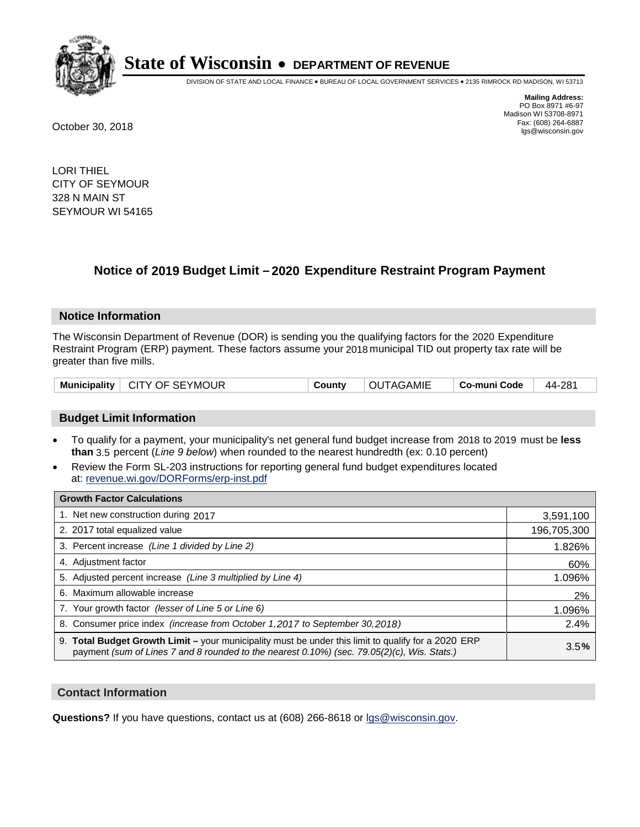

DIVISION OF STATE AND LOCAL FINANCE • BUREAU OF LOCAL GOVERNMENT SERVICES • 2135 RIMROCK RD MADISON, WI 53713

**Mailing Address:** PO Box 8971 #6-97 Madison WI 53708-8971<br>Fax: (608) 264-6887 Fax: (608) 264-6887 October 30, 2018 lgs@wisconsin.gov

LORI THIEL CITY OF SEYMOUR 328 N MAIN ST SEYMOUR WI 54165

## **Notice of 2019 Budget Limit - 2020 Expenditure Restraint Program Payment**

#### **Notice Information**

The Wisconsin Department of Revenue (DOR) is sending you the qualifying factors for the 2020 Expenditure Restraint Program (ERP) payment. These factors assume your 2018 municipal TID out property tax rate will be greater than five mills.

| Municipality   CITY OF SEYMOUR | County | OUTAGAMIE | $\vert$ Co-muni Code $\vert$ 44-281 |  |
|--------------------------------|--------|-----------|-------------------------------------|--|
|--------------------------------|--------|-----------|-------------------------------------|--|

#### **Budget Limit Information**

- To qualify for a payment, your municipality's net general fund budget increase from 2018 to 2019 must be less **than** 3.5 percent (*Line 9 below*) when rounded to the nearest hundredth (ex: 0.10 percent)
- Review the Form SL-203 instructions for reporting general fund budget expenditures located at: revenue.wi.gov/DORForms/erp-inst.pdf

| <b>Growth Factor Calculations</b>                                                                                                                                                                      |             |
|--------------------------------------------------------------------------------------------------------------------------------------------------------------------------------------------------------|-------------|
| 1. Net new construction during 2017                                                                                                                                                                    | 3,591,100   |
| 2. 2017 total equalized value                                                                                                                                                                          | 196,705,300 |
| 3. Percent increase (Line 1 divided by Line 2)                                                                                                                                                         | 1.826%      |
| 4. Adjustment factor                                                                                                                                                                                   | 60%         |
| 5. Adjusted percent increase (Line 3 multiplied by Line 4)                                                                                                                                             | 1.096%      |
| 6. Maximum allowable increase                                                                                                                                                                          | 2%          |
| 7. Your growth factor (lesser of Line 5 or Line 6)                                                                                                                                                     | 1.096%      |
| 8. Consumer price index (increase from October 1,2017 to September 30,2018)                                                                                                                            | 2.4%        |
| 9. Total Budget Growth Limit - your municipality must be under this limit to qualify for a 2020 ERP<br>payment (sum of Lines 7 and 8 rounded to the nearest $0.10\%$ ) (sec. 79.05(2)(c), Wis. Stats.) | 3.5%        |

#### **Contact Information**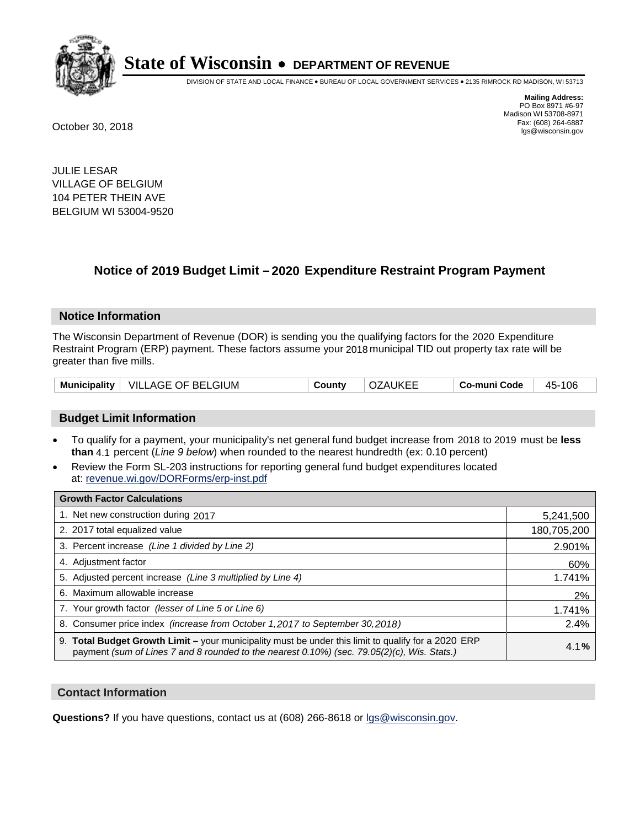

DIVISION OF STATE AND LOCAL FINANCE • BUREAU OF LOCAL GOVERNMENT SERVICES • 2135 RIMROCK RD MADISON, WI 53713

**Mailing Address:** PO Box 8971 #6-97 Madison WI 53708-8971<br>Fax: (608) 264-6887 Fax: (608) 264-6887 October 30, 2018 lgs@wisconsin.gov

JULIE LESAR VILLAGE OF BELGIUM 104 PETER THEIN AVE BELGIUM WI 53004-9520

### **Notice of 2019 Budget Limit - 2020 Expenditure Restraint Program Payment**

#### **Notice Information**

The Wisconsin Department of Revenue (DOR) is sending you the qualifying factors for the 2020 Expenditure Restraint Program (ERP) payment. These factors assume your 2018 municipal TID out property tax rate will be greater than five mills.

#### **Budget Limit Information**

- To qualify for a payment, your municipality's net general fund budget increase from 2018 to 2019 must be less **than** 4.1 percent (*Line 9 below*) when rounded to the nearest hundredth (ex: 0.10 percent)
- Review the Form SL-203 instructions for reporting general fund budget expenditures located at: revenue.wi.gov/DORForms/erp-inst.pdf

| <b>Growth Factor Calculations</b>                                                                                                                                                                  |             |
|----------------------------------------------------------------------------------------------------------------------------------------------------------------------------------------------------|-------------|
| 1. Net new construction during 2017                                                                                                                                                                | 5,241,500   |
| 2. 2017 total equalized value                                                                                                                                                                      | 180,705,200 |
| 3. Percent increase (Line 1 divided by Line 2)                                                                                                                                                     | 2.901%      |
| 4. Adjustment factor                                                                                                                                                                               | 60%         |
| 5. Adjusted percent increase (Line 3 multiplied by Line 4)                                                                                                                                         | 1.741%      |
| 6. Maximum allowable increase                                                                                                                                                                      | 2%          |
| 7. Your growth factor (lesser of Line 5 or Line 6)                                                                                                                                                 | 1.741%      |
| 8. Consumer price index (increase from October 1, 2017 to September 30, 2018)                                                                                                                      | 2.4%        |
| 9. Total Budget Growth Limit - your municipality must be under this limit to qualify for a 2020 ERP<br>payment (sum of Lines 7 and 8 rounded to the nearest 0.10%) (sec. 79.05(2)(c), Wis. Stats.) | 4.1%        |

#### **Contact Information**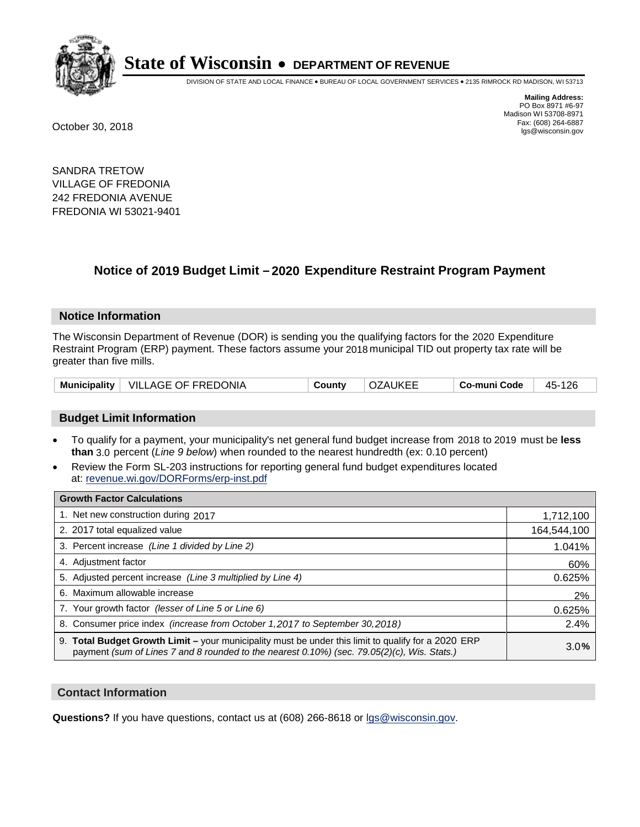

DIVISION OF STATE AND LOCAL FINANCE • BUREAU OF LOCAL GOVERNMENT SERVICES • 2135 RIMROCK RD MADISON, WI 53713

**Mailing Address:** PO Box 8971 #6-97 Madison WI 53708-8971<br>Fax: (608) 264-6887 Fax: (608) 264-6887 October 30, 2018 lgs@wisconsin.gov

SANDRA TRETOW VILLAGE OF FREDONIA 242 FREDONIA AVENUE FREDONIA WI 53021-9401

## **Notice of 2019 Budget Limit - 2020 Expenditure Restraint Program Payment**

#### **Notice Information**

The Wisconsin Department of Revenue (DOR) is sending you the qualifying factors for the 2020 Expenditure Restraint Program (ERP) payment. These factors assume your 2018 municipal TID out property tax rate will be greater than five mills.

| Municipality   VILLAGE OF FREDONIA | County | <b>OZAUKEE</b> | Co-muni Code | 45-126 |
|------------------------------------|--------|----------------|--------------|--------|
|------------------------------------|--------|----------------|--------------|--------|

#### **Budget Limit Information**

- To qualify for a payment, your municipality's net general fund budget increase from 2018 to 2019 must be less **than** 3.0 percent (*Line 9 below*) when rounded to the nearest hundredth (ex: 0.10 percent)
- Review the Form SL-203 instructions for reporting general fund budget expenditures located at: revenue.wi.gov/DORForms/erp-inst.pdf

| <b>Growth Factor Calculations</b>                                                                                                                                                                      |             |
|--------------------------------------------------------------------------------------------------------------------------------------------------------------------------------------------------------|-------------|
| 1. Net new construction during 2017                                                                                                                                                                    | 1,712,100   |
| 2. 2017 total equalized value                                                                                                                                                                          | 164,544,100 |
| 3. Percent increase (Line 1 divided by Line 2)                                                                                                                                                         | 1.041%      |
| 4. Adjustment factor                                                                                                                                                                                   | 60%         |
| 5. Adjusted percent increase (Line 3 multiplied by Line 4)                                                                                                                                             | 0.625%      |
| 6. Maximum allowable increase                                                                                                                                                                          | 2%          |
| 7. Your growth factor (lesser of Line 5 or Line 6)                                                                                                                                                     | 0.625%      |
| 8. Consumer price index (increase from October 1,2017 to September 30,2018)                                                                                                                            | 2.4%        |
| 9. Total Budget Growth Limit - your municipality must be under this limit to qualify for a 2020 ERP<br>payment (sum of Lines 7 and 8 rounded to the nearest $0.10\%$ ) (sec. 79.05(2)(c), Wis. Stats.) | 3.0%        |

#### **Contact Information**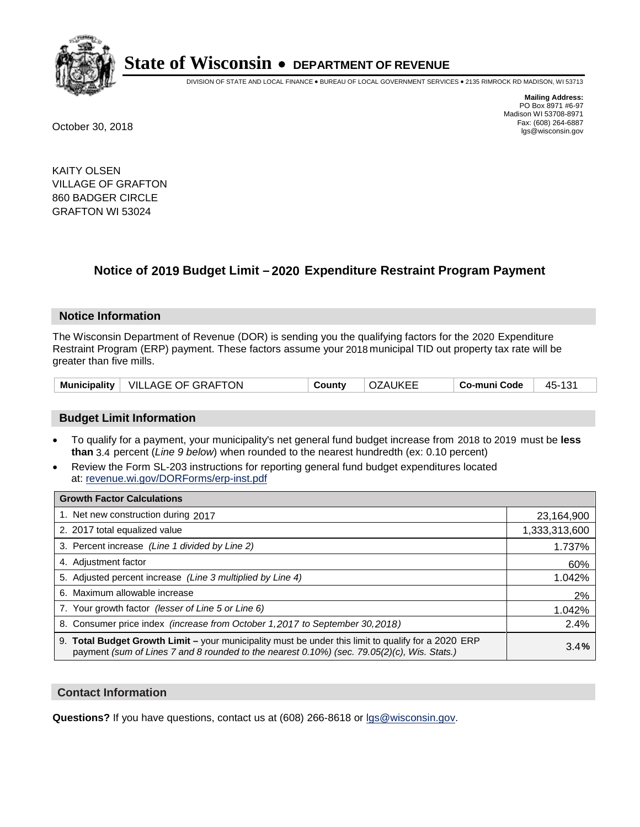

DIVISION OF STATE AND LOCAL FINANCE • BUREAU OF LOCAL GOVERNMENT SERVICES • 2135 RIMROCK RD MADISON, WI 53713

**Mailing Address:** PO Box 8971 #6-97 Madison WI 53708-8971<br>Fax: (608) 264-6887 Fax: (608) 264-6887 October 30, 2018 lgs@wisconsin.gov

KAITY OLSEN VILLAGE OF GRAFTON 860 BADGER CIRCLE GRAFTON WI 53024

### **Notice of 2019 Budget Limit - 2020 Expenditure Restraint Program Payment**

#### **Notice Information**

The Wisconsin Department of Revenue (DOR) is sending you the qualifying factors for the 2020 Expenditure Restraint Program (ERP) payment. These factors assume your 2018 municipal TID out property tax rate will be greater than five mills.

| Municipality | $^+$ VILLAGE OF GRAFTON | County | `7AUKEE_<br>$\sqrt{ }$<br>U | Co-muni Code | 101<br>45- |
|--------------|-------------------------|--------|-----------------------------|--------------|------------|
|--------------|-------------------------|--------|-----------------------------|--------------|------------|

#### **Budget Limit Information**

- To qualify for a payment, your municipality's net general fund budget increase from 2018 to 2019 must be less **than** 3.4 percent (*Line 9 below*) when rounded to the nearest hundredth (ex: 0.10 percent)
- Review the Form SL-203 instructions for reporting general fund budget expenditures located at: revenue.wi.gov/DORForms/erp-inst.pdf

| <b>Growth Factor Calculations</b>                                                                                                                                                                  |               |
|----------------------------------------------------------------------------------------------------------------------------------------------------------------------------------------------------|---------------|
| 1. Net new construction during 2017                                                                                                                                                                | 23,164,900    |
| 2. 2017 total equalized value                                                                                                                                                                      | 1,333,313,600 |
| 3. Percent increase (Line 1 divided by Line 2)                                                                                                                                                     | 1.737%        |
| 4. Adjustment factor                                                                                                                                                                               | 60%           |
| 5. Adjusted percent increase (Line 3 multiplied by Line 4)                                                                                                                                         | 1.042%        |
| 6. Maximum allowable increase                                                                                                                                                                      | 2%            |
| 7. Your growth factor (lesser of Line 5 or Line 6)                                                                                                                                                 | 1.042%        |
| 8. Consumer price index (increase from October 1, 2017 to September 30, 2018)                                                                                                                      | 2.4%          |
| 9. Total Budget Growth Limit - your municipality must be under this limit to qualify for a 2020 ERP<br>payment (sum of Lines 7 and 8 rounded to the nearest 0.10%) (sec. 79.05(2)(c), Wis. Stats.) | 3.4%          |

#### **Contact Information**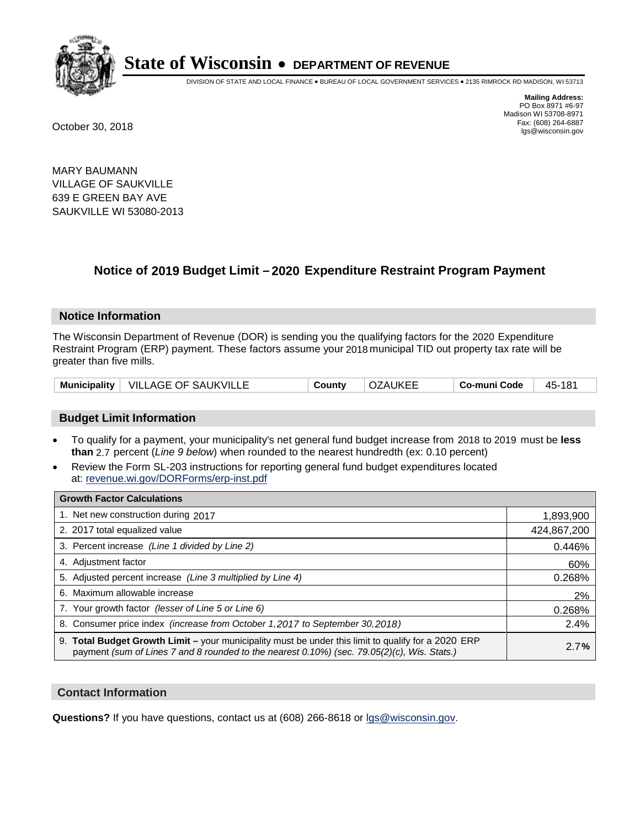

DIVISION OF STATE AND LOCAL FINANCE • BUREAU OF LOCAL GOVERNMENT SERVICES • 2135 RIMROCK RD MADISON, WI 53713

**Mailing Address:** PO Box 8971 #6-97 Madison WI 53708-8971<br>Fax: (608) 264-6887 Fax: (608) 264-6887 October 30, 2018 lgs@wisconsin.gov

MARY BAUMANN VILLAGE OF SAUKVILLE 639 E GREEN BAY AVE SAUKVILLE WI 53080-2013

### **Notice of 2019 Budget Limit - 2020 Expenditure Restraint Program Payment**

#### **Notice Information**

The Wisconsin Department of Revenue (DOR) is sending you the qualifying factors for the 2020 Expenditure Restraint Program (ERP) payment. These factors assume your 2018 municipal TID out property tax rate will be greater than five mills.

|  | Municipality   VILLAGE OF SAUKVILLE | County | <b>OZAUKEE</b> | Co-muni Code | 45-181 |
|--|-------------------------------------|--------|----------------|--------------|--------|
|--|-------------------------------------|--------|----------------|--------------|--------|

#### **Budget Limit Information**

- To qualify for a payment, your municipality's net general fund budget increase from 2018 to 2019 must be less **than** 2.7 percent (*Line 9 below*) when rounded to the nearest hundredth (ex: 0.10 percent)
- Review the Form SL-203 instructions for reporting general fund budget expenditures located at: revenue.wi.gov/DORForms/erp-inst.pdf

| <b>Growth Factor Calculations</b>                                                                                                                                                                      |             |
|--------------------------------------------------------------------------------------------------------------------------------------------------------------------------------------------------------|-------------|
| 1. Net new construction during 2017                                                                                                                                                                    | 1,893,900   |
| 2. 2017 total equalized value                                                                                                                                                                          | 424,867,200 |
| 3. Percent increase (Line 1 divided by Line 2)                                                                                                                                                         | 0.446%      |
| 4. Adjustment factor                                                                                                                                                                                   | 60%         |
| 5. Adjusted percent increase (Line 3 multiplied by Line 4)                                                                                                                                             | 0.268%      |
| 6. Maximum allowable increase                                                                                                                                                                          | 2%          |
| 7. Your growth factor (lesser of Line 5 or Line 6)                                                                                                                                                     | 0.268%      |
| 8. Consumer price index (increase from October 1,2017 to September 30,2018)                                                                                                                            | 2.4%        |
| 9. Total Budget Growth Limit - your municipality must be under this limit to qualify for a 2020 ERP<br>payment (sum of Lines 7 and 8 rounded to the nearest $0.10\%$ ) (sec. 79.05(2)(c), Wis. Stats.) | 2.7%        |

#### **Contact Information**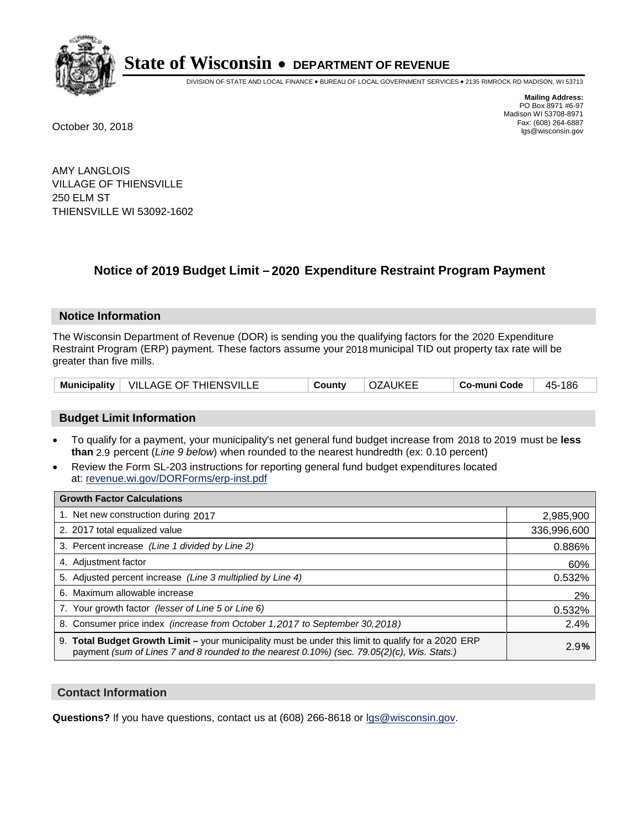

DIVISION OF STATE AND LOCAL FINANCE • BUREAU OF LOCAL GOVERNMENT SERVICES • 2135 RIMROCK RD MADISON, WI 53713

**Mailing Address:** PO Box 8971 #6-97 Madison WI 53708-8971<br>Fax: (608) 264-6887 Fax: (608) 264-6887 October 30, 2018 lgs@wisconsin.gov

AMY LANGLOIS VILLAGE OF THIENSVILLE 250 ELM ST THIENSVILLE WI 53092-1602

### **Notice of 2019 Budget Limit - 2020 Expenditure Restraint Program Payment**

#### **Notice Information**

The Wisconsin Department of Revenue (DOR) is sending you the qualifying factors for the 2020 Expenditure Restraint Program (ERP) payment. These factors assume your 2018 municipal TID out property tax rate will be greater than five mills.

|  | Municipality   VILLAGE OF THIENSVILLE | County | <b>OZAUKEE</b> | Co-muni Code | 45-186 |
|--|---------------------------------------|--------|----------------|--------------|--------|
|--|---------------------------------------|--------|----------------|--------------|--------|

#### **Budget Limit Information**

- To qualify for a payment, your municipality's net general fund budget increase from 2018 to 2019 must be less **than** 2.9 percent (*Line 9 below*) when rounded to the nearest hundredth (ex: 0.10 percent)
- Review the Form SL-203 instructions for reporting general fund budget expenditures located at: revenue.wi.gov/DORForms/erp-inst.pdf

| <b>Growth Factor Calculations</b>                                                                                                                                                                      |             |
|--------------------------------------------------------------------------------------------------------------------------------------------------------------------------------------------------------|-------------|
| 1. Net new construction during 2017                                                                                                                                                                    | 2,985,900   |
| 2. 2017 total equalized value                                                                                                                                                                          | 336,996,600 |
| 3. Percent increase (Line 1 divided by Line 2)                                                                                                                                                         | 0.886%      |
| 4. Adjustment factor                                                                                                                                                                                   | 60%         |
| 5. Adjusted percent increase (Line 3 multiplied by Line 4)                                                                                                                                             | 0.532%      |
| 6. Maximum allowable increase                                                                                                                                                                          | 2%          |
| 7. Your growth factor (lesser of Line 5 or Line 6)                                                                                                                                                     | 0.532%      |
| 8. Consumer price index (increase from October 1,2017 to September 30,2018)                                                                                                                            | 2.4%        |
| 9. Total Budget Growth Limit - your municipality must be under this limit to qualify for a 2020 ERP<br>payment (sum of Lines 7 and 8 rounded to the nearest $0.10\%$ ) (sec. 79.05(2)(c), Wis. Stats.) | 2.9%        |

#### **Contact Information**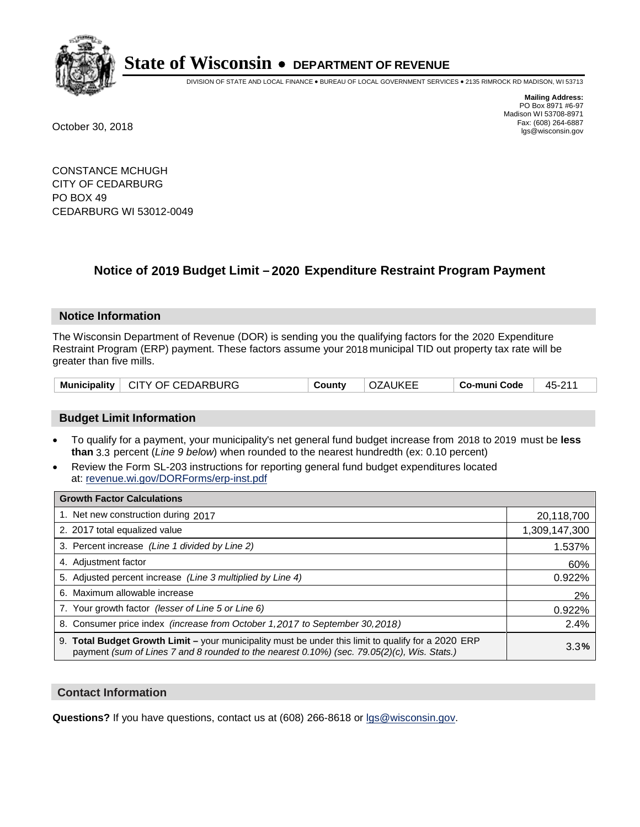

DIVISION OF STATE AND LOCAL FINANCE • BUREAU OF LOCAL GOVERNMENT SERVICES • 2135 RIMROCK RD MADISON, WI 53713

**Mailing Address:** PO Box 8971 #6-97 Madison WI 53708-8971<br>Fax: (608) 264-6887 Fax: (608) 264-6887 October 30, 2018 lgs@wisconsin.gov

CONSTANCE MCHUGH CITY OF CEDARBURG PO BOX 49 CEDARBURG WI 53012-0049

### **Notice of 2019 Budget Limit - 2020 Expenditure Restraint Program Payment**

#### **Notice Information**

The Wisconsin Department of Revenue (DOR) is sending you the qualifying factors for the 2020 Expenditure Restraint Program (ERP) payment. These factors assume your 2018 municipal TID out property tax rate will be greater than five mills.

|  | Municipality   CITY OF CEDARBURG | County | <b>OZAUKEE</b> | Co-muni Code | 45-211 |
|--|----------------------------------|--------|----------------|--------------|--------|
|--|----------------------------------|--------|----------------|--------------|--------|

#### **Budget Limit Information**

- To qualify for a payment, your municipality's net general fund budget increase from 2018 to 2019 must be less **than** 3.3 percent (*Line 9 below*) when rounded to the nearest hundredth (ex: 0.10 percent)
- Review the Form SL-203 instructions for reporting general fund budget expenditures located at: revenue.wi.gov/DORForms/erp-inst.pdf

| <b>Growth Factor Calculations</b>                                                                                                                                                                      |               |
|--------------------------------------------------------------------------------------------------------------------------------------------------------------------------------------------------------|---------------|
| 1. Net new construction during 2017                                                                                                                                                                    | 20,118,700    |
| 2. 2017 total equalized value                                                                                                                                                                          | 1,309,147,300 |
| 3. Percent increase (Line 1 divided by Line 2)                                                                                                                                                         | 1.537%        |
| 4. Adjustment factor                                                                                                                                                                                   | 60%           |
| 5. Adjusted percent increase (Line 3 multiplied by Line 4)                                                                                                                                             | 0.922%        |
| 6. Maximum allowable increase                                                                                                                                                                          | 2%            |
| 7. Your growth factor (lesser of Line 5 or Line 6)                                                                                                                                                     | 0.922%        |
| 8. Consumer price index (increase from October 1,2017 to September 30,2018)                                                                                                                            | 2.4%          |
| 9. Total Budget Growth Limit - your municipality must be under this limit to qualify for a 2020 ERP<br>payment (sum of Lines 7 and 8 rounded to the nearest $0.10\%$ ) (sec. 79.05(2)(c), Wis. Stats.) | 3.3%          |

#### **Contact Information**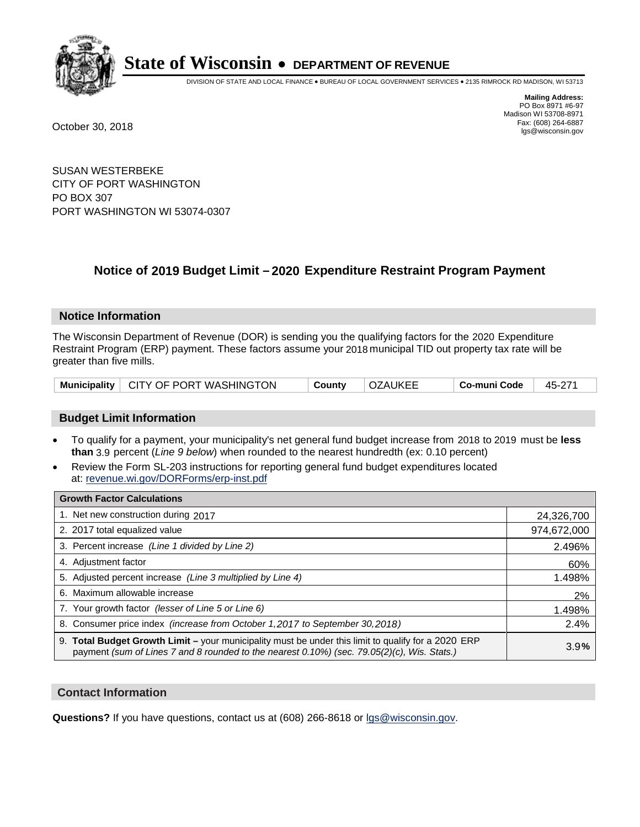

DIVISION OF STATE AND LOCAL FINANCE • BUREAU OF LOCAL GOVERNMENT SERVICES • 2135 RIMROCK RD MADISON, WI 53713

**Mailing Address:** PO Box 8971 #6-97 Madison WI 53708-8971<br>Fax: (608) 264-6887 Fax: (608) 264-6887 October 30, 2018 lgs@wisconsin.gov

SUSAN WESTERBEKE CITY OF PORT WASHINGTON PO BOX 307 PORT WASHINGTON WI 53074-0307

### **Notice of 2019 Budget Limit - 2020 Expenditure Restraint Program Payment**

#### **Notice Information**

The Wisconsin Department of Revenue (DOR) is sending you the qualifying factors for the 2020 Expenditure Restraint Program (ERP) payment. These factors assume your 2018 municipal TID out property tax rate will be greater than five mills.

| Municipality   CITY OF PORT WASHINGTON |  | County | ' OZAUKEE | Co-muni Code | 45-271 |
|----------------------------------------|--|--------|-----------|--------------|--------|
|----------------------------------------|--|--------|-----------|--------------|--------|

#### **Budget Limit Information**

- To qualify for a payment, your municipality's net general fund budget increase from 2018 to 2019 must be less **than** 3.9 percent (*Line 9 below*) when rounded to the nearest hundredth (ex: 0.10 percent)
- Review the Form SL-203 instructions for reporting general fund budget expenditures located at: revenue.wi.gov/DORForms/erp-inst.pdf

| <b>Growth Factor Calculations</b>                                                                                                                                                                  |             |
|----------------------------------------------------------------------------------------------------------------------------------------------------------------------------------------------------|-------------|
| 1. Net new construction during 2017                                                                                                                                                                | 24,326,700  |
| 2. 2017 total equalized value                                                                                                                                                                      | 974,672,000 |
| 3. Percent increase (Line 1 divided by Line 2)                                                                                                                                                     | 2.496%      |
| 4. Adjustment factor                                                                                                                                                                               | 60%         |
| 5. Adjusted percent increase (Line 3 multiplied by Line 4)                                                                                                                                         | 1.498%      |
| 6. Maximum allowable increase                                                                                                                                                                      | 2%          |
| 7. Your growth factor (lesser of Line 5 or Line 6)                                                                                                                                                 | 1.498%      |
| 8. Consumer price index (increase from October 1, 2017 to September 30, 2018)                                                                                                                      | 2.4%        |
| 9. Total Budget Growth Limit - your municipality must be under this limit to qualify for a 2020 ERP<br>payment (sum of Lines 7 and 8 rounded to the nearest 0.10%) (sec. 79.05(2)(c), Wis. Stats.) | 3.9%        |

#### **Contact Information**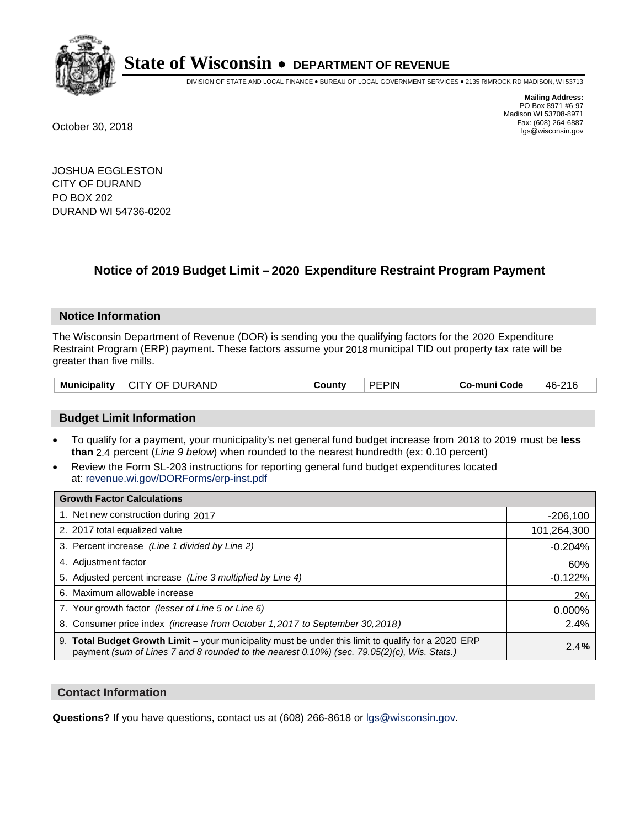

DIVISION OF STATE AND LOCAL FINANCE • BUREAU OF LOCAL GOVERNMENT SERVICES • 2135 RIMROCK RD MADISON, WI 53713

**Mailing Address:** PO Box 8971 #6-97 Madison WI 53708-8971<br>Fax: (608) 264-6887 Fax: (608) 264-6887 October 30, 2018 lgs@wisconsin.gov

JOSHUA EGGLESTON CITY OF DURAND PO BOX 202 DURAND WI 54736-0202

## **Notice of 2019 Budget Limit - 2020 Expenditure Restraint Program Payment**

#### **Notice Information**

The Wisconsin Department of Revenue (DOR) is sending you the qualifying factors for the 2020 Expenditure Restraint Program (ERP) payment. These factors assume your 2018 municipal TID out property tax rate will be greater than five mills.

| CITY OF DURAND<br><b>Municipality</b> | County | <b>PEPIN</b> | Co-muni Code | 46-216 |
|---------------------------------------|--------|--------------|--------------|--------|
|---------------------------------------|--------|--------------|--------------|--------|

#### **Budget Limit Information**

- To qualify for a payment, your municipality's net general fund budget increase from 2018 to 2019 must be less **than** 2.4 percent (*Line 9 below*) when rounded to the nearest hundredth (ex: 0.10 percent)
- Review the Form SL-203 instructions for reporting general fund budget expenditures located at: revenue.wi.gov/DORForms/erp-inst.pdf

| <b>Growth Factor Calculations</b>                                                                                                                                                                  |             |
|----------------------------------------------------------------------------------------------------------------------------------------------------------------------------------------------------|-------------|
| 1. Net new construction during 2017                                                                                                                                                                | $-206,100$  |
| 2. 2017 total equalized value                                                                                                                                                                      | 101,264,300 |
| 3. Percent increase (Line 1 divided by Line 2)                                                                                                                                                     | $-0.204%$   |
| 4. Adjustment factor                                                                                                                                                                               | 60%         |
| 5. Adjusted percent increase (Line 3 multiplied by Line 4)                                                                                                                                         | $-0.122%$   |
| 6. Maximum allowable increase                                                                                                                                                                      | 2%          |
| 7. Your growth factor (lesser of Line 5 or Line 6)                                                                                                                                                 | 0.000%      |
| 8. Consumer price index (increase from October 1, 2017 to September 30, 2018)                                                                                                                      | 2.4%        |
| 9. Total Budget Growth Limit – your municipality must be under this limit to qualify for a 2020 ERP<br>payment (sum of Lines 7 and 8 rounded to the nearest 0.10%) (sec. 79.05(2)(c), Wis. Stats.) | 2.4%        |

#### **Contact Information**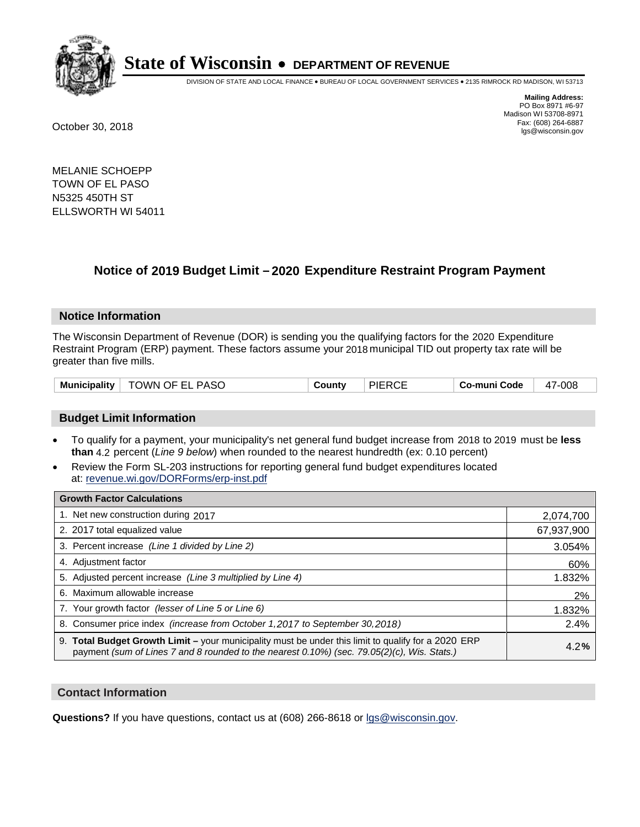

DIVISION OF STATE AND LOCAL FINANCE • BUREAU OF LOCAL GOVERNMENT SERVICES • 2135 RIMROCK RD MADISON, WI 53713

**Mailing Address:** PO Box 8971 #6-97 Madison WI 53708-8971<br>Fax: (608) 264-6887 Fax: (608) 264-6887 October 30, 2018 lgs@wisconsin.gov

MELANIE SCHOEPP TOWN OF EL PASO N5325 450TH ST ELLSWORTH WI 54011

## **Notice of 2019 Budget Limit - 2020 Expenditure Restraint Program Payment**

#### **Notice Information**

The Wisconsin Department of Revenue (DOR) is sending you the qualifying factors for the 2020 Expenditure Restraint Program (ERP) payment. These factors assume your 2018 municipal TID out property tax rate will be greater than five mills.

| Municipality   TOWN OF EL PASO | Countv | <b>PIERCE</b> | Co-muni Code | 47-008 |
|--------------------------------|--------|---------------|--------------|--------|
|--------------------------------|--------|---------------|--------------|--------|

#### **Budget Limit Information**

- To qualify for a payment, your municipality's net general fund budget increase from 2018 to 2019 must be less **than** 4.2 percent (*Line 9 below*) when rounded to the nearest hundredth (ex: 0.10 percent)
- Review the Form SL-203 instructions for reporting general fund budget expenditures located at: revenue.wi.gov/DORForms/erp-inst.pdf

| <b>Growth Factor Calculations</b>                                                                                                                                                                      |            |
|--------------------------------------------------------------------------------------------------------------------------------------------------------------------------------------------------------|------------|
| 1. Net new construction during 2017                                                                                                                                                                    | 2,074,700  |
| 2. 2017 total equalized value                                                                                                                                                                          | 67,937,900 |
| 3. Percent increase (Line 1 divided by Line 2)                                                                                                                                                         | 3.054%     |
| 4. Adjustment factor                                                                                                                                                                                   | 60%        |
| 5. Adjusted percent increase (Line 3 multiplied by Line 4)                                                                                                                                             | 1.832%     |
| 6. Maximum allowable increase                                                                                                                                                                          | 2%         |
| 7. Your growth factor (lesser of Line 5 or Line 6)                                                                                                                                                     | 1.832%     |
| 8. Consumer price index (increase from October 1, 2017 to September 30, 2018)                                                                                                                          | 2.4%       |
| 9. Total Budget Growth Limit - your municipality must be under this limit to qualify for a 2020 ERP<br>payment (sum of Lines 7 and 8 rounded to the nearest $0.10\%$ ) (sec. 79.05(2)(c), Wis. Stats.) | 4.2%       |

#### **Contact Information**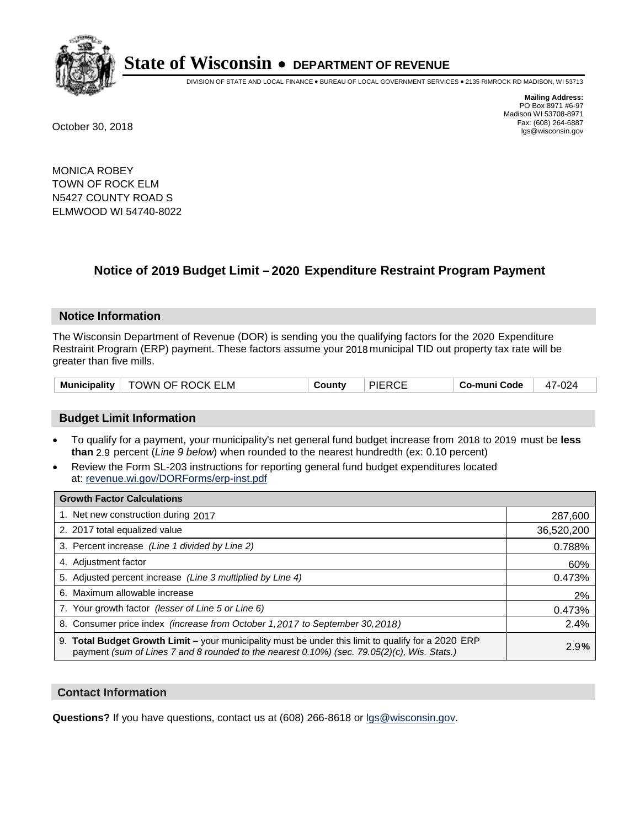

DIVISION OF STATE AND LOCAL FINANCE • BUREAU OF LOCAL GOVERNMENT SERVICES • 2135 RIMROCK RD MADISON, WI 53713

**Mailing Address:** PO Box 8971 #6-97 Madison WI 53708-8971<br>Fax: (608) 264-6887 Fax: (608) 264-6887 October 30, 2018 lgs@wisconsin.gov

MONICA ROBEY TOWN OF ROCK ELM N5427 COUNTY ROAD S ELMWOOD WI 54740-8022

## **Notice of 2019 Budget Limit - 2020 Expenditure Restraint Program Payment**

#### **Notice Information**

The Wisconsin Department of Revenue (DOR) is sending you the qualifying factors for the 2020 Expenditure Restraint Program (ERP) payment. These factors assume your 2018 municipal TID out property tax rate will be greater than five mills.

| Municipality   TOWN OF ROCK ELM |  | County | <b>PIERCE</b> | Co-muni Code | 47-024 |
|---------------------------------|--|--------|---------------|--------------|--------|
|---------------------------------|--|--------|---------------|--------------|--------|

#### **Budget Limit Information**

- To qualify for a payment, your municipality's net general fund budget increase from 2018 to 2019 must be less **than** 2.9 percent (*Line 9 below*) when rounded to the nearest hundredth (ex: 0.10 percent)
- Review the Form SL-203 instructions for reporting general fund budget expenditures located at: revenue.wi.gov/DORForms/erp-inst.pdf

| <b>Growth Factor Calculations</b>                                                                                                                                                                      |            |
|--------------------------------------------------------------------------------------------------------------------------------------------------------------------------------------------------------|------------|
| 1. Net new construction during 2017                                                                                                                                                                    | 287,600    |
| 2. 2017 total equalized value                                                                                                                                                                          | 36,520,200 |
| 3. Percent increase (Line 1 divided by Line 2)                                                                                                                                                         | 0.788%     |
| 4. Adjustment factor                                                                                                                                                                                   | 60%        |
| 5. Adjusted percent increase (Line 3 multiplied by Line 4)                                                                                                                                             | 0.473%     |
| 6. Maximum allowable increase                                                                                                                                                                          | 2%         |
| 7. Your growth factor (lesser of Line 5 or Line 6)                                                                                                                                                     | 0.473%     |
| 8. Consumer price index (increase from October 1, 2017 to September 30, 2018)                                                                                                                          | 2.4%       |
| 9. Total Budget Growth Limit - your municipality must be under this limit to qualify for a 2020 ERP<br>payment (sum of Lines 7 and 8 rounded to the nearest $0.10\%$ ) (sec. 79.05(2)(c), Wis. Stats.) | 2.9%       |

#### **Contact Information**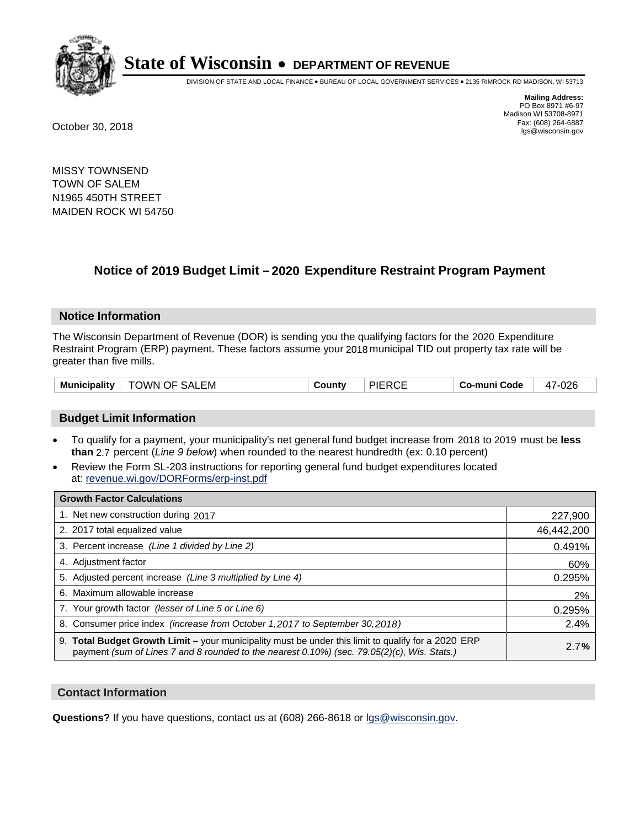

DIVISION OF STATE AND LOCAL FINANCE • BUREAU OF LOCAL GOVERNMENT SERVICES • 2135 RIMROCK RD MADISON, WI 53713

**Mailing Address:** PO Box 8971 #6-97 Madison WI 53708-8971<br>Fax: (608) 264-6887 Fax: (608) 264-6887 October 30, 2018 lgs@wisconsin.gov

MISSY TOWNSEND TOWN OF SALEM N1965 450TH STREET MAIDEN ROCK WI 54750

### **Notice of 2019 Budget Limit - 2020 Expenditure Restraint Program Payment**

#### **Notice Information**

The Wisconsin Department of Revenue (DOR) is sending you the qualifying factors for the 2020 Expenditure Restraint Program (ERP) payment. These factors assume your 2018 municipal TID out property tax rate will be greater than five mills.

#### **Budget Limit Information**

- To qualify for a payment, your municipality's net general fund budget increase from 2018 to 2019 must be less **than** 2.7 percent (*Line 9 below*) when rounded to the nearest hundredth (ex: 0.10 percent)
- Review the Form SL-203 instructions for reporting general fund budget expenditures located at: revenue.wi.gov/DORForms/erp-inst.pdf

| <b>Growth Factor Calculations</b>                                                                                                                                                                  |            |
|----------------------------------------------------------------------------------------------------------------------------------------------------------------------------------------------------|------------|
| 1. Net new construction during 2017                                                                                                                                                                | 227,900    |
| 2. 2017 total equalized value                                                                                                                                                                      | 46,442,200 |
| 3. Percent increase (Line 1 divided by Line 2)                                                                                                                                                     | 0.491%     |
| 4. Adjustment factor                                                                                                                                                                               | 60%        |
| 5. Adjusted percent increase (Line 3 multiplied by Line 4)                                                                                                                                         | 0.295%     |
| 6. Maximum allowable increase                                                                                                                                                                      | 2%         |
| 7. Your growth factor (lesser of Line 5 or Line 6)                                                                                                                                                 | 0.295%     |
| 8. Consumer price index (increase from October 1, 2017 to September 30, 2018)                                                                                                                      | 2.4%       |
| 9. Total Budget Growth Limit - your municipality must be under this limit to qualify for a 2020 ERP<br>payment (sum of Lines 7 and 8 rounded to the nearest 0.10%) (sec. 79.05(2)(c), Wis. Stats.) | 2.7%       |

#### **Contact Information**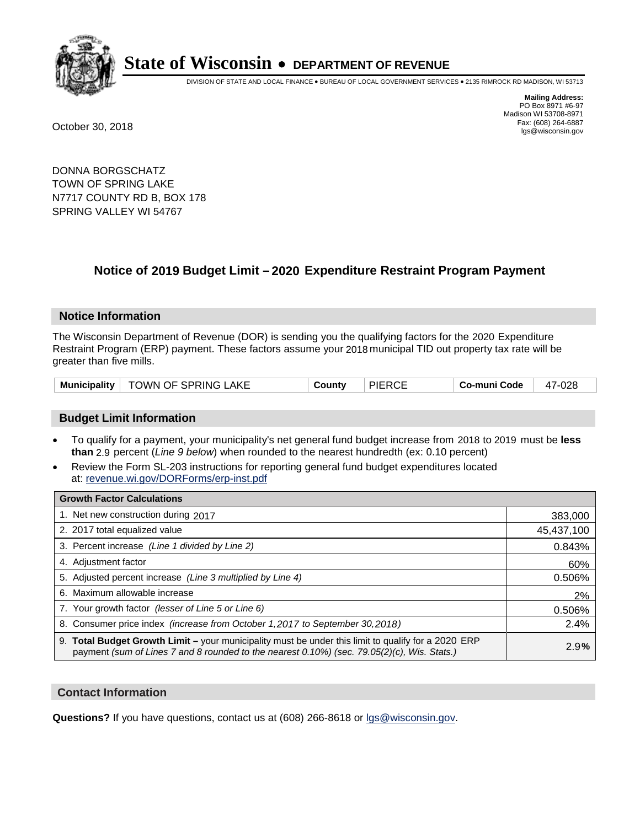

DIVISION OF STATE AND LOCAL FINANCE • BUREAU OF LOCAL GOVERNMENT SERVICES • 2135 RIMROCK RD MADISON, WI 53713

**Mailing Address:** PO Box 8971 #6-97 Madison WI 53708-8971<br>Fax: (608) 264-6887 Fax: (608) 264-6887 October 30, 2018 lgs@wisconsin.gov

DONNA BORGSCHATZ TOWN OF SPRING LAKE N7717 COUNTY RD B, BOX 178 SPRING VALLEY WI 54767

### **Notice of 2019 Budget Limit - 2020 Expenditure Restraint Program Payment**

#### **Notice Information**

The Wisconsin Department of Revenue (DOR) is sending you the qualifying factors for the 2020 Expenditure Restraint Program (ERP) payment. These factors assume your 2018 municipal TID out property tax rate will be greater than five mills.

|  | Municipality   TOWN OF SPRING LAKE | County | <b>PIERCE</b> | Co-muni Code | 47-028 |
|--|------------------------------------|--------|---------------|--------------|--------|
|--|------------------------------------|--------|---------------|--------------|--------|

#### **Budget Limit Information**

- To qualify for a payment, your municipality's net general fund budget increase from 2018 to 2019 must be less **than** 2.9 percent (*Line 9 below*) when rounded to the nearest hundredth (ex: 0.10 percent)
- Review the Form SL-203 instructions for reporting general fund budget expenditures located at: revenue.wi.gov/DORForms/erp-inst.pdf

| <b>Growth Factor Calculations</b>                                                                                                                                                                  |            |
|----------------------------------------------------------------------------------------------------------------------------------------------------------------------------------------------------|------------|
| 1. Net new construction during 2017                                                                                                                                                                | 383,000    |
| 2. 2017 total equalized value                                                                                                                                                                      | 45,437,100 |
| 3. Percent increase (Line 1 divided by Line 2)                                                                                                                                                     | 0.843%     |
| 4. Adjustment factor                                                                                                                                                                               | 60%        |
| 5. Adjusted percent increase (Line 3 multiplied by Line 4)                                                                                                                                         | 0.506%     |
| 6. Maximum allowable increase                                                                                                                                                                      | 2%         |
| 7. Your growth factor (lesser of Line 5 or Line 6)                                                                                                                                                 | 0.506%     |
| 8. Consumer price index (increase from October 1, 2017 to September 30, 2018)                                                                                                                      | 2.4%       |
| 9. Total Budget Growth Limit - your municipality must be under this limit to qualify for a 2020 ERP<br>payment (sum of Lines 7 and 8 rounded to the nearest 0.10%) (sec. 79.05(2)(c), Wis. Stats.) | 2.9%       |

#### **Contact Information**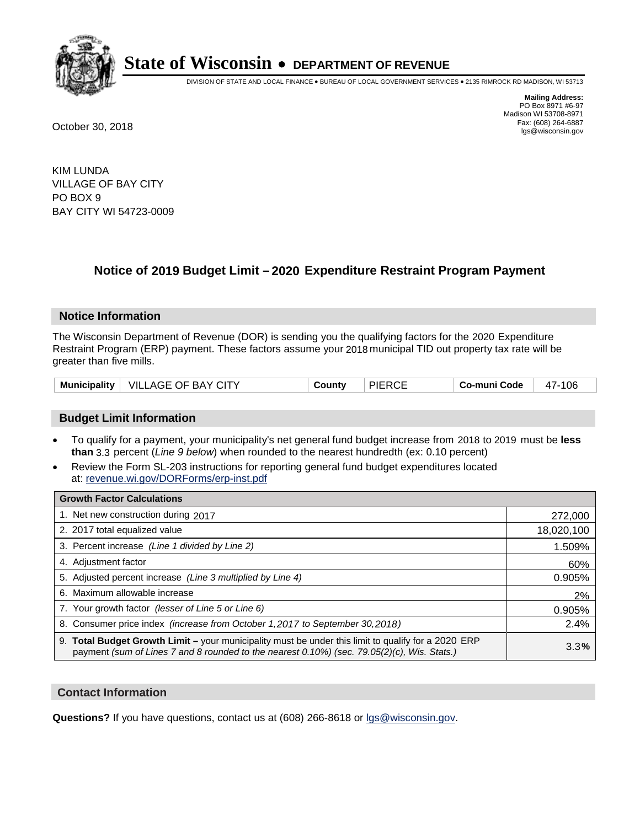

DIVISION OF STATE AND LOCAL FINANCE • BUREAU OF LOCAL GOVERNMENT SERVICES • 2135 RIMROCK RD MADISON, WI 53713

**Mailing Address:** PO Box 8971 #6-97 Madison WI 53708-8971<br>Fax: (608) 264-6887 Fax: (608) 264-6887 October 30, 2018 lgs@wisconsin.gov

KIM LUNDA VILLAGE OF BAY CITY PO BOX 9 BAY CITY WI 54723-0009

### **Notice of 2019 Budget Limit - 2020 Expenditure Restraint Program Payment**

#### **Notice Information**

The Wisconsin Department of Revenue (DOR) is sending you the qualifying factors for the 2020 Expenditure Restraint Program (ERP) payment. These factors assume your 2018 municipal TID out property tax rate will be greater than five mills.

|  | Municipality   VILLAGE OF BAY CITY | County | <b>PIERCE</b> | Co-muni Code | 106<br>47- |
|--|------------------------------------|--------|---------------|--------------|------------|
|--|------------------------------------|--------|---------------|--------------|------------|

#### **Budget Limit Information**

- To qualify for a payment, your municipality's net general fund budget increase from 2018 to 2019 must be less **than** 3.3 percent (*Line 9 below*) when rounded to the nearest hundredth (ex: 0.10 percent)
- Review the Form SL-203 instructions for reporting general fund budget expenditures located at: revenue.wi.gov/DORForms/erp-inst.pdf

| <b>Growth Factor Calculations</b>                                                                                                                                                                      |            |
|--------------------------------------------------------------------------------------------------------------------------------------------------------------------------------------------------------|------------|
| 1. Net new construction during 2017                                                                                                                                                                    | 272,000    |
| 2. 2017 total equalized value                                                                                                                                                                          | 18,020,100 |
| 3. Percent increase (Line 1 divided by Line 2)                                                                                                                                                         | 1.509%     |
| 4. Adjustment factor                                                                                                                                                                                   | 60%        |
| 5. Adjusted percent increase (Line 3 multiplied by Line 4)                                                                                                                                             | 0.905%     |
| 6. Maximum allowable increase                                                                                                                                                                          | 2%         |
| 7. Your growth factor (lesser of Line 5 or Line 6)                                                                                                                                                     | 0.905%     |
| 8. Consumer price index (increase from October 1,2017 to September 30,2018)                                                                                                                            | 2.4%       |
| 9. Total Budget Growth Limit - your municipality must be under this limit to qualify for a 2020 ERP<br>payment (sum of Lines 7 and 8 rounded to the nearest $0.10\%$ ) (sec. 79.05(2)(c), Wis. Stats.) | 3.3%       |

#### **Contact Information**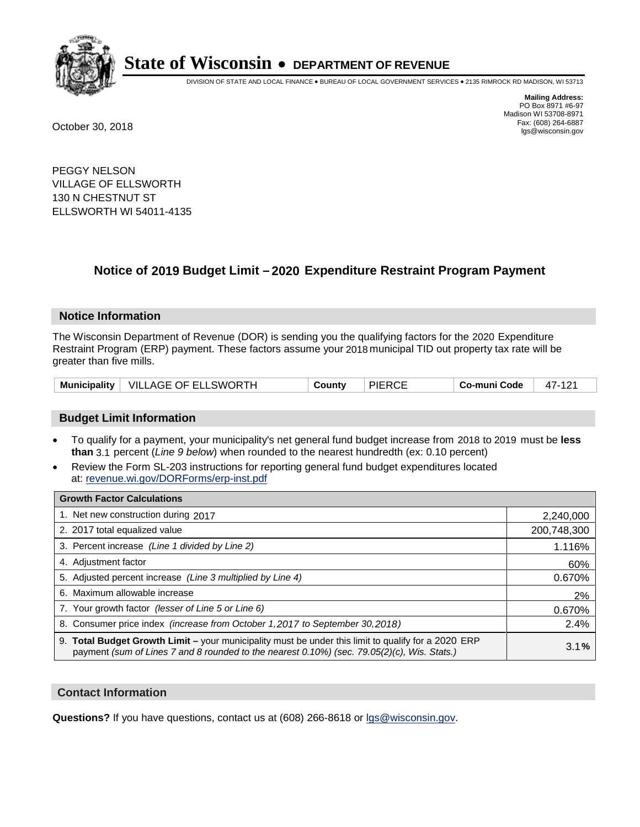

DIVISION OF STATE AND LOCAL FINANCE • BUREAU OF LOCAL GOVERNMENT SERVICES • 2135 RIMROCK RD MADISON, WI 53713

**Mailing Address:** PO Box 8971 #6-97 Madison WI 53708-8971<br>Fax: (608) 264-6887 Fax: (608) 264-6887 October 30, 2018 lgs@wisconsin.gov

PEGGY NELSON VILLAGE OF ELLSWORTH 130 N CHESTNUT ST ELLSWORTH WI 54011-4135

### **Notice of 2019 Budget Limit - 2020 Expenditure Restraint Program Payment**

#### **Notice Information**

The Wisconsin Department of Revenue (DOR) is sending you the qualifying factors for the 2020 Expenditure Restraint Program (ERP) payment. These factors assume your 2018 municipal TID out property tax rate will be greater than five mills.

| <b>Municipality</b> | $\mid$ VILLAGE OF ELLSWORTH | County | <b>PIERCE</b> | Co-muni Code | 47-121 |
|---------------------|-----------------------------|--------|---------------|--------------|--------|
|---------------------|-----------------------------|--------|---------------|--------------|--------|

#### **Budget Limit Information**

- To qualify for a payment, your municipality's net general fund budget increase from 2018 to 2019 must be less **than** 3.1 percent (*Line 9 below*) when rounded to the nearest hundredth (ex: 0.10 percent)
- Review the Form SL-203 instructions for reporting general fund budget expenditures located at: revenue.wi.gov/DORForms/erp-inst.pdf

| <b>Growth Factor Calculations</b>                                                                                                                                                                      |             |
|--------------------------------------------------------------------------------------------------------------------------------------------------------------------------------------------------------|-------------|
| 1. Net new construction during 2017                                                                                                                                                                    | 2,240,000   |
| 2. 2017 total equalized value                                                                                                                                                                          | 200,748,300 |
| 3. Percent increase (Line 1 divided by Line 2)                                                                                                                                                         | 1.116%      |
| 4. Adjustment factor                                                                                                                                                                                   | 60%         |
| 5. Adjusted percent increase (Line 3 multiplied by Line 4)                                                                                                                                             | 0.670%      |
| 6. Maximum allowable increase                                                                                                                                                                          | 2%          |
| 7. Your growth factor (lesser of Line 5 or Line 6)                                                                                                                                                     | 0.670%      |
| 8. Consumer price index (increase from October 1, 2017 to September 30, 2018)                                                                                                                          | 2.4%        |
| 9. Total Budget Growth Limit - your municipality must be under this limit to qualify for a 2020 ERP<br>payment (sum of Lines 7 and 8 rounded to the nearest $0.10\%$ ) (sec. 79.05(2)(c), Wis. Stats.) | 3.1%        |

#### **Contact Information**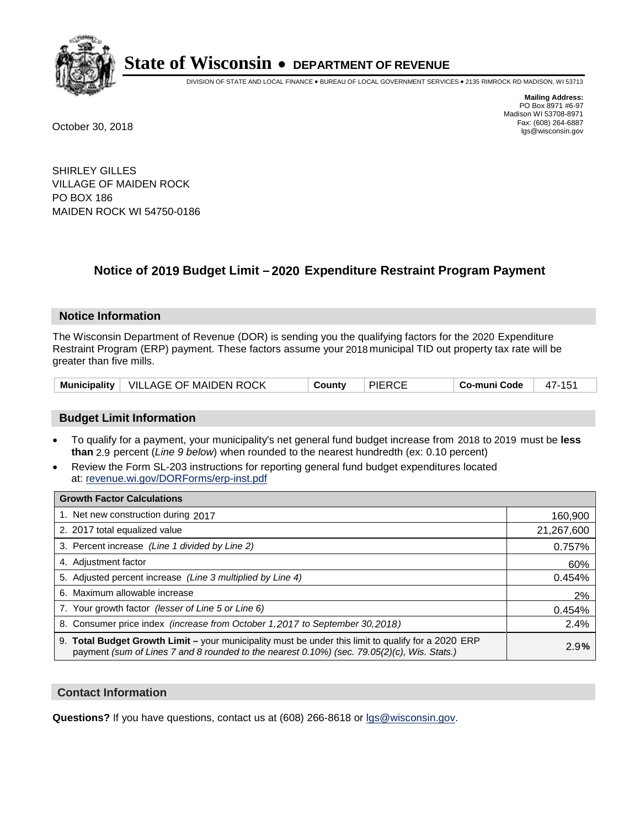

DIVISION OF STATE AND LOCAL FINANCE • BUREAU OF LOCAL GOVERNMENT SERVICES • 2135 RIMROCK RD MADISON, WI 53713

**Mailing Address:** PO Box 8971 #6-97 Madison WI 53708-8971<br>Fax: (608) 264-6887 Fax: (608) 264-6887 October 30, 2018 lgs@wisconsin.gov

SHIRLEY GILLES VILLAGE OF MAIDEN ROCK PO BOX 186 MAIDEN ROCK WI 54750-0186

### **Notice of 2019 Budget Limit - 2020 Expenditure Restraint Program Payment**

#### **Notice Information**

The Wisconsin Department of Revenue (DOR) is sending you the qualifying factors for the 2020 Expenditure Restraint Program (ERP) payment. These factors assume your 2018 municipal TID out property tax rate will be greater than five mills.

|  | Municipality   VILLAGE OF MAIDEN ROCK | County | <b>PIERCE</b> | Co-muni Code | 47-151 |
|--|---------------------------------------|--------|---------------|--------------|--------|
|--|---------------------------------------|--------|---------------|--------------|--------|

#### **Budget Limit Information**

- To qualify for a payment, your municipality's net general fund budget increase from 2018 to 2019 must be less **than** 2.9 percent (*Line 9 below*) when rounded to the nearest hundredth (ex: 0.10 percent)
- Review the Form SL-203 instructions for reporting general fund budget expenditures located at: revenue.wi.gov/DORForms/erp-inst.pdf

| <b>Growth Factor Calculations</b>                                                                                                                                                                      |            |
|--------------------------------------------------------------------------------------------------------------------------------------------------------------------------------------------------------|------------|
| 1. Net new construction during 2017                                                                                                                                                                    | 160,900    |
| 2. 2017 total equalized value                                                                                                                                                                          | 21,267,600 |
| 3. Percent increase (Line 1 divided by Line 2)                                                                                                                                                         | 0.757%     |
| 4. Adjustment factor                                                                                                                                                                                   | 60%        |
| 5. Adjusted percent increase (Line 3 multiplied by Line 4)                                                                                                                                             | 0.454%     |
| 6. Maximum allowable increase                                                                                                                                                                          | 2%         |
| 7. Your growth factor (lesser of Line 5 or Line 6)                                                                                                                                                     | 0.454%     |
| 8. Consumer price index (increase from October 1,2017 to September 30,2018)                                                                                                                            | 2.4%       |
| 9. Total Budget Growth Limit - your municipality must be under this limit to qualify for a 2020 ERP<br>payment (sum of Lines 7 and 8 rounded to the nearest $0.10\%$ ) (sec. 79.05(2)(c), Wis. Stats.) | 2.9%       |

#### **Contact Information**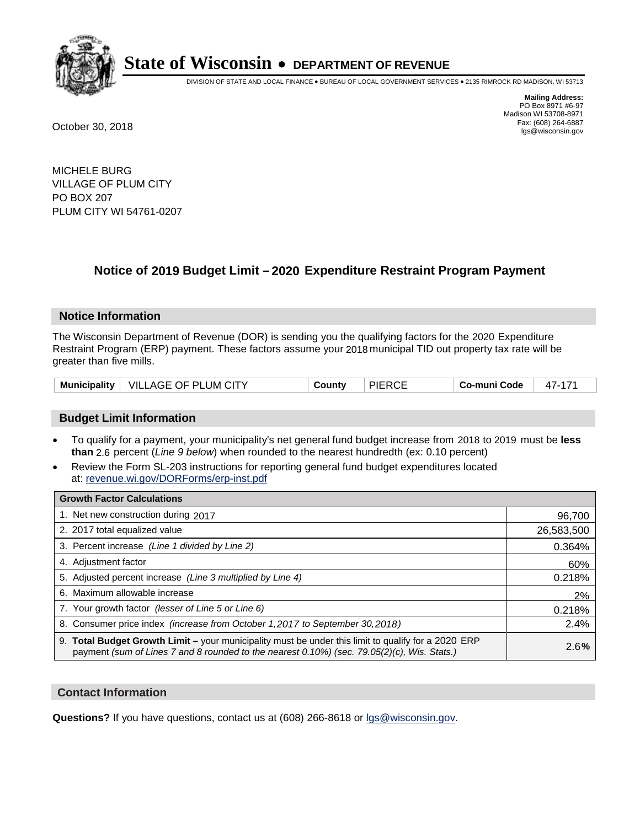

DIVISION OF STATE AND LOCAL FINANCE • BUREAU OF LOCAL GOVERNMENT SERVICES • 2135 RIMROCK RD MADISON, WI 53713

**Mailing Address:** PO Box 8971 #6-97 Madison WI 53708-8971<br>Fax: (608) 264-6887 Fax: (608) 264-6887 October 30, 2018 lgs@wisconsin.gov

MICHELE BURG VILLAGE OF PLUM CITY PO BOX 207 PLUM CITY WI 54761-0207

### **Notice of 2019 Budget Limit - 2020 Expenditure Restraint Program Payment**

#### **Notice Information**

The Wisconsin Department of Revenue (DOR) is sending you the qualifying factors for the 2020 Expenditure Restraint Program (ERP) payment. These factors assume your 2018 municipal TID out property tax rate will be greater than five mills.

| <b>Municipality</b> | $\mid$ VILLAGE OF PLUM CITY | County | <b>PIERCE</b> | Co-muni Code |  |
|---------------------|-----------------------------|--------|---------------|--------------|--|
|---------------------|-----------------------------|--------|---------------|--------------|--|

#### **Budget Limit Information**

- To qualify for a payment, your municipality's net general fund budget increase from 2018 to 2019 must be less **than** 2.6 percent (*Line 9 below*) when rounded to the nearest hundredth (ex: 0.10 percent)
- Review the Form SL-203 instructions for reporting general fund budget expenditures located at: revenue.wi.gov/DORForms/erp-inst.pdf

| <b>Growth Factor Calculations</b>                                                                                                                                                                  |            |
|----------------------------------------------------------------------------------------------------------------------------------------------------------------------------------------------------|------------|
| 1. Net new construction during 2017                                                                                                                                                                | 96,700     |
| 2. 2017 total equalized value                                                                                                                                                                      | 26,583,500 |
| 3. Percent increase (Line 1 divided by Line 2)                                                                                                                                                     | 0.364%     |
| 4. Adjustment factor                                                                                                                                                                               | 60%        |
| 5. Adjusted percent increase (Line 3 multiplied by Line 4)                                                                                                                                         | 0.218%     |
| 6. Maximum allowable increase                                                                                                                                                                      | 2%         |
| 7. Your growth factor (lesser of Line 5 or Line 6)                                                                                                                                                 | 0.218%     |
| 8. Consumer price index (increase from October 1, 2017 to September 30, 2018)                                                                                                                      | 2.4%       |
| 9. Total Budget Growth Limit – your municipality must be under this limit to qualify for a 2020 ERP<br>payment (sum of Lines 7 and 8 rounded to the nearest 0.10%) (sec. 79.05(2)(c), Wis. Stats.) | 2.6%       |

#### **Contact Information**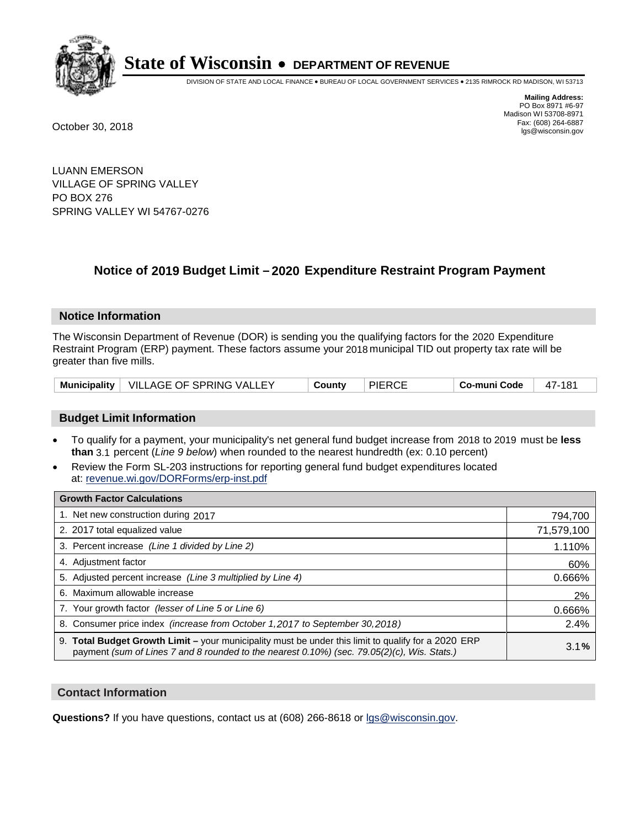

DIVISION OF STATE AND LOCAL FINANCE • BUREAU OF LOCAL GOVERNMENT SERVICES • 2135 RIMROCK RD MADISON, WI 53713

**Mailing Address:** PO Box 8971 #6-97 Madison WI 53708-8971<br>Fax: (608) 264-6887 Fax: (608) 264-6887 October 30, 2018 lgs@wisconsin.gov

LUANN EMERSON VILLAGE OF SPRING VALLEY PO BOX 276 SPRING VALLEY WI 54767-0276

### **Notice of 2019 Budget Limit - 2020 Expenditure Restraint Program Payment**

#### **Notice Information**

The Wisconsin Department of Revenue (DOR) is sending you the qualifying factors for the 2020 Expenditure Restraint Program (ERP) payment. These factors assume your 2018 municipal TID out property tax rate will be greater than five mills.

|  | Municipality   VILLAGE OF SPRING VALLEY | County | <b>PIERCE</b> | Co-muni Code | 47-181 |
|--|-----------------------------------------|--------|---------------|--------------|--------|
|--|-----------------------------------------|--------|---------------|--------------|--------|

#### **Budget Limit Information**

- To qualify for a payment, your municipality's net general fund budget increase from 2018 to 2019 must be less **than** 3.1 percent (*Line 9 below*) when rounded to the nearest hundredth (ex: 0.10 percent)
- Review the Form SL-203 instructions for reporting general fund budget expenditures located at: revenue.wi.gov/DORForms/erp-inst.pdf

| <b>Growth Factor Calculations</b>                                                                                                                                                                      |            |
|--------------------------------------------------------------------------------------------------------------------------------------------------------------------------------------------------------|------------|
| 1. Net new construction during 2017                                                                                                                                                                    | 794,700    |
| 2. 2017 total equalized value                                                                                                                                                                          | 71,579,100 |
| 3. Percent increase (Line 1 divided by Line 2)                                                                                                                                                         | 1.110%     |
| 4. Adjustment factor                                                                                                                                                                                   | 60%        |
| 5. Adjusted percent increase (Line 3 multiplied by Line 4)                                                                                                                                             | 0.666%     |
| 6. Maximum allowable increase                                                                                                                                                                          | 2%         |
| 7. Your growth factor (lesser of Line 5 or Line 6)                                                                                                                                                     | 0.666%     |
| 8. Consumer price index (increase from October 1, 2017 to September 30, 2018)                                                                                                                          | 2.4%       |
| 9. Total Budget Growth Limit - your municipality must be under this limit to qualify for a 2020 ERP<br>payment (sum of Lines 7 and 8 rounded to the nearest $0.10\%$ ) (sec. 79.05(2)(c), Wis. Stats.) | 3.1%       |

#### **Contact Information**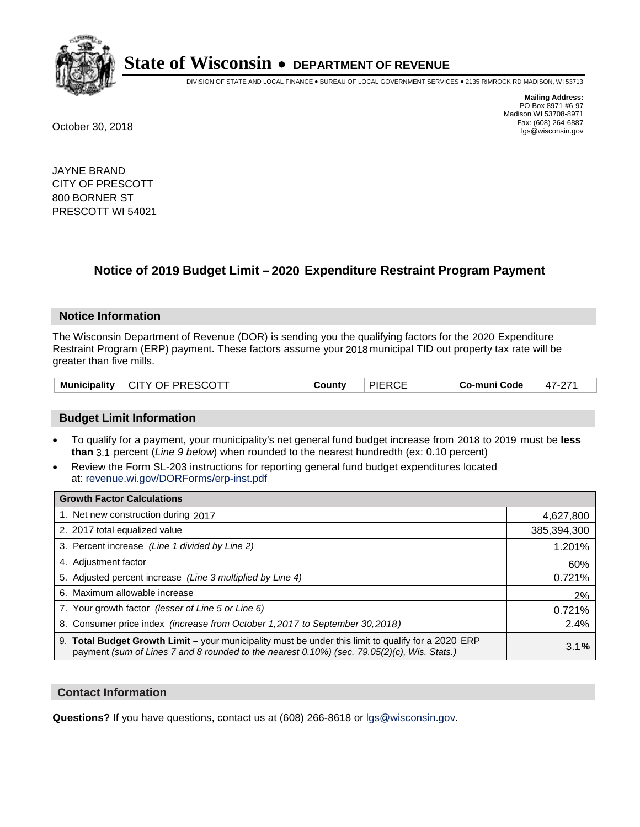

DIVISION OF STATE AND LOCAL FINANCE • BUREAU OF LOCAL GOVERNMENT SERVICES • 2135 RIMROCK RD MADISON, WI 53713

**Mailing Address:** PO Box 8971 #6-97 Madison WI 53708-8971<br>Fax: (608) 264-6887 Fax: (608) 264-6887 October 30, 2018 lgs@wisconsin.gov

JAYNE BRAND CITY OF PRESCOTT 800 BORNER ST PRESCOTT WI 54021

### **Notice of 2019 Budget Limit - 2020 Expenditure Restraint Program Payment**

#### **Notice Information**

The Wisconsin Department of Revenue (DOR) is sending you the qualifying factors for the 2020 Expenditure Restraint Program (ERP) payment. These factors assume your 2018 municipal TID out property tax rate will be greater than five mills.

#### **Budget Limit Information**

- To qualify for a payment, your municipality's net general fund budget increase from 2018 to 2019 must be less **than** 3.1 percent (*Line 9 below*) when rounded to the nearest hundredth (ex: 0.10 percent)
- Review the Form SL-203 instructions for reporting general fund budget expenditures located at: revenue.wi.gov/DORForms/erp-inst.pdf

| <b>Growth Factor Calculations</b>                                                                                                                                                                      |             |
|--------------------------------------------------------------------------------------------------------------------------------------------------------------------------------------------------------|-------------|
| 1. Net new construction during 2017                                                                                                                                                                    | 4,627,800   |
| 2. 2017 total equalized value                                                                                                                                                                          | 385,394,300 |
| 3. Percent increase (Line 1 divided by Line 2)                                                                                                                                                         | 1.201%      |
| 4. Adiustment factor                                                                                                                                                                                   | 60%         |
| 5. Adjusted percent increase (Line 3 multiplied by Line 4)                                                                                                                                             | 0.721%      |
| 6. Maximum allowable increase                                                                                                                                                                          | 2%          |
| 7. Your growth factor (lesser of Line 5 or Line 6)                                                                                                                                                     | 0.721%      |
| 8. Consumer price index (increase from October 1,2017 to September 30,2018)                                                                                                                            | 2.4%        |
| 9. Total Budget Growth Limit - your municipality must be under this limit to qualify for a 2020 ERP<br>payment (sum of Lines 7 and 8 rounded to the nearest $0.10\%$ ) (sec. 79.05(2)(c), Wis. Stats.) | 3.1%        |

#### **Contact Information**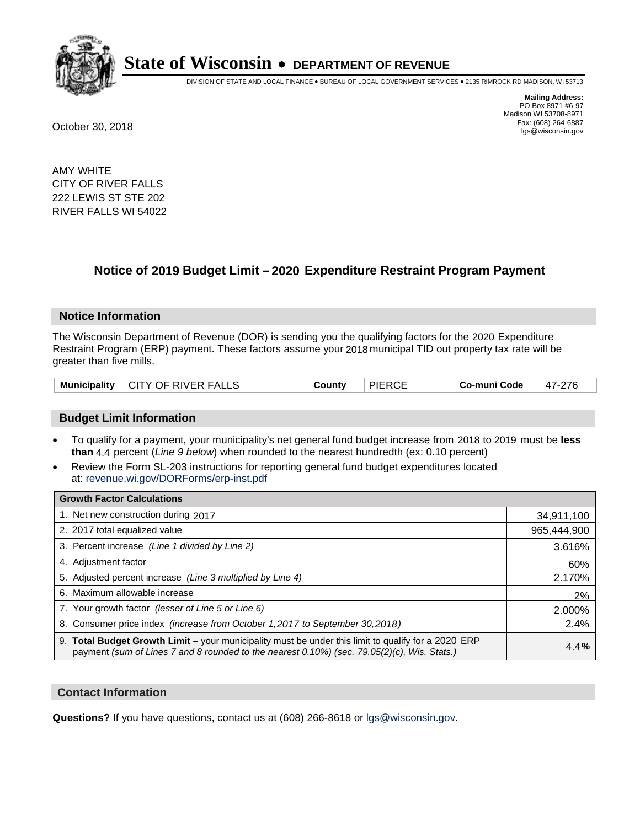

DIVISION OF STATE AND LOCAL FINANCE • BUREAU OF LOCAL GOVERNMENT SERVICES • 2135 RIMROCK RD MADISON, WI 53713

**Mailing Address:** PO Box 8971 #6-97 Madison WI 53708-8971<br>Fax: (608) 264-6887 Fax: (608) 264-6887 October 30, 2018 lgs@wisconsin.gov

AMY WHITE CITY OF RIVER FALLS 222 LEWIS ST STE 202 RIVER FALLS WI 54022

### **Notice of 2019 Budget Limit - 2020 Expenditure Restraint Program Payment**

#### **Notice Information**

The Wisconsin Department of Revenue (DOR) is sending you the qualifying factors for the 2020 Expenditure Restraint Program (ERP) payment. These factors assume your 2018 municipal TID out property tax rate will be greater than five mills.

|  | Municipality   CITY OF RIVER FALLS | County | <b>PIERCE</b> | Co-muni Code | 47-276 |
|--|------------------------------------|--------|---------------|--------------|--------|
|--|------------------------------------|--------|---------------|--------------|--------|

#### **Budget Limit Information**

- To qualify for a payment, your municipality's net general fund budget increase from 2018 to 2019 must be less **than** 4.4 percent (*Line 9 below*) when rounded to the nearest hundredth (ex: 0.10 percent)
- Review the Form SL-203 instructions for reporting general fund budget expenditures located at: revenue.wi.gov/DORForms/erp-inst.pdf

| <b>Growth Factor Calculations</b>                                                                                                                                                                      |             |
|--------------------------------------------------------------------------------------------------------------------------------------------------------------------------------------------------------|-------------|
| 1. Net new construction during 2017                                                                                                                                                                    | 34,911,100  |
| 2. 2017 total equalized value                                                                                                                                                                          | 965,444,900 |
| 3. Percent increase (Line 1 divided by Line 2)                                                                                                                                                         | 3.616%      |
| 4. Adjustment factor                                                                                                                                                                                   | 60%         |
| 5. Adjusted percent increase (Line 3 multiplied by Line 4)                                                                                                                                             | 2.170%      |
| 6. Maximum allowable increase                                                                                                                                                                          | 2%          |
| 7. Your growth factor (lesser of Line 5 or Line 6)                                                                                                                                                     | 2.000%      |
| 8. Consumer price index (increase from October 1,2017 to September 30,2018)                                                                                                                            | 2.4%        |
| 9. Total Budget Growth Limit - your municipality must be under this limit to qualify for a 2020 ERP<br>payment (sum of Lines 7 and 8 rounded to the nearest $0.10\%$ ) (sec. 79.05(2)(c), Wis. Stats.) | 4.4%        |

#### **Contact Information**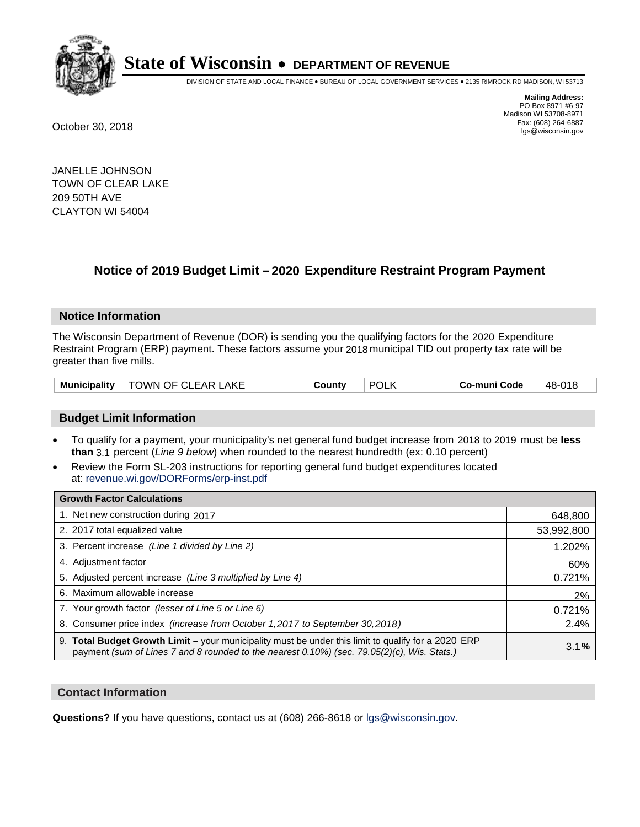

DIVISION OF STATE AND LOCAL FINANCE • BUREAU OF LOCAL GOVERNMENT SERVICES • 2135 RIMROCK RD MADISON, WI 53713

**Mailing Address:** PO Box 8971 #6-97 Madison WI 53708-8971<br>Fax: (608) 264-6887 Fax: (608) 264-6887 October 30, 2018 lgs@wisconsin.gov

JANELLE JOHNSON TOWN OF CLEAR LAKE 209 50TH AVE CLAYTON WI 54004

### **Notice of 2019 Budget Limit - 2020 Expenditure Restraint Program Payment**

#### **Notice Information**

The Wisconsin Department of Revenue (DOR) is sending you the qualifying factors for the 2020 Expenditure Restraint Program (ERP) payment. These factors assume your 2018 municipal TID out property tax rate will be greater than five mills.

| Municipality | TOWN OF CLEAR LAKE | Countv | <b>POL</b> | Co-muni Code | 48-018 |
|--------------|--------------------|--------|------------|--------------|--------|
|--------------|--------------------|--------|------------|--------------|--------|

#### **Budget Limit Information**

- To qualify for a payment, your municipality's net general fund budget increase from 2018 to 2019 must be less **than** 3.1 percent (*Line 9 below*) when rounded to the nearest hundredth (ex: 0.10 percent)
- Review the Form SL-203 instructions for reporting general fund budget expenditures located at: revenue.wi.gov/DORForms/erp-inst.pdf

| <b>Growth Factor Calculations</b>                                                                                                                                                                  |            |
|----------------------------------------------------------------------------------------------------------------------------------------------------------------------------------------------------|------------|
| 1. Net new construction during 2017                                                                                                                                                                | 648,800    |
| 2. 2017 total equalized value                                                                                                                                                                      | 53,992,800 |
| 3. Percent increase (Line 1 divided by Line 2)                                                                                                                                                     | 1.202%     |
| 4. Adjustment factor                                                                                                                                                                               | 60%        |
| 5. Adjusted percent increase (Line 3 multiplied by Line 4)                                                                                                                                         | 0.721%     |
| 6. Maximum allowable increase                                                                                                                                                                      | 2%         |
| 7. Your growth factor (lesser of Line 5 or Line 6)                                                                                                                                                 | 0.721%     |
| 8. Consumer price index (increase from October 1, 2017 to September 30, 2018)                                                                                                                      | 2.4%       |
| 9. Total Budget Growth Limit - your municipality must be under this limit to qualify for a 2020 ERP<br>payment (sum of Lines 7 and 8 rounded to the nearest 0.10%) (sec. 79.05(2)(c), Wis. Stats.) | 3.1%       |

#### **Contact Information**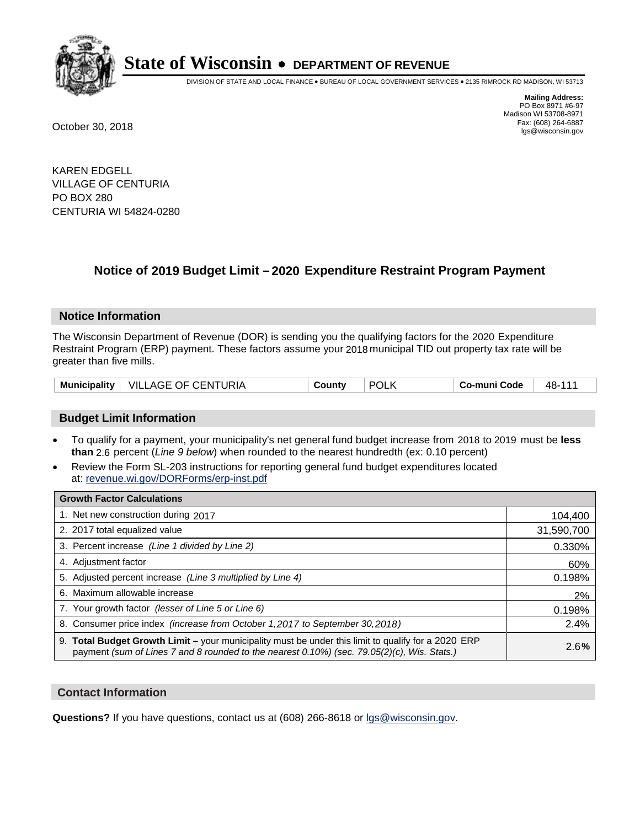

DIVISION OF STATE AND LOCAL FINANCE • BUREAU OF LOCAL GOVERNMENT SERVICES • 2135 RIMROCK RD MADISON, WI 53713

**Mailing Address:** PO Box 8971 #6-97 Madison WI 53708-8971<br>Fax: (608) 264-6887 Fax: (608) 264-6887 October 30, 2018 lgs@wisconsin.gov

KAREN EDGELL VILLAGE OF CENTURIA PO BOX 280 CENTURIA WI 54824-0280

### **Notice of 2019 Budget Limit - 2020 Expenditure Restraint Program Payment**

#### **Notice Information**

The Wisconsin Department of Revenue (DOR) is sending you the qualifying factors for the 2020 Expenditure Restraint Program (ERP) payment. These factors assume your 2018 municipal TID out property tax rate will be greater than five mills.

| <b>Municipality</b> | VILLAGE OF CENTURIA | County | <b>POLK</b> | Co-muni Code | 48-111 |
|---------------------|---------------------|--------|-------------|--------------|--------|
|---------------------|---------------------|--------|-------------|--------------|--------|

#### **Budget Limit Information**

- To qualify for a payment, your municipality's net general fund budget increase from 2018 to 2019 must be less **than** 2.6 percent (*Line 9 below*) when rounded to the nearest hundredth (ex: 0.10 percent)
- Review the Form SL-203 instructions for reporting general fund budget expenditures located at: revenue.wi.gov/DORForms/erp-inst.pdf

| <b>Growth Factor Calculations</b>                                                                                                                                                                      |            |
|--------------------------------------------------------------------------------------------------------------------------------------------------------------------------------------------------------|------------|
| 1. Net new construction during 2017                                                                                                                                                                    | 104,400    |
| 2. 2017 total equalized value                                                                                                                                                                          | 31,590,700 |
| 3. Percent increase (Line 1 divided by Line 2)                                                                                                                                                         | 0.330%     |
| 4. Adjustment factor                                                                                                                                                                                   | 60%        |
| 5. Adjusted percent increase (Line 3 multiplied by Line 4)                                                                                                                                             | 0.198%     |
| 6. Maximum allowable increase                                                                                                                                                                          | 2%         |
| 7. Your growth factor (lesser of Line 5 or Line 6)                                                                                                                                                     | 0.198%     |
| 8. Consumer price index (increase from October 1,2017 to September 30,2018)                                                                                                                            | 2.4%       |
| 9. Total Budget Growth Limit - your municipality must be under this limit to qualify for a 2020 ERP<br>payment (sum of Lines 7 and 8 rounded to the nearest $0.10\%$ ) (sec. 79.05(2)(c), Wis. Stats.) | 2.6%       |

#### **Contact Information**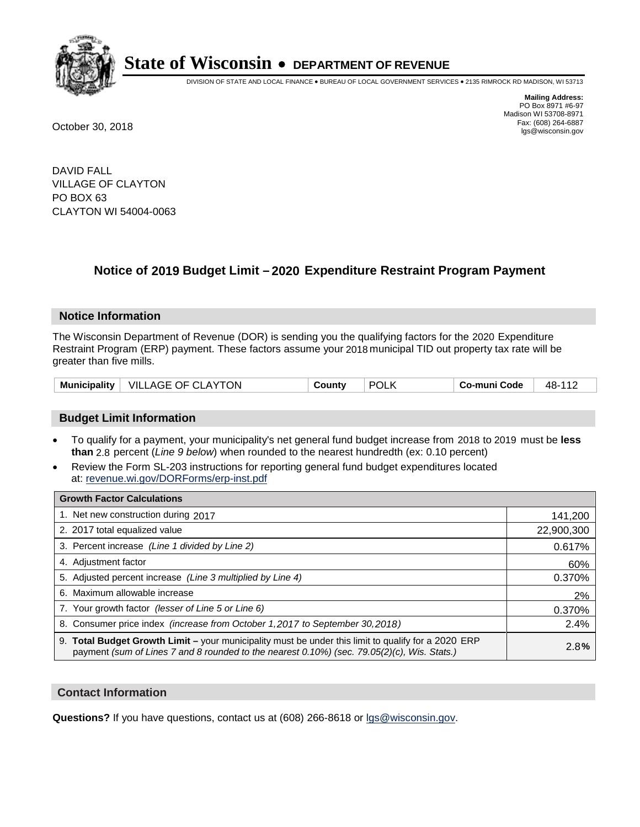

DIVISION OF STATE AND LOCAL FINANCE • BUREAU OF LOCAL GOVERNMENT SERVICES • 2135 RIMROCK RD MADISON, WI 53713

**Mailing Address:** PO Box 8971 #6-97 Madison WI 53708-8971<br>Fax: (608) 264-6887 Fax: (608) 264-6887 October 30, 2018 lgs@wisconsin.gov

DAVID FALL VILLAGE OF CLAYTON PO BOX 63 CLAYTON WI 54004-0063

### **Notice of 2019 Budget Limit - 2020 Expenditure Restraint Program Payment**

#### **Notice Information**

The Wisconsin Department of Revenue (DOR) is sending you the qualifying factors for the 2020 Expenditure Restraint Program (ERP) payment. These factors assume your 2018 municipal TID out property tax rate will be greater than five mills.

#### **Budget Limit Information**

- To qualify for a payment, your municipality's net general fund budget increase from 2018 to 2019 must be less **than** 2.8 percent (*Line 9 below*) when rounded to the nearest hundredth (ex: 0.10 percent)
- Review the Form SL-203 instructions for reporting general fund budget expenditures located at: revenue.wi.gov/DORForms/erp-inst.pdf

| <b>Growth Factor Calculations</b>                                                                                                                                                                  |            |
|----------------------------------------------------------------------------------------------------------------------------------------------------------------------------------------------------|------------|
| 1. Net new construction during 2017                                                                                                                                                                | 141,200    |
| 2. 2017 total equalized value                                                                                                                                                                      | 22,900,300 |
| 3. Percent increase (Line 1 divided by Line 2)                                                                                                                                                     | 0.617%     |
| 4. Adjustment factor                                                                                                                                                                               | 60%        |
| 5. Adjusted percent increase (Line 3 multiplied by Line 4)                                                                                                                                         | 0.370%     |
| 6. Maximum allowable increase                                                                                                                                                                      | 2%         |
| 7. Your growth factor (lesser of Line 5 or Line 6)                                                                                                                                                 | 0.370%     |
| 8. Consumer price index (increase from October 1, 2017 to September 30, 2018)                                                                                                                      | 2.4%       |
| 9. Total Budget Growth Limit - your municipality must be under this limit to qualify for a 2020 ERP<br>payment (sum of Lines 7 and 8 rounded to the nearest 0.10%) (sec. 79.05(2)(c), Wis. Stats.) | 2.8%       |

#### **Contact Information**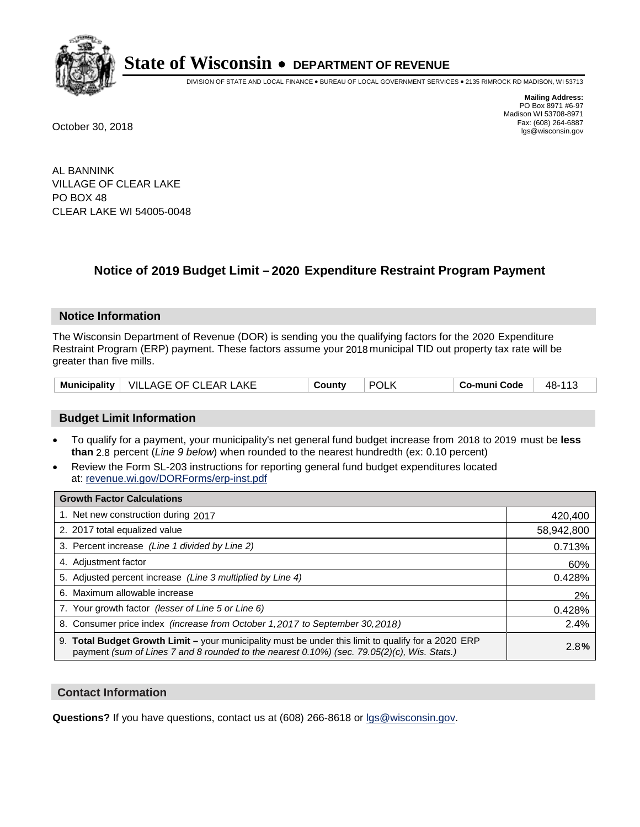

DIVISION OF STATE AND LOCAL FINANCE • BUREAU OF LOCAL GOVERNMENT SERVICES • 2135 RIMROCK RD MADISON, WI 53713

**Mailing Address:** PO Box 8971 #6-97 Madison WI 53708-8971<br>Fax: (608) 264-6887 Fax: (608) 264-6887 October 30, 2018 lgs@wisconsin.gov

AL BANNINK VILLAGE OF CLEAR LAKE PO BOX 48 CLEAR LAKE WI 54005-0048

### **Notice of 2019 Budget Limit - 2020 Expenditure Restraint Program Payment**

#### **Notice Information**

The Wisconsin Department of Revenue (DOR) is sending you the qualifying factors for the 2020 Expenditure Restraint Program (ERP) payment. These factors assume your 2018 municipal TID out property tax rate will be greater than five mills.

|  | Municipality   VILLAGE OF CLEAR LAKE | County | <b>POL</b> | Co-muni Code | 48-11 <sup>-</sup> |
|--|--------------------------------------|--------|------------|--------------|--------------------|
|--|--------------------------------------|--------|------------|--------------|--------------------|

#### **Budget Limit Information**

- To qualify for a payment, your municipality's net general fund budget increase from 2018 to 2019 must be less **than** 2.8 percent (*Line 9 below*) when rounded to the nearest hundredth (ex: 0.10 percent)
- Review the Form SL-203 instructions for reporting general fund budget expenditures located at: revenue.wi.gov/DORForms/erp-inst.pdf

| <b>Growth Factor Calculations</b>                                                                                                                                                                      |            |
|--------------------------------------------------------------------------------------------------------------------------------------------------------------------------------------------------------|------------|
| 1. Net new construction during 2017                                                                                                                                                                    | 420,400    |
| 2. 2017 total equalized value                                                                                                                                                                          | 58,942,800 |
| 3. Percent increase (Line 1 divided by Line 2)                                                                                                                                                         | 0.713%     |
| 4. Adjustment factor                                                                                                                                                                                   | 60%        |
| 5. Adjusted percent increase (Line 3 multiplied by Line 4)                                                                                                                                             | 0.428%     |
| 6. Maximum allowable increase                                                                                                                                                                          | 2%         |
| 7. Your growth factor (lesser of Line 5 or Line 6)                                                                                                                                                     | 0.428%     |
| 8. Consumer price index (increase from October 1, 2017 to September 30, 2018)                                                                                                                          | 2.4%       |
| 9. Total Budget Growth Limit - your municipality must be under this limit to qualify for a 2020 ERP<br>payment (sum of Lines 7 and 8 rounded to the nearest $0.10\%$ ) (sec. 79.05(2)(c), Wis. Stats.) | 2.8%       |

#### **Contact Information**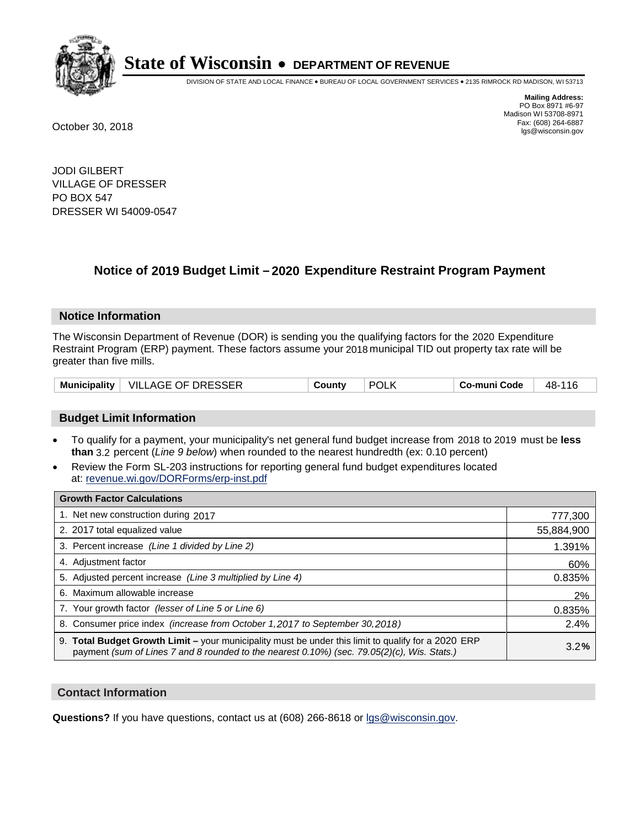

DIVISION OF STATE AND LOCAL FINANCE • BUREAU OF LOCAL GOVERNMENT SERVICES • 2135 RIMROCK RD MADISON, WI 53713

**Mailing Address:** PO Box 8971 #6-97 Madison WI 53708-8971<br>Fax: (608) 264-6887 Fax: (608) 264-6887 October 30, 2018 lgs@wisconsin.gov

JODI GILBERT VILLAGE OF DRESSER PO BOX 547 DRESSER WI 54009-0547

## **Notice of 2019 Budget Limit - 2020 Expenditure Restraint Program Payment**

#### **Notice Information**

The Wisconsin Department of Revenue (DOR) is sending you the qualifying factors for the 2020 Expenditure Restraint Program (ERP) payment. These factors assume your 2018 municipal TID out property tax rate will be greater than five mills.

#### **Budget Limit Information**

- To qualify for a payment, your municipality's net general fund budget increase from 2018 to 2019 must be less **than** 3.2 percent (*Line 9 below*) when rounded to the nearest hundredth (ex: 0.10 percent)
- Review the Form SL-203 instructions for reporting general fund budget expenditures located at: revenue.wi.gov/DORForms/erp-inst.pdf

| <b>Growth Factor Calculations</b>                                                                                                                                                                      |            |
|--------------------------------------------------------------------------------------------------------------------------------------------------------------------------------------------------------|------------|
| 1. Net new construction during 2017                                                                                                                                                                    | 777,300    |
| 2. 2017 total equalized value                                                                                                                                                                          | 55,884,900 |
| 3. Percent increase (Line 1 divided by Line 2)                                                                                                                                                         | 1.391%     |
| 4. Adjustment factor                                                                                                                                                                                   | 60%        |
| 5. Adjusted percent increase (Line 3 multiplied by Line 4)                                                                                                                                             | 0.835%     |
| 6. Maximum allowable increase                                                                                                                                                                          | 2%         |
| 7. Your growth factor (lesser of Line 5 or Line 6)                                                                                                                                                     | 0.835%     |
| 8. Consumer price index (increase from October 1,2017 to September 30,2018)                                                                                                                            | 2.4%       |
| 9. Total Budget Growth Limit - your municipality must be under this limit to qualify for a 2020 ERP<br>payment (sum of Lines 7 and 8 rounded to the nearest $0.10\%$ ) (sec. 79.05(2)(c), Wis. Stats.) | 3.2%       |

#### **Contact Information**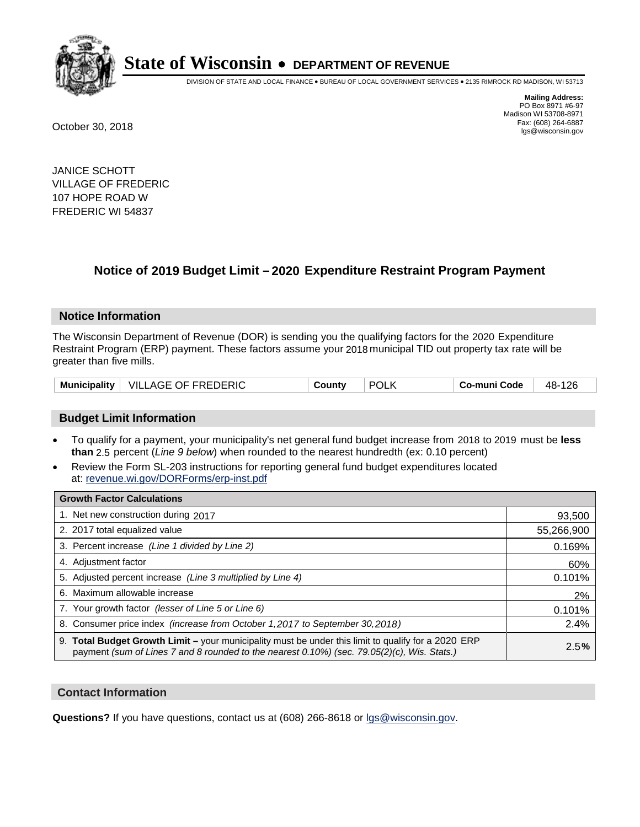

DIVISION OF STATE AND LOCAL FINANCE • BUREAU OF LOCAL GOVERNMENT SERVICES • 2135 RIMROCK RD MADISON, WI 53713

**Mailing Address:** PO Box 8971 #6-97 Madison WI 53708-8971<br>Fax: (608) 264-6887 Fax: (608) 264-6887 October 30, 2018 lgs@wisconsin.gov

JANICE SCHOTT VILLAGE OF FREDERIC 107 HOPE ROAD W FREDERIC WI 54837

## **Notice of 2019 Budget Limit - 2020 Expenditure Restraint Program Payment**

#### **Notice Information**

The Wisconsin Department of Revenue (DOR) is sending you the qualifying factors for the 2020 Expenditure Restraint Program (ERP) payment. These factors assume your 2018 municipal TID out property tax rate will be greater than five mills.

| <b>Municipality</b> | VILLAGE OF FREDERIC | County | <b>POLK</b> | Co-muni Code | 126<br>48- |
|---------------------|---------------------|--------|-------------|--------------|------------|
|---------------------|---------------------|--------|-------------|--------------|------------|

#### **Budget Limit Information**

- To qualify for a payment, your municipality's net general fund budget increase from 2018 to 2019 must be less **than** 2.5 percent (*Line 9 below*) when rounded to the nearest hundredth (ex: 0.10 percent)
- Review the Form SL-203 instructions for reporting general fund budget expenditures located at: revenue.wi.gov/DORForms/erp-inst.pdf

| <b>Growth Factor Calculations</b>                                                                                                                                                                  |            |
|----------------------------------------------------------------------------------------------------------------------------------------------------------------------------------------------------|------------|
| 1. Net new construction during 2017                                                                                                                                                                | 93,500     |
| 2. 2017 total equalized value                                                                                                                                                                      | 55,266,900 |
| 3. Percent increase (Line 1 divided by Line 2)                                                                                                                                                     | 0.169%     |
| 4. Adjustment factor                                                                                                                                                                               | 60%        |
| 5. Adjusted percent increase (Line 3 multiplied by Line 4)                                                                                                                                         | 0.101%     |
| 6. Maximum allowable increase                                                                                                                                                                      | 2%         |
| 7. Your growth factor (lesser of Line 5 or Line 6)                                                                                                                                                 | 0.101%     |
| 8. Consumer price index (increase from October 1, 2017 to September 30, 2018)                                                                                                                      | 2.4%       |
| 9. Total Budget Growth Limit – your municipality must be under this limit to qualify for a 2020 ERP<br>payment (sum of Lines 7 and 8 rounded to the nearest 0.10%) (sec. 79.05(2)(c), Wis. Stats.) | 2.5%       |

#### **Contact Information**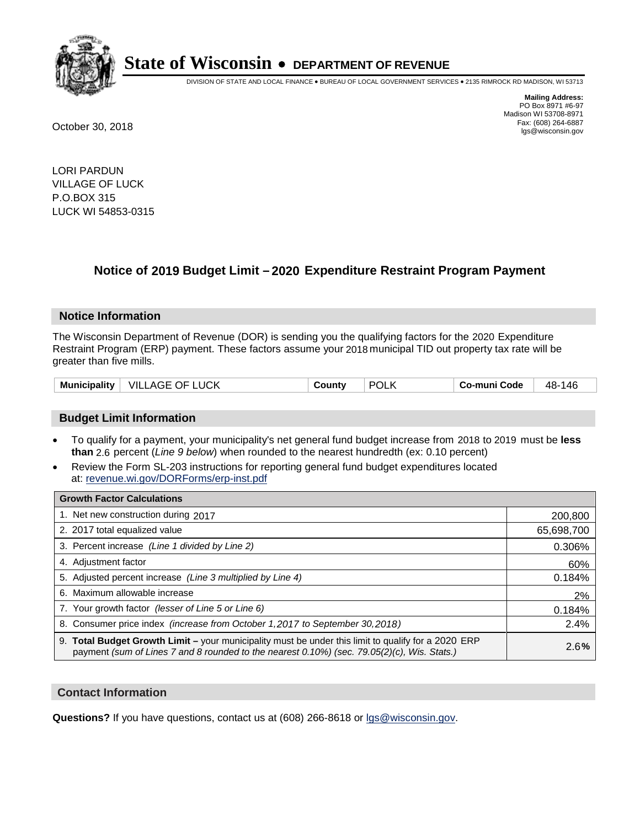

DIVISION OF STATE AND LOCAL FINANCE • BUREAU OF LOCAL GOVERNMENT SERVICES • 2135 RIMROCK RD MADISON, WI 53713

**Mailing Address:** PO Box 8971 #6-97 Madison WI 53708-8971<br>Fax: (608) 264-6887 Fax: (608) 264-6887 October 30, 2018 lgs@wisconsin.gov

LORI PARDUN VILLAGE OF LUCK P.O.BOX 315 LUCK WI 54853-0315

### **Notice of 2019 Budget Limit - 2020 Expenditure Restraint Program Payment**

#### **Notice Information**

The Wisconsin Department of Revenue (DOR) is sending you the qualifying factors for the 2020 Expenditure Restraint Program (ERP) payment. These factors assume your 2018 municipal TID out property tax rate will be greater than five mills.

| Municipality | .UCK<br>- VILL<br>⊹OF.<br>AGE | ำuntv | ∵POL∟ | -<br>o-muni Codeٽ | 48-<br>146 |
|--------------|-------------------------------|-------|-------|-------------------|------------|
|--------------|-------------------------------|-------|-------|-------------------|------------|

#### **Budget Limit Information**

- To qualify for a payment, your municipality's net general fund budget increase from 2018 to 2019 must be less **than** 2.6 percent (*Line 9 below*) when rounded to the nearest hundredth (ex: 0.10 percent)
- Review the Form SL-203 instructions for reporting general fund budget expenditures located at: revenue.wi.gov/DORForms/erp-inst.pdf

| <b>Growth Factor Calculations</b>                                                                                                                                                                      |            |
|--------------------------------------------------------------------------------------------------------------------------------------------------------------------------------------------------------|------------|
| 1. Net new construction during 2017                                                                                                                                                                    | 200,800    |
| 2. 2017 total equalized value                                                                                                                                                                          | 65,698,700 |
| 3. Percent increase (Line 1 divided by Line 2)                                                                                                                                                         | 0.306%     |
| 4. Adjustment factor                                                                                                                                                                                   | 60%        |
| 5. Adjusted percent increase (Line 3 multiplied by Line 4)                                                                                                                                             | 0.184%     |
| 6. Maximum allowable increase                                                                                                                                                                          | 2%         |
| 7. Your growth factor (lesser of Line 5 or Line 6)                                                                                                                                                     | 0.184%     |
| 8. Consumer price index (increase from October 1,2017 to September 30,2018)                                                                                                                            | 2.4%       |
| 9. Total Budget Growth Limit - your municipality must be under this limit to qualify for a 2020 ERP<br>payment (sum of Lines 7 and 8 rounded to the nearest $0.10\%$ ) (sec. 79.05(2)(c), Wis. Stats.) | 2.6%       |

#### **Contact Information**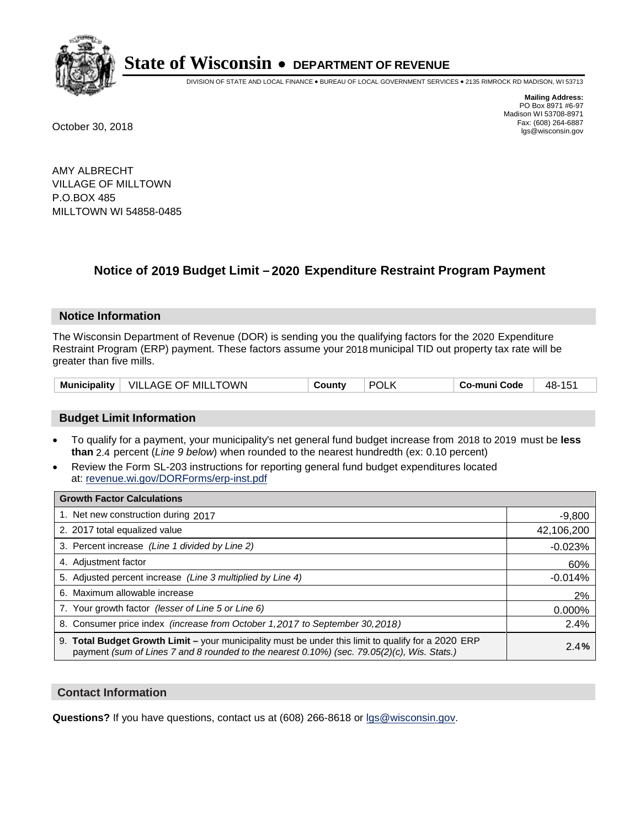

DIVISION OF STATE AND LOCAL FINANCE • BUREAU OF LOCAL GOVERNMENT SERVICES • 2135 RIMROCK RD MADISON, WI 53713

**Mailing Address:** PO Box 8971 #6-97 Madison WI 53708-8971<br>Fax: (608) 264-6887 Fax: (608) 264-6887 October 30, 2018 lgs@wisconsin.gov

AMY ALBRECHT VILLAGE OF MILLTOWN P.O.BOX 485 MILLTOWN WI 54858-0485

### **Notice of 2019 Budget Limit - 2020 Expenditure Restraint Program Payment**

#### **Notice Information**

The Wisconsin Department of Revenue (DOR) is sending you the qualifying factors for the 2020 Expenditure Restraint Program (ERP) payment. These factors assume your 2018 municipal TID out property tax rate will be greater than five mills.

| VILLAGE OF MILLTOWN | <b>POLK</b> | 48-          |  |
|---------------------|-------------|--------------|--|
| Municipality        | County      | Co-muni Code |  |

#### **Budget Limit Information**

- To qualify for a payment, your municipality's net general fund budget increase from 2018 to 2019 must be less **than** 2.4 percent (*Line 9 below*) when rounded to the nearest hundredth (ex: 0.10 percent)
- Review the Form SL-203 instructions for reporting general fund budget expenditures located at: revenue.wi.gov/DORForms/erp-inst.pdf

| <b>Growth Factor Calculations</b>                                                                                                                                                                  |            |
|----------------------------------------------------------------------------------------------------------------------------------------------------------------------------------------------------|------------|
| 1. Net new construction during 2017                                                                                                                                                                | $-9,800$   |
| 2. 2017 total equalized value                                                                                                                                                                      | 42,106,200 |
| 3. Percent increase (Line 1 divided by Line 2)                                                                                                                                                     | $-0.023%$  |
| 4. Adjustment factor                                                                                                                                                                               | 60%        |
| 5. Adjusted percent increase (Line 3 multiplied by Line 4)                                                                                                                                         | $-0.014%$  |
| 6. Maximum allowable increase                                                                                                                                                                      | 2%         |
| 7. Your growth factor (lesser of Line 5 or Line 6)                                                                                                                                                 | 0.000%     |
| 8. Consumer price index (increase from October 1, 2017 to September 30, 2018)                                                                                                                      | 2.4%       |
| 9. Total Budget Growth Limit - your municipality must be under this limit to qualify for a 2020 ERP<br>payment (sum of Lines 7 and 8 rounded to the nearest 0.10%) (sec. 79.05(2)(c), Wis. Stats.) | 2.4%       |

#### **Contact Information**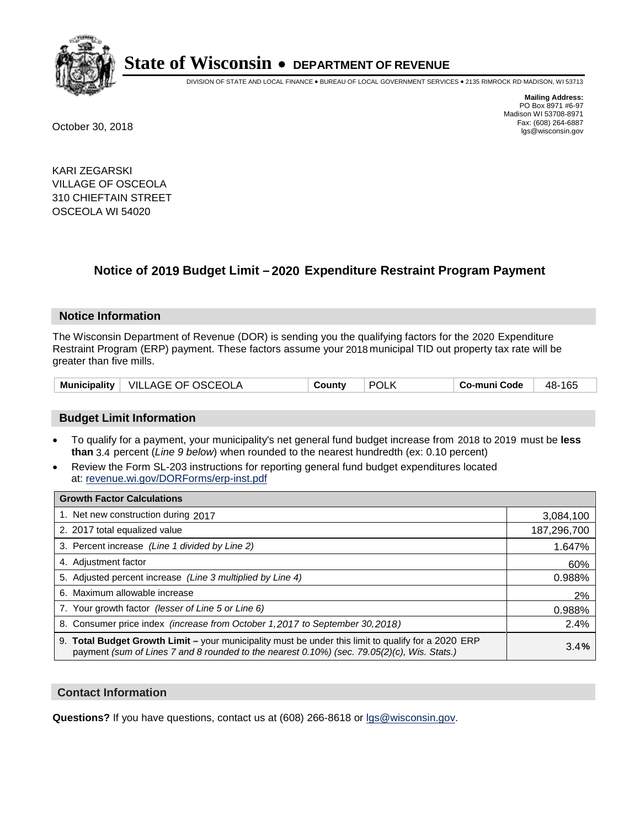

DIVISION OF STATE AND LOCAL FINANCE • BUREAU OF LOCAL GOVERNMENT SERVICES • 2135 RIMROCK RD MADISON, WI 53713

**Mailing Address:** PO Box 8971 #6-97 Madison WI 53708-8971<br>Fax: (608) 264-6887 Fax: (608) 264-6887 October 30, 2018 lgs@wisconsin.gov

KARI ZEGARSKI VILLAGE OF OSCEOLA 310 CHIEFTAIN STREET OSCEOLA WI 54020

### **Notice of 2019 Budget Limit - 2020 Expenditure Restraint Program Payment**

#### **Notice Information**

The Wisconsin Department of Revenue (DOR) is sending you the qualifying factors for the 2020 Expenditure Restraint Program (ERP) payment. These factors assume your 2018 municipal TID out property tax rate will be greater than five mills.

| $^+$ VILLAGE OF OSCEOLA<br><b>Municipality</b> | County | <b>POLK</b> | Co-muni Code | 165<br>48- |
|------------------------------------------------|--------|-------------|--------------|------------|
|------------------------------------------------|--------|-------------|--------------|------------|

#### **Budget Limit Information**

- To qualify for a payment, your municipality's net general fund budget increase from 2018 to 2019 must be less **than** 3.4 percent (*Line 9 below*) when rounded to the nearest hundredth (ex: 0.10 percent)
- Review the Form SL-203 instructions for reporting general fund budget expenditures located at: revenue.wi.gov/DORForms/erp-inst.pdf

| <b>Growth Factor Calculations</b>                                                                                                                                                                  |             |
|----------------------------------------------------------------------------------------------------------------------------------------------------------------------------------------------------|-------------|
| 1. Net new construction during 2017                                                                                                                                                                | 3,084,100   |
| 2. 2017 total equalized value                                                                                                                                                                      | 187,296,700 |
| 3. Percent increase (Line 1 divided by Line 2)                                                                                                                                                     | 1.647%      |
| 4. Adjustment factor                                                                                                                                                                               | 60%         |
| 5. Adjusted percent increase (Line 3 multiplied by Line 4)                                                                                                                                         | 0.988%      |
| 6. Maximum allowable increase                                                                                                                                                                      | 2%          |
| 7. Your growth factor (lesser of Line 5 or Line 6)                                                                                                                                                 | 0.988%      |
| 8. Consumer price index (increase from October 1, 2017 to September 30, 2018)                                                                                                                      | 2.4%        |
| 9. Total Budget Growth Limit - your municipality must be under this limit to qualify for a 2020 ERP<br>payment (sum of Lines 7 and 8 rounded to the nearest 0.10%) (sec. 79.05(2)(c), Wis. Stats.) | 3.4%        |

#### **Contact Information**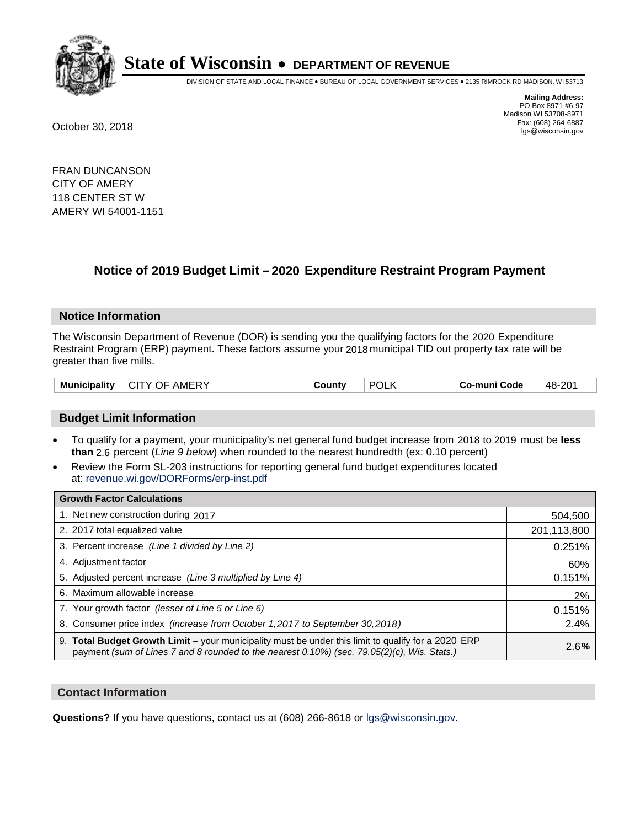

DIVISION OF STATE AND LOCAL FINANCE • BUREAU OF LOCAL GOVERNMENT SERVICES • 2135 RIMROCK RD MADISON, WI 53713

**Mailing Address:** PO Box 8971 #6-97 Madison WI 53708-8971<br>Fax: (608) 264-6887 Fax: (608) 264-6887 October 30, 2018 lgs@wisconsin.gov

FRAN DUNCANSON CITY OF AMERY 118 CENTER ST W AMERY WI 54001-1151

### **Notice of 2019 Budget Limit - 2020 Expenditure Restraint Program Payment**

#### **Notice Information**

The Wisconsin Department of Revenue (DOR) is sending you the qualifying factors for the 2020 Expenditure Restraint Program (ERP) payment. These factors assume your 2018 municipal TID out property tax rate will be greater than five mills.

| POL<br><b>Municipality</b><br><b>AMERY</b><br>CITY OF<br>.ountv | 48-201<br>Co-muni Code |
|-----------------------------------------------------------------|------------------------|
|-----------------------------------------------------------------|------------------------|

#### **Budget Limit Information**

- To qualify for a payment, your municipality's net general fund budget increase from 2018 to 2019 must be less **than** 2.6 percent (*Line 9 below*) when rounded to the nearest hundredth (ex: 0.10 percent)
- Review the Form SL-203 instructions for reporting general fund budget expenditures located at: revenue.wi.gov/DORForms/erp-inst.pdf

| <b>Growth Factor Calculations</b>                                                                                                                                                                      |             |
|--------------------------------------------------------------------------------------------------------------------------------------------------------------------------------------------------------|-------------|
| 1. Net new construction during 2017                                                                                                                                                                    | 504,500     |
| 2. 2017 total equalized value                                                                                                                                                                          | 201,113,800 |
| 3. Percent increase (Line 1 divided by Line 2)                                                                                                                                                         | 0.251%      |
| 4. Adjustment factor                                                                                                                                                                                   | 60%         |
| 5. Adjusted percent increase (Line 3 multiplied by Line 4)                                                                                                                                             | 0.151%      |
| 6. Maximum allowable increase                                                                                                                                                                          | 2%          |
| 7. Your growth factor (lesser of Line 5 or Line 6)                                                                                                                                                     | 0.151%      |
| 8. Consumer price index (increase from October 1, 2017 to September 30, 2018)                                                                                                                          | 2.4%        |
| 9. Total Budget Growth Limit - your municipality must be under this limit to qualify for a 2020 ERP<br>payment (sum of Lines 7 and 8 rounded to the nearest $0.10\%$ ) (sec. 79.05(2)(c), Wis. Stats.) | 2.6%        |

#### **Contact Information**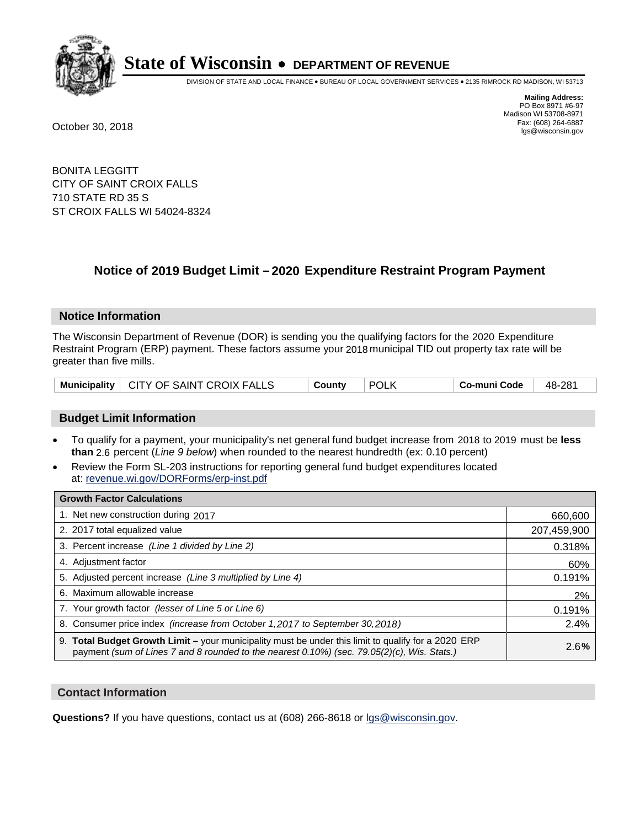

DIVISION OF STATE AND LOCAL FINANCE • BUREAU OF LOCAL GOVERNMENT SERVICES • 2135 RIMROCK RD MADISON, WI 53713

**Mailing Address:** PO Box 8971 #6-97 Madison WI 53708-8971<br>Fax: (608) 264-6887 Fax: (608) 264-6887 October 30, 2018 lgs@wisconsin.gov

BONITA LEGGITT CITY OF SAINT CROIX FALLS 710 STATE RD 35 S ST CROIX FALLS WI 54024-8324

## **Notice of 2019 Budget Limit - 2020 Expenditure Restraint Program Payment**

#### **Notice Information**

The Wisconsin Department of Revenue (DOR) is sending you the qualifying factors for the 2020 Expenditure Restraint Program (ERP) payment. These factors assume your 2018 municipal TID out property tax rate will be greater than five mills.

| Municipality   CITY OF SAINT CROIX FALLS | County | <b>POLK</b> | <b>' Co-muni Code</b> ⊣ | 48-281 |
|------------------------------------------|--------|-------------|-------------------------|--------|
|------------------------------------------|--------|-------------|-------------------------|--------|

#### **Budget Limit Information**

- To qualify for a payment, your municipality's net general fund budget increase from 2018 to 2019 must be less **than** 2.6 percent (*Line 9 below*) when rounded to the nearest hundredth (ex: 0.10 percent)
- Review the Form SL-203 instructions for reporting general fund budget expenditures located at: revenue.wi.gov/DORForms/erp-inst.pdf

| <b>Growth Factor Calculations</b>                                                                                                                                                                      |             |
|--------------------------------------------------------------------------------------------------------------------------------------------------------------------------------------------------------|-------------|
| 1. Net new construction during 2017                                                                                                                                                                    | 660,600     |
| 2. 2017 total equalized value                                                                                                                                                                          | 207,459,900 |
| 3. Percent increase (Line 1 divided by Line 2)                                                                                                                                                         | 0.318%      |
| 4. Adjustment factor                                                                                                                                                                                   | 60%         |
| 5. Adjusted percent increase (Line 3 multiplied by Line 4)                                                                                                                                             | 0.191%      |
| 6. Maximum allowable increase                                                                                                                                                                          | 2%          |
| 7. Your growth factor (lesser of Line 5 or Line 6)                                                                                                                                                     | 0.191%      |
| 8. Consumer price index (increase from October 1, 2017 to September 30, 2018)                                                                                                                          | 2.4%        |
| 9. Total Budget Growth Limit - your municipality must be under this limit to qualify for a 2020 ERP<br>payment (sum of Lines 7 and 8 rounded to the nearest $0.10\%$ ) (sec. 79.05(2)(c), Wis. Stats.) | 2.6%        |

#### **Contact Information**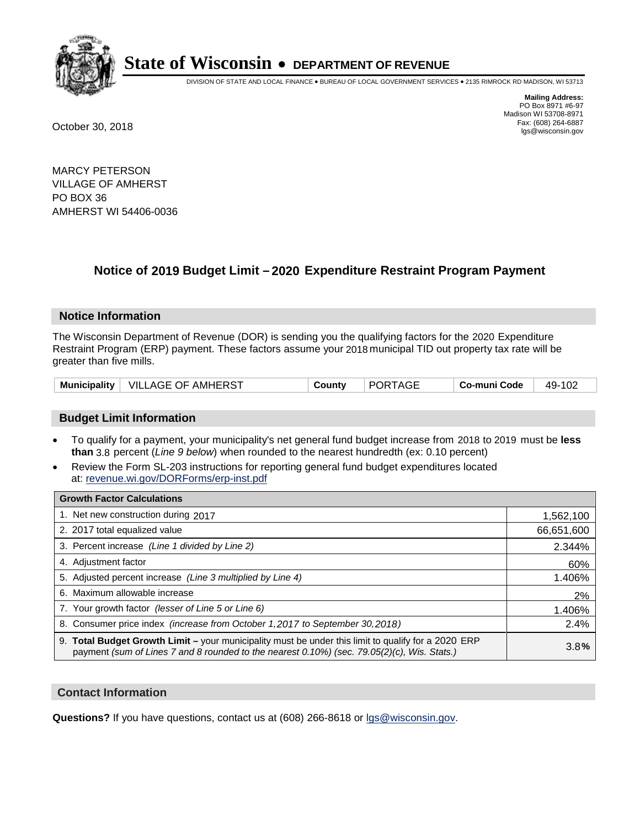

DIVISION OF STATE AND LOCAL FINANCE • BUREAU OF LOCAL GOVERNMENT SERVICES • 2135 RIMROCK RD MADISON, WI 53713

**Mailing Address:** PO Box 8971 #6-97 Madison WI 53708-8971<br>Fax: (608) 264-6887 Fax: (608) 264-6887 October 30, 2018 lgs@wisconsin.gov

MARCY PETERSON VILLAGE OF AMHERST PO BOX 36 AMHERST WI 54406-0036

## **Notice of 2019 Budget Limit - 2020 Expenditure Restraint Program Payment**

#### **Notice Information**

The Wisconsin Department of Revenue (DOR) is sending you the qualifying factors for the 2020 Expenditure Restraint Program (ERP) payment. These factors assume your 2018 municipal TID out property tax rate will be greater than five mills.

| <b>Municipality</b> | │ VILLAGE OF AMHERST | County | <b>PORTAGE</b> | Co-muni Code | 49-102 |
|---------------------|----------------------|--------|----------------|--------------|--------|
|---------------------|----------------------|--------|----------------|--------------|--------|

#### **Budget Limit Information**

- To qualify for a payment, your municipality's net general fund budget increase from 2018 to 2019 must be less **than** 3.8 percent (*Line 9 below*) when rounded to the nearest hundredth (ex: 0.10 percent)
- Review the Form SL-203 instructions for reporting general fund budget expenditures located at: revenue.wi.gov/DORForms/erp-inst.pdf

| <b>Growth Factor Calculations</b>                                                                                                                                                                      |            |
|--------------------------------------------------------------------------------------------------------------------------------------------------------------------------------------------------------|------------|
| 1. Net new construction during 2017                                                                                                                                                                    | 1,562,100  |
| 2. 2017 total equalized value                                                                                                                                                                          | 66,651,600 |
| 3. Percent increase (Line 1 divided by Line 2)                                                                                                                                                         | 2.344%     |
| 4. Adjustment factor                                                                                                                                                                                   | 60%        |
| 5. Adjusted percent increase (Line 3 multiplied by Line 4)                                                                                                                                             | 1.406%     |
| 6. Maximum allowable increase                                                                                                                                                                          | 2%         |
| 7. Your growth factor (lesser of Line 5 or Line 6)                                                                                                                                                     | 1.406%     |
| 8. Consumer price index (increase from October 1,2017 to September 30,2018)                                                                                                                            | 2.4%       |
| 9. Total Budget Growth Limit - your municipality must be under this limit to qualify for a 2020 ERP<br>payment (sum of Lines 7 and 8 rounded to the nearest $0.10\%$ ) (sec. 79.05(2)(c), Wis. Stats.) | 3.8%       |

#### **Contact Information**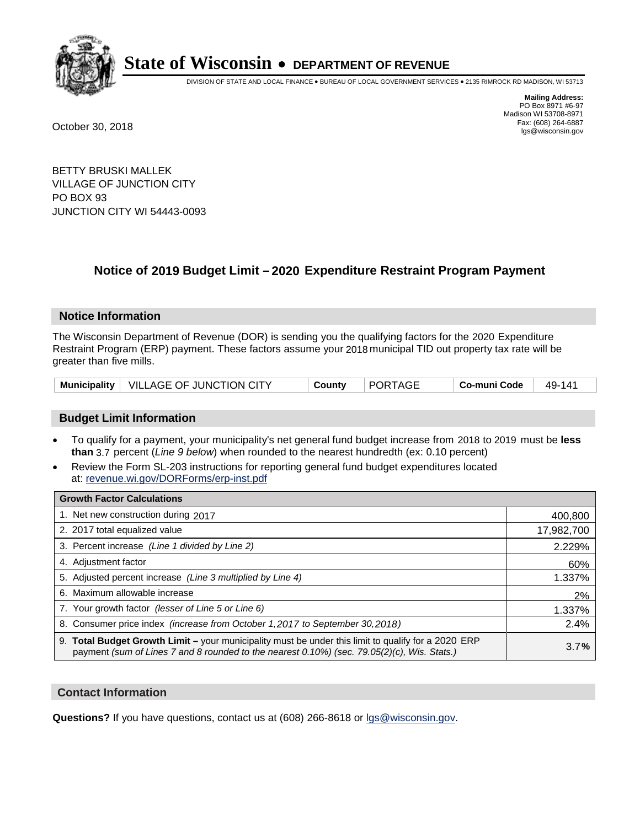

DIVISION OF STATE AND LOCAL FINANCE • BUREAU OF LOCAL GOVERNMENT SERVICES • 2135 RIMROCK RD MADISON, WI 53713

**Mailing Address:** PO Box 8971 #6-97 Madison WI 53708-8971<br>Fax: (608) 264-6887 Fax: (608) 264-6887 October 30, 2018 lgs@wisconsin.gov

BETTY BRUSKI MALLEK VILLAGE OF JUNCTION CITY PO BOX 93 JUNCTION CITY WI 54443-0093

### **Notice of 2019 Budget Limit - 2020 Expenditure Restraint Program Payment**

#### **Notice Information**

The Wisconsin Department of Revenue (DOR) is sending you the qualifying factors for the 2020 Expenditure Restraint Program (ERP) payment. These factors assume your 2018 municipal TID out property tax rate will be greater than five mills.

|  | Municipality   VILLAGE OF JUNCTION CITY | County | PORTAGE | Co-muni Code | 49-141 |
|--|-----------------------------------------|--------|---------|--------------|--------|
|--|-----------------------------------------|--------|---------|--------------|--------|

#### **Budget Limit Information**

- To qualify for a payment, your municipality's net general fund budget increase from 2018 to 2019 must be less **than** 3.7 percent (*Line 9 below*) when rounded to the nearest hundredth (ex: 0.10 percent)
- Review the Form SL-203 instructions for reporting general fund budget expenditures located at: revenue.wi.gov/DORForms/erp-inst.pdf

| <b>Growth Factor Calculations</b>                                                                                                                                                                      |            |
|--------------------------------------------------------------------------------------------------------------------------------------------------------------------------------------------------------|------------|
| 1. Net new construction during 2017                                                                                                                                                                    | 400,800    |
| 2. 2017 total equalized value                                                                                                                                                                          | 17,982,700 |
| 3. Percent increase (Line 1 divided by Line 2)                                                                                                                                                         | 2.229%     |
| 4. Adjustment factor                                                                                                                                                                                   | 60%        |
| 5. Adjusted percent increase (Line 3 multiplied by Line 4)                                                                                                                                             | 1.337%     |
| 6. Maximum allowable increase                                                                                                                                                                          | 2%         |
| 7. Your growth factor (lesser of Line 5 or Line 6)                                                                                                                                                     | 1.337%     |
| 8. Consumer price index (increase from October 1, 2017 to September 30, 2018)                                                                                                                          | 2.4%       |
| 9. Total Budget Growth Limit - your municipality must be under this limit to qualify for a 2020 ERP<br>payment (sum of Lines 7 and 8 rounded to the nearest $0.10\%$ ) (sec. 79.05(2)(c), Wis. Stats.) | 3.7%       |

#### **Contact Information**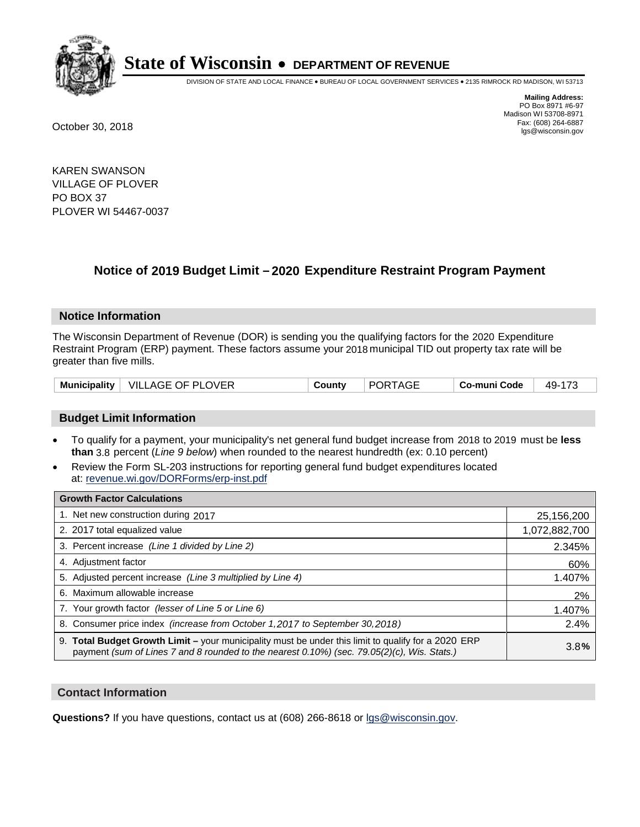

DIVISION OF STATE AND LOCAL FINANCE • BUREAU OF LOCAL GOVERNMENT SERVICES • 2135 RIMROCK RD MADISON, WI 53713

**Mailing Address:** PO Box 8971 #6-97 Madison WI 53708-8971<br>Fax: (608) 264-6887 Fax: (608) 264-6887 October 30, 2018 lgs@wisconsin.gov

KAREN SWANSON VILLAGE OF PLOVER PO BOX 37 PLOVER WI 54467-0037

### **Notice of 2019 Budget Limit - 2020 Expenditure Restraint Program Payment**

#### **Notice Information**

The Wisconsin Department of Revenue (DOR) is sending you the qualifying factors for the 2020 Expenditure Restraint Program (ERP) payment. These factors assume your 2018 municipal TID out property tax rate will be greater than five mills.

|  | Municipality   VILLAGE OF PLOVER | Countv | <b>PORTAGE</b> | Co-muni Code | 49-173 |
|--|----------------------------------|--------|----------------|--------------|--------|
|--|----------------------------------|--------|----------------|--------------|--------|

#### **Budget Limit Information**

- To qualify for a payment, your municipality's net general fund budget increase from 2018 to 2019 must be less **than** 3.8 percent (*Line 9 below*) when rounded to the nearest hundredth (ex: 0.10 percent)
- Review the Form SL-203 instructions for reporting general fund budget expenditures located at: revenue.wi.gov/DORForms/erp-inst.pdf

| <b>Growth Factor Calculations</b>                                                                                                                                                                      |               |
|--------------------------------------------------------------------------------------------------------------------------------------------------------------------------------------------------------|---------------|
| 1. Net new construction during 2017                                                                                                                                                                    | 25,156,200    |
| 2. 2017 total equalized value                                                                                                                                                                          | 1,072,882,700 |
| 3. Percent increase (Line 1 divided by Line 2)                                                                                                                                                         | 2.345%        |
| 4. Adjustment factor                                                                                                                                                                                   | 60%           |
| 5. Adjusted percent increase (Line 3 multiplied by Line 4)                                                                                                                                             | 1.407%        |
| 6. Maximum allowable increase                                                                                                                                                                          | 2%            |
| 7. Your growth factor (lesser of Line 5 or Line 6)                                                                                                                                                     | 1.407%        |
| 8. Consumer price index (increase from October 1,2017 to September 30,2018)                                                                                                                            | 2.4%          |
| 9. Total Budget Growth Limit - your municipality must be under this limit to qualify for a 2020 ERP<br>payment (sum of Lines 7 and 8 rounded to the nearest $0.10\%$ ) (sec. 79.05(2)(c), Wis. Stats.) | 3.8%          |

#### **Contact Information**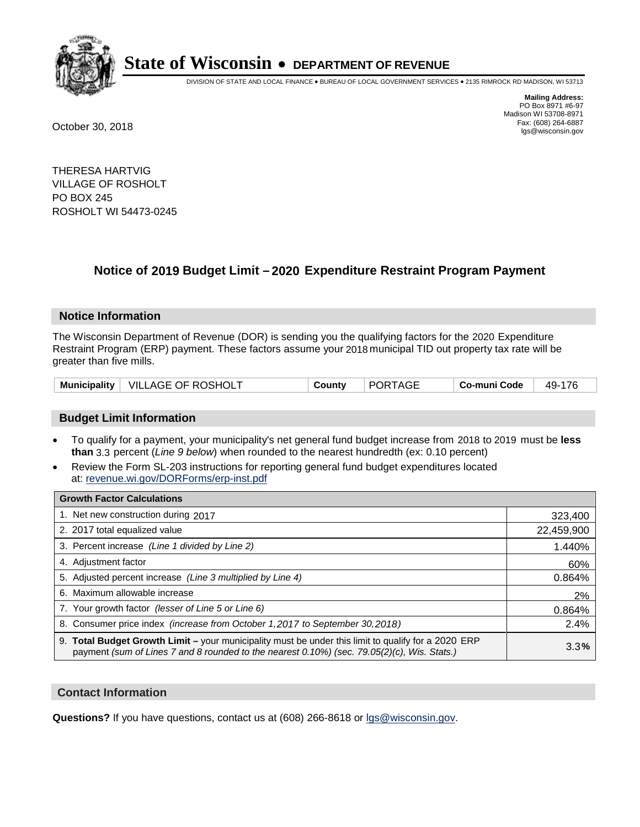

DIVISION OF STATE AND LOCAL FINANCE • BUREAU OF LOCAL GOVERNMENT SERVICES • 2135 RIMROCK RD MADISON, WI 53713

**Mailing Address:** PO Box 8971 #6-97 Madison WI 53708-8971<br>Fax: (608) 264-6887 Fax: (608) 264-6887 October 30, 2018 lgs@wisconsin.gov

THERESA HARTVIG VILLAGE OF ROSHOLT PO BOX 245 ROSHOLT WI 54473-0245

### **Notice of 2019 Budget Limit - 2020 Expenditure Restraint Program Payment**

#### **Notice Information**

The Wisconsin Department of Revenue (DOR) is sending you the qualifying factors for the 2020 Expenditure Restraint Program (ERP) payment. These factors assume your 2018 municipal TID out property tax rate will be greater than five mills.

|  | Municipality   VILLAGE OF ROSHOLT | County | <b>PORTAGE</b> | Co-muni Code | 49-176 |
|--|-----------------------------------|--------|----------------|--------------|--------|
|--|-----------------------------------|--------|----------------|--------------|--------|

#### **Budget Limit Information**

- To qualify for a payment, your municipality's net general fund budget increase from 2018 to 2019 must be less **than** 3.3 percent (*Line 9 below*) when rounded to the nearest hundredth (ex: 0.10 percent)
- Review the Form SL-203 instructions for reporting general fund budget expenditures located at: revenue.wi.gov/DORForms/erp-inst.pdf

| <b>Growth Factor Calculations</b>                                                                                                                                                                      |            |
|--------------------------------------------------------------------------------------------------------------------------------------------------------------------------------------------------------|------------|
| 1. Net new construction during 2017                                                                                                                                                                    | 323,400    |
| 2. 2017 total equalized value                                                                                                                                                                          | 22,459,900 |
| 3. Percent increase (Line 1 divided by Line 2)                                                                                                                                                         | 1.440%     |
| 4. Adjustment factor                                                                                                                                                                                   | 60%        |
| 5. Adjusted percent increase (Line 3 multiplied by Line 4)                                                                                                                                             | 0.864%     |
| 6. Maximum allowable increase                                                                                                                                                                          | 2%         |
| 7. Your growth factor (lesser of Line 5 or Line 6)                                                                                                                                                     | 0.864%     |
| 8. Consumer price index (increase from October 1,2017 to September 30,2018)                                                                                                                            | 2.4%       |
| 9. Total Budget Growth Limit - your municipality must be under this limit to qualify for a 2020 ERP<br>payment (sum of Lines 7 and 8 rounded to the nearest $0.10\%$ ) (sec. 79.05(2)(c), Wis. Stats.) | 3.3%       |

#### **Contact Information**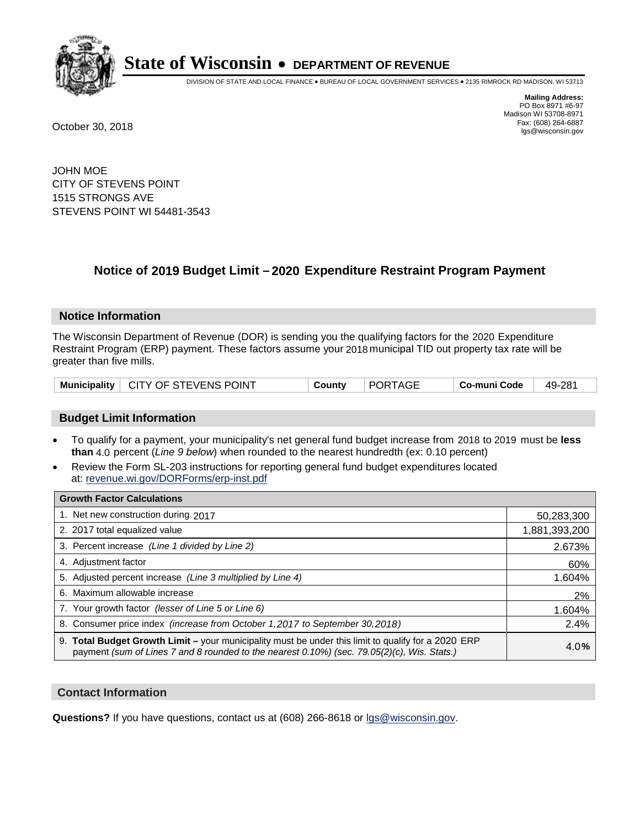

DIVISION OF STATE AND LOCAL FINANCE • BUREAU OF LOCAL GOVERNMENT SERVICES • 2135 RIMROCK RD MADISON, WI 53713

**Mailing Address:** PO Box 8971 #6-97 Madison WI 53708-8971<br>Fax: (608) 264-6887 Fax: (608) 264-6887 October 30, 2018 lgs@wisconsin.gov

JOHN MOE CITY OF STEVENS POINT 1515 STRONGS AVE STEVENS POINT WI 54481-3543

### **Notice of 2019 Budget Limit - 2020 Expenditure Restraint Program Payment**

#### **Notice Information**

The Wisconsin Department of Revenue (DOR) is sending you the qualifying factors for the 2020 Expenditure Restraint Program (ERP) payment. These factors assume your 2018 municipal TID out property tax rate will be greater than five mills.

|  | Municipality   CITY OF STEVENS POINT | County | PORTAGE | <b>ECo-muni Code</b> | 49-281 |
|--|--------------------------------------|--------|---------|----------------------|--------|
|--|--------------------------------------|--------|---------|----------------------|--------|

#### **Budget Limit Information**

- To qualify for a payment, your municipality's net general fund budget increase from 2018 to 2019 must be less **than** 4.0 percent (*Line 9 below*) when rounded to the nearest hundredth (ex: 0.10 percent)
- Review the Form SL-203 instructions for reporting general fund budget expenditures located at: revenue.wi.gov/DORForms/erp-inst.pdf

| <b>Growth Factor Calculations</b>                                                                                                                                                                  |               |
|----------------------------------------------------------------------------------------------------------------------------------------------------------------------------------------------------|---------------|
| 1. Net new construction during 2017                                                                                                                                                                | 50,283,300    |
| 2. 2017 total equalized value                                                                                                                                                                      | 1,881,393,200 |
| 3. Percent increase (Line 1 divided by Line 2)                                                                                                                                                     | 2.673%        |
| 4. Adjustment factor                                                                                                                                                                               | 60%           |
| 5. Adjusted percent increase (Line 3 multiplied by Line 4)                                                                                                                                         | 1.604%        |
| 6. Maximum allowable increase                                                                                                                                                                      | 2%            |
| 7. Your growth factor (lesser of Line 5 or Line 6)                                                                                                                                                 | 1.604%        |
| 8. Consumer price index (increase from October 1,2017 to September 30,2018)                                                                                                                        | 2.4%          |
| 9. Total Budget Growth Limit - your municipality must be under this limit to qualify for a 2020 ERP<br>payment (sum of Lines 7 and 8 rounded to the nearest 0.10%) (sec. 79.05(2)(c), Wis. Stats.) | 4.0%          |

#### **Contact Information**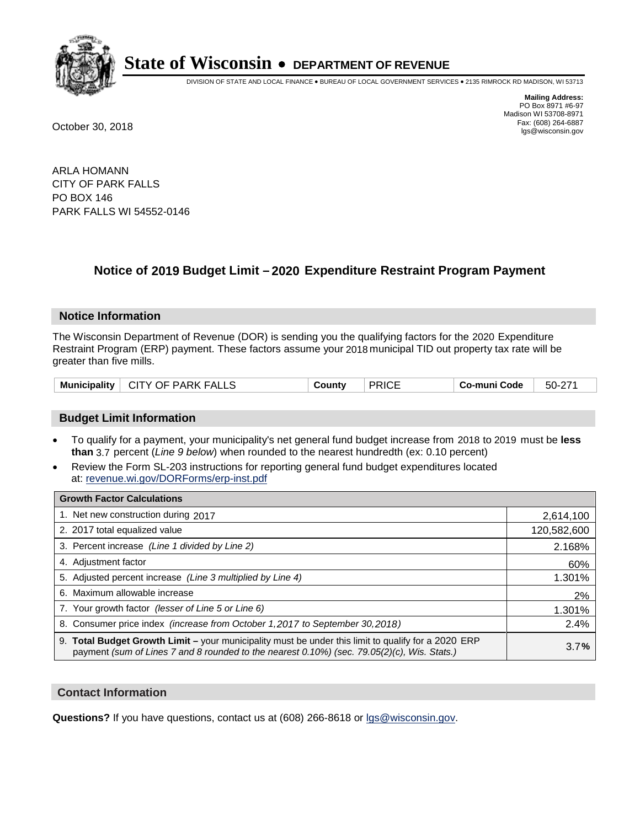

DIVISION OF STATE AND LOCAL FINANCE • BUREAU OF LOCAL GOVERNMENT SERVICES • 2135 RIMROCK RD MADISON, WI 53713

**Mailing Address:** PO Box 8971 #6-97 Madison WI 53708-8971<br>Fax: (608) 264-6887 Fax: (608) 264-6887 October 30, 2018 lgs@wisconsin.gov

ARLA HOMANN CITY OF PARK FALLS PO BOX 146 PARK FALLS WI 54552-0146

### **Notice of 2019 Budget Limit - 2020 Expenditure Restraint Program Payment**

#### **Notice Information**

The Wisconsin Department of Revenue (DOR) is sending you the qualifying factors for the 2020 Expenditure Restraint Program (ERP) payment. These factors assume your 2018 municipal TID out property tax rate will be greater than five mills.

| Municipality   CITY OF PARK FALLS | County | <b>PRICE</b> | Co-muni Code | 50-271 |
|-----------------------------------|--------|--------------|--------------|--------|
|-----------------------------------|--------|--------------|--------------|--------|

#### **Budget Limit Information**

- To qualify for a payment, your municipality's net general fund budget increase from 2018 to 2019 must be less **than** 3.7 percent (*Line 9 below*) when rounded to the nearest hundredth (ex: 0.10 percent)
- Review the Form SL-203 instructions for reporting general fund budget expenditures located at: revenue.wi.gov/DORForms/erp-inst.pdf

| <b>Growth Factor Calculations</b>                                                                                                                                                                  |             |
|----------------------------------------------------------------------------------------------------------------------------------------------------------------------------------------------------|-------------|
| 1. Net new construction during 2017                                                                                                                                                                | 2,614,100   |
| 2. 2017 total equalized value                                                                                                                                                                      | 120,582,600 |
| 3. Percent increase (Line 1 divided by Line 2)                                                                                                                                                     | 2.168%      |
| 4. Adjustment factor                                                                                                                                                                               | 60%         |
| 5. Adjusted percent increase (Line 3 multiplied by Line 4)                                                                                                                                         | 1.301%      |
| 6. Maximum allowable increase                                                                                                                                                                      | 2%          |
| 7. Your growth factor (lesser of Line 5 or Line 6)                                                                                                                                                 | 1.301%      |
| 8. Consumer price index (increase from October 1,2017 to September 30,2018)                                                                                                                        | 2.4%        |
| 9. Total Budget Growth Limit - your municipality must be under this limit to qualify for a 2020 ERP<br>payment (sum of Lines 7 and 8 rounded to the nearest 0.10%) (sec. 79.05(2)(c), Wis. Stats.) | 3.7%        |

#### **Contact Information**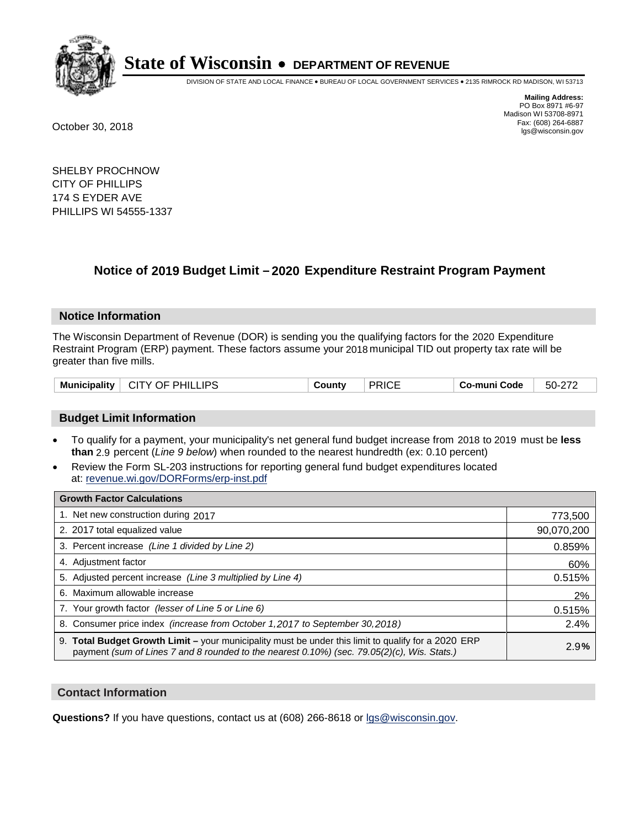

DIVISION OF STATE AND LOCAL FINANCE • BUREAU OF LOCAL GOVERNMENT SERVICES • 2135 RIMROCK RD MADISON, WI 53713

**Mailing Address:** PO Box 8971 #6-97 Madison WI 53708-8971<br>Fax: (608) 264-6887 Fax: (608) 264-6887 October 30, 2018 lgs@wisconsin.gov

SHELBY PROCHNOW CITY OF PHILLIPS 174 S EYDER AVE PHILLIPS WI 54555-1337

### **Notice of 2019 Budget Limit - 2020 Expenditure Restraint Program Payment**

#### **Notice Information**

The Wisconsin Department of Revenue (DOR) is sending you the qualifying factors for the 2020 Expenditure Restraint Program (ERP) payment. These factors assume your 2018 municipal TID out property tax rate will be greater than five mills.

| CITY OF PHILLIPS<br><b>Municipality</b> | County | <b>PRICE</b> | Co-muni Code | 50-272 |
|-----------------------------------------|--------|--------------|--------------|--------|
|-----------------------------------------|--------|--------------|--------------|--------|

#### **Budget Limit Information**

- To qualify for a payment, your municipality's net general fund budget increase from 2018 to 2019 must be less **than** 2.9 percent (*Line 9 below*) when rounded to the nearest hundredth (ex: 0.10 percent)
- Review the Form SL-203 instructions for reporting general fund budget expenditures located at: revenue.wi.gov/DORForms/erp-inst.pdf

| <b>Growth Factor Calculations</b>                                                                                                                                                                  |            |
|----------------------------------------------------------------------------------------------------------------------------------------------------------------------------------------------------|------------|
| 1. Net new construction during 2017                                                                                                                                                                | 773,500    |
| 2. 2017 total equalized value                                                                                                                                                                      | 90,070,200 |
| 3. Percent increase (Line 1 divided by Line 2)                                                                                                                                                     | 0.859%     |
| 4. Adjustment factor                                                                                                                                                                               | 60%        |
| 5. Adjusted percent increase (Line 3 multiplied by Line 4)                                                                                                                                         | 0.515%     |
| 6. Maximum allowable increase                                                                                                                                                                      | 2%         |
| 7. Your growth factor (lesser of Line 5 or Line 6)                                                                                                                                                 | 0.515%     |
| 8. Consumer price index (increase from October 1, 2017 to September 30, 2018)                                                                                                                      | 2.4%       |
| 9. Total Budget Growth Limit – your municipality must be under this limit to qualify for a 2020 ERP<br>payment (sum of Lines 7 and 8 rounded to the nearest 0.10%) (sec. 79.05(2)(c), Wis. Stats.) | 2.9%       |

#### **Contact Information**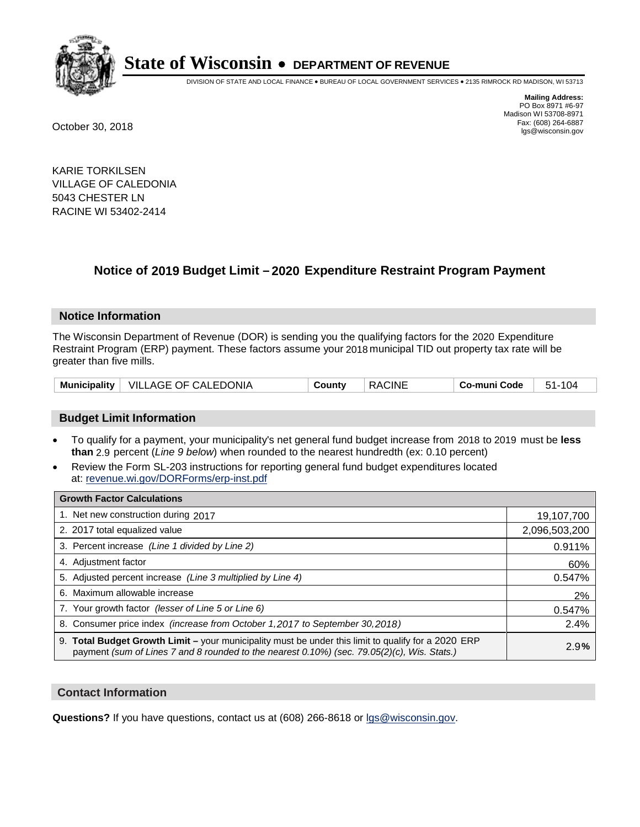

DIVISION OF STATE AND LOCAL FINANCE • BUREAU OF LOCAL GOVERNMENT SERVICES • 2135 RIMROCK RD MADISON, WI 53713

**Mailing Address:** PO Box 8971 #6-97 Madison WI 53708-8971<br>Fax: (608) 264-6887 Fax: (608) 264-6887 October 30, 2018 lgs@wisconsin.gov

KARIE TORKILSEN VILLAGE OF CALEDONIA 5043 CHESTER LN RACINE WI 53402-2414

### **Notice of 2019 Budget Limit - 2020 Expenditure Restraint Program Payment**

#### **Notice Information**

The Wisconsin Department of Revenue (DOR) is sending you the qualifying factors for the 2020 Expenditure Restraint Program (ERP) payment. These factors assume your 2018 municipal TID out property tax rate will be greater than five mills.

| Municipality   VILLAGE OF CALEDONIA | Countv | <b>RACINE</b> | Co-muni Code | 51-104 |
|-------------------------------------|--------|---------------|--------------|--------|
|-------------------------------------|--------|---------------|--------------|--------|

#### **Budget Limit Information**

- To qualify for a payment, your municipality's net general fund budget increase from 2018 to 2019 must be less **than** 2.9 percent (*Line 9 below*) when rounded to the nearest hundredth (ex: 0.10 percent)
- Review the Form SL-203 instructions for reporting general fund budget expenditures located at: revenue.wi.gov/DORForms/erp-inst.pdf

| <b>Growth Factor Calculations</b>                                                                                                                                                                      |               |
|--------------------------------------------------------------------------------------------------------------------------------------------------------------------------------------------------------|---------------|
| 1. Net new construction during 2017                                                                                                                                                                    | 19,107,700    |
| 2. 2017 total equalized value                                                                                                                                                                          | 2,096,503,200 |
| 3. Percent increase (Line 1 divided by Line 2)                                                                                                                                                         | 0.911%        |
| 4. Adjustment factor                                                                                                                                                                                   | 60%           |
| 5. Adjusted percent increase (Line 3 multiplied by Line 4)                                                                                                                                             | 0.547%        |
| 6. Maximum allowable increase                                                                                                                                                                          | 2%            |
| 7. Your growth factor (lesser of Line 5 or Line 6)                                                                                                                                                     | 0.547%        |
| 8. Consumer price index (increase from October 1,2017 to September 30,2018)                                                                                                                            | 2.4%          |
| 9. Total Budget Growth Limit - your municipality must be under this limit to qualify for a 2020 ERP<br>payment (sum of Lines 7 and 8 rounded to the nearest $0.10\%$ ) (sec. 79.05(2)(c), Wis. Stats.) | 2.9%          |

#### **Contact Information**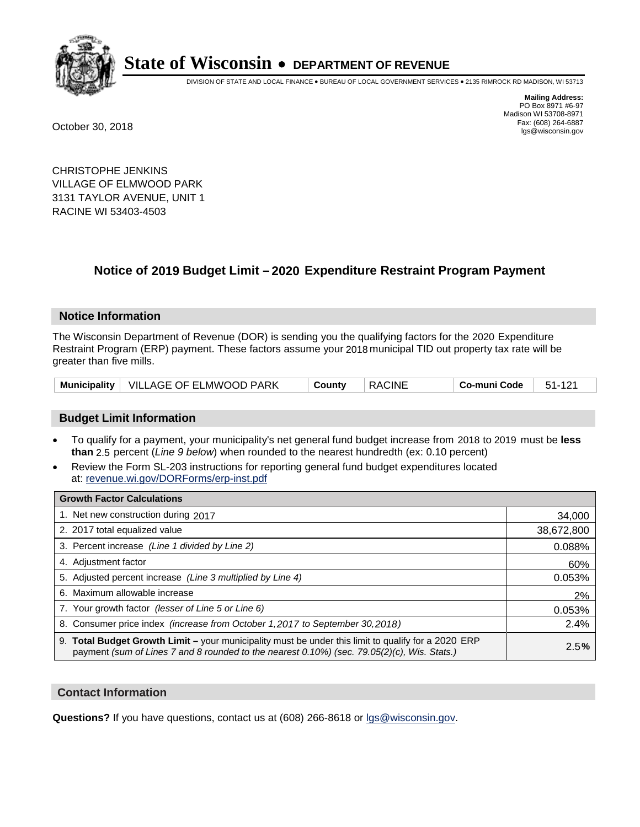

DIVISION OF STATE AND LOCAL FINANCE • BUREAU OF LOCAL GOVERNMENT SERVICES • 2135 RIMROCK RD MADISON, WI 53713

**Mailing Address:** PO Box 8971 #6-97 Madison WI 53708-8971<br>Fax: (608) 264-6887 Fax: (608) 264-6887 October 30, 2018 lgs@wisconsin.gov

CHRISTOPHE JENKINS VILLAGE OF ELMWOOD PARK 3131 TAYLOR AVENUE, UNIT 1 RACINE WI 53403-4503

### **Notice of 2019 Budget Limit - 2020 Expenditure Restraint Program Payment**

#### **Notice Information**

The Wisconsin Department of Revenue (DOR) is sending you the qualifying factors for the 2020 Expenditure Restraint Program (ERP) payment. These factors assume your 2018 municipal TID out property tax rate will be greater than five mills.

| Municipality   VILLAGE OF ELMWOOD PARK | ็ Countv | RACINE | $\, \overline{\phantom{a}}$ Co-muni Code $\,$ $\,$ 51-121 $\,$ |  |
|----------------------------------------|----------|--------|----------------------------------------------------------------|--|
|----------------------------------------|----------|--------|----------------------------------------------------------------|--|

#### **Budget Limit Information**

- To qualify for a payment, your municipality's net general fund budget increase from 2018 to 2019 must be less **than** 2.5 percent (*Line 9 below*) when rounded to the nearest hundredth (ex: 0.10 percent)
- Review the Form SL-203 instructions for reporting general fund budget expenditures located at: revenue.wi.gov/DORForms/erp-inst.pdf

| <b>Growth Factor Calculations</b>                                                                                                                                                                  |            |
|----------------------------------------------------------------------------------------------------------------------------------------------------------------------------------------------------|------------|
| 1. Net new construction during 2017                                                                                                                                                                | 34,000     |
| 2. 2017 total equalized value                                                                                                                                                                      | 38,672,800 |
| 3. Percent increase (Line 1 divided by Line 2)                                                                                                                                                     | 0.088%     |
| 4. Adjustment factor                                                                                                                                                                               | 60%        |
| 5. Adjusted percent increase (Line 3 multiplied by Line 4)                                                                                                                                         | 0.053%     |
| 6. Maximum allowable increase                                                                                                                                                                      | 2%         |
| 7. Your growth factor (lesser of Line 5 or Line 6)                                                                                                                                                 | 0.053%     |
| 8. Consumer price index (increase from October 1, 2017 to September 30, 2018)                                                                                                                      | 2.4%       |
| 9. Total Budget Growth Limit - your municipality must be under this limit to qualify for a 2020 ERP<br>payment (sum of Lines 7 and 8 rounded to the nearest 0.10%) (sec. 79.05(2)(c), Wis. Stats.) | 2.5%       |

#### **Contact Information**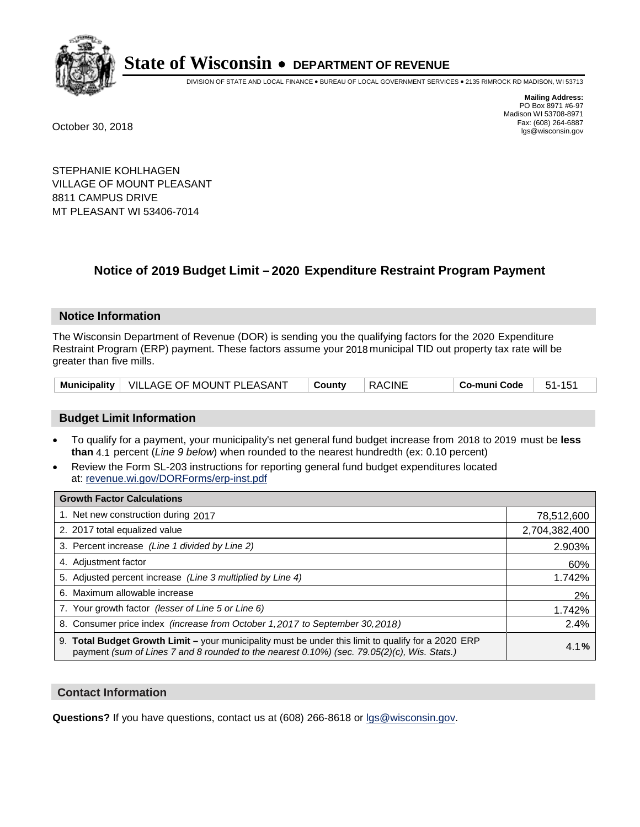

DIVISION OF STATE AND LOCAL FINANCE • BUREAU OF LOCAL GOVERNMENT SERVICES • 2135 RIMROCK RD MADISON, WI 53713

**Mailing Address:** PO Box 8971 #6-97 Madison WI 53708-8971<br>Fax: (608) 264-6887 Fax: (608) 264-6887 October 30, 2018 lgs@wisconsin.gov

STEPHANIE KOHLHAGEN VILLAGE OF MOUNT PLEASANT 8811 CAMPUS DRIVE MT PLEASANT WI 53406-7014

### **Notice of 2019 Budget Limit - 2020 Expenditure Restraint Program Payment**

#### **Notice Information**

The Wisconsin Department of Revenue (DOR) is sending you the qualifying factors for the 2020 Expenditure Restraint Program (ERP) payment. These factors assume your 2018 municipal TID out property tax rate will be greater than five mills.

|  | Municipality   VILLAGE OF MOUNT PLEASANT | <b>County</b> | <b>RACINE</b> | Co-muni Code | 51-151 |
|--|------------------------------------------|---------------|---------------|--------------|--------|
|--|------------------------------------------|---------------|---------------|--------------|--------|

#### **Budget Limit Information**

- To qualify for a payment, your municipality's net general fund budget increase from 2018 to 2019 must be less **than** 4.1 percent (*Line 9 below*) when rounded to the nearest hundredth (ex: 0.10 percent)
- Review the Form SL-203 instructions for reporting general fund budget expenditures located at: revenue.wi.gov/DORForms/erp-inst.pdf

| <b>Growth Factor Calculations</b>                                                                                                                                                                  |               |
|----------------------------------------------------------------------------------------------------------------------------------------------------------------------------------------------------|---------------|
| 1. Net new construction during 2017                                                                                                                                                                | 78,512,600    |
| 2. 2017 total equalized value                                                                                                                                                                      | 2,704,382,400 |
| 3. Percent increase (Line 1 divided by Line 2)                                                                                                                                                     | 2.903%        |
| 4. Adjustment factor                                                                                                                                                                               | 60%           |
| 5. Adjusted percent increase (Line 3 multiplied by Line 4)                                                                                                                                         | 1.742%        |
| 6. Maximum allowable increase                                                                                                                                                                      | 2%            |
| 7. Your growth factor (lesser of Line 5 or Line 6)                                                                                                                                                 | 1.742%        |
| 8. Consumer price index (increase from October 1,2017 to September 30,2018)                                                                                                                        | 2.4%          |
| 9. Total Budget Growth Limit - your municipality must be under this limit to qualify for a 2020 ERP<br>payment (sum of Lines 7 and 8 rounded to the nearest 0.10%) (sec. 79.05(2)(c), Wis. Stats.) | 4.1%          |

#### **Contact Information**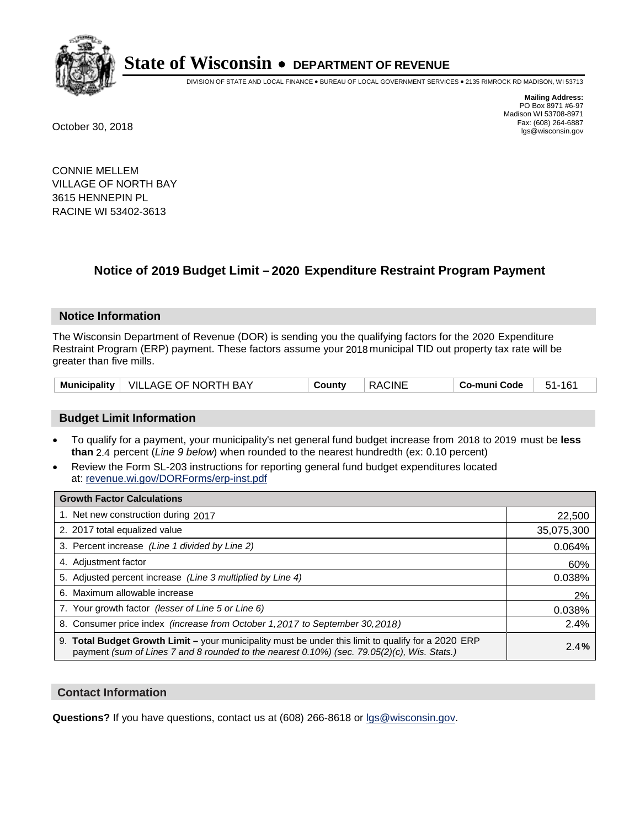

DIVISION OF STATE AND LOCAL FINANCE • BUREAU OF LOCAL GOVERNMENT SERVICES • 2135 RIMROCK RD MADISON, WI 53713

**Mailing Address:** PO Box 8971 #6-97 Madison WI 53708-8971<br>Fax: (608) 264-6887 Fax: (608) 264-6887 October 30, 2018 lgs@wisconsin.gov

CONNIE MELLEM VILLAGE OF NORTH BAY 3615 HENNEPIN PL RACINE WI 53402-3613

### **Notice of 2019 Budget Limit - 2020 Expenditure Restraint Program Payment**

#### **Notice Information**

The Wisconsin Department of Revenue (DOR) is sending you the qualifying factors for the 2020 Expenditure Restraint Program (ERP) payment. These factors assume your 2018 municipal TID out property tax rate will be greater than five mills.

| Municipality   VILLAGE OF NORTH BAY |  | County | <b>RACINE</b> | Co-muni Code | 51-161 |
|-------------------------------------|--|--------|---------------|--------------|--------|
|-------------------------------------|--|--------|---------------|--------------|--------|

#### **Budget Limit Information**

- To qualify for a payment, your municipality's net general fund budget increase from 2018 to 2019 must be less **than** 2.4 percent (*Line 9 below*) when rounded to the nearest hundredth (ex: 0.10 percent)
- Review the Form SL-203 instructions for reporting general fund budget expenditures located at: revenue.wi.gov/DORForms/erp-inst.pdf

| <b>Growth Factor Calculations</b>                                                                                                                                                                      |            |
|--------------------------------------------------------------------------------------------------------------------------------------------------------------------------------------------------------|------------|
| 1. Net new construction during 2017                                                                                                                                                                    | 22,500     |
| 2. 2017 total equalized value                                                                                                                                                                          | 35,075,300 |
| 3. Percent increase (Line 1 divided by Line 2)                                                                                                                                                         | 0.064%     |
| 4. Adjustment factor                                                                                                                                                                                   | 60%        |
| 5. Adjusted percent increase (Line 3 multiplied by Line 4)                                                                                                                                             | 0.038%     |
| 6. Maximum allowable increase                                                                                                                                                                          | 2%         |
| 7. Your growth factor (lesser of Line 5 or Line 6)                                                                                                                                                     | 0.038%     |
| 8. Consumer price index (increase from October 1,2017 to September 30,2018)                                                                                                                            | 2.4%       |
| 9. Total Budget Growth Limit - your municipality must be under this limit to qualify for a 2020 ERP<br>payment (sum of Lines 7 and 8 rounded to the nearest $0.10\%$ ) (sec. 79.05(2)(c), Wis. Stats.) | 2.4%       |

#### **Contact Information**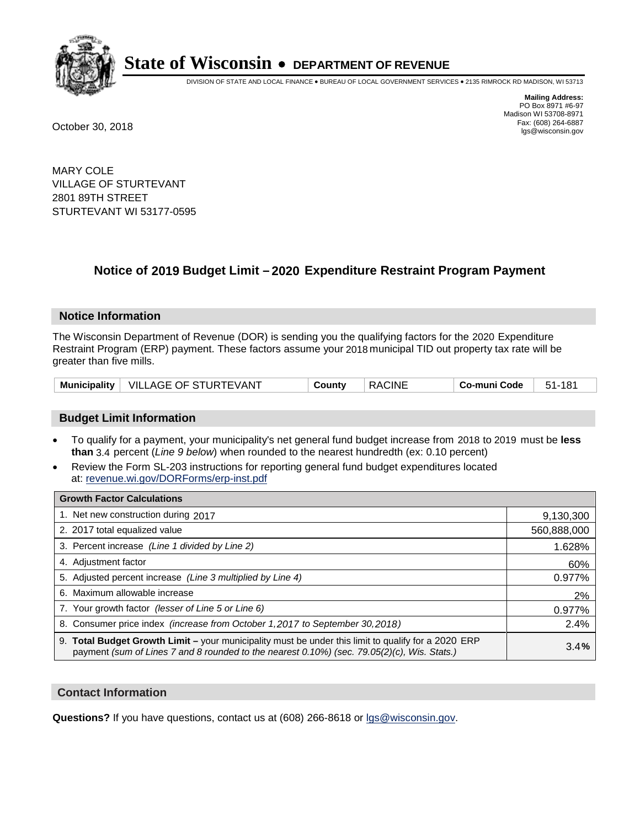

DIVISION OF STATE AND LOCAL FINANCE • BUREAU OF LOCAL GOVERNMENT SERVICES • 2135 RIMROCK RD MADISON, WI 53713

**Mailing Address:** PO Box 8971 #6-97 Madison WI 53708-8971<br>Fax: (608) 264-6887 Fax: (608) 264-6887 October 30, 2018 lgs@wisconsin.gov

MARY COLE VILLAGE OF STURTEVANT 2801 89TH STREET STURTEVANT WI 53177-0595

### **Notice of 2019 Budget Limit - 2020 Expenditure Restraint Program Payment**

#### **Notice Information**

The Wisconsin Department of Revenue (DOR) is sending you the qualifying factors for the 2020 Expenditure Restraint Program (ERP) payment. These factors assume your 2018 municipal TID out property tax rate will be greater than five mills.

|  | Municipality   VILLAGE OF STURTEVANT | County | <b>RACINE</b> | Co-muni Code | 51-181 |
|--|--------------------------------------|--------|---------------|--------------|--------|
|--|--------------------------------------|--------|---------------|--------------|--------|

#### **Budget Limit Information**

- To qualify for a payment, your municipality's net general fund budget increase from 2018 to 2019 must be less **than** 3.4 percent (*Line 9 below*) when rounded to the nearest hundredth (ex: 0.10 percent)
- Review the Form SL-203 instructions for reporting general fund budget expenditures located at: revenue.wi.gov/DORForms/erp-inst.pdf

| <b>Growth Factor Calculations</b>                                                                                                                                                                      |             |
|--------------------------------------------------------------------------------------------------------------------------------------------------------------------------------------------------------|-------------|
| 1. Net new construction during 2017                                                                                                                                                                    | 9,130,300   |
| 2. 2017 total equalized value                                                                                                                                                                          | 560,888,000 |
| 3. Percent increase (Line 1 divided by Line 2)                                                                                                                                                         | 1.628%      |
| 4. Adjustment factor                                                                                                                                                                                   | 60%         |
| 5. Adjusted percent increase (Line 3 multiplied by Line 4)                                                                                                                                             | 0.977%      |
| 6. Maximum allowable increase                                                                                                                                                                          | 2%          |
| 7. Your growth factor (lesser of Line 5 or Line 6)                                                                                                                                                     | 0.977%      |
| 8. Consumer price index (increase from October 1,2017 to September 30,2018)                                                                                                                            | 2.4%        |
| 9. Total Budget Growth Limit - your municipality must be under this limit to qualify for a 2020 ERP<br>payment (sum of Lines 7 and 8 rounded to the nearest $0.10\%$ ) (sec. 79.05(2)(c), Wis. Stats.) | 3.4%        |

#### **Contact Information**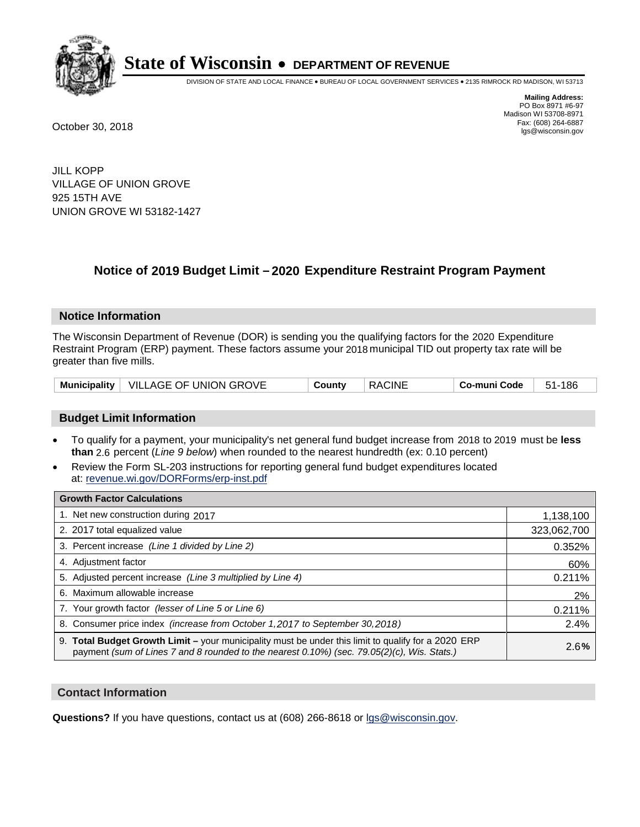

DIVISION OF STATE AND LOCAL FINANCE • BUREAU OF LOCAL GOVERNMENT SERVICES • 2135 RIMROCK RD MADISON, WI 53713

**Mailing Address:** PO Box 8971 #6-97 Madison WI 53708-8971<br>Fax: (608) 264-6887 Fax: (608) 264-6887 October 30, 2018 lgs@wisconsin.gov

JILL KOPP VILLAGE OF UNION GROVE 925 15TH AVE UNION GROVE WI 53182-1427

### **Notice of 2019 Budget Limit - 2020 Expenditure Restraint Program Payment**

#### **Notice Information**

The Wisconsin Department of Revenue (DOR) is sending you the qualifying factors for the 2020 Expenditure Restraint Program (ERP) payment. These factors assume your 2018 municipal TID out property tax rate will be greater than five mills.

|  | Municipality   VILLAGE OF UNION GROVE | County | <b>RACINE</b> | Co-muni Code | 51-186 |
|--|---------------------------------------|--------|---------------|--------------|--------|
|--|---------------------------------------|--------|---------------|--------------|--------|

#### **Budget Limit Information**

- To qualify for a payment, your municipality's net general fund budget increase from 2018 to 2019 must be less **than** 2.6 percent (*Line 9 below*) when rounded to the nearest hundredth (ex: 0.10 percent)
- Review the Form SL-203 instructions for reporting general fund budget expenditures located at: revenue.wi.gov/DORForms/erp-inst.pdf

| <b>Growth Factor Calculations</b>                                                                                                                                                                      |             |
|--------------------------------------------------------------------------------------------------------------------------------------------------------------------------------------------------------|-------------|
| 1. Net new construction during 2017                                                                                                                                                                    | 1,138,100   |
| 2. 2017 total equalized value                                                                                                                                                                          | 323,062,700 |
| 3. Percent increase (Line 1 divided by Line 2)                                                                                                                                                         | 0.352%      |
| 4. Adjustment factor                                                                                                                                                                                   | 60%         |
| 5. Adjusted percent increase (Line 3 multiplied by Line 4)                                                                                                                                             | 0.211%      |
| 6. Maximum allowable increase                                                                                                                                                                          | 2%          |
| 7. Your growth factor (lesser of Line 5 or Line 6)                                                                                                                                                     | 0.211%      |
| 8. Consumer price index (increase from October 1, 2017 to September 30, 2018)                                                                                                                          | 2.4%        |
| 9. Total Budget Growth Limit - your municipality must be under this limit to qualify for a 2020 ERP<br>payment (sum of Lines 7 and 8 rounded to the nearest $0.10\%$ ) (sec. 79.05(2)(c), Wis. Stats.) | 2.6%        |

#### **Contact Information**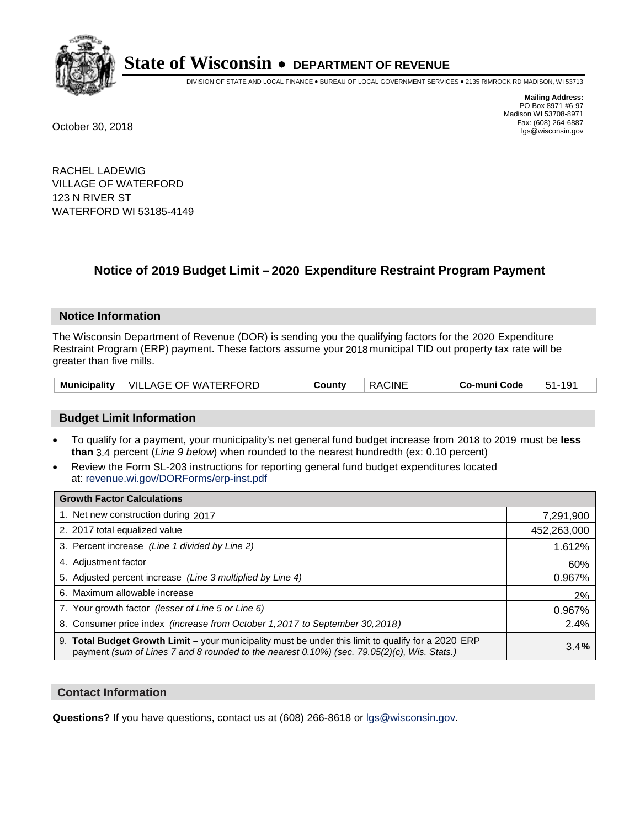

DIVISION OF STATE AND LOCAL FINANCE • BUREAU OF LOCAL GOVERNMENT SERVICES • 2135 RIMROCK RD MADISON, WI 53713

**Mailing Address:** PO Box 8971 #6-97 Madison WI 53708-8971<br>Fax: (608) 264-6887 Fax: (608) 264-6887 October 30, 2018 lgs@wisconsin.gov

RACHEL LADEWIG VILLAGE OF WATERFORD 123 N RIVER ST WATERFORD WI 53185-4149

### **Notice of 2019 Budget Limit - 2020 Expenditure Restraint Program Payment**

#### **Notice Information**

The Wisconsin Department of Revenue (DOR) is sending you the qualifying factors for the 2020 Expenditure Restraint Program (ERP) payment. These factors assume your 2018 municipal TID out property tax rate will be greater than five mills.

|  | Municipality   VILLAGE OF WATERFORD | County | <b>RACINE</b> | Co-muni Code | $51-$ |
|--|-------------------------------------|--------|---------------|--------------|-------|
|--|-------------------------------------|--------|---------------|--------------|-------|

#### **Budget Limit Information**

- To qualify for a payment, your municipality's net general fund budget increase from 2018 to 2019 must be less **than** 3.4 percent (*Line 9 below*) when rounded to the nearest hundredth (ex: 0.10 percent)
- Review the Form SL-203 instructions for reporting general fund budget expenditures located at: revenue.wi.gov/DORForms/erp-inst.pdf

| <b>Growth Factor Calculations</b>                                                                                                                                                                      |             |
|--------------------------------------------------------------------------------------------------------------------------------------------------------------------------------------------------------|-------------|
| 1. Net new construction during 2017                                                                                                                                                                    | 7,291,900   |
| 2. 2017 total equalized value                                                                                                                                                                          | 452,263,000 |
| 3. Percent increase (Line 1 divided by Line 2)                                                                                                                                                         | 1.612%      |
| 4. Adjustment factor                                                                                                                                                                                   | 60%         |
| 5. Adjusted percent increase (Line 3 multiplied by Line 4)                                                                                                                                             | 0.967%      |
| 6. Maximum allowable increase                                                                                                                                                                          | 2%          |
| 7. Your growth factor (lesser of Line 5 or Line 6)                                                                                                                                                     | 0.967%      |
| 8. Consumer price index (increase from October 1,2017 to September 30,2018)                                                                                                                            | 2.4%        |
| 9. Total Budget Growth Limit - your municipality must be under this limit to qualify for a 2020 ERP<br>payment (sum of Lines 7 and 8 rounded to the nearest $0.10\%$ ) (sec. 79.05(2)(c), Wis. Stats.) | 3.4%        |

#### **Contact Information**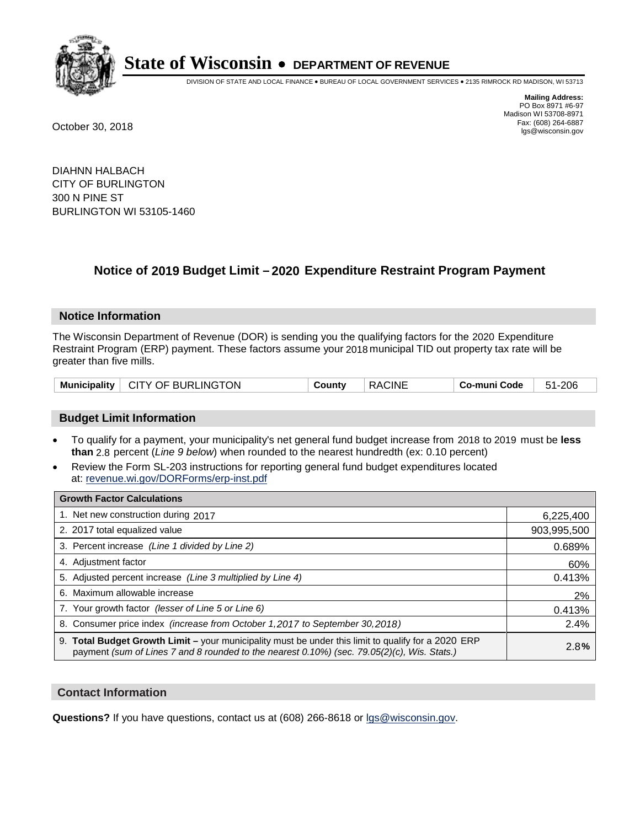

DIVISION OF STATE AND LOCAL FINANCE • BUREAU OF LOCAL GOVERNMENT SERVICES • 2135 RIMROCK RD MADISON, WI 53713

**Mailing Address:** PO Box 8971 #6-97 Madison WI 53708-8971<br>Fax: (608) 264-6887 Fax: (608) 264-6887 October 30, 2018 lgs@wisconsin.gov

DIAHNN HALBACH CITY OF BURLINGTON 300 N PINE ST BURLINGTON WI 53105-1460

### **Notice of 2019 Budget Limit - 2020 Expenditure Restraint Program Payment**

#### **Notice Information**

The Wisconsin Department of Revenue (DOR) is sending you the qualifying factors for the 2020 Expenditure Restraint Program (ERP) payment. These factors assume your 2018 municipal TID out property tax rate will be greater than five mills.

| Municipality   CITY OF BURLINGTON | County | <b>RACINE</b> | Co-muni Code | 51-206 |
|-----------------------------------|--------|---------------|--------------|--------|
|-----------------------------------|--------|---------------|--------------|--------|

#### **Budget Limit Information**

- To qualify for a payment, your municipality's net general fund budget increase from 2018 to 2019 must be less **than** 2.8 percent (*Line 9 below*) when rounded to the nearest hundredth (ex: 0.10 percent)
- Review the Form SL-203 instructions for reporting general fund budget expenditures located at: revenue.wi.gov/DORForms/erp-inst.pdf

| <b>Growth Factor Calculations</b>                                                                                                                                                                      |             |
|--------------------------------------------------------------------------------------------------------------------------------------------------------------------------------------------------------|-------------|
| 1. Net new construction during 2017                                                                                                                                                                    | 6,225,400   |
| 2. 2017 total equalized value                                                                                                                                                                          | 903,995,500 |
| 3. Percent increase (Line 1 divided by Line 2)                                                                                                                                                         | 0.689%      |
| 4. Adjustment factor                                                                                                                                                                                   | 60%         |
| 5. Adjusted percent increase (Line 3 multiplied by Line 4)                                                                                                                                             | 0.413%      |
| 6. Maximum allowable increase                                                                                                                                                                          | 2%          |
| 7. Your growth factor (lesser of Line 5 or Line 6)                                                                                                                                                     | 0.413%      |
| 8. Consumer price index (increase from October 1, 2017 to September 30, 2018)                                                                                                                          | 2.4%        |
| 9. Total Budget Growth Limit - your municipality must be under this limit to qualify for a 2020 ERP<br>payment (sum of Lines 7 and 8 rounded to the nearest $0.10\%$ ) (sec. 79.05(2)(c), Wis. Stats.) | 2.8%        |

#### **Contact Information**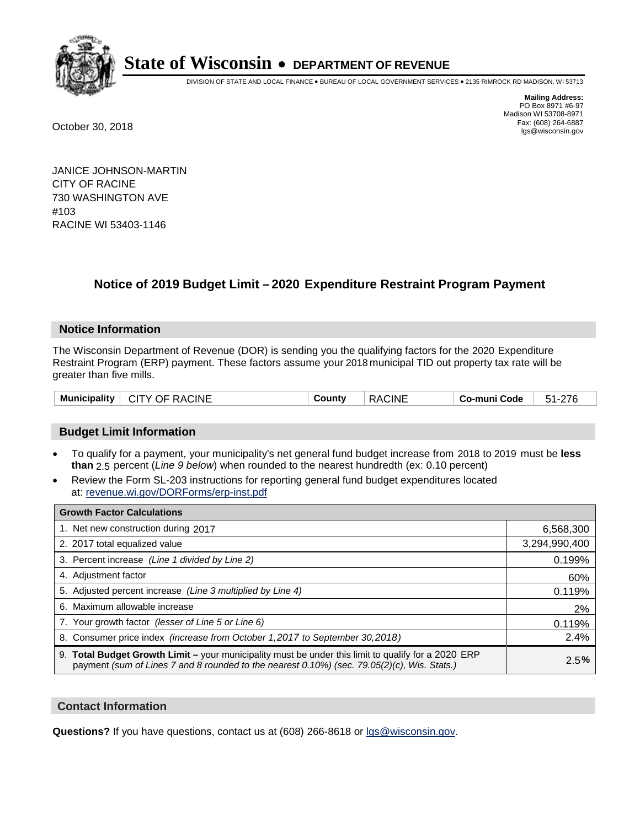

DIVISION OF STATE AND LOCAL FINANCE • BUREAU OF LOCAL GOVERNMENT SERVICES • 2135 RIMROCK RD MADISON, WI 53713

**Mailing Address:** PO Box 8971 #6-97 Madison WI 53708-8971<br>Fax: (608) 264-6887 Fax: (608) 264-6887 October 30, 2018 lgs@wisconsin.gov

JANICE JOHNSON-MARTIN CITY OF RACINE 730 WASHINGTON AVE #103 RACINE WI 53403-1146

### **Notice of 2019 Budget Limit – 2020 Expenditure Restraint Program Payment**

#### **Notice Information**

The Wisconsin Department of Revenue (DOR) is sending you the qualifying factors for the 2020 Expenditure Restraint Program (ERP) payment. These factors assume your 2018 municipal TID out property tax rate will be greater than five mills.

|  | <b>Municipality</b><br>7.INF<br>. .<br>, Σ (<br>$\mathbf{v}$<br>١Н<br>$\overline{\phantom{a}}$ | ≅untv<br>- | RA.<br>7INE<br>n, | Code<br>nuni<br>ം പാ | $\sim$ $\sim$ $\sim$<br><u>ь-</u> |
|--|------------------------------------------------------------------------------------------------|------------|-------------------|----------------------|-----------------------------------|
|--|------------------------------------------------------------------------------------------------|------------|-------------------|----------------------|-----------------------------------|

#### **Budget Limit Information**

- To qualify for a payment, your municipality's net general fund budget increase from 2018 to 2019 must be less than 2.5 percent (*Line 9 below*) when rounded to the nearest hundredth (ex: 0.10 percent)
- Review the Form SL-203 instructions for reporting general fund budget expenditures located at: revenue.wi.gov/DORForms/erp-inst.pdf

| <b>Growth Factor Calculations</b>                                                                                                                                                                  |               |
|----------------------------------------------------------------------------------------------------------------------------------------------------------------------------------------------------|---------------|
| 1. Net new construction during 2017                                                                                                                                                                | 6,568,300     |
| 2. 2017 total equalized value                                                                                                                                                                      | 3,294,990,400 |
| 3. Percent increase (Line 1 divided by Line 2)                                                                                                                                                     | 0.199%        |
| 4. Adjustment factor                                                                                                                                                                               | 60%           |
| 5. Adjusted percent increase (Line 3 multiplied by Line 4)                                                                                                                                         | 0.119%        |
| 6. Maximum allowable increase                                                                                                                                                                      | 2%            |
| 7. Your growth factor (lesser of Line 5 or Line 6)                                                                                                                                                 | 0.119%        |
| 8. Consumer price index (increase from October 1,2017 to September 30,2018)                                                                                                                        | 2.4%          |
| 9. Total Budget Growth Limit - your municipality must be under this limit to qualify for a 2020 ERP<br>payment (sum of Lines 7 and 8 rounded to the nearest 0.10%) (sec. 79.05(2)(c), Wis. Stats.) | 2.5%          |

#### **Contact Information**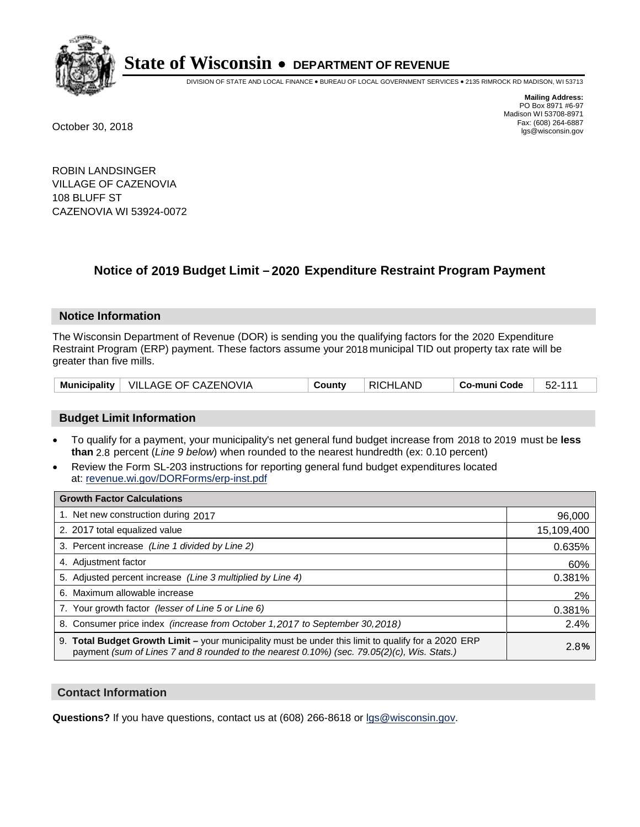

DIVISION OF STATE AND LOCAL FINANCE • BUREAU OF LOCAL GOVERNMENT SERVICES • 2135 RIMROCK RD MADISON, WI 53713

**Mailing Address:** PO Box 8971 #6-97 Madison WI 53708-8971<br>Fax: (608) 264-6887 Fax: (608) 264-6887 October 30, 2018 lgs@wisconsin.gov

ROBIN LANDSINGER VILLAGE OF CAZENOVIA 108 BLUFF ST CAZENOVIA WI 53924-0072

### **Notice of 2019 Budget Limit - 2020 Expenditure Restraint Program Payment**

#### **Notice Information**

The Wisconsin Department of Revenue (DOR) is sending you the qualifying factors for the 2020 Expenditure Restraint Program (ERP) payment. These factors assume your 2018 municipal TID out property tax rate will be greater than five mills.

|  | Municipality   VILLAGE OF CAZENOVIA | County | <b>RICHLAND</b> | Co-muni Code | 52-111 |
|--|-------------------------------------|--------|-----------------|--------------|--------|
|--|-------------------------------------|--------|-----------------|--------------|--------|

#### **Budget Limit Information**

- To qualify for a payment, your municipality's net general fund budget increase from 2018 to 2019 must be less **than** 2.8 percent (*Line 9 below*) when rounded to the nearest hundredth (ex: 0.10 percent)
- Review the Form SL-203 instructions for reporting general fund budget expenditures located at: revenue.wi.gov/DORForms/erp-inst.pdf

| <b>Growth Factor Calculations</b>                                                                                                                                                                      |            |
|--------------------------------------------------------------------------------------------------------------------------------------------------------------------------------------------------------|------------|
| 1. Net new construction during 2017                                                                                                                                                                    | 96,000     |
| 2. 2017 total equalized value                                                                                                                                                                          | 15,109,400 |
| 3. Percent increase (Line 1 divided by Line 2)                                                                                                                                                         | 0.635%     |
| 4. Adjustment factor                                                                                                                                                                                   | 60%        |
| 5. Adjusted percent increase (Line 3 multiplied by Line 4)                                                                                                                                             | 0.381%     |
| 6. Maximum allowable increase                                                                                                                                                                          | 2%         |
| 7. Your growth factor (lesser of Line 5 or Line 6)                                                                                                                                                     | 0.381%     |
| 8. Consumer price index (increase from October 1,2017 to September 30,2018)                                                                                                                            | 2.4%       |
| 9. Total Budget Growth Limit - your municipality must be under this limit to qualify for a 2020 ERP<br>payment (sum of Lines 7 and 8 rounded to the nearest $0.10\%$ ) (sec. 79.05(2)(c), Wis. Stats.) | 2.8%       |

#### **Contact Information**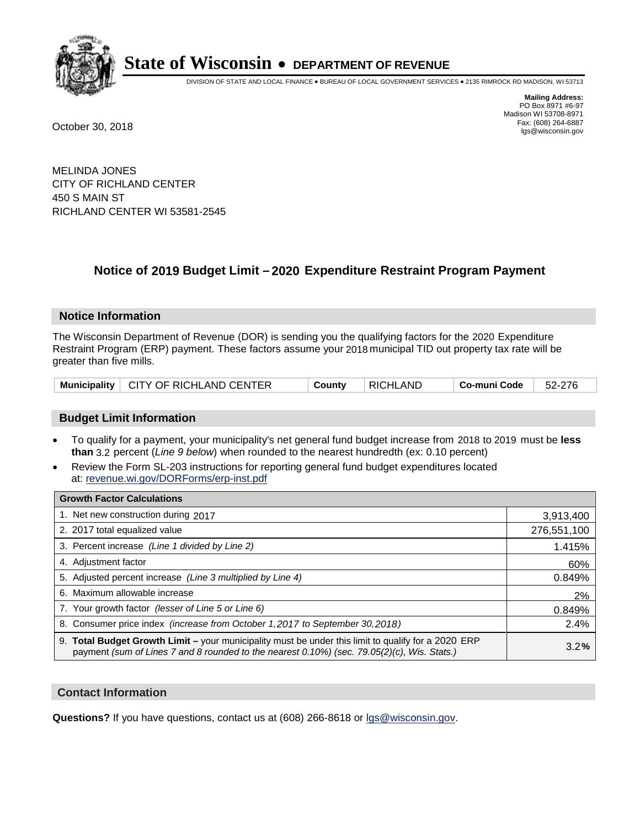

DIVISION OF STATE AND LOCAL FINANCE • BUREAU OF LOCAL GOVERNMENT SERVICES • 2135 RIMROCK RD MADISON, WI 53713

**Mailing Address:** PO Box 8971 #6-97 Madison WI 53708-8971<br>Fax: (608) 264-6887 Fax: (608) 264-6887 October 30, 2018 lgs@wisconsin.gov

MELINDA JONES CITY OF RICHLAND CENTER 450 S MAIN ST RICHLAND CENTER WI 53581-2545

### **Notice of 2019 Budget Limit - 2020 Expenditure Restraint Program Payment**

#### **Notice Information**

The Wisconsin Department of Revenue (DOR) is sending you the qualifying factors for the 2020 Expenditure Restraint Program (ERP) payment. These factors assume your 2018 municipal TID out property tax rate will be greater than five mills.

|  | Municipality   CITY OF RICHLAND CENTER | County | RICHLAND | . Co-muni Code | 52-276 |
|--|----------------------------------------|--------|----------|----------------|--------|
|--|----------------------------------------|--------|----------|----------------|--------|

#### **Budget Limit Information**

- To qualify for a payment, your municipality's net general fund budget increase from 2018 to 2019 must be less **than** 3.2 percent (*Line 9 below*) when rounded to the nearest hundredth (ex: 0.10 percent)
- Review the Form SL-203 instructions for reporting general fund budget expenditures located at: revenue.wi.gov/DORForms/erp-inst.pdf

| <b>Growth Factor Calculations</b>                                                                                                                                                                      |             |
|--------------------------------------------------------------------------------------------------------------------------------------------------------------------------------------------------------|-------------|
| 1. Net new construction during 2017                                                                                                                                                                    | 3,913,400   |
| 2. 2017 total equalized value                                                                                                                                                                          | 276,551,100 |
| 3. Percent increase (Line 1 divided by Line 2)                                                                                                                                                         | 1.415%      |
| 4. Adjustment factor                                                                                                                                                                                   | 60%         |
| 5. Adjusted percent increase (Line 3 multiplied by Line 4)                                                                                                                                             | 0.849%      |
| 6. Maximum allowable increase                                                                                                                                                                          | 2%          |
| 7. Your growth factor (lesser of Line 5 or Line 6)                                                                                                                                                     | 0.849%      |
| 8. Consumer price index (increase from October 1,2017 to September 30,2018)                                                                                                                            | 2.4%        |
| 9. Total Budget Growth Limit - your municipality must be under this limit to qualify for a 2020 ERP<br>payment (sum of Lines 7 and 8 rounded to the nearest $0.10\%$ ) (sec. 79.05(2)(c), Wis. Stats.) | 3.2%        |

#### **Contact Information**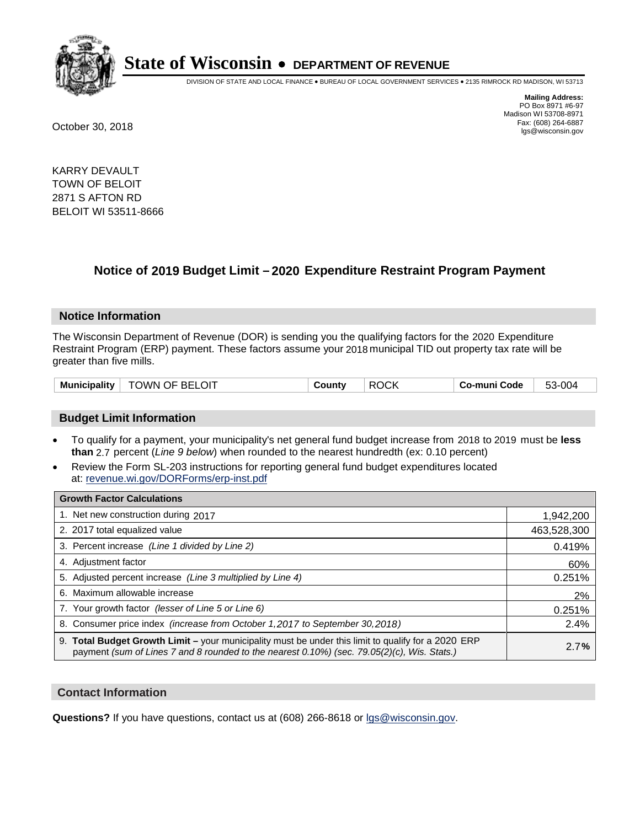

DIVISION OF STATE AND LOCAL FINANCE • BUREAU OF LOCAL GOVERNMENT SERVICES • 2135 RIMROCK RD MADISON, WI 53713

**Mailing Address:** PO Box 8971 #6-97 Madison WI 53708-8971<br>Fax: (608) 264-6887 Fax: (608) 264-6887 October 30, 2018 lgs@wisconsin.gov

KARRY DEVAULT TOWN OF BELOIT 2871 S AFTON RD BELOIT WI 53511-8666

### **Notice of 2019 Budget Limit - 2020 Expenditure Restraint Program Payment**

#### **Notice Information**

The Wisconsin Department of Revenue (DOR) is sending you the qualifying factors for the 2020 Expenditure Restraint Program (ERP) payment. These factors assume your 2018 municipal TID out property tax rate will be greater than five mills.

| TOWN OF BELOIT      | <b>ROCK</b> | 53-004       |  |
|---------------------|-------------|--------------|--|
| <b>Municipality</b> | County      | Co-muni Code |  |

#### **Budget Limit Information**

- To qualify for a payment, your municipality's net general fund budget increase from 2018 to 2019 must be less **than** 2.7 percent (*Line 9 below*) when rounded to the nearest hundredth (ex: 0.10 percent)
- Review the Form SL-203 instructions for reporting general fund budget expenditures located at: revenue.wi.gov/DORForms/erp-inst.pdf

| <b>Growth Factor Calculations</b>                                                                                                                                                                  |             |
|----------------------------------------------------------------------------------------------------------------------------------------------------------------------------------------------------|-------------|
| 1. Net new construction during 2017                                                                                                                                                                | 1,942,200   |
| 2. 2017 total equalized value                                                                                                                                                                      | 463,528,300 |
| 3. Percent increase (Line 1 divided by Line 2)                                                                                                                                                     | 0.419%      |
| 4. Adjustment factor                                                                                                                                                                               | 60%         |
| 5. Adjusted percent increase (Line 3 multiplied by Line 4)                                                                                                                                         | 0.251%      |
| 6. Maximum allowable increase                                                                                                                                                                      | 2%          |
| 7. Your growth factor (lesser of Line 5 or Line 6)                                                                                                                                                 | 0.251%      |
| 8. Consumer price index (increase from October 1, 2017 to September 30, 2018)                                                                                                                      | 2.4%        |
| 9. Total Budget Growth Limit - your municipality must be under this limit to qualify for a 2020 ERP<br>payment (sum of Lines 7 and 8 rounded to the nearest 0.10%) (sec. 79.05(2)(c), Wis. Stats.) | 2.7%        |

#### **Contact Information**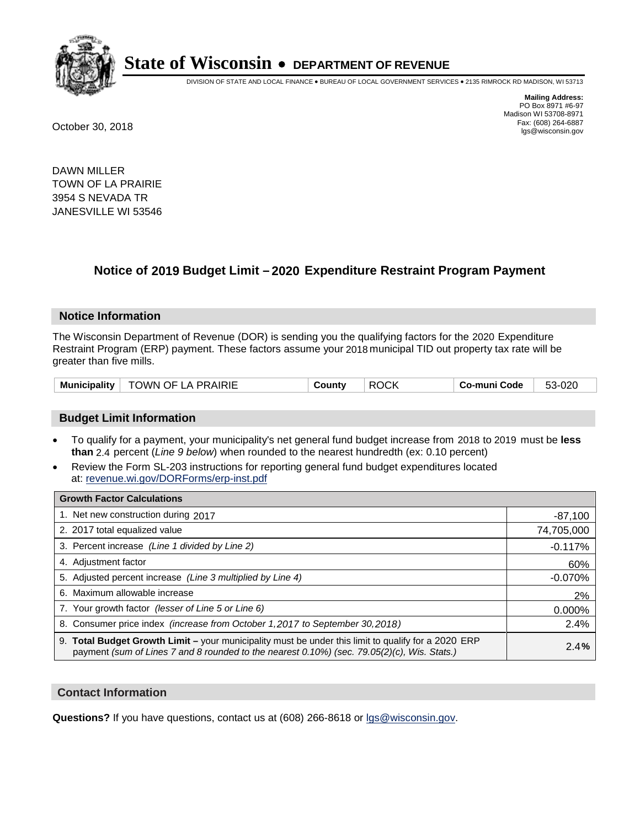

DIVISION OF STATE AND LOCAL FINANCE • BUREAU OF LOCAL GOVERNMENT SERVICES • 2135 RIMROCK RD MADISON, WI 53713

**Mailing Address:** PO Box 8971 #6-97 Madison WI 53708-8971<br>Fax: (608) 264-6887 Fax: (608) 264-6887 October 30, 2018 lgs@wisconsin.gov

DAWN MILLER TOWN OF LA PRAIRIE 3954 S NEVADA TR JANESVILLE WI 53546

### **Notice of 2019 Budget Limit - 2020 Expenditure Restraint Program Payment**

#### **Notice Information**

The Wisconsin Department of Revenue (DOR) is sending you the qualifying factors for the 2020 Expenditure Restraint Program (ERP) payment. These factors assume your 2018 municipal TID out property tax rate will be greater than five mills.

| Municipality | TOWN OF LA PRAIRIE | Countv | <b>ROCK</b> | Co-muni Code | 53-020 |
|--------------|--------------------|--------|-------------|--------------|--------|
|--------------|--------------------|--------|-------------|--------------|--------|

#### **Budget Limit Information**

- To qualify for a payment, your municipality's net general fund budget increase from 2018 to 2019 must be less **than** 2.4 percent (*Line 9 below*) when rounded to the nearest hundredth (ex: 0.10 percent)
- Review the Form SL-203 instructions for reporting general fund budget expenditures located at: revenue.wi.gov/DORForms/erp-inst.pdf

| <b>Growth Factor Calculations</b>                                                                                                                                                                  |            |
|----------------------------------------------------------------------------------------------------------------------------------------------------------------------------------------------------|------------|
| 1. Net new construction during 2017                                                                                                                                                                | $-87,100$  |
| 2. 2017 total equalized value                                                                                                                                                                      | 74,705,000 |
| 3. Percent increase (Line 1 divided by Line 2)                                                                                                                                                     | $-0.117%$  |
| 4. Adjustment factor                                                                                                                                                                               | 60%        |
| 5. Adjusted percent increase (Line 3 multiplied by Line 4)                                                                                                                                         | $-0.070%$  |
| 6. Maximum allowable increase                                                                                                                                                                      | 2%         |
| 7. Your growth factor (lesser of Line 5 or Line 6)                                                                                                                                                 | 0.000%     |
| 8. Consumer price index (increase from October 1, 2017 to September 30, 2018)                                                                                                                      | 2.4%       |
| 9. Total Budget Growth Limit - your municipality must be under this limit to qualify for a 2020 ERP<br>payment (sum of Lines 7 and 8 rounded to the nearest 0.10%) (sec. 79.05(2)(c), Wis. Stats.) | 2.4%       |

#### **Contact Information**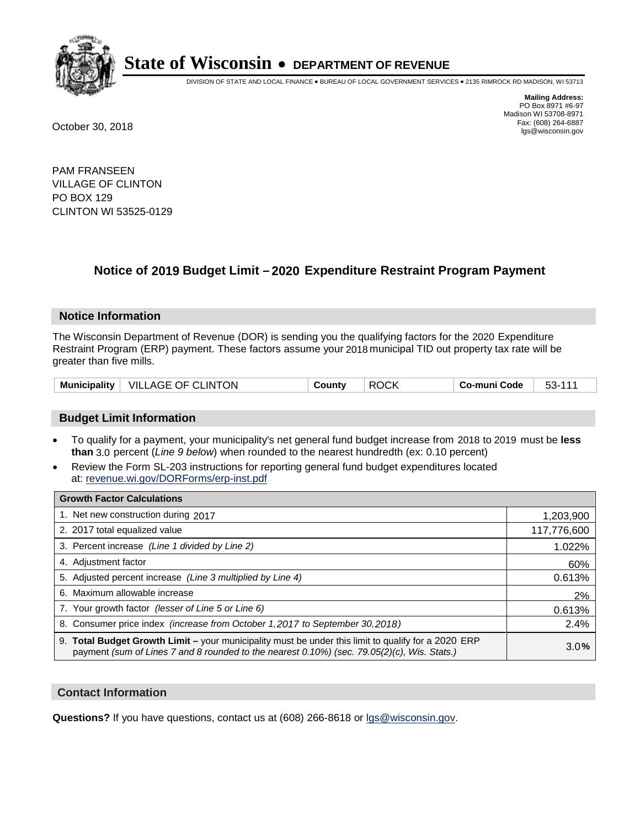

DIVISION OF STATE AND LOCAL FINANCE • BUREAU OF LOCAL GOVERNMENT SERVICES • 2135 RIMROCK RD MADISON, WI 53713

**Mailing Address:** PO Box 8971 #6-97 Madison WI 53708-8971<br>Fax: (608) 264-6887 Fax: (608) 264-6887 October 30, 2018 lgs@wisconsin.gov

PAM FRANSEEN VILLAGE OF CLINTON PO BOX 129 CLINTON WI 53525-0129

### **Notice of 2019 Budget Limit - 2020 Expenditure Restraint Program Payment**

#### **Notice Information**

The Wisconsin Department of Revenue (DOR) is sending you the qualifying factors for the 2020 Expenditure Restraint Program (ERP) payment. These factors assume your 2018 municipal TID out property tax rate will be greater than five mills.

| <b>Municipality</b> | VILLAGE OF CLINTON | ∟ount∨ | $\sim$<br>RC<br>.) ( . K | o-muni Code، ن | ეკ- |
|---------------------|--------------------|--------|--------------------------|----------------|-----|
|---------------------|--------------------|--------|--------------------------|----------------|-----|

#### **Budget Limit Information**

- To qualify for a payment, your municipality's net general fund budget increase from 2018 to 2019 must be less **than** 3.0 percent (*Line 9 below*) when rounded to the nearest hundredth (ex: 0.10 percent)
- Review the Form SL-203 instructions for reporting general fund budget expenditures located at: revenue.wi.gov/DORForms/erp-inst.pdf

| <b>Growth Factor Calculations</b>                                                                                                                                                                      |             |
|--------------------------------------------------------------------------------------------------------------------------------------------------------------------------------------------------------|-------------|
| 1. Net new construction during 2017                                                                                                                                                                    | 1,203,900   |
| 2. 2017 total equalized value                                                                                                                                                                          | 117,776,600 |
| 3. Percent increase (Line 1 divided by Line 2)                                                                                                                                                         | 1.022%      |
| 4. Adjustment factor                                                                                                                                                                                   | 60%         |
| 5. Adjusted percent increase (Line 3 multiplied by Line 4)                                                                                                                                             | 0.613%      |
| 6. Maximum allowable increase                                                                                                                                                                          | 2%          |
| 7. Your growth factor (lesser of Line 5 or Line 6)                                                                                                                                                     | 0.613%      |
| 8. Consumer price index (increase from October 1,2017 to September 30,2018)                                                                                                                            | 2.4%        |
| 9. Total Budget Growth Limit - your municipality must be under this limit to qualify for a 2020 ERP<br>payment (sum of Lines 7 and 8 rounded to the nearest $0.10\%$ ) (sec. 79.05(2)(c), Wis. Stats.) | 3.0%        |

#### **Contact Information**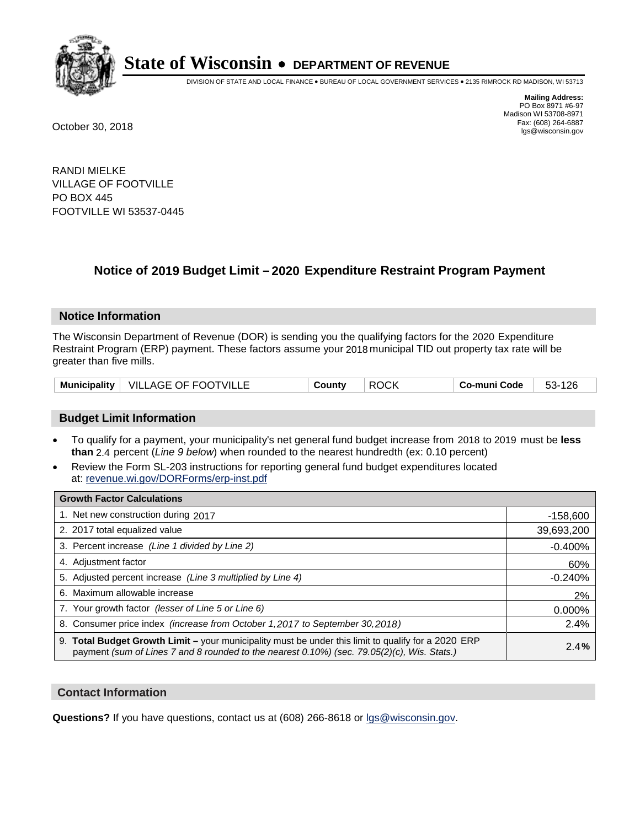

DIVISION OF STATE AND LOCAL FINANCE • BUREAU OF LOCAL GOVERNMENT SERVICES • 2135 RIMROCK RD MADISON, WI 53713

**Mailing Address:** PO Box 8971 #6-97 Madison WI 53708-8971<br>Fax: (608) 264-6887 Fax: (608) 264-6887 October 30, 2018 lgs@wisconsin.gov

RANDI MIELKE VILLAGE OF FOOTVILLE PO BOX 445 FOOTVILLE WI 53537-0445

### **Notice of 2019 Budget Limit - 2020 Expenditure Restraint Program Payment**

#### **Notice Information**

The Wisconsin Department of Revenue (DOR) is sending you the qualifying factors for the 2020 Expenditure Restraint Program (ERP) payment. These factors assume your 2018 municipal TID out property tax rate will be greater than five mills.

| Municipality   VILLAGE OF FOOTVILLE | County | <b>ROCK</b> | Co-muni Code | 53-126 |
|-------------------------------------|--------|-------------|--------------|--------|
|-------------------------------------|--------|-------------|--------------|--------|

#### **Budget Limit Information**

- To qualify for a payment, your municipality's net general fund budget increase from 2018 to 2019 must be less **than** 2.4 percent (*Line 9 below*) when rounded to the nearest hundredth (ex: 0.10 percent)
- Review the Form SL-203 instructions for reporting general fund budget expenditures located at: revenue.wi.gov/DORForms/erp-inst.pdf

| <b>Growth Factor Calculations</b>                                                                                                                                                                  |            |
|----------------------------------------------------------------------------------------------------------------------------------------------------------------------------------------------------|------------|
| 1. Net new construction during 2017                                                                                                                                                                | $-158,600$ |
| 2. 2017 total equalized value                                                                                                                                                                      | 39,693,200 |
| 3. Percent increase (Line 1 divided by Line 2)                                                                                                                                                     | $-0.400%$  |
| 4. Adjustment factor                                                                                                                                                                               | 60%        |
| 5. Adjusted percent increase (Line 3 multiplied by Line 4)                                                                                                                                         | $-0.240%$  |
| 6. Maximum allowable increase                                                                                                                                                                      | 2%         |
| 7. Your growth factor (lesser of Line 5 or Line 6)                                                                                                                                                 | 0.000%     |
| 8. Consumer price index (increase from October 1, 2017 to September 30, 2018)                                                                                                                      | 2.4%       |
| 9. Total Budget Growth Limit - your municipality must be under this limit to qualify for a 2020 ERP<br>payment (sum of Lines 7 and 8 rounded to the nearest 0.10%) (sec. 79.05(2)(c), Wis. Stats.) | 2.4%       |

#### **Contact Information**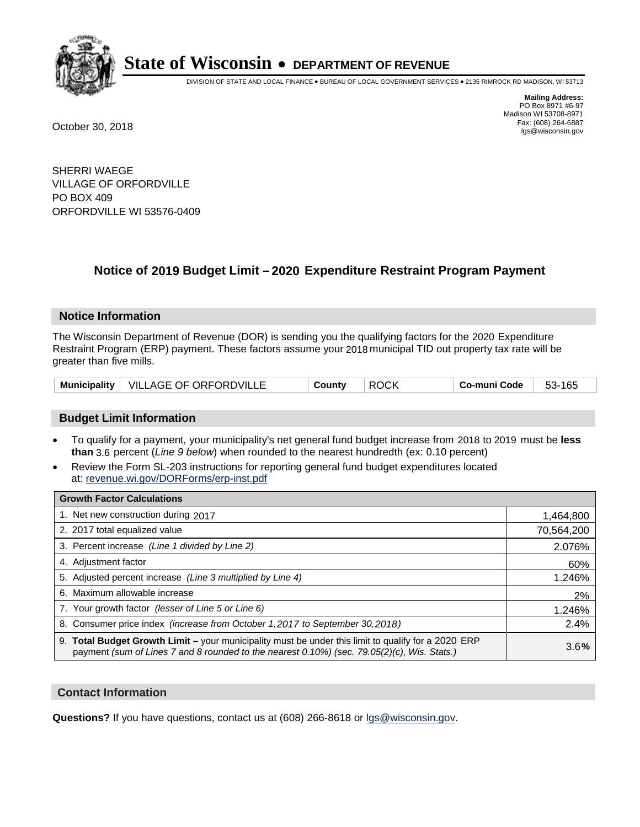

DIVISION OF STATE AND LOCAL FINANCE • BUREAU OF LOCAL GOVERNMENT SERVICES • 2135 RIMROCK RD MADISON, WI 53713

**Mailing Address:** PO Box 8971 #6-97 Madison WI 53708-8971<br>Fax: (608) 264-6887 Fax: (608) 264-6887 October 30, 2018 lgs@wisconsin.gov

SHERRI WAEGE VILLAGE OF ORFORDVILLE PO BOX 409 ORFORDVILLE WI 53576-0409

### **Notice of 2019 Budget Limit - 2020 Expenditure Restraint Program Payment**

#### **Notice Information**

The Wisconsin Department of Revenue (DOR) is sending you the qualifying factors for the 2020 Expenditure Restraint Program (ERP) payment. These factors assume your 2018 municipal TID out property tax rate will be greater than five mills.

|  | Municipality   VILLAGE OF ORFORDVILLE | County | <b>ROCK</b> | Co-muni Code | 53-165 |
|--|---------------------------------------|--------|-------------|--------------|--------|
|--|---------------------------------------|--------|-------------|--------------|--------|

#### **Budget Limit Information**

- To qualify for a payment, your municipality's net general fund budget increase from 2018 to 2019 must be less **than** 3.6 percent (*Line 9 below*) when rounded to the nearest hundredth (ex: 0.10 percent)
- Review the Form SL-203 instructions for reporting general fund budget expenditures located at: revenue.wi.gov/DORForms/erp-inst.pdf

| <b>Growth Factor Calculations</b>                                                                                                                                                                      |            |
|--------------------------------------------------------------------------------------------------------------------------------------------------------------------------------------------------------|------------|
| 1. Net new construction during 2017                                                                                                                                                                    | 1,464,800  |
| 2. 2017 total equalized value                                                                                                                                                                          | 70,564,200 |
| 3. Percent increase (Line 1 divided by Line 2)                                                                                                                                                         | 2.076%     |
| 4. Adjustment factor                                                                                                                                                                                   | 60%        |
| 5. Adjusted percent increase (Line 3 multiplied by Line 4)                                                                                                                                             | 1.246%     |
| 6. Maximum allowable increase                                                                                                                                                                          | 2%         |
| 7. Your growth factor (lesser of Line 5 or Line 6)                                                                                                                                                     | 1.246%     |
| 8. Consumer price index (increase from October 1, 2017 to September 30, 2018)                                                                                                                          | 2.4%       |
| 9. Total Budget Growth Limit - your municipality must be under this limit to qualify for a 2020 ERP<br>payment (sum of Lines 7 and 8 rounded to the nearest $0.10\%$ ) (sec. 79.05(2)(c), Wis. Stats.) | 3.6%       |

#### **Contact Information**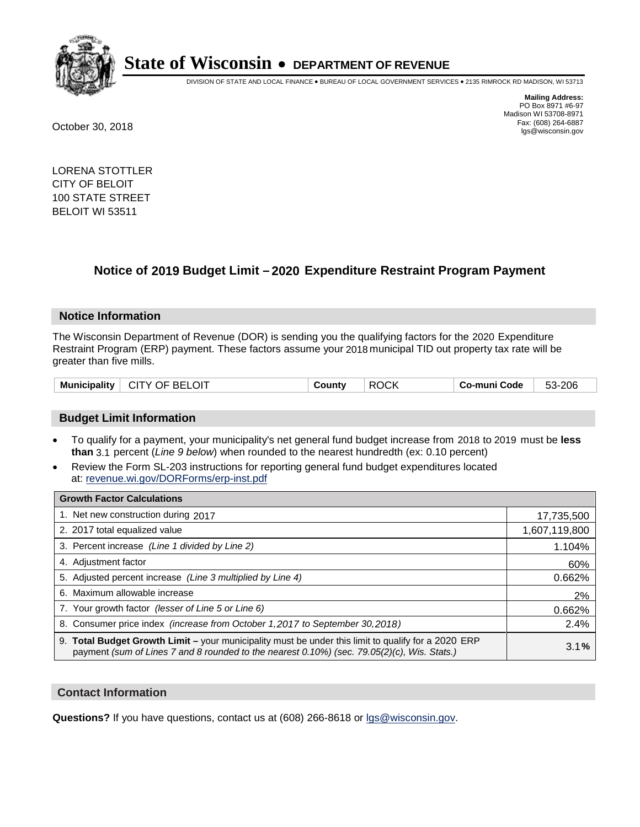

DIVISION OF STATE AND LOCAL FINANCE • BUREAU OF LOCAL GOVERNMENT SERVICES • 2135 RIMROCK RD MADISON, WI 53713

**Mailing Address:** PO Box 8971 #6-97 Madison WI 53708-8971<br>Fax: (608) 264-6887 Fax: (608) 264-6887 October 30, 2018 lgs@wisconsin.gov

LORENA STOTTLER CITY OF BELOIT 100 STATE STREET BELOIT WI 53511

### **Notice of 2019 Budget Limit - 2020 Expenditure Restraint Program Payment**

#### **Notice Information**

The Wisconsin Department of Revenue (DOR) is sending you the qualifying factors for the 2020 Expenditure Restraint Program (ERP) payment. These factors assume your 2018 municipal TID out property tax rate will be greater than five mills.

|  | <b>Municipality</b> | $\mid$ CITY OF BELOIT | County | <b>ROCK</b> | ∣ Co-muni Code | 53-206 |
|--|---------------------|-----------------------|--------|-------------|----------------|--------|
|--|---------------------|-----------------------|--------|-------------|----------------|--------|

#### **Budget Limit Information**

- To qualify for a payment, your municipality's net general fund budget increase from 2018 to 2019 must be less **than** 3.1 percent (*Line 9 below*) when rounded to the nearest hundredth (ex: 0.10 percent)
- Review the Form SL-203 instructions for reporting general fund budget expenditures located at: revenue.wi.gov/DORForms/erp-inst.pdf

| <b>Growth Factor Calculations</b>                                                                                                                                                                  |               |
|----------------------------------------------------------------------------------------------------------------------------------------------------------------------------------------------------|---------------|
| 1. Net new construction during 2017                                                                                                                                                                | 17,735,500    |
| 2. 2017 total equalized value                                                                                                                                                                      | 1,607,119,800 |
| 3. Percent increase (Line 1 divided by Line 2)                                                                                                                                                     | 1.104%        |
| 4. Adjustment factor                                                                                                                                                                               | 60%           |
| 5. Adjusted percent increase (Line 3 multiplied by Line 4)                                                                                                                                         | 0.662%        |
| 6. Maximum allowable increase                                                                                                                                                                      | 2%            |
| 7. Your growth factor (lesser of Line 5 or Line 6)                                                                                                                                                 | 0.662%        |
| 8. Consumer price index (increase from October 1, 2017 to September 30, 2018)                                                                                                                      | 2.4%          |
| 9. Total Budget Growth Limit - your municipality must be under this limit to qualify for a 2020 ERP<br>payment (sum of Lines 7 and 8 rounded to the nearest 0.10%) (sec. 79.05(2)(c), Wis. Stats.) | 3.1%          |

#### **Contact Information**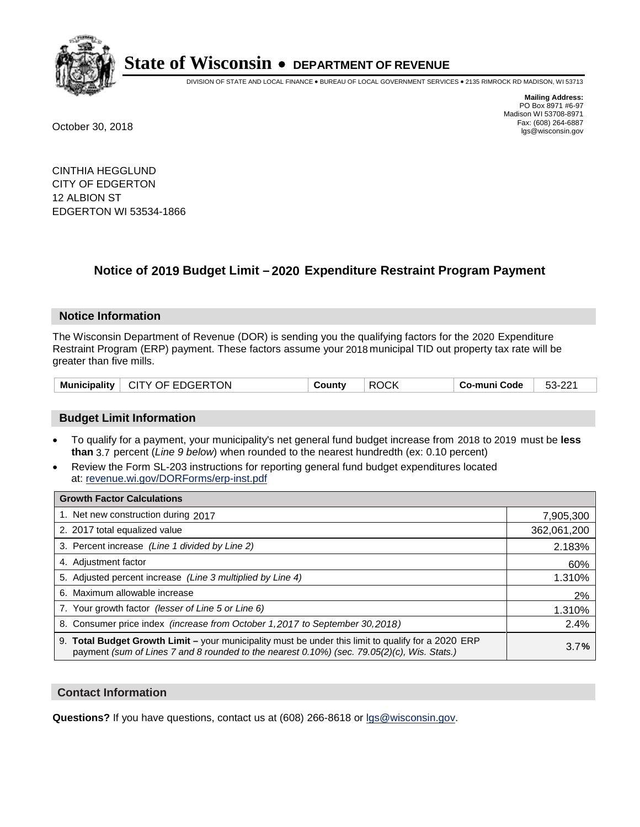

DIVISION OF STATE AND LOCAL FINANCE • BUREAU OF LOCAL GOVERNMENT SERVICES • 2135 RIMROCK RD MADISON, WI 53713

**Mailing Address:** PO Box 8971 #6-97 Madison WI 53708-8971<br>Fax: (608) 264-6887 Fax: (608) 264-6887 October 30, 2018 lgs@wisconsin.gov

CINTHIA HEGGLUND CITY OF EDGERTON 12 ALBION ST EDGERTON WI 53534-1866

### **Notice of 2019 Budget Limit - 2020 Expenditure Restraint Program Payment**

#### **Notice Information**

The Wisconsin Department of Revenue (DOR) is sending you the qualifying factors for the 2020 Expenditure Restraint Program (ERP) payment. These factors assume your 2018 municipal TID out property tax rate will be greater than five mills.

| Municipality   CITY OF EDGERTON |  | County | <b>ROCK</b> | Co-muni Code | 53-221 |
|---------------------------------|--|--------|-------------|--------------|--------|
|---------------------------------|--|--------|-------------|--------------|--------|

#### **Budget Limit Information**

- To qualify for a payment, your municipality's net general fund budget increase from 2018 to 2019 must be less **than** 3.7 percent (*Line 9 below*) when rounded to the nearest hundredth (ex: 0.10 percent)
- Review the Form SL-203 instructions for reporting general fund budget expenditures located at: revenue.wi.gov/DORForms/erp-inst.pdf

| <b>Growth Factor Calculations</b>                                                                                                                                                                      |             |
|--------------------------------------------------------------------------------------------------------------------------------------------------------------------------------------------------------|-------------|
| 1. Net new construction during 2017                                                                                                                                                                    | 7,905,300   |
| 2. 2017 total equalized value                                                                                                                                                                          | 362,061,200 |
| 3. Percent increase (Line 1 divided by Line 2)                                                                                                                                                         | 2.183%      |
| 4. Adjustment factor                                                                                                                                                                                   | 60%         |
| 5. Adjusted percent increase (Line 3 multiplied by Line 4)                                                                                                                                             | 1.310%      |
| 6. Maximum allowable increase                                                                                                                                                                          | 2%          |
| 7. Your growth factor (lesser of Line 5 or Line 6)                                                                                                                                                     | 1.310%      |
| 8. Consumer price index (increase from October 1, 2017 to September 30, 2018)                                                                                                                          | 2.4%        |
| 9. Total Budget Growth Limit - your municipality must be under this limit to qualify for a 2020 ERP<br>payment (sum of Lines 7 and 8 rounded to the nearest $0.10\%$ ) (sec. 79.05(2)(c), Wis. Stats.) | 3.7%        |

#### **Contact Information**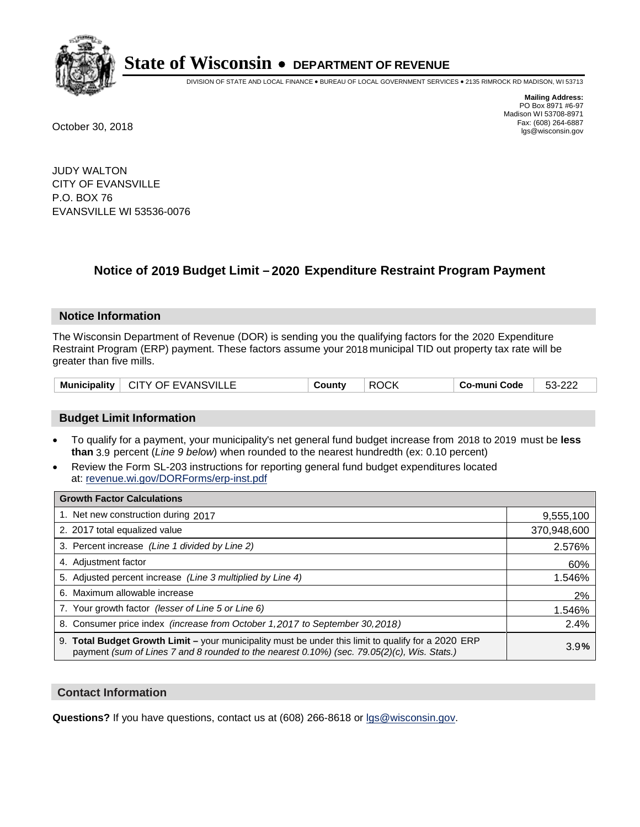

DIVISION OF STATE AND LOCAL FINANCE • BUREAU OF LOCAL GOVERNMENT SERVICES • 2135 RIMROCK RD MADISON, WI 53713

**Mailing Address:** PO Box 8971 #6-97 Madison WI 53708-8971<br>Fax: (608) 264-6887 Fax: (608) 264-6887 October 30, 2018 lgs@wisconsin.gov

JUDY WALTON CITY OF EVANSVILLE P.O. BOX 76 EVANSVILLE WI 53536-0076

### **Notice of 2019 Budget Limit - 2020 Expenditure Restraint Program Payment**

#### **Notice Information**

The Wisconsin Department of Revenue (DOR) is sending you the qualifying factors for the 2020 Expenditure Restraint Program (ERP) payment. These factors assume your 2018 municipal TID out property tax rate will be greater than five mills.

| Municipality   CITY OF EVANSVILLE | County | <b>ROCK</b> | . Co-muni Code | 53-222 |
|-----------------------------------|--------|-------------|----------------|--------|
|-----------------------------------|--------|-------------|----------------|--------|

#### **Budget Limit Information**

- To qualify for a payment, your municipality's net general fund budget increase from 2018 to 2019 must be less **than** 3.9 percent (*Line 9 below*) when rounded to the nearest hundredth (ex: 0.10 percent)
- Review the Form SL-203 instructions for reporting general fund budget expenditures located at: revenue.wi.gov/DORForms/erp-inst.pdf

| <b>Growth Factor Calculations</b>                                                                                                                                                                  |             |
|----------------------------------------------------------------------------------------------------------------------------------------------------------------------------------------------------|-------------|
| 1. Net new construction during 2017                                                                                                                                                                | 9,555,100   |
| 2. 2017 total equalized value                                                                                                                                                                      | 370,948,600 |
| 3. Percent increase (Line 1 divided by Line 2)                                                                                                                                                     | 2.576%      |
| 4. Adiustment factor                                                                                                                                                                               | 60%         |
| 5. Adjusted percent increase (Line 3 multiplied by Line 4)                                                                                                                                         | 1.546%      |
| 6. Maximum allowable increase                                                                                                                                                                      | 2%          |
| 7. Your growth factor (lesser of Line 5 or Line 6)                                                                                                                                                 | 1.546%      |
| 8. Consumer price index (increase from October 1,2017 to September 30,2018)                                                                                                                        | 2.4%        |
| 9. Total Budget Growth Limit - your municipality must be under this limit to qualify for a 2020 ERP<br>payment (sum of Lines 7 and 8 rounded to the nearest 0.10%) (sec. 79.05(2)(c), Wis. Stats.) | 3.9%        |

#### **Contact Information**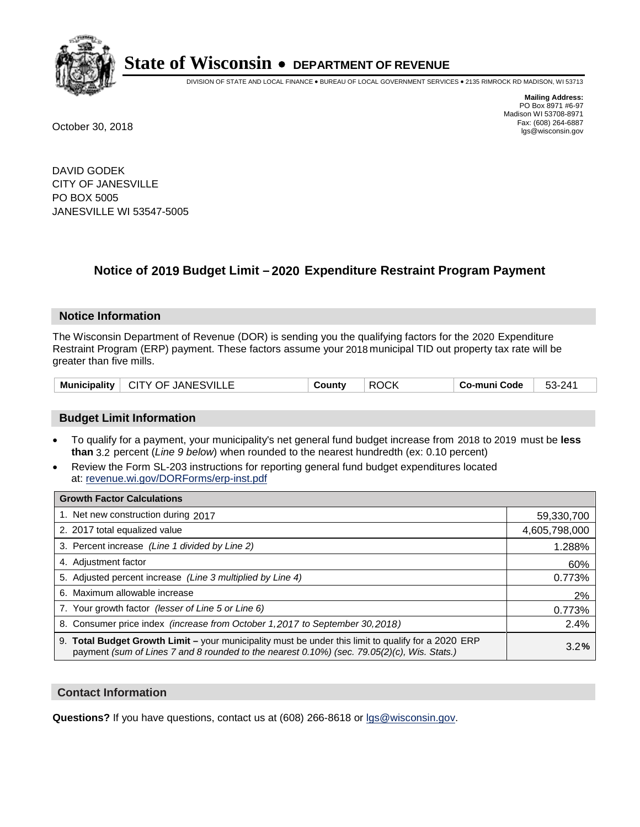

DIVISION OF STATE AND LOCAL FINANCE • BUREAU OF LOCAL GOVERNMENT SERVICES • 2135 RIMROCK RD MADISON, WI 53713

**Mailing Address:** PO Box 8971 #6-97 Madison WI 53708-8971<br>Fax: (608) 264-6887 Fax: (608) 264-6887 October 30, 2018 lgs@wisconsin.gov

DAVID GODEK CITY OF JANESVILLE PO BOX 5005 JANESVILLE WI 53547-5005

### **Notice of 2019 Budget Limit - 2020 Expenditure Restraint Program Payment**

#### **Notice Information**

The Wisconsin Department of Revenue (DOR) is sending you the qualifying factors for the 2020 Expenditure Restraint Program (ERP) payment. These factors assume your 2018 municipal TID out property tax rate will be greater than five mills.

|  | Municipality   CITY OF JANESVILLE | County | <b>ROCK</b> | Co-muni Code | 53-241 |
|--|-----------------------------------|--------|-------------|--------------|--------|
|--|-----------------------------------|--------|-------------|--------------|--------|

#### **Budget Limit Information**

- To qualify for a payment, your municipality's net general fund budget increase from 2018 to 2019 must be less **than** 3.2 percent (*Line 9 below*) when rounded to the nearest hundredth (ex: 0.10 percent)
- Review the Form SL-203 instructions for reporting general fund budget expenditures located at: revenue.wi.gov/DORForms/erp-inst.pdf

| <b>Growth Factor Calculations</b>                                                                                                                                                                      |               |
|--------------------------------------------------------------------------------------------------------------------------------------------------------------------------------------------------------|---------------|
| 1. Net new construction during 2017                                                                                                                                                                    | 59,330,700    |
| 2. 2017 total equalized value                                                                                                                                                                          | 4,605,798,000 |
| 3. Percent increase (Line 1 divided by Line 2)                                                                                                                                                         | 1.288%        |
| 4. Adjustment factor                                                                                                                                                                                   | 60%           |
| 5. Adjusted percent increase (Line 3 multiplied by Line 4)                                                                                                                                             | 0.773%        |
| 6. Maximum allowable increase                                                                                                                                                                          | 2%            |
| 7. Your growth factor (lesser of Line 5 or Line 6)                                                                                                                                                     | 0.773%        |
| 8. Consumer price index (increase from October 1,2017 to September 30,2018)                                                                                                                            | 2.4%          |
| 9. Total Budget Growth Limit - your municipality must be under this limit to qualify for a 2020 ERP<br>payment (sum of Lines 7 and 8 rounded to the nearest $0.10\%$ ) (sec. 79.05(2)(c), Wis. Stats.) | 3.2%          |

#### **Contact Information**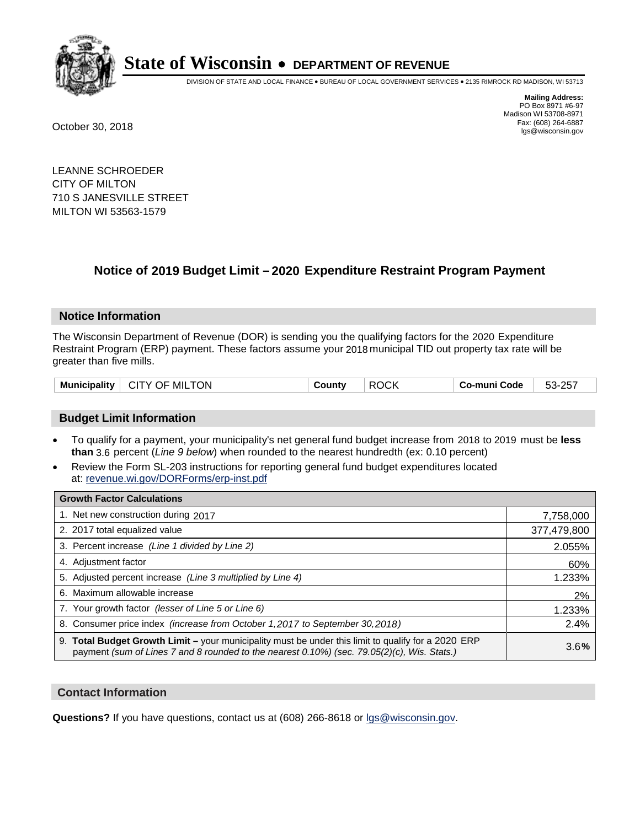

DIVISION OF STATE AND LOCAL FINANCE • BUREAU OF LOCAL GOVERNMENT SERVICES • 2135 RIMROCK RD MADISON, WI 53713

**Mailing Address:** PO Box 8971 #6-97 Madison WI 53708-8971<br>Fax: (608) 264-6887 Fax: (608) 264-6887 October 30, 2018 lgs@wisconsin.gov

LEANNE SCHROEDER CITY OF MILTON 710 S JANESVILLE STREET MILTON WI 53563-1579

### **Notice of 2019 Budget Limit - 2020 Expenditure Restraint Program Payment**

#### **Notice Information**

The Wisconsin Department of Revenue (DOR) is sending you the qualifying factors for the 2020 Expenditure Restraint Program (ERP) payment. These factors assume your 2018 municipal TID out property tax rate will be greater than five mills.

| .TON<br>Municipality<br>MIL<br>CITY OF | <b>Count</b> ∨∶ | $\sim$<br><b>ROCK</b> | Code<br>muni<br>CO- | . ລະ<br>. 53.<br>′ ت∠<br>$\cdot$ |
|----------------------------------------|-----------------|-----------------------|---------------------|----------------------------------|
|----------------------------------------|-----------------|-----------------------|---------------------|----------------------------------|

#### **Budget Limit Information**

- To qualify for a payment, your municipality's net general fund budget increase from 2018 to 2019 must be less **than** 3.6 percent (*Line 9 below*) when rounded to the nearest hundredth (ex: 0.10 percent)
- Review the Form SL-203 instructions for reporting general fund budget expenditures located at: revenue.wi.gov/DORForms/erp-inst.pdf

| <b>Growth Factor Calculations</b>                                                                                                                                                                      |             |
|--------------------------------------------------------------------------------------------------------------------------------------------------------------------------------------------------------|-------------|
| 1. Net new construction during 2017                                                                                                                                                                    | 7,758,000   |
| 2. 2017 total equalized value                                                                                                                                                                          | 377,479,800 |
| 3. Percent increase (Line 1 divided by Line 2)                                                                                                                                                         | 2.055%      |
| 4. Adjustment factor                                                                                                                                                                                   | 60%         |
| 5. Adjusted percent increase (Line 3 multiplied by Line 4)                                                                                                                                             | 1.233%      |
| 6. Maximum allowable increase                                                                                                                                                                          | 2%          |
| 7. Your growth factor (lesser of Line 5 or Line 6)                                                                                                                                                     | 1.233%      |
| 8. Consumer price index (increase from October 1, 2017 to September 30, 2018)                                                                                                                          | 2.4%        |
| 9. Total Budget Growth Limit - your municipality must be under this limit to qualify for a 2020 ERP<br>payment (sum of Lines 7 and 8 rounded to the nearest $0.10\%$ ) (sec. 79.05(2)(c), Wis. Stats.) | 3.6%        |

#### **Contact Information**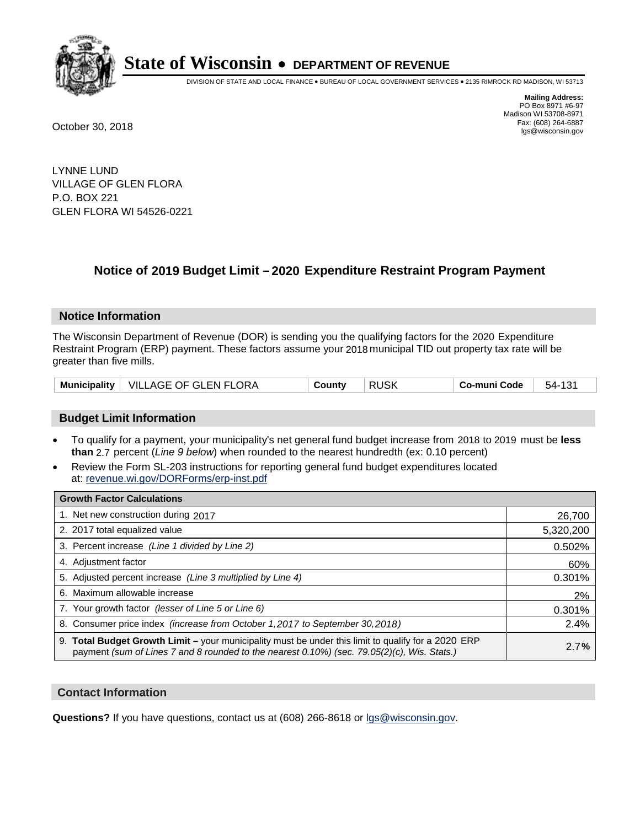

DIVISION OF STATE AND LOCAL FINANCE • BUREAU OF LOCAL GOVERNMENT SERVICES • 2135 RIMROCK RD MADISON, WI 53713

**Mailing Address:** PO Box 8971 #6-97 Madison WI 53708-8971<br>Fax: (608) 264-6887 Fax: (608) 264-6887 October 30, 2018 lgs@wisconsin.gov

LYNNE LUND VILLAGE OF GLEN FLORA P.O. BOX 221 GLEN FLORA WI 54526-0221

### **Notice of 2019 Budget Limit - 2020 Expenditure Restraint Program Payment**

#### **Notice Information**

The Wisconsin Department of Revenue (DOR) is sending you the qualifying factors for the 2020 Expenditure Restraint Program (ERP) payment. These factors assume your 2018 municipal TID out property tax rate will be greater than five mills.

|  | Municipality   VILLAGE OF GLEN FLORA | County | <b>RUSK</b> | Co-muni Code | 54-131 |
|--|--------------------------------------|--------|-------------|--------------|--------|
|--|--------------------------------------|--------|-------------|--------------|--------|

#### **Budget Limit Information**

- To qualify for a payment, your municipality's net general fund budget increase from 2018 to 2019 must be less **than** 2.7 percent (*Line 9 below*) when rounded to the nearest hundredth (ex: 0.10 percent)
- Review the Form SL-203 instructions for reporting general fund budget expenditures located at: revenue.wi.gov/DORForms/erp-inst.pdf

| <b>Growth Factor Calculations</b>                                                                                                                                                                      |           |
|--------------------------------------------------------------------------------------------------------------------------------------------------------------------------------------------------------|-----------|
| 1. Net new construction during 2017                                                                                                                                                                    | 26,700    |
| 2. 2017 total equalized value                                                                                                                                                                          | 5,320,200 |
| 3. Percent increase (Line 1 divided by Line 2)                                                                                                                                                         | 0.502%    |
| 4. Adjustment factor                                                                                                                                                                                   | 60%       |
| 5. Adjusted percent increase (Line 3 multiplied by Line 4)                                                                                                                                             | 0.301%    |
| 6. Maximum allowable increase                                                                                                                                                                          | 2%        |
| 7. Your growth factor (lesser of Line 5 or Line 6)                                                                                                                                                     | 0.301%    |
| 8. Consumer price index (increase from October 1,2017 to September 30,2018)                                                                                                                            | 2.4%      |
| 9. Total Budget Growth Limit - your municipality must be under this limit to qualify for a 2020 ERP<br>payment (sum of Lines 7 and 8 rounded to the nearest $0.10\%$ ) (sec. 79.05(2)(c), Wis. Stats.) | 2.7%      |

#### **Contact Information**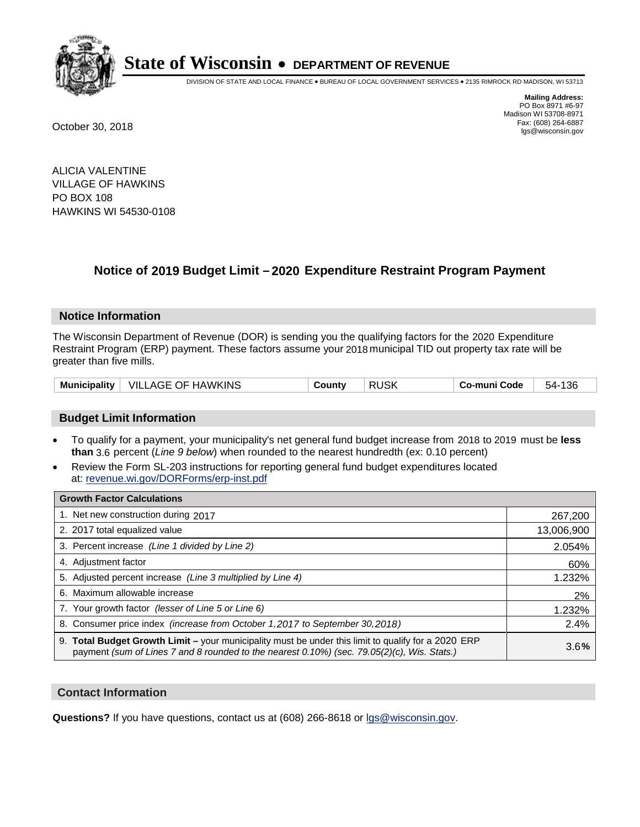

DIVISION OF STATE AND LOCAL FINANCE • BUREAU OF LOCAL GOVERNMENT SERVICES • 2135 RIMROCK RD MADISON, WI 53713

**Mailing Address:** PO Box 8971 #6-97 Madison WI 53708-8971<br>Fax: (608) 264-6887 Fax: (608) 264-6887 October 30, 2018 lgs@wisconsin.gov

ALICIA VALENTINE VILLAGE OF HAWKINS PO BOX 108 HAWKINS WI 54530-0108

### **Notice of 2019 Budget Limit - 2020 Expenditure Restraint Program Payment**

#### **Notice Information**

The Wisconsin Department of Revenue (DOR) is sending you the qualifying factors for the 2020 Expenditure Restraint Program (ERP) payment. These factors assume your 2018 municipal TID out property tax rate will be greater than five mills.

| <b>Municipality</b> | <b>VILLAGE OF HAWKINS</b> | ∟ount∨ت | <b>RUSK</b> | Co-muni Code | 136<br>54- |
|---------------------|---------------------------|---------|-------------|--------------|------------|
|---------------------|---------------------------|---------|-------------|--------------|------------|

#### **Budget Limit Information**

- To qualify for a payment, your municipality's net general fund budget increase from 2018 to 2019 must be less **than** 3.6 percent (*Line 9 below*) when rounded to the nearest hundredth (ex: 0.10 percent)
- Review the Form SL-203 instructions for reporting general fund budget expenditures located at: revenue.wi.gov/DORForms/erp-inst.pdf

| <b>Growth Factor Calculations</b>                                                                                                                                                                      |            |
|--------------------------------------------------------------------------------------------------------------------------------------------------------------------------------------------------------|------------|
| 1. Net new construction during 2017                                                                                                                                                                    | 267,200    |
| 2. 2017 total equalized value                                                                                                                                                                          | 13,006,900 |
| 3. Percent increase (Line 1 divided by Line 2)                                                                                                                                                         | 2.054%     |
| 4. Adjustment factor                                                                                                                                                                                   | 60%        |
| 5. Adjusted percent increase (Line 3 multiplied by Line 4)                                                                                                                                             | 1.232%     |
| 6. Maximum allowable increase                                                                                                                                                                          | 2%         |
| 7. Your growth factor (lesser of Line 5 or Line 6)                                                                                                                                                     | 1.232%     |
| 8. Consumer price index (increase from October 1,2017 to September 30,2018)                                                                                                                            | 2.4%       |
| 9. Total Budget Growth Limit - your municipality must be under this limit to qualify for a 2020 ERP<br>payment (sum of Lines 7 and 8 rounded to the nearest $0.10\%$ ) (sec. 79.05(2)(c), Wis. Stats.) | 3.6%       |

#### **Contact Information**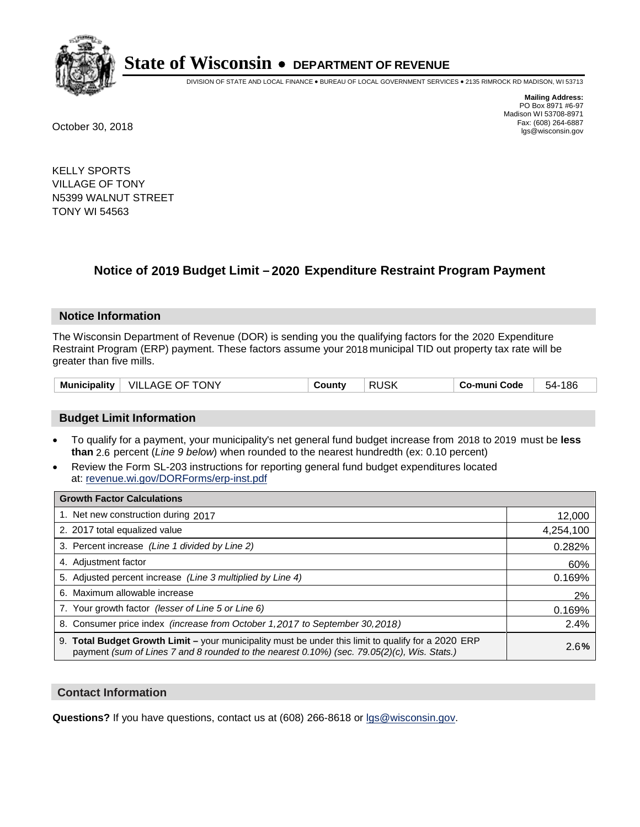

DIVISION OF STATE AND LOCAL FINANCE • BUREAU OF LOCAL GOVERNMENT SERVICES • 2135 RIMROCK RD MADISON, WI 53713

**Mailing Address:** PO Box 8971 #6-97 Madison WI 53708-8971<br>Fax: (608) 264-6887 Fax: (608) 264-6887 October 30, 2018 lgs@wisconsin.gov

KELLY SPORTS VILLAGE OF TONY N5399 WALNUT STREET TONY WI 54563

### **Notice of 2019 Budget Limit - 2020 Expenditure Restraint Program Payment**

#### **Notice Information**

The Wisconsin Department of Revenue (DOR) is sending you the qualifying factors for the 2020 Expenditure Restraint Program (ERP) payment. These factors assume your 2018 municipal TID out property tax rate will be greater than five mills.

| <b>VILLAGE OF TONY</b><br>Municipality | County | <b>RUSK</b> | Co-muni Code | 186<br>54- |
|----------------------------------------|--------|-------------|--------------|------------|
|----------------------------------------|--------|-------------|--------------|------------|

#### **Budget Limit Information**

- To qualify for a payment, your municipality's net general fund budget increase from 2018 to 2019 must be less **than** 2.6 percent (*Line 9 below*) when rounded to the nearest hundredth (ex: 0.10 percent)
- Review the Form SL-203 instructions for reporting general fund budget expenditures located at: revenue.wi.gov/DORForms/erp-inst.pdf

| <b>Growth Factor Calculations</b>                                                                                                                                                                      |           |
|--------------------------------------------------------------------------------------------------------------------------------------------------------------------------------------------------------|-----------|
| 1. Net new construction during 2017                                                                                                                                                                    | 12,000    |
| 2. 2017 total equalized value                                                                                                                                                                          | 4,254,100 |
| 3. Percent increase (Line 1 divided by Line 2)                                                                                                                                                         | 0.282%    |
| 4. Adjustment factor                                                                                                                                                                                   | 60%       |
| 5. Adjusted percent increase (Line 3 multiplied by Line 4)                                                                                                                                             | 0.169%    |
| 6. Maximum allowable increase                                                                                                                                                                          | 2%        |
| 7. Your growth factor (lesser of Line 5 or Line 6)                                                                                                                                                     | 0.169%    |
| 8. Consumer price index (increase from October 1,2017 to September 30,2018)                                                                                                                            | 2.4%      |
| 9. Total Budget Growth Limit - your municipality must be under this limit to qualify for a 2020 ERP<br>payment (sum of Lines 7 and 8 rounded to the nearest $0.10\%$ ) (sec. 79.05(2)(c), Wis. Stats.) | 2.6%      |

#### **Contact Information**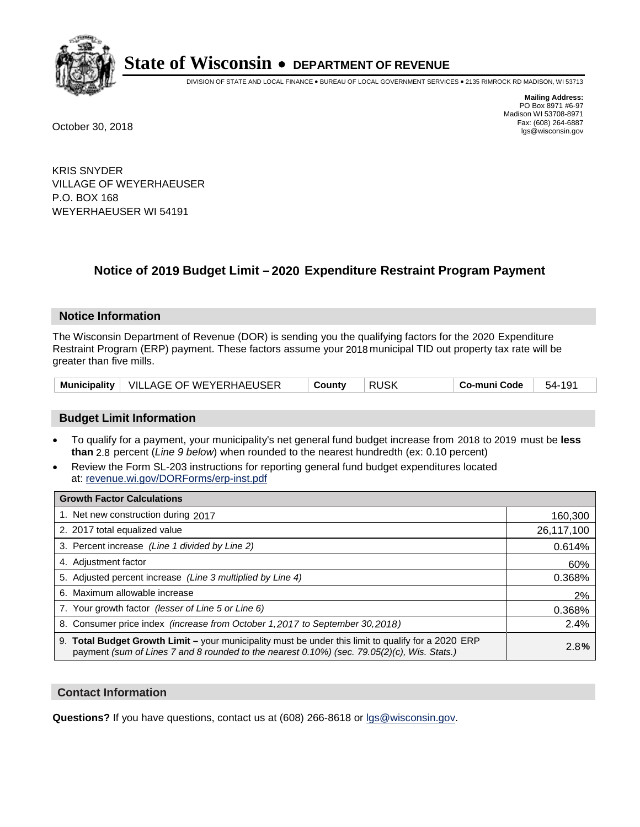

DIVISION OF STATE AND LOCAL FINANCE • BUREAU OF LOCAL GOVERNMENT SERVICES • 2135 RIMROCK RD MADISON, WI 53713

**Mailing Address:** PO Box 8971 #6-97 Madison WI 53708-8971<br>Fax: (608) 264-6887 Fax: (608) 264-6887 October 30, 2018 lgs@wisconsin.gov

KRIS SNYDER VILLAGE OF WEYERHAEUSER P.O. BOX 168 WEYERHAEUSER WI 54191

### **Notice of 2019 Budget Limit - 2020 Expenditure Restraint Program Payment**

#### **Notice Information**

The Wisconsin Department of Revenue (DOR) is sending you the qualifying factors for the 2020 Expenditure Restraint Program (ERP) payment. These factors assume your 2018 municipal TID out property tax rate will be greater than five mills.

| Municipality   VILLAGE OF WEYERHAEUSER | County | <b>RUSK</b> | Co-muni Code | 54-191 |
|----------------------------------------|--------|-------------|--------------|--------|
|----------------------------------------|--------|-------------|--------------|--------|

#### **Budget Limit Information**

- To qualify for a payment, your municipality's net general fund budget increase from 2018 to 2019 must be less **than** 2.8 percent (*Line 9 below*) when rounded to the nearest hundredth (ex: 0.10 percent)
- Review the Form SL-203 instructions for reporting general fund budget expenditures located at: revenue.wi.gov/DORForms/erp-inst.pdf

| <b>Growth Factor Calculations</b>                                                                                                                                                                  |            |
|----------------------------------------------------------------------------------------------------------------------------------------------------------------------------------------------------|------------|
| 1. Net new construction during 2017                                                                                                                                                                | 160,300    |
| 2. 2017 total equalized value                                                                                                                                                                      | 26,117,100 |
| 3. Percent increase (Line 1 divided by Line 2)                                                                                                                                                     | 0.614%     |
| 4. Adjustment factor                                                                                                                                                                               | 60%        |
| 5. Adjusted percent increase (Line 3 multiplied by Line 4)                                                                                                                                         | 0.368%     |
| 6. Maximum allowable increase                                                                                                                                                                      | 2%         |
| 7. Your growth factor (lesser of Line 5 or Line 6)                                                                                                                                                 | 0.368%     |
| 8. Consumer price index (increase from October 1, 2017 to September 30, 2018)                                                                                                                      | 2.4%       |
| 9. Total Budget Growth Limit – your municipality must be under this limit to qualify for a 2020 ERP<br>payment (sum of Lines 7 and 8 rounded to the nearest 0.10%) (sec. 79.05(2)(c), Wis. Stats.) | 2.8%       |

#### **Contact Information**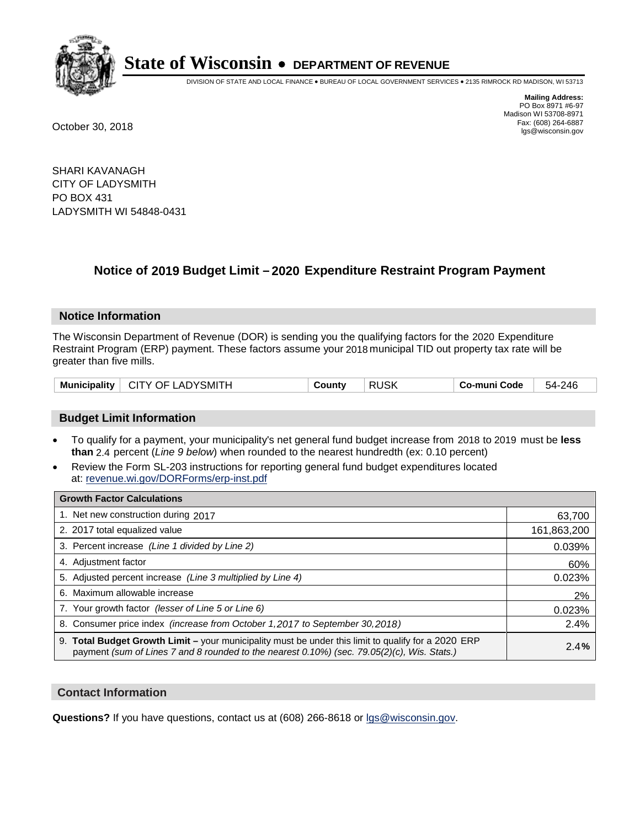

DIVISION OF STATE AND LOCAL FINANCE • BUREAU OF LOCAL GOVERNMENT SERVICES • 2135 RIMROCK RD MADISON, WI 53713

**Mailing Address:** PO Box 8971 #6-97 Madison WI 53708-8971<br>Fax: (608) 264-6887 Fax: (608) 264-6887 October 30, 2018 lgs@wisconsin.gov

SHARI KAVANAGH CITY OF LADYSMITH PO BOX 431 LADYSMITH WI 54848-0431

### **Notice of 2019 Budget Limit - 2020 Expenditure Restraint Program Payment**

#### **Notice Information**

The Wisconsin Department of Revenue (DOR) is sending you the qualifying factors for the 2020 Expenditure Restraint Program (ERP) payment. These factors assume your 2018 municipal TID out property tax rate will be greater than five mills.

| Municipality   CITY OF LADYSMITH |  | County | <b>RUSK</b> | Co-muni Code | 54-246 |
|----------------------------------|--|--------|-------------|--------------|--------|
|----------------------------------|--|--------|-------------|--------------|--------|

#### **Budget Limit Information**

- To qualify for a payment, your municipality's net general fund budget increase from 2018 to 2019 must be less **than** 2.4 percent (*Line 9 below*) when rounded to the nearest hundredth (ex: 0.10 percent)
- Review the Form SL-203 instructions for reporting general fund budget expenditures located at: revenue.wi.gov/DORForms/erp-inst.pdf

| <b>Growth Factor Calculations</b>                                                                                                                                                                  |             |
|----------------------------------------------------------------------------------------------------------------------------------------------------------------------------------------------------|-------------|
| 1. Net new construction during 2017                                                                                                                                                                | 63,700      |
| 2. 2017 total equalized value                                                                                                                                                                      | 161,863,200 |
| 3. Percent increase (Line 1 divided by Line 2)                                                                                                                                                     | 0.039%      |
| 4. Adjustment factor                                                                                                                                                                               | 60%         |
| 5. Adjusted percent increase (Line 3 multiplied by Line 4)                                                                                                                                         | 0.023%      |
| 6. Maximum allowable increase                                                                                                                                                                      | 2%          |
| 7. Your growth factor (lesser of Line 5 or Line 6)                                                                                                                                                 | 0.023%      |
| 8. Consumer price index (increase from October 1, 2017 to September 30, 2018)                                                                                                                      | 2.4%        |
| 9. Total Budget Growth Limit - your municipality must be under this limit to qualify for a 2020 ERP<br>payment (sum of Lines 7 and 8 rounded to the nearest 0.10%) (sec. 79.05(2)(c), Wis. Stats.) | 2.4%        |

#### **Contact Information**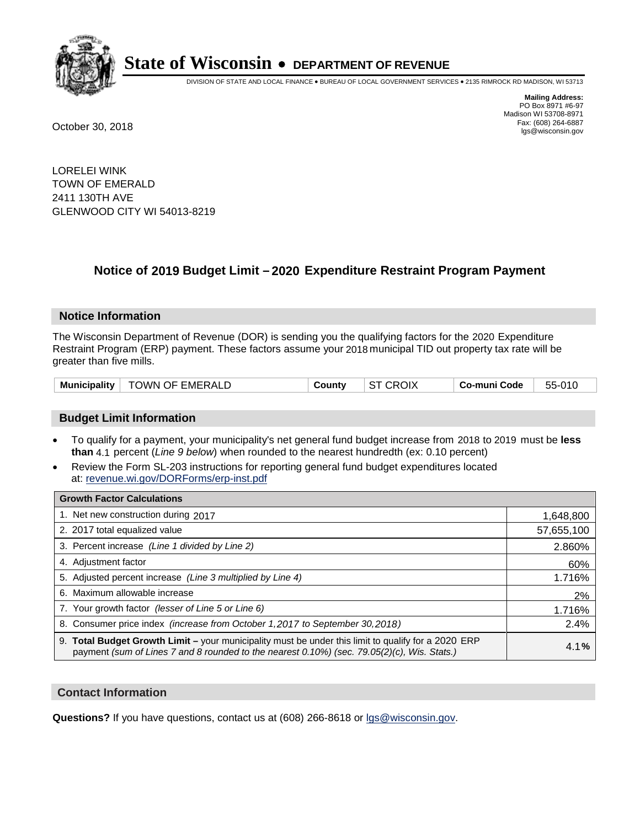

DIVISION OF STATE AND LOCAL FINANCE • BUREAU OF LOCAL GOVERNMENT SERVICES • 2135 RIMROCK RD MADISON, WI 53713

**Mailing Address:** PO Box 8971 #6-97 Madison WI 53708-8971<br>Fax: (608) 264-6887 Fax: (608) 264-6887 October 30, 2018 lgs@wisconsin.gov

LORELEI WINK TOWN OF EMERALD 2411 130TH AVE GLENWOOD CITY WI 54013-8219

### **Notice of 2019 Budget Limit - 2020 Expenditure Restraint Program Payment**

#### **Notice Information**

The Wisconsin Department of Revenue (DOR) is sending you the qualifying factors for the 2020 Expenditure Restraint Program (ERP) payment. These factors assume your 2018 municipal TID out property tax rate will be greater than five mills.

| <b>TOWN OF EMERALD</b><br>Municipality | County | <b>ST CROIX</b> | <b>Co-muni Code</b> | 55-010 |
|----------------------------------------|--------|-----------------|---------------------|--------|
|----------------------------------------|--------|-----------------|---------------------|--------|

#### **Budget Limit Information**

- To qualify for a payment, your municipality's net general fund budget increase from 2018 to 2019 must be less **than** 4.1 percent (*Line 9 below*) when rounded to the nearest hundredth (ex: 0.10 percent)
- Review the Form SL-203 instructions for reporting general fund budget expenditures located at: revenue.wi.gov/DORForms/erp-inst.pdf

| <b>Growth Factor Calculations</b>                                                                                                                                                                      |            |
|--------------------------------------------------------------------------------------------------------------------------------------------------------------------------------------------------------|------------|
| 1. Net new construction during 2017                                                                                                                                                                    | 1,648,800  |
| 2. 2017 total equalized value                                                                                                                                                                          | 57,655,100 |
| 3. Percent increase (Line 1 divided by Line 2)                                                                                                                                                         | 2.860%     |
| 4. Adjustment factor                                                                                                                                                                                   | 60%        |
| 5. Adjusted percent increase (Line 3 multiplied by Line 4)                                                                                                                                             | 1.716%     |
| 6. Maximum allowable increase                                                                                                                                                                          | 2%         |
| 7. Your growth factor (lesser of Line 5 or Line 6)                                                                                                                                                     | 1.716%     |
| 8. Consumer price index (increase from October 1,2017 to September 30,2018)                                                                                                                            | 2.4%       |
| 9. Total Budget Growth Limit - your municipality must be under this limit to qualify for a 2020 ERP<br>payment (sum of Lines 7 and 8 rounded to the nearest $0.10\%$ ) (sec. 79.05(2)(c), Wis. Stats.) | 4.1%       |

#### **Contact Information**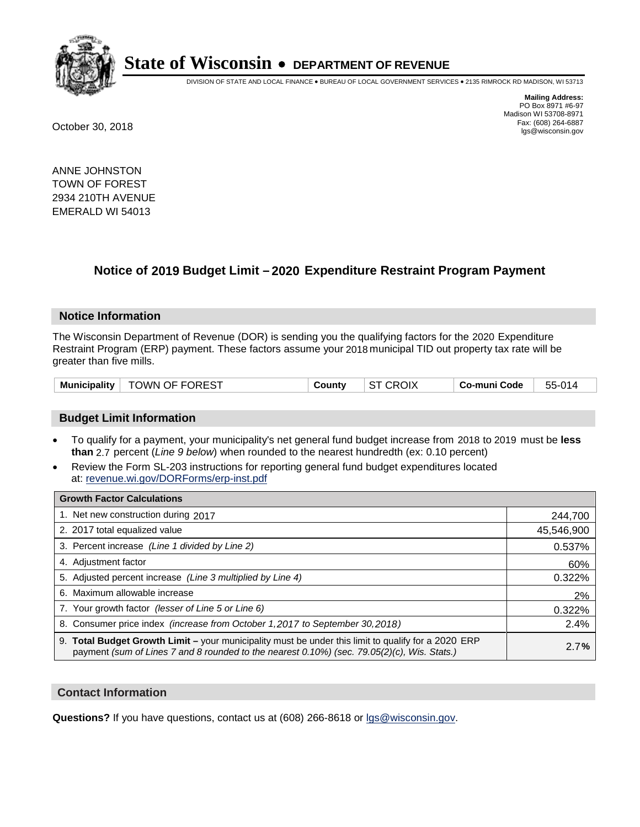

DIVISION OF STATE AND LOCAL FINANCE • BUREAU OF LOCAL GOVERNMENT SERVICES • 2135 RIMROCK RD MADISON, WI 53713

**Mailing Address:** PO Box 8971 #6-97 Madison WI 53708-8971<br>Fax: (608) 264-6887 Fax: (608) 264-6887 October 30, 2018 lgs@wisconsin.gov

ANNE JOHNSTON TOWN OF FOREST 2934 210TH AVENUE EMERALD WI 54013

### **Notice of 2019 Budget Limit - 2020 Expenditure Restraint Program Payment**

#### **Notice Information**

The Wisconsin Department of Revenue (DOR) is sending you the qualifying factors for the 2020 Expenditure Restraint Program (ERP) payment. These factors assume your 2018 municipal TID out property tax rate will be greater than five mills.

| Municipality   TOWN OF FOREST | Countv | <b>ST CROIX</b> | Co-muni Code ∣ | 55-014 |
|-------------------------------|--------|-----------------|----------------|--------|
|-------------------------------|--------|-----------------|----------------|--------|

#### **Budget Limit Information**

- To qualify for a payment, your municipality's net general fund budget increase from 2018 to 2019 must be less **than** 2.7 percent (*Line 9 below*) when rounded to the nearest hundredth (ex: 0.10 percent)
- Review the Form SL-203 instructions for reporting general fund budget expenditures located at: revenue.wi.gov/DORForms/erp-inst.pdf

| <b>Growth Factor Calculations</b>                                                                                                                                                                      |            |
|--------------------------------------------------------------------------------------------------------------------------------------------------------------------------------------------------------|------------|
| 1. Net new construction during 2017                                                                                                                                                                    | 244,700    |
| 2. 2017 total equalized value                                                                                                                                                                          | 45,546,900 |
| 3. Percent increase (Line 1 divided by Line 2)                                                                                                                                                         | 0.537%     |
| 4. Adjustment factor                                                                                                                                                                                   | 60%        |
| 5. Adjusted percent increase (Line 3 multiplied by Line 4)                                                                                                                                             | 0.322%     |
| 6. Maximum allowable increase                                                                                                                                                                          | 2%         |
| 7. Your growth factor (lesser of Line 5 or Line 6)                                                                                                                                                     | 0.322%     |
| 8. Consumer price index (increase from October 1, 2017 to September 30, 2018)                                                                                                                          | 2.4%       |
| 9. Total Budget Growth Limit - your municipality must be under this limit to qualify for a 2020 ERP<br>payment (sum of Lines 7 and 8 rounded to the nearest $0.10\%$ ) (sec. 79.05(2)(c), Wis. Stats.) | 2.7%       |

#### **Contact Information**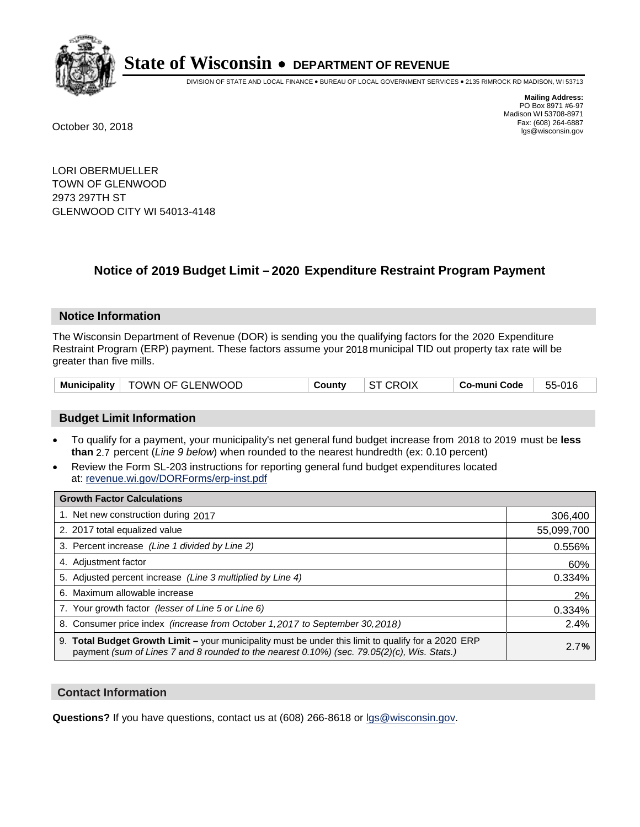

DIVISION OF STATE AND LOCAL FINANCE • BUREAU OF LOCAL GOVERNMENT SERVICES • 2135 RIMROCK RD MADISON, WI 53713

**Mailing Address:** PO Box 8971 #6-97 Madison WI 53708-8971<br>Fax: (608) 264-6887 Fax: (608) 264-6887 October 30, 2018 lgs@wisconsin.gov

LORI OBERMUELLER TOWN OF GLENWOOD 2973 297TH ST GLENWOOD CITY WI 54013-4148

### **Notice of 2019 Budget Limit - 2020 Expenditure Restraint Program Payment**

#### **Notice Information**

The Wisconsin Department of Revenue (DOR) is sending you the qualifying factors for the 2020 Expenditure Restraint Program (ERP) payment. These factors assume your 2018 municipal TID out property tax rate will be greater than five mills.

| Municipality   TOWN OF GLENWOOD | Countv | ST CROIX | ∣ Co-muni Code | 55-016 |
|---------------------------------|--------|----------|----------------|--------|
|---------------------------------|--------|----------|----------------|--------|

#### **Budget Limit Information**

- To qualify for a payment, your municipality's net general fund budget increase from 2018 to 2019 must be less **than** 2.7 percent (*Line 9 below*) when rounded to the nearest hundredth (ex: 0.10 percent)
- Review the Form SL-203 instructions for reporting general fund budget expenditures located at: revenue.wi.gov/DORForms/erp-inst.pdf

| <b>Growth Factor Calculations</b>                                                                                                                                                                      |            |
|--------------------------------------------------------------------------------------------------------------------------------------------------------------------------------------------------------|------------|
| 1. Net new construction during 2017                                                                                                                                                                    | 306,400    |
| 2. 2017 total equalized value                                                                                                                                                                          | 55,099,700 |
| 3. Percent increase (Line 1 divided by Line 2)                                                                                                                                                         | 0.556%     |
| 4. Adjustment factor                                                                                                                                                                                   | 60%        |
| 5. Adjusted percent increase (Line 3 multiplied by Line 4)                                                                                                                                             | 0.334%     |
| 6. Maximum allowable increase                                                                                                                                                                          | 2%         |
| 7. Your growth factor (lesser of Line 5 or Line 6)                                                                                                                                                     | 0.334%     |
| 8. Consumer price index (increase from October 1, 2017 to September 30, 2018)                                                                                                                          | 2.4%       |
| 9. Total Budget Growth Limit - your municipality must be under this limit to qualify for a 2020 ERP<br>payment (sum of Lines 7 and 8 rounded to the nearest $0.10\%$ ) (sec. 79.05(2)(c), Wis. Stats.) | 2.7%       |

#### **Contact Information**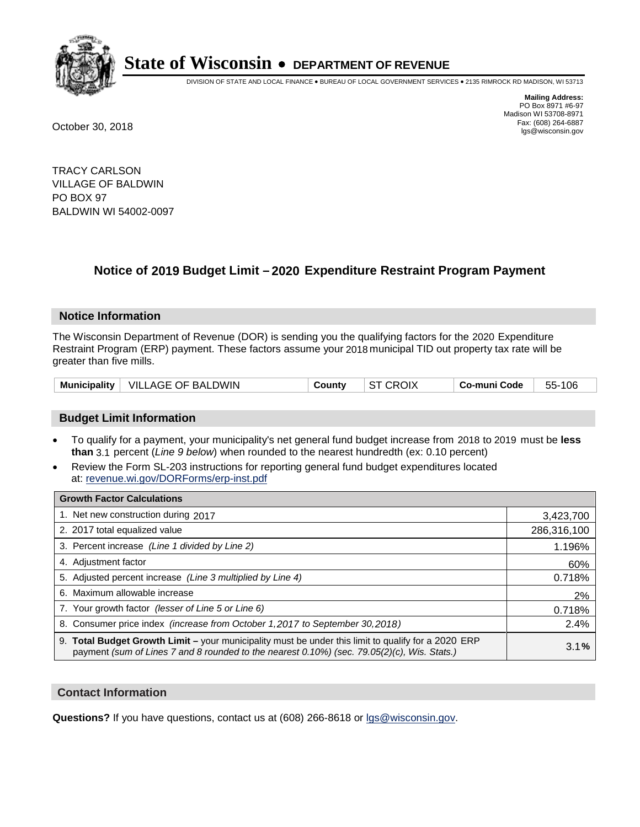

DIVISION OF STATE AND LOCAL FINANCE • BUREAU OF LOCAL GOVERNMENT SERVICES • 2135 RIMROCK RD MADISON, WI 53713

**Mailing Address:** PO Box 8971 #6-97 Madison WI 53708-8971<br>Fax: (608) 264-6887 Fax: (608) 264-6887 October 30, 2018 lgs@wisconsin.gov

TRACY CARLSON VILLAGE OF BALDWIN PO BOX 97 BALDWIN WI 54002-0097

### **Notice of 2019 Budget Limit - 2020 Expenditure Restraint Program Payment**

#### **Notice Information**

The Wisconsin Department of Revenue (DOR) is sending you the qualifying factors for the 2020 Expenditure Restraint Program (ERP) payment. These factors assume your 2018 municipal TID out property tax rate will be greater than five mills.

#### **Budget Limit Information**

- To qualify for a payment, your municipality's net general fund budget increase from 2018 to 2019 must be less **than** 3.1 percent (*Line 9 below*) when rounded to the nearest hundredth (ex: 0.10 percent)
- Review the Form SL-203 instructions for reporting general fund budget expenditures located at: revenue.wi.gov/DORForms/erp-inst.pdf

| <b>Growth Factor Calculations</b>                                                                                                                                                                      |             |
|--------------------------------------------------------------------------------------------------------------------------------------------------------------------------------------------------------|-------------|
| 1. Net new construction during 2017                                                                                                                                                                    | 3,423,700   |
| 2. 2017 total equalized value                                                                                                                                                                          | 286,316,100 |
| 3. Percent increase (Line 1 divided by Line 2)                                                                                                                                                         | 1.196%      |
| 4. Adjustment factor                                                                                                                                                                                   | 60%         |
| 5. Adjusted percent increase (Line 3 multiplied by Line 4)                                                                                                                                             | 0.718%      |
| 6. Maximum allowable increase                                                                                                                                                                          | 2%          |
| 7. Your growth factor (lesser of Line 5 or Line 6)                                                                                                                                                     | 0.718%      |
| 8. Consumer price index (increase from October 1,2017 to September 30,2018)                                                                                                                            | 2.4%        |
| 9. Total Budget Growth Limit - your municipality must be under this limit to qualify for a 2020 ERP<br>payment (sum of Lines 7 and 8 rounded to the nearest $0.10\%$ ) (sec. 79.05(2)(c), Wis. Stats.) | 3.1%        |

#### **Contact Information**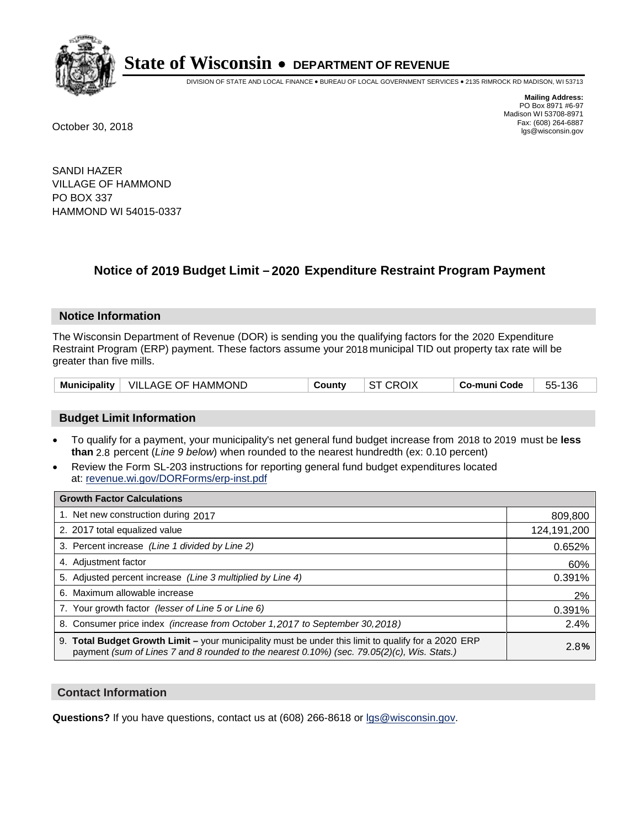

DIVISION OF STATE AND LOCAL FINANCE • BUREAU OF LOCAL GOVERNMENT SERVICES • 2135 RIMROCK RD MADISON, WI 53713

**Mailing Address:** PO Box 8971 #6-97 Madison WI 53708-8971<br>Fax: (608) 264-6887 Fax: (608) 264-6887 October 30, 2018 lgs@wisconsin.gov

SANDI HAZER VILLAGE OF HAMMOND PO BOX 337 HAMMOND WI 54015-0337

### **Notice of 2019 Budget Limit - 2020 Expenditure Restraint Program Payment**

#### **Notice Information**

The Wisconsin Department of Revenue (DOR) is sending you the qualifying factors for the 2020 Expenditure Restraint Program (ERP) payment. These factors assume your 2018 municipal TID out property tax rate will be greater than five mills.

|  | Municipality   VILLAGE OF HAMMOND | County | <b>ST CROIX</b> | Co-muni Code | 55-136 |
|--|-----------------------------------|--------|-----------------|--------------|--------|
|--|-----------------------------------|--------|-----------------|--------------|--------|

#### **Budget Limit Information**

- To qualify for a payment, your municipality's net general fund budget increase from 2018 to 2019 must be less **than** 2.8 percent (*Line 9 below*) when rounded to the nearest hundredth (ex: 0.10 percent)
- Review the Form SL-203 instructions for reporting general fund budget expenditures located at: revenue.wi.gov/DORForms/erp-inst.pdf

| <b>Growth Factor Calculations</b>                                                                                                                                                                      |             |
|--------------------------------------------------------------------------------------------------------------------------------------------------------------------------------------------------------|-------------|
| 1. Net new construction during 2017                                                                                                                                                                    | 809,800     |
| 2. 2017 total equalized value                                                                                                                                                                          | 124,191,200 |
| 3. Percent increase (Line 1 divided by Line 2)                                                                                                                                                         | 0.652%      |
| 4. Adjustment factor                                                                                                                                                                                   | 60%         |
| 5. Adjusted percent increase (Line 3 multiplied by Line 4)                                                                                                                                             | 0.391%      |
| 6. Maximum allowable increase                                                                                                                                                                          | 2%          |
| 7. Your growth factor (lesser of Line 5 or Line 6)                                                                                                                                                     | 0.391%      |
| 8. Consumer price index (increase from October 1,2017 to September 30,2018)                                                                                                                            | 2.4%        |
| 9. Total Budget Growth Limit - your municipality must be under this limit to qualify for a 2020 ERP<br>payment (sum of Lines 7 and 8 rounded to the nearest $0.10\%$ ) (sec. 79.05(2)(c), Wis. Stats.) | 2.8%        |

#### **Contact Information**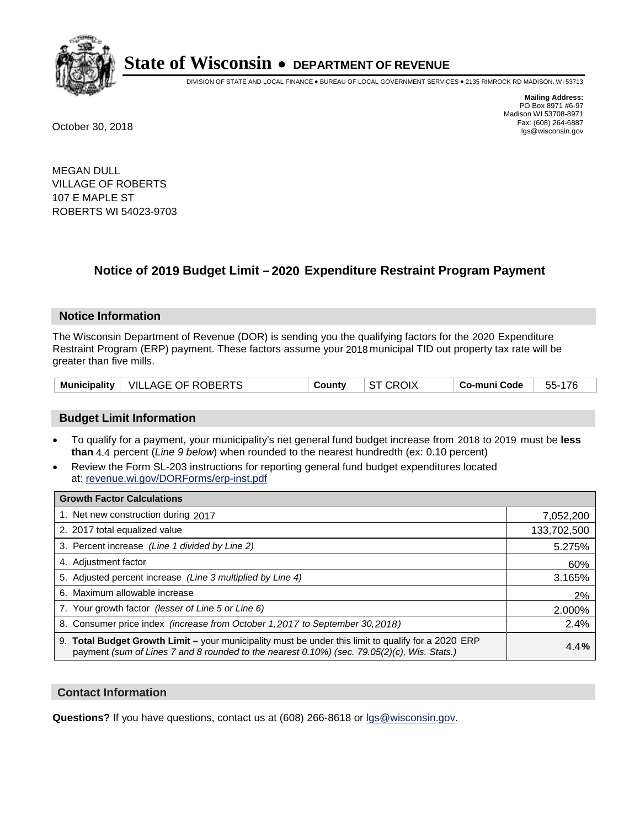

DIVISION OF STATE AND LOCAL FINANCE • BUREAU OF LOCAL GOVERNMENT SERVICES • 2135 RIMROCK RD MADISON, WI 53713

**Mailing Address:** PO Box 8971 #6-97 Madison WI 53708-8971<br>Fax: (608) 264-6887 Fax: (608) 264-6887 October 30, 2018 lgs@wisconsin.gov

MEGAN DULL VILLAGE OF ROBERTS 107 E MAPLE ST ROBERTS WI 54023-9703

## **Notice of 2019 Budget Limit - 2020 Expenditure Restraint Program Payment**

#### **Notice Information**

The Wisconsin Department of Revenue (DOR) is sending you the qualifying factors for the 2020 Expenditure Restraint Program (ERP) payment. These factors assume your 2018 municipal TID out property tax rate will be greater than five mills.

|  | Municipality   VILLAGE OF ROBERTS | Countv | ST CROIX | Co-muni Code | 55-176 |
|--|-----------------------------------|--------|----------|--------------|--------|
|--|-----------------------------------|--------|----------|--------------|--------|

#### **Budget Limit Information**

- To qualify for a payment, your municipality's net general fund budget increase from 2018 to 2019 must be less **than** 4.4 percent (*Line 9 below*) when rounded to the nearest hundredth (ex: 0.10 percent)
- Review the Form SL-203 instructions for reporting general fund budget expenditures located at: revenue.wi.gov/DORForms/erp-inst.pdf

| <b>Growth Factor Calculations</b>                                                                                                                                                                      |             |
|--------------------------------------------------------------------------------------------------------------------------------------------------------------------------------------------------------|-------------|
| 1. Net new construction during 2017                                                                                                                                                                    | 7,052,200   |
| 2. 2017 total equalized value                                                                                                                                                                          | 133,702,500 |
| 3. Percent increase (Line 1 divided by Line 2)                                                                                                                                                         | 5.275%      |
| 4. Adjustment factor                                                                                                                                                                                   | 60%         |
| 5. Adjusted percent increase (Line 3 multiplied by Line 4)                                                                                                                                             | 3.165%      |
| 6. Maximum allowable increase                                                                                                                                                                          | 2%          |
| 7. Your growth factor (lesser of Line 5 or Line 6)                                                                                                                                                     | 2.000%      |
| 8. Consumer price index (increase from October 1,2017 to September 30,2018)                                                                                                                            | 2.4%        |
| 9. Total Budget Growth Limit - your municipality must be under this limit to qualify for a 2020 ERP<br>payment (sum of Lines 7 and 8 rounded to the nearest $0.10\%$ ) (sec. 79.05(2)(c), Wis. Stats.) | 4.4%        |

#### **Contact Information**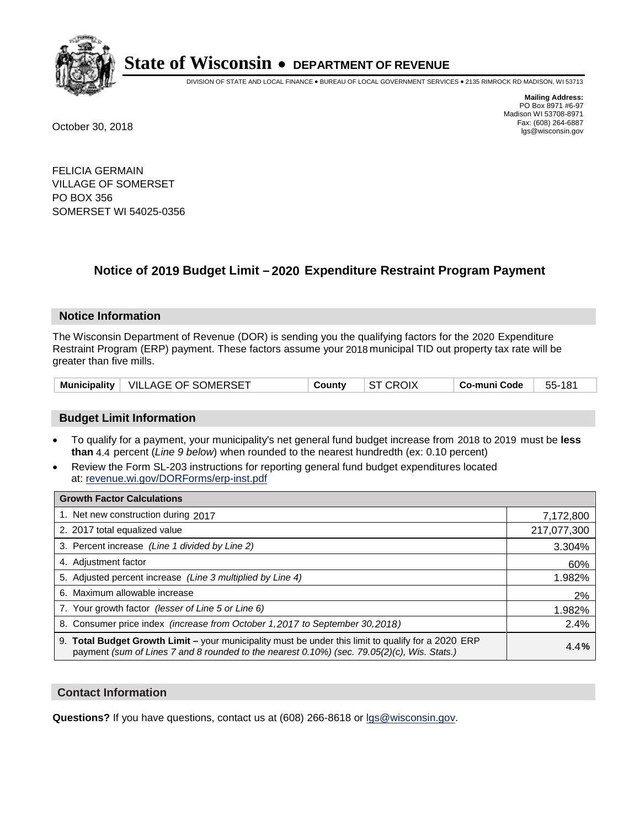

DIVISION OF STATE AND LOCAL FINANCE • BUREAU OF LOCAL GOVERNMENT SERVICES • 2135 RIMROCK RD MADISON, WI 53713

**Mailing Address:** PO Box 8971 #6-97 Madison WI 53708-8971<br>Fax: (608) 264-6887 Fax: (608) 264-6887 October 30, 2018 lgs@wisconsin.gov

FELICIA GERMAIN VILLAGE OF SOMERSET PO BOX 356 SOMERSET WI 54025-0356

### **Notice of 2019 Budget Limit - 2020 Expenditure Restraint Program Payment**

#### **Notice Information**

The Wisconsin Department of Revenue (DOR) is sending you the qualifying factors for the 2020 Expenditure Restraint Program (ERP) payment. These factors assume your 2018 municipal TID out property tax rate will be greater than five mills.

| Municipality   VILLAGE OF SOMERSET | Countv | <b>ST CROIX</b> | ∣ Co-muni Code | 55-181 |
|------------------------------------|--------|-----------------|----------------|--------|
|------------------------------------|--------|-----------------|----------------|--------|

#### **Budget Limit Information**

- To qualify for a payment, your municipality's net general fund budget increase from 2018 to 2019 must be less **than** 4.4 percent (*Line 9 below*) when rounded to the nearest hundredth (ex: 0.10 percent)
- Review the Form SL-203 instructions for reporting general fund budget expenditures located at: revenue.wi.gov/DORForms/erp-inst.pdf

| <b>Growth Factor Calculations</b>                                                                                                                                                                      |             |
|--------------------------------------------------------------------------------------------------------------------------------------------------------------------------------------------------------|-------------|
| 1. Net new construction during 2017                                                                                                                                                                    | 7,172,800   |
| 2. 2017 total equalized value                                                                                                                                                                          | 217,077,300 |
| 3. Percent increase (Line 1 divided by Line 2)                                                                                                                                                         | 3.304%      |
| 4. Adjustment factor                                                                                                                                                                                   | 60%         |
| 5. Adjusted percent increase (Line 3 multiplied by Line 4)                                                                                                                                             | 1.982%      |
| 6. Maximum allowable increase                                                                                                                                                                          | 2%          |
| 7. Your growth factor (lesser of Line 5 or Line 6)                                                                                                                                                     | 1.982%      |
| 8. Consumer price index (increase from October 1,2017 to September 30,2018)                                                                                                                            | 2.4%        |
| 9. Total Budget Growth Limit - your municipality must be under this limit to qualify for a 2020 ERP<br>payment (sum of Lines 7 and 8 rounded to the nearest $0.10\%$ ) (sec. 79.05(2)(c), Wis. Stats.) | 4.4%        |

#### **Contact Information**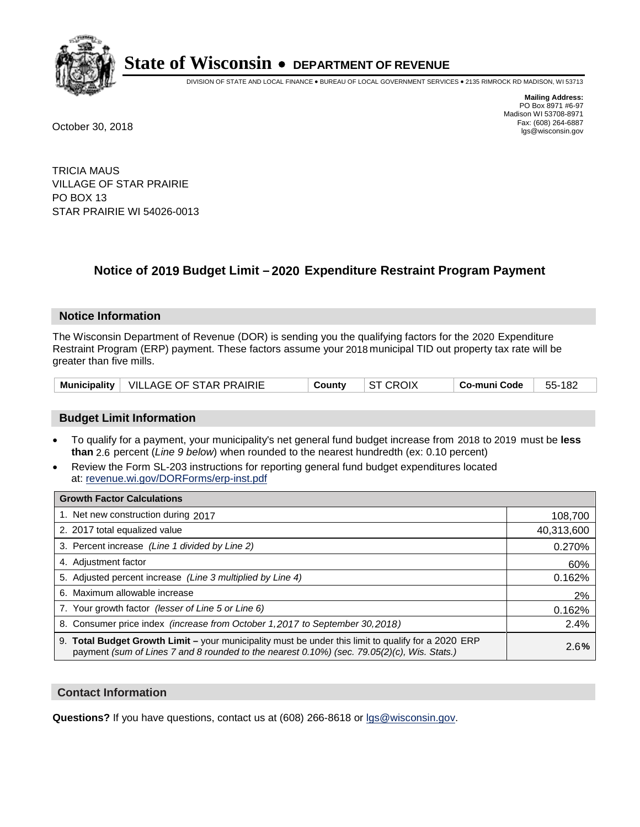

DIVISION OF STATE AND LOCAL FINANCE • BUREAU OF LOCAL GOVERNMENT SERVICES • 2135 RIMROCK RD MADISON, WI 53713

**Mailing Address:** PO Box 8971 #6-97 Madison WI 53708-8971<br>Fax: (608) 264-6887 Fax: (608) 264-6887 October 30, 2018 lgs@wisconsin.gov

TRICIA MAUS VILLAGE OF STAR PRAIRIE PO BOX 13 STAR PRAIRIE WI 54026-0013

### **Notice of 2019 Budget Limit - 2020 Expenditure Restraint Program Payment**

#### **Notice Information**

The Wisconsin Department of Revenue (DOR) is sending you the qualifying factors for the 2020 Expenditure Restraint Program (ERP) payment. These factors assume your 2018 municipal TID out property tax rate will be greater than five mills.

|  | Municipality   VILLAGE OF STAR PRAIRIE | County | <b>ST CROIX</b> | ⊦ Co-muni Code | 55-182 |
|--|----------------------------------------|--------|-----------------|----------------|--------|
|--|----------------------------------------|--------|-----------------|----------------|--------|

#### **Budget Limit Information**

- To qualify for a payment, your municipality's net general fund budget increase from 2018 to 2019 must be less **than** 2.6 percent (*Line 9 below*) when rounded to the nearest hundredth (ex: 0.10 percent)
- Review the Form SL-203 instructions for reporting general fund budget expenditures located at: revenue.wi.gov/DORForms/erp-inst.pdf

| <b>Growth Factor Calculations</b>                                                                                                                                                                  |            |
|----------------------------------------------------------------------------------------------------------------------------------------------------------------------------------------------------|------------|
| 1. Net new construction during 2017                                                                                                                                                                | 108,700    |
| 2. 2017 total equalized value                                                                                                                                                                      | 40,313,600 |
| 3. Percent increase (Line 1 divided by Line 2)                                                                                                                                                     | 0.270%     |
| 4. Adjustment factor                                                                                                                                                                               | 60%        |
| 5. Adjusted percent increase (Line 3 multiplied by Line 4)                                                                                                                                         | 0.162%     |
| 6. Maximum allowable increase                                                                                                                                                                      | 2%         |
| 7. Your growth factor (lesser of Line 5 or Line 6)                                                                                                                                                 | 0.162%     |
| 8. Consumer price index (increase from October 1, 2017 to September 30, 2018)                                                                                                                      | 2.4%       |
| 9. Total Budget Growth Limit - your municipality must be under this limit to qualify for a 2020 ERP<br>payment (sum of Lines 7 and 8 rounded to the nearest 0.10%) (sec. 79.05(2)(c), Wis. Stats.) | 2.6%       |

#### **Contact Information**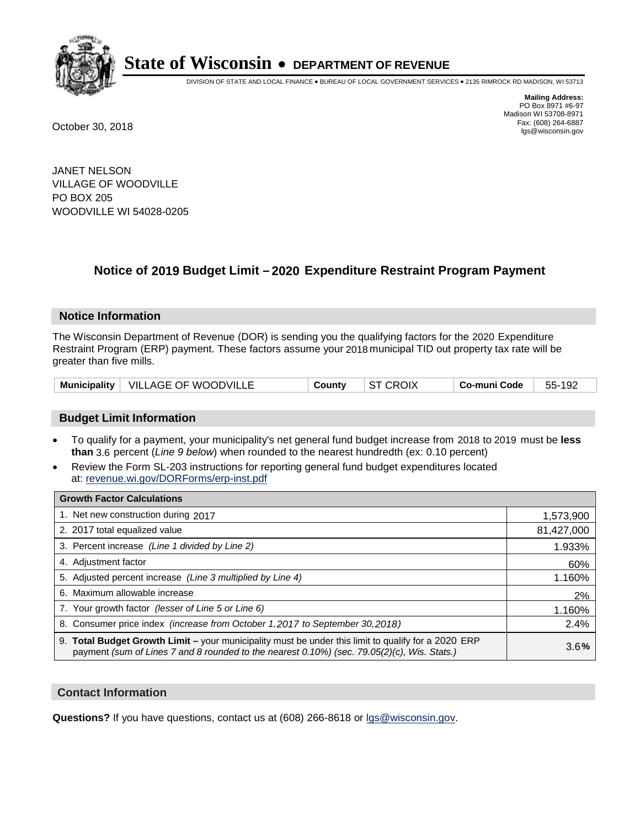

DIVISION OF STATE AND LOCAL FINANCE • BUREAU OF LOCAL GOVERNMENT SERVICES • 2135 RIMROCK RD MADISON, WI 53713

**Mailing Address:** PO Box 8971 #6-97 Madison WI 53708-8971<br>Fax: (608) 264-6887 Fax: (608) 264-6887 October 30, 2018 lgs@wisconsin.gov

JANET NELSON VILLAGE OF WOODVILLE PO BOX 205 WOODVILLE WI 54028-0205

### **Notice of 2019 Budget Limit - 2020 Expenditure Restraint Program Payment**

#### **Notice Information**

The Wisconsin Department of Revenue (DOR) is sending you the qualifying factors for the 2020 Expenditure Restraint Program (ERP) payment. These factors assume your 2018 municipal TID out property tax rate will be greater than five mills.

|  | Municipality   VILLAGE OF WOODVILLE | Countv | $\vert$ ST CROIX | Co-muni Code | 55-192 |
|--|-------------------------------------|--------|------------------|--------------|--------|
|--|-------------------------------------|--------|------------------|--------------|--------|

#### **Budget Limit Information**

- To qualify for a payment, your municipality's net general fund budget increase from 2018 to 2019 must be less **than** 3.6 percent (*Line 9 below*) when rounded to the nearest hundredth (ex: 0.10 percent)
- Review the Form SL-203 instructions for reporting general fund budget expenditures located at: revenue.wi.gov/DORForms/erp-inst.pdf

| <b>Growth Factor Calculations</b>                                                                                                                                                                      |            |
|--------------------------------------------------------------------------------------------------------------------------------------------------------------------------------------------------------|------------|
| 1. Net new construction during 2017                                                                                                                                                                    | 1,573,900  |
| 2. 2017 total equalized value                                                                                                                                                                          | 81,427,000 |
| 3. Percent increase (Line 1 divided by Line 2)                                                                                                                                                         | 1.933%     |
| 4. Adjustment factor                                                                                                                                                                                   | 60%        |
| 5. Adjusted percent increase (Line 3 multiplied by Line 4)                                                                                                                                             | 1.160%     |
| 6. Maximum allowable increase                                                                                                                                                                          | 2%         |
| 7. Your growth factor (lesser of Line 5 or Line 6)                                                                                                                                                     | 1.160%     |
| 8. Consumer price index (increase from October 1, 2017 to September 30, 2018)                                                                                                                          | 2.4%       |
| 9. Total Budget Growth Limit - your municipality must be under this limit to qualify for a 2020 ERP<br>payment (sum of Lines 7 and 8 rounded to the nearest $0.10\%$ ) (sec. 79.05(2)(c), Wis. Stats.) | 3.6%       |

#### **Contact Information**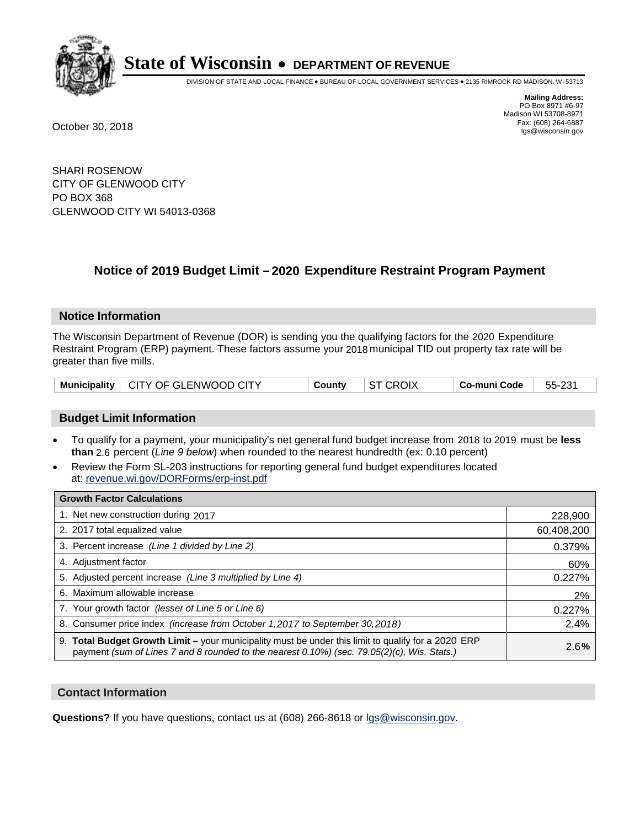

DIVISION OF STATE AND LOCAL FINANCE • BUREAU OF LOCAL GOVERNMENT SERVICES • 2135 RIMROCK RD MADISON, WI 53713

**Mailing Address:** PO Box 8971 #6-97 Madison WI 53708-8971<br>Fax: (608) 264-6887 Fax: (608) 264-6887 October 30, 2018 lgs@wisconsin.gov

SHARI ROSENOW CITY OF GLENWOOD CITY PO BOX 368 GLENWOOD CITY WI 54013-0368

### **Notice of 2019 Budget Limit - 2020 Expenditure Restraint Program Payment**

#### **Notice Information**

The Wisconsin Department of Revenue (DOR) is sending you the qualifying factors for the 2020 Expenditure Restraint Program (ERP) payment. These factors assume your 2018 municipal TID out property tax rate will be greater than five mills.

|  | Municipality   CITY OF GLENWOOD CITY | County | ST CROIX | ⊺ Co-muni Code | - 55-231 |
|--|--------------------------------------|--------|----------|----------------|----------|
|--|--------------------------------------|--------|----------|----------------|----------|

#### **Budget Limit Information**

- To qualify for a payment, your municipality's net general fund budget increase from 2018 to 2019 must be less **than** 2.6 percent (*Line 9 below*) when rounded to the nearest hundredth (ex: 0.10 percent)
- Review the Form SL-203 instructions for reporting general fund budget expenditures located at: revenue.wi.gov/DORForms/erp-inst.pdf

| <b>Growth Factor Calculations</b>                                                                                                                                                                      |            |
|--------------------------------------------------------------------------------------------------------------------------------------------------------------------------------------------------------|------------|
| 1. Net new construction during 2017                                                                                                                                                                    | 228,900    |
| 2. 2017 total equalized value                                                                                                                                                                          | 60,408,200 |
| 3. Percent increase (Line 1 divided by Line 2)                                                                                                                                                         | 0.379%     |
| 4. Adjustment factor                                                                                                                                                                                   | 60%        |
| 5. Adjusted percent increase (Line 3 multiplied by Line 4)                                                                                                                                             | 0.227%     |
| 6. Maximum allowable increase                                                                                                                                                                          | 2%         |
| 7. Your growth factor (lesser of Line 5 or Line 6)                                                                                                                                                     | 0.227%     |
| 8. Consumer price index (increase from October 1, 2017 to September 30, 2018)                                                                                                                          | 2.4%       |
| 9. Total Budget Growth Limit - your municipality must be under this limit to qualify for a 2020 ERP<br>payment (sum of Lines 7 and 8 rounded to the nearest $0.10\%$ ) (sec. 79.05(2)(c), Wis. Stats.) | 2.6%       |

#### **Contact Information**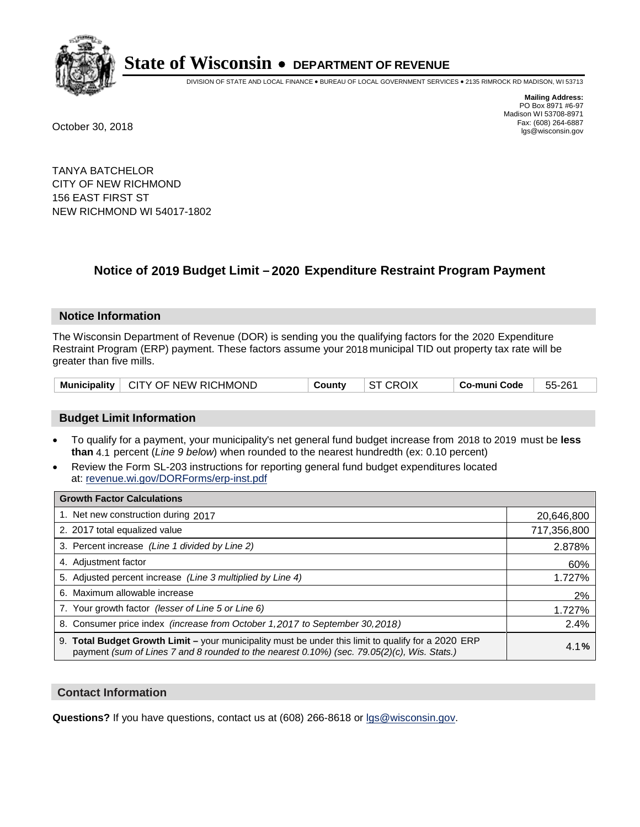

DIVISION OF STATE AND LOCAL FINANCE • BUREAU OF LOCAL GOVERNMENT SERVICES • 2135 RIMROCK RD MADISON, WI 53713

**Mailing Address:** PO Box 8971 #6-97 Madison WI 53708-8971<br>Fax: (608) 264-6887 Fax: (608) 264-6887 October 30, 2018 lgs@wisconsin.gov

TANYA BATCHELOR CITY OF NEW RICHMOND 156 EAST FIRST ST NEW RICHMOND WI 54017-1802

### **Notice of 2019 Budget Limit - 2020 Expenditure Restraint Program Payment**

#### **Notice Information**

The Wisconsin Department of Revenue (DOR) is sending you the qualifying factors for the 2020 Expenditure Restraint Program (ERP) payment. These factors assume your 2018 municipal TID out property tax rate will be greater than five mills.

| Municipality   CITY OF NEW RICHMOND | Countv | $\vert$ ST CROIX | Co-muni Code ∣ | 55-261 |
|-------------------------------------|--------|------------------|----------------|--------|
|-------------------------------------|--------|------------------|----------------|--------|

#### **Budget Limit Information**

- To qualify for a payment, your municipality's net general fund budget increase from 2018 to 2019 must be less **than** 4.1 percent (*Line 9 below*) when rounded to the nearest hundredth (ex: 0.10 percent)
- Review the Form SL-203 instructions for reporting general fund budget expenditures located at: revenue.wi.gov/DORForms/erp-inst.pdf

| <b>Growth Factor Calculations</b>                                                                                                                                                                      |             |
|--------------------------------------------------------------------------------------------------------------------------------------------------------------------------------------------------------|-------------|
| 1. Net new construction during 2017                                                                                                                                                                    | 20,646,800  |
| 2. 2017 total equalized value                                                                                                                                                                          | 717,356,800 |
| 3. Percent increase (Line 1 divided by Line 2)                                                                                                                                                         | 2.878%      |
| 4. Adjustment factor                                                                                                                                                                                   | 60%         |
| 5. Adjusted percent increase (Line 3 multiplied by Line 4)                                                                                                                                             | 1.727%      |
| 6. Maximum allowable increase                                                                                                                                                                          | 2%          |
| 7. Your growth factor (lesser of Line 5 or Line 6)                                                                                                                                                     | 1.727%      |
| 8. Consumer price index (increase from October 1, 2017 to September 30, 2018)                                                                                                                          | 2.4%        |
| 9. Total Budget Growth Limit - your municipality must be under this limit to qualify for a 2020 ERP<br>payment (sum of Lines 7 and 8 rounded to the nearest $0.10\%$ ) (sec. 79.05(2)(c), Wis. Stats.) | 4.1%        |

#### **Contact Information**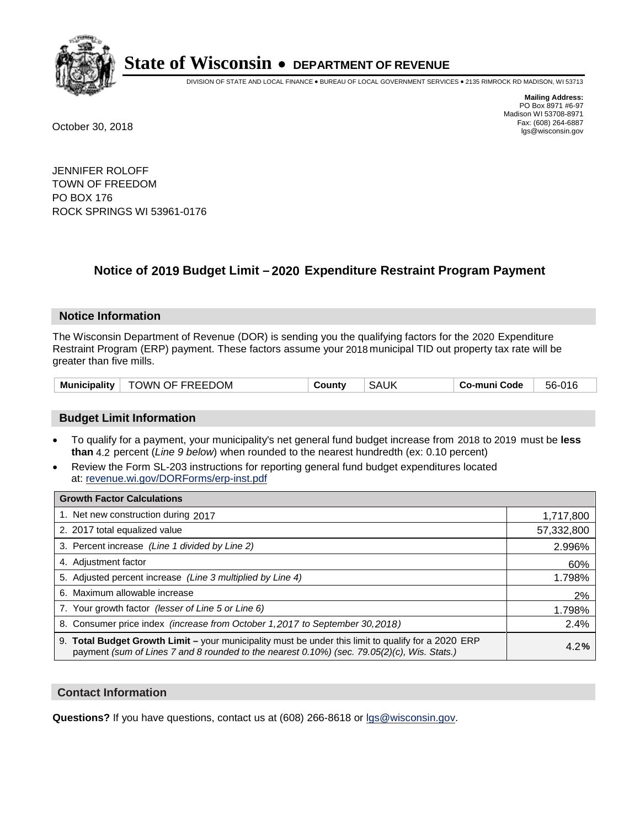

DIVISION OF STATE AND LOCAL FINANCE • BUREAU OF LOCAL GOVERNMENT SERVICES • 2135 RIMROCK RD MADISON, WI 53713

**Mailing Address:** PO Box 8971 #6-97 Madison WI 53708-8971<br>Fax: (608) 264-6887 Fax: (608) 264-6887 October 30, 2018 lgs@wisconsin.gov

JENNIFER ROLOFF TOWN OF FREEDOM PO BOX 176 ROCK SPRINGS WI 53961-0176

### **Notice of 2019 Budget Limit - 2020 Expenditure Restraint Program Payment**

#### **Notice Information**

The Wisconsin Department of Revenue (DOR) is sending you the qualifying factors for the 2020 Expenditure Restraint Program (ERP) payment. These factors assume your 2018 municipal TID out property tax rate will be greater than five mills.

| Municipality | TOWN OF FREEDOM | County | <b>SAUK</b> | Co-muni Code | 56-016 |
|--------------|-----------------|--------|-------------|--------------|--------|
|--------------|-----------------|--------|-------------|--------------|--------|

#### **Budget Limit Information**

- To qualify for a payment, your municipality's net general fund budget increase from 2018 to 2019 must be less **than** 4.2 percent (*Line 9 below*) when rounded to the nearest hundredth (ex: 0.10 percent)
- Review the Form SL-203 instructions for reporting general fund budget expenditures located at: revenue.wi.gov/DORForms/erp-inst.pdf

| <b>Growth Factor Calculations</b>                                                                                                                                                                      |            |
|--------------------------------------------------------------------------------------------------------------------------------------------------------------------------------------------------------|------------|
| 1. Net new construction during 2017                                                                                                                                                                    | 1,717,800  |
| 2. 2017 total equalized value                                                                                                                                                                          | 57,332,800 |
| 3. Percent increase (Line 1 divided by Line 2)                                                                                                                                                         | 2.996%     |
| 4. Adjustment factor                                                                                                                                                                                   | 60%        |
| 5. Adjusted percent increase (Line 3 multiplied by Line 4)                                                                                                                                             | 1.798%     |
| 6. Maximum allowable increase                                                                                                                                                                          | 2%         |
| 7. Your growth factor (lesser of Line 5 or Line 6)                                                                                                                                                     | 1.798%     |
| 8. Consumer price index (increase from October 1,2017 to September 30,2018)                                                                                                                            | 2.4%       |
| 9. Total Budget Growth Limit - your municipality must be under this limit to qualify for a 2020 ERP<br>payment (sum of Lines 7 and 8 rounded to the nearest $0.10\%$ ) (sec. 79.05(2)(c), Wis. Stats.) | 4.2%       |

#### **Contact Information**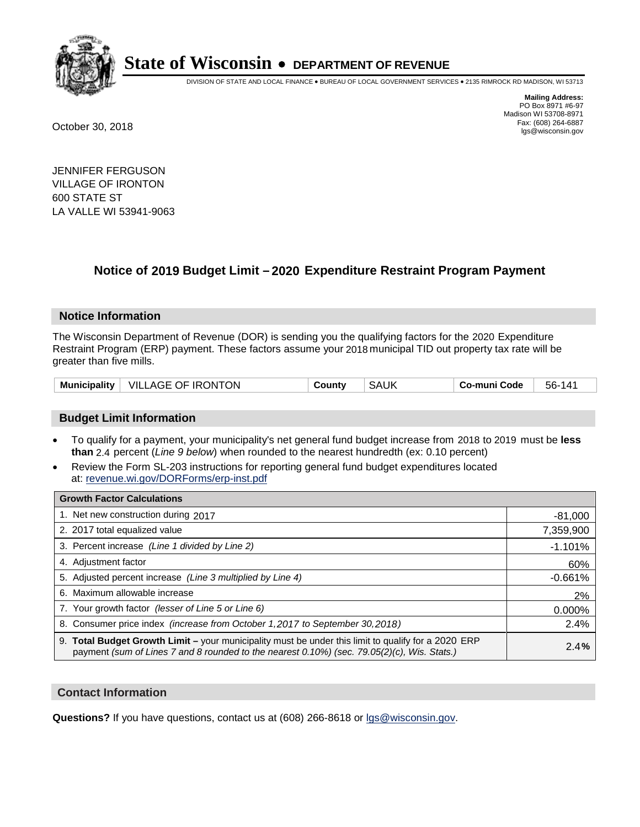

DIVISION OF STATE AND LOCAL FINANCE • BUREAU OF LOCAL GOVERNMENT SERVICES • 2135 RIMROCK RD MADISON, WI 53713

**Mailing Address:** PO Box 8971 #6-97 Madison WI 53708-8971<br>Fax: (608) 264-6887 Fax: (608) 264-6887 October 30, 2018 lgs@wisconsin.gov

JENNIFER FERGUSON VILLAGE OF IRONTON 600 STATE ST LA VALLE WI 53941-9063

## **Notice of 2019 Budget Limit - 2020 Expenditure Restraint Program Payment**

#### **Notice Information**

The Wisconsin Department of Revenue (DOR) is sending you the qualifying factors for the 2020 Expenditure Restraint Program (ERP) payment. These factors assume your 2018 municipal TID out property tax rate will be greater than five mills.

| Municipality | VILLAGE OF IRONTON | Countv | SAUK | Co-muni Code | $14^{\circ}$<br>56- |
|--------------|--------------------|--------|------|--------------|---------------------|
|--------------|--------------------|--------|------|--------------|---------------------|

#### **Budget Limit Information**

- To qualify for a payment, your municipality's net general fund budget increase from 2018 to 2019 must be less **than** 2.4 percent (*Line 9 below*) when rounded to the nearest hundredth (ex: 0.10 percent)
- Review the Form SL-203 instructions for reporting general fund budget expenditures located at: revenue.wi.gov/DORForms/erp-inst.pdf

| <b>Growth Factor Calculations</b>                                                                                                                                                                  |           |
|----------------------------------------------------------------------------------------------------------------------------------------------------------------------------------------------------|-----------|
| 1. Net new construction during 2017                                                                                                                                                                | $-81,000$ |
| 2. 2017 total equalized value                                                                                                                                                                      | 7,359,900 |
| 3. Percent increase (Line 1 divided by Line 2)                                                                                                                                                     | $-1.101%$ |
| 4. Adjustment factor                                                                                                                                                                               | 60%       |
| 5. Adjusted percent increase (Line 3 multiplied by Line 4)                                                                                                                                         | $-0.661%$ |
| 6. Maximum allowable increase                                                                                                                                                                      | 2%        |
| 7. Your growth factor (lesser of Line 5 or Line 6)                                                                                                                                                 | 0.000%    |
| 8. Consumer price index (increase from October 1, 2017 to September 30, 2018)                                                                                                                      | 2.4%      |
| 9. Total Budget Growth Limit - your municipality must be under this limit to qualify for a 2020 ERP<br>payment (sum of Lines 7 and 8 rounded to the nearest 0.10%) (sec. 79.05(2)(c), Wis. Stats.) | 2.4%      |

#### **Contact Information**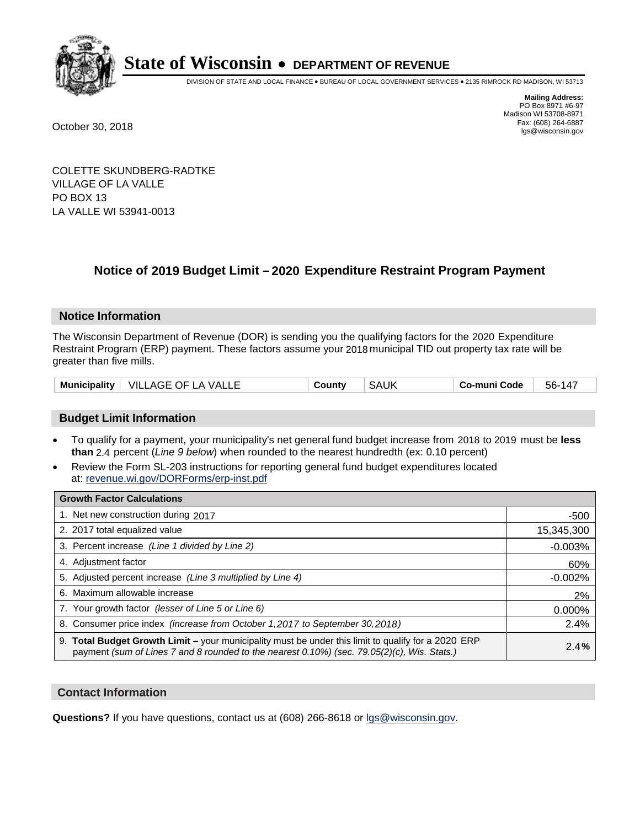

DIVISION OF STATE AND LOCAL FINANCE • BUREAU OF LOCAL GOVERNMENT SERVICES • 2135 RIMROCK RD MADISON, WI 53713

**Mailing Address:** PO Box 8971 #6-97 Madison WI 53708-8971<br>Fax: (608) 264-6887 Fax: (608) 264-6887 October 30, 2018 lgs@wisconsin.gov

COLETTE SKUNDBERG-RADTKE VILLAGE OF LA VALLE PO BOX 13 LA VALLE WI 53941-0013

### **Notice of 2019 Budget Limit - 2020 Expenditure Restraint Program Payment**

#### **Notice Information**

The Wisconsin Department of Revenue (DOR) is sending you the qualifying factors for the 2020 Expenditure Restraint Program (ERP) payment. These factors assume your 2018 municipal TID out property tax rate will be greater than five mills.

| Municipality<br>VILLAGE OF LA VALLE | County | SAUK | Co-muni Code | $56-14$ |
|-------------------------------------|--------|------|--------------|---------|
|-------------------------------------|--------|------|--------------|---------|

#### **Budget Limit Information**

- To qualify for a payment, your municipality's net general fund budget increase from 2018 to 2019 must be less **than** 2.4 percent (*Line 9 below*) when rounded to the nearest hundredth (ex: 0.10 percent)
- Review the Form SL-203 instructions for reporting general fund budget expenditures located at: revenue.wi.gov/DORForms/erp-inst.pdf

| <b>Growth Factor Calculations</b>                                                                                                                                                                  |            |
|----------------------------------------------------------------------------------------------------------------------------------------------------------------------------------------------------|------------|
| 1. Net new construction during 2017                                                                                                                                                                | $-500$     |
| 2. 2017 total equalized value                                                                                                                                                                      | 15,345,300 |
| 3. Percent increase (Line 1 divided by Line 2)                                                                                                                                                     | $-0.003%$  |
| 4. Adjustment factor                                                                                                                                                                               | 60%        |
| 5. Adjusted percent increase (Line 3 multiplied by Line 4)                                                                                                                                         | $-0.002%$  |
| 6. Maximum allowable increase                                                                                                                                                                      | 2%         |
| 7. Your growth factor (lesser of Line 5 or Line 6)                                                                                                                                                 | 0.000%     |
| 8. Consumer price index (increase from October 1, 2017 to September 30, 2018)                                                                                                                      | 2.4%       |
| 9. Total Budget Growth Limit - your municipality must be under this limit to qualify for a 2020 ERP<br>payment (sum of Lines 7 and 8 rounded to the nearest 0.10%) (sec. 79.05(2)(c), Wis. Stats.) | 2.4%       |

#### **Contact Information**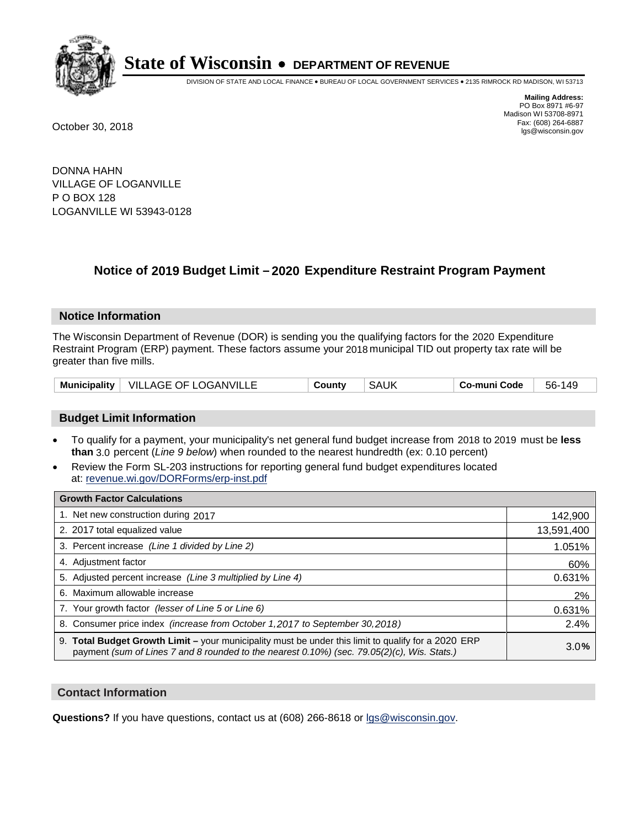

DIVISION OF STATE AND LOCAL FINANCE • BUREAU OF LOCAL GOVERNMENT SERVICES • 2135 RIMROCK RD MADISON, WI 53713

**Mailing Address:** PO Box 8971 #6-97 Madison WI 53708-8971<br>Fax: (608) 264-6887 Fax: (608) 264-6887 October 30, 2018 lgs@wisconsin.gov

DONNA HAHN VILLAGE OF LOGANVILLE P O BOX 128 LOGANVILLE WI 53943-0128

### **Notice of 2019 Budget Limit - 2020 Expenditure Restraint Program Payment**

#### **Notice Information**

The Wisconsin Department of Revenue (DOR) is sending you the qualifying factors for the 2020 Expenditure Restraint Program (ERP) payment. These factors assume your 2018 municipal TID out property tax rate will be greater than five mills.

|  | Municipality   VILLAGE OF LOGANVILLE | County | SAUK | Co-muni Code | 56-149 |
|--|--------------------------------------|--------|------|--------------|--------|
|--|--------------------------------------|--------|------|--------------|--------|

#### **Budget Limit Information**

- To qualify for a payment, your municipality's net general fund budget increase from 2018 to 2019 must be less **than** 3.0 percent (*Line 9 below*) when rounded to the nearest hundredth (ex: 0.10 percent)
- Review the Form SL-203 instructions for reporting general fund budget expenditures located at: revenue.wi.gov/DORForms/erp-inst.pdf

| <b>Growth Factor Calculations</b>                                                                                                                                                                      |            |
|--------------------------------------------------------------------------------------------------------------------------------------------------------------------------------------------------------|------------|
| 1. Net new construction during 2017                                                                                                                                                                    | 142,900    |
| 2. 2017 total equalized value                                                                                                                                                                          | 13,591,400 |
| 3. Percent increase (Line 1 divided by Line 2)                                                                                                                                                         | 1.051%     |
| 4. Adjustment factor                                                                                                                                                                                   | 60%        |
| 5. Adjusted percent increase (Line 3 multiplied by Line 4)                                                                                                                                             | 0.631%     |
| 6. Maximum allowable increase                                                                                                                                                                          | 2%         |
| 7. Your growth factor (lesser of Line 5 or Line 6)                                                                                                                                                     | 0.631%     |
| 8. Consumer price index (increase from October 1,2017 to September 30,2018)                                                                                                                            | 2.4%       |
| 9. Total Budget Growth Limit - your municipality must be under this limit to qualify for a 2020 ERP<br>payment (sum of Lines 7 and 8 rounded to the nearest $0.10\%$ ) (sec. 79.05(2)(c), Wis. Stats.) | 3.0%       |

#### **Contact Information**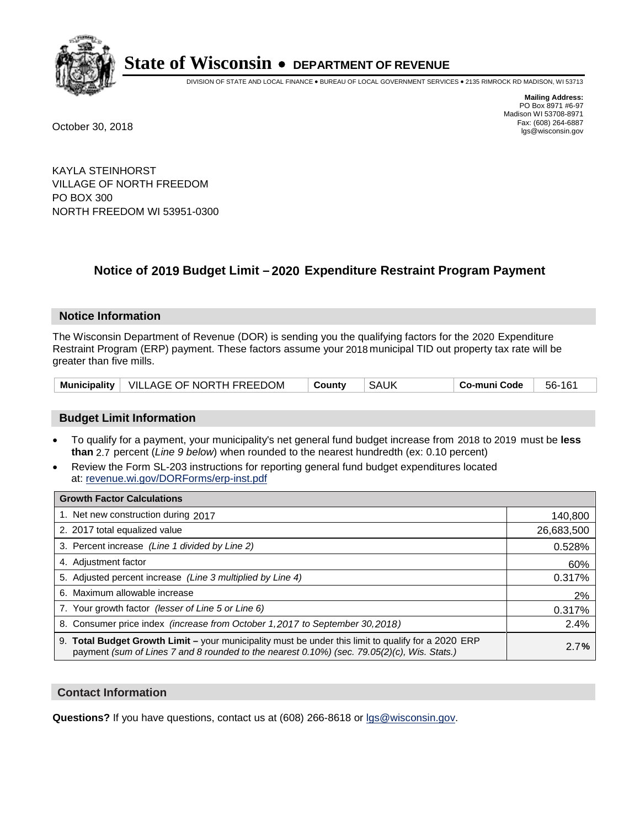

DIVISION OF STATE AND LOCAL FINANCE • BUREAU OF LOCAL GOVERNMENT SERVICES • 2135 RIMROCK RD MADISON, WI 53713

**Mailing Address:** PO Box 8971 #6-97 Madison WI 53708-8971<br>Fax: (608) 264-6887 Fax: (608) 264-6887 October 30, 2018 lgs@wisconsin.gov

KAYLA STEINHORST VILLAGE OF NORTH FREEDOM PO BOX 300 NORTH FREEDOM WI 53951-0300

### **Notice of 2019 Budget Limit - 2020 Expenditure Restraint Program Payment**

#### **Notice Information**

The Wisconsin Department of Revenue (DOR) is sending you the qualifying factors for the 2020 Expenditure Restraint Program (ERP) payment. These factors assume your 2018 municipal TID out property tax rate will be greater than five mills.

| Municipality   VILLAGE OF NORTH FREEDOM | ∣ County | SAUK | ∣ Co-muni Code | 56-161 |
|-----------------------------------------|----------|------|----------------|--------|
|-----------------------------------------|----------|------|----------------|--------|

#### **Budget Limit Information**

- To qualify for a payment, your municipality's net general fund budget increase from 2018 to 2019 must be less **than** 2.7 percent (*Line 9 below*) when rounded to the nearest hundredth (ex: 0.10 percent)
- Review the Form SL-203 instructions for reporting general fund budget expenditures located at: revenue.wi.gov/DORForms/erp-inst.pdf

| <b>Growth Factor Calculations</b>                                                                                                                                                                  |            |
|----------------------------------------------------------------------------------------------------------------------------------------------------------------------------------------------------|------------|
| 1. Net new construction during 2017                                                                                                                                                                | 140,800    |
| 2. 2017 total equalized value                                                                                                                                                                      | 26,683,500 |
| 3. Percent increase (Line 1 divided by Line 2)                                                                                                                                                     | 0.528%     |
| 4. Adjustment factor                                                                                                                                                                               | 60%        |
| 5. Adjusted percent increase (Line 3 multiplied by Line 4)                                                                                                                                         | 0.317%     |
| 6. Maximum allowable increase                                                                                                                                                                      | 2%         |
| 7. Your growth factor (lesser of Line 5 or Line 6)                                                                                                                                                 | 0.317%     |
| 8. Consumer price index (increase from October 1, 2017 to September 30, 2018)                                                                                                                      | 2.4%       |
| 9. Total Budget Growth Limit – your municipality must be under this limit to qualify for a 2020 ERP<br>payment (sum of Lines 7 and 8 rounded to the nearest 0.10%) (sec. 79.05(2)(c), Wis. Stats.) | 2.7%       |

#### **Contact Information**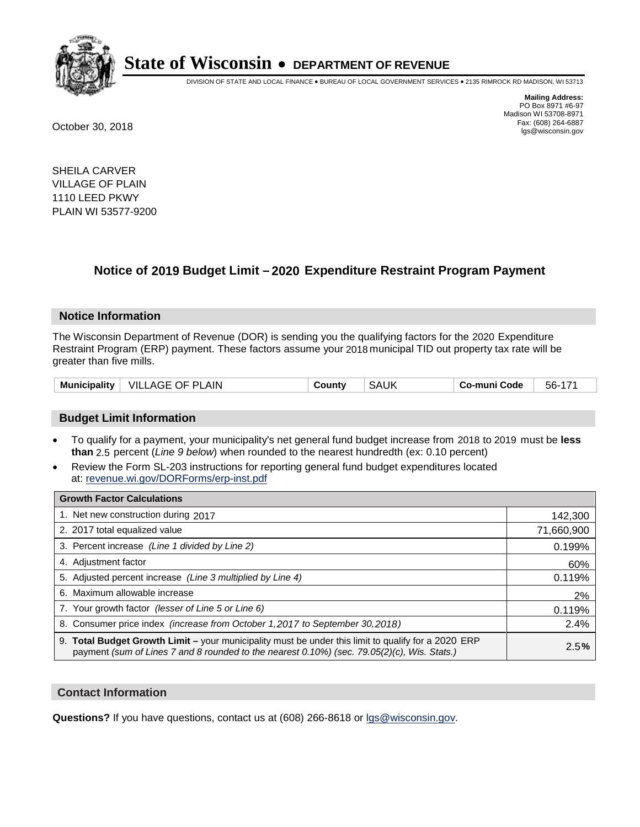

DIVISION OF STATE AND LOCAL FINANCE • BUREAU OF LOCAL GOVERNMENT SERVICES • 2135 RIMROCK RD MADISON, WI 53713

**Mailing Address:** PO Box 8971 #6-97 Madison WI 53708-8971<br>Fax: (608) 264-6887 Fax: (608) 264-6887 October 30, 2018 lgs@wisconsin.gov

SHEILA CARVER VILLAGE OF PLAIN 1110 LEED PKWY PLAIN WI 53577-9200

### **Notice of 2019 Budget Limit - 2020 Expenditure Restraint Program Payment**

#### **Notice Information**

The Wisconsin Department of Revenue (DOR) is sending you the qualifying factors for the 2020 Expenditure Restraint Program (ERP) payment. These factors assume your 2018 municipal TID out property tax rate will be greater than five mills.

|  | Municipality   VILLAGE OF PLAIN | County | <b>SAUK</b> | Co-muni Code | 56-171 |
|--|---------------------------------|--------|-------------|--------------|--------|
|--|---------------------------------|--------|-------------|--------------|--------|

#### **Budget Limit Information**

- To qualify for a payment, your municipality's net general fund budget increase from 2018 to 2019 must be less **than** 2.5 percent (*Line 9 below*) when rounded to the nearest hundredth (ex: 0.10 percent)
- Review the Form SL-203 instructions for reporting general fund budget expenditures located at: revenue.wi.gov/DORForms/erp-inst.pdf

| <b>Growth Factor Calculations</b>                                                                                                                                                                  |            |
|----------------------------------------------------------------------------------------------------------------------------------------------------------------------------------------------------|------------|
| 1. Net new construction during 2017                                                                                                                                                                | 142,300    |
| 2. 2017 total equalized value                                                                                                                                                                      | 71,660,900 |
| 3. Percent increase (Line 1 divided by Line 2)                                                                                                                                                     | 0.199%     |
| 4. Adjustment factor                                                                                                                                                                               | 60%        |
| 5. Adjusted percent increase (Line 3 multiplied by Line 4)                                                                                                                                         | 0.119%     |
| 6. Maximum allowable increase                                                                                                                                                                      | 2%         |
| 7. Your growth factor (lesser of Line 5 or Line 6)                                                                                                                                                 | 0.119%     |
| 8. Consumer price index (increase from October 1, 2017 to September 30, 2018)                                                                                                                      | 2.4%       |
| 9. Total Budget Growth Limit - your municipality must be under this limit to qualify for a 2020 ERP<br>payment (sum of Lines 7 and 8 rounded to the nearest 0.10%) (sec. 79.05(2)(c), Wis. Stats.) | 2.5%       |

#### **Contact Information**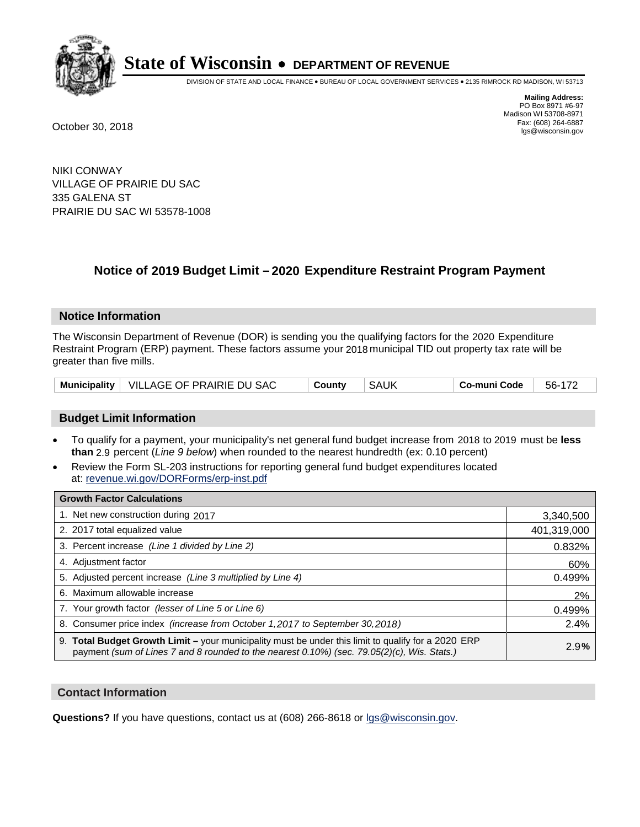

DIVISION OF STATE AND LOCAL FINANCE • BUREAU OF LOCAL GOVERNMENT SERVICES • 2135 RIMROCK RD MADISON, WI 53713

**Mailing Address:** PO Box 8971 #6-97 Madison WI 53708-8971<br>Fax: (608) 264-6887 Fax: (608) 264-6887 October 30, 2018 lgs@wisconsin.gov

NIKI CONWAY VILLAGE OF PRAIRIE DU SAC 335 GALENA ST PRAIRIE DU SAC WI 53578-1008

### **Notice of 2019 Budget Limit - 2020 Expenditure Restraint Program Payment**

#### **Notice Information**

The Wisconsin Department of Revenue (DOR) is sending you the qualifying factors for the 2020 Expenditure Restraint Program (ERP) payment. These factors assume your 2018 municipal TID out property tax rate will be greater than five mills.

|  | Municipality   VILLAGE OF PRAIRIE DU SAC | County | SAUK | Co-muni Code | 56-172 |
|--|------------------------------------------|--------|------|--------------|--------|
|--|------------------------------------------|--------|------|--------------|--------|

#### **Budget Limit Information**

- To qualify for a payment, your municipality's net general fund budget increase from 2018 to 2019 must be less **than** 2.9 percent (*Line 9 below*) when rounded to the nearest hundredth (ex: 0.10 percent)
- Review the Form SL-203 instructions for reporting general fund budget expenditures located at: revenue.wi.gov/DORForms/erp-inst.pdf

| <b>Growth Factor Calculations</b>                                                                                                                                                                      |             |
|--------------------------------------------------------------------------------------------------------------------------------------------------------------------------------------------------------|-------------|
| 1. Net new construction during 2017                                                                                                                                                                    | 3,340,500   |
| 2. 2017 total equalized value                                                                                                                                                                          | 401,319,000 |
| 3. Percent increase (Line 1 divided by Line 2)                                                                                                                                                         | 0.832%      |
| 4. Adjustment factor                                                                                                                                                                                   | 60%         |
| 5. Adjusted percent increase (Line 3 multiplied by Line 4)                                                                                                                                             | 0.499%      |
| 6. Maximum allowable increase                                                                                                                                                                          | 2%          |
| 7. Your growth factor (lesser of Line 5 or Line 6)                                                                                                                                                     | 0.499%      |
| 8. Consumer price index (increase from October 1,2017 to September 30,2018)                                                                                                                            | 2.4%        |
| 9. Total Budget Growth Limit - your municipality must be under this limit to qualify for a 2020 ERP<br>payment (sum of Lines 7 and 8 rounded to the nearest $0.10\%$ ) (sec. 79.05(2)(c), Wis. Stats.) | 2.9%        |

#### **Contact Information**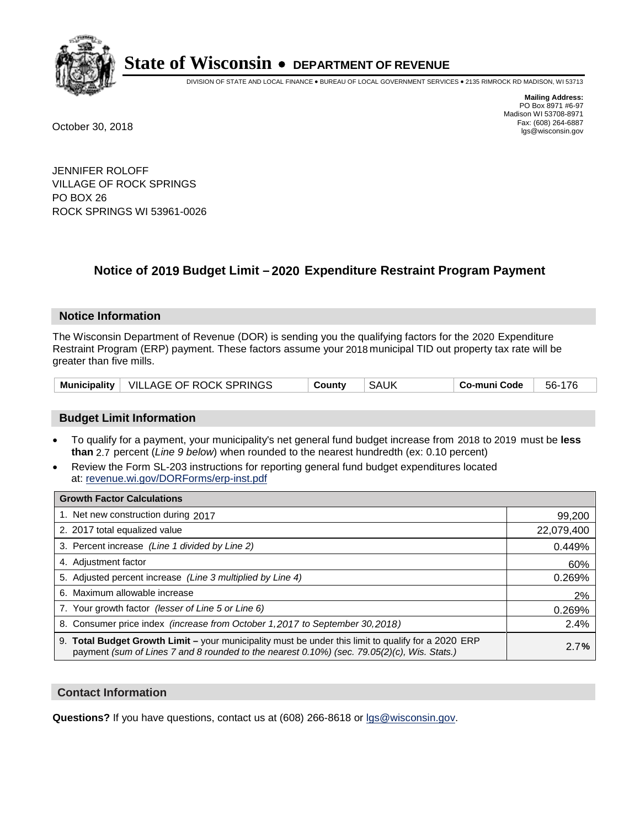

DIVISION OF STATE AND LOCAL FINANCE • BUREAU OF LOCAL GOVERNMENT SERVICES • 2135 RIMROCK RD MADISON, WI 53713

**Mailing Address:** PO Box 8971 #6-97 Madison WI 53708-8971<br>Fax: (608) 264-6887 Fax: (608) 264-6887 October 30, 2018 lgs@wisconsin.gov

JENNIFER ROLOFF VILLAGE OF ROCK SPRINGS PO BOX 26 ROCK SPRINGS WI 53961-0026

### **Notice of 2019 Budget Limit - 2020 Expenditure Restraint Program Payment**

#### **Notice Information**

The Wisconsin Department of Revenue (DOR) is sending you the qualifying factors for the 2020 Expenditure Restraint Program (ERP) payment. These factors assume your 2018 municipal TID out property tax rate will be greater than five mills.

|  | Municipality   VILLAGE OF ROCK SPRINGS | County | <b>SAUK</b> | Co-muni Code | 56-176 |
|--|----------------------------------------|--------|-------------|--------------|--------|
|--|----------------------------------------|--------|-------------|--------------|--------|

#### **Budget Limit Information**

- To qualify for a payment, your municipality's net general fund budget increase from 2018 to 2019 must be less **than** 2.7 percent (*Line 9 below*) when rounded to the nearest hundredth (ex: 0.10 percent)
- Review the Form SL-203 instructions for reporting general fund budget expenditures located at: revenue.wi.gov/DORForms/erp-inst.pdf

| <b>Growth Factor Calculations</b>                                                                                                                                                                  |            |
|----------------------------------------------------------------------------------------------------------------------------------------------------------------------------------------------------|------------|
| 1. Net new construction during 2017                                                                                                                                                                | 99,200     |
| 2. 2017 total equalized value                                                                                                                                                                      | 22,079,400 |
| 3. Percent increase (Line 1 divided by Line 2)                                                                                                                                                     | 0.449%     |
| 4. Adjustment factor                                                                                                                                                                               | 60%        |
| 5. Adjusted percent increase (Line 3 multiplied by Line 4)                                                                                                                                         | 0.269%     |
| 6. Maximum allowable increase                                                                                                                                                                      | 2%         |
| 7. Your growth factor (lesser of Line 5 or Line 6)                                                                                                                                                 | 0.269%     |
| 8. Consumer price index (increase from October 1, 2017 to September 30, 2018)                                                                                                                      | 2.4%       |
| 9. Total Budget Growth Limit – your municipality must be under this limit to qualify for a 2020 ERP<br>payment (sum of Lines 7 and 8 rounded to the nearest 0.10%) (sec. 79.05(2)(c), Wis. Stats.) | 2.7%       |

#### **Contact Information**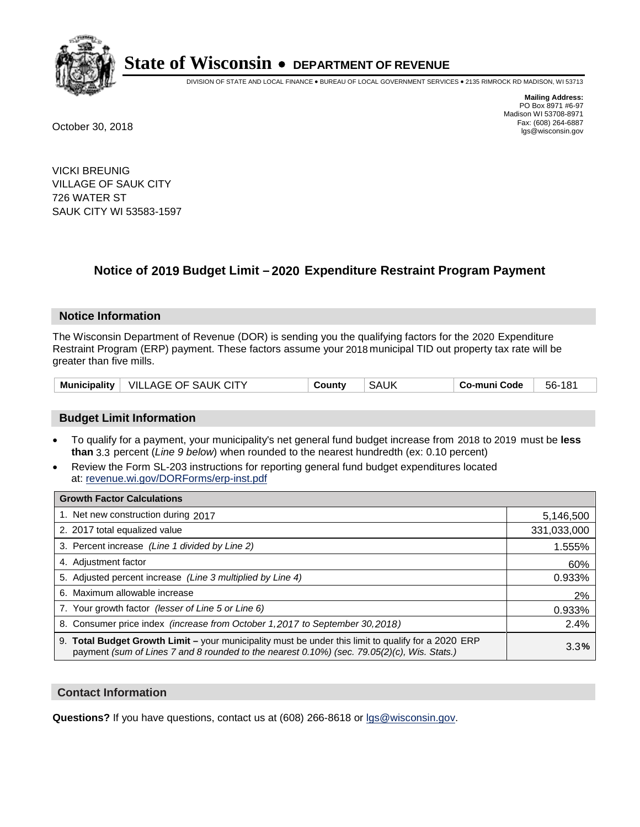

DIVISION OF STATE AND LOCAL FINANCE • BUREAU OF LOCAL GOVERNMENT SERVICES • 2135 RIMROCK RD MADISON, WI 53713

**Mailing Address:** PO Box 8971 #6-97 Madison WI 53708-8971<br>Fax: (608) 264-6887 Fax: (608) 264-6887 October 30, 2018 lgs@wisconsin.gov

VICKI BREUNIG VILLAGE OF SAUK CITY 726 WATER ST SAUK CITY WI 53583-1597

### **Notice of 2019 Budget Limit - 2020 Expenditure Restraint Program Payment**

#### **Notice Information**

The Wisconsin Department of Revenue (DOR) is sending you the qualifying factors for the 2020 Expenditure Restraint Program (ERP) payment. These factors assume your 2018 municipal TID out property tax rate will be greater than five mills.

| Municipality   VILLAGE OF SAUK CITY | County | <b>SAUK</b><br>Co-muni Code | 56-181 |
|-------------------------------------|--------|-----------------------------|--------|
|-------------------------------------|--------|-----------------------------|--------|

#### **Budget Limit Information**

- To qualify for a payment, your municipality's net general fund budget increase from 2018 to 2019 must be less **than** 3.3 percent (*Line 9 below*) when rounded to the nearest hundredth (ex: 0.10 percent)
- Review the Form SL-203 instructions for reporting general fund budget expenditures located at: revenue.wi.gov/DORForms/erp-inst.pdf

| <b>Growth Factor Calculations</b>                                                                                                                                                                      |             |
|--------------------------------------------------------------------------------------------------------------------------------------------------------------------------------------------------------|-------------|
| 1. Net new construction during 2017                                                                                                                                                                    | 5,146,500   |
| 2. 2017 total equalized value                                                                                                                                                                          | 331,033,000 |
| 3. Percent increase (Line 1 divided by Line 2)                                                                                                                                                         | 1.555%      |
| 4. Adjustment factor                                                                                                                                                                                   | 60%         |
| 5. Adjusted percent increase (Line 3 multiplied by Line 4)                                                                                                                                             | 0.933%      |
| 6. Maximum allowable increase                                                                                                                                                                          | 2%          |
| 7. Your growth factor (lesser of Line 5 or Line 6)                                                                                                                                                     | 0.933%      |
| 8. Consumer price index (increase from October 1,2017 to September 30,2018)                                                                                                                            | 2.4%        |
| 9. Total Budget Growth Limit - your municipality must be under this limit to qualify for a 2020 ERP<br>payment (sum of Lines 7 and 8 rounded to the nearest $0.10\%$ ) (sec. 79.05(2)(c), Wis. Stats.) | 3.3%        |

#### **Contact Information**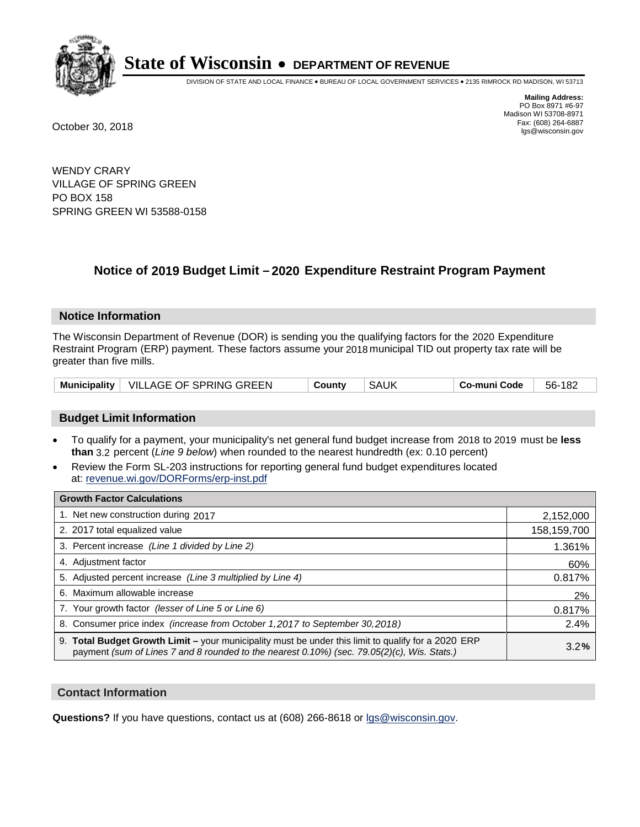

DIVISION OF STATE AND LOCAL FINANCE • BUREAU OF LOCAL GOVERNMENT SERVICES • 2135 RIMROCK RD MADISON, WI 53713

**Mailing Address:** PO Box 8971 #6-97 Madison WI 53708-8971<br>Fax: (608) 264-6887 Fax: (608) 264-6887 October 30, 2018 lgs@wisconsin.gov

WENDY CRARY VILLAGE OF SPRING GREEN PO BOX 158 SPRING GREEN WI 53588-0158

## **Notice of 2019 Budget Limit - 2020 Expenditure Restraint Program Payment**

#### **Notice Information**

The Wisconsin Department of Revenue (DOR) is sending you the qualifying factors for the 2020 Expenditure Restraint Program (ERP) payment. These factors assume your 2018 municipal TID out property tax rate will be greater than five mills.

|  | Municipality   VILLAGE OF SPRING GREEN | County | SAUK | Co-muni Code | 56-182 |
|--|----------------------------------------|--------|------|--------------|--------|
|--|----------------------------------------|--------|------|--------------|--------|

#### **Budget Limit Information**

- To qualify for a payment, your municipality's net general fund budget increase from 2018 to 2019 must be less **than** 3.2 percent (*Line 9 below*) when rounded to the nearest hundredth (ex: 0.10 percent)
- Review the Form SL-203 instructions for reporting general fund budget expenditures located at: revenue.wi.gov/DORForms/erp-inst.pdf

| <b>Growth Factor Calculations</b>                                                                                                                                                                      |             |
|--------------------------------------------------------------------------------------------------------------------------------------------------------------------------------------------------------|-------------|
| 1. Net new construction during 2017                                                                                                                                                                    | 2,152,000   |
| 2. 2017 total equalized value                                                                                                                                                                          | 158,159,700 |
| 3. Percent increase (Line 1 divided by Line 2)                                                                                                                                                         | 1.361%      |
| 4. Adjustment factor                                                                                                                                                                                   | 60%         |
| 5. Adjusted percent increase (Line 3 multiplied by Line 4)                                                                                                                                             | 0.817%      |
| 6. Maximum allowable increase                                                                                                                                                                          | 2%          |
| 7. Your growth factor (lesser of Line 5 or Line 6)                                                                                                                                                     | 0.817%      |
| 8. Consumer price index (increase from October 1,2017 to September 30,2018)                                                                                                                            | 2.4%        |
| 9. Total Budget Growth Limit - your municipality must be under this limit to qualify for a 2020 ERP<br>payment (sum of Lines 7 and 8 rounded to the nearest $0.10\%$ ) (sec. 79.05(2)(c), Wis. Stats.) | 3.2%        |

#### **Contact Information**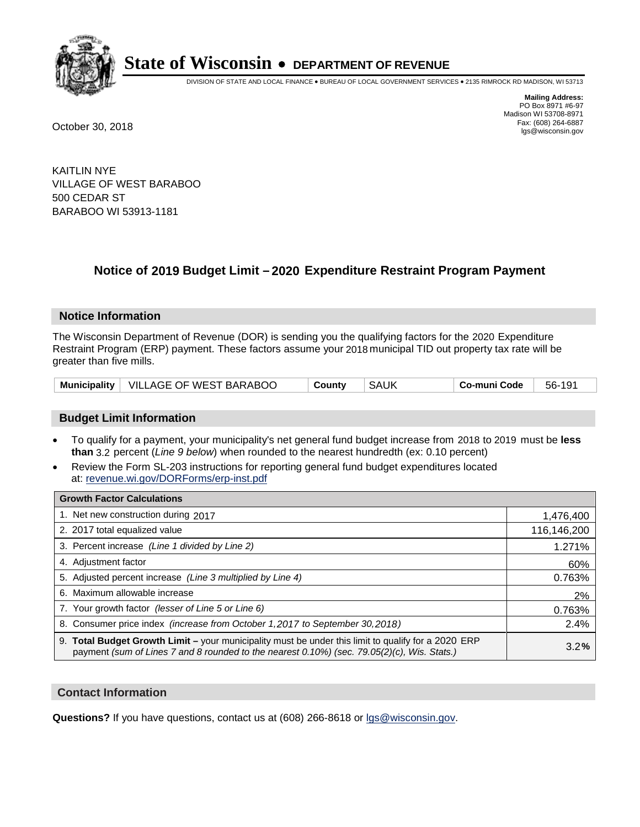

DIVISION OF STATE AND LOCAL FINANCE • BUREAU OF LOCAL GOVERNMENT SERVICES • 2135 RIMROCK RD MADISON, WI 53713

**Mailing Address:** PO Box 8971 #6-97 Madison WI 53708-8971<br>Fax: (608) 264-6887 Fax: (608) 264-6887 October 30, 2018 lgs@wisconsin.gov

KAITLIN NYE VILLAGE OF WEST BARABOO 500 CEDAR ST BARABOO WI 53913-1181

### **Notice of 2019 Budget Limit - 2020 Expenditure Restraint Program Payment**

#### **Notice Information**

The Wisconsin Department of Revenue (DOR) is sending you the qualifying factors for the 2020 Expenditure Restraint Program (ERP) payment. These factors assume your 2018 municipal TID out property tax rate will be greater than five mills.

#### **Budget Limit Information**

- To qualify for a payment, your municipality's net general fund budget increase from 2018 to 2019 must be less **than** 3.2 percent (*Line 9 below*) when rounded to the nearest hundredth (ex: 0.10 percent)
- Review the Form SL-203 instructions for reporting general fund budget expenditures located at: revenue.wi.gov/DORForms/erp-inst.pdf

| <b>Growth Factor Calculations</b>                                                                                                                                                                      |             |
|--------------------------------------------------------------------------------------------------------------------------------------------------------------------------------------------------------|-------------|
| 1. Net new construction during 2017                                                                                                                                                                    | 1,476,400   |
| 2. 2017 total equalized value                                                                                                                                                                          | 116,146,200 |
| 3. Percent increase (Line 1 divided by Line 2)                                                                                                                                                         | 1.271%      |
| 4. Adjustment factor                                                                                                                                                                                   | 60%         |
| 5. Adjusted percent increase (Line 3 multiplied by Line 4)                                                                                                                                             | 0.763%      |
| 6. Maximum allowable increase                                                                                                                                                                          | 2%          |
| 7. Your growth factor (lesser of Line 5 or Line 6)                                                                                                                                                     | 0.763%      |
| 8. Consumer price index (increase from October 1, 2017 to September 30, 2018)                                                                                                                          | 2.4%        |
| 9. Total Budget Growth Limit - your municipality must be under this limit to qualify for a 2020 ERP<br>payment (sum of Lines 7 and 8 rounded to the nearest $0.10\%$ ) (sec. 79.05(2)(c), Wis. Stats.) | 3.2%        |

#### **Contact Information**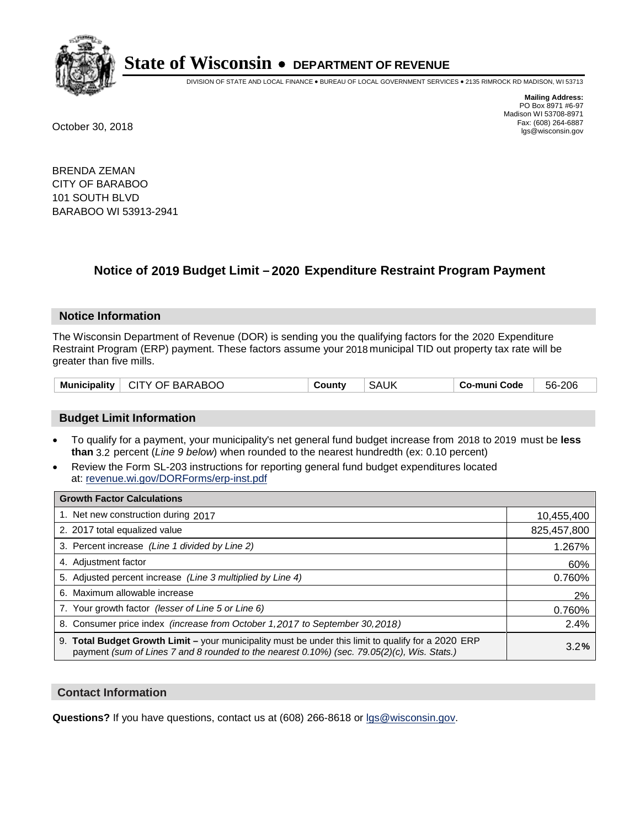

DIVISION OF STATE AND LOCAL FINANCE • BUREAU OF LOCAL GOVERNMENT SERVICES • 2135 RIMROCK RD MADISON, WI 53713

**Mailing Address:** PO Box 8971 #6-97 Madison WI 53708-8971<br>Fax: (608) 264-6887 Fax: (608) 264-6887 October 30, 2018 lgs@wisconsin.gov

BRENDA ZEMAN CITY OF BARABOO 101 SOUTH BLVD BARABOO WI 53913-2941

### **Notice of 2019 Budget Limit - 2020 Expenditure Restraint Program Payment**

#### **Notice Information**

The Wisconsin Department of Revenue (DOR) is sending you the qualifying factors for the 2020 Expenditure Restraint Program (ERP) payment. These factors assume your 2018 municipal TID out property tax rate will be greater than five mills.

| Municipality   CITY OF BARABOO | County | <b>SAUK</b> | Co-muni Code | 56-206 |
|--------------------------------|--------|-------------|--------------|--------|
|--------------------------------|--------|-------------|--------------|--------|

#### **Budget Limit Information**

- To qualify for a payment, your municipality's net general fund budget increase from 2018 to 2019 must be less **than** 3.2 percent (*Line 9 below*) when rounded to the nearest hundredth (ex: 0.10 percent)
- Review the Form SL-203 instructions for reporting general fund budget expenditures located at: revenue.wi.gov/DORForms/erp-inst.pdf

| <b>Growth Factor Calculations</b>                                                                                                                                                                      |             |
|--------------------------------------------------------------------------------------------------------------------------------------------------------------------------------------------------------|-------------|
| 1. Net new construction during 2017                                                                                                                                                                    | 10,455,400  |
| 2. 2017 total equalized value                                                                                                                                                                          | 825,457,800 |
| 3. Percent increase (Line 1 divided by Line 2)                                                                                                                                                         | 1.267%      |
| 4. Adjustment factor                                                                                                                                                                                   | 60%         |
| 5. Adjusted percent increase (Line 3 multiplied by Line 4)                                                                                                                                             | 0.760%      |
| 6. Maximum allowable increase                                                                                                                                                                          | 2%          |
| 7. Your growth factor (lesser of Line 5 or Line 6)                                                                                                                                                     | 0.760%      |
| 8. Consumer price index (increase from October 1, 2017 to September 30, 2018)                                                                                                                          | 2.4%        |
| 9. Total Budget Growth Limit - your municipality must be under this limit to qualify for a 2020 ERP<br>payment (sum of Lines 7 and 8 rounded to the nearest $0.10\%$ ) (sec. 79.05(2)(c), Wis. Stats.) | 3.2%        |

#### **Contact Information**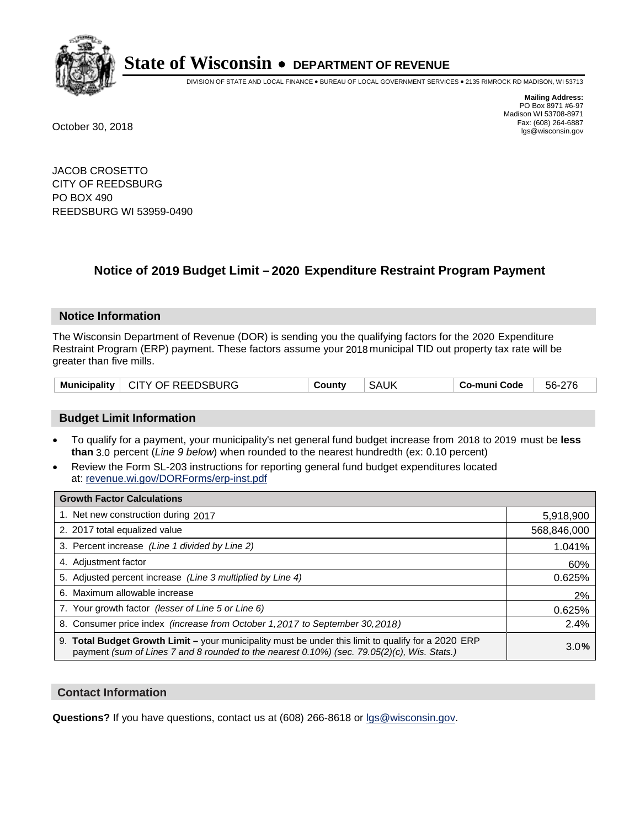

DIVISION OF STATE AND LOCAL FINANCE • BUREAU OF LOCAL GOVERNMENT SERVICES • 2135 RIMROCK RD MADISON, WI 53713

**Mailing Address:** PO Box 8971 #6-97 Madison WI 53708-8971<br>Fax: (608) 264-6887 Fax: (608) 264-6887 October 30, 2018 lgs@wisconsin.gov

JACOB CROSETTO CITY OF REEDSBURG PO BOX 490 REEDSBURG WI 53959-0490

### **Notice of 2019 Budget Limit - 2020 Expenditure Restraint Program Payment**

#### **Notice Information**

The Wisconsin Department of Revenue (DOR) is sending you the qualifying factors for the 2020 Expenditure Restraint Program (ERP) payment. These factors assume your 2018 municipal TID out property tax rate will be greater than five mills.

|  | Municipality   CITY OF REEDSBURG | County | <b>SAUK</b> | Co-muni Code | 56-276 |
|--|----------------------------------|--------|-------------|--------------|--------|
|--|----------------------------------|--------|-------------|--------------|--------|

#### **Budget Limit Information**

- To qualify for a payment, your municipality's net general fund budget increase from 2018 to 2019 must be less **than** 3.0 percent (*Line 9 below*) when rounded to the nearest hundredth (ex: 0.10 percent)
- Review the Form SL-203 instructions for reporting general fund budget expenditures located at: revenue.wi.gov/DORForms/erp-inst.pdf

| <b>Growth Factor Calculations</b>                                                                                                                                                                      |             |
|--------------------------------------------------------------------------------------------------------------------------------------------------------------------------------------------------------|-------------|
| 1. Net new construction during 2017                                                                                                                                                                    | 5,918,900   |
| 2. 2017 total equalized value                                                                                                                                                                          | 568,846,000 |
| 3. Percent increase (Line 1 divided by Line 2)                                                                                                                                                         | 1.041%      |
| 4. Adjustment factor                                                                                                                                                                                   | 60%         |
| 5. Adjusted percent increase (Line 3 multiplied by Line 4)                                                                                                                                             | 0.625%      |
| 6. Maximum allowable increase                                                                                                                                                                          | 2%          |
| 7. Your growth factor (lesser of Line 5 or Line 6)                                                                                                                                                     | 0.625%      |
| 8. Consumer price index (increase from October 1,2017 to September 30,2018)                                                                                                                            | 2.4%        |
| 9. Total Budget Growth Limit - your municipality must be under this limit to qualify for a 2020 ERP<br>payment (sum of Lines 7 and 8 rounded to the nearest $0.10\%$ ) (sec. 79.05(2)(c), Wis. Stats.) | 3.0%        |

#### **Contact Information**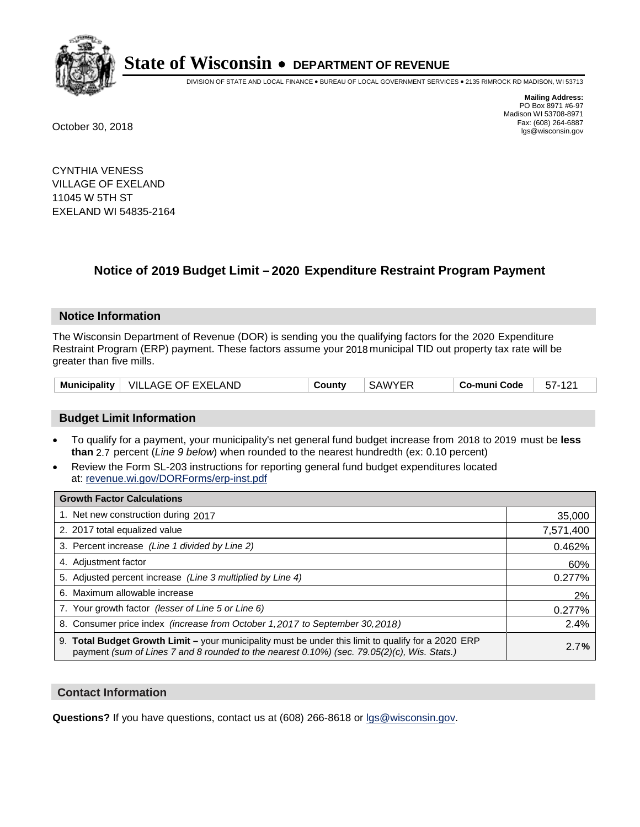

DIVISION OF STATE AND LOCAL FINANCE • BUREAU OF LOCAL GOVERNMENT SERVICES • 2135 RIMROCK RD MADISON, WI 53713

**Mailing Address:** PO Box 8971 #6-97 Madison WI 53708-8971<br>Fax: (608) 264-6887 Fax: (608) 264-6887 October 30, 2018 lgs@wisconsin.gov

CYNTHIA VENESS VILLAGE OF EXELAND 11045 W 5TH ST EXELAND WI 54835-2164

### **Notice of 2019 Budget Limit - 2020 Expenditure Restraint Program Payment**

#### **Notice Information**

The Wisconsin Department of Revenue (DOR) is sending you the qualifying factors for the 2020 Expenditure Restraint Program (ERP) payment. These factors assume your 2018 municipal TID out property tax rate will be greater than five mills.

| Municipality | <b>VILLAGE OF EXELAND</b> | County | SAWYER | Co-muni Code | 57- |
|--------------|---------------------------|--------|--------|--------------|-----|
|--------------|---------------------------|--------|--------|--------------|-----|

#### **Budget Limit Information**

- To qualify for a payment, your municipality's net general fund budget increase from 2018 to 2019 must be less **than** 2.7 percent (*Line 9 below*) when rounded to the nearest hundredth (ex: 0.10 percent)
- Review the Form SL-203 instructions for reporting general fund budget expenditures located at: revenue.wi.gov/DORForms/erp-inst.pdf

| <b>Growth Factor Calculations</b>                                                                                                                                                                  |           |
|----------------------------------------------------------------------------------------------------------------------------------------------------------------------------------------------------|-----------|
| 1. Net new construction during 2017                                                                                                                                                                | 35,000    |
| 2. 2017 total equalized value                                                                                                                                                                      | 7,571,400 |
| 3. Percent increase (Line 1 divided by Line 2)                                                                                                                                                     | 0.462%    |
| 4. Adjustment factor                                                                                                                                                                               | 60%       |
| 5. Adjusted percent increase (Line 3 multiplied by Line 4)                                                                                                                                         | 0.277%    |
| 6. Maximum allowable increase                                                                                                                                                                      | 2%        |
| 7. Your growth factor (lesser of Line 5 or Line 6)                                                                                                                                                 | 0.277%    |
| 8. Consumer price index (increase from October 1, 2017 to September 30, 2018)                                                                                                                      | 2.4%      |
| 9. Total Budget Growth Limit – your municipality must be under this limit to qualify for a 2020 ERP<br>payment (sum of Lines 7 and 8 rounded to the nearest 0.10%) (sec. 79.05(2)(c), Wis. Stats.) | 2.7%      |

#### **Contact Information**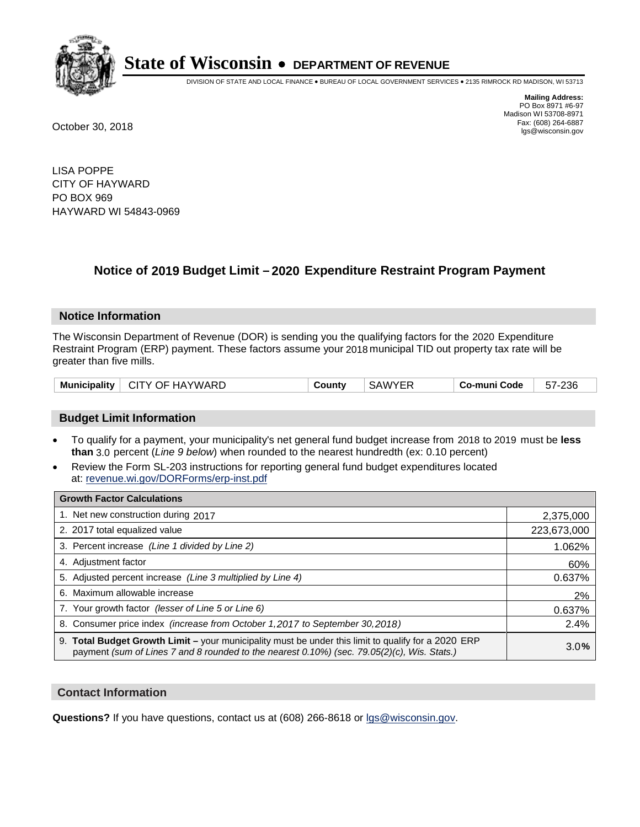

DIVISION OF STATE AND LOCAL FINANCE • BUREAU OF LOCAL GOVERNMENT SERVICES • 2135 RIMROCK RD MADISON, WI 53713

**Mailing Address:** PO Box 8971 #6-97 Madison WI 53708-8971<br>Fax: (608) 264-6887 Fax: (608) 264-6887 October 30, 2018 lgs@wisconsin.gov

LISA POPPE CITY OF HAYWARD PO BOX 969 HAYWARD WI 54843-0969

### **Notice of 2019 Budget Limit - 2020 Expenditure Restraint Program Payment**

#### **Notice Information**

The Wisconsin Department of Revenue (DOR) is sending you the qualifying factors for the 2020 Expenditure Restraint Program (ERP) payment. These factors assume your 2018 municipal TID out property tax rate will be greater than five mills.

| <b>Municipality</b> | CITY OF HAYWARD | County | <b>SAWYER</b> | Co-muni Code | 57-236 |
|---------------------|-----------------|--------|---------------|--------------|--------|
|---------------------|-----------------|--------|---------------|--------------|--------|

#### **Budget Limit Information**

- To qualify for a payment, your municipality's net general fund budget increase from 2018 to 2019 must be less **than** 3.0 percent (*Line 9 below*) when rounded to the nearest hundredth (ex: 0.10 percent)
- Review the Form SL-203 instructions for reporting general fund budget expenditures located at: revenue.wi.gov/DORForms/erp-inst.pdf

| <b>Growth Factor Calculations</b>                                                                                                                                                                      |             |
|--------------------------------------------------------------------------------------------------------------------------------------------------------------------------------------------------------|-------------|
| 1. Net new construction during 2017                                                                                                                                                                    | 2,375,000   |
| 2. 2017 total equalized value                                                                                                                                                                          | 223,673,000 |
| 3. Percent increase (Line 1 divided by Line 2)                                                                                                                                                         | 1.062%      |
| 4. Adjustment factor                                                                                                                                                                                   | 60%         |
| 5. Adjusted percent increase (Line 3 multiplied by Line 4)                                                                                                                                             | 0.637%      |
| 6. Maximum allowable increase                                                                                                                                                                          | 2%          |
| 7. Your growth factor (lesser of Line 5 or Line 6)                                                                                                                                                     | 0.637%      |
| 8. Consumer price index (increase from October 1, 2017 to September 30, 2018)                                                                                                                          | 2.4%        |
| 9. Total Budget Growth Limit - your municipality must be under this limit to qualify for a 2020 ERP<br>payment (sum of Lines 7 and 8 rounded to the nearest $0.10\%$ ) (sec. 79.05(2)(c), Wis. Stats.) | 3.0%        |

#### **Contact Information**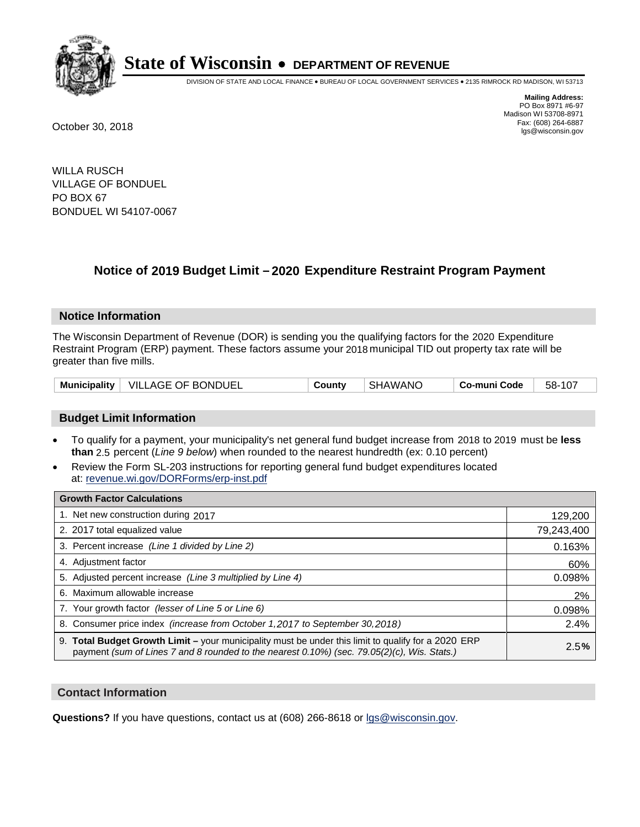

DIVISION OF STATE AND LOCAL FINANCE • BUREAU OF LOCAL GOVERNMENT SERVICES • 2135 RIMROCK RD MADISON, WI 53713

**Mailing Address:** PO Box 8971 #6-97 Madison WI 53708-8971<br>Fax: (608) 264-6887 Fax: (608) 264-6887 October 30, 2018 lgs@wisconsin.gov

WILLA RUSCH VILLAGE OF BONDUEL PO BOX 67 BONDUEL WI 54107-0067

### **Notice of 2019 Budget Limit - 2020 Expenditure Restraint Program Payment**

#### **Notice Information**

The Wisconsin Department of Revenue (DOR) is sending you the qualifying factors for the 2020 Expenditure Restraint Program (ERP) payment. These factors assume your 2018 municipal TID out property tax rate will be greater than five mills.

| Municipality   VILLAGE OF BONDUEL | County | <b>SHAWANO</b> | Co-muni Code | 58-107 |
|-----------------------------------|--------|----------------|--------------|--------|
|-----------------------------------|--------|----------------|--------------|--------|

#### **Budget Limit Information**

- To qualify for a payment, your municipality's net general fund budget increase from 2018 to 2019 must be less **than** 2.5 percent (*Line 9 below*) when rounded to the nearest hundredth (ex: 0.10 percent)
- Review the Form SL-203 instructions for reporting general fund budget expenditures located at: revenue.wi.gov/DORForms/erp-inst.pdf

| <b>Growth Factor Calculations</b>                                                                                                                                                                      |            |
|--------------------------------------------------------------------------------------------------------------------------------------------------------------------------------------------------------|------------|
| 1. Net new construction during 2017                                                                                                                                                                    | 129,200    |
| 2. 2017 total equalized value                                                                                                                                                                          | 79,243,400 |
| 3. Percent increase (Line 1 divided by Line 2)                                                                                                                                                         | 0.163%     |
| 4. Adjustment factor                                                                                                                                                                                   | 60%        |
| 5. Adjusted percent increase (Line 3 multiplied by Line 4)                                                                                                                                             | 0.098%     |
| 6. Maximum allowable increase                                                                                                                                                                          | 2%         |
| 7. Your growth factor (lesser of Line 5 or Line 6)                                                                                                                                                     | 0.098%     |
| 8. Consumer price index (increase from October 1,2017 to September 30,2018)                                                                                                                            | 2.4%       |
| 9. Total Budget Growth Limit - your municipality must be under this limit to qualify for a 2020 ERP<br>payment (sum of Lines 7 and 8 rounded to the nearest $0.10\%$ ) (sec. 79.05(2)(c), Wis. Stats.) | 2.5%       |

#### **Contact Information**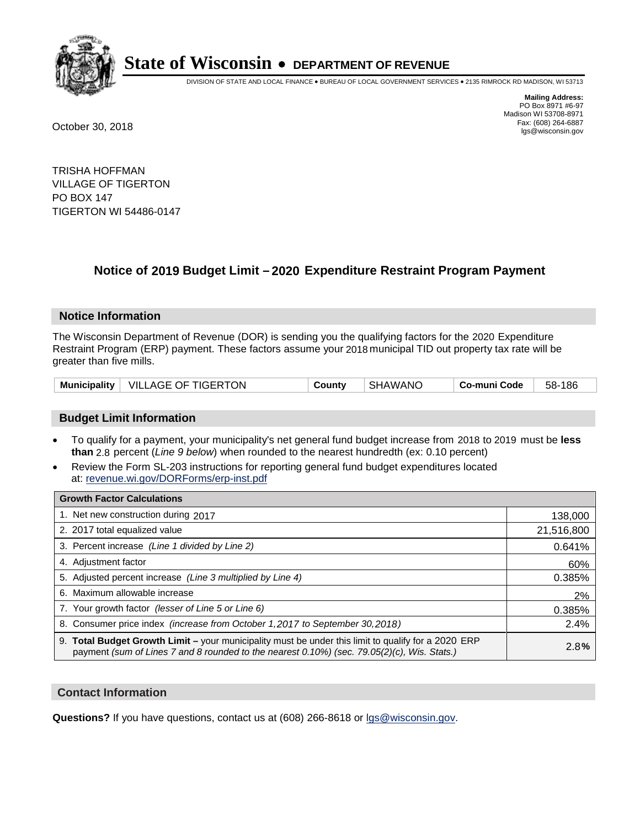

DIVISION OF STATE AND LOCAL FINANCE • BUREAU OF LOCAL GOVERNMENT SERVICES • 2135 RIMROCK RD MADISON, WI 53713

**Mailing Address:** PO Box 8971 #6-97 Madison WI 53708-8971<br>Fax: (608) 264-6887 Fax: (608) 264-6887 October 30, 2018 lgs@wisconsin.gov

TRISHA HOFFMAN VILLAGE OF TIGERTON PO BOX 147 TIGERTON WI 54486-0147

### **Notice of 2019 Budget Limit - 2020 Expenditure Restraint Program Payment**

#### **Notice Information**

The Wisconsin Department of Revenue (DOR) is sending you the qualifying factors for the 2020 Expenditure Restraint Program (ERP) payment. These factors assume your 2018 municipal TID out property tax rate will be greater than five mills.

| Municipality   VILLAGE OF TIGERTON | Countv | SHAWANO | Co-muni Code | 58-186 |
|------------------------------------|--------|---------|--------------|--------|
|------------------------------------|--------|---------|--------------|--------|

#### **Budget Limit Information**

- To qualify for a payment, your municipality's net general fund budget increase from 2018 to 2019 must be less **than** 2.8 percent (*Line 9 below*) when rounded to the nearest hundredth (ex: 0.10 percent)
- Review the Form SL-203 instructions for reporting general fund budget expenditures located at: revenue.wi.gov/DORForms/erp-inst.pdf

| <b>Growth Factor Calculations</b>                                                                                                                                                                      |            |
|--------------------------------------------------------------------------------------------------------------------------------------------------------------------------------------------------------|------------|
| 1. Net new construction during 2017                                                                                                                                                                    | 138,000    |
| 2. 2017 total equalized value                                                                                                                                                                          | 21,516,800 |
| 3. Percent increase (Line 1 divided by Line 2)                                                                                                                                                         | 0.641%     |
| 4. Adjustment factor                                                                                                                                                                                   | 60%        |
| 5. Adjusted percent increase (Line 3 multiplied by Line 4)                                                                                                                                             | 0.385%     |
| 6. Maximum allowable increase                                                                                                                                                                          | 2%         |
| 7. Your growth factor (lesser of Line 5 or Line 6)                                                                                                                                                     | 0.385%     |
| 8. Consumer price index (increase from October 1,2017 to September 30,2018)                                                                                                                            | 2.4%       |
| 9. Total Budget Growth Limit - your municipality must be under this limit to qualify for a 2020 ERP<br>payment (sum of Lines 7 and 8 rounded to the nearest $0.10\%$ ) (sec. 79.05(2)(c), Wis. Stats.) | 2.8%       |

#### **Contact Information**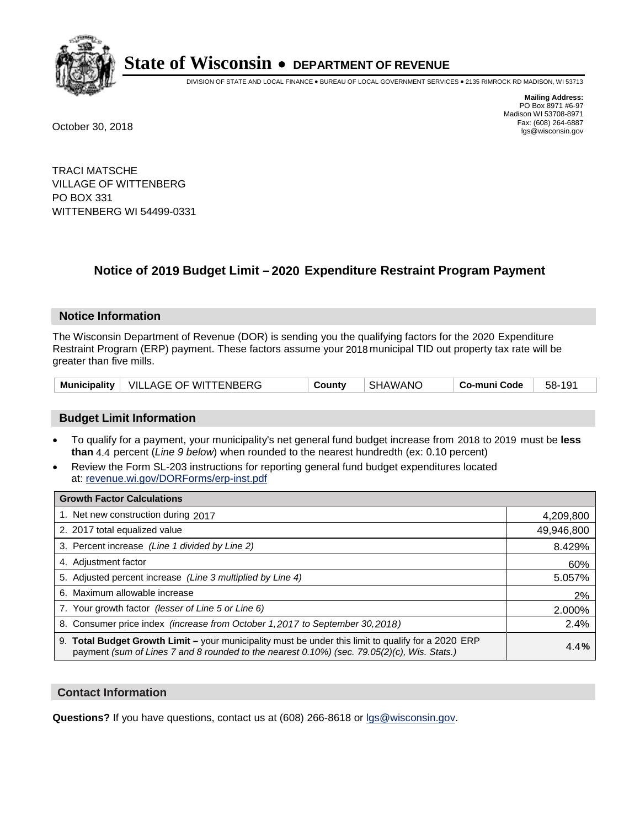

DIVISION OF STATE AND LOCAL FINANCE • BUREAU OF LOCAL GOVERNMENT SERVICES • 2135 RIMROCK RD MADISON, WI 53713

**Mailing Address:** PO Box 8971 #6-97 Madison WI 53708-8971<br>Fax: (608) 264-6887 Fax: (608) 264-6887 October 30, 2018 lgs@wisconsin.gov

TRACI MATSCHE VILLAGE OF WITTENBERG PO BOX 331 WITTENBERG WI 54499-0331

### **Notice of 2019 Budget Limit - 2020 Expenditure Restraint Program Payment**

#### **Notice Information**

The Wisconsin Department of Revenue (DOR) is sending you the qualifying factors for the 2020 Expenditure Restraint Program (ERP) payment. These factors assume your 2018 municipal TID out property tax rate will be greater than five mills.

|  | Municipality   VILLAGE OF WITTENBERG | County | SHAWANO | Co-muni Code | 58-191 |
|--|--------------------------------------|--------|---------|--------------|--------|
|--|--------------------------------------|--------|---------|--------------|--------|

#### **Budget Limit Information**

- To qualify for a payment, your municipality's net general fund budget increase from 2018 to 2019 must be less **than** 4.4 percent (*Line 9 below*) when rounded to the nearest hundredth (ex: 0.10 percent)
- Review the Form SL-203 instructions for reporting general fund budget expenditures located at: revenue.wi.gov/DORForms/erp-inst.pdf

| <b>Growth Factor Calculations</b>                                                                                                                                                                      |            |
|--------------------------------------------------------------------------------------------------------------------------------------------------------------------------------------------------------|------------|
| 1. Net new construction during 2017                                                                                                                                                                    | 4,209,800  |
| 2. 2017 total equalized value                                                                                                                                                                          | 49,946,800 |
| 3. Percent increase (Line 1 divided by Line 2)                                                                                                                                                         | 8.429%     |
| 4. Adjustment factor                                                                                                                                                                                   | 60%        |
| 5. Adjusted percent increase (Line 3 multiplied by Line 4)                                                                                                                                             | 5.057%     |
| 6. Maximum allowable increase                                                                                                                                                                          | 2%         |
| 7. Your growth factor (lesser of Line 5 or Line 6)                                                                                                                                                     | 2.000%     |
| 8. Consumer price index (increase from October 1,2017 to September 30,2018)                                                                                                                            | 2.4%       |
| 9. Total Budget Growth Limit - your municipality must be under this limit to qualify for a 2020 ERP<br>payment (sum of Lines 7 and 8 rounded to the nearest $0.10\%$ ) (sec. 79.05(2)(c), Wis. Stats.) | 4.4%       |

#### **Contact Information**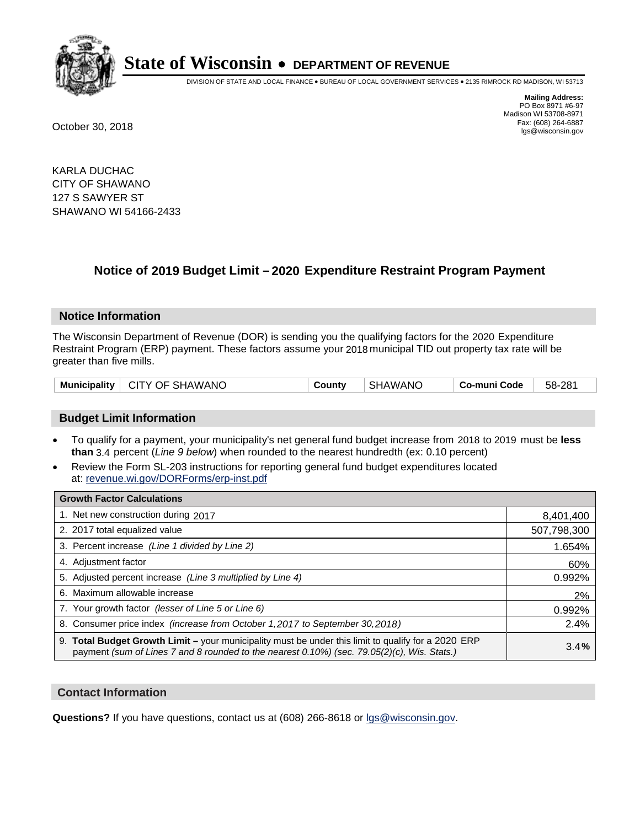

DIVISION OF STATE AND LOCAL FINANCE • BUREAU OF LOCAL GOVERNMENT SERVICES • 2135 RIMROCK RD MADISON, WI 53713

**Mailing Address:** PO Box 8971 #6-97 Madison WI 53708-8971<br>Fax: (608) 264-6887 Fax: (608) 264-6887 October 30, 2018 lgs@wisconsin.gov

KARLA DUCHAC CITY OF SHAWANO 127 S SAWYER ST SHAWANO WI 54166-2433

### **Notice of 2019 Budget Limit - 2020 Expenditure Restraint Program Payment**

#### **Notice Information**

The Wisconsin Department of Revenue (DOR) is sending you the qualifying factors for the 2020 Expenditure Restraint Program (ERP) payment. These factors assume your 2018 municipal TID out property tax rate will be greater than five mills.

| Municipality   CITY OF SHAWANO | County | SHAWANO | Co-muni Code | 58-281 |
|--------------------------------|--------|---------|--------------|--------|
|--------------------------------|--------|---------|--------------|--------|

#### **Budget Limit Information**

- To qualify for a payment, your municipality's net general fund budget increase from 2018 to 2019 must be less **than** 3.4 percent (*Line 9 below*) when rounded to the nearest hundredth (ex: 0.10 percent)
- Review the Form SL-203 instructions for reporting general fund budget expenditures located at: revenue.wi.gov/DORForms/erp-inst.pdf

| <b>Growth Factor Calculations</b>                                                                                                                                                                      |             |
|--------------------------------------------------------------------------------------------------------------------------------------------------------------------------------------------------------|-------------|
| 1. Net new construction during 2017                                                                                                                                                                    | 8,401,400   |
| 2. 2017 total equalized value                                                                                                                                                                          | 507,798,300 |
| 3. Percent increase (Line 1 divided by Line 2)                                                                                                                                                         | 1.654%      |
| 4. Adjustment factor                                                                                                                                                                                   | 60%         |
| 5. Adjusted percent increase (Line 3 multiplied by Line 4)                                                                                                                                             | 0.992%      |
| 6. Maximum allowable increase                                                                                                                                                                          | 2%          |
| 7. Your growth factor (lesser of Line 5 or Line 6)                                                                                                                                                     | 0.992%      |
| 8. Consumer price index (increase from October 1, 2017 to September 30, 2018)                                                                                                                          | 2.4%        |
| 9. Total Budget Growth Limit - your municipality must be under this limit to qualify for a 2020 ERP<br>payment (sum of Lines 7 and 8 rounded to the nearest $0.10\%$ ) (sec. 79.05(2)(c), Wis. Stats.) | 3.4%        |

#### **Contact Information**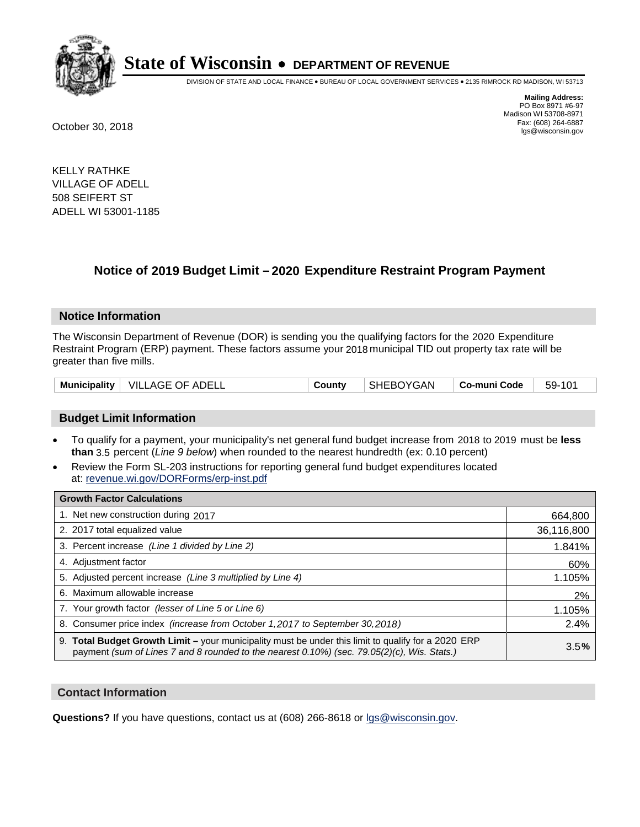

DIVISION OF STATE AND LOCAL FINANCE • BUREAU OF LOCAL GOVERNMENT SERVICES • 2135 RIMROCK RD MADISON, WI 53713

**Mailing Address:** PO Box 8971 #6-97 Madison WI 53708-8971<br>Fax: (608) 264-6887 Fax: (608) 264-6887 October 30, 2018 lgs@wisconsin.gov

KELLY RATHKE VILLAGE OF ADELL 508 SEIFERT ST ADELL WI 53001-1185

### **Notice of 2019 Budget Limit - 2020 Expenditure Restraint Program Payment**

#### **Notice Information**

The Wisconsin Department of Revenue (DOR) is sending you the qualifying factors for the 2020 Expenditure Restraint Program (ERP) payment. These factors assume your 2018 municipal TID out property tax rate will be greater than five mills.

|  | Municipality   VILLAGE OF ADELL | County | SHEBOYGAN | ∣ Co-muni Code | 59-101 |
|--|---------------------------------|--------|-----------|----------------|--------|
|--|---------------------------------|--------|-----------|----------------|--------|

#### **Budget Limit Information**

- To qualify for a payment, your municipality's net general fund budget increase from 2018 to 2019 must be less **than** 3.5 percent (*Line 9 below*) when rounded to the nearest hundredth (ex: 0.10 percent)
- Review the Form SL-203 instructions for reporting general fund budget expenditures located at: revenue.wi.gov/DORForms/erp-inst.pdf

| <b>Growth Factor Calculations</b>                                                                                                                                                                      |            |
|--------------------------------------------------------------------------------------------------------------------------------------------------------------------------------------------------------|------------|
| 1. Net new construction during 2017                                                                                                                                                                    | 664,800    |
| 2. 2017 total equalized value                                                                                                                                                                          | 36,116,800 |
| 3. Percent increase (Line 1 divided by Line 2)                                                                                                                                                         | 1.841%     |
| 4. Adjustment factor                                                                                                                                                                                   | 60%        |
| 5. Adjusted percent increase (Line 3 multiplied by Line 4)                                                                                                                                             | 1.105%     |
| 6. Maximum allowable increase                                                                                                                                                                          | 2%         |
| 7. Your growth factor (lesser of Line 5 or Line 6)                                                                                                                                                     | 1.105%     |
| 8. Consumer price index (increase from October 1,2017 to September 30,2018)                                                                                                                            | 2.4%       |
| 9. Total Budget Growth Limit - your municipality must be under this limit to qualify for a 2020 ERP<br>payment (sum of Lines 7 and 8 rounded to the nearest $0.10\%$ ) (sec. 79.05(2)(c), Wis. Stats.) | 3.5%       |

#### **Contact Information**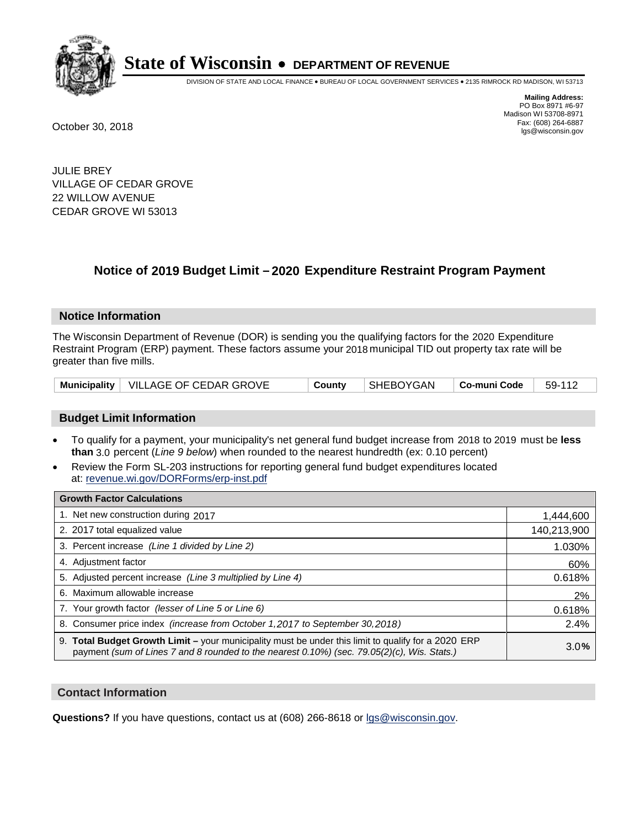

DIVISION OF STATE AND LOCAL FINANCE • BUREAU OF LOCAL GOVERNMENT SERVICES • 2135 RIMROCK RD MADISON, WI 53713

**Mailing Address:** PO Box 8971 #6-97 Madison WI 53708-8971<br>Fax: (608) 264-6887 Fax: (608) 264-6887 October 30, 2018 lgs@wisconsin.gov

JULIE BREY VILLAGE OF CEDAR GROVE 22 WILLOW AVENUE CEDAR GROVE WI 53013

### **Notice of 2019 Budget Limit - 2020 Expenditure Restraint Program Payment**

#### **Notice Information**

The Wisconsin Department of Revenue (DOR) is sending you the qualifying factors for the 2020 Expenditure Restraint Program (ERP) payment. These factors assume your 2018 municipal TID out property tax rate will be greater than five mills.

|  | Municipality   VILLAGE OF CEDAR GROVE | County | SHEBOYGAN | $\vert$ Co-muni Code $\vert$ 59-112 |  |
|--|---------------------------------------|--------|-----------|-------------------------------------|--|
|--|---------------------------------------|--------|-----------|-------------------------------------|--|

#### **Budget Limit Information**

- To qualify for a payment, your municipality's net general fund budget increase from 2018 to 2019 must be less **than** 3.0 percent (*Line 9 below*) when rounded to the nearest hundredth (ex: 0.10 percent)
- Review the Form SL-203 instructions for reporting general fund budget expenditures located at: revenue.wi.gov/DORForms/erp-inst.pdf

| <b>Growth Factor Calculations</b>                                                                                                                                                                      |             |
|--------------------------------------------------------------------------------------------------------------------------------------------------------------------------------------------------------|-------------|
| 1. Net new construction during 2017                                                                                                                                                                    | 1,444,600   |
| 2. 2017 total equalized value                                                                                                                                                                          | 140,213,900 |
| 3. Percent increase (Line 1 divided by Line 2)                                                                                                                                                         | 1.030%      |
| 4. Adjustment factor                                                                                                                                                                                   | 60%         |
| 5. Adjusted percent increase (Line 3 multiplied by Line 4)                                                                                                                                             | 0.618%      |
| 6. Maximum allowable increase                                                                                                                                                                          | 2%          |
| 7. Your growth factor (lesser of Line 5 or Line 6)                                                                                                                                                     | 0.618%      |
| 8. Consumer price index (increase from October 1,2017 to September 30,2018)                                                                                                                            | 2.4%        |
| 9. Total Budget Growth Limit - your municipality must be under this limit to qualify for a 2020 ERP<br>payment (sum of Lines 7 and 8 rounded to the nearest $0.10\%$ ) (sec. 79.05(2)(c), Wis. Stats.) | 3.0%        |

#### **Contact Information**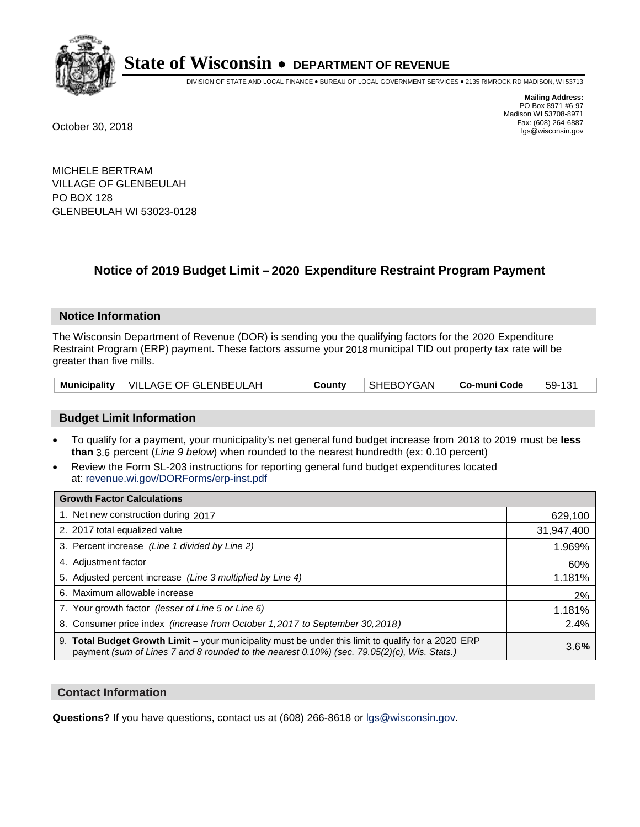

DIVISION OF STATE AND LOCAL FINANCE • BUREAU OF LOCAL GOVERNMENT SERVICES • 2135 RIMROCK RD MADISON, WI 53713

**Mailing Address:** PO Box 8971 #6-97 Madison WI 53708-8971<br>Fax: (608) 264-6887 Fax: (608) 264-6887 October 30, 2018 lgs@wisconsin.gov

MICHELE BERTRAM VILLAGE OF GLENBEULAH PO BOX 128 GLENBEULAH WI 53023-0128

### **Notice of 2019 Budget Limit - 2020 Expenditure Restraint Program Payment**

#### **Notice Information**

The Wisconsin Department of Revenue (DOR) is sending you the qualifying factors for the 2020 Expenditure Restraint Program (ERP) payment. These factors assume your 2018 municipal TID out property tax rate will be greater than five mills.

| Municipality   VILLAGE OF GLENBEULAH | County | SHEBOYGAN | $\vert$ Co-muni Code $\vert$ 59-131 |  |
|--------------------------------------|--------|-----------|-------------------------------------|--|
|--------------------------------------|--------|-----------|-------------------------------------|--|

#### **Budget Limit Information**

- To qualify for a payment, your municipality's net general fund budget increase from 2018 to 2019 must be less **than** 3.6 percent (*Line 9 below*) when rounded to the nearest hundredth (ex: 0.10 percent)
- Review the Form SL-203 instructions for reporting general fund budget expenditures located at: revenue.wi.gov/DORForms/erp-inst.pdf

| <b>Growth Factor Calculations</b>                                                                                                                                                                      |            |
|--------------------------------------------------------------------------------------------------------------------------------------------------------------------------------------------------------|------------|
| 1. Net new construction during 2017                                                                                                                                                                    | 629,100    |
| 2. 2017 total equalized value                                                                                                                                                                          | 31,947,400 |
| 3. Percent increase (Line 1 divided by Line 2)                                                                                                                                                         | 1.969%     |
| 4. Adjustment factor                                                                                                                                                                                   | 60%        |
| 5. Adjusted percent increase (Line 3 multiplied by Line 4)                                                                                                                                             | 1.181%     |
| 6. Maximum allowable increase                                                                                                                                                                          | 2%         |
| 7. Your growth factor (lesser of Line 5 or Line 6)                                                                                                                                                     | 1.181%     |
| 8. Consumer price index (increase from October 1,2017 to September 30,2018)                                                                                                                            | 2.4%       |
| 9. Total Budget Growth Limit - your municipality must be under this limit to qualify for a 2020 ERP<br>payment (sum of Lines 7 and 8 rounded to the nearest $0.10\%$ ) (sec. 79.05(2)(c), Wis. Stats.) | 3.6%       |

#### **Contact Information**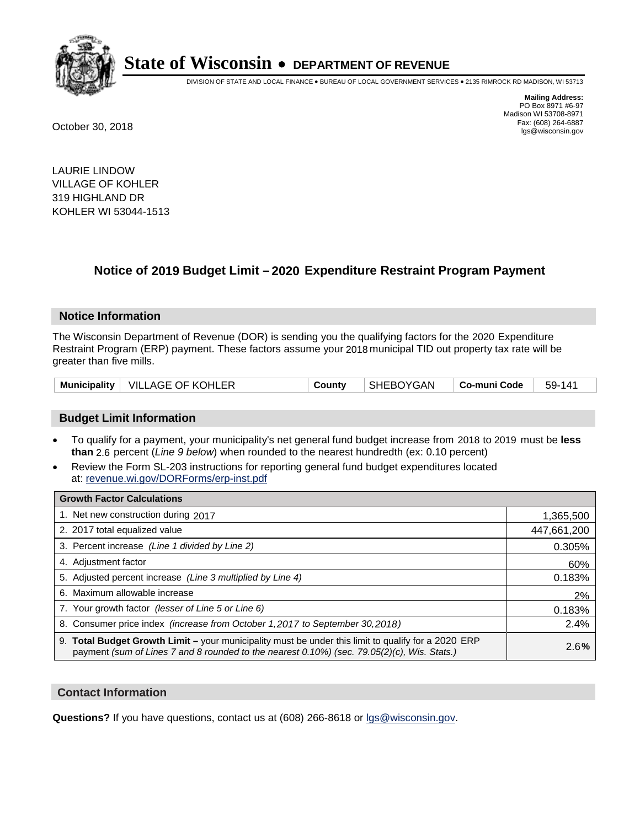

DIVISION OF STATE AND LOCAL FINANCE • BUREAU OF LOCAL GOVERNMENT SERVICES • 2135 RIMROCK RD MADISON, WI 53713

**Mailing Address:** PO Box 8971 #6-97 Madison WI 53708-8971<br>Fax: (608) 264-6887 Fax: (608) 264-6887 October 30, 2018 lgs@wisconsin.gov

LAURIE LINDOW VILLAGE OF KOHLER 319 HIGHLAND DR KOHLER WI 53044-1513

## **Notice of 2019 Budget Limit - 2020 Expenditure Restraint Program Payment**

#### **Notice Information**

The Wisconsin Department of Revenue (DOR) is sending you the qualifying factors for the 2020 Expenditure Restraint Program (ERP) payment. These factors assume your 2018 municipal TID out property tax rate will be greater than five mills.

|  | Municipality   VILLAGE OF KOHLER | County | SHEBOYGAN | ∣ Co-muni Code <sup>∣</sup> | 59-141 |
|--|----------------------------------|--------|-----------|-----------------------------|--------|
|--|----------------------------------|--------|-----------|-----------------------------|--------|

#### **Budget Limit Information**

- To qualify for a payment, your municipality's net general fund budget increase from 2018 to 2019 must be less **than** 2.6 percent (*Line 9 below*) when rounded to the nearest hundredth (ex: 0.10 percent)
- Review the Form SL-203 instructions for reporting general fund budget expenditures located at: revenue.wi.gov/DORForms/erp-inst.pdf

| <b>Growth Factor Calculations</b>                                                                                                                                                                      |             |
|--------------------------------------------------------------------------------------------------------------------------------------------------------------------------------------------------------|-------------|
| 1. Net new construction during 2017                                                                                                                                                                    | 1,365,500   |
| 2. 2017 total equalized value                                                                                                                                                                          | 447,661,200 |
| 3. Percent increase (Line 1 divided by Line 2)                                                                                                                                                         | 0.305%      |
| 4. Adjustment factor                                                                                                                                                                                   | 60%         |
| 5. Adjusted percent increase (Line 3 multiplied by Line 4)                                                                                                                                             | 0.183%      |
| 6. Maximum allowable increase                                                                                                                                                                          | 2%          |
| 7. Your growth factor (lesser of Line 5 or Line 6)                                                                                                                                                     | 0.183%      |
| 8. Consumer price index (increase from October 1,2017 to September 30,2018)                                                                                                                            | 2.4%        |
| 9. Total Budget Growth Limit - your municipality must be under this limit to qualify for a 2020 ERP<br>payment (sum of Lines 7 and 8 rounded to the nearest $0.10\%$ ) (sec. 79.05(2)(c), Wis. Stats.) | 2.6%        |

#### **Contact Information**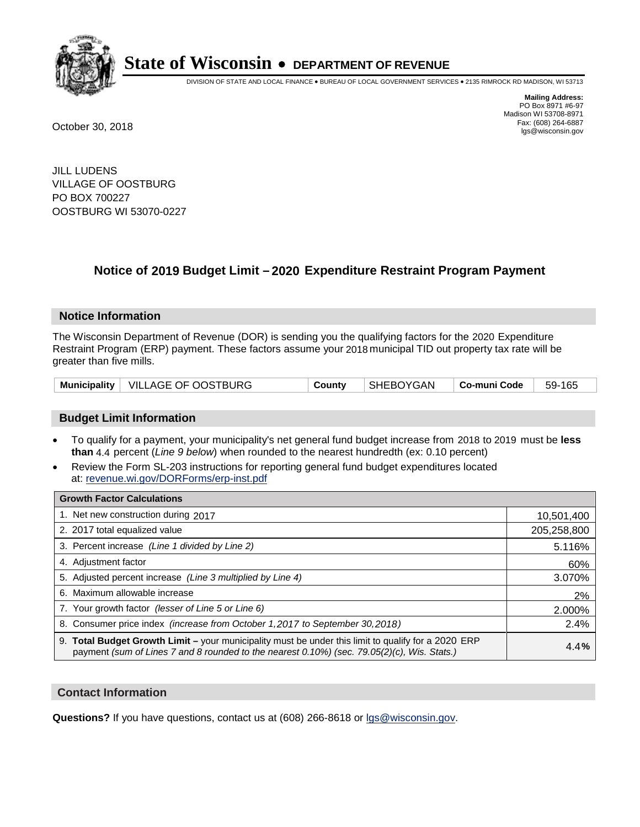

DIVISION OF STATE AND LOCAL FINANCE • BUREAU OF LOCAL GOVERNMENT SERVICES • 2135 RIMROCK RD MADISON, WI 53713

**Mailing Address:** PO Box 8971 #6-97 Madison WI 53708-8971<br>Fax: (608) 264-6887 Fax: (608) 264-6887 October 30, 2018 lgs@wisconsin.gov

JILL LUDENS VILLAGE OF OOSTBURG PO BOX 700227 OOSTBURG WI 53070-0227

### **Notice of 2019 Budget Limit - 2020 Expenditure Restraint Program Payment**

#### **Notice Information**

The Wisconsin Department of Revenue (DOR) is sending you the qualifying factors for the 2020 Expenditure Restraint Program (ERP) payment. These factors assume your 2018 municipal TID out property tax rate will be greater than five mills.

| Municipality   VILLAGE OF OOSTBURG | County | SHEBOYGAN | │ Co-muni Code │ | 59-165 |
|------------------------------------|--------|-----------|------------------|--------|
|------------------------------------|--------|-----------|------------------|--------|

#### **Budget Limit Information**

- To qualify for a payment, your municipality's net general fund budget increase from 2018 to 2019 must be less **than** 4.4 percent (*Line 9 below*) when rounded to the nearest hundredth (ex: 0.10 percent)
- Review the Form SL-203 instructions for reporting general fund budget expenditures located at: revenue.wi.gov/DORForms/erp-inst.pdf

| <b>Growth Factor Calculations</b>                                                                                                                                                                      |             |
|--------------------------------------------------------------------------------------------------------------------------------------------------------------------------------------------------------|-------------|
| 1. Net new construction during 2017                                                                                                                                                                    | 10,501,400  |
| 2. 2017 total equalized value                                                                                                                                                                          | 205,258,800 |
| 3. Percent increase (Line 1 divided by Line 2)                                                                                                                                                         | 5.116%      |
| 4. Adjustment factor                                                                                                                                                                                   | 60%         |
| 5. Adjusted percent increase (Line 3 multiplied by Line 4)                                                                                                                                             | 3.070%      |
| 6. Maximum allowable increase                                                                                                                                                                          | 2%          |
| 7. Your growth factor (lesser of Line 5 or Line 6)                                                                                                                                                     | 2.000%      |
| 8. Consumer price index (increase from October 1,2017 to September 30,2018)                                                                                                                            | 2.4%        |
| 9. Total Budget Growth Limit - your municipality must be under this limit to qualify for a 2020 ERP<br>payment (sum of Lines 7 and 8 rounded to the nearest $0.10\%$ ) (sec. 79.05(2)(c), Wis. Stats.) | 4.4%        |

#### **Contact Information**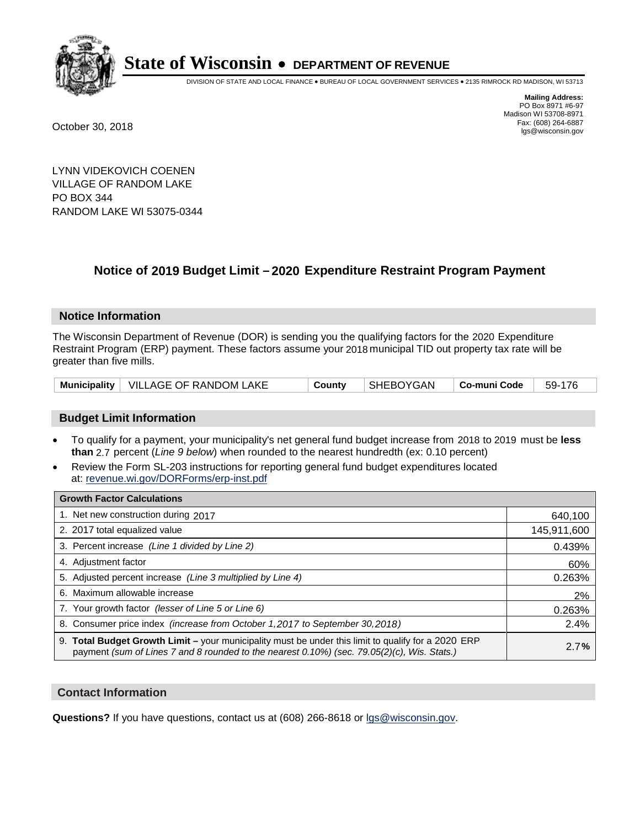

DIVISION OF STATE AND LOCAL FINANCE • BUREAU OF LOCAL GOVERNMENT SERVICES • 2135 RIMROCK RD MADISON, WI 53713

**Mailing Address:** PO Box 8971 #6-97 Madison WI 53708-8971<br>Fax: (608) 264-6887 Fax: (608) 264-6887 October 30, 2018 lgs@wisconsin.gov

LYNN VIDEKOVICH COENEN VILLAGE OF RANDOM LAKE PO BOX 344 RANDOM LAKE WI 53075-0344

## **Notice of 2019 Budget Limit - 2020 Expenditure Restraint Program Payment**

#### **Notice Information**

The Wisconsin Department of Revenue (DOR) is sending you the qualifying factors for the 2020 Expenditure Restraint Program (ERP) payment. These factors assume your 2018 municipal TID out property tax rate will be greater than five mills.

|  | Municipality   VILLAGE OF RANDOM LAKE | County | SHEBOYGAN | Co-muni Code | $59-176$ |
|--|---------------------------------------|--------|-----------|--------------|----------|
|--|---------------------------------------|--------|-----------|--------------|----------|

#### **Budget Limit Information**

- To qualify for a payment, your municipality's net general fund budget increase from 2018 to 2019 must be less **than** 2.7 percent (*Line 9 below*) when rounded to the nearest hundredth (ex: 0.10 percent)
- Review the Form SL-203 instructions for reporting general fund budget expenditures located at: revenue.wi.gov/DORForms/erp-inst.pdf

| <b>Growth Factor Calculations</b>                                                                                                                                                                      |             |
|--------------------------------------------------------------------------------------------------------------------------------------------------------------------------------------------------------|-------------|
| 1. Net new construction during 2017                                                                                                                                                                    | 640,100     |
| 2. 2017 total equalized value                                                                                                                                                                          | 145,911,600 |
| 3. Percent increase (Line 1 divided by Line 2)                                                                                                                                                         | 0.439%      |
| 4. Adjustment factor                                                                                                                                                                                   | 60%         |
| 5. Adjusted percent increase (Line 3 multiplied by Line 4)                                                                                                                                             | 0.263%      |
| 6. Maximum allowable increase                                                                                                                                                                          | 2%          |
| 7. Your growth factor (lesser of Line 5 or Line 6)                                                                                                                                                     | 0.263%      |
| 8. Consumer price index (increase from October 1,2017 to September 30,2018)                                                                                                                            | 2.4%        |
| 9. Total Budget Growth Limit - your municipality must be under this limit to qualify for a 2020 ERP<br>payment (sum of Lines 7 and 8 rounded to the nearest $0.10\%$ ) (sec. 79.05(2)(c), Wis. Stats.) | 2.7%        |

#### **Contact Information**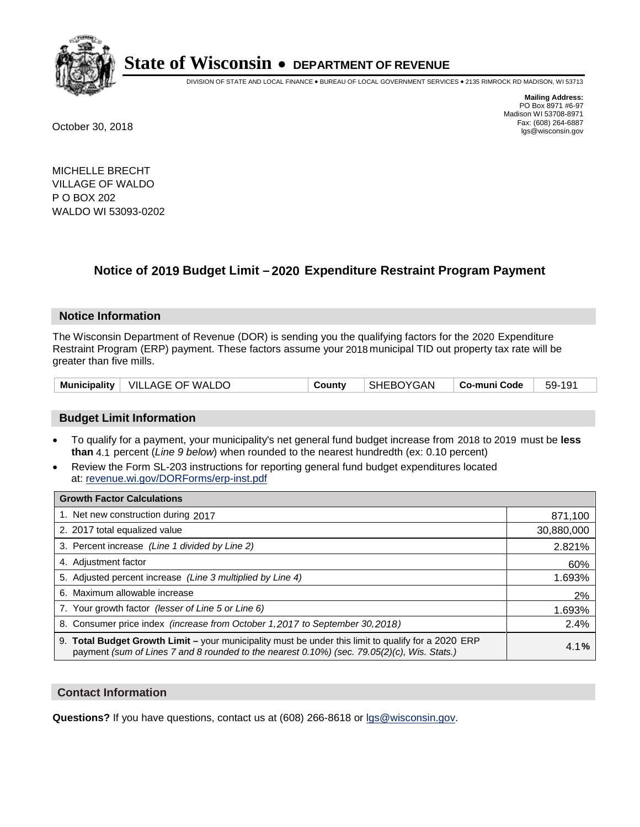

DIVISION OF STATE AND LOCAL FINANCE • BUREAU OF LOCAL GOVERNMENT SERVICES • 2135 RIMROCK RD MADISON, WI 53713

**Mailing Address:** PO Box 8971 #6-97 Madison WI 53708-8971<br>Fax: (608) 264-6887 Fax: (608) 264-6887 October 30, 2018 lgs@wisconsin.gov

MICHELLE BRECHT VILLAGE OF WALDO P O BOX 202 WALDO WI 53093-0202

## **Notice of 2019 Budget Limit - 2020 Expenditure Restraint Program Payment**

#### **Notice Information**

The Wisconsin Department of Revenue (DOR) is sending you the qualifying factors for the 2020 Expenditure Restraint Program (ERP) payment. These factors assume your 2018 municipal TID out property tax rate will be greater than five mills.

|  | Municipality   VILLAGE OF WALDO | County | <b>SHEBOYGAN</b> | ∣ Co-muni Code ∣ | 59-191 |
|--|---------------------------------|--------|------------------|------------------|--------|
|--|---------------------------------|--------|------------------|------------------|--------|

#### **Budget Limit Information**

- To qualify for a payment, your municipality's net general fund budget increase from 2018 to 2019 must be less **than** 4.1 percent (*Line 9 below*) when rounded to the nearest hundredth (ex: 0.10 percent)
- Review the Form SL-203 instructions for reporting general fund budget expenditures located at: revenue.wi.gov/DORForms/erp-inst.pdf

| <b>Growth Factor Calculations</b>                                                                                                                                                                      |            |
|--------------------------------------------------------------------------------------------------------------------------------------------------------------------------------------------------------|------------|
| 1. Net new construction during 2017                                                                                                                                                                    | 871,100    |
| 2. 2017 total equalized value                                                                                                                                                                          | 30,880,000 |
| 3. Percent increase (Line 1 divided by Line 2)                                                                                                                                                         | 2.821%     |
| 4. Adjustment factor                                                                                                                                                                                   | 60%        |
| 5. Adjusted percent increase (Line 3 multiplied by Line 4)                                                                                                                                             | 1.693%     |
| 6. Maximum allowable increase                                                                                                                                                                          | 2%         |
| 7. Your growth factor (lesser of Line 5 or Line 6)                                                                                                                                                     | 1.693%     |
| 8. Consumer price index (increase from October 1,2017 to September 30,2018)                                                                                                                            | 2.4%       |
| 9. Total Budget Growth Limit - your municipality must be under this limit to qualify for a 2020 ERP<br>payment (sum of Lines 7 and 8 rounded to the nearest $0.10\%$ ) (sec. 79.05(2)(c), Wis. Stats.) | 4.1%       |

#### **Contact Information**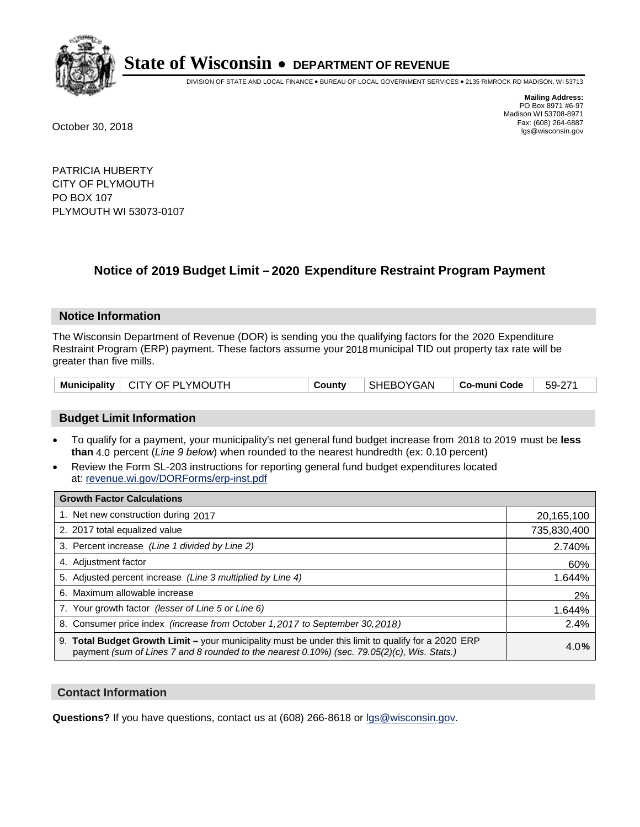

DIVISION OF STATE AND LOCAL FINANCE • BUREAU OF LOCAL GOVERNMENT SERVICES • 2135 RIMROCK RD MADISON, WI 53713

**Mailing Address:** PO Box 8971 #6-97 Madison WI 53708-8971<br>Fax: (608) 264-6887 Fax: (608) 264-6887 October 30, 2018 lgs@wisconsin.gov

PATRICIA HUBERTY CITY OF PLYMOUTH PO BOX 107 PLYMOUTH WI 53073-0107

### **Notice of 2019 Budget Limit - 2020 Expenditure Restraint Program Payment**

#### **Notice Information**

The Wisconsin Department of Revenue (DOR) is sending you the qualifying factors for the 2020 Expenditure Restraint Program (ERP) payment. These factors assume your 2018 municipal TID out property tax rate will be greater than five mills.

|  | Municipality   CITY OF PLYMOUTH | County | SHEBOYGAN | $\mathbf{Q}$ Co-muni Code $\mathbf{Q}$ | $\vert$ 59-271 |
|--|---------------------------------|--------|-----------|----------------------------------------|----------------|
|--|---------------------------------|--------|-----------|----------------------------------------|----------------|

#### **Budget Limit Information**

- To qualify for a payment, your municipality's net general fund budget increase from 2018 to 2019 must be less **than** 4.0 percent (*Line 9 below*) when rounded to the nearest hundredth (ex: 0.10 percent)
- Review the Form SL-203 instructions for reporting general fund budget expenditures located at: revenue.wi.gov/DORForms/erp-inst.pdf

| <b>Growth Factor Calculations</b>                                                                                                                                                                  |             |
|----------------------------------------------------------------------------------------------------------------------------------------------------------------------------------------------------|-------------|
| 1. Net new construction during 2017                                                                                                                                                                | 20,165,100  |
| 2. 2017 total equalized value                                                                                                                                                                      | 735,830,400 |
| 3. Percent increase (Line 1 divided by Line 2)                                                                                                                                                     | 2.740%      |
| 4. Adjustment factor                                                                                                                                                                               | 60%         |
| 5. Adjusted percent increase (Line 3 multiplied by Line 4)                                                                                                                                         | 1.644%      |
| 6. Maximum allowable increase                                                                                                                                                                      | 2%          |
| 7. Your growth factor (lesser of Line 5 or Line 6)                                                                                                                                                 | 1.644%      |
| 8. Consumer price index (increase from October 1, 2017 to September 30, 2018)                                                                                                                      | 2.4%        |
| 9. Total Budget Growth Limit - your municipality must be under this limit to qualify for a 2020 ERP<br>payment (sum of Lines 7 and 8 rounded to the nearest 0.10%) (sec. 79.05(2)(c), Wis. Stats.) | 4.0%        |

#### **Contact Information**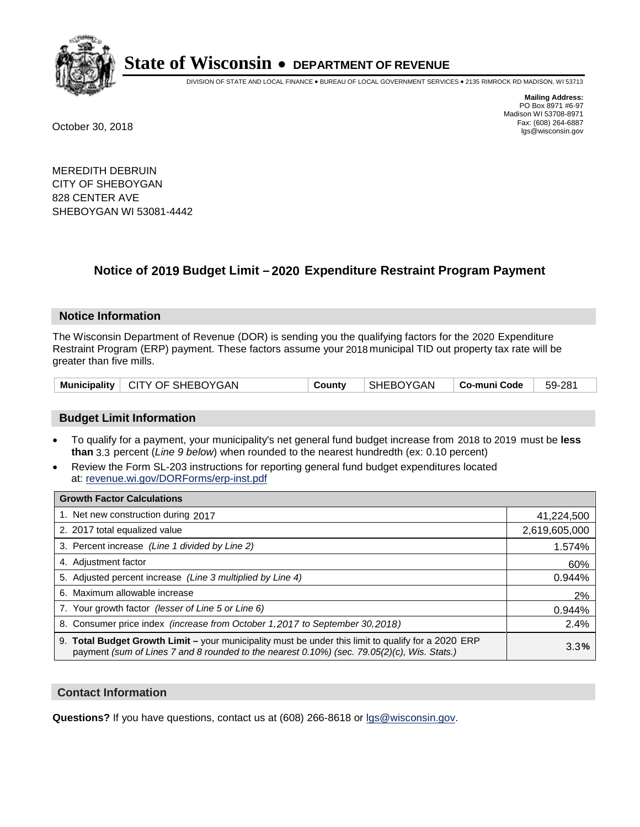

DIVISION OF STATE AND LOCAL FINANCE • BUREAU OF LOCAL GOVERNMENT SERVICES • 2135 RIMROCK RD MADISON, WI 53713

**Mailing Address:** PO Box 8971 #6-97 Madison WI 53708-8971<br>Fax: (608) 264-6887 Fax: (608) 264-6887 October 30, 2018 lgs@wisconsin.gov

MEREDITH DEBRUIN CITY OF SHEBOYGAN 828 CENTER AVE SHEBOYGAN WI 53081-4442

### **Notice of 2019 Budget Limit - 2020 Expenditure Restraint Program Payment**

#### **Notice Information**

The Wisconsin Department of Revenue (DOR) is sending you the qualifying factors for the 2020 Expenditure Restraint Program (ERP) payment. These factors assume your 2018 municipal TID out property tax rate will be greater than five mills.

| Municipality   CITY OF SHEBOYGAN | County | SHEBOYGAN | $\vert$ Co-muni Code $\vert$ 59-281 |  |
|----------------------------------|--------|-----------|-------------------------------------|--|
|----------------------------------|--------|-----------|-------------------------------------|--|

#### **Budget Limit Information**

- To qualify for a payment, your municipality's net general fund budget increase from 2018 to 2019 must be less **than** 3.3 percent (*Line 9 below*) when rounded to the nearest hundredth (ex: 0.10 percent)
- Review the Form SL-203 instructions for reporting general fund budget expenditures located at: revenue.wi.gov/DORForms/erp-inst.pdf

| <b>Growth Factor Calculations</b>                                                                                                                                                                      |               |
|--------------------------------------------------------------------------------------------------------------------------------------------------------------------------------------------------------|---------------|
| 1. Net new construction during 2017                                                                                                                                                                    | 41,224,500    |
| 2. 2017 total equalized value                                                                                                                                                                          | 2,619,605,000 |
| 3. Percent increase (Line 1 divided by Line 2)                                                                                                                                                         | 1.574%        |
| 4. Adjustment factor                                                                                                                                                                                   | 60%           |
| 5. Adjusted percent increase (Line 3 multiplied by Line 4)                                                                                                                                             | 0.944%        |
| 6. Maximum allowable increase                                                                                                                                                                          | 2%            |
| 7. Your growth factor (lesser of Line 5 or Line 6)                                                                                                                                                     | 0.944%        |
| 8. Consumer price index (increase from October 1,2017 to September 30,2018)                                                                                                                            | 2.4%          |
| 9. Total Budget Growth Limit - your municipality must be under this limit to qualify for a 2020 ERP<br>payment (sum of Lines 7 and 8 rounded to the nearest $0.10\%$ ) (sec. 79.05(2)(c), Wis. Stats.) | 3.3%          |

#### **Contact Information**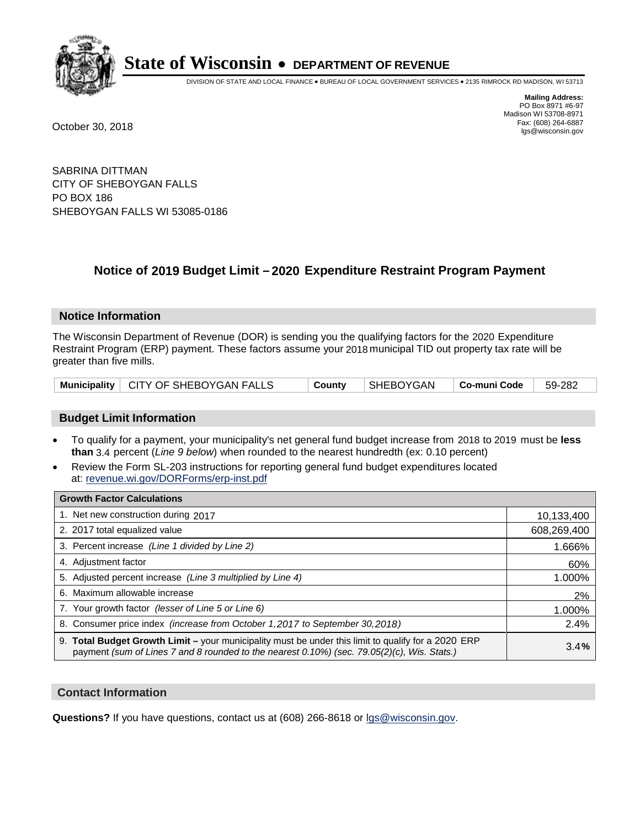

DIVISION OF STATE AND LOCAL FINANCE • BUREAU OF LOCAL GOVERNMENT SERVICES • 2135 RIMROCK RD MADISON, WI 53713

**Mailing Address:** PO Box 8971 #6-97 Madison WI 53708-8971<br>Fax: (608) 264-6887 Fax: (608) 264-6887 October 30, 2018 lgs@wisconsin.gov

SABRINA DITTMAN CITY OF SHEBOYGAN FALLS PO BOX 186 SHEBOYGAN FALLS WI 53085-0186

### **Notice of 2019 Budget Limit - 2020 Expenditure Restraint Program Payment**

#### **Notice Information**

The Wisconsin Department of Revenue (DOR) is sending you the qualifying factors for the 2020 Expenditure Restraint Program (ERP) payment. These factors assume your 2018 municipal TID out property tax rate will be greater than five mills.

#### **Budget Limit Information**

- To qualify for a payment, your municipality's net general fund budget increase from 2018 to 2019 must be less **than** 3.4 percent (*Line 9 below*) when rounded to the nearest hundredth (ex: 0.10 percent)
- Review the Form SL-203 instructions for reporting general fund budget expenditures located at: revenue.wi.gov/DORForms/erp-inst.pdf

| <b>Growth Factor Calculations</b>                                                                                                                                                                  |             |
|----------------------------------------------------------------------------------------------------------------------------------------------------------------------------------------------------|-------------|
| 1. Net new construction during 2017                                                                                                                                                                | 10,133,400  |
| 2. 2017 total equalized value                                                                                                                                                                      | 608,269,400 |
| 3. Percent increase (Line 1 divided by Line 2)                                                                                                                                                     | 1.666%      |
| 4. Adjustment factor                                                                                                                                                                               | 60%         |
| 5. Adjusted percent increase (Line 3 multiplied by Line 4)                                                                                                                                         | 1.000%      |
| 6. Maximum allowable increase                                                                                                                                                                      | 2%          |
| 7. Your growth factor (lesser of Line 5 or Line 6)                                                                                                                                                 | 1.000%      |
| 8. Consumer price index (increase from October 1,2017 to September 30,2018)                                                                                                                        | 2.4%        |
| 9. Total Budget Growth Limit - your municipality must be under this limit to qualify for a 2020 ERP<br>payment (sum of Lines 7 and 8 rounded to the nearest 0.10%) (sec. 79.05(2)(c), Wis. Stats.) | 3.4%        |

#### **Contact Information**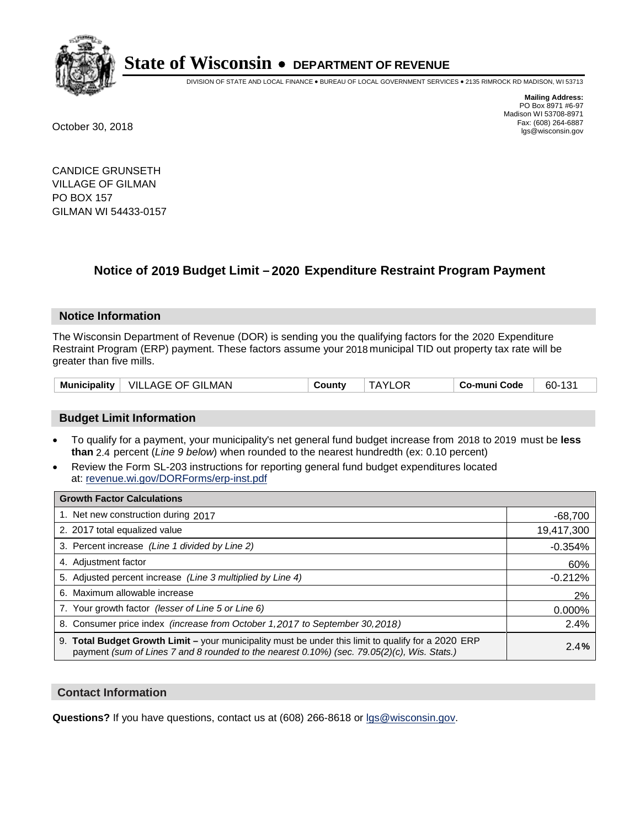

DIVISION OF STATE AND LOCAL FINANCE • BUREAU OF LOCAL GOVERNMENT SERVICES • 2135 RIMROCK RD MADISON, WI 53713

**Mailing Address:** PO Box 8971 #6-97 Madison WI 53708-8971<br>Fax: (608) 264-6887 Fax: (608) 264-6887 October 30, 2018 lgs@wisconsin.gov

CANDICE GRUNSETH VILLAGE OF GILMAN PO BOX 157 GILMAN WI 54433-0157

### **Notice of 2019 Budget Limit - 2020 Expenditure Restraint Program Payment**

#### **Notice Information**

The Wisconsin Department of Revenue (DOR) is sending you the qualifying factors for the 2020 Expenditure Restraint Program (ERP) payment. These factors assume your 2018 municipal TID out property tax rate will be greater than five mills.

| VILLAGE OF GILMAN | <b>TAYLOR</b> | 60-131       |
|-------------------|---------------|--------------|
| Municipality      | County        | Co-muni Code |

#### **Budget Limit Information**

- To qualify for a payment, your municipality's net general fund budget increase from 2018 to 2019 must be less **than** 2.4 percent (*Line 9 below*) when rounded to the nearest hundredth (ex: 0.10 percent)
- Review the Form SL-203 instructions for reporting general fund budget expenditures located at: revenue.wi.gov/DORForms/erp-inst.pdf

| <b>Growth Factor Calculations</b>                                                                                                                                                                  |            |
|----------------------------------------------------------------------------------------------------------------------------------------------------------------------------------------------------|------------|
| 1. Net new construction during 2017                                                                                                                                                                | $-68,700$  |
| 2. 2017 total equalized value                                                                                                                                                                      | 19,417,300 |
| 3. Percent increase (Line 1 divided by Line 2)                                                                                                                                                     | $-0.354%$  |
| 4. Adjustment factor                                                                                                                                                                               | 60%        |
| 5. Adjusted percent increase (Line 3 multiplied by Line 4)                                                                                                                                         | $-0.212%$  |
| 6. Maximum allowable increase                                                                                                                                                                      | 2%         |
| 7. Your growth factor (lesser of Line 5 or Line 6)                                                                                                                                                 | 0.000%     |
| 8. Consumer price index (increase from October 1,2017 to September 30,2018)                                                                                                                        | 2.4%       |
| 9. Total Budget Growth Limit – your municipality must be under this limit to qualify for a 2020 ERP<br>payment (sum of Lines 7 and 8 rounded to the nearest 0.10%) (sec. 79.05(2)(c), Wis. Stats.) | 2.4%       |

#### **Contact Information**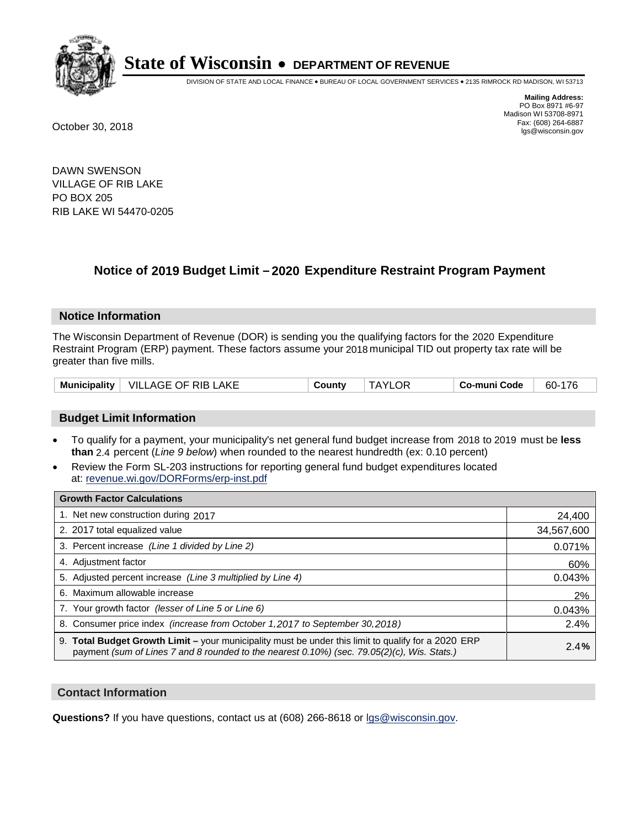

DIVISION OF STATE AND LOCAL FINANCE • BUREAU OF LOCAL GOVERNMENT SERVICES • 2135 RIMROCK RD MADISON, WI 53713

**Mailing Address:** PO Box 8971 #6-97 Madison WI 53708-8971<br>Fax: (608) 264-6887 Fax: (608) 264-6887 October 30, 2018 lgs@wisconsin.gov

DAWN SWENSON VILLAGE OF RIB LAKE PO BOX 205 RIB LAKE WI 54470-0205

### **Notice of 2019 Budget Limit - 2020 Expenditure Restraint Program Payment**

#### **Notice Information**

The Wisconsin Department of Revenue (DOR) is sending you the qualifying factors for the 2020 Expenditure Restraint Program (ERP) payment. These factors assume your 2018 municipal TID out property tax rate will be greater than five mills.

| <b>Municipality</b> | $\perp$ VILLAGE OF RIB LAKE | County | .OF<br>TAYI ۱ | Co-muni Code | 60-176 |
|---------------------|-----------------------------|--------|---------------|--------------|--------|
|---------------------|-----------------------------|--------|---------------|--------------|--------|

#### **Budget Limit Information**

- To qualify for a payment, your municipality's net general fund budget increase from 2018 to 2019 must be less **than** 2.4 percent (*Line 9 below*) when rounded to the nearest hundredth (ex: 0.10 percent)
- Review the Form SL-203 instructions for reporting general fund budget expenditures located at: revenue.wi.gov/DORForms/erp-inst.pdf

| <b>Growth Factor Calculations</b>                                                                                                                                                                      |            |
|--------------------------------------------------------------------------------------------------------------------------------------------------------------------------------------------------------|------------|
| 1. Net new construction during 2017                                                                                                                                                                    | 24,400     |
| 2. 2017 total equalized value                                                                                                                                                                          | 34,567,600 |
| 3. Percent increase (Line 1 divided by Line 2)                                                                                                                                                         | 0.071%     |
| 4. Adjustment factor                                                                                                                                                                                   | 60%        |
| 5. Adjusted percent increase (Line 3 multiplied by Line 4)                                                                                                                                             | 0.043%     |
| 6. Maximum allowable increase                                                                                                                                                                          | 2%         |
| 7. Your growth factor (lesser of Line 5 or Line 6)                                                                                                                                                     | 0.043%     |
| 8. Consumer price index (increase from October 1,2017 to September 30,2018)                                                                                                                            | 2.4%       |
| 9. Total Budget Growth Limit - your municipality must be under this limit to qualify for a 2020 ERP<br>payment (sum of Lines 7 and 8 rounded to the nearest $0.10\%$ ) (sec. 79.05(2)(c), Wis. Stats.) | 2.4%       |

#### **Contact Information**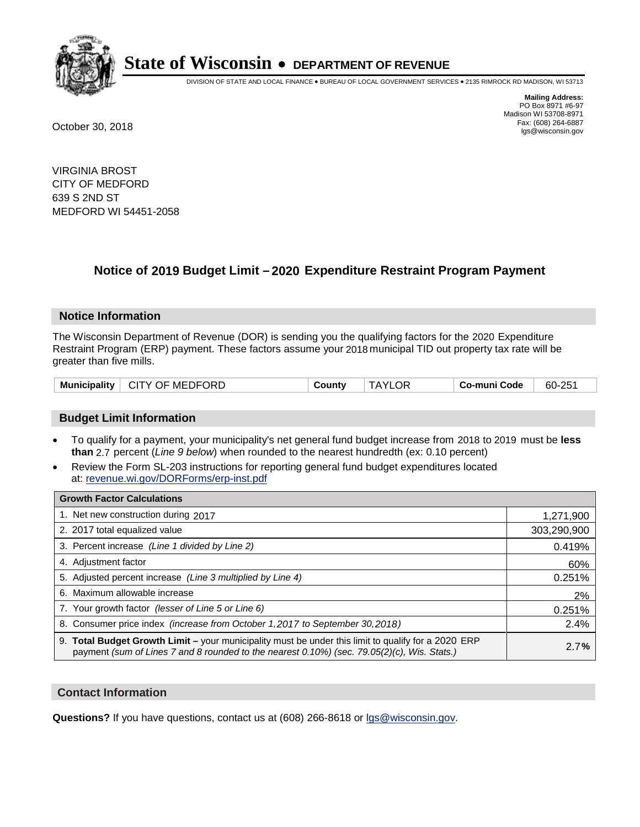

DIVISION OF STATE AND LOCAL FINANCE • BUREAU OF LOCAL GOVERNMENT SERVICES • 2135 RIMROCK RD MADISON, WI 53713

**Mailing Address:** PO Box 8971 #6-97 Madison WI 53708-8971<br>Fax: (608) 264-6887 Fax: (608) 264-6887 October 30, 2018 lgs@wisconsin.gov

VIRGINIA BROST CITY OF MEDFORD 639 S 2ND ST MEDFORD WI 54451-2058

### **Notice of 2019 Budget Limit - 2020 Expenditure Restraint Program Payment**

#### **Notice Information**

The Wisconsin Department of Revenue (DOR) is sending you the qualifying factors for the 2020 Expenditure Restraint Program (ERP) payment. These factors assume your 2018 municipal TID out property tax rate will be greater than five mills.

| Municipality   CITY OF MEDFORD | County | <b>TAYLOR</b> | Co-muni Code | 60-251 |
|--------------------------------|--------|---------------|--------------|--------|
|--------------------------------|--------|---------------|--------------|--------|

#### **Budget Limit Information**

- To qualify for a payment, your municipality's net general fund budget increase from 2018 to 2019 must be less **than** 2.7 percent (*Line 9 below*) when rounded to the nearest hundredth (ex: 0.10 percent)
- Review the Form SL-203 instructions for reporting general fund budget expenditures located at: revenue.wi.gov/DORForms/erp-inst.pdf

| <b>Growth Factor Calculations</b>                                                                                                                                                                  |             |
|----------------------------------------------------------------------------------------------------------------------------------------------------------------------------------------------------|-------------|
| 1. Net new construction during 2017                                                                                                                                                                | 1,271,900   |
| 2. 2017 total equalized value                                                                                                                                                                      | 303,290,900 |
| 3. Percent increase (Line 1 divided by Line 2)                                                                                                                                                     | 0.419%      |
| 4. Adjustment factor                                                                                                                                                                               | 60%         |
| 5. Adjusted percent increase (Line 3 multiplied by Line 4)                                                                                                                                         | 0.251%      |
| 6. Maximum allowable increase                                                                                                                                                                      | 2%          |
| 7. Your growth factor (lesser of Line 5 or Line 6)                                                                                                                                                 | 0.251%      |
| 8. Consumer price index (increase from October 1, 2017 to September 30, 2018)                                                                                                                      | 2.4%        |
| 9. Total Budget Growth Limit - your municipality must be under this limit to qualify for a 2020 ERP<br>payment (sum of Lines 7 and 8 rounded to the nearest 0.10%) (sec. 79.05(2)(c), Wis. Stats.) | 2.7%        |

#### **Contact Information**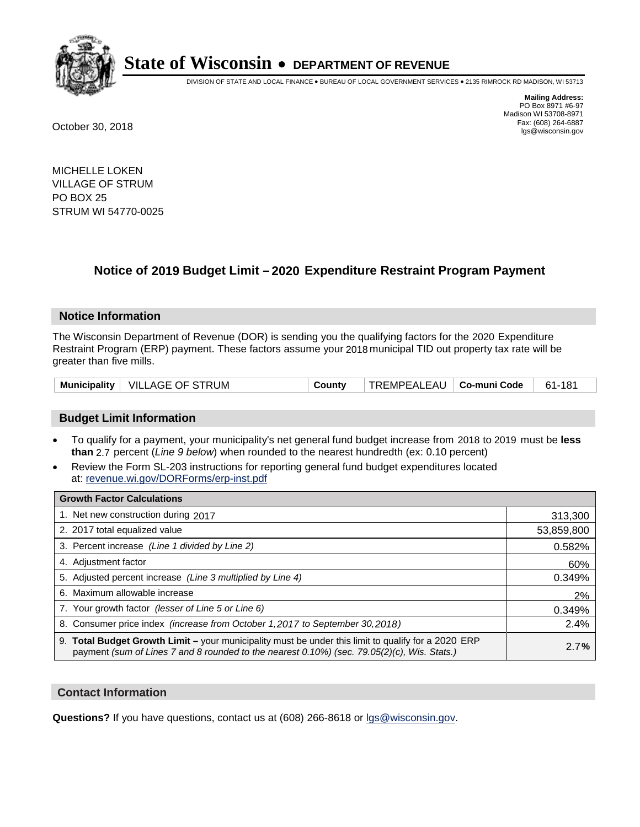

DIVISION OF STATE AND LOCAL FINANCE • BUREAU OF LOCAL GOVERNMENT SERVICES • 2135 RIMROCK RD MADISON, WI 53713

**Mailing Address:** PO Box 8971 #6-97 Madison WI 53708-8971<br>Fax: (608) 264-6887 Fax: (608) 264-6887 October 30, 2018 lgs@wisconsin.gov

MICHELLE LOKEN VILLAGE OF STRUM PO BOX 25 STRUM WI 54770-0025

### **Notice of 2019 Budget Limit - 2020 Expenditure Restraint Program Payment**

#### **Notice Information**

The Wisconsin Department of Revenue (DOR) is sending you the qualifying factors for the 2020 Expenditure Restraint Program (ERP) payment. These factors assume your 2018 municipal TID out property tax rate will be greater than five mills.

|  | Municipality   VILLAGE OF STRUM | County | TREMPEALEAU   Co-muni Code |  | 61-181 |
|--|---------------------------------|--------|----------------------------|--|--------|
|--|---------------------------------|--------|----------------------------|--|--------|

#### **Budget Limit Information**

- To qualify for a payment, your municipality's net general fund budget increase from 2018 to 2019 must be less **than** 2.7 percent (*Line 9 below*) when rounded to the nearest hundredth (ex: 0.10 percent)
- Review the Form SL-203 instructions for reporting general fund budget expenditures located at: revenue.wi.gov/DORForms/erp-inst.pdf

| <b>Growth Factor Calculations</b>                                                                                                                                                                      |            |
|--------------------------------------------------------------------------------------------------------------------------------------------------------------------------------------------------------|------------|
| 1. Net new construction during 2017                                                                                                                                                                    | 313,300    |
| 2. 2017 total equalized value                                                                                                                                                                          | 53,859,800 |
| 3. Percent increase (Line 1 divided by Line 2)                                                                                                                                                         | 0.582%     |
| 4. Adjustment factor                                                                                                                                                                                   | 60%        |
| 5. Adjusted percent increase (Line 3 multiplied by Line 4)                                                                                                                                             | 0.349%     |
| 6. Maximum allowable increase                                                                                                                                                                          | 2%         |
| 7. Your growth factor (lesser of Line 5 or Line 6)                                                                                                                                                     | 0.349%     |
| 8. Consumer price index (increase from October 1,2017 to September 30,2018)                                                                                                                            | 2.4%       |
| 9. Total Budget Growth Limit - your municipality must be under this limit to qualify for a 2020 ERP<br>payment (sum of Lines 7 and 8 rounded to the nearest $0.10\%$ ) (sec. 79.05(2)(c), Wis. Stats.) | 2.7%       |

#### **Contact Information**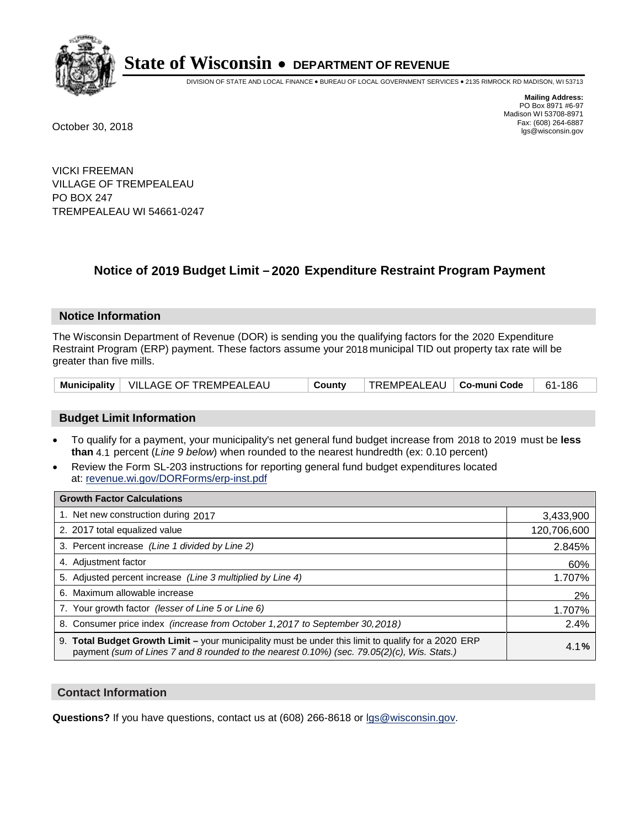

DIVISION OF STATE AND LOCAL FINANCE • BUREAU OF LOCAL GOVERNMENT SERVICES • 2135 RIMROCK RD MADISON, WI 53713

**Mailing Address:** PO Box 8971 #6-97 Madison WI 53708-8971<br>Fax: (608) 264-6887 Fax: (608) 264-6887 October 30, 2018 lgs@wisconsin.gov

VICKI FREEMAN VILLAGE OF TREMPEALEAU PO BOX 247 TREMPEALEAU WI 54661-0247

### **Notice of 2019 Budget Limit - 2020 Expenditure Restraint Program Payment**

#### **Notice Information**

The Wisconsin Department of Revenue (DOR) is sending you the qualifying factors for the 2020 Expenditure Restraint Program (ERP) payment. These factors assume your 2018 municipal TID out property tax rate will be greater than five mills.

|  | Municipality   VILLAGE OF TREMPEALEAU | County | TREMPEALEAU   Co-muni Code |  | 186<br>-61 |
|--|---------------------------------------|--------|----------------------------|--|------------|
|--|---------------------------------------|--------|----------------------------|--|------------|

#### **Budget Limit Information**

- To qualify for a payment, your municipality's net general fund budget increase from 2018 to 2019 must be less **than** 4.1 percent (*Line 9 below*) when rounded to the nearest hundredth (ex: 0.10 percent)
- Review the Form SL-203 instructions for reporting general fund budget expenditures located at: revenue.wi.gov/DORForms/erp-inst.pdf

| <b>Growth Factor Calculations</b>                                                                                                                                                                  |             |
|----------------------------------------------------------------------------------------------------------------------------------------------------------------------------------------------------|-------------|
| 1. Net new construction during 2017                                                                                                                                                                | 3,433,900   |
| 2. 2017 total equalized value                                                                                                                                                                      | 120,706,600 |
| 3. Percent increase (Line 1 divided by Line 2)                                                                                                                                                     | 2.845%      |
| 4. Adjustment factor                                                                                                                                                                               | 60%         |
| 5. Adjusted percent increase (Line 3 multiplied by Line 4)                                                                                                                                         | 1.707%      |
| 6. Maximum allowable increase                                                                                                                                                                      | 2%          |
| 7. Your growth factor (lesser of Line 5 or Line 6)                                                                                                                                                 | 1.707%      |
| 8. Consumer price index (increase from October 1,2017 to September 30,2018)                                                                                                                        | 2.4%        |
| 9. Total Budget Growth Limit - your municipality must be under this limit to qualify for a 2020 ERP<br>payment (sum of Lines 7 and 8 rounded to the nearest 0.10%) (sec. 79.05(2)(c), Wis. Stats.) | 4.1%        |

#### **Contact Information**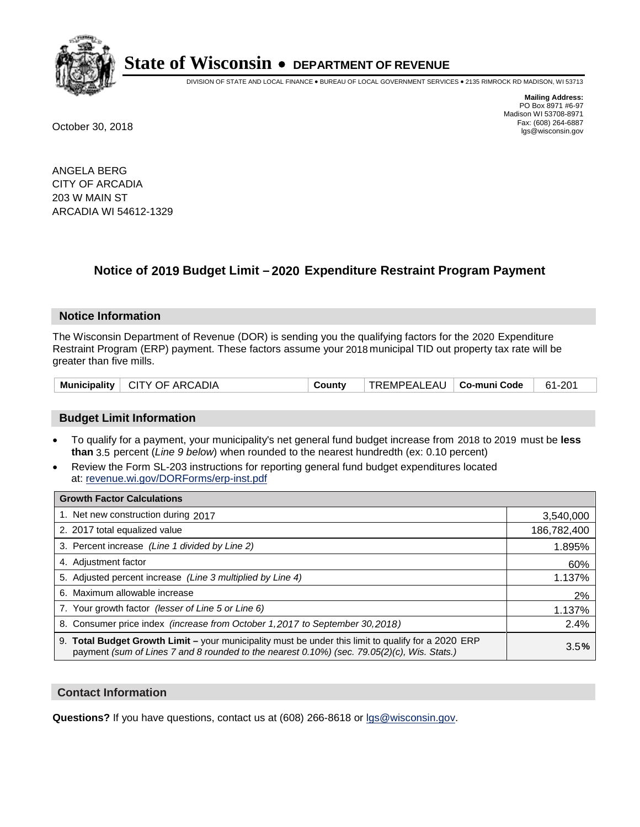

DIVISION OF STATE AND LOCAL FINANCE • BUREAU OF LOCAL GOVERNMENT SERVICES • 2135 RIMROCK RD MADISON, WI 53713

**Mailing Address:** PO Box 8971 #6-97 Madison WI 53708-8971<br>Fax: (608) 264-6887 Fax: (608) 264-6887 October 30, 2018 lgs@wisconsin.gov

ANGELA BERG CITY OF ARCADIA 203 W MAIN ST ARCADIA WI 54612-1329

### **Notice of 2019 Budget Limit - 2020 Expenditure Restraint Program Payment**

#### **Notice Information**

The Wisconsin Department of Revenue (DOR) is sending you the qualifying factors for the 2020 Expenditure Restraint Program (ERP) payment. These factors assume your 2018 municipal TID out property tax rate will be greater than five mills.

|  | Municipality   CITY OF ARCADIA | County | TREMPEALEAU   Co-muni Code |  | 61-201 |
|--|--------------------------------|--------|----------------------------|--|--------|
|--|--------------------------------|--------|----------------------------|--|--------|

#### **Budget Limit Information**

- To qualify for a payment, your municipality's net general fund budget increase from 2018 to 2019 must be less **than** 3.5 percent (*Line 9 below*) when rounded to the nearest hundredth (ex: 0.10 percent)
- Review the Form SL-203 instructions for reporting general fund budget expenditures located at: revenue.wi.gov/DORForms/erp-inst.pdf

| <b>Growth Factor Calculations</b>                                                                                                                                                                      |             |
|--------------------------------------------------------------------------------------------------------------------------------------------------------------------------------------------------------|-------------|
| 1. Net new construction during 2017                                                                                                                                                                    | 3,540,000   |
| 2. 2017 total equalized value                                                                                                                                                                          | 186,782,400 |
| 3. Percent increase (Line 1 divided by Line 2)                                                                                                                                                         | 1.895%      |
| 4. Adjustment factor                                                                                                                                                                                   | 60%         |
| 5. Adjusted percent increase (Line 3 multiplied by Line 4)                                                                                                                                             | 1.137%      |
| 6. Maximum allowable increase                                                                                                                                                                          | 2%          |
| 7. Your growth factor (lesser of Line 5 or Line 6)                                                                                                                                                     | 1.137%      |
| 8. Consumer price index (increase from October 1,2017 to September 30,2018)                                                                                                                            | 2.4%        |
| 9. Total Budget Growth Limit - your municipality must be under this limit to qualify for a 2020 ERP<br>payment (sum of Lines 7 and 8 rounded to the nearest $0.10\%$ ) (sec. 79.05(2)(c), Wis. Stats.) | 3.5%        |

#### **Contact Information**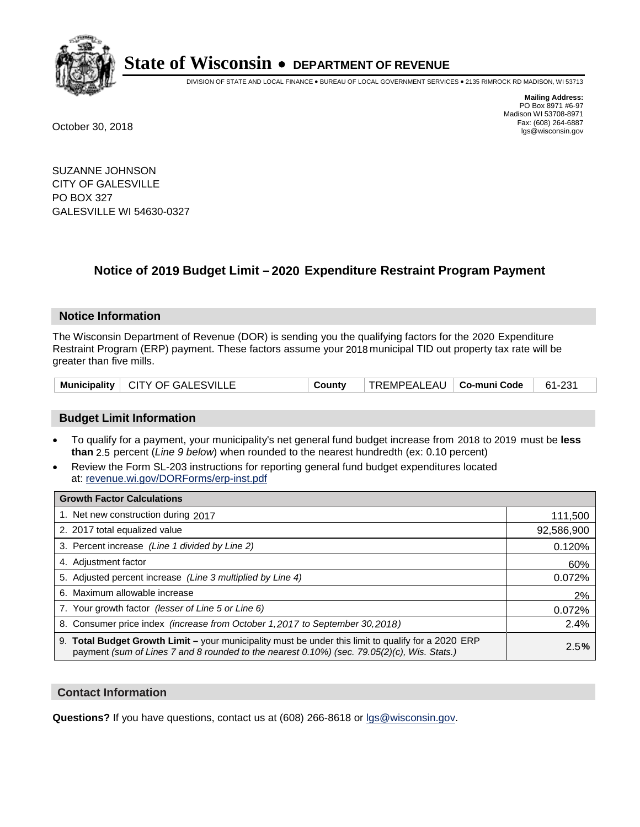

DIVISION OF STATE AND LOCAL FINANCE • BUREAU OF LOCAL GOVERNMENT SERVICES • 2135 RIMROCK RD MADISON, WI 53713

**Mailing Address:** PO Box 8971 #6-97 Madison WI 53708-8971<br>Fax: (608) 264-6887 Fax: (608) 264-6887 October 30, 2018 lgs@wisconsin.gov

SUZANNE JOHNSON CITY OF GALESVILLE PO BOX 327 GALESVILLE WI 54630-0327

### **Notice of 2019 Budget Limit - 2020 Expenditure Restraint Program Payment**

#### **Notice Information**

The Wisconsin Department of Revenue (DOR) is sending you the qualifying factors for the 2020 Expenditure Restraint Program (ERP) payment. These factors assume your 2018 municipal TID out property tax rate will be greater than five mills.

|  | Municipality   CITY OF GALESVILLE | County | TREMPEALEAU   <b>Co-muni Code</b> |  | 61-231 |
|--|-----------------------------------|--------|-----------------------------------|--|--------|
|--|-----------------------------------|--------|-----------------------------------|--|--------|

#### **Budget Limit Information**

- To qualify for a payment, your municipality's net general fund budget increase from 2018 to 2019 must be less **than** 2.5 percent (*Line 9 below*) when rounded to the nearest hundredth (ex: 0.10 percent)
- Review the Form SL-203 instructions for reporting general fund budget expenditures located at: revenue.wi.gov/DORForms/erp-inst.pdf

| <b>Growth Factor Calculations</b>                                                                                                                                                                      |            |
|--------------------------------------------------------------------------------------------------------------------------------------------------------------------------------------------------------|------------|
| 1. Net new construction during 2017                                                                                                                                                                    | 111,500    |
| 2. 2017 total equalized value                                                                                                                                                                          | 92,586,900 |
| 3. Percent increase (Line 1 divided by Line 2)                                                                                                                                                         | 0.120%     |
| 4. Adjustment factor                                                                                                                                                                                   | 60%        |
| 5. Adjusted percent increase (Line 3 multiplied by Line 4)                                                                                                                                             | 0.072%     |
| 6. Maximum allowable increase                                                                                                                                                                          | 2%         |
| 7. Your growth factor (lesser of Line 5 or Line 6)                                                                                                                                                     | 0.072%     |
| 8. Consumer price index (increase from October 1,2017 to September 30,2018)                                                                                                                            | 2.4%       |
| 9. Total Budget Growth Limit - your municipality must be under this limit to qualify for a 2020 ERP<br>payment (sum of Lines 7 and 8 rounded to the nearest $0.10\%$ ) (sec. 79.05(2)(c), Wis. Stats.) | 2.5%       |

#### **Contact Information**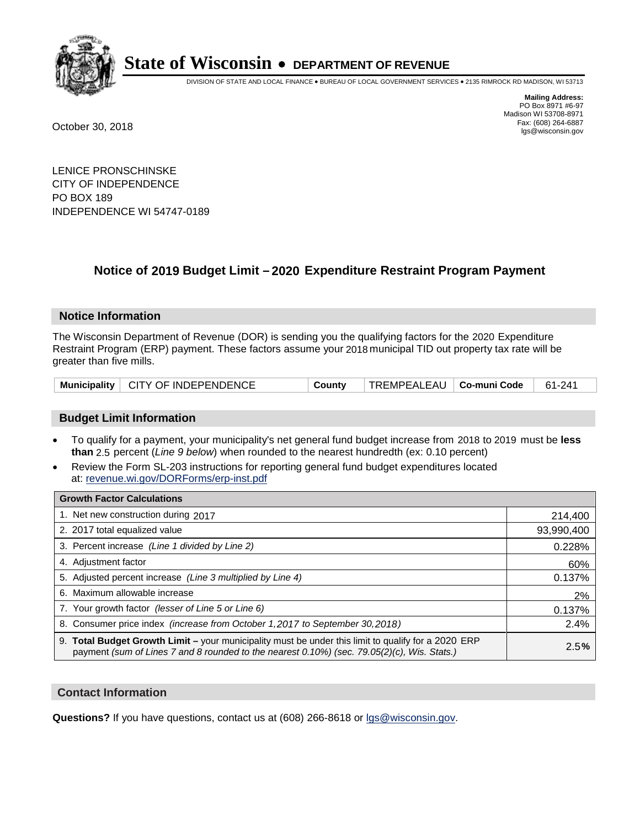

DIVISION OF STATE AND LOCAL FINANCE • BUREAU OF LOCAL GOVERNMENT SERVICES • 2135 RIMROCK RD MADISON, WI 53713

**Mailing Address:** PO Box 8971 #6-97 Madison WI 53708-8971<br>Fax: (608) 264-6887 Fax: (608) 264-6887 October 30, 2018 lgs@wisconsin.gov

LENICE PRONSCHINSKE CITY OF INDEPENDENCE PO BOX 189 INDEPENDENCE WI 54747-0189

### **Notice of 2019 Budget Limit - 2020 Expenditure Restraint Program Payment**

#### **Notice Information**

The Wisconsin Department of Revenue (DOR) is sending you the qualifying factors for the 2020 Expenditure Restraint Program (ERP) payment. These factors assume your 2018 municipal TID out property tax rate will be greater than five mills.

|  | Municipality   CITY OF INDEPENDENCE | County | $\mid$ TREMPEALEAU $\mid$ Co-muni Code $\mid$ 61-241 |  |  |
|--|-------------------------------------|--------|------------------------------------------------------|--|--|
|--|-------------------------------------|--------|------------------------------------------------------|--|--|

#### **Budget Limit Information**

- To qualify for a payment, your municipality's net general fund budget increase from 2018 to 2019 must be less **than** 2.5 percent (*Line 9 below*) when rounded to the nearest hundredth (ex: 0.10 percent)
- Review the Form SL-203 instructions for reporting general fund budget expenditures located at: revenue.wi.gov/DORForms/erp-inst.pdf

| <b>Growth Factor Calculations</b>                                                                                                                                                                      |            |
|--------------------------------------------------------------------------------------------------------------------------------------------------------------------------------------------------------|------------|
| 1. Net new construction during 2017                                                                                                                                                                    | 214,400    |
| 2. 2017 total equalized value                                                                                                                                                                          | 93,990,400 |
| 3. Percent increase (Line 1 divided by Line 2)                                                                                                                                                         | 0.228%     |
| 4. Adjustment factor                                                                                                                                                                                   | 60%        |
| 5. Adjusted percent increase (Line 3 multiplied by Line 4)                                                                                                                                             | 0.137%     |
| 6. Maximum allowable increase                                                                                                                                                                          | 2%         |
| 7. Your growth factor (lesser of Line 5 or Line 6)                                                                                                                                                     | 0.137%     |
| 8. Consumer price index (increase from October 1, 2017 to September 30, 2018)                                                                                                                          | 2.4%       |
| 9. Total Budget Growth Limit - your municipality must be under this limit to qualify for a 2020 ERP<br>payment (sum of Lines 7 and 8 rounded to the nearest $0.10\%$ ) (sec. 79.05(2)(c), Wis. Stats.) | 2.5%       |

#### **Contact Information**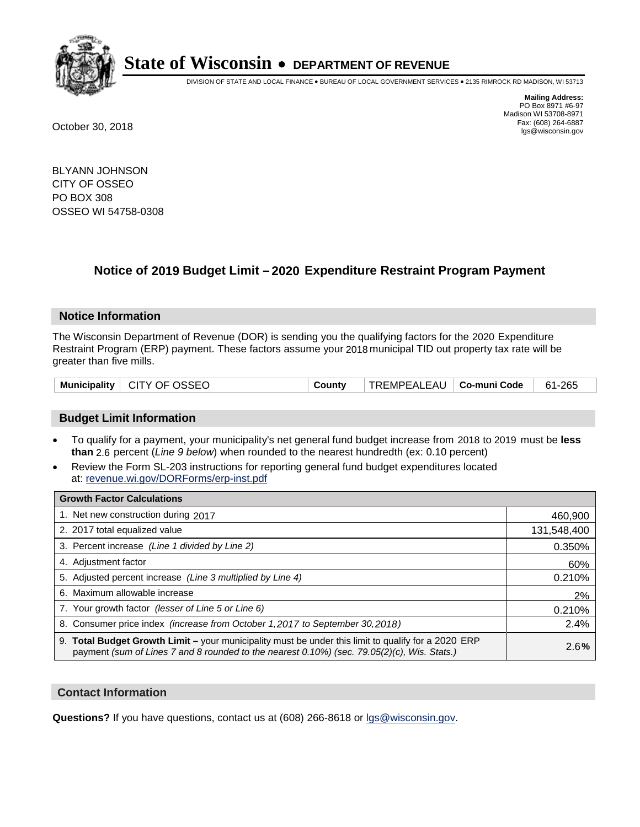

DIVISION OF STATE AND LOCAL FINANCE • BUREAU OF LOCAL GOVERNMENT SERVICES • 2135 RIMROCK RD MADISON, WI 53713

**Mailing Address:** PO Box 8971 #6-97 Madison WI 53708-8971<br>Fax: (608) 264-6887 Fax: (608) 264-6887 October 30, 2018 lgs@wisconsin.gov

BLYANN JOHNSON CITY OF OSSEO PO BOX 308 OSSEO WI 54758-0308

### **Notice of 2019 Budget Limit - 2020 Expenditure Restraint Program Payment**

#### **Notice Information**

The Wisconsin Department of Revenue (DOR) is sending you the qualifying factors for the 2020 Expenditure Restraint Program (ERP) payment. These factors assume your 2018 municipal TID out property tax rate will be greater than five mills.

| Municipality   CITY OF OSSEO | County | $\vert$ TREMPEALEAU $\vert$ Co-muni Code $\vert$ 61-265 |  |  |
|------------------------------|--------|---------------------------------------------------------|--|--|
|------------------------------|--------|---------------------------------------------------------|--|--|

#### **Budget Limit Information**

- To qualify for a payment, your municipality's net general fund budget increase from 2018 to 2019 must be less **than** 2.6 percent (*Line 9 below*) when rounded to the nearest hundredth (ex: 0.10 percent)
- Review the Form SL-203 instructions for reporting general fund budget expenditures located at: revenue.wi.gov/DORForms/erp-inst.pdf

| <b>Growth Factor Calculations</b>                                                                                                                                                                  |             |
|----------------------------------------------------------------------------------------------------------------------------------------------------------------------------------------------------|-------------|
| 1. Net new construction during 2017                                                                                                                                                                | 460,900     |
| 2. 2017 total equalized value                                                                                                                                                                      | 131,548,400 |
| 3. Percent increase (Line 1 divided by Line 2)                                                                                                                                                     | 0.350%      |
| 4. Adjustment factor                                                                                                                                                                               | 60%         |
| 5. Adjusted percent increase (Line 3 multiplied by Line 4)                                                                                                                                         | 0.210%      |
| 6. Maximum allowable increase                                                                                                                                                                      | 2%          |
| 7. Your growth factor (lesser of Line 5 or Line 6)                                                                                                                                                 | 0.210%      |
| 8. Consumer price index (increase from October 1, 2017 to September 30, 2018)                                                                                                                      | 2.4%        |
| 9. Total Budget Growth Limit – your municipality must be under this limit to qualify for a 2020 ERP<br>payment (sum of Lines 7 and 8 rounded to the nearest 0.10%) (sec. 79.05(2)(c), Wis. Stats.) | 2.6%        |

#### **Contact Information**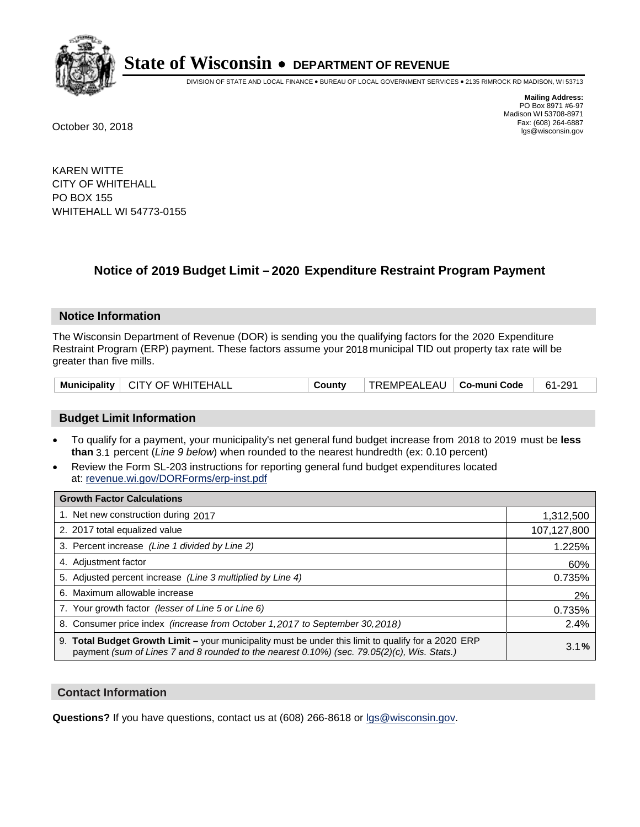

DIVISION OF STATE AND LOCAL FINANCE • BUREAU OF LOCAL GOVERNMENT SERVICES • 2135 RIMROCK RD MADISON, WI 53713

**Mailing Address:** PO Box 8971 #6-97 Madison WI 53708-8971<br>Fax: (608) 264-6887 Fax: (608) 264-6887 October 30, 2018 lgs@wisconsin.gov

KAREN WITTE CITY OF WHITEHALL PO BOX 155 WHITEHALL WI 54773-0155

### **Notice of 2019 Budget Limit - 2020 Expenditure Restraint Program Payment**

#### **Notice Information**

The Wisconsin Department of Revenue (DOR) is sending you the qualifying factors for the 2020 Expenditure Restraint Program (ERP) payment. These factors assume your 2018 municipal TID out property tax rate will be greater than five mills.

| Municipality   CITY OF WHITEHALL | County | TREMPEALEAU   <b>Co-muni Code</b> |  | 61-291 |
|----------------------------------|--------|-----------------------------------|--|--------|
|----------------------------------|--------|-----------------------------------|--|--------|

#### **Budget Limit Information**

- To qualify for a payment, your municipality's net general fund budget increase from 2018 to 2019 must be less **than** 3.1 percent (*Line 9 below*) when rounded to the nearest hundredth (ex: 0.10 percent)
- Review the Form SL-203 instructions for reporting general fund budget expenditures located at: revenue.wi.gov/DORForms/erp-inst.pdf

| <b>Growth Factor Calculations</b>                                                                                                                                                                      |             |
|--------------------------------------------------------------------------------------------------------------------------------------------------------------------------------------------------------|-------------|
| 1. Net new construction during 2017                                                                                                                                                                    | 1,312,500   |
| 2. 2017 total equalized value                                                                                                                                                                          | 107,127,800 |
| 3. Percent increase (Line 1 divided by Line 2)                                                                                                                                                         | 1.225%      |
| 4. Adjustment factor                                                                                                                                                                                   | 60%         |
| 5. Adjusted percent increase (Line 3 multiplied by Line 4)                                                                                                                                             | 0.735%      |
| 6. Maximum allowable increase                                                                                                                                                                          | 2%          |
| 7. Your growth factor (lesser of Line 5 or Line 6)                                                                                                                                                     | 0.735%      |
| 8. Consumer price index (increase from October 1,2017 to September 30,2018)                                                                                                                            | 2.4%        |
| 9. Total Budget Growth Limit - your municipality must be under this limit to qualify for a 2020 ERP<br>payment (sum of Lines 7 and 8 rounded to the nearest $0.10\%$ ) (sec. 79.05(2)(c), Wis. Stats.) | 3.1%        |

#### **Contact Information**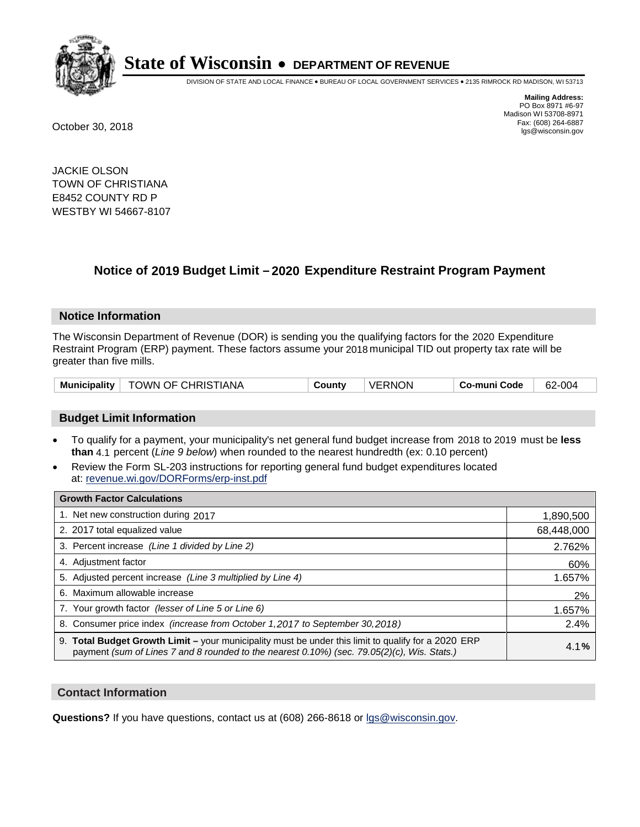

DIVISION OF STATE AND LOCAL FINANCE • BUREAU OF LOCAL GOVERNMENT SERVICES • 2135 RIMROCK RD MADISON, WI 53713

**Mailing Address:** PO Box 8971 #6-97 Madison WI 53708-8971<br>Fax: (608) 264-6887 Fax: (608) 264-6887 October 30, 2018 lgs@wisconsin.gov

JACKIE OLSON TOWN OF CHRISTIANA E8452 COUNTY RD P WESTBY WI 54667-8107

## **Notice of 2019 Budget Limit - 2020 Expenditure Restraint Program Payment**

#### **Notice Information**

The Wisconsin Department of Revenue (DOR) is sending you the qualifying factors for the 2020 Expenditure Restraint Program (ERP) payment. These factors assume your 2018 municipal TID out property tax rate will be greater than five mills.

|  | Municipality   TOWN OF CHRISTIANA | County | <b>VERNON</b> | Co-muni Code | 62-004 |
|--|-----------------------------------|--------|---------------|--------------|--------|
|--|-----------------------------------|--------|---------------|--------------|--------|

#### **Budget Limit Information**

- To qualify for a payment, your municipality's net general fund budget increase from 2018 to 2019 must be less **than** 4.1 percent (*Line 9 below*) when rounded to the nearest hundredth (ex: 0.10 percent)
- Review the Form SL-203 instructions for reporting general fund budget expenditures located at: revenue.wi.gov/DORForms/erp-inst.pdf

| <b>Growth Factor Calculations</b>                                                                                                                                                                      |            |
|--------------------------------------------------------------------------------------------------------------------------------------------------------------------------------------------------------|------------|
| 1. Net new construction during 2017                                                                                                                                                                    | 1,890,500  |
| 2. 2017 total equalized value                                                                                                                                                                          | 68,448,000 |
| 3. Percent increase (Line 1 divided by Line 2)                                                                                                                                                         | 2.762%     |
| 4. Adjustment factor                                                                                                                                                                                   | 60%        |
| 5. Adjusted percent increase (Line 3 multiplied by Line 4)                                                                                                                                             | 1.657%     |
| 6. Maximum allowable increase                                                                                                                                                                          | 2%         |
| 7. Your growth factor (lesser of Line 5 or Line 6)                                                                                                                                                     | 1.657%     |
| 8. Consumer price index (increase from October 1,2017 to September 30,2018)                                                                                                                            | 2.4%       |
| 9. Total Budget Growth Limit - your municipality must be under this limit to qualify for a 2020 ERP<br>payment (sum of Lines 7 and 8 rounded to the nearest $0.10\%$ ) (sec. 79.05(2)(c), Wis. Stats.) | 4.1%       |

#### **Contact Information**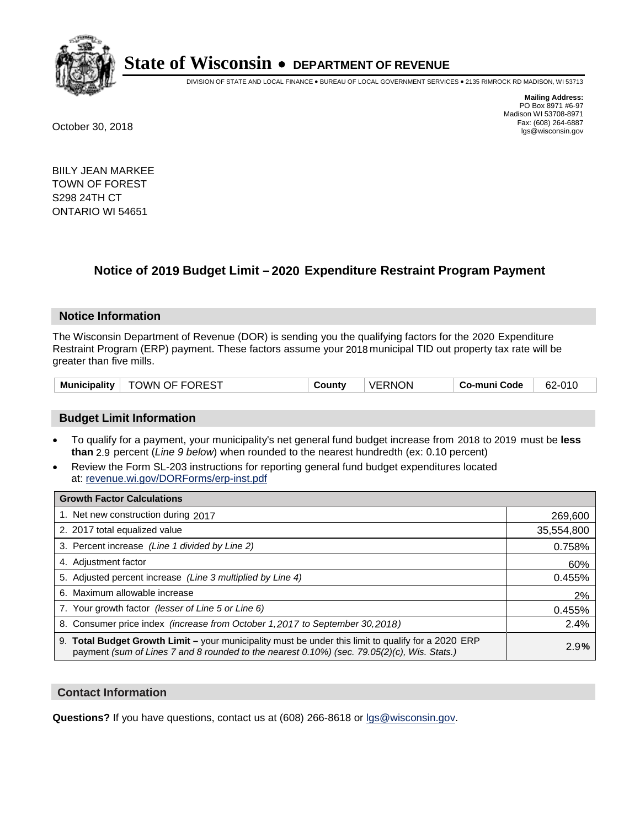

DIVISION OF STATE AND LOCAL FINANCE • BUREAU OF LOCAL GOVERNMENT SERVICES • 2135 RIMROCK RD MADISON, WI 53713

**Mailing Address:** PO Box 8971 #6-97 Madison WI 53708-8971<br>Fax: (608) 264-6887 Fax: (608) 264-6887 October 30, 2018 lgs@wisconsin.gov

BIILY JEAN MARKEE TOWN OF FOREST S298 24TH CT ONTARIO WI 54651

### **Notice of 2019 Budget Limit - 2020 Expenditure Restraint Program Payment**

#### **Notice Information**

The Wisconsin Department of Revenue (DOR) is sending you the qualifying factors for the 2020 Expenditure Restraint Program (ERP) payment. These factors assume your 2018 municipal TID out property tax rate will be greater than five mills.

| <b>TOWN OF FOREST</b><br><b>Municipality</b> | County | <b>VERNON</b> | Co-muni Code | 62-010 |
|----------------------------------------------|--------|---------------|--------------|--------|
|----------------------------------------------|--------|---------------|--------------|--------|

#### **Budget Limit Information**

- To qualify for a payment, your municipality's net general fund budget increase from 2018 to 2019 must be less **than** 2.9 percent (*Line 9 below*) when rounded to the nearest hundredth (ex: 0.10 percent)
- Review the Form SL-203 instructions for reporting general fund budget expenditures located at: revenue.wi.gov/DORForms/erp-inst.pdf

| <b>Growth Factor Calculations</b>                                                                                                                                                                      |            |
|--------------------------------------------------------------------------------------------------------------------------------------------------------------------------------------------------------|------------|
| 1. Net new construction during 2017                                                                                                                                                                    | 269,600    |
| 2. 2017 total equalized value                                                                                                                                                                          | 35,554,800 |
| 3. Percent increase (Line 1 divided by Line 2)                                                                                                                                                         | 0.758%     |
| 4. Adjustment factor                                                                                                                                                                                   | 60%        |
| 5. Adjusted percent increase (Line 3 multiplied by Line 4)                                                                                                                                             | 0.455%     |
| 6. Maximum allowable increase                                                                                                                                                                          | 2%         |
| 7. Your growth factor (lesser of Line 5 or Line 6)                                                                                                                                                     | 0.455%     |
| 8. Consumer price index (increase from October 1,2017 to September 30,2018)                                                                                                                            | 2.4%       |
| 9. Total Budget Growth Limit - your municipality must be under this limit to qualify for a 2020 ERP<br>payment (sum of Lines 7 and 8 rounded to the nearest $0.10\%$ ) (sec. 79.05(2)(c), Wis. Stats.) | 2.9%       |

#### **Contact Information**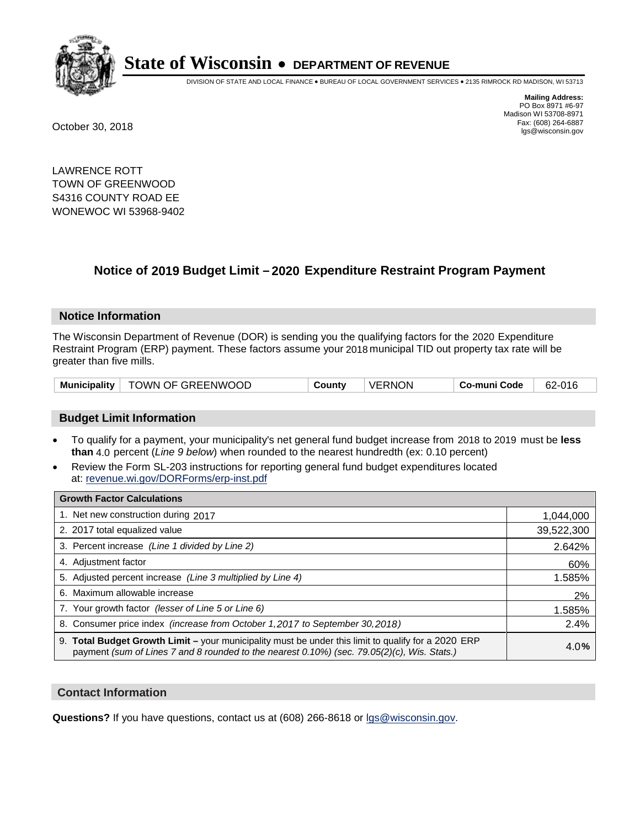

DIVISION OF STATE AND LOCAL FINANCE • BUREAU OF LOCAL GOVERNMENT SERVICES • 2135 RIMROCK RD MADISON, WI 53713

**Mailing Address:** PO Box 8971 #6-97 Madison WI 53708-8971<br>Fax: (608) 264-6887 Fax: (608) 264-6887 October 30, 2018 lgs@wisconsin.gov

LAWRENCE ROTT TOWN OF GREENWOOD S4316 COUNTY ROAD EE WONEWOC WI 53968-9402

### **Notice of 2019 Budget Limit - 2020 Expenditure Restraint Program Payment**

#### **Notice Information**

The Wisconsin Department of Revenue (DOR) is sending you the qualifying factors for the 2020 Expenditure Restraint Program (ERP) payment. These factors assume your 2018 municipal TID out property tax rate will be greater than five mills.

|  | Municipality   TOWN OF GREENWOOD | County | <b>VERNON</b> | Co-muni Code | 62-016 |
|--|----------------------------------|--------|---------------|--------------|--------|
|--|----------------------------------|--------|---------------|--------------|--------|

#### **Budget Limit Information**

- To qualify for a payment, your municipality's net general fund budget increase from 2018 to 2019 must be less **than** 4.0 percent (*Line 9 below*) when rounded to the nearest hundredth (ex: 0.10 percent)
- Review the Form SL-203 instructions for reporting general fund budget expenditures located at: revenue.wi.gov/DORForms/erp-inst.pdf

| <b>Growth Factor Calculations</b>                                                                                                                                                                      |            |
|--------------------------------------------------------------------------------------------------------------------------------------------------------------------------------------------------------|------------|
| 1. Net new construction during 2017                                                                                                                                                                    | 1,044,000  |
| 2. 2017 total equalized value                                                                                                                                                                          | 39,522,300 |
| 3. Percent increase (Line 1 divided by Line 2)                                                                                                                                                         | 2.642%     |
| 4. Adjustment factor                                                                                                                                                                                   | 60%        |
| 5. Adjusted percent increase (Line 3 multiplied by Line 4)                                                                                                                                             | 1.585%     |
| 6. Maximum allowable increase                                                                                                                                                                          | 2%         |
| 7. Your growth factor (lesser of Line 5 or Line 6)                                                                                                                                                     | 1.585%     |
| 8. Consumer price index (increase from October 1,2017 to September 30,2018)                                                                                                                            | 2.4%       |
| 9. Total Budget Growth Limit - your municipality must be under this limit to qualify for a 2020 ERP<br>payment (sum of Lines 7 and 8 rounded to the nearest $0.10\%$ ) (sec. 79.05(2)(c), Wis. Stats.) | 4.0%       |

#### **Contact Information**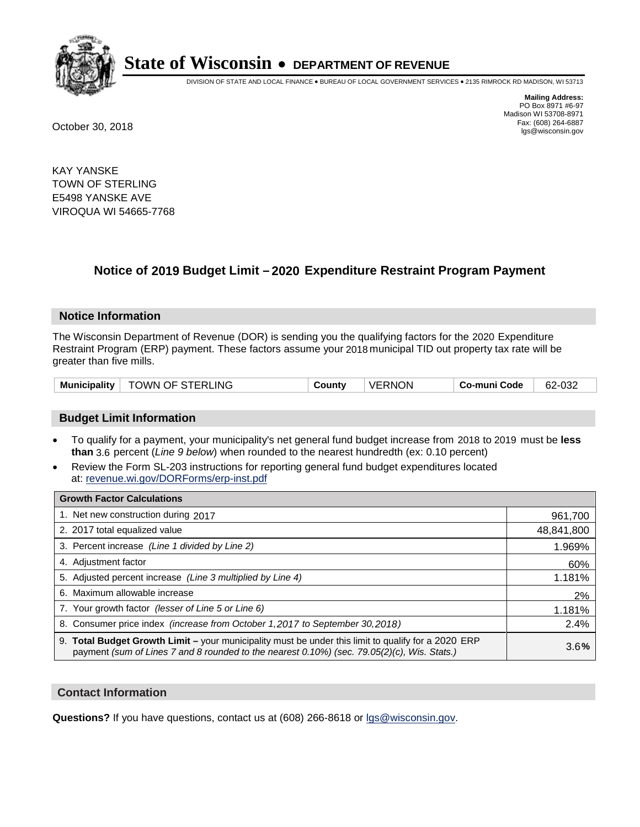

DIVISION OF STATE AND LOCAL FINANCE • BUREAU OF LOCAL GOVERNMENT SERVICES • 2135 RIMROCK RD MADISON, WI 53713

**Mailing Address:** PO Box 8971 #6-97 Madison WI 53708-8971<br>Fax: (608) 264-6887 Fax: (608) 264-6887 October 30, 2018 lgs@wisconsin.gov

KAY YANSKE TOWN OF STERLING E5498 YANSKE AVE VIROQUA WI 54665-7768

### **Notice of 2019 Budget Limit - 2020 Expenditure Restraint Program Payment**

#### **Notice Information**

The Wisconsin Department of Revenue (DOR) is sending you the qualifying factors for the 2020 Expenditure Restraint Program (ERP) payment. These factors assume your 2018 municipal TID out property tax rate will be greater than five mills.

| TOWN OF STERLING<br><b>Municipality</b> | County | <b>VERNON</b> | Co-muni Code | 62-032 |
|-----------------------------------------|--------|---------------|--------------|--------|
|-----------------------------------------|--------|---------------|--------------|--------|

#### **Budget Limit Information**

- To qualify for a payment, your municipality's net general fund budget increase from 2018 to 2019 must be less **than** 3.6 percent (*Line 9 below*) when rounded to the nearest hundredth (ex: 0.10 percent)
- Review the Form SL-203 instructions for reporting general fund budget expenditures located at: revenue.wi.gov/DORForms/erp-inst.pdf

| <b>Growth Factor Calculations</b>                                                                                                                                                                  |            |
|----------------------------------------------------------------------------------------------------------------------------------------------------------------------------------------------------|------------|
| 1. Net new construction during 2017                                                                                                                                                                | 961,700    |
| 2. 2017 total equalized value                                                                                                                                                                      | 48,841,800 |
| 3. Percent increase (Line 1 divided by Line 2)                                                                                                                                                     | 1.969%     |
| 4. Adjustment factor                                                                                                                                                                               | 60%        |
| 5. Adjusted percent increase (Line 3 multiplied by Line 4)                                                                                                                                         | 1.181%     |
| 6. Maximum allowable increase                                                                                                                                                                      | 2%         |
| 7. Your growth factor (lesser of Line 5 or Line 6)                                                                                                                                                 | 1.181%     |
| 8. Consumer price index (increase from October 1, 2017 to September 30, 2018)                                                                                                                      | 2.4%       |
| 9. Total Budget Growth Limit - your municipality must be under this limit to qualify for a 2020 ERP<br>payment (sum of Lines 7 and 8 rounded to the nearest 0.10%) (sec. 79.05(2)(c), Wis. Stats.) | 3.6%       |

#### **Contact Information**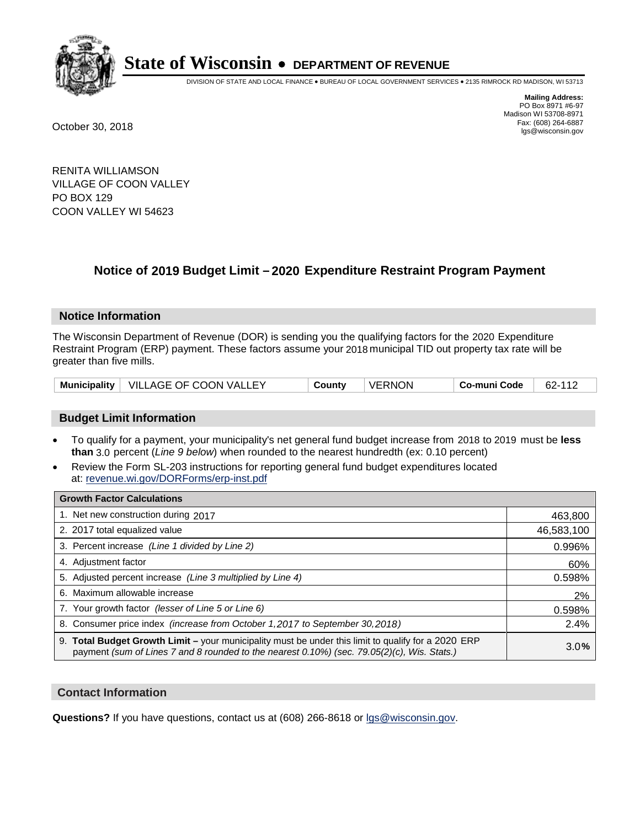

DIVISION OF STATE AND LOCAL FINANCE • BUREAU OF LOCAL GOVERNMENT SERVICES • 2135 RIMROCK RD MADISON, WI 53713

**Mailing Address:** PO Box 8971 #6-97 Madison WI 53708-8971<br>Fax: (608) 264-6887 Fax: (608) 264-6887 October 30, 2018 lgs@wisconsin.gov

RENITA WILLIAMSON VILLAGE OF COON VALLEY PO BOX 129 COON VALLEY WI 54623

### **Notice of 2019 Budget Limit - 2020 Expenditure Restraint Program Payment**

#### **Notice Information**

The Wisconsin Department of Revenue (DOR) is sending you the qualifying factors for the 2020 Expenditure Restraint Program (ERP) payment. These factors assume your 2018 municipal TID out property tax rate will be greater than five mills.

|  | Municipality   VILLAGE OF COON VALLEY | County | VERNON | Co-muni Code | 62-111 |
|--|---------------------------------------|--------|--------|--------------|--------|
|--|---------------------------------------|--------|--------|--------------|--------|

#### **Budget Limit Information**

- To qualify for a payment, your municipality's net general fund budget increase from 2018 to 2019 must be less **than** 3.0 percent (*Line 9 below*) when rounded to the nearest hundredth (ex: 0.10 percent)
- Review the Form SL-203 instructions for reporting general fund budget expenditures located at: revenue.wi.gov/DORForms/erp-inst.pdf

| <b>Growth Factor Calculations</b>                                                                                                                                                                  |            |
|----------------------------------------------------------------------------------------------------------------------------------------------------------------------------------------------------|------------|
| 1. Net new construction during 2017                                                                                                                                                                | 463,800    |
| 2. 2017 total equalized value                                                                                                                                                                      | 46,583,100 |
| 3. Percent increase (Line 1 divided by Line 2)                                                                                                                                                     | 0.996%     |
| 4. Adiustment factor                                                                                                                                                                               | 60%        |
| 5. Adjusted percent increase (Line 3 multiplied by Line 4)                                                                                                                                         | 0.598%     |
| 6. Maximum allowable increase                                                                                                                                                                      | 2%         |
| 7. Your growth factor (lesser of Line 5 or Line 6)                                                                                                                                                 | 0.598%     |
| 8. Consumer price index (increase from October 1,2017 to September 30,2018)                                                                                                                        | 2.4%       |
| 9. Total Budget Growth Limit - your municipality must be under this limit to qualify for a 2020 ERP<br>payment (sum of Lines 7 and 8 rounded to the nearest 0.10%) (sec. 79.05(2)(c), Wis. Stats.) | 3.0%       |

#### **Contact Information**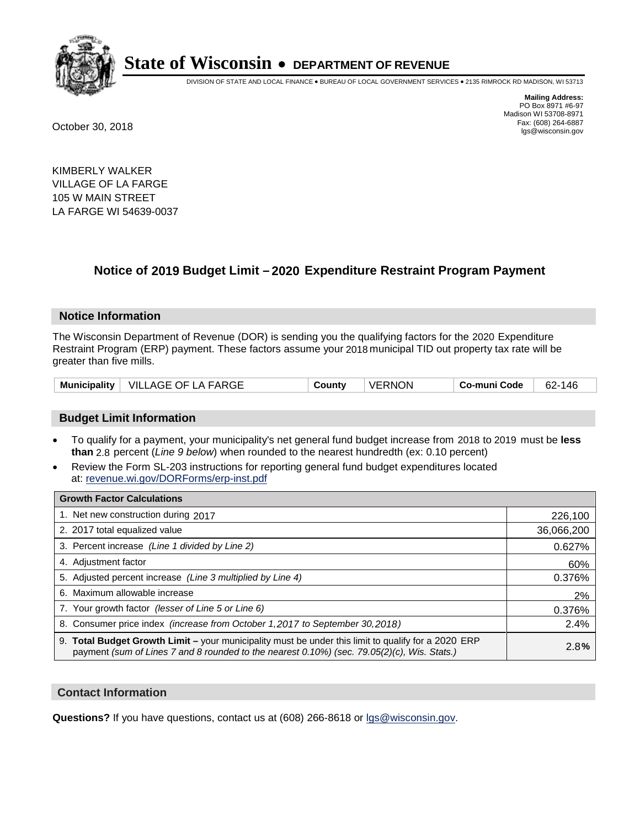

DIVISION OF STATE AND LOCAL FINANCE • BUREAU OF LOCAL GOVERNMENT SERVICES • 2135 RIMROCK RD MADISON, WI 53713

**Mailing Address:** PO Box 8971 #6-97 Madison WI 53708-8971<br>Fax: (608) 264-6887 Fax: (608) 264-6887 October 30, 2018 lgs@wisconsin.gov

KIMBERLY WALKER VILLAGE OF LA FARGE 105 W MAIN STREET LA FARGE WI 54639-0037

## **Notice of 2019 Budget Limit - 2020 Expenditure Restraint Program Payment**

#### **Notice Information**

The Wisconsin Department of Revenue (DOR) is sending you the qualifying factors for the 2020 Expenditure Restraint Program (ERP) payment. These factors assume your 2018 municipal TID out property tax rate will be greater than five mills.

| <b>Municipality</b> | VILLAGE OF LA FARGE | County | <b>VERNON</b> | Co-muni Code | co<br>146<br>62- |
|---------------------|---------------------|--------|---------------|--------------|------------------|
|---------------------|---------------------|--------|---------------|--------------|------------------|

#### **Budget Limit Information**

- To qualify for a payment, your municipality's net general fund budget increase from 2018 to 2019 must be less **than** 2.8 percent (*Line 9 below*) when rounded to the nearest hundredth (ex: 0.10 percent)
- Review the Form SL-203 instructions for reporting general fund budget expenditures located at: revenue.wi.gov/DORForms/erp-inst.pdf

| <b>Growth Factor Calculations</b>                                                                                                                                                                  |            |
|----------------------------------------------------------------------------------------------------------------------------------------------------------------------------------------------------|------------|
| 1. Net new construction during 2017                                                                                                                                                                | 226,100    |
| 2. 2017 total equalized value                                                                                                                                                                      | 36,066,200 |
| 3. Percent increase (Line 1 divided by Line 2)                                                                                                                                                     | 0.627%     |
| 4. Adjustment factor                                                                                                                                                                               | 60%        |
| 5. Adjusted percent increase (Line 3 multiplied by Line 4)                                                                                                                                         | 0.376%     |
| 6. Maximum allowable increase                                                                                                                                                                      | 2%         |
| 7. Your growth factor (lesser of Line 5 or Line 6)                                                                                                                                                 | 0.376%     |
| 8. Consumer price index (increase from October 1, 2017 to September 30, 2018)                                                                                                                      | 2.4%       |
| 9. Total Budget Growth Limit - your municipality must be under this limit to qualify for a 2020 ERP<br>payment (sum of Lines 7 and 8 rounded to the nearest 0.10%) (sec. 79.05(2)(c), Wis. Stats.) | 2.8%       |

#### **Contact Information**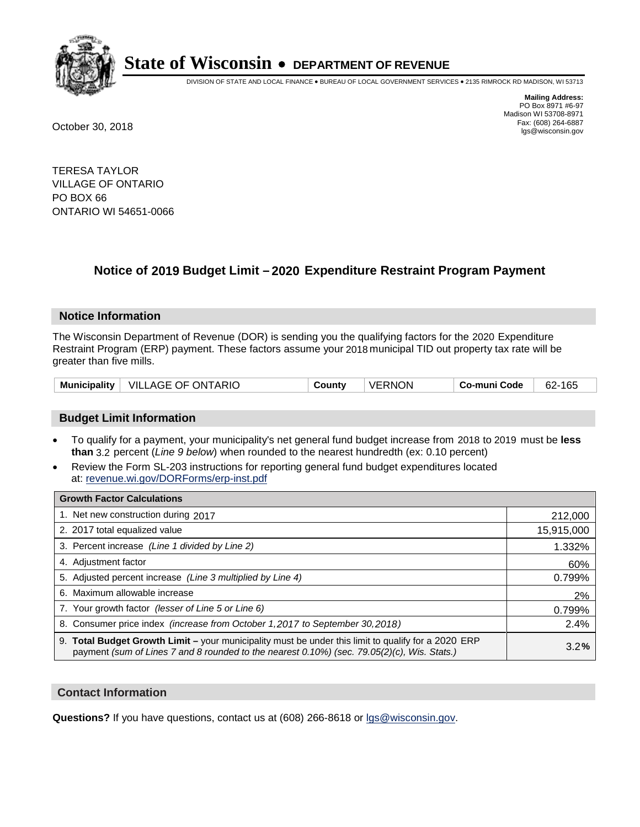

DIVISION OF STATE AND LOCAL FINANCE • BUREAU OF LOCAL GOVERNMENT SERVICES • 2135 RIMROCK RD MADISON, WI 53713

**Mailing Address:** PO Box 8971 #6-97 Madison WI 53708-8971<br>Fax: (608) 264-6887 Fax: (608) 264-6887 October 30, 2018 lgs@wisconsin.gov

TERESA TAYLOR VILLAGE OF ONTARIO PO BOX 66 ONTARIO WI 54651-0066

### **Notice of 2019 Budget Limit - 2020 Expenditure Restraint Program Payment**

#### **Notice Information**

The Wisconsin Department of Revenue (DOR) is sending you the qualifying factors for the 2020 Expenditure Restraint Program (ERP) payment. These factors assume your 2018 municipal TID out property tax rate will be greater than five mills.

| VILLAGE OF ONTARIO<br><b>Municipality</b> | County | VERNON | Co-muni Code | 62-165 |
|-------------------------------------------|--------|--------|--------------|--------|
|-------------------------------------------|--------|--------|--------------|--------|

#### **Budget Limit Information**

- To qualify for a payment, your municipality's net general fund budget increase from 2018 to 2019 must be less **than** 3.2 percent (*Line 9 below*) when rounded to the nearest hundredth (ex: 0.10 percent)
- Review the Form SL-203 instructions for reporting general fund budget expenditures located at: revenue.wi.gov/DORForms/erp-inst.pdf

| <b>Growth Factor Calculations</b>                                                                                                                                                                      |            |
|--------------------------------------------------------------------------------------------------------------------------------------------------------------------------------------------------------|------------|
| 1. Net new construction during 2017                                                                                                                                                                    | 212,000    |
| 2. 2017 total equalized value                                                                                                                                                                          | 15,915,000 |
| 3. Percent increase (Line 1 divided by Line 2)                                                                                                                                                         | 1.332%     |
| 4. Adjustment factor                                                                                                                                                                                   | 60%        |
| 5. Adjusted percent increase (Line 3 multiplied by Line 4)                                                                                                                                             | 0.799%     |
| 6. Maximum allowable increase                                                                                                                                                                          | 2%         |
| 7. Your growth factor (lesser of Line 5 or Line 6)                                                                                                                                                     | 0.799%     |
| 8. Consumer price index (increase from October 1, 2017 to September 30, 2018)                                                                                                                          | 2.4%       |
| 9. Total Budget Growth Limit - your municipality must be under this limit to qualify for a 2020 ERP<br>payment (sum of Lines 7 and 8 rounded to the nearest $0.10\%$ ) (sec. 79.05(2)(c), Wis. Stats.) | 3.2%       |

#### **Contact Information**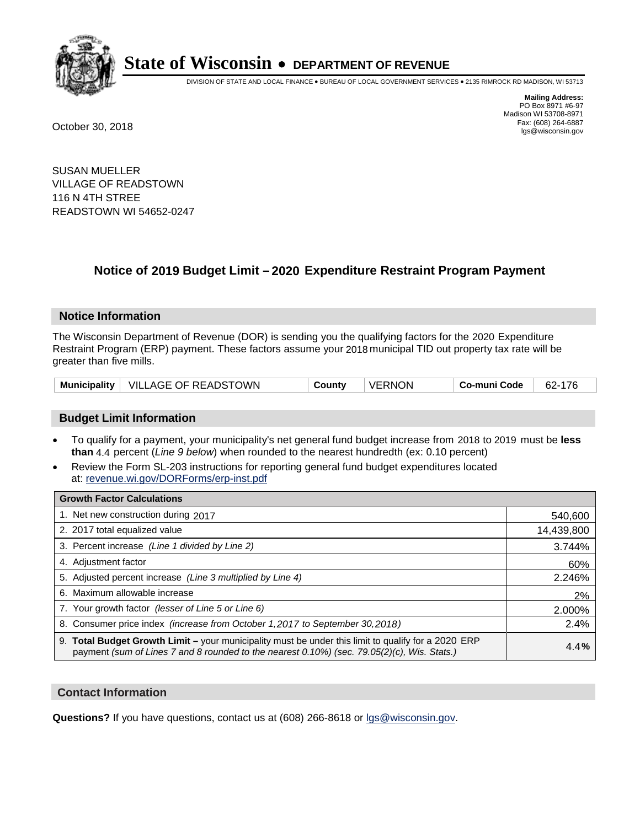

DIVISION OF STATE AND LOCAL FINANCE • BUREAU OF LOCAL GOVERNMENT SERVICES • 2135 RIMROCK RD MADISON, WI 53713

**Mailing Address:** PO Box 8971 #6-97 Madison WI 53708-8971<br>Fax: (608) 264-6887 Fax: (608) 264-6887 October 30, 2018 lgs@wisconsin.gov

SUSAN MUELLER VILLAGE OF READSTOWN 116 N 4TH STREE READSTOWN WI 54652-0247

## **Notice of 2019 Budget Limit - 2020 Expenditure Restraint Program Payment**

#### **Notice Information**

The Wisconsin Department of Revenue (DOR) is sending you the qualifying factors for the 2020 Expenditure Restraint Program (ERP) payment. These factors assume your 2018 municipal TID out property tax rate will be greater than five mills.

|  | Municipality   VILLAGE OF READSTOWN | County | <b>VERNON</b> | Co-muni Code | 62-176 |
|--|-------------------------------------|--------|---------------|--------------|--------|
|--|-------------------------------------|--------|---------------|--------------|--------|

#### **Budget Limit Information**

- To qualify for a payment, your municipality's net general fund budget increase from 2018 to 2019 must be less **than** 4.4 percent (*Line 9 below*) when rounded to the nearest hundredth (ex: 0.10 percent)
- Review the Form SL-203 instructions for reporting general fund budget expenditures located at: revenue.wi.gov/DORForms/erp-inst.pdf

| <b>Growth Factor Calculations</b>                                                                                                                                                                      |            |
|--------------------------------------------------------------------------------------------------------------------------------------------------------------------------------------------------------|------------|
| 1. Net new construction during 2017                                                                                                                                                                    | 540,600    |
| 2. 2017 total equalized value                                                                                                                                                                          | 14,439,800 |
| 3. Percent increase (Line 1 divided by Line 2)                                                                                                                                                         | 3.744%     |
| 4. Adjustment factor                                                                                                                                                                                   | 60%        |
| 5. Adjusted percent increase (Line 3 multiplied by Line 4)                                                                                                                                             | 2.246%     |
| 6. Maximum allowable increase                                                                                                                                                                          | 2%         |
| 7. Your growth factor (lesser of Line 5 or Line 6)                                                                                                                                                     | 2.000%     |
| 8. Consumer price index (increase from October 1,2017 to September 30,2018)                                                                                                                            | 2.4%       |
| 9. Total Budget Growth Limit - your municipality must be under this limit to qualify for a 2020 ERP<br>payment (sum of Lines 7 and 8 rounded to the nearest $0.10\%$ ) (sec. 79.05(2)(c), Wis. Stats.) | 4.4%       |

#### **Contact Information**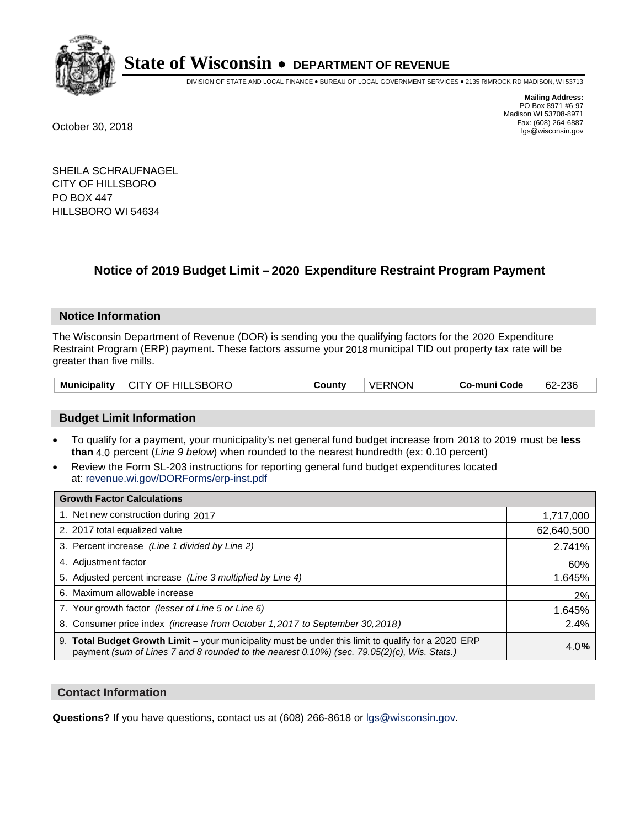

DIVISION OF STATE AND LOCAL FINANCE • BUREAU OF LOCAL GOVERNMENT SERVICES • 2135 RIMROCK RD MADISON, WI 53713

**Mailing Address:** PO Box 8971 #6-97 Madison WI 53708-8971<br>Fax: (608) 264-6887 Fax: (608) 264-6887 October 30, 2018 lgs@wisconsin.gov

SHEILA SCHRAUFNAGEL CITY OF HILLSBORO PO BOX 447 HILLSBORO WI 54634

### **Notice of 2019 Budget Limit - 2020 Expenditure Restraint Program Payment**

#### **Notice Information**

The Wisconsin Department of Revenue (DOR) is sending you the qualifying factors for the 2020 Expenditure Restraint Program (ERP) payment. These factors assume your 2018 municipal TID out property tax rate will be greater than five mills.

| Municipality   CITY OF HILLSBORO | Countv | ' VERNON | Co-muni Code | $62 - 236$ |
|----------------------------------|--------|----------|--------------|------------|
|----------------------------------|--------|----------|--------------|------------|

#### **Budget Limit Information**

- To qualify for a payment, your municipality's net general fund budget increase from 2018 to 2019 must be less **than** 4.0 percent (*Line 9 below*) when rounded to the nearest hundredth (ex: 0.10 percent)
- Review the Form SL-203 instructions for reporting general fund budget expenditures located at: revenue.wi.gov/DORForms/erp-inst.pdf

| <b>Growth Factor Calculations</b>                                                                                                                                                                      |            |
|--------------------------------------------------------------------------------------------------------------------------------------------------------------------------------------------------------|------------|
| 1. Net new construction during 2017                                                                                                                                                                    | 1,717,000  |
| 2. 2017 total equalized value                                                                                                                                                                          | 62,640,500 |
| 3. Percent increase (Line 1 divided by Line 2)                                                                                                                                                         | 2.741%     |
| 4. Adjustment factor                                                                                                                                                                                   | 60%        |
| 5. Adjusted percent increase (Line 3 multiplied by Line 4)                                                                                                                                             | 1.645%     |
| 6. Maximum allowable increase                                                                                                                                                                          | 2%         |
| 7. Your growth factor (lesser of Line 5 or Line 6)                                                                                                                                                     | 1.645%     |
| 8. Consumer price index (increase from October 1,2017 to September 30,2018)                                                                                                                            | 2.4%       |
| 9. Total Budget Growth Limit - your municipality must be under this limit to qualify for a 2020 ERP<br>payment (sum of Lines 7 and 8 rounded to the nearest $0.10\%$ ) (sec. 79.05(2)(c), Wis. Stats.) | 4.0%       |

#### **Contact Information**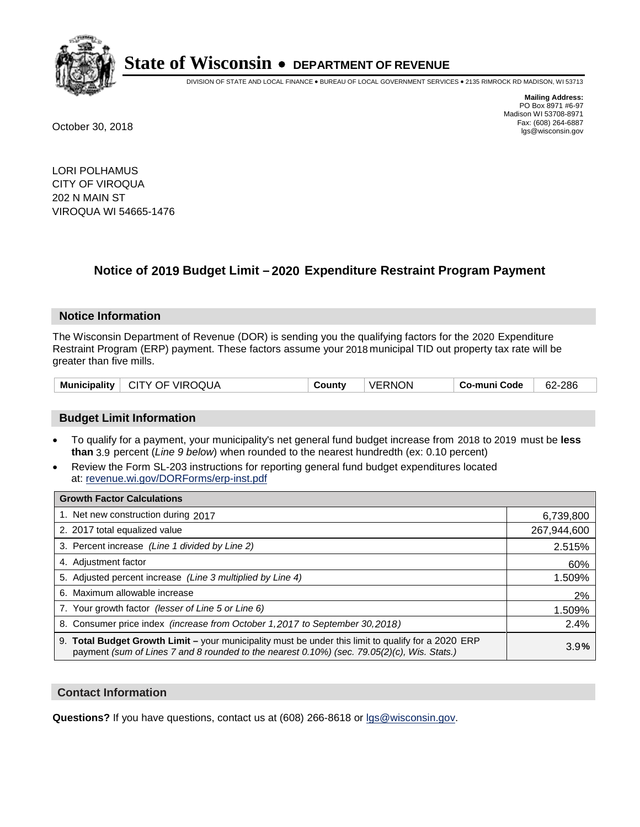

DIVISION OF STATE AND LOCAL FINANCE • BUREAU OF LOCAL GOVERNMENT SERVICES • 2135 RIMROCK RD MADISON, WI 53713

**Mailing Address:** PO Box 8971 #6-97 Madison WI 53708-8971<br>Fax: (608) 264-6887 Fax: (608) 264-6887 October 30, 2018 lgs@wisconsin.gov

LORI POLHAMUS CITY OF VIROQUA 202 N MAIN ST VIROQUA WI 54665-1476

## **Notice of 2019 Budget Limit - 2020 Expenditure Restraint Program Payment**

#### **Notice Information**

The Wisconsin Department of Revenue (DOR) is sending you the qualifying factors for the 2020 Expenditure Restraint Program (ERP) payment. These factors assume your 2018 municipal TID out property tax rate will be greater than five mills.

| Municipality   CITY OF VIROQUA | Countv | VERNON | Co-muni Code | 62-286 |
|--------------------------------|--------|--------|--------------|--------|
|--------------------------------|--------|--------|--------------|--------|

#### **Budget Limit Information**

- To qualify for a payment, your municipality's net general fund budget increase from 2018 to 2019 must be less **than** 3.9 percent (*Line 9 below*) when rounded to the nearest hundredth (ex: 0.10 percent)
- Review the Form SL-203 instructions for reporting general fund budget expenditures located at: revenue.wi.gov/DORForms/erp-inst.pdf

| <b>Growth Factor Calculations</b>                                                                                                                                                                      |             |
|--------------------------------------------------------------------------------------------------------------------------------------------------------------------------------------------------------|-------------|
| 1. Net new construction during 2017                                                                                                                                                                    | 6,739,800   |
| 2. 2017 total equalized value                                                                                                                                                                          | 267,944,600 |
| 3. Percent increase (Line 1 divided by Line 2)                                                                                                                                                         | 2.515%      |
| 4. Adjustment factor                                                                                                                                                                                   | 60%         |
| 5. Adjusted percent increase (Line 3 multiplied by Line 4)                                                                                                                                             | 1.509%      |
| 6. Maximum allowable increase                                                                                                                                                                          | 2%          |
| 7. Your growth factor (lesser of Line 5 or Line 6)                                                                                                                                                     | 1.509%      |
| 8. Consumer price index (increase from October 1,2017 to September 30,2018)                                                                                                                            | 2.4%        |
| 9. Total Budget Growth Limit - your municipality must be under this limit to qualify for a 2020 ERP<br>payment (sum of Lines 7 and 8 rounded to the nearest $0.10\%$ ) (sec. 79.05(2)(c), Wis. Stats.) | 3.9%        |

#### **Contact Information**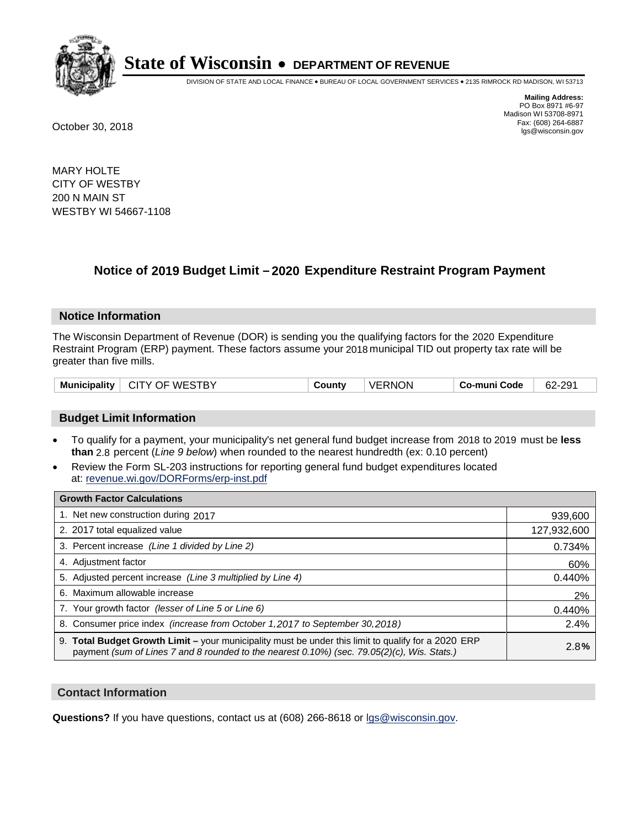

DIVISION OF STATE AND LOCAL FINANCE • BUREAU OF LOCAL GOVERNMENT SERVICES • 2135 RIMROCK RD MADISON, WI 53713

**Mailing Address:** PO Box 8971 #6-97 Madison WI 53708-8971<br>Fax: (608) 264-6887 Fax: (608) 264-6887 October 30, 2018 lgs@wisconsin.gov

MARY HOLTE CITY OF WESTBY 200 N MAIN ST WESTBY WI 54667-1108

### **Notice of 2019 Budget Limit - 2020 Expenditure Restraint Program Payment**

#### **Notice Information**

The Wisconsin Department of Revenue (DOR) is sending you the qualifying factors for the 2020 Expenditure Restraint Program (ERP) payment. These factors assume your 2018 municipal TID out property tax rate will be greater than five mills.

| CITY OF WESTBY<br><b>Municipality</b> | County | <b>VERNON</b> | Co-muni Code | 62-291 |
|---------------------------------------|--------|---------------|--------------|--------|
|---------------------------------------|--------|---------------|--------------|--------|

#### **Budget Limit Information**

- To qualify for a payment, your municipality's net general fund budget increase from 2018 to 2019 must be less **than** 2.8 percent (*Line 9 below*) when rounded to the nearest hundredth (ex: 0.10 percent)
- Review the Form SL-203 instructions for reporting general fund budget expenditures located at: revenue.wi.gov/DORForms/erp-inst.pdf

| <b>Growth Factor Calculations</b>                                                                                                                                                                      |             |
|--------------------------------------------------------------------------------------------------------------------------------------------------------------------------------------------------------|-------------|
| 1. Net new construction during 2017                                                                                                                                                                    | 939,600     |
| 2. 2017 total equalized value                                                                                                                                                                          | 127,932,600 |
| 3. Percent increase (Line 1 divided by Line 2)                                                                                                                                                         | 0.734%      |
| 4. Adjustment factor                                                                                                                                                                                   | 60%         |
| 5. Adjusted percent increase (Line 3 multiplied by Line 4)                                                                                                                                             | 0.440%      |
| 6. Maximum allowable increase                                                                                                                                                                          | 2%          |
| 7. Your growth factor (lesser of Line 5 or Line 6)                                                                                                                                                     | 0.440%      |
| 8. Consumer price index (increase from October 1, 2017 to September 30, 2018)                                                                                                                          | 2.4%        |
| 9. Total Budget Growth Limit - your municipality must be under this limit to qualify for a 2020 ERP<br>payment (sum of Lines 7 and 8 rounded to the nearest $0.10\%$ ) (sec. 79.05(2)(c), Wis. Stats.) | 2.8%        |

#### **Contact Information**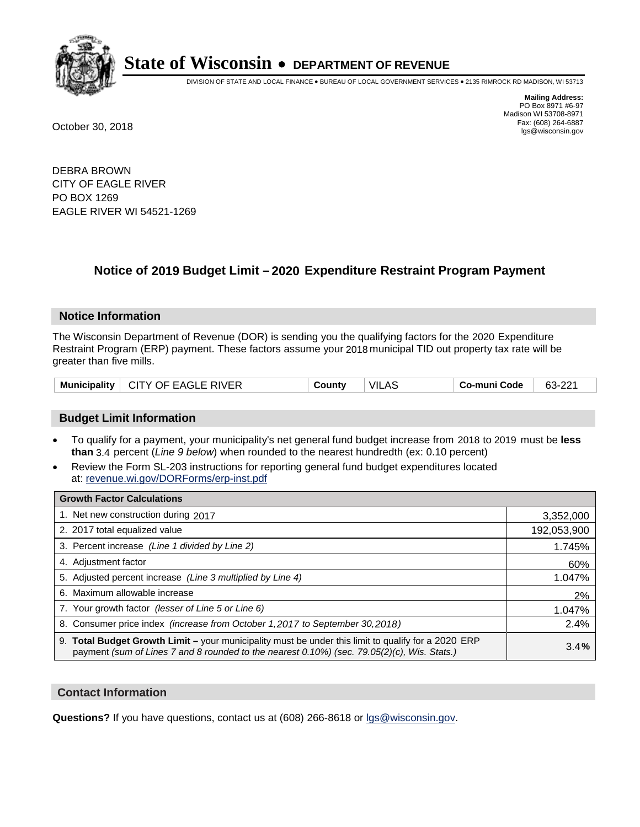

DIVISION OF STATE AND LOCAL FINANCE • BUREAU OF LOCAL GOVERNMENT SERVICES • 2135 RIMROCK RD MADISON, WI 53713

**Mailing Address:** PO Box 8971 #6-97 Madison WI 53708-8971<br>Fax: (608) 264-6887 Fax: (608) 264-6887 October 30, 2018 lgs@wisconsin.gov

DEBRA BROWN CITY OF EAGLE RIVER PO BOX 1269 EAGLE RIVER WI 54521-1269

### **Notice of 2019 Budget Limit - 2020 Expenditure Restraint Program Payment**

#### **Notice Information**

The Wisconsin Department of Revenue (DOR) is sending you the qualifying factors for the 2020 Expenditure Restraint Program (ERP) payment. These factors assume your 2018 municipal TID out property tax rate will be greater than five mills.

| <b>Municipality</b> | <b>CITY OF EAGLE RIVER</b> | County | VIL<br>.AS | Co-muni Code | 63-221 |
|---------------------|----------------------------|--------|------------|--------------|--------|
|---------------------|----------------------------|--------|------------|--------------|--------|

#### **Budget Limit Information**

- To qualify for a payment, your municipality's net general fund budget increase from 2018 to 2019 must be less **than** 3.4 percent (*Line 9 below*) when rounded to the nearest hundredth (ex: 0.10 percent)
- Review the Form SL-203 instructions for reporting general fund budget expenditures located at: revenue.wi.gov/DORForms/erp-inst.pdf

| <b>Growth Factor Calculations</b>                                                                                                                                                                      |             |
|--------------------------------------------------------------------------------------------------------------------------------------------------------------------------------------------------------|-------------|
| 1. Net new construction during 2017                                                                                                                                                                    | 3,352,000   |
| 2. 2017 total equalized value                                                                                                                                                                          | 192,053,900 |
| 3. Percent increase (Line 1 divided by Line 2)                                                                                                                                                         | 1.745%      |
| 4. Adjustment factor                                                                                                                                                                                   | 60%         |
| 5. Adjusted percent increase (Line 3 multiplied by Line 4)                                                                                                                                             | 1.047%      |
| 6. Maximum allowable increase                                                                                                                                                                          | 2%          |
| 7. Your growth factor (lesser of Line 5 or Line 6)                                                                                                                                                     | 1.047%      |
| 8. Consumer price index (increase from October 1, 2017 to September 30, 2018)                                                                                                                          | 2.4%        |
| 9. Total Budget Growth Limit - your municipality must be under this limit to qualify for a 2020 ERP<br>payment (sum of Lines 7 and 8 rounded to the nearest $0.10\%$ ) (sec. 79.05(2)(c), Wis. Stats.) | 3.4%        |

#### **Contact Information**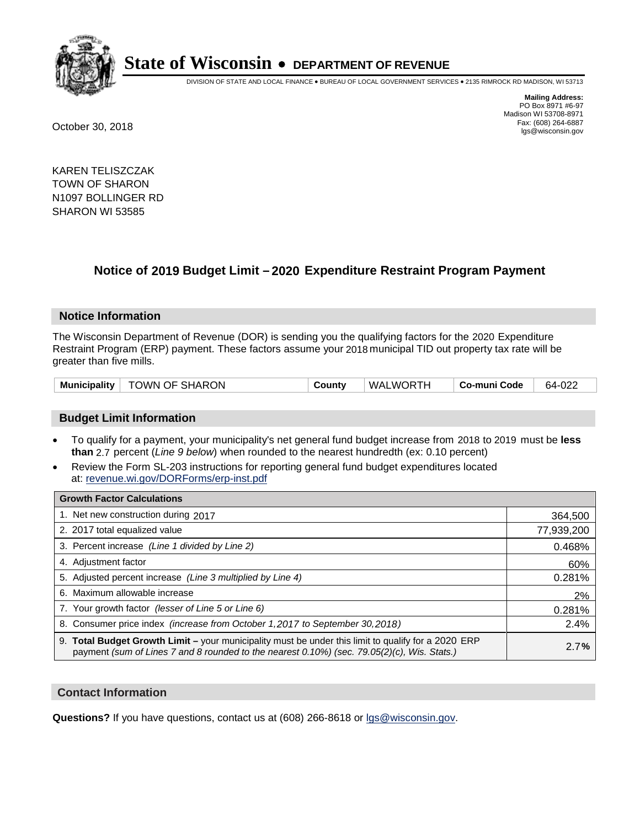

DIVISION OF STATE AND LOCAL FINANCE • BUREAU OF LOCAL GOVERNMENT SERVICES • 2135 RIMROCK RD MADISON, WI 53713

**Mailing Address:** PO Box 8971 #6-97 Madison WI 53708-8971<br>Fax: (608) 264-6887 Fax: (608) 264-6887 October 30, 2018 lgs@wisconsin.gov

KAREN TELISZCZAK TOWN OF SHARON N1097 BOLLINGER RD SHARON WI 53585

## **Notice of 2019 Budget Limit - 2020 Expenditure Restraint Program Payment**

#### **Notice Information**

The Wisconsin Department of Revenue (DOR) is sending you the qualifying factors for the 2020 Expenditure Restraint Program (ERP) payment. These factors assume your 2018 municipal TID out property tax rate will be greater than five mills.

| Municipality   TOWN OF SHARON | County | WALWORTH | ∣ Co-muni Code | 64-022 |
|-------------------------------|--------|----------|----------------|--------|
|-------------------------------|--------|----------|----------------|--------|

#### **Budget Limit Information**

- To qualify for a payment, your municipality's net general fund budget increase from 2018 to 2019 must be less **than** 2.7 percent (*Line 9 below*) when rounded to the nearest hundredth (ex: 0.10 percent)
- Review the Form SL-203 instructions for reporting general fund budget expenditures located at: revenue.wi.gov/DORForms/erp-inst.pdf

| <b>Growth Factor Calculations</b>                                                                                                                                                                      |            |
|--------------------------------------------------------------------------------------------------------------------------------------------------------------------------------------------------------|------------|
| 1. Net new construction during 2017                                                                                                                                                                    | 364,500    |
| 2. 2017 total equalized value                                                                                                                                                                          | 77,939,200 |
| 3. Percent increase (Line 1 divided by Line 2)                                                                                                                                                         | 0.468%     |
| 4. Adjustment factor                                                                                                                                                                                   | 60%        |
| 5. Adjusted percent increase (Line 3 multiplied by Line 4)                                                                                                                                             | 0.281%     |
| 6. Maximum allowable increase                                                                                                                                                                          | 2%         |
| 7. Your growth factor (lesser of Line 5 or Line 6)                                                                                                                                                     | 0.281%     |
| 8. Consumer price index (increase from October 1,2017 to September 30,2018)                                                                                                                            | 2.4%       |
| 9. Total Budget Growth Limit - your municipality must be under this limit to qualify for a 2020 ERP<br>payment (sum of Lines 7 and 8 rounded to the nearest $0.10\%$ ) (sec. 79.05(2)(c), Wis. Stats.) | 2.7%       |

#### **Contact Information**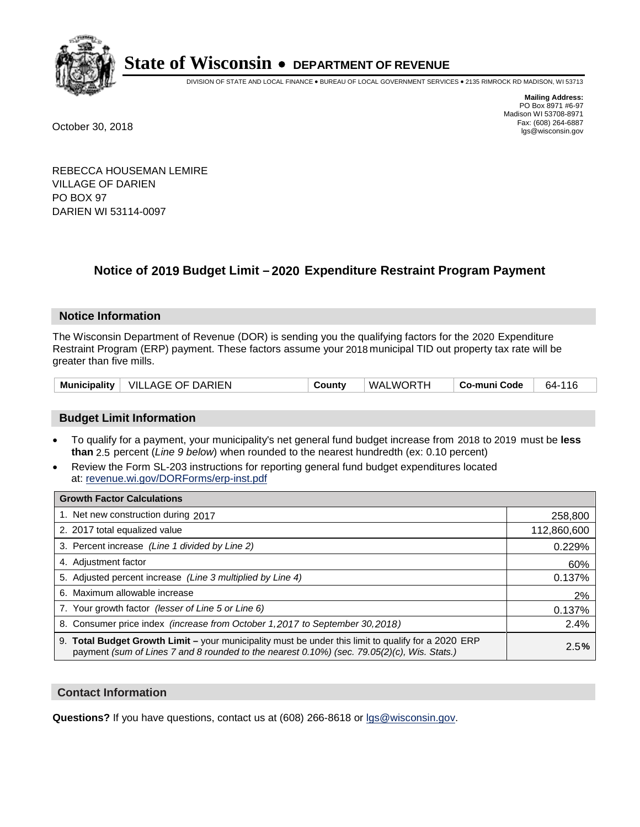

DIVISION OF STATE AND LOCAL FINANCE • BUREAU OF LOCAL GOVERNMENT SERVICES • 2135 RIMROCK RD MADISON, WI 53713

**Mailing Address:** PO Box 8971 #6-97 Madison WI 53708-8971<br>Fax: (608) 264-6887 Fax: (608) 264-6887 October 30, 2018 lgs@wisconsin.gov

REBECCA HOUSEMAN LEMIRE VILLAGE OF DARIEN PO BOX 97 DARIEN WI 53114-0097

## **Notice of 2019 Budget Limit - 2020 Expenditure Restraint Program Payment**

#### **Notice Information**

The Wisconsin Department of Revenue (DOR) is sending you the qualifying factors for the 2020 Expenditure Restraint Program (ERP) payment. These factors assume your 2018 municipal TID out property tax rate will be greater than five mills.

| Municipality   VILLAGE OF DARIEN | County | WALWORTH | Co-muni Code | 64-116 |
|----------------------------------|--------|----------|--------------|--------|
|----------------------------------|--------|----------|--------------|--------|

#### **Budget Limit Information**

- To qualify for a payment, your municipality's net general fund budget increase from 2018 to 2019 must be less **than** 2.5 percent (*Line 9 below*) when rounded to the nearest hundredth (ex: 0.10 percent)
- Review the Form SL-203 instructions for reporting general fund budget expenditures located at: revenue.wi.gov/DORForms/erp-inst.pdf

| <b>Growth Factor Calculations</b>                                                                                                                                                                      |             |
|--------------------------------------------------------------------------------------------------------------------------------------------------------------------------------------------------------|-------------|
| 1. Net new construction during 2017                                                                                                                                                                    | 258,800     |
| 2. 2017 total equalized value                                                                                                                                                                          | 112,860,600 |
| 3. Percent increase (Line 1 divided by Line 2)                                                                                                                                                         | 0.229%      |
| 4. Adjustment factor                                                                                                                                                                                   | 60%         |
| 5. Adjusted percent increase (Line 3 multiplied by Line 4)                                                                                                                                             | 0.137%      |
| 6. Maximum allowable increase                                                                                                                                                                          | 2%          |
| 7. Your growth factor (lesser of Line 5 or Line 6)                                                                                                                                                     | 0.137%      |
| 8. Consumer price index (increase from October 1, 2017 to September 30, 2018)                                                                                                                          | 2.4%        |
| 9. Total Budget Growth Limit - your municipality must be under this limit to qualify for a 2020 ERP<br>payment (sum of Lines 7 and 8 rounded to the nearest $0.10\%$ ) (sec. 79.05(2)(c), Wis. Stats.) | 2.5%        |

#### **Contact Information**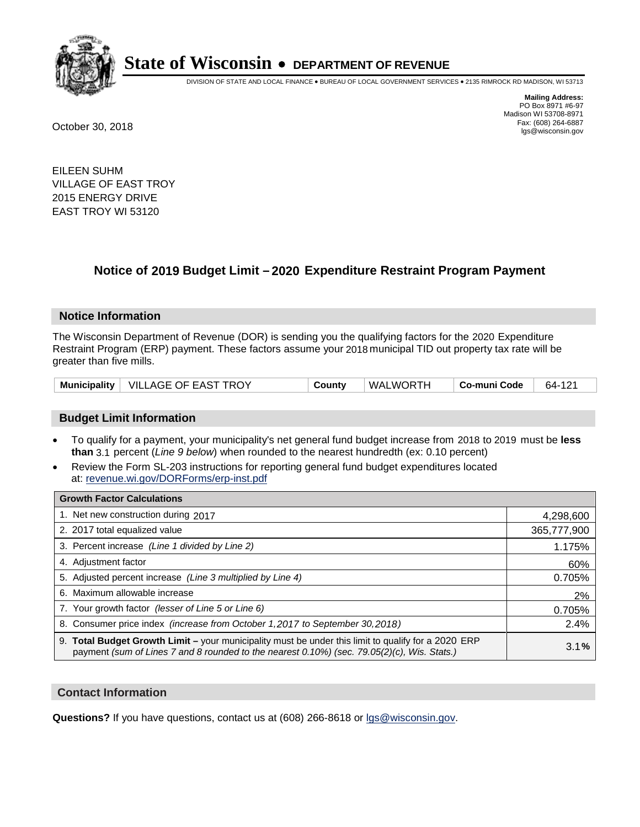

DIVISION OF STATE AND LOCAL FINANCE • BUREAU OF LOCAL GOVERNMENT SERVICES • 2135 RIMROCK RD MADISON, WI 53713

**Mailing Address:** PO Box 8971 #6-97 Madison WI 53708-8971<br>Fax: (608) 264-6887 Fax: (608) 264-6887 October 30, 2018 lgs@wisconsin.gov

EILEEN SUHM VILLAGE OF EAST TROY 2015 ENERGY DRIVE EAST TROY WI 53120

### **Notice of 2019 Budget Limit - 2020 Expenditure Restraint Program Payment**

#### **Notice Information**

The Wisconsin Department of Revenue (DOR) is sending you the qualifying factors for the 2020 Expenditure Restraint Program (ERP) payment. These factors assume your 2018 municipal TID out property tax rate will be greater than five mills.

|  | Municipality   VILLAGE OF EAST TROY | County | WALWORTH | ∣ Co-muni Code | 64-121 |
|--|-------------------------------------|--------|----------|----------------|--------|
|--|-------------------------------------|--------|----------|----------------|--------|

#### **Budget Limit Information**

- To qualify for a payment, your municipality's net general fund budget increase from 2018 to 2019 must be less **than** 3.1 percent (*Line 9 below*) when rounded to the nearest hundredth (ex: 0.10 percent)
- Review the Form SL-203 instructions for reporting general fund budget expenditures located at: revenue.wi.gov/DORForms/erp-inst.pdf

| <b>Growth Factor Calculations</b>                                                                                                                                                                      |             |
|--------------------------------------------------------------------------------------------------------------------------------------------------------------------------------------------------------|-------------|
| 1. Net new construction during 2017                                                                                                                                                                    | 4,298,600   |
| 2. 2017 total equalized value                                                                                                                                                                          | 365,777,900 |
| 3. Percent increase (Line 1 divided by Line 2)                                                                                                                                                         | 1.175%      |
| 4. Adjustment factor                                                                                                                                                                                   | 60%         |
| 5. Adjusted percent increase (Line 3 multiplied by Line 4)                                                                                                                                             | 0.705%      |
| 6. Maximum allowable increase                                                                                                                                                                          | 2%          |
| 7. Your growth factor (lesser of Line 5 or Line 6)                                                                                                                                                     | 0.705%      |
| 8. Consumer price index (increase from October 1, 2017 to September 30, 2018)                                                                                                                          | 2.4%        |
| 9. Total Budget Growth Limit - your municipality must be under this limit to qualify for a 2020 ERP<br>payment (sum of Lines 7 and 8 rounded to the nearest $0.10\%$ ) (sec. 79.05(2)(c), Wis. Stats.) | 3.1%        |

#### **Contact Information**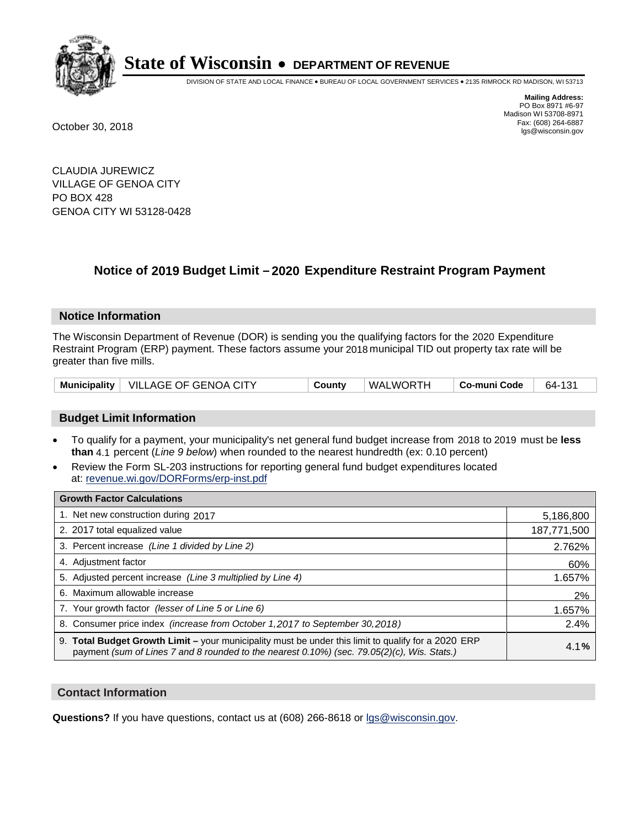

DIVISION OF STATE AND LOCAL FINANCE • BUREAU OF LOCAL GOVERNMENT SERVICES • 2135 RIMROCK RD MADISON, WI 53713

**Mailing Address:** PO Box 8971 #6-97 Madison WI 53708-8971<br>Fax: (608) 264-6887 Fax: (608) 264-6887 October 30, 2018 lgs@wisconsin.gov

CLAUDIA JUREWICZ VILLAGE OF GENOA CITY PO BOX 428 GENOA CITY WI 53128-0428

### **Notice of 2019 Budget Limit - 2020 Expenditure Restraint Program Payment**

#### **Notice Information**

The Wisconsin Department of Revenue (DOR) is sending you the qualifying factors for the 2020 Expenditure Restraint Program (ERP) payment. These factors assume your 2018 municipal TID out property tax rate will be greater than five mills.

|  | Municipality   VILLAGE OF GENOA CITY | County | WALWORTH | ⊦ Co-muni Code | 64-131 |
|--|--------------------------------------|--------|----------|----------------|--------|
|--|--------------------------------------|--------|----------|----------------|--------|

#### **Budget Limit Information**

- To qualify for a payment, your municipality's net general fund budget increase from 2018 to 2019 must be less **than** 4.1 percent (*Line 9 below*) when rounded to the nearest hundredth (ex: 0.10 percent)
- Review the Form SL-203 instructions for reporting general fund budget expenditures located at: revenue.wi.gov/DORForms/erp-inst.pdf

| <b>Growth Factor Calculations</b>                                                                                                                                                                  |             |
|----------------------------------------------------------------------------------------------------------------------------------------------------------------------------------------------------|-------------|
| 1. Net new construction during 2017                                                                                                                                                                | 5,186,800   |
| 2. 2017 total equalized value                                                                                                                                                                      | 187,771,500 |
| 3. Percent increase (Line 1 divided by Line 2)                                                                                                                                                     | 2.762%      |
| 4. Adjustment factor                                                                                                                                                                               | 60%         |
| 5. Adjusted percent increase (Line 3 multiplied by Line 4)                                                                                                                                         | 1.657%      |
| 6. Maximum allowable increase                                                                                                                                                                      | 2%          |
| 7. Your growth factor (lesser of Line 5 or Line 6)                                                                                                                                                 | 1.657%      |
| 8. Consumer price index (increase from October 1, 2017 to September 30, 2018)                                                                                                                      | 2.4%        |
| 9. Total Budget Growth Limit - your municipality must be under this limit to qualify for a 2020 ERP<br>payment (sum of Lines 7 and 8 rounded to the nearest 0.10%) (sec. 79.05(2)(c), Wis. Stats.) | 4.1%        |

#### **Contact Information**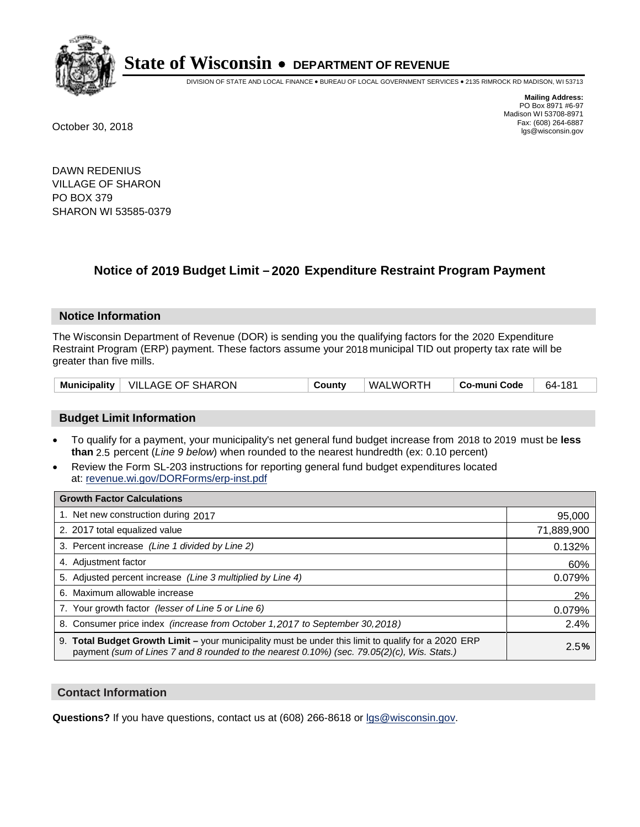

DIVISION OF STATE AND LOCAL FINANCE • BUREAU OF LOCAL GOVERNMENT SERVICES • 2135 RIMROCK RD MADISON, WI 53713

**Mailing Address:** PO Box 8971 #6-97 Madison WI 53708-8971<br>Fax: (608) 264-6887 Fax: (608) 264-6887 October 30, 2018 lgs@wisconsin.gov

DAWN REDENIUS VILLAGE OF SHARON PO BOX 379 SHARON WI 53585-0379

### **Notice of 2019 Budget Limit - 2020 Expenditure Restraint Program Payment**

#### **Notice Information**

The Wisconsin Department of Revenue (DOR) is sending you the qualifying factors for the 2020 Expenditure Restraint Program (ERP) payment. These factors assume your 2018 municipal TID out property tax rate will be greater than five mills.

|  | Municipality   VILLAGE OF SHARON | County | WALWORTH | ∣ Co-muni Code | 64-181 |
|--|----------------------------------|--------|----------|----------------|--------|
|--|----------------------------------|--------|----------|----------------|--------|

#### **Budget Limit Information**

- To qualify for a payment, your municipality's net general fund budget increase from 2018 to 2019 must be less **than** 2.5 percent (*Line 9 below*) when rounded to the nearest hundredth (ex: 0.10 percent)
- Review the Form SL-203 instructions for reporting general fund budget expenditures located at: revenue.wi.gov/DORForms/erp-inst.pdf

| <b>Growth Factor Calculations</b>                                                                                                                                                                      |            |
|--------------------------------------------------------------------------------------------------------------------------------------------------------------------------------------------------------|------------|
| 1. Net new construction during 2017                                                                                                                                                                    | 95,000     |
| 2. 2017 total equalized value                                                                                                                                                                          | 71,889,900 |
| 3. Percent increase (Line 1 divided by Line 2)                                                                                                                                                         | 0.132%     |
| 4. Adjustment factor                                                                                                                                                                                   | 60%        |
| 5. Adjusted percent increase (Line 3 multiplied by Line 4)                                                                                                                                             | 0.079%     |
| 6. Maximum allowable increase                                                                                                                                                                          | 2%         |
| 7. Your growth factor (lesser of Line 5 or Line 6)                                                                                                                                                     | 0.079%     |
| 8. Consumer price index (increase from October 1, 2017 to September 30, 2018)                                                                                                                          | 2.4%       |
| 9. Total Budget Growth Limit - your municipality must be under this limit to qualify for a 2020 ERP<br>payment (sum of Lines 7 and 8 rounded to the nearest $0.10\%$ ) (sec. 79.05(2)(c), Wis. Stats.) | 2.5%       |

#### **Contact Information**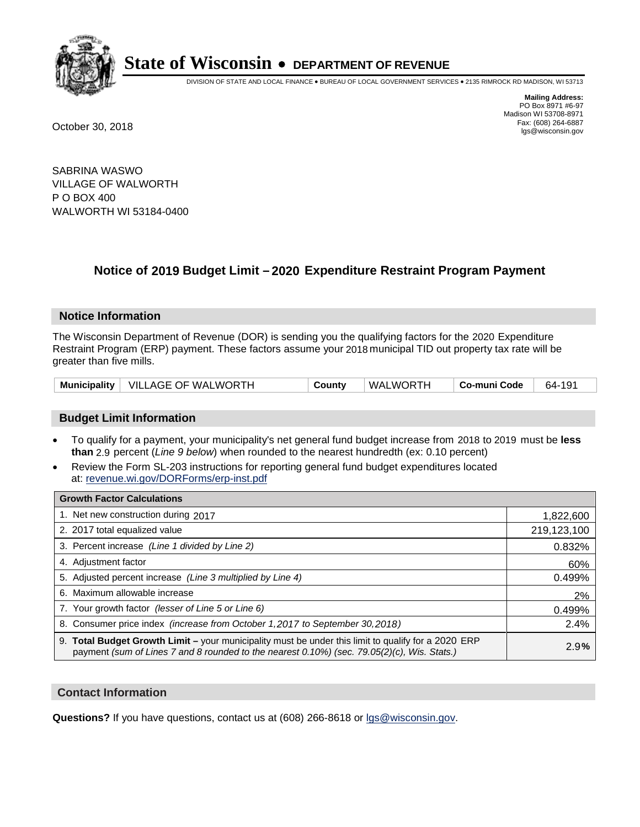

DIVISION OF STATE AND LOCAL FINANCE • BUREAU OF LOCAL GOVERNMENT SERVICES • 2135 RIMROCK RD MADISON, WI 53713

**Mailing Address:** PO Box 8971 #6-97 Madison WI 53708-8971<br>Fax: (608) 264-6887 Fax: (608) 264-6887 October 30, 2018 lgs@wisconsin.gov

SABRINA WASWO VILLAGE OF WALWORTH P O BOX 400 WALWORTH WI 53184-0400

### **Notice of 2019 Budget Limit - 2020 Expenditure Restraint Program Payment**

#### **Notice Information**

The Wisconsin Department of Revenue (DOR) is sending you the qualifying factors for the 2020 Expenditure Restraint Program (ERP) payment. These factors assume your 2018 municipal TID out property tax rate will be greater than five mills.

|  | Municipality   VILLAGE OF WALWORTH | County | WALWORTH | Co-muni Code | 64-191 |
|--|------------------------------------|--------|----------|--------------|--------|
|--|------------------------------------|--------|----------|--------------|--------|

#### **Budget Limit Information**

- To qualify for a payment, your municipality's net general fund budget increase from 2018 to 2019 must be less **than** 2.9 percent (*Line 9 below*) when rounded to the nearest hundredth (ex: 0.10 percent)
- Review the Form SL-203 instructions for reporting general fund budget expenditures located at: revenue.wi.gov/DORForms/erp-inst.pdf

| <b>Growth Factor Calculations</b>                                                                                                                                                                      |             |
|--------------------------------------------------------------------------------------------------------------------------------------------------------------------------------------------------------|-------------|
| 1. Net new construction during 2017                                                                                                                                                                    | 1,822,600   |
| 2. 2017 total equalized value                                                                                                                                                                          | 219,123,100 |
| 3. Percent increase (Line 1 divided by Line 2)                                                                                                                                                         | 0.832%      |
| 4. Adjustment factor                                                                                                                                                                                   | 60%         |
| 5. Adjusted percent increase (Line 3 multiplied by Line 4)                                                                                                                                             | 0.499%      |
| 6. Maximum allowable increase                                                                                                                                                                          | 2%          |
| 7. Your growth factor (lesser of Line 5 or Line 6)                                                                                                                                                     | 0.499%      |
| 8. Consumer price index (increase from October 1,2017 to September 30,2018)                                                                                                                            | 2.4%        |
| 9. Total Budget Growth Limit - your municipality must be under this limit to qualify for a 2020 ERP<br>payment (sum of Lines 7 and 8 rounded to the nearest $0.10\%$ ) (sec. 79.05(2)(c), Wis. Stats.) | 2.9%        |

#### **Contact Information**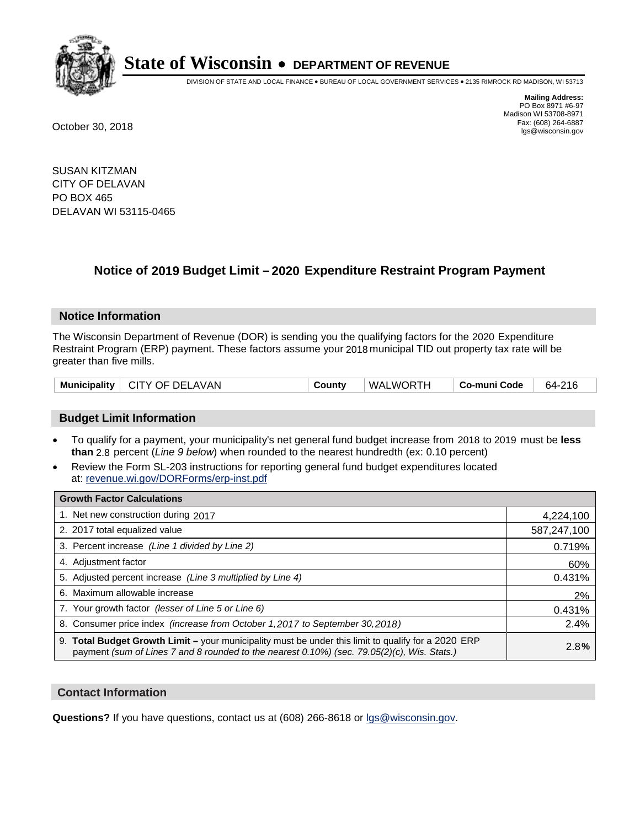

DIVISION OF STATE AND LOCAL FINANCE • BUREAU OF LOCAL GOVERNMENT SERVICES • 2135 RIMROCK RD MADISON, WI 53713

**Mailing Address:** PO Box 8971 #6-97 Madison WI 53708-8971<br>Fax: (608) 264-6887 Fax: (608) 264-6887 October 30, 2018 lgs@wisconsin.gov

SUSAN KITZMAN CITY OF DELAVAN PO BOX 465 DELAVAN WI 53115-0465

## **Notice of 2019 Budget Limit - 2020 Expenditure Restraint Program Payment**

#### **Notice Information**

The Wisconsin Department of Revenue (DOR) is sending you the qualifying factors for the 2020 Expenditure Restraint Program (ERP) payment. These factors assume your 2018 municipal TID out property tax rate will be greater than five mills.

| Municipality   CITY OF DELAVAN | County | WALWORTH | Co-muni Code | 64-216 |
|--------------------------------|--------|----------|--------------|--------|
|--------------------------------|--------|----------|--------------|--------|

#### **Budget Limit Information**

- To qualify for a payment, your municipality's net general fund budget increase from 2018 to 2019 must be less **than** 2.8 percent (*Line 9 below*) when rounded to the nearest hundredth (ex: 0.10 percent)
- Review the Form SL-203 instructions for reporting general fund budget expenditures located at: revenue.wi.gov/DORForms/erp-inst.pdf

| <b>Growth Factor Calculations</b>                                                                                                                                                                      |             |
|--------------------------------------------------------------------------------------------------------------------------------------------------------------------------------------------------------|-------------|
| 1. Net new construction during 2017                                                                                                                                                                    | 4,224,100   |
| 2. 2017 total equalized value                                                                                                                                                                          | 587,247,100 |
| 3. Percent increase (Line 1 divided by Line 2)                                                                                                                                                         | 0.719%      |
| 4. Adjustment factor                                                                                                                                                                                   | 60%         |
| 5. Adjusted percent increase (Line 3 multiplied by Line 4)                                                                                                                                             | 0.431%      |
| 6. Maximum allowable increase                                                                                                                                                                          | 2%          |
| 7. Your growth factor (lesser of Line 5 or Line 6)                                                                                                                                                     | 0.431%      |
| 8. Consumer price index (increase from October 1, 2017 to September 30, 2018)                                                                                                                          | 2.4%        |
| 9. Total Budget Growth Limit - your municipality must be under this limit to qualify for a 2020 ERP<br>payment (sum of Lines 7 and 8 rounded to the nearest $0.10\%$ ) (sec. 79.05(2)(c), Wis. Stats.) | 2.8%        |

#### **Contact Information**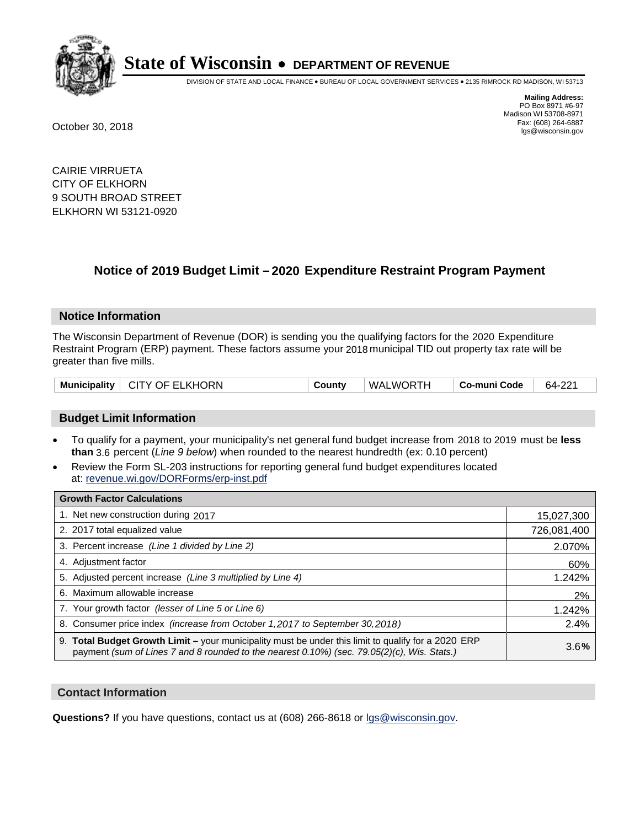

DIVISION OF STATE AND LOCAL FINANCE • BUREAU OF LOCAL GOVERNMENT SERVICES • 2135 RIMROCK RD MADISON, WI 53713

**Mailing Address:** PO Box 8971 #6-97 Madison WI 53708-8971<br>Fax: (608) 264-6887 Fax: (608) 264-6887 October 30, 2018 lgs@wisconsin.gov

CAIRIE VIRRUETA CITY OF ELKHORN 9 SOUTH BROAD STREET ELKHORN WI 53121-0920

### **Notice of 2019 Budget Limit - 2020 Expenditure Restraint Program Payment**

#### **Notice Information**

The Wisconsin Department of Revenue (DOR) is sending you the qualifying factors for the 2020 Expenditure Restraint Program (ERP) payment. These factors assume your 2018 municipal TID out property tax rate will be greater than five mills.

| Municipality   CITY OF ELKHORN | County | WALWORTH | Co-muni Code | 64-221 |
|--------------------------------|--------|----------|--------------|--------|
|--------------------------------|--------|----------|--------------|--------|

#### **Budget Limit Information**

- To qualify for a payment, your municipality's net general fund budget increase from 2018 to 2019 must be less **than** 3.6 percent (*Line 9 below*) when rounded to the nearest hundredth (ex: 0.10 percent)
- Review the Form SL-203 instructions for reporting general fund budget expenditures located at: revenue.wi.gov/DORForms/erp-inst.pdf

| <b>Growth Factor Calculations</b>                                                                                                                                                                  |             |
|----------------------------------------------------------------------------------------------------------------------------------------------------------------------------------------------------|-------------|
| 1. Net new construction during 2017                                                                                                                                                                | 15,027,300  |
| 2. 2017 total equalized value                                                                                                                                                                      | 726,081,400 |
| 3. Percent increase (Line 1 divided by Line 2)                                                                                                                                                     | 2.070%      |
| 4. Adjustment factor                                                                                                                                                                               | 60%         |
| 5. Adjusted percent increase (Line 3 multiplied by Line 4)                                                                                                                                         | 1.242%      |
| 6. Maximum allowable increase                                                                                                                                                                      | 2%          |
| 7. Your growth factor (lesser of Line 5 or Line 6)                                                                                                                                                 | 1.242%      |
| 8. Consumer price index (increase from October 1, 2017 to September 30, 2018)                                                                                                                      | 2.4%        |
| 9. Total Budget Growth Limit - your municipality must be under this limit to qualify for a 2020 ERP<br>payment (sum of Lines 7 and 8 rounded to the nearest 0.10%) (sec. 79.05(2)(c), Wis. Stats.) | 3.6%        |

#### **Contact Information**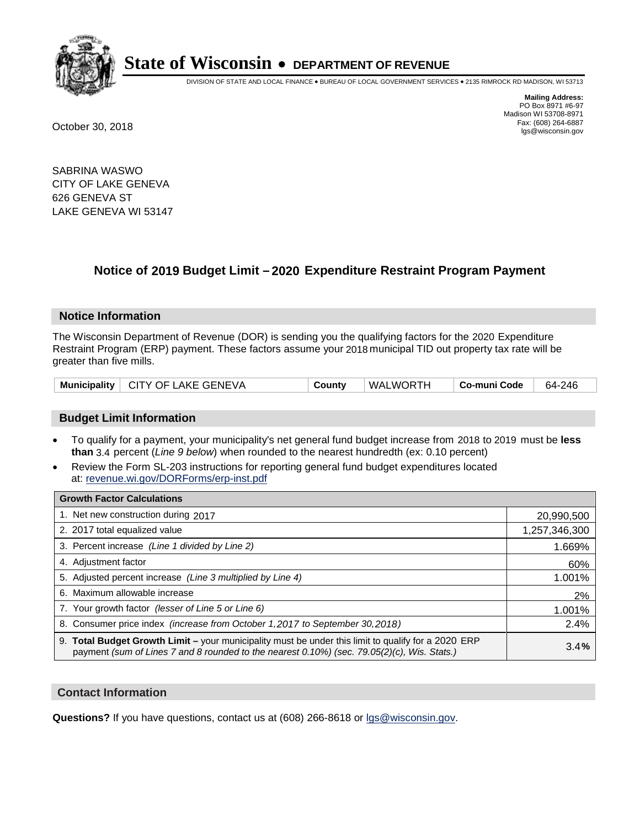

DIVISION OF STATE AND LOCAL FINANCE • BUREAU OF LOCAL GOVERNMENT SERVICES • 2135 RIMROCK RD MADISON, WI 53713

**Mailing Address:** PO Box 8971 #6-97 Madison WI 53708-8971<br>Fax: (608) 264-6887 Fax: (608) 264-6887 October 30, 2018 lgs@wisconsin.gov

SABRINA WASWO CITY OF LAKE GENEVA 626 GENEVA ST LAKE GENEVA WI 53147

### **Notice of 2019 Budget Limit - 2020 Expenditure Restraint Program Payment**

#### **Notice Information**

The Wisconsin Department of Revenue (DOR) is sending you the qualifying factors for the 2020 Expenditure Restraint Program (ERP) payment. These factors assume your 2018 municipal TID out property tax rate will be greater than five mills.

| Municipality   CITY OF LAKE GENEVA | County | WALWORTH | Co-muni Code | 64-246 |
|------------------------------------|--------|----------|--------------|--------|
|------------------------------------|--------|----------|--------------|--------|

#### **Budget Limit Information**

- To qualify for a payment, your municipality's net general fund budget increase from 2018 to 2019 must be less **than** 3.4 percent (*Line 9 below*) when rounded to the nearest hundredth (ex: 0.10 percent)
- Review the Form SL-203 instructions for reporting general fund budget expenditures located at: revenue.wi.gov/DORForms/erp-inst.pdf

| <b>Growth Factor Calculations</b>                                                                                                                                                                  |               |
|----------------------------------------------------------------------------------------------------------------------------------------------------------------------------------------------------|---------------|
| 1. Net new construction during 2017                                                                                                                                                                | 20,990,500    |
| 2. 2017 total equalized value                                                                                                                                                                      | 1,257,346,300 |
| 3. Percent increase (Line 1 divided by Line 2)                                                                                                                                                     | 1.669%        |
| 4. Adjustment factor                                                                                                                                                                               | 60%           |
| 5. Adjusted percent increase (Line 3 multiplied by Line 4)                                                                                                                                         | 1.001%        |
| Maximum allowable increase<br>6.                                                                                                                                                                   | 2%            |
| 7. Your growth factor (lesser of Line 5 or Line 6)                                                                                                                                                 | 1.001%        |
| 8. Consumer price index (increase from October 1, 2017 to September 30, 2018)                                                                                                                      | 2.4%          |
| 9. Total Budget Growth Limit - your municipality must be under this limit to qualify for a 2020 ERP<br>payment (sum of Lines 7 and 8 rounded to the nearest 0.10%) (sec. 79.05(2)(c), Wis. Stats.) | 3.4%          |

#### **Contact Information**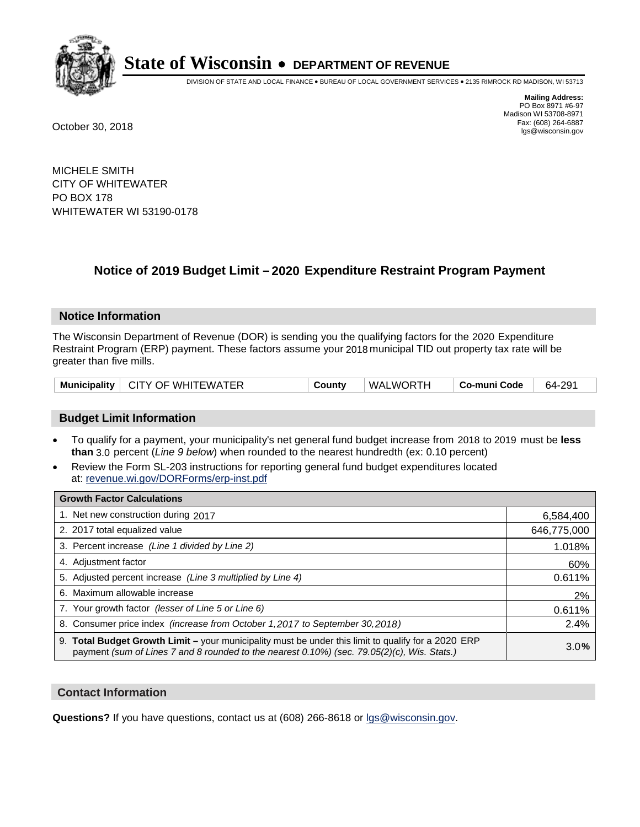

DIVISION OF STATE AND LOCAL FINANCE • BUREAU OF LOCAL GOVERNMENT SERVICES • 2135 RIMROCK RD MADISON, WI 53713

**Mailing Address:** PO Box 8971 #6-97 Madison WI 53708-8971<br>Fax: (608) 264-6887 Fax: (608) 264-6887 October 30, 2018 lgs@wisconsin.gov

MICHELE SMITH CITY OF WHITEWATER PO BOX 178 WHITEWATER WI 53190-0178

### **Notice of 2019 Budget Limit - 2020 Expenditure Restraint Program Payment**

#### **Notice Information**

The Wisconsin Department of Revenue (DOR) is sending you the qualifying factors for the 2020 Expenditure Restraint Program (ERP) payment. These factors assume your 2018 municipal TID out property tax rate will be greater than five mills.

| Municipality   CITY OF WHITEWATER | County | WALWORTH | Co-muni Code | 64-291 |
|-----------------------------------|--------|----------|--------------|--------|
|-----------------------------------|--------|----------|--------------|--------|

#### **Budget Limit Information**

- To qualify for a payment, your municipality's net general fund budget increase from 2018 to 2019 must be less **than** 3.0 percent (*Line 9 below*) when rounded to the nearest hundredth (ex: 0.10 percent)
- Review the Form SL-203 instructions for reporting general fund budget expenditures located at: revenue.wi.gov/DORForms/erp-inst.pdf

| <b>Growth Factor Calculations</b>                                                                                                                                                                      |             |
|--------------------------------------------------------------------------------------------------------------------------------------------------------------------------------------------------------|-------------|
| 1. Net new construction during 2017                                                                                                                                                                    | 6,584,400   |
| 2. 2017 total equalized value                                                                                                                                                                          | 646,775,000 |
| 3. Percent increase (Line 1 divided by Line 2)                                                                                                                                                         | 1.018%      |
| 4. Adjustment factor                                                                                                                                                                                   | 60%         |
| 5. Adjusted percent increase (Line 3 multiplied by Line 4)                                                                                                                                             | 0.611%      |
| 6. Maximum allowable increase                                                                                                                                                                          | 2%          |
| 7. Your growth factor (lesser of Line 5 or Line 6)                                                                                                                                                     | 0.611%      |
| 8. Consumer price index (increase from October 1,2017 to September 30,2018)                                                                                                                            | 2.4%        |
| 9. Total Budget Growth Limit - your municipality must be under this limit to qualify for a 2020 ERP<br>payment (sum of Lines 7 and 8 rounded to the nearest $0.10\%$ ) (sec. 79.05(2)(c), Wis. Stats.) | 3.0%        |

#### **Contact Information**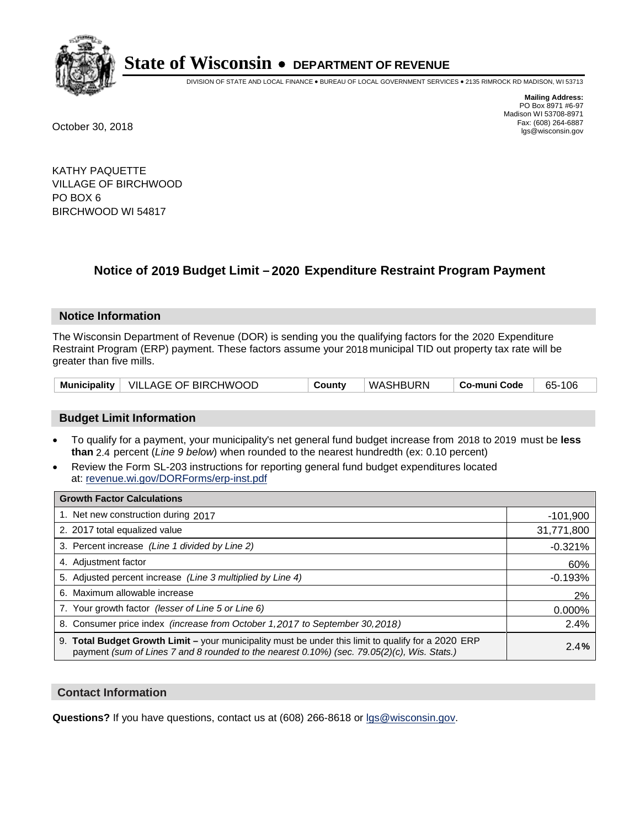

DIVISION OF STATE AND LOCAL FINANCE • BUREAU OF LOCAL GOVERNMENT SERVICES • 2135 RIMROCK RD MADISON, WI 53713

**Mailing Address:** PO Box 8971 #6-97 Madison WI 53708-8971<br>Fax: (608) 264-6887 Fax: (608) 264-6887 October 30, 2018 lgs@wisconsin.gov

KATHY PAQUETTE VILLAGE OF BIRCHWOOD PO BOX 6 BIRCHWOOD WI 54817

### **Notice of 2019 Budget Limit - 2020 Expenditure Restraint Program Payment**

#### **Notice Information**

The Wisconsin Department of Revenue (DOR) is sending you the qualifying factors for the 2020 Expenditure Restraint Program (ERP) payment. These factors assume your 2018 municipal TID out property tax rate will be greater than five mills.

|  | Municipality   VILLAGE OF BIRCHWOOD | County | WASHBURN | ∣ Co-muni Code | 65-106 |
|--|-------------------------------------|--------|----------|----------------|--------|
|--|-------------------------------------|--------|----------|----------------|--------|

#### **Budget Limit Information**

- To qualify for a payment, your municipality's net general fund budget increase from 2018 to 2019 must be less **than** 2.4 percent (*Line 9 below*) when rounded to the nearest hundredth (ex: 0.10 percent)
- Review the Form SL-203 instructions for reporting general fund budget expenditures located at: revenue.wi.gov/DORForms/erp-inst.pdf

| <b>Growth Factor Calculations</b>                                                                                                                                                                      |            |
|--------------------------------------------------------------------------------------------------------------------------------------------------------------------------------------------------------|------------|
| 1. Net new construction during 2017                                                                                                                                                                    | $-101,900$ |
| 2. 2017 total equalized value                                                                                                                                                                          | 31,771,800 |
| 3. Percent increase (Line 1 divided by Line 2)                                                                                                                                                         | $-0.321%$  |
| 4. Adjustment factor                                                                                                                                                                                   | 60%        |
| 5. Adjusted percent increase (Line 3 multiplied by Line 4)                                                                                                                                             | $-0.193%$  |
| 6. Maximum allowable increase                                                                                                                                                                          | 2%         |
| 7. Your growth factor (lesser of Line 5 or Line 6)                                                                                                                                                     | 0.000%     |
| 8. Consumer price index (increase from October 1, 2017 to September 30, 2018)                                                                                                                          | 2.4%       |
| 9. Total Budget Growth Limit - your municipality must be under this limit to qualify for a 2020 ERP<br>payment (sum of Lines 7 and 8 rounded to the nearest $0.10\%$ ) (sec. 79.05(2)(c), Wis. Stats.) | 2.4%       |

#### **Contact Information**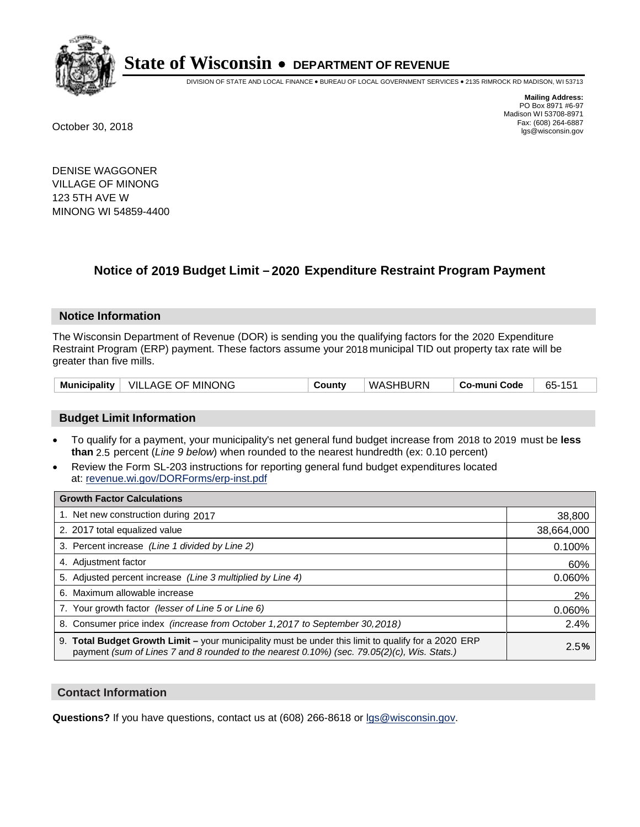

DIVISION OF STATE AND LOCAL FINANCE • BUREAU OF LOCAL GOVERNMENT SERVICES • 2135 RIMROCK RD MADISON, WI 53713

**Mailing Address:** PO Box 8971 #6-97 Madison WI 53708-8971<br>Fax: (608) 264-6887 Fax: (608) 264-6887 October 30, 2018 lgs@wisconsin.gov

DENISE WAGGONER VILLAGE OF MINONG 123 5TH AVE W MINONG WI 54859-4400

### **Notice of 2019 Budget Limit - 2020 Expenditure Restraint Program Payment**

#### **Notice Information**

The Wisconsin Department of Revenue (DOR) is sending you the qualifying factors for the 2020 Expenditure Restraint Program (ERP) payment. These factors assume your 2018 municipal TID out property tax rate will be greater than five mills.

|  | Municipality   VILLAGE OF MINONG | Countv | WASHBURN | ∣ Co-muni Code | 65-151 |
|--|----------------------------------|--------|----------|----------------|--------|
|--|----------------------------------|--------|----------|----------------|--------|

#### **Budget Limit Information**

- To qualify for a payment, your municipality's net general fund budget increase from 2018 to 2019 must be less **than** 2.5 percent (*Line 9 below*) when rounded to the nearest hundredth (ex: 0.10 percent)
- Review the Form SL-203 instructions for reporting general fund budget expenditures located at: revenue.wi.gov/DORForms/erp-inst.pdf

| <b>Growth Factor Calculations</b>                                                                                                                                                                      |            |
|--------------------------------------------------------------------------------------------------------------------------------------------------------------------------------------------------------|------------|
| 1. Net new construction during 2017                                                                                                                                                                    | 38,800     |
| 2. 2017 total equalized value                                                                                                                                                                          | 38,664,000 |
| 3. Percent increase (Line 1 divided by Line 2)                                                                                                                                                         | 0.100%     |
| 4. Adjustment factor                                                                                                                                                                                   | 60%        |
| 5. Adjusted percent increase (Line 3 multiplied by Line 4)                                                                                                                                             | 0.060%     |
| 6. Maximum allowable increase                                                                                                                                                                          | 2%         |
| 7. Your growth factor (lesser of Line 5 or Line 6)                                                                                                                                                     | 0.060%     |
| 8. Consumer price index (increase from October 1,2017 to September 30,2018)                                                                                                                            | 2.4%       |
| 9. Total Budget Growth Limit - your municipality must be under this limit to qualify for a 2020 ERP<br>payment (sum of Lines 7 and 8 rounded to the nearest $0.10\%$ ) (sec. 79.05(2)(c), Wis. Stats.) | 2.5%       |

#### **Contact Information**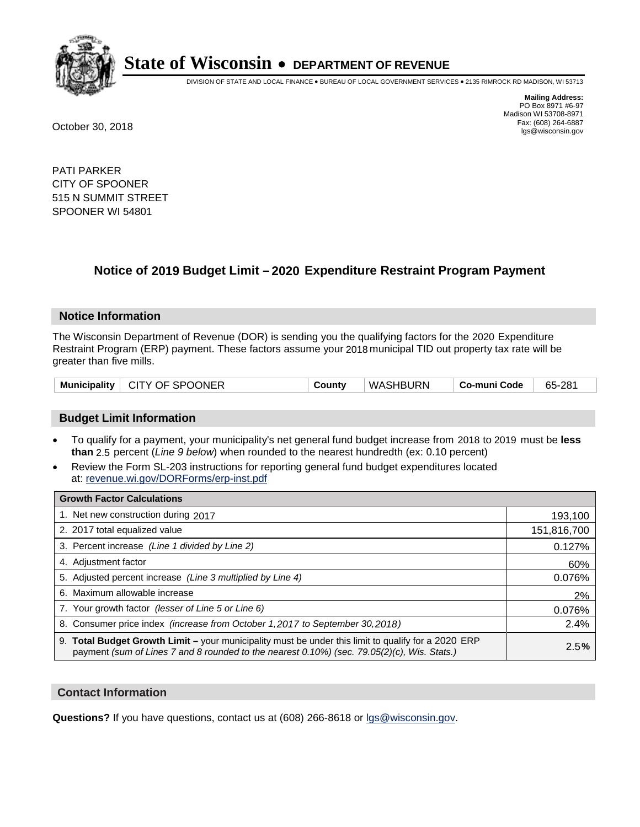

DIVISION OF STATE AND LOCAL FINANCE • BUREAU OF LOCAL GOVERNMENT SERVICES • 2135 RIMROCK RD MADISON, WI 53713

**Mailing Address:** PO Box 8971 #6-97 Madison WI 53708-8971<br>Fax: (608) 264-6887 Fax: (608) 264-6887 October 30, 2018 lgs@wisconsin.gov

PATI PARKER CITY OF SPOONER 515 N SUMMIT STREET SPOONER WI 54801

## **Notice of 2019 Budget Limit - 2020 Expenditure Restraint Program Payment**

#### **Notice Information**

The Wisconsin Department of Revenue (DOR) is sending you the qualifying factors for the 2020 Expenditure Restraint Program (ERP) payment. These factors assume your 2018 municipal TID out property tax rate will be greater than five mills.

#### **Budget Limit Information**

- To qualify for a payment, your municipality's net general fund budget increase from 2018 to 2019 must be less **than** 2.5 percent (*Line 9 below*) when rounded to the nearest hundredth (ex: 0.10 percent)
- Review the Form SL-203 instructions for reporting general fund budget expenditures located at: revenue.wi.gov/DORForms/erp-inst.pdf

| <b>Growth Factor Calculations</b>                                                                                                                                                                      |             |
|--------------------------------------------------------------------------------------------------------------------------------------------------------------------------------------------------------|-------------|
| 1. Net new construction during 2017                                                                                                                                                                    | 193,100     |
| 2. 2017 total equalized value                                                                                                                                                                          | 151,816,700 |
| 3. Percent increase (Line 1 divided by Line 2)                                                                                                                                                         | 0.127%      |
| 4. Adjustment factor                                                                                                                                                                                   | 60%         |
| 5. Adjusted percent increase (Line 3 multiplied by Line 4)                                                                                                                                             | 0.076%      |
| 6. Maximum allowable increase                                                                                                                                                                          | 2%          |
| 7. Your growth factor (lesser of Line 5 or Line 6)                                                                                                                                                     | 0.076%      |
| 8. Consumer price index (increase from October 1, 2017 to September 30, 2018)                                                                                                                          | 2.4%        |
| 9. Total Budget Growth Limit - your municipality must be under this limit to qualify for a 2020 ERP<br>payment (sum of Lines 7 and 8 rounded to the nearest $0.10\%$ ) (sec. 79.05(2)(c), Wis. Stats.) | 2.5%        |

#### **Contact Information**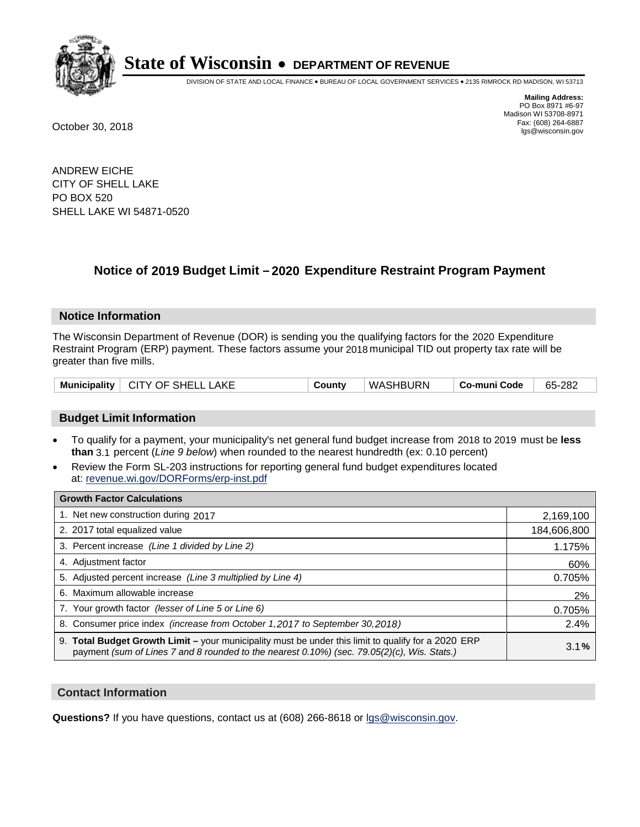

DIVISION OF STATE AND LOCAL FINANCE • BUREAU OF LOCAL GOVERNMENT SERVICES • 2135 RIMROCK RD MADISON, WI 53713

**Mailing Address:** PO Box 8971 #6-97 Madison WI 53708-8971<br>Fax: (608) 264-6887 Fax: (608) 264-6887 October 30, 2018 lgs@wisconsin.gov

ANDREW EICHE CITY OF SHELL LAKE PO BOX 520 SHELL LAKE WI 54871-0520

### **Notice of 2019 Budget Limit - 2020 Expenditure Restraint Program Payment**

#### **Notice Information**

The Wisconsin Department of Revenue (DOR) is sending you the qualifying factors for the 2020 Expenditure Restraint Program (ERP) payment. These factors assume your 2018 municipal TID out property tax rate will be greater than five mills.

| Municipality   CITY OF SHELL LAKE | County | WASHBURN | ∣ Co-muni Code | 65-282 |
|-----------------------------------|--------|----------|----------------|--------|
|-----------------------------------|--------|----------|----------------|--------|

#### **Budget Limit Information**

- To qualify for a payment, your municipality's net general fund budget increase from 2018 to 2019 must be less **than** 3.1 percent (*Line 9 below*) when rounded to the nearest hundredth (ex: 0.10 percent)
- Review the Form SL-203 instructions for reporting general fund budget expenditures located at: revenue.wi.gov/DORForms/erp-inst.pdf

| <b>Growth Factor Calculations</b>                                                                                                                                                                      |             |
|--------------------------------------------------------------------------------------------------------------------------------------------------------------------------------------------------------|-------------|
| 1. Net new construction during 2017                                                                                                                                                                    | 2,169,100   |
| 2. 2017 total equalized value                                                                                                                                                                          | 184,606,800 |
| 3. Percent increase (Line 1 divided by Line 2)                                                                                                                                                         | 1.175%      |
| 4. Adjustment factor                                                                                                                                                                                   | 60%         |
| 5. Adjusted percent increase (Line 3 multiplied by Line 4)                                                                                                                                             | 0.705%      |
| 6. Maximum allowable increase                                                                                                                                                                          | 2%          |
| 7. Your growth factor (lesser of Line 5 or Line 6)                                                                                                                                                     | 0.705%      |
| 8. Consumer price index (increase from October 1,2017 to September 30,2018)                                                                                                                            | 2.4%        |
| 9. Total Budget Growth Limit - your municipality must be under this limit to qualify for a 2020 ERP<br>payment (sum of Lines 7 and 8 rounded to the nearest $0.10\%$ ) (sec. 79.05(2)(c), Wis. Stats.) | 3.1%        |

#### **Contact Information**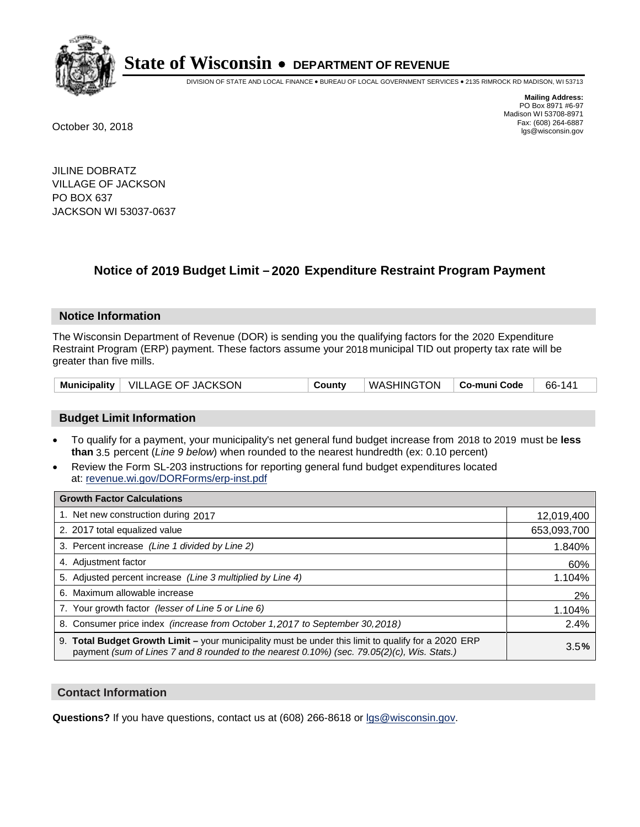

DIVISION OF STATE AND LOCAL FINANCE • BUREAU OF LOCAL GOVERNMENT SERVICES • 2135 RIMROCK RD MADISON, WI 53713

**Mailing Address:** PO Box 8971 #6-97 Madison WI 53708-8971<br>Fax: (608) 264-6887 Fax: (608) 264-6887 October 30, 2018 lgs@wisconsin.gov

JILINE DOBRATZ VILLAGE OF JACKSON PO BOX 637 JACKSON WI 53037-0637

### **Notice of 2019 Budget Limit - 2020 Expenditure Restraint Program Payment**

#### **Notice Information**

The Wisconsin Department of Revenue (DOR) is sending you the qualifying factors for the 2020 Expenditure Restraint Program (ERP) payment. These factors assume your 2018 municipal TID out property tax rate will be greater than five mills.

| Municipality   VILLAGE OF JACKSON | County | WASHINGTON   Co-muni Code |  | 66-141 |
|-----------------------------------|--------|---------------------------|--|--------|
|-----------------------------------|--------|---------------------------|--|--------|

#### **Budget Limit Information**

- To qualify for a payment, your municipality's net general fund budget increase from 2018 to 2019 must be less **than** 3.5 percent (*Line 9 below*) when rounded to the nearest hundredth (ex: 0.10 percent)
- Review the Form SL-203 instructions for reporting general fund budget expenditures located at: revenue.wi.gov/DORForms/erp-inst.pdf

| <b>Growth Factor Calculations</b>                                                                                                                                                                  |             |
|----------------------------------------------------------------------------------------------------------------------------------------------------------------------------------------------------|-------------|
| 1. Net new construction during 2017                                                                                                                                                                | 12,019,400  |
| 2. 2017 total equalized value                                                                                                                                                                      | 653,093,700 |
| 3. Percent increase (Line 1 divided by Line 2)                                                                                                                                                     | 1.840%      |
| 4. Adjustment factor                                                                                                                                                                               | 60%         |
| 5. Adjusted percent increase (Line 3 multiplied by Line 4)                                                                                                                                         | 1.104%      |
| 6. Maximum allowable increase                                                                                                                                                                      | 2%          |
| 7. Your growth factor (lesser of Line 5 or Line 6)                                                                                                                                                 | 1.104%      |
| 8. Consumer price index (increase from October 1,2017 to September 30,2018)                                                                                                                        | 2.4%        |
| 9. Total Budget Growth Limit - your municipality must be under this limit to qualify for a 2020 ERP<br>payment (sum of Lines 7 and 8 rounded to the nearest 0.10%) (sec. 79.05(2)(c), Wis. Stats.) | 3.5%        |

#### **Contact Information**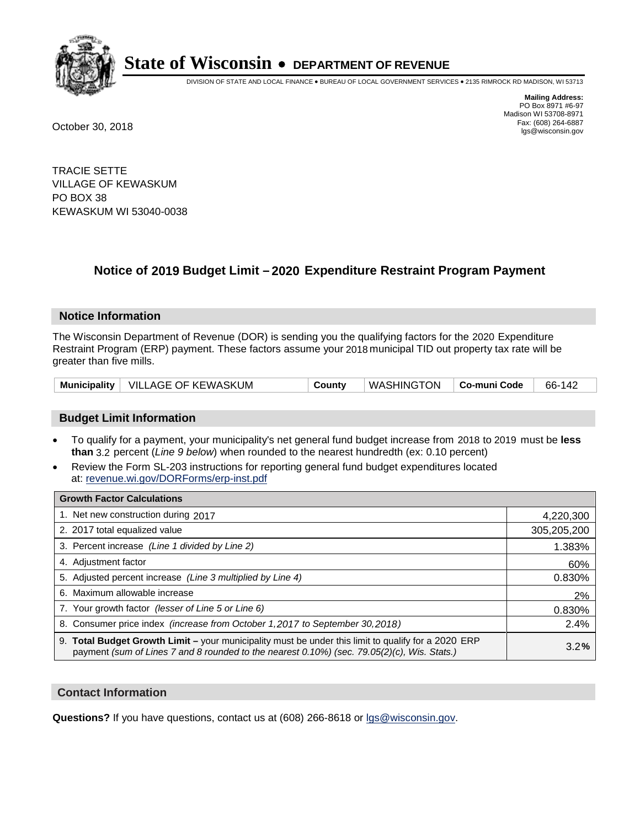

DIVISION OF STATE AND LOCAL FINANCE • BUREAU OF LOCAL GOVERNMENT SERVICES • 2135 RIMROCK RD MADISON, WI 53713

**Mailing Address:** PO Box 8971 #6-97 Madison WI 53708-8971<br>Fax: (608) 264-6887 Fax: (608) 264-6887 October 30, 2018 lgs@wisconsin.gov

TRACIE SETTE VILLAGE OF KEWASKUM PO BOX 38 KEWASKUM WI 53040-0038

## **Notice of 2019 Budget Limit - 2020 Expenditure Restraint Program Payment**

#### **Notice Information**

The Wisconsin Department of Revenue (DOR) is sending you the qualifying factors for the 2020 Expenditure Restraint Program (ERP) payment. These factors assume your 2018 municipal TID out property tax rate will be greater than five mills.

|  | Municipality   VILLAGE OF KEWASKUM | County | $\parallel$ WASHINGTON $\parallel$ Co-muni Code $\parallel$ |  | 66-142 |
|--|------------------------------------|--------|-------------------------------------------------------------|--|--------|
|--|------------------------------------|--------|-------------------------------------------------------------|--|--------|

#### **Budget Limit Information**

- To qualify for a payment, your municipality's net general fund budget increase from 2018 to 2019 must be less **than** 3.2 percent (*Line 9 below*) when rounded to the nearest hundredth (ex: 0.10 percent)
- Review the Form SL-203 instructions for reporting general fund budget expenditures located at: revenue.wi.gov/DORForms/erp-inst.pdf

| <b>Growth Factor Calculations</b>                                                                                                                                                                      |             |
|--------------------------------------------------------------------------------------------------------------------------------------------------------------------------------------------------------|-------------|
| 1. Net new construction during 2017                                                                                                                                                                    | 4,220,300   |
| 2. 2017 total equalized value                                                                                                                                                                          | 305,205,200 |
| 3. Percent increase (Line 1 divided by Line 2)                                                                                                                                                         | 1.383%      |
| 4. Adjustment factor                                                                                                                                                                                   | 60%         |
| 5. Adjusted percent increase (Line 3 multiplied by Line 4)                                                                                                                                             | 0.830%      |
| 6. Maximum allowable increase                                                                                                                                                                          | 2%          |
| 7. Your growth factor (lesser of Line 5 or Line 6)                                                                                                                                                     | 0.830%      |
| 8. Consumer price index (increase from October 1,2017 to September 30,2018)                                                                                                                            | 2.4%        |
| 9. Total Budget Growth Limit - your municipality must be under this limit to qualify for a 2020 ERP<br>payment (sum of Lines 7 and 8 rounded to the nearest $0.10\%$ ) (sec. 79.05(2)(c), Wis. Stats.) | 3.2%        |

#### **Contact Information**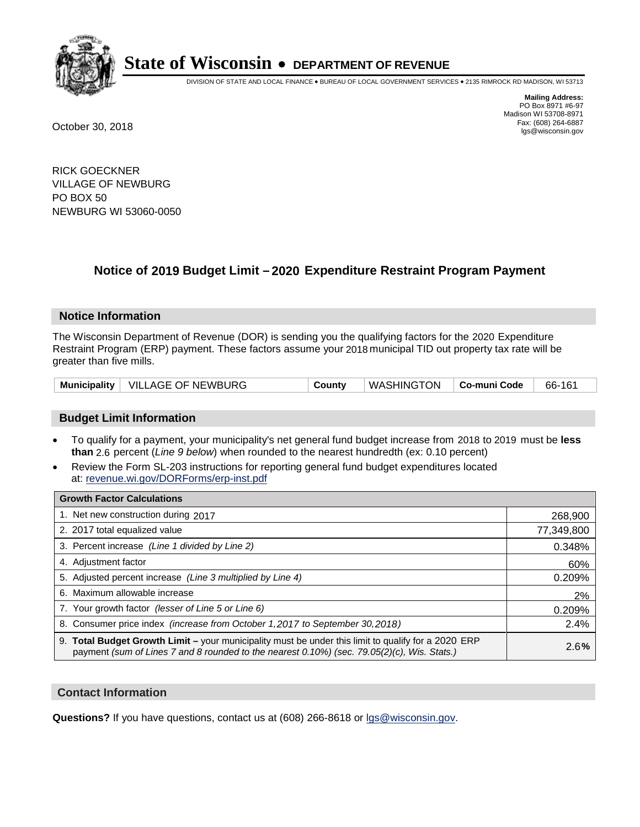

DIVISION OF STATE AND LOCAL FINANCE • BUREAU OF LOCAL GOVERNMENT SERVICES • 2135 RIMROCK RD MADISON, WI 53713

**Mailing Address:** PO Box 8971 #6-97 Madison WI 53708-8971<br>Fax: (608) 264-6887 Fax: (608) 264-6887 October 30, 2018 lgs@wisconsin.gov

RICK GOECKNER VILLAGE OF NEWBURG PO BOX 50 NEWBURG WI 53060-0050

## **Notice of 2019 Budget Limit - 2020 Expenditure Restraint Program Payment**

#### **Notice Information**

The Wisconsin Department of Revenue (DOR) is sending you the qualifying factors for the 2020 Expenditure Restraint Program (ERP) payment. These factors assume your 2018 municipal TID out property tax rate will be greater than five mills.

| Municipality   VILLAGE OF NEWBURG | County | WASHINGTON   Co-muni Code |  | 66-161 |
|-----------------------------------|--------|---------------------------|--|--------|
|-----------------------------------|--------|---------------------------|--|--------|

#### **Budget Limit Information**

- To qualify for a payment, your municipality's net general fund budget increase from 2018 to 2019 must be less **than** 2.6 percent (*Line 9 below*) when rounded to the nearest hundredth (ex: 0.10 percent)
- Review the Form SL-203 instructions for reporting general fund budget expenditures located at: revenue.wi.gov/DORForms/erp-inst.pdf

| <b>Growth Factor Calculations</b>                                                                                                                                                                      |            |
|--------------------------------------------------------------------------------------------------------------------------------------------------------------------------------------------------------|------------|
| 1. Net new construction during 2017                                                                                                                                                                    | 268,900    |
| 2. 2017 total equalized value                                                                                                                                                                          | 77,349,800 |
| 3. Percent increase (Line 1 divided by Line 2)                                                                                                                                                         | 0.348%     |
| 4. Adjustment factor                                                                                                                                                                                   | 60%        |
| 5. Adjusted percent increase (Line 3 multiplied by Line 4)                                                                                                                                             | 0.209%     |
| 6. Maximum allowable increase                                                                                                                                                                          | 2%         |
| 7. Your growth factor (lesser of Line 5 or Line 6)                                                                                                                                                     | 0.209%     |
| 8. Consumer price index (increase from October 1,2017 to September 30,2018)                                                                                                                            | 2.4%       |
| 9. Total Budget Growth Limit - your municipality must be under this limit to qualify for a 2020 ERP<br>payment (sum of Lines 7 and 8 rounded to the nearest $0.10\%$ ) (sec. 79.05(2)(c), Wis. Stats.) | 2.6%       |

#### **Contact Information**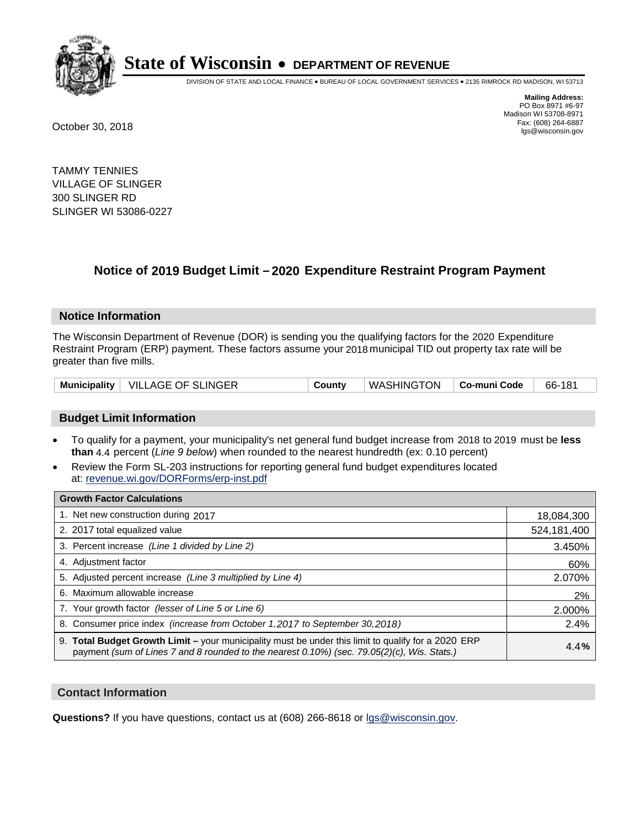

DIVISION OF STATE AND LOCAL FINANCE • BUREAU OF LOCAL GOVERNMENT SERVICES • 2135 RIMROCK RD MADISON, WI 53713

**Mailing Address:** PO Box 8971 #6-97 Madison WI 53708-8971<br>Fax: (608) 264-6887 Fax: (608) 264-6887 October 30, 2018 lgs@wisconsin.gov

TAMMY TENNIES VILLAGE OF SLINGER 300 SLINGER RD SLINGER WI 53086-0227

## **Notice of 2019 Budget Limit - 2020 Expenditure Restraint Program Payment**

#### **Notice Information**

The Wisconsin Department of Revenue (DOR) is sending you the qualifying factors for the 2020 Expenditure Restraint Program (ERP) payment. These factors assume your 2018 municipal TID out property tax rate will be greater than five mills.

|  | Municipality   VILLAGE OF SLINGER | Countv | WASHINGTON   Co-muni Code |  | 66-181 |
|--|-----------------------------------|--------|---------------------------|--|--------|
|--|-----------------------------------|--------|---------------------------|--|--------|

#### **Budget Limit Information**

- To qualify for a payment, your municipality's net general fund budget increase from 2018 to 2019 must be less **than** 4.4 percent (*Line 9 below*) when rounded to the nearest hundredth (ex: 0.10 percent)
- Review the Form SL-203 instructions for reporting general fund budget expenditures located at: revenue.wi.gov/DORForms/erp-inst.pdf

| <b>Growth Factor Calculations</b>                                                                                                                                                                      |             |
|--------------------------------------------------------------------------------------------------------------------------------------------------------------------------------------------------------|-------------|
| 1. Net new construction during 2017                                                                                                                                                                    | 18,084,300  |
| 2. 2017 total equalized value                                                                                                                                                                          | 524,181,400 |
| 3. Percent increase (Line 1 divided by Line 2)                                                                                                                                                         | 3.450%      |
| 4. Adjustment factor                                                                                                                                                                                   | 60%         |
| 5. Adjusted percent increase (Line 3 multiplied by Line 4)                                                                                                                                             | 2.070%      |
| 6. Maximum allowable increase                                                                                                                                                                          | 2%          |
| 7. Your growth factor (lesser of Line 5 or Line 6)                                                                                                                                                     | 2.000%      |
| 8. Consumer price index (increase from October 1,2017 to September 30,2018)                                                                                                                            | 2.4%        |
| 9. Total Budget Growth Limit - your municipality must be under this limit to qualify for a 2020 ERP<br>payment (sum of Lines 7 and 8 rounded to the nearest $0.10\%$ ) (sec. 79.05(2)(c), Wis. Stats.) | 4.4%        |

#### **Contact Information**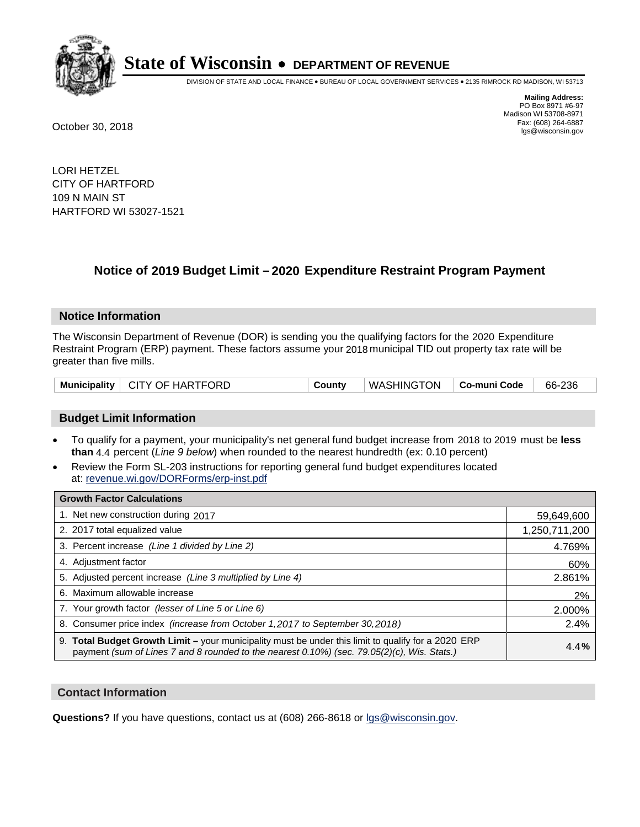

DIVISION OF STATE AND LOCAL FINANCE • BUREAU OF LOCAL GOVERNMENT SERVICES • 2135 RIMROCK RD MADISON, WI 53713

**Mailing Address:** PO Box 8971 #6-97 Madison WI 53708-8971<br>Fax: (608) 264-6887 Fax: (608) 264-6887 October 30, 2018 lgs@wisconsin.gov

LORI HETZEL CITY OF HARTFORD 109 N MAIN ST HARTFORD WI 53027-1521

## **Notice of 2019 Budget Limit - 2020 Expenditure Restraint Program Payment**

#### **Notice Information**

The Wisconsin Department of Revenue (DOR) is sending you the qualifying factors for the 2020 Expenditure Restraint Program (ERP) payment. These factors assume your 2018 municipal TID out property tax rate will be greater than five mills.

|  | Municipality   CITY OF HARTFORD | County | WASHINGTON   Co-muni Code |  | 66-236 |
|--|---------------------------------|--------|---------------------------|--|--------|
|--|---------------------------------|--------|---------------------------|--|--------|

#### **Budget Limit Information**

- To qualify for a payment, your municipality's net general fund budget increase from 2018 to 2019 must be less **than** 4.4 percent (*Line 9 below*) when rounded to the nearest hundredth (ex: 0.10 percent)
- Review the Form SL-203 instructions for reporting general fund budget expenditures located at: revenue.wi.gov/DORForms/erp-inst.pdf

| <b>Growth Factor Calculations</b>                                                                                                                                                                      |               |
|--------------------------------------------------------------------------------------------------------------------------------------------------------------------------------------------------------|---------------|
| 1. Net new construction during 2017                                                                                                                                                                    | 59,649,600    |
| 2. 2017 total equalized value                                                                                                                                                                          | 1,250,711,200 |
| 3. Percent increase (Line 1 divided by Line 2)                                                                                                                                                         | 4.769%        |
| 4. Adjustment factor                                                                                                                                                                                   | 60%           |
| 5. Adjusted percent increase (Line 3 multiplied by Line 4)                                                                                                                                             | 2.861%        |
| 6. Maximum allowable increase                                                                                                                                                                          | 2%            |
| 7. Your growth factor (lesser of Line 5 or Line 6)                                                                                                                                                     | 2.000%        |
| 8. Consumer price index (increase from October 1,2017 to September 30,2018)                                                                                                                            | 2.4%          |
| 9. Total Budget Growth Limit - your municipality must be under this limit to qualify for a 2020 ERP<br>payment (sum of Lines 7 and 8 rounded to the nearest $0.10\%$ ) (sec. 79.05(2)(c), Wis. Stats.) | 4.4%          |

#### **Contact Information**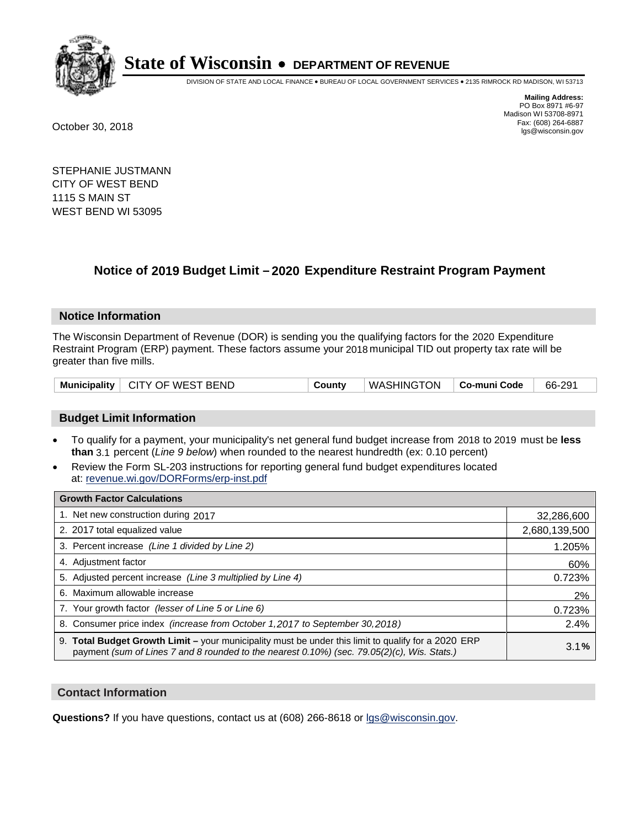

DIVISION OF STATE AND LOCAL FINANCE • BUREAU OF LOCAL GOVERNMENT SERVICES • 2135 RIMROCK RD MADISON, WI 53713

**Mailing Address:** PO Box 8971 #6-97 Madison WI 53708-8971<br>Fax: (608) 264-6887 Fax: (608) 264-6887 October 30, 2018 lgs@wisconsin.gov

STEPHANIE JUSTMANN CITY OF WEST BEND 1115 S MAIN ST WEST BEND WI 53095

## **Notice of 2019 Budget Limit - 2020 Expenditure Restraint Program Payment**

#### **Notice Information**

The Wisconsin Department of Revenue (DOR) is sending you the qualifying factors for the 2020 Expenditure Restraint Program (ERP) payment. These factors assume your 2018 municipal TID out property tax rate will be greater than five mills.

| Municipality   CITY OF WEST BEND | County | WASHINGTON   Co-muni Code |  | 66-291 |
|----------------------------------|--------|---------------------------|--|--------|
|----------------------------------|--------|---------------------------|--|--------|

#### **Budget Limit Information**

- To qualify for a payment, your municipality's net general fund budget increase from 2018 to 2019 must be less **than** 3.1 percent (*Line 9 below*) when rounded to the nearest hundredth (ex: 0.10 percent)
- Review the Form SL-203 instructions for reporting general fund budget expenditures located at: revenue.wi.gov/DORForms/erp-inst.pdf

| <b>Growth Factor Calculations</b>                                                                                                                                                                  |               |
|----------------------------------------------------------------------------------------------------------------------------------------------------------------------------------------------------|---------------|
| 1. Net new construction during 2017                                                                                                                                                                | 32,286,600    |
| 2. 2017 total equalized value                                                                                                                                                                      | 2,680,139,500 |
| 3. Percent increase (Line 1 divided by Line 2)                                                                                                                                                     | 1.205%        |
| 4. Adjustment factor                                                                                                                                                                               | 60%           |
| 5. Adjusted percent increase (Line 3 multiplied by Line 4)                                                                                                                                         | 0.723%        |
| 6. Maximum allowable increase                                                                                                                                                                      | 2%            |
| 7. Your growth factor (lesser of Line 5 or Line 6)                                                                                                                                                 | 0.723%        |
| 8. Consumer price index (increase from October 1, 2017 to September 30, 2018)                                                                                                                      | 2.4%          |
| 9. Total Budget Growth Limit - your municipality must be under this limit to qualify for a 2020 ERP<br>payment (sum of Lines 7 and 8 rounded to the nearest 0.10%) (sec. 79.05(2)(c), Wis. Stats.) | 3.1%          |

#### **Contact Information**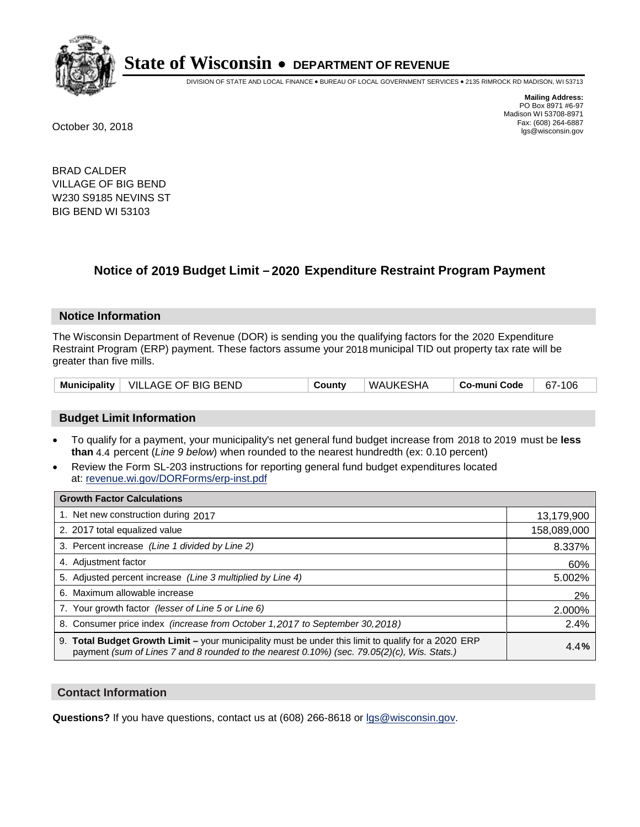

DIVISION OF STATE AND LOCAL FINANCE • BUREAU OF LOCAL GOVERNMENT SERVICES • 2135 RIMROCK RD MADISON, WI 53713

**Mailing Address:** PO Box 8971 #6-97 Madison WI 53708-8971<br>Fax: (608) 264-6887 Fax: (608) 264-6887 October 30, 2018 lgs@wisconsin.gov

BRAD CALDER VILLAGE OF BIG BEND W230 S9185 NEVINS ST BIG BEND WI 53103

## **Notice of 2019 Budget Limit - 2020 Expenditure Restraint Program Payment**

#### **Notice Information**

The Wisconsin Department of Revenue (DOR) is sending you the qualifying factors for the 2020 Expenditure Restraint Program (ERP) payment. These factors assume your 2018 municipal TID out property tax rate will be greater than five mills.

| <b>Municipality</b> | VILLAGE OF BIG BEND | County | WAUKESHA | Co-muni Code | 106<br>$67 -$ |
|---------------------|---------------------|--------|----------|--------------|---------------|
|---------------------|---------------------|--------|----------|--------------|---------------|

#### **Budget Limit Information**

- To qualify for a payment, your municipality's net general fund budget increase from 2018 to 2019 must be less **than** 4.4 percent (*Line 9 below*) when rounded to the nearest hundredth (ex: 0.10 percent)
- Review the Form SL-203 instructions for reporting general fund budget expenditures located at: revenue.wi.gov/DORForms/erp-inst.pdf

| <b>Growth Factor Calculations</b>                                                                                                                                                                  |             |
|----------------------------------------------------------------------------------------------------------------------------------------------------------------------------------------------------|-------------|
| 1. Net new construction during 2017                                                                                                                                                                | 13,179,900  |
| 2. 2017 total equalized value                                                                                                                                                                      | 158,089,000 |
| 3. Percent increase (Line 1 divided by Line 2)                                                                                                                                                     | 8.337%      |
| 4. Adjustment factor                                                                                                                                                                               | 60%         |
| 5. Adjusted percent increase (Line 3 multiplied by Line 4)                                                                                                                                         | 5.002%      |
| 6. Maximum allowable increase                                                                                                                                                                      | 2%          |
| 7. Your growth factor (lesser of Line 5 or Line 6)                                                                                                                                                 | 2.000%      |
| 8. Consumer price index (increase from October 1,2017 to September 30,2018)                                                                                                                        | 2.4%        |
| 9. Total Budget Growth Limit - your municipality must be under this limit to qualify for a 2020 ERP<br>payment (sum of Lines 7 and 8 rounded to the nearest 0.10%) (sec. 79.05(2)(c), Wis. Stats.) | 4.4%        |

#### **Contact Information**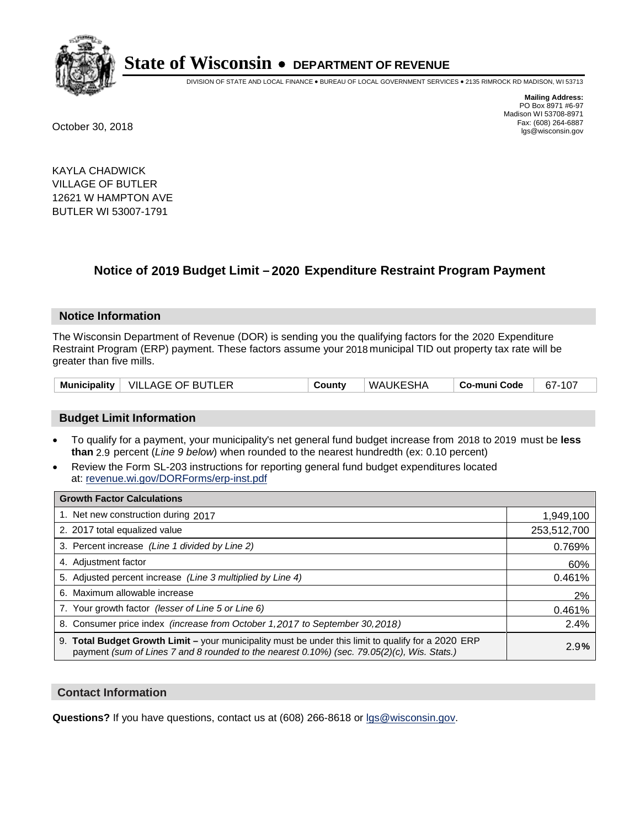

DIVISION OF STATE AND LOCAL FINANCE • BUREAU OF LOCAL GOVERNMENT SERVICES • 2135 RIMROCK RD MADISON, WI 53713

**Mailing Address:** PO Box 8971 #6-97 Madison WI 53708-8971<br>Fax: (608) 264-6887 Fax: (608) 264-6887 October 30, 2018 lgs@wisconsin.gov

KAYLA CHADWICK VILLAGE OF BUTLER 12621 W HAMPTON AVE BUTLER WI 53007-1791

## **Notice of 2019 Budget Limit - 2020 Expenditure Restraint Program Payment**

#### **Notice Information**

The Wisconsin Department of Revenue (DOR) is sending you the qualifying factors for the 2020 Expenditure Restraint Program (ERP) payment. These factors assume your 2018 municipal TID out property tax rate will be greater than five mills.

|  | Municipality   VILLAGE OF BUTLER | County | WAUKESHA | Co-muni Code | 67-107 |
|--|----------------------------------|--------|----------|--------------|--------|
|--|----------------------------------|--------|----------|--------------|--------|

#### **Budget Limit Information**

- To qualify for a payment, your municipality's net general fund budget increase from 2018 to 2019 must be less **than** 2.9 percent (*Line 9 below*) when rounded to the nearest hundredth (ex: 0.10 percent)
- Review the Form SL-203 instructions for reporting general fund budget expenditures located at: revenue.wi.gov/DORForms/erp-inst.pdf

| <b>Growth Factor Calculations</b>                                                                                                                                                                      |             |
|--------------------------------------------------------------------------------------------------------------------------------------------------------------------------------------------------------|-------------|
| 1. Net new construction during 2017                                                                                                                                                                    | 1,949,100   |
| 2. 2017 total equalized value                                                                                                                                                                          | 253,512,700 |
| 3. Percent increase (Line 1 divided by Line 2)                                                                                                                                                         | 0.769%      |
| 4. Adjustment factor                                                                                                                                                                                   | 60%         |
| 5. Adjusted percent increase (Line 3 multiplied by Line 4)                                                                                                                                             | 0.461%      |
| 6. Maximum allowable increase                                                                                                                                                                          | 2%          |
| 7. Your growth factor (lesser of Line 5 or Line 6)                                                                                                                                                     | 0.461%      |
| 8. Consumer price index (increase from October 1,2017 to September 30,2018)                                                                                                                            | 2.4%        |
| 9. Total Budget Growth Limit - your municipality must be under this limit to qualify for a 2020 ERP<br>payment (sum of Lines 7 and 8 rounded to the nearest $0.10\%$ ) (sec. 79.05(2)(c), Wis. Stats.) | 2.9%        |

#### **Contact Information**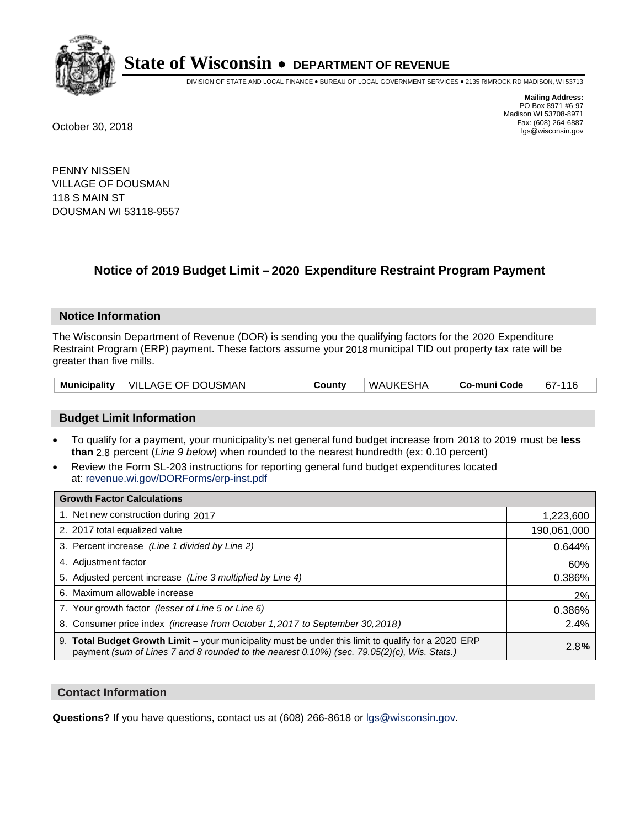

DIVISION OF STATE AND LOCAL FINANCE • BUREAU OF LOCAL GOVERNMENT SERVICES • 2135 RIMROCK RD MADISON, WI 53713

**Mailing Address:** PO Box 8971 #6-97 Madison WI 53708-8971<br>Fax: (608) 264-6887 Fax: (608) 264-6887 October 30, 2018 lgs@wisconsin.gov

PENNY NISSEN VILLAGE OF DOUSMAN 118 S MAIN ST DOUSMAN WI 53118-9557

## **Notice of 2019 Budget Limit - 2020 Expenditure Restraint Program Payment**

#### **Notice Information**

The Wisconsin Department of Revenue (DOR) is sending you the qualifying factors for the 2020 Expenditure Restraint Program (ERP) payment. These factors assume your 2018 municipal TID out property tax rate will be greater than five mills.

|  | Municipality   VILLAGE OF DOUSMAN | County | WAUKESHA | Co-muni Code | 67-116 |
|--|-----------------------------------|--------|----------|--------------|--------|
|--|-----------------------------------|--------|----------|--------------|--------|

#### **Budget Limit Information**

- To qualify for a payment, your municipality's net general fund budget increase from 2018 to 2019 must be less **than** 2.8 percent (*Line 9 below*) when rounded to the nearest hundredth (ex: 0.10 percent)
- Review the Form SL-203 instructions for reporting general fund budget expenditures located at: revenue.wi.gov/DORForms/erp-inst.pdf

| <b>Growth Factor Calculations</b>                                                                                                                                                                  |             |
|----------------------------------------------------------------------------------------------------------------------------------------------------------------------------------------------------|-------------|
| 1. Net new construction during 2017                                                                                                                                                                | 1,223,600   |
| 2. 2017 total equalized value                                                                                                                                                                      | 190,061,000 |
| 3. Percent increase (Line 1 divided by Line 2)                                                                                                                                                     | 0.644%      |
| 4. Adjustment factor                                                                                                                                                                               | 60%         |
| 5. Adjusted percent increase (Line 3 multiplied by Line 4)                                                                                                                                         | 0.386%      |
| 6. Maximum allowable increase                                                                                                                                                                      | 2%          |
| 7. Your growth factor (lesser of Line 5 or Line 6)                                                                                                                                                 | 0.386%      |
| 8. Consumer price index (increase from October 1, 2017 to September 30, 2018)                                                                                                                      | 2.4%        |
| 9. Total Budget Growth Limit - your municipality must be under this limit to qualify for a 2020 ERP<br>payment (sum of Lines 7 and 8 rounded to the nearest 0.10%) (sec. 79.05(2)(c), Wis. Stats.) | 2.8%        |

#### **Contact Information**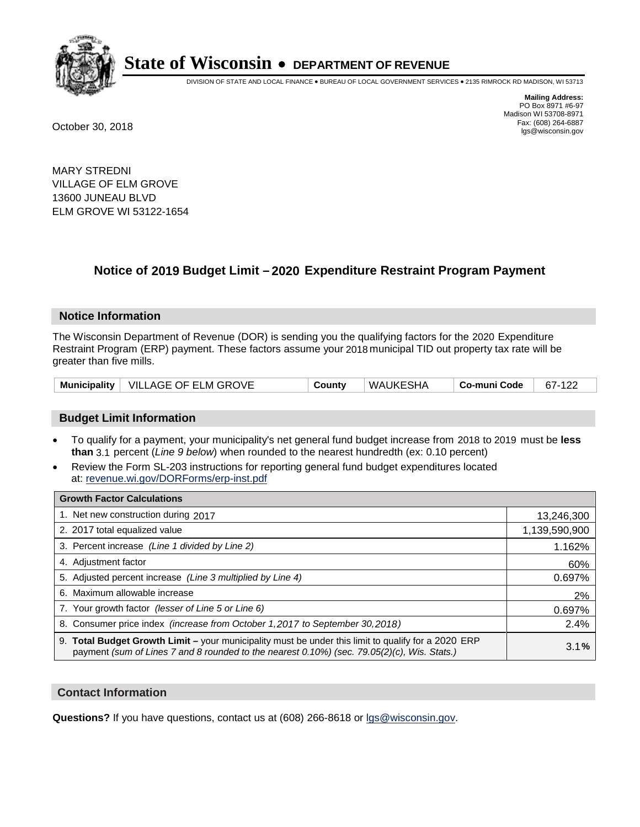

DIVISION OF STATE AND LOCAL FINANCE • BUREAU OF LOCAL GOVERNMENT SERVICES • 2135 RIMROCK RD MADISON, WI 53713

**Mailing Address:** PO Box 8971 #6-97 Madison WI 53708-8971<br>Fax: (608) 264-6887 Fax: (608) 264-6887 October 30, 2018 lgs@wisconsin.gov

MARY STREDNI VILLAGE OF ELM GROVE 13600 JUNEAU BLVD ELM GROVE WI 53122-1654

## **Notice of 2019 Budget Limit - 2020 Expenditure Restraint Program Payment**

#### **Notice Information**

The Wisconsin Department of Revenue (DOR) is sending you the qualifying factors for the 2020 Expenditure Restraint Program (ERP) payment. These factors assume your 2018 municipal TID out property tax rate will be greater than five mills.

|  | Municipality   VILLAGE OF ELM GROVE | County | WAUKESHA | Co-muni Code | 67-122 |
|--|-------------------------------------|--------|----------|--------------|--------|
|--|-------------------------------------|--------|----------|--------------|--------|

#### **Budget Limit Information**

- To qualify for a payment, your municipality's net general fund budget increase from 2018 to 2019 must be less **than** 3.1 percent (*Line 9 below*) when rounded to the nearest hundredth (ex: 0.10 percent)
- Review the Form SL-203 instructions for reporting general fund budget expenditures located at: revenue.wi.gov/DORForms/erp-inst.pdf

| <b>Growth Factor Calculations</b>                                                                                                                                                                  |               |
|----------------------------------------------------------------------------------------------------------------------------------------------------------------------------------------------------|---------------|
| 1. Net new construction during 2017                                                                                                                                                                | 13,246,300    |
| 2. 2017 total equalized value                                                                                                                                                                      | 1,139,590,900 |
| 3. Percent increase (Line 1 divided by Line 2)                                                                                                                                                     | 1.162%        |
| 4. Adjustment factor                                                                                                                                                                               | 60%           |
| 5. Adjusted percent increase (Line 3 multiplied by Line 4)                                                                                                                                         | 0.697%        |
| 6. Maximum allowable increase                                                                                                                                                                      | 2%            |
| 7. Your growth factor (lesser of Line 5 or Line 6)                                                                                                                                                 | 0.697%        |
| 8. Consumer price index (increase from October 1,2017 to September 30,2018)                                                                                                                        | 2.4%          |
| 9. Total Budget Growth Limit - your municipality must be under this limit to qualify for a 2020 ERP<br>payment (sum of Lines 7 and 8 rounded to the nearest 0.10%) (sec. 79.05(2)(c), Wis. Stats.) | 3.1%          |

#### **Contact Information**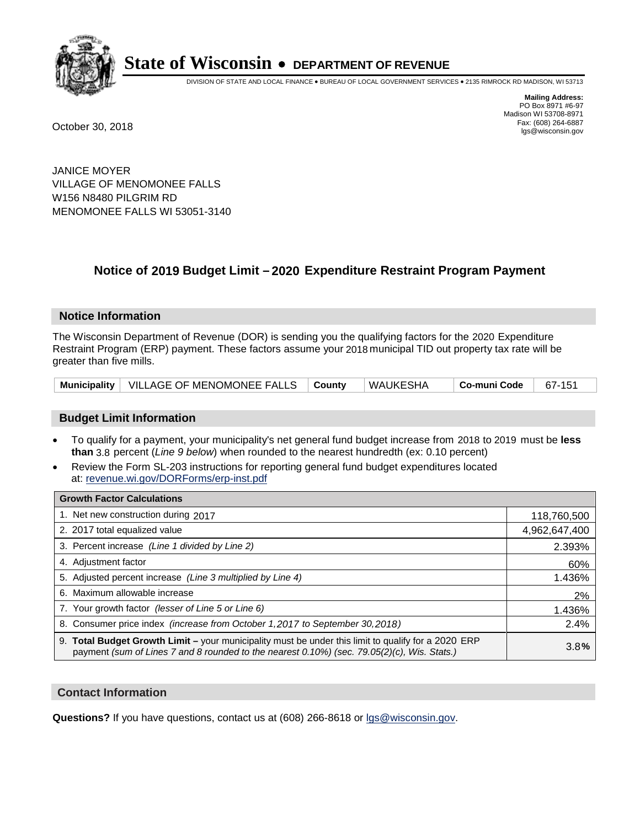

DIVISION OF STATE AND LOCAL FINANCE • BUREAU OF LOCAL GOVERNMENT SERVICES • 2135 RIMROCK RD MADISON, WI 53713

**Mailing Address:** PO Box 8971 #6-97 Madison WI 53708-8971<br>Fax: (608) 264-6887 Fax: (608) 264-6887 October 30, 2018 lgs@wisconsin.gov

JANICE MOYER VILLAGE OF MENOMONEE FALLS W156 N8480 PILGRIM RD MENOMONEE FALLS WI 53051-3140

### **Notice of 2019 Budget Limit - 2020 Expenditure Restraint Program Payment**

#### **Notice Information**

The Wisconsin Department of Revenue (DOR) is sending you the qualifying factors for the 2020 Expenditure Restraint Program (ERP) payment. These factors assume your 2018 municipal TID out property tax rate will be greater than five mills.

| Municipality   VILLAGE OF MENOMONEE FALLS   County |  | ∣WAUKESHA | $\mid$ Co-muni Code $\mid$ 67-151 |  |
|----------------------------------------------------|--|-----------|-----------------------------------|--|
|----------------------------------------------------|--|-----------|-----------------------------------|--|

#### **Budget Limit Information**

- To qualify for a payment, your municipality's net general fund budget increase from 2018 to 2019 must be less **than** 3.8 percent (*Line 9 below*) when rounded to the nearest hundredth (ex: 0.10 percent)
- Review the Form SL-203 instructions for reporting general fund budget expenditures located at: revenue.wi.gov/DORForms/erp-inst.pdf

| <b>Growth Factor Calculations</b>                                                                                                                                                                      |               |
|--------------------------------------------------------------------------------------------------------------------------------------------------------------------------------------------------------|---------------|
| 1. Net new construction during 2017                                                                                                                                                                    | 118,760,500   |
| 2. 2017 total equalized value                                                                                                                                                                          | 4,962,647,400 |
| 3. Percent increase (Line 1 divided by Line 2)                                                                                                                                                         | 2.393%        |
| 4. Adjustment factor                                                                                                                                                                                   | 60%           |
| 5. Adjusted percent increase (Line 3 multiplied by Line 4)                                                                                                                                             | 1.436%        |
| 6. Maximum allowable increase                                                                                                                                                                          | 2%            |
| 7. Your growth factor (lesser of Line 5 or Line 6)                                                                                                                                                     | 1.436%        |
| 8. Consumer price index (increase from October 1,2017 to September 30,2018)                                                                                                                            | 2.4%          |
| 9. Total Budget Growth Limit - your municipality must be under this limit to qualify for a 2020 ERP<br>payment (sum of Lines 7 and 8 rounded to the nearest $0.10\%$ ) (sec. 79.05(2)(c), Wis. Stats.) | 3.8%          |

#### **Contact Information**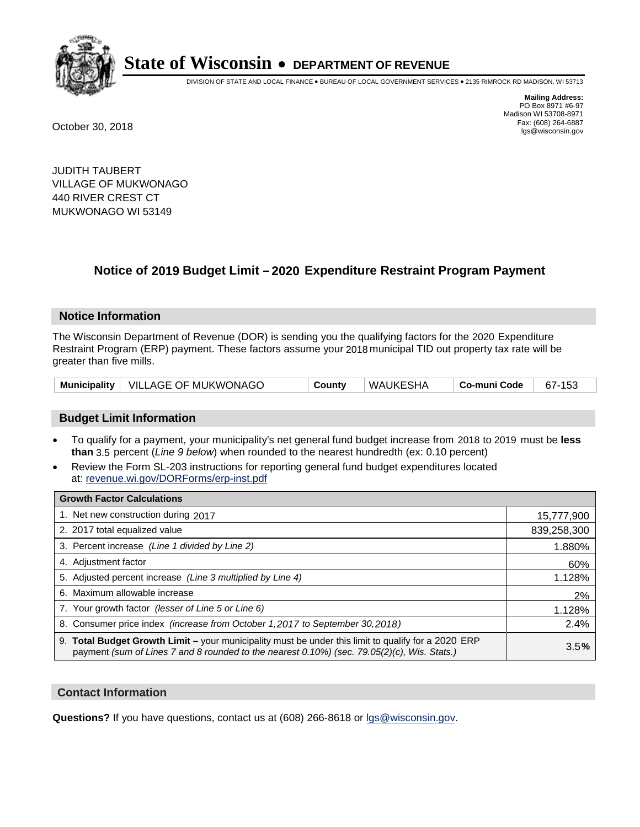

DIVISION OF STATE AND LOCAL FINANCE • BUREAU OF LOCAL GOVERNMENT SERVICES • 2135 RIMROCK RD MADISON, WI 53713

**Mailing Address:** PO Box 8971 #6-97 Madison WI 53708-8971<br>Fax: (608) 264-6887 Fax: (608) 264-6887 October 30, 2018 lgs@wisconsin.gov

JUDITH TAUBERT VILLAGE OF MUKWONAGO 440 RIVER CREST CT MUKWONAGO WI 53149

## **Notice of 2019 Budget Limit - 2020 Expenditure Restraint Program Payment**

#### **Notice Information**

The Wisconsin Department of Revenue (DOR) is sending you the qualifying factors for the 2020 Expenditure Restraint Program (ERP) payment. These factors assume your 2018 municipal TID out property tax rate will be greater than five mills.

|  | Municipality   VILLAGE OF MUKWONAGO | County | WAUKESHA | Co-muni Code | 67-153 |
|--|-------------------------------------|--------|----------|--------------|--------|
|--|-------------------------------------|--------|----------|--------------|--------|

#### **Budget Limit Information**

- To qualify for a payment, your municipality's net general fund budget increase from 2018 to 2019 must be less **than** 3.5 percent (*Line 9 below*) when rounded to the nearest hundredth (ex: 0.10 percent)
- Review the Form SL-203 instructions for reporting general fund budget expenditures located at: revenue.wi.gov/DORForms/erp-inst.pdf

| <b>Growth Factor Calculations</b>                                                                                                                                                                  |             |
|----------------------------------------------------------------------------------------------------------------------------------------------------------------------------------------------------|-------------|
| 1. Net new construction during 2017                                                                                                                                                                | 15,777,900  |
| 2. 2017 total equalized value                                                                                                                                                                      | 839,258,300 |
| 3. Percent increase (Line 1 divided by Line 2)                                                                                                                                                     | 1.880%      |
| 4. Adjustment factor                                                                                                                                                                               | 60%         |
| 5. Adjusted percent increase (Line 3 multiplied by Line 4)                                                                                                                                         | 1.128%      |
| 6. Maximum allowable increase                                                                                                                                                                      | 2%          |
| 7. Your growth factor (lesser of Line 5 or Line 6)                                                                                                                                                 | 1.128%      |
| 8. Consumer price index (increase from October 1,2017 to September 30,2018)                                                                                                                        | 2.4%        |
| 9. Total Budget Growth Limit - your municipality must be under this limit to qualify for a 2020 ERP<br>payment (sum of Lines 7 and 8 rounded to the nearest 0.10%) (sec. 79.05(2)(c), Wis. Stats.) | 3.5%        |

#### **Contact Information**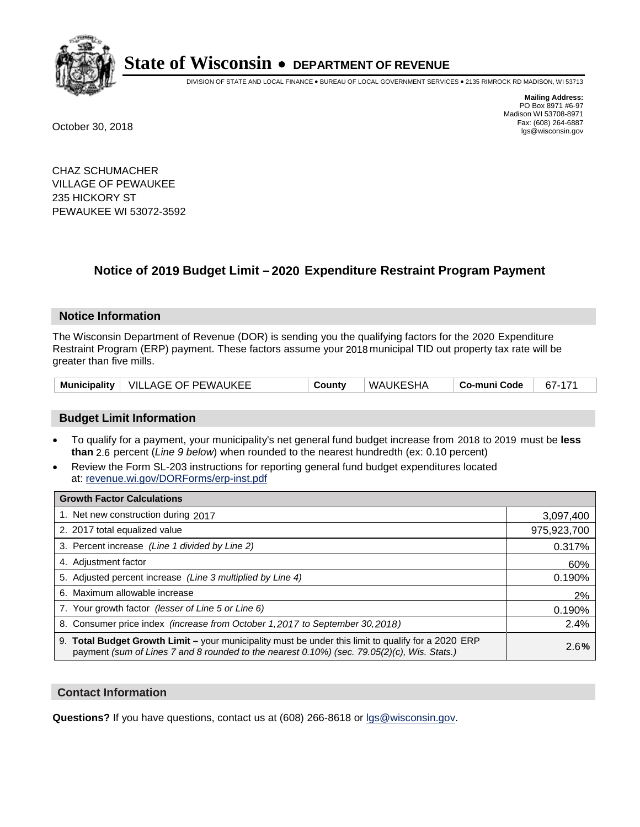

DIVISION OF STATE AND LOCAL FINANCE • BUREAU OF LOCAL GOVERNMENT SERVICES • 2135 RIMROCK RD MADISON, WI 53713

**Mailing Address:** PO Box 8971 #6-97 Madison WI 53708-8971<br>Fax: (608) 264-6887 Fax: (608) 264-6887 October 30, 2018 lgs@wisconsin.gov

CHAZ SCHUMACHER VILLAGE OF PEWAUKEE 235 HICKORY ST PEWAUKEE WI 53072-3592

## **Notice of 2019 Budget Limit - 2020 Expenditure Restraint Program Payment**

#### **Notice Information**

The Wisconsin Department of Revenue (DOR) is sending you the qualifying factors for the 2020 Expenditure Restraint Program (ERP) payment. These factors assume your 2018 municipal TID out property tax rate will be greater than five mills.

| <b>Municipality</b> | ∣ VILLAGE OF PEWAUKEE | County | WAUKESHA | Co-muni Code | $67 -$ |
|---------------------|-----------------------|--------|----------|--------------|--------|
|---------------------|-----------------------|--------|----------|--------------|--------|

#### **Budget Limit Information**

- To qualify for a payment, your municipality's net general fund budget increase from 2018 to 2019 must be less **than** 2.6 percent (*Line 9 below*) when rounded to the nearest hundredth (ex: 0.10 percent)
- Review the Form SL-203 instructions for reporting general fund budget expenditures located at: revenue.wi.gov/DORForms/erp-inst.pdf

| <b>Growth Factor Calculations</b>                                                                                                                                                                      |             |
|--------------------------------------------------------------------------------------------------------------------------------------------------------------------------------------------------------|-------------|
| 1. Net new construction during 2017                                                                                                                                                                    | 3,097,400   |
| 2. 2017 total equalized value                                                                                                                                                                          | 975,923,700 |
| 3. Percent increase (Line 1 divided by Line 2)                                                                                                                                                         | 0.317%      |
| 4. Adjustment factor                                                                                                                                                                                   | 60%         |
| 5. Adjusted percent increase (Line 3 multiplied by Line 4)                                                                                                                                             | 0.190%      |
| 6. Maximum allowable increase                                                                                                                                                                          | 2%          |
| 7. Your growth factor (lesser of Line 5 or Line 6)                                                                                                                                                     | 0.190%      |
| 8. Consumer price index (increase from October 1,2017 to September 30,2018)                                                                                                                            | 2.4%        |
| 9. Total Budget Growth Limit - your municipality must be under this limit to qualify for a 2020 ERP<br>payment (sum of Lines 7 and 8 rounded to the nearest $0.10\%$ ) (sec. 79.05(2)(c), Wis. Stats.) | 2.6%        |

#### **Contact Information**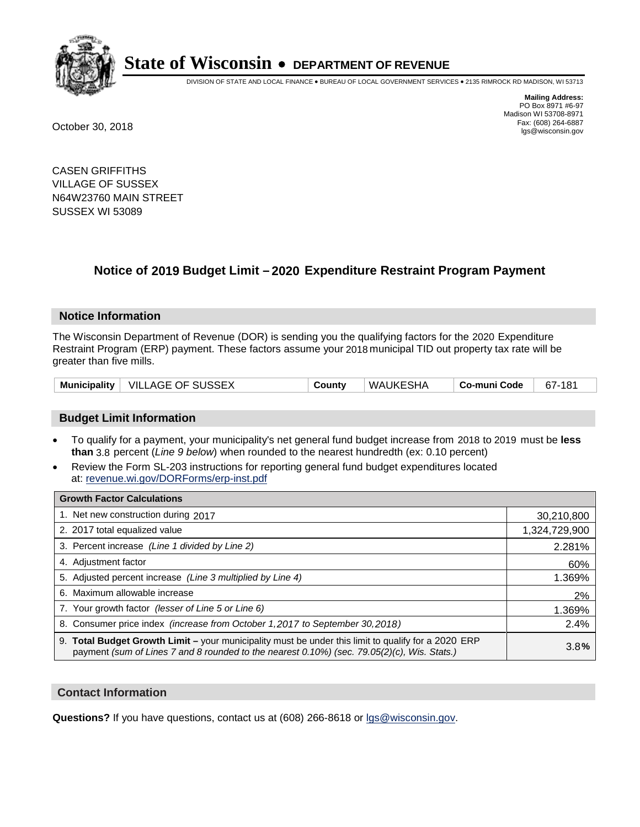

DIVISION OF STATE AND LOCAL FINANCE • BUREAU OF LOCAL GOVERNMENT SERVICES • 2135 RIMROCK RD MADISON, WI 53713

**Mailing Address:** PO Box 8971 #6-97 Madison WI 53708-8971<br>Fax: (608) 264-6887 Fax: (608) 264-6887 October 30, 2018 lgs@wisconsin.gov

CASEN GRIFFITHS VILLAGE OF SUSSEX N64W23760 MAIN STREET SUSSEX WI 53089

## **Notice of 2019 Budget Limit - 2020 Expenditure Restraint Program Payment**

#### **Notice Information**

The Wisconsin Department of Revenue (DOR) is sending you the qualifying factors for the 2020 Expenditure Restraint Program (ERP) payment. These factors assume your 2018 municipal TID out property tax rate will be greater than five mills.

|  | Municipality   VILLAGE OF SUSSEX | Countv | WAUKESHA | ∣ Co-muni Code | 67-181 |
|--|----------------------------------|--------|----------|----------------|--------|
|--|----------------------------------|--------|----------|----------------|--------|

#### **Budget Limit Information**

- To qualify for a payment, your municipality's net general fund budget increase from 2018 to 2019 must be less **than** 3.8 percent (*Line 9 below*) when rounded to the nearest hundredth (ex: 0.10 percent)
- Review the Form SL-203 instructions for reporting general fund budget expenditures located at: revenue.wi.gov/DORForms/erp-inst.pdf

| <b>Growth Factor Calculations</b>                                                                                                                                                                      |               |
|--------------------------------------------------------------------------------------------------------------------------------------------------------------------------------------------------------|---------------|
| 1. Net new construction during 2017                                                                                                                                                                    | 30,210,800    |
| 2. 2017 total equalized value                                                                                                                                                                          | 1,324,729,900 |
| 3. Percent increase (Line 1 divided by Line 2)                                                                                                                                                         | 2.281%        |
| 4. Adjustment factor                                                                                                                                                                                   | 60%           |
| 5. Adjusted percent increase (Line 3 multiplied by Line 4)                                                                                                                                             | 1.369%        |
| 6. Maximum allowable increase                                                                                                                                                                          | 2%            |
| 7. Your growth factor (lesser of Line 5 or Line 6)                                                                                                                                                     | 1.369%        |
| 8. Consumer price index (increase from October 1,2017 to September 30,2018)                                                                                                                            | 2.4%          |
| 9. Total Budget Growth Limit - your municipality must be under this limit to qualify for a 2020 ERP<br>payment (sum of Lines 7 and 8 rounded to the nearest $0.10\%$ ) (sec. 79.05(2)(c), Wis. Stats.) | 3.8%          |

#### **Contact Information**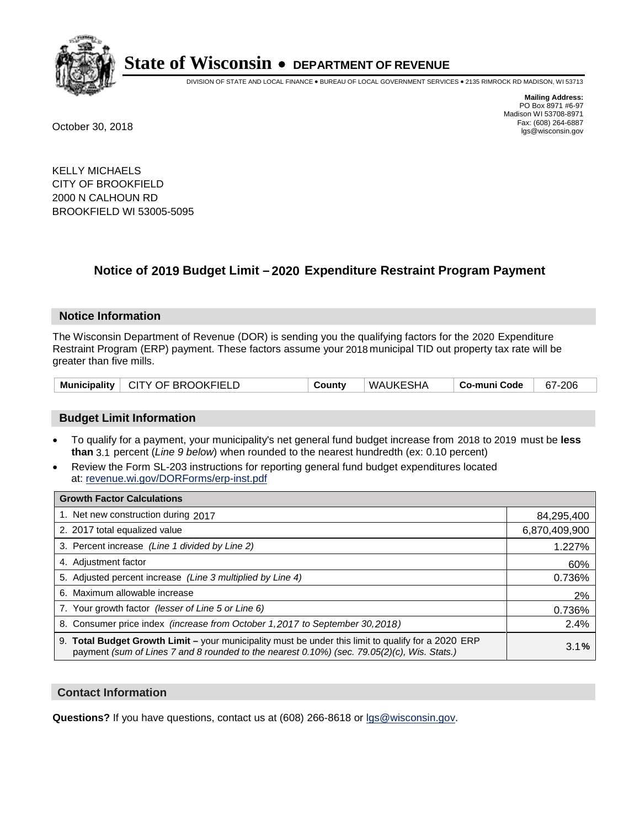

DIVISION OF STATE AND LOCAL FINANCE • BUREAU OF LOCAL GOVERNMENT SERVICES • 2135 RIMROCK RD MADISON, WI 53713

**Mailing Address:** PO Box 8971 #6-97 Madison WI 53708-8971<br>Fax: (608) 264-6887 Fax: (608) 264-6887 October 30, 2018 lgs@wisconsin.gov

KELLY MICHAELS CITY OF BROOKFIELD 2000 N CALHOUN RD BROOKFIELD WI 53005-5095

## **Notice of 2019 Budget Limit - 2020 Expenditure Restraint Program Payment**

#### **Notice Information**

The Wisconsin Department of Revenue (DOR) is sending you the qualifying factors for the 2020 Expenditure Restraint Program (ERP) payment. These factors assume your 2018 municipal TID out property tax rate will be greater than five mills.

|  | Municipality   CITY OF BROOKFIELD | Countv | <b>WAUKESHA</b> | ∣ Co-muni Code | 67-206 |
|--|-----------------------------------|--------|-----------------|----------------|--------|
|--|-----------------------------------|--------|-----------------|----------------|--------|

#### **Budget Limit Information**

- To qualify for a payment, your municipality's net general fund budget increase from 2018 to 2019 must be less **than** 3.1 percent (*Line 9 below*) when rounded to the nearest hundredth (ex: 0.10 percent)
- Review the Form SL-203 instructions for reporting general fund budget expenditures located at: revenue.wi.gov/DORForms/erp-inst.pdf

| <b>Growth Factor Calculations</b>                                                                                                                                                                  |               |
|----------------------------------------------------------------------------------------------------------------------------------------------------------------------------------------------------|---------------|
| 1. Net new construction during 2017                                                                                                                                                                | 84,295,400    |
| 2. 2017 total equalized value                                                                                                                                                                      | 6,870,409,900 |
| 3. Percent increase (Line 1 divided by Line 2)                                                                                                                                                     | 1.227%        |
| 4. Adjustment factor                                                                                                                                                                               | 60%           |
| 5. Adjusted percent increase (Line 3 multiplied by Line 4)                                                                                                                                         | 0.736%        |
| 6. Maximum allowable increase                                                                                                                                                                      | 2%            |
| 7. Your growth factor (lesser of Line 5 or Line 6)                                                                                                                                                 | 0.736%        |
| 8. Consumer price index (increase from October 1,2017 to September 30,2018)                                                                                                                        | 2.4%          |
| 9. Total Budget Growth Limit - your municipality must be under this limit to qualify for a 2020 ERP<br>payment (sum of Lines 7 and 8 rounded to the nearest 0.10%) (sec. 79.05(2)(c), Wis. Stats.) | 3.1%          |

#### **Contact Information**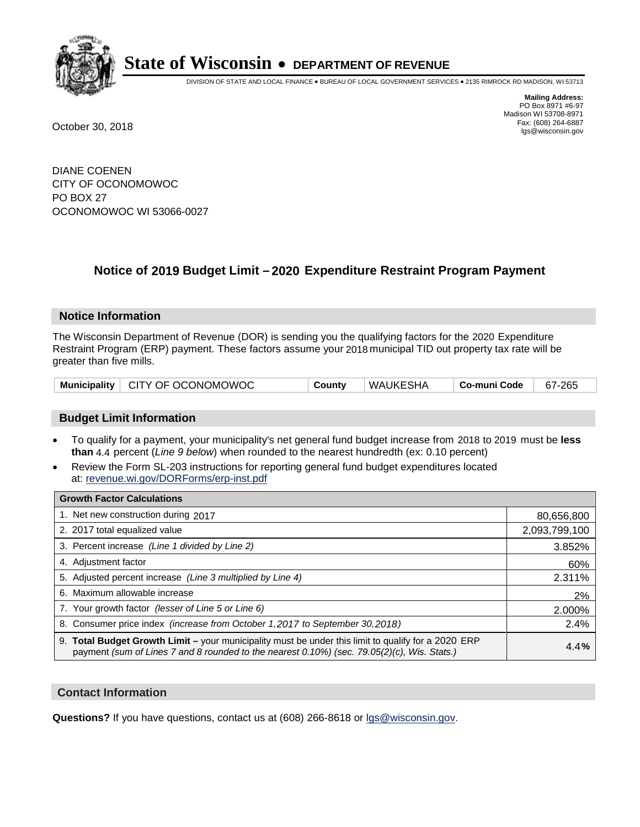

DIVISION OF STATE AND LOCAL FINANCE • BUREAU OF LOCAL GOVERNMENT SERVICES • 2135 RIMROCK RD MADISON, WI 53713

**Mailing Address:** PO Box 8971 #6-97 Madison WI 53708-8971<br>Fax: (608) 264-6887 Fax: (608) 264-6887 October 30, 2018 lgs@wisconsin.gov

DIANE COENEN CITY OF OCONOMOWOC PO BOX 27 OCONOMOWOC WI 53066-0027

## **Notice of 2019 Budget Limit - 2020 Expenditure Restraint Program Payment**

#### **Notice Information**

The Wisconsin Department of Revenue (DOR) is sending you the qualifying factors for the 2020 Expenditure Restraint Program (ERP) payment. These factors assume your 2018 municipal TID out property tax rate will be greater than five mills.

|  | Municipality   CITY OF OCONOMOWOC | County | WAUKESHA | . Co-muni Code | 67-265 |
|--|-----------------------------------|--------|----------|----------------|--------|
|--|-----------------------------------|--------|----------|----------------|--------|

#### **Budget Limit Information**

- To qualify for a payment, your municipality's net general fund budget increase from 2018 to 2019 must be less **than** 4.4 percent (*Line 9 below*) when rounded to the nearest hundredth (ex: 0.10 percent)
- Review the Form SL-203 instructions for reporting general fund budget expenditures located at: revenue.wi.gov/DORForms/erp-inst.pdf

| <b>Growth Factor Calculations</b>                                                                                                                                                                      |               |
|--------------------------------------------------------------------------------------------------------------------------------------------------------------------------------------------------------|---------------|
| 1. Net new construction during 2017                                                                                                                                                                    | 80,656,800    |
| 2. 2017 total equalized value                                                                                                                                                                          | 2,093,799,100 |
| 3. Percent increase (Line 1 divided by Line 2)                                                                                                                                                         | 3.852%        |
| 4. Adjustment factor                                                                                                                                                                                   | 60%           |
| 5. Adjusted percent increase (Line 3 multiplied by Line 4)                                                                                                                                             | 2.311%        |
| 6. Maximum allowable increase                                                                                                                                                                          | 2%            |
| 7. Your growth factor (lesser of Line 5 or Line 6)                                                                                                                                                     | 2.000%        |
| 8. Consumer price index (increase from October 1,2017 to September 30,2018)                                                                                                                            | 2.4%          |
| 9. Total Budget Growth Limit - your municipality must be under this limit to qualify for a 2020 ERP<br>payment (sum of Lines 7 and 8 rounded to the nearest $0.10\%$ ) (sec. 79.05(2)(c), Wis. Stats.) | 4.4%          |

#### **Contact Information**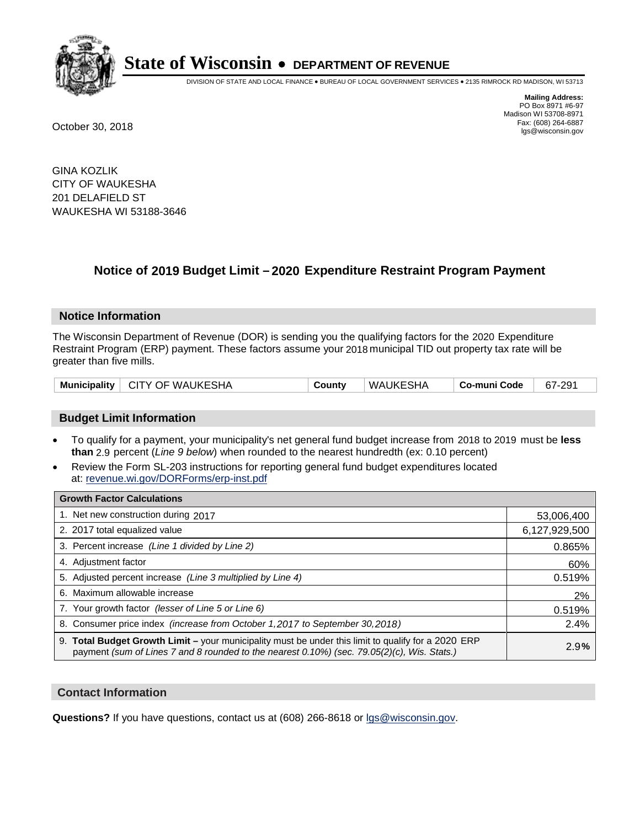

DIVISION OF STATE AND LOCAL FINANCE • BUREAU OF LOCAL GOVERNMENT SERVICES • 2135 RIMROCK RD MADISON, WI 53713

**Mailing Address:** PO Box 8971 #6-97 Madison WI 53708-8971<br>Fax: (608) 264-6887 Fax: (608) 264-6887 October 30, 2018 lgs@wisconsin.gov

GINA KOZLIK CITY OF WAUKESHA 201 DELAFIELD ST WAUKESHA WI 53188-3646

## **Notice of 2019 Budget Limit - 2020 Expenditure Restraint Program Payment**

#### **Notice Information**

The Wisconsin Department of Revenue (DOR) is sending you the qualifying factors for the 2020 Expenditure Restraint Program (ERP) payment. These factors assume your 2018 municipal TID out property tax rate will be greater than five mills.

#### **Budget Limit Information**

- To qualify for a payment, your municipality's net general fund budget increase from 2018 to 2019 must be less **than** 2.9 percent (*Line 9 below*) when rounded to the nearest hundredth (ex: 0.10 percent)
- Review the Form SL-203 instructions for reporting general fund budget expenditures located at: revenue.wi.gov/DORForms/erp-inst.pdf

| <b>Growth Factor Calculations</b>                                                                                                                                                                      |               |
|--------------------------------------------------------------------------------------------------------------------------------------------------------------------------------------------------------|---------------|
| 1. Net new construction during 2017                                                                                                                                                                    | 53,006,400    |
| 2. 2017 total equalized value                                                                                                                                                                          | 6,127,929,500 |
| 3. Percent increase (Line 1 divided by Line 2)                                                                                                                                                         | 0.865%        |
| 4. Adjustment factor                                                                                                                                                                                   | 60%           |
| 5. Adjusted percent increase (Line 3 multiplied by Line 4)                                                                                                                                             | 0.519%        |
| 6. Maximum allowable increase                                                                                                                                                                          | 2%            |
| 7. Your growth factor (lesser of Line 5 or Line 6)                                                                                                                                                     | 0.519%        |
| 8. Consumer price index (increase from October 1,2017 to September 30,2018)                                                                                                                            | 2.4%          |
| 9. Total Budget Growth Limit - your municipality must be under this limit to qualify for a 2020 ERP<br>payment (sum of Lines 7 and 8 rounded to the nearest $0.10\%$ ) (sec. 79.05(2)(c), Wis. Stats.) | 2.9%          |

#### **Contact Information**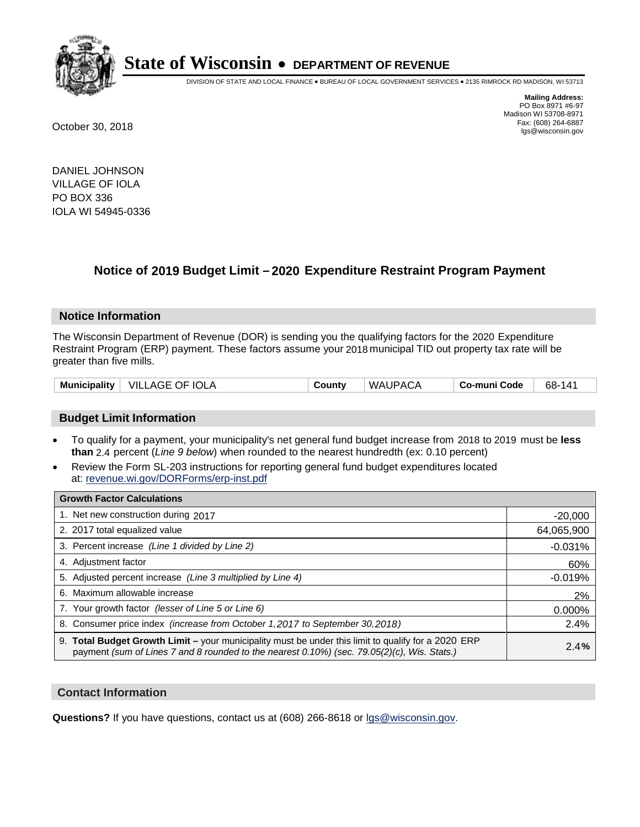

DIVISION OF STATE AND LOCAL FINANCE • BUREAU OF LOCAL GOVERNMENT SERVICES • 2135 RIMROCK RD MADISON, WI 53713

**Mailing Address:** PO Box 8971 #6-97 Madison WI 53708-8971<br>Fax: (608) 264-6887 Fax: (608) 264-6887 October 30, 2018 lgs@wisconsin.gov

DANIEL JOHNSON VILLAGE OF IOLA PO BOX 336 IOLA WI 54945-0336

## **Notice of 2019 Budget Limit - 2020 Expenditure Restraint Program Payment**

#### **Notice Information**

The Wisconsin Department of Revenue (DOR) is sending you the qualifying factors for the 2020 Expenditure Restraint Program (ERP) payment. These factors assume your 2018 municipal TID out property tax rate will be greater than five mills.

| Municipality | VILLAGE OF IOLA | County | WAUPACA | Co-muni Code | 68-<br>141 |
|--------------|-----------------|--------|---------|--------------|------------|
|--------------|-----------------|--------|---------|--------------|------------|

#### **Budget Limit Information**

- To qualify for a payment, your municipality's net general fund budget increase from 2018 to 2019 must be less **than** 2.4 percent (*Line 9 below*) when rounded to the nearest hundredth (ex: 0.10 percent)
- Review the Form SL-203 instructions for reporting general fund budget expenditures located at: revenue.wi.gov/DORForms/erp-inst.pdf

| <b>Growth Factor Calculations</b>                                                                                                                                                                      |            |
|--------------------------------------------------------------------------------------------------------------------------------------------------------------------------------------------------------|------------|
| 1. Net new construction during 2017                                                                                                                                                                    | $-20,000$  |
| 2. 2017 total equalized value                                                                                                                                                                          | 64,065,900 |
| 3. Percent increase (Line 1 divided by Line 2)                                                                                                                                                         | $-0.031%$  |
| 4. Adjustment factor                                                                                                                                                                                   | 60%        |
| 5. Adjusted percent increase (Line 3 multiplied by Line 4)                                                                                                                                             | $-0.019%$  |
| 6. Maximum allowable increase                                                                                                                                                                          | 2%         |
| 7. Your growth factor (lesser of Line 5 or Line 6)                                                                                                                                                     | 0.000%     |
| 8. Consumer price index (increase from October 1,2017 to September 30,2018)                                                                                                                            | 2.4%       |
| 9. Total Budget Growth Limit - your municipality must be under this limit to qualify for a 2020 ERP<br>payment (sum of Lines 7 and 8 rounded to the nearest $0.10\%$ ) (sec. 79.05(2)(c), Wis. Stats.) | 2.4%       |

#### **Contact Information**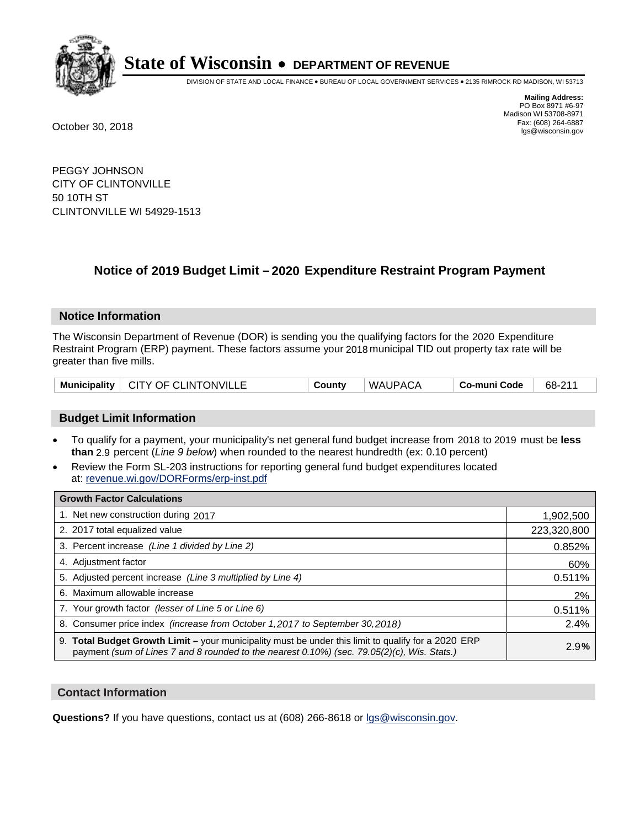

DIVISION OF STATE AND LOCAL FINANCE • BUREAU OF LOCAL GOVERNMENT SERVICES • 2135 RIMROCK RD MADISON, WI 53713

**Mailing Address:** PO Box 8971 #6-97 Madison WI 53708-8971<br>Fax: (608) 264-6887 Fax: (608) 264-6887 October 30, 2018 lgs@wisconsin.gov

PEGGY JOHNSON CITY OF CLINTONVILLE 50 10TH ST CLINTONVILLE WI 54929-1513

## **Notice of 2019 Budget Limit - 2020 Expenditure Restraint Program Payment**

#### **Notice Information**

The Wisconsin Department of Revenue (DOR) is sending you the qualifying factors for the 2020 Expenditure Restraint Program (ERP) payment. These factors assume your 2018 municipal TID out property tax rate will be greater than five mills.

|  | Municipality   CITY OF CLINTONVILLE | County | WAUPACA | Co-muni Code | 68-211 |
|--|-------------------------------------|--------|---------|--------------|--------|
|--|-------------------------------------|--------|---------|--------------|--------|

#### **Budget Limit Information**

- To qualify for a payment, your municipality's net general fund budget increase from 2018 to 2019 must be less **than** 2.9 percent (*Line 9 below*) when rounded to the nearest hundredth (ex: 0.10 percent)
- Review the Form SL-203 instructions for reporting general fund budget expenditures located at: revenue.wi.gov/DORForms/erp-inst.pdf

| <b>Growth Factor Calculations</b>                                                                                                                                                                      |             |
|--------------------------------------------------------------------------------------------------------------------------------------------------------------------------------------------------------|-------------|
| 1. Net new construction during 2017                                                                                                                                                                    | 1,902,500   |
| 2. 2017 total equalized value                                                                                                                                                                          | 223,320,800 |
| 3. Percent increase (Line 1 divided by Line 2)                                                                                                                                                         | 0.852%      |
| 4. Adjustment factor                                                                                                                                                                                   | 60%         |
| 5. Adjusted percent increase (Line 3 multiplied by Line 4)                                                                                                                                             | 0.511%      |
| 6. Maximum allowable increase                                                                                                                                                                          | 2%          |
| 7. Your growth factor (lesser of Line 5 or Line 6)                                                                                                                                                     | 0.511%      |
| 8. Consumer price index (increase from October 1, 2017 to September 30, 2018)                                                                                                                          | 2.4%        |
| 9. Total Budget Growth Limit - your municipality must be under this limit to qualify for a 2020 ERP<br>payment (sum of Lines 7 and 8 rounded to the nearest $0.10\%$ ) (sec. 79.05(2)(c), Wis. Stats.) | 2.9%        |

#### **Contact Information**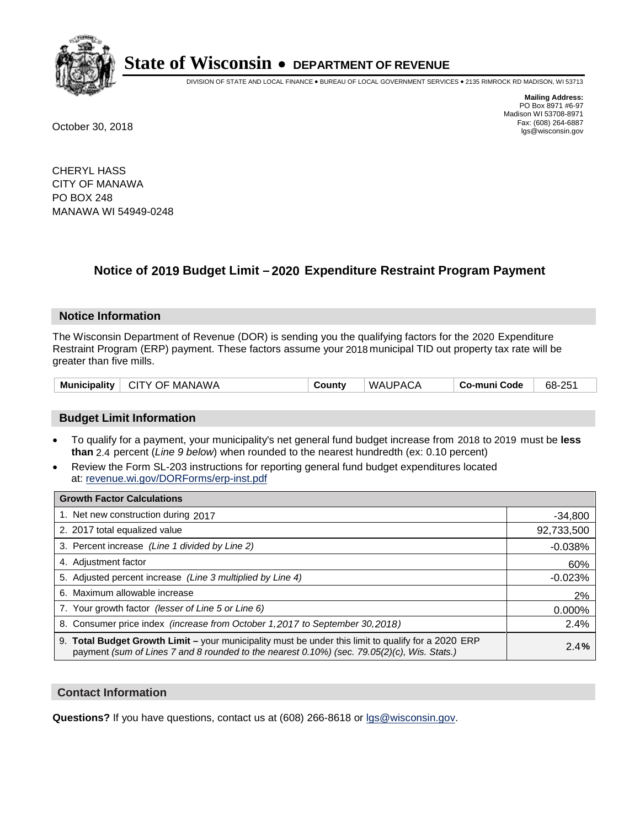

DIVISION OF STATE AND LOCAL FINANCE • BUREAU OF LOCAL GOVERNMENT SERVICES • 2135 RIMROCK RD MADISON, WI 53713

**Mailing Address:** PO Box 8971 #6-97 Madison WI 53708-8971<br>Fax: (608) 264-6887 Fax: (608) 264-6887 October 30, 2018 lgs@wisconsin.gov

CHERYL HASS CITY OF MANAWA PO BOX 248 MANAWA WI 54949-0248

## **Notice of 2019 Budget Limit - 2020 Expenditure Restraint Program Payment**

#### **Notice Information**

The Wisconsin Department of Revenue (DOR) is sending you the qualifying factors for the 2020 Expenditure Restraint Program (ERP) payment. These factors assume your 2018 municipal TID out property tax rate will be greater than five mills.

| Municipality  <br>CITY OF MANAWA | Countv | WAUPACA | <b>Co-muni Code</b> | 68-251 |
|----------------------------------|--------|---------|---------------------|--------|
|----------------------------------|--------|---------|---------------------|--------|

#### **Budget Limit Information**

- To qualify for a payment, your municipality's net general fund budget increase from 2018 to 2019 must be less **than** 2.4 percent (*Line 9 below*) when rounded to the nearest hundredth (ex: 0.10 percent)
- Review the Form SL-203 instructions for reporting general fund budget expenditures located at: revenue.wi.gov/DORForms/erp-inst.pdf

| <b>Growth Factor Calculations</b>                                                                                                                                                                  |            |
|----------------------------------------------------------------------------------------------------------------------------------------------------------------------------------------------------|------------|
| 1. Net new construction during 2017                                                                                                                                                                | $-34,800$  |
| 2. 2017 total equalized value                                                                                                                                                                      | 92,733,500 |
| 3. Percent increase (Line 1 divided by Line 2)                                                                                                                                                     | $-0.038%$  |
| 4. Adjustment factor                                                                                                                                                                               | 60%        |
| 5. Adjusted percent increase (Line 3 multiplied by Line 4)                                                                                                                                         | $-0.023%$  |
| 6. Maximum allowable increase                                                                                                                                                                      | 2%         |
| 7. Your growth factor (lesser of Line 5 or Line 6)                                                                                                                                                 | 0.000%     |
| 8. Consumer price index (increase from October 1, 2017 to September 30, 2018)                                                                                                                      | 2.4%       |
| 9. Total Budget Growth Limit - your municipality must be under this limit to qualify for a 2020 ERP<br>payment (sum of Lines 7 and 8 rounded to the nearest 0.10%) (sec. 79.05(2)(c), Wis. Stats.) | 2.4%       |

#### **Contact Information**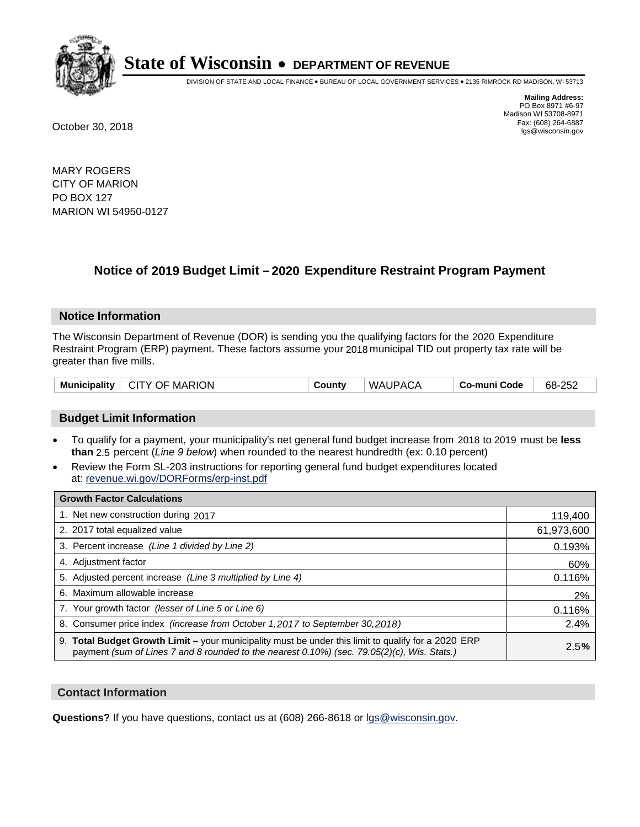

DIVISION OF STATE AND LOCAL FINANCE • BUREAU OF LOCAL GOVERNMENT SERVICES • 2135 RIMROCK RD MADISON, WI 53713

**Mailing Address:** PO Box 8971 #6-97 Madison WI 53708-8971<br>Fax: (608) 264-6887 Fax: (608) 264-6887 October 30, 2018 lgs@wisconsin.gov

MARY ROGERS CITY OF MARION PO BOX 127 MARION WI 54950-0127

## **Notice of 2019 Budget Limit - 2020 Expenditure Restraint Program Payment**

#### **Notice Information**

The Wisconsin Department of Revenue (DOR) is sending you the qualifying factors for the 2020 Expenditure Restraint Program (ERP) payment. These factors assume your 2018 municipal TID out property tax rate will be greater than five mills.

| Municipality   CITY OF MARION | County | <b>WAUPACA</b> | . Co-muni Code | 68-252 |
|-------------------------------|--------|----------------|----------------|--------|
|-------------------------------|--------|----------------|----------------|--------|

#### **Budget Limit Information**

- To qualify for a payment, your municipality's net general fund budget increase from 2018 to 2019 must be less **than** 2.5 percent (*Line 9 below*) when rounded to the nearest hundredth (ex: 0.10 percent)
- Review the Form SL-203 instructions for reporting general fund budget expenditures located at: revenue.wi.gov/DORForms/erp-inst.pdf

| <b>Growth Factor Calculations</b>                                                                                                                                                                      |            |
|--------------------------------------------------------------------------------------------------------------------------------------------------------------------------------------------------------|------------|
| 1. Net new construction during 2017                                                                                                                                                                    | 119,400    |
| 2. 2017 total equalized value                                                                                                                                                                          | 61,973,600 |
| 3. Percent increase (Line 1 divided by Line 2)                                                                                                                                                         | 0.193%     |
| 4. Adjustment factor                                                                                                                                                                                   | 60%        |
| 5. Adjusted percent increase (Line 3 multiplied by Line 4)                                                                                                                                             | 0.116%     |
| 6. Maximum allowable increase                                                                                                                                                                          | 2%         |
| 7. Your growth factor (lesser of Line 5 or Line 6)                                                                                                                                                     | 0.116%     |
| 8. Consumer price index (increase from October 1,2017 to September 30,2018)                                                                                                                            | 2.4%       |
| 9. Total Budget Growth Limit - your municipality must be under this limit to qualify for a 2020 ERP<br>payment (sum of Lines 7 and 8 rounded to the nearest $0.10\%$ ) (sec. 79.05(2)(c), Wis. Stats.) | 2.5%       |

#### **Contact Information**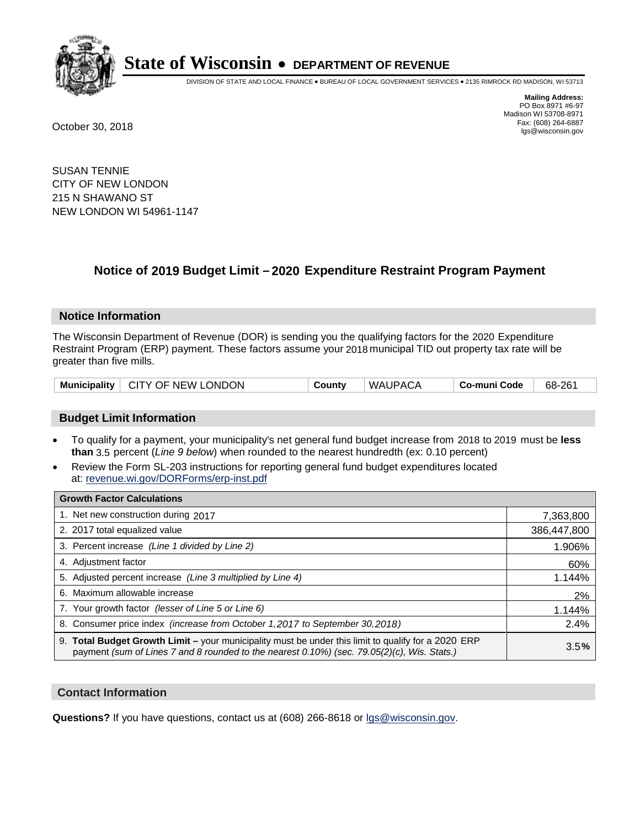

DIVISION OF STATE AND LOCAL FINANCE • BUREAU OF LOCAL GOVERNMENT SERVICES • 2135 RIMROCK RD MADISON, WI 53713

**Mailing Address:** PO Box 8971 #6-97 Madison WI 53708-8971<br>Fax: (608) 264-6887 Fax: (608) 264-6887 October 30, 2018 lgs@wisconsin.gov

SUSAN TENNIE CITY OF NEW LONDON 215 N SHAWANO ST NEW LONDON WI 54961-1147

## **Notice of 2019 Budget Limit - 2020 Expenditure Restraint Program Payment**

#### **Notice Information**

The Wisconsin Department of Revenue (DOR) is sending you the qualifying factors for the 2020 Expenditure Restraint Program (ERP) payment. These factors assume your 2018 municipal TID out property tax rate will be greater than five mills.

| <b>Municipality</b> | $\vdash$ CITY OF NEW LONDON | County | WAUPACA | Co-muni Code | 68-261 |
|---------------------|-----------------------------|--------|---------|--------------|--------|
|---------------------|-----------------------------|--------|---------|--------------|--------|

#### **Budget Limit Information**

- To qualify for a payment, your municipality's net general fund budget increase from 2018 to 2019 must be less **than** 3.5 percent (*Line 9 below*) when rounded to the nearest hundredth (ex: 0.10 percent)
- Review the Form SL-203 instructions for reporting general fund budget expenditures located at: revenue.wi.gov/DORForms/erp-inst.pdf

| <b>Growth Factor Calculations</b>                                                                                                                                                                  |             |
|----------------------------------------------------------------------------------------------------------------------------------------------------------------------------------------------------|-------------|
| 1. Net new construction during 2017                                                                                                                                                                | 7,363,800   |
| 2. 2017 total equalized value                                                                                                                                                                      | 386,447,800 |
| 3. Percent increase (Line 1 divided by Line 2)                                                                                                                                                     | 1.906%      |
| 4. Adjustment factor                                                                                                                                                                               | 60%         |
| 5. Adjusted percent increase (Line 3 multiplied by Line 4)                                                                                                                                         | 1.144%      |
| 6. Maximum allowable increase                                                                                                                                                                      | 2%          |
| 7. Your growth factor (lesser of Line 5 or Line 6)                                                                                                                                                 | 1.144%      |
| 8. Consumer price index (increase from October 1,2017 to September 30,2018)                                                                                                                        | 2.4%        |
| 9. Total Budget Growth Limit - your municipality must be under this limit to qualify for a 2020 ERP<br>payment (sum of Lines 7 and 8 rounded to the nearest 0.10%) (sec. 79.05(2)(c), Wis. Stats.) | 3.5%        |

#### **Contact Information**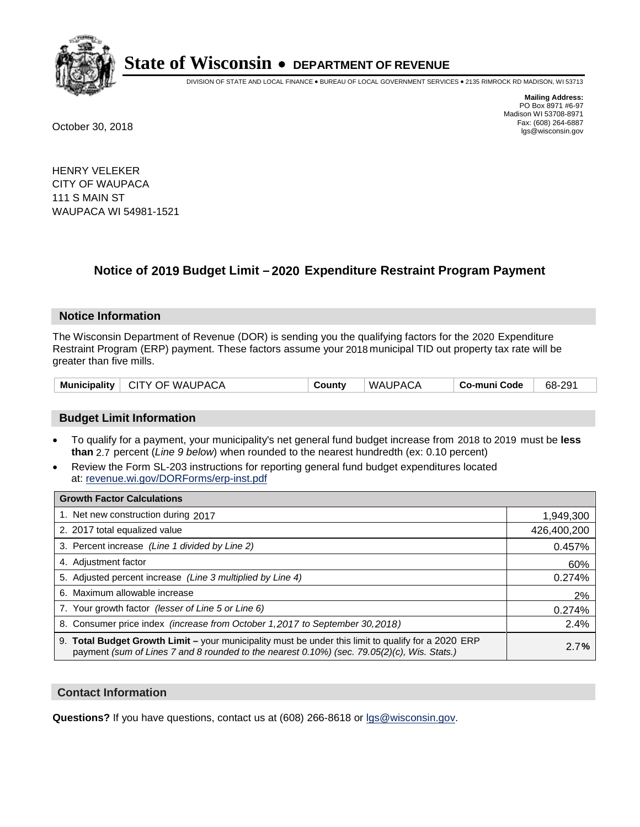

DIVISION OF STATE AND LOCAL FINANCE • BUREAU OF LOCAL GOVERNMENT SERVICES • 2135 RIMROCK RD MADISON, WI 53713

**Mailing Address:** PO Box 8971 #6-97 Madison WI 53708-8971<br>Fax: (608) 264-6887 Fax: (608) 264-6887 October 30, 2018 lgs@wisconsin.gov

HENRY VELEKER CITY OF WAUPACA 111 S MAIN ST WAUPACA WI 54981-1521

## **Notice of 2019 Budget Limit - 2020 Expenditure Restraint Program Payment**

#### **Notice Information**

The Wisconsin Department of Revenue (DOR) is sending you the qualifying factors for the 2020 Expenditure Restraint Program (ERP) payment. These factors assume your 2018 municipal TID out property tax rate will be greater than five mills.

| Municipality   CITY OF WAUPACA | County | ' WAUPACA | ∣ Co-muni Code | 68-291 |
|--------------------------------|--------|-----------|----------------|--------|
|--------------------------------|--------|-----------|----------------|--------|

#### **Budget Limit Information**

- To qualify for a payment, your municipality's net general fund budget increase from 2018 to 2019 must be less **than** 2.7 percent (*Line 9 below*) when rounded to the nearest hundredth (ex: 0.10 percent)
- Review the Form SL-203 instructions for reporting general fund budget expenditures located at: revenue.wi.gov/DORForms/erp-inst.pdf

| <b>Growth Factor Calculations</b>                                                                                                                                                                      |             |
|--------------------------------------------------------------------------------------------------------------------------------------------------------------------------------------------------------|-------------|
| 1. Net new construction during 2017                                                                                                                                                                    | 1,949,300   |
| 2. 2017 total equalized value                                                                                                                                                                          | 426,400,200 |
| 3. Percent increase (Line 1 divided by Line 2)                                                                                                                                                         | 0.457%      |
| 4. Adjustment factor                                                                                                                                                                                   | 60%         |
| 5. Adjusted percent increase (Line 3 multiplied by Line 4)                                                                                                                                             | 0.274%      |
| 6. Maximum allowable increase                                                                                                                                                                          | 2%          |
| 7. Your growth factor (lesser of Line 5 or Line 6)                                                                                                                                                     | 0.274%      |
| 8. Consumer price index (increase from October 1, 2017 to September 30, 2018)                                                                                                                          | 2.4%        |
| 9. Total Budget Growth Limit - your municipality must be under this limit to qualify for a 2020 ERP<br>payment (sum of Lines 7 and 8 rounded to the nearest $0.10\%$ ) (sec. 79.05(2)(c), Wis. Stats.) | 2.7%        |

#### **Contact Information**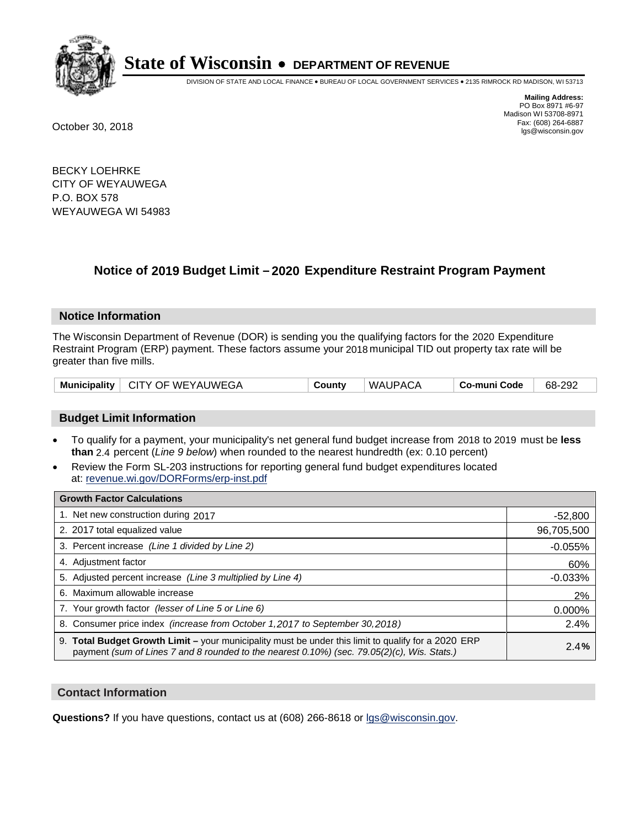

DIVISION OF STATE AND LOCAL FINANCE • BUREAU OF LOCAL GOVERNMENT SERVICES • 2135 RIMROCK RD MADISON, WI 53713

**Mailing Address:** PO Box 8971 #6-97 Madison WI 53708-8971<br>Fax: (608) 264-6887 Fax: (608) 264-6887 October 30, 2018 lgs@wisconsin.gov

BECKY LOEHRKE CITY OF WEYAUWEGA P.O. BOX 578 WEYAUWEGA WI 54983

## **Notice of 2019 Budget Limit - 2020 Expenditure Restraint Program Payment**

#### **Notice Information**

The Wisconsin Department of Revenue (DOR) is sending you the qualifying factors for the 2020 Expenditure Restraint Program (ERP) payment. These factors assume your 2018 municipal TID out property tax rate will be greater than five mills.

| Municipality | $\vdash$ CITY OF WEYAUWEGA | County | WAUPACA | Co-muni Code | 68-292 |
|--------------|----------------------------|--------|---------|--------------|--------|
|--------------|----------------------------|--------|---------|--------------|--------|

#### **Budget Limit Information**

- To qualify for a payment, your municipality's net general fund budget increase from 2018 to 2019 must be less **than** 2.4 percent (*Line 9 below*) when rounded to the nearest hundredth (ex: 0.10 percent)
- Review the Form SL-203 instructions for reporting general fund budget expenditures located at: revenue.wi.gov/DORForms/erp-inst.pdf

| <b>Growth Factor Calculations</b>                                                                                                                                                                      |            |
|--------------------------------------------------------------------------------------------------------------------------------------------------------------------------------------------------------|------------|
| 1. Net new construction during 2017                                                                                                                                                                    | $-52,800$  |
| 2. 2017 total equalized value                                                                                                                                                                          | 96,705,500 |
| 3. Percent increase (Line 1 divided by Line 2)                                                                                                                                                         | $-0.055%$  |
| 4. Adjustment factor                                                                                                                                                                                   | 60%        |
| 5. Adjusted percent increase (Line 3 multiplied by Line 4)                                                                                                                                             | $-0.033%$  |
| 6. Maximum allowable increase                                                                                                                                                                          | 2%         |
| 7. Your growth factor (lesser of Line 5 or Line 6)                                                                                                                                                     | 0.000%     |
| 8. Consumer price index (increase from October 1,2017 to September 30,2018)                                                                                                                            | 2.4%       |
| 9. Total Budget Growth Limit - your municipality must be under this limit to qualify for a 2020 ERP<br>payment (sum of Lines 7 and 8 rounded to the nearest $0.10\%$ ) (sec. 79.05(2)(c), Wis. Stats.) | 2.4%       |

#### **Contact Information**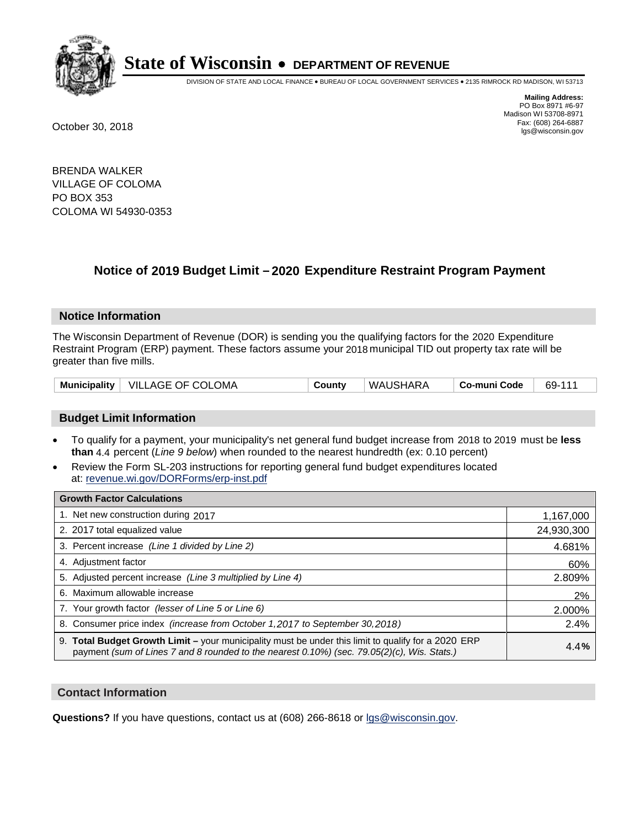

DIVISION OF STATE AND LOCAL FINANCE • BUREAU OF LOCAL GOVERNMENT SERVICES • 2135 RIMROCK RD MADISON, WI 53713

**Mailing Address:** PO Box 8971 #6-97 Madison WI 53708-8971<br>Fax: (608) 264-6887 Fax: (608) 264-6887 October 30, 2018 lgs@wisconsin.gov

BRENDA WALKER VILLAGE OF COLOMA PO BOX 353 COLOMA WI 54930-0353

## **Notice of 2019 Budget Limit - 2020 Expenditure Restraint Program Payment**

#### **Notice Information**

The Wisconsin Department of Revenue (DOR) is sending you the qualifying factors for the 2020 Expenditure Restraint Program (ERP) payment. These factors assume your 2018 municipal TID out property tax rate will be greater than five mills.

| Municipality   VILLAGE OF COLOMA | County | WAUSHARA | Co-muni Code | 69-111 |
|----------------------------------|--------|----------|--------------|--------|
|----------------------------------|--------|----------|--------------|--------|

#### **Budget Limit Information**

- To qualify for a payment, your municipality's net general fund budget increase from 2018 to 2019 must be less **than** 4.4 percent (*Line 9 below*) when rounded to the nearest hundredth (ex: 0.10 percent)
- Review the Form SL-203 instructions for reporting general fund budget expenditures located at: revenue.wi.gov/DORForms/erp-inst.pdf

| <b>Growth Factor Calculations</b>                                                                                                                                                                      |            |
|--------------------------------------------------------------------------------------------------------------------------------------------------------------------------------------------------------|------------|
| 1. Net new construction during 2017                                                                                                                                                                    | 1,167,000  |
| 2. 2017 total equalized value                                                                                                                                                                          | 24,930,300 |
| 3. Percent increase (Line 1 divided by Line 2)                                                                                                                                                         | 4.681%     |
| 4. Adjustment factor                                                                                                                                                                                   | 60%        |
| 5. Adjusted percent increase (Line 3 multiplied by Line 4)                                                                                                                                             | 2.809%     |
| 6. Maximum allowable increase                                                                                                                                                                          | 2%         |
| 7. Your growth factor (lesser of Line 5 or Line 6)                                                                                                                                                     | 2.000%     |
| 8. Consumer price index (increase from October 1,2017 to September 30,2018)                                                                                                                            | 2.4%       |
| 9. Total Budget Growth Limit - your municipality must be under this limit to qualify for a 2020 ERP<br>payment (sum of Lines 7 and 8 rounded to the nearest $0.10\%$ ) (sec. 79.05(2)(c), Wis. Stats.) | 4.4%       |

#### **Contact Information**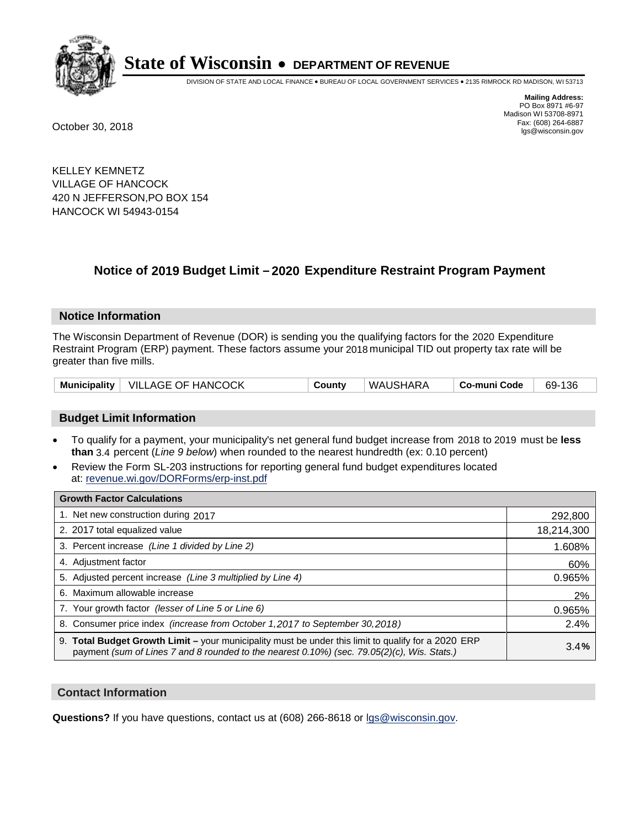

DIVISION OF STATE AND LOCAL FINANCE • BUREAU OF LOCAL GOVERNMENT SERVICES • 2135 RIMROCK RD MADISON, WI 53713

**Mailing Address:** PO Box 8971 #6-97 Madison WI 53708-8971<br>Fax: (608) 264-6887 Fax: (608) 264-6887 October 30, 2018 lgs@wisconsin.gov

KELLEY KEMNETZ VILLAGE OF HANCOCK 420 N JEFFERSON,PO BOX 154 HANCOCK WI 54943-0154

## **Notice of 2019 Budget Limit - 2020 Expenditure Restraint Program Payment**

#### **Notice Information**

The Wisconsin Department of Revenue (DOR) is sending you the qualifying factors for the 2020 Expenditure Restraint Program (ERP) payment. These factors assume your 2018 municipal TID out property tax rate will be greater than five mills.

| Municipality   VILLAGE OF HANCOCK | County | WAUSHARA | ∣ Co-muni Code | 69-136 |
|-----------------------------------|--------|----------|----------------|--------|
|-----------------------------------|--------|----------|----------------|--------|

#### **Budget Limit Information**

- To qualify for a payment, your municipality's net general fund budget increase from 2018 to 2019 must be less **than** 3.4 percent (*Line 9 below*) when rounded to the nearest hundredth (ex: 0.10 percent)
- Review the Form SL-203 instructions for reporting general fund budget expenditures located at: revenue.wi.gov/DORForms/erp-inst.pdf

| <b>Growth Factor Calculations</b>                                                                                                                                                                      |            |
|--------------------------------------------------------------------------------------------------------------------------------------------------------------------------------------------------------|------------|
| 1. Net new construction during 2017                                                                                                                                                                    | 292,800    |
| 2. 2017 total equalized value                                                                                                                                                                          | 18,214,300 |
| 3. Percent increase (Line 1 divided by Line 2)                                                                                                                                                         | 1.608%     |
| 4. Adjustment factor                                                                                                                                                                                   | 60%        |
| 5. Adjusted percent increase (Line 3 multiplied by Line 4)                                                                                                                                             | 0.965%     |
| 6. Maximum allowable increase                                                                                                                                                                          | 2%         |
| 7. Your growth factor (lesser of Line 5 or Line 6)                                                                                                                                                     | 0.965%     |
| 8. Consumer price index (increase from October 1,2017 to September 30,2018)                                                                                                                            | 2.4%       |
| 9. Total Budget Growth Limit - your municipality must be under this limit to qualify for a 2020 ERP<br>payment (sum of Lines 7 and 8 rounded to the nearest $0.10\%$ ) (sec. 79.05(2)(c), Wis. Stats.) | 3.4%       |

#### **Contact Information**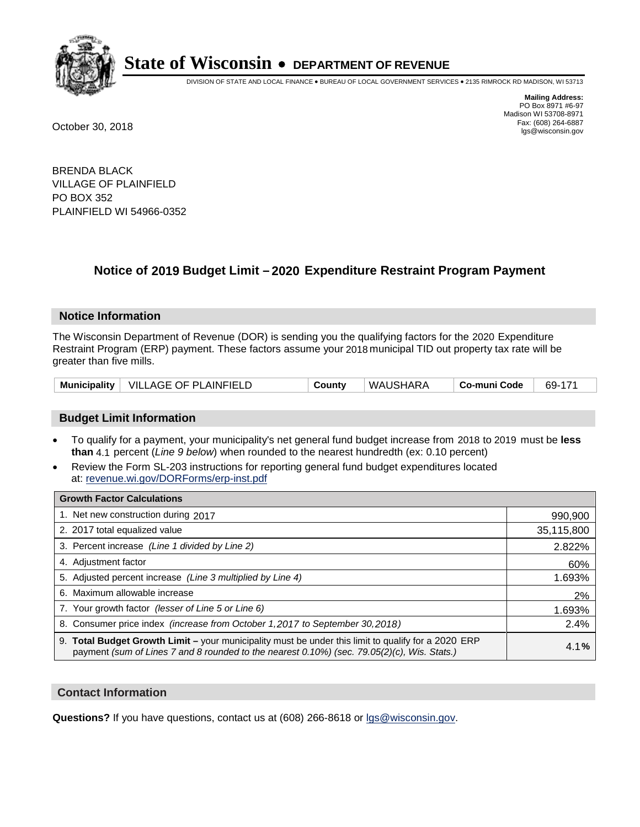

DIVISION OF STATE AND LOCAL FINANCE • BUREAU OF LOCAL GOVERNMENT SERVICES • 2135 RIMROCK RD MADISON, WI 53713

**Mailing Address:** PO Box 8971 #6-97 Madison WI 53708-8971<br>Fax: (608) 264-6887 Fax: (608) 264-6887 October 30, 2018 lgs@wisconsin.gov

BRENDA BLACK VILLAGE OF PLAINFIELD PO BOX 352 PLAINFIELD WI 54966-0352

### **Notice of 2019 Budget Limit - 2020 Expenditure Restraint Program Payment**

#### **Notice Information**

The Wisconsin Department of Revenue (DOR) is sending you the qualifying factors for the 2020 Expenditure Restraint Program (ERP) payment. These factors assume your 2018 municipal TID out property tax rate will be greater than five mills.

| Municipality   VILLAGE OF PLAINFIELD |  | County | WAUSHARA | Co-muni Code | 69-171 |
|--------------------------------------|--|--------|----------|--------------|--------|
|--------------------------------------|--|--------|----------|--------------|--------|

#### **Budget Limit Information**

- To qualify for a payment, your municipality's net general fund budget increase from 2018 to 2019 must be less **than** 4.1 percent (*Line 9 below*) when rounded to the nearest hundredth (ex: 0.10 percent)
- Review the Form SL-203 instructions for reporting general fund budget expenditures located at: revenue.wi.gov/DORForms/erp-inst.pdf

| <b>Growth Factor Calculations</b>                                                                                                                                                                      |            |
|--------------------------------------------------------------------------------------------------------------------------------------------------------------------------------------------------------|------------|
| 1. Net new construction during 2017                                                                                                                                                                    | 990,900    |
| 2. 2017 total equalized value                                                                                                                                                                          | 35,115,800 |
| 3. Percent increase (Line 1 divided by Line 2)                                                                                                                                                         | 2.822%     |
| 4. Adjustment factor                                                                                                                                                                                   | 60%        |
| 5. Adjusted percent increase (Line 3 multiplied by Line 4)                                                                                                                                             | 1.693%     |
| 6. Maximum allowable increase                                                                                                                                                                          | 2%         |
| 7. Your growth factor (lesser of Line 5 or Line 6)                                                                                                                                                     | 1.693%     |
| 8. Consumer price index (increase from October 1,2017 to September 30,2018)                                                                                                                            | 2.4%       |
| 9. Total Budget Growth Limit - your municipality must be under this limit to qualify for a 2020 ERP<br>payment (sum of Lines 7 and 8 rounded to the nearest $0.10\%$ ) (sec. 79.05(2)(c), Wis. Stats.) | 4.1%       |

#### **Contact Information**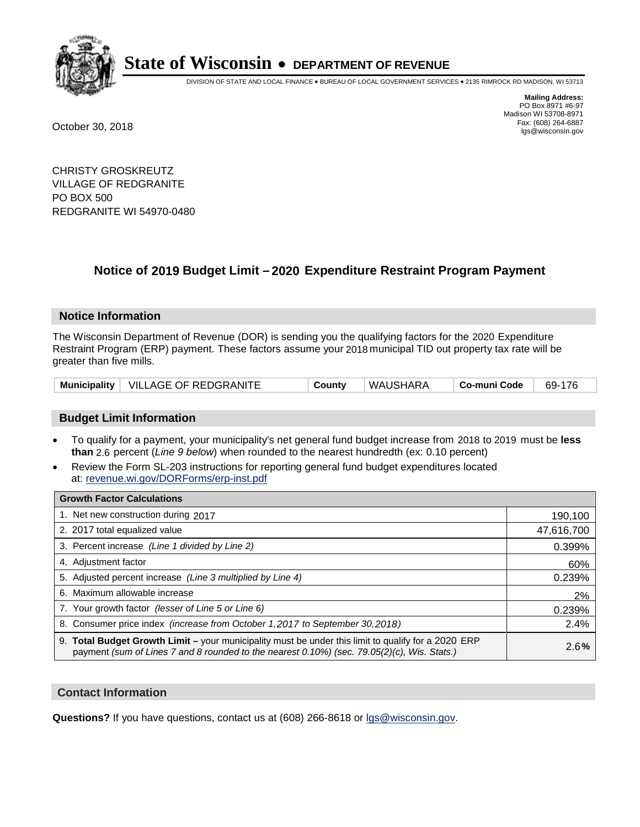

DIVISION OF STATE AND LOCAL FINANCE • BUREAU OF LOCAL GOVERNMENT SERVICES • 2135 RIMROCK RD MADISON, WI 53713

**Mailing Address:** PO Box 8971 #6-97 Madison WI 53708-8971<br>Fax: (608) 264-6887 Fax: (608) 264-6887 October 30, 2018 lgs@wisconsin.gov

CHRISTY GROSKREUTZ VILLAGE OF REDGRANITE PO BOX 500 REDGRANITE WI 54970-0480

## **Notice of 2019 Budget Limit - 2020 Expenditure Restraint Program Payment**

#### **Notice Information**

The Wisconsin Department of Revenue (DOR) is sending you the qualifying factors for the 2020 Expenditure Restraint Program (ERP) payment. These factors assume your 2018 municipal TID out property tax rate will be greater than five mills.

|  | Municipality   VILLAGE OF REDGRANITE | County | WAUSHARA | Co-muni Code | 69-176 |
|--|--------------------------------------|--------|----------|--------------|--------|
|--|--------------------------------------|--------|----------|--------------|--------|

#### **Budget Limit Information**

- To qualify for a payment, your municipality's net general fund budget increase from 2018 to 2019 must be less **than** 2.6 percent (*Line 9 below*) when rounded to the nearest hundredth (ex: 0.10 percent)
- Review the Form SL-203 instructions for reporting general fund budget expenditures located at: revenue.wi.gov/DORForms/erp-inst.pdf

| <b>Growth Factor Calculations</b>                                                                                                                                                                      |            |
|--------------------------------------------------------------------------------------------------------------------------------------------------------------------------------------------------------|------------|
| 1. Net new construction during 2017                                                                                                                                                                    | 190,100    |
| 2. 2017 total equalized value                                                                                                                                                                          | 47,616,700 |
| 3. Percent increase (Line 1 divided by Line 2)                                                                                                                                                         | 0.399%     |
| 4. Adjustment factor                                                                                                                                                                                   | 60%        |
| 5. Adjusted percent increase (Line 3 multiplied by Line 4)                                                                                                                                             | 0.239%     |
| 6. Maximum allowable increase                                                                                                                                                                          | 2%         |
| 7. Your growth factor (lesser of Line 5 or Line 6)                                                                                                                                                     | 0.239%     |
| 8. Consumer price index (increase from October 1,2017 to September 30,2018)                                                                                                                            | 2.4%       |
| 9. Total Budget Growth Limit - your municipality must be under this limit to qualify for a 2020 ERP<br>payment (sum of Lines 7 and 8 rounded to the nearest $0.10\%$ ) (sec. 79.05(2)(c), Wis. Stats.) | 2.6%       |

#### **Contact Information**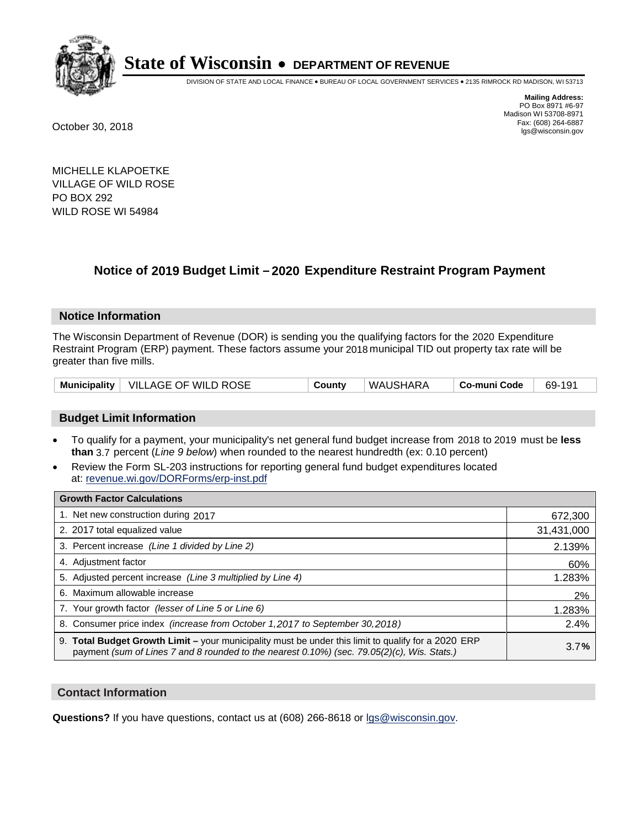

DIVISION OF STATE AND LOCAL FINANCE • BUREAU OF LOCAL GOVERNMENT SERVICES • 2135 RIMROCK RD MADISON, WI 53713

**Mailing Address:** PO Box 8971 #6-97 Madison WI 53708-8971<br>Fax: (608) 264-6887 Fax: (608) 264-6887 October 30, 2018 lgs@wisconsin.gov

MICHELLE KLAPOETKE VILLAGE OF WILD ROSE PO BOX 292 WILD ROSE WI 54984

## **Notice of 2019 Budget Limit - 2020 Expenditure Restraint Program Payment**

#### **Notice Information**

The Wisconsin Department of Revenue (DOR) is sending you the qualifying factors for the 2020 Expenditure Restraint Program (ERP) payment. These factors assume your 2018 municipal TID out property tax rate will be greater than five mills.

|  | Municipality   VILLAGE OF WILD ROSE | Countv | WAUSHARA | Co-muni Code | 69-191 |
|--|-------------------------------------|--------|----------|--------------|--------|
|--|-------------------------------------|--------|----------|--------------|--------|

#### **Budget Limit Information**

- To qualify for a payment, your municipality's net general fund budget increase from 2018 to 2019 must be less **than** 3.7 percent (*Line 9 below*) when rounded to the nearest hundredth (ex: 0.10 percent)
- Review the Form SL-203 instructions for reporting general fund budget expenditures located at: revenue.wi.gov/DORForms/erp-inst.pdf

| <b>Growth Factor Calculations</b>                                                                                                                                                                      |            |
|--------------------------------------------------------------------------------------------------------------------------------------------------------------------------------------------------------|------------|
| 1. Net new construction during 2017                                                                                                                                                                    | 672,300    |
| 2. 2017 total equalized value                                                                                                                                                                          | 31,431,000 |
| 3. Percent increase (Line 1 divided by Line 2)                                                                                                                                                         | 2.139%     |
| 4. Adjustment factor                                                                                                                                                                                   | 60%        |
| 5. Adjusted percent increase (Line 3 multiplied by Line 4)                                                                                                                                             | 1.283%     |
| 6. Maximum allowable increase                                                                                                                                                                          | 2%         |
| 7. Your growth factor (lesser of Line 5 or Line 6)                                                                                                                                                     | 1.283%     |
| 8. Consumer price index (increase from October 1,2017 to September 30,2018)                                                                                                                            | 2.4%       |
| 9. Total Budget Growth Limit - your municipality must be under this limit to qualify for a 2020 ERP<br>payment (sum of Lines 7 and 8 rounded to the nearest $0.10\%$ ) (sec. 79.05(2)(c), Wis. Stats.) | 3.7%       |

#### **Contact Information**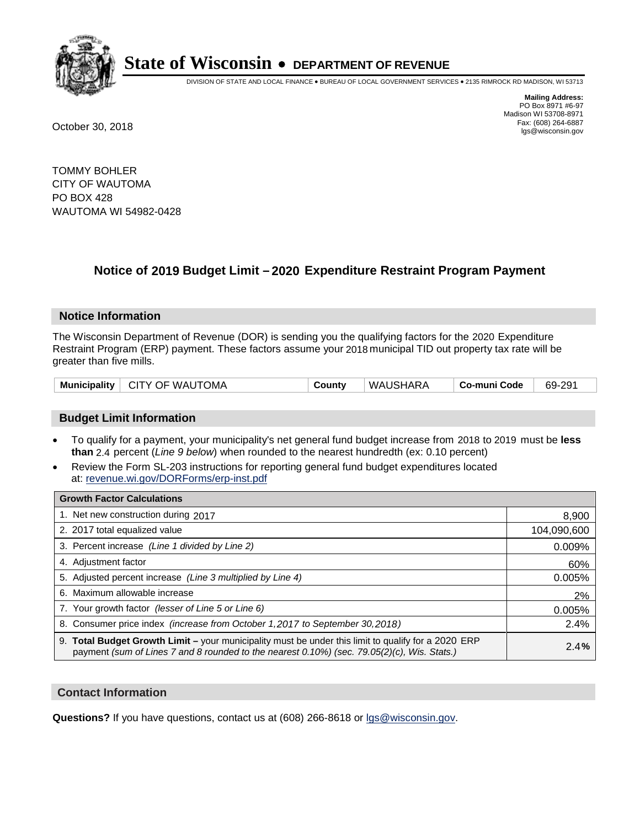

DIVISION OF STATE AND LOCAL FINANCE • BUREAU OF LOCAL GOVERNMENT SERVICES • 2135 RIMROCK RD MADISON, WI 53713

**Mailing Address:** PO Box 8971 #6-97 Madison WI 53708-8971<br>Fax: (608) 264-6887 Fax: (608) 264-6887 October 30, 2018 lgs@wisconsin.gov

TOMMY BOHLER CITY OF WAUTOMA PO BOX 428 WAUTOMA WI 54982-0428

## **Notice of 2019 Budget Limit - 2020 Expenditure Restraint Program Payment**

#### **Notice Information**

The Wisconsin Department of Revenue (DOR) is sending you the qualifying factors for the 2020 Expenditure Restraint Program (ERP) payment. These factors assume your 2018 municipal TID out property tax rate will be greater than five mills.

|  | Municipality   CITY OF WAUTOMA | County | ' WAUSHARA | ∣ Co-muni Code | 69-291 |
|--|--------------------------------|--------|------------|----------------|--------|
|--|--------------------------------|--------|------------|----------------|--------|

#### **Budget Limit Information**

- To qualify for a payment, your municipality's net general fund budget increase from 2018 to 2019 must be less **than** 2.4 percent (*Line 9 below*) when rounded to the nearest hundredth (ex: 0.10 percent)
- Review the Form SL-203 instructions for reporting general fund budget expenditures located at: revenue.wi.gov/DORForms/erp-inst.pdf

| <b>Growth Factor Calculations</b>                                                                                                                                                                      |             |
|--------------------------------------------------------------------------------------------------------------------------------------------------------------------------------------------------------|-------------|
| 1. Net new construction during 2017                                                                                                                                                                    | 8,900       |
| 2. 2017 total equalized value                                                                                                                                                                          | 104,090,600 |
| 3. Percent increase (Line 1 divided by Line 2)                                                                                                                                                         | 0.009%      |
| 4. Adjustment factor                                                                                                                                                                                   | 60%         |
| 5. Adjusted percent increase (Line 3 multiplied by Line 4)                                                                                                                                             | 0.005%      |
| 6. Maximum allowable increase                                                                                                                                                                          | 2%          |
| 7. Your growth factor (lesser of Line 5 or Line 6)                                                                                                                                                     | 0.005%      |
| 8. Consumer price index (increase from October 1, 2017 to September 30, 2018)                                                                                                                          | 2.4%        |
| 9. Total Budget Growth Limit - your municipality must be under this limit to qualify for a 2020 ERP<br>payment (sum of Lines 7 and 8 rounded to the nearest $0.10\%$ ) (sec. 79.05(2)(c), Wis. Stats.) | 2.4%        |

#### **Contact Information**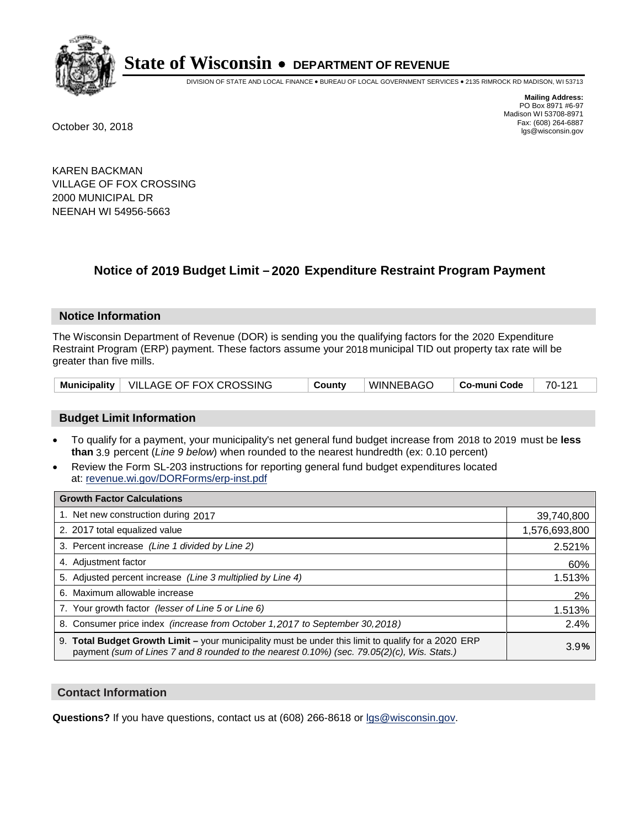

DIVISION OF STATE AND LOCAL FINANCE • BUREAU OF LOCAL GOVERNMENT SERVICES • 2135 RIMROCK RD MADISON, WI 53713

**Mailing Address:** PO Box 8971 #6-97 Madison WI 53708-8971<br>Fax: (608) 264-6887 Fax: (608) 264-6887 October 30, 2018 lgs@wisconsin.gov

KAREN BACKMAN VILLAGE OF FOX CROSSING 2000 MUNICIPAL DR NEENAH WI 54956-5663

## **Notice of 2019 Budget Limit - 2020 Expenditure Restraint Program Payment**

#### **Notice Information**

The Wisconsin Department of Revenue (DOR) is sending you the qualifying factors for the 2020 Expenditure Restraint Program (ERP) payment. These factors assume your 2018 municipal TID out property tax rate will be greater than five mills.

|  | Municipality   VILLAGE OF FOX CROSSING | County | WINNEBAGO | Co-muni Code | 70-121 |
|--|----------------------------------------|--------|-----------|--------------|--------|
|--|----------------------------------------|--------|-----------|--------------|--------|

#### **Budget Limit Information**

- To qualify for a payment, your municipality's net general fund budget increase from 2018 to 2019 must be less **than** 3.9 percent (*Line 9 below*) when rounded to the nearest hundredth (ex: 0.10 percent)
- Review the Form SL-203 instructions for reporting general fund budget expenditures located at: revenue.wi.gov/DORForms/erp-inst.pdf

| <b>Growth Factor Calculations</b>                                                                                                                                                                  |               |
|----------------------------------------------------------------------------------------------------------------------------------------------------------------------------------------------------|---------------|
| 1. Net new construction during 2017                                                                                                                                                                | 39,740,800    |
| 2. 2017 total equalized value                                                                                                                                                                      | 1,576,693,800 |
| 3. Percent increase (Line 1 divided by Line 2)                                                                                                                                                     | 2.521%        |
| 4. Adjustment factor                                                                                                                                                                               | 60%           |
| 5. Adjusted percent increase (Line 3 multiplied by Line 4)                                                                                                                                         | 1.513%        |
| 6. Maximum allowable increase                                                                                                                                                                      | 2%            |
| 7. Your growth factor (lesser of Line 5 or Line 6)                                                                                                                                                 | 1.513%        |
| 8. Consumer price index (increase from October 1,2017 to September 30,2018)                                                                                                                        | 2.4%          |
| 9. Total Budget Growth Limit - your municipality must be under this limit to qualify for a 2020 ERP<br>payment (sum of Lines 7 and 8 rounded to the nearest 0.10%) (sec. 79.05(2)(c), Wis. Stats.) | 3.9%          |

#### **Contact Information**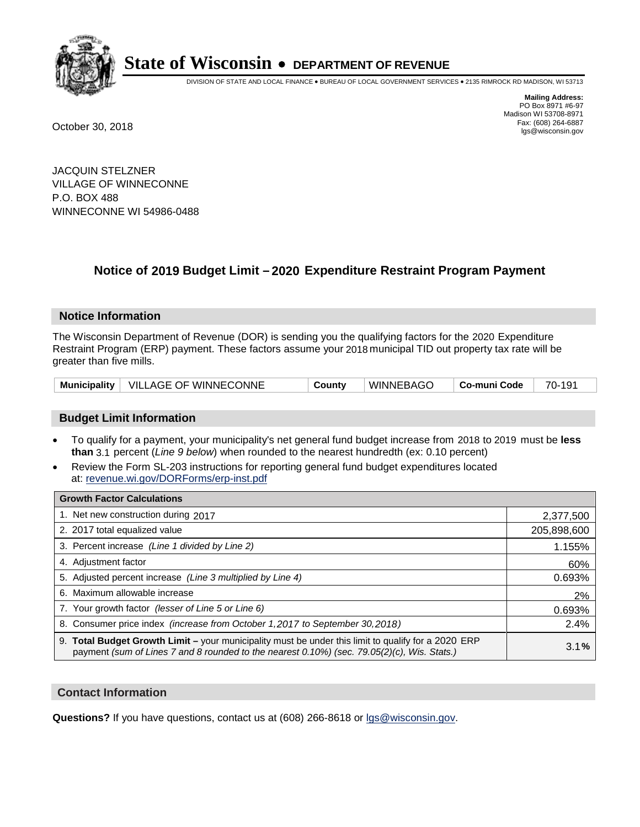

DIVISION OF STATE AND LOCAL FINANCE • BUREAU OF LOCAL GOVERNMENT SERVICES • 2135 RIMROCK RD MADISON, WI 53713

**Mailing Address:** PO Box 8971 #6-97 Madison WI 53708-8971<br>Fax: (608) 264-6887 Fax: (608) 264-6887 October 30, 2018 lgs@wisconsin.gov

JACQUIN STELZNER VILLAGE OF WINNECONNE P.O. BOX 488 WINNECONNE WI 54986-0488

## **Notice of 2019 Budget Limit - 2020 Expenditure Restraint Program Payment**

#### **Notice Information**

The Wisconsin Department of Revenue (DOR) is sending you the qualifying factors for the 2020 Expenditure Restraint Program (ERP) payment. These factors assume your 2018 municipal TID out property tax rate will be greater than five mills.

|  | Municipality   VILLAGE OF WINNECONNE | County | ' WINNEBAGO | │ Co-muni Code │ | 70-191 |
|--|--------------------------------------|--------|-------------|------------------|--------|
|--|--------------------------------------|--------|-------------|------------------|--------|

#### **Budget Limit Information**

- To qualify for a payment, your municipality's net general fund budget increase from 2018 to 2019 must be less **than** 3.1 percent (*Line 9 below*) when rounded to the nearest hundredth (ex: 0.10 percent)
- Review the Form SL-203 instructions for reporting general fund budget expenditures located at: revenue.wi.gov/DORForms/erp-inst.pdf

| <b>Growth Factor Calculations</b>                                                                                                                                                                  |             |
|----------------------------------------------------------------------------------------------------------------------------------------------------------------------------------------------------|-------------|
| 1. Net new construction during 2017                                                                                                                                                                | 2,377,500   |
| 2. 2017 total equalized value                                                                                                                                                                      | 205,898,600 |
| 3. Percent increase (Line 1 divided by Line 2)                                                                                                                                                     | 1.155%      |
| 4. Adjustment factor                                                                                                                                                                               | 60%         |
| 5. Adjusted percent increase (Line 3 multiplied by Line 4)                                                                                                                                         | 0.693%      |
| 6. Maximum allowable increase                                                                                                                                                                      | 2%          |
| 7. Your growth factor (lesser of Line 5 or Line 6)                                                                                                                                                 | 0.693%      |
| 8. Consumer price index (increase from October 1,2017 to September 30,2018)                                                                                                                        | 2.4%        |
| 9. Total Budget Growth Limit - your municipality must be under this limit to qualify for a 2020 ERP<br>payment (sum of Lines 7 and 8 rounded to the nearest 0.10%) (sec. 79.05(2)(c), Wis. Stats.) | 3.1%        |

#### **Contact Information**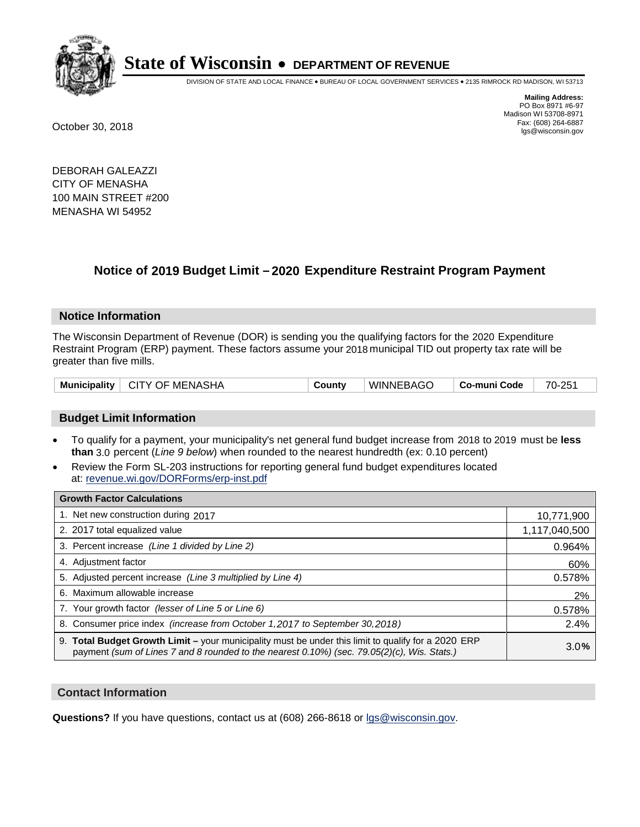

DIVISION OF STATE AND LOCAL FINANCE • BUREAU OF LOCAL GOVERNMENT SERVICES • 2135 RIMROCK RD MADISON, WI 53713

**Mailing Address:** PO Box 8971 #6-97 Madison WI 53708-8971<br>Fax: (608) 264-6887 Fax: (608) 264-6887 October 30, 2018 lgs@wisconsin.gov

DEBORAH GALEAZZI CITY OF MENASHA 100 MAIN STREET #200 MENASHA WI 54952

## **Notice of 2019 Budget Limit - 2020 Expenditure Restraint Program Payment**

#### **Notice Information**

The Wisconsin Department of Revenue (DOR) is sending you the qualifying factors for the 2020 Expenditure Restraint Program (ERP) payment. These factors assume your 2018 municipal TID out property tax rate will be greater than five mills.

| Municipality | ∣ CITY OF MENASHA | County | <b>WINNEBAGO</b> | Co-muni Code | 70-251 |
|--------------|-------------------|--------|------------------|--------------|--------|
|--------------|-------------------|--------|------------------|--------------|--------|

#### **Budget Limit Information**

- To qualify for a payment, your municipality's net general fund budget increase from 2018 to 2019 must be less **than** 3.0 percent (*Line 9 below*) when rounded to the nearest hundredth (ex: 0.10 percent)
- Review the Form SL-203 instructions for reporting general fund budget expenditures located at: revenue.wi.gov/DORForms/erp-inst.pdf

| <b>Growth Factor Calculations</b>                                                                                                                                                                  |               |
|----------------------------------------------------------------------------------------------------------------------------------------------------------------------------------------------------|---------------|
| 1. Net new construction during 2017                                                                                                                                                                | 10,771,900    |
| 2. 2017 total equalized value                                                                                                                                                                      | 1,117,040,500 |
| 3. Percent increase (Line 1 divided by Line 2)                                                                                                                                                     | 0.964%        |
| 4. Adjustment factor                                                                                                                                                                               | 60%           |
| 5. Adjusted percent increase (Line 3 multiplied by Line 4)                                                                                                                                         | 0.578%        |
| 6. Maximum allowable increase                                                                                                                                                                      | 2%            |
| 7. Your growth factor (lesser of Line 5 or Line 6)                                                                                                                                                 | 0.578%        |
| 8. Consumer price index (increase from October 1, 2017 to September 30, 2018)                                                                                                                      | 2.4%          |
| 9. Total Budget Growth Limit - your municipality must be under this limit to qualify for a 2020 ERP<br>payment (sum of Lines 7 and 8 rounded to the nearest 0.10%) (sec. 79.05(2)(c), Wis. Stats.) | 3.0%          |

#### **Contact Information**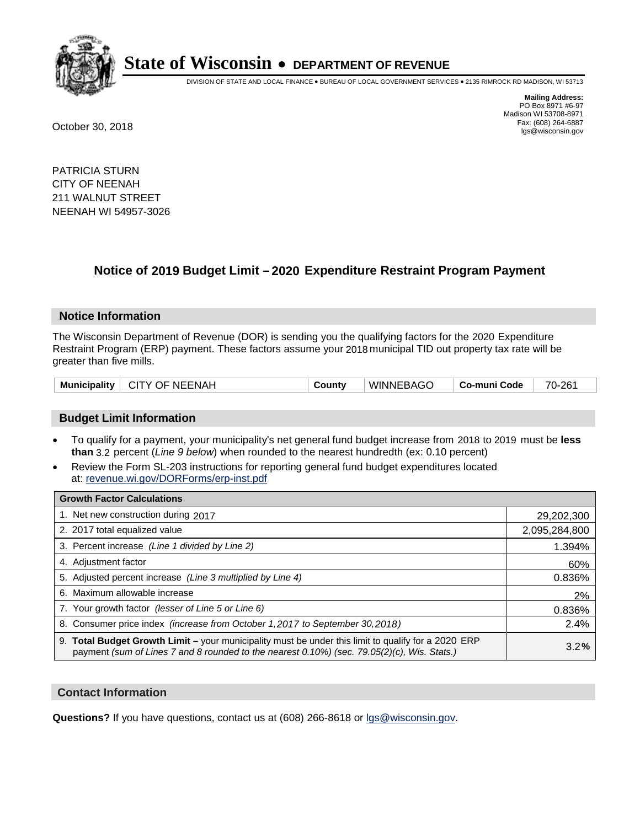

DIVISION OF STATE AND LOCAL FINANCE • BUREAU OF LOCAL GOVERNMENT SERVICES • 2135 RIMROCK RD MADISON, WI 53713

**Mailing Address:** PO Box 8971 #6-97 Madison WI 53708-8971<br>Fax: (608) 264-6887 Fax: (608) 264-6887 October 30, 2018 lgs@wisconsin.gov

PATRICIA STURN CITY OF NEENAH 211 WALNUT STREET NEENAH WI 54957-3026

### **Notice of 2019 Budget Limit - 2020 Expenditure Restraint Program Payment**

#### **Notice Information**

The Wisconsin Department of Revenue (DOR) is sending you the qualifying factors for the 2020 Expenditure Restraint Program (ERP) payment. These factors assume your 2018 municipal TID out property tax rate will be greater than five mills.

| Municipality   CITY OF NEENAH | County | WINNEBAGO | ∣ Co-muni Code ∣ | 70-261 |
|-------------------------------|--------|-----------|------------------|--------|
|-------------------------------|--------|-----------|------------------|--------|

#### **Budget Limit Information**

- To qualify for a payment, your municipality's net general fund budget increase from 2018 to 2019 must be less **than** 3.2 percent (*Line 9 below*) when rounded to the nearest hundredth (ex: 0.10 percent)
- Review the Form SL-203 instructions for reporting general fund budget expenditures located at: revenue.wi.gov/DORForms/erp-inst.pdf

| <b>Growth Factor Calculations</b>                                                                                                                                                                  |               |
|----------------------------------------------------------------------------------------------------------------------------------------------------------------------------------------------------|---------------|
| 1. Net new construction during 2017                                                                                                                                                                | 29,202,300    |
| 2. 2017 total equalized value                                                                                                                                                                      | 2,095,284,800 |
| 3. Percent increase (Line 1 divided by Line 2)                                                                                                                                                     | 1.394%        |
| 4. Adjustment factor                                                                                                                                                                               | 60%           |
| 5. Adjusted percent increase (Line 3 multiplied by Line 4)                                                                                                                                         | 0.836%        |
| 6. Maximum allowable increase                                                                                                                                                                      | 2%            |
| 7. Your growth factor (lesser of Line 5 or Line 6)                                                                                                                                                 | 0.836%        |
| 8. Consumer price index (increase from October 1, 2017 to September 30, 2018)                                                                                                                      | 2.4%          |
| 9. Total Budget Growth Limit - your municipality must be under this limit to qualify for a 2020 ERP<br>payment (sum of Lines 7 and 8 rounded to the nearest 0.10%) (sec. 79.05(2)(c), Wis. Stats.) | 3.2%          |

#### **Contact Information**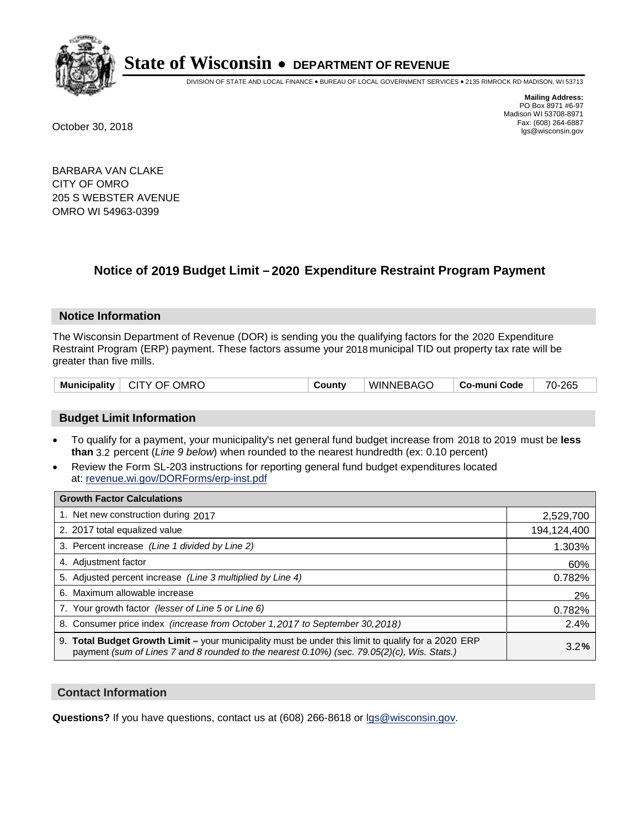

DIVISION OF STATE AND LOCAL FINANCE • BUREAU OF LOCAL GOVERNMENT SERVICES • 2135 RIMROCK RD MADISON, WI 53713

**Mailing Address:** PO Box 8971 #6-97 Madison WI 53708-8971<br>Fax: (608) 264-6887 Fax: (608) 264-6887 October 30, 2018 lgs@wisconsin.gov

BARBARA VAN CLAKE CITY OF OMRO 205 S WEBSTER AVENUE OMRO WI 54963-0399

## **Notice of 2019 Budget Limit - 2020 Expenditure Restraint Program Payment**

#### **Notice Information**

The Wisconsin Department of Revenue (DOR) is sending you the qualifying factors for the 2020 Expenditure Restraint Program (ERP) payment. These factors assume your 2018 municipal TID out property tax rate will be greater than five mills.

| Municipality   CITY OF OMRO |  | County | WINNEBAGO | ∣ Co-muni Code ∣ | 70-265 |
|-----------------------------|--|--------|-----------|------------------|--------|
|-----------------------------|--|--------|-----------|------------------|--------|

#### **Budget Limit Information**

- To qualify for a payment, your municipality's net general fund budget increase from 2018 to 2019 must be less **than** 3.2 percent (*Line 9 below*) when rounded to the nearest hundredth (ex: 0.10 percent)
- Review the Form SL-203 instructions for reporting general fund budget expenditures located at: revenue.wi.gov/DORForms/erp-inst.pdf

| <b>Growth Factor Calculations</b>                                                                                                                                                                      |             |
|--------------------------------------------------------------------------------------------------------------------------------------------------------------------------------------------------------|-------------|
| 1. Net new construction during 2017                                                                                                                                                                    | 2,529,700   |
| 2. 2017 total equalized value                                                                                                                                                                          | 194,124,400 |
| 3. Percent increase (Line 1 divided by Line 2)                                                                                                                                                         | 1.303%      |
| 4. Adjustment factor                                                                                                                                                                                   | 60%         |
| 5. Adjusted percent increase (Line 3 multiplied by Line 4)                                                                                                                                             | 0.782%      |
| 6. Maximum allowable increase                                                                                                                                                                          | 2%          |
| 7. Your growth factor (lesser of Line 5 or Line 6)                                                                                                                                                     | 0.782%      |
| 8. Consumer price index (increase from October 1,2017 to September 30,2018)                                                                                                                            | 2.4%        |
| 9. Total Budget Growth Limit - your municipality must be under this limit to qualify for a 2020 ERP<br>payment (sum of Lines 7 and 8 rounded to the nearest $0.10\%$ ) (sec. 79.05(2)(c), Wis. Stats.) | 3.2%        |

#### **Contact Information**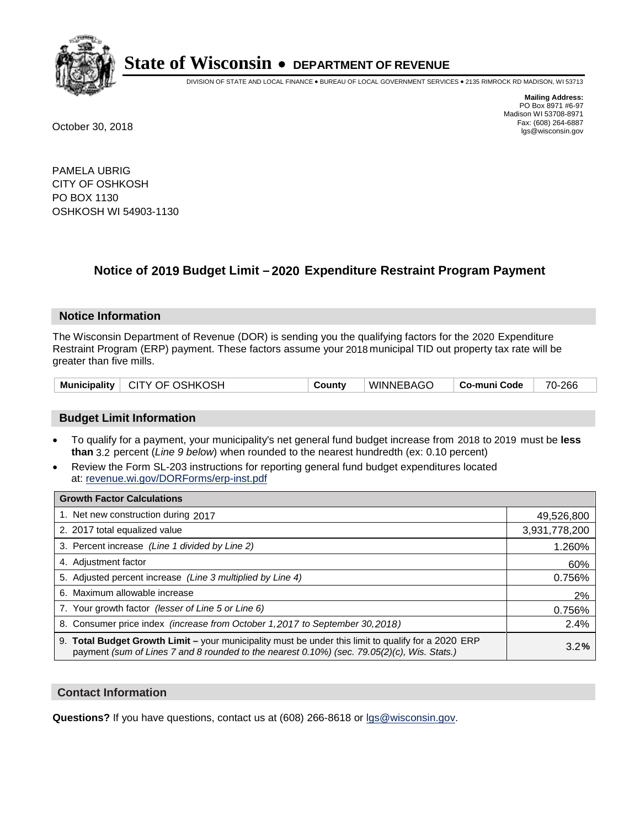

DIVISION OF STATE AND LOCAL FINANCE • BUREAU OF LOCAL GOVERNMENT SERVICES • 2135 RIMROCK RD MADISON, WI 53713

**Mailing Address:** PO Box 8971 #6-97 Madison WI 53708-8971<br>Fax: (608) 264-6887 Fax: (608) 264-6887 October 30, 2018 lgs@wisconsin.gov

PAMELA UBRIG CITY OF OSHKOSH PO BOX 1130 OSHKOSH WI 54903-1130

## **Notice of 2019 Budget Limit - 2020 Expenditure Restraint Program Payment**

#### **Notice Information**

The Wisconsin Department of Revenue (DOR) is sending you the qualifying factors for the 2020 Expenditure Restraint Program (ERP) payment. These factors assume your 2018 municipal TID out property tax rate will be greater than five mills.

|  | Municipality   CITY OF OSHKOSH | County | WINNEBAGO | Co-muni Code | 70-266 |
|--|--------------------------------|--------|-----------|--------------|--------|
|--|--------------------------------|--------|-----------|--------------|--------|

#### **Budget Limit Information**

- To qualify for a payment, your municipality's net general fund budget increase from 2018 to 2019 must be less **than** 3.2 percent (*Line 9 below*) when rounded to the nearest hundredth (ex: 0.10 percent)
- Review the Form SL-203 instructions for reporting general fund budget expenditures located at: revenue.wi.gov/DORForms/erp-inst.pdf

| <b>Growth Factor Calculations</b>                                                                                                                                                                  |               |
|----------------------------------------------------------------------------------------------------------------------------------------------------------------------------------------------------|---------------|
| 1. Net new construction during 2017                                                                                                                                                                | 49,526,800    |
| 2. 2017 total equalized value                                                                                                                                                                      | 3,931,778,200 |
| 3. Percent increase (Line 1 divided by Line 2)                                                                                                                                                     | 1.260%        |
| 4. Adjustment factor                                                                                                                                                                               | 60%           |
| 5. Adjusted percent increase (Line 3 multiplied by Line 4)                                                                                                                                         | 0.756%        |
| 6. Maximum allowable increase                                                                                                                                                                      | 2%            |
| 7. Your growth factor (lesser of Line 5 or Line 6)                                                                                                                                                 | 0.756%        |
| 8. Consumer price index (increase from October 1,2017 to September 30,2018)                                                                                                                        | 2.4%          |
| 9. Total Budget Growth Limit - your municipality must be under this limit to qualify for a 2020 ERP<br>payment (sum of Lines 7 and 8 rounded to the nearest 0.10%) (sec. 79.05(2)(c), Wis. Stats.) | 3.2%          |

#### **Contact Information**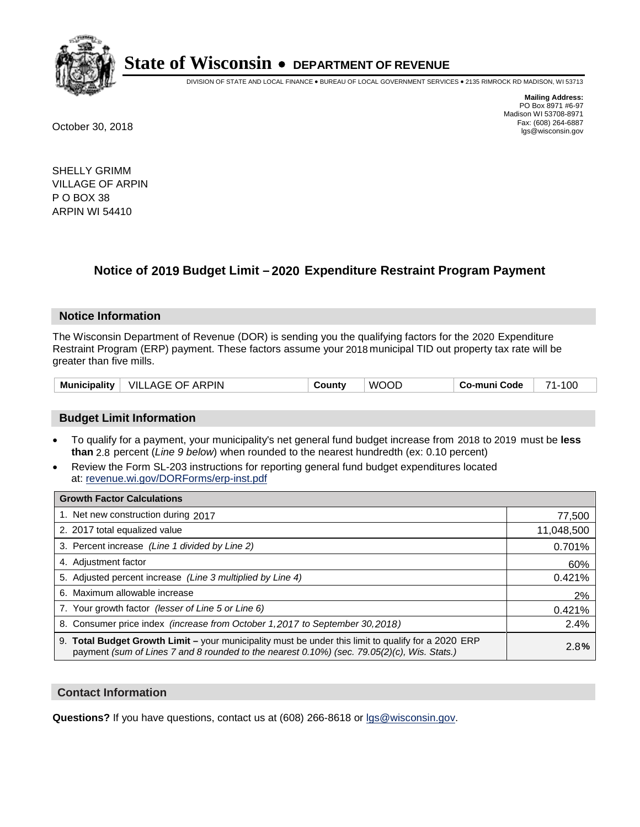

DIVISION OF STATE AND LOCAL FINANCE • BUREAU OF LOCAL GOVERNMENT SERVICES • 2135 RIMROCK RD MADISON, WI 53713

**Mailing Address:** PO Box 8971 #6-97 Madison WI 53708-8971<br>Fax: (608) 264-6887 Fax: (608) 264-6887 October 30, 2018 lgs@wisconsin.gov

SHELLY GRIMM VILLAGE OF ARPIN P O BOX 38 ARPIN WI 54410

## **Notice of 2019 Budget Limit - 2020 Expenditure Restraint Program Payment**

#### **Notice Information**

The Wisconsin Department of Revenue (DOR) is sending you the qualifying factors for the 2020 Expenditure Restraint Program (ERP) payment. These factors assume your 2018 municipal TID out property tax rate will be greater than five mills.

| Municipality | VILLAGE OF ARPIN | County | <b>WOOD</b> | Co-muni Code | 100<br>74 |
|--------------|------------------|--------|-------------|--------------|-----------|
|--------------|------------------|--------|-------------|--------------|-----------|

#### **Budget Limit Information**

- To qualify for a payment, your municipality's net general fund budget increase from 2018 to 2019 must be less **than** 2.8 percent (*Line 9 below*) when rounded to the nearest hundredth (ex: 0.10 percent)
- Review the Form SL-203 instructions for reporting general fund budget expenditures located at: revenue.wi.gov/DORForms/erp-inst.pdf

| <b>Growth Factor Calculations</b>                                                                                                                                                                      |            |
|--------------------------------------------------------------------------------------------------------------------------------------------------------------------------------------------------------|------------|
| 1. Net new construction during 2017                                                                                                                                                                    | 77,500     |
| 2. 2017 total equalized value                                                                                                                                                                          | 11,048,500 |
| 3. Percent increase (Line 1 divided by Line 2)                                                                                                                                                         | 0.701%     |
| 4. Adjustment factor                                                                                                                                                                                   | 60%        |
| 5. Adjusted percent increase (Line 3 multiplied by Line 4)                                                                                                                                             | 0.421%     |
| 6. Maximum allowable increase                                                                                                                                                                          | 2%         |
| 7. Your growth factor (lesser of Line 5 or Line 6)                                                                                                                                                     | 0.421%     |
| 8. Consumer price index (increase from October 1,2017 to September 30,2018)                                                                                                                            | 2.4%       |
| 9. Total Budget Growth Limit - your municipality must be under this limit to qualify for a 2020 ERP<br>payment (sum of Lines 7 and 8 rounded to the nearest $0.10\%$ ) (sec. 79.05(2)(c), Wis. Stats.) | 2.8%       |

#### **Contact Information**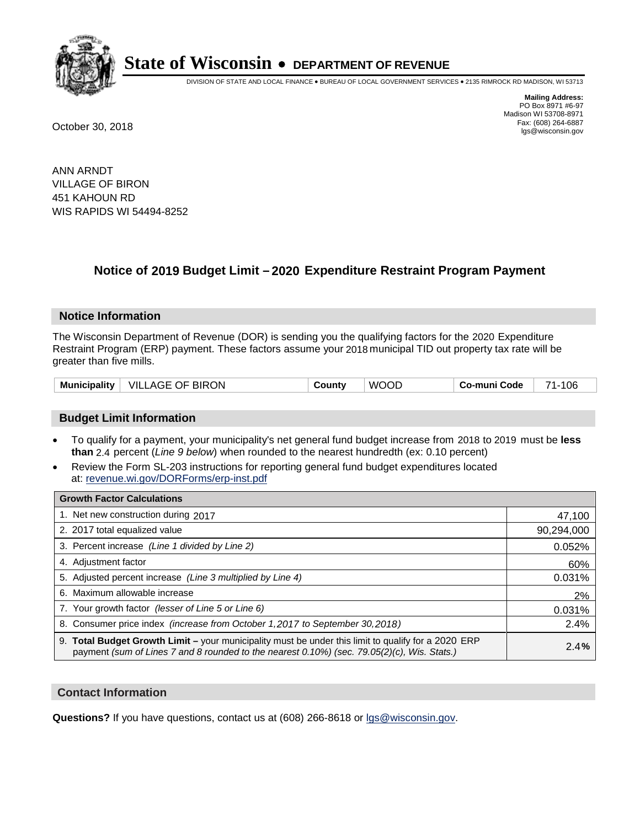

DIVISION OF STATE AND LOCAL FINANCE • BUREAU OF LOCAL GOVERNMENT SERVICES • 2135 RIMROCK RD MADISON, WI 53713

**Mailing Address:** PO Box 8971 #6-97 Madison WI 53708-8971<br>Fax: (608) 264-6887 Fax: (608) 264-6887 October 30, 2018 lgs@wisconsin.gov

ANN ARNDT VILLAGE OF BIRON 451 KAHOUN RD WIS RAPIDS WI 54494-8252

### **Notice of 2019 Budget Limit - 2020 Expenditure Restraint Program Payment**

#### **Notice Information**

The Wisconsin Department of Revenue (DOR) is sending you the qualifying factors for the 2020 Expenditure Restraint Program (ERP) payment. These factors assume your 2018 municipal TID out property tax rate will be greater than five mills.

### **Budget Limit Information**

- To qualify for a payment, your municipality's net general fund budget increase from 2018 to 2019 must be less **than** 2.4 percent (*Line 9 below*) when rounded to the nearest hundredth (ex: 0.10 percent)
- Review the Form SL-203 instructions for reporting general fund budget expenditures located at: revenue.wi.gov/DORForms/erp-inst.pdf

| <b>Growth Factor Calculations</b>                                                                                                                                                                  |            |
|----------------------------------------------------------------------------------------------------------------------------------------------------------------------------------------------------|------------|
| 1. Net new construction during 2017                                                                                                                                                                | 47,100     |
| 2. 2017 total equalized value                                                                                                                                                                      | 90,294,000 |
| 3. Percent increase (Line 1 divided by Line 2)                                                                                                                                                     | 0.052%     |
| 4. Adjustment factor                                                                                                                                                                               | 60%        |
| 5. Adjusted percent increase (Line 3 multiplied by Line 4)                                                                                                                                         | 0.031%     |
| 6. Maximum allowable increase                                                                                                                                                                      | 2%         |
| 7. Your growth factor (lesser of Line 5 or Line 6)                                                                                                                                                 | 0.031%     |
| 8. Consumer price index (increase from October 1, 2017 to September 30, 2018)                                                                                                                      | 2.4%       |
| 9. Total Budget Growth Limit - your municipality must be under this limit to qualify for a 2020 ERP<br>payment (sum of Lines 7 and 8 rounded to the nearest 0.10%) (sec. 79.05(2)(c), Wis. Stats.) | 2.4%       |

### **Contact Information**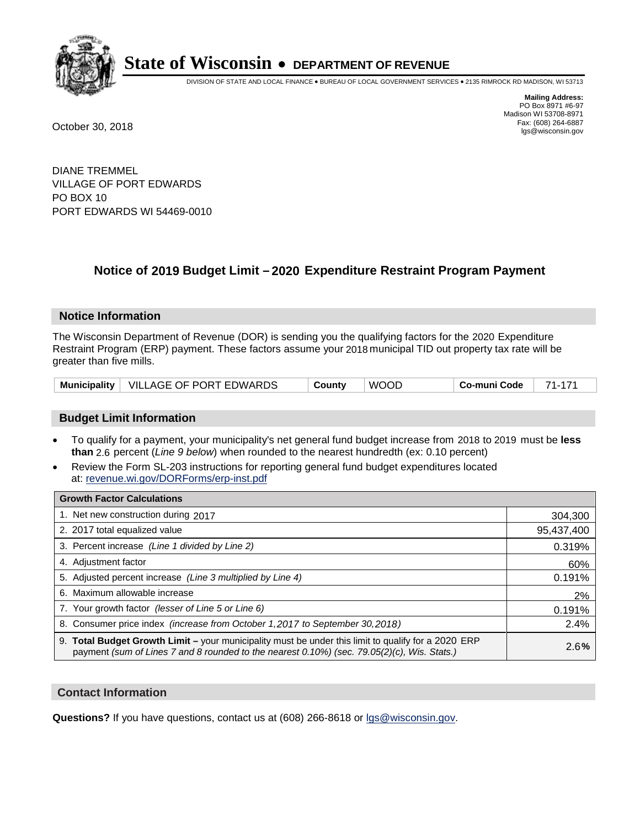

DIVISION OF STATE AND LOCAL FINANCE • BUREAU OF LOCAL GOVERNMENT SERVICES • 2135 RIMROCK RD MADISON, WI 53713

**Mailing Address:** PO Box 8971 #6-97 Madison WI 53708-8971<br>Fax: (608) 264-6887 Fax: (608) 264-6887 October 30, 2018 lgs@wisconsin.gov

DIANE TREMMEL VILLAGE OF PORT EDWARDS PO BOX 10 PORT EDWARDS WI 54469-0010

### **Notice of 2019 Budget Limit - 2020 Expenditure Restraint Program Payment**

### **Notice Information**

The Wisconsin Department of Revenue (DOR) is sending you the qualifying factors for the 2020 Expenditure Restraint Program (ERP) payment. These factors assume your 2018 municipal TID out property tax rate will be greater than five mills.

|  | Municipality   VILLAGE OF PORT EDWARDS | County | <b>WOOD</b> | Co-muni Code | -74 |
|--|----------------------------------------|--------|-------------|--------------|-----|
|--|----------------------------------------|--------|-------------|--------------|-----|

### **Budget Limit Information**

- To qualify for a payment, your municipality's net general fund budget increase from 2018 to 2019 must be less **than** 2.6 percent (*Line 9 below*) when rounded to the nearest hundredth (ex: 0.10 percent)
- Review the Form SL-203 instructions for reporting general fund budget expenditures located at: revenue.wi.gov/DORForms/erp-inst.pdf

| <b>Growth Factor Calculations</b>                                                                                                                                                                  |            |
|----------------------------------------------------------------------------------------------------------------------------------------------------------------------------------------------------|------------|
| 1. Net new construction during 2017                                                                                                                                                                | 304,300    |
| 2. 2017 total equalized value                                                                                                                                                                      | 95,437,400 |
| 3. Percent increase (Line 1 divided by Line 2)                                                                                                                                                     | 0.319%     |
| 4. Adjustment factor                                                                                                                                                                               | 60%        |
| 5. Adjusted percent increase (Line 3 multiplied by Line 4)                                                                                                                                         | 0.191%     |
| 6. Maximum allowable increase                                                                                                                                                                      | 2%         |
| 7. Your growth factor (lesser of Line 5 or Line 6)                                                                                                                                                 | 0.191%     |
| 8. Consumer price index (increase from October 1, 2017 to September 30, 2018)                                                                                                                      | 2.4%       |
| 9. Total Budget Growth Limit - your municipality must be under this limit to qualify for a 2020 ERP<br>payment (sum of Lines 7 and 8 rounded to the nearest 0.10%) (sec. 79.05(2)(c), Wis. Stats.) | 2.6%       |

### **Contact Information**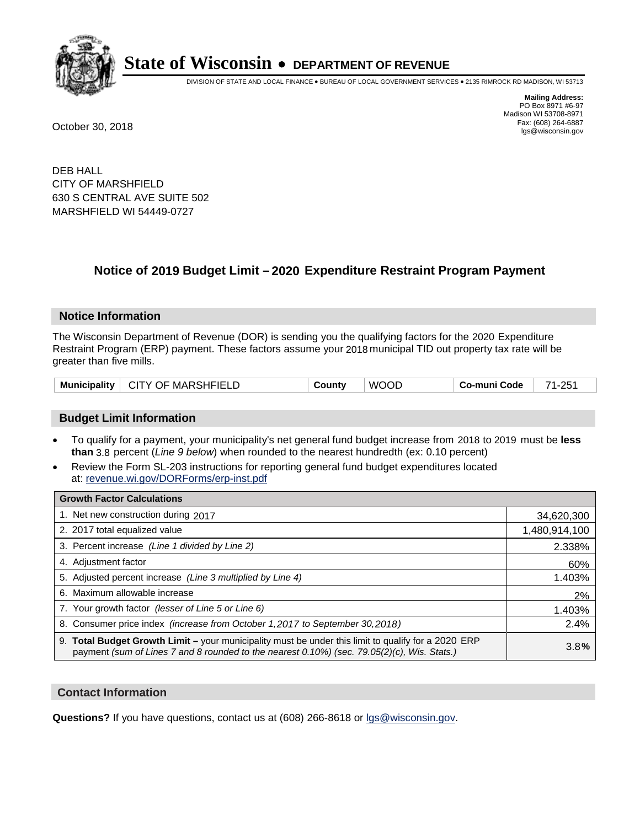

DIVISION OF STATE AND LOCAL FINANCE • BUREAU OF LOCAL GOVERNMENT SERVICES • 2135 RIMROCK RD MADISON, WI 53713

**Mailing Address:** PO Box 8971 #6-97 Madison WI 53708-8971<br>Fax: (608) 264-6887 Fax: (608) 264-6887 October 30, 2018 lgs@wisconsin.gov

DEB HALL CITY OF MARSHFIELD 630 S CENTRAL AVE SUITE 502 MARSHFIELD WI 54449-0727

### **Notice of 2019 Budget Limit - 2020 Expenditure Restraint Program Payment**

### **Notice Information**

The Wisconsin Department of Revenue (DOR) is sending you the qualifying factors for the 2020 Expenditure Restraint Program (ERP) payment. These factors assume your 2018 municipal TID out property tax rate will be greater than five mills.

| CITY OF MARSHFIELD<br><b>Municipality</b> | County | <b>WOOD</b> | Co-muni Code | 71-251 |
|-------------------------------------------|--------|-------------|--------------|--------|
|-------------------------------------------|--------|-------------|--------------|--------|

### **Budget Limit Information**

- To qualify for a payment, your municipality's net general fund budget increase from 2018 to 2019 must be less **than** 3.8 percent (*Line 9 below*) when rounded to the nearest hundredth (ex: 0.10 percent)
- Review the Form SL-203 instructions for reporting general fund budget expenditures located at: revenue.wi.gov/DORForms/erp-inst.pdf

| <b>Growth Factor Calculations</b>                                                                                                                                                                  |               |
|----------------------------------------------------------------------------------------------------------------------------------------------------------------------------------------------------|---------------|
| 1. Net new construction during 2017                                                                                                                                                                | 34,620,300    |
| 2. 2017 total equalized value                                                                                                                                                                      | 1,480,914,100 |
| 3. Percent increase (Line 1 divided by Line 2)                                                                                                                                                     | 2.338%        |
| 4. Adjustment factor                                                                                                                                                                               | 60%           |
| 5. Adjusted percent increase (Line 3 multiplied by Line 4)                                                                                                                                         | 1.403%        |
| 6. Maximum allowable increase                                                                                                                                                                      | 2%            |
| 7. Your growth factor (lesser of Line 5 or Line 6)                                                                                                                                                 | 1.403%        |
| 8. Consumer price index (increase from October 1, 2017 to September 30, 2018)                                                                                                                      | 2.4%          |
| 9. Total Budget Growth Limit - your municipality must be under this limit to qualify for a 2020 ERP<br>payment (sum of Lines 7 and 8 rounded to the nearest 0.10%) (sec. 79.05(2)(c), Wis. Stats.) | 3.8%          |

### **Contact Information**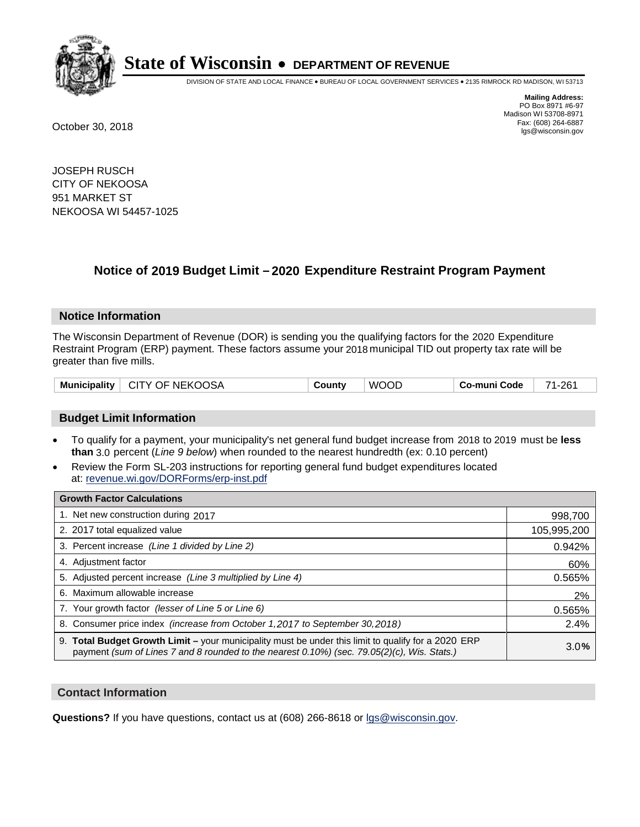

DIVISION OF STATE AND LOCAL FINANCE • BUREAU OF LOCAL GOVERNMENT SERVICES • 2135 RIMROCK RD MADISON, WI 53713

**Mailing Address:** PO Box 8971 #6-97 Madison WI 53708-8971<br>Fax: (608) 264-6887 Fax: (608) 264-6887 October 30, 2018 lgs@wisconsin.gov

JOSEPH RUSCH CITY OF NEKOOSA 951 MARKET ST NEKOOSA WI 54457-1025

### **Notice of 2019 Budget Limit - 2020 Expenditure Restraint Program Payment**

### **Notice Information**

The Wisconsin Department of Revenue (DOR) is sending you the qualifying factors for the 2020 Expenditure Restraint Program (ERP) payment. These factors assume your 2018 municipal TID out property tax rate will be greater than five mills.

| <b>Municipality</b> | CITY OF NEKOOSA | Countv | COL<br>WC | Co-muni Code | 261 |
|---------------------|-----------------|--------|-----------|--------------|-----|
|---------------------|-----------------|--------|-----------|--------------|-----|

### **Budget Limit Information**

- To qualify for a payment, your municipality's net general fund budget increase from 2018 to 2019 must be less **than** 3.0 percent (*Line 9 below*) when rounded to the nearest hundredth (ex: 0.10 percent)
- Review the Form SL-203 instructions for reporting general fund budget expenditures located at: revenue.wi.gov/DORForms/erp-inst.pdf

| <b>Growth Factor Calculations</b>                                                                                                                                                                      |             |
|--------------------------------------------------------------------------------------------------------------------------------------------------------------------------------------------------------|-------------|
| 1. Net new construction during 2017                                                                                                                                                                    | 998,700     |
| 2. 2017 total equalized value                                                                                                                                                                          | 105,995,200 |
| 3. Percent increase (Line 1 divided by Line 2)                                                                                                                                                         | 0.942%      |
| 4. Adjustment factor                                                                                                                                                                                   | 60%         |
| 5. Adjusted percent increase (Line 3 multiplied by Line 4)                                                                                                                                             | 0.565%      |
| 6. Maximum allowable increase                                                                                                                                                                          | 2%          |
| 7. Your growth factor (lesser of Line 5 or Line 6)                                                                                                                                                     | 0.565%      |
| 8. Consumer price index (increase from October 1,2017 to September 30,2018)                                                                                                                            | 2.4%        |
| 9. Total Budget Growth Limit - your municipality must be under this limit to qualify for a 2020 ERP<br>payment (sum of Lines 7 and 8 rounded to the nearest $0.10\%$ ) (sec. 79.05(2)(c), Wis. Stats.) | 3.0%        |

### **Contact Information**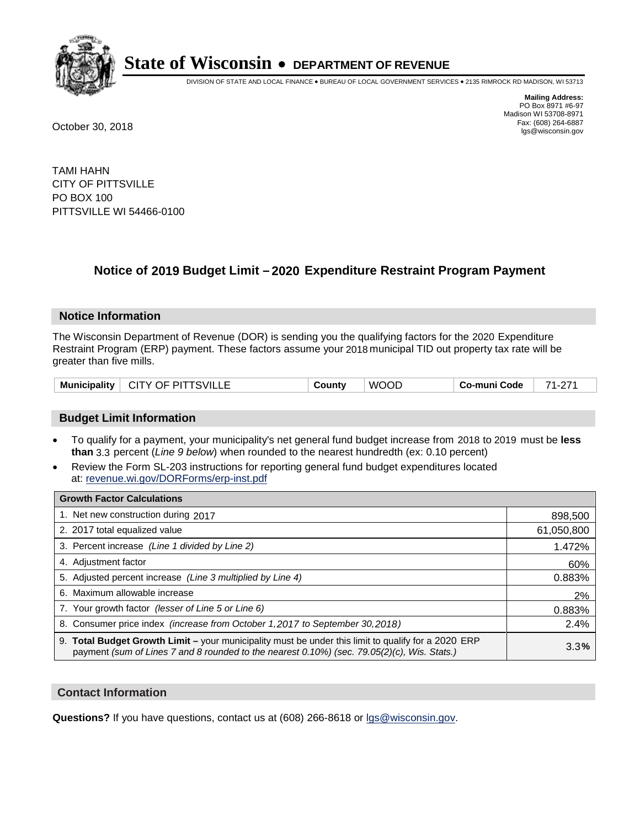

DIVISION OF STATE AND LOCAL FINANCE • BUREAU OF LOCAL GOVERNMENT SERVICES • 2135 RIMROCK RD MADISON, WI 53713

**Mailing Address:** PO Box 8971 #6-97 Madison WI 53708-8971<br>Fax: (608) 264-6887 Fax: (608) 264-6887 October 30, 2018 lgs@wisconsin.gov

TAMI HAHN CITY OF PITTSVILLE PO BOX 100 PITTSVILLE WI 54466-0100

### **Notice of 2019 Budget Limit - 2020 Expenditure Restraint Program Payment**

### **Notice Information**

The Wisconsin Department of Revenue (DOR) is sending you the qualifying factors for the 2020 Expenditure Restraint Program (ERP) payment. These factors assume your 2018 municipal TID out property tax rate will be greater than five mills.

| Municipality | <b>CITY OF PITTSVILLE</b> | County | <b>WOOD</b> | Co-muni Code | 74<br><u>.</u> |
|--------------|---------------------------|--------|-------------|--------------|----------------|
|--------------|---------------------------|--------|-------------|--------------|----------------|

### **Budget Limit Information**

- To qualify for a payment, your municipality's net general fund budget increase from 2018 to 2019 must be less **than** 3.3 percent (*Line 9 below*) when rounded to the nearest hundredth (ex: 0.10 percent)
- Review the Form SL-203 instructions for reporting general fund budget expenditures located at: revenue.wi.gov/DORForms/erp-inst.pdf

| <b>Growth Factor Calculations</b>                                                                                                                                                                  |            |
|----------------------------------------------------------------------------------------------------------------------------------------------------------------------------------------------------|------------|
| 1. Net new construction during 2017                                                                                                                                                                | 898,500    |
| 2. 2017 total equalized value                                                                                                                                                                      | 61,050,800 |
| 3. Percent increase (Line 1 divided by Line 2)                                                                                                                                                     | 1.472%     |
| 4. Adjustment factor                                                                                                                                                                               | 60%        |
| 5. Adjusted percent increase (Line 3 multiplied by Line 4)                                                                                                                                         | 0.883%     |
| 6. Maximum allowable increase                                                                                                                                                                      | 2%         |
| 7. Your growth factor (lesser of Line 5 or Line 6)                                                                                                                                                 | 0.883%     |
| 8. Consumer price index (increase from October 1, 2017 to September 30, 2018)                                                                                                                      | 2.4%       |
| 9. Total Budget Growth Limit - your municipality must be under this limit to qualify for a 2020 ERP<br>payment (sum of Lines 7 and 8 rounded to the nearest 0.10%) (sec. 79.05(2)(c), Wis. Stats.) | 3.3%       |

### **Contact Information**